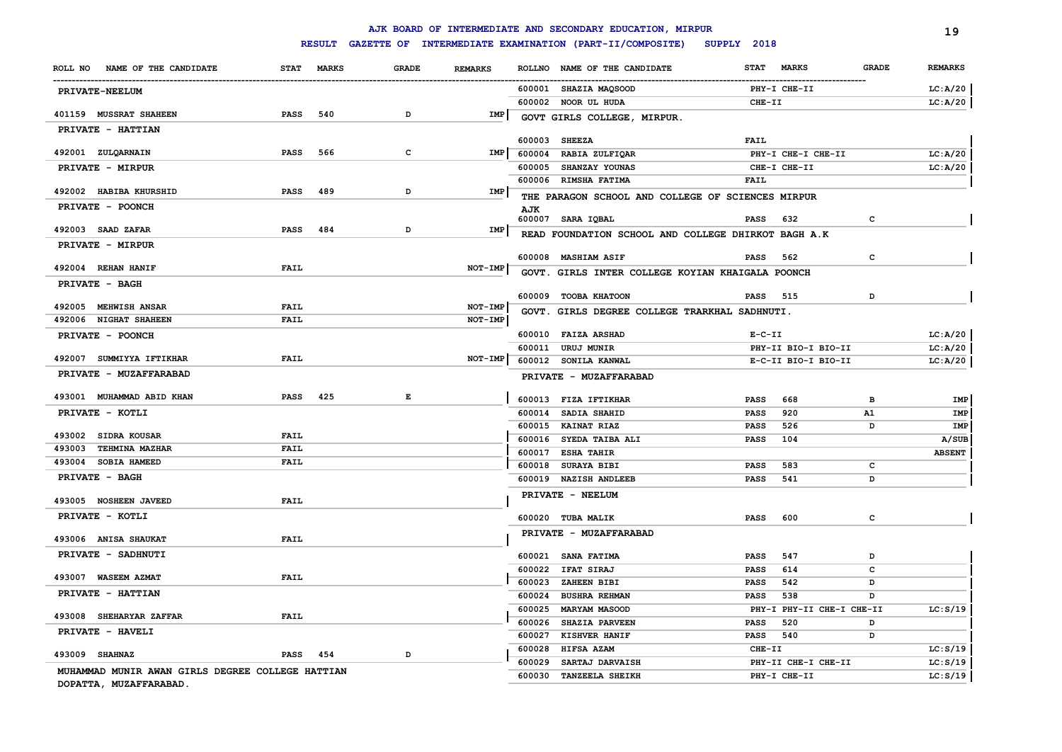# **RESULT GAZETTE OF INTERMEDIATE EXAMINATION (PART-II/COMPOSITE) SUPPLY 2018**

|                                                  |             |               |              |                |                  | AJK BOARD OF INTERMEDIATE AND SECONDARY EDUCATION, MIRPUR |                            |                                    |              | 19                  |
|--------------------------------------------------|-------------|---------------|--------------|----------------|------------------|-----------------------------------------------------------|----------------------------|------------------------------------|--------------|---------------------|
|                                                  |             | <b>RESULT</b> |              |                |                  | GAZETTE OF INTERMEDIATE EXAMINATION (PART-II/COMPOSITE)   | SUPPLY 2018                |                                    |              |                     |
| NAME OF THE CANDIDATE<br>ROLL NO                 | <b>STAT</b> | <b>MARKS</b>  | <b>GRADE</b> | <b>REMARKS</b> |                  | ROLLNO NAME OF THE CANDIDATE                              | <b>STAT</b>                | <b>MARKS</b>                       | <b>GRADE</b> | <b>REMARKS</b>      |
| <b>PRIVATE-NEELUM</b>                            |             |               |              |                |                  | 600001 SHAZIA MAQSOOD                                     |                            | PHY-I CHE-II                       |              | LC: A/20            |
|                                                  |             |               |              |                |                  | 600002 NOOR UL HUDA                                       | CHE-II                     |                                    |              | LC: A/20            |
| 401159 MUSSRAT SHAHEEN                           | <b>PASS</b> | 540           | D            | IMP            |                  | GOVT GIRLS COLLEGE, MIRPUR.                               |                            |                                    |              |                     |
| PRIVATE - HATTIAN                                |             |               |              |                |                  |                                                           |                            |                                    |              |                     |
| 492001 ZULQARNAIN                                | <b>PASS</b> | 566           | c            | IMP            |                  | 600003 SHEEZA                                             | <b>FAIL</b>                |                                    |              |                     |
|                                                  |             |               |              |                |                  | 600004 RABIA ZULFIQAR<br>600005 SHANZAY YOUNAS            |                            | PHY-I CHE-I CHE-II<br>CHE-I CHE-II |              | LC:A/20<br>LC: A/20 |
| PRIVATE - MIRPUR                                 |             |               |              |                |                  | 600006 RIMSHA FATIMA                                      | <b>FAIL</b>                |                                    |              |                     |
| 492002 HABIBA KHURSHID                           | <b>PASS</b> | 489           | D            | IMP            |                  |                                                           |                            |                                    |              |                     |
| PRIVATE - POONCH                                 |             |               |              |                | AJK              | THE PARAGON SCHOOL AND COLLEGE OF SCIENCES MIRPUR         |                            |                                    |              |                     |
|                                                  |             |               |              |                |                  | 600007 SARA IQBAL                                         | PASS                       | 632                                | c            |                     |
| 492003 SAAD ZAFAR                                | <b>PASS</b> | 484           | D            | IMP            |                  | READ FOUNDATION SCHOOL AND COLLEGE DHIRKOT BAGH A.K       |                            |                                    |              |                     |
| PRIVATE - MIRPUR                                 |             |               |              |                |                  |                                                           |                            |                                    |              |                     |
|                                                  |             |               |              |                |                  | 600008 MASHIAM ASIF                                       | PASS                       | 562                                | c            |                     |
| 492004 REHAN HANIF                               | <b>FAIL</b> |               |              | NOT-IMP        |                  | GOVT. GIRLS INTER COLLEGE KOYIAN KHAIGALA POONCH          |                            |                                    |              |                     |
| PRIVATE - BAGH                                   |             |               |              |                |                  |                                                           |                            | 515                                |              |                     |
| 492005 MEHWISH ANSAR                             | <b>FAIL</b> |               |              | NOT-IMP        |                  | 600009 TOOBA KHATOON                                      | PASS                       |                                    | D            |                     |
| 492006 NIGHAT SHAHEEN                            | <b>FAIL</b> |               |              | NOT-IMP        |                  | GOVT. GIRLS DEGREE COLLEGE TRARKHAL SADHNUTI.             |                            |                                    |              |                     |
| PRIVATE - POONCH                                 |             |               |              |                |                  | 600010 FAIZA ARSHAD                                       | $E- C- II$                 |                                    |              | LC:A/20             |
|                                                  |             |               |              |                | 600011           | <b>URUJ MUNIR</b>                                         |                            | PHY-II BIO-I BIO-II                |              | LC: A/20            |
| 492007 SUMMIYYA IFTIKHAR                         | <b>FAIL</b> |               |              | NOT-IMP        |                  | 600012 SONILA KANWAL                                      |                            | E-C-II BIO-I BIO-II                |              | LC:A/20             |
| PRIVATE - MUZAFFARABAD                           |             |               |              |                |                  | PRIVATE - MUZAFFARABAD                                    |                            |                                    |              |                     |
| 493001 MUHAMMAD ABID KHAN                        | <b>PASS</b> | 425           | $\mathbf{E}$ |                |                  |                                                           |                            |                                    |              |                     |
|                                                  |             |               |              |                |                  | 600013 FIZA IFTIKHAR                                      | <b>PASS</b>                | 668                                | в            | IMP                 |
| PRIVATE - KOTLI                                  |             |               |              |                |                  | 600014 SADIA SHAHID                                       | <b>PASS</b>                | 920                                | A1           | IMP                 |
| 493002 SIDRA KOUSAR                              | <b>FAIL</b> |               |              |                |                  | 600015 KAINAT RIAZ<br>600016 SYEDA TAIBA ALI              | <b>PASS</b><br><b>PASS</b> | 526<br>104                         | D            | IMP<br>A/SUB        |
| 493003 TEHMINA MAZHAR                            | <b>FAIL</b> |               |              |                |                  | 600017 ESHA TAHIR                                         |                            |                                    |              | <b>ABSENT</b>       |
| 493004 SOBIA HAMEED                              | <b>FAIL</b> |               |              |                | 600018           | <b>SURAYA BIBI</b>                                        | <b>PASS</b>                | 583                                | C            |                     |
| PRIVATE - BAGH                                   |             |               |              |                | 600019           | <b>NAZISH ANDLEEB</b>                                     | <b>PASS</b>                | 541                                | D            |                     |
|                                                  |             |               |              |                |                  | PRIVATE - NEELUM                                          |                            |                                    |              |                     |
| 493005 NOSHEEN JAVEED                            | <b>FAIL</b> |               |              |                |                  |                                                           |                            |                                    |              |                     |
| PRIVATE - KOTLI                                  |             |               |              |                |                  | 600020 TUBA MALIK                                         | <b>PASS</b>                | 600                                | c            |                     |
| 493006 ANISA SHAUKAT                             | <b>FAIL</b> |               |              |                |                  | PRIVATE - MUZAFFARABAD                                    |                            |                                    |              |                     |
|                                                  |             |               |              |                |                  |                                                           |                            |                                    |              |                     |
| PRIVATE - SADHNUTI                               |             |               |              |                |                  | 600021 SANA FATIMA                                        | PASS                       | 547                                | D            |                     |
| 493007 WASEEM AZMAT                              | <b>FAIL</b> |               |              |                |                  | 600022 IFAT SIRAJ                                         | <b>PASS</b>                | 614                                | c            |                     |
| PRIVATE - HATTIAN                                |             |               |              |                | 600023           | ZAHEEN BIBI                                               | PASS                       | 542                                | D            |                     |
|                                                  |             |               |              |                | 600024<br>600025 | <b>BUSHRA REHMAN</b>                                      | PASS                       | 538<br>PHY-I PHY-II CHE-I CHE-II   | D            | LC: S/19            |
| 493008 SHEHARYAR ZAFFAR                          | <b>FAIL</b> |               |              |                | 600026           | <b>MARYAM MASOOD</b><br><b>SHAZIA PARVEEN</b>             | PASS                       | 520                                | D            |                     |
| PRIVATE - HAVELI                                 |             |               |              |                | 600027           | KISHVER HANIF                                             | PASS                       | 540                                | D            |                     |
|                                                  |             |               |              |                | 600028           | HIFSA AZAM                                                | CHE-II                     |                                    |              | LC: S/19            |
| 493009 SHAHNAZ                                   | PASS        | 454           | D            |                | 600029           | SARTAJ DARVAISH                                           |                            | PHY-II CHE-I CHE-II                |              | LC: S/19            |
| MUHAMMAD MUNIR AWAN GIRLS DEGREE COLLEGE HATTIAN |             |               |              |                | 600030           | <b>TANZEELA SHEIKH</b>                                    |                            | PHY-I CHE-II                       |              | LC: S/19            |
|                                                  |             |               |              |                |                  |                                                           |                            |                                    |              |                     |

**DOPATTA, MUZAFFARABAD.**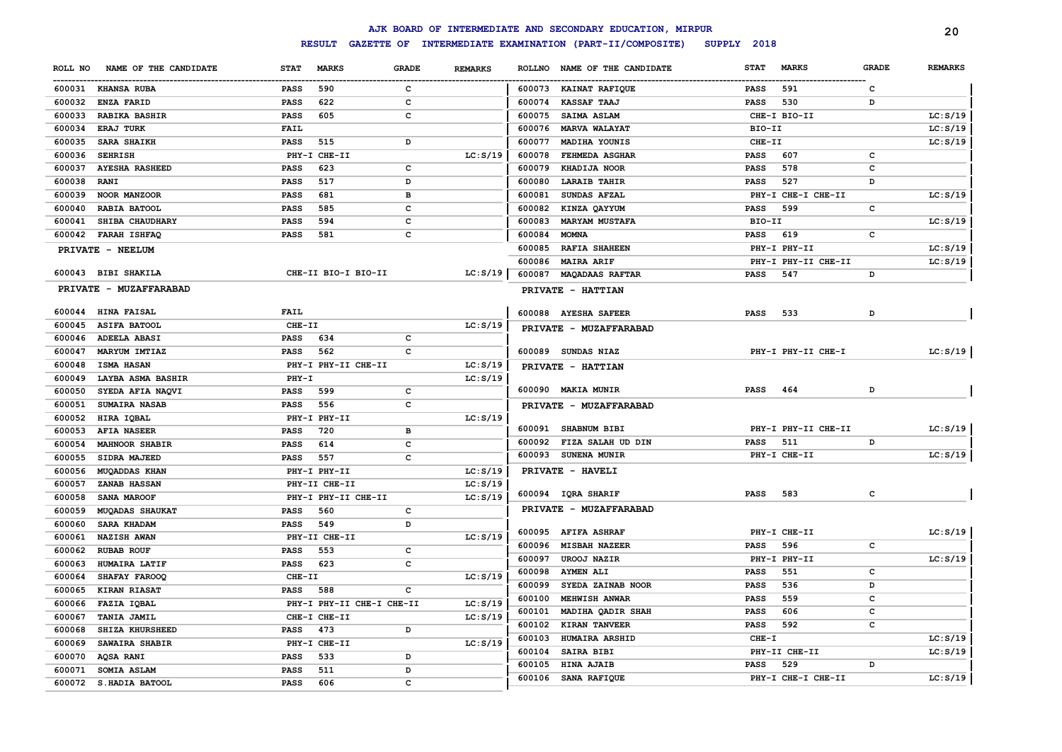|         |                        |             |                           |              |                |               | AJK BOARD OF INTERMEDIATE AND SECONDARY EDUCATION, MIRPUR |             |                     |              | 20             |
|---------|------------------------|-------------|---------------------------|--------------|----------------|---------------|-----------------------------------------------------------|-------------|---------------------|--------------|----------------|
|         |                        |             | <b>RESULT</b>             |              |                |               | GAZETTE OF INTERMEDIATE EXAMINATION (PART-II/COMPOSITE)   | SUPPLY 2018 |                     |              |                |
| ROLL NO | NAME OF THE CANDIDATE  | <b>STAT</b> | <b>MARKS</b>              | <b>GRADE</b> | <b>REMARKS</b> | <b>ROLLNO</b> | NAME OF THE CANDIDATE                                     | <b>STAT</b> | <b>MARKS</b>        | <b>GRADE</b> | <b>REMARKS</b> |
|         | 600031 KHANSA RUBA     | <b>PASS</b> | 590                       | c            |                |               | 600073 KAINAT RAFIQUE                                     | <b>PASS</b> | 591                 | c            |                |
| 600032  | <b>ENZA FARID</b>      | <b>PASS</b> | 622                       | c            |                | 600074        | <b>KASSAF TAAJ</b>                                        | <b>PASS</b> | 530                 | D            |                |
| 600033  | <b>RABIKA BASHIR</b>   | <b>PASS</b> | 605                       | c            |                | 600075        | SAIMA ASLAM                                               |             | CHE-I BIO-II        |              | LC: S/19       |
| 600034  | <b>ERAJ TURK</b>       | <b>FAIL</b> |                           |              |                | 600076        | <b>MARVA WALAYAT</b>                                      | BIO-II      |                     |              | LC: S/19       |
| 600035  | <b>SARA SHAIKH</b>     | <b>PASS</b> | 515                       | D            |                | 600077        | MADIHA YOUNIS                                             | CHE-II      |                     |              | LC: S/19       |
| 600036  | <b>SEHRISH</b>         |             | PHY-I CHE-II              |              | LC: S/19       | 600078        | FEHMEDA ASGHAR                                            | <b>PASS</b> | 607                 | c            |                |
| 600037  | <b>AYESHA RASHEED</b>  | <b>PASS</b> | 623                       | c            |                | 600079        | KHADIJA NOOR                                              | <b>PASS</b> | 578                 | c            |                |
| 600038  | <b>RANI</b>            | <b>PASS</b> | 517                       | D            |                | 600080        | <b>LARAIB TAHIR</b>                                       | <b>PASS</b> | 527                 | D            |                |
| 600039  | NOOR MANZOOR           | <b>PASS</b> | 681                       | в            |                | 600081        | SUNDAS AFZAL                                              |             | PHY-I CHE-I CHE-II  |              | LC: S/19       |
| 600040  | RABIA BATOOL           | <b>PASS</b> | 585                       | c            |                | 600082        | KINZA QAYYUM                                              | <b>PASS</b> | 599                 | c            |                |
| 600041  | SHIBA CHAUDHARY        | <b>PASS</b> | 594                       | c            |                | 600083        | <b>MARYAM MUSTAFA</b>                                     | BIO-II      |                     |              | LC: S/19       |
| 600042  | <b>FARAH ISHFAQ</b>    | <b>PASS</b> | 581                       | c            |                | 600084        | <b>MOMNA</b>                                              | <b>PASS</b> | 619                 | c            |                |
|         | PRIVATE - NEELUM       |             |                           |              |                | 600085        | <b>RAFIA SHAHEEN</b>                                      |             | PHY-I PHY-II        |              | LC: S/19       |
|         |                        |             |                           |              |                | 600086        | <b>MAIRA ARIF</b>                                         |             | PHY-I PHY-II CHE-II |              | LC: S/19       |
|         | 600043 BIBI SHAKILA    |             | CHE-II BIO-I BIO-II       |              | LC: S/19       | 600087        | <b>MAQADAAS RAFTAR</b>                                    | <b>PASS</b> | 547                 | D            |                |
|         | PRIVATE - MUZAFFARABAD |             |                           |              |                |               |                                                           |             |                     |              |                |
|         |                        |             |                           |              |                |               | PRIVATE - HATTIAN                                         |             |                     |              |                |
| 600044  | <b>HINA FAISAL</b>     | FAIL        |                           |              |                |               | 600088 AYESHA SAFEER                                      | <b>PASS</b> | 533                 | D            |                |
| 600045  | <b>ASIFA BATOOL</b>    | $CHE-TI$    |                           |              | LC: S/19       |               | PRIVATE - MUZAFFARABAD                                    |             |                     |              |                |
| 600046  | <b>ADEELA ABASI</b>    | PASS        | 634                       | c            |                |               |                                                           |             |                     |              |                |
| 600047  | <b>MARYUM IMTIAZ</b>   | <b>PASS</b> | 562                       | c            |                |               | 600089 SUNDAS NIAZ                                        |             | PHY-I PHY-II CHE-I  |              | LC: S/19       |
| 600048  | <b>ISMA HASAN</b>      |             | PHY-I PHY-II CHE-II       |              | LC: S/19       |               | PRIVATE - HATTIAN                                         |             |                     |              |                |
| 600049  | LAYBA ASMA BASHIR      | $PHY-T$     |                           |              | LC: S/19       |               |                                                           |             |                     |              |                |
| 600050  | SYEDA AFIA NAQVI       | <b>PASS</b> | 599                       | c            |                |               | 600090 MAKIA MUNIR                                        | <b>PASS</b> | 464                 | D            |                |
| 600051  | <b>SUMAIRA NASAB</b>   | <b>PASS</b> | 556                       | c            |                |               | PRIVATE - MUZAFFARABAD                                    |             |                     |              |                |
| 600052  | HIRA IQBAL             |             | PHY-I PHY-II              |              | LC: S/19       |               |                                                           |             |                     |              |                |
| 600053  | <b>AFIA NASEER</b>     | PASS        | 720                       | в            |                |               | 600091 SHABNUM BIBI                                       |             | PHY-I PHY-II CHE-II |              | LC: S/19       |
| 600054  | <b>MAHNOOR SHABIR</b>  | <b>PASS</b> | 614                       | c            |                |               | 600092 FIZA SALAH UD DIN                                  | <b>PASS</b> | 511                 | D            |                |
| 600055  | SIDRA MAJEED           | <b>PASS</b> | 557                       | c            |                |               | 600093 SUNENA MUNIR                                       |             | PHY-I CHE-II        |              | LC: S/19       |
| 600056  | <b>MUQADDAS KHAN</b>   |             | PHY-I PHY-II              |              | LC: S/19       |               | PRIVATE - HAVELI                                          |             |                     |              |                |
| 600057  | ZANAB HASSAN           |             | PHY-II CHE-II             |              | LC: S/19       |               |                                                           |             |                     |              |                |
| 600058  | SANA MAROOF            |             | PHY-I PHY-II CHE-II       |              | LC: S/19       |               | 600094 IQRA SHARIF                                        | PASS        | 583                 | с            |                |
| 600059  | MUQADAS SHAUKAT        | PASS        | 560                       | c            |                |               | PRIVATE - MUZAFFARABAD                                    |             |                     |              |                |
| 600060  | SARA KHADAM            | <b>PASS</b> | 549                       | D            |                |               |                                                           |             |                     |              |                |
| 600061  | NAZISH AWAN            |             | PHY-II CHE-II             |              | LC: S/19       | 600095        | <b>AFIFA ASHRAF</b>                                       |             | PHY-I CHE-II        |              | LC: S/19       |
| 600062  | <b>RUBAB ROUF</b>      | <b>PASS</b> | 553                       | c            |                | 600096        | <b>MISBAH NAZEER</b>                                      | <b>PASS</b> | 596                 | C            |                |
| 600063  | HUMAIRA LATIF          | <b>PASS</b> | 623                       | c            |                | 600097        | <b>UROOJ NAZIR</b>                                        |             | PHY-I PHY-II        |              | LC: S/19       |
| 600064  | SHAFAY FAROOQ          | CHE-II      |                           |              | LC: S/19       | 600098        | <b>AYMEN ALI</b>                                          | <b>PASS</b> | 551                 | C            |                |
| 600065  | <b>KIRAN RIASAT</b>    | <b>PASS</b> | 588                       | c            |                | 600099        | SYEDA ZAINAB NOOR                                         | <b>PASS</b> | 536                 | D            |                |
| 600066  | FAZIA IQBAL            |             | PHY-I PHY-II CHE-I CHE-II |              | LC: S/19       | 600100        | MEHWISH ANWAR                                             | <b>PASS</b> | 559                 | $\mathbf{C}$ |                |
| 600067  | <b>TANIA JAMIL</b>     |             | CHE-I CHE-II              |              | LC: S/19       | 600101        | MADIHA QADIR SHAH                                         | <b>PASS</b> | 606                 | $\mathbf{C}$ |                |
| 600068  | SHIZA KHURSHEED        | PASS        | 473                       | D            |                | 600102        | <b>KIRAN TANVEER</b>                                      | <b>PASS</b> | 592                 | c            |                |
| 600069  | SAWAIRA SHABIR         |             | PHY-I CHE-II              |              | LC: S/19       | 600103        | <b>HUMAIRA ARSHID</b>                                     | CHE-I       |                     |              | LC: S/19       |
| 600070  | <b>AQSA RANI</b>       | <b>PASS</b> | 533                       | D            |                | 600104        | SAIRA BIBI                                                |             | PHY-II CHE-II       |              | LC: S/19       |
| 600071  | SOMIA ASLAM            | <b>PASS</b> | 511                       | D            |                | 600105        | <b>HINA AJAIB</b>                                         | <b>PASS</b> | 529                 | D            |                |
| 600072  | S.HADIA BATOOL         | <b>PASS</b> | 606                       | c            |                |               | 600106 SANA RAFIQUE                                       |             | PHY-I CHE-I CHE-II  |              | LC: S/19       |
|         |                        |             |                           |              |                |               |                                                           |             |                     |              |                |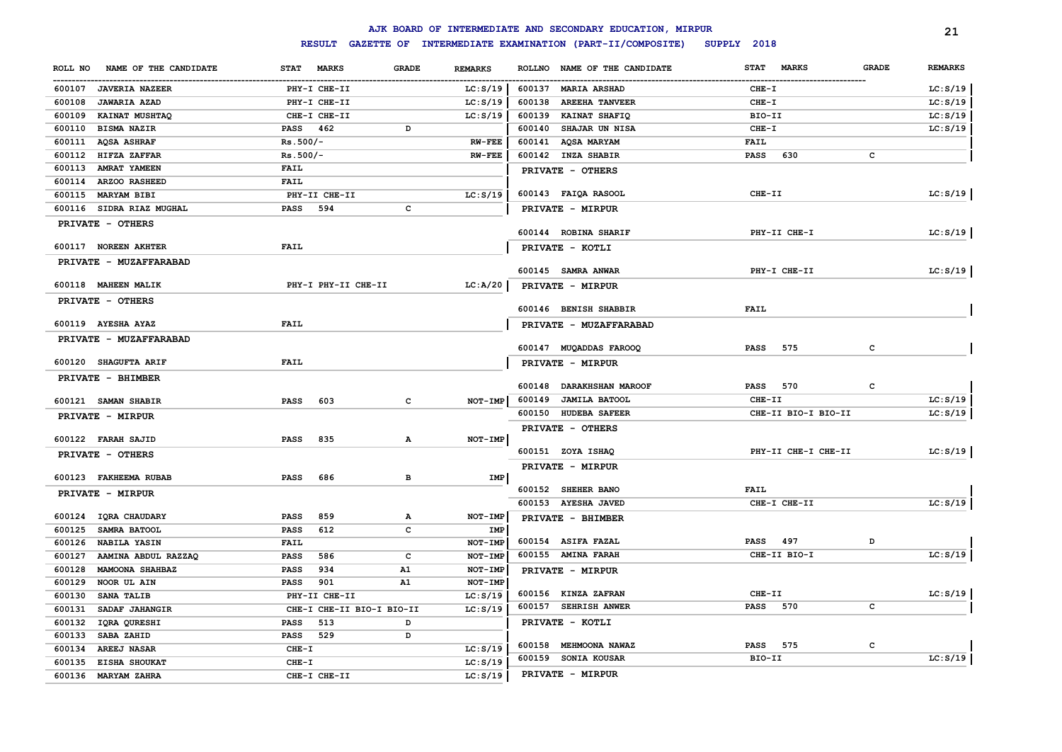|                                  |                             |              |                | AJK BOARD OF INTERMEDIATE AND SECONDARY EDUCATION, MIRPUR |                             |              | 21             |
|----------------------------------|-----------------------------|--------------|----------------|-----------------------------------------------------------|-----------------------------|--------------|----------------|
|                                  | <b>RESULT</b>               |              |                | GAZETTE OF INTERMEDIATE EXAMINATION (PART-II/COMPOSITE)   | SUPPLY 2018                 |              |                |
| NAME OF THE CANDIDATE<br>ROLL NO | <b>STAT</b><br><b>MARKS</b> | <b>GRADE</b> | <b>REMARKS</b> | NAME OF THE CANDIDATE<br><b>ROLLNO</b>                    | <b>STAT</b><br><b>MARKS</b> | <b>GRADE</b> | <b>REMARKS</b> |
| 600107<br><b>JAVERIA NAZEER</b>  | PHY-I CHE-II                |              | LC: S/19       | 600137 MARIA ARSHAD                                       | $CHE-T$                     |              | LC: S/19       |
| 600108<br><b>JAWARIA AZAD</b>    | PHY-I CHE-II                |              | LC: S/19       | 600138<br><b>AREEHA TANVEER</b>                           | $CHE-I$                     |              | LC: S/19       |
| 600109<br>KAINAT MUSHTAQ         | CHE-I CHE-II                |              | LC: S/19       | 600139<br>KAINAT SHAFIQ                                   | BIO-II                      |              | LC: S/19       |
| 600110<br><b>BISMA NAZIR</b>     | PASS 462                    | D            |                | 600140<br>SHAJAR UN NISA                                  | $CHE-T$                     |              | LC: S/19       |
| 600111<br><b>AQSA ASHRAF</b>     | $Rs.500/-$                  |              | <b>RW-FEE</b>  | 600141<br><b>AQSA MARYAM</b>                              | <b>FAIL</b>                 |              |                |
| 600112<br>HIFZA ZAFFAR           | $Rs.500/-$                  |              | <b>RW-FEE</b>  | 600142<br><b>INZA SHABIR</b>                              | 630<br><b>PASS</b>          | с            |                |
| 600113<br>AMRAT YAMEEN           | <b>FAIL</b>                 |              |                | PRIVATE - OTHERS                                          |                             |              |                |
| 600114<br>ARZOO RASHEED          | <b>FAIL</b>                 |              |                |                                                           |                             |              |                |
| 600115<br><b>MARYAM BIBI</b>     | PHY-II CHE-II               |              | LC: S/19       | 600143 FAIQA RASOOL                                       | CHE-II                      |              | LC: S/19       |
| 600116 SIDRA RIAZ MUGHAL         | <b>PASS</b><br>594          | c            |                | PRIVATE - MIRPUR                                          |                             |              |                |
| PRIVATE - OTHERS                 |                             |              |                |                                                           |                             |              |                |
|                                  |                             |              |                | 600144 ROBINA SHARIF                                      | PHY-II CHE-I                |              | LC: S/19       |
| 600117 NOREEN AKHTER             | FAIL                        |              |                | PRIVATE - KOTLI                                           |                             |              |                |
| PRIVATE - MUZAFFARABAD           |                             |              |                |                                                           |                             |              |                |
|                                  |                             |              |                | 600145 SAMRA ANWAR                                        | PHY-I CHE-II                |              | LC: S/19       |
| 600118 MAHEEN MALIK              | PHY-I PHY-II CHE-II         |              | LC: A/20       | PRIVATE - MIRPUR                                          |                             |              |                |
| PRIVATE - OTHERS                 |                             |              |                |                                                           |                             |              |                |
|                                  |                             |              |                | 600146 BENISH SHABBIR                                     | FAIL                        |              |                |
| 600119 AYESHA AYAZ               | <b>FAIL</b>                 |              |                | PRIVATE - MUZAFFARABAD                                    |                             |              |                |
| PRIVATE - MUZAFFARABAD           |                             |              |                | 600147 MUQADDAS FAROOQ                                    | 575<br><b>PASS</b>          | c            |                |
|                                  |                             |              |                |                                                           |                             |              |                |
| 600120 SHAGUFTA ARIF             | FAIL                        |              |                | PRIVATE - MIRPUR                                          |                             |              |                |
| PRIVATE - BHIMBER                |                             |              |                | 600148<br><b>DARAKHSHAN MAROOF</b>                        | 570<br>PASS                 | с            |                |
| 600121 SAMAN SHABIR              | 603<br><b>PASS</b>          | c            | NOT-IMP        | 600149<br><b>JAMILA BATOOL</b>                            | CHE-II                      |              | LC: S/19       |
|                                  |                             |              |                | 600150<br><b>HUDEBA SAFEER</b>                            | CHE-II BIO-I BIO-II         |              | LC: S/19       |
| PRIVATE - MIRPUR                 |                             |              |                | PRIVATE - OTHERS                                          |                             |              |                |
| 600122 FARAH SAJID               | 835<br><b>PASS</b>          | Α            | NOT-IMP        |                                                           |                             |              |                |
| PRIVATE - OTHERS                 |                             |              |                | 600151 ZOYA ISHAQ                                         | PHY-II CHE-I CHE-II         |              | LC: S/19       |
|                                  |                             |              |                | PRIVATE - MIRPUR                                          |                             |              |                |
| 600123 FAKHEEMA RUBAB            | <b>PASS</b><br>686          | в            | <b>IMP</b>     |                                                           |                             |              |                |
| PRIVATE - MIRPUR                 |                             |              |                | 600152 SHEHER BANO                                        | <b>FAIL</b>                 |              |                |
|                                  |                             |              |                | 600153 AYESHA JAVED                                       | CHE-I CHE-II                |              | LC: S/19       |
| 600124 IQRA CHAUDARY             | <b>PASS</b><br>859          | Α            | NOT-IMP        | PRIVATE - BHIMBER                                         |                             |              |                |
| 600125<br>SAMRA BATOOL           | 612<br><b>PASS</b>          | $\mathbf{C}$ | IMP            |                                                           |                             |              |                |
| 600126<br><b>NABILA YASIN</b>    | FAIL                        |              | NOT-IMP        | 600154 ASIFA FAZAL                                        | <b>PASS</b><br>497          | D            |                |
| 600127<br>AAMINA ABDUL RAZZAQ    | <b>PASS</b><br>586          | c            | NOT-IMP        | 600155 AMINA FARAH                                        | CHE-II BIO-I                |              | LC: S/19       |
| 600128<br>MAMOONA SHAHBAZ        | 934<br><b>PASS</b>          | A1           | NOT-IMP        | PRIVATE - MIRPUR                                          |                             |              |                |
| 600129<br>NOOR UL AIN            | <b>PASS</b><br>901          | A1           | NOT-IMP        |                                                           |                             |              |                |
| 600130<br><b>SANA TALIB</b>      | PHY-II CHE-II               |              | LC: S/19       | 600156 KINZA ZAFRAN                                       | CHE-II                      |              | LC: S/19       |
| 600131<br>SADAF JAHANGIR         | CHE-I CHE-II BIO-I BIO-II   |              | LC: S/19       | 600157 SEHRISH ANWER                                      | <b>PASS</b><br>570          | c            |                |
| 600132<br>IQRA QURESHI           | 513<br><b>PASS</b>          | D            |                | PRIVATE - KOTLI                                           |                             |              |                |
| 600133<br>SABA ZAHID             | 529<br><b>PASS</b>          | D            |                |                                                           |                             |              |                |
| 600134<br><b>AREEJ NASAR</b>     | $CHE-I$                     |              | LC: S/19       | 600158 MEHMOONA NAWAZ                                     | 575<br>PASS                 | c            |                |
| 600135<br><b>EISHA SHOUKAT</b>   | $CHE-I$                     |              | LC: S/19       | 600159 SONIA KOUSAR                                       | BIO-II                      |              | LC: S/19       |
| 600136<br><b>MARYAM ZAHRA</b>    | CHE-I CHE-II                |              | LC: S/19       | PRIVATE - MIRPUR                                          |                             |              |                |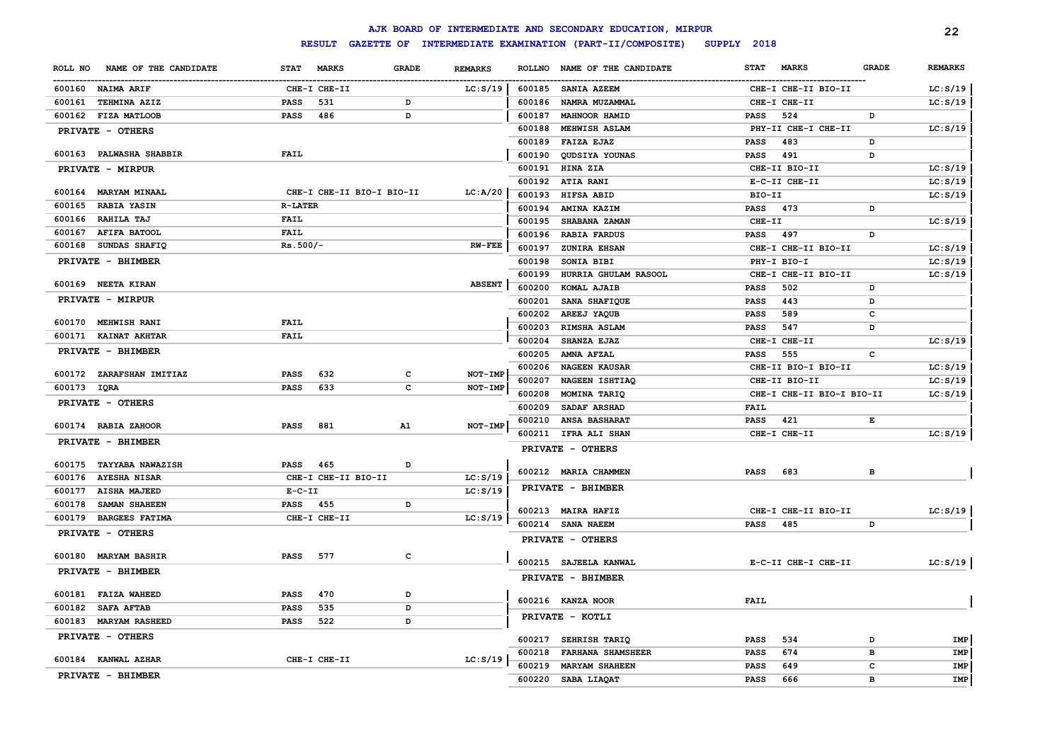|                                  |                             |              |                |                  | AJK BOARD OF INTERMEDIATE AND SECONDARY EDUCATION, MIRPUR      |                            |                           |              | 22             |
|----------------------------------|-----------------------------|--------------|----------------|------------------|----------------------------------------------------------------|----------------------------|---------------------------|--------------|----------------|
|                                  |                             |              |                |                  | RESULT GAZETTE OF INTERMEDIATE EXAMINATION (PART-II/COMPOSITE) | SUPPLY 2018                |                           |              |                |
| NAME OF THE CANDIDATE<br>ROLL NO | <b>MARKS</b><br><b>STAT</b> | <b>GRADE</b> | <b>REMARKS</b> | <b>ROLLNO</b>    | NAME OF THE CANDIDATE                                          | <b>STAT</b>                | <b>MARKS</b>              | <b>GRADE</b> | <b>REMARKS</b> |
| 600160 NAIMA ARIF                | CHE-I CHE-II                |              | LC: S/19       | 600185           | <b>SANIA AZEEM</b>                                             |                            | CHE-I CHE-II BIO-II       |              | LC: S/19       |
| 600161<br><b>TEHMINA AZIZ</b>    | <b>PASS</b><br>531          | D            |                | 600186           | NAMRA MUZAMMAL                                                 |                            | CHE-I CHE-II              |              | LC: S/19       |
| 600162 FIZA MATLOOB              | <b>PASS</b><br>486          | D            |                | 600187           | MAHNOOR HAMID                                                  | PASS                       | 524                       | D            |                |
| PRIVATE - OTHERS                 |                             |              |                | 600188           | MEHWISH ASLAM                                                  |                            | PHY-II CHE-I CHE-II       |              | LC: S/19       |
|                                  |                             |              |                | 600189           | <b>FAIZA EJAZ</b>                                              | PASS                       | 483                       | D            |                |
| 600163 PALWASHA SHABBIR          | <b>FAIL</b>                 |              |                | 600190           | QUDSIYA YOUNAS                                                 | PASS                       | 491                       | D            |                |
| PRIVATE - MIRPUR                 |                             |              |                | 600191           | HINA ZIA                                                       |                            | CHE-II BIO-II             |              | LC: S/19       |
|                                  |                             |              |                | 600192           | ATIA RANI                                                      |                            | E-C-II CHE-II             |              | LC: S/19       |
| 600164 MARYAM MINAAL             | CHE-I CHE-II BIO-I BIO-II   |              | LC: A/20       | 600193           | HIFSA ABID                                                     | BIO-II                     |                           |              | LC: S/19       |
| <b>RABIA YASIN</b><br>600165     | <b>R-LATER</b>              |              |                | 600194           | AMINA KAZIM                                                    | <b>PASS</b>                | 473                       | D            |                |
| RAHILA TAJ<br>600166             | FAIL                        |              |                | 600195           | SHABANA ZAMAN                                                  | CHE-II                     |                           |              | LC: S/19       |
| 600167<br><b>AFIFA BATOOL</b>    | <b>FAIL</b>                 |              |                | 600196           | <b>RABIA FARDUS</b>                                            | <b>PASS</b>                | 497                       | D            |                |
| 600168<br><b>SUNDAS SHAFIQ</b>   | $Rs.500/-$                  |              | $RW-FEE$       | 600197           | ZUNIRA EHSAN                                                   |                            | CHE-I CHE-II BIO-II       |              | LC: S/19       |
| PRIVATE - BHIMBER                |                             |              |                | 600198           | SONIA BIBI                                                     |                            | PHY-I BIO-I               |              | LC: S/19       |
|                                  |                             |              |                | 600199           | HURRIA GHULAM RASOOL                                           |                            | CHE-I CHE-II BIO-II       |              | LC: S/19       |
| 600169 NEETA KIRAN               |                             |              | <b>ABSENT</b>  | 600200           | KOMAL AJAIB                                                    | <b>PASS</b>                | 502                       | D            |                |
| <b>PRIVATE - MIRPUR</b>          |                             |              |                | 600201           | SANA SHAFIQUE                                                  | <b>PASS</b>                | 443                       | D            |                |
| 600170 MEHWISH RANI              | <b>FAIL</b>                 |              |                | 600202           | AREEJ YAQUB                                                    | <b>PASS</b>                | 589                       | c            |                |
| 600171 KAINAT AKHTAR             | FAIL                        |              |                | 600203           | RIMSHA ASLAM                                                   | PASS                       | 547                       | D            |                |
|                                  |                             |              |                | 600204           | SHANZA EJAZ                                                    |                            | CHE-I CHE-II              |              | LC: S/19       |
| PRIVATE - BHIMBER                |                             |              |                | 600205           | AMNA AFZAL                                                     | <b>PASS</b>                | 555                       | $\mathbf c$  |                |
| 600172 ZARAFSHAN IMITIAZ         | 632<br><b>PASS</b>          | c            | NOT-IMP        | 600206           | <b>NAGEEN KAUSAR</b>                                           |                            | CHE-II BIO-I BIO-II       |              | LC: S/19       |
| 600173 IQRA                      | <b>PASS</b><br>633          | c            | NOT-IMP        | 600207           | NAGEEN ISHTIAQ                                                 |                            | CHE-II BIO-II             |              | LC: S/19       |
| PRIVATE - OTHERS                 |                             |              |                | 600208           | MOMINA TARIQ                                                   |                            | CHE-I CHE-II BIO-I BIO-II |              | LC: S/19       |
|                                  |                             |              |                | 600209           | SADAF ARSHAD                                                   | <b>FAIL</b>                |                           |              |                |
| 600174 RABIA ZAHOOR              | <b>PASS</b><br>881          | A1           | $NOT-IMP$      | 600210           | <b>ANSA BASHARAT</b>                                           | <b>PASS</b>                | 421                       | Е            |                |
| PRIVATE - BHIMBER                |                             |              |                | 600211           | IFRA ALI SHAN                                                  |                            | CHE-I CHE-II              |              | LC: S/19       |
|                                  |                             |              |                |                  | PRIVATE - OTHERS                                               |                            |                           |              |                |
| 600175 TAYYABA NAWAZISH          | 465<br><b>PASS</b>          | D            |                |                  |                                                                |                            |                           |              |                |
| 600176<br><b>AYESHA NISAR</b>    | CHE-I CHE-II BIO-II         |              | LC: S/19       |                  | 600212 MARIA CHAMMEN                                           | <b>PASS</b>                | 683                       | в            |                |
| 600177<br><b>AISHA MAJEED</b>    | $E - C - II$                |              | LC: S/19       |                  | PRIVATE - BHIMBER                                              |                            |                           |              |                |
| 600178<br>SAMAN SHAHEEN          | <b>PASS</b> 455             | D            |                |                  | 600213 MAIRA HAFIZ                                             |                            | CHE-I CHE-II BIO-II       |              | LC: S/19       |
| 600179 BARGEES FATIMA            | CHE-I CHE-II                |              | LC: S/19       |                  | 600214 SANA NAEEM                                              | <b>PASS</b>                | 485                       | D            |                |
| PRIVATE - OTHERS                 |                             |              |                |                  | PRIVATE - OTHERS                                               |                            |                           |              |                |
| 600180 MARYAM BASHIR             | 577<br><b>PASS</b>          | $\mathbf c$  |                |                  | 600215 SAJEELA KANWAL                                          |                            | E-C-II CHE-I CHE-II       |              | LC: S/19       |
| PRIVATE - BHIMBER                |                             |              |                |                  | PRIVATE - BHIMBER                                              |                            |                           |              |                |
| 600181 FAIZA WAHEED              | 470<br><b>PASS</b>          | D            |                |                  |                                                                |                            |                           |              |                |
| 600182<br><b>SAFA AFTAB</b>      | 535<br><b>PASS</b>          | D            |                |                  | 600216 KANZA NOOR                                              | <b>FAIL</b>                |                           |              |                |
| 600183<br><b>MARYAM RASHEED</b>  | 522<br><b>PASS</b>          | D            |                |                  | PRIVATE - KOTLI                                                |                            |                           |              |                |
| PRIVATE - OTHERS                 |                             |              |                |                  |                                                                |                            |                           |              |                |
|                                  |                             |              |                | 600217           | SEHRISH TARIQ                                                  | PASS                       | 534<br>674                | D            | IMP            |
| 600184 KANWAL AZHAR              | CHE-I CHE-II                |              | LC: S/19       | 600218<br>600219 | <b>FARHANA SHAMSHEER</b><br><b>MARYAM SHAHEEN</b>              | <b>PASS</b><br><b>PASS</b> | 649                       | в<br>C       | IMP<br>IMP     |
| PRIVATE - BHIMBER                |                             |              |                | 600220           | SABA LIAQAT                                                    | <b>PASS</b>                | 666                       | в            | IMP            |
|                                  |                             |              |                |                  |                                                                |                            |                           |              |                |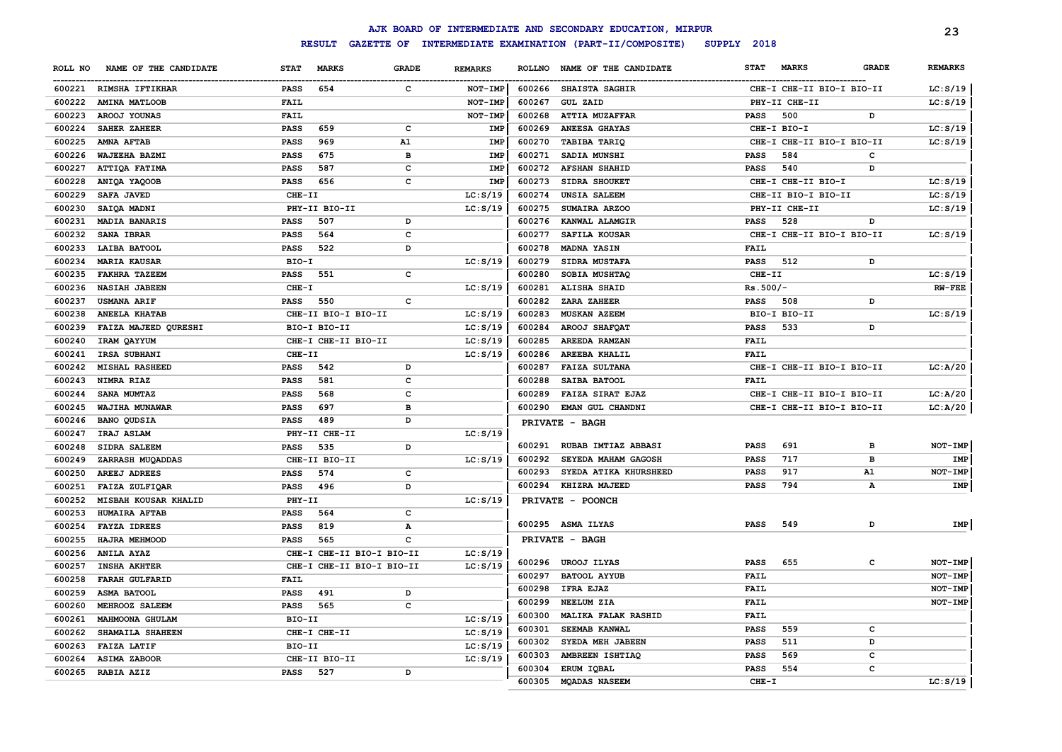|         |                             |             |                                    |              |                |               | AJK BOARD OF INTERMEDIATE AND SECONDARY EDUCATION, MIRPUR |             |                           |              | 23             |
|---------|-----------------------------|-------------|------------------------------------|--------------|----------------|---------------|-----------------------------------------------------------|-------------|---------------------------|--------------|----------------|
|         |                             |             | <b>RESULT</b><br><b>GAZETTE OF</b> |              |                |               | INTERMEDIATE EXAMINATION (PART-II/COMPOSITE)              | SUPPLY 2018 |                           |              |                |
| ROLL NO | NAME OF THE CANDIDATE       | <b>STAT</b> | <b>MARKS</b>                       | <b>GRADE</b> | <b>REMARKS</b> | <b>ROLLNO</b> | NAME OF THE CANDIDATE                                     | <b>STAT</b> | <b>MARKS</b>              | <b>GRADE</b> | <b>REMARKS</b> |
|         | 600221 RIMSHA IFTIKHAR      | <b>PASS</b> | 654                                | c            | NOT-IMP        |               | 600266 SHAISTA SAGHIR                                     |             | CHE-I CHE-II BIO-I BIO-II |              | LC: S/19       |
| 600222  | <b>AMINA MATLOOB</b>        | <b>FAIL</b> |                                    |              | NOT-IMP        | 600267        | <b>GUL ZAID</b>                                           |             | PHY-II CHE-II             |              | LC: S/19       |
| 600223  | AROOJ YOUNAS                | <b>FAIL</b> |                                    |              | NOT-IMP        | 600268        | <b>ATTIA MUZAFFAR</b>                                     | <b>PASS</b> | 500                       | D            |                |
| 600224  | SAHER ZAHEER                | <b>PASS</b> | 659                                | c            | IMP            | 600269        | <b>ANEESA GHAYAS</b>                                      |             | CHE-I BIO-I               |              | LC: S/19       |
| 600225  | AMNA AFTAB                  | <b>PASS</b> | 969                                | A1           | IMP            | 600270        | TABIBA TARIQ                                              |             | CHE-I CHE-II BIO-I BIO-II |              | LC: S/19       |
| 600226  | WAJEEHA BAZMI               | PASS        | 675                                | $\mathbf{B}$ | IMP            | 600271        | SADIA MUNSHI                                              | <b>PASS</b> | 584                       | с            |                |
| 600227  | ATTIQA FATIMA               | <b>PASS</b> | 587                                | $\mathbf c$  | <b>IMP</b>     | 600272        | <b>AFSHAN SHAHID</b>                                      | <b>PASS</b> | 540                       | D            |                |
| 600228  | ANIQA YAQOOB                | <b>PASS</b> | 656                                | $\mathbf{C}$ | <b>IMP</b>     | 600273        | SIDRA SHOUKET                                             |             | CHE-I CHE-II BIO-I        |              | LC: S/19       |
| 600229  | SAFA JAVED                  | CHE-II      |                                    |              | LC: S/19       | 600274        | <b>UNSIA SALEEM</b>                                       |             | CHE-II BIO-I BIO-II       |              | LC: S/19       |
| 600230  | SAIQA MADNI                 |             | PHY-II BIO-II                      |              | LC: S/19       | 600275        | SUMAIRA ARZOO                                             |             | PHY-II CHE-II             |              | LC: S/19       |
| 600231  | <b>MADIA BANARIS</b>        | <b>PASS</b> | 507                                | D            |                | 600276        | KANWAL ALAMGIR                                            | <b>PASS</b> | 528                       | D            |                |
| 600232  | SANA IBRAR                  | <b>PASS</b> | 564                                | $\mathbf c$  |                | 600277        | SAFILA KOUSAR                                             |             | CHE-I CHE-II BIO-I BIO-II |              | LC: S/19       |
| 600233  | LAIBA BATOOL                | <b>PASS</b> | 522                                | D            |                | 600278        | <b>MADNA YASIN</b>                                        | FAIL        |                           |              |                |
| 600234  | <b>MARIA KAUSAR</b>         | BIO-I       |                                    |              | LC: S/19       | 600279        | SIDRA MUSTAFA                                             | <b>PASS</b> | 512                       | D            |                |
| 600235  | <b>FAKHRA TAZEEM</b>        | <b>PASS</b> | 551                                | $\mathbf c$  |                | 600280        | SOBIA MUSHTAQ                                             | CHE-II      |                           |              | LC: S/19       |
| 600236  | <b>NASIAH JABEEN</b>        | CHE-I       |                                    |              | LC: S/19       | 600281        | ALISHA SHAID                                              | $Rs.500/-$  |                           |              | $RW-FEE$       |
| 600237  | <b>USMANA ARIF</b>          | <b>PASS</b> | 550                                | C            |                | 600282        | ZARA ZAHEER                                               | <b>PASS</b> | 508                       | D            |                |
| 600238  | <b>ANEELA KHATAB</b>        |             | CHE-II BIO-I BIO-II                |              | LC: S/19       | 600283        | <b>MUSKAN AZEEM</b>                                       |             | BIO-I BIO-II              |              | LC: S/19       |
| 600239  | FAIZA MAJEED QURESHI        |             | BIO-I BIO-II                       |              | LC: S/19       | 600284        | AROOJ SHAFQAT                                             | <b>PASS</b> | 533                       | D            |                |
| 600240  | IRAM QAYYUM                 |             | CHE-I CHE-II BIO-II                |              | LC: S/19       | 600285        | AREEDA RAMZAN                                             | <b>FAIL</b> |                           |              |                |
| 600241  | IRSA SUBHANI                | CHE-II      |                                    |              | LC: S/19       | 600286        | AREEBA KHALIL                                             | FAIL        |                           |              |                |
| 600242  | MISHAL RASHEED              | PASS        | 542                                | D            |                | 600287        | <b>FAIZA SULTANA</b>                                      |             | CHE-I CHE-II BIO-I BIO-II |              | LC: A/20       |
| 600243  | NIMRA RIAZ                  | PASS        | 581                                | C            |                | 600288        | SAIBA BATOOL                                              | FAIL        |                           |              |                |
| 600244  | SANA MUMTAZ                 | PASS        | 568                                | C            |                | 600289        | FAIZA SIRAT EJAZ                                          |             | CHE-I CHE-II BIO-I BIO-II |              | LC: A/20       |
| 600245  | WAJIHA MUNAWAR              | PASS        | 697                                | B            |                | 600290        | EMAN GUL CHANDNI                                          |             | CHE-I CHE-II BIO-I BIO-II |              | LC: A/20       |
| 600246  | <b>BANO QUDSIA</b>          | <b>PASS</b> | 489                                | D            |                |               | PRIVATE - BAGH                                            |             |                           |              |                |
| 600247  | IRAJ ASLAM                  |             | PHY-II CHE-II                      |              | LC: S/19       |               |                                                           |             |                           |              |                |
| 600248  | <b>SIDRA SALEEM</b>         | <b>PASS</b> | 535                                | D            |                | 600291        | RUBAB IMTIAZ ABBASI                                       | <b>PASS</b> | 691                       | в            | NOT-IMP        |
| 600249  | ZARRASH MUQADDAS            |             | CHE-II BIO-II                      |              | LC: S/19       | 600292        | SEYEDA MAHAM GAGOSH                                       | <b>PASS</b> | 717                       | B            | <b>IMP</b>     |
| 600250  | <b>AREEJ ADREES</b>         | PASS        | 574                                | C            |                | 600293        | SYEDA ATIKA KHURSHEED                                     | <b>PASS</b> | 917                       | A1           | NOT-IMP        |
| 600251  | <b>FAIZA ZULFIOAR</b>       | <b>PASS</b> | 496                                | D            |                | 600294        | KHIZRA MAJEED                                             | <b>PASS</b> | 794                       | $\mathbf{A}$ | IMP            |
| 600252  | <b>MISBAH KOUSAR KHALID</b> | PHY-II      |                                    |              | LC: S/19       |               | PRIVATE - POONCH                                          |             |                           |              |                |
| 600253  | <b>HUMAIRA AFTAB</b>        | PASS        | 564                                | $\mathbf{C}$ |                |               |                                                           |             |                           |              |                |
| 600254  | <b>FAYZA IDREES</b>         | PASS        | 819                                | A            |                |               | 600295 ASMA ILYAS                                         | <b>PASS</b> | 549                       | D            | IMP            |
| 600255  | HAJRA MEHMOOD               | PASS        | 565                                | C            |                |               | PRIVATE - BAGH                                            |             |                           |              |                |
| 600256  | <b>ANILA AYAZ</b>           |             | CHE-I CHE-II BIO-I BIO-II          |              | LC: S/19       | 600296        | UROOJ ILYAS                                               | <b>PASS</b> | 655                       | c            | NOT-IMP        |
| 600257  | <b>INSHA AKHTER</b>         |             | CHE-I CHE-II BIO-I BIO-II          |              | LC: S/19       | 600297        | <b>BATOOL AYYUB</b>                                       | FAIL        |                           |              | NOT-IMP        |
| 600258  | <b>FARAH GULFARID</b>       | FAIL        |                                    |              |                | 600298        | IFRA EJAZ                                                 | FAIL        |                           |              | NOT-IMP        |
| 600259  | ASMA BATOOL                 | <b>PASS</b> | 491                                | D            |                | 600299        | NEELUM ZIA                                                | <b>FAIL</b> |                           |              | NOT-IMP        |
| 600260  | MEHROOZ SALEEM              | <b>PASS</b> | 565                                | C            |                | 600300        | <b>MALIKA FALAK RASHID</b>                                | <b>FAIL</b> |                           |              |                |
| 600261  | MAHMOONA GHULAM             | BIO-II      |                                    |              | LC: S/19       | 600301        | SEEMAB KANWAL                                             | <b>PASS</b> | 559                       | c            |                |
| 600262  | SHAMAILA SHAHEEN            |             | CHE-I CHE-II                       |              | LC: S/19       | 600302        | SYEDA MEH JABEEN                                          | <b>PASS</b> | 511                       | D            |                |
| 600263  | <b>FAIZA LATIF</b>          | BIO-II      |                                    |              | LC: S/19       | 600303        | AMBREEN ISHTIAQ                                           | <b>PASS</b> | 569                       | c            |                |
| 600264  | ASIMA ZABOOR                |             | CHE-II BIO-II                      |              | LC: S/19       | 600304        | ERUM IQBAL                                                | <b>PASS</b> | 554                       | $\mathbf c$  |                |
| 600265  | RABIA AZIZ                  | <b>PASS</b> | 527                                | D            |                | 600305        | <b>MQADAS NASEEM</b>                                      | CHE-I       |                           |              | LC: S/19       |
|         |                             |             |                                    |              |                |               |                                                           |             |                           |              |                |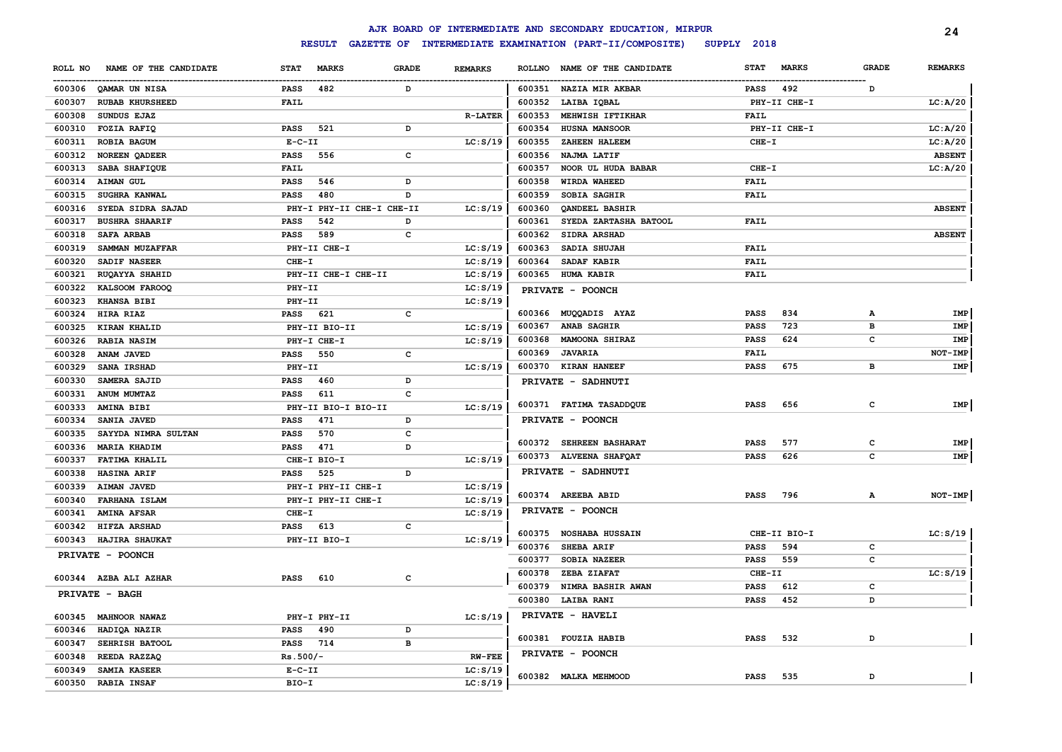|         |                        |              |                                    |              |                |               | AJK BOARD OF INTERMEDIATE AND SECONDARY EDUCATION, MIRPUR |             |              |                | 24             |
|---------|------------------------|--------------|------------------------------------|--------------|----------------|---------------|-----------------------------------------------------------|-------------|--------------|----------------|----------------|
|         |                        |              | <b>RESULT</b><br><b>GAZETTE OF</b> |              |                |               | INTERMEDIATE EXAMINATION (PART-II/COMPOSITE)              | SUPPLY 2018 |              |                |                |
| ROLL NO | NAME OF THE CANDIDATE  | <b>STAT</b>  | <b>MARKS</b>                       | <b>GRADE</b> | <b>REMARKS</b> | <b>ROLLNO</b> | NAME OF THE CANDIDATE                                     | <b>STAT</b> | <b>MARKS</b> | <b>GRADE</b>   | <b>REMARKS</b> |
|         | 600306 QAMAR UN NISA   | <b>PASS</b>  | 482                                | D            |                |               | 600351 NAZIA MIR AKBAR                                    | <b>PASS</b> | 492          | D              |                |
| 600307  | <b>RUBAB KHURSHEED</b> | FAIL         |                                    |              |                | 600352        | LAIBA IQBAL                                               |             | PHY-II CHE-I |                | LC: A/20       |
| 600308  | SUNDUS EJAZ            |              |                                    |              | <b>R-LATER</b> | 600353        | MEHWISH IFTIKHAR                                          | <b>FAIL</b> |              |                |                |
| 600310  | <b>FOZIA RAFIQ</b>     | PASS         | 521                                | D            |                | 600354        | <b>HUSNA MANSOOR</b>                                      |             | PHY-II CHE-I |                | LC: A/20       |
| 600311  | ROBIA BAGUM            | $E-C-II$     |                                    |              | LC: S/19       | 600355        | ZAHEEN HALEEM                                             | $CHE-I$     |              |                | LC: A/20       |
| 600312  | <b>NOREEN QADEER</b>   | <b>PASS</b>  | 556                                | c            |                | 600356        | NAJMA LATIF                                               |             |              |                | <b>ABSENT</b>  |
| 600313  | SABA SHAFIQUE          | FAIL         |                                    |              |                | 600357        | NOOR UL HUDA BABAR                                        | $CHE-I$     |              |                | LC: A/20       |
| 600314  | <b>AIMAN GUL</b>       | <b>PASS</b>  | 546                                | D            |                | 600358        | <b>WIRDA WAHEED</b>                                       | <b>FAIL</b> |              |                |                |
| 600315  | <b>SUGHRA KANWAL</b>   | <b>PASS</b>  | 480                                | D            |                | 600359        | SOBIA SAGHIR                                              | <b>FAIL</b> |              |                |                |
| 600316  | SYEDA SIDRA SAJAD      |              | PHY-I PHY-II CHE-I CHE-II          |              | LC: S/19       | 600360        | QANDEEL BASHIR                                            |             |              |                | <b>ABSENT</b>  |
| 600317  | <b>BUSHRA SHAARIF</b>  | <b>PASS</b>  | 542                                | D            |                | 600361        | SYEDA ZARTASHA BATOOL                                     | <b>FAIL</b> |              |                |                |
| 600318  | <b>SAFA ARBAB</b>      | <b>PASS</b>  | 589                                | $\mathbf c$  |                | 600362        | SIDRA ARSHAD                                              |             |              |                | <b>ABSENT</b>  |
| 600319  | SAMMAN MUZAFFAR        |              | PHY-II CHE-I                       |              | LC: S/19       | 600363        | SADIA SHUJAH                                              | FAIL        |              |                |                |
| 600320  | SADIF NASEER           | CHE-I        |                                    |              | LC: S/19       | 600364        | SADAF KABIR                                               | <b>FAIL</b> |              |                |                |
| 600321  | RUQAYYA SHAHID         |              | PHY-II CHE-I CHE-II                |              | LC: S/19       | 600365        | <b>HUMA KABIR</b>                                         | <b>FAIL</b> |              |                |                |
| 600322  | KALSOOM FAROOQ         | $PHY-TI$     |                                    |              | LC: S/19       |               | PRIVATE - POONCH                                          |             |              |                |                |
| 600323  | <b>KHANSA BIBI</b>     | PHY-II       |                                    |              | LC: S/19       |               |                                                           |             |              |                |                |
| 600324  | HIRA RIAZ              | <b>PASS</b>  | 621                                | $\mathbf c$  |                | 600366        | MUQQADIS AYAZ                                             | <b>PASS</b> | 834          | А              | <b>IMP</b>     |
| 600325  | KIRAN KHALID           |              | PHY-II BIO-II                      |              | LC: S/19       | 600367        | ANAB SAGHIR                                               | <b>PASS</b> | 723          | $\overline{B}$ | <b>IMP</b>     |
| 600326  | <b>RABIA NASIM</b>     |              | PHY-I CHE-I                        |              | LC: S/19       | 600368        | MAMOONA SHIRAZ                                            | <b>PASS</b> | 624          | c              | <b>IMP</b>     |
| 600328  | ANAM JAVED             | PASS         | 550                                | $\mathbf c$  |                | 600369        | <b>JAVARIA</b>                                            | <b>FAIL</b> |              |                | NOT-IMP        |
| 600329  | SANA IRSHAD            | PHY-II       |                                    |              | LC: S/19       |               | 600370 KIRAN HANEEF                                       | <b>PASS</b> | 675          | в              | IMP            |
| 600330  | SAMERA SAJID           | <b>PASS</b>  | 460                                | D            |                |               | PRIVATE - SADHNUTI                                        |             |              |                |                |
| 600331  | ANUM MUMTAZ            | <b>PASS</b>  | 611                                | $\mathbf c$  |                |               |                                                           |             |              |                |                |
| 600333  | AMINA BIBI             |              | PHY-II BIO-I BIO-II                |              | LC: S/19       |               | 600371 FATIMA TASADDQUE                                   | <b>PASS</b> | 656          | c              | IMP            |
| 600334  | SANIA JAVED            | <b>PASS</b>  | 471                                | D            |                |               | PRIVATE - POONCH                                          |             |              |                |                |
| 600335  | SAYYDA NIMRA SULTAN    | <b>PASS</b>  | 570                                | $\mathbf c$  |                |               |                                                           |             |              |                |                |
| 600336  | <b>MARIA KHADIM</b>    | <b>PASS</b>  | 471                                | D            |                |               | 600372 SEHREEN BASHARAT                                   | <b>PASS</b> | 577          | C              | IMP            |
| 600337  | <b>FATIMA KHALIL</b>   |              | CHE-I BIO-I                        |              | LC: S/19       |               | 600373 ALVEENA SHAFQAT                                    | <b>PASS</b> | 626          | c              | IMP            |
| 600338  | HASINA ARIF            | <b>PASS</b>  | 525                                | D            |                |               | PRIVATE - SADHNUTI                                        |             |              |                |                |
| 600339  | <b>AIMAN JAVED</b>     |              | PHY-I PHY-II CHE-I                 |              | LC: S/19       |               |                                                           |             |              |                |                |
| 600340  | FARHANA ISLAM          |              | PHY-I PHY-II CHE-I                 |              | LC: S/19       |               | 600374 AREEBA ABID                                        | <b>PASS</b> | 796          | А              | <b>NOT-IMP</b> |
| 600341  | <b>AMINA AFSAR</b>     | CHE-I        |                                    |              | LC: S/19       |               | PRIVATE - POONCH                                          |             |              |                |                |
| 600342  | HIFZA ARSHAD           | <b>PASS</b>  | 613                                | c            |                | 600375        | <b>NOSHABA HUSSAIN</b>                                    |             | CHE-II BIO-I |                | LC: S/19       |
| 600343  | <b>HAJIRA SHAUKAT</b>  |              | PHY-II BIO-I                       |              | LC: S/19       | 600376        | SHEBA ARIF                                                | <b>PASS</b> | 594          | C              |                |
|         | PRIVATE - POONCH       |              |                                    |              |                | 600377        | <b>SOBIA NAZEER</b>                                       | <b>PASS</b> | 559          | c              |                |
|         |                        |              |                                    |              |                | 600378        | ZEBA ZIAFAT                                               | CHE-II      |              |                | LC: S/19       |
|         | 600344 AZBA ALI AZHAR  | <b>PASS</b>  | 610                                | c            |                | 600379        | NIMRA BASHIR AWAN                                         | <b>PASS</b> | 612          | c              |                |
|         | PRIVATE - BAGH         |              |                                    |              |                |               | 600380 LAIBA RANI                                         | <b>PASS</b> | 452          | D              |                |
|         |                        |              |                                    |              |                |               |                                                           |             |              |                |                |
|         | 600345 MAHNOOR NAWAZ   |              | PHY-I PHY-II                       |              | LC: S/19       |               | PRIVATE - HAVELI                                          |             |              |                |                |
| 600346  | HADIQA NAZIR           | <b>PASS</b>  | 490                                | D            |                |               | 600381 FOUZIA HABIB                                       | <b>PASS</b> | 532          | D              |                |
| 600347  | SEHRISH BATOOL         | PASS         | 714                                | $\, {\bf B}$ |                |               |                                                           |             |              |                |                |
| 600348  | REEDA RAZZAQ           | $Rs.500/-$   |                                    |              | <b>RW-FEE</b>  |               | PRIVATE - POONCH                                          |             |              |                |                |
| 600349  | SAMIA KASEER           | $E - C - II$ |                                    |              | LC: S/19       |               | 600382 MALKA MEHMOOD                                      | <b>PASS</b> | 535          | D              |                |
| 600350  | <b>RABIA INSAF</b>     | BIO-I        |                                    |              | LC: S/19       |               |                                                           |             |              |                |                |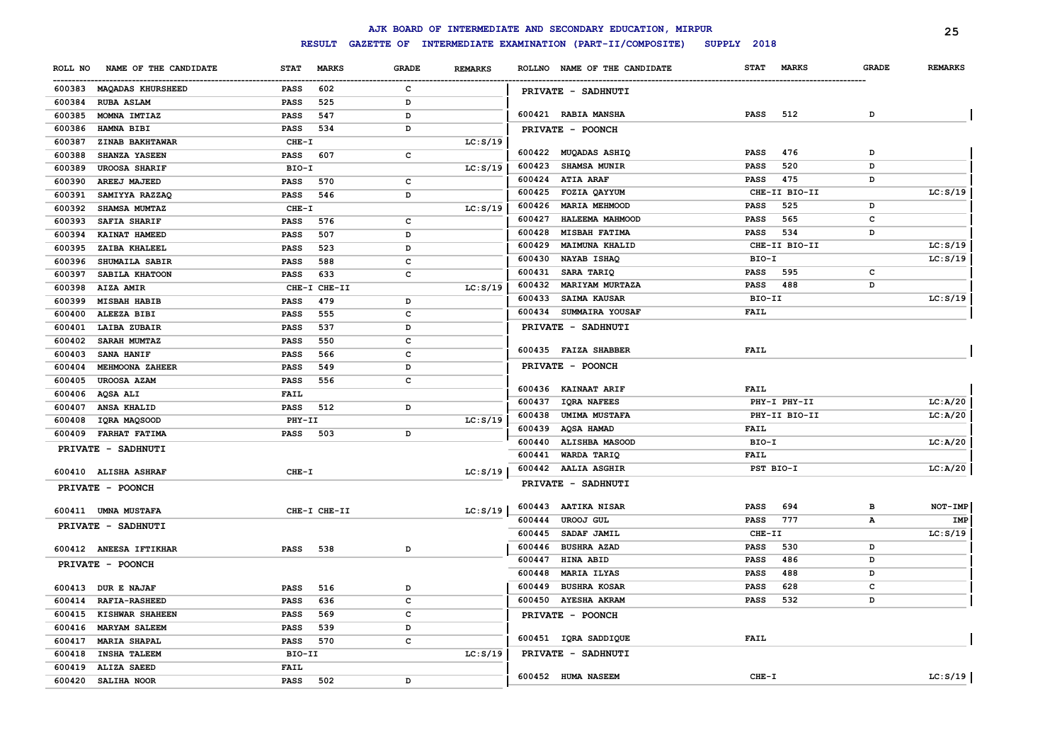|         |                          |             |               |              |                |        | AJK BOARD OF INTERMEDIATE AND SECONDARY EDUCATION, MIRPUR |             |               |              | 25             |
|---------|--------------------------|-------------|---------------|--------------|----------------|--------|-----------------------------------------------------------|-------------|---------------|--------------|----------------|
|         |                          |             | <b>RESULT</b> |              |                |        | GAZETTE OF INTERMEDIATE EXAMINATION (PART-II/COMPOSITE)   | SUPPLY 2018 |               |              |                |
| ROLL NO | NAME OF THE CANDIDATE    | <b>STAT</b> | <b>MARKS</b>  | <b>GRADE</b> | <b>REMARKS</b> |        | ROLLNO NAME OF THE CANDIDATE                              | <b>STAT</b> | <b>MARKS</b>  | <b>GRADE</b> | <b>REMARKS</b> |
|         | 600383 MAQADAS KHURSHEED | <b>PASS</b> | 602           | $\mathbf c$  |                |        | PRIVATE - SADHNUTI                                        |             |               |              |                |
| 600384  | <b>RUBA ASLAM</b>        | <b>PASS</b> | 525           | D            |                |        |                                                           |             |               |              |                |
| 600385  | MOMNA IMTIAZ             | <b>PASS</b> | 547           | D            |                |        | 600421 RABIA MANSHA                                       | <b>PASS</b> | 512           | D            |                |
| 600386  | HAMNA BIBI               | <b>PASS</b> | 534           | D            |                |        | PRIVATE - POONCH                                          |             |               |              |                |
| 600387  | ZINAB BAKHTAWAR          | $CHE-T$     |               |              | LC: S/19       |        |                                                           |             |               |              |                |
| 600388  | SHANZA YASEEN            | <b>PASS</b> | 607           | c            |                |        | 600422 MUQADAS ASHIQ                                      | <b>PASS</b> | 476           | D            |                |
| 600389  | <b>UROOSA SHARIF</b>     | BIO-I       |               |              | LC: S/19       | 600423 | <b>SHAMSA MUNIR</b>                                       | PASS        | 520           | D            |                |
| 600390  | AREEJ MAJEED             | <b>PASS</b> | 570           | c            |                | 600424 | <b>ATIA ARAF</b>                                          | <b>PASS</b> | 475           | D            |                |
| 600391  | SAMIYYA RAZZAQ           | PASS        | 546           | D            |                | 600425 | FOZIA QAYYUM                                              |             | CHE-II BIO-II |              | LC: S/19       |
| 600392  | SHAMSA MUMTAZ            | $CHE-I$     |               |              | LC: S/19       | 600426 | <b>MARIA MEHMOOD</b>                                      | PASS        | 525           | D            |                |
| 600393  | <b>SAFIA SHARIF</b>      | <b>PASS</b> | 576           | c            |                | 600427 | HALEEMA MAHMOOD                                           | <b>PASS</b> | 565           | с            |                |
| 600394  | KAINAT HAMEED            | PASS        | 507           | D            |                | 600428 | <b>MISBAH FATIMA</b>                                      | PASS        | 534           | D            |                |
| 600395  | ZAIBA KHALEEL            | PASS        | 523           | D            |                | 600429 | <b>MAIMUNA KHALID</b>                                     |             | CHE-II BIO-II |              | LC: S/19       |
| 600396  | SHUMAILA SABIR           | PASS        | 588           | c            |                | 600430 | NAYAB ISHAQ                                               | BIO-I       |               |              | LC: S/19       |
| 600397  | SABILA KHATOON           | PASS        | 633           | c            |                | 600431 | SARA TARIQ                                                | <b>PASS</b> | 595           | c            |                |
| 600398  | AIZA AMIR                |             | CHE-I CHE-II  |              | LC: S/19       | 600432 | MARIYAM MURTAZA                                           | <b>PASS</b> | 488           | D            |                |
| 600399  | <b>MISBAH HABIB</b>      | <b>PASS</b> | 479           | D            |                | 600433 | SAIMA KAUSAR                                              | BIO-II      |               |              | LC: S/19       |
| 600400  | ALEEZA BIBI              | PASS        | 555           | $\mathbf{C}$ |                | 600434 | SUMMAIRA YOUSAF                                           | <b>FAIL</b> |               |              |                |
| 600401  | <b>LAIBA ZUBAIR</b>      | PASS        | 537           | D            |                |        | PRIVATE - SADHNUTI                                        |             |               |              |                |
| 600402  | SARAH MUMTAZ             | PASS        | 550           | $\mathbf{C}$ |                |        |                                                           |             |               |              |                |
| 600403  | <b>SANA HANIF</b>        | PASS        | 566           | c            |                |        | 600435 FAIZA SHABBER                                      | <b>FAIL</b> |               |              |                |
| 600404  | MEHMOONA ZAHEER          | PASS        | 549           | D            |                |        | PRIVATE - POONCH                                          |             |               |              |                |
| 600405  | <b>UROOSA AZAM</b>       | PASS        | 556           | c            |                |        |                                                           |             |               |              |                |
| 600406  | AQSA ALI                 | <b>FAIL</b> |               |              |                |        | 600436 KAINAAT ARIF                                       | <b>FAIL</b> |               |              |                |
| 600407  | ANSA KHALID              | PASS        | 512           | D            |                | 600437 | <b>IQRA NAFEES</b>                                        |             | PHY-I PHY-II  |              | LC: A/20       |
| 600408  | IQRA MAQSOOD             | PHY-II      |               |              | LC: S/19       | 600438 | <b>UMIMA MUSTAFA</b>                                      |             | PHY-II BIO-II |              | LC: A/20       |
| 600409  | <b>FARHAT FATIMA</b>     | <b>PASS</b> | 503           | D            |                | 600439 | <b>AQSA HAMAD</b>                                         | <b>FAIL</b> |               |              |                |
|         | PRIVATE - SADHNUTI       |             |               |              |                | 600440 | ALISHBA MASOOD                                            | BIO-I       |               |              | LC: A/20       |
|         |                          |             |               |              |                | 600441 | WARDA TARIQ                                               | <b>FAIL</b> |               |              |                |
|         | 600410 ALISHA ASHRAF     | $CHE-T$     |               |              | LC: S/19       |        | 600442 AALIA ASGHIR                                       | PST BIO-I   |               |              | LC: A/20       |
|         | PRIVATE - POONCH         |             |               |              |                |        | PRIVATE - SADHNUTI                                        |             |               |              |                |
|         | 600411 UMNA MUSTAFA      |             | CHE-I CHE-II  |              | LC: S/19       | 600443 | <b>AATIKA NISAR</b>                                       | <b>PASS</b> | 694           | в            | NOT-IMP        |
|         | PRIVATE - SADHNUTI       |             |               |              |                | 600444 | UROOJ GUL                                                 | <b>PASS</b> | 777           | А            | IMP            |
|         |                          |             |               |              |                | 600445 | SADAF JAMIL                                               | CHE-II      |               |              | LC: S/19       |
|         | 600412 ANEESA IFTIKHAR   | PASS        | 538           | D            |                | 600446 | <b>BUSHRA AZAD</b>                                        | <b>PASS</b> | 530           | D            |                |
|         | PRIVATE - POONCH         |             |               |              |                | 600447 | <b>HINA ABID</b>                                          | <b>PASS</b> | 486           | D            |                |
|         |                          |             |               |              |                | 600448 | <b>MARIA ILYAS</b>                                        | <b>PASS</b> | 488           | D            |                |
| 600413  | <b>DUR E NAJAF</b>       | PASS        | 516           | D            |                | 600449 | <b>BUSHRA KOSAR</b>                                       | <b>PASS</b> | 628           | c            |                |
| 600414  | <b>RAFIA-RASHEED</b>     | <b>PASS</b> | 636           | c            |                |        | 600450 AYESHA AKRAM                                       | <b>PASS</b> | 532           | D            |                |
| 600415  | KISHWAR SHAHEEN          | <b>PASS</b> | 569           | c            |                |        | PRIVATE - POONCH                                          |             |               |              |                |
| 600416  | <b>MARYAM SALEEM</b>     | PASS        | 539           | D            |                |        |                                                           |             |               |              |                |
| 600417  | <b>MARIA SHAPAL</b>      | <b>PASS</b> | 570           | $\mathbf c$  |                |        | 600451 IQRA SADDIQUE                                      | <b>FAIL</b> |               |              |                |
| 600418  | <b>INSHA TALEEM</b>      | BIO-II      |               |              | LC: S/19       |        | PRIVATE - SADHNUTI                                        |             |               |              |                |
| 600419  | <b>ALIZA SAEED</b>       | <b>FAIL</b> |               |              |                |        |                                                           |             |               |              |                |
| 600420  | SALIHA NOOR              | <b>PASS</b> | 502           | D            |                |        | 600452 HUMA NASEEM                                        | $CHE-T$     |               |              | LC: S/19       |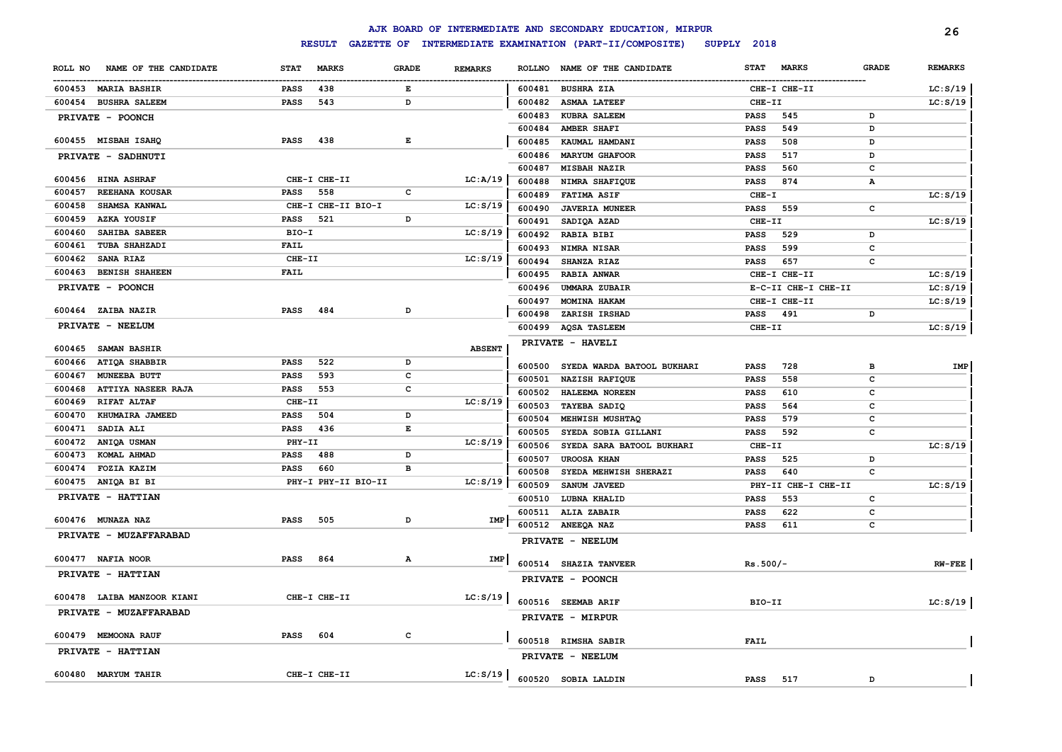|                                                  |                                          |              |                |                  | AJK BOARD OF INTERMEDIATE AND SECONDARY EDUCATION, MIRPUR |                         |                     |              | 26             |
|--------------------------------------------------|------------------------------------------|--------------|----------------|------------------|-----------------------------------------------------------|-------------------------|---------------------|--------------|----------------|
|                                                  | <b>RESULT</b>                            |              |                |                  | GAZETTE OF INTERMEDIATE EXAMINATION (PART-II/COMPOSITE)   | SUPPLY 2018             |                     |              |                |
| NAME OF THE CANDIDATE<br>ROLL NO                 | <b>STAT</b><br><b>MARKS</b>              | <b>GRADE</b> | <b>REMARKS</b> | <b>ROLLNO</b>    | NAME OF THE CANDIDATE                                     | <b>STAT</b>             | <b>MARKS</b>        | GRADE        | <b>REMARKS</b> |
| 600453 MARIA BASHIR                              | 438<br><b>PASS</b>                       | Е            |                |                  | 600481 BUSHRA ZIA                                         |                         | CHE-I CHE-II        |              | LC: S/19       |
| 600454 BUSHRA SALEEM                             | PASS<br>543                              | D            |                | 600482           | <b>ASMAA LATEEF</b>                                       | CHE-II                  |                     |              | LC: S/19       |
| PRIVATE - POONCH                                 |                                          |              |                | 600483           | <b>KUBRA SALEEM</b>                                       | <b>PASS</b>             | 545                 | D            |                |
|                                                  |                                          |              |                | 600484           | AMBER SHAFI                                               | <b>PASS</b>             | 549                 | D            |                |
| 600455 MISBAH ISAHQ                              | <b>PASS</b><br>438                       | E            |                | 600485           | KAUMAL HAMDANI                                            | <b>PASS</b>             | 508                 | D            |                |
| PRIVATE - SADHNUTI                               |                                          |              |                | 600486           | <b>MARYUM GHAFOOR</b>                                     | PASS                    | 517                 | D            |                |
|                                                  |                                          |              |                | 600487           | MISBAH NAZIR                                              | <b>PASS</b>             | 560                 | с            |                |
| 600456 HINA ASHRAF                               | CHE-I CHE-II                             |              | LC:A/19        | 600488           | NIMRA SHAFIQUE                                            | PASS                    | 874                 | А            |                |
| 600457<br>REEHANA KOUSAR                         | 558<br><b>PASS</b>                       | $\mathbf c$  |                | 600489           | <b>FATIMA ASIF</b>                                        | $CHE-T$                 |                     |              | LC: S/19       |
| SHAMSA KANWAL<br>600458<br>AZKA YOUSIF<br>600459 | CHE-I CHE-II BIO-I<br>521<br><b>PASS</b> | D            | LC: S/19       | 600490           | <b>JAVERIA MUNEER</b>                                     | <b>PASS</b>             | 559                 | $\mathbf c$  |                |
| SAHIBA SABEER<br>600460                          | BIO-I                                    |              |                | 600491           | SADIQA AZAD                                               | CHE-II                  |                     |              | LC: S/19       |
| 600461<br>TUBA SHAHZADI                          | <b>FAIL</b>                              |              | LC: S/19       | 600492           | <b>RABIA BIBI</b>                                         | <b>PASS</b>             | 529                 | D            |                |
| SANA RIAZ<br>600462                              | CHE-II                                   |              | LC: S/19       | 600493           | NIMRA NISAR                                               | <b>PASS</b>             | 599                 | c            |                |
| <b>BENISH SHAHEEN</b><br>600463                  | <b>FAIL</b>                              |              |                | 600494           | SHANZA RIAZ                                               | <b>PASS</b>             | 657                 | c            |                |
|                                                  |                                          |              |                | 600495           | <b>RABIA ANWAR</b>                                        |                         | CHE-I CHE-II        |              | LC: S/19       |
| PRIVATE - POONCH                                 |                                          |              |                | 600496           | <b>UMMARA ZUBAIR</b>                                      |                         | E-C-II CHE-I CHE-II |              | LC: S/19       |
| 600464 ZAIBA NAZIR                               | 484<br><b>PASS</b>                       | D            |                | 600497           | MOMINA HAKAM                                              |                         | CHE-I CHE-II        | D            | LC: S/19       |
| PRIVATE - NEELUM                                 |                                          |              |                | 600498<br>600499 | ZARISH IRSHAD                                             | <b>PASS</b><br>$CHE-TI$ | 491                 |              | LC: S/19       |
|                                                  |                                          |              |                |                  | <b>AQSA TASLEEM</b>                                       |                         |                     |              |                |
| 600465<br><b>SAMAN BASHIR</b>                    |                                          |              | <b>ABSENT</b>  |                  | PRIVATE - HAVELI                                          |                         |                     |              |                |
| ATIQA SHABBIR<br>600466                          | 522<br><b>PASS</b>                       | D            |                | 600500           | SYEDA WARDA BATOOL BUKHARI                                | <b>PASS</b>             | 728                 | в            | IMP            |
| 600467<br>MUNEEBA BUTT                           | 593<br><b>PASS</b>                       | c            |                | 600501           | NAZISH RAFIQUE                                            | <b>PASS</b>             | 558                 | C            |                |
| ATTIYA NASEER RAJA<br>600468                     | 553<br>PASS                              | $\mathbf c$  |                | 600502           | HALEEMA NOREEN                                            | <b>PASS</b>             | 610                 | c            |                |
| 600469<br>RIFAT ALTAF                            | CHE-II                                   |              | LC: S/19       | 600503           | TAYEBA SADIQ                                              | <b>PASS</b>             | 564                 | $\mathbf c$  |                |
| 600470<br>KHUMAIRA JAMEED                        | <b>PASS</b><br>504                       | D            |                | 600504           | MEHWISH MUSHTAQ                                           | <b>PASS</b>             | 579                 | $\mathbf c$  |                |
| 600471<br>SADIA ALI                              | <b>PASS</b><br>436                       | E            |                | 600505           | SYEDA SOBIA GILLANI                                       | <b>PASS</b>             | 592                 | $\mathbf c$  |                |
| ANIQA USMAN<br>600472                            | PHY-II                                   |              | LC: S/19       | 600506           | SYEDA SARA BATOOL BUKHARI                                 | CHE-II                  |                     |              | LC: S/19       |
| 600473<br>KOMAL AHMAD                            | 488<br><b>PASS</b>                       | D            |                | 600507           | <b>UROOSA KHAN</b>                                        | <b>PASS</b>             | 525                 | D            |                |
| 600474<br>FOZIA KAZIM                            | 660<br><b>PASS</b>                       | B            |                | 600508           | SYEDA MEHWISH SHERAZI                                     | <b>PASS</b>             | 640                 | $\mathbf c$  |                |
| 600475<br>ANIQA BI BI                            | PHY-I PHY-II BIO-II                      |              | LC: S/19       | 600509           | SANUM JAVEED                                              |                         | PHY-II CHE-I CHE-II |              | LC: S/19       |
| PRIVATE - HATTIAN                                |                                          |              |                | 600510           | LUBNA KHALID                                              | <b>PASS</b>             | 553                 | c            |                |
| 600476 MUNAZA NAZ                                | PASS<br>505                              | D            | IMP            |                  | 600511 ALIA ZABAIR                                        | <b>PASS</b>             | 622                 | c            |                |
| PRIVATE - MUZAFFARABAD                           |                                          |              |                |                  | 600512 ANEEQA NAZ                                         | <b>PASS</b>             | 611                 | $\mathbf c$  |                |
|                                                  |                                          |              |                |                  | PRIVATE - NEELUM                                          |                         |                     |              |                |
| 600477 NAFIA NOOR                                | <b>PASS</b><br>864                       | Α            | IMP            |                  | 600514 SHAZIA TANVEER                                     | $Rs.500/-$              |                     |              | $RW-FEE$       |
| PRIVATE - HATTIAN                                |                                          |              |                |                  |                                                           |                         |                     |              |                |
|                                                  |                                          |              |                |                  | PRIVATE - POONCH                                          |                         |                     |              |                |
| 600478 LAIBA MANZOOR KIANI                       | CHE-I CHE-II                             |              | LC: S/19       |                  | 600516 SEEMAB ARIF                                        | BIO-II                  |                     |              | LC: S/19       |
| PRIVATE - MUZAFFARABAD                           |                                          |              |                |                  | PRIVATE - MIRPUR                                          |                         |                     |              |                |
|                                                  |                                          |              |                |                  |                                                           |                         |                     |              |                |
| 600479 MEMOONA RAUF                              | <b>PASS</b><br>604                       | C            |                |                  | 600518 RIMSHA SABIR                                       | <b>FAIL</b>             |                     |              |                |
| PRIVATE - HATTIAN                                |                                          |              |                |                  | PRIVATE - NEELUM                                          |                         |                     |              |                |
| 600480 MARYUM TAHIR                              | CHE-I CHE-II                             |              | LC: S/19       |                  |                                                           |                         |                     |              |                |
|                                                  |                                          |              |                |                  | 600520 SOBIA LALDIN                                       | <b>PASS</b>             | 517                 | <sub>D</sub> |                |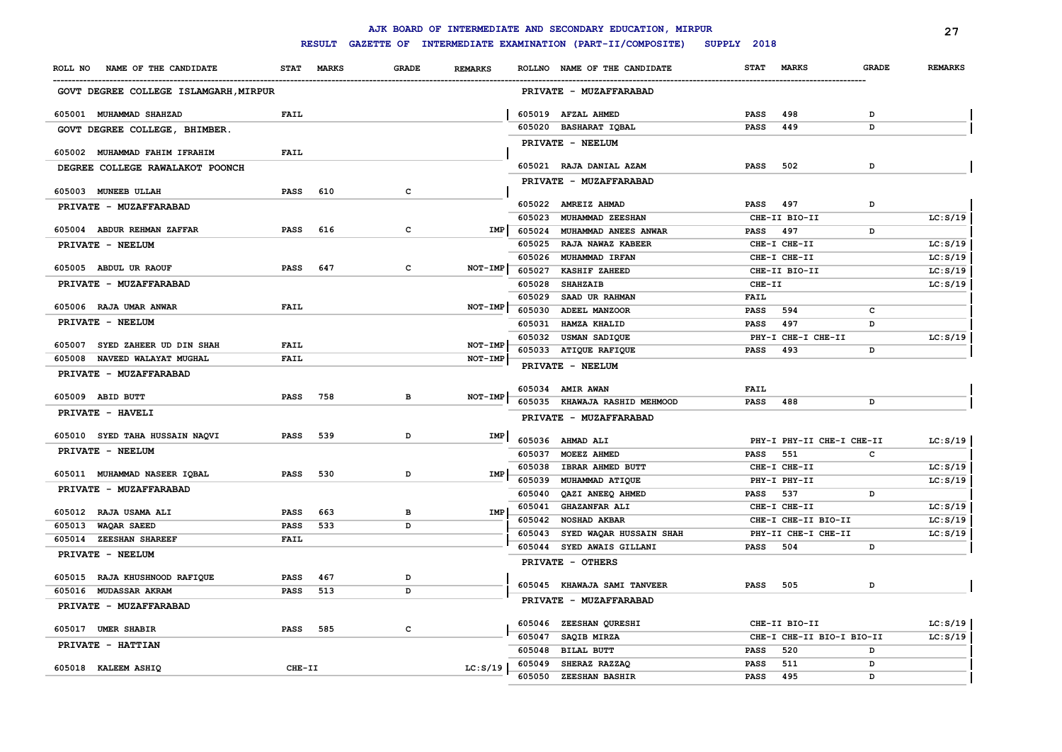|                                       |             |               |              |                |        | AJK BOARD OF INTERMEDIATE AND SECONDARY EDUCATION, MIRPUR |             |                           |              | 27             |
|---------------------------------------|-------------|---------------|--------------|----------------|--------|-----------------------------------------------------------|-------------|---------------------------|--------------|----------------|
|                                       |             | <b>RESULT</b> |              |                |        | GAZETTE OF INTERMEDIATE EXAMINATION (PART-II/COMPOSITE)   | SUPPLY 2018 |                           |              |                |
| NAME OF THE CANDIDATE<br>ROLL NO      | <b>STAT</b> | <b>MARKS</b>  | <b>GRADE</b> | <b>REMARKS</b> |        | ROLLNO NAME OF THE CANDIDATE                              | <b>STAT</b> | <b>MARKS</b>              | <b>GRADE</b> | <b>REMARKS</b> |
| GOVT DEGREE COLLEGE ISLAMGARH, MIRPUR |             |               |              |                |        | PRIVATE - MUZAFFARABAD                                    |             |                           |              |                |
| 605001 MUHAMMAD SHAHZAD               | <b>FAIL</b> |               |              |                |        | 605019 AFZAL AHMED                                        | <b>PASS</b> | 498                       | $\mathbf{D}$ |                |
| GOVT DEGREE COLLEGE, BHIMBER.         |             |               |              |                |        | 605020 BASHARAT IQBAL                                     | <b>PASS</b> | 449                       | D            |                |
|                                       |             |               |              |                |        | PRIVATE - NEELUM                                          |             |                           |              |                |
| 605002 MUHAMMAD FAHIM IFRAHIM         | <b>FAIL</b> |               |              |                |        |                                                           |             |                           |              |                |
| DEGREE COLLEGE RAWALAKOT POONCH       |             |               |              |                |        | 605021 RAJA DANIAL AZAM                                   | <b>PASS</b> | 502                       | D            |                |
| 605003 MUNEEB ULLAH                   | PASS        | 610           | $\mathbf c$  |                |        | PRIVATE - MUZAFFARABAD                                    |             |                           |              |                |
| PRIVATE - MUZAFFARABAD                |             |               |              |                |        | 605022 AMREIZ AHMAD                                       | <b>PASS</b> | 497                       | D            |                |
|                                       |             |               |              |                | 605023 | MUHAMMAD ZEESHAN                                          |             | CHE-II BIO-II             |              | LC: S/19       |
| 605004 ABDUR REHMAN ZAFFAR            | <b>PASS</b> | 616           | c            | IMP            | 605024 | MUHAMMAD ANEES ANWAR                                      | PASS        | 497                       | D            |                |
| PRIVATE - NEELUM                      |             |               |              |                | 605025 | <b>RAJA NAWAZ KABEER</b>                                  |             | CHE-I CHE-II              |              | LC: S/19       |
|                                       |             |               |              |                |        | 605026 MUHAMMAD IRFAN                                     |             | CHE-I CHE-II              |              | LC: S/19       |
| 605005 ABDUL UR RAOUF                 | <b>PASS</b> | 647           | c            | NOT-IMP        | 605027 | KASHIF ZAHEED                                             |             | CHE-II BIO-II             |              | LC: S/19       |
| PRIVATE - MUZAFFARABAD                |             |               |              |                | 605028 | <b>SHAHZAIB</b>                                           | CHE-II      |                           |              | LC: S/19       |
| 605006 RAJA UMAR ANWAR                | <b>FAIL</b> |               |              | NOT-IMP        | 605029 | SAAD UR RAHMAN                                            | <b>FAIL</b> |                           |              |                |
| PRIVATE - NEELUM                      |             |               |              |                | 605030 | ADEEL MANZOOR                                             | <b>PASS</b> | 594                       | c            |                |
|                                       |             |               |              |                | 605031 | <b>HAMZA KHALID</b>                                       | <b>PASS</b> | 497                       | D            |                |
| 605007 SYED ZAHEER UD DIN SHAH        | <b>FAIL</b> |               |              | NOT-IMP        |        | 605032 USMAN SADIQUE                                      |             | PHY-I CHE-I CHE-II        |              | LC: S/19       |
| 605008<br>NAVEED WALAYAT MUGHAL       | <b>FAIL</b> |               |              | NOT-IMP        |        | 605033 ATIQUE RAFIQUE                                     | <b>PASS</b> | 493                       | D            |                |
| PRIVATE - MUZAFFARABAD                |             |               |              |                |        | PRIVATE - NEELUM                                          |             |                           |              |                |
| 605009 ABID BUTT                      | <b>PASS</b> | 758           | в            | NOT-IMP        |        | 605034 AMIR AWAN                                          | <b>FAIL</b> |                           |              |                |
| PRIVATE - HAVELI                      |             |               |              |                |        | 605035 KHAWAJA RASHID MEHMOOD                             | <b>PASS</b> | 488                       | D            |                |
|                                       |             |               |              |                |        | PRIVATE - MUZAFFARABAD                                    |             |                           |              |                |
| 605010 SYED TAHA HUSSAIN NAQVI        | <b>PASS</b> | 539           | D            | IMP            |        | 605036 AHMAD ALI                                          |             | PHY-I PHY-II CHE-I CHE-II |              | LC: S/19       |
| PRIVATE - NEELUM                      |             |               |              |                |        | 605037 MOEEZ AHMED                                        | <b>PASS</b> | 551                       | c            |                |
|                                       |             |               |              |                |        | 605038 IBRAR AHMED BUTT                                   |             | CHE-I CHE-II              |              | LC: S/19       |
| 605011 MUHAMMAD NASEER IQBAL          | <b>PASS</b> | 530           | D            | IMP            | 605039 | MUHAMMAD ATIQUE                                           |             | PHY-I PHY-II              |              | LC: S/19       |
| PRIVATE - MUZAFFARABAD                |             |               |              |                | 605040 | QAZI ANEEQ AHMED                                          | <b>PASS</b> | 537                       | D            |                |
| 605012 RAJA USAMA ALI                 | <b>PASS</b> | 663           | в            | <b>IMP</b>     |        | 605041 GHAZANFAR ALI                                      |             | CHE-I CHE-II              |              | LC: S/19       |
| 605013<br>WAQAR SAEED                 | PASS        | 533           | D            |                | 605042 | <b>NOSHAD AKBAR</b>                                       |             | CHE-I CHE-II BIO-II       |              | LC: S/19       |
| 605014 ZEESHAN SHAREEF                | <b>FAIL</b> |               |              |                |        | 605043 SYED WAQAR HUSSAIN SHAH                            |             | PHY-II CHE-I CHE-II       |              | LC: S/19       |
| PRIVATE - NEELUM                      |             |               |              |                |        | 605044 SYED AWAIS GILLANI                                 | <b>PASS</b> | 504                       | D            |                |
|                                       |             |               |              |                |        | PRIVATE - OTHERS                                          |             |                           |              |                |
| 605015 RAJA KHUSHNOOD RAFIQUE         | <b>PASS</b> | 467           | D            |                | 605045 | <b>KHAWAJA SAMI TANVEER</b>                               | PASS        | 505                       | D            |                |
| 605016 MUDASSAR AKRAM                 | <b>PASS</b> | 513           | D            |                |        | PRIVATE - MUZAFFARABAD                                    |             |                           |              |                |
| PRIVATE - MUZAFFARABAD                |             |               |              |                |        |                                                           |             |                           |              |                |
| 605017 UMER SHABIR                    | <b>PASS</b> | 585           | c            |                |        | 605046 ZEESHAN QURESHI                                    |             | CHE-II BIO-II             |              | LC: S/19       |
| PRIVATE - HATTIAN                     |             |               |              |                |        | 605047 SAQIB MIRZA                                        |             | CHE-I CHE-II BIO-I BIO-II |              | LC: S/19       |
|                                       |             |               |              |                | 605048 | <b>BILAL BUTT</b>                                         | <b>PASS</b> | 520                       | D            |                |
| 605018 KALEEM ASHIQ                   | CHE-II      |               |              | LC: S/19       |        | 605049 SHERAZ RAZZAQ                                      | <b>PASS</b> | 511                       | D            |                |
|                                       |             |               |              |                | 605050 | ZEESHAN BASHIR                                            | <b>PASS</b> | 495                       | D            |                |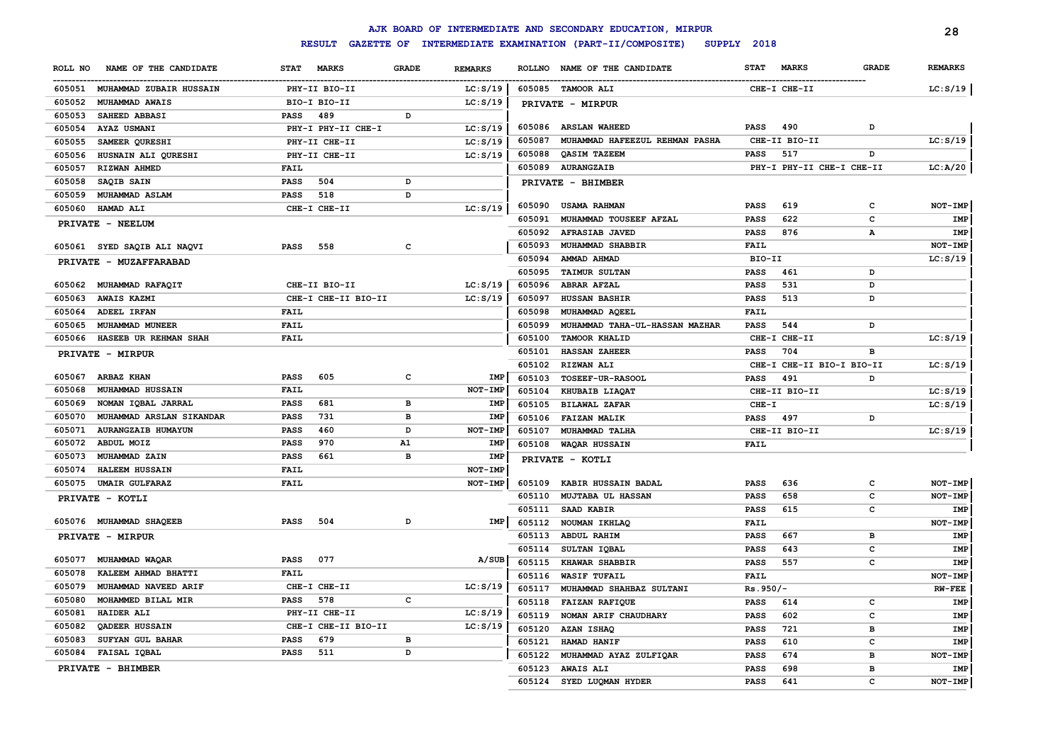|                                     |                             |                                |               | AJK BOARD OF INTERMEDIATE AND SECONDARY EDUCATION, MIRPUR |                           |                           |              | 28                  |
|-------------------------------------|-----------------------------|--------------------------------|---------------|-----------------------------------------------------------|---------------------------|---------------------------|--------------|---------------------|
|                                     | <b>RESULT</b>               |                                |               | GAZETTE OF INTERMEDIATE EXAMINATION (PART-II/COMPOSITE)   | SUPPLY 2018               |                           |              |                     |
| ROLL NO<br>NAME OF THE CANDIDATE    | <b>STAT</b><br><b>MARKS</b> | <b>GRADE</b><br><b>REMARKS</b> | <b>ROLLNO</b> | NAME OF THE CANDIDATE                                     | <b>STAT</b>               | <b>MARKS</b>              | <b>GRADE</b> | <b>REMARKS</b>      |
| 605051<br>MUHAMMAD ZUBAIR HUSSAIN   | PHY-II BIO-II               | LC: S/19                       |               | 605085 TAMOOR ALI                                         |                           | CHE-I CHE-II              |              | LC: S/19            |
| 605052<br>MUHAMMAD AWAIS            | BIO-I BIO-II                | LC: S/19                       |               | PRIVATE - MIRPUR                                          |                           |                           |              |                     |
| 605053<br><b>SAHEED ABBASI</b>      | <b>PASS</b><br>489          | D                              |               |                                                           |                           |                           |              |                     |
| 605054<br>AYAZ USMANI               | PHY-I PHY-II CHE-I          | LC: S/19                       |               | 605086 ARSLAN WAHEED                                      | <b>PASS</b>               | 490                       | D            |                     |
| 605055<br>SAMEER QURESHI            | PHY-II CHE-II               | LC: S/19                       | 605087        | MUHAMMAD HAFEEZUL REHMAN PASHA                            |                           | CHE-II BIO-II             |              | LC: S/19            |
| 605056<br>HUSNAIN ALI QURESHI       | PHY-II CHE-II               | LC: S/19                       | 605088        | QASIM TAZEEM                                              | <b>PASS</b>               | 517                       | D            |                     |
| 605057<br>RIZWAN AHMED              | FAIL                        |                                | 605089        | <b>AURANGZAIB</b>                                         |                           | PHY-I PHY-II CHE-I CHE-II |              | LC: A/20            |
| 605058<br>SAQIB SAIN                | 504<br><b>PASS</b>          | D                              |               | PRIVATE - BHIMBER                                         |                           |                           |              |                     |
| 605059<br><b>MUHAMMAD ASLAM</b>     | 518<br>PASS                 | D                              |               |                                                           |                           |                           |              |                     |
| 605060<br>HAMAD ALI                 | CHE-I CHE-II                | LC: S/19                       | 605090        | <b>USAMA RAHMAN</b>                                       | <b>PASS</b>               | 619                       | c            | NOT-IMP             |
| PRIVATE - NEELUM                    |                             |                                | 605091        | MUHAMMAD TOUSEEF AFZAL                                    | <b>PASS</b>               | 622                       | $\mathbf c$  | IMP                 |
|                                     |                             |                                | 605092        | <b>AFRASIAB JAVED</b>                                     | <b>PASS</b>               | 876                       | А            | IMP                 |
| 605061 SYED SAQIB ALI NAQVI         | 558<br><b>PASS</b>          | $\mathbf{C}$                   | 605093        | MUHAMMAD SHABBIR                                          | <b>FAIL</b>               |                           |              | NOT-IMP             |
| PRIVATE - MUZAFFARABAD              |                             |                                | 605094        | AMMAD AHMAD                                               | BIO-II                    |                           |              | LC: S/19            |
|                                     |                             |                                | 605095        | <b>TAIMUR SULTAN</b>                                      | <b>PASS</b>               | 461                       | D            |                     |
| MUHAMMAD RAFAQIT<br>605062          | CHE-II BIO-II               | LC: S/19                       | 605096        | <b>ABRAR AFZAL</b>                                        | <b>PASS</b>               | 531                       | D            |                     |
| 605063<br><b>AWAIS KAZMI</b>        | CHE-I CHE-II BIO-II         | LC: S/19                       | 605097        | HUSSAN BASHIR                                             | <b>PASS</b>               | 513                       | D            |                     |
| 605064<br>ADEEL IRFAN               | <b>FAIL</b>                 |                                | 605098        | MUHAMMAD AQEEL                                            | FAIL                      |                           |              |                     |
| 605065<br>MUHAMMAD MUNEER           | FAIL                        |                                | 605099        | MUHAMMAD TAHA-UL-HASSAN MAZHAR                            | PASS                      | 544                       | D            |                     |
| 605066<br>HASEEB UR REHMAN SHAH     | <b>FAIL</b>                 |                                | 605100        | <b>TAMOOR KHALID</b>                                      |                           | CHE-I CHE-II              |              | LC: S/19            |
| PRIVATE - MIRPUR                    |                             |                                | 605101        | <b>HASSAN ZAHEER</b>                                      | PASS                      | 704                       | в            |                     |
|                                     |                             |                                | 605102        | <b>RIZWAN ALI</b>                                         |                           | CHE-I CHE-II BIO-I BIO-II |              | LC: S/19            |
| 605067<br>ARBAZ KHAN                | <b>PASS</b><br>605          | c<br>IMP                       | 605103        | TOSEEF-UR-RASOOL                                          | PASS                      | 491                       | D            |                     |
| 605068<br>MUHAMMAD HUSSAIN          | <b>FAIL</b>                 | NOT-IMP                        | 605104        | KHUBAIB LIAQAT                                            |                           | CHE-II BIO-II             |              | LC: S/19            |
| 605069<br>NOMAN IQBAL JARRAL        | <b>PASS</b><br>681          | в<br>IMP                       | 605105        | <b>BILAWAL ZAFAR</b>                                      | $CHE-T$                   |                           |              | LC: S/19            |
| 605070<br>MUHAMMAD ARSLAN SIKANDAR  | <b>PASS</b><br>731          | в<br><b>IMP</b>                | 605106        | <b>FAIZAN MALIK</b>                                       | <b>PASS</b>               | 497                       | D            |                     |
| 605071<br><b>AURANGZAIB HUMAYUN</b> | <b>PASS</b><br>460          | D<br>NOT-IMP                   | 605107        | MUHAMMAD TALHA                                            |                           | CHE-II BIO-II             |              | LC: S/19            |
| 605072<br>ABDUL MOIZ                | <b>PASS</b><br>970          | A1<br><b>IMP</b>               | 605108        | WAQAR HUSSAIN                                             | FAIL                      |                           |              |                     |
| 605073<br>MUHAMMAD ZAIN             | PASS<br>661                 | в<br><b>IMP</b>                |               |                                                           |                           |                           |              |                     |
| 605074<br><b>HALEEM HUSSAIN</b>     | FAIL                        | NOT-IMP                        |               | PRIVATE - KOTLI                                           |                           |                           |              |                     |
| 605075<br><b>UMAIR GULFARAZ</b>     | FAIL                        | $NOT-IMP$                      | 605109        | KABIR HUSSAIN BADAL                                       | <b>PASS</b>               | 636                       | c            | $NOT-IMP$           |
| PRIVATE - KOTLI                     |                             |                                | 605110        | MUJTABA UL HASSAN                                         | <b>PASS</b>               | 658                       | c            | NOT-IMP             |
|                                     |                             |                                | 605111        | SAAD KABIR                                                | <b>PASS</b>               | 615                       | c            | IMP                 |
| 605076 MUHAMMAD SHAQEEB             | <b>PASS</b><br>504          | D<br>IMP                       | 605112        | NOUMAN IKHLAQ                                             | <b>FAIL</b>               |                           |              | NOT-IMP             |
| PRIVATE - MIRPUR                    |                             |                                | 605113        | <b>ABDUL RAHIM</b>                                        | <b>PASS</b>               | 667                       | в            | IMP                 |
|                                     |                             |                                | 605114        | SULTAN IQBAL                                              | <b>PASS</b>               | 643                       | c            | IMP                 |
| 605077<br>MUHAMMAD WAQAR            | 077<br><b>PASS</b>          | A/SUB                          | 605115        | KHAWAR SHABBIR                                            | <b>PASS</b>               | 557                       | c            | IMP                 |
| 605078<br>KALEEM AHMAD BHATTI       | <b>FAIL</b>                 |                                | 605116        |                                                           |                           |                           |              |                     |
| 605079<br>MUHAMMAD NAVEED ARIF      | CHE-I CHE-II                | LC: S/19                       | 605117        | <b>WASIF TUFAIL</b><br>MUHAMMAD SHAHBAZ SULTANI           | <b>FAIL</b><br>$Rs.950/-$ |                           |              | NOT-IMP<br>$RW-FEE$ |
| 605080<br>MOHAMMED BILAL MIR        | 578<br><b>PASS</b>          | c                              |               |                                                           |                           |                           |              |                     |
| 605081<br><b>HAIDER ALI</b>         | PHY-II CHE-II               | LC: S/19                       | 605118        | <b>FAIZAN RAFIQUE</b>                                     | PASS                      | 614                       | c            | IMP                 |
| 605082<br>QADEER HUSSAIN            | CHE-I CHE-II BIO-II         | LC: S/19                       | 605119        | NOMAN ARIF CHAUDHARY                                      | PASS                      | 602                       | c            | IMP                 |
| 605083<br>SUFYAN GUL BAHAR          | 679<br><b>PASS</b>          | в                              | 605120        | AZAN ISHAQ                                                | <b>PASS</b>               | 721                       | в            | IMP                 |
| 605084<br>FAISAL IQBAL              | 511<br><b>PASS</b>          | D                              | 605121        | HAMAD HANIF                                               | <b>PASS</b>               | 610                       | c            | IMP                 |
|                                     |                             |                                | 605122        | MUHAMMAD AYAZ ZULFIQAR                                    | <b>PASS</b>               | 674                       | в            | NOT-IMP             |
| PRIVATE - BHIMBER                   |                             |                                | 605123        | <b>AWAIS ALI</b>                                          | <b>PASS</b>               | 698                       | в            | IMP                 |
|                                     |                             |                                | 605124        | SYED LUQMAN HYDER                                         | <b>PASS</b>               | 641                       | C            | NOT-IMP             |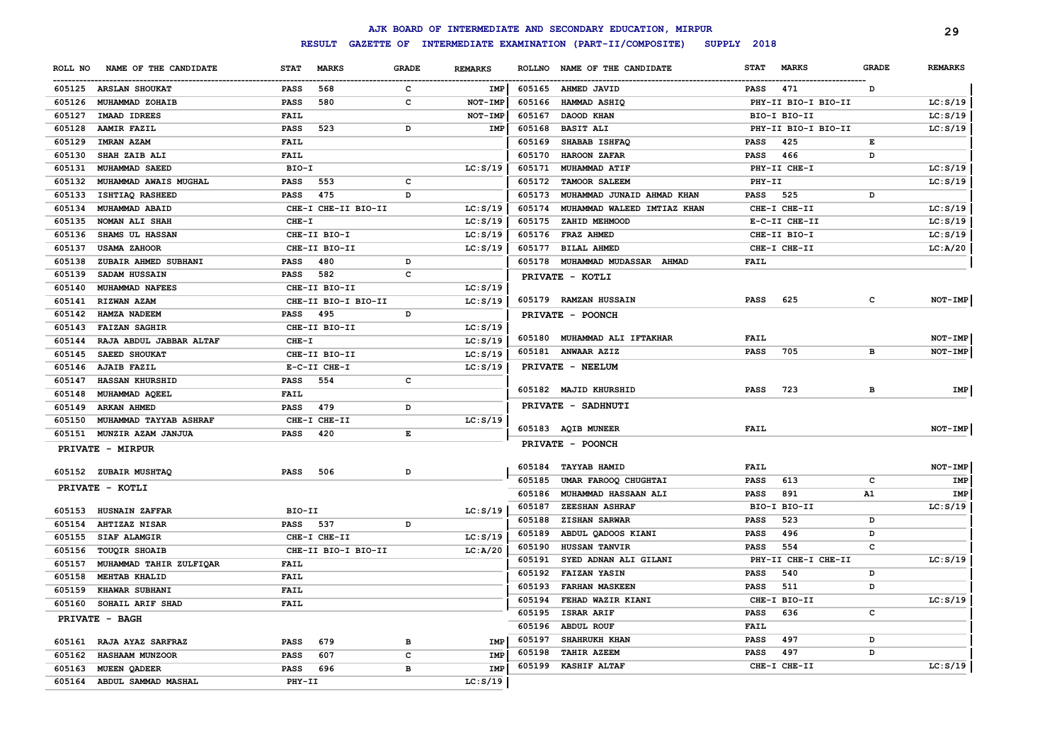|         |                            |             |                     |       |                |        | AJK BOARD OF INTERMEDIATE AND SECONDARY EDUCATION, MIRPUR |             |                     |              | 29             |
|---------|----------------------------|-------------|---------------------|-------|----------------|--------|-----------------------------------------------------------|-------------|---------------------|--------------|----------------|
|         |                            |             | <b>RESULT</b>       |       |                |        | GAZETTE OF INTERMEDIATE EXAMINATION (PART-II/COMPOSITE)   | SUPPLY 2018 |                     |              |                |
| ROLL NO | NAME OF THE CANDIDATE      | <b>STAT</b> | <b>MARKS</b>        | GRADE | <b>REMARKS</b> |        | ROLLNO NAME OF THE CANDIDATE                              | <b>STAT</b> | <b>MARKS</b>        | <b>GRADE</b> | <b>REMARKS</b> |
|         | 605125 ARSLAN SHOUKAT      | PASS        | 568                 | c     | IMP            | 605165 | <b>AHMED JAVID</b>                                        | PASS        | 471                 | D            |                |
| 605126  | <b>MUHAMMAD ZOHAIB</b>     | PASS        | 580                 | c     | NOT-IMP        | 605166 | <b>HAMMAD ASHIQ</b>                                       |             | PHY-II BIO-I BIO-II |              | LC: S/19       |
| 605127  | IMAAD IDREES               | FAIL        |                     |       | NOT-IMP        | 605167 | DAOOD KHAN                                                |             | BIO-I BIO-II        |              | LC: S/19       |
| 605128  | <b>AAMIR FAZIL</b>         | <b>PASS</b> | 523                 | D     | IMP            | 605168 | <b>BASIT ALI</b>                                          |             | PHY-II BIO-I BIO-II |              | LC: S/19       |
| 605129  | <b>IMRAN AZAM</b>          | FAIL        |                     |       |                | 605169 | SHABAB ISHFAQ                                             | <b>PASS</b> | 425                 | Е            |                |
| 605130  | SHAH ZAIB ALI              | <b>FAIL</b> |                     |       |                | 605170 | <b>HAROON ZAFAR</b>                                       | <b>PASS</b> | 466                 | D            |                |
| 605131  | MUHAMMAD SAEED             | BIO-I       |                     |       | LC: S/19       | 605171 | MUHAMMAD ATIF                                             |             | PHY-II CHE-I        |              | LC: S/19       |
| 605132  | MUHAMMAD AWAIS MUGHAL      | <b>PASS</b> | 553                 | c     |                |        | 605172 TAMOOR SALEEM                                      | PHY-II      |                     |              | LC: S/19       |
| 605133  | <b>ISHTIAQ RASHEED</b>     | <b>PASS</b> | 475                 | D     |                | 605173 | MUHAMMAD JUNAID AHMAD KHAN                                | <b>PASS</b> | 525                 | D            |                |
| 605134  | MUHAMMAD ABAID             |             | CHE-I CHE-II BIO-II |       | LC: S/19       | 605174 | MUHAMMAD WALEED IMTIAZ KHAN                               |             | CHE-I CHE-II        |              | LC: S/19       |
| 605135  | NOMAN ALI SHAH             | CHE-I       |                     |       | LC: S/19       | 605175 | ZAHID MEHMOOD                                             |             | E-C-II CHE-II       |              | LC: S/19       |
| 605136  | SHAMS UL HASSAN            |             | CHE-II BIO-I        |       | LC: S/19       |        | 605176 FRAZ AHMED                                         |             | CHE-II BIO-I        |              | LC: S/19       |
| 605137  | <b>USAMA ZAHOOR</b>        |             | CHE-II BIO-II       |       | LC: S/19       |        | 605177 BILAL AHMED                                        |             | CHE-I CHE-II        |              | LC: A/20       |
| 605138  | ZUBAIR AHMED SUBHANI       | <b>PASS</b> | 480                 | D     |                |        | 605178 MUHAMMAD MUDASSAR AHMAD                            | FAIL        |                     |              |                |
| 605139  | SADAM HUSSAIN              | PASS        | 582                 | c     |                |        | PRIVATE - KOTLI                                           |             |                     |              |                |
| 605140  | MUHAMMAD NAFEES            |             | CHE-II BIO-II       |       | LC: S/19       |        |                                                           |             |                     |              |                |
| 605141  | <b>RIZWAN AZAM</b>         |             | CHE-II BIO-I BIO-II |       | LC: S/19       |        | 605179 RAMZAN HUSSAIN                                     | <b>PASS</b> | 625                 | c            | <b>NOT-IMP</b> |
| 605142  | HAMZA NADEEM               | PASS        | 495                 | D     |                |        | PRIVATE - POONCH                                          |             |                     |              |                |
| 605143  | <b>FAIZAN SAGHIR</b>       |             | CHE-II BIO-II       |       | LC: S/19       |        |                                                           |             |                     |              |                |
| 605144  | RAJA ABDUL JABBAR ALTAF    | $CHE-T$     |                     |       | LC: S/19       |        | 605180 MUHAMMAD ALI IFTAKHAR                              | FAIL        |                     |              | NOT-IMP        |
| 605145  | <b>SAEED SHOUKAT</b>       |             | CHE-II BIO-II       |       | LC: S/19       |        | 605181 ANWAAR AZIZ                                        | <b>PASS</b> | 705                 | в            | NOT-IMP        |
|         | 605146 AJAIB FAZIL         |             | E-C-II CHE-I        |       | LC: S/19       |        | PRIVATE - NEELUM                                          |             |                     |              |                |
| 605147  | HASSAN KHURSHID            | <b>PASS</b> | 554                 | c     |                |        |                                                           |             |                     |              |                |
| 605148  | MUHAMMAD AQEEL             | FAIL        |                     |       |                |        | 605182 MAJID KHURSHID                                     | <b>PASS</b> | 723                 | в            | IMP            |
| 605149  | <b>ARKAN AHMED</b>         | <b>PASS</b> | 479                 | D     |                |        | PRIVATE - SADHNUTI                                        |             |                     |              |                |
| 605150  | MUHAMMAD TAYYAB ASHRAF     |             | CHE-I CHE-II        |       | LC: S/19       |        |                                                           |             |                     |              |                |
| 605151  | MUNZIR AZAM JANJUA         | <b>PASS</b> | 420                 | E     |                |        | 605183 AQIB MUNEER                                        | <b>FAIL</b> |                     |              | <b>NOT-IMP</b> |
|         | <b>PRIVATE - MIRPUR</b>    |             |                     |       |                |        | <b>PRIVATE - POONCH</b>                                   |             |                     |              |                |
|         |                            |             |                     |       |                |        |                                                           |             |                     |              |                |
|         | 605152 ZUBAIR MUSHTAQ      | PASS        | 506                 | D     |                | 605184 | <b>TAYYAB HAMID</b>                                       | FAIL        |                     |              | NOT-IMP        |
|         | PRIVATE - KOTLI            |             |                     |       |                | 605185 | UMAR FAROOQ CHUGHTAI                                      | <b>PASS</b> | 613                 | C            | IMP            |
|         |                            |             |                     |       |                | 605186 | MUHAMMAD HASSAAN ALI                                      | <b>PASS</b> | 891                 | Α1           | IMP            |
| 605153  | <b>HUSNAIN ZAFFAR</b>      | BIO-II      |                     |       | LC: S/19       | 605187 | <b>ZEESHAN ASHRAF</b>                                     |             | BIO-I BIO-II        |              | LC: S/19       |
| 605154  | AHTIZAZ NISAR              | PASS 537    |                     | D     |                | 605188 | ZISHAN SARWAR                                             | <b>PASS</b> | 523                 | D            |                |
| 605155  | SIAF ALAMGIR               |             | CHE-I CHE-II        |       | LC: S/19       | 605189 | ABDUL QADOOS KIANI                                        | <b>PASS</b> | 496                 | D            |                |
| 605156  | TOUQIR SHOAIB              |             | CHE-II BIO-I BIO-II |       | LC: A/20       | 605190 | HUSSAN TANVIR                                             | <b>PASS</b> | 554                 | c            |                |
| 605157  | MUHAMMAD TAHIR ZULFIQAR    | FAIL        |                     |       |                | 605191 | SYED ADNAN ALI GILANI                                     |             | PHY-II CHE-I CHE-II |              | LC: S/19       |
| 605158  | <b>MEHTAB KHALID</b>       | <b>FAIL</b> |                     |       |                | 605192 | <b>FAIZAN YASIN</b>                                       | <b>PASS</b> | 540                 | D            |                |
| 605159  | <b>KHAWAR SUBHANI</b>      | <b>FAIL</b> |                     |       |                | 605193 | <b>FARHAN MASKEEN</b>                                     | <b>PASS</b> | 511                 | D            |                |
|         | 605160 SOHAIL ARIF SHAD    | <b>FAIL</b> |                     |       |                |        | 605194 FEHAD WAZIR KIANI                                  |             | CHE-I BIO-II        |              | LC: S/19       |
|         | <b>PRIVATE - BAGH</b>      |             |                     |       |                | 605195 | <b>ISRAR ARIF</b>                                         | PASS        | 636                 | c            |                |
|         |                            |             |                     |       |                |        | 605196 ABDUL ROUF                                         | <b>FAIL</b> |                     |              |                |
|         | 605161 RAJA AYAZ SARFRAZ   | PASS        | 679                 | в     | IMP            | 605197 | SHAHRUKH KHAN                                             | PASS        | 497                 | D            |                |
|         | 605162 HASHAAM MUNZOOR     | PASS        | 607                 | c     | IMP            | 605198 | <b>TAHIR AZEEM</b>                                        | PASS        | 497                 | D            |                |
|         | 605163 MUEEN QADEER        | PASS        | 696                 | в     | IMP            | 605199 | <b>KASHIF ALTAF</b>                                       |             | CHE-I CHE-II        |              | LC: S/19       |
|         | 605164 ABDUL SAMMAD MASHAL | PHY-II      |                     |       | LC: S/19       |        |                                                           |             |                     |              |                |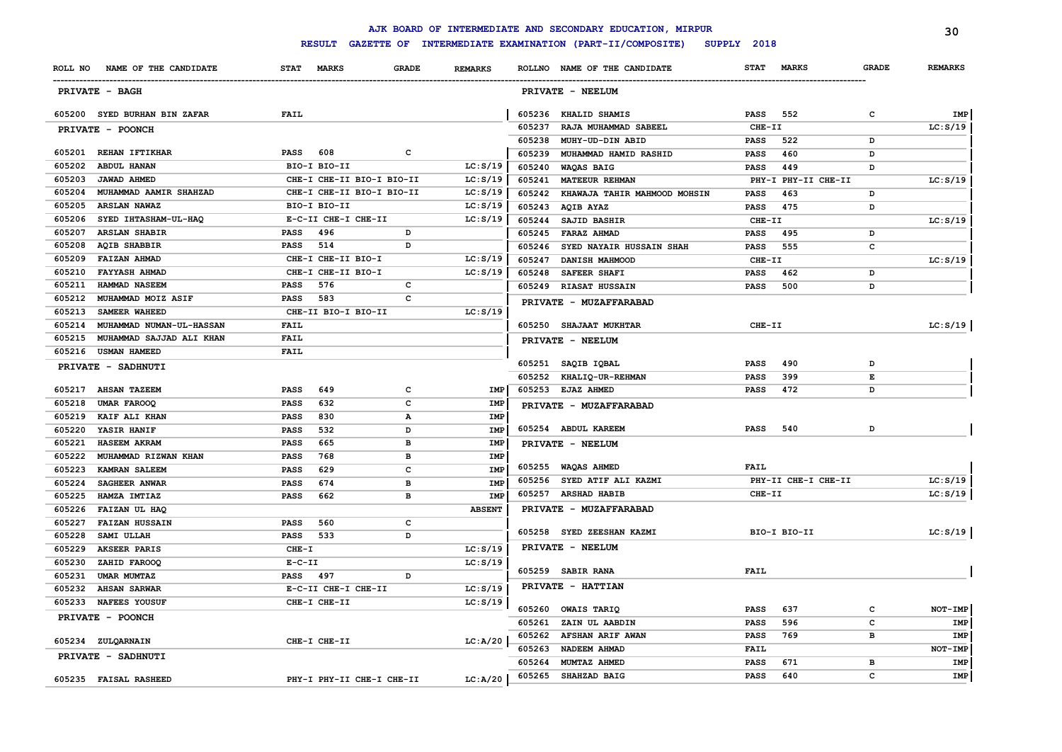|                  |                                           |                     |                           |                   |                |        | AJK BOARD OF INTERMEDIATE AND SECONDARY EDUCATION, MIRPUR |             |                     |                | 30             |
|------------------|-------------------------------------------|---------------------|---------------------------|-------------------|----------------|--------|-----------------------------------------------------------|-------------|---------------------|----------------|----------------|
|                  |                                           |                     | <b>RESULT</b>             |                   |                |        | GAZETTE OF INTERMEDIATE EXAMINATION (PART-II/COMPOSITE)   | SUPPLY 2018 |                     |                |                |
|                  | ROLL NO NAME OF THE CANDIDATE             |                     | STAT MARKS                | <b>GRADE</b>      | <b>REMARKS</b> |        | ROLLNO NAME OF THE CANDIDATE                              | <b>STAT</b> | <b>MARKS</b>        | <b>GRADE</b>   | <b>REMARKS</b> |
|                  | PRIVATE - BAGH                            |                     |                           |                   |                |        | PRIVATE - NEELUM                                          |             |                     |                |                |
|                  | 605200 SYED BURHAN BIN ZAFAR              | <b>FAIL</b>         |                           |                   |                |        | 605236 KHALID SHAMIS                                      | <b>PASS</b> | 552                 | c              | IMP            |
|                  | PRIVATE - POONCH                          |                     |                           |                   |                | 605237 | RAJA MUHAMMAD SABEEL                                      | CHE-II      |                     |                | LC: S/19       |
|                  |                                           |                     |                           |                   |                | 605238 | MUHY-UD-DIN ABID                                          | <b>PASS</b> | 522                 | D              |                |
| 605201           | <b>REHAN IFTIKHAR</b>                     | <b>PASS</b>         | 608                       | c                 |                | 605239 | MUHAMMAD HAMID RASHID                                     | <b>PASS</b> | 460                 | D              |                |
| 605202           | <b>ABDUL HANAN</b>                        |                     | BIO-I BIO-II              |                   | LC: S/19       | 605240 | WAQAS BAIG                                                | <b>PASS</b> | 449                 | D              |                |
| 605203           | <b>JAWAD AHMED</b>                        |                     | CHE-I CHE-II BIO-I BIO-II |                   | LC: S/19       | 605241 | <b>MATEEUR REHMAN</b>                                     |             | PHY-I PHY-II CHE-II |                | LC: S/19       |
| 605204           | MUHAMMAD AAMIR SHAHZAD                    |                     | CHE-I CHE-II BIO-I BIO-II |                   | LC: S/19       | 605242 | KHAWAJA TAHIR MAHMOOD MOHSIN                              | <b>PASS</b> | 463                 | D              |                |
| 605205           | ARSLAN NAWAZ                              |                     | BIO-I BIO-II              |                   | LC: S/19       | 605243 | AQIB AYAZ                                                 | <b>PASS</b> | 475                 | D              |                |
| 605206           | SYED IHTASHAM-UL-HAQ                      |                     | E-C-II CHE-I CHE-II       |                   | LC: S/19       | 605244 | SAJID BASHIR                                              | CHE-II      |                     |                | LC: S/19       |
| 605207           | <b>ARSLAN SHABIR</b>                      | <b>PASS</b>         | 496                       | D                 |                | 605245 | FARAZ AHMAD                                               | <b>PASS</b> | 495                 | D              |                |
| 605208           | <b>AQIB SHABBIR</b>                       | <b>PASS</b>         | 514                       | D                 |                | 605246 | SYED NAYAIR HUSSAIN SHAH                                  | <b>PASS</b> | 555                 | c              |                |
| 605209           | <b>FAIZAN AHMAD</b>                       |                     | CHE-I CHE-II BIO-I        |                   | LC: S/19       | 605247 | DANISH MAHMOOD                                            | CHE-II      |                     |                | LC: S/19       |
| 605210           | <b>FAYYASH AHMAD</b>                      |                     | CHE-I CHE-II BIO-I        |                   | LC: S/19       | 605248 | SAFEER SHAFI                                              | PASS        | 462                 | D              |                |
| 605211           | HAMMAD NASEEM                             | <b>PASS</b>         | 576                       | c                 |                | 605249 | <b>RIASAT HUSSAIN</b>                                     | PASS        | 500                 | D              |                |
| 605212           | MUHAMMAD MOIZ ASIF                        | <b>PASS</b>         | 583                       | c                 |                |        | PRIVATE - MUZAFFARABAD                                    |             |                     |                |                |
| 605213           | <b>SAMEER WAHEED</b>                      |                     | CHE-II BIO-I BIO-II       |                   | LC: S/19       |        |                                                           |             |                     |                |                |
| 605214           | MUHAMMAD NUMAN-UL-HASSAN                  | FAIL                |                           |                   |                |        | 605250 SHAJAAT MUKHTAR                                    | CHE-II      |                     |                | LC: S/19       |
| 605215           | MUHAMMAD SAJJAD ALI KHAN                  | FAIL                |                           |                   |                |        | PRIVATE - NEELUM                                          |             |                     |                |                |
| 605216           | <b>USMAN HAMEED</b>                       | FAIL                |                           |                   |                |        |                                                           |             |                     |                |                |
|                  | PRIVATE - SADHNUTI                        |                     |                           |                   |                | 605251 | SAQIB IQBAL                                               | <b>PASS</b> | 490                 | D<br>E         |                |
|                  |                                           |                     |                           |                   |                |        | 605252 KHALIQ-UR-REHMAN                                   | <b>PASS</b> | 399<br>472          | D              |                |
| 605217<br>605218 | <b>AHSAN TAZEEM</b><br><b>UMAR FAROOQ</b> | <b>PASS</b><br>PASS | 649<br>632                | с<br>$\mathbf{C}$ | IMP<br>IMP     |        | 605253 EJAZ AHMED                                         | <b>PASS</b> |                     |                |                |
| 605219           | KAIF ALI KHAN                             | <b>PASS</b>         | 830                       | $\mathbf{A}$      | IMP            |        | PRIVATE - MUZAFFARABAD                                    |             |                     |                |                |
| 605220           | YASIR HANIF                               | <b>PASS</b>         | 532                       | D                 | IMP            |        | 605254 ABDUL KAREEM                                       | <b>PASS</b> | 540                 | D              |                |
| 605221           | <b>HASEEM AKRAM</b>                       | <b>PASS</b>         | 665                       | в                 | IMP            |        |                                                           |             |                     |                |                |
| 605222           | MUHAMMAD RIZWAN KHAN                      | <b>PASS</b>         | 768                       | в                 | IMP            |        | PRIVATE - NEELUM                                          |             |                     |                |                |
| 605223           | <b>KAMRAN SALEEM</b>                      | <b>PASS</b>         | 629                       | $\mathbf{C}$      | <b>IMP</b>     | 605255 | <b>WAQAS AHMED</b>                                        | <b>FAIL</b> |                     |                |                |
| 605224           | <b>SAGHEER ANWAR</b>                      | PASS                | 674                       | в                 | <b>IMP</b>     |        | 605256 SYED ATIF ALI KAZMI                                |             | PHY-II CHE-I CHE-II |                | LC: S/19       |
| 605225           | HAMZA IMTIAZ                              | PASS                | 662                       | в                 | <b>IMP</b>     | 605257 | <b>ARSHAD HABIB</b>                                       | CHE-II      |                     |                | LC: S/19       |
| 605226           | FAIZAN UL HAQ                             |                     |                           |                   | <b>ABSENT</b>  |        | PRIVATE - MUZAFFARABAD                                    |             |                     |                |                |
| 605227           | <b>FAIZAN HUSSAIN</b>                     | <b>PASS</b>         | 560                       | c                 |                |        |                                                           |             |                     |                |                |
| 605228           | SAMI ULLAH                                | <b>PASS</b>         | 533                       | D                 |                |        | 605258 SYED ZEESHAN KAZMI                                 |             | BIO-I BIO-II        |                | LC: S/19       |
| 605229           | AKSEER PARIS                              | $CHE-T$             |                           |                   | LC: S/19       |        | PRIVATE - NEELUM                                          |             |                     |                |                |
| 605230           | ZAHID FAROOQ                              | $E-C-II$            |                           |                   | LC: S/19       |        |                                                           |             |                     |                |                |
| 605231           | UMAR MUMTAZ                               | <b>PASS</b>         | 497                       | D                 |                |        | 605259 SABIR RANA                                         | <b>FAIL</b> |                     |                |                |
| 605232           | <b>AHSAN SARWAR</b>                       |                     | E-C-II CHE-I CHE-II       |                   | LC: S/19       |        | PRIVATE - HATTIAN                                         |             |                     |                |                |
| 605233           | <b>NAFEES YOUSUF</b>                      |                     | CHE-I CHE-II              |                   | LC: S/19       |        |                                                           |             |                     |                |                |
|                  | PRIVATE - POONCH                          |                     |                           |                   |                | 605260 | <b>OWAIS TARIQ</b>                                        | <b>PASS</b> | 637                 | c              | NOT-IMP        |
|                  |                                           |                     |                           |                   |                | 605261 | ZAIN UL AABDIN                                            | <b>PASS</b> | 596                 | C              | IMP            |
|                  | 605234 ZULQARNAIN                         |                     | CHE-I CHE-II              |                   | LC: A/20       |        | 605262 AFSHAN ARIF AWAN                                   | <b>PASS</b> | 769                 | в              | IMP            |
|                  | PRIVATE - SADHNUTI                        |                     |                           |                   |                | 605263 | NADEEM AHMAD                                              | <b>FAIL</b> |                     |                | NOT-IMP        |
|                  |                                           |                     |                           |                   |                | 605264 | MUMTAZ AHMED                                              | <b>PASS</b> | 671                 | $\overline{B}$ | <b>IMP</b>     |
|                  | 605235 FAISAL RASHEED                     |                     | PHY-I PHY-II CHE-I CHE-II |                   | LC: A/20       | 605265 | SHAHZAD BAIG                                              | <b>PASS</b> | 640                 | C              | <b>IMP</b>     |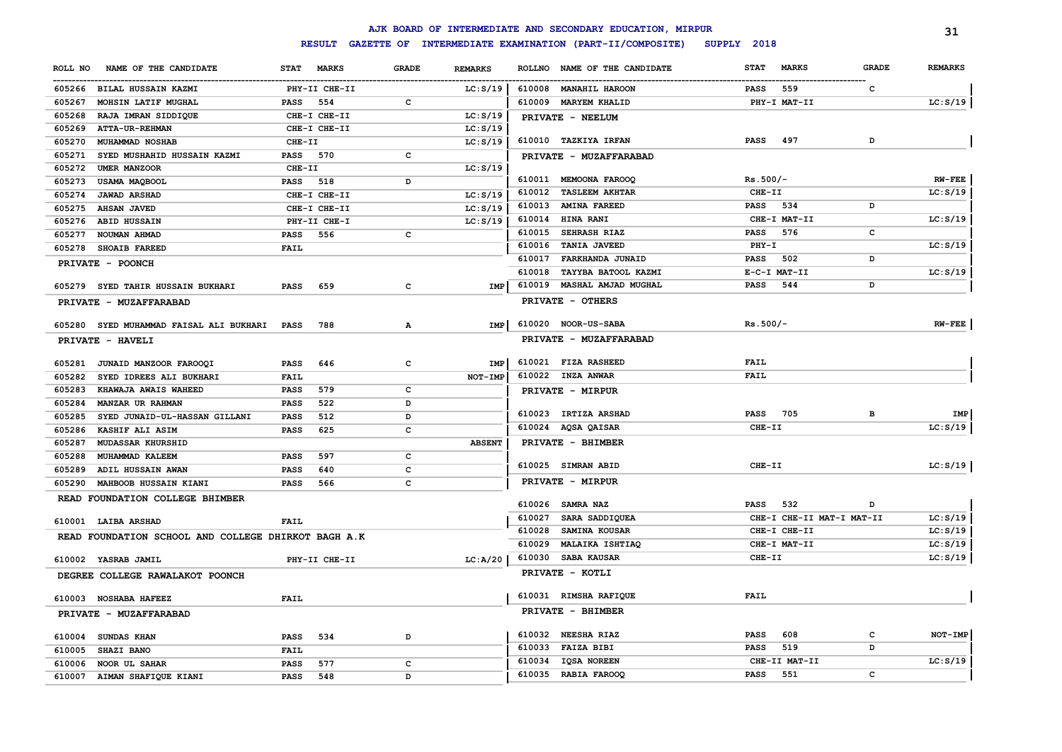|                                                     |                      |              |                |               | AJK BOARD OF INTERMEDIATE AND SECONDARY EDUCATION, MIRPUR |             |                           |              | 31             |
|-----------------------------------------------------|----------------------|--------------|----------------|---------------|-----------------------------------------------------------|-------------|---------------------------|--------------|----------------|
|                                                     | <b>RESULT</b>        |              |                |               | GAZETTE OF INTERMEDIATE EXAMINATION (PART-II/COMPOSITE)   | SUPPLY 2018 |                           |              |                |
| NAME OF THE CANDIDATE<br>ROLL NO                    | <b>MARKS</b><br>STAT | <b>GRADE</b> | <b>REMARKS</b> | <b>ROLLNO</b> | NAME OF THE CANDIDATE                                     | <b>STAT</b> | <b>MARKS</b>              | <b>GRADE</b> | <b>REMARKS</b> |
| 605266 BILAL HUSSAIN KAZMI                          | PHY-II CHE-II        |              | LC: S/19       |               | 610008 MANAHIL HAROON                                     | <b>PASS</b> | 559                       | c            |                |
| 605267<br>MOHSIN LATIF MUGHAL                       | PASS<br>554          | c            |                |               | 610009 MARYEM KHALID                                      |             | PHY-I MAT-II              |              | LC: S/19       |
| 605268<br>RAJA IMRAN SIDDIQUE                       | CHE-I CHE-II         |              | LC: S/19       |               | PRIVATE - NEELUM                                          |             |                           |              |                |
| 605269<br><b>ATTA-UR-REHMAN</b>                     | CHE-I CHE-II         |              | LC: S/19       |               |                                                           |             |                           |              |                |
| 605270<br>MUHAMMAD NOSHAB                           | CHE-II               |              | LC: S/19       |               | 610010 TAZKIYA IRFAN                                      | <b>PASS</b> | 497                       | D            |                |
| 605271<br>SYED MUSHAHID HUSSAIN KAZMI               | <b>PASS</b><br>570   | c            |                |               | PRIVATE - MUZAFFARABAD                                    |             |                           |              |                |
| 605272<br>UMER MANZOOR                              | CHE-II               |              | LC: S/19       |               |                                                           |             |                           |              |                |
| 605273<br>USAMA MAQBOOL                             | <b>PASS</b><br>518   | D            |                |               | 610011 MEMOONA FAROOQ                                     | $Rs.500/-$  |                           |              | $RW-FEE$       |
| 605274<br><b>JAWAD ARSHAD</b>                       | CHE-I CHE-II         |              | LC: S/19       | 610012        | <b>TASLEEM AKHTAR</b>                                     | CHE-II      |                           |              | LC: S/19       |
| 605275<br><b>AHSAN JAVED</b>                        | CHE-I CHE-II         |              | LC: S/19       | 610013        | <b>AMINA FAREED</b>                                       | <b>PASS</b> | 534                       | D            |                |
| 605276<br><b>ABID HUSSAIN</b>                       | PHY-II CHE-I         |              | LC: S/19       |               | 610014 HINA RANI                                          |             | CHE-I MAT-II              |              | LC: S/19       |
| 605277<br>NOUMAN AHMAD                              | 556<br>PASS          | c            |                |               | 610015 SEHRASH RIAZ                                       | <b>PASS</b> | 576                       | c            |                |
| 605278<br><b>SHOAIB FAREED</b>                      | FAIL                 |              |                |               | 610016 TANIA JAVEED                                       | $PHY-I$     |                           |              | LC: S/19       |
| PRIVATE - POONCH                                    |                      |              |                | 610017        | FARKHANDA JUNAID                                          | <b>PASS</b> | 502                       | D            |                |
|                                                     |                      |              |                | 610018        | TAYYBA BATOOL KAZMI                                       |             | E-C-I MAT-II              |              | LC: S/19       |
| SYED TAHIR HUSSAIN BUKHARI<br>605279                | 659<br><b>PASS</b>   | $\mathbf{C}$ | <b>IMP</b>     | 610019        | MASHAL AMJAD MUGHAL                                       | <b>PASS</b> | 544                       | D            |                |
| PRIVATE - MUZAFFARABAD                              |                      |              |                |               | PRIVATE - OTHERS                                          |             |                           |              |                |
|                                                     |                      |              |                |               |                                                           |             |                           |              |                |
| 605280<br>SYED MUHAMMAD FAISAL ALI BUKHARI          | <b>PASS</b><br>788   | А            | <b>IMP</b>     |               | 610020 NOOR-US-SABA                                       | $Rs.500/-$  |                           |              | $RW-FEE$       |
| PRIVATE - HAVELI                                    |                      |              |                |               | PRIVATE - MUZAFFARABAD                                    |             |                           |              |                |
| 605281 JUNAID MANZOOR FAROOQI                       | <b>PASS</b><br>646   | c            | IMP            |               | 610021 FIZA RASHEED                                       | FAIL        |                           |              |                |
| 605282<br>SYED IDREES ALI BUKHARI                   | FAIL                 |              | NOT-IMP        |               | 610022 INZA ANWAR                                         | <b>FAIL</b> |                           |              |                |
| 605283<br>KHAWAJA AWAIS WAHEED                      | 579<br><b>PASS</b>   | $\mathbf c$  |                |               | PRIVATE - MIRPUR                                          |             |                           |              |                |
| 605284<br>MANZAR UR RAHMAN                          | 522<br><b>PASS</b>   | D            |                |               |                                                           |             |                           |              |                |
| 605285<br>SYED JUNAID-UL-HASSAN GILLANI             | 512<br><b>PASS</b>   | D            |                |               | 610023 IRTIZA ARSHAD                                      | <b>PASS</b> | 705                       | в            | IMP            |
| 605286<br>KASHIF ALI ASIM                           | 625<br><b>PASS</b>   | $\mathbf c$  |                |               | 610024 AQSA QAISAR                                        | CHE-II      |                           |              | LC: S/19       |
| 605287<br><b>MUDASSAR KHURSHID</b>                  |                      |              | <b>ABSENT</b>  |               | PRIVATE - BHIMBER                                         |             |                           |              |                |
| 605288<br>MUHAMMAD KALEEM                           | PASS<br>597          | c            |                |               |                                                           |             |                           |              |                |
| 605289<br>ADIL HUSSAIN AWAN                         | 640<br><b>PASS</b>   | C            |                |               | 610025 SIMRAN ABID                                        | CHE-II      |                           |              | LC: S/19       |
| 605290<br>MAHBOOB HUSSAIN KIANI                     | 566<br><b>PASS</b>   | C            |                |               | PRIVATE - MIRPUR                                          |             |                           |              |                |
| READ FOUNDATION COLLEGE BHIMBER                     |                      |              |                |               |                                                           |             |                           |              |                |
|                                                     |                      |              |                | 610026        | <b>SAMRA NAZ</b>                                          | PASS        | 532                       | D            |                |
| 610001 LAIBA ARSHAD                                 | <b>FAIL</b>          |              |                | 610027        | SARA SADDIQUEA                                            |             | CHE-I CHE-II MAT-I MAT-II |              | LC: S/19       |
| READ FOUNDATION SCHOOL AND COLLEGE DHIRKOT BAGH A.K |                      |              |                | 610028        | SAMINA KOUSAR                                             |             | CHE-I CHE-II              |              | LC: S/19       |
|                                                     |                      |              |                | 610029        | <b>MALAIKA ISHTIAQ</b>                                    |             | CHE-I MAT-II              |              | LC: S/19       |
| 610002 YASRAB JAMIL                                 | PHY-II CHE-II        |              | LC:A/20        | 610030        | <b>SABA KAUSAR</b>                                        | CHE-II      |                           |              | LC: S/19       |
| DEGREE COLLEGE RAWALAKOT POONCH                     |                      |              |                |               | PRIVATE - KOTLI                                           |             |                           |              |                |
| 610003<br><b>NOSHABA HAFEEZ</b>                     | <b>FAIL</b>          |              |                |               | 610031 RIMSHA RAFIQUE                                     | FAIL        |                           |              |                |
|                                                     |                      |              |                |               | PRIVATE - BHIMBER                                         |             |                           |              |                |
| PRIVATE - MUZAFFARABAD                              |                      |              |                |               |                                                           |             |                           |              |                |
| <b>SUNDAS KHAN</b><br>610004                        | PASS<br>534          | D            |                |               | 610032 NEESHA RIAZ                                        | <b>PASS</b> | 608                       | c            | NOT-IMP        |
| 610005<br>SHAZI BANO                                | <b>FAIL</b>          |              |                | 610033        | <b>FAIZA BIBI</b>                                         | <b>PASS</b> | 519                       | D            |                |
| 610006<br>NOOR UL SAHAR                             | 577<br><b>PASS</b>   | $\mathbf c$  |                | 610034        | IQSA NOREEN                                               |             | CHE-II MAT-II             |              | LC: S/19       |
| 610007<br>AIMAN SHAFIQUE KIANI                      | PASS<br>548          | D            |                |               | 610035 RABIA FAROOQ                                       | <b>PASS</b> | 551                       | c            |                |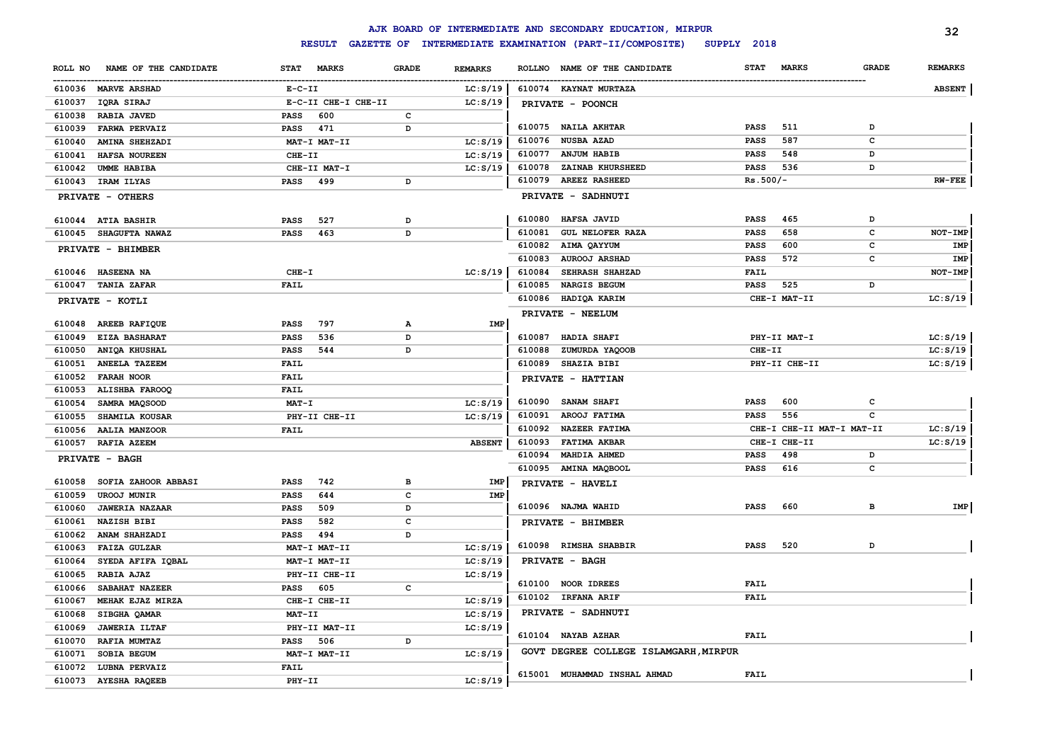|                                  |                                             |                | AJK BOARD OF INTERMEDIATE AND SECONDARY EDUCATION, MIRPUR |                             |              | 32             |
|----------------------------------|---------------------------------------------|----------------|-----------------------------------------------------------|-----------------------------|--------------|----------------|
|                                  | <b>RESULT</b>                               |                | GAZETTE OF INTERMEDIATE EXAMINATION (PART-II/COMPOSITE)   | SUPPLY 2018                 |              |                |
| NAME OF THE CANDIDATE<br>ROLL NO | <b>STAT</b><br><b>MARKS</b><br><b>GRADE</b> | <b>REMARKS</b> | ROLLNO NAME OF THE CANDIDATE                              | <b>STAT</b><br><b>MARKS</b> | <b>GRADE</b> | <b>REMARKS</b> |
| 610036 MARVE ARSHAD              | $E- C- II$                                  | LC: S/19       | 610074 KAYNAT MURTAZA                                     |                             |              | <b>ABSENT</b>  |
| 610037<br>IQRA SIRAJ             | E-C-II CHE-I CHE-II                         | LC: S/19       | PRIVATE - POONCH                                          |                             |              |                |
| 610038<br><b>RABIA JAVED</b>     | 600<br>c<br><b>PASS</b>                     |                |                                                           |                             |              |                |
| 610039<br><b>FARWA PERVAIZ</b>   | 471<br><b>PASS</b><br>D                     |                | 610075 NAILA AKHTAR                                       | PASS<br>511                 | D            |                |
| 610040<br>AMINA SHEHZADI         | MAT-I MAT-II                                | LC: S/19       | 610076<br><b>NUSBA AZAD</b>                               | PASS<br>587                 | c            |                |
| 610041<br>HAFSA NOUREEN          | CHE-II                                      | LC: S/19       | 610077<br><b>ANJUM HABIB</b>                              | 548<br><b>PASS</b>          | D            |                |
| 610042<br>UMME HABIBA            | CHE-II MAT-I                                | LC: S/19       | 610078<br>ZAINAB KHURSHEED                                | <b>PASS</b><br>536          | D            |                |
| 610043<br>IRAM ILYAS             | 499<br><b>PASS</b><br>D                     |                | 610079<br><b>AREEZ RASHEED</b>                            | $Rs.500/-$                  |              | $RW-FEE$       |
| PRIVATE - OTHERS                 |                                             |                | PRIVATE - SADHNUTI                                        |                             |              |                |
| <b>ATIA BASHIR</b><br>610044     | 527<br><b>PASS</b><br>D                     |                | HAFSA JAVID<br>610080                                     | 465<br>PASS                 | D            |                |
| SHAGUFTA NAWAZ<br>610045         | 463<br>D<br><b>PASS</b>                     |                | 610081<br><b>GUL NELOFER RAZA</b>                         | 658<br><b>PASS</b>          | c            | NOT-IMP        |
| PRIVATE - BHIMBER                |                                             |                | 610082<br>AIMA QAYYUM                                     | 600<br><b>PASS</b>          | c            | IMP            |
|                                  |                                             |                | 610083<br><b>AUROOJ ARSHAD</b>                            | 572<br><b>PASS</b>          | c            | IMP            |
| 610046 HASEENA NA                | CHE-I                                       | LC: S/19       | 610084<br>SEHRASH SHAHZAD                                 | FAIL                        |              | NOT-IMP        |
| 610047<br><b>TANIA ZAFAR</b>     | FAIL                                        |                | 610085<br>NARGIS BEGUM                                    | 525<br><b>PASS</b>          | D            |                |
| PRIVATE - KOTLI                  |                                             |                | 610086 HADIQA KARIM                                       | CHE-I MAT-II                |              | LC: S/19       |
|                                  |                                             |                | PRIVATE - NEELUM                                          |                             |              |                |
| AREEB RAFIQUE<br>610048          | 797<br><b>PASS</b><br>$\mathbf{A}$          | IMP            |                                                           |                             |              |                |
| 610049<br><b>EIZA BASHARAT</b>   | 536<br>D<br>PASS                            |                | 610087<br><b>HADIA SHAFI</b>                              | PHY-II MAT-I                |              | LC: S/19       |
| ANIQA KHUSHAL<br>610050          | 544<br><b>PASS</b><br>D                     |                | 610088<br>ZUMURDA YAQOOB                                  | CHE-II                      |              | LC: S/19       |
| <b>ANEELA TAZEEM</b><br>610051   | FAIL                                        |                | 610089<br><b>SHAZIA BIBI</b>                              | PHY-II CHE-II               |              | LC: S/19       |
| 610052<br><b>FARAH NOOR</b>      | FAIL                                        |                | PRIVATE - HATTIAN                                         |                             |              |                |
| 610053<br>ALISHBA FAROOQ         | FAIL                                        |                |                                                           |                             |              |                |
| 610054<br>SAMRA MAQSOOD          | $MAT - I$                                   | LC: S/19       | 610090<br>SANAM SHAFI                                     | 600<br>PASS                 | $\mathbf c$  |                |
| 610055<br>SHAMILA KOUSAR         | PHY-II CHE-II                               | LC: S/19       | 610091<br>AROOJ FATIMA                                    | <b>PASS</b><br>556          | $\mathbf c$  |                |
| 610056<br><b>AALIA MANZOOR</b>   | <b>FAIL</b>                                 |                | <b>NAZEER FATIMA</b><br>610092                            | CHE-I CHE-II MAT-I MAT-II   |              | LC: S/19       |
| 610057<br>RAFIA AZEEM            |                                             | <b>ABSENT</b>  | <b>FATIMA AKBAR</b><br>610093                             | CHE-I CHE-II                |              | LC: S/19       |
| PRIVATE - BAGH                   |                                             |                | 610094<br>MAHDIA AHMED                                    | 498<br><b>PASS</b>          | D            |                |
|                                  |                                             |                | 610095 AMINA MAQBOOL                                      | 616<br><b>PASS</b>          | $\mathbf c$  |                |
| SOFIA ZAHOOR ABBASI<br>610058    | 742<br>в<br><b>PASS</b>                     | IMP            | PRIVATE - HAVELI                                          |                             |              |                |
| 610059<br><b>UROOJ MUNIR</b>     | $\mathbf c$<br>644<br><b>PASS</b>           | IMP            |                                                           |                             |              |                |
| <b>JAWERIA NAZAAR</b><br>610060  | D<br><b>PASS</b><br>509                     |                | 610096 NAJMA WAHID                                        | <b>PASS</b><br>660          | $\, {\bf B}$ | IMP            |
| <b>NAZISH BIBI</b><br>610061     | 582<br>c<br><b>PASS</b>                     |                | PRIVATE - BHIMBER                                         |                             |              |                |
| ANAM SHAHZADI<br>610062          | D<br><b>PASS</b><br>494                     |                |                                                           |                             |              |                |
| 610063<br><b>FAIZA GULZAR</b>    | MAT-I MAT-II                                | LC: S/19       | 610098 RIMSHA SHABBIR                                     | 520<br><b>PASS</b>          | D            |                |
| 610064<br>SYEDA AFIFA IQBAL      | MAT-I MAT-II                                | LC: S/19       | PRIVATE - BAGH                                            |                             |              |                |
| 610065<br>RABIA AJAZ             | PHY-II CHE-II                               | LC: S/19       |                                                           |                             |              |                |
| 610066<br>SABAHAT NAZEER         | $\mathbf c$<br><b>PASS</b><br>605           |                | 610100 NOOR IDREES                                        | FAIL                        |              |                |
| 610067<br>MEHAK EJAZ MIRZA       | CHE-I CHE-II                                | LC: S/19       | 610102 IRFANA ARIF                                        | FAIL                        |              |                |
| 610068<br>SIBGHA QAMAR           | MAT-II                                      | LC: S/19       | PRIVATE - SADHNUTI                                        |                             |              |                |
| 610069<br><b>JAWERIA ILTAF</b>   | PHY-II MAT-II                               | LC: S/19       |                                                           |                             |              |                |
| 610070<br>RAFIA MUMTAZ           | <b>PASS</b><br>506<br>D                     |                | 610104 NAYAB AZHAR                                        | FAIL                        |              |                |
| 610071<br>SOBIA BEGUM            | MAT-I MAT-II                                | LC: S/19       | GOVT DEGREE COLLEGE ISLAMGARH, MIRPUR                     |                             |              |                |
| 610072<br>LUBNA PERVAIZ          | FAIL                                        |                |                                                           |                             |              |                |
| 610073<br><b>AYESHA RAQEEB</b>   | PHY-II                                      | LC: S/19       | 615001 MUHAMMAD INSHAL AHMAD                              | FAIL                        |              |                |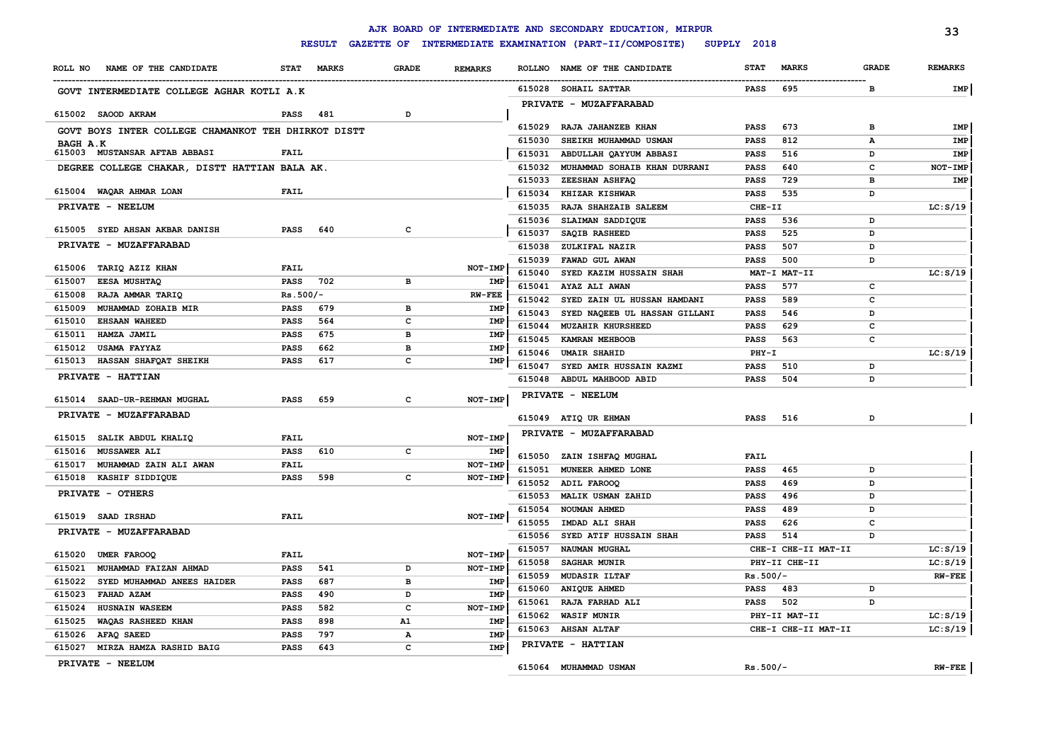|          |                                                     |             | <b>RESULT</b> |              |                |               | AJK BOARD OF INTERMEDIATE AND SECONDARY EDUCATION, MIRPUR<br>GAZETTE OF INTERMEDIATE EXAMINATION (PART-II/COMPOSITE) | SUPPLY 2018 |                     |              | 33             |
|----------|-----------------------------------------------------|-------------|---------------|--------------|----------------|---------------|----------------------------------------------------------------------------------------------------------------------|-------------|---------------------|--------------|----------------|
| ROLL NO  | NAME OF THE CANDIDATE                               | <b>STAT</b> | <b>MARKS</b>  | <b>GRADE</b> | <b>REMARKS</b> | <b>ROLLNO</b> | NAME OF THE CANDIDATE                                                                                                | <b>STAT</b> | <b>MARKS</b>        | <b>GRADE</b> | <b>REMARKS</b> |
|          |                                                     |             |               |              |                |               |                                                                                                                      |             |                     |              |                |
|          | GOVT INTERMEDIATE COLLEGE AGHAR KOTLI A.K           |             |               |              |                | 615028        | SOHAIL SATTAR                                                                                                        | <b>PASS</b> | 695                 | в            | IMP            |
|          | 615002 SAOOD AKRAM                                  | <b>PASS</b> | 481           | D            |                |               | PRIVATE - MUZAFFARABAD                                                                                               |             |                     |              |                |
|          |                                                     |             |               |              |                | 615029        | RAJA JAHANZEB KHAN                                                                                                   | <b>PASS</b> | 673                 | в            | IMP            |
|          | GOVT BOYS INTER COLLEGE CHAMANKOT TEH DHIRKOT DISTT |             |               |              |                | 615030        | SHEIKH MUHAMMAD USMAN                                                                                                | PASS        | 812                 | A            | IMP            |
| BAGH A.K | 615003 MUSTANSAR AFTAB ABBASI                       | <b>FAIL</b> |               |              |                | 615031        | ABDULLAH QAYYUM ABBASI                                                                                               | <b>PASS</b> | 516                 | D            | IMP            |
|          | DEGREE COLLEGE CHAKAR, DISTT HATTIAN BALA AK.       |             |               |              |                | 615032        | MUHAMMAD SOHAIB KHAN DURRANI                                                                                         | PASS        | 640                 | $\mathbf{C}$ | NOT-IMP        |
|          |                                                     |             |               |              |                | 615033        | ZEESHAN ASHFAQ                                                                                                       | <b>PASS</b> | 729                 | в            | IMP            |
|          | 615004 WAQAR AHMAR LOAN                             | <b>FAIL</b> |               |              |                | 615034        | KHIZAR KISHWAR                                                                                                       | <b>PASS</b> | 535                 | D            |                |
|          | PRIVATE - NEELUM                                    |             |               |              |                | 615035        | RAJA SHAHZAIB SALEEM                                                                                                 | CHE-II      |                     |              | LC: S/19       |
|          |                                                     |             |               |              |                | 615036        | SLAIMAN SADDIQUE                                                                                                     | <b>PASS</b> | 536                 | D            |                |
|          | 615005 SYED AHSAN AKBAR DANISH                      | <b>PASS</b> | 640           | с            |                | 615037        | SAQIB RASHEED                                                                                                        | PASS        | 525                 | D            |                |
|          | PRIVATE - MUZAFFARABAD                              |             |               |              |                | 615038        | ZULKIFAL NAZIR                                                                                                       | <b>PASS</b> | 507                 | D            |                |
|          |                                                     |             |               |              |                | 615039        | FAWAD GUL AWAN                                                                                                       | <b>PASS</b> | 500                 | D            |                |
|          | 615006 TARIQ AZIZ KHAN                              | <b>FAIL</b> |               |              | NOT-IMP        | 615040        | SYED KAZIM HUSSAIN SHAH                                                                                              |             | MAT-I MAT-II        |              | LC: S/19       |
| 615007   | EESA MUSHTAQ                                        | <b>PASS</b> | 702           | в            | IMP            | 615041        | AYAZ ALI AWAN                                                                                                        | <b>PASS</b> | 577                 | c            |                |
| 615008   | RAJA AMMAR TARIQ                                    | $Rs.500/-$  |               |              | $RW-FEE$       | 615042        | SYED ZAIN UL HUSSAN HAMDANI                                                                                          | <b>PASS</b> | 589                 | c            |                |
| 615009   | MUHAMMAD ZOHAIB MIR                                 | <b>PASS</b> | 679           | в            | IMP            | 615043        | SYED NAQEEB UL HASSAN GILLANI                                                                                        | <b>PASS</b> | 546                 | D            |                |
| 615010   | <b>EHSAAN WAHEED</b>                                | <b>PASS</b> | 564           | c            | IMP            | 615044        | <b>MUZAHIR KHURSHEED</b>                                                                                             | PASS        | 629                 | c            |                |
| 615011   | HAMZA JAMIL                                         | <b>PASS</b> | 675           | в            | IMP            | 615045        | <b>KAMRAN MEHBOOB</b>                                                                                                | <b>PASS</b> | 563                 | $\mathbf{C}$ |                |
|          | 615012 USAMA FAYYAZ                                 | <b>PASS</b> | 662           | в            | IMP            | 615046        | <b>UMAIR SHAHID</b>                                                                                                  | PHY-I       |                     |              | LC: S/19       |
| 615013   | HASSAN SHAFQAT SHEIKH                               | <b>PASS</b> | 617           | с            | IMP            | 615047        | SYED AMIR HUSSAIN KAZMI                                                                                              | <b>PASS</b> | 510                 | D            |                |
|          | PRIVATE - HATTIAN                                   |             |               |              |                | 615048        | ABDUL MAHBOOD ABID                                                                                                   | <b>PASS</b> | 504                 | D            |                |
|          | 615014 SAAD-UR-REHMAN MUGHAL                        | <b>PASS</b> | 659           | c            | NOT-IMP        |               | PRIVATE - NEELUM                                                                                                     |             |                     |              |                |
|          | PRIVATE - MUZAFFARABAD                              |             |               |              |                |               | 615049 ATIQ UR EHMAN                                                                                                 | <b>PASS</b> | 516                 | D            |                |
|          |                                                     |             |               |              |                |               | PRIVATE - MUZAFFARABAD                                                                                               |             |                     |              |                |
|          | 615015 SALIK ABDUL KHALIQ                           | FAIL        |               |              | NOT-IMP        |               |                                                                                                                      |             |                     |              |                |
| 615016   | MUSSAWER ALI                                        | <b>PASS</b> | 610           | c            | IMP            | 615050        | ZAIN ISHFAQ MUGHAL                                                                                                   | <b>FAIL</b> |                     |              |                |
| 615017   | MUHAMMAD ZAIN ALI AWAN                              | <b>FAIL</b> |               |              | NOT-IMP        | 615051        | MUNEER AHMED LONE                                                                                                    | <b>PASS</b> | 465                 | D            |                |
|          | 615018 KASHIF SIDDIQUE                              | <b>PASS</b> | 598           | с            | NOT-IMP        | 615052        | ADIL FAROOQ                                                                                                          | <b>PASS</b> | 469                 | D            |                |
|          | PRIVATE - OTHERS                                    |             |               |              |                | 615053        | MALIK USMAN ZAHID                                                                                                    | <b>PASS</b> | 496                 | D            |                |
|          | 615019 SAAD IRSHAD                                  | <b>FAIL</b> |               |              |                | 615054        | NOUMAN AHMED                                                                                                         | PASS        | 489                 | D            |                |
|          |                                                     |             |               |              | NOT-IMP        | 615055        | IMDAD ALI SHAH                                                                                                       | <b>PASS</b> | 626                 | C            |                |
|          | PRIVATE - MUZAFFARABAD                              |             |               |              |                | 615056        | SYED ATIF HUSSAIN SHAH                                                                                               | <b>PASS</b> | 514                 | D            |                |
| 615020   | <b>UMER FAROOQ</b>                                  | <b>FAIL</b> |               |              | NOT-IMP        | 615057        | NAUMAN MUGHAL                                                                                                        |             | CHE-I CHE-II MAT-II |              | LC: S/19       |
| 615021   | MUHAMMAD FAIZAN AHMAD                               | PASS        | 541           | D            | NOT-IMP        | 615058        | SAGHAR MUNIR                                                                                                         |             | PHY-II CHE-II       |              | LC: S/19       |
|          | 615022 SYED MUHAMMAD ANEES HAIDER                   | PASS        | 687           | $\mathbf{B}$ | <b>IMP</b>     | 615059        | <b>MUDASIR ILTAF</b>                                                                                                 | $Rs.500/-$  |                     |              | $RW-FEE$       |
| 615023   | FAHAD AZAM                                          | PASS        | 490           | D            | <b>IMP</b>     | 615060        | <b>ANIQUE AHMED</b>                                                                                                  | <b>PASS</b> | 483                 | D            |                |
| 615024   | HUSNAIN WASEEM                                      | <b>PASS</b> | 582           | с            | NOT-IMP        | 615061        | RAJA FARHAD ALI                                                                                                      | <b>PASS</b> | 502                 | D            |                |
| 615025   | WAQAS RASHEED KHAN                                  | <b>PASS</b> | 898           | A1           | IMP            | 615062        | <b>WASIF MUNIR</b>                                                                                                   |             | PHY-II MAT-II       |              | LC: S/19       |
|          | 615026 AFAQ SAEED                                   | <b>PASS</b> | 797           | А            | <b>IMP</b>     | 615063        | <b>AHSAN ALTAF</b>                                                                                                   |             | CHE-I CHE-II MAT-II |              | LC: S/19       |
|          | 615027 MIRZA HAMZA RASHID BAIG                      | <b>PASS</b> | 643           | c            | IMP            |               | PRIVATE - HATTIAN                                                                                                    |             |                     |              |                |
|          | PRIVATE - NEELUM                                    |             |               |              |                |               |                                                                                                                      |             |                     |              |                |
|          |                                                     |             |               |              |                |               | 615064 MUHAMMAD USMAN                                                                                                | $Rs.500/-$  |                     |              | $RW-FEE$       |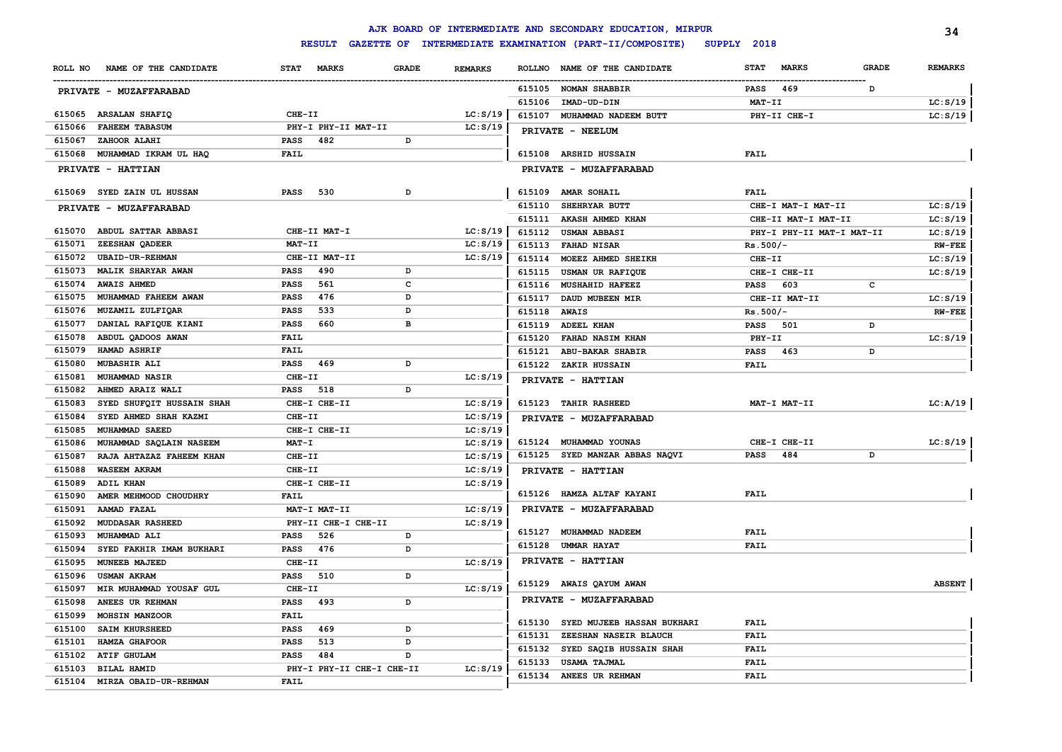|         |                            |                                    |              |                |               | AJK BOARD OF INTERMEDIATE AND SECONDARY EDUCATION, MIRPUR |             |                           |              | 34             |
|---------|----------------------------|------------------------------------|--------------|----------------|---------------|-----------------------------------------------------------|-------------|---------------------------|--------------|----------------|
|         |                            | <b>RESULT</b><br><b>GAZETTE OF</b> |              |                |               | INTERMEDIATE EXAMINATION (PART-II/COMPOSITE)              | SUPPLY 2018 |                           |              |                |
| ROLL NO | NAME OF THE CANDIDATE      | <b>STAT</b><br><b>MARKS</b>        | <b>GRADE</b> | <b>REMARKS</b> | <b>ROLLNO</b> | NAME OF THE CANDIDATE                                     | <b>STAT</b> | <b>MARKS</b>              | <b>GRADE</b> | <b>REMARKS</b> |
|         | PRIVATE - MUZAFFARABAD     |                                    |              |                |               | 615105 NOMAN SHABBIR                                      | <b>PASS</b> | 469                       | D            |                |
|         |                            |                                    |              |                | 615106        | IMAD-UD-DIN                                               | $MAT-TI$    |                           |              | LC: S/19       |
| 615065  | <b>ARSALAN SHAFIQ</b>      | CHE-II                             |              | LC: S/19       | 615107        | MUHAMMAD NADEEM BUTT                                      |             | PHY-II CHE-I              |              | LC: S/19       |
| 615066  | <b>FAHEEM TABASUM</b>      | PHY-I PHY-II MAT-II                |              | LC: S/19       |               | PRIVATE - NEELUM                                          |             |                           |              |                |
| 615067  | ZAHOOR ALAHI               | <b>PASS</b><br>482                 | D            |                |               |                                                           |             |                           |              |                |
| 615068  | MUHAMMAD IKRAM UL HAQ      | FAIL                               |              |                |               | 615108 ARSHID HUSSAIN                                     | FAIL        |                           |              |                |
|         | PRIVATE - HATTIAN          |                                    |              |                |               | PRIVATE - MUZAFFARABAD                                    |             |                           |              |                |
| 615069  | <b>SYED ZAIN UL HUSSAN</b> | 530<br><b>PASS</b>                 | D            |                | 615109        | <b>AMAR SOHAIL</b>                                        | <b>FAIL</b> |                           |              |                |
|         | PRIVATE - MUZAFFARABAD     |                                    |              |                | 615110        | SHEHRYAR BUTT                                             |             | CHE-I MAT-I MAT-II        |              | LC: S/19       |
|         |                            |                                    |              |                | 615111        | <b>AKASH AHMED KHAN</b>                                   |             | CHE-II MAT-I MAT-II       |              | LC: S/19       |
| 615070  | <b>ABDUL SATTAR ABBASI</b> | CHE-II MAT-I                       |              | LC: S/19       | 615112        | <b>USMAN ABBASI</b>                                       |             | PHY-I PHY-II MAT-I MAT-II |              | LC: S/19       |
| 615071  | ZEESHAN OADEER             | MAT-II                             |              | LC: S/19       | 615113        | <b>FAHAD NISAR</b>                                        | $Rs.500/-$  |                           |              | <b>RW-FEE</b>  |
| 615072  | <b>UBAID-UR-REHMAN</b>     | CHE-II MAT-II                      |              | LC: S/19       | 615114        | MOEEZ AHMED SHEIKH                                        | CHE-II      |                           |              | LC: S/19       |
| 615073  | MALIK SHARYAR AWAN         | <b>PASS</b><br>490                 | D            |                | 615115        | USMAN UR RAFIQUE                                          |             | CHE-I CHE-II              |              | LC: S/19       |
| 615074  | <b>AWAIS AHMED</b>         | 561<br>PASS                        | c            |                | 615116        | <b>MUSHAHID HAFEEZ</b>                                    | <b>PASS</b> | 603                       | с            |                |
| 615075  | MUHAMMAD FAHEEM AWAN       | PASS<br>476                        | D            |                | 615117        | DAUD MUBEEN MIR                                           |             | CHE-II MAT-II             |              | LC: S/19       |
| 615076  | MUZAMIL ZULFIQAR           | PASS<br>533                        | D            |                | 615118        | <b>AWAIS</b>                                              | $Rs.500/-$  |                           |              | <b>RW-FEE</b>  |
| 615077  | DANIAL RAFIQUE KIANI       | PASS<br>660                        | в            |                | 615119        | <b>ADEEL KHAN</b>                                         | PASS        | 501                       | D            |                |
| 615078  | ABDUL QADOOS AWAN          | <b>FAIL</b>                        |              |                | 615120        | <b>FAHAD NASIM KHAN</b>                                   | PHY-II      |                           |              | LC: S/19       |
| 615079  | HAMAD ASHRIF               | <b>FAIL</b>                        |              |                | 615121        | ABU-BAKAR SHABIR                                          | PASS        | 463                       | D            |                |
| 615080  | MUBASHIR ALI               | <b>PASS</b><br>469                 | D            |                | 615122        | ZAKIR HUSSAIN                                             | FAIL        |                           |              |                |
| 615081  | MUHAMMAD NASIR             | CHE-II                             |              | LC: S/19       |               | PRIVATE - HATTIAN                                         |             |                           |              |                |
| 615082  | AHMED ARAIZ WALI           | PASS<br>518                        | D            |                |               |                                                           |             |                           |              |                |
| 615083  | SYED SHUFQIT HUSSAIN SHAH  | CHE-I CHE-II                       |              | LC: S/19       |               | 615123 TAHIR RASHEED                                      |             | MAT-I MAT-II              |              | LC:A/19        |
| 615084  | SYED AHMED SHAH KAZMI      | CHE-II                             |              | LC: S/19       |               | PRIVATE - MUZAFFARABAD                                    |             |                           |              |                |
| 615085  | MUHAMMAD SAEED             | CHE-I CHE-II                       |              | LC: S/19       |               |                                                           |             |                           |              |                |
| 615086  | MUHAMMAD SAQLAIN NASEEM    | $MAT - I$                          |              | LC: S/19       |               | 615124 MUHAMMAD YOUNAS                                    |             | CHE-I CHE-II              |              | LC: S/19       |
| 615087  | RAJA AHTAZAZ FAHEEM KHAN   | CHE-II                             |              | LC: S/19       |               | 615125 SYED MANZAR ABBAS NAQVI                            | <b>PASS</b> | 484                       | D            |                |
| 615088  | WASEEM AKRAM               | CHE-II                             |              | LC: S/19       |               | PRIVATE - HATTIAN                                         |             |                           |              |                |
| 615089  | ADIL KHAN                  | CHE-I CHE-II                       |              | LC: S/19       |               |                                                           |             |                           |              |                |
| 615090  | AMER MEHMOOD CHOUDHRY      | <b>FAIL</b>                        |              |                |               | 615126 HAMZA ALTAF KAYANI                                 | <b>FAIL</b> |                           |              |                |
| 615091  | AAMAD FAZAL                | MAT-I MAT-II                       |              | LC: S/19       |               | PRIVATE - MUZAFFARABAD                                    |             |                           |              |                |
| 615092  | <b>MUDDASAR RASHEED</b>    | PHY-II CHE-I CHE-II                |              | LC: S/19       |               |                                                           |             |                           |              |                |
| 615093  | MUHAMMAD ALI               | 526<br><b>PASS</b>                 | D            |                |               | 615127 MUHAMMAD NADEEM                                    | <b>FAIL</b> |                           |              |                |
| 615094  | SYED FAKHIR IMAM BUKHARI   | 476<br><b>PASS</b>                 | D            |                | 615128        | <b>UMMAR HAYAT</b>                                        | FAIL        |                           |              |                |
| 615095  | MUNEEB MAJEED              | CHE-II                             |              | LC: S/19       |               | PRIVATE - HATTIAN                                         |             |                           |              |                |
| 615096  | <b>USMAN AKRAM</b>         | PASS<br>510                        | D            |                |               |                                                           |             |                           |              |                |
| 615097  | MIR MUHAMMAD YOUSAF GUL    | CHE-II                             |              | LC: S/19       |               | 615129 AWAIS QAYUM AWAN                                   |             |                           |              | <b>ABSENT</b>  |
| 615098  | ANEES UR REHMAN            | <b>PASS</b><br>493                 | D            |                |               | PRIVATE - MUZAFFARABAD                                    |             |                           |              |                |
| 615099  | MOHSIN MANZOOR             | <b>FAIL</b>                        |              |                |               | SYED MUJEEB HASSAN BUKHARI                                | <b>FAIL</b> |                           |              |                |
| 615100  | <b>SAIM KHURSHEED</b>      | PASS<br>469                        | D            |                | 615130        |                                                           | <b>FAIL</b> |                           |              |                |
| 615101  | HAMZA GHAFOOR              | PASS<br>513                        | D            |                | 615131        | ZEESHAN NASEIR BLAUCH                                     | <b>FAIL</b> |                           |              |                |
| 615102  | <b>ATIF GHULAM</b>         | PASS<br>484                        | D            |                | 615132        | SYED SAQIB HUSSAIN SHAH                                   |             |                           |              |                |
| 615103  | <b>BILAL HAMID</b>         | PHY-I PHY-II CHE-I CHE-II          |              | LC: S/19       | 615133        | <b>USAMA TAJMAL</b>                                       | <b>FAIL</b> |                           |              |                |
| 615104  | MIRZA OBAID-UR-REHMAN      | <b>FAIL</b>                        |              |                | 615134        | ANEES UR REHMAN                                           | <b>FAIL</b> |                           |              |                |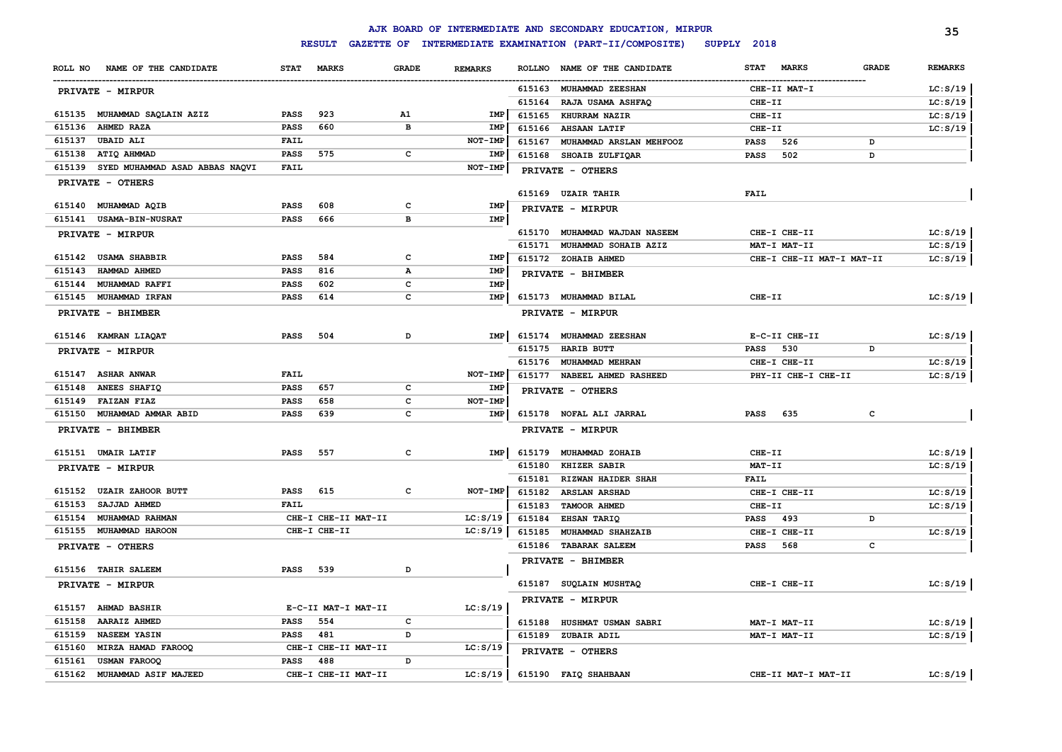|                                          |             |                     |                  |                |               | AJK BOARD OF INTERMEDIATE AND SECONDARY EDUCATION, MIRPUR      |             |                           |              | 35             |
|------------------------------------------|-------------|---------------------|------------------|----------------|---------------|----------------------------------------------------------------|-------------|---------------------------|--------------|----------------|
|                                          |             |                     |                  |                |               | RESULT GAZETTE OF INTERMEDIATE EXAMINATION (PART-II/COMPOSITE) | SUPPLY 2018 |                           |              |                |
| NAME OF THE CANDIDATE<br>ROLL NO         | <b>STAT</b> | <b>MARKS</b>        | <b>GRADE</b>     | <b>REMARKS</b> | <b>ROLLNO</b> | NAME OF THE CANDIDATE                                          | <b>STAT</b> | <b>MARKS</b>              | <b>GRADE</b> | <b>REMARKS</b> |
| <b>PRIVATE - MIRPUR</b>                  |             |                     |                  |                | 615163        | <b>MUHAMMAD ZEESHAN</b>                                        |             | CHE-II MAT-I              |              | LC: S/19       |
|                                          |             |                     |                  |                | 615164        | RAJA USAMA ASHFAQ                                              | CHE-II      |                           |              | LC: S/19       |
| 615135 MUHAMMAD SAQLAIN AZIZ             | <b>PASS</b> | 923                 | A1               | IMP            | 615165        | KHURRAM NAZIR                                                  | CHE-II      |                           |              | LC: S/19       |
| AHMED RAZA<br>615136                     | <b>PASS</b> | 660                 | $\mathbf{B}$     | IMP            | 615166        | <b>AHSAAN LATIF</b>                                            | CHE-II      |                           |              | LC: S/19       |
| 615137<br><b>UBAID ALI</b>               | <b>FAIL</b> |                     |                  | NOT-IMP        | 615167        | MUHAMMAD ARSLAN MEHFOOZ                                        | <b>PASS</b> | 526                       | D            |                |
| 615138<br>ATIQ AHMMAD                    | PASS        | 575                 | $\mathbf{C}$     | IMP            | 615168        | SHOAIB ZULFIQAR                                                | <b>PASS</b> | 502                       | D            |                |
| 615139<br>SYED MUHAMMAD ASAD ABBAS NAQVI | <b>FAIL</b> |                     |                  | NOT-IMP        |               | PRIVATE - OTHERS                                               |             |                           |              |                |
| PRIVATE - OTHERS                         |             |                     |                  |                |               |                                                                |             |                           |              |                |
|                                          |             |                     |                  |                |               | 615169 UZAIR TAHIR                                             | FAIL        |                           |              |                |
| 615140<br><b>MUHAMMAD AQIB</b>           | <b>PASS</b> | 608                 | c                | IMP            |               | PRIVATE - MIRPUR                                               |             |                           |              |                |
| 615141<br><b>USAMA-BIN-NUSRAT</b>        | <b>PASS</b> | 666                 | $\overline{B}$   | IMP            |               |                                                                |             |                           |              |                |
| PRIVATE - MIRPUR                         |             |                     |                  |                |               | 615170 MUHAMMAD WAJDAN NASEEM                                  |             | CHE-I CHE-II              |              | LC: S/19       |
| 615142<br><b>USAMA SHABBIR</b>           | <b>PASS</b> | 584                 | $\mathbf{C}$     | IMP            |               | 615171 MUHAMMAD SOHAIB AZIZ                                    |             | MAT-I MAT-II              |              | LC: S/19       |
| 615143<br>HAMMAD AHMED                   | <b>PASS</b> | 816                 |                  |                |               | 615172 ZOHAIB AHMED                                            |             | CHE-I CHE-II MAT-I MAT-II |              | LC: S/19       |
| MUHAMMAD RAFFI<br>615144                 | <b>PASS</b> | 602                 | Α<br>$\mathbf c$ | IMP<br>IMP     |               | PRIVATE - BHIMBER                                              |             |                           |              |                |
| 615145<br><b>MUHAMMAD IRFAN</b>          | PASS        | 614                 | $\mathbf c$      | IMP            |               | 615173 MUHAMMAD BILAL                                          | CHE-II      |                           |              | LC: S/19       |
|                                          |             |                     |                  |                |               |                                                                |             |                           |              |                |
| PRIVATE - BHIMBER                        |             |                     |                  |                |               | PRIVATE - MIRPUR                                               |             |                           |              |                |
| 615146 KAMRAN LIAQAT                     | <b>PASS</b> | 504                 | D                | IMP            |               | 615174 MUHAMMAD ZEESHAN                                        |             | E-C-II CHE-II             |              | LC: S/19       |
| PRIVATE - MIRPUR                         |             |                     |                  |                | 615175        | <b>HARIB BUTT</b>                                              | <b>PASS</b> | 530                       | D            |                |
|                                          |             |                     |                  |                |               | 615176 MUHAMMAD MEHRAN                                         |             | CHE-I CHE-II              |              | LC: S/19       |
| 615147<br><b>ASHAR ANWAR</b>             | <b>FAIL</b> |                     |                  | NOT-IMP        | 615177        | NABEEL AHMED RASHEED                                           |             | PHY-II CHE-I CHE-II       |              | LC: S/19       |
| ANEES SHAFIQ<br>615148                   | <b>PASS</b> | 657                 | C                | IMP            |               | PRIVATE - OTHERS                                               |             |                           |              |                |
| 615149<br><b>FAIZAN FIAZ</b>             | <b>PASS</b> | 658                 | $\mathbf c$      | NOT-IMP        |               |                                                                |             |                           |              |                |
| 615150<br>MUHAMMAD AMMAR ABID            | PASS        | 639                 | $\mathbf{C}$     | <b>IMP</b>     |               | 615178 NOFAL ALI JARRAL                                        | <b>PASS</b> | 635                       | c            |                |
| PRIVATE - BHIMBER                        |             |                     |                  |                |               | PRIVATE - MIRPUR                                               |             |                           |              |                |
| 615151 UMAIR LATIF                       | <b>PASS</b> | 557                 | c                | <b>IMP</b>     | 615179        | MUHAMMAD ZOHAIB                                                | CHE-II      |                           |              | LC: S/19       |
| PRIVATE - MIRPUR                         |             |                     |                  |                | 615180        | KHIZER SABIR                                                   | MAT-II      |                           |              | LC: S/19       |
|                                          |             |                     |                  |                | 615181        | RIZWAN HAIDER SHAH                                             | <b>FAIL</b> |                           |              |                |
| 615152<br><b>UZAIR ZAHOOR BUTT</b>       | <b>PASS</b> | 615                 | c                | NOT-IMP        | 615182        | <b>ARSLAN ARSHAD</b>                                           |             | CHE-I CHE-II              |              | LC: S/19       |
| 615153<br><b>SAJJAD AHMED</b>            | <b>FAIL</b> |                     |                  |                | 615183        | TAMOOR AHMED                                                   | CHE-II      |                           |              | LC: S/19       |
| 615154<br>MUHAMMAD RAHMAN                |             | CHE-I CHE-II MAT-II |                  | LC: S/19       | 615184        | EHSAN TARIQ                                                    | <b>PASS</b> | 493                       | D            |                |
| 615155<br>MUHAMMAD HAROON                |             | CHE-I CHE-II        |                  | LC: S/19       | 615185        | MUHAMMAD SHAHZAIB                                              |             | CHE-I CHE-II              |              | LC: S/19       |
| PRIVATE - OTHERS                         |             |                     |                  |                |               | 615186 TABARAK SALEEM                                          | <b>PASS</b> | 568                       | c            |                |
|                                          |             |                     |                  |                |               | PRIVATE - BHIMBER                                              |             |                           |              |                |
| 615156 TAHIR SALEEM                      | <b>PASS</b> | 539                 | D                |                |               |                                                                |             |                           |              |                |
| PRIVATE - MIRPUR                         |             |                     |                  |                |               | 615187 SUQLAIN MUSHTAQ                                         |             | CHE-I CHE-II              |              | LC: S/19       |
|                                          |             |                     |                  |                |               | PRIVATE - MIRPUR                                               |             |                           |              |                |
| 615157 AHMAD BASHIR                      |             | E-C-II MAT-I MAT-II |                  | LC: S/19       |               |                                                                |             |                           |              |                |
| 615158<br><b>AARAIZ AHMED</b>            | <b>PASS</b> | 554                 | c                |                | 615188        | HUSHMAT USMAN SABRI                                            |             | MAT-I MAT-II              |              | LC: S/19       |
| 615159<br><b>NASEEM YASIN</b>            | <b>PASS</b> | 481                 | D                |                |               | 615189 ZUBAIR ADIL                                             |             | MAT-I MAT-II              |              | LC: S/19       |
| 615160<br>MIRZA HAMAD FAROOQ             |             | CHE-I CHE-II MAT-II |                  | LC: S/19       |               | PRIVATE - OTHERS                                               |             |                           |              |                |
| 615161<br>USMAN FAROOQ<br>615162         | <b>PASS</b> | 488                 | D                | LC: S/19       |               | 615190 FAIQ SHAHBAAN                                           |             | CHE-II MAT-I MAT-II       |              | LC: S/19       |
| MUHAMMAD ASIF MAJEED                     |             | CHE-I CHE-II MAT-II |                  |                |               |                                                                |             |                           |              |                |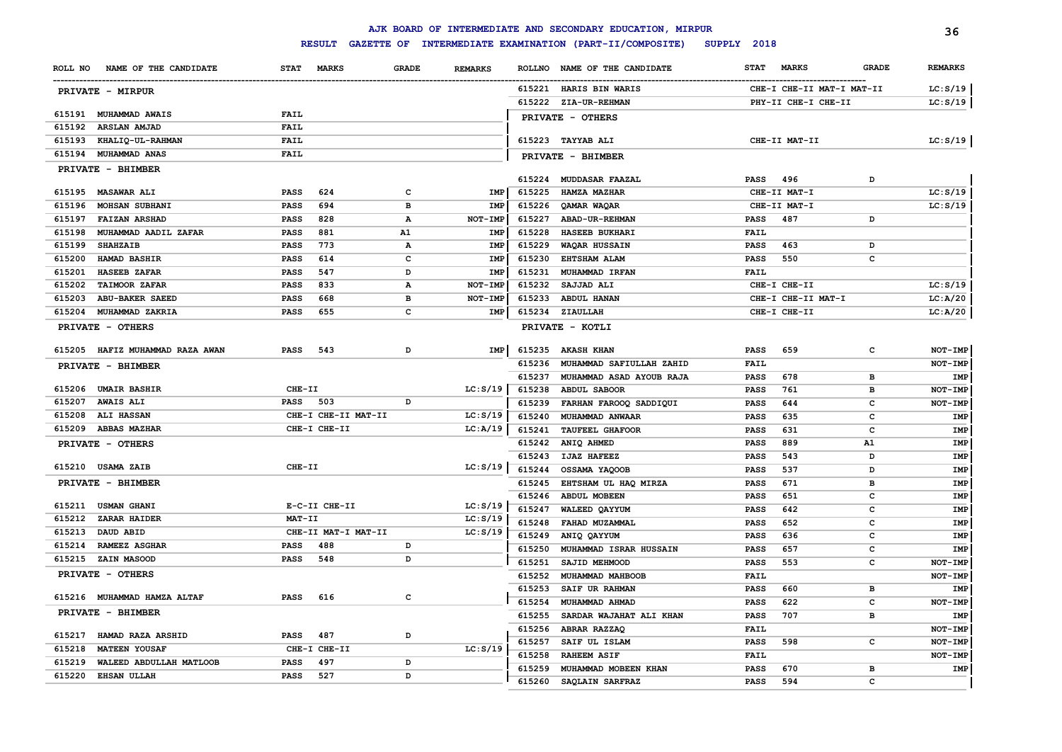|         |                             |                            |                                    |              |                |                  | AJK BOARD OF INTERMEDIATE AND SECONDARY EDUCATION, MIRPUR |                            |                           |              | 36                    |
|---------|-----------------------------|----------------------------|------------------------------------|--------------|----------------|------------------|-----------------------------------------------------------|----------------------------|---------------------------|--------------|-----------------------|
|         |                             |                            | <b>RESULT</b><br><b>GAZETTE OF</b> |              |                |                  | INTERMEDIATE EXAMINATION (PART-II/COMPOSITE)              | SUPPLY 2018                |                           |              |                       |
| ROLL NO | NAME OF THE CANDIDATE       | <b>STAT</b>                | MARKS                              | <b>GRADE</b> | <b>REMARKS</b> | <b>ROLLNO</b>    | NAME OF THE CANDIDATE                                     | <b>STAT</b>                | <b>MARKS</b>              | <b>GRADE</b> | <b>REMARKS</b>        |
|         | PRIVATE - MIRPUR            |                            |                                    |              |                |                  | 615221 HARIS BIN WARIS                                    |                            | CHE-I CHE-II MAT-I MAT-II |              | LC: S/19              |
|         |                             |                            |                                    |              |                |                  | 615222 ZIA-UR-REHMAN                                      |                            | PHY-II CHE-I CHE-II       |              | LC: S/19              |
| 615191  | <b>MUHAMMAD AWAIS</b>       | <b>FAIL</b>                |                                    |              |                |                  | PRIVATE - OTHERS                                          |                            |                           |              |                       |
| 615192  | ARSLAN AMJAD                | <b>FAIL</b>                |                                    |              |                |                  |                                                           |                            |                           |              |                       |
| 615193  | KHALIQ-UL-RAHMAN            | <b>FAIL</b>                |                                    |              |                |                  | 615223 TAYYAB ALI                                         |                            | CHE-II MAT-II             |              | LC: S/19              |
| 615194  | MUHAMMAD ANAS               | <b>FAIL</b>                |                                    |              |                |                  | PRIVATE - BHIMBER                                         |                            |                           |              |                       |
|         | PRIVATE - BHIMBER           |                            |                                    |              |                |                  |                                                           |                            |                           |              |                       |
|         | 615195 MASAWAR ALI          | <b>PASS</b>                | 624                                | c            | IMP            | 615225           | 615224 MUDDASAR FAAZAL<br><b>HAMZA MAZHAR</b>             | <b>PASS</b>                | 496<br>CHE-II MAT-I       | D            |                       |
| 615196  | <b>MOHSAN SUBHANI</b>       |                            | 694                                | в            | <b>IMP</b>     |                  |                                                           |                            | CHE-II MAT-I              |              | LC: S/19<br>LC: S/19  |
| 615197  | <b>FAIZAN ARSHAD</b>        | <b>PASS</b><br><b>PASS</b> | 828                                | $\mathbf{A}$ | NOT-IMP        | 615226<br>615227 | QAMAR WAQAR<br>ABAD-UR-REHMAN                             | <b>PASS</b>                | 487                       | D            |                       |
| 615198  | MUHAMMAD AADIL ZAFAR        | PASS                       | 881                                | A1           | IMP            | 615228           | HASEEB BUKHARI                                            | <b>FAIL</b>                |                           |              |                       |
| 615199  | <b>SHAHZAIB</b>             | PASS                       | 773                                | $\mathbf{A}$ | IMP            | 615229           | WAQAR HUSSAIN                                             | PASS                       | 463                       | D            |                       |
| 615200  | HAMAD BASHIR                | <b>PASS</b>                | 614                                | c            | IMP            | 615230           | <b>EHTSHAM ALAM</b>                                       | <b>PASS</b>                | 550                       | с            |                       |
| 615201  | <b>HASEEB ZAFAR</b>         | <b>PASS</b>                | 547                                | D            | IMP            | 615231           | MUHAMMAD IRFAN                                            | <b>FAIL</b>                |                           |              |                       |
| 615202  | <b>TAIMOOR ZAFAR</b>        | <b>PASS</b>                | 833                                | А            | <b>NOT-IMF</b> | 615232           | SAJJAD ALI                                                |                            | CHE-I CHE-II              |              | LC: S/19              |
| 615203  | <b>ABU-BAKER SAEED</b>      | <b>PASS</b>                | 668                                | в            | NOT-IMP        | 615233           | <b>ABDUL HANAN</b>                                        |                            | CHE-I CHE-II MAT-I        |              | LC: A/20              |
| 615204  | MUHAMMAD ZAKRIA             | <b>PASS</b>                | 655                                | с            | IMP            | 615234           | ZIAULLAH                                                  |                            | CHE-I CHE-II              |              | LC: A/20              |
|         | PRIVATE - OTHERS            |                            |                                    |              |                |                  | PRIVATE - KOTLI                                           |                            |                           |              |                       |
| 615205  | HAFIZ MUHAMMAD RAZA AWAN    | <b>PASS</b>                | 543                                | D            | IMP            | 615235           | <b>AKASH KHAN</b>                                         | <b>PASS</b>                | 659                       | $\mathbf{C}$ | NOT-IMP               |
|         | PRIVATE - BHIMBER           |                            |                                    |              |                | 615236           | MUHAMMAD SAFIULLAH ZAHID                                  | FAIL                       |                           |              | NOT-IMP               |
|         |                             |                            |                                    |              |                | 615237           | MUHAMMAD ASAD AYOUB RAJA                                  | <b>PASS</b>                | 678                       | в            | IMP                   |
|         | 615206 UMAIR BASHIR         | CHE-II                     |                                    |              | LC: S/19       | 615238           | <b>ABDUL SABOOR</b>                                       | <b>PASS</b>                | 761                       | в            | NOT-IMP               |
| 615207  | <b>AWAIS ALI</b>            | <b>PASS</b> 503            |                                    | D            |                | 615239           | FARHAN FAROOQ SADDIQUI                                    | <b>PASS</b>                | 644                       | $\mathbf{C}$ | NOT-IMP               |
| 615208  | <b>ALI HASSAN</b>           |                            | CHE-I CHE-II MAT-II                |              | LC: S/19       | 615240           | MUHAMMAD ANWAAR                                           | <b>PASS</b>                | 635                       | $\mathbf{C}$ | IMP                   |
| 615209  | <b>ABBAS MAZHAR</b>         |                            | CHE-I CHE-II                       |              | LC: A/19       | 615241           | <b>TAUFEEL GHAFOOR</b>                                    | <b>PASS</b>                | 631                       | $\mathbf{C}$ | IMP                   |
|         | PRIVATE - OTHERS            |                            |                                    |              |                | 615242           | ANIQ AHMED                                                | <b>PASS</b>                | 889                       | A1           | IMP                   |
|         |                             |                            |                                    |              |                | 615243           | <b>IJAZ HAFEEZ</b>                                        | <b>PASS</b>                | 543                       | D            | IMP                   |
|         | 615210 USAMA ZAIB           | CHE-II                     |                                    |              | LC: S/19       | 615244           | OSSAMA YAQOOB                                             | <b>PASS</b>                | 537                       | D            | IMP                   |
|         | PRIVATE - BHIMBER           |                            |                                    |              |                | 615245           | EHTSHAM UL HAQ MIRZA                                      | <b>PASS</b>                | 671                       | <b>B</b>     | IMP                   |
|         | 615211 USMAN GHANI          |                            | E-C-II CHE-II                      |              | LC: S/19       | 615246           | <b>ABDUL MOBEEN</b>                                       | <b>PASS</b>                | 651                       | c            | IMP                   |
| 615212  | ZARAR HAIDER                | MAT-II                     |                                    |              | LC: S/19       | 615247           | WALEED OAYYUM                                             | <b>PASS</b>                | 642                       | c            | IMP                   |
| 615213  | DAUD ABID                   |                            | CHE-II MAT-I MAT-II                |              | LC: S/19       | 615248           | FAHAD MUZAMMAL                                            | <b>PASS</b>                | 652                       | c            | IMP                   |
| 615214  | <b>RAMEEZ ASGHAR</b>        | <b>PASS</b>                | 488                                | D            |                | 615249           | ANIQ QAYYUM                                               | <b>PASS</b>                | 636                       | C            | IMP                   |
| 615215  | <b>ZAIN MASOOD</b>          | <b>PASS</b>                | 548                                | D            |                | 615250           | MUHAMMAD ISRAR HUSSAIN                                    | <b>PASS</b>                | 657                       | с            | IMP                   |
|         |                             |                            |                                    |              |                | 615251           | SAJID MEHMOOD                                             | <b>PASS</b>                | 553                       | с            | NOT-IMP               |
|         | PRIVATE - OTHERS            |                            |                                    |              |                | 615252           | MUHAMMAD MAHBOOB                                          | <b>FAIL</b>                |                           |              | NOT-IMP               |
|         | 615216 MUHAMMAD HAMZA ALTAF | <b>PASS</b>                | 616                                | c            |                | 615253           | SAIF UR RAHMAN                                            | <b>PASS</b>                | 660                       | в            | IMP                   |
|         | PRIVATE - BHIMBER           |                            |                                    |              |                | 615254           | MUHAMMAD AHMAD                                            | PASS                       | 622                       | с            | NOT-IMP               |
|         |                             |                            |                                    |              |                | 615255           | SARDAR WAJAHAT ALI KHAN                                   | PASS                       | 707                       | в            | IMP                   |
| 615217  | HAMAD RAZA ARSHID           | PASS                       | 487                                | D            |                | 615256           | ABRAR RAZZAQ                                              | <b>FAIL</b>                |                           |              | NOT-IMP               |
| 615218  | <b>MATEEN YOUSAF</b>        |                            | CHE-I CHE-II                       |              | LC: S/19       | 615257           | SAIF UL ISLAM                                             | PASS                       | 598                       | c            | NOT-IMP               |
| 615219  | WALEED ABDULLAH MATLOOB     | <b>PASS</b>                | 497                                | D            |                | 615258<br>615259 | <b>RAHEEM ASIF</b><br>MUHAMMAD MOBEEN KHAN                | <b>FAIL</b><br><b>PASS</b> | 670                       | в            | NOT-IMP<br><b>IMP</b> |
| 615220  | <b>EHSAN ULLAH</b>          | PASS                       | 527                                | D            |                | 615260           | SAQLAIN SARFRAZ                                           | <b>PASS</b>                | 594                       | c            |                       |
|         |                             |                            |                                    |              |                |                  |                                                           |                            |                           |              |                       |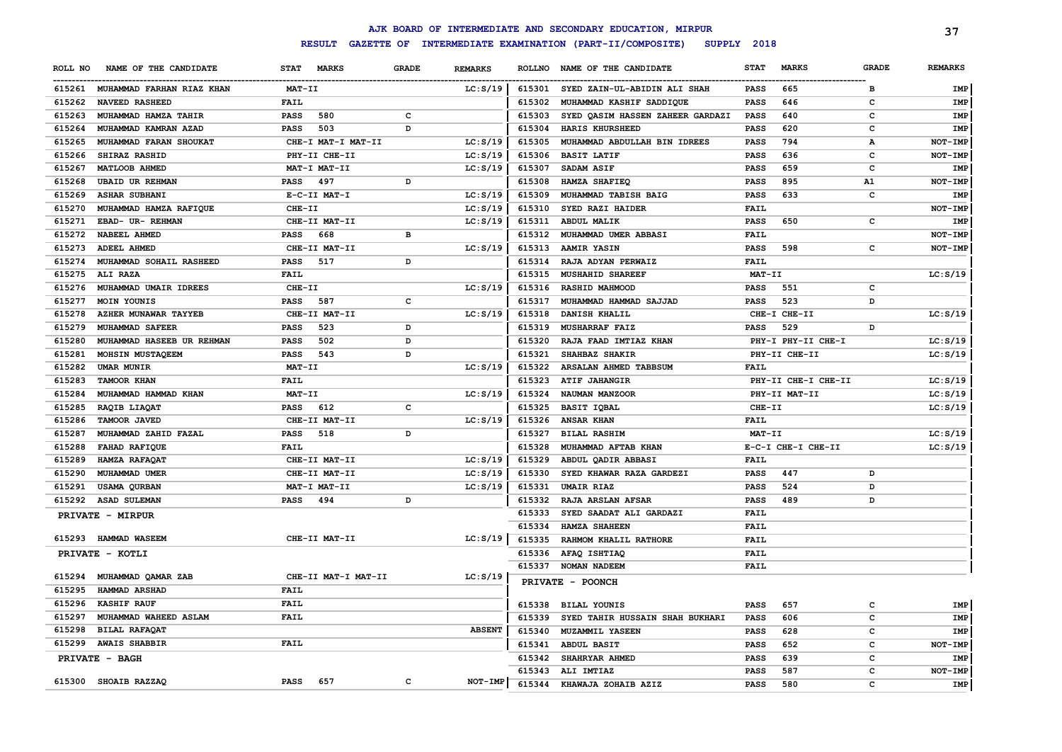|         |                                  |                             |              |                |        | AJK BOARD OF INTERMEDIATE AND SECONDARY EDUCATION, MIRPUR |             |                     |              | 37             |
|---------|----------------------------------|-----------------------------|--------------|----------------|--------|-----------------------------------------------------------|-------------|---------------------|--------------|----------------|
|         |                                  | <b>RESULT</b>               |              |                |        | GAZETTE OF INTERMEDIATE EXAMINATION (PART-II/COMPOSITE)   | SUPPLY 2018 |                     |              |                |
| ROLL NO | NAME OF THE CANDIDATE            | <b>STAT</b><br><b>MARKS</b> | <b>GRADE</b> | <b>REMARKS</b> |        | ROLLNO NAME OF THE CANDIDATE                              | <b>STAT</b> | <b>MARKS</b>        | <b>GRADE</b> | <b>REMARKS</b> |
|         | 615261 MUHAMMAD FARHAN RIAZ KHAN | MAT-II                      |              | LC: S/19       |        | 615301 SYED ZAIN-UL-ABIDIN ALI SHAH                       | <b>PASS</b> | 665                 | B            | IMP            |
| 615262  | <b>NAVEED RASHEED</b>            | <b>FAIL</b>                 |              |                | 615302 | MUHAMMAD KASHIF SADDIQUE                                  | <b>PASS</b> | 646                 | c            | IMP            |
| 615263  | MUHAMMAD HAMZA TAHIR             | <b>PASS</b><br>580          | $\mathbf{C}$ |                | 615303 | SYED QASIM HASSEN ZAHEER GARDAZI                          | <b>PASS</b> | 640                 | C            | <b>IMP</b>     |
| 615264  | MUHAMMAD KAMRAN AZAD             | <b>PASS</b><br>503          | D            |                | 615304 | HARIS KHURSHEED                                           | <b>PASS</b> | 620                 | c            | IMP            |
| 615265  | MUHAMMAD FARAN SHOUKAT           | CHE-I MAT-I MAT-II          |              | LC: S/19       | 615305 | MUHAMMAD ABDULLAH BIN IDREES                              | <b>PASS</b> | 794                 | А            | NOT-IMP        |
| 615266  | SHIRAZ RASHID                    | PHY-II CHE-II               |              | LC: S/19       | 615306 | <b>BASIT LATIF</b>                                        | <b>PASS</b> | 636                 | c            | NOT-IMP        |
| 615267  | MATLOOB AHMED                    | MAT-I MAT-II                |              | LC: S/19       | 615307 | SADAM ASIF                                                | <b>PASS</b> | 659                 | c            | IMP            |
| 615268  | <b>UBAID UR REHMAN</b>           | <b>PASS</b><br>497          | D            |                | 615308 | HAMZA SHAFIEQ                                             | <b>PASS</b> | 895                 | A1           | NOT-IMP        |
|         | 615269 ASHAR SUBHANI             | E-C-II MAT-I                |              | LC: S/19       | 615309 | MUHAMMAD TABISH BAIG                                      | <b>PASS</b> | 633                 | c            | IMP            |
| 615270  | MUHAMMAD HAMZA RAFIQUE           | CHE-II                      |              | LC: S/19       | 615310 | SYED RAZI HAIDER                                          | <b>FAIL</b> |                     |              | NOT-IMP        |
| 615271  | EBAD- UR- REHMAN                 | CHE-II MAT-II               |              | LC: S/19       | 615311 | ABDUL MALIK                                               | PASS        | 650                 | $\mathtt{c}$ | IMP            |
| 615272  | <b>NABEEL AHMED</b>              | <b>PASS</b><br>668          | $\, {\bf B}$ |                | 615312 | MUHAMMAD UMER ABBASI                                      | <b>FAIL</b> |                     |              | NOT-IMP        |
|         | 615273 ADEEL AHMED               | CHE-II MAT-II               |              | LC: S/19       | 615313 | <b>AAMIR YASIN</b>                                        | PASS        | 598                 | c            | NOT-IMP        |
| 615274  | MUHAMMAD SOHAIL RASHEED          | <b>PASS</b><br>517          | D            |                | 615314 | RAJA ADYAN PERWAIZ                                        | <b>FAIL</b> |                     |              |                |
| 615275  | ALI RAZA                         | <b>FAIL</b>                 |              |                | 615315 | <b>MUSHAHID SHAREEF</b>                                   | MAT-II      |                     |              | LC: S/19       |
| 615276  | MUHAMMAD UMAIR IDREES            | CHE-II                      |              | LC: S/19       | 615316 | <b>RASHID MAHMOOD</b>                                     | <b>PASS</b> | 551                 | c            |                |
| 615277  | MOIN YOUNIS                      | <b>PASS</b><br>587          | $\mathbf{C}$ |                | 615317 | MUHAMMAD HAMMAD SAJJAD                                    | <b>PASS</b> | 523                 | D            |                |
| 615278  | AZHER MUNAWAR TAYYEB             | CHE-II MAT-II               |              | LC: S/19       | 615318 | DANISH KHALIL                                             |             | CHE-I CHE-II        |              | LC: S/19       |
| 615279  | MUHAMMAD SAFEER                  | <b>PASS</b><br>523          | D            |                | 615319 | <b>MUSHARRAF FAIZ</b>                                     | <b>PASS</b> | 529                 | D            |                |
| 615280  | MUHAMMAD HASEEB UR REHMAN        | <b>PASS</b><br>502          | D            |                | 615320 | RAJA FAAD IMTIAZ KHAN                                     |             | PHY-I PHY-II CHE-I  |              | LC: S/19       |
| 615281  | MOHSIN MUSTAQEEM                 | <b>PASS</b><br>543          | D            |                | 615321 | SHAHBAZ SHAKIR                                            |             | PHY-II CHE-II       |              | LC: S/19       |
| 615282  | <b>UMAR MUNIR</b>                | MAT-II                      |              | LC: S/19       | 615322 | ARSALAN AHMED TABBSUM                                     | <b>FAIL</b> |                     |              |                |
| 615283  | <b>TAMOOR KHAN</b>               | <b>FAIL</b>                 |              |                | 615323 | <b>ATIF JAHANGIR</b>                                      |             | PHY-II CHE-I CHE-II |              | LC: S/19       |
| 615284  | MUHAMMAD HAMMAD KHAN             | MAT-II                      |              | LC: S/19       | 615324 | NAUMAN MANZOOR                                            |             | PHY-II MAT-II       |              | LC: S/19       |
| 615285  | RAQIB LIAQAT                     | <b>PASS</b><br>612          | $\mathbf{C}$ |                | 615325 | <b>BASIT IQBAL</b>                                        | CHE-II      |                     |              | LC: S/19       |
| 615286  | TAMOOR JAVED                     | CHE-II MAT-II               |              | LC: S/19       | 615326 | <b>ANSAR KHAN</b>                                         | <b>FAIL</b> |                     |              |                |
| 615287  | MUHAMMAD ZAHID FAZAL             | <b>PASS</b><br>518          | D            |                | 615327 | <b>BILAL RASHIM</b>                                       | $MAT-TI$    |                     |              | LC: S/19       |
| 615288  | <b>FAHAD RAFIQUE</b>             | <b>FAIL</b>                 |              |                | 615328 | MUHAMMAD AFTAB KHAN                                       |             | E-C-I CHE-I CHE-II  |              | LC: S/19       |
| 615289  | HAMZA RAFAQAT                    | CHE-II MAT-II               |              | LC: S/19       | 615329 | ABDUL QADIR ABBASI                                        | <b>FAIL</b> |                     |              |                |
| 615290  | MUHAMMAD UMER                    | CHE-II MAT-II               |              | LC: S/19       | 615330 | SYED KHAWAR RAZA GARDEZI                                  | <b>PASS</b> | 447                 | D            |                |
| 615291  | USAMA QURBAN                     | MAT-I MAT-II                |              | LC: S/19       | 615331 | <b>UMAIR RIAZ</b>                                         | PASS        | 524                 | D            |                |
|         | 615292 ASAD SULEMAN              | <b>PASS</b><br>494          | D            |                | 615332 | RAJA ARSLAN AFSAR                                         | <b>PASS</b> | 489                 | D            |                |
|         |                                  |                             |              |                | 615333 | SYED SAADAT ALI GARDAZI                                   | <b>FAIL</b> |                     |              |                |
|         | PRIVATE - MIRPUR                 |                             |              |                | 615334 | <b>HAMZA SHAHEEN</b>                                      | <b>FAIL</b> |                     |              |                |
|         | 615293 HAMMAD WASEEM             | CHE-II MAT-II               |              | LC: S/19       | 615335 | RAHMOM KHALIL RATHORE                                     | <b>FAIL</b> |                     |              |                |
|         |                                  |                             |              |                | 615336 | AFAQ ISHTIAQ                                              | <b>FAIL</b> |                     |              |                |
|         | PRIVATE - KOTLI                  |                             |              |                | 615337 | NOMAN NADEEM                                              | <b>FAIL</b> |                     |              |                |
| 615294  | MUHAMMAD QAMAR ZAB               | CHE-II MAT-I MAT-II         |              | LC: S/19       |        |                                                           |             |                     |              |                |
| 615295  | <b>HAMMAD ARSHAD</b>             | FAIL                        |              |                |        | PRIVATE - POONCH                                          |             |                     |              |                |
| 615296  | <b>KASHIF RAUF</b>               | <b>FAIL</b>                 |              |                | 615338 | BILAL YOUNIS                                              | <b>PASS</b> | 657                 | c            | <b>IMP</b>     |
| 615297  | MUHAMMAD WAHEED ASLAM            | <b>FAIL</b>                 |              |                | 615339 | SYED TAHIR HUSSAIN SHAH BUKHARI                           | <b>PASS</b> | 606                 | c            | <b>IMP</b>     |
| 615298  | <b>BILAL RAFAQAT</b>             |                             |              | <b>ABSENT</b>  | 615340 | MUZAMMIL YASEEN                                           | <b>PASS</b> | 628                 | c            | IMP            |
| 615299  | <b>AWAIS SHABBIR</b>             | <b>FAIL</b>                 |              |                | 615341 | <b>ABDUL BASIT</b>                                        | <b>PASS</b> | 652                 | c            | NOT-IMP        |
|         |                                  |                             |              |                | 615342 | SHAHRYAR AHMED                                            | <b>PASS</b> | 639                 | c            | IMP            |
|         | PRIVATE - BAGH                   |                             |              |                | 615343 | ALI IMTIAZ                                                | <b>PASS</b> | 587                 | C            | NOT-IMP        |
|         | 615300 SHOAIB RAZZAQ             | 657<br><b>PASS</b>          | C            | NOT-IMP        | 615344 | KHAWAJA ZOHAIB AZIZ                                       | <b>PASS</b> | 580                 | C            | <b>IMP</b>     |
|         |                                  |                             |              |                |        |                                                           |             |                     |              |                |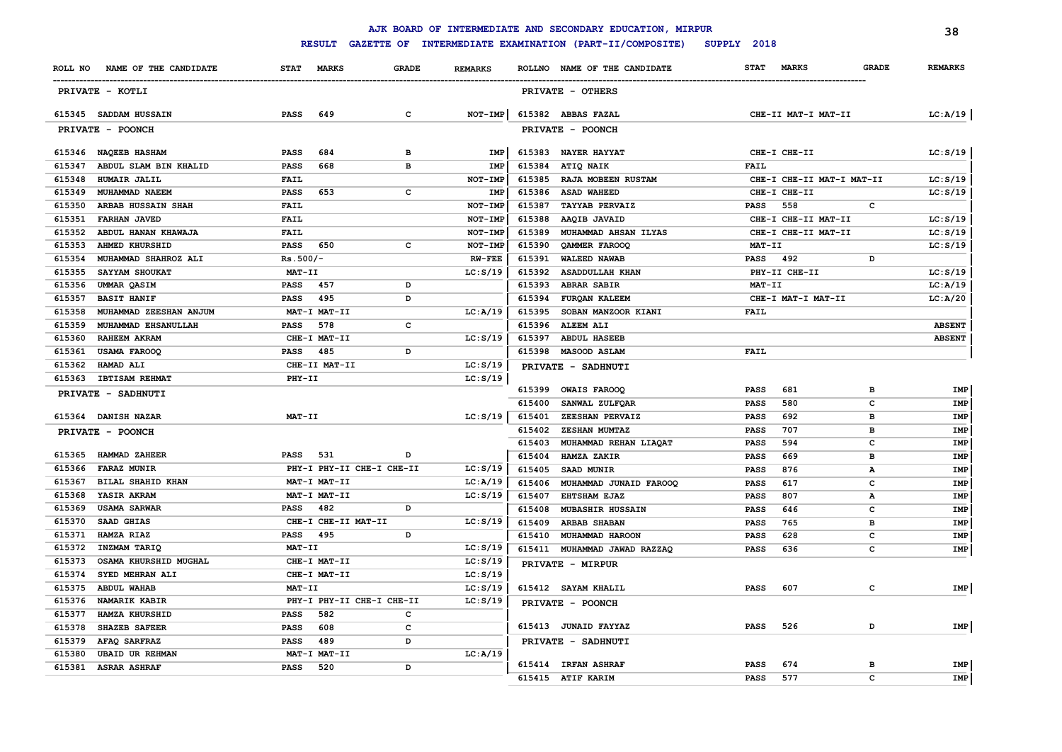|        |                               |             |                           |              |                |        | AJK BOARD OF INTERMEDIATE AND SECONDARY EDUCATION, MIRPUR |             |                           |              | 38             |
|--------|-------------------------------|-------------|---------------------------|--------------|----------------|--------|-----------------------------------------------------------|-------------|---------------------------|--------------|----------------|
|        |                               |             | <b>RESULT</b>             |              |                |        | GAZETTE OF INTERMEDIATE EXAMINATION (PART-II/COMPOSITE)   | SUPPLY 2018 |                           |              |                |
|        | ROLL NO NAME OF THE CANDIDATE | <b>STAT</b> | <b>MARKS</b>              | <b>GRADE</b> | <b>REMARKS</b> |        | ROLLNO NAME OF THE CANDIDATE                              | <b>STAT</b> | <b>MARKS</b>              | <b>GRADE</b> | <b>REMARKS</b> |
|        | PRIVATE - KOTLI               |             |                           |              |                |        | PRIVATE - OTHERS                                          |             |                           |              |                |
|        | 615345 SADDAM HUSSAIN         | <b>PASS</b> | 649                       | $\mathbf{C}$ | $NOT-IMP$      |        | 615382 ABBAS FAZAL                                        |             | CHE-II MAT-I MAT-II       |              | LC:A/19        |
|        | PRIVATE - POONCH              |             |                           |              |                |        | PRIVATE - POONCH                                          |             |                           |              |                |
|        | 615346 NAQEEB HASHAM          | <b>PASS</b> | 684                       | в            | IMP            | 615383 | <b>NAYER HAYYAT</b>                                       |             | CHE-I CHE-II              |              | LC: S/19       |
| 615347 | ABDUL SLAM BIN KHALID         | <b>PASS</b> | 668                       | в            | IMP            | 615384 | ATIQ NAIK                                                 | FAIL        |                           |              |                |
| 615348 | HUMAIR JALIL                  | FAIL        |                           |              | NOT-IMP        | 615385 | RAJA MOBEEN RUSTAM                                        |             | CHE-I CHE-II MAT-I MAT-II |              | LC: S/19       |
| 615349 | MUHAMMAD NAEEM                | <b>PASS</b> | 653                       | c            | IMP            | 615386 | <b>ASAD WAHEED</b>                                        |             | CHE-I CHE-II              |              | LC: S/19       |
| 615350 | ARBAB HUSSAIN SHAH            | FAIL        |                           |              | NOT-IMP        | 615387 | <b>TAYYAB PERVAIZ</b>                                     | PASS        | 558                       | C            |                |
| 615351 | <b>FARHAN JAVED</b>           | <b>FAIL</b> |                           |              | NOT-IMP        | 615388 | AAQIB JAVAID                                              |             | CHE-I CHE-II MAT-II       |              | LC: S/19       |
| 615352 | ABDUL HANAN KHAWAJA           | <b>FAIL</b> |                           |              | NOT-IMP        | 615389 | MUHAMMAD AHSAN ILYAS                                      |             | CHE-I CHE-II MAT-II       |              | LC: S/19       |
| 615353 | <b>AHMED KHURSHID</b>         | <b>PASS</b> | 650                       | c            | NOT-IMP        | 615390 | QAMMER FAROOQ                                             | MAT-II      |                           |              | LC: S/19       |
| 615354 | MUHAMMAD SHAHROZ ALI          | $Rs.500/-$  |                           |              | <b>RW-FEE</b>  | 615391 | <b>WALEED NAWAB</b>                                       | <b>PASS</b> | 492                       | D            |                |
| 615355 | SAYYAM SHOUKAT                | MAT-II      |                           |              | LC: S/19       | 615392 | <b>ASADDULLAH KHAN</b>                                    |             | PHY-II CHE-II             |              | LC: S/19       |
| 615356 | UMMAR QASIM                   | <b>PASS</b> | 457                       | D            |                | 615393 | <b>ABRAR SABIR</b>                                        | $MAT-TI$    |                           |              | LC: A/19       |
| 615357 | <b>BASIT HANIF</b>            | <b>PASS</b> | 495                       | D            |                | 615394 | FURQAN KALEEM                                             |             | CHE-I MAT-I MAT-II        |              | LC: A/20       |
| 615358 | MUHAMMAD ZEESHAN ANJUM        |             | MAT-I MAT-II              |              | LC:A/19        | 615395 | SOBAN MANZOOR KIANI                                       | <b>FAIL</b> |                           |              |                |
| 615359 | MUHAMMAD EHSANULLAH           | PASS        | 578                       | $\mathbf c$  |                | 615396 | <b>ALEEM ALI</b>                                          |             |                           |              | <b>ABSENT</b>  |
| 615360 | <b>RAHEEM AKRAM</b>           |             | CHE-I MAT-II              |              | LC: S/19       | 615397 | <b>ABDUL HASEEB</b>                                       |             |                           |              | <b>ABSENT</b>  |
| 615361 | <b>USAMA FAROOQ</b>           | PASS 485    |                           | D            |                | 615398 | <b>MASOOD ASLAM</b>                                       | <b>FAIL</b> |                           |              |                |
| 615362 | <b>HAMAD ALI</b>              |             | CHE-II MAT-II             |              | LC: S/19       |        | PRIVATE - SADHNUTI                                        |             |                           |              |                |
| 615363 | <b>IBTISAM REHMAT</b>         | PHY-II      |                           |              | LC: S/19       |        |                                                           |             |                           |              |                |
|        | PRIVATE - SADHNUTI            |             |                           |              |                |        | 615399 OWAIS FAROOQ                                       | <b>PASS</b> | 681                       | в            | IMP            |
|        |                               |             |                           |              |                | 615400 | SANWAL ZULFQAR                                            | <b>PASS</b> | 580                       | $\mathbf{C}$ | IMP            |
|        | 615364 DANISH NAZAR           | MAT-II      |                           |              | LC: S/19       | 615401 | ZEESHAN PERVAIZ                                           | <b>PASS</b> | 692                       | в            | IMP            |
|        | PRIVATE - POONCH              |             |                           |              |                | 615402 | <b>ZESHAN MUMTAZ</b>                                      | <b>PASS</b> | 707                       | B            | IMP            |
|        |                               |             |                           |              |                | 615403 | MUHAMMAD REHAN LIAQAT                                     | <b>PASS</b> | 594                       | c            | IMP            |
| 615365 | <b>HAMMAD ZAHEER</b>          | <b>PASS</b> | 531                       | D            |                | 615404 | HAMZA ZAKIR                                               | <b>PASS</b> | 669                       | в            | IMP            |
| 615366 | <b>FARAZ MUNIR</b>            |             | PHY-I PHY-II CHE-I CHE-II |              | LC: S/19       | 615405 | SAAD MUNIR                                                | <b>PASS</b> | 876                       | А            | IMP            |
| 615367 | BILAL SHAHID KHAN             |             | MAT-I MAT-II              |              | LC: A/19       | 615406 | MUHAMMAD JUNAID FAROOQ                                    | <b>PASS</b> | 617                       | c            | IMP            |
| 615368 | YASIR AKRAM                   |             | MAT-I MAT-II              |              | LC: S/19       | 615407 | <b>EHTSHAM EJAZ</b>                                       | <b>PASS</b> | 807                       | A            | <b>IMP</b>     |
| 615369 | <b>USAMA SARWAR</b>           | PASS        | 482                       | D            |                | 615408 | MUBASHIR HUSSAIN                                          | <b>PASS</b> | 646                       | с            | IMP            |
| 615370 | SAAD GHIAS                    |             | CHE-I CHE-II MAT-II       |              | LC: S/19       | 615409 | <b>ARBAB SHABAN</b>                                       | <b>PASS</b> | 765                       | в            | IMP            |
| 615371 | HAMZA RIAZ                    | <b>PASS</b> | 495                       | D            |                | 615410 | MUHAMMAD HAROON                                           | <b>PASS</b> | 628                       | C            | IMP            |
| 615372 | INZMAM TARIQ                  | MAT-II      |                           |              | LC: S/19       |        | 615411 MUHAMMAD JAWAD RAZZAQ                              | <b>PASS</b> | 636                       | C            | IMP            |
| 615373 | OSAMA KHURSHID MUGHAL         |             | CHE-I MAT-II              |              | LC: S/19       |        | PRIVATE - MIRPUR                                          |             |                           |              |                |
| 615374 | SYED MEHRAN ALI               |             | CHE-I MAT-II              |              | LC: S/19       |        |                                                           |             |                           |              |                |
| 615375 | <b>ABDUL WAHAB</b>            | MAT-II      |                           |              | LC: S/19       |        | 615412 SAYAM KHALIL                                       | <b>PASS</b> | 607                       | $\mathbf{C}$ | IMP            |
| 615376 | <b>NAMARIK KABIR</b>          |             | PHY-I PHY-II CHE-I CHE-II |              | LC: S/19       |        | PRIVATE - POONCH                                          |             |                           |              |                |
| 615377 | HAMZA KHURSHID                | <b>PASS</b> | 582                       | c            |                |        |                                                           |             |                           |              |                |
| 615378 | <b>SHAZEB SAFEER</b>          | <b>PASS</b> | 608                       | c            |                |        | 615413 JUNAID FAYYAZ                                      | <b>PASS</b> | 526                       | D            | <b>IMP</b>     |
| 615379 | AFAQ SARFRAZ                  | PASS        | 489                       | D            |                |        | PRIVATE - SADHNUTI                                        |             |                           |              |                |
| 615380 | <b>UBAID UR REHMAN</b>        |             | MAT-I MAT-II              |              | LC: A/19       |        |                                                           |             |                           |              |                |
|        | 615381 ASRAR ASHRAF           | <b>PASS</b> | 520                       | D            |                |        | 615414 IRFAN ASHRAF                                       | <b>PASS</b> | 674                       | B            | IMP            |
|        |                               |             |                           |              |                |        | 615415 ATIF KARIM                                         | <b>PASS</b> | 577                       | C            | IMP            |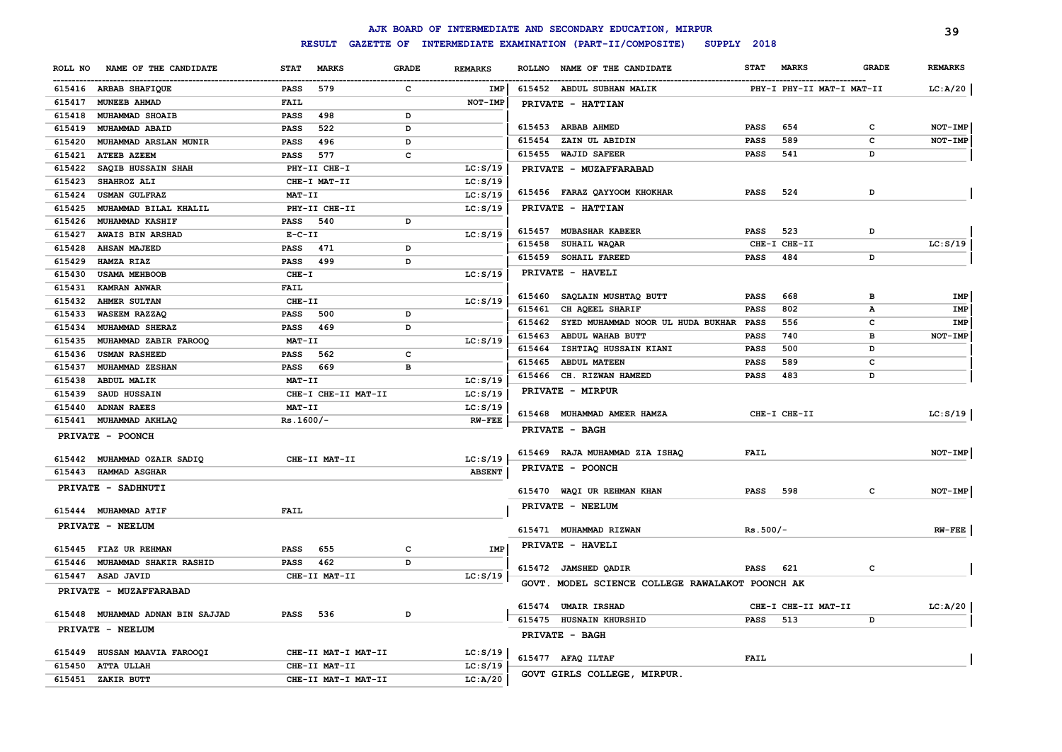|         |                                  |             |                     |              |                |        | AJK BOARD OF INTERMEDIATE AND SECONDARY EDUCATION, MIRPUR              |             |                           |              | 39             |
|---------|----------------------------------|-------------|---------------------|--------------|----------------|--------|------------------------------------------------------------------------|-------------|---------------------------|--------------|----------------|
|         |                                  |             | <b>RESULT</b>       |              |                |        | GAZETTE OF INTERMEDIATE EXAMINATION (PART-II/COMPOSITE)<br>SUPPLY 2018 |             |                           |              |                |
| ROLL NO | NAME OF THE CANDIDATE            | <b>STAT</b> | <b>MARKS</b>        | <b>GRADE</b> | <b>REMARKS</b> |        | ROLLNO NAME OF THE CANDIDATE                                           | <b>STAT</b> | <b>MARKS</b>              | <b>GRADE</b> | <b>REMARKS</b> |
|         | 615416 ARBAB SHAFIQUE            | PASS        | 579                 | c            | IMP            |        | 615452 ABDUL SUBHAN MALIK                                              |             | PHY-I PHY-II MAT-I MAT-II |              | LC:A/20        |
| 615417  | <b>MUNEEB AHMAD</b>              | FAIL        |                     |              | <b>NOT-IMP</b> |        | PRIVATE - HATTIAN                                                      |             |                           |              |                |
| 615418  | <b>MUHAMMAD SHOAIB</b>           | <b>PASS</b> | 498                 | D            |                |        |                                                                        |             |                           |              |                |
| 615419  | MUHAMMAD ABAID                   | <b>PASS</b> | 522                 | D            |                |        | 615453 ARBAB AHMED                                                     | <b>PASS</b> | 654                       | c            | <b>NOT-IMP</b> |
| 615420  | MUHAMMAD ARSLAN MUNIR            | <b>PASS</b> | 496                 | D            |                |        | 615454 ZAIN UL ABIDIN                                                  | <b>PASS</b> | 589                       | C            | NOT-IMP        |
| 615421  | <b>ATEEB AZEEM</b>               | <b>PASS</b> | 577                 | C            |                |        | 615455 WAJID SAFEER                                                    | <b>PASS</b> | 541                       | D            |                |
| 615422  | SAQIB HUSSAIN SHAH               |             | PHY-II CHE-I        |              | LC: S/19       |        | PRIVATE - MUZAFFARABAD                                                 |             |                           |              |                |
| 615423  | SHAHROZ ALI                      |             | CHE-I MAT-II        |              | LC: S/19       |        |                                                                        |             |                           |              |                |
| 615424  | <b>USMAN GULFRAZ</b>             | MAT-II      |                     |              | LC: S/19       |        | 615456 FARAZ QAYYOOM KHOKHAR                                           | <b>PASS</b> | 524                       | D            |                |
| 615425  | MUHAMMAD BILAL KHALIL            |             | PHY-II CHE-II       |              | LC: S/19       |        | PRIVATE - HATTIAN                                                      |             |                           |              |                |
| 615426  | <b>MUHAMMAD KASHIF</b>           | <b>PASS</b> | 540                 | D            |                |        |                                                                        |             |                           |              |                |
| 615427  | AWAIS BIN ARSHAD                 | $E-C-II$    |                     |              | LC: S/19       |        | 615457 MUBASHAR KABEER                                                 | <b>PASS</b> | 523                       | D            |                |
| 615428  | <b>AHSAN MAJEED</b>              | <b>PASS</b> | 471                 | D            |                | 615458 | <b>SUHAIL WAQAR</b>                                                    |             | CHE-I CHE-II              |              | LC: S/19       |
| 615429  | HAMZA RIAZ                       | <b>PASS</b> | 499                 | D            |                | 615459 | <b>SOHAIL FAREED</b>                                                   | <b>PASS</b> | 484                       | D            |                |
| 615430  | <b>USAMA MEHBOOB</b>             | $CHE-T$     |                     |              | LC: S/19       |        | PRIVATE - HAVELI                                                       |             |                           |              |                |
| 615431  | KAMRAN ANWAR                     | <b>FAIL</b> |                     |              |                | 615460 | SAQLAIN MUSHTAQ BUTT                                                   | <b>PASS</b> | 668                       | в            | IMP            |
| 615432  | <b>AHMER SULTAN</b>              | CHE-II      |                     |              | LC: S/19       | 615461 | CH AQEEL SHARIF                                                        | <b>PASS</b> | 802                       | А            | IMP            |
| 615433  | <b>WASEEM RAZZAQ</b>             | PASS        | 500                 | D            |                | 615462 | SYED MUHAMMAD NOOR UL HUDA BUKHAR PASS                                 |             | 556                       | c            | IMP            |
| 615434  | MUHAMMAD SHERAZ                  | <b>PASS</b> | 469                 | D            |                | 615463 | ABDUL WAHAB BUTT                                                       | <b>PASS</b> | 740                       | в            | NOT-IMP        |
| 615435  | MUHAMMAD ZABIR FAROOQ            | MAT-II      |                     |              | LC: S/19       | 615464 | ISHTIAQ HUSSAIN KIANI                                                  | <b>PASS</b> | 500                       | D            |                |
| 615436  | <b>USMAN RASHEED</b>             | PASS        | 562                 | $\mathbf c$  |                | 615465 | <b>ABDUL MATEEN</b>                                                    | <b>PASS</b> | 589                       | c            |                |
| 615437  | MUHAMMAD ZESHAN                  | <b>PASS</b> | 669                 | B            |                |        | 615466 CH. RIZWAN HAMEED                                               | <b>PASS</b> | 483                       | D            |                |
| 615438  | <b>ABDUL MALIK</b>               | MAT-II      |                     |              | LC: S/19       |        | PRIVATE - MIRPUR                                                       |             |                           |              |                |
| 615439  | SAUD HUSSAIN                     |             | CHE-I CHE-II MAT-II |              | LC: S/19       |        |                                                                        |             |                           |              |                |
| 615440  | <b>ADNAN RAEES</b>               | MAT-II      |                     |              | LC: S/19       |        | 615468 MUHAMMAD AMEER HAMZA                                            |             | CHE-I CHE-II              |              | LC: S/19       |
| 615441  | MUHAMMAD AKHLAQ                  | $Rs.1600/-$ |                     |              | <b>RW-FEE</b>  |        | PRIVATE - BAGH                                                         |             |                           |              |                |
|         | PRIVATE - POONCH                 |             |                     |              |                |        |                                                                        |             |                           |              |                |
|         | 615442 MUHAMMAD OZAIR SADIQ      |             | CHE-II MAT-II       |              | LC: S/19       |        | 615469 RAJA MUHAMMAD ZIA ISHAQ                                         | <b>FAIL</b> |                           |              | NOT-IMP        |
| 615443  | <b>HAMMAD ASGHAR</b>             |             |                     |              | <b>ABSENT</b>  |        | PRIVATE - POONCH                                                       |             |                           |              |                |
|         | PRIVATE - SADHNUTI               |             |                     |              |                |        |                                                                        |             |                           |              |                |
|         |                                  |             |                     |              |                |        | 615470 WAQI UR REHMAN KHAN                                             | <b>PASS</b> | 598                       | c            | NOT-IMP        |
|         | 615444 MUHAMMAD ATIF             | FAIL        |                     |              |                |        | PRIVATE - NEELUM                                                       |             |                           |              |                |
|         | PRIVATE - NEELUM                 |             |                     |              |                |        |                                                                        |             |                           |              |                |
|         |                                  |             |                     |              |                |        | 615471 MUHAMMAD RIZWAN                                                 | $Rs.500/-$  |                           |              | $RW-FEE$       |
|         | 615445 FIAZ UR REHMAN            | <b>PASS</b> | 655                 | $\mathbf c$  | <b>IMP</b>     |        | PRIVATE - HAVELI                                                       |             |                           |              |                |
|         | 615446 MUHAMMAD SHAKIR RASHID    | <b>PASS</b> | 462                 | D            |                |        | 615472 JAMSHED QADIR                                                   | PASS        | 621                       | c            |                |
|         | 615447 ASAD JAVID                |             | CHE-II MAT-II       |              | LC: S/19       |        |                                                                        |             |                           |              |                |
|         | PRIVATE - MUZAFFARABAD           |             |                     |              |                |        | GOVT. MODEL SCIENCE COLLEGE RAWALAKOT POONCH AK                        |             |                           |              |                |
|         |                                  |             |                     |              |                |        | 615474 UMAIR IRSHAD                                                    |             | CHE-I CHE-II MAT-II       |              | LC: A/20       |
|         | 615448 MUHAMMAD ADNAN BIN SAJJAD | <b>PASS</b> | 536                 | D            |                |        | 615475 HUSNAIN KHURSHID                                                | <b>PASS</b> | 513                       | D            |                |
|         | PRIVATE - NEELUM                 |             |                     |              |                |        | PRIVATE - BAGH                                                         |             |                           |              |                |
|         |                                  |             |                     |              |                |        |                                                                        |             |                           |              |                |
|         | 615449 HUSSAN MAAVIA FAROOQI     |             | CHE-II MAT-I MAT-II |              | LC: S/19       |        | 615477 AFAQ ILTAF                                                      | <b>FAIL</b> |                           |              |                |
|         | 615450 ATTA ULLAH                |             | CHE-II MAT-II       |              | LC: S/19       |        | GOVT GIRLS COLLEGE, MIRPUR.                                            |             |                           |              |                |
|         | 615451 ZAKIR BUTT                |             | CHE-II MAT-I MAT-II |              | LC: A/20       |        |                                                                        |             |                           |              |                |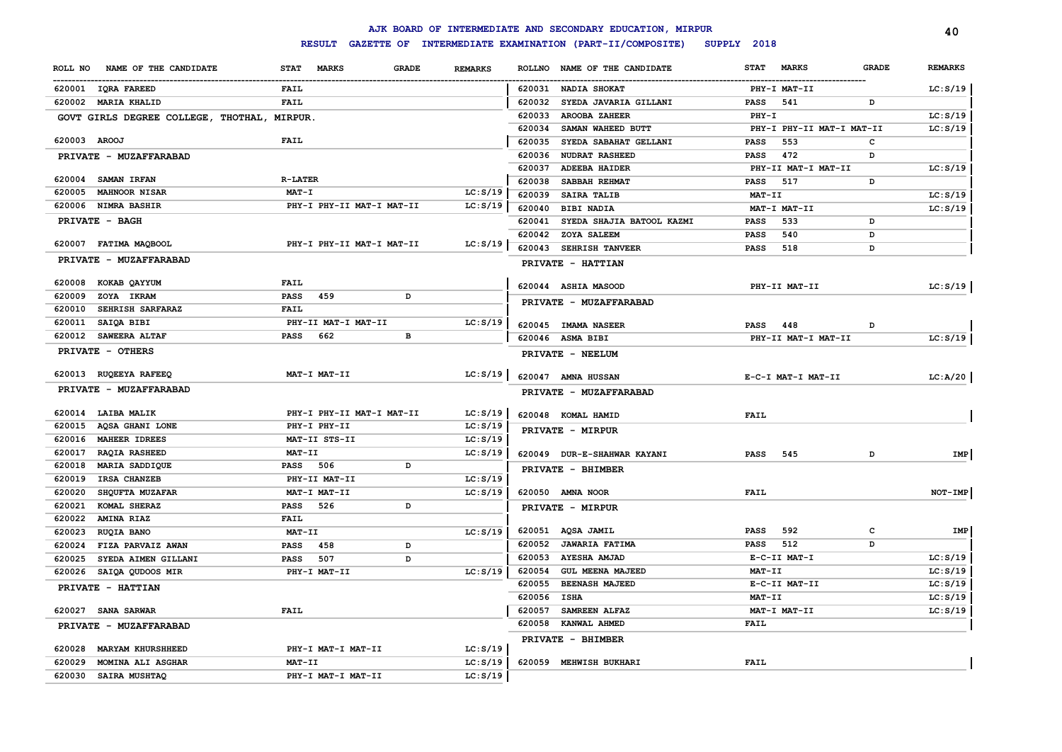|                                     |                                             |                | AJK BOARD OF INTERMEDIATE AND SECONDARY EDUCATION, MIRPUR |                                             | 40             |
|-------------------------------------|---------------------------------------------|----------------|-----------------------------------------------------------|---------------------------------------------|----------------|
|                                     | <b>RESULT</b>                               |                | GAZETTE OF INTERMEDIATE EXAMINATION (PART-II/COMPOSITE)   | SUPPLY 2018                                 |                |
| NAME OF THE CANDIDATE<br>ROLL NO    | <b>STAT</b><br><b>MARKS</b><br><b>GRADE</b> | <b>REMARKS</b> | NAME OF THE CANDIDATE<br><b>ROLLNO</b>                    | <b>MARKS</b><br><b>STAT</b><br><b>GRADE</b> | <b>REMARKS</b> |
| 620001 IQRA FAREED                  | FAIL                                        |                | 620031 NADIA SHOKAT                                       | PHY-I MAT-II                                | LC: S/19       |
| 620002 MARIA KHALID                 | <b>FAIL</b>                                 |                | 620032<br>SYEDA JAVARIA GILLANI                           | PASS<br>541<br>D                            |                |
| GOVT GIRLS DEGREE COLLEGE, THOTHAL, | MIRPUR.                                     |                | 620033<br><b>AROOBA ZAHEER</b>                            | $PHY-T$                                     | LC: S/19       |
|                                     |                                             |                | 620034<br>SAMAN WAHEED BUTT                               | PHY-I PHY-II MAT-I MAT-II                   | LC: S/19       |
| 620003 AROOJ                        | <b>FAIL</b>                                 |                | 620035<br>SYEDA SABAHAT GELLANI                           | 553<br>c<br><b>PASS</b>                     |                |
| PRIVATE - MUZAFFARABAD              |                                             |                | 620036<br><b>NUDRAT RASHEED</b>                           | 472<br><b>PASS</b><br>D                     |                |
|                                     |                                             |                | 620037<br><b>ADEEBA HAIDER</b>                            | PHY-II MAT-I MAT-II                         | LC: S/19       |
| 620004 SAMAN IRFAN                  | <b>R-LATER</b>                              |                | 620038<br>SABBAH REHMAT                                   | 517<br>D<br>PASS                            |                |
| 620005 MAHNOOR NISAR                | <b>MAT-I</b>                                | LC: S/19       | 620039<br>SAIRA TALIB                                     | MAT-II                                      | LC: S/19       |
| 620006 NIMRA BASHIR                 | PHY-I PHY-II MAT-I MAT-II                   | LC: S/19       | 620040<br><b>BIBI NADIA</b>                               | MAT-I MAT-II                                | LC: S/19       |
| PRIVATE - BAGH                      |                                             |                | 620041<br>SYEDA SHAJIA BATOOL KAZMI                       | 533<br><b>PASS</b><br>D                     |                |
|                                     |                                             |                | 620042<br>ZOYA SALEEM                                     | 540<br><b>PASS</b><br>D                     |                |
| 620007 FATIMA MAQBOOL               | PHY-I PHY-II MAT-I MAT-II                   | LC: S/19       | 620043<br><b>SEHRISH TANVEER</b>                          | 518<br><b>PASS</b><br>D                     |                |
| PRIVATE - MUZAFFARABAD              |                                             |                | PRIVATE - HATTIAN                                         |                                             |                |
| 620008 KOKAB QAYYUM                 | FAIL                                        |                | 620044 ASHIA MASOOD                                       | PHY-II MAT-II                               | LC: S/19       |
| 620009<br>ZOYA IKRAM                | 459<br><b>PASS</b><br>D                     |                | PRIVATE - MUZAFFARABAD                                    |                                             |                |
| SEHRISH SARFARAZ<br>620010          | FAIL                                        |                |                                                           |                                             |                |
| 620011<br>SAIQA BIBI                | PHY-II MAT-I MAT-II                         | LC: S/19       | 620045 IMAMA NASEER                                       | PASS<br>448<br>D                            |                |
| 620012<br><b>SAWEERA ALTAF</b>      | <b>PASS</b><br>662<br>в                     |                | 620046 ASMA BIBI                                          | PHY-II MAT-I MAT-II                         | LC: S/19       |
| PRIVATE - OTHERS                    |                                             |                | PRIVATE - NEELUM                                          |                                             |                |
| 620013 RUQEEYA RAFEEQ               | MAT-I MAT-II                                | LC: S/19       | 620047 AMNA HUSSAN                                        | E-C-I MAT-I MAT-II                          | LC: A/20       |
| PRIVATE - MUZAFFARABAD              |                                             |                | PRIVATE - MUZAFFARABAD                                    |                                             |                |
| 620014 LAIBA MALIK                  | PHY-I PHY-II MAT-I MAT-II                   | LC: S/19       | 620048 KOMAL HAMID                                        | <b>FAIL</b>                                 |                |
| 620015 AQSA GHANI LONE              | PHY-I PHY-II                                | LC: S/19       | PRIVATE - MIRPUR                                          |                                             |                |
| 620016 MAHEER IDREES                | MAT-II STS-II                               | LC: S/19       |                                                           |                                             |                |
| 620017<br><b>RAQIA RASHEED</b>      | MAT-II                                      | LC: S/19       | 620049 DUR-E-SHAHWAR KAYANI                               | 545<br><b>PASS</b><br>D                     | IMP            |
| 620018<br>MARIA SADDIQUE            | PASS 506<br>D                               |                | PRIVATE - BHIMBER                                         |                                             |                |
| 620019<br>IRSA CHANZEB              | PHY-II MAT-II                               | LC: S/19       |                                                           |                                             |                |
| 620020<br>SHQUFTA MUZAFAR           | MAT-I MAT-II                                | LC: S/19       | 620050 AMNA NOOR                                          | FAIL                                        | NOT-IMP        |
| 620021<br>KOMAL SHERAZ              | PASS<br>526<br>D                            |                | PRIVATE - MIRPUR                                          |                                             |                |
| 620022<br><b>AMINA RIAZ</b>         | <b>FAIL</b>                                 |                | 620051 AQSA JAMIL                                         | 592<br>c<br>PASS                            | IMP            |
| 620023<br>RUQIA BANO                | MAT-II                                      | LC: S/19       | 620052<br><b>JAWARIA FATIMA</b>                           | 512<br>D<br><b>PASS</b>                     |                |
| 620024<br>FIZA PARVAIZ AWAN         | <b>PASS</b><br>458<br>D                     |                | 620053<br><b>AYESHA AMJAD</b>                             | E-C-II MAT-I                                | LC: S/19       |
| SYEDA AIMEN GILLANI<br>620025       | 507<br><b>PASS</b><br>D                     |                | 620054<br><b>GUL MEENA MAJEED</b>                         | MAT-II                                      | LC: S/19       |
| 620026<br>SAIQA QUDOOS MIR          | PHY-I MAT-II                                | LC: S/19       | 620055<br><b>BEENASH MAJEED</b>                           | E-C-II MAT-II                               | LC: S/19       |
| PRIVATE - HATTIAN                   |                                             |                | 620056<br><b>ISHA</b>                                     | MAT-II                                      | LC: S/19       |
| 620027 SANA SARWAR                  | FAIL                                        |                | 620057<br>SAMREEN ALFAZ                                   | MAT-I MAT-II                                | LC: S/19       |
|                                     |                                             |                | 620058<br><b>KANWAL AHMED</b>                             | FAIL                                        |                |
| PRIVATE - MUZAFFARABAD              |                                             |                |                                                           |                                             |                |
| 620028 MARYAM KHURSHHEED            | PHY-I MAT-I MAT-II                          | LC: S/19       | PRIVATE - BHIMBER                                         |                                             |                |
| 620029<br>MOMINA ALI ASGHAR         | MAT-II                                      | LC: S/19       | 620059 MEHWISH BUKHARI                                    | FAIL                                        |                |
| 620030<br>SAIRA MUSHTAQ             | PHY-I MAT-I MAT-II                          | LC: S/19       |                                                           |                                             |                |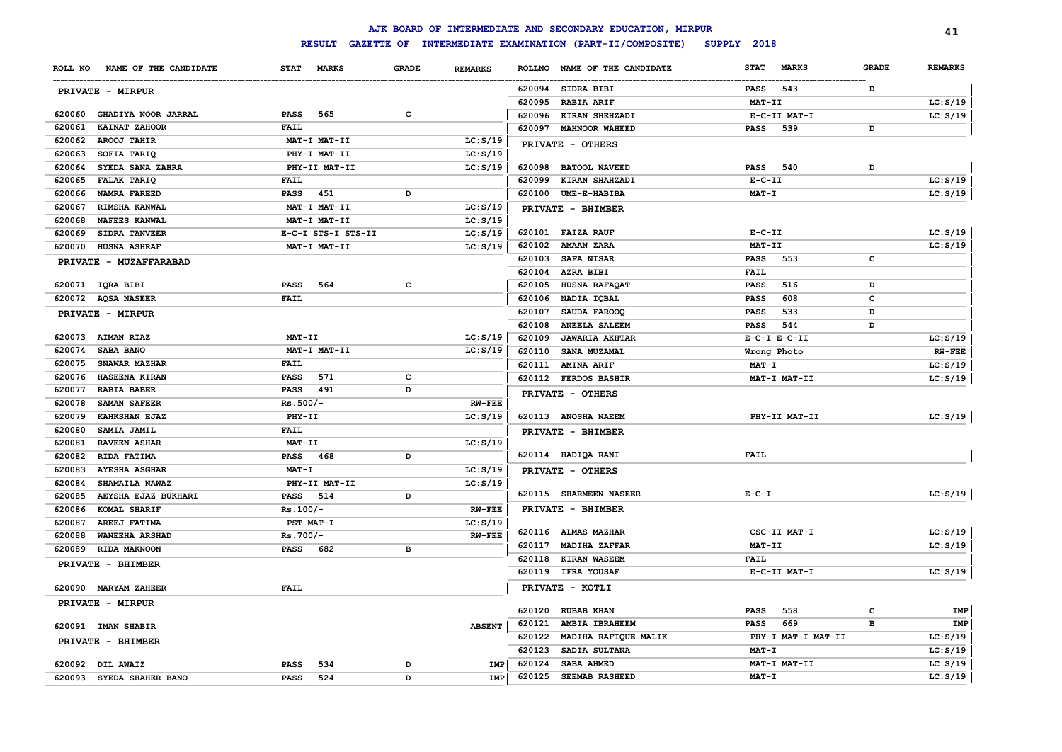|         |                          |                 |                    |              |                |               | AJK BOARD OF INTERMEDIATE AND SECONDARY EDUCATION, MIRPUR |              |                    |              | 41             |
|---------|--------------------------|-----------------|--------------------|--------------|----------------|---------------|-----------------------------------------------------------|--------------|--------------------|--------------|----------------|
|         |                          |                 | <b>RESULT</b>      |              |                |               | GAZETTE OF INTERMEDIATE EXAMINATION (PART-II/COMPOSITE)   | SUPPLY 2018  |                    |              |                |
| ROLL NO | NAME OF THE CANDIDATE    | <b>STAT</b>     | <b>MARKS</b>       | <b>GRADE</b> | <b>REMARKS</b> | <b>ROLLNO</b> | NAME OF THE CANDIDATE                                     | <b>STAT</b>  | <b>MARKS</b>       | <b>GRADE</b> | <b>REMARKS</b> |
|         | PRIVATE - MIRPUR         |                 |                    |              |                |               | 620094 SIDRA BIBI                                         | PASS         | 543                | D            |                |
|         |                          |                 |                    |              |                | 620095        | <b>RABIA ARIF</b>                                         | MAT-II       |                    |              | LC: S/19       |
| 620060  | GHADIYA NOOR JARRAL      | <b>PASS</b>     | 565                | c            |                | 620096        | KIRAN SHEHZADI                                            |              | E-C-II MAT-I       |              | LC: S/19       |
| 620061  | KAINAT ZAHOOR            | <b>FAIL</b>     |                    |              |                | 620097        | <b>MAHNOOR WAHEED</b>                                     | PASS         | 539                | D            |                |
| 620062  | AROOJ TAHIR              |                 | MAT-I MAT-II       |              | LC: S/19       |               | PRIVATE - OTHERS                                          |              |                    |              |                |
| 620063  | SOFIA TARIQ              |                 | PHY-I MAT-II       |              | LC: S/19       |               |                                                           |              |                    |              |                |
| 620064  | SYEDA SANA ZAHRA         |                 | PHY-II MAT-II      |              | LC: S/19       | 620098        | <b>BATOOL NAVEED</b>                                      | <b>PASS</b>  | 540                | D            |                |
| 620065  | <b>FALAK TARIQ</b>       | FAIL            |                    |              |                | 620099        | <b>KIRAN SHAHZADI</b>                                     | $E-C-II$     |                    |              | LC: S/19       |
| 620066  | <b>NAMRA FAREED</b>      | PASS 451        |                    | D            |                | 620100        | <b>UME-E-HABIBA</b>                                       | $MAT - I$    |                    |              | LC: S/19       |
| 620067  | <b>RIMSHA KANWAL</b>     |                 | MAT-I MAT-II       |              | LC: S/19       |               | PRIVATE - BHIMBER                                         |              |                    |              |                |
| 620068  | <b>NAFEES KANWAL</b>     |                 | MAT-I MAT-II       |              | LC: S/19       |               |                                                           |              |                    |              |                |
| 620069  | <b>SIDRA TANVEER</b>     |                 | E-C-I STS-I STS-II |              | LC: S/19       |               | 620101 FAIZA RAUF                                         | $E-C-II$     |                    |              | LC: S/19       |
| 620070  | <b>HUSNA ASHRAF</b>      |                 | MAT-I MAT-II       |              | LC: S/19       |               | 620102 AMAAN ZARA                                         | MAT-II       |                    |              | LC: S/19       |
|         | PRIVATE - MUZAFFARABAD   |                 |                    |              |                |               | 620103 SAFA NISAR                                         | PASS         | 553                | c            |                |
|         |                          |                 |                    |              |                |               | 620104 AZRA BIBI                                          | <b>FAIL</b>  |                    |              |                |
|         | 620071 IQRA BIBI         | <b>PASS</b>     | 564                | $\mathtt{C}$ |                | 620105        | HUSNA RAFAQAT                                             | <b>PASS</b>  | 516                | D            |                |
|         | 620072 AQSA NASEER       | <b>FAIL</b>     |                    |              |                | 620106        | NADIA IQBAL                                               | <b>PASS</b>  | 608                | c            |                |
|         | PRIVATE - MIRPUR         |                 |                    |              |                | 620107        | SAUDA FAROOQ                                              | <b>PASS</b>  | 533                | D            |                |
|         |                          |                 |                    |              |                | 620108        | <b>ANEELA SALEEM</b>                                      | PASS         | 544                | D            |                |
|         | 620073 AIMAN RIAZ        | MAT-II          |                    |              | LC: S/19       | 620109        | <b>JAWARIA AKHTAR</b>                                     |              | $E-C-I$ $E-C-II$   |              | LC: S/19       |
| 620074  | SABA BANO                |                 | MAT-I MAT-II       |              | LC: S/19       | 620110        | <b>SANA MUZAMAL</b>                                       | Wrong Photo  |                    |              | <b>RW-FEE</b>  |
| 620075  | <b>SNAWAR MAZHAR</b>     | <b>FAIL</b>     |                    |              |                | 620111        | <b>AMINA ARIF</b>                                         | <b>MAT-I</b> |                    |              | LC: S/19       |
| 620076  | <b>HASEENA KIRAN</b>     | <b>PASS</b>     | 571                | c            |                |               | 620112 FERDOS BASHIR                                      |              | MAT-I MAT-II       |              | LC: S/19       |
| 620077  | <b>RABIA BABER</b>       | PASS 491        |                    | D            |                |               | PRIVATE - OTHERS                                          |              |                    |              |                |
| 620078  | <b>SAMAN SAFEER</b>      | $Rs.500/-$      |                    |              | <b>RW-FEE</b>  |               |                                                           |              |                    |              |                |
| 620079  | KAHKSHAN EJAZ            | PHY-II          |                    |              | LC: S/19       |               | 620113 ANOSHA NAEEM                                       |              | PHY-II MAT-II      |              | LC: S/19       |
| 620080  | SAMIA JAMIL              | <b>FAIL</b>     |                    |              |                |               | PRIVATE - BHIMBER                                         |              |                    |              |                |
| 620081  | <b>RAVEEN ASHAR</b>      | MAT-II          |                    |              | LC: S/19       |               |                                                           |              |                    |              |                |
| 620082  | RIDA FATIMA              | PASS 468        |                    | D            |                |               | 620114 HADIQA RANI                                        | <b>FAIL</b>  |                    |              |                |
| 620083  | <b>AYESHA ASGHAR</b>     | $MAT - I$       |                    |              | LC: S/19       |               | PRIVATE - OTHERS                                          |              |                    |              |                |
| 620084  | <b>SHAMAILA NAWAZ</b>    |                 | PHY-II MAT-II      |              | LC: S/19       |               |                                                           |              |                    |              |                |
| 620085  | AEYSHA EJAZ BUKHARI      | PASS 514        |                    | D            |                |               | 620115 SHARMEEN NASEER                                    | $E - C - I$  |                    |              | LC: S/19       |
| 620086  | KOMAL SHARIF             | $Rs.100/-$      |                    |              | <b>RW-FEE</b>  |               | PRIVATE - BHIMBER                                         |              |                    |              |                |
| 620087  | AREEJ FATIMA             | PST MAT-I       |                    |              | LC: S/19       |               | 620116 ALMAS MAZHAR                                       |              | CSC-II MAT-I       |              | LC: S/19       |
| 620088  | WANEEHA ARSHAD           | $Rs.700/-$      |                    |              | $RW$ -FEE      | 620117        | <b>MADIHA ZAFFAR</b>                                      | MAT-II       |                    |              | LC: S/19       |
| 620089  | RIDA MAKNOON             | <b>PASS</b> 682 |                    | в            |                | 620118        | <b>KIRAN WASEEM</b>                                       | <b>FAIL</b>  |                    |              |                |
|         | PRIVATE - BHIMBER        |                 |                    |              |                |               | 620119 IFRA YOUSAF                                        |              | E-C-II MAT-I       |              | LC: S/19       |
|         | 620090 MARYAM ZAHEER     | <b>FAIL</b>     |                    |              |                |               | PRIVATE - KOTLI                                           |              |                    |              |                |
|         |                          |                 |                    |              |                |               |                                                           |              |                    |              |                |
|         | PRIVATE - MIRPUR         |                 |                    |              |                | 620120        | <b>RUBAB KHAN</b>                                         | <b>PASS</b>  | 558                | c            | IMP            |
|         | 620091 IMAN SHABIR       |                 |                    |              | <b>ABSENT</b>  | 620121        | AMBIA IBRAHEEM                                            | <b>PASS</b>  | 669                | B            | IMP            |
|         |                          |                 |                    |              |                | 620122        | MADIHA RAFIQUE MALIK                                      |              | PHY-I MAT-I MAT-II |              | LC: S/19       |
|         | PRIVATE - BHIMBER        |                 |                    |              |                | 620123        | SADIA SULTANA                                             | MAT-I        |                    |              | LC: S/19       |
|         | 620092 DIL AWAIZ         | <b>PASS</b>     | 534                | D            | <b>IMP</b>     | 620124        | SABA AHMED                                                |              | MAT-I MAT-II       |              | LC: S/19       |
|         | 620093 SYEDA SHAHER BANO | <b>PASS</b>     | 524                | D            | IMP            | 620125        | <b>SEEMAB RASHEED</b>                                     | MAT-I        |                    |              | LC: S/19       |
|         |                          |                 |                    |              |                |               |                                                           |              |                    |              |                |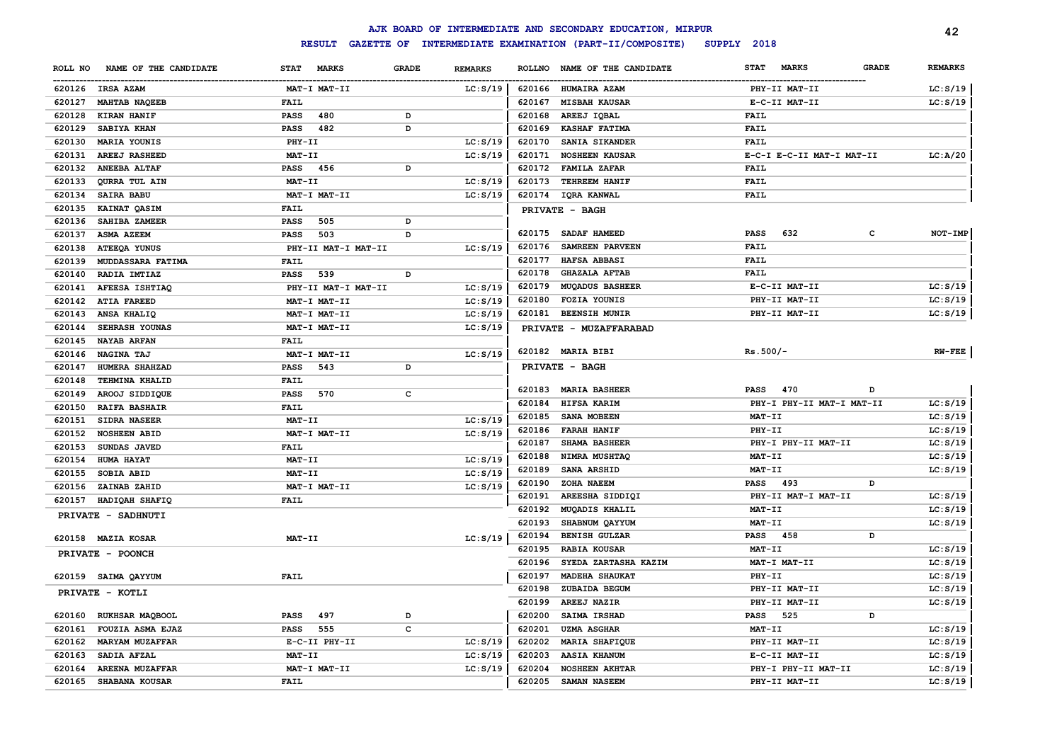|         |                        |             |                     |              |                |               | AJK BOARD OF INTERMEDIATE AND SECONDARY EDUCATION, MIRPUR |                             |              | 42             |
|---------|------------------------|-------------|---------------------|--------------|----------------|---------------|-----------------------------------------------------------|-----------------------------|--------------|----------------|
|         |                        |             | <b>RESULT</b>       |              |                |               | GAZETTE OF INTERMEDIATE EXAMINATION (PART-II/COMPOSITE)   | SUPPLY 2018                 |              |                |
| ROLL NO | NAME OF THE CANDIDATE  | <b>STAT</b> | <b>MARKS</b>        | <b>GRADE</b> | <b>REMARKS</b> | <b>ROLLNO</b> | NAME OF THE CANDIDATE                                     | <b>STAT</b><br><b>MARKS</b> | <b>GRADE</b> | <b>REMARKS</b> |
|         | 620126 IRSA AZAM       |             | MAT-I MAT-II        |              | LC: S/19       |               | 620166 HUMAIRA AZAM                                       | PHY-II MAT-II               |              | LC: S/19       |
| 620127  | MAHTAB NAQEEB          | <b>FAIL</b> |                     |              |                | 620167        | <b>MISBAH KAUSAR</b>                                      | E-C-II MAT-II               |              | LC: S/19       |
| 620128  | KIRAN HANIF            | <b>PASS</b> | 480                 | D            |                | 620168        | AREEJ IQBAL                                               | <b>FAIL</b>                 |              |                |
| 620129  | SABIYA KHAN            | <b>PASS</b> | 482                 | D            |                | 620169        | KASHAF FATIMA                                             | <b>FAIL</b>                 |              |                |
| 620130  | MARIA YOUNIS           | PHY-II      |                     |              | LC: S/19       | 620170        | SANIA SIKANDER                                            | <b>FAIL</b>                 |              |                |
| 620131  | <b>AREEJ RASHEED</b>   | MAT-II      |                     |              | LC: S/19       | 620171        | <b>NOSHEEN KAUSAR</b>                                     | E-C-I E-C-II MAT-I MAT-II   |              | LC: A/20       |
| 620132  | <b>ANEEBA ALTAF</b>    | PASS        | 456                 | D            |                | 620172        | <b>FAMILA ZAFAR</b>                                       | FAIL                        |              |                |
| 620133  | QURRA TUL AIN          | MAT-II      |                     |              | LC: S/19       | 620173        | <b>TEHREEM HANIF</b>                                      | FAIL                        |              |                |
| 620134  | <b>SAIRA BABU</b>      |             | MAT-I MAT-II        |              | LC: S/19       | 620174        | IQRA KANWAL                                               | <b>FAIL</b>                 |              |                |
| 620135  | KAINAT QASIM           | FAIL        |                     |              |                |               | PRIVATE - BAGH                                            |                             |              |                |
| 620136  | SAHIBA ZAMEER          | <b>PASS</b> | 505                 | D            |                |               |                                                           |                             |              |                |
| 620137  | <b>ASMA AZEEM</b>      | <b>PASS</b> | 503                 | D            |                | 620175        | SADAF HAMEED                                              | 632<br><b>PASS</b>          | c            | NOT-IMP        |
| 620138  | ATEEQA YUNUS           |             | PHY-II MAT-I MAT-II |              | LC: S/19       | 620176        | SAMREEN PARVEEN                                           | <b>FAIL</b>                 |              |                |
| 620139  | MUDDASSARA FATIMA      | <b>FAIL</b> |                     |              |                | 620177        | HAFSA ABBASI                                              | <b>FAIL</b>                 |              |                |
| 620140  | RADIA IMTIAZ           | <b>PASS</b> | 539                 | D            |                | 620178        | <b>GHAZALA AFTAB</b>                                      | FAIL                        |              |                |
| 620141  | AFEESA ISHTIAQ         |             | PHY-II MAT-I MAT-II |              | LC: S/19       | 620179        | <b>MUQADUS BASHEER</b>                                    | E-C-II MAT-II               |              | LC: S/19       |
| 620142  | <b>ATIA FAREED</b>     |             | MAT-I MAT-II        |              | LC: S/19       | 620180        | <b>FOZIA YOUNIS</b>                                       | PHY-II MAT-II               |              | LC: S/19       |
| 620143  | ANSA KHALIQ            |             | MAT-I MAT-II        |              | LC: S/19       | 620181        | <b>BEENSIH MUNIR</b>                                      | PHY-II MAT-II               |              | LC: S/19       |
| 620144  | SEHRASH YOUNAS         |             | MAT-I MAT-II        |              | LC: S/19       |               | PRIVATE - MUZAFFARABAD                                    |                             |              |                |
| 620145  | NAYAB ARFAN            | FAIL        |                     |              |                |               |                                                           |                             |              |                |
| 620146  | <b>NAGINA TAJ</b>      |             | MAT-I MAT-II        |              | LC: S/19       |               | 620182 MARIA BIBI                                         | $Rs.500/-$                  |              | $RW-FEE$       |
| 620147  | HUMERA SHAHZAD         | <b>PASS</b> | 543                 | D            |                |               | <b>PRIVATE - BAGH</b>                                     |                             |              |                |
| 620148  | <b>TEHMINA KHALID</b>  | FAIL        |                     |              |                |               |                                                           |                             |              |                |
| 620149  | AROOJ SIDDIQUE         | <b>PASS</b> | 570                 | $\mathbf{C}$ |                | 620183        | <b>MARIA BASHEER</b>                                      | 470<br><b>PASS</b>          | D            |                |
| 620150  | <b>RAIFA BASHAIR</b>   | FAIL        |                     |              |                | 620184        | HIFSA KARIM                                               | PHY-I PHY-II MAT-I MAT-II   |              | LC: S/19       |
| 620151  | SIDRA NASEER           | MAT-II      |                     |              | LC: S/19       | 620185        | SANA MOBEEN                                               | MAT-II                      |              | LC: S/19       |
| 620152  | <b>NOSHEEN ABID</b>    |             | MAT-I MAT-II        |              | LC: S/19       | 620186        | <b>FARAH HANIF</b>                                        | PHY-II                      |              | LC: S/19       |
| 620153  | SUNDAS JAVED           | <b>FAIL</b> |                     |              |                | 620187        | SHAMA BASHEER                                             | PHY-I PHY-II MAT-II         |              | LC: S/19       |
| 620154  | HUMA HAYAT             | MAT-II      |                     |              | LC: S/19       | 620188        | NIMRA MUSHTAQ                                             | MAT-II                      |              | LC: S/19       |
| 620155  | SOBIA ABID             | MAT-II      |                     |              | LC: S/19       | 620189        | SANA ARSHID                                               | MAT-II                      |              | LC: S/19       |
| 620156  | ZAINAB ZAHID           |             | MAT-I MAT-II        |              | LC: S/19       | 620190        | ZOHA NAEEM                                                | <b>PASS</b><br>493          | D            |                |
| 620157  | HADIQAH SHAFIQ         | <b>FAIL</b> |                     |              |                | 620191        | AREESHA SIDDIQI                                           | PHY-II MAT-I MAT-II         |              | LC: S/19       |
|         | PRIVATE - SADHNUTI     |             |                     |              |                | 620192        | MUQADIS KHALIL                                            | MAT-II                      |              | LC: S/19       |
|         |                        |             |                     |              |                | 620193        | SHABNUM QAYYUM                                            | MAT-II                      |              | LC: S/19       |
|         | 620158 MAZIA KOSAR     | $MAT-TI$    |                     |              | LC: S/19       | 620194        | <b>BENISH GULZAR</b>                                      | <b>PASS</b><br>458          | D            |                |
|         | PRIVATE - POONCH       |             |                     |              |                | 620195        | <b>RABIA KOUSAR</b>                                       | MAT-II                      |              | LC: S/19       |
|         |                        |             |                     |              |                | 620196        | SYEDA ZARTASHA KAZIM                                      | MAT-I MAT-II                |              | LC: S/19       |
|         | 620159 SAIMA QAYYUM    | FAIL        |                     |              |                | 620197        | <b>MADEHA SHAUKAT</b>                                     | PHY-II                      |              | LC: S/19       |
|         | PRIVATE - KOTLI        |             |                     |              |                | 620198        | ZUBAIDA BEGUM                                             | PHY-II MAT-II               |              | LC: S/19       |
|         |                        |             |                     |              |                | 620199        | AREEJ NAZIR                                               | PHY-II MAT-II               |              | LC: S/19       |
| 620160  | RUKHSAR MAQBOOL        | <b>PASS</b> | 497                 | D            |                | 620200        | SAIMA IRSHAD                                              | 525<br><b>PASS</b>          | D            |                |
| 620161  | FOUZIA ASMA EJAZ       | <b>PASS</b> | 555                 | $\mathbf c$  |                | 620201        | <b>UZMA ASGHAR</b>                                        | MAT-II                      |              | LC: S/19       |
| 620162  | <b>MARYAM MUZAFFAR</b> |             | E-C-II PHY-II       |              | LC: S/19       | 620202        | <b>MARIA SHAFIQUE</b>                                     | PHY-II MAT-II               |              | LC: S/19       |
| 620163  | SADIA AFZAL            | MAT-II      |                     |              | LC: S/19       | 620203        | <b>AASIA KHANUM</b>                                       | E-C-II MAT-II               |              | LC: S/19       |
| 620164  | <b>AREENA MUZAFFAR</b> |             | MAT-I MAT-II        |              | LC: S/19       | 620204        | <b>NOSHEEN AKHTAR</b>                                     | PHY-I PHY-II MAT-II         |              | LC: S/19       |
| 620165  | SHABANA KOUSAR         | <b>FAIL</b> |                     |              |                | 620205        | SAMAN NASEEM                                              | PHY-II MAT-II               |              | LC: S/19       |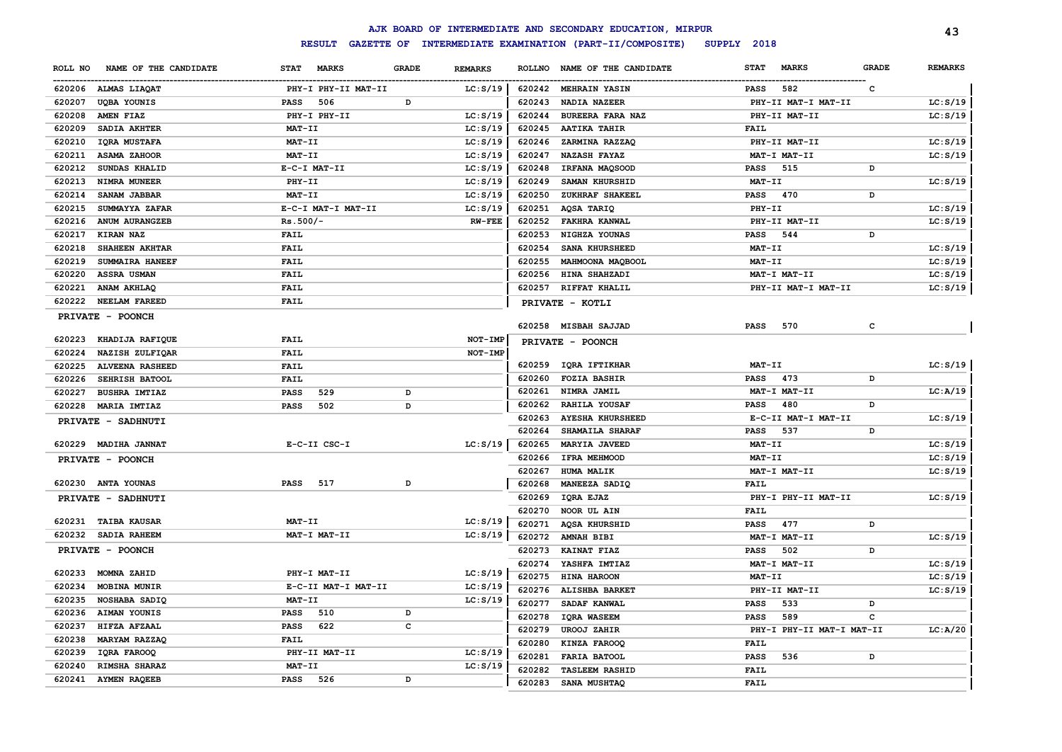|         |                        |                             |              |                |               | AJK BOARD OF INTERMEDIATE AND SECONDARY EDUCATION, MIRPUR |                             |              | 43             |
|---------|------------------------|-----------------------------|--------------|----------------|---------------|-----------------------------------------------------------|-----------------------------|--------------|----------------|
|         |                        | <b>RESULT</b>               |              |                |               | GAZETTE OF INTERMEDIATE EXAMINATION (PART-II/COMPOSITE)   | SUPPLY 2018                 |              |                |
| ROLL NO | NAME OF THE CANDIDATE  | <b>STAT</b><br><b>MARKS</b> | <b>GRADE</b> | <b>REMARKS</b> | <b>ROLLNO</b> | NAME OF THE CANDIDATE                                     | <b>STAT</b><br><b>MARKS</b> | <b>GRADE</b> | <b>REMARKS</b> |
|         | 620206 ALMAS LIAQAT    | PHY-I PHY-II MAT-II         |              | LC: S/19       |               | 620242 MEHRAIN YASIN                                      | 582<br><b>PASS</b>          | $\mathbf{C}$ |                |
| 620207  | <b>UQBA YOUNIS</b>     | <b>PASS</b><br>506          | D            |                | 620243        | NADIA NAZEER                                              | PHY-II MAT-I MAT-II         |              | LC: S/19       |
| 620208  | AMEN FIAZ              | PHY-I PHY-II                |              | LC: S/19       | 620244        | <b>BUREERA FARA NAZ</b>                                   | PHY-II MAT-II               |              | LC: S/19       |
| 620209  | SADIA AKHTER           | MAT-II                      |              | LC: S/19       | 620245        | <b>AATIKA TAHIR</b>                                       | <b>FAIL</b>                 |              |                |
| 620210  | <b>IORA MUSTAFA</b>    | MAT-II                      |              | LC: S/19       | 620246        | ZARMINA RAZZAQ                                            | PHY-II MAT-II               |              | LC: S/19       |
| 620211  | <b>ASAMA ZAHOOR</b>    | MAT-II                      |              | LC: S/19       | 620247        | <b>NAZASH FAYAZ</b>                                       | MAT-I MAT-II                |              | LC: S/19       |
| 620212  | <b>SUNDAS KHALID</b>   | E-C-I MAT-II                |              | LC: S/19       | 620248        | IRFANA MAQSOOD                                            | <b>PASS</b><br>515          | D            |                |
| 620213  | NIMRA MUNEER           | PHY-II                      |              | LC: S/19       | 620249        | SAMAN KHURSHID                                            | $MAT-TI$                    |              | LC: S/19       |
| 620214  | SANAM JABBAR           | MAT-II                      |              | LC: S/19       | 620250        | ZUKHRAF SHAKEEL                                           | <b>PASS</b><br>470          | D            |                |
| 620215  | SUMMAYYA ZAFAR         | E-C-I MAT-I MAT-II          |              | LC: S/19       | 620251        | AQSA TARIQ                                                | PHY-II                      |              | LC: S/19       |
| 620216  | <b>ANUM AURANGZEB</b>  | $Rs.500/-$                  |              | $RW-FEE$       | 620252        | <b>FAKHRA KANWAL</b>                                      | PHY-II MAT-II               |              | LC: S/19       |
| 620217  | <b>KIRAN NAZ</b>       | <b>FAIL</b>                 |              |                | 620253        | NIGHZA YOUNAS                                             | <b>PASS</b><br>544          | D            |                |
| 620218  | SHAHEEN AKHTAR         | <b>FAIL</b>                 |              |                | 620254        | <b>SANA KHURSHEED</b>                                     | MAT-II                      |              | LC: S/19       |
| 620219  | <b>SUMMAIRA HANEEF</b> | <b>FAIL</b>                 |              |                | 620255        | MAHMOONA MAQBOOL                                          | MAT-II                      |              | LC: S/19       |
| 620220  | <b>ASSRA USMAN</b>     | <b>FAIL</b>                 |              |                | 620256        | <b>HINA SHAHZADI</b>                                      | MAT-I MAT-II                |              | LC: S/19       |
| 620221  | ANAM AKHLAQ            | <b>FAIL</b>                 |              |                | 620257        | <b>RIFFAT KHALIL</b>                                      | PHY-II MAT-I MAT-II         |              | LC: S/19       |
| 620222  | <b>NEELAM FAREED</b>   | <b>FAIL</b>                 |              |                |               | PRIVATE - KOTLI                                           |                             |              |                |
|         | PRIVATE - POONCH       |                             |              |                |               |                                                           |                             |              |                |
|         |                        |                             |              |                | 620258        | <b>MISBAH SAJJAD</b>                                      | <b>PASS</b><br>570          | c            |                |
| 620223  | KHADIJA RAFIQUE        | <b>FAIL</b>                 |              | NOT-IMP        |               | PRIVATE - POONCH                                          |                             |              |                |
| 620224  | NAZISH ZULFIQAR        | <b>FAIL</b>                 |              | NOT-IMP        |               |                                                           |                             |              |                |
| 620225  | <b>ALVEENA RASHEED</b> | <b>FAIL</b>                 |              |                |               | 620259 IQRA IFTIKHAR                                      | MAT-II                      |              | LC: S/19       |
| 620226  | SEHRISH BATOOL         | <b>FAIL</b>                 |              |                | 620260        | <b>FOZIA BASHIR</b>                                       | 473<br>PASS                 | D            |                |
| 620227  | <b>BUSHRA IMTIAZ</b>   | <b>PASS</b><br>529          | D            |                | 620261        | NIMRA JAMIL                                               | MAT-I MAT-II                |              | LC: A/19       |
|         | 620228 MARIA IMTIAZ    | <b>PASS</b><br>502          | D            |                | 620262        | RAHILA YOUSAF                                             | <b>PASS</b><br>480          | D            |                |
|         | PRIVATE - SADHNUTI     |                             |              |                | 620263        | <b>AYESHA KHURSHEED</b>                                   | E-C-II MAT-I MAT-II         |              | LC: S/19       |
|         |                        |                             |              |                | 620264        | SHAMAILA SHARAF                                           | 537<br>PASS                 | D            |                |
|         | 620229 MADIHA JANNAT   | E-C-II CSC-I                |              | LC: S/19       | 620265        | <b>MARYIA JAVEED</b>                                      | MAT-II                      |              | LC: S/19       |
|         | PRIVATE - POONCH       |                             |              |                | 620266        | <b>IFRA MEHMOOD</b>                                       | MAT-II                      |              | LC: S/19       |
|         |                        |                             |              |                | 620267        | <b>HUMA MALIK</b>                                         | MAT-I MAT-II                |              | LC: S/19       |
|         | 620230 ANTA YOUNAS     | <b>PASS</b><br>517          | D            |                | 620268        | MANEEZA SADIQ                                             | <b>FAIL</b>                 |              |                |
|         | PRIVATE - SADHNUTI     |                             |              |                | 620269        | IQRA EJAZ                                                 | PHY-I PHY-II MAT-II         |              | LC: S/19       |
|         |                        |                             |              |                | 620270        | NOOR UL AIN                                               | <b>FAIL</b>                 |              |                |
|         | 620231 TAIBA KAUSAR    | MAT-II                      |              | LC: S/19       | 620271        | AQSA KHURSHID                                             | 477<br>PASS                 | D            |                |
|         | 620232 SADIA RAHEEM    | MAT-I MAT-II                |              | LC: S/19       | 620272        | AMNAH BIBI                                                | MAT-I MAT-II                |              | LC: S/19       |
|         | PRIVATE - POONCH       |                             |              |                | 620273        | <b>KAINAT FIAZ</b>                                        | <b>PASS</b><br>502          | D            |                |
|         |                        |                             |              |                | 620274        | YASHFA IMTIAZ                                             | MAT-I MAT-II                |              | LC: S/19       |
| 620233  | MOMNA ZAHID            | PHY-I MAT-II                |              | LC: S/19       | 620275        | <b>HINA HAROON</b>                                        | MAT-II                      |              | LC: S/19       |
| 620234  | MOBINA MUNIR           | E-C-II MAT-I MAT-II         |              | LC: S/19       | 620276        | ALISHBA BARKET                                            | PHY-II MAT-II               |              | LC: S/19       |
| 620235  | NOSHABA SADIQ          | MAT-II                      |              | LC: S/19       | 620277        | SADAF KANWAL                                              | 533<br><b>PASS</b>          | D            |                |
| 620236  | AIMAN YOUNIS           | <b>PASS</b><br>510          | D            |                | 620278        | <b>IQRA WASEEM</b>                                        | 589<br><b>PASS</b>          | c            |                |
| 620237  | HIFZA AFZAAL           | <b>PASS</b><br>622          | c            |                | 620279        | <b>UROOJ ZAHIR</b>                                        | PHY-I PHY-II MAT-I MAT-II   |              | LC: A/20       |
| 620238  | MARYAM RAZZAQ          | <b>FAIL</b>                 |              |                | 620280        | KINZA FAROOQ                                              | <b>FAIL</b>                 |              |                |
| 620239  | IQRA FAROOQ            | PHY-II MAT-II               |              | LC: S/19       | 620281        | <b>FARIA BATOOL</b>                                       | 536<br><b>PASS</b>          | D            |                |
| 620240  | RIMSHA SHARAZ          | MAT-II                      |              | LC: S/19       | 620282        | <b>TASLEEM RASHID</b>                                     | <b>FAIL</b>                 |              |                |
|         | 620241 AYMEN RAQEEB    | <b>PASS</b><br>526          | D            |                | 620283        | SANA MUSHTAQ                                              | <b>FAIL</b>                 |              |                |
|         |                        |                             |              |                |               |                                                           |                             |              |                |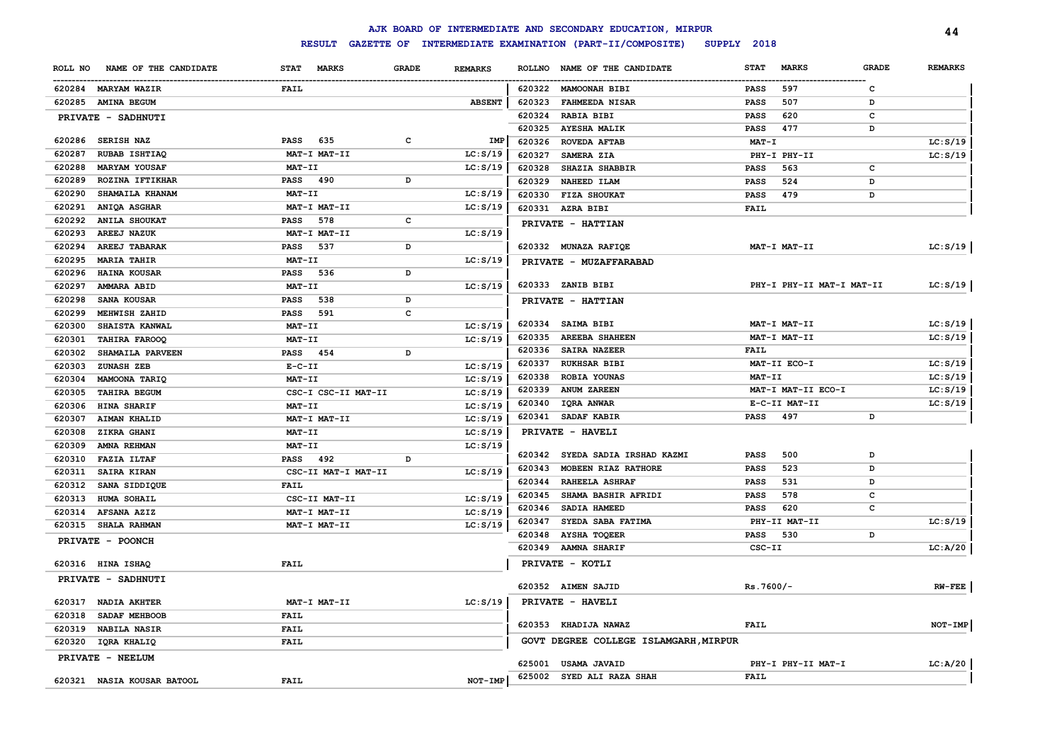|         |                            |                             |              |                |               | AJK BOARD OF INTERMEDIATE AND SECONDARY EDUCATION, MIRPUR |             |                           |              | 44             |
|---------|----------------------------|-----------------------------|--------------|----------------|---------------|-----------------------------------------------------------|-------------|---------------------------|--------------|----------------|
|         |                            | <b>RESULT</b>               |              |                |               | GAZETTE OF INTERMEDIATE EXAMINATION (PART-II/COMPOSITE)   | SUPPLY 2018 |                           |              |                |
| ROLL NO | NAME OF THE CANDIDATE      | <b>MARKS</b><br><b>STAT</b> | <b>GRADE</b> | <b>REMARKS</b> | <b>ROLLNO</b> | NAME OF THE CANDIDATE                                     | <b>STAT</b> | <b>MARKS</b>              | <b>GRADE</b> | <b>REMARKS</b> |
|         | 620284 MARYAM WAZIR        | FAIL                        |              |                |               | 620322 MAMOONAH BIBI                                      | PASS        | 597                       | c            |                |
| 620285  | <b>AMINA BEGUM</b>         |                             |              | <b>ABSENT</b>  | 620323        | <b>FAHMEEDA NISAR</b>                                     | PASS        | 507                       | D            |                |
|         | PRIVATE - SADHNUTI         |                             |              |                | 620324        | <b>RABIA BIBI</b>                                         | PASS        | 620                       | с            |                |
|         |                            |                             |              |                | 620325        | <b>AYESHA MALIK</b>                                       | <b>PASS</b> | 477                       | D            |                |
| 620286  | <b>SERISH NAZ</b>          | <b>PASS</b><br>635          | C            | IMP            | 620326        | <b>ROVEDA AFTAB</b>                                       | $MAT - I$   |                           |              | LC: S/19       |
| 620287  | RUBAB ISHTIAQ              | MAT-I MAT-II                |              | LC: S/19       | 620327        | SAMERA ZIA                                                |             | PHY-I PHY-II              |              | LC: S/19       |
| 620288  | <b>MARYAM YOUSAF</b>       | MAT-II                      |              | LC: S/19       | 620328        | SHAZIA SHABBIR                                            | <b>PASS</b> | 563                       | c            |                |
| 620289  | <b>ROZINA IFTIKHAR</b>     | <b>PASS</b><br>490          | D            |                | 620329        | NAHEED ILAM                                               | <b>PASS</b> | 524                       | D            |                |
| 620290  | SHAMAILA KHANAM            | MAT-II                      |              | LC: S/19       | 620330        | FIZA SHOUKAT                                              | <b>PASS</b> | 479                       | D            |                |
| 620291  | ANIQA ASGHAR               | MAT-I MAT-II                |              | LC: S/19       | 620331        | AZRA BIBI                                                 | FAIL        |                           |              |                |
| 620292  | <b>ANILA SHOUKAT</b>       | <b>PASS</b><br>578          | c            |                |               | PRIVATE - HATTIAN                                         |             |                           |              |                |
| 620293  | <b>AREEJ NAZUK</b>         | MAT-I MAT-II                |              | LC: S/19       |               |                                                           |             |                           |              |                |
| 620294  | AREEJ TABARAK              | <b>PASS</b><br>537          | D            |                |               | 620332 MUNAZA RAFIQE                                      |             | MAT-I MAT-II              |              | LC: S/19       |
| 620295  | <b>MARIA TAHIR</b>         | MAT-II                      |              | LC: S/19       |               | PRIVATE - MUZAFFARABAD                                    |             |                           |              |                |
| 620296  | <b>HAINA KOUSAR</b>        | <b>PASS</b><br>536          | D            |                |               |                                                           |             |                           |              |                |
| 620297  | AMMARA ABID                | MAT-II                      |              | LC: S/19       |               | 620333 ZANIB BIBI                                         |             | PHY-I PHY-II MAT-I MAT-II |              | LC: S/19       |
| 620298  | SANA KOUSAR                | <b>PASS</b><br>538          | D            |                |               | PRIVATE - HATTIAN                                         |             |                           |              |                |
| 620299  | MEHWISH ZAHID              | <b>PASS</b><br>591          | c            |                |               |                                                           |             |                           |              |                |
| 620300  | SHAISTA KANWAL             | $MAT-TI$                    |              | LC: S/19       | 620334        | SAIMA BIBI                                                |             | MAT-I MAT-II              |              | LC: S/19       |
| 620301  | TAHIRA FAROOQ              | MAT-II                      |              | LC: S/19       | 620335        | <b>AREEBA SHAHEEN</b>                                     |             | MAT-I MAT-II              |              | LC: S/19       |
| 620302  | SHAMAILA PARVEEN           | 454<br><b>PASS</b>          | D            |                | 620336        | SAIRA NAZEER                                              | <b>FAIL</b> |                           |              |                |
| 620303  | ZUNASH ZEB                 | $E-C-II$                    |              | LC: S/19       | 620337        | <b>RUKHSAR BIBI</b>                                       |             | MAT-II ECO-I              |              | LC: S/19       |
| 620304  | MAMOONA TARIQ              | MAT-II                      |              | LC: S/19       | 620338        | ROBIA YOUNAS                                              | MAT-II      |                           |              | LC: S/19       |
| 620305  | TAHIRA BEGUM               | CSC-I CSC-II MAT-II         |              | LC: S/19       | 620339        | <b>ANUM ZAREEN</b>                                        |             | MAT-I MAT-II ECO-I        |              | LC: S/19       |
| 620306  | HINA SHARIF                | MAT-II                      |              | LC: S/19       | 620340        | IQRA ANWAR                                                |             | E-C-II MAT-II             |              | LC: S/19       |
| 620307  | <b>AIMAN KHALID</b>        | MAT-I MAT-II                |              | LC: S/19       | 620341        | SADAF KABIR                                               | <b>PASS</b> | 497                       | D            |                |
| 620308  | ZIKRA GHANI                | MAT-II                      |              | LC: S/19       |               | PRIVATE - HAVELI                                          |             |                           |              |                |
| 620309  | AMNA REHMAN                | MAT-II                      |              | LC: S/19       |               | 620342 SYEDA SADIA IRSHAD KAZMI                           | <b>PASS</b> | 500                       | D            |                |
| 620310  | <b>FAZIA ILTAF</b>         | <b>PASS</b><br>492          | D            |                | 620343        | MOBEEN RIAZ RATHORE                                       | <b>PASS</b> | 523                       | D            |                |
| 620311  | SAIRA KIRAN                | CSC-II MAT-I MAT-II         |              | LC: S/19       | 620344        | <b>RAHEELA ASHRAF</b>                                     | <b>PASS</b> | 531                       | D            |                |
| 620312  | SANA SIDDIQUE              | <b>FAIL</b>                 |              |                | 620345        | SHAMA BASHIR AFRIDI                                       | <b>PASS</b> | 578                       | c            |                |
| 620313  | HUMA SOHAIL                | CSC-II MAT-II               |              | LC: S/19       | 620346        | SADIA HAMEED                                              | <b>PASS</b> | 620                       | c            |                |
| 620314  | AFSANA AZIZ                | MAT-I MAT-II                |              | LC: S/19       | 620347        | SYEDA SABA FATIMA                                         |             | PHY-II MAT-II             |              | LC: S/19       |
| 620315  | SHALA RAHMAN               | MAT-I MAT-II                |              | LC: S/19       | 620348        | <b>AYSHA TOQEER</b>                                       | <b>PASS</b> | 530                       | D            |                |
|         | PRIVATE - POONCH           |                             |              |                | 620349        | <b>AAMNA SHARIF</b>                                       | CSC-II      |                           |              | LC:A/20        |
|         |                            |                             |              |                |               |                                                           |             |                           |              |                |
|         | 620316 HINA ISHAQ          | <b>FAIL</b>                 |              |                |               | PRIVATE - KOTLI                                           |             |                           |              |                |
|         | <b>PRIVATE - SADHNUTI</b>  |                             |              |                |               | 620352 AIMEN SAJID                                        | $Rs.7600/-$ |                           |              | $RW$ - $FEE$   |
|         | 620317 NADIA AKHTER        | MAT-I MAT-II                |              |                |               | PRIVATE - HAVELI                                          |             |                           |              |                |
| 620318  | SADAF MEHBOOB              | <b>FAIL</b>                 |              | LC: S/19       |               |                                                           |             |                           |              |                |
| 620319  | <b>NABILA NASIR</b>        | <b>FAIL</b>                 |              |                | 620353        | <b>KHADIJA NAWAZ</b>                                      | FAIL        |                           |              | NOT-IMP        |
|         |                            | <b>FAIL</b>                 |              |                |               | GOVT DEGREE COLLEGE ISLAMGARH, MIRPUR                     |             |                           |              |                |
|         | 620320 IQRA KHALIQ         |                             |              |                |               |                                                           |             |                           |              |                |
|         | PRIVATE - NEELUM           |                             |              |                | 625001        | <b>USAMA JAVAID</b>                                       |             | PHY-I PHY-II MAT-I        |              | LC: A/20       |
|         | 620321 NASIA KOUSAR BATOOL | <b>FAIL</b>                 |              | NOT-IMP        | 625002        | SYED ALI RAZA SHAH                                        | <b>FAIL</b> |                           |              |                |
|         |                            |                             |              |                |               |                                                           |             |                           |              |                |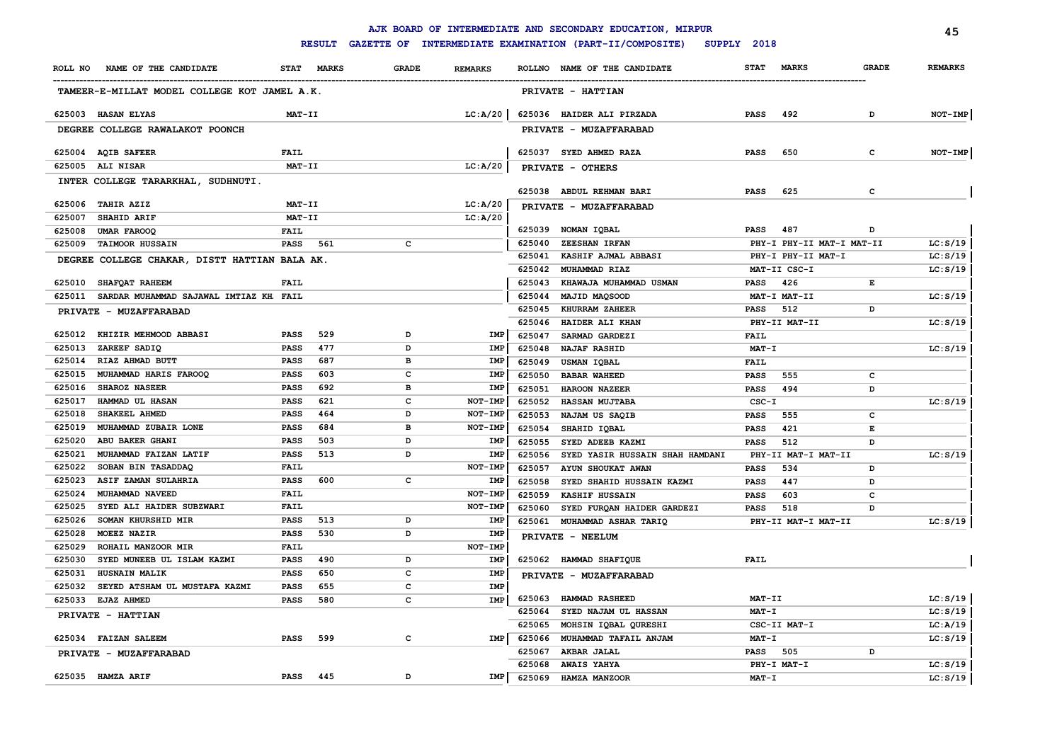|                  |                                               |               |               |              |                |                  | AJK BOARD OF INTERMEDIATE AND SECONDARY EDUCATION, MIRPUR |                     |                           |              | 45             |
|------------------|-----------------------------------------------|---------------|---------------|--------------|----------------|------------------|-----------------------------------------------------------|---------------------|---------------------------|--------------|----------------|
|                  |                                               |               | <b>RESULT</b> |              |                |                  | GAZETTE OF INTERMEDIATE EXAMINATION (PART-II/COMPOSITE)   | SUPPLY 2018         |                           |              |                |
|                  | ROLL NO NAME OF THE CANDIDATE                 |               | STAT MARKS    | <b>GRADE</b> | <b>REMARKS</b> |                  | ROLLNO NAME OF THE CANDIDATE                              | <b>STAT</b>         | <b>MARKS</b>              | <b>GRADE</b> | <b>REMARKS</b> |
|                  | TAMEER-E-MILLAT MODEL COLLEGE KOT JAMEL A.K.  |               |               |              |                |                  | PRIVATE - HATTIAN                                         |                     |                           |              |                |
|                  | 625003 HASAN ELYAS                            | MAT-II        |               |              | LC: A/20       |                  | 625036 HAIDER ALI PIRZADA                                 | <b>PASS</b>         | 492                       | D            | $NOT-IMP$      |
|                  | DEGREE COLLEGE RAWALAKOT POONCH               |               |               |              |                |                  | PRIVATE - MUZAFFARABAD                                    |                     |                           |              |                |
|                  | 625004 AQIB SAFEER                            | FAIL          |               |              |                |                  | 625037 SYED AHMED RAZA                                    | <b>PASS</b>         | 650                       | с            | NOT-IMP        |
| 625005           | <b>ALI NISAR</b>                              | MAT-II        |               |              | LC: A/20       |                  | PRIVATE - OTHERS                                          |                     |                           |              |                |
|                  | INTER COLLEGE TARARKHAL, SUDHNUTI.            |               |               |              |                |                  | 625038 ABDUL REHMAN BARI                                  | <b>PASS</b>         | 625                       | $\mathbf{C}$ |                |
|                  | 625006 TAHIR AZIZ                             | <b>MAT-II</b> |               |              | LC: A/20       |                  | PRIVATE - MUZAFFARABAD                                    |                     |                           |              |                |
| 625007           | SHAHID ARIF                                   | MAT-II        |               |              | LC: A/20       |                  |                                                           |                     |                           |              |                |
| 625008           | <b>UMAR FAROOQ</b>                            | <b>FAIL</b>   |               |              |                |                  | 625039 NOMAN IOBAL                                        | <b>PASS</b>         | 487                       | D            |                |
| 625009           | <b>TAIMOOR HUSSAIN</b>                        | <b>PASS</b>   | 561           | $\mathbf{C}$ |                | 625040           | ZEESHAN IRFAN                                             |                     | PHY-I PHY-II MAT-I MAT-II |              | LC: S/19       |
|                  | DEGREE COLLEGE CHAKAR, DISTT HATTIAN BALA AK. |               |               |              |                | 625041           | KASHIF AJMAL ABBASI                                       |                     | PHY-I PHY-II MAT-I        |              | LC: S/19       |
|                  |                                               |               |               |              |                | 625042           | MUHAMMAD RIAZ                                             |                     | MAT-II CSC-I              |              | LC: S/19       |
| 625010           | <b>SHAFQAT RAHEEM</b>                         | <b>FAIL</b>   |               |              |                | 625043           | KHAWAJA MUHAMMAD USMAN                                    | <b>PASS</b>         | 426                       | Е            |                |
| 625011           | SARDAR MUHAMMAD SAJAWAL IMTIAZ KH. FAIL       |               |               |              |                | 625044           | MAJID MAQSOOD                                             |                     | MAT-I MAT-II              |              | LC: S/19       |
|                  | PRIVATE - MUZAFFARABAD                        |               |               |              |                | 625045           | KHURRAM ZAHEER                                            | <b>PASS</b>         | 512                       | D            |                |
|                  |                                               |               |               |              |                | 625046           | HAIDER ALI KHAN                                           |                     | PHY-II MAT-II             |              | LC: S/19       |
|                  | 625012 KHIZIR MEHMOOD ABBASI                  | PASS          | 529           | D            | IMP            | 625047           | SARMAD GARDEZI                                            | <b>FAIL</b>         |                           |              |                |
| 625013           | ZAREEF SADIQ                                  | PASS          | 477           | D            | IMP            | 625048           | <b>NAJAF RASHID</b>                                       | $MAT - I$           |                           |              | LC: S/19       |
| 625014           | RIAZ AHMAD BUTT                               | PASS          | 687           | в            | IMP            | 625049           | USMAN IQBAL                                               | <b>FAIL</b>         |                           |              |                |
| 625015           | MUHAMMAD HARIS FAROOQ                         | <b>PASS</b>   | 603           | c            | IMP            | 625050           | <b>BABAR WAHEED</b>                                       | <b>PASS</b>         | 555                       | c            |                |
| 625016           | <b>SHAROZ NASEER</b>                          | <b>PASS</b>   | 692           | в            | <b>IMP</b>     | 625051           | <b>HAROON NAZEER</b>                                      | <b>PASS</b>         | 494                       | D            |                |
| 625017           | HAMMAD UL HASAN                               | PASS          | 621           | $\mathbf{C}$ | NOT-IMP        | 625052           | HASSAN MUJTABA                                            | $CSC-T$             |                           |              | LC: S/19       |
| 625018           | SHAKEEL AHMED                                 | PASS          | 464           | D            | NOT-IMP        | 625053           | NAJAM US SAQIB                                            | <b>PASS</b>         | 555                       | с            |                |
| 625019           | MUHAMMAD ZUBAIR LONE                          | PASS          | 684           | в            | NOT-IMP        | 625054           | SHAHID IQBAL                                              | <b>PASS</b>         | 421                       | E            |                |
| 625020           | ABU BAKER GHANI                               | PASS          | 503           | D            | IMP            | 625055           | SYED ADEEB KAZMI                                          | <b>PASS</b>         | 512                       | D            |                |
| 625021           | MUHAMMAD FAIZAN LATIF                         | PASS          | 513           | D            | IMP            | 625056           | SYED YASIR HUSSAIN SHAH HAMDANI                           |                     | PHY-II MAT-I MAT-II       |              | LC: S/19       |
| 625022           | SOBAN BIN TASADDAQ                            | FAIL          | 600           |              | NOT-IMP        | 625057           | AYUN SHOUKAT AWAN                                         | <b>PASS</b>         | 534                       | D            |                |
| 625023<br>625024 | ASIF ZAMAN SULAHRIA                           | PASS<br>FAIL  |               | c            | IMP<br>NOT-IMP | 625058           | SYED SHAHID HUSSAIN KAZMI                                 | <b>PASS</b>         | 447                       | D            |                |
| 625025           | MUHAMMAD NAVEED<br>SYED ALI HAIDER SUBZWARI   | FAIL          |               |              | NOT-IMP        | 625059<br>625060 | KASHIF HUSSAIN<br>SYED FURQAN HAIDER GARDEZI              | <b>PASS</b><br>PASS | 603<br>518                | c<br>D       |                |
| 625026           | SOMAN KHURSHID MIR                            | PASS          | 513           | D            | IMP            |                  | 625061 MUHAMMAD ASHAR TARIQ                               |                     | PHY-II MAT-I MAT-II       |              | LC: S/19       |
| 625028           | MOEEZ NAZIR                                   | <b>PASS</b>   | 530           | D            | IMP            |                  |                                                           |                     |                           |              |                |
| 625029           | ROHAIL MANZOOR MIR                            | FAIL          |               |              | NOT-IMP        |                  | PRIVATE - NEELUM                                          |                     |                           |              |                |
| 625030           | SYED MUNEEB UL ISLAM KAZMI                    | <b>PASS</b>   | 490           | D            | IMP            |                  | 625062 HAMMAD SHAFIQUE                                    | <b>FAIL</b>         |                           |              |                |
| 625031           | HUSNAIN MALIK                                 | <b>PASS</b>   | 650           | $\mathbf{C}$ | IMP            |                  | PRIVATE - MUZAFFARABAD                                    |                     |                           |              |                |
| 625032           | SEYED ATSHAM UL MUSTAFA KAZMI                 | PASS          | 655           | c            | IMP            |                  |                                                           |                     |                           |              |                |
| 625033           | <b>EJAZ AHMED</b>                             | <b>PASS</b>   | 580           | c            | IMP            | 625063           | HAMMAD RASHEED                                            | MAT-II              |                           |              | LC: S/19       |
|                  | PRIVATE - HATTIAN                             |               |               |              |                | 625064           | SYED NAJAM UL HASSAN                                      | MAT-I               |                           |              | LC: S/19       |
|                  |                                               |               |               |              |                | 625065           | MOHSIN IQBAL QURESHI                                      |                     | CSC-II MAT-I              |              | LC:A/19        |
|                  | 625034 FAIZAN SALEEM                          | <b>PASS</b>   | 599           | c            | IMP            | 625066           | MUHAMMAD TAFAIL ANJAM                                     | <b>MAT-I</b>        |                           |              | LC: S/19       |
|                  | PRIVATE - MUZAFFARABAD                        |               |               |              |                | 625067           | AKBAR JALAL                                               | PASS                | 505                       | D            |                |
|                  |                                               |               |               |              |                | 625068           | <b>AWAIS YAHYA</b>                                        |                     | PHY-I MAT-I               |              | LC: S/19       |
|                  | 625035 HAMZA ARIF                             | <b>PASS</b>   | 445           | D            | IMP            | 625069           | HAMZA MANZOOR                                             | $MAT - I$           |                           |              | LC: S/19       |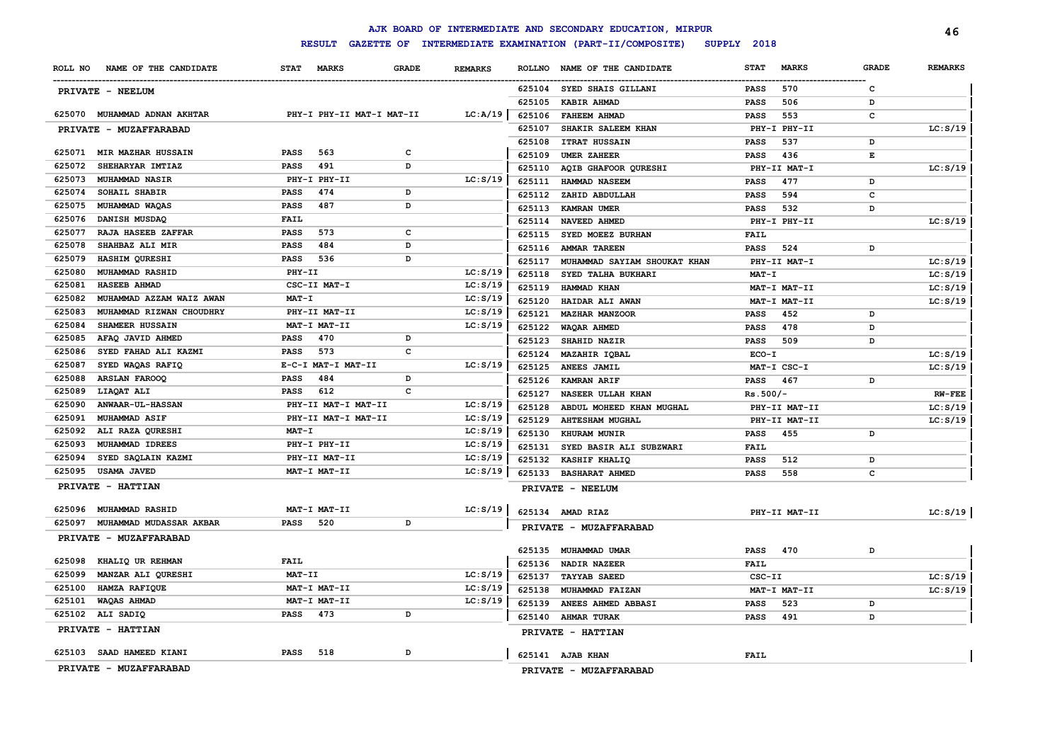|         |                              |               |                     |                           |                |               | AJK BOARD OF INTERMEDIATE AND SECONDARY EDUCATION, MIRPUR |             |               |              | 46             |
|---------|------------------------------|---------------|---------------------|---------------------------|----------------|---------------|-----------------------------------------------------------|-------------|---------------|--------------|----------------|
|         |                              |               | <b>RESULT</b>       |                           |                |               | GAZETTE OF INTERMEDIATE EXAMINATION (PART-II/COMPOSITE)   | SUPPLY 2018 |               |              |                |
| ROLL NO | NAME OF THE CANDIDATE        | <b>STAT</b>   | <b>MARKS</b>        | <b>GRADE</b>              | <b>REMARKS</b> | <b>ROLLNO</b> | NAME OF THE CANDIDATE                                     | <b>STAT</b> | <b>MARKS</b>  | <b>GRADE</b> | <b>REMARKS</b> |
|         | PRIVATE - NEELUM             |               |                     |                           |                |               | 625104 SYED SHAIS GILLANI                                 | <b>PASS</b> | 570           | c            |                |
|         |                              |               |                     |                           |                | 625105        | <b>KABIR AHMAD</b>                                        | <b>PASS</b> | 506           | D            |                |
|         | 625070 MUHAMMAD ADNAN AKHTAR |               |                     | PHY-I PHY-II MAT-I MAT-II | LC:A/19        | 625106        | <b>FAHEEM AHMAD</b>                                       | <b>PASS</b> | 553           | c            |                |
|         | PRIVATE - MUZAFFARABAD       |               |                     |                           |                | 625107        | SHAKIR SALEEM KHAN                                        |             | PHY-I PHY-II  |              | LC: S/19       |
|         |                              |               |                     |                           |                | 625108        | <b>ITRAT HUSSAIN</b>                                      | <b>PASS</b> | 537           | D            |                |
|         | 625071 MIR MAZHAR HUSSAIN    | <b>PASS</b>   | 563                 | c                         |                | 625109        | <b>UMER ZAHEER</b>                                        | <b>PASS</b> | 436           | Е            |                |
| 625072  | SHEHARYAR IMTIAZ             | <b>PASS</b>   | 491                 | D                         |                | 625110        | AQIB GHAFOOR QURESHI                                      |             | PHY-II MAT-I  |              | LC: S/19       |
| 625073  | MUHAMMAD NASIR               |               | PHY-I PHY-II        |                           | LC: S/19       | 625111        | HAMMAD NASEEM                                             | <b>PASS</b> | 477           | D            |                |
| 625074  | SOHAIL SHABIR                | <b>PASS</b>   | 474                 | D                         |                | 625112        | ZAHID ABDULLAH                                            | <b>PASS</b> | 594           | c            |                |
| 625075  | MUHAMMAD WAQAS               | PASS          | 487                 | D                         |                |               | 625113 KAMRAN UMER                                        | <b>PASS</b> | 532           | D            |                |
| 625076  | DANISH MUSDAQ                | FAIL          |                     |                           |                | 625114        | NAVEED AHMED                                              |             | PHY-I PHY-II  |              | LC: S/19       |
| 625077  | RAJA HASEEB ZAFFAR           | PASS          | 573                 | c                         |                | 625115        | SYED MOEEZ BURHAN                                         | <b>FAIL</b> |               |              |                |
| 625078  | SHAHBAZ ALI MIR              | PASS          | 484                 | D                         |                | 625116        | <b>AMMAR TAREEN</b>                                       | PASS        | 524           | D            |                |
| 625079  | HASHIM QURESHI               | PASS          | 536                 | D                         |                | 625117        | MUHAMMAD SAYIAM SHOUKAT KHAN                              |             | PHY-II MAT-I  |              | LC: S/19       |
| 625080  | MUHAMMAD RASHID              | PHY-II        |                     |                           | LC: S/19       | 625118        | SYED TALHA BUKHARI                                        | MAT-I       |               |              | LC: S/19       |
| 625081  | HASEEB AHMAD                 |               | CSC-II MAT-I        |                           | LC: S/19       | 625119        | HAMMAD KHAN                                               |             | MAT-I MAT-II  |              | LC: S/19       |
| 625082  | MUHAMMAD AZZAM WAIZ AWAN     | $MAT - I$     |                     |                           | LC: S/19       | 625120        | HAIDAR ALI AWAN                                           |             | MAT-I MAT-II  |              | LC: S/19       |
| 625083  | MUHAMMAD RIZWAN CHOUDHRY     |               | PHY-II MAT-II       |                           | LC: S/19       | 625121        | <b>MAZHAR MANZOOR</b>                                     | PASS        | 452           | D            |                |
| 625084  | <b>SHAMEER HUSSAIN</b>       |               | MAT-I MAT-II        |                           | LC: S/19       | 625122        | WAQAR AHMED                                               | <b>PASS</b> | 478           | D            |                |
| 625085  | AFAQ JAVID AHMED             | PASS          | 470                 | D                         |                | 625123        | SHAHID NAZIR                                              | PASS        | 509           | D            |                |
| 625086  | SYED FAHAD ALI KAZMI         | PASS          | 573                 | c                         |                | 625124        | <b>MAZAHIR IQBAL</b>                                      | ECO-I       |               |              | LC: S/19       |
| 625087  | SYED WAQAS RAFIQ             |               | E-C-I MAT-I MAT-II  |                           | LC: S/19       | 625125        | ANEES JAMIL                                               |             | MAT-I CSC-I   |              | LC: S/19       |
| 625088  | <b>ARSLAN FAROOQ</b>         | <b>PASS</b>   | 484                 | D                         |                | 625126        | <b>KAMRAN ARIF</b>                                        | <b>PASS</b> | 467           | D            |                |
| 625089  | LIAQAT ALI                   | PASS          | 612                 | C                         |                | 625127        | NASEER ULLAH KHAN                                         | $Rs.500/-$  |               |              | $RW$ - $FEE$   |
| 625090  | <b>ANWAAR-UL-HASSAN</b>      |               | PHY-II MAT-I MAT-II |                           | LC: S/19       | 625128        | ABDUL MOHEED KHAN MUGHAL                                  |             | PHY-II MAT-II |              | LC: S/19       |
| 625091  | MUHAMMAD ASIF                |               | PHY-II MAT-I MAT-II |                           | LC: S/19       | 625129        | <b>AHTESHAM MUGHAL</b>                                    |             | PHY-II MAT-II |              | LC: S/19       |
| 625092  | ALI RAZA QURESHI             | $MAT - I$     |                     |                           | LC: S/19       | 625130        | <b>KHURAM MUNIR</b>                                       | PASS        | 455           | D            |                |
| 625093  | MUHAMMAD IDREES              |               | PHY-I PHY-II        |                           | LC: S/19       | 625131        | SYED BASIR ALI SUBZWARI                                   | <b>FAIL</b> |               |              |                |
| 625094  | SYED SAQLAIN KAZMI           |               | PHY-II MAT-II       |                           | LC: S/19       | 625132        | <b>KASHIF KHALIQ</b>                                      | PASS        | 512           | D            |                |
| 625095  | <b>USAMA JAVED</b>           |               | MAT-I MAT-II        |                           | LC: S/19       | 625133        | <b>BASHARAT AHMED</b>                                     | <b>PASS</b> | 558           | c            |                |
|         | PRIVATE - HATTIAN            |               |                     |                           |                |               | PRIVATE - NEELUM                                          |             |               |              |                |
| 625096  | <b>MUHAMMAD RASHID</b>       |               | MAT-I MAT-II        |                           | LC: S/19       |               | 625134 AMAD RIAZ                                          |             | PHY-II MAT-II |              | LC: S/19       |
| 625097  | MUHAMMAD MUDASSAR AKBAR      | <b>PASS</b>   | 520                 | D                         |                |               | PRIVATE - MUZAFFARABAD                                    |             |               |              |                |
|         | PRIVATE - MUZAFFARABAD       |               |                     |                           |                |               | 625135 MUHAMMAD UMAR                                      | PASS        | 470           | D            |                |
| 625098  | KHALIQ UR REHMAN             | <b>FAIL</b>   |                     |                           |                | 625136        | <b>NADIR NAZEER</b>                                       | FAIL        |               |              |                |
| 625099  | MANZAR ALI QURESHI           | <b>MAT-II</b> |                     |                           | LC: S/19       | 625137        | <b>TAYYAB SAEED</b>                                       | CSC-II      |               |              | LC: S/19       |
| 625100  | HAMZA RAFIQUE                |               | MAT-I MAT-II        |                           | LC: S/19       | 625138        | MUHAMMAD FAIZAN                                           |             | MAT-I MAT-II  |              | LC: S/19       |
| 625101  | WAQAS AHMAD                  |               | MAT-I MAT-II        |                           | LC: S/19       | 625139        | ANEES AHMED ABBASI                                        | <b>PASS</b> | 523           | D            |                |
|         | 625102 ALI SADIQ             | <b>PASS</b>   | 473                 | D                         |                |               | 625140 AHMAR TURAK                                        | <b>PASS</b> | 491           | D            |                |
|         | PRIVATE - HATTIAN            |               |                     |                           |                |               | PRIVATE - HATTIAN                                         |             |               |              |                |
|         | 625103 SAAD HAMEED KIANI     | <b>PASS</b>   | 518                 | D                         |                |               | 625141 AJAB KHAN                                          | <b>FAIL</b> |               |              |                |
|         |                              |               |                     |                           |                |               |                                                           |             |               |              |                |
|         | PRIVATE - MUZAFFARABAD       |               |                     |                           |                |               | PRIVATE - MUZAFFARABAD                                    |             |               |              |                |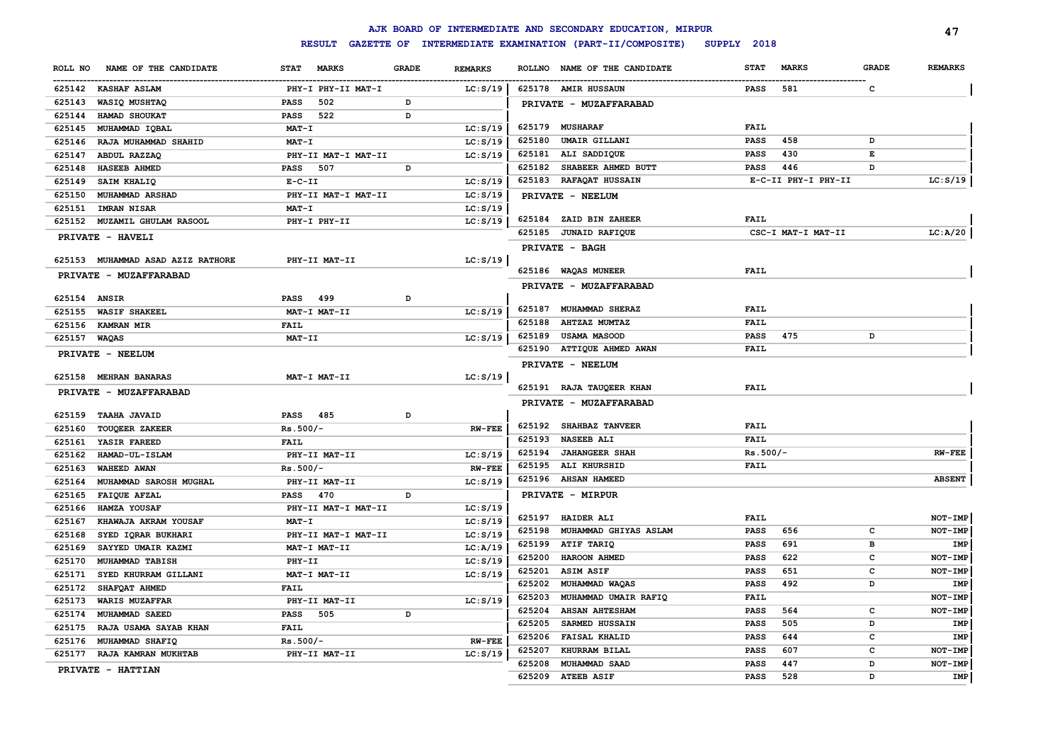|                                      |             |                     |              |                |               | AJK BOARD OF INTERMEDIATE AND SECONDARY EDUCATION, MIRPUR |             |                     |              | 47             |
|--------------------------------------|-------------|---------------------|--------------|----------------|---------------|-----------------------------------------------------------|-------------|---------------------|--------------|----------------|
|                                      |             | <b>RESULT</b>       |              |                |               | GAZETTE OF INTERMEDIATE EXAMINATION (PART-II/COMPOSITE)   | SUPPLY 2018 |                     |              |                |
| NAME OF THE CANDIDATE<br>ROLL NO     | <b>STAT</b> | <b>MARKS</b>        | <b>GRADE</b> | <b>REMARKS</b> | <b>ROLLNO</b> | NAME OF THE CANDIDATE                                     | <b>STAT</b> | <b>MARKS</b>        | <b>GRADE</b> | <b>REMARKS</b> |
| 625142 KASHAF ASLAM                  |             | PHY-I PHY-II MAT-I  |              | LC: S/19       |               | 625178 AMIR HUSSAUN                                       | <b>PASS</b> | 581                 | c            |                |
| 625143<br>WASIQ MUSHTAQ              | <b>PASS</b> | 502                 | D            |                |               | PRIVATE - MUZAFFARABAD                                    |             |                     |              |                |
| 625144<br>HAMAD SHOUKAT              | <b>PASS</b> | 522                 | D            |                |               |                                                           |             |                     |              |                |
| 625145<br>MUHAMMAD IQBAL             |             | MAT-I               |              | LC: S/19       |               | 625179 MUSHARAF                                           | <b>FAIL</b> |                     |              |                |
| 625146<br>RAJA MUHAMMAD SHAHID       |             | MAT-I               |              | LC: S/19       | 625180        | <b>UMAIR GILLANI</b>                                      | <b>PASS</b> | 458                 | D            |                |
| 625147<br>ABDUL RAZZAQ               |             | PHY-II MAT-I MAT-II |              | LC: S/19       | 625181        | ALI SADDIQUE                                              | <b>PASS</b> | 430                 | E            |                |
| <b>HASEEB AHMED</b><br>625148        | <b>PASS</b> | 507                 | D            |                | 625182        | SHABEER AHMED BUTT                                        | <b>PASS</b> | 446                 | D            |                |
| 625149<br>SAIM KHALIQ                |             | $E-C-II$            |              | LC: S/19       | 625183        | <b>RAFAQAT HUSSAIN</b>                                    |             | E-C-II PHY-I PHY-II |              | LC: S/19       |
| 625150<br>MUHAMMAD ARSHAD            |             | PHY-II MAT-I MAT-II |              | LC: S/19       |               | PRIVATE - NEELUM                                          |             |                     |              |                |
| 625151<br><b>IMRAN NISAR</b>         |             | $MAT - I$           |              | LC: S/19       |               |                                                           |             |                     |              |                |
| MUZAMIL GHULAM RASOOL<br>625152      |             | PHY-I PHY-II        |              | LC: S/19       | 625184        | <b>ZAID BIN ZAHEER</b>                                    | <b>FAIL</b> |                     |              |                |
| PRIVATE - HAVELI                     |             |                     |              |                |               | 625185 JUNAID RAFIQUE                                     |             | CSC-I MAT-I MAT-II  |              | LC:A/20        |
|                                      |             |                     |              |                |               | PRIVATE - BAGH                                            |             |                     |              |                |
| 625153<br>MUHAMMAD ASAD AZIZ RATHORE |             | PHY-II MAT-II       |              | LC: S/19       |               |                                                           |             |                     |              |                |
| PRIVATE - MUZAFFARABAD               |             |                     |              |                |               | 625186 WAQAS MUNEER                                       | <b>FAIL</b> |                     |              |                |
|                                      |             |                     |              |                |               | PRIVATE - MUZAFFARABAD                                    |             |                     |              |                |
| 625154 ANSIR                         | <b>PASS</b> | 499                 | D            |                |               |                                                           |             |                     |              |                |
| <b>WASIF SHAKEEL</b><br>625155       |             | MAT-I MAT-II        |              | LC: S/19       | 625187        | MUHAMMAD SHERAZ                                           | <b>FAIL</b> |                     |              |                |
| 625156<br><b>KAMRAN MIR</b>          | <b>FAIL</b> |                     |              |                | 625188        | <b>AHTZAZ MUMTAZ</b>                                      | FAIL        |                     |              |                |
| 625157<br>WAQAS                      |             | MAT-II              |              | LC: S/19       | 625189        | <b>USAMA MASOOD</b>                                       | <b>PASS</b> | 475                 | D            |                |
| PRIVATE - NEELUM                     |             |                     |              |                |               | 625190 ATTIQUE AHMED AWAN                                 | <b>FAIL</b> |                     |              |                |
|                                      |             |                     |              |                |               | PRIVATE - NEELUM                                          |             |                     |              |                |
| 625158 MEHRAN BANARAS                |             | MAT-I MAT-II        |              | LC: S/19       |               |                                                           |             |                     |              |                |
| PRIVATE - MUZAFFARABAD               |             |                     |              |                |               | 625191 RAJA TAUQEER KHAN                                  | FAIL        |                     |              |                |
|                                      |             |                     |              |                |               | <b>PRIVATE - MUZAFFARABAD</b>                             |             |                     |              |                |
| 625159<br><b>TAAHA JAVAID</b>        | PASS        | 485                 | D            |                |               |                                                           |             |                     |              |                |
| 625160<br><b>TOUQEER ZAKEER</b>      |             | $Rs.500/-$          |              | <b>RW-FEE</b>  |               | 625192 SHAHBAZ TANVEER                                    | <b>FAIL</b> |                     |              |                |
| 625161<br>YASIR FAREED               | <b>FAIL</b> |                     |              |                | 625193        | <b>NASEEB ALI</b>                                         | <b>FAIL</b> |                     |              |                |
| 625162<br><b>HAMAD-UL-ISLAM</b>      |             | PHY-II MAT-II       |              | LC: S/19       | 625194        | <b>JAHANGEER SHAH</b>                                     | $Rs.500/-$  |                     |              | <b>RW-FEE</b>  |
| 625163<br><b>WAHEED AWAN</b>         |             | $Rs.500/-$          |              | <b>RW-FEE</b>  | 625195        | ALI KHURSHID                                              | FAIL        |                     |              |                |
| 625164<br>MUHAMMAD SAROSH MUGHAL     |             | PHY-II MAT-II       |              | LC: S/19       |               | 625196 AHSAN HAMEED                                       |             |                     |              | <b>ABSENT</b>  |
| 625165<br>FAIQUE AFZAL               | PASS        | 470                 | D            |                |               | PRIVATE - MIRPUR                                          |             |                     |              |                |
| 625166<br>HAMZA YOUSAF               |             | PHY-II MAT-I MAT-II |              | LC: S/19       |               |                                                           |             |                     |              |                |
| 625167<br>KHAWAJA AKRAM YOUSAF       |             | MAT-I               |              | LC: S/19       | 625197        | <b>HAIDER ALI</b>                                         | FAIL        |                     |              | NOT-IMP        |
| 625168<br>SYED IQRAR BUKHARI         |             | PHY-II MAT-I MAT-II |              | LC: S/19       | 625198        | MUHAMMAD GHIYAS ASLAM                                     | <b>PASS</b> | 656                 | c            | <b>NOT-IMP</b> |
| 625169<br>SAYYED UMAIR KAZMI         |             | MAT-I MAT-II        |              | LC: A/19       | 625199        | ATIF TARIQ                                                | <b>PASS</b> | 691                 | в            | IMP            |
| 625170<br>MUHAMMAD TABISH            |             | PHY-II              |              | LC: S/19       | 625200        | HAROON AHMED                                              | <b>PASS</b> | 622                 | C            | NOT-IMP        |
| 625171<br>SYED KHURRAM GILLANI       |             | MAT-I MAT-II        |              | LC: S/19       | 625201        | <b>ASIM ASIF</b>                                          | <b>PASS</b> | 651                 | c            | NOT-IMP        |
| 625172<br>SHAFQAT AHMED              | <b>FAIL</b> |                     |              |                | 625202        | MUHAMMAD WAQAS                                            | <b>PASS</b> | 492                 | D            | IMP            |
| 625173<br><b>WARIS MUZAFFAR</b>      |             | PHY-II MAT-II       |              | LC: S/19       | 625203        | MUHAMMAD UMAIR RAFIQ                                      | FAIL        |                     |              | NOT-IMP        |
| 625174<br>MUHAMMAD SAEED             | <b>PASS</b> | 505                 | D            |                | 625204        | <b>AHSAN AHTESHAM</b>                                     | <b>PASS</b> | 564                 | $\mathbf{C}$ | NOT-IMP        |
| 625175<br>RAJA USAMA SAYAB KHAN      | <b>FAIL</b> |                     |              |                | 625205        | <b>SARMED HUSSAIN</b>                                     | <b>PASS</b> | 505                 | D            | IMP            |
| 625176<br>MUHAMMAD SHAFIQ            |             | $Rs.500/-$          |              | <b>RW-FEE</b>  | 625206        | <b>FAISAL KHALID</b>                                      | <b>PASS</b> | 644                 | c            | IMP            |
| 625177<br>RAJA KAMRAN MUKHTAB        |             | PHY-II MAT-II       |              | LC: S/19       | 625207        | KHURRAM BILAL                                             | <b>PASS</b> | 607                 | c            | NOT-IMP        |
| PRIVATE - HATTIAN                    |             |                     |              |                | 625208        | <b>MUHAMMAD SAAD</b>                                      | <b>PASS</b> | 447                 | D            | NOT-IMP        |
|                                      |             |                     |              |                | 625209        | <b>ATEEB ASIF</b>                                         | <b>PASS</b> | 528                 | D            | IMP            |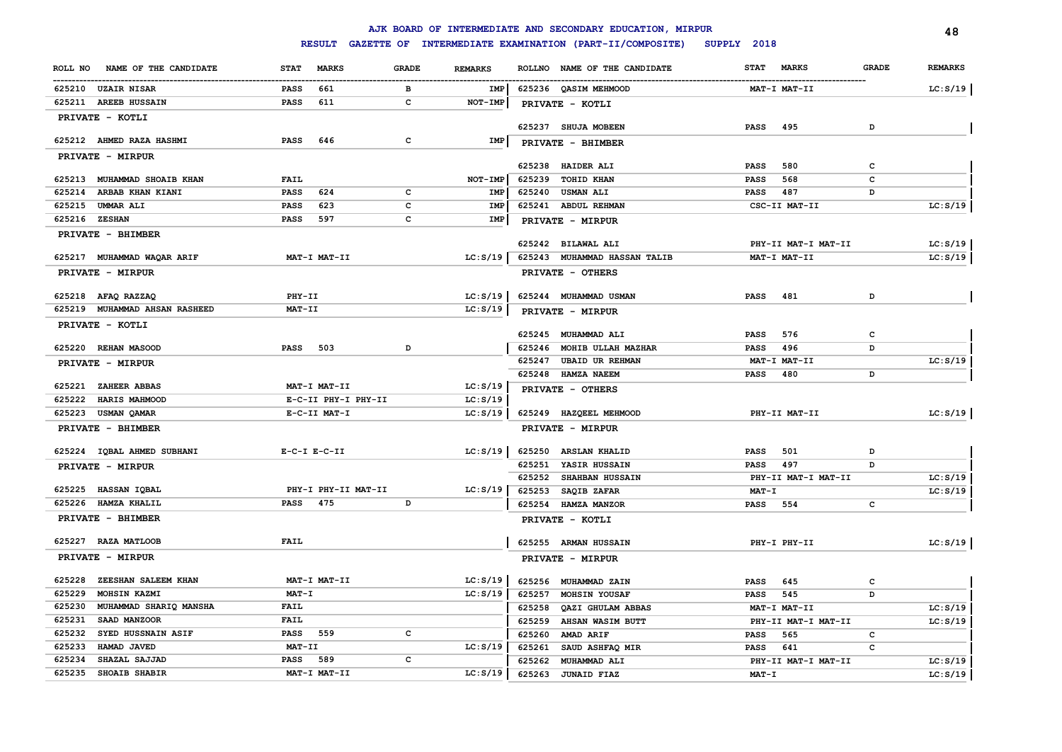|                                  |                             |                                | AJK BOARD OF INTERMEDIATE AND SECONDARY EDUCATION, MIRPUR |                             | 48                             |
|----------------------------------|-----------------------------|--------------------------------|-----------------------------------------------------------|-----------------------------|--------------------------------|
|                                  | <b>RESULT</b>               |                                | GAZETTE OF INTERMEDIATE EXAMINATION (PART-II/COMPOSITE)   | SUPPLY 2018                 |                                |
| NAME OF THE CANDIDATE<br>ROLL NO | <b>MARKS</b><br><b>STAT</b> | <b>GRADE</b><br><b>REMARKS</b> | ROLLNO NAME OF THE CANDIDATE                              | <b>STAT</b><br><b>MARKS</b> | <b>REMARKS</b><br><b>GRADE</b> |
| 625210 UZAIR NISAR               | <b>PASS</b><br>661          | в<br>IMP                       | 625236 QASIM MEHMOOD                                      | MAT-I MAT-II                | LC: S/19                       |
| 625211 AREEB HUSSAIN             | <b>PASS</b><br>611          | $\mathbf{C}$<br>NOT-IMP        | PRIVATE - KOTLI                                           |                             |                                |
| PRIVATE - KOTLI                  |                             |                                |                                                           |                             |                                |
|                                  |                             |                                | 625237 SHUJA MOBEEN                                       | 495<br><b>PASS</b>          | D                              |
| 625212 AHMED RAZA HASHMI         | <b>PASS</b><br>646          | c<br>IMP                       | PRIVATE - BHIMBER                                         |                             |                                |
| PRIVATE - MIRPUR                 |                             |                                |                                                           |                             |                                |
|                                  |                             |                                | 625238 HAIDER ALI                                         | 580<br><b>PASS</b>          | c                              |
| 625213 MUHAMMAD SHOAIB KHAN      | FAIL                        | NOT-IMP                        | 625239<br><b>TOHID KHAN</b>                               | <b>PASS</b><br>568          | c                              |
| 625214 ARBAB KHAN KIANI          | <b>PASS</b><br>624          | c<br>IMP                       | 625240 USMAN ALI                                          | 487<br>PASS                 | D                              |
| 625215<br><b>UMMAR ALI</b>       | <b>PASS</b><br>623          | $\mathbf{C}$<br>IMP            | 625241 ABDUL REHMAN                                       | CSC-II MAT-II               | LC: S/19                       |
| 625216 ZESHAN                    | <b>PASS</b><br>597          | $\mathbf{C}$<br>IMP            | PRIVATE - MIRPUR                                          |                             |                                |
| PRIVATE - BHIMBER                |                             |                                |                                                           |                             |                                |
|                                  |                             |                                | 625242 BILAWAL ALI                                        | PHY-II MAT-I MAT-II         | LC: S/19                       |
| 625217 MUHAMMAD WAQAR ARIF       | MAT-I MAT-II                | LC: S/19                       | 625243 MUHAMMAD HASSAN TALIB                              | MAT-I MAT-II                | LC: S/19                       |
| PRIVATE - MIRPUR                 |                             |                                | PRIVATE - OTHERS                                          |                             |                                |
| 625218 AFAQ RAZZAQ               | PHY-II                      | LC: S/19                       | 625244 MUHAMMAD USMAN                                     | 481<br><b>PASS</b>          | D                              |
| 625219 MUHAMMAD AHSAN RASHEED    | <b>MAT-II</b>               | LC: S/19                       | PRIVATE - MIRPUR                                          |                             |                                |
| PRIVATE - KOTLI                  |                             |                                |                                                           |                             |                                |
|                                  |                             |                                | 625245 MUHAMMAD ALI                                       | 576<br><b>PASS</b>          | с                              |
| 625220 REHAN MASOOD              | 503<br><b>PASS</b>          | D                              | 625246<br>MOHIB ULLAH MAZHAR                              | <b>PASS</b><br>496          | D                              |
| PRIVATE - MIRPUR                 |                             |                                | 625247<br><b>UBAID UR REHMAN</b>                          | MAT-I MAT-II                | LC: S/19                       |
|                                  |                             |                                | 625248 HAMZA NAEEM                                        | <b>PASS</b><br>480          | D                              |
| 625221 ZAHEER ABBAS              | MAT-I MAT-II                | LC: S/19                       | PRIVATE - OTHERS                                          |                             |                                |
| 625222<br>HARIS MAHMOOD          | E-C-II PHY-I PHY-II         | LC: S/19                       |                                                           |                             |                                |
| 625223<br>USMAN QAMAR            | E-C-II MAT-I                | LC: S/19                       | 625249 HAZQEEL MEHMOOD                                    | PHY-II MAT-II               | LC: S/19                       |
| PRIVATE - BHIMBER                |                             |                                | PRIVATE - MIRPUR                                          |                             |                                |
| 625224 IQBAL AHMED SUBHANI       | $E-C-I$ $E-C-II$            | LC: S/19                       | 625250<br><b>ARSLAN KHALID</b>                            | 501<br><b>PASS</b>          | D                              |
| PRIVATE - MIRPUR                 |                             |                                | 625251<br>YASIR HUSSAIN                                   | 497<br><b>PASS</b>          | D                              |
|                                  |                             |                                | 625252<br>SHAHBAN HUSSAIN                                 | PHY-II MAT-I MAT-II         | LC: S/19                       |
| 625225 HASSAN IQBAL              | PHY-I PHY-II MAT-II         | LC: S/19                       | 625253<br>SAQIB ZAFAR                                     | <b>MAT-I</b>                | LC: S/19                       |
| HAMZA KHALIL<br>625226           | <b>PASS</b><br>475          | D                              | 625254<br><b>HAMZA MANZOR</b>                             | 554<br>PASS                 | $\mathbf{C}$                   |
| PRIVATE - BHIMBER                |                             |                                | PRIVATE - KOTLI                                           |                             |                                |
| 625227 RAZA MATLOOB              | FAIL                        |                                | 625255 ARMAN HUSSAIN                                      | PHY-I PHY-II                | LC: S/19                       |
| PRIVATE - MIRPUR                 |                             |                                | PRIVATE - MIRPUR                                          |                             |                                |
|                                  |                             |                                |                                                           |                             |                                |
| 625228<br>ZEESHAN SALEEM KHAN    | MAT-I MAT-II                | LC: S/19                       | 625256 MUHAMMAD ZAIN                                      | 645<br><b>PASS</b>          | с                              |
| 625229<br>MOHSIN KAZMI           | MAT-I                       | LC: S/19                       | 625257<br>MOHSIN YOUSAF                                   | 545<br><b>PASS</b>          | D                              |
| 625230<br>MUHAMMAD SHARIQ MANSHA | <b>FAIL</b>                 |                                | 625258<br>QAZI GHULAM ABBAS                               | MAT-I MAT-II                | LC: S/19                       |
| 625231<br>SAAD MANZOOR           | <b>FAIL</b>                 |                                | 625259<br>AHSAN WASIM BUTT                                | PHY-II MAT-I MAT-II         | LC: S/19                       |
| 625232<br>SYED HUSSNAIN ASIF     | <b>PASS</b><br>559          | c                              | 625260<br>AMAD ARIF                                       | <b>PASS</b><br>565          | c                              |
| 625233<br>HAMAD JAVED            | <b>MAT-II</b>               | LC: S/19                       | 625261<br>SAUD ASHFAQ MIR                                 | 641<br><b>PASS</b>          | c                              |
| 625234<br>SHAZAL SAJJAD          | <b>PASS</b><br>589          | c                              | 625262<br>MUHAMMAD ALI                                    | PHY-II MAT-I MAT-II         | LC: S/19                       |
| 625235<br><b>SHOAIB SHABIR</b>   | MAT-I MAT-II                | LC: S/19                       | 625263<br><b>JUNAID FIAZ</b>                              | MAT-I                       | LC: S/19                       |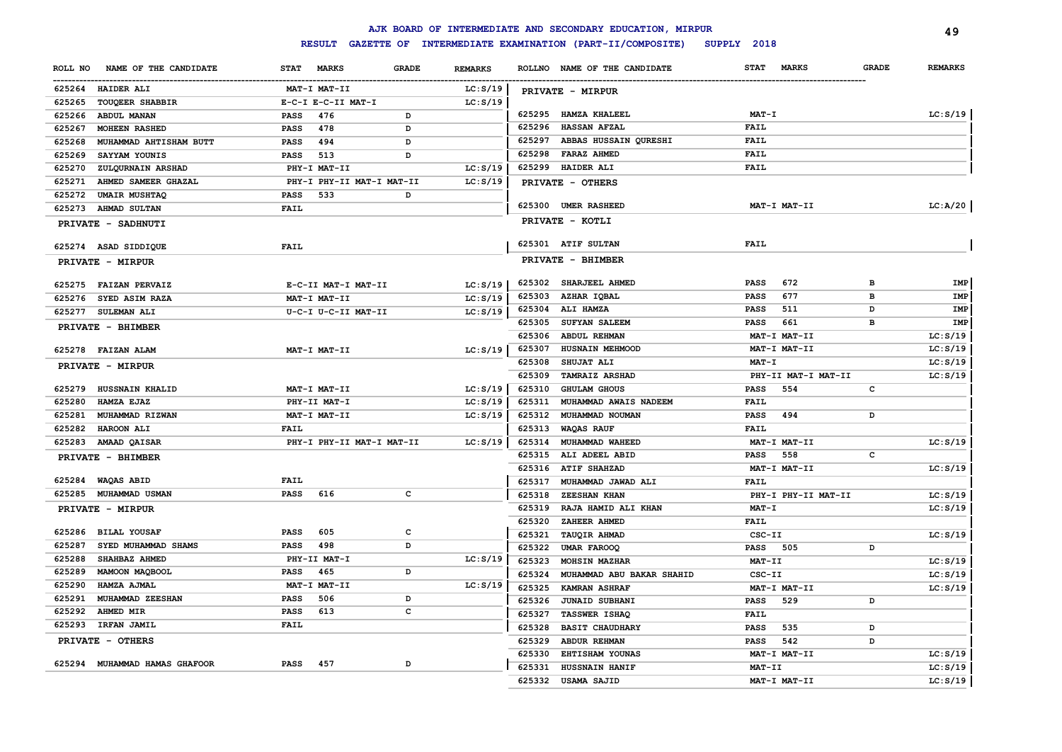|                                  |                                             |                | AJK BOARD OF INTERMEDIATE AND SECONDARY EDUCATION, MIRPUR      |                             | 49                             |
|----------------------------------|---------------------------------------------|----------------|----------------------------------------------------------------|-----------------------------|--------------------------------|
|                                  |                                             |                | RESULT GAZETTE OF INTERMEDIATE EXAMINATION (PART-II/COMPOSITE) | SUPPLY 2018                 |                                |
| NAME OF THE CANDIDATE<br>ROLL NO | <b>MARKS</b><br><b>GRADE</b><br><b>STAT</b> | <b>REMARKS</b> | ROLLNO NAME OF THE CANDIDATE                                   | <b>STAT</b><br><b>MARKS</b> | <b>GRADE</b><br><b>REMARKS</b> |
| 625264<br><b>HAIDER ALI</b>      | MAT-I MAT-II                                | LC: S/19       | PRIVATE - MIRPUR                                               |                             |                                |
| 625265<br><b>TOUQEER SHABBIR</b> | E-C-I E-C-II MAT-I                          | LC: S/19       |                                                                |                             |                                |
| 625266<br><b>ABDUL MANAN</b>     | 476<br>PASS<br>D                            |                | 625295<br><b>HAMZA KHALEEL</b>                                 | MAT-I                       | LC: S/19                       |
| 625267<br><b>MOHEEN RASHED</b>   | 478<br>D<br><b>PASS</b>                     |                | 625296<br><b>HASSAN AFZAL</b>                                  | <b>FAIL</b>                 |                                |
| 625268<br>MUHAMMAD AHTISHAM BUTT | 494<br>D<br><b>PASS</b>                     |                | ABBAS HUSSAIN QURESHI<br>625297                                | <b>FAIL</b>                 |                                |
| 625269<br>SAYYAM YOUNIS          | 513<br>D<br>PASS                            |                | 625298<br>FARAZ AHMED                                          | <b>FAIL</b>                 |                                |
| 625270<br>ZULQURNAIN ARSHAD      | PHY-I MAT-II                                | LC: S/19       | 625299<br><b>HAIDER ALI</b>                                    | <b>FAIL</b>                 |                                |
| 625271<br>AHMED SAMEER GHAZAL    | PHY-I PHY-II MAT-I MAT-II                   | LC: S/19       | PRIVATE - OTHERS                                               |                             |                                |
| 625272<br><b>UMAIR MUSHTAQ</b>   | 533<br>D<br>PASS                            |                |                                                                |                             |                                |
| 625273<br><b>AHMAD SULTAN</b>    | <b>FAIL</b>                                 |                | 625300<br><b>UMER RASHEED</b>                                  | MAT-I MAT-II                | LC: A/20                       |
| PRIVATE - SADHNUTI               |                                             |                | PRIVATE - KOTLI                                                |                             |                                |
| 625274 ASAD SIDDIQUE             | <b>FAIL</b>                                 |                | 625301 ATIF SULTAN                                             | <b>FAIL</b>                 |                                |
| PRIVATE - MIRPUR                 |                                             |                | PRIVATE - BHIMBER                                              |                             |                                |
| 625275 FAIZAN PERVAIZ            | E-C-II MAT-I MAT-II                         | LC: S/19       | 625302 SHARJEEL AHMED                                          | 672<br>PASS                 | IMP<br>в                       |
| 625276<br>SYED ASIM RAZA         | MAT-I MAT-II                                | LC: S/19       | 625303<br>AZHAR IQBAL                                          | 677<br>PASS                 | в<br>IMP                       |
| 625277 SULEMAN ALI               | U-C-I U-C-II MAT-II                         | LC: S/19       | 625304<br><b>ALI HAMZA</b>                                     | 511<br>PASS                 | IMP<br>D                       |
| PRIVATE - BHIMBER                |                                             |                | 625305<br><b>SUFYAN SALEEM</b>                                 | 661<br>PASS                 | IMP<br>в                       |
|                                  |                                             |                | 625306<br><b>ABDUL REHMAN</b>                                  | MAT-I MAT-II                | LC: S/19                       |
| 625278 FAIZAN ALAM               | MAT-I MAT-II                                | LC: S/19       | 625307<br>HUSNAIN MEHMOOD                                      | MAT-I MAT-II                | LC: S/19                       |
| PRIVATE - MIRPUR                 |                                             |                | 625308<br>SHUJAT ALI                                           | MAT-I                       | LC: S/19                       |
|                                  |                                             |                | 625309<br><b>TAMRAIZ ARSHAD</b>                                | PHY-II MAT-I MAT-II         | LC: S/19                       |
| 625279<br>HUSSNAIN KHALID        | MAT-I MAT-II                                | LC: S/19       | 625310<br><b>GHULAM GHOUS</b>                                  | <b>PASS</b><br>554          | c                              |
| 625280<br>HAMZA EJAZ             | PHY-II MAT-I                                | LC: S/19       | 625311<br>MUHAMMAD AWAIS NADEEM                                | <b>FAIL</b>                 |                                |
| 625281<br>MUHAMMAD RIZWAN        | MAT-I MAT-II                                | LC: S/19       | 625312<br>MUHAMMAD NOUMAN                                      | <b>PASS</b><br>494          | D                              |
| 625282<br>HAROON ALI             | <b>FAIL</b>                                 |                | 625313<br><b>WAQAS RAUF</b>                                    | <b>FAIL</b>                 |                                |
| 625283<br>AMAAD QAISAR           | PHY-I PHY-II MAT-I MAT-II                   | LC: S/19       | 625314<br>MUHAMMAD WAHEED                                      | MAT-I MAT-II                | LC: S/19                       |
| PRIVATE - BHIMBER                |                                             |                | 625315<br>ALI ADEEL ABID                                       | 558<br><b>PASS</b>          | c                              |
|                                  |                                             |                | 625316<br><b>ATIF SHAHZAD</b>                                  | MAT-I MAT-II                | LC: S/19                       |
| 625284<br>WAQAS ABID             | FAIL                                        |                | 625317<br>MUHAMMAD JAWAD ALI                                   | <b>FAIL</b>                 |                                |
| 625285<br><b>MUHAMMAD USMAN</b>  | <b>PASS</b><br>616<br>c                     |                | 625318<br><b>ZEESHAN KHAN</b>                                  | PHY-I PHY-II MAT-II         | LC: S/19                       |
| PRIVATE - MIRPUR                 |                                             |                | 625319<br>RAJA HAMID ALI KHAN                                  | $MAT - I$                   | LC: S/19                       |
|                                  |                                             |                | 625320<br>ZAHEER AHMED                                         | FAIL                        |                                |
| 625286<br><b>BILAL YOUSAF</b>    | <b>PASS</b><br>605<br>c                     |                | 625321<br>TAUQIR AHMAD                                         | CSC-II                      | LC: S/19                       |
| 625287<br>SYED MUHAMMAD SHAMS    | <b>PASS</b><br>498<br>D                     |                | 625322<br><b>UMAR FAROOQ</b>                                   | 505<br>PASS                 | D                              |
| 625288<br>SHAHBAZ AHMED          | PHY-II MAT-I                                | LC: S/19       | 625323<br>MOHSIN MAZHAR                                        | MAT-II                      | LC: S/19                       |
| 625289<br>MAMOON MAQBOOL         | <b>PASS</b><br>465<br>D                     |                | 625324<br>MUHAMMAD ABU BAKAR SHAHID                            | $CSC-TI$                    | LC: S/19                       |
| 625290<br>HAMZA AJMAL            | MAT-I MAT-II                                | LC: S/19       | 625325<br><b>KAMRAN ASHRAF</b>                                 | MAT-I MAT-II                | LC: S/19                       |
| 625291<br>MUHAMMAD ZEESHAN       | 506<br>D<br><b>PASS</b>                     |                | 625326<br><b>JUNAID SUBHANI</b>                                | 529<br>PASS                 | D                              |
| 625292<br><b>AHMED MIR</b>       | 613<br>c<br><b>PASS</b>                     |                | 625327<br>TASSWER ISHAQ                                        | <b>FAIL</b>                 |                                |
| 625293<br>IRFAN JAMIL            | FAIL                                        |                | 625328<br><b>BASIT CHAUDHARY</b>                               | 535<br>PASS                 | D                              |
| PRIVATE - OTHERS                 |                                             |                | 625329<br><b>ABDUR REHMAN</b>                                  | 542<br>PASS                 | D                              |
| 625294 MUHAMMAD HAMAS GHAFOOR    |                                             |                | 625330<br>EHTISHAM YOUNAS                                      | MAT-I MAT-II                | LC: S/19                       |
|                                  | <b>PASS</b><br>457<br>D                     |                | 625331<br>HUSSNAIN HANIF                                       | MAT-II                      | LC: S/19                       |
|                                  |                                             |                | 625332<br><b>USAMA SAJID</b>                                   | MAT-I MAT-II                | LC: S/19                       |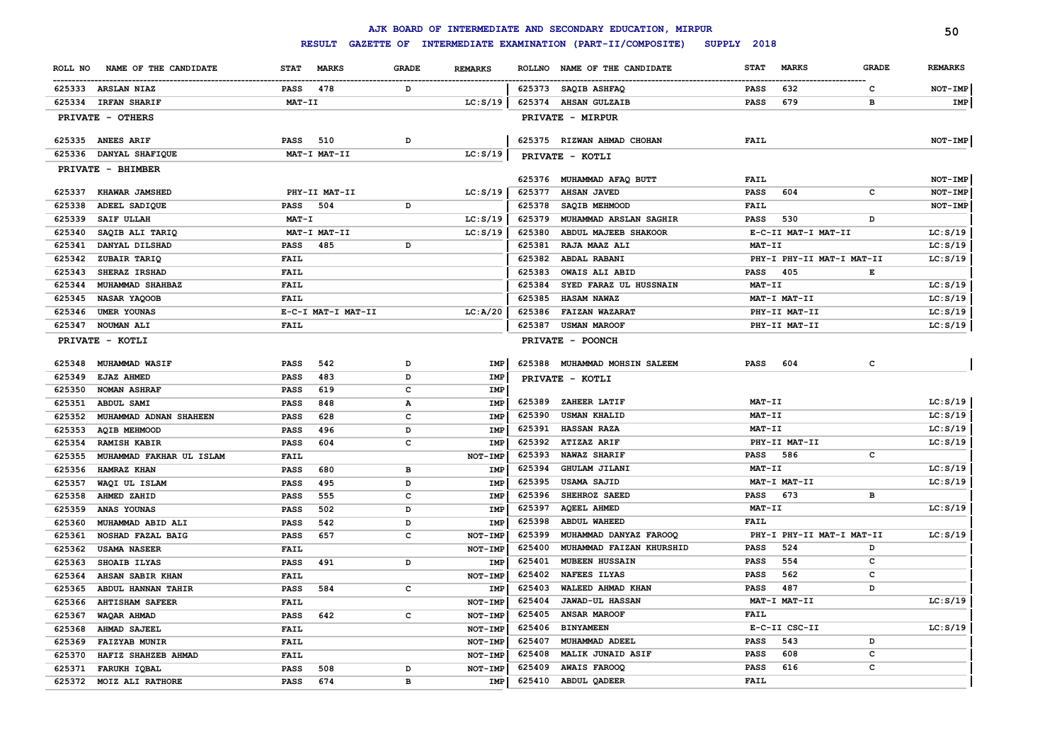|                                                              |                             |                |                       | AJK BOARD OF INTERMEDIATE AND SECONDARY EDUCATION, MIRPUR |                             |              | 50                   |
|--------------------------------------------------------------|-----------------------------|----------------|-----------------------|-----------------------------------------------------------|-----------------------------|--------------|----------------------|
|                                                              | <b>RESULT</b>               |                |                       | GAZETTE OF INTERMEDIATE EXAMINATION (PART-II/COMPOSITE)   | SUPPLY 2018                 |              |                      |
| ROLL NO<br>NAME OF THE CANDIDATE                             | <b>STAT</b><br><b>MARKS</b> | <b>GRADE</b>   | <b>REMARKS</b>        | NAME OF THE CANDIDATE<br><b>ROLLNO</b>                    | <b>STAT</b><br><b>MARKS</b> | <b>GRADE</b> | <b>REMARKS</b>       |
| 625333 ARSLAN NIAZ                                           | 478<br>PASS                 | D              |                       | 625373 SAQIB ASHFAQ                                       | 632<br><b>PASS</b>          | c            | NOT-IMP              |
| 625334<br><b>IRFAN SHARIF</b>                                | MAT-II                      |                | LC: S/19              | 625374<br><b>AHSAN GULZAIB</b>                            | 679<br><b>PASS</b>          | в            | IMP                  |
| PRIVATE - OTHERS                                             |                             |                |                       | PRIVATE - MIRPUR                                          |                             |              |                      |
| 625335<br><b>ANEES ARIF</b>                                  | <b>PASS</b><br>510          | D              |                       | 625375 RIZWAN AHMAD CHOHAN                                | FAIL                        |              | NOT-IMP              |
| 625336<br>DANYAL SHAFIQUE                                    | MAT-I MAT-II                |                | LC: S/19              | PRIVATE - KOTLI                                           |                             |              |                      |
| PRIVATE - BHIMBER                                            |                             |                |                       |                                                           |                             |              |                      |
|                                                              |                             |                |                       | 625376 MUHAMMAD AFAQ BUTT                                 | FAIL                        |              | NOT-IMP              |
| 625337<br>KHAWAR JAMSHED                                     | PHY-II MAT-II               |                | LC: S/19              | 625377<br><b>AHSAN JAVED</b>                              | PASS<br>604                 | c            | NOT-IMP              |
| 625338<br>ADEEL SADIQUE                                      | 504<br>PASS                 | D              |                       | 625378<br>SAQIB MEHMOOD                                   | FAIL                        |              | NOT-IMP              |
| 625339<br>SAIF ULLAH                                         | $MAT - I$                   |                | LC: S/19              | 625379<br>MUHAMMAD ARSLAN SAGHIR                          | 530<br><b>PASS</b>          | D            |                      |
| 625340<br>SAQIB ALI TARIQ                                    | MAT-I MAT-II                |                | LC: S/19              | 625380<br>ABDUL MAJEEB SHAKOOR                            | E-C-II MAT-I MAT-II         |              | LC: S/19             |
| 625341<br>DANYAL DILSHAD                                     | PASS<br>485                 | D              |                       | 625381<br>RAJA MAAZ ALI                                   | MAT-II                      |              | LC: S/19             |
| 625342<br>ZUBAIR TARIQ                                       | FAIL                        |                |                       | 625382<br>ABDAL RABANI                                    | PHY-I PHY-II MAT-I MAT-II   |              | LC: S/19             |
| 625343<br>SHERAZ IRSHAD                                      | FAIL                        |                |                       | 625383<br><b>OWAIS ALI ABID</b>                           | <b>PASS</b><br>405          | Е            |                      |
| 625344<br>MUHAMMAD SHAHBAZ                                   | FAIL                        |                |                       | 625384<br>SYED FARAZ UL HUSSNAIN                          | MAT-II                      |              | LC: S/19             |
| 625345<br>NASAR YAQOOB                                       | FAIL                        |                |                       | 625385<br><b>HASAM NAWAZ</b>                              | MAT-I MAT-II                |              | LC: S/19             |
| 625346<br>UMER YOUNAS                                        | E-C-I MAT-I MAT-II          |                | LC: A/20              | 625386<br><b>FAIZAN WAZARAT</b>                           | PHY-II MAT-II               |              | LC: S/19             |
| NOUMAN ALI<br>625347                                         | FAIL                        |                |                       | 625387<br><b>USMAN MAROOF</b>                             | PHY-II MAT-II               |              | LC: S/19             |
| PRIVATE - KOTLI                                              |                             |                |                       | PRIVATE - POONCH                                          |                             |              |                      |
| 625348<br><b>MUHAMMAD WASIF</b>                              | PASS<br>542                 | D              | <b>IMP</b>            | MUHAMMAD MOHSIN SALEEM<br>625388                          | 604<br><b>PASS</b>          | $\mathbf c$  |                      |
| 625349<br>EJAZ AHMED                                         | PASS<br>483                 | D              | IMP                   | PRIVATE - KOTLI                                           |                             |              |                      |
| <b>NOMAN ASHRAF</b><br>625350                                | 619<br>PASS                 | $\mathbf{C}$   | IMP                   |                                                           |                             |              |                      |
| ABDUL SAMI<br>625351                                         | PASS<br>848                 | $\mathbf{A}$   | <b>IMP</b>            | 625389<br>ZAHEER LATIF                                    | MAT-II                      |              | LC: S/19             |
| MUHAMMAD ADNAN SHAHEEN<br>625352                             | 628<br>PASS                 | $\mathbf{C}$   | <b>IMP</b>            | 625390<br><b>USMAN KHALID</b>                             | MAT-II                      |              | LC: S/19             |
| 625353<br><b>AQIB MEHMOOD</b>                                | 496<br>PASS                 | D              | <b>IMP</b>            | 625391<br><b>HASSAN RAZA</b>                              | MAT-II                      |              | LC: S/19             |
| 625354<br><b>RAMISH KABIR</b>                                | 604<br>PASS                 | $\mathbf{C}$   | IMP                   | 625392<br>ATIZAZ ARIF                                     | PHY-II MAT-II               |              | LC: S/19             |
| MUHAMMAD FAKHAR UL ISLAM<br>625355                           | FAIL                        |                | NOT-IMP               | 625393<br><b>NAWAZ SHARIF</b>                             | <b>PASS</b><br>586          | c            |                      |
| 625356<br>HAMRAZ KHAN                                        | PASS<br>680                 | в              | IMP                   | 625394<br>GHULAM JILANI<br>625395<br><b>USAMA SAJID</b>   | MAT-II<br>MAT-I MAT-II      |              | LC: S/19<br>LC: S/19 |
| 625357<br>WAQI UL ISLAM                                      | 495<br>PASS                 | D              | <b>IMP</b>            | 625396<br>SHEHROZ SAEED                                   | 673<br><b>PASS</b>          | в            |                      |
| 625358<br>AHMED ZAHID                                        | 555<br><b>PASS</b>          | c              | IMP                   | 625397<br><b>AQEEL AHMED</b>                              | MAT-II                      |              | LC: S/19             |
| 625359<br>ANAS YOUNAS                                        | PASS<br>502                 | D              | <b>IMP</b>            | 625398<br>ABDUL WAHEED                                    | FAIL                        |              |                      |
| 625360<br>MUHAMMAD ABID ALI                                  | PASS<br>542                 | D<br>C         | IMP                   | 625399<br>MUHAMMAD DANYAZ FAROOQ                          | PHY-I PHY-II MAT-I MAT-II   |              | LC: S/19             |
| 625361<br>NOSHAD FAZAL BAIG<br>625362<br><b>USAMA NASEER</b> | PASS<br>657<br>FAIL         |                | NOT-IMP<br>NOT-IMP    | 625400<br>MUHAMMAD FAIZAN KHURSHID                        | 524<br><b>PASS</b>          | D            |                      |
| 625363<br>SHOAIB ILYAS                                       | 491                         | D              | <b>IMP</b>            | 625401<br><b>MUBEEN HUSSAIN</b>                           | 554<br><b>PASS</b>          | c            |                      |
|                                                              | PASS                        |                |                       | 625402<br><b>NAFEES ILYAS</b>                             | 562<br><b>PASS</b>          | c            |                      |
| AHSAN SABIR KHAN<br>625364                                   | FAIL<br>PASS<br>584         | $\mathbf{C}$   | NOT-IMP<br><b>IMP</b> | 625403<br>WALEED AHMAD KHAN                               | 487<br><b>PASS</b>          | D            |                      |
| 625365<br>ABDUL HANNAN TAHIR                                 | FAIL                        |                | NOT-IMP               | 625404<br><b>JAWAD-UL HASSAN</b>                          | MAT-I MAT-II                |              | LC: S/19             |
| <b>AHTISHAM SAFEER</b><br>625366                             | 642                         |                |                       | 625405<br><b>ANSAR MAROOF</b>                             | FAIL                        |              |                      |
| 625367<br>WAQAR AHMAD                                        | PASS                        | c              | NOT-IMP               | 625406<br><b>BINYAMEEN</b>                                | E-C-II CSC-II               |              | LC: S/19             |
| 625368<br><b>AHMAD SAJEEL</b>                                | FAIL                        |                | NOT-IMP               | 625407<br>MUHAMMAD ADEEL                                  | <b>PASS</b><br>543          | D            |                      |
| 625369<br><b>FAIZYAB MUNIR</b><br>625370                     | FAIL                        |                | NOT-IMP               | 625408<br><b>MALIK JUNAID ASIF</b>                        | 608<br><b>PASS</b>          | c            |                      |
| HAFIZ SHAHZEB AHMAD<br>625371                                | FAIL<br>508                 | D              | NOT-IME<br>NOT-IME    | 625409<br><b>AWAIS FAROOQ</b>                             | 616<br><b>PASS</b>          | $\mathbf c$  |                      |
| FARUKH IQBAL                                                 | PASS<br>674                 | $\overline{B}$ | <b>IMP</b>            | ABDUL QADEER<br>625410                                    | FAIL                        |              |                      |
| 625372<br>MOIZ ALI RATHORE                                   | PASS                        |                |                       |                                                           |                             |              |                      |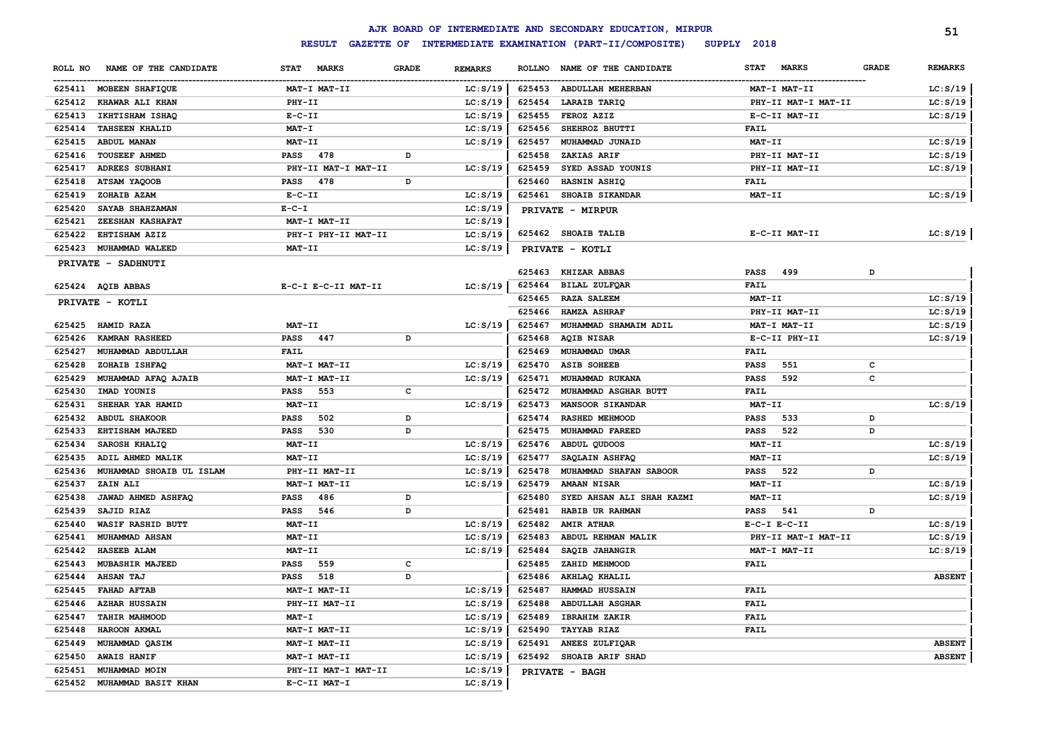|                  |                                   |                     |              |                |                  | AJK BOARD OF INTERMEDIATE AND SECONDARY EDUCATION, MIRPUR |                             |              | 51             |
|------------------|-----------------------------------|---------------------|--------------|----------------|------------------|-----------------------------------------------------------|-----------------------------|--------------|----------------|
|                  |                                   | <b>RESULT</b>       |              |                |                  | GAZETTE OF INTERMEDIATE EXAMINATION (PART-II/COMPOSITE)   | SUPPLY 2018                 |              |                |
| ROLL NO          | NAME OF THE CANDIDATE             | STAT MARKS          | <b>GRADE</b> | <b>REMARKS</b> |                  | ROLLNO NAME OF THE CANDIDATE                              | <b>MARKS</b><br><b>STAT</b> | <b>GRADE</b> | <b>REMARKS</b> |
|                  | 625411 MOBEEN SHAFIQUE            | MAT-I MAT-II        |              | LC: S/19       | 625453           | <b>ABDULLAH MEHERBAN</b>                                  | MAT-I MAT-II                |              | LC: S/19       |
|                  | 625412 KHAWAR ALI KHAN            | PHY-II              |              | LC: S/19       | 625454           | <b>LARAIB TARIQ</b>                                       | PHY-II MAT-I MAT-II         |              | LC: S/19       |
| 625413           | IKHTISHAM ISHAQ                   | $E- C- II$          |              | LC: S/19       | 625455           | FEROZ AZIZ                                                | E-C-II MAT-II               |              | LC: S/19       |
| 625414           | <b>TAHSEEN KHALID</b>             | <b>MAT-I</b>        |              | LC: S/19       | 625456           | SHEHROZ BHUTTI                                            | FAIL                        |              |                |
|                  | 625415 ABDUL MANAN                | MAT-II              |              | LC: S/19       | 625457           | MUHAMMAD JUNAID                                           | MAT-II                      |              | LC: S/19       |
|                  | 625416 TOUSEEF AHMED              | <b>PASS</b><br>478  | D            |                | 625458           | ZAKIAS ARIF                                               | PHY-II MAT-II               |              | LC: S/19       |
| 625417           | <b>ADREES SUBHANI</b>             | PHY-II MAT-I MAT-II |              | LC: S/19       | 625459           | SYED ASSAD YOUNIS                                         | PHY-II MAT-II               |              | LC: S/19       |
| 625418           | ATSAM YAQOOB                      | PASS<br>478         | D            |                | 625460           | HASNIN ASHIQ                                              | FAIL                        |              |                |
| 625419           | ZOHAIB AZAM                       | $E- C- II$          |              | LC: S/19       | 625461           | <b>SHOAIB SIKANDAR</b>                                    | MAT-II                      |              | LC: S/19       |
| 625420           | SAYAB SHAHZAMAN                   | $E - C - I$         |              | LC: S/19       |                  | PRIVATE - MIRPUR                                          |                             |              |                |
| 625421           | <b>ZEESHAN KASHAFAT</b>           | MAT-I MAT-II        |              | LC: S/19       |                  |                                                           |                             |              |                |
| 625422           | <b>EHTISHAM AZIZ</b>              | PHY-I PHY-II MAT-II |              | LC: S/19       |                  | 625462 SHOAIB TALIB                                       | E-C-II MAT-II               |              | LC: S/19       |
|                  | 625423 MUHAMMAD WALEED            | MAT-II              |              | LC: S/19       |                  | PRIVATE - KOTLI                                           |                             |              |                |
|                  | <b>PRIVATE - SADHNUTI</b>         |                     |              |                |                  |                                                           |                             |              |                |
|                  |                                   |                     |              |                | 625463<br>625464 | KHIZAR ABBAS                                              | 499<br>PASS<br>FAIL         | D            |                |
|                  | 625424 AQIB ABBAS                 | E-C-I E-C-II MAT-II |              | LC: S/19       | 625465           | BILAL ZULFQAR<br><b>RAZA SALEEM</b>                       | <b>MAT-II</b>               |              | LC: S/19       |
|                  | PRIVATE - KOTLI                   |                     |              |                | 625466           | <b>HAMZA ASHRAF</b>                                       | PHY-II MAT-II               |              | LC: S/19       |
| 625425           | <b>HAMID RAZA</b>                 | <b>MAT-II</b>       |              | LC: S/19       | 625467           | MUHAMMAD SHAMAIM ADIL                                     | MAT-I MAT-II                |              | LC: S/19       |
| 625426           | <b>KAMRAN RASHEED</b>             | PASS 447            | D            |                | 625468           | <b>AQIB NISAR</b>                                         | E-C-II PHY-II               |              | LC: S/19       |
| 625427           | MUHAMMAD ABDULLAH                 | <b>FAIL</b>         |              |                |                  | MUHAMMAD UMAR                                             |                             |              |                |
| 625428           | ZOHAIB ISHFAQ                     | MAT-I MAT-II        |              | LC: S/19       | 625469<br>625470 | <b>ASIB SOHEEB</b>                                        | <b>FAIL</b>                 | c            |                |
|                  | MUHAMMAD AFAQ AJAIB               | MAT-I MAT-II        |              |                |                  |                                                           | 551<br>PASS                 | c            |                |
| 625429<br>625430 | IMAD YOUNIS                       | 553                 | с            | LC: S/19       | 625471<br>625472 | MUHAMMAD RUKANA<br>MUHAMMAD ASGHAR BUTT                   | 592<br><b>PASS</b><br>FAIL  |              |                |
| 625431           | SHEHAR YAR HAMID                  | PASS<br>MAT-II      |              | LC: S/19       | 625473           | <b>MANSOOR SIKANDAR</b>                                   | MAT-II                      |              | LC: S/19       |
| 625432           | <b>ABDUL SHAKOOR</b>              | <b>PASS</b><br>502  | D            |                | 625474           | <b>RASHED MEHMOOD</b>                                     | 533<br>PASS                 | D            |                |
| 625433           | <b>EHTISHAM MAJEED</b>            | 530<br>PASS         | D            |                | 625475           | MUHAMMAD FAREED                                           | 522<br>PASS                 | D            |                |
| 625434           |                                   | <b>MAT-II</b>       |              | LC: S/19       | 625476           | ABDUL QUDOOS                                              | MAT-II                      |              | LC: S/19       |
| 625435           | SAROSH KHALIQ<br>ADIL AHMED MALIK | MAT-II              |              | LC: S/19       | 625477           | SAQLAIN ASHFAQ                                            | MAT-II                      |              | LC: S/19       |
| 625436           | MUHAMMAD SHOAIB UL ISLAM          | PHY-II MAT-II       |              | LC: S/19       | 625478           | MUHAMMAD SHAFAN SABOOR                                    | <b>PASS</b><br>522          | D            |                |
| 625437           | ZAIN ALI                          | MAT-I MAT-II        |              | LC: S/19       | 625479           | <b>AMAAN NISAR</b>                                        | MAT-II                      |              | LC: S/19       |
| 625438           | JAWAD AHMED ASHFAQ                | 486<br>PASS         | D            |                | 625480           | SYED AHSAN ALI SHAH KAZMI                                 | <b>MAT-II</b>               |              | LC: S/19       |
| 625439           | SAJID RIAZ                        | 546<br>PASS         | D            |                | 625481           | HABIB UR RAHMAN                                           | 541<br>PASS                 | D            |                |
| 625440           | <b>WASIF RASHID BUTT</b>          | MAT-II              |              | LC: S/19       | 625482           | <b>AMIR ATHAR</b>                                         | $E-C-I$ $E-C-II$            |              | LC: S/19       |
| 625441           | MUHAMMAD AHSAN                    | <b>MAT-II</b>       |              | LC: S/19       | 625483           | ABDUL REHMAN MALIK                                        | PHY-II MAT-I MAT-II         |              | LC: S/19       |
| 625442           | <b>HASEEB ALAM</b>                | <b>MAT-II</b>       |              | LC: S/19       | 625484           | SAQIB JAHANGIR                                            | MAT-I MAT-II                |              | LC: S/19       |
| 625443           | <b>MUBASHIR MAJEED</b>            | 559<br>PASS         | c            |                | 625485           | ZAHID MEHMOOD                                             | FAIL                        |              |                |
| 625444           | <b>AHSAN TAJ</b>                  | PASS<br>518         | D            |                | 625486           | AKHLAQ KHALIL                                             |                             |              | <b>ABSENT</b>  |
|                  | 625445 FAHAD AFTAB                | MAT-I MAT-II        |              | LC: S/19       | 625487           | HAMMAD HUSSAIN                                            | <b>FAIL</b>                 |              |                |
|                  | 625446 AZHAR HUSSAIN              | PHY-II MAT-II       |              | LC: S/19       |                  | 625488 ABDULLAH ASGHAR                                    | <b>FAIL</b>                 |              |                |
|                  | 625447 TAHIR MAHMOOD              | <b>MAT-I</b>        |              | LC: S/19       | 625489           | <b>IBRAHIM ZAKIR</b>                                      | <b>FAIL</b>                 |              |                |
|                  | 625448 HAROON AKMAL               | MAT-I MAT-II        |              | LC: S/19       | 625490           | <b>TAYYAB RIAZ</b>                                        | FAIL                        |              |                |
|                  | 625449 MUHAMMAD QASIM             | MAT-I MAT-II        |              | LC: S/19       | 625491           | <b>ANEES ZULFIQAR</b>                                     |                             |              | <b>ABSENT</b>  |
|                  | 625450 AWAIS HANIF                | MAT-I MAT-II        |              | LC: S/19       |                  | 625492 SHOAIB ARIF SHAD                                   |                             |              | <b>ABSENT</b>  |
|                  | 625451 MUHAMMAD MOIN              | PHY-II MAT-I MAT-II |              | LC: S/19       |                  |                                                           |                             |              |                |
|                  | 625452 MUHAMMAD BASIT KHAN        | E-C-II MAT-I        |              | LC: S/19       |                  | PRIVATE - BAGH                                            |                             |              |                |
|                  |                                   |                     |              |                |                  |                                                           |                             |              |                |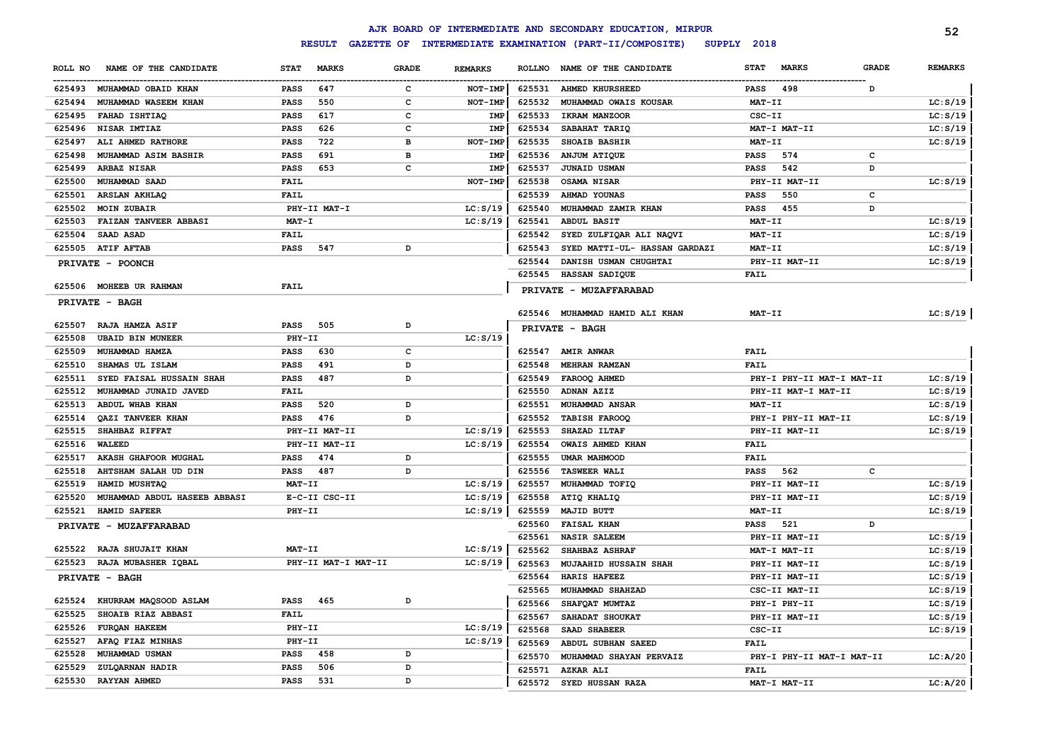|                       |                              |             |                     |              |                |               | AJK BOARD OF INTERMEDIATE AND SECONDARY EDUCATION, MIRPUR |             |                           |              | 52             |
|-----------------------|------------------------------|-------------|---------------------|--------------|----------------|---------------|-----------------------------------------------------------|-------------|---------------------------|--------------|----------------|
|                       |                              |             | <b>RESULT</b>       |              |                |               | GAZETTE OF INTERMEDIATE EXAMINATION (PART-II/COMPOSITE)   | SUPPLY 2018 |                           |              |                |
| ROLL NO               | NAME OF THE CANDIDATE        | <b>STAT</b> | <b>MARKS</b>        | <b>GRADE</b> | <b>REMARKS</b> | <b>ROLLNO</b> | NAME OF THE CANDIDATE                                     | <b>STAT</b> | <b>MARKS</b>              | <b>GRADE</b> | <b>REMARKS</b> |
|                       | 625493 MUHAMMAD OBAID KHAN   | <b>PASS</b> | 647                 | c            | NOT-IMP        |               | 625531 AHMED KHURSHEED                                    | <b>PASS</b> | 498                       | D            |                |
| 625494                | MUHAMMAD WASEEM KHAN         | <b>PASS</b> | 550                 | c            | NOT-IMP        | 625532        | MUHAMMAD OWAIS KOUSAR                                     | MAT-II      |                           |              | LC: S/19       |
| 625495                | FAHAD ISHTIAQ                | <b>PASS</b> | 617                 | c            | <b>IMP</b>     | 625533        | IKRAM MANZOOR                                             | CSC-II      |                           |              | LC: S/19       |
| 625496                | NISAR IMTIAZ                 | <b>PASS</b> | 626                 | c            | <b>IMP</b>     | 625534        | SABAHAT TARIQ                                             |             | MAT-I MAT-II              |              | LC: S/19       |
| 625497                | ALI AHMED RATHORE            | <b>PASS</b> | 722                 | в            | NOT-IMP        | 625535        | SHOAIB BASHIR                                             | MAT-II      |                           |              | LC: S/19       |
| 625498                | MUHAMMAD ASIM BASHIR         | <b>PASS</b> | 691                 | в            | <b>IMP</b>     | 625536        | ANJUM ATIQUE                                              | <b>PASS</b> | 574                       | c            |                |
| 625499                | <b>ARBAZ NISAR</b>           | <b>PASS</b> | 653                 | c            | <b>IMP</b>     | 625537        | JUNAID USMAN                                              | <b>PASS</b> | 542                       | D            |                |
| 625500                | MUHAMMAD SAAD                | <b>FAIL</b> |                     |              | NOT-IMP        | 625538        | OSAMA NISAR                                               |             | PHY-II MAT-II             |              | LC: S/19       |
| 625501                | <b>ARSLAN AKHLAQ</b>         | <b>FAIL</b> |                     |              |                | 625539        | AHMAD YOUNAS                                              | <b>PASS</b> | 550                       | c            |                |
| 625502                | <b>MOIN ZUBAIR</b>           |             | PHY-II MAT-I        |              | LC: S/19       | 625540        | MUHAMMAD ZAMIR KHAN                                       | <b>PASS</b> | 455                       | D            |                |
| 625503                | FAIZAN TANVEER ABBASI        | $MAT - I$   |                     |              | LC: S/19       | 625541        | <b>ABDUL BASIT</b>                                        | MAT-II      |                           |              | LC: S/19       |
| 625504                | SAAD ASAD                    | <b>FAIL</b> |                     |              |                | 625542        | SYED ZULFIQAR ALI NAQVI                                   | MAT-II      |                           |              | LC: S/19       |
| 625505                | <b>ATIF AFTAB</b>            | <b>PASS</b> | 547                 | D            |                | 625543        | SYED MATTI-UL- HASSAN GARDAZI                             | MAT-II      |                           |              | LC: S/19       |
|                       | PRIVATE - POONCH             |             |                     |              |                | 625544        | DANISH USMAN CHUGHTAI                                     |             | PHY-II MAT-II             |              | LC: S/19       |
|                       |                              |             |                     |              |                | 625545        | <b>HASSAN SADIQUE</b>                                     | <b>FAIL</b> |                           |              |                |
|                       | 625506 MOHEEB UR RAHMAN      | <b>FAIL</b> |                     |              |                |               | PRIVATE - MUZAFFARABAD                                    |             |                           |              |                |
| PRIVATE - BAGH        |                              |             |                     |              |                |               |                                                           |             |                           |              |                |
|                       |                              |             |                     |              |                |               | 625546 MUHAMMAD HAMID ALI KHAN                            | MAT-II      |                           |              | LC: S/19       |
| 625507                | <b>RAJA HAMZA ASIF</b>       | <b>PASS</b> | 505                 | D            |                |               | PRIVATE - BAGH                                            |             |                           |              |                |
| 625508                | <b>UBAID BIN MUNEER</b>      | PHY-II      |                     |              | LC: S/19       |               |                                                           |             |                           |              |                |
| 625509                | MUHAMMAD HAMZA               | PASS        | 630                 | c            |                |               | 625547 AMIR ANWAR                                         | <b>FAIL</b> |                           |              |                |
| 625510                | SHAMAS UL ISLAM              | <b>PASS</b> | 491                 | D            |                | 625548        | MEHRAN RAMZAN                                             | <b>FAIL</b> |                           |              |                |
| 625511                | SYED FAISAL HUSSAIN SHAH     | <b>PASS</b> | 487                 | D            |                | 625549        | FAROOQ AHMED                                              |             | PHY-I PHY-II MAT-I MAT-II |              | LC: S/19       |
| 625512                | MUHAMMAD JUNAID JAVED        | FAIL        |                     |              |                | 625550        | ADNAN AZIZ                                                |             | PHY-II MAT-I MAT-II       |              | LC: S/19       |
| 625513                | ABDUL WHAB KHAN              | <b>PASS</b> | 520                 | D            |                | 625551        | MUHAMMAD ANSAR                                            | MAT-II      |                           |              | LC: S/19       |
| 625514                | QAZI TANVEER KHAN            | <b>PASS</b> | 476                 | D            |                | 625552        | <b>TABISH FAROOQ</b>                                      |             | PHY-I PHY-II MAT-II       |              | LC: S/19       |
| 625515                | SHAHBAZ RIFFAT               |             | PHY-II MAT-II       |              | LC: S/19       | 625553        | SHAZAD ILTAF                                              |             | PHY-II MAT-II             |              | LC: S/19       |
| 625516                | <b>WALEED</b>                |             | PHY-II MAT-II       |              | LC: S/19       | 625554        | OWAIS AHMED KHAN                                          | <b>FAIL</b> |                           |              |                |
| 625517                | AKASH GHAFOOR MUGHAL         | <b>PASS</b> | 474                 | D            |                | 625555        | <b>UMAR MAHMOOD</b>                                       | <b>FAIL</b> |                           |              |                |
| 625518                | AHTSHAM SALAH UD DIN         | <b>PASS</b> | 487                 | D            |                | 625556        | <b>TASWEER WALI</b>                                       | PASS        | 562                       | с            |                |
| 625519                | HAMID MUSHTAQ                | MAT-II      |                     |              | LC: S/19       | 625557        | MUHAMMAD TOFIQ                                            |             | PHY-II MAT-II             |              | LC: S/19       |
| 625520                | MUHAMMAD ABDUL HASEEB ABBASI |             | E-C-II CSC-II       |              | LC: S/19       | 625558        | ATIQ KHALIQ                                               |             | PHY-II MAT-II             |              | LC: S/19       |
| 625521                | <b>HAMID SAFEER</b>          | PHY-II      |                     |              | LC: S/19       | 625559        | MAJID BUTT                                                | MAT-II      |                           |              | LC: S/19       |
|                       | PRIVATE - MUZAFFARABAD       |             |                     |              |                | 625560        | <b>FAISAL KHAN</b>                                        | <b>PASS</b> | 521                       | D            |                |
|                       |                              |             |                     |              |                | 625561        | <b>NASIR SALEEM</b>                                       |             | PHY-II MAT-II             |              | LC: S/19       |
| 625522                | RAJA SHUJAIT KHAN            | MAT-II      |                     |              | LC: S/19       | 625562        | SHAHBAZ ASHRAF                                            |             | MAT-I MAT-II              |              | LC: S/19       |
| 625523                | RAJA MUBASHER IQBAL          |             | PHY-II MAT-I MAT-II |              | LC: S/19       | 625563        | MUJAAHID HUSSAIN SHAH                                     |             | PHY-II MAT-II             |              | LC: S/19       |
| <b>PRIVATE - BAGH</b> |                              |             |                     |              |                | 625564        | HARIS HAFEEZ                                              |             | PHY-II MAT-II             |              | LC: S/19       |
|                       |                              |             |                     |              |                | 625565        | MUHAMMAD SHAHZAD                                          |             | CSC-II MAT-II             |              | LC: S/19       |
| 625524                | KHURRAM MAQSOOD ASLAM        | <b>PASS</b> | 465                 | D            |                | 625566        | SHAFQAT MUMTAZ                                            |             | PHY-I PHY-II              |              | LC: S/19       |
| 625525                | SHOAIB RIAZ ABBASI           | <b>FAIL</b> |                     |              |                | 625567        | SAHADAT SHOUKAT                                           |             | PHY-II MAT-II             |              | LC: S/19       |
| 625526                | FURQAN HAKEEM                | PHY-II      |                     |              | LC: S/19       | 625568        | SAAD SHABEER                                              | CSC-II      |                           |              | LC: S/19       |
| 625527                | AFAQ FIAZ MINHAS             | PHY-II      |                     |              | LC: S/19       | 625569        | ABDUL SUBHAN SAEED                                        | <b>FAIL</b> |                           |              |                |
| 625528                | MUHAMMAD USMAN               | <b>PASS</b> | 458                 | D            |                | 625570        | MUHAMMAD SHAYAN PERVAIZ                                   |             | PHY-I PHY-II MAT-I MAT-II |              | LC: A/20       |
| 625529                | ZULQARNAN HADIR              | <b>PASS</b> | 506                 | D            |                | 625571        | <b>AZKAR ALI</b>                                          | FAIL        |                           |              |                |
| 625530                | <b>RAYYAN AHMED</b>          | <b>PASS</b> | 531                 | D            |                | 625572        | SYED HUSSAN RAZA                                          |             | MAT-I MAT-II              |              | LC: A/20       |
|                       |                              |             |                     |              |                |               |                                                           |             |                           |              |                |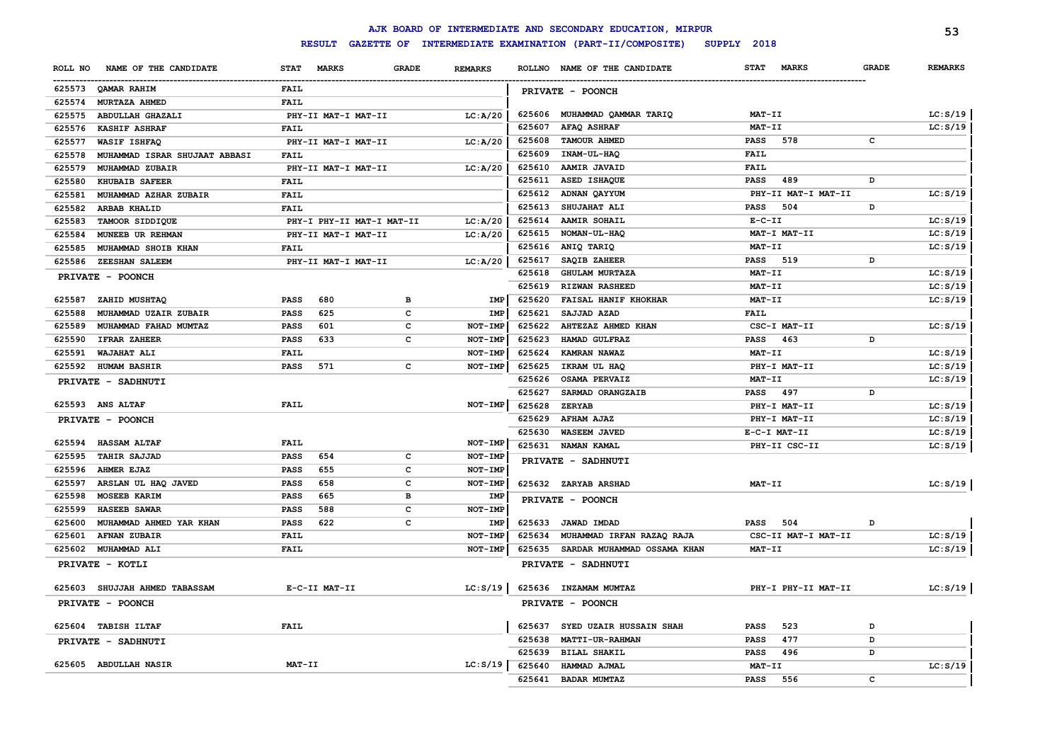|                                               |                                          |              |                       |        | AJK BOARD OF INTERMEDIATE AND SECONDARY EDUCATION, MIRPUR |                             |              | 53             |
|-----------------------------------------------|------------------------------------------|--------------|-----------------------|--------|-----------------------------------------------------------|-----------------------------|--------------|----------------|
|                                               | <b>RESULT</b>                            |              |                       |        | GAZETTE OF INTERMEDIATE EXAMINATION (PART-II/COMPOSITE)   | SUPPLY 2018                 |              |                |
| NAME OF THE CANDIDATE<br>ROLL NO              | <b>MARKS</b><br><b>STAT</b>              | <b>GRADE</b> | <b>REMARKS</b>        |        | ROLLNO NAME OF THE CANDIDATE                              | <b>MARKS</b><br><b>STAT</b> | <b>GRADE</b> | <b>REMARKS</b> |
| 625573<br>QAMAR RAHIM                         | <b>FAIL</b>                              |              |                       |        | PRIVATE - POONCH                                          |                             |              |                |
| 625574<br>MURTAZA AHMED                       | FAIL                                     |              |                       |        |                                                           |                             |              |                |
| 625575<br>ABDULLAH GHAZALI                    | PHY-II MAT-I MAT-II                      |              | LC: A/20              |        | 625606 MUHAMMAD QAMMAR TARIQ                              | MAT-II                      |              | LC: S/19       |
| 625576<br><b>KASHIF ASHRAF</b>                | FAIL                                     |              |                       | 625607 | <b>AFAQ ASHRAF</b>                                        | MAT-II                      |              | LC: S/19       |
| 625577<br>WASIF ISHFAQ                        | PHY-II MAT-I MAT-II                      |              | LC: A/20              | 625608 | <b>TAMOUR AHMED</b>                                       | 578<br><b>PASS</b>          | $\mathbf c$  |                |
| 625578<br>MUHAMMAD ISRAR SHUJAAT ABBASI       | FAIL                                     |              |                       | 625609 | INAM-UL-HAQ                                               | <b>FAIL</b>                 |              |                |
| 625579<br>MUHAMMAD ZUBAIR                     | PHY-II MAT-I MAT-II                      |              | LC: A/20              | 625610 | <b>AAMIR JAVAID</b>                                       | <b>FAIL</b>                 |              |                |
| 625580<br><b>KHUBAIB SAFEER</b>               | FAIL                                     |              |                       | 625611 | ASED ISHAQUE                                              | <b>PASS</b><br>489          | D            |                |
| 625581<br>MUHAMMAD AZHAR ZUBAIR               | <b>FAIL</b>                              |              |                       |        | 625612 ADNAN QAYYUM                                       | PHY-II MAT-I MAT-II         |              | LC: S/19       |
| 625582<br><b>ARBAB KHALID</b>                 | <b>FAIL</b>                              |              |                       | 625613 | SHUJAHAT ALI                                              | <b>PASS</b><br>504          | D            |                |
| 625583<br>TAMOOR SIDDIQUE                     | PHY-I PHY-II MAT-I MAT-II                |              | LC: A/20              | 625614 | AAMIR SOHAIL                                              | $E-C-II$                    |              | LC: S/19       |
| 625584<br>MUNEEB UR REHMAN                    | PHY-II MAT-I MAT-II                      |              | LC: A/20              | 625615 | NOMAN-UL-HAQ                                              | MAT-I MAT-II                |              | LC: S/19       |
| 625585<br>MUHAMMAD SHOIB KHAN                 | FAIL                                     |              |                       | 625616 | ANIQ TARIQ                                                | MAT-II                      |              | LC: S/19       |
| 625586<br>ZEESHAN SALEEM                      | PHY-II MAT-I MAT-II                      |              | LC: A/20              | 625617 | SAQIB ZAHEER                                              | <b>PASS</b><br>519          | D            |                |
| PRIVATE - POONCH                              |                                          |              |                       | 625618 | <b>GHULAM MURTAZA</b>                                     | MAT-II                      |              | LC: S/19       |
|                                               |                                          |              |                       | 625619 | <b>RIZWAN RASHEED</b>                                     | MAT-II                      |              | LC: S/19       |
| 625587<br>ZAHID MUSHTAQ                       | 680<br>PASS                              | в            | IMP                   | 625620 | FAISAL HANIF KHOKHAR                                      | <b>MAT-II</b>               |              | LC: S/19       |
| 625588<br>MUHAMMAD UZAIR ZUBAIR               | 625<br>PASS                              | $\mathbf c$  | IMP                   | 625621 | SAJJAD AZAD                                               | FAIL                        |              |                |
| 625589<br>MUHAMMAD FAHAD MUMTAZ               | 601<br>PASS                              | c            | NOT-IMP               | 625622 | AHTEZAZ AHMED KHAN                                        | CSC-I MAT-II                |              | LC: S/19       |
| 625590<br><b>IFRAR ZAHEER</b>                 | 633<br><b>PASS</b>                       | c            | NOT-IMP               | 625623 | HAMAD GULFRAZ                                             | PASS 463                    | D            |                |
| 625591<br>WAJAHAT ALI                         | FAIL                                     |              | NOT-IMP               | 625624 | KAMRAN NAWAZ                                              | <b>MAT-II</b>               |              | LC: S/19       |
| 625592<br><b>HUMAM BASHIR</b>                 | 571<br>PASS                              | c            | NOT-IMP               | 625625 | IKRAM UL HAQ                                              | PHY-I MAT-II                |              | LC: S/19       |
| PRIVATE - SADHNUTI                            |                                          |              |                       | 625626 | <b>OSAMA PERVAIZ</b>                                      | MAT-II                      |              | LC: S/19       |
|                                               |                                          |              |                       | 625627 | SARMAD ORANGZAIB                                          | PASS 497                    | D            |                |
| 625593 ANS ALTAF                              | FAIL                                     |              | NOT-IMP               | 625628 | <b>ZERYAB</b>                                             | PHY-I MAT-II                |              | LC: S/19       |
| PRIVATE - POONCH                              |                                          |              |                       | 625629 | <b>AFHAM AJAZ</b>                                         | PHY-I MAT-II                |              | LC: S/19       |
|                                               |                                          |              |                       | 625630 | <b>WASEEM JAVED</b>                                       | E-C-I MAT-II                |              | LC: S/19       |
| 625594<br><b>HASSAM ALTAF</b>                 | FAIL                                     |              | NOT-IMP               | 625631 | NAMAN KAMAL                                               | PHY-II CSC-II               |              | LC: S/19       |
| 625595<br><b>TAHIR SAJJAD</b>                 | 654<br>PASS                              | c            | <b>NOT-IMP</b>        |        | PRIVATE - SADHNUTI                                        |                             |              |                |
| 625596<br><b>AHMER EJAZ</b><br>625597         | PASS<br>655                              | c            | <b>NOT-IMP</b>        |        |                                                           |                             |              |                |
| ARSLAN UL HAQ JAVED<br>625598<br>MOSEEB KARIM | <b>PASS</b><br>658<br><b>PASS</b><br>665 | c<br>в       | NOT-IMP               |        | 625632 ZARYAB ARSHAD                                      | MAT-II                      |              | LC: S/19       |
| 625599<br><b>HASEEB SAWAR</b>                 | <b>PASS</b><br>588                       | c            | <b>IMP</b><br>NOT-IMP |        | PRIVATE - POONCH                                          |                             |              |                |
| 625600<br>MUHAMMAD AHMED YAR KHAN             | <b>PASS</b><br>622                       | c            | IMP                   |        | 625633 JAWAD IMDAD                                        | <b>PASS</b><br>504          | D            |                |
| 625601<br><b>AFNAN ZUBAIR</b>                 | FAIL                                     |              | NOT-IMP               | 625634 | MUHAMMAD IRFAN RAZAQ RAJA                                 | CSC-II MAT-I MAT-II         |              | LC: S/19       |
| 625602<br>MUHAMMAD ALI                        | <b>FAIL</b>                              |              | NOT-IMP               | 625635 | SARDAR MUHAMMAD OSSAMA KHAN                               | $MAT-TI$                    |              | LC: S/19       |
|                                               |                                          |              |                       |        |                                                           |                             |              |                |
| PRIVATE - KOTLI                               |                                          |              |                       |        | PRIVATE - SADHNUTI                                        |                             |              |                |
| 625603<br>SHUJJAH AHMED TABASSAM              | E-C-II MAT-II                            |              | LC: S/19              |        | 625636 INZAMAM MUMTAZ                                     | PHY-I PHY-II MAT-II         |              | LC: S/19       |
| PRIVATE - POONCH                              |                                          |              |                       |        | PRIVATE - POONCH                                          |                             |              |                |
| 625604 TABISH ILTAF                           | FAIL                                     |              |                       | 625637 | SYED UZAIR HUSSAIN SHAH                                   | 523<br><b>PASS</b>          | D            |                |
| PRIVATE - SADHNUTI                            |                                          |              |                       | 625638 | MATTI-UR-RAHMAN                                           | 477<br>PASS                 | D            |                |
|                                               |                                          |              |                       | 625639 | <b>BILAL SHAKIL</b>                                       | 496<br>PASS                 | D            |                |
| 625605 ABDULLAH NASIR                         | MAT-II                                   |              | LC: S/19              | 625640 | HAMMAD AJMAL                                              | MAT-II                      |              | LC: S/19       |
|                                               |                                          |              |                       | 625641 | <b>BADAR MUMTAZ</b>                                       | <b>PASS</b><br>556          | c            |                |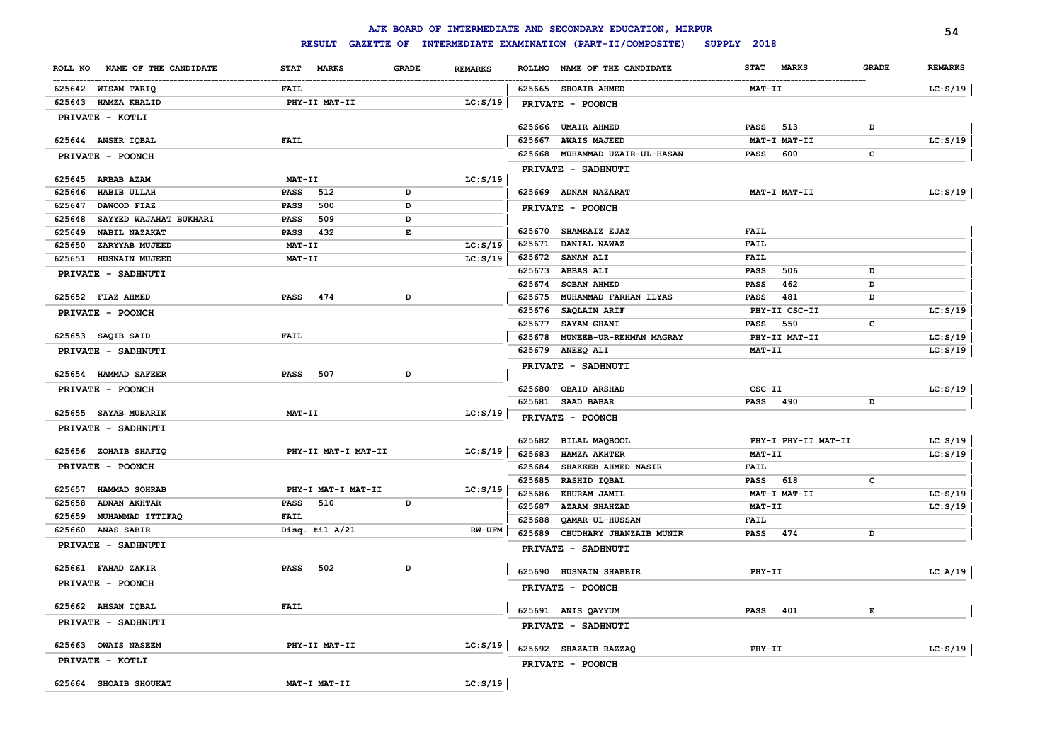|                                   |                         |                | AJK BOARD OF INTERMEDIATE AND SECONDARY EDUCATION, MIRPUR |                             | 54                             |
|-----------------------------------|-------------------------|----------------|-----------------------------------------------------------|-----------------------------|--------------------------------|
|                                   | <b>RESULT</b>           |                | GAZETTE OF INTERMEDIATE EXAMINATION (PART-II/COMPOSITE)   | SUPPLY 2018                 |                                |
| ROLL NO NAME OF THE CANDIDATE     | STAT MARKS<br>GRADE     | <b>REMARKS</b> | ROLLNO NAME OF THE CANDIDATE                              | <b>MARKS</b><br><b>STAT</b> | <b>GRADE</b><br><b>REMARKS</b> |
| 625642 WISAM TARIQ                | FAIL                    |                | 625665 SHOAIB AHMED                                       | <b>MAT-II</b>               | LC: S/19                       |
| 625643 HAMZA KHALID               | PHY-II MAT-II           | LC: S/19       | PRIVATE - POONCH                                          |                             |                                |
| PRIVATE - KOTLI                   |                         |                |                                                           |                             |                                |
|                                   |                         |                | 625666 UMAIR AHMED                                        | PASS<br>513                 | D                              |
| 625644 ANSER IQBAL                | <b>FAIL</b>             |                | 625667<br><b>AWAIS MAJEED</b>                             | MAT-I MAT-II                | LC: S/19                       |
| PRIVATE - POONCH                  |                         |                | 625668 MUHAMMAD UZAIR-UL-HASAN                            | PASS<br>600                 | c                              |
| 625645 ARBAB AZAM                 | <b>MAT-II</b>           | LC: S/19       | PRIVATE - SADHNUTI                                        |                             |                                |
| 625646<br><b>HABIB ULLAH</b>      | 512<br><b>PASS</b><br>D |                | 625669 ADNAN NAZARAT                                      | MAT-I MAT-II                | LC: S/19                       |
| 625647<br>DAWOOD FIAZ             | 500<br>D<br><b>PASS</b> |                | PRIVATE - POONCH                                          |                             |                                |
| 625648<br>SAYYED WAJAHAT BUKHARI  | 509<br><b>PASS</b><br>D |                |                                                           |                             |                                |
| <b>NABIL NAZAKAT</b><br>625649    | PASS 432<br>E           |                | 625670<br><b>SHAMRAIZ EJAZ</b>                            | FAIL                        |                                |
| 625650<br>ZARYYAB MUJEED          | MAT-II                  | LC: S/19       | 625671<br>DANIAL NAWAZ                                    | FAIL                        |                                |
| 625651 HUSNAIN MUJEED             | MAT-II                  | LC: S/19       | 625672 SANAN ALI                                          | FAIL                        |                                |
| PRIVATE - SADHNUTI                |                         |                | 625673 ABBAS ALI                                          | PASS<br>506                 | D                              |
|                                   |                         |                | 625674<br><b>SOBAN AHMED</b>                              | 462<br>PASS                 | D                              |
| 625652 FIAZ AHMED                 | PASS<br>474<br>D        |                | 625675<br>MUHAMMAD FARHAN ILYAS                           | 481<br>PASS                 | D                              |
| PRIVATE - POONCH                  |                         |                | 625676 SAQLAIN ARIF                                       | PHY-II CSC-II               | LC: S/19                       |
|                                   |                         |                | 625677<br><b>SAYAM GHANI</b>                              | 550<br>PASS                 | c                              |
| 625653 SAQIB SAID                 | <b>FAIL</b>             |                | 625678<br><b>MUNEEB-UR-REHMAN MAGRAY</b>                  | PHY-II MAT-II               | LC: S/19                       |
| <b>PRIVATE - SADHNUTI</b>         |                         |                | 625679 ANEEQ ALI                                          | MAT-II                      | LC: S/19                       |
| 625654 HAMMAD SAFEER              | D<br>PASS<br>507        |                | PRIVATE - SADHNUTI                                        |                             |                                |
|                                   |                         |                |                                                           |                             |                                |
| PRIVATE - POONCH                  |                         |                | 625680 OBAID ARSHAD<br>625681 SAAD BABAR                  | CSC-II<br>PASS 490          | LC: S/19<br>D                  |
| 625655 SAYAB MUBARIK              | MAT-II                  | LC: S/19       |                                                           |                             |                                |
| PRIVATE - SADHNUTI                |                         |                | PRIVATE - POONCH                                          |                             |                                |
|                                   |                         |                | 625682 BILAL MAQBOOL                                      | PHY-I PHY-II MAT-II         | LC: S/19                       |
| 625656 ZOHAIB SHAFIQ              | PHY-II MAT-I MAT-II     | LC: S/19       | 625683<br><b>HAMZA AKHTER</b>                             | MAT-II                      | LC: S/19                       |
| <b>PRIVATE - POONCH</b>           |                         |                | 625684<br>SHAKEEB AHMED NASIR                             | FAIL                        |                                |
|                                   |                         |                | RASHID IQBAL<br>625685                                    | <b>PASS</b><br>618          | c                              |
| 625657<br><b>HAMMAD SOHRAB</b>    | PHY-I MAT-I MAT-II      | LC: S/19       | 625686<br>KHURAM JAMIL                                    | MAT-I MAT-II                | LC: S/19                       |
| 625658<br><b>ADNAN AKHTAR</b>     | 510<br>D<br><b>PASS</b> |                | 625687<br><b>AZAAM SHAHZAD</b>                            | MAT-II                      | LC: S/19                       |
| 625659<br><b>MUHAMMAD ITTIFAQ</b> | <b>FAIL</b>             |                | 625688<br><b>OAMAR-UL-HUSSAN</b>                          | FAIL                        |                                |
| 625660 ANAS SABIR                 | Disq. til A/21          | <b>RW-UFM</b>  | 625689<br>CHUDHARY JHANZAIB MUNIR                         | <b>PASS</b><br>474          | D                              |
| PRIVATE - SADHNUTI                |                         |                | PRIVATE - SADHNUTI                                        |                             |                                |
| 625661 FAHAD ZAKIR                | PASS<br>502<br>D        |                |                                                           | PHY-II                      |                                |
| PRIVATE - POONCH                  |                         |                | 625690 HUSNAIN SHABBIR                                    |                             | LC:A/19                        |
|                                   |                         |                | PRIVATE - POONCH                                          |                             |                                |
| 625662 AHSAN IQBAL                | FAIL                    |                | 625691 ANIS QAYYUM                                        | PASS 401                    | Е                              |
| PRIVATE - SADHNUTI                |                         |                | PRIVATE - SADHNUTI                                        |                             |                                |
| 625663 OWAIS NASEEM               | PHY-II MAT-II           | LC: S/19       | 625692 SHAZAIB RAZZAQ                                     | PHY-II                      | LC: S/19                       |
| PRIVATE - KOTLI                   |                         |                | <b>PRIVATE - POONCH</b>                                   |                             |                                |
| 625664 SHOAIB SHOUKAT             | MAT-I MAT-II            | LC: S/19       |                                                           |                             |                                |
|                                   |                         |                |                                                           |                             |                                |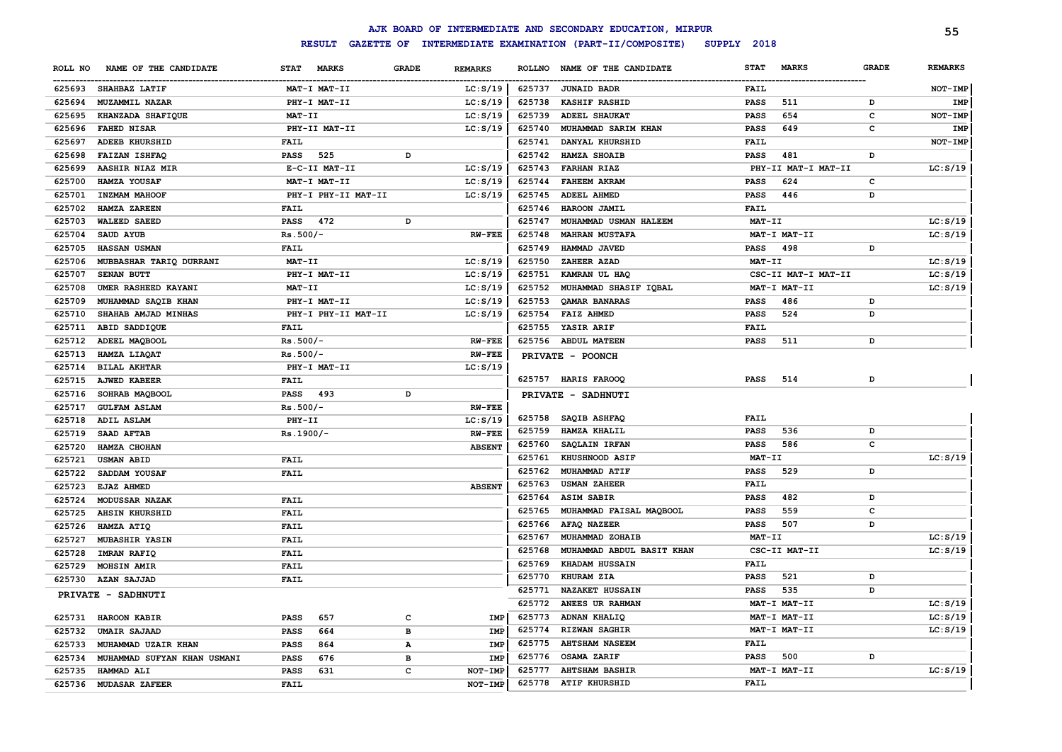|                                    |                     |              |                |        | AJK BOARD OF INTERMEDIATE AND SECONDARY EDUCATION, MIRPUR |               |                     |              | 55             |
|------------------------------------|---------------------|--------------|----------------|--------|-----------------------------------------------------------|---------------|---------------------|--------------|----------------|
|                                    | <b>RESULT</b>       |              |                |        | GAZETTE OF INTERMEDIATE EXAMINATION (PART-II/COMPOSITE)   | SUPPLY 2018   |                     |              |                |
| NAME OF THE CANDIDATE<br>ROLL NO   | STAT MARKS          | <b>GRADE</b> | <b>REMARKS</b> |        | ROLLNO NAME OF THE CANDIDATE                              | <b>STAT</b>   | <b>MARKS</b>        | <b>GRADE</b> | <b>REMARKS</b> |
| 625693 SHAHBAZ LATIF               | MAT-I MAT-II        |              | LC: S/19       | 625737 | <b>JUNAID BADR</b>                                        | <b>FAIL</b>   |                     |              | NOT-IMP        |
| <b>MUZAMMIL NAZAR</b><br>625694    | PHY-I MAT-II        |              | LC: S/19       | 625738 | <b>KASHIF RASHID</b>                                      | <b>PASS</b>   | 511                 | D            | IMP            |
| 625695<br>KHANZADA SHAFIQUE        | MAT-II              |              | LC: S/19       | 625739 | <b>ADEEL SHAUKAT</b>                                      | <b>PASS</b>   | 654                 | c            | NOT-IMP        |
| 625696<br><b>FAHED NISAR</b>       | PHY-II MAT-II       |              | LC: S/19       | 625740 | MUHAMMAD SARIM KHAN                                       | <b>PASS</b>   | 649                 | c            | IMP            |
| <b>ADEEB KHURSHID</b><br>625697    | FAIL                |              |                | 625741 | DANYAL KHURSHID                                           | FAIL          |                     |              | NOT-IMP        |
| 625698<br><b>FAIZAN ISHFAQ</b>     | 525<br><b>PASS</b>  | D            |                | 625742 | <b>HAMZA SHOAIB</b>                                       | <b>PASS</b>   | 481                 | D            |                |
| AASHIR NIAZ MIR<br>625699          | E-C-II MAT-II       |              | LC: S/19       | 625743 | <b>FARHAN RIAZ</b>                                        |               | PHY-II MAT-I MAT-II |              | LC: S/19       |
| 625700<br>HAMZA YOUSAF             | MAT-I MAT-II        |              | LC: S/19       | 625744 | <b>FAHEEM AKRAM</b>                                       | <b>PASS</b>   | 624                 | c            |                |
| 625701<br>INZMAM MAHOOF            | PHY-I PHY-II MAT-II |              | LC: S/19       | 625745 | <b>ADEEL AHMED</b>                                        | <b>PASS</b>   | 446                 | D            |                |
| 625702<br><b>HAMZA ZAREEN</b>      | <b>FAIL</b>         |              |                | 625746 | HAROON JAMIL                                              | FAIL          |                     |              |                |
| <b>WALEED SAEED</b><br>625703      | 472<br><b>PASS</b>  | D            |                | 625747 | MUHAMMAD USMAN HALEEM                                     | <b>MAT-II</b> |                     |              | LC: S/19       |
| 625704<br>SAUD AYUB                | $Rs.500/-$          |              | $RW-FEE$       | 625748 | <b>MAHRAN MUSTAFA</b>                                     |               | MAT-I MAT-II        |              | LC: S/19       |
| 625705<br><b>HASSAN USMAN</b>      | <b>FAIL</b>         |              |                | 625749 | HAMMAD JAVED                                              | <b>PASS</b>   | 498                 | D            |                |
| MUBBASHAR TARIQ DURRANI<br>625706  | MAT-II              |              | LC: S/19       | 625750 | ZAHEER AZAD                                               | MAT-II        |                     |              | LC: S/19       |
| 625707<br><b>SENAN BUTT</b>        | PHY-I MAT-II        |              | LC: S/19       | 625751 | KAMRAN UL HAQ                                             |               | CSC-II MAT-I MAT-II |              | LC: S/19       |
| 625708<br>UMER RASHEED KAYANI      | MAT-II              |              | LC: S/19       | 625752 | MUHAMMAD SHASIF IQBAL                                     |               | MAT-I MAT-II        |              | LC: S/19       |
| 625709<br>MUHAMMAD SAQIB KHAN      | PHY-I MAT-II        |              | LC: S/19       | 625753 | QAMAR BANARAS                                             | <b>PASS</b>   | 486                 | D            |                |
| 625710<br>SHAHAB AMJAD MINHAS      | PHY-I PHY-II MAT-II |              | LC: S/19       |        | 625754 FAIZ AHMED                                         | <b>PASS</b>   | 524                 | D            |                |
| 625711<br>ABID SADDIQUE            | <b>FAIL</b>         |              |                | 625755 | <b>YASIR ARIF</b>                                         | FAIL          |                     |              |                |
| 625712 ADEEL MAQBOOL               | $Rs.500/-$          |              | <b>RW-FEE</b>  |        | 625756 ABDUL MATEEN                                       | <b>PASS</b>   | 511                 | D            |                |
| 625713<br><b>HAMZA LIAQAT</b>      | $Rs.500/-$          |              | <b>RW-FEE</b>  |        | PRIVATE - POONCH                                          |               |                     |              |                |
| 625714<br><b>BILAL AKHTAR</b>      | PHY-I MAT-II        |              | LC: S/19       |        |                                                           |               |                     |              |                |
| <b>AJWED KABEER</b><br>625715      | <b>FAIL</b>         |              |                |        | 625757 HARIS FAROOQ                                       | PASS          | 514                 | D            |                |
| 625716<br>SOHRAB MAQBOOL           | 493<br><b>PASS</b>  | D            |                |        | <b>PRIVATE - SADHNUTI</b>                                 |               |                     |              |                |
| 625717<br><b>GULFAM ASLAM</b>      | $Rs.500/-$          |              | <b>RW-FEE</b>  |        |                                                           |               |                     |              |                |
| 625718<br><b>ADIL ASLAM</b>        | PHY-II              |              | LC: S/19       | 625758 | <b>SAQIB ASHFAQ</b>                                       | FAIL          |                     |              |                |
| SAAD AFTAB<br>625719               | $Rs.1900/-$         |              | <b>RW-FEE</b>  | 625759 | <b>HAMZA KHALIL</b>                                       | <b>PASS</b>   | 536                 | D            |                |
| HAMZA CHOHAN<br>625720             |                     |              | <b>ABSENT</b>  | 625760 | <b>SAQLAIN IRFAN</b>                                      | PASS          | 586                 | c            |                |
| 625721<br><b>USMAN ABID</b>        | <b>FAIL</b>         |              |                | 625761 | KHUSHNOOD ASIF                                            | MAT-II        |                     |              | LC: S/19       |
| 625722<br>SADDAM YOUSAF            | <b>FAIL</b>         |              |                | 625762 | MUHAMMAD ATIF                                             | <b>PASS</b>   | 529                 | D            |                |
| 625723<br><b>EJAZ AHMED</b>        |                     |              | <b>ABSENT</b>  | 625763 | <b>USMAN ZAHEER</b>                                       | FAIL          |                     |              |                |
| 625724<br>MODUSSAR NAZAK           | <b>FAIL</b>         |              |                | 625764 | <b>ASIM SABIR</b>                                         | <b>PASS</b>   | 482                 | D            |                |
| 625725<br><b>AHSIN KHURSHID</b>    | <b>FAIL</b>         |              |                | 625765 | MUHAMMAD FAISAL MAQBOOL                                   | <b>PASS</b>   | 559                 | c            |                |
| 625726 HAMZA ATIQ                  | <b>FAIL</b>         |              |                | 625766 | AFAQ NAZEER                                               | <b>PASS</b>   | 507                 | D            |                |
| MUBASHIR YASIN<br>625727           | <b>FAIL</b>         |              |                | 625767 | MUHAMMAD ZOHAIB                                           | <b>MAT-II</b> |                     |              | LC: S/19       |
| 625728<br><b>IMRAN RAFIQ</b>       | <b>FAIL</b>         |              |                | 625768 | MUHAMMAD ABDUL BASIT KHAN                                 |               | CSC-II MAT-II       |              | LC: S/19       |
| 625729<br><b>MOHSIN AMIR</b>       | <b>FAIL</b>         |              |                | 625769 | KHADAM HUSSAIN                                            | FAIL          |                     |              |                |
| 625730 AZAN SAJJAD                 | FAIL                |              |                | 625770 | KHURAM ZIA                                                | <b>PASS</b>   | 521                 | D            |                |
|                                    |                     |              |                | 625771 | <b>NAZAKET HUSSAIN</b>                                    | <b>PASS</b>   | 535                 | D            |                |
| PRIVATE - SADHNUTI                 |                     |              |                |        | 625772 ANEES UR RAHMAN                                    |               | MAT-I MAT-II        |              | LC: S/19       |
| 625731 HAROON KABIR                | <b>PASS</b><br>657  | с            | IMP            | 625773 | <b>ADNAN KHALIQ</b>                                       |               | MAT-I MAT-II        |              | LC: S/19       |
| 625732 UMAIR SAJAAD                | 664<br><b>PASS</b>  | в            | IMP            | 625774 | <b>RIZWAN SAGHIR</b>                                      |               | MAT-I MAT-II        |              | LC: S/19       |
| 625733 MUHAMMAD UZAIR KHAN         | <b>PASS</b><br>864  | А            | IMP            | 625775 | <b>AHTSHAM NASEEM</b>                                     | <b>FAIL</b>   |                     |              |                |
| 625734 MUHAMMAD SUFYAN KHAN USMANI | <b>PASS</b><br>676  | в            | IMP            |        | 625776 OSAMA ZARIF                                        | <b>PASS</b>   | 500                 | D            |                |
| 625735<br><b>HAMMAD ALI</b>        | <b>PASS</b><br>631  | с            | NOT-IMP        | 625777 | <b>AHTSHAM BASHIR</b>                                     |               | MAT-I MAT-II        |              | LC: S/19       |
| 625736 MUDASAR ZAFEER              | <b>FAIL</b>         |              | <b>NOT-IMP</b> |        | 625778 ATIF KHURSHID                                      | FAIL          |                     |              |                |
|                                    |                     |              |                |        |                                                           |               |                     |              |                |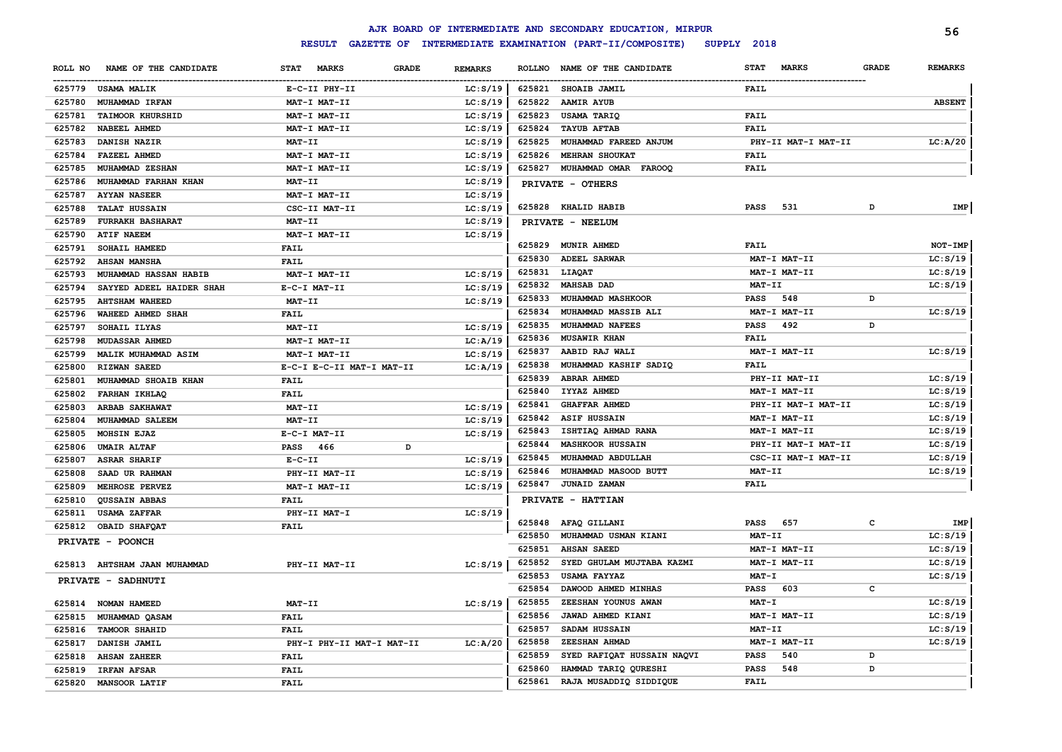|         |                              |                             |                           |                |        | AJK BOARD OF INTERMEDIATE AND SECONDARY EDUCATION, MIRPUR |                             |              | 56             |
|---------|------------------------------|-----------------------------|---------------------------|----------------|--------|-----------------------------------------------------------|-----------------------------|--------------|----------------|
|         |                              | <b>RESULT</b>               |                           |                |        | GAZETTE OF INTERMEDIATE EXAMINATION (PART-II/COMPOSITE)   | SUPPLY 2018                 |              |                |
| ROLL NO | NAME OF THE CANDIDATE        | <b>STAT</b><br><b>MARKS</b> | <b>GRADE</b>              | <b>REMARKS</b> |        | ROLLNO NAME OF THE CANDIDATE                              | <b>STAT</b><br><b>MARKS</b> | <b>GRADE</b> | <b>REMARKS</b> |
| 625779  | <b>USAMA MALIK</b>           | E-C-II PHY-II               |                           | LC: S/19       |        | 625821 SHOAIB JAMIL                                       | <b>FAIL</b>                 |              |                |
| 625780  | MUHAMMAD IRFAN               | MAT-I MAT-II                |                           | LC: S/19       | 625822 | <b>AAMIR AYUB</b>                                         |                             |              | <b>ABSENT</b>  |
| 625781  | <b>TAIMOOR KHURSHID</b>      | MAT-I MAT-II                |                           | LC: S/19       | 625823 | <b>USAMA TARIQ</b>                                        | <b>FAIL</b>                 |              |                |
| 625782  | <b>NABEEL AHMED</b>          | MAT-I MAT-II                |                           | LC: S/19       | 625824 | <b>TAYUB AFTAB</b>                                        | <b>FAIL</b>                 |              |                |
| 625783  | DANISH NAZIR                 | MAT-II                      |                           | LC: S/19       | 625825 | MUHAMMAD FAREED ANJUM                                     | PHY-II MAT-I MAT-II         |              | LC: A/20       |
| 625784  | <b>FAZEEL AHMED</b>          | MAT-I MAT-II                |                           | LC: S/19       | 625826 | MEHRAN SHOUKAT                                            | FAIL                        |              |                |
| 625785  | MUHAMMAD ZESHAN              | MAT-I MAT-II                |                           | LC: S/19       | 625827 | MUHAMMAD OMAR FAROOQ                                      | FAIL                        |              |                |
| 625786  | MUHAMMAD FARHAN KHAN         | MAT-II                      |                           | LC: S/19       |        | PRIVATE - OTHERS                                          |                             |              |                |
| 625787  | <b>AYYAN NASEER</b>          | MAT-I MAT-II                |                           | LC: S/19       |        |                                                           |                             |              |                |
| 625788  | <b>TALAT HUSSAIN</b>         | CSC-II MAT-II               |                           | LC: S/19       |        | 625828 KHALID HABIB                                       | <b>PASS</b><br>531          | D            | IMP            |
| 625789  | <b>FURRAKH BASHARAT</b>      | <b>MAT-II</b>               |                           | LC: S/19       |        | PRIVATE - NEELUM                                          |                             |              |                |
| 625790  | <b>ATIF NAEEM</b>            | MAT-I MAT-II                |                           | LC: S/19       |        |                                                           |                             |              |                |
| 625791  | SOHAIL HAMEED                | <b>FAIL</b>                 |                           |                |        | 625829 MUNIR AHMED                                        | <b>FAIL</b>                 |              | NOT-IMP        |
| 625792  | <b>AHSAN MANSHA</b>          | <b>FAIL</b>                 |                           |                | 625830 | <b>ADEEL SARWAR</b>                                       | MAT-I MAT-II                |              | LC: S/19       |
| 625793  | MUHAMMAD HASSAN HABIB        | MAT-I MAT-II                |                           | LC: S/19       | 625831 | LIAQAT                                                    | MAT-I MAT-II                |              | LC: S/19       |
| 625794  | SAYYED ADEEL HAIDER SHAH     | E-C-I MAT-II                |                           | LC: S/19       | 625832 | <b>MAHSAB DAD</b>                                         | MAT-II                      |              | LC: S/19       |
| 625795  | <b>AHTSHAM WAHEED</b>        | MAT-II                      |                           | LC: S/19       | 625833 | MUHAMMAD MASHKOOR                                         | 548<br><b>PASS</b>          | D            |                |
| 625796  | WAHEED AHMED SHAH            | <b>FAIL</b>                 |                           |                | 625834 | MUHAMMAD MASSIB ALI                                       | MAT-I MAT-II                |              | LC: S/19       |
| 625797  | SOHAIL ILYAS                 | MAT-II                      |                           | LC: S/19       | 625835 | MUHAMMAD NAFEES                                           | 492<br><b>PASS</b>          | D            |                |
| 625798  | MUDASSAR AHMED               | MAT-I MAT-II                |                           | LC:A/19        | 625836 | <b>MUSAWIR KHAN</b>                                       | FAIL                        |              |                |
| 625799  | MALIK MUHAMMAD ASIM          | MAT-I MAT-II                |                           | LC: S/19       | 625837 | AABID RAJ WALI                                            | MAT-I MAT-II                |              | LC: S/19       |
| 625800  | RIZWAN SAEED                 |                             | E-C-I E-C-II MAT-I MAT-II | LC:A/19        | 625838 | MUHAMMAD KASHIF SADIQ                                     | FAIL                        |              |                |
| 625801  | MUHAMMAD SHOAIB KHAN         | <b>FAIL</b>                 |                           |                | 625839 | ABRAR AHMED                                               | PHY-II MAT-II               |              | LC: S/19       |
| 625802  | FARHAN IKHLAQ                | <b>FAIL</b>                 |                           |                | 625840 | IYYAZ AHMED                                               | MAT-I MAT-II                |              | LC: S/19       |
| 625803  | <b>ARBAB SAKHAWAT</b>        | MAT-II                      |                           | LC: S/19       | 625841 | <b>GHAFFAR AHMED</b>                                      | PHY-II MAT-I MAT-II         |              | LC: S/19       |
| 625804  | MUHAMMAD SALEEM              | MAT-II                      |                           | LC: S/19       | 625842 | ASIF HUSSAIN                                              | MAT-I MAT-II                |              | LC: S/19       |
| 625805  | MOHSIN EJAZ                  | E-C-I MAT-II                |                           | LC: S/19       | 625843 | ISHTIAQ AHMAD RANA                                        | MAT-I MAT-II                |              | LC: S/19       |
| 625806  | <b>UMAIR ALTAF</b>           | PASS 466                    | D                         |                | 625844 | <b>MASHKOOR HUSSAIN</b>                                   | PHY-II MAT-I MAT-II         |              | LC: S/19       |
| 625807  | <b>ASRAR SHARIF</b>          | $E-C-II$                    |                           | LC: S/19       | 625845 | MUHAMMAD ABDULLAH                                         | CSC-II MAT-I MAT-II         |              | LC: S/19       |
| 625808  | SAAD UR RAHMAN               | PHY-II MAT-II               |                           | LC: S/19       | 625846 | MUHAMMAD MASOOD BUTT                                      | MAT-II                      |              | LC: S/19       |
| 625809  | MEHROSE PERVEZ               | MAT-I MAT-II                |                           | LC: S/19       | 625847 | <b>JUNAID ZAMAN</b>                                       | FAIL                        |              |                |
| 625810  | QUSSAIN ABBAS                | FAIL                        |                           |                |        | PRIVATE - HATTIAN                                         |                             |              |                |
| 625811  | <b>USAMA ZAFFAR</b>          | PHY-II MAT-I                |                           | LC: S/19       |        |                                                           |                             |              |                |
| 625812  | OBAID SHAFQAT                | FAIL                        |                           |                |        | 625848 AFAQ GILLANI                                       | <b>PASS</b> 657             | C            | IMP            |
|         |                              |                             |                           |                | 625850 | MUHAMMAD USMAN KIANI                                      | <b>MAT-II</b>               |              | LC: S/19       |
|         | PRIVATE - POONCH             |                             |                           |                | 625851 | <b>AHSAN SAEED</b>                                        | MAT-I MAT-II                |              | LC: S/19       |
|         | 625813 AHTSHAM JAAN MUHAMMAD | PHY-II MAT-II               |                           | LC: S/19       | 625852 | SYED GHULAM MUJTABA KAZMI                                 | MAT-I MAT-II                |              | LC: S/19       |
|         |                              |                             |                           |                | 625853 | <b>USAMA FAYYAZ</b>                                       | <b>MAT-I</b>                |              | LC: S/19       |
|         | PRIVATE - SADHNUTI           |                             |                           |                | 625854 | DAWOOD AHMED MINHAS                                       | <b>PASS</b><br>603          | с            |                |
|         | 625814 NOMAN HAMEED          | MAT-II                      |                           | LC: S/19       | 625855 | ZEESHAN YOUNUS AWAN                                       | <b>MAT-I</b>                |              | LC: S/19       |
| 625815  | <b>MUHAMMAD QASAM</b>        | FAIL                        |                           |                | 625856 | JAWAD AHMED KIANI                                         | MAT-I MAT-II                |              | LC: S/19       |
| 625816  | <b>TAMOOR SHAHID</b>         | FAIL                        |                           |                | 625857 | SADAM HUSSAIN                                             | MAT-II                      |              | LC: S/19       |
| 625817  | DANISH JAMIL                 |                             | PHY-I PHY-II MAT-I MAT-II | LC: A/20       | 625858 | <b>ZEESHAN AHMAD</b>                                      | MAT-I MAT-II                |              | LC: S/19       |
| 625818  | <b>AHSAN ZAHEER</b>          | FAIL                        |                           |                | 625859 | SYED RAFIQAT HUSSAIN NAQVI                                | PASS<br>540                 | D            |                |
| 625819  | <b>IRFAN AFSAR</b>           | FAIL                        |                           |                | 625860 | HAMMAD TARIQ QURESHI                                      | <b>PASS</b><br>548          | D            |                |
| 625820  | <b>MANSOOR LATIF</b>         | FAIL                        |                           |                | 625861 | RAJA MUSADDIQ SIDDIQUE                                    | FAIL                        |              |                |
|         |                              |                             |                           |                |        |                                                           |                             |              |                |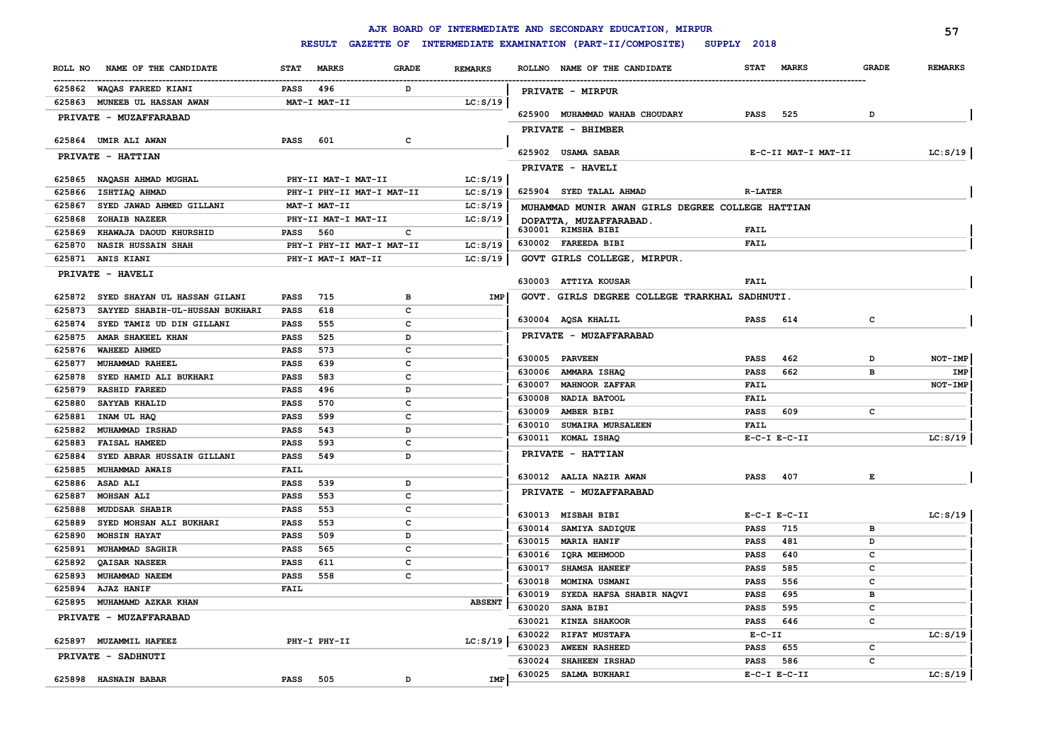|                  |                                              |                            |                           |              |                |                  | AJK BOARD OF INTERMEDIATE AND SECONDARY EDUCATION, MIRPUR                  |                         |                     |              | 57             |
|------------------|----------------------------------------------|----------------------------|---------------------------|--------------|----------------|------------------|----------------------------------------------------------------------------|-------------------------|---------------------|--------------|----------------|
|                  |                                              |                            | <b>RESULT</b>             |              |                |                  | GAZETTE OF INTERMEDIATE EXAMINATION (PART-II/COMPOSITE)<br>SUPPLY 2018     |                         |                     |              |                |
| ROLL NO          | NAME OF THE CANDIDATE                        | <b>STAT</b>                | <b>MARKS</b>              | <b>GRADE</b> | <b>REMARKS</b> |                  | ROLLNO NAME OF THE CANDIDATE                                               | <b>STAT</b>             | <b>MARKS</b>        | <b>GRADE</b> | <b>REMARKS</b> |
|                  | 625862 WAQAS FAREED KIANI                    | PASS                       | 496                       | D            |                |                  | PRIVATE - MIRPUR                                                           |                         |                     |              |                |
| 625863           | MUNEEB UL HASSAN AWAN                        |                            | MAT-I MAT-II              |              | LC: S/19       |                  |                                                                            |                         |                     |              |                |
|                  | PRIVATE - MUZAFFARABAD                       |                            |                           |              |                |                  | 625900 MUHAMMAD WAHAB CHOUDARY                                             | PASS                    | 525                 | D            |                |
|                  |                                              |                            |                           |              |                |                  | PRIVATE - BHIMBER                                                          |                         |                     |              |                |
|                  | 625864 UMIR ALI AWAN                         | <b>PASS</b>                | 601                       | C            |                |                  |                                                                            |                         |                     |              |                |
|                  | PRIVATE - HATTIAN                            |                            |                           |              |                |                  | 625902 USAMA SABAR                                                         |                         | E-C-II MAT-I MAT-II |              | LC: S/19       |
|                  | 625865 NAQASH AHMAD MUGHAL                   |                            | PHY-II MAT-I MAT-II       |              | LC: S/19       |                  | PRIVATE - HAVELI                                                           |                         |                     |              |                |
| 625866           | ISHTIAQ AHMAD                                |                            | PHY-I PHY-II MAT-I MAT-II |              | LC: S/19       |                  | 625904 SYED TALAL AHMAD                                                    | <b>R-LATER</b>          |                     |              |                |
| 625867           | SYED JAWAD AHMED GILLANI                     |                            | MAT-I MAT-II              |              | LC: S/19       |                  |                                                                            |                         |                     |              |                |
| 625868           | ZOHAIB NAZEER                                |                            | PHY-II MAT-I MAT-II       |              | LC: S/19       |                  | MUHAMMAD MUNIR AWAN GIRLS DEGREE COLLEGE HATTIAN<br>DOPATTA, MUZAFFARABAD. |                         |                     |              |                |
| 625869           | KHAWAJA DAOUD KHURSHID                       | PASS                       | 560                       | с            |                |                  | 630001 RIMSHA BIBI                                                         | <b>FAIL</b>             |                     |              |                |
| 625870           | <b>NASIR HUSSAIN SHAH</b>                    |                            | PHY-I PHY-II MAT-I MAT-II |              | LC: S/19       |                  | 630002 FAREEDA BIBI                                                        | <b>FAIL</b>             |                     |              |                |
| 625871           | <b>ANIS KIANI</b>                            |                            | PHY-I MAT-I MAT-II        |              | LC: S/19       |                  | GOVT GIRLS COLLEGE, MIRPUR.                                                |                         |                     |              |                |
|                  | PRIVATE - HAVELI                             |                            |                           |              |                |                  |                                                                            |                         |                     |              |                |
|                  |                                              |                            |                           |              |                |                  | 630003 ATTIYA KOUSAR                                                       | <b>FAIL</b>             |                     |              |                |
| 625872           | SYED SHAYAN UL HASSAN GILANI                 | <b>PASS</b>                | 715                       | $\mathbf{B}$ | IMP            |                  | GOVT. GIRLS DEGREE COLLEGE TRARKHAL SADHNUTI.                              |                         |                     |              |                |
| 625873           | SAYYED SHABIH-UL-HUSSAN BUKHARI              | <b>PASS</b>                | 618                       | c            |                |                  |                                                                            |                         |                     |              |                |
| 625874           | SYED TAMIZ UD DIN GILLANI                    | <b>PASS</b>                | 555                       | c            |                |                  | 630004 AQSA KHALIL                                                         | <b>PASS</b>             | 614                 | $\mathbf{C}$ |                |
| 625875           | AMAR SHAKEEL KHAN                            | <b>PASS</b>                | 525                       | D            |                |                  | PRIVATE - MUZAFFARABAD                                                     |                         |                     |              |                |
| 625876           | <b>WAHEED AHMED</b>                          | <b>PASS</b>                | 573                       | $\mathbf{C}$ |                | 630005           | <b>PARVEEN</b>                                                             | <b>PASS</b>             | 462                 | D            | NOT-IMP        |
| 625877           | MUHAMMAD RAHEEL                              | <b>PASS</b>                | 639                       | $\mathbf{C}$ |                |                  | 630006 AMMARA ISHAQ                                                        | <b>PASS</b>             | 662                 | B            | IMP            |
| 625878           | SYED HAMID ALI BUKHARI                       | <b>PASS</b>                | 583                       | $\mathbf{C}$ |                | 630007           | <b>MAHNOOR ZAFFAR</b>                                                      | <b>FAIL</b>             |                     |              | NOT-IMP        |
| 625879           | <b>RASHID FAREED</b>                         | PASS                       | 496                       | D            |                | 630008           | NADIA BATOOL                                                               | <b>FAIL</b>             |                     |              |                |
| 625880           | SAYYAB KHALID                                | PASS                       | 570                       | $\mathbf{C}$ |                | 630009           | AMBER BIBI                                                                 | <b>PASS</b>             | 609                 | c            |                |
| 625881           | INAM UL HAQ                                  | <b>PASS</b>                | 599                       | $\mathbf{C}$ |                | 630010           | <b>SUMAIRA MURSALEEN</b>                                                   | <b>FAIL</b>             |                     |              |                |
| 625882           | MUHAMMAD IRSHAD                              | PASS                       | 543                       | D            |                |                  | 630011 KOMAL ISHAQ                                                         |                         | $E-C-I$ $E-C-II$    |              | LC: S/19       |
| 625883           | <b>FAISAL HAMEED</b>                         | <b>PASS</b>                | 593                       | $\mathbf{C}$ |                |                  | PRIVATE - HATTIAN                                                          |                         |                     |              |                |
| 625884           | SYED ABRAR HUSSAIN GILLANI<br>MUHAMMAD AWAIS | PASS                       | 549                       | D            |                |                  |                                                                            |                         |                     |              |                |
| 625885<br>625886 | ASAD ALI                                     | <b>FAIL</b><br><b>PASS</b> | 539                       | D            |                |                  | 630012 AALIA NAZIR AWAN                                                    | <b>PASS</b>             | 407                 | E            |                |
| 625887           | MOHSAN ALI                                   | PASS                       | 553                       | c            |                |                  | PRIVATE - MUZAFFARABAD                                                     |                         |                     |              |                |
| 625888           | <b>MUDDSAR SHABIR</b>                        | PASS                       | 553                       | c            |                |                  |                                                                            |                         |                     |              |                |
| 625889           | SYED MOHSAN ALI BUKHARI                      | PASS                       | 553                       | c            |                |                  | 630013 MISBAH BIBI                                                         |                         | $E-C-I$ $E-C-II$    |              | LC: S/19       |
| 625890           | <b>MOHSIN HAYAT</b>                          | PASS                       | 509                       | D            |                |                  | 630014 SAMIYA SADIQUE                                                      | <b>PASS</b>             | 715                 | в            |                |
| 625891           | MUHAMMAD SAGHIR                              | <b>PASS</b>                | 565                       | c            |                | 630015           | <b>MARIA HANIF</b>                                                         | <b>PASS</b>             | 481                 | D            |                |
| 625892           | QAISAR NASEER                                | <b>PASS</b>                | 611                       | c            |                | 630016           | IQRA MEHMOOD                                                               | <b>PASS</b>             | 640                 | c            |                |
| 625893           | MUHAMMAD NAEEM                               | <b>PASS</b>                | 558                       | c            |                | 630017           | <b>SHAMSA HANEEF</b>                                                       | <b>PASS</b>             | 585                 | C            |                |
| 625894           | <b>AJAZ HANIF</b>                            | <b>FAIL</b>                |                           |              |                | 630018           | MOMINA USMANI                                                              | <b>PASS</b>             | 556                 | $\mathbf{C}$ |                |
| 625895           | MUHAMAMD AZKAR KHAN                          |                            |                           |              | <b>ABSENT</b>  | 630019           | SYEDA HAFSA SHABIR NAQVI                                                   | <b>PASS</b>             | 695                 | в            |                |
|                  | PRIVATE - MUZAFFARABAD                       |                            |                           |              |                | 630020           | SANA BIBI                                                                  | <b>PASS</b>             | 595                 | $\mathbf{C}$ |                |
|                  |                                              |                            |                           |              |                | 630021<br>630022 | KINZA SHAKOOR                                                              | <b>PASS</b><br>$E-C-II$ | 646                 | $\mathbf{C}$ | LC: S/19       |
| 625897           | MUZAMMIL HAFEEZ                              |                            | PHY-I PHY-II              |              | LC: S/19       | 630023           | <b>RIFAT MUSTAFA</b><br><b>AWEEN RASHEED</b>                               | <b>PASS</b>             | 655                 | c            |                |
|                  | PRIVATE - SADHNUTI                           |                            |                           |              |                | 630024           | SHAHEEN IRSHAD                                                             | <b>PASS</b>             | 586                 | C            |                |
|                  |                                              |                            |                           |              |                | 630025           | SALMA BUKHARI                                                              |                         | $E-C-I$ $E-C-II$    |              | LC: S/19       |
|                  | 625898 HASNAIN BABAR                         | <b>PASS</b>                | 505                       | D            | <b>IMP</b>     |                  |                                                                            |                         |                     |              |                |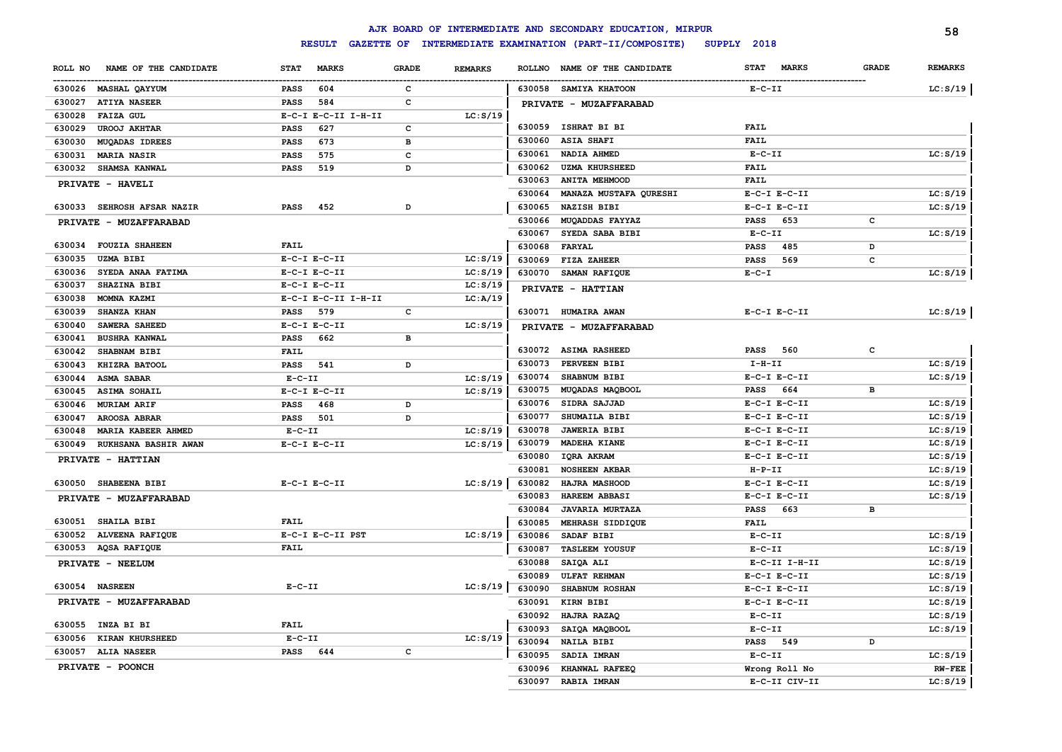|                                  |                             |              |                |               | AJK BOARD OF INTERMEDIATE AND SECONDARY EDUCATION, MIRPUR |                             |              | 58             |
|----------------------------------|-----------------------------|--------------|----------------|---------------|-----------------------------------------------------------|-----------------------------|--------------|----------------|
|                                  | <b>RESULT</b>               |              |                |               | GAZETTE OF INTERMEDIATE EXAMINATION (PART-II/COMPOSITE)   | SUPPLY 2018                 |              |                |
| NAME OF THE CANDIDATE<br>ROLL NO | <b>STAT</b><br><b>MARKS</b> | <b>GRADE</b> | <b>REMARKS</b> | <b>ROLLNO</b> | NAME OF THE CANDIDATE                                     | <b>STAT</b><br><b>MARKS</b> | <b>GRADE</b> | <b>REMARKS</b> |
| 630026 MASHAL QAYYUM             | 604<br><b>PASS</b>          | $\mathbf{C}$ |                |               | 630058 SAMIYA KHATOON                                     | $E- C- II$                  |              | LC: S/19       |
| 630027<br><b>ATIYA NASEER</b>    | 584<br><b>PASS</b>          | $\mathbf c$  |                |               | PRIVATE - MUZAFFARABAD                                    |                             |              |                |
| 630028<br><b>FAIZA GUL</b>       | E-C-I E-C-II I-H-II         |              | LC: S/19       |               |                                                           |                             |              |                |
| 630029<br><b>UROOJ AKHTAR</b>    | 627<br><b>PASS</b>          | c            |                |               | 630059 ISHRAT BI BI                                       | FAIL                        |              |                |
| 630030<br><b>MUQADAS IDREES</b>  | 673<br><b>PASS</b>          | в            |                | 630060        | <b>ASIA SHAFI</b>                                         | FAIL                        |              |                |
| 630031<br><b>MARIA NASIR</b>     | 575<br><b>PASS</b>          | c            |                | 630061        | NADIA AHMED                                               | $E-C-II$                    |              | LC: S/19       |
| 630032<br><b>SHAMSA KANWAL</b>   | 519<br><b>PASS</b>          | D            |                | 630062        | <b>UZMA KHURSHEED</b>                                     | <b>FAIL</b>                 |              |                |
| PRIVATE - HAVELI                 |                             |              |                | 630063        | <b>ANITA MEHMOOD</b>                                      | <b>FAIL</b>                 |              |                |
|                                  |                             |              |                | 630064        | MANAZA MUSTAFA QURESHI                                    | $E-C-I$ $E-C-II$            |              | LC: S/19       |
| 630033 SEHROSH AFSAR NAZIR       | <b>PASS</b><br>452          | D            |                | 630065        | <b>NAZISH BIBI</b>                                        | $E-C-I$ $E-C-II$            |              | LC: S/19       |
| PRIVATE - MUZAFFARABAD           |                             |              |                | 630066        | MUQADDAS FAYYAZ                                           | 653<br>PASS                 | c            |                |
|                                  |                             |              |                | 630067        | SYEDA SABA BIBI                                           | $E-C-II$                    |              | LC: S/19       |
| 630034 FOUZIA SHAHEEN            | FAIL                        |              |                | 630068        | FARYAL                                                    | 485<br><b>PASS</b>          | D            |                |
| 630035<br><b>UZMA BIBI</b>       | $E-C-I$ $E-C-II$            |              | LC: S/19       | 630069        | FIZA ZAHEER                                               | 569<br><b>PASS</b>          | $\mathbf{C}$ |                |
| SYEDA ANAA FATIMA<br>630036      | $E-C-I$ $E-C-II$            |              | LC: S/19       |               | 630070 SAMAN RAFIQUE                                      | $E - C - I$                 |              | LC: S/19       |
| 630037<br>SHAZINA BIBI           | $E-C-I$ $E-C-II$            |              | LC: S/19       |               | PRIVATE - HATTIAN                                         |                             |              |                |
| 630038<br>MOMNA KAZMI            | E-C-I E-C-II I-H-II         |              | LC: A/19       |               |                                                           |                             |              |                |
| 630039<br><b>SHANZA KHAN</b>     | <b>PASS</b><br>579          | c            |                |               | 630071 HUMAIRA AWAN                                       | $E-C-I$ $E-C-II$            |              | LC: S/19       |
| 630040<br>SAWERA SAHEED          | $E-C-I$ $E-C-II$            |              | LC: S/19       |               | PRIVATE - MUZAFFARABAD                                    |                             |              |                |
| 630041<br><b>BUSHRA KANWAL</b>   | 662<br>PASS                 | в            |                |               |                                                           |                             |              |                |
| 630042<br>SHABNAM BIBI           | <b>FAIL</b>                 |              |                |               | 630072 ASIMA RASHEED                                      | <b>PASS</b><br>560          | c            |                |
| 630043<br>KHIZRA BATOOL          | PASS<br>541                 | D            |                | 630073        | PERVEEN BIBI                                              | $I-H-II$                    |              | LC: S/19       |
| 630044<br><b>ASMA SABAR</b>      | $E- C- II$                  |              | LC: S/19       | 630074        | SHABNUM BIBI                                              | $E-C-I$ $E-C-II$            |              | LC: S/19       |
| 630045<br><b>ASIMA SOHAIL</b>    | $E-C-I$ $E-C-II$            |              | LC: S/19       | 630075        | MUQADAS MAQBOOL                                           | 664<br><b>PASS</b>          | в            |                |
| 630046<br>MURIAM ARIF            | <b>PASS</b><br>468          | D            |                | 630076        | SIDRA SAJJAD                                              | $E-C-I$ $E-C-II$            |              | LC: S/19       |
| 630047<br><b>AROOSA ABRAR</b>    | <b>PASS</b><br>501          | D            |                | 630077        | SHUMAILA BIBI                                             | $E-C-I$ $E-C-II$            |              | LC: S/19       |
| MARIA KABEER AHMED<br>630048     | $E-C-II$                    |              | LC: S/19       | 630078        | <b>JAWERIA BIBI</b>                                       | $E-C-I$ $E-C-II$            |              | LC: S/19       |
| 630049<br>RUKHSANA BASHIR AWAN   | $E-C-I$ $E-C-II$            |              | LC: S/19       | 630079        | MADEHA KIANE                                              | $E-C-I$ $E-C-II$            |              | LC: S/19       |
| PRIVATE - HATTIAN                |                             |              |                | 630080        | IQRA AKRAM                                                | $E-C-I$ $E-C-II$            |              | LC: S/19       |
|                                  |                             |              |                | 630081        | <b>NOSHEEN AKBAR</b>                                      | $H-P-TI$                    |              | LC: S/19       |
| 630050 SHABEENA BIBI             | $E-C-I$ $E-C-II$            |              | LC: S/19       | 630082        | HAJRA MASHOOD                                             | $E-C-I$ $E-C-II$            |              | LC: S/19       |
| PRIVATE - MUZAFFARABAD           |                             |              |                | 630083        | HAREEM ABBASI                                             | $E-C-I$ $E-C-II$            |              | LC: S/19       |
|                                  |                             |              |                | 630084        | <b>JAVARIA MURTAZA</b>                                    | 663<br><b>PASS</b>          | в            |                |
| 630051<br><b>SHAILA BIBI</b>     | FAIL                        |              |                | 630085        | MEHRASH SIDDIQUE                                          | <b>FAIL</b>                 |              |                |
| 630052 ALVEENA RAFIQUE           | E-C-I E-C-II PST            |              | LC: S/19       | 630086        | SADAF BIBI                                                | $E-C-II$                    |              | LC: S/19       |
| 630053 AQSA RAFIQUE              | <b>FAIL</b>                 |              |                | 630087        | <b>TASLEEM YOUSUF</b>                                     | $E- C- II$                  |              | LC: S/19       |
| PRIVATE - NEELUM                 |                             |              |                | 630088        | SAIQA ALI                                                 | E-C-II I-H-II               |              | LC: S/19       |
|                                  |                             |              |                | 630089        | <b>ULFAT REHMAN</b>                                       | $E-C-I$ $E-C-II$            |              | LC: S/19       |
| 630054 NASREEN                   | $E-C-II$                    |              | LC: S/19       | 630090        | SHABNUM ROSHAN                                            | $E-C-I$ $E-C-II$            |              | LC: S/19       |
| PRIVATE - MUZAFFARABAD           |                             |              |                | 630091        | KIRN BIBI                                                 | $E-C-I$ $E-C-II$            |              | LC: S/19       |
|                                  |                             |              |                | 630092        | HAJRA RAZAQ                                               | $E- C- II$                  |              | LC: S/19       |
| 630055<br>INZA BI BI             | <b>FAIL</b>                 |              |                | 630093        | SAIQA MAQBOOL                                             | $E - C - II$                |              | LC: S/19       |
| KIRAN KHURSHEED<br>630056        | $E-C-II$                    |              | LC: S/19       | 630094        | <b>NAILA BIBI</b>                                         | 549<br><b>PASS</b>          | D            |                |
| 630057 ALIA NASEER               | <b>PASS</b><br>644          | $\mathbf c$  |                | 630095        | SADIA IMRAN                                               | $E-C-II$                    |              | LC: S/19       |
| PRIVATE - POONCH                 |                             |              |                | 630096        | KHANWAL RAFEEQ                                            | Wrong Roll No               |              | <b>RW-FEE</b>  |
|                                  |                             |              |                | 630097        | <b>RABIA IMRAN</b>                                        | E-C-II CIV-II               |              | LC: S/19       |
|                                  |                             |              |                |               |                                                           |                             |              |                |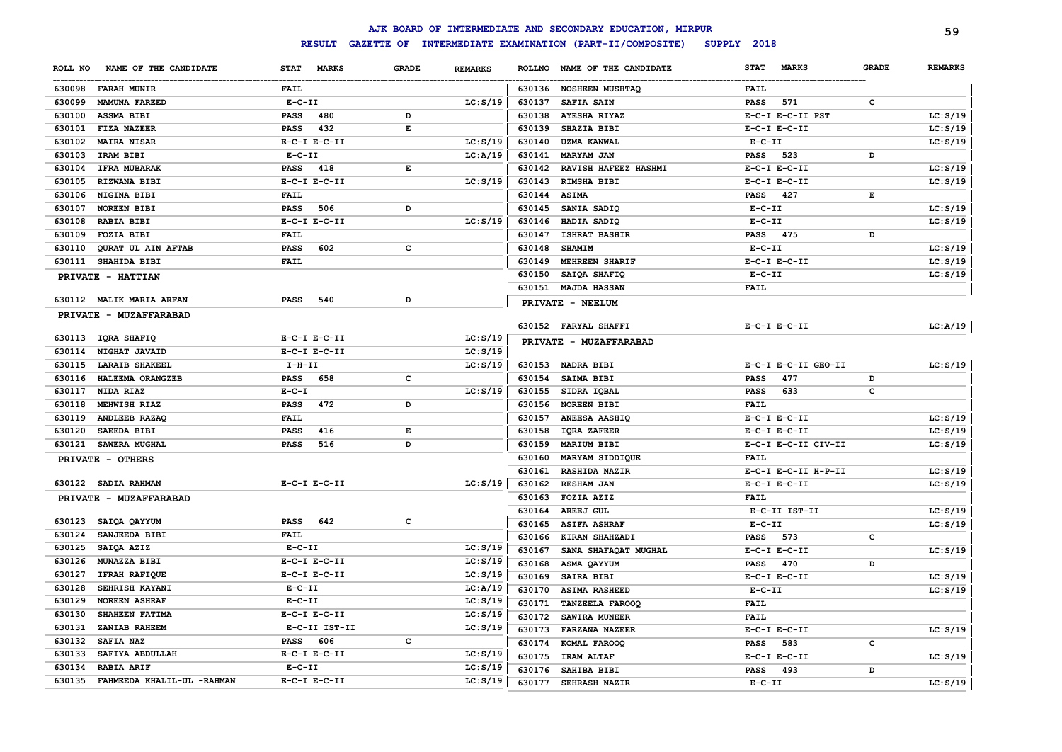|         |                                   |                             |                                |          |               | AJK BOARD OF INTERMEDIATE AND SECONDARY EDUCATION, MIRPUR |                             |                                                                                                | 59             |
|---------|-----------------------------------|-----------------------------|--------------------------------|----------|---------------|-----------------------------------------------------------|-----------------------------|------------------------------------------------------------------------------------------------|----------------|
|         |                                   | <b>RESULT</b>               |                                |          |               | GAZETTE OF INTERMEDIATE EXAMINATION (PART-II/COMPOSITE)   | SUPPLY 2018                 |                                                                                                |                |
| ROLL NO | NAME OF THE CANDIDATE             | <b>STAT</b><br><b>MARKS</b> | <b>GRADE</b><br><b>REMARKS</b> |          | <b>ROLLNO</b> | NAME OF THE CANDIDATE                                     | <b>STAT</b><br><b>MARKS</b> | <b>GRADE</b>                                                                                   | <b>REMARKS</b> |
|         | 630098 FARAH MUNIR                | FAIL                        |                                |          |               | 630136 NOSHEEN MUSHTAQ                                    | <b>FAIL</b>                 |                                                                                                |                |
| 630099  | <b>MAMUNA FAREED</b>              | $E-C-II$                    |                                | LC: S/19 | 630137        | <b>SAFIA SAIN</b>                                         | 571<br><b>PASS</b>          | $\mathbf{C}$                                                                                   |                |
|         | 630100 ASSMA BIBI                 | <b>PASS</b><br>480          | D                              |          | 630138        | <b>AYESHA RIYAZ</b>                                       | E-C-I E-C-II PST            |                                                                                                | LC: S/19       |
| 630101  | FIZA NAZEER                       | 432<br><b>PASS</b>          | $\mathbf E$                    |          | 630139        | SHAZIA BIBI                                               | $E-C-I$ $E-C-II$            |                                                                                                | LC: S/19       |
|         | 630102 MAIRA NISAR                | $E-C-I$ $E-C-II$            |                                | LC: S/19 | 630140        | <b>UZMA KANWAL</b>                                        | $E-C-II$                    |                                                                                                | LC: S/19       |
| 630103  | IRAM BIBI                         | $E-C-II$                    |                                | LC:A/19  | 630141        | <b>MARYAM JAN</b>                                         | 523<br><b>PASS</b>          | D                                                                                              |                |
|         | 630104 IFRA MUBARAK               | 418<br><b>PASS</b>          | $\mathbf E$                    |          |               | 630142 RAVISH HAFEEZ HASHMI                               | $E-C-I$ $E-C-II$            |                                                                                                | LC: S/19       |
| 630105  | RIZWANA BIBI                      | $E-C-I$ $E-C-II$            |                                | LC: S/19 | 630143        | RIMSHA BIBI                                               | $E-C-I$ $E-C-II$            |                                                                                                | LC: S/19       |
|         | 630106 NIGINA BIBI                | FAIL                        |                                |          | 630144        | <b>ASIMA</b>                                              | 427<br><b>PASS</b>          | $\mathbf{E}% _{t}\left  \mathbf{1}\right\rangle =\mathbf{1}_{t}\left  \mathbf{1}\right\rangle$ |                |
| 630107  | <b>NOREEN BIBI</b>                | 506<br><b>PASS</b>          | D                              |          | 630145        | SANIA SADIQ                                               | $E-C-II$                    |                                                                                                | LC: S/19       |
|         | 630108 RABIA BIBI                 | $E-C-I$ $E-C-II$            |                                | LC: S/19 | 630146        | HADIA SADIQ                                               | $E-C-II$                    |                                                                                                | LC: S/19       |
| 630109  | <b>FOZIA BIBI</b>                 | FAIL                        |                                |          | 630147        | <b>ISHRAT BASHIR</b>                                      | PASS 475                    | D                                                                                              |                |
| 630110  | QURAT UL AIN AFTAB                | 602<br><b>PASS</b>          | c                              |          | 630148        | <b>SHAMIM</b>                                             | $E-C-II$                    |                                                                                                | LC: S/19       |
|         | 630111 SHAHIDA BIBI               | FAIL                        |                                |          | 630149        | MEHREEN SHARIF                                            | $E-C-I$ $E-C-II$            |                                                                                                | LC: S/19       |
|         | PRIVATE - HATTIAN                 |                             |                                |          | 630150        | SAIQA SHAFIQ                                              | $E - C - II$                |                                                                                                | LC: S/19       |
|         |                                   |                             |                                |          |               | 630151 MAJDA HASSAN                                       | FAIL                        |                                                                                                |                |
|         | 630112 MALIK MARIA ARFAN          | 540<br><b>PASS</b>          | D                              |          |               | PRIVATE - NEELUM                                          |                             |                                                                                                |                |
|         | PRIVATE - MUZAFFARABAD            |                             |                                |          |               |                                                           |                             |                                                                                                |                |
|         |                                   |                             |                                |          |               | 630152 FARYAL SHAFFI                                      | $E-C-I$ $E-C-II$            |                                                                                                | LC:A/19        |
|         | 630113 IQRA SHAFIQ                | $E-C-I$ $E-C-II$            |                                | LC: S/19 |               | PRIVATE - MUZAFFARABAD                                    |                             |                                                                                                |                |
|         | 630114 NIGHAT JAVAID              | $E-C-I$ $E-C-II$            | LC: S/19                       |          |               |                                                           |                             |                                                                                                |                |
| 630115  | <b>LARAIB SHAKEEL</b>             | $I-H-II$                    |                                | LC: S/19 |               | 630153 NADRA BIBI                                         | E-C-I E-C-II GEO-II         |                                                                                                | LC: S/19       |
| 630116  | HALEEMA ORANGZEB                  | PASS<br>658                 | c                              |          | 630154        | <b>SAIMA BIBI</b>                                         | 477<br><b>PASS</b>          | D                                                                                              |                |
| 630117  | NIDA RIAZ                         | $E-C-I$                     |                                | LC: S/19 |               | 630155 SIDRA IQBAL                                        | 633<br><b>PASS</b>          | c                                                                                              |                |
| 630118  | <b>MEHWISH RIAZ</b>               | 472<br><b>PASS</b>          | D                              |          |               | 630156 NOREEN BIBI                                        | FAIL                        |                                                                                                |                |
| 630119  | <b>ANDLEEB RAZAQ</b>              | FAIL                        |                                |          |               | 630157 ANEESA AASHIQ                                      | $E-C-I$ $E-C-II$            |                                                                                                | LC: S/19       |
| 630120  | SAEEDA BIBI                       | 416<br><b>PASS</b>          | $\mathbf E$                    |          | 630158        | <b>IQRA ZAFEER</b>                                        | $E-C-I$ $E-C-II$            |                                                                                                | LC: S/19       |
|         | 630121 SAWERA MUGHAL              | <b>PASS</b><br>516          | D                              |          | 630159        | <b>MARIUM BIBI</b>                                        | E-C-I E-C-II CIV-II         |                                                                                                | LC: S/19       |
|         | PRIVATE - OTHERS                  |                             |                                |          | 630160        | MARYAM SIDDIQUE                                           | FAIL                        |                                                                                                |                |
|         |                                   |                             |                                |          | 630161        | <b>RASHIDA NAZIR</b>                                      | E-C-I E-C-II H-P-II         |                                                                                                | LC: S/19       |
|         | 630122 SADIA RAHMAN               | $E-C-I$ $E-C-II$            |                                | LC: S/19 | 630162        | <b>RESHAM JAN</b>                                         | $E-C-I$ $E-C-II$            |                                                                                                | LC: S/19       |
|         | PRIVATE - MUZAFFARABAD            |                             |                                |          | 630163        | <b>FOZIA AZIZ</b>                                         | <b>FAIL</b>                 |                                                                                                |                |
|         |                                   |                             |                                |          | 630164        | <b>AREEJ GUL</b>                                          | E-C-II IST-II               |                                                                                                | LC: S/19       |
|         | 630123 SAIQA QAYYUM               | <b>PASS</b><br>642          | $\mathbf{C}$                   |          | 630165        | <b>ASIFA ASHRAF</b>                                       | $E - C - II$                |                                                                                                | LC: S/19       |
|         | 630124 SANJEEDA BIBI              | <b>FAIL</b>                 |                                |          | 630166        | <b>KIRAN SHAHZADI</b>                                     | 573<br><b>PASS</b>          | c                                                                                              |                |
|         | 630125 SAIQA AZIZ                 | $E-C-II$                    | LC: S/19                       |          | 630167        | SANA SHAFAQAT MUGHAL                                      | $E-C-I$ $E-C-II$            |                                                                                                | LC: S/19       |
|         | 630126 MUNAZZA BIBI               | $E-C-I$ $E-C-II$            | LC: S/19                       |          | 630168        | ASMA QAYYUM                                               | 470<br><b>PASS</b>          | D                                                                                              |                |
|         | 630127 IFRAH RAFIQUE              | $E-C-I$ $E-C-II$            | LC: S/19                       |          | 630169        | <b>SAIRA BIBI</b>                                         | $E-C-I$ $E-C-II$            |                                                                                                | LC: S/19       |
| 630128  | <b>SEHRISH KAYANI</b>             | $E-C-II$                    | LC:A/19                        |          | 630170        | <b>ASIMA RASHEED</b>                                      | $E - C - II$                |                                                                                                | LC: S/19       |
| 630129  | <b>NOREEN ASHRAF</b>              | $E-C-II$                    | LC: S/19                       |          | 630171        | <b>TANZEELA FAROOQ</b>                                    | <b>FAIL</b>                 |                                                                                                |                |
| 630130  | <b>SHAHEEN FATIMA</b>             | $E-C-I$ $E-C-II$            | LC: S/19                       |          | 630172        | <b>SAWIRA MUNEER</b>                                      | <b>FAIL</b>                 |                                                                                                |                |
| 630131  | <b>ZANIAB RAHEEM</b>              | E-C-II IST-II               |                                | LC: S/19 | 630173        | <b>FARZANA NAZEER</b>                                     | $E-C-I$ $E-C-II$            |                                                                                                | LC: S/19       |
|         | 630132 SAFIA NAZ                  | PASS 606                    | c                              |          | 630174        | KOMAL FAROOQ                                              | 583<br><b>PASS</b>          | c                                                                                              |                |
| 630133  | SAFIYA ABDULLAH                   | $E-C-I$ $E-C-II$            | LC: S/19                       |          | 630175        | <b>IRAM ALTAF</b>                                         | $E-C-I$ $E-C-II$            |                                                                                                | LC: S/19       |
|         | 630134 RABIA ARIF                 | $E-C-II$                    | LC: S/19                       |          | 630176        | SAHIBA BIBI                                               | 493<br><b>PASS</b>          | D                                                                                              |                |
|         | 630135 FAHMEEDA KHALIL-UL -RAHMAN | $E-C-I$ $E-C-II$            |                                | LC: S/19 | 630177        | <b>SEHRASH NAZIR</b>                                      | $E - C - II$                |                                                                                                | LC: S/19       |
|         |                                   |                             |                                |          |               |                                                           |                             |                                                                                                |                |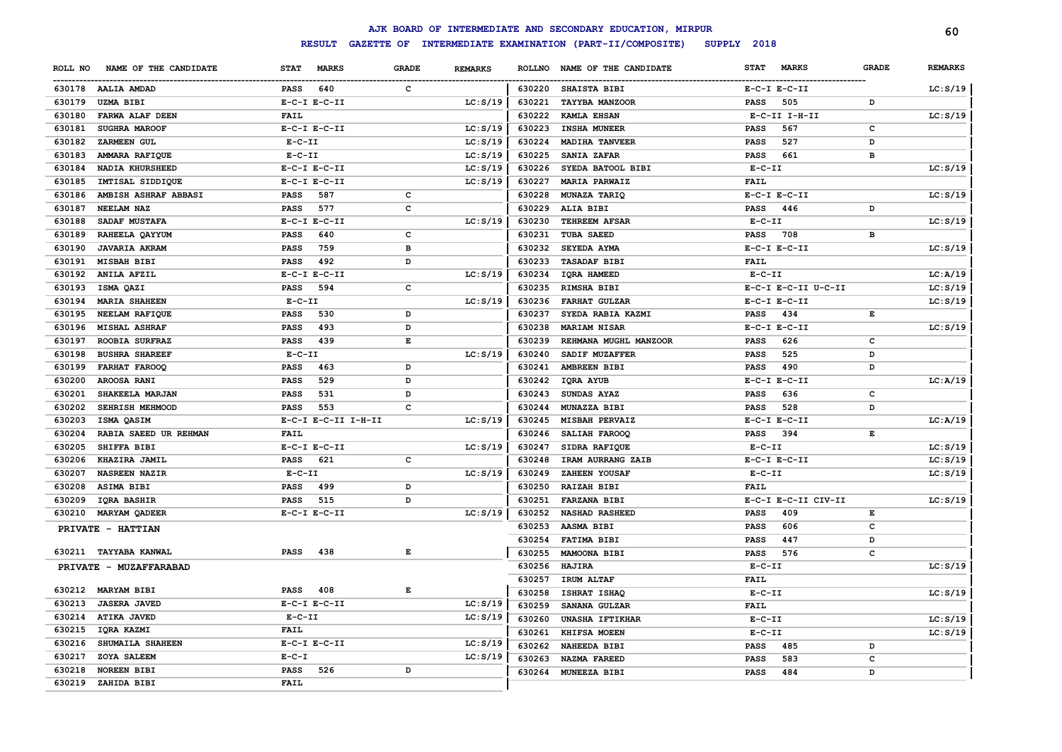|         |                        |                  |                     |              |                |               | AJK BOARD OF INTERMEDIATE AND SECONDARY EDUCATION, MIRPUR |             |                     |              | 60             |
|---------|------------------------|------------------|---------------------|--------------|----------------|---------------|-----------------------------------------------------------|-------------|---------------------|--------------|----------------|
|         |                        |                  | <b>RESULT</b>       |              |                |               | GAZETTE OF INTERMEDIATE EXAMINATION (PART-II/COMPOSITE)   | SUPPLY 2018 |                     |              |                |
| ROLL NO | NAME OF THE CANDIDATE  | <b>STAT</b>      | <b>MARKS</b>        | <b>GRADE</b> | <b>REMARKS</b> | <b>ROLLNO</b> | NAME OF THE CANDIDATE                                     | <b>STAT</b> | <b>MARKS</b>        | <b>GRADE</b> | <b>REMARKS</b> |
|         | 630178 AALIA AMDAD     | <b>PASS</b>      | 640                 | $\mathbf{C}$ |                | 630220        | SHAISTA BIBI                                              |             | $E-C-I$ $E-C-II$    |              | LC: S/19       |
| 630179  | <b>UZMA BIBI</b>       | $E-C-I$ $E-C-II$ |                     |              | LC: S/19       | 630221        | TAYYBA MANZOOR                                            | <b>PASS</b> | 505                 | D            |                |
| 630180  | FARWA ALAF DEEN        | <b>FAIL</b>      |                     |              |                | 630222        | <b>KAMLA EHSAN</b>                                        |             | E-C-II I-H-II       |              | LC: S/19       |
| 630181  | <b>SUGHRA MAROOF</b>   | $E-C-I$ $E-C-II$ |                     |              | LC: S/19       | 630223        | <b>INSHA MUNEER</b>                                       | <b>PASS</b> | 567                 | $\mathbf c$  |                |
| 630182  | ZARMEEN GUL            | $E-C-II$         |                     |              | LC: S/19       | 630224        | <b>MADIHA TANVEER</b>                                     | <b>PASS</b> | 527                 | D            |                |
| 630183  | AMMARA RAFIQUE         | $E-C-II$         |                     |              | LC: S/19       | 630225        | SANIA ZAFAR                                               | <b>PASS</b> | 661                 | в            |                |
| 630184  | <b>NADIA KHURSHEED</b> | $E-C-I$ $E-C-II$ |                     |              | LC: S/19       | 630226        | SYEDA BATOOL BIBI                                         | $E-C-II$    |                     |              | LC: S/19       |
| 630185  | IMTISAL SIDDIQUE       | $E-C-I$ $E-C-II$ |                     |              | LC: S/19       | 630227        | <b>MARIA PARWAIZ</b>                                      | <b>FAIL</b> |                     |              |                |
| 630186  | AMBISH ASHRAF ABBASI   | <b>PASS</b>      | 587                 | $\mathbf c$  |                | 630228        | MUNAZA TARIQ                                              |             | $E-C-I$ $E-C-II$    |              | LC: S/19       |
| 630187  | NEELAM NAZ             | PASS             | 577                 | c            |                | 630229        | ALIA BIBI                                                 | PASS        | 446                 | D            |                |
| 630188  | SADAF MUSTAFA          | $E-C-I$ $E-C-II$ |                     |              | LC: S/19       | 630230        | <b>TEHREEM AFSAR</b>                                      | $E-C-II$    |                     |              | LC: S/19       |
| 630189  | RAHEELA QAYYUM         | <b>PASS</b>      | 640                 | c            |                | 630231        | TUBA SAEED                                                | PASS        | 708                 | в            |                |
| 630190  | <b>JAVARIA AKRAM</b>   | <b>PASS</b>      | 759                 | в            |                | 630232        | SEYEDA AYMA                                               |             | $E-C-I$ $E-C-II$    |              | LC: S/19       |
| 630191  | <b>MISBAH BIBI</b>     | <b>PASS</b>      | 492                 | D            |                | 630233        | <b>TASADAF BIBI</b>                                       | FAIL        |                     |              |                |
| 630192  | ANILA AFZIL            | $E-C-I$ $E-C-II$ |                     |              | LC: S/19       | 630234        | IQRA HAMEED                                               | $E-C-II$    |                     |              | LC: A/19       |
| 630193  | ISMA QAZI              | PASS             | 594                 | c            |                | 630235        | RIMSHA BIBI                                               |             | E-C-I E-C-II U-C-II |              | LC: S/19       |
| 630194  | <b>MARIA SHAHEEN</b>   | $E-C-II$         |                     |              | LC: S/19       | 630236        | <b>FARHAT GULZAR</b>                                      |             | $E-C-I$ $E-C-II$    |              | LC: S/19       |
| 630195  | <b>NEELAM RAFIQUE</b>  | <b>PASS</b>      | 530                 | D            |                | 630237        | SYEDA RABIA KAZMI                                         | PASS        | 434                 | E            |                |
| 630196  | <b>MISHAL ASHRAF</b>   | <b>PASS</b>      | 493                 | D            |                | 630238        | <b>MARIAM NISAR</b>                                       |             | $E-C-I$ $E-C-II$    |              | LC: S/19       |
| 630197  | ROOBIA SURFRAZ         | PASS             | 439                 | Е            |                | 630239        | REHMANA MUGHL MANZOOR                                     | PASS        | 626                 | c            |                |
| 630198  | <b>BUSHRA SHAREEF</b>  | $E-C-II$         |                     |              | LC: S/19       | 630240        | SADIF MUZAFFER                                            | <b>PASS</b> | 525                 | D            |                |
| 630199  | <b>FARHAT FAROOQ</b>   | <b>PASS</b>      | 463                 | D            |                | 630241        | AMBREEN BIBI                                              | PASS        | 490                 | D            |                |
| 630200  | AROOSA RANI            | <b>PASS</b>      | 529                 | D            |                | 630242        | IQRA AYUB                                                 |             | $E-C-I$ $E-C-II$    |              | LC: A/19       |
| 630201  | SHAKEELA MARJAN        | <b>PASS</b>      | 531                 | D            |                | 630243        | SUNDAS AYAZ                                               | PASS        | 636                 | с            |                |
| 630202  | SEHRISH MEHMOOD        | <b>PASS</b>      | 553                 | $\mathbf c$  |                | 630244        | MUNAZZA BIBI                                              | PASS        | 528                 | D            |                |
| 630203  | ISMA QASIM             |                  | E-C-I E-C-II I-H-II |              | LC: S/19       | 630245        | MISBAH PERVAIZ                                            |             | $E-C-I$ $E-C-II$    |              | LC: A/19       |
| 630204  | RABIA SAEED UR REHMAN  | <b>FAIL</b>      |                     |              |                | 630246        | SALIAH FAROOQ                                             | <b>PASS</b> | 394                 | $\mathbf E$  |                |
| 630205  | SHIFFA BIBI            | $E-C-I$ $E-C-II$ |                     |              | LC: S/19       | 630247        | SIDRA RAFIQUE                                             | $E-C-II$    |                     |              | LC: S/19       |
| 630206  | KHAZIRA JAMIL          | <b>PASS</b>      | 621                 | c            |                | 630248        | IRAM AURRANG ZAIB                                         |             | $E-C-I$ $E-C-II$    |              | LC: S/19       |
| 630207  | <b>NASREEN NAZIR</b>   | $E - C - II$     |                     |              | LC: S/19       | 630249        | ZAHEEN YOUSAF                                             | $E-C-II$    |                     |              | LC: S/19       |
| 630208  | ASIMA BIBI             | <b>PASS</b>      | 499                 | D            |                | 630250        | <b>RAIZAH BIBI</b>                                        | <b>FAIL</b> |                     |              |                |
| 630209  | IQRA BASHIR            | <b>PASS</b>      | 515                 | D            |                | 630251        | <b>FARZANA BIBI</b>                                       |             | E-C-I E-C-II CIV-II |              | LC: S/19       |
| 630210  | <b>MARYAM QADEER</b>   | $E-C-I$ $E-C-II$ |                     |              | LC: S/19       | 630252        | <b>NASHAD RASHEED</b>                                     | <b>PASS</b> | 409                 | Е            |                |
|         |                        |                  |                     |              |                | 630253        | AASMA BIBI                                                | <b>PASS</b> | 606                 | c            |                |
|         | PRIVATE - HATTIAN      |                  |                     |              |                | 630254        | FATIMA BIBI                                               | <b>PASS</b> | 447                 | D            |                |
|         | 630211 TAYYABA KANWAL  | <b>PASS</b>      | 438                 | Е            |                | 630255        | MAMOONA BIBI                                              | <b>PASS</b> | 576                 | c            |                |
|         |                        |                  |                     |              |                | 630256        | HAJIRA                                                    | $E-C-II$    |                     |              | LC: S/19       |
|         | PRIVATE - MUZAFFARABAD |                  |                     |              |                | 630257        | IRUM ALTAF                                                | <b>FAIL</b> |                     |              |                |
|         | 630212 MARYAM BIBI     | <b>PASS</b>      | 408                 | E            |                | 630258        | ISHRAT ISHAQ                                              | $E-C-II$    |                     |              | LC: S/19       |
| 630213  | <b>JASERA JAVED</b>    | $E-C-I$ $E-C-II$ |                     |              | LC: S/19       | 630259        | SANANA GULZAR                                             | <b>FAIL</b> |                     |              |                |
| 630214  | <b>ATIKA JAVED</b>     | $E - C - II$     |                     |              | LC: S/19       | 630260        | <b>UNASHA IFTIKHAR</b>                                    | $E-C-II$    |                     |              | LC: S/19       |
| 630215  | IQRA KAZMI             | <b>FAIL</b>      |                     |              |                | 630261        | KHIFSA MOEEN                                              | $E-C-II$    |                     |              |                |
| 630216  | SHUMAILA SHAHEEN       | $E-C-I$ $E-C-II$ |                     |              | LC: S/19       |               |                                                           |             |                     |              | LC: S/19       |
| 630217  | ZOYA SALEEM            | $E - C - I$      |                     |              | LC: S/19       | 630262        | <b>NAHEEDA BIBI</b><br><b>NAZMA FAREED</b>                | <b>PASS</b> | 485<br>583          | D<br>c       |                |
| 630218  | <b>NOREEN BIBI</b>     | <b>PASS</b>      | 526                 | D            |                | 630263        | 630264 MUNEEZA BIBI                                       | <b>PASS</b> | 484                 | <sup>D</sup> |                |
| 630219  | ZAHIDA BIBI            | <b>FAIL</b>      |                     |              |                |               |                                                           | <b>PASS</b> |                     |              |                |
|         |                        |                  |                     |              |                |               |                                                           |             |                     |              |                |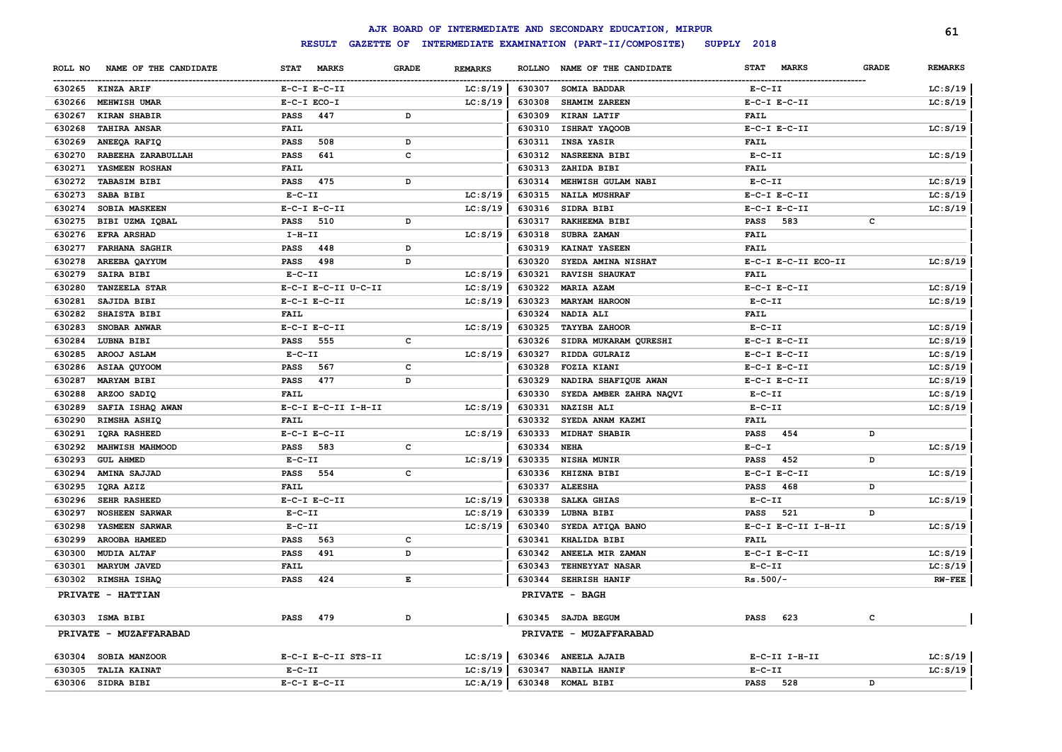|                                  |                  |                     |              |                |               | AJK BOARD OF INTERMEDIATE AND SECONDARY EDUCATION, MIRPUR |                             |              | 61             |
|----------------------------------|------------------|---------------------|--------------|----------------|---------------|-----------------------------------------------------------|-----------------------------|--------------|----------------|
|                                  |                  | <b>RESULT</b>       |              |                |               | GAZETTE OF INTERMEDIATE EXAMINATION (PART-II/COMPOSITE)   | SUPPLY 2018                 |              |                |
| ROLL NO<br>NAME OF THE CANDIDATE | <b>STAT</b>      | <b>MARKS</b>        | <b>GRADE</b> | <b>REMARKS</b> | <b>ROLLNO</b> | NAME OF THE CANDIDATE                                     | <b>STAT</b><br><b>MARKS</b> | <b>GRADE</b> | <b>REMARKS</b> |
| 630265<br><b>KINZA ARIF</b>      | $E-C-I$ $E-C-II$ |                     |              | LC: S/19       | 630307        | SOMIA BADDAR                                              | $E- C- II$                  |              | LC: S/19       |
| 630266<br>MEHWISH UMAR           | E-C-I ECO-I      |                     |              | LC: S/19       | 630308        | <b>SHAMIM ZAREEN</b>                                      | $E-C-I$ $E-C-II$            |              | LC: S/19       |
| 630267<br>KIRAN SHABIR           | <b>PASS</b>      | 447                 | D            |                | 630309        | KIRAN LATIF                                               | <b>FAIL</b>                 |              |                |
| 630268<br><b>TAHIRA ANSAR</b>    | <b>FAIL</b>      |                     |              |                | 630310        | ISHRAT YAQOOB                                             | $E-C-I$ $E-C-II$            |              | LC: S/19       |
| 630269<br>ANEEQA RAFIQ           | <b>PASS</b>      | 508                 | D            |                | 630311        | <b>INSA YASIR</b>                                         | <b>FAIL</b>                 |              |                |
| 630270<br>RABEEHA ZARABULLAH     | <b>PASS</b>      | 641                 | c            |                | 630312        | NASREENA BIBI                                             | $E-C-II$                    |              | LC: S/19       |
| 630271<br>YASMEEN ROSHAN         | FAIL             |                     |              |                | 630313        | ZAHIDA BIBI                                               | <b>FAIL</b>                 |              |                |
| 630272<br><b>TABASIM BIBI</b>    | <b>PASS</b>      | 475                 | D            |                | 630314        | MEHWISH GULAM NABI                                        | $E-C-II$                    |              | LC: S/19       |
| 630273<br>SABA BIBI              | $E - C - II$     |                     |              | LC: S/19       | 630315        | <b>NAILA MUSHRAF</b>                                      | $E-C-I$ $E-C-II$            |              | LC: S/19       |
| 630274<br>SOBIA MASKEEN          | $E-C-I$ $E-C-II$ |                     |              | LC: S/19       | 630316        | SIDRA BIBI                                                | $E-C-I$ $E-C-II$            |              | LC: S/19       |
| 630275<br>BIBI UZMA IQBAL        | PASS             | 510                 | D            |                | 630317        | RAKHEEMA BIBI                                             | 583<br>PASS                 | c            |                |
| 630276<br>EFRA ARSHAD            | $I-H-II$         |                     |              | LC: S/19       | 630318        | SUBRA ZAMAN                                               | FAIL                        |              |                |
| 630277<br><b>FARHANA SAGHIR</b>  | <b>PASS</b>      | 448                 | D            |                | 630319        | KAINAT YASEEN                                             | FAIL                        |              |                |
| 630278<br>AREEBA QAYYUM          | PASS             | 498                 | D            |                | 630320        | SYEDA AMINA NISHAT                                        | E-C-I E-C-II ECO-II         |              | LC: S/19       |
| 630279<br><b>SAIRA BIBI</b>      | $E- C- II$       |                     |              | LC: S/19       | 630321        | RAVISH SHAUKAT                                            | <b>FAIL</b>                 |              |                |
| 630280<br><b>TANZEELA STAR</b>   |                  | E-C-I E-C-II U-C-II |              | LC: S/19       | 630322        | MARIA AZAM                                                | $E-C-I$ $E-C-II$            |              | LC: S/19       |
| 630281<br>SAJIDA BIBI            | $E-C-I$ $E-C-II$ |                     |              | LC: S/19       | 630323        | <b>MARYAM HAROON</b>                                      | $E- C- II$                  |              | LC: S/19       |
| 630282<br>SHAISTA BIBI           | FAIL             |                     |              |                | 630324        | NADIA ALI                                                 | FAIL                        |              |                |
| 630283<br>SNOBAR ANWAR           | $E-C-I$ $E-C-II$ |                     |              | LC: S/19       | 630325        | <b>TAYYBA ZAHOOR</b>                                      | $E- C- II$                  |              | LC: S/19       |
| 630284<br>LUBNA BIBI             | PASS             | 555                 | c            |                | 630326        | SIDRA MUKARAM QURESHI                                     | $E-C-I$ $E-C-II$            |              | LC: S/19       |
| 630285<br>AROOJ ASLAM            | $E-C-II$         |                     |              | LC: S/19       | 630327        | RIDDA GULRAIZ                                             | $E-C-I$ $E-C-II$            |              | LC: S/19       |
| 630286<br>ASIAA QUYOOM           | PASS             | 567                 | $\mathbf c$  |                | 630328        | FOZIA KIANI                                               | $E-C-I$ $E-C-II$            |              | LC: S/19       |
| 630287<br><b>MARYAM BIBI</b>     | PASS             | 477                 | D            |                | 630329        | NADIRA SHAFIQUE AWAN                                      | $E-C-I$ $E-C-II$            |              | LC: S/19       |
| 630288<br>ARZOO SADIQ            | FAIL             |                     |              |                | 630330        | SYEDA AMBER ZAHRA NAQVI                                   | $E-C-II$                    |              | LC: S/19       |
| 630289<br>SAFIA ISHAQ AWAN       |                  | E-C-I E-C-II I-H-II |              | LC: S/19       | 630331        | <b>NAZISH ALI</b>                                         | $E-C-II$                    |              | LC: S/19       |
| 630290<br>RIMSHA ASHIQ           | FAIL             |                     |              |                | 630332        | SYEDA ANAM KAZMI                                          | <b>FAIL</b>                 |              |                |
| 630291<br>IQRA RASHEED           | $E-C-I$ $E-C-II$ |                     |              | LC: S/19       | 630333        | <b>MIDHAT SHABIR</b>                                      | 454<br><b>PASS</b>          | D            |                |
| 630292<br>MAHWISH MAHMOOD        | <b>PASS</b>      | 583                 | c            |                | 630334        | <b>NEHA</b>                                               | $E-C-I$                     |              | LC: S/19       |
| 630293<br><b>GUL AHMED</b>       | $E-C-II$         |                     |              | LC: S/19       | 630335        | NISHA MUNIR                                               | 452<br>PASS                 | D            |                |
| 630294<br>AMINA SAJJAD           | <b>PASS</b>      | 554                 | c            |                | 630336        | KHIZNA BIBI                                               | $E-C-I$ $E-C-II$            |              | LC: S/19       |
| 630295<br>IQRA AZIZ              | <b>FAIL</b>      |                     |              |                | 630337        | <b>ALEESHA</b>                                            | <b>PASS</b><br>468          | D            |                |
| 630296<br><b>SEHR RASHEED</b>    | $E-C-I$ $E-C-II$ |                     |              | LC: S/19       | 630338        | SALKA GHIAS                                               | $E-C-II$                    |              | LC: S/19       |
| 630297<br><b>NOSHEEN SARWAR</b>  | $E-C-II$         |                     |              | LC: S/19       | 630339        | LUBNA BIBI                                                | <b>PASS</b><br>521          | D            |                |
| 630298<br>YASMEEN SARWAR         | $E-C-II$         |                     |              | LC: S/19       | 630340        | SYEDA ATIQA BANO                                          | E-C-I E-C-II I-H-II         |              | LC: S/19       |
| 630299<br>AROOBA HAMEED          | <b>PASS</b>      | 563                 | c            |                | 630341        | KHALIDA BIBI                                              | <b>FAIL</b>                 |              |                |
| 630300<br><b>MUDIA ALTAF</b>     | <b>PASS</b>      | 491                 | D            |                | 630342        | ANEELA MIR ZAMAN                                          | $E-C-I$ $E-C-II$            |              | LC: S/19       |
| 630301<br><b>MARYUM JAVED</b>    | FAIL             |                     |              |                | 630343        | TEHNEYYAT NASAR                                           | $E-C-II$                    |              | LC: S/19       |
| 630302<br>RIMSHA ISHAQ           | PASS             | 424                 | Е            |                | 630344        | SEHRISH HANIF                                             | $Rs.500/-$                  |              | $RW-FEE$       |
| PRIVATE - HATTIAN                |                  |                     |              |                |               | PRIVATE - BAGH                                            |                             |              |                |
| 630303 ISMA BIBI                 | <b>PASS</b>      | 479                 | D            |                |               | 630345 SAJDA BEGUM                                        | 623<br><b>PASS</b>          | $\mathbf c$  |                |
| PRIVATE - MUZAFFARABAD           |                  |                     |              |                |               | PRIVATE - MUZAFFARABAD                                    |                             |              |                |
| 630304<br>SOBIA MANZOOR          |                  | E-C-I E-C-II STS-II |              | LC: S/19       |               | 630346 ANEELA AJAIB                                       | $E-C-II$ I-H-II             |              | LC: S/19       |
| 630305<br><b>TALIA KAINAT</b>    | $E-C-II$         |                     |              | LC: S/19       | 630347        | <b>NABILA HANIF</b>                                       | $E - C - II$                |              | LC: S/19       |
| 630306<br>SIDRA BIBI             | $E-C-I$ $E-C-II$ |                     |              | LC:A/19        | 630348        | KOMAL BIBI                                                | <b>PASS</b><br>528          | D            |                |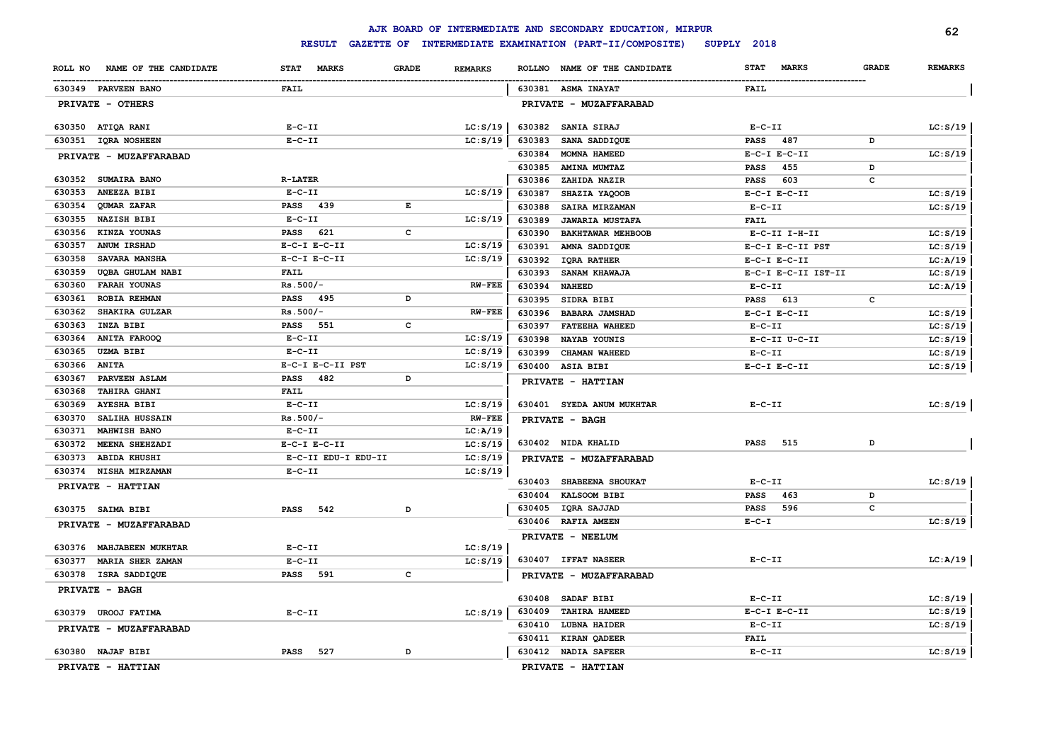|              |                          |                             |                                |                  | AJK BOARD OF INTERMEDIATE AND SECONDARY EDUCATION, MIRPUR |                                   |              | 62             |
|--------------|--------------------------|-----------------------------|--------------------------------|------------------|-----------------------------------------------------------|-----------------------------------|--------------|----------------|
|              |                          | <b>RESULT</b>               |                                |                  | GAZETTE OF INTERMEDIATE EXAMINATION (PART-II/COMPOSITE)   | SUPPLY 2018                       |              |                |
| ROLL NO      | NAME OF THE CANDIDATE    | <b>MARKS</b><br><b>STAT</b> | <b>GRADE</b><br><b>REMARKS</b> | <b>ROLLNO</b>    | NAME OF THE CANDIDATE                                     | <b>MARKS</b><br><b>STAT</b>       | <b>GRADE</b> | <b>REMARKS</b> |
|              | 630349 PARVEEN BANO      | FAIL                        |                                |                  | 630381 ASMA INAYAT                                        | <b>FAIL</b>                       |              |                |
|              | PRIVATE - OTHERS         |                             |                                |                  | PRIVATE - MUZAFFARABAD                                    |                                   |              |                |
|              | 630350 ATIQA RANI        | $E-C-II$                    | LC: S/19                       | 630382           | SANIA SIRAJ                                               | $E - C - II$                      |              | LC: S/19       |
|              | 630351 IQRA NOSHEEN      | $E-C-II$                    | LC: S/19                       | 630383           | SANA SADDIQUE                                             | 487<br><b>PASS</b>                | D            |                |
|              | PRIVATE - MUZAFFARABAD   |                             |                                | 630384           | MOMNA HAMEED                                              | $E-C-I$ $E-C-II$                  |              | LC: S/19       |
|              |                          |                             |                                | 630385           | <b>AMINA MUMTAZ</b>                                       | 455<br>PASS                       | D            |                |
|              | 630352 SUMAIRA BANO      | <b>R-LATER</b>              |                                | 630386           | ZAHIDA NAZIR                                              | 603<br><b>PASS</b>                | с            |                |
| 630353       | <b>ANEEZA BIBI</b>       | $E-C-II$                    | LC: S/19                       | 630387           | SHAZIA YAQOOB                                             | $E-C-I$ $E-C-II$                  |              | LC: S/19       |
| 630354       | QUMAR ZAFAR              | PASS 439                    | E                              | 630388           | SAIRA MIRZAMAN                                            | $E - C - II$                      |              | LC: S/19       |
| 630355       | <b>NAZISH BIBI</b>       | $E-C-II$                    | LC: S/19                       | 630389           | <b>JAWARIA MUSTAFA</b>                                    | <b>FAIL</b>                       |              |                |
|              | 630356 KINZA YOUNAS      | PASS<br>621                 | $\mathbf{C}$                   | 630390           | BAKHTAWAR MEHBOOB                                         | E-C-II I-H-II                     |              | LC: S/19       |
| 630357       | ANUM IRSHAD              | $E-C-I$ $E-C-II$            | LC: S/19                       | 630391           | AMNA SADDIQUE                                             | E-C-I E-C-II PST                  |              | LC: S/19       |
| 630358       | <b>SAVARA MANSHA</b>     | $E-C-I$ $E-C-II$            | LC: S/19                       | 630392           | <b>IQRA RATHER</b>                                        | $E-C-I$ $E-C-II$                  |              | LC: A/19       |
| 630359       | UQBA GHULAM NABI         | <b>FAIL</b>                 |                                | 630393           | SANAM KHAWAJA                                             | E-C-I E-C-II IST-II               |              | LC: S/19       |
| 630360       | <b>FARAH YOUNAS</b>      | $Rs.500/-$                  | <b>RW-FEE</b>                  | 630394           | <b>NAHEED</b>                                             | $E-C-II$                          |              | LC: A/19       |
| 630361       | ROBIA REHMAN             | <b>PASS</b> 495             | D                              | 630395           | SIDRA BIBI                                                | PASS 613                          | c            |                |
| 630362       | SHAKIRA GULZAR           | $Rs.500/-$                  | <b>RW-FEE</b>                  | 630396           | <b>BABARA JAMSHAD</b>                                     | $E-C-I$ $E-C-II$                  |              | LC: S/19       |
| 630363       | INZA BIBI                | <b>PASS</b> 551             | c                              | 630397           | <b>FATEEHA WAHEED</b>                                     | $E - C - II$                      |              | LC: S/19       |
| 630364       | <b>ANITA FAROOQ</b>      | $E-C-II$                    | LC: S/19                       | 630398           | NAYAB YOUNIS                                              | E-C-II U-C-II                     |              | LC: S/19       |
| 630365       | <b>UZMA BIBI</b>         | $E-C-II$                    | LC: S/19                       | 630399           | CHAMAN WAHEED                                             | $E-C-II$                          |              | LC: S/19       |
| 630366 ANITA |                          | E-C-I E-C-II PST            | LC: S/19                       |                  | 630400 ASIA BIBI                                          | $E-C-I$ $E-C-II$                  |              | LC: S/19       |
| 630367       | PARVEEN ASLAM            | 482<br><b>PASS</b>          | D                              |                  | PRIVATE - HATTIAN                                         |                                   |              |                |
| 630368       | <b>TAHIRA GHANI</b>      | <b>FAIL</b>                 |                                |                  |                                                           |                                   |              |                |
| 630369       | <b>AYESHA BIBI</b>       | $E-C-II$                    | LC: S/19                       |                  | 630401 SYEDA ANUM MUKHTAR                                 | $E - C - II$                      |              | LC: S/19       |
| 630370       | <b>SALIHA HUSSAIN</b>    | $Rs.500/-$                  | <b>RW-FEE</b>                  |                  | PRIVATE - BAGH                                            |                                   |              |                |
| 630371       | <b>MAHWISH BANO</b>      | $E-C-II$                    | LC:A/19                        |                  |                                                           |                                   |              |                |
| 630372       | MEENA SHEHZADI           | $E-C-I$ $E-C-II$            | LC: S/19                       |                  | 630402 NIDA KHALID                                        | 515<br>PASS                       | D            |                |
| 630373       | <b>ABIDA KHUSHI</b>      | E-C-II EDU-I EDU-II         | LC: S/19                       |                  | PRIVATE - MUZAFFARABAD                                    |                                   |              |                |
| 630374       | <b>NISHA MIRZAMAN</b>    | $E-C-II$                    | LC: S/19                       | 630403           | <b>SHABEENA SHOUKAT</b>                                   | $E-C-II$                          |              |                |
|              | PRIVATE - HATTIAN        |                             |                                |                  |                                                           |                                   | D            | LC: S/19       |
|              |                          |                             |                                | 630404<br>630405 | <b>KALSOOM BIBI</b><br>IQRA SAJJAD                        | PASS<br>463<br><b>PASS</b><br>596 | c            |                |
|              | 630375 SAIMA BIBI        | <b>PASS</b><br>542          | D                              |                  | 630406 RAFIA AMEEN                                        | $E - C - I$                       |              | LC: S/19       |
|              | PRIVATE - MUZAFFARABAD   |                             |                                |                  | PRIVATE - NEELUM                                          |                                   |              |                |
|              | 630376 MAHJABEEN MUKHTAR | $E-C-II$                    | LC: S/19                       |                  |                                                           |                                   |              |                |
| 630377       | <b>MARIA SHER ZAMAN</b>  | $E-C-II$                    | LC: S/19                       |                  | 630407 IFFAT NASEER                                       | $E- C- II$                        |              | LC:A/19        |
|              | 630378 ISRA SADDIQUE     | PASS 591                    | c                              |                  | PRIVATE - MUZAFFARABAD                                    |                                   |              |                |
|              | PRIVATE - BAGH           |                             |                                |                  |                                                           |                                   |              |                |
|              |                          |                             |                                | 630408           | SADAF BIBI                                                | $E - C - II$                      |              | LC: S/19       |
| 630379       | <b>UROOJ FATIMA</b>      | $E-C-II$                    | LC: S/19                       | 630409           | <b>TAHIRA HAMEED</b>                                      | $E-C-I$ $E-C-II$                  |              | LC: S/19       |
|              | PRIVATE - MUZAFFARABAD   |                             |                                |                  | 630410 LUBNA HAIDER                                       | $E-C-II$                          |              | LC: S/19       |
|              |                          |                             |                                |                  | 630411 KIRAN QADEER                                       | <b>FAIL</b>                       |              |                |
|              | 630380 NAJAF BIBI        | <b>PASS</b><br>527          | D                              |                  | 630412 NADIA SAFEER                                       | $E-C-II$                          |              | LC: S/19       |
|              | PRIVATE - HATTIAN        |                             |                                |                  | PRIVATE - HATTIAN                                         |                                   |              |                |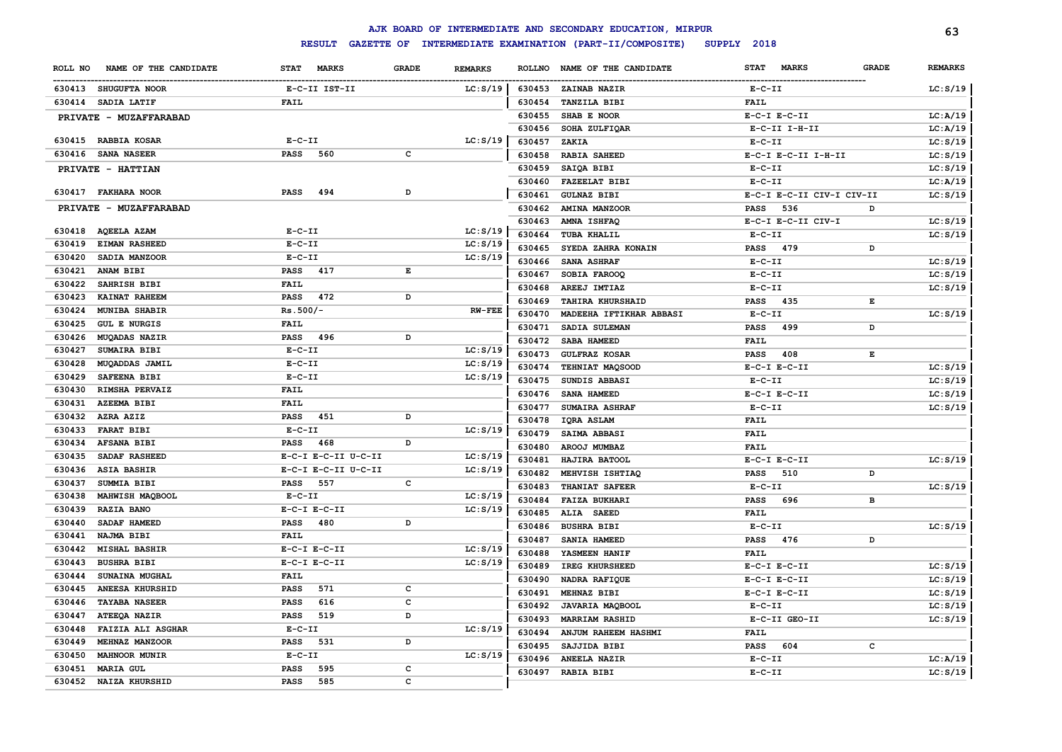|                                  |                                    |                                |               | AJK BOARD OF INTERMEDIATE AND SECONDARY EDUCATION, MIRPUR |                             |              | 63             |
|----------------------------------|------------------------------------|--------------------------------|---------------|-----------------------------------------------------------|-----------------------------|--------------|----------------|
|                                  | <b>RESULT</b><br><b>GAZETTE OF</b> |                                |               | INTERMEDIATE EXAMINATION (PART-II/COMPOSITE)              | SUPPLY 2018                 |              |                |
| NAME OF THE CANDIDATE<br>ROLL NO | <b>STAT</b><br><b>MARKS</b>        | <b>GRADE</b><br><b>REMARKS</b> | <b>ROLLNO</b> | NAME OF THE CANDIDATE                                     | <b>STAT</b><br><b>MARKS</b> | <b>GRADE</b> | <b>REMARKS</b> |
| 630413 SHUGUFTA NOOR             | E-C-II IST-II                      | LC: S/19                       | 630453        | ZAINAB NAZIR                                              | $E- C- II$                  |              | LC: S/19       |
| 630414 SADIA LATIF               | <b>FAIL</b>                        |                                | 630454        | TANZILA BIBI                                              | <b>FAIL</b>                 |              |                |
| PRIVATE - MUZAFFARABAD           |                                    |                                | 630455        | SHAB E NOOR                                               | $E-C-I$ $E-C-II$            |              | LC: A/19       |
|                                  |                                    |                                | 630456        | SOHA ZULFIQAR                                             | E-C-II I-H-II               |              | LC: A/19       |
| 630415 RABBIA KOSAR              | $E - C - II$                       | LC: S/19                       | 630457        | ZAKIA                                                     | $E- C- II$                  |              | LC: S/19       |
| 630416<br><b>SANA NASEER</b>     | <b>PASS</b><br>560                 | C                              | 630458        | <b>RABIA SAHEED</b>                                       | E-C-I E-C-II I-H-II         |              | LC: S/19       |
| PRIVATE - HATTIAN                |                                    |                                | 630459        | SAIQA BIBI                                                | $E- C- II$                  |              | LC: S/19       |
|                                  |                                    |                                | 630460        | <b>FAZEELAT BIBI</b>                                      | $E-C-II$                    |              | LC: A/19       |
| 630417 FAKHARA NOOR              | <b>PASS</b><br>494                 | D                              | 630461        | <b>GULNAZ BIBI</b>                                        | E-C-I E-C-II CIV-I CIV-II   |              | LC: S/19       |
| PRIVATE - MUZAFFARABAD           |                                    |                                | 630462        | AMINA MANZOOR                                             | 536<br><b>PASS</b>          | D            |                |
|                                  |                                    |                                | 630463        | AMNA ISHFAQ                                               | E-C-I E-C-II CIV-I          |              | LC: S/19       |
| 630418<br><b>AQEELA AZAM</b>     | $E - C - II$                       | LC: S/19                       | 630464        | TUBA KHALIL                                               | $E-C-II$                    |              | LC: S/19       |
| 630419<br><b>EIMAN RASHEED</b>   | $E - C - II$                       | LC: S/19                       | 630465        | SYEDA ZAHRA KONAIN                                        | <b>PASS</b><br>479          | D            |                |
| 630420<br>SADIA MANZOOR          | $E - C - II$                       | LC: S/19                       | 630466        | <b>SANA ASHRAF</b>                                        | $E-C-II$                    |              | LC: S/19       |
| 630421<br>ANAM BIBI              | <b>PASS</b><br>417                 | Е                              | 630467        | SOBIA FAROOQ                                              | $E-C-II$                    |              | LC: S/19       |
| 630422<br>SAHRISH BIBI           | <b>FAIL</b>                        |                                | 630468        | AREEJ IMTIAZ                                              | $E-C-II$                    |              | LC: S/19       |
| 630423<br>KAINAT RAHEEM          | <b>PASS</b><br>472                 | D                              | 630469        | <b>TAHIRA KHURSHAID</b>                                   | PASS<br>435                 | Е            |                |
| 630424<br><b>MUNIBA SHABIR</b>   | $Rs.500/-$                         | $RW-FEE$                       | 630470        | MADEEHA IFTIKHAR ABBASI                                   | $E-C-II$                    |              | LC: S/19       |
| 630425<br><b>GUL E NURGIS</b>    | <b>FAIL</b>                        |                                | 630471        | SADIA SULEMAN                                             | <b>PASS</b><br>499          | D            |                |
| 630426<br><b>MUQADAS NAZIR</b>   | PASS 496                           | D                              | 630472        | SABA HAMEED                                               | <b>FAIL</b>                 |              |                |
| 630427<br>SUMAIRA BIBI           | $E-C-II$                           | LC: S/19                       | 630473        | <b>GULFRAZ KOSAR</b>                                      | <b>PASS</b><br>408          | E            |                |
| 630428<br>MUQADDAS JAMIL         | $E - C - II$                       | LC: S/19                       | 630474        | TEHNIAT MAQSOOD                                           | $E-C-I$ $E-C-II$            |              | LC: S/19       |
| 630429<br>SAFEENA BIBI           | $E - C - II$                       | LC: S/19                       | 630475        | SUNDIS ABBASI                                             | $E-C-II$                    |              | LC: S/19       |
| 630430<br>RIMSHA PERVAIZ         | <b>FAIL</b>                        |                                | 630476        | SANA HAMEED                                               | $E-C-I$ $E-C-II$            |              | LC: S/19       |
| 630431<br><b>AZEEMA BIBI</b>     | <b>FAIL</b>                        |                                | 630477        | SUMAIRA ASHRAF                                            | $E-C-II$                    |              | LC: S/19       |
| 630432<br>AZRA AZIZ              | <b>PASS</b><br>451                 | D                              | 630478        | <b>IQRA ASLAM</b>                                         | <b>FAIL</b>                 |              |                |
| 630433<br><b>FARAT BIBI</b>      | $E - C - II$                       | LC: S/19                       | 630479        | SAIMA ABBASI                                              | <b>FAIL</b>                 |              |                |
| 630434<br><b>AFSANA BIBI</b>     | <b>PASS</b><br>468                 | D                              | 630480        | AROOJ MUMBAZ                                              | <b>FAIL</b>                 |              |                |
| 630435<br>SADAF RASHEED          | E-C-I E-C-II U-C-II                | LC: S/19                       | 630481        | HAJIRA BATOOL                                             | $E-C-I$ $E-C-II$            |              | LC: S/19       |
| 630436<br><b>ASIA BASHIR</b>     | E-C-I E-C-II U-C-II                | LC: S/19                       | 630482        | MEHVISH ISHTIAQ                                           | 510<br><b>PASS</b>          | D            |                |
| SUMMIA BIBI<br>630437            | 557<br><b>PASS</b>                 | c                              | 630483        | THANIAT SAFEER                                            | $E- C- II$                  |              | LC: S/19       |
| 630438<br>MAHWISH MAQBOOL        | $E-C-II$                           | LC: S/19                       | 630484        | <b>FAIZA BUKHARI</b>                                      | 696<br><b>PASS</b>          | в            |                |
| RAZIA BANO<br>630439             | $E-C-I$ $E-C-II$                   | LC: S/19                       | 630485        | ALIA SAEED                                                | <b>FAIL</b>                 |              |                |
| 630440<br>SADAF HAMEED           | 480<br>PASS                        | D                              | 630486        | <b>BUSHRA BIBI</b>                                        | $E-C-II$                    |              | LC: S/19       |
| 630441<br>NAJMA BIBI             | <b>FAIL</b>                        |                                | 630487        | SANIA HAMEED                                              | <b>PASS</b><br>476          | D            |                |
| 630442<br><b>MISHAL BASHIR</b>   | $E-C-I$ $E-C-II$                   | LC: S/19                       | 630488        | YASMEEN HANIF                                             | <b>FAIL</b>                 |              |                |
| 630443<br><b>BUSHRA BIBI</b>     | $E-C-I$ $E-C-II$                   | LC: S/19                       | 630489        | IREG KHURSHEED                                            | $E-C-I$ $E-C-II$            |              | LC: S/19       |
| 630444<br>SUNAINA MUGHAL         | <b>FAIL</b>                        |                                | 630490        | NADRA RAFIQUE                                             | $E-C-I$ $E-C-II$            |              | LC: S/19       |
| ANEESA KHURSHID<br>630445        | 571<br><b>PASS</b>                 | c                              | 630491        | MEHNAZ BIBI                                               | $E-C-I$ $E-C-II$            |              | LC: S/19       |
| 630446<br><b>TAYABA NASEER</b>   | <b>PASS</b><br>616                 | с                              | 630492        | JAVARIA MAQBOOL                                           | $E-C-II$                    |              | LC: S/19       |
| 630447<br>ATEEQA NAZIR           | 519<br>PASS                        | D                              | 630493        | <b>MARRIAM RASHID</b>                                     | E-C-II GEO-II               |              | LC: S/19       |
| FAIZIA ALI ASGHAR<br>630448      | $E - C - II$                       | LC: S/19                       | 630494        | ANJUM RAHEEM HASHMI                                       | FAIL                        |              |                |
| MEHNAZ MANZOOR<br>630449         | <b>PASS</b><br>531                 | D                              | 630495        | SAJJIDA BIBI                                              | PASS<br>604                 | c            |                |
| <b>MAHNOOR MUNIR</b><br>630450   | $E - C - II$                       | LC: S/19                       | 630496        | ANEELA NAZIR                                              | $E-C-II$                    |              | LC:A/19        |
| 630451<br><b>MARIA GUL</b>       | PASS<br>595                        | c                              | 630497        | <b>RABIA BIBI</b>                                         | $E-C-II$                    |              | LC: S/19       |
| 630452<br><b>NAIZA KHURSHID</b>  | <b>PASS</b><br>585                 | C                              |               |                                                           |                             |              |                |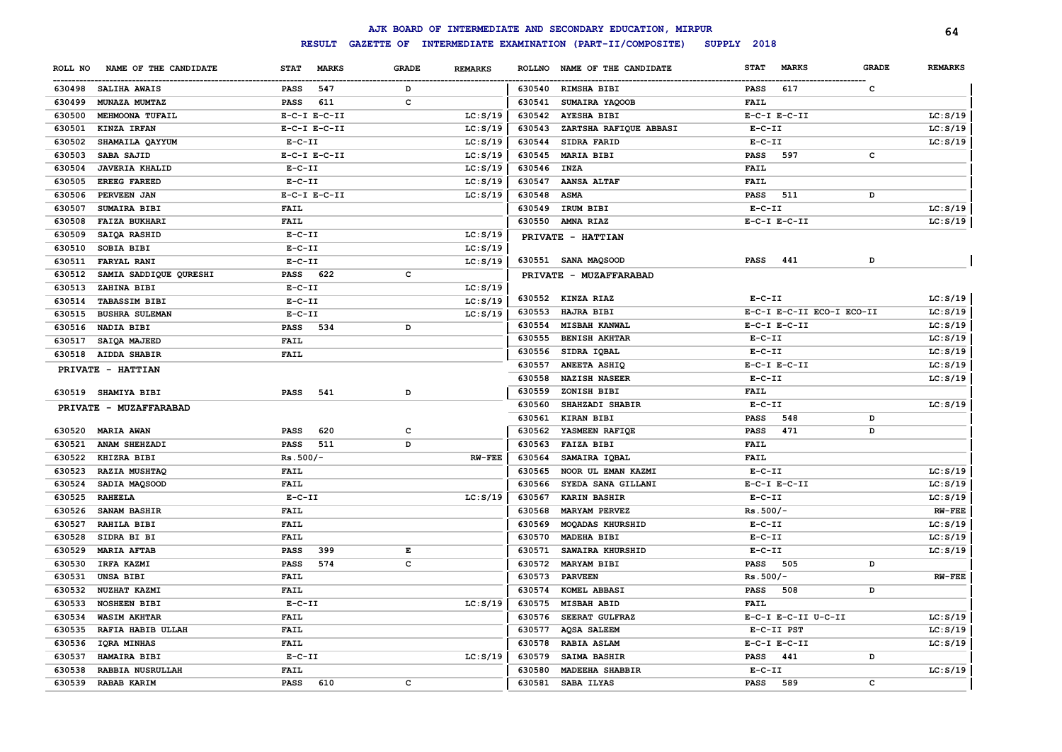|         |                        |             |                  |              |                |               | AJK BOARD OF INTERMEDIATE AND SECONDARY EDUCATION, MIRPUR |              |                           |              | 64             |
|---------|------------------------|-------------|------------------|--------------|----------------|---------------|-----------------------------------------------------------|--------------|---------------------------|--------------|----------------|
|         |                        |             | <b>RESULT</b>    |              |                |               | GAZETTE OF INTERMEDIATE EXAMINATION (PART-II/COMPOSITE)   | SUPPLY 2018  |                           |              |                |
| ROLL NO | NAME OF THE CANDIDATE  | <b>STAT</b> | <b>MARKS</b>     | <b>GRADE</b> | <b>REMARKS</b> | <b>ROLLNO</b> | NAME OF THE CANDIDATE                                     | <b>STAT</b>  | <b>MARKS</b>              | <b>GRADE</b> | <b>REMARKS</b> |
|         | 630498 SALIHA AWAIS    | <b>PASS</b> | 547              | D            |                |               | 630540 RIMSHA BIBI                                        | <b>PASS</b>  | 617                       | $\mathbf{C}$ |                |
| 630499  | MUNAZA MUMTAZ          | <b>PASS</b> | 611              | c            |                | 630541        | SUMAIRA YAQOOB                                            | <b>FAIL</b>  |                           |              |                |
| 630500  | MEHMOONA TUFAIL        |             | $E-C-I$ $E-C-II$ |              | LC: S/19       |               | 630542 AYESHA BIBI                                        |              | $E-C-I$ $E-C-II$          |              | LC: S/19       |
| 630501  | KINZA IRFAN            |             | $E-C-I$ $E-C-II$ |              | LC: S/19       | 630543        | ZARTSHA RAFIQUE ABBASI                                    | $E-C-II$     |                           |              | LC: S/19       |
| 630502  | SHAMAILA QAYYUM        | $E-C-II$    |                  |              | LC: S/19       | 630544        | SIDRA FARID                                               | $E-C-II$     |                           |              | LC: S/19       |
| 630503  | SABA SAJID             |             | $E-C-I$ $E-C-II$ |              | LC: S/19       | 630545        | <b>MARIA BIBI</b>                                         | <b>PASS</b>  | 597                       | c            |                |
| 630504  | <b>JAVERIA KHALID</b>  | $E-C-II$    |                  |              | LC: S/19       | 630546        | INZA                                                      | <b>FAIL</b>  |                           |              |                |
| 630505  | <b>EREEG FAREED</b>    | $E-C-II$    |                  |              | LC: S/19       | 630547        | <b>AANSA ALTAF</b>                                        | <b>FAIL</b>  |                           |              |                |
| 630506  | PERVEEN JAN            |             | $E-C-I$ $E-C-II$ |              | LC: S/19       | 630548        | ASMA                                                      | <b>PASS</b>  | 511                       | D            |                |
| 630507  | SUMAIRA BIBI           | <b>FAIL</b> |                  |              |                | 630549        | IRUM BIBI                                                 | $E-C-II$     |                           |              | LC: S/19       |
| 630508  | <b>FAIZA BUKHARI</b>   | <b>FAIL</b> |                  |              |                |               | 630550 AMNA RIAZ                                          |              | $E-C-I$ $E-C-II$          |              | LC: S/19       |
| 630509  | SAIQA RASHID           | $E-C-II$    |                  |              | LC: S/19       |               | PRIVATE - HATTIAN                                         |              |                           |              |                |
| 630510  | SOBIA BIBI             | $E-C-II$    |                  |              | LC: S/19       |               |                                                           |              |                           |              |                |
| 630511  | FARYAL RANI            | $E-C-II$    |                  |              | LC: S/19       |               | 630551 SANA MAQSOOD                                       | <b>PASS</b>  | 441                       | D            |                |
| 630512  | SAMIA SADDIQUE QURESHI | PASS 622    |                  | c            |                |               | PRIVATE - MUZAFFARABAD                                    |              |                           |              |                |
| 630513  | ZAHINA BIBI            | $E-C-II$    |                  |              | LC: S/19       |               |                                                           |              |                           |              |                |
| 630514  | <b>TABASSIM BIBI</b>   | $E-C-TI$    |                  |              | LC: S/19       |               | 630552 KINZA RIAZ                                         | $E-C-II$     |                           |              | LC: S/19       |
| 630515  | <b>BUSHRA SULEMAN</b>  | $E-C-TI$    |                  |              | LC: S/19       | 630553        | <b>HAJRA BIBI</b>                                         |              | E-C-I E-C-II ECO-I ECO-II |              | LC: S/19       |
| 630516  | NADIA BIBI             | <b>PASS</b> | 534              | D            |                | 630554        | <b>MISBAH KANWAL</b>                                      |              | $E-C-I$ $E-C-II$          |              | LC: S/19       |
| 630517  | SAIQA MAJEED           | <b>FAIL</b> |                  |              |                | 630555        | <b>BENISH AKHTAR</b>                                      | $E - C - II$ |                           |              | LC: S/19       |
|         | 630518 AIDDA SHABIR    | <b>FAIL</b> |                  |              |                | 630556        | SIDRA IQBAL                                               | $E - C - II$ |                           |              | LC: S/19       |
|         | PRIVATE - HATTIAN      |             |                  |              |                | 630557        | <b>ANEETA ASHIQ</b>                                       |              | $E-C-I$ $E-C-II$          |              | LC: S/19       |
|         |                        |             |                  |              |                | 630558        | <b>NAZISH NASEER</b>                                      | $E - C - II$ |                           |              | LC: S/19       |
|         | 630519 SHAMIYA BIBI    | <b>PASS</b> | 541              | D            |                | 630559        | ZONISH BIBI                                               | <b>FAIL</b>  |                           |              |                |
|         | PRIVATE - MUZAFFARABAD |             |                  |              |                | 630560        | SHAHZADI SHABIR                                           | $E-C-II$     |                           |              | LC: S/19       |
|         |                        |             |                  |              |                | 630561        | <b>KIRAN BIBI</b>                                         | PASS         | 548                       | D            |                |
| 630520  | <b>MARIA AWAN</b>      | PASS        | 620              | $\mathbf c$  |                | 630562        | YASMEEN RAFIQE                                            | <b>PASS</b>  | 471                       | D            |                |
| 630521  | ANAM SHEHZADI          | PASS        | 511              | D            |                | 630563        | <b>FAIZA BIBI</b>                                         | <b>FAIL</b>  |                           |              |                |
| 630522  | KHIZRA BIBI            | $Rs.500/-$  |                  |              | <b>RW-FEE</b>  | 630564        | SAMAIRA IQBAL                                             | <b>FAIL</b>  |                           |              |                |
| 630523  | RAZIA MUSHTAQ          | <b>FAIL</b> |                  |              |                | 630565        | NOOR UL EMAN KAZMI                                        | $E- C- II$   |                           |              | LC: S/19       |
| 630524  | SADIA MAQSOOD          | <b>FAIL</b> |                  |              |                | 630566        | SYEDA SANA GILLANI                                        |              | $E-C-I$ $E-C-II$          |              | LC: S/19       |
| 630525  | <b>RAHEELA</b>         | $E-C-II$    |                  |              | LC: S/19       | 630567        | <b>KARIN BASHIR</b>                                       | $E-C-II$     |                           |              | LC: S/19       |
| 630526  | SANAM BASHIR           | FAIL        |                  |              |                | 630568        | <b>MARYAM PERVEZ</b>                                      | $Rs.500/-$   |                           |              | $RW-FEE$       |
| 630527  | RAHILA BIBI            | <b>FAIL</b> |                  |              |                | 630569        | MOQADAS KHURSHID                                          | $E-C-II$     |                           |              | LC: S/19       |
| 630528  | SIDRA BI BI            | <b>FAIL</b> |                  |              |                | 630570        | MADEHA BIBI                                               | $E-C-II$     |                           |              | LC: S/19       |
| 630529  | <b>MARIA AFTAB</b>     | <b>PASS</b> | 399              | E            |                | 630571        | SAWAIRA KHURSHID                                          | $E-C-II$     |                           |              | LC: S/19       |
| 630530  | IRFA KAZMI             | <b>PASS</b> | 574              | c            |                | 630572        | <b>MARYAM BIBI</b>                                        | <b>PASS</b>  | 505                       | D            |                |
| 630531  | <b>UNSA BIBI</b>       | <b>FAIL</b> |                  |              |                | 630573        | <b>PARVEEN</b>                                            | $Rs.500/-$   |                           |              | <b>RW-FEE</b>  |
| 630532  | NUZHAT KAZMI           | <b>FAIL</b> |                  |              |                | 630574        | KOMEL ABBASI                                              | <b>PASS</b>  | 508                       | D            |                |
| 630533  | <b>NOSHEEN BIBI</b>    | $E-C-II$    |                  |              | LC: S/19       | 630575        | <b>MISBAH ABID</b>                                        | <b>FAIL</b>  |                           |              |                |
| 630534  | <b>WASIM AKHTAR</b>    | <b>FAIL</b> |                  |              |                | 630576        | SEERAT GULFRAZ                                            |              | E-C-I E-C-II U-C-II       |              | LC: S/19       |
| 630535  | RAFIA HABIB ULLAH      | <b>FAIL</b> |                  |              |                | 630577        | <b>AQSA SALEEM</b>                                        |              | E-C-II PST                |              | LC: S/19       |
| 630536  | <b>IQRA MINHAS</b>     | <b>FAIL</b> |                  |              |                | 630578        | <b>RABIA ASLAM</b>                                        |              | $E-C-I$ $E-C-II$          |              | LC: S/19       |
| 630537  | HAMAIRA BIBI           | $E-C-II$    |                  |              | LC: S/19       | 630579        | SAIMA BASHIR                                              | <b>PASS</b>  | 441                       | D            |                |
| 630538  | RABBIA NUSRULLAH       | <b>FAIL</b> |                  |              |                | 630580        | <b>MADEEHA SHABBIR</b>                                    | $E-C-II$     |                           |              | LC: S/19       |
| 630539  | <b>RABAB KARIM</b>     | <b>PASS</b> | 610              | c            |                | 630581        | SABA ILYAS                                                | <b>PASS</b>  | 589                       | c            |                |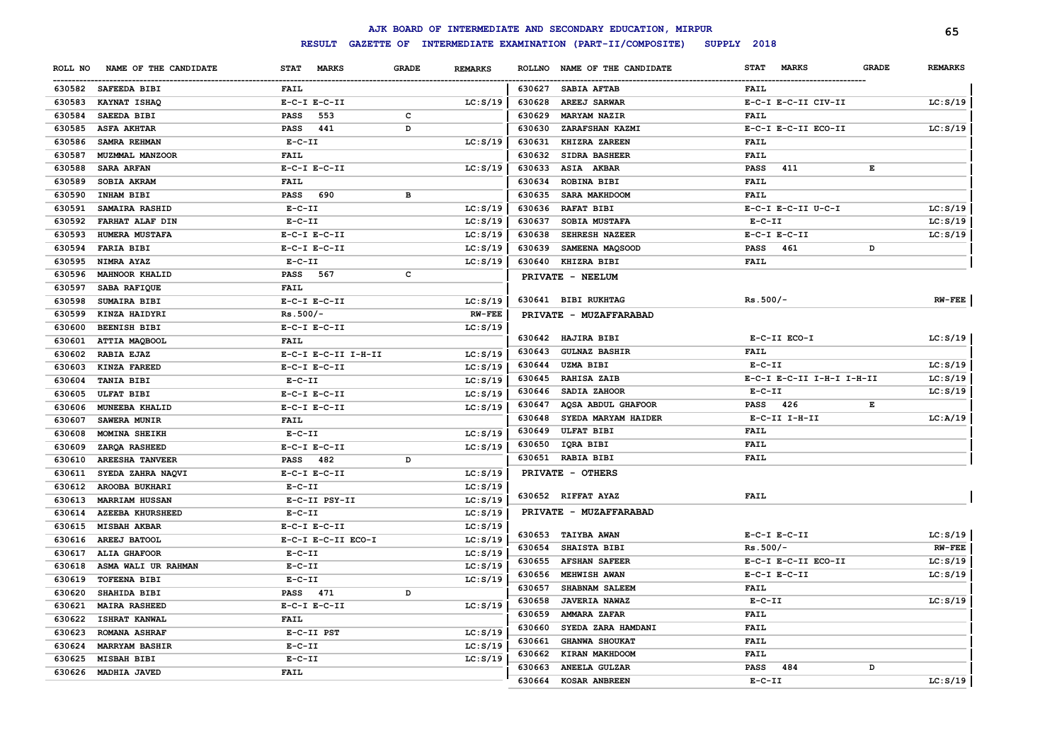|         |                         |                             |              |                |               | AJK BOARD OF INTERMEDIATE AND SECONDARY EDUCATION, MIRPUR |                             |              | 65             |
|---------|-------------------------|-----------------------------|--------------|----------------|---------------|-----------------------------------------------------------|-----------------------------|--------------|----------------|
|         |                         | <b>RESULT</b>               |              |                |               | GAZETTE OF INTERMEDIATE EXAMINATION (PART-II/COMPOSITE)   | SUPPLY 2018                 |              |                |
| ROLL NO | NAME OF THE CANDIDATE   | <b>MARKS</b><br><b>STAT</b> | <b>GRADE</b> | <b>REMARKS</b> | <b>ROLLNO</b> | NAME OF THE CANDIDATE                                     | <b>MARKS</b><br><b>STAT</b> | <b>GRADE</b> | <b>REMARKS</b> |
|         | 630582 SAFEEDA BIBI     | <b>FAIL</b>                 |              |                | 630627        | SABIA AFTAB                                               | FAIL                        |              |                |
| 630583  | KAYNAT ISHAQ            | $E-C-I$ $E-C-II$            |              | LC: S/19       | 630628        | <b>AREEJ SARWAR</b>                                       | E-C-I E-C-II CIV-II         |              | LC: S/19       |
| 630584  | <b>SAEEDA BIBI</b>      | 553<br>PASS                 | c            |                | 630629        | <b>MARYAM NAZIR</b>                                       | <b>FAIL</b>                 |              |                |
| 630585  | <b>ASFA AKHTAR</b>      | 441<br>PASS                 | D            |                | 630630        | ZARAFSHAN KAZMI                                           | E-C-I E-C-II ECO-II         |              | LC: S/19       |
| 630586  | SAMRA REHMAN            | $E-C-II$                    |              | LC: S/19       | 630631        | KHIZRA ZAREEN                                             | FAIL                        |              |                |
| 630587  | MUZMMAL MANZOOR         | <b>FAIL</b>                 |              |                | 630632        | SIDRA BASHEER                                             | FAIL                        |              |                |
| 630588  | <b>SARA ARFAN</b>       | $E-C-I$ $E-C-II$            |              | LC: S/19       | 630633        | ASIA AKBAR                                                | <b>PASS</b><br>411          | Е            |                |
| 630589  | SOBIA AKRAM             | FAIL                        |              |                | 630634        | ROBINA BIBI                                               | FAIL                        |              |                |
| 630590  | INHAM BIBI              | PASS 690                    | в            |                | 630635        | SARA MAKHDOOM                                             | FAIL                        |              |                |
| 630591  | SAMAIRA RASHID          | $E-C-II$                    |              | LC: S/19       | 630636        | <b>RAFAT BIBI</b>                                         | E-C-I E-C-II U-C-I          |              | LC: S/19       |
| 630592  | FARHAT ALAF DIN         | $E - C - II$                |              | LC: S/19       | 630637        | SOBIA MUSTAFA                                             | $E-C-II$                    |              | LC: S/19       |
| 630593  | HUMERA MUSTAFA          | $E-C-I$ $E-C-II$            |              | LC: S/19       | 630638        | SEHRESH NAZEER                                            | $E-C-I$ $E-C-II$            |              | LC: S/19       |
| 630594  | <b>FARIA BIBI</b>       | $E-C-I$ $E-C-II$            |              | LC: S/19       | 630639        | SAMEENA MAQSOOD                                           | <b>PASS</b><br>461          | D            |                |
| 630595  | NIMRA AYAZ              | $E-C-II$                    |              | LC: S/19       | 630640        | KHIZRA BIBI                                               | <b>FAIL</b>                 |              |                |
| 630596  | <b>MAHNOOR KHALID</b>   | PASS 567                    | C            |                |               | PRIVATE - NEELUM                                          |                             |              |                |
| 630597  | SABA RAFIQUE            | <b>FAIL</b>                 |              |                |               |                                                           |                             |              |                |
| 630598  | <b>SUMAIRA BIBI</b>     | $E-C-I$ $E-C-II$            |              | LC: S/19       |               | 630641 BIBI RUKHTAG                                       | $Rs.500/-$                  |              | $RW-FEE$       |
| 630599  | KINZA HAIDYRI           | $Rs.500/-$                  |              | <b>RW-FEE</b>  |               | PRIVATE - MUZAFFARABAD                                    |                             |              |                |
| 630600  | <b>BEENISH BIBI</b>     | $E-C-I$ $E-C-II$            |              | LC: S/19       |               |                                                           |                             |              |                |
| 630601  | ATTIA MAQBOOL           | <b>FAIL</b>                 |              |                |               | 630642 HAJIRA BIBI                                        | E-C-II ECO-I                |              | LC: S/19       |
| 630602  | RABIA EJAZ              | E-C-I E-C-II I-H-II         |              | LC: S/19       | 630643        | <b>GULNAZ BASHIR</b>                                      | <b>FAIL</b>                 |              |                |
| 630603  | KINZA FAREED            | $E-C-I$ $E-C-II$            |              | LC: S/19       | 630644        | <b>UZMA BIBI</b>                                          | $E- C- II$                  |              | LC: S/19       |
| 630604  | <b>TANIA BIBI</b>       | $E- C- II$                  |              | LC: S/19       | 630645        | <b>RAHISA ZAIB</b>                                        | E-C-I E-C-II I-H-I I-H-II   |              | LC: S/19       |
| 630605  | <b>ULFAT BIBI</b>       | $E-C-I$ $E-C-II$            |              | LC: S/19       | 630646        | SADIA ZAHOOR                                              | $E-C-II$                    |              | LC: S/19       |
| 630606  | <b>MUNEEBA KHALID</b>   | $E-C-I$ $E-C-II$            |              | LC: S/19       | 630647        | <b>AQSA ABDUL GHAFOOR</b>                                 | PASS 426                    | Е            |                |
| 630607  | <b>SAWERA MUNIR</b>     | <b>FAIL</b>                 |              |                | 630648        | SYEDA MARYAM HAIDER                                       | $E-C-II$ I-H-II             |              | LC: A/19       |
| 630608  | MOMINA SHEIKH           | $E- C- II$                  |              | LC: S/19       | 630649        | <b>ULFAT BIBI</b>                                         | <b>FAIL</b>                 |              |                |
| 630609  | ZARQA RASHEED           | $E-C-I$ $E-C-II$            |              | LC: S/19       |               | 630650 IQRA BIBI                                          | <b>FAIL</b>                 |              |                |
| 630610  | <b>AREESHA TANVEER</b>  | PASS 482                    | D            |                |               | 630651 RABIA BIBI                                         | FAIL                        |              |                |
| 630611  | SYEDA ZAHRA NAQVI       | $E-C-I$ $E-C-II$            |              | LC: S/19       |               | PRIVATE - OTHERS                                          |                             |              |                |
| 630612  | AROOBA BUKHARI          | $E- C- II$                  |              | LC: S/19       |               |                                                           |                             |              |                |
| 630613  | <b>MARRIAM HUSSAN</b>   | E-C-II PSY-II               |              | LC: S/19       |               | 630652 RIFFAT AYAZ                                        | <b>FAIL</b>                 |              |                |
| 630614  | <b>AZEEBA KHURSHEED</b> | $E-C-II$                    |              | LC: S/19       |               | PRIVATE - MUZAFFARABAD                                    |                             |              |                |
| 630615  | <b>MISBAH AKBAR</b>     | $E-C-I$ $E-C-II$            |              | LC: S/19       |               |                                                           |                             |              |                |
| 630616  | AREEJ BATOOL            | E-C-I E-C-II ECO-I          |              | LC: S/19       |               | 630653 TAIYBA AWAN                                        | $E-C-I$ $E-C-II$            |              | LC: S/19       |
| 630617  | <b>ALIA GHAFOOR</b>     | $E - C - II$                |              | LC: S/19       | 630654        | <b>SHAISTA BIBI</b>                                       | $Rs.500/-$                  |              | $RW-FEE$       |
| 630618  | ASMA WALI UR RAHMAN     | $E-C-II$                    |              | LC: S/19       | 630655        | <b>AFSHAN SAFEER</b>                                      | E-C-I E-C-II ECO-II         |              | LC: S/19       |
| 630619  | <b>TOFEENA BIBI</b>     | $E- C- II$                  |              | LC: S/19       | 630656        | MEHWISH AWAN                                              | $E-C-I$ $E-C-II$            |              | LC: S/19       |
| 630620  | SHAHIDA BIBI            | PASS 471                    | D            |                | 630657        | SHABNAM SALEEM                                            | <b>FAIL</b>                 |              |                |
| 630621  | <b>MAIRA RASHEED</b>    | $E-C-I$ $E-C-II$            |              | LC: S/19       | 630658        | <b>JAVERIA NAWAZ</b>                                      | $E-C-II$                    |              | LC: S/19       |
| 630622  | <b>ISHRAT KANWAL</b>    | <b>FAIL</b>                 |              |                | 630659        | AMMARA ZAFAR                                              | FAIL                        |              |                |
| 630623  | <b>ROMANA ASHRAF</b>    | E-C-II PST                  |              | LC: S/19       | 630660        | SYEDA ZARA HAMDANI                                        | <b>FAIL</b>                 |              |                |
| 630624  | <b>MARRYAM BASHIR</b>   | $E-C-II$                    |              | LC: S/19       | 630661        | <b>GHANWA SHOUKAT</b>                                     | FAIL                        |              |                |
| 630625  | MISBAH BIBI             | $E-C-II$                    |              | LC: S/19       | 630662        | KIRAN MAKHDOOM                                            | <b>FAIL</b>                 |              |                |
|         | 630626 MADHIA JAVED     | <b>FAIL</b>                 |              |                | 630663        | ANEELA GULZAR                                             | <b>PASS</b><br>484          | D            |                |
|         |                         |                             |              |                | 630664        | <b>KOSAR ANBREEN</b>                                      | $E - C - II$                |              | LC: S/19       |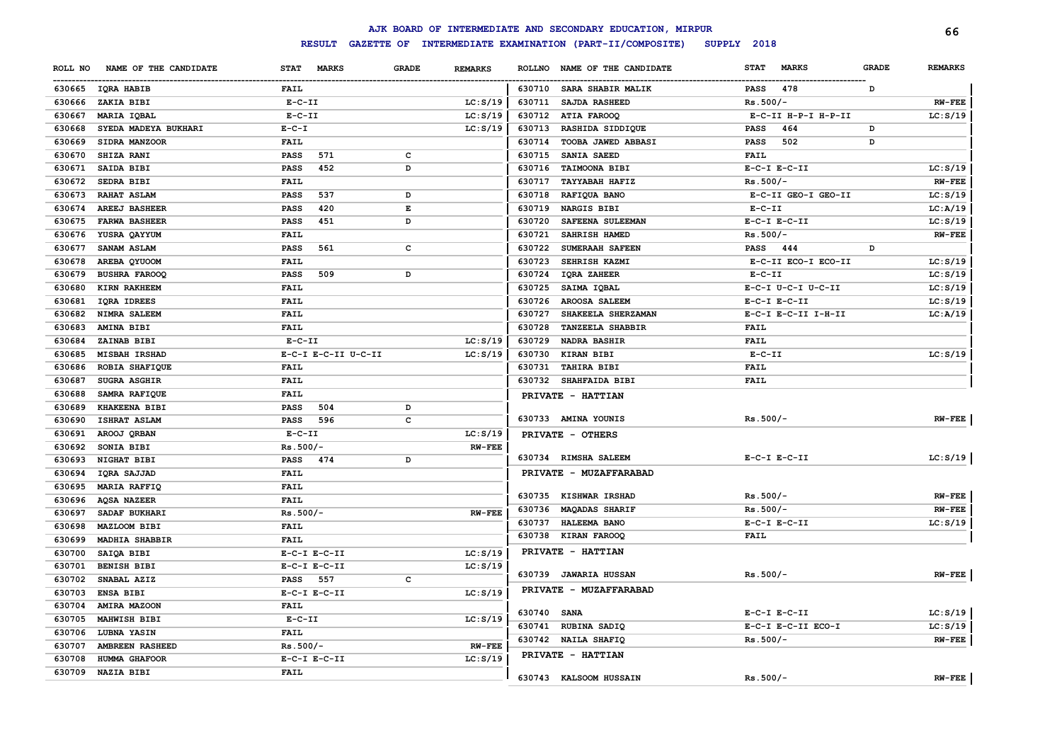|         |                       |                 |                     |              |                |               | AJK BOARD OF INTERMEDIATE AND SECONDARY EDUCATION, MIRPUR |                             |              | 66             |
|---------|-----------------------|-----------------|---------------------|--------------|----------------|---------------|-----------------------------------------------------------|-----------------------------|--------------|----------------|
|         |                       |                 | <b>RESULT</b>       |              |                |               | GAZETTE OF INTERMEDIATE EXAMINATION (PART-II/COMPOSITE)   | SUPPLY 2018                 |              |                |
| ROLL NO | NAME OF THE CANDIDATE | <b>STAT</b>     | <b>MARKS</b>        | <b>GRADE</b> | <b>REMARKS</b> | <b>ROLLNO</b> | NAME OF THE CANDIDATE                                     | <b>MARKS</b><br><b>STAT</b> | <b>GRADE</b> | <b>REMARKS</b> |
|         | 630665 IQRA HABIB     | FAIL            |                     |              |                | 630710        | SARA SHABIR MALIK                                         | 478<br>PASS                 | D            |                |
| 630666  | ZAKIA BIBI            | $E-C-II$        |                     |              | LC: S/19       | 630711        | SAJDA RASHEED                                             | $Rs.500/-$                  |              | $RW-FEE$       |
| 630667  | MARIA IQBAL           | $E-C-II$        |                     |              | LC: S/19       | 630712        | ATIA FAROOQ                                               | E-C-II H-P-I H-P-II         |              | LC: S/19       |
| 630668  | SYEDA MADEYA BUKHARI  | $E - C - I$     |                     |              | LC: S/19       | 630713        | RASHIDA SIDDIQUE                                          | <b>PASS</b><br>464          | D            |                |
| 630669  | SIDRA MANZOOR         | <b>FAIL</b>     |                     |              |                | 630714        | TOOBA JAWED ABBASI                                        | 502<br><b>PASS</b>          | D            |                |
| 630670  | SHIZA RANI            | <b>PASS</b>     | 571                 | $\mathbf{C}$ |                | 630715        | SANIA SAEED                                               | <b>FAIL</b>                 |              |                |
| 630671  | SAIDA BIBI            | <b>PASS</b>     | 452                 | D            |                | 630716        | TAIMOONA BIBI                                             | $E-C-I$ $E-C-II$            |              | LC: S/19       |
| 630672  | SEDRA BIBI            | FAIL            |                     |              |                | 630717        | <b>TAYYABAH HAFIZ</b>                                     | $Rs.500/-$                  |              | <b>RW-FEE</b>  |
| 630673  | <b>RAHAT ASLAM</b>    | PASS            | 537                 | D            |                | 630718        | RAFIQUA BANO                                              | E-C-II GEO-I GEO-II         |              | LC: S/19       |
| 630674  | <b>AREEJ BASHEER</b>  | PASS            | 420                 | E            |                | 630719        | NARGIS BIBI                                               | $E-C-II$                    |              | LC: A/19       |
| 630675  | <b>FARWA BASHEER</b>  | <b>PASS</b>     | 451                 | D            |                | 630720        | SAFEENA SULEEMAN                                          | $E-C-I$ $E-C-II$            |              | LC: S/19       |
| 630676  | YUSRA QAYYUM          | FAIL            |                     |              |                | 630721        | SAHRISH HAMED                                             | $Rs.500/-$                  |              | $RW-FEE$       |
| 630677  | SANAM ASLAM           | <b>PASS</b>     | 561                 | c            |                | 630722        | SUMERAAH SAFEEN                                           | PASS 444                    | D            |                |
| 630678  | AREBA QYUOOM          | FAIL            |                     |              |                | 630723        | SEHRISH KAZMI                                             | E-C-II ECO-I ECO-II         |              | LC: S/19       |
| 630679  | <b>BUSHRA FAROOQ</b>  | PASS            | 509                 | D            |                | 630724        | <b>IQRA ZAHEER</b>                                        | $E-C-II$                    |              | LC: S/19       |
| 630680  | KIRN RAKHEEM          | FAIL            |                     |              |                | 630725        | SAIMA IQBAL                                               | E-C-I U-C-I U-C-II          |              | LC: S/19       |
| 630681  | IQRA IDREES           | FAIL            |                     |              |                | 630726        | <b>AROOSA SALEEM</b>                                      | $E-C-I$ $E-C-II$            |              | LC: S/19       |
| 630682  | <b>NIMRA SALEEM</b>   | FAIL            |                     |              |                | 630727        | SHAKEELA SHERZAMAN                                        | E-C-I E-C-II I-H-II         |              | LC: A/19       |
| 630683  | AMINA BIBI            | FAIL            |                     |              |                | 630728        | <b>TANZEELA SHABBIR</b>                                   | FAIL                        |              |                |
| 630684  | ZAINAB BIBI           | $E-C-II$        |                     |              | LC: S/19       | 630729        | NADRA BASHIR                                              | FAIL                        |              |                |
| 630685  | <b>MISBAH IRSHAD</b>  |                 | E-C-I E-C-II U-C-II |              | LC: S/19       | 630730        | <b>KIRAN BIBI</b>                                         | $E-C-II$                    |              | LC: S/19       |
| 630686  | <b>ROBIA SHAFIQUE</b> | FAIL            |                     |              |                | 630731        | <b>TAHIRA BIBI</b>                                        | FAIL                        |              |                |
| 630687  | <b>SUGRA ASGHIR</b>   | <b>FAIL</b>     |                     |              |                | 630732        | <b>SHAHFAIDA BIBI</b>                                     | FAIL                        |              |                |
| 630688  | <b>SAMRA RAFIQUE</b>  | <b>FAIL</b>     |                     |              |                |               | PRIVATE - HATTIAN                                         |                             |              |                |
| 630689  | KHAKEENA BIBI         | <b>PASS</b>     | 504                 | D            |                |               |                                                           |                             |              |                |
| 630690  | <b>ISHRAT ASLAM</b>   | <b>PASS</b>     | 596                 | c            |                |               | 630733 AMINA YOUNIS                                       | $Rs.500/-$                  |              | $RW-FEE$       |
| 630691  | AROOJ QRBAN           | $E-C-II$        |                     |              | LC: S/19       |               | PRIVATE - OTHERS                                          |                             |              |                |
| 630692  | SONIA BIBI            | $Rs.500/-$      |                     |              | $RW-FEE$       |               |                                                           |                             |              |                |
| 630693  | NIGHAT BIBI           | <b>PASS</b>     | 474                 | D            |                |               | 630734 RIMSHA SALEEM                                      | $E-C-I$ $E-C-II$            |              | LC: S/19       |
| 630694  | <b>IORA SAJJAD</b>    | <b>FAIL</b>     |                     |              |                |               | PRIVATE - MUZAFFARABAD                                    |                             |              |                |
| 630695  | MARIA RAFFIQ          | <b>FAIL</b>     |                     |              |                |               |                                                           |                             |              |                |
| 630696  | <b>AQSA NAZEER</b>    | <b>FAIL</b>     |                     |              |                |               | 630735 KISHWAR IRSHAD                                     | $Rs.500/-$                  |              | $RW-FEE$       |
| 630697  | SADAF BUKHARI         | $Rs.500/-$      |                     |              | $RW-FEE$       | 630736        | <b>MAQADAS SHARIF</b>                                     | $Rs.500/-$                  |              | $RW-FEE$       |
| 630698  | <b>MAZLOOM BIBI</b>   | <b>FAIL</b>     |                     |              |                | 630737        | <b>HALEEMA BANO</b>                                       | $E-C-I$ $E-C-II$            |              | LC: S/19       |
| 630699  | MADHIA SHABBIR        | <b>FAIL</b>     |                     |              |                | 630738        | <b>KIRAN FAROOQ</b>                                       | <b>FAIL</b>                 |              |                |
| 630700  | SAIQA BIBI            |                 | $E-C-I$ $E-C-II$    |              | LC: S/19       |               | PRIVATE - HATTIAN                                         |                             |              |                |
| 630701  | <b>BENISH BIBI</b>    |                 | $E-C-I$ $E-C-II$    |              | LC: S/19       |               | 630739 JAWARIA HUSSAN                                     | $Rs.500/-$                  |              |                |
| 630702  | SNABAL AZIZ           | <b>PASS</b> 557 |                     | $\mathbf{C}$ |                |               |                                                           |                             |              | $RW$ - $FEE$   |
| 630703  | <b>ENSA BIBI</b>      |                 | $E-C-I$ $E-C-II$    |              | LC: S/19       |               | PRIVATE - MUZAFFARABAD                                    |                             |              |                |
| 630704  | <b>AMIRA MAZOON</b>   | <b>FAIL</b>     |                     |              |                | 630740 SANA   |                                                           | $E-C-I$ $E-C-II$            |              | LC: S/19       |
| 630705  | MAHWISH BIBI          | $E-C-II$        |                     |              | LC: S/19       |               | 630741 RUBINA SADIQ                                       | E-C-I E-C-II ECO-I          |              | LC: S/19       |
| 630706  | LUBNA YASIN           | <b>FAIL</b>     |                     |              |                |               | 630742 NAILA SHAFIQ                                       | $Rs.500/-$                  |              | $RW$ -FEE      |
| 630707  | AMBREEN RASHEED       | $Rs.500/-$      |                     |              | <b>RW-FEE</b>  |               |                                                           |                             |              |                |
| 630708  | HUMMA GHAFOOR         |                 | $E-C-I$ $E-C-II$    |              | LC: S/19       |               | PRIVATE - HATTIAN                                         |                             |              |                |
| 630709  | <b>NAZIA BIBI</b>     | FAIL            |                     |              |                |               | 630743 KALSOOM HUSSAIN                                    | $Rs.500/-$                  |              | $RW-FEE$       |
|         |                       |                 |                     |              |                |               |                                                           |                             |              |                |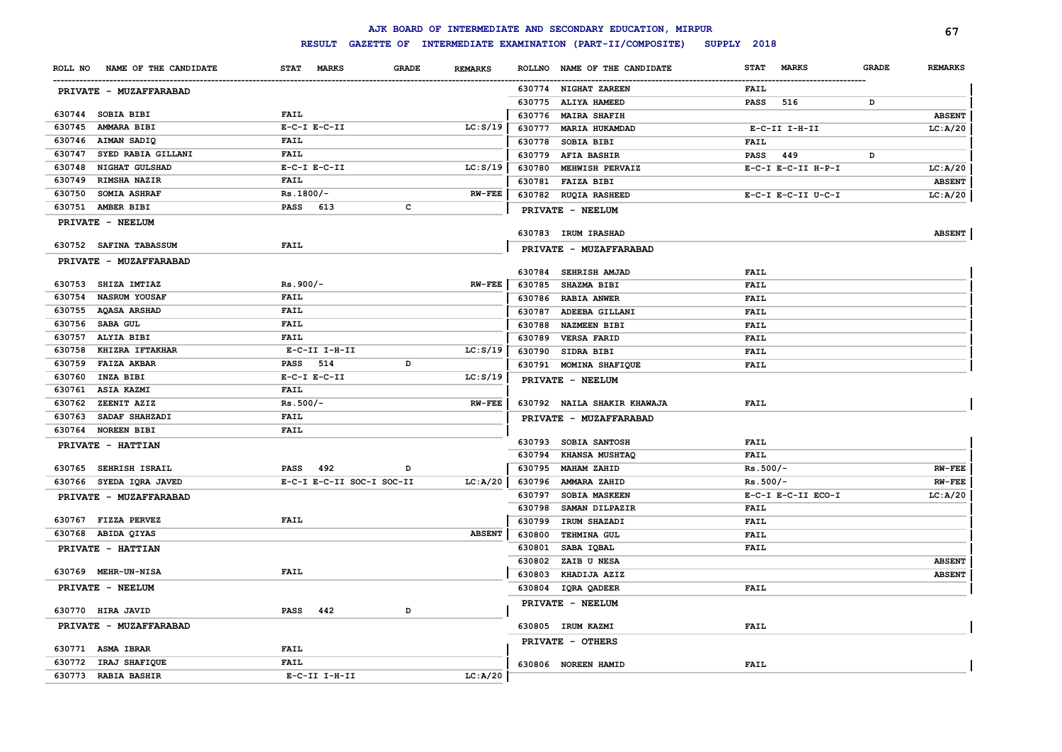|                              |                       |                  |                           |              |                |               | AJK BOARD OF INTERMEDIATE AND SECONDARY EDUCATION, MIRPUR |             |                    |              | 67             |
|------------------------------|-----------------------|------------------|---------------------------|--------------|----------------|---------------|-----------------------------------------------------------|-------------|--------------------|--------------|----------------|
|                              |                       |                  | <b>RESULT</b>             |              |                |               | GAZETTE OF INTERMEDIATE EXAMINATION (PART-II/COMPOSITE)   | SUPPLY 2018 |                    |              |                |
| ROLL NO                      | NAME OF THE CANDIDATE | STAT             | <b>MARKS</b>              | <b>GRADE</b> | <b>REMARKS</b> | <b>ROLLNO</b> | NAME OF THE CANDIDATE                                     | <b>STAT</b> | <b>MARKS</b>       | <b>GRADE</b> | <b>REMARKS</b> |
| PRIVATE - MUZAFFARABAD       |                       |                  |                           |              |                |               | 630774 NIGHAT ZAREEN                                      | FAIL        |                    |              |                |
|                              |                       |                  |                           |              |                | 630775        | <b>ALIYA HAMEED</b>                                       | PASS        | 516                | D            |                |
| 630744 SOBIA BIBI            |                       | <b>FAIL</b>      |                           |              |                |               | 630776 MAIRA SHAFIH                                       |             |                    |              | <b>ABSENT</b>  |
| 630745<br><b>AMMARA BIBI</b> |                       | $E-C-I$ $E-C-II$ |                           |              | LC: S/19       | 630777        | <b>MARIA HUKAMDAD</b>                                     |             | E-C-II I-H-II      |              | LC: A/20       |
| 630746<br>AIMAN SADIQ        |                       | <b>FAIL</b>      |                           |              |                | 630778        | <b>SOBIA BIBI</b>                                         | FAIL        |                    |              |                |
| 630747                       | SYED RABIA GILLANI    | FAIL             |                           |              |                | 630779        | <b>AFIA BASHIR</b>                                        | PASS        | 449                | D            |                |
| 630748                       | NIGHAT GULSHAD        | $E-C-I$ $E-C-II$ |                           |              | LC: S/19       | 630780        | MEHWISH PERVAIZ                                           |             | E-C-I E-C-II H-P-I |              | LC: A/20       |
| 630749                       | <b>RIMSHA NAZIR</b>   | <b>FAIL</b>      |                           |              |                |               | 630781 FAIZA BIBI                                         |             |                    |              | <b>ABSENT</b>  |
| 630750                       | SOMIA ASHRAF          | $Rs.1800/-$      |                           |              | <b>RW-FEE</b>  |               | 630782 RUQIA RASHEED                                      |             | E-C-I E-C-II U-C-I |              | LC: A/20       |
| 630751<br>AMBER BIBI         |                       | PASS 613         |                           | с            |                |               | PRIVATE - NEELUM                                          |             |                    |              |                |
| PRIVATE - NEELUM             |                       |                  |                           |              |                |               |                                                           |             |                    |              |                |
|                              |                       |                  |                           |              |                |               | 630783 IRUM IRASHAD                                       |             |                    |              | <b>ABSENT</b>  |
| 630752 SAFINA TABASSUM       |                       | <b>FAIL</b>      |                           |              |                |               | PRIVATE - MUZAFFARABAD                                    |             |                    |              |                |
| PRIVATE - MUZAFFARABAD       |                       |                  |                           |              |                |               | 630784 SEHRISH AMJAD                                      | <b>FAIL</b> |                    |              |                |
| 630753 SHIZA IMTIAZ          |                       | $Rs.900/-$       |                           |              | $RW-FEE$       | 630785        | <b>SHAZMA BIBI</b>                                        | <b>FAIL</b> |                    |              |                |
| 630754                       | <b>NASRUM YOUSAF</b>  | <b>FAIL</b>      |                           |              |                |               | 630786 RABIA ANWER                                        | <b>FAIL</b> |                    |              |                |
| 630755 AQASA ARSHAD          |                       | <b>FAIL</b>      |                           |              |                | 630787        | ADEEBA GILLANI                                            | <b>FAIL</b> |                    |              |                |
| 630756 SABA GUL              |                       | <b>FAIL</b>      |                           |              |                | 630788        | <b>NAZMEEN BIBI</b>                                       | <b>FAIL</b> |                    |              |                |
| 630757<br>ALYIA BIBI         |                       | <b>FAIL</b>      |                           |              |                | 630789        | <b>VERSA FARID</b>                                        | <b>FAIL</b> |                    |              |                |
| 630758                       | KHIZRA IFTAKHAR       |                  | $E-C-II$ I-H-II           |              | LC: S/19       | 630790        | SIDRA BIBI                                                | <b>FAIL</b> |                    |              |                |
| 630759<br><b>FAIZA AKBAR</b> |                       | <b>PASS</b>      | 514                       | D            |                |               | 630791 MOMINA SHAFIQUE                                    | <b>FAIL</b> |                    |              |                |
| 630760<br>INZA BIBI          |                       | $E-C-I$ $E-C-II$ |                           |              | LC: S/19       |               | PRIVATE - NEELUM                                          |             |                    |              |                |
| 630761<br><b>ASIA KAZMI</b>  |                       | <b>FAIL</b>      |                           |              |                |               |                                                           |             |                    |              |                |
| 630762<br>ZEENIT AZIZ        |                       | $Rs.500/-$       |                           |              | <b>RW-FEE</b>  |               | 630792 NAILA SHAKIR KHAWAJA                               | FAIL        |                    |              |                |
| 630763                       | SADAF SHAHZADI        | <b>FAIL</b>      |                           |              |                |               | PRIVATE - MUZAFFARABAD                                    |             |                    |              |                |
| 630764 NOREEN BIBI           |                       | <b>FAIL</b>      |                           |              |                |               |                                                           |             |                    |              |                |
| PRIVATE - HATTIAN            |                       |                  |                           |              |                | 630793        | <b>SOBIA SANTOSH</b>                                      | <b>FAIL</b> |                    |              |                |
|                              |                       |                  |                           |              |                | 630794        | <b>KHANSA MUSHTAQ</b>                                     | <b>FAIL</b> |                    |              |                |
| 630765                       | <b>SEHRISH ISRAIL</b> | PASS             | 492                       | D            |                | 630795        | MAHAM ZAHID                                               | $Rs.500/-$  |                    |              | <b>RW-FEE</b>  |
| 630766 SYEDA IQRA JAVED      |                       |                  | E-C-I E-C-II SOC-I SOC-II |              | LC: A/20       | 630796        | AMMARA ZAHID                                              | $Rs.500/-$  |                    |              | $RW-FEE$       |
| PRIVATE - MUZAFFARABAD       |                       |                  |                           |              |                | 630797        | SOBIA MASKEEN                                             |             | E-C-I E-C-II ECO-I |              | LC: A/20       |
|                              |                       |                  |                           |              |                | 630798        | SAMAN DILPAZIR                                            | <b>FAIL</b> |                    |              |                |
| 630767 FIZZA PERVEZ          |                       | <b>FAIL</b>      |                           |              |                | 630799        | IRUM SHAZADI                                              | <b>FAIL</b> |                    |              |                |
| 630768 ABIDA QIYAS           |                       |                  |                           |              | <b>ABSENT</b>  | 630800        | <b>TEHMINA GUL</b>                                        | <b>FAIL</b> |                    |              |                |
| PRIVATE - HATTIAN            |                       |                  |                           |              |                | 630801        | SABA IQBAL                                                | FAIL        |                    |              |                |
|                              |                       |                  |                           |              |                | 630802        | ZAIB U NESA                                               |             |                    |              | <b>ABSENT</b>  |
| 630769 MEHR-UN-NISA          |                       | <b>FAIL</b>      |                           |              |                | 630803        | KHADIJA AZIZ                                              |             |                    |              | <b>ABSENT</b>  |
| PRIVATE - NEELUM             |                       |                  |                           |              |                |               | 630804 IQRA QADEER                                        | FAIL        |                    |              |                |
| 630770 HIRA JAVID            |                       | PASS             | 442                       | D            |                |               | PRIVATE - NEELUM                                          |             |                    |              |                |
| PRIVATE - MUZAFFARABAD       |                       |                  |                           |              |                |               | 630805 IRUM KAZMI                                         | <b>FAIL</b> |                    |              |                |
|                              |                       |                  |                           |              |                |               |                                                           |             |                    |              |                |
| 630771 ASMA IBRAR            |                       | <b>FAIL</b>      |                           |              |                |               | PRIVATE - OTHERS                                          |             |                    |              |                |
| 630772 IRAJ SHAFIQUE         |                       | <b>FAIL</b>      |                           |              |                |               | 630806 NOREEN HAMID                                       | <b>FAIL</b> |                    |              |                |
| 630773 RABIA BASHIR          |                       |                  | $E-C-II$ I-H-II           |              | LC: A/20       |               |                                                           |             |                    |              |                |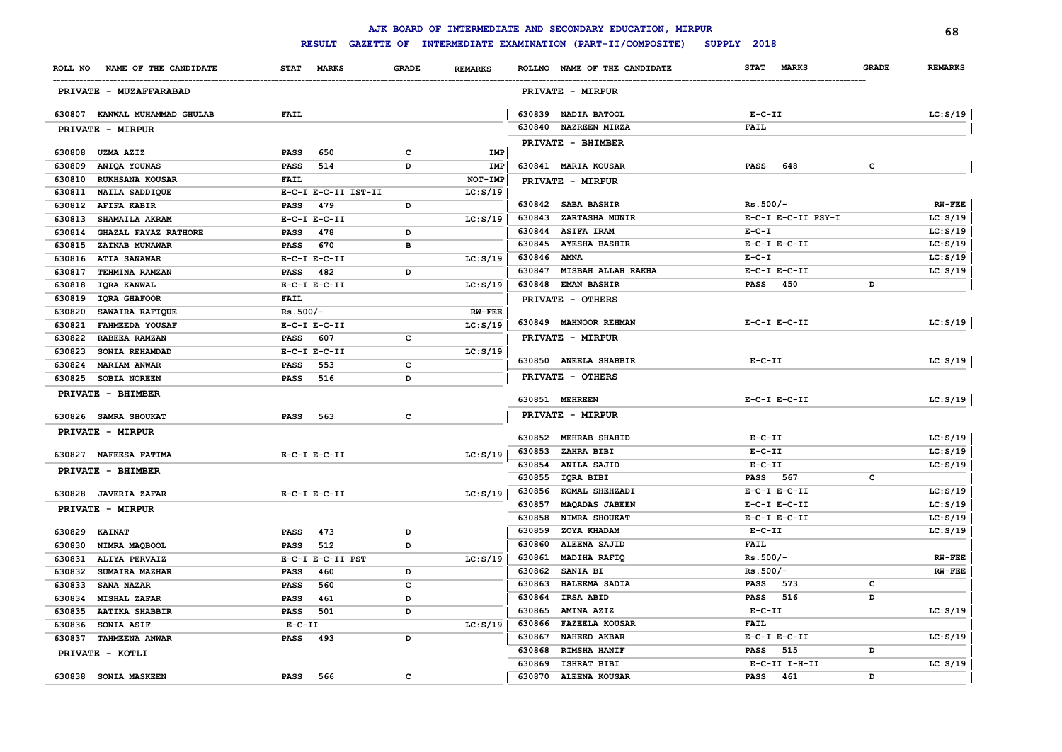|         |                               |             |                     |              |                |             | AJK BOARD OF INTERMEDIATE AND SECONDARY EDUCATION, MIRPUR |                             |              | 68             |
|---------|-------------------------------|-------------|---------------------|--------------|----------------|-------------|-----------------------------------------------------------|-----------------------------|--------------|----------------|
|         |                               |             | <b>RESULT</b>       |              |                |             | GAZETTE OF INTERMEDIATE EXAMINATION (PART-II/COMPOSITE)   | SUPPLY 2018                 |              |                |
| ROLL NO | NAME OF THE CANDIDATE         |             | STAT MARKS          | <b>GRADE</b> | <b>REMARKS</b> |             | ROLLNO NAME OF THE CANDIDATE                              | <b>MARKS</b><br><b>STAT</b> | <b>GRADE</b> | <b>REMARKS</b> |
|         | PRIVATE - MUZAFFARABAD        |             |                     |              |                |             | PRIVATE - MIRPUR                                          |                             |              |                |
|         | 630807 KANWAL MUHAMMAD GHULAB | <b>FAIL</b> |                     |              |                |             | 630839 NADIA BATOOL                                       | $E-C-II$                    |              | LC: S/19       |
|         | PRIVATE - MIRPUR              |             |                     |              |                |             | 630840 NAZREEN MIRZA                                      | <b>FAIL</b>                 |              |                |
|         |                               |             |                     |              |                |             | PRIVATE - BHIMBER                                         |                             |              |                |
| 630808  | <b>UZMA AZIZ</b>              | <b>PASS</b> | 650                 | с            | IMP            |             |                                                           |                             |              |                |
| 630809  | ANIQA YOUNAS                  | <b>PASS</b> | 514                 | D            | IMP            |             | 630841 MARIA KOUSAR                                       | PASS<br>648                 | c            |                |
| 630810  | <b>RUKHSANA KOUSAR</b>        | FAIL        |                     |              | NOT-IMP        |             | PRIVATE - MIRPUR                                          |                             |              |                |
| 630811  | NAILA SADDIQUE                |             | E-C-I E-C-II IST-II |              | LC: S/19       |             |                                                           |                             |              |                |
| 630812  | <b>AFIFA KABIR</b>            | PASS        | 479                 | D            |                |             | 630842 SABA BASHIR                                        | $Rs.500/-$                  |              | $RW-FEE$       |
| 630813  | SHAMAILA AKRAM                |             | $E-C-I$ $E-C-II$    |              | LC: S/19       | 630843      | <b>ZARTASHA MUNIR</b>                                     | E-C-I E-C-II PSY-I          |              | LC: S/19       |
| 630814  | <b>GHAZAL FAYAZ RATHORE</b>   | PASS        | 478                 | D            |                | 630844      | <b>ASIFA IRAM</b>                                         | $E - C - I$                 |              | LC: S/19       |
| 630815  | ZAINAB MUNAWAR                | <b>PASS</b> | 670                 | в            |                | 630845      | <b>AYESHA BASHIR</b>                                      | $E-C-I$ $E-C-II$            |              | LC: S/19       |
| 630816  | <b>ATIA SANAWAR</b>           |             | $E-C-I$ $E-C-II$    |              | LC: S/19       | 630846 AMNA |                                                           | $E-C-I$                     |              | LC: S/19       |
| 630817  | TEHMINA RAMZAN                | PASS 482    |                     | D            |                | 630847      | <b>MISBAH ALLAH RAKHA</b>                                 | $E-C-I$ $E-C-II$            |              | LC: S/19       |
| 630818  | IQRA KANWAL                   |             | $E-C-I$ $E-C-II$    |              | LC: S/19       |             | 630848 EMAN BASHIR                                        | <b>PASS</b><br>450          | D            |                |
| 630819  | IQRA GHAFOOR                  | <b>FAIL</b> |                     |              |                |             | PRIVATE - OTHERS                                          |                             |              |                |
| 630820  | SAWAIRA RAFIQUE               | $Rs.500/-$  |                     |              | <b>RW-FEE</b>  |             |                                                           |                             |              |                |
| 630821  | <b>FAHMEEDA YOUSAF</b>        |             | $E- C-I$ $E-C-II$   |              | LC: S/19       |             | 630849 MAHNOOR REHMAN                                     | $E- C-I$ $E-C-II$           |              | LC: S/19       |
| 630822  | RABEEA RAMZAN                 | <b>PASS</b> | 607                 | с            |                |             | PRIVATE - MIRPUR                                          |                             |              |                |
| 630823  | SONIA REHAMDAD                |             | $E-C-I$ $E-C-II$    |              | LC: S/19       |             |                                                           | $E-C-II$                    |              |                |
| 630824  | <b>MARIAM ANWAR</b>           | <b>PASS</b> | 553                 | c            |                |             | 630850 ANEELA SHABBIR                                     |                             |              | LC: S/19       |
| 630825  | <b>SOBIA NOREEN</b>           | <b>PASS</b> | 516                 | D            |                |             | PRIVATE - OTHERS                                          |                             |              |                |
|         | PRIVATE - BHIMBER             |             |                     |              |                |             | 630851 MEHREEN                                            | $E-C-I$ $E-C-II$            |              | LC: S/19       |
|         | 630826 SAMRA SHOUKAT          | <b>PASS</b> | 563                 | c            |                |             | PRIVATE - MIRPUR                                          |                             |              |                |
|         | PRIVATE - MIRPUR              |             |                     |              |                |             |                                                           |                             |              |                |
|         |                               |             |                     |              |                |             | 630852 MEHRAB SHAHID                                      | $E-C-II$                    |              | LC: S/19       |
|         | 630827 NAFEESA FATIMA         |             | $E-C-I$ $E-C-II$    |              | LC: S/19       | 630853      | ZAHRA BIBI                                                | $E-C-II$                    |              | LC: S/19       |
|         | PRIVATE - BHIMBER             |             |                     |              |                | 630854      | <b>ANILA SAJID</b>                                        | $E- C- II$                  |              | LC: S/19       |
|         |                               |             |                     |              |                | 630855      | IQRA BIBI                                                 | PASS 567                    | c            |                |
|         | 630828 JAVERIA ZAFAR          |             | $E-C-I$ $E-C-II$    |              | LC: S/19       | 630856      | KOMAL SHEHZADI                                            | $E-C-I$ $E-C-II$            |              | LC: S/19       |
|         | PRIVATE - MIRPUR              |             |                     |              |                | 630857      | <b>MAQADAS JABEEN</b>                                     | $E-C-I$ $E-C-II$            |              | LC: S/19       |
|         |                               |             |                     |              |                | 630858      | NIMRA SHOUKAT                                             | $E-C-I$ $E-C-II$            |              | LC: S/19       |
| 630829  | <b>KAINAT</b>                 | <b>PASS</b> | 473                 | D            |                | 630859      | ZOYA KHADAM                                               | $E-C-II$                    |              | LC: S/19       |
| 630830  | NIMRA MAQBOOL                 | <b>PASS</b> | 512                 | D            |                | 630860      | <b>ALEENA SAJID</b>                                       | <b>FAIL</b>                 |              |                |
| 630831  | ALIYA PERVAIZ                 |             | E-C-I E-C-II PST    |              | LC: S/19       | 630861      | MADIHA RAFIQ                                              | $Rs.500/-$                  |              | $RW-FEE$       |
| 630832  | SUMAIRA MAZHAR                | <b>PASS</b> | 460                 | D            |                | 630862      | <b>SANIA BI</b>                                           | $Rs.500/-$                  |              | $RW-FEE$       |
| 630833  | <b>SANA NAZAR</b>             | <b>PASS</b> | 560                 | c            |                | 630863      | HALEEMA SADIA                                             | 573<br><b>PASS</b>          | c            |                |
| 630834  | <b>MISHAL ZAFAR</b>           | <b>PASS</b> | 461                 | D            |                | 630864      | <b>IRSA ABID</b>                                          | <b>PASS</b><br>516          | D            |                |
| 630835  | <b>AATIKA SHABBIR</b>         | PASS        | 501                 | D            |                | 630865      | <b>AMINA AZIZ</b>                                         | $E-C-II$                    |              | LC: S/19       |
| 630836  | SONIA ASIF                    | $E- C- II$  |                     |              | LC: S/19       | 630866      | <b>FAZEELA KOUSAR</b>                                     | <b>FAIL</b>                 |              |                |
| 630837  | <b>TAHMEENA ANWAR</b>         | <b>PASS</b> | 493                 | D            |                | 630867      | <b>NAHEED AKBAR</b>                                       | $E-C-I$ $E-C-II$            |              | LC: S/19       |
|         | PRIVATE - KOTLI               |             |                     |              |                | 630868      | <b>RIMSHA HANIF</b>                                       | 515<br><b>PASS</b>          | D            |                |
|         |                               |             |                     |              |                | 630869      | <b>ISHRAT BIBI</b>                                        | $E-C-II$ I-H-II             |              | LC: S/19       |
|         | 630838 SONIA MASKEEN          | <b>PASS</b> | 566                 | с            |                | 630870      | <b>ALEENA KOUSAR</b>                                      | 461<br><b>PASS</b>          | D            |                |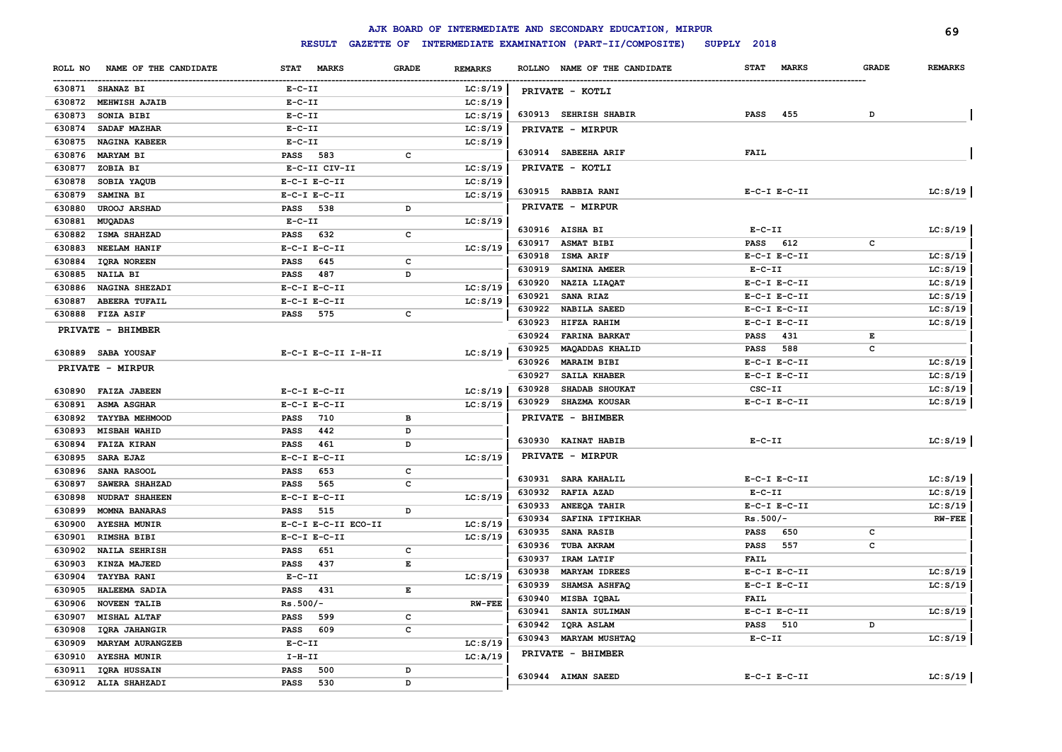|                  | AJK BOARD OF INTERMEDIATE AND SECONDARY EDUCATION, MIRPUR<br>69                         |                     |                                                                                                |                |        |                              |                             |              |                |  |  |  |  |
|------------------|-----------------------------------------------------------------------------------------|---------------------|------------------------------------------------------------------------------------------------|----------------|--------|------------------------------|-----------------------------|--------------|----------------|--|--|--|--|
|                  | GAZETTE OF INTERMEDIATE EXAMINATION (PART-II/COMPOSITE)<br><b>RESULT</b><br>SUPPLY 2018 |                     |                                                                                                |                |        |                              |                             |              |                |  |  |  |  |
| ROLL NO          | NAME OF THE CANDIDATE                                                                   | STAT MARKS          | <b>GRADE</b>                                                                                   | <b>REMARKS</b> |        | ROLLNO NAME OF THE CANDIDATE | <b>STAT</b><br><b>MARKS</b> | <b>GRADE</b> | <b>REMARKS</b> |  |  |  |  |
| 630871 SHANAZ BI |                                                                                         | $E- C- II$          |                                                                                                | LC: S/19       |        | PRIVATE - KOTLI              |                             |              |                |  |  |  |  |
|                  | 630872 MEHWISH AJAIB                                                                    | $E-C-II$            |                                                                                                | LC: S/19       |        |                              |                             |              |                |  |  |  |  |
| 630873           | SONIA BIBI                                                                              | $E-C-II$            |                                                                                                | LC: S/19       |        | 630913 SEHRISH SHABIR        | 455<br><b>PASS</b>          | D            |                |  |  |  |  |
| 630874           | SADAF MAZHAR                                                                            | $E-C-II$            |                                                                                                | LC: S/19       |        | PRIVATE - MIRPUR             |                             |              |                |  |  |  |  |
| 630875           | <b>NAGINA KABEER</b>                                                                    | $E-C-II$            |                                                                                                | LC: S/19       |        |                              |                             |              |                |  |  |  |  |
| 630876 MARYAM BI |                                                                                         | PASS 583            | c                                                                                              |                |        | 630914 SABEEHA ARIF          | <b>FAIL</b>                 |              |                |  |  |  |  |
| 630877           | ZOBIA BI                                                                                | E-C-II CIV-II       |                                                                                                | LC: S/19       |        | PRIVATE - KOTLI              |                             |              |                |  |  |  |  |
| 630878           | SOBIA YAQUB                                                                             | $E-C-I$ $E-C-II$    |                                                                                                | LC: S/19       |        |                              |                             |              |                |  |  |  |  |
| 630879           | <b>SAMINA BI</b>                                                                        | $E-C-I$ $E-C-II$    |                                                                                                | LC: S/19       |        | 630915 RABBIA RANI           | $E-C-I$ $E-C-II$            |              | LC: S/19       |  |  |  |  |
| 630880           | <b>UROOJ ARSHAD</b>                                                                     | 538<br><b>PASS</b>  | D                                                                                              |                |        | PRIVATE - MIRPUR             |                             |              |                |  |  |  |  |
| 630881           | MUQADAS                                                                                 | $E-C-II$            |                                                                                                | LC: S/19       |        |                              |                             |              |                |  |  |  |  |
| 630882           | <b>ISMA SHAHZAD</b>                                                                     | <b>PASS</b><br>632  | c                                                                                              |                |        | 630916 AISHA BI              | $E-C-II$                    |              | LC: S/19       |  |  |  |  |
| 630883           | <b>NEELAM HANIF</b>                                                                     | $E-C-I$ $E-C-II$    |                                                                                                | LC: S/19       |        | 630917 ASMAT BIBI            | <b>PASS</b><br>612          | c            |                |  |  |  |  |
| 630884           | <b>IQRA NOREEN</b>                                                                      | 645<br>PASS         | c                                                                                              |                |        | 630918 ISMA ARIF             | $E-C-I$ $E-C-II$            |              | LC: S/19       |  |  |  |  |
| 630885           | NAILA BI                                                                                | 487<br><b>PASS</b>  | D                                                                                              |                |        | 630919 SAMINA AMEER          | $E-C-II$                    |              | LC: S/19       |  |  |  |  |
| 630886           | NAGINA SHEZADI                                                                          | $E-C-I$ $E-C-II$    |                                                                                                | LC: S/19       |        | 630920 NAZIA LIAQAT          | $E-C-I$ $E-C-II$            |              | LC: S/19       |  |  |  |  |
| 630887           | <b>ABEERA TUFAIL</b>                                                                    | $E-C-I$ $E-C-II$    |                                                                                                | LC: S/19       | 630921 | <b>SANA RIAZ</b>             | $E-C-I$ $E-C-II$            |              | LC: S/19       |  |  |  |  |
| 630888 FIZA ASIF |                                                                                         | <b>PASS</b><br>575  | c                                                                                              |                |        | 630922 NABILA SAEED          | $E-C-I$ $E-C-II$            |              | LC: S/19       |  |  |  |  |
|                  | PRIVATE - BHIMBER                                                                       |                     |                                                                                                |                | 630923 | HIFZA RAHIM                  | $E-C-I$ $E-C-II$            |              | LC: S/19       |  |  |  |  |
|                  |                                                                                         |                     |                                                                                                |                | 630924 | <b>FARINA BARKAT</b>         | <b>PASS</b><br>431          | Е            |                |  |  |  |  |
|                  | 630889 SABA YOUSAF                                                                      | E-C-I E-C-II I-H-II |                                                                                                | LC: S/19       | 630925 | <b>MAQADDAS KHALID</b>       | <b>PASS</b><br>588          | с            |                |  |  |  |  |
|                  | PRIVATE - MIRPUR                                                                        |                     |                                                                                                |                |        | 630926 MARAIM BIBI           | $E-C-I$ $E-C-II$            |              | LC: S/19       |  |  |  |  |
|                  |                                                                                         |                     |                                                                                                |                | 630927 | <b>SAILA KHABER</b>          | $E-C-I$ $E-C-II$            |              | LC: S/19       |  |  |  |  |
|                  | 630890 FAIZA JABEEN                                                                     | $E-C-I$ $E-C-II$    |                                                                                                | LC: S/19       | 630928 | SHADAB SHOUKAT               | CSC-II                      |              | LC: S/19       |  |  |  |  |
| 630891           | <b>ASMA ASGHAR</b>                                                                      | $E-C-I$ $E-C-II$    |                                                                                                | LC: S/19       | 630929 | <b>SHAZMA KOUSAR</b>         | $E-C-I$ $E-C-II$            |              | LC: S/19       |  |  |  |  |
| 630892           | <b>TAYYBA MEHMOOD</b>                                                                   | 710<br>PASS         | в                                                                                              |                |        | PRIVATE - BHIMBER            |                             |              |                |  |  |  |  |
| 630893           | <b>MISBAH WAHID</b>                                                                     | 442<br>PASS         | D                                                                                              |                |        |                              |                             |              |                |  |  |  |  |
| 630894           | <b>FAIZA KIRAN</b>                                                                      | <b>PASS</b><br>461  | D                                                                                              |                |        | 630930 KAINAT HABIB          | $E- C- II$                  |              | LC: S/19       |  |  |  |  |
| 630895           | <b>SARA EJAZ</b>                                                                        | $E-C-I$ $E-C-II$    |                                                                                                | LC: S/19       |        | PRIVATE - MIRPUR             |                             |              |                |  |  |  |  |
| 630896           | SANA RASOOL                                                                             | 653<br><b>PASS</b>  | c                                                                                              |                |        |                              |                             |              |                |  |  |  |  |
| 630897           | SAWERA SHAHZAD                                                                          | 565<br><b>PASS</b>  | $\mathbf c$                                                                                    |                |        | 630931 SARA KAHALIL          | $E-C-I$ $E-C-II$            |              | LC: S/19       |  |  |  |  |
| 630898           | <b>NUDRAT SHAHEEN</b>                                                                   | $E-C-I$ $E-C-II$    |                                                                                                | LC: S/19       |        | 630932 RAFIA AZAD            | $E-C-II$                    |              | LC: S/19       |  |  |  |  |
| 630899           | <b>MOMNA BANARAS</b>                                                                    | 515<br><b>PASS</b>  | D                                                                                              |                |        | 630933 ANEEQA TAHIR          | $E-C-I$ $E-C-II$            |              | LC: S/19       |  |  |  |  |
| 630900           | <b>AYESHA MUNIR</b>                                                                     | E-C-I E-C-II ECO-II |                                                                                                | LC: S/19       |        | 630934 SAFINA IFTIKHAR       | $Rs.500/-$                  |              | $RW-FEE$       |  |  |  |  |
| 630901           | RIMSHA BIBI                                                                             | $E-C-I$ $E-C-II$    |                                                                                                | LC: S/19       | 630935 | <b>SANA RASIB</b>            | 650<br>PASS                 | c            |                |  |  |  |  |
| 630902           | <b>NAILA SEHRISH</b>                                                                    | <b>PASS</b><br>651  | с                                                                                              |                |        | 630936 TUBA AKRAM            | 557<br>PASS                 | с            |                |  |  |  |  |
| 630903           | KINZA MAJEED                                                                            | 437<br><b>PASS</b>  | E                                                                                              |                |        | 630937 IRAM LATIF            | FAIL                        |              |                |  |  |  |  |
| 630904           | <b>TAYYBA RANI</b>                                                                      | $E-C-II$            |                                                                                                | LC: S/19       | 630938 | <b>MARYAM IDREES</b>         | $E-C-I$ $E-C-II$            |              | LC: S/19       |  |  |  |  |
| 630905           | HALEEMA SADIA                                                                           | 431<br><b>PASS</b>  | $\mathbf{E}% _{t}\left  \mathbf{1}\right\rangle =\mathbf{1}_{t}\left  \mathbf{1}\right\rangle$ |                | 630939 | <b>SHAMSA ASHFAQ</b>         | $E-C-I$ $E-C-II$            |              | LC: S/19       |  |  |  |  |
| 630906           | <b>NOVEEN TALIB</b>                                                                     | $Rs.500/-$          |                                                                                                | <b>RW-FEE</b>  | 630940 | MISBA IQBAL                  | FAIL                        |              |                |  |  |  |  |
| 630907           | <b>MISHAL ALTAF</b>                                                                     | 599<br><b>PASS</b>  | c                                                                                              |                | 630941 | SANIA SULIMAN                | $E-C-I$ $E-C-II$            |              | LC: S/19       |  |  |  |  |
| 630908           | IQRA JAHANGIR                                                                           | 609<br>PASS         | c                                                                                              |                | 630942 | IQRA ASLAM                   | 510<br>PASS                 | D            |                |  |  |  |  |
| 630909           | <b>MARYAM AURANGZEB</b>                                                                 | $E-C-II$            |                                                                                                | LC: S/19       |        | 630943 MARYAM MUSHTAQ        | $E-C-II$                    |              | LC: S/19       |  |  |  |  |
| 630910           | <b>AYESHA MUNIR</b>                                                                     | $I-H-II$            |                                                                                                | LC:A/19        |        | PRIVATE - BHIMBER            |                             |              |                |  |  |  |  |
|                  | 630911 IQRA HUSSAIN                                                                     | <b>PASS</b><br>500  | D                                                                                              |                |        |                              |                             |              |                |  |  |  |  |
|                  | 630912 ALIA SHAHZADI                                                                    | PASS<br>530         | D                                                                                              |                |        | 630944 AIMAN SAEED           | $E-C-I$ $E-C-II$            |              | LC: S/19       |  |  |  |  |
|                  |                                                                                         |                     |                                                                                                |                |        |                              |                             |              |                |  |  |  |  |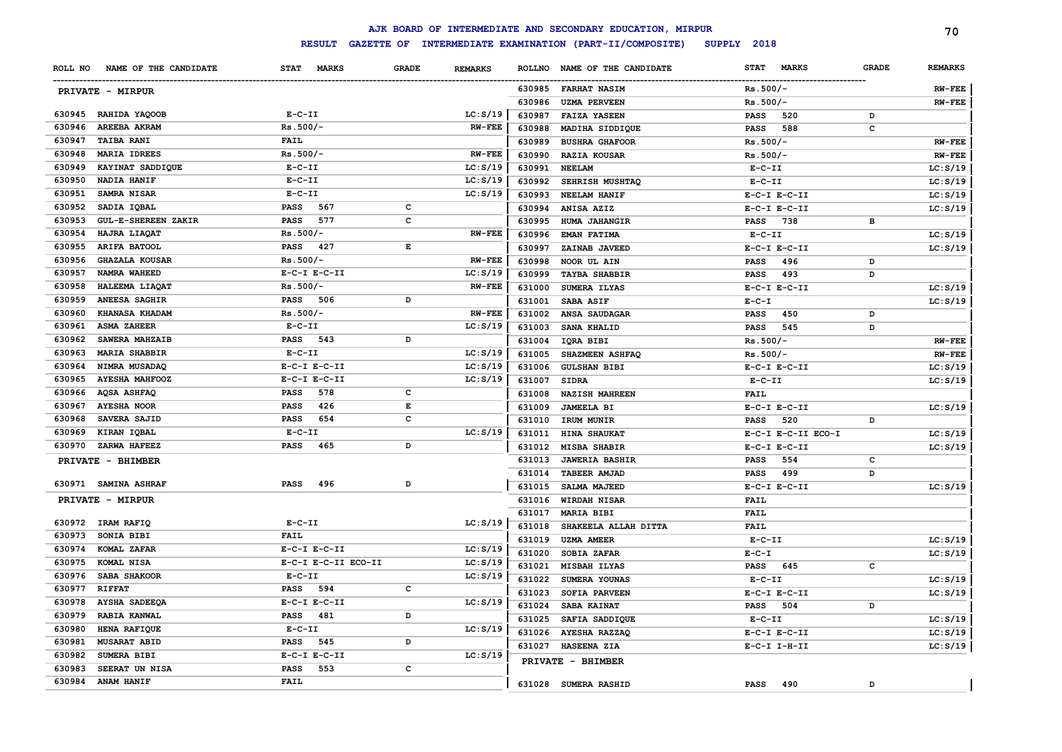|         |                            |                             |                   |                |               | AJK BOARD OF INTERMEDIATE AND SECONDARY EDUCATION, MIRPUR |              |                    |              | 70             |
|---------|----------------------------|-----------------------------|-------------------|----------------|---------------|-----------------------------------------------------------|--------------|--------------------|--------------|----------------|
|         |                            | <b>RESULT</b>               | <b>GAZETTE OF</b> |                |               | INTERMEDIATE EXAMINATION (PART-II/COMPOSITE)              | SUPPLY 2018  |                    |              |                |
| ROLL NO | NAME OF THE CANDIDATE      | <b>STAT</b><br><b>MARKS</b> | <b>GRADE</b>      | <b>REMARKS</b> | <b>ROLLNO</b> | NAME OF THE CANDIDATE                                     |              | STAT MARKS         | <b>GRADE</b> | <b>REMARKS</b> |
|         | PRIVATE - MIRPUR           |                             |                   |                |               | 630985 FARHAT NASIM                                       | $Rs.500/-$   |                    |              | <b>RW-FEE</b>  |
|         |                            |                             |                   |                | 630986        | <b>UZMA PERVEEN</b>                                       | $Rs.500/-$   |                    |              | $RW-FEE$       |
|         | 630945 RAHIDA YAQOOB       | $E-C-II$                    |                   | LC: S/19       | 630987        | <b>FAIZA YASEEN</b>                                       | <b>PASS</b>  | 520                | D            |                |
| 630946  | AREEBA AKRAM               | $Rs.500/-$                  |                   | <b>RW-FEE</b>  | 630988        | MADIHA SIDDIQUE                                           | <b>PASS</b>  | 588                | c            |                |
| 630947  | <b>TAIBA RANI</b>          | <b>FAIL</b>                 |                   |                | 630989        | <b>BUSHRA GHAFOOR</b>                                     | $Rs.500/-$   |                    |              | <b>RW-FEE</b>  |
| 630948  | <b>MARIA IDREES</b>        | $Rs.500/-$                  |                   | <b>RW-FEE</b>  | 630990        | <b>RAZIA KOUSAR</b>                                       | $Rs.500/-$   |                    |              | <b>RW-FEE</b>  |
| 630949  | KAYINAT SADDIQUE           | $E-C-II$                    |                   | LC: S/19       | 630991        | <b>NEELAM</b>                                             | $E-C-II$     |                    |              | LC: S/19       |
| 630950  | NADIA HANIF                | $E-C-II$                    |                   | LC: S/19       | 630992        | SEHRISH MUSHTAQ                                           | $E-C-II$     |                    |              | LC: S/19       |
| 630951  | SAMRA NISAR                | $E-C-II$                    |                   | LC: S/19       | 630993        | NEELAM HANIF                                              |              | $E-C-I$ $E-C-II$   |              | LC: S/19       |
| 630952  | SADIA IQBAL                | PASS 567                    | c                 |                | 630994        | ANISA AZIZ                                                |              | $E-C-I$ $E-C-II$   |              | LC: S/19       |
| 630953  | <b>GUL-E-SHEREEN ZAKIR</b> | 577<br>PASS                 | c                 |                | 630995        | <b>HUMA JAHANGIR</b>                                      | <b>PASS</b>  | 738                | в            |                |
| 630954  | HAJRA LIAQAT               | $Rs.500/-$                  |                   | <b>RW-FEE</b>  | 630996        | EMAN FATIMA                                               | $E - C - II$ |                    |              | LC: S/19       |
| 630955  | <b>ARIFA BATOOL</b>        | PASS 427                    | E                 |                | 630997        | ZAINAB JAVEED                                             |              | $E-C-I$ $E-C-II$   |              | LC: S/19       |
| 630956  | <b>GHAZALA KOUSAR</b>      | $Rs.500/-$                  |                   | <b>RW-FEE</b>  | 630998        | NOOR UL AIN                                               | <b>PASS</b>  | 496                | D            |                |
| 630957  | NAMRA WAHEED               | $E-C-I$ $E-C-II$            |                   | LC: S/19       | 630999        | <b>TAYBA SHABBIR</b>                                      | <b>PASS</b>  | 493                | D            |                |
| 630958  | HALEEMA LIAQAT             | $Rs.500/-$                  |                   | <b>RW-FEE</b>  | 631000        | SUMERA ILYAS                                              |              | $E-C-I$ $E-C-II$   |              | LC: S/19       |
| 630959  | ANEESA SAGHIR              | PASS 506                    | D                 |                | 631001        | SABA ASIF                                                 | $E-C-I$      |                    |              | LC: S/19       |
| 630960  | KHANASA KHADAM             | $Rs.500/-$                  |                   | <b>RW-FEE</b>  | 631002        | <b>ANSA SAUDAGAR</b>                                      | <b>PASS</b>  | 450                | D            |                |
| 630961  | <b>ASMA ZAHEER</b>         | $E-C-II$                    |                   | LC: S/19       | 631003        | SANA KHALID                                               | <b>PASS</b>  | 545                | D            |                |
| 630962  | SAWERA MAHZAIB             | PASS 543                    | D                 |                | 631004        | IQRA BIBI                                                 | $Rs.500/-$   |                    |              | <b>RW-FEE</b>  |
| 630963  | <b>MARIA SHABBIR</b>       | $E-C-II$                    |                   | LC: S/19       | 631005        | SHAZMEEN ASHFAQ                                           | $Rs.500/-$   |                    |              | <b>RW-FEE</b>  |
| 630964  | NIMRA MUSADAQ              | $E-C-I$ $E-C-II$            |                   | LC: S/19       | 631006        | <b>GULSHAN BIBI</b>                                       |              | $E-C-I$ $E-C-II$   |              | LC: S/19       |
| 630965  | <b>AYESHA MAHFOOZ</b>      | $E-C-I$ $E-C-II$            |                   | LC: S/19       | 631007        | <b>SIDRA</b>                                              | $E-C-II$     |                    |              | LC: S/19       |
| 630966  | AQSA ASHFAQ                | 578<br>PASS                 | c                 |                | 631008        | <b>NAZISH MAHREEN</b>                                     | <b>FAIL</b>  |                    |              |                |
| 630967  | <b>AYESHA NOOR</b>         | PASS<br>426                 | E                 |                | 631009        | <b>JAMEELA BI</b>                                         |              | $E-C-I$ $E-C-II$   |              | LC: S/19       |
| 630968  | SAVERA SAJID               | PASS<br>654                 | c                 |                | 631010        | IRUM MUNIR                                                | <b>PASS</b>  | 520                | D            |                |
| 630969  | KIRAN IQBAL                | $E-C-II$                    |                   | LC: S/19       | 631011        | <b>HINA SHAUKAT</b>                                       |              | E-C-I E-C-II ECO-I |              | LC: S/19       |
| 630970  | ZARWA HAFEEZ               | PASS<br>465                 | D                 |                | 631012        | <b>MISBA SHABIR</b>                                       |              | $E-C-I$ $E-C-II$   |              | LC: S/19       |
|         | PRIVATE - BHIMBER          |                             |                   |                | 631013        | <b>JAWERIA BASHIR</b>                                     | <b>PASS</b>  | 554                | $\mathbf{C}$ |                |
|         |                            |                             |                   |                | 631014        | TABEER AMJAD                                              | <b>PASS</b>  | 499                | D            |                |
|         | 630971 SAMINA ASHRAF       | <b>PASS</b><br>496          | D                 |                | 631015        | <b>SALMA MAJEED</b>                                       |              | $E-C-I$ $E-C-II$   |              | LC: S/19       |
|         | PRIVATE - MIRPUR           |                             |                   |                | 631016        | <b>WIRDAH NISAR</b>                                       | <b>FAIL</b>  |                    |              |                |
|         |                            |                             |                   |                | 631017        | MARIA BIBI                                                | <b>FAIL</b>  |                    |              |                |
|         | 630972 IRAM RAFIQ          | $E-C-II$                    |                   | LC: S/19       | 631018        | SHAKEELA ALLAH DITTA                                      | <b>FAIL</b>  |                    |              |                |
| 630973  | SONIA BIBI                 | <b>FAIL</b>                 |                   |                | 631019        | <b>UZMA AMEER</b>                                         | $E-C-II$     |                    |              | LC: S/19       |
| 630974  | KOMAL ZAFAR                | $E-C-I$ $E-C-II$            |                   | LC: S/19       | 631020        | <b>SOBIA ZAFAR</b>                                        | $E - C - I$  |                    |              | LC: S/19       |
| 630975  | KOMAL NISA                 | E-C-I E-C-II ECO-II         |                   | LC: S/19       | 631021        | <b>MISBAH ILYAS</b>                                       | <b>PASS</b>  | 645                | $\mathbf{C}$ |                |
| 630976  | <b>SABA SHAKOOR</b>        | $E- C- II$                  |                   | LC: S/19       | 631022        | SUMERA YOUNAS                                             | $E - C - II$ |                    |              | LC: S/19       |
| 630977  | <b>RIFFAT</b>              | <b>PASS</b><br>594          | c                 |                | 631023        | <b>SOFIA PARVEEN</b>                                      |              | $E-C-I$ $E-C-II$   |              | LC: S/19       |
| 630978  | <b>AYSHA SADEEQA</b>       | $E-C-I$ $E-C-II$            |                   | LC: S/19       | 631024        | SABA KAINAT                                               | <b>PASS</b>  | 504                | D            |                |
| 630979  | RABIA KANWAL               | 481<br>PASS                 | D                 |                | 631025        | SAFIA SADDIQUE                                            | $E-C-II$     |                    |              | LC: S/19       |
| 630980  | HENA RAFIQUE               | $E-C-II$                    |                   | LC: S/19       | 631026        | AYESHA RAZZAQ                                             |              | $E-C-I$ $E-C-II$   |              | LC: S/19       |
| 630981  | <b>MUSARAT ABID</b>        | 545<br><b>PASS</b>          | D                 |                | 631027        | HASEENA ZIA                                               |              | $E-C-I$ I-H-II     |              | LC: S/19       |
| 630982  | SUMERA BIBI                | $E-C-I$ $E-C-II$            |                   | LC: S/19       |               | PRIVATE - BHIMBER                                         |              |                    |              |                |
| 630983  | SEERAT UN NISA             | 553<br><b>PASS</b>          | c                 |                |               |                                                           |              |                    |              |                |
|         | 630984 ANAM HANIF          | <b>FAIL</b>                 |                   |                |               | 631028 SUMERA RASHID                                      | PASS         | 490                | D            |                |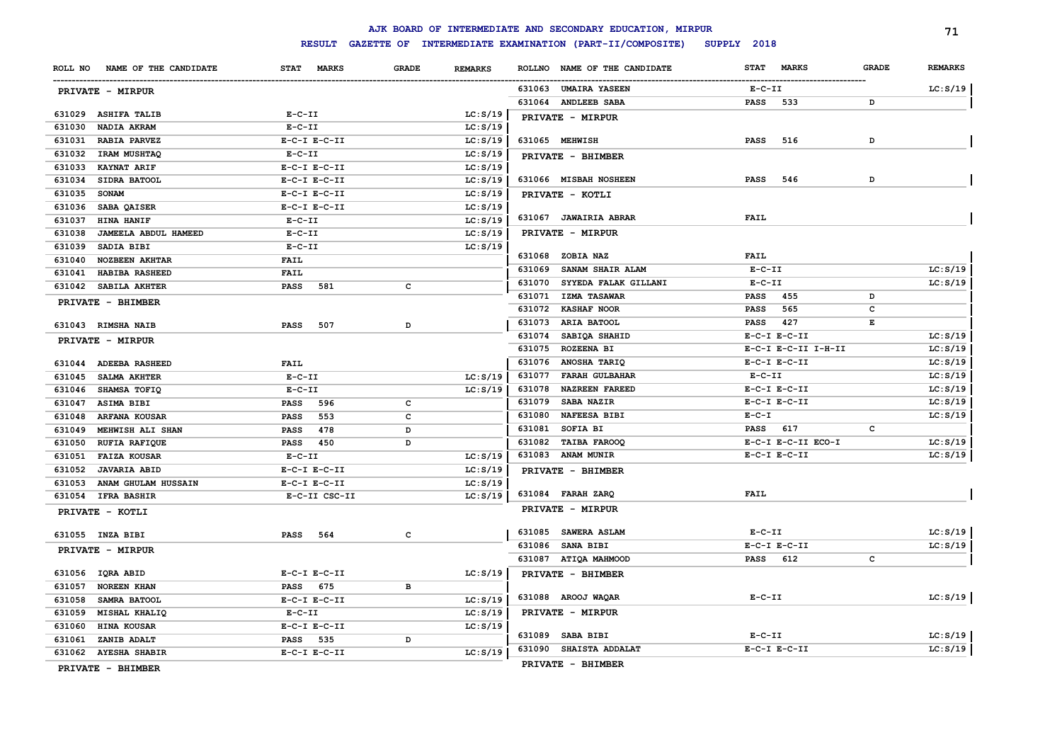# **RESULT GAZETTE OF INTERMEDIATE EXAMINATION (PART-II/COMPOSITE) SUPPLY 2018**

|                  |                                            |                                   |              |                      |                  | AJK BOARD OF INTERMEDIATE AND SECONDARY EDUCATION, MIRPUR |                 |                     |              | 71                   |
|------------------|--------------------------------------------|-----------------------------------|--------------|----------------------|------------------|-----------------------------------------------------------|-----------------|---------------------|--------------|----------------------|
|                  |                                            | <b>RESULT</b>                     |              |                      |                  | GAZETTE OF INTERMEDIATE EXAMINATION (PART-II/COMPOSITE)   | SUPPLY 2018     |                     |              |                      |
| ROLL NO          | NAME OF THE CANDIDATE                      | STAT MARKS                        | <b>GRADE</b> | <b>REMARKS</b>       |                  | ROLLNO NAME OF THE CANDIDATE                              | <b>STAT</b>     | <b>MARKS</b>        | <b>GRADE</b> | <b>REMARKS</b>       |
|                  | PRIVATE - MIRPUR                           |                                   |              |                      |                  | 631063 UMAIRA YASEEN                                      | $E-C-II$        |                     |              | LC: S/19             |
|                  |                                            |                                   |              |                      |                  | 631064 ANDLEEB SABA                                       | <b>PASS</b>     | 533                 | D            |                      |
| 631029           | <b>ASHIFA TALIB</b>                        | $E - C - II$                      |              | LC: S/19             |                  | PRIVATE - MIRPUR                                          |                 |                     |              |                      |
| 631030           | NADIA AKRAM                                | $E-C-II$                          |              | LC: S/19             |                  |                                                           |                 |                     |              |                      |
| 631031           | <b>RABIA PARVEZ</b>                        | $E-C-I$ $E-C-II$                  |              | LC: S/19             |                  | 631065 MEHWISH                                            | <b>PASS</b>     | 516                 | D            |                      |
| 631032           | <b>IRAM MUSHTAQ</b>                        | $E- C- II$                        |              | LC: S/19             |                  | PRIVATE - BHIMBER                                         |                 |                     |              |                      |
| 631033           | <b>KAYNAT ARIF</b>                         | $E-C-I$ $E-C-II$                  |              | LC: S/19             |                  |                                                           |                 |                     |              |                      |
| 631034           | SIDRA BATOOL                               | $E-C-I$ $E-C-II$                  |              | LC: S/19             |                  | 631066 MISBAH NOSHEEN                                     | <b>PASS</b>     | 546                 | D            |                      |
| 631035           | <b>SONAM</b>                               | $E-C-I$ $E-C-II$                  |              | LC: S/19             |                  | PRIVATE - KOTLI                                           |                 |                     |              |                      |
| 631036           | SABA QAISER                                | $E-C-I$ $E-C-II$                  |              | LC: S/19             |                  |                                                           |                 |                     |              |                      |
| 631037           | HINA HANIF                                 | $E-C-II$                          |              | LC: S/19             |                  | 631067 JAWAIRIA ABRAR                                     | <b>FAIL</b>     |                     |              |                      |
| 631038           | JAMEELA ABDUL HAMEED                       | $E - C - II$                      |              | LC: S/19             |                  | PRIVATE - MIRPUR                                          |                 |                     |              |                      |
| 631039           | SADIA BIBI                                 | $E-C-II$                          |              | LC: S/19             |                  |                                                           |                 |                     |              |                      |
| 631040           | <b>NOZBEEN AKHTAR</b>                      | <b>FAIL</b>                       |              |                      |                  | 631068 ZOBIA NAZ                                          | <b>FAIL</b>     |                     |              |                      |
| 631041           | HABIBA RASHEED                             | <b>FAIL</b>                       |              |                      | 631069           | <b>SANAM SHAIR ALAM</b>                                   | $E-C-II$        |                     |              | LC: S/19             |
| 631042           | SABILA AKHTER                              | <b>PASS</b><br>581                | c            |                      | 631070           | SYYEDA FALAK GILLANI                                      | $E-C-II$        |                     |              | LC: S/19             |
|                  | PRIVATE - BHIMBER                          |                                   |              |                      | 631071           | <b>IZMA TASAWAR</b>                                       | PASS            | 455                 | D            |                      |
|                  |                                            |                                   |              |                      | 631072           | <b>KASHAF NOOR</b>                                        | <b>PASS</b>     | 565                 | c            |                      |
|                  | 631043 RIMSHA NAIB                         | <b>PASS</b><br>507                | D            |                      | 631073           | ARIA BATOOL                                               | <b>PASS</b>     | 427                 | Е            |                      |
|                  | <b>PRIVATE - MIRPUR</b>                    |                                   |              |                      | 631074<br>631075 | SABIQA SHAHID<br><b>ROZEENA BI</b>                        |                 | $E-C-I$ $E-C-II$    |              | LC: S/19<br>LC: S/19 |
|                  |                                            |                                   |              |                      | 631076           |                                                           |                 | E-C-I E-C-II I-H-II |              |                      |
|                  | 631044 ADEEBA RASHEED                      | <b>FAIL</b>                       |              |                      | 631077           | <b>ANOSHA TARIQ</b><br><b>FARAH GULBAHAR</b>              | $E-C-II$        | $E-C-I$ $E-C-II$    |              | LC: S/19<br>LC: S/19 |
| 631045           | SALMA AKHTER                               | $E - C - II$                      |              | LC: S/19             | 631078           | <b>NAZREEN FAREED</b>                                     |                 | $E-C-I$ $E-C-II$    |              | LC: S/19             |
| 631046           | <b>SHAMSA TOFIQ</b>                        | $E- C- II$                        |              | LC: S/19             | 631079           | <b>SABA NAZIR</b>                                         |                 | $E-C-I$ $E-C-II$    |              | LC: S/19             |
| 631047           | ASIMA BIBI                                 | <b>PASS</b><br>596                | c            |                      | 631080           | <b>NAFEESA BIBI</b>                                       | $E-C-I$         |                     |              | LC: S/19             |
| 631048           | <b>ARFANA KOUSAR</b>                       | <b>PASS</b><br>553                | c            |                      | 631081           | SOFIA BI                                                  | <b>PASS</b> 617 |                     | C            |                      |
| 631049           | MEHWISH ALI SHAN                           | 478<br><b>PASS</b>                | D            |                      |                  | 631082 TAIBA FAROOQ                                       |                 | E-C-I E-C-II ECO-I  |              | LC: S/19             |
| 631050           | <b>RUFIA RAFIQUE</b>                       | <b>PASS</b> 450                   | D            |                      |                  | 631083 ANAM MUNIR                                         |                 | $E-C-I$ $E-C-II$    |              | LC: S/19             |
| 631051<br>631052 | <b>FAIZA KOUSAR</b><br><b>JAVARIA ABID</b> | $E- C- II$                        |              | LC: S/19             |                  |                                                           |                 |                     |              |                      |
| 631053           |                                            | $E-C-I$ $E-C-II$                  |              | LC: S/19             |                  | PRIVATE - BHIMBER                                         |                 |                     |              |                      |
| 631054           | ANAM GHULAM HUSSAIN<br><b>IFRA BASHIR</b>  | $E-C-I$ $E-C-II$<br>E-C-II CSC-II |              | LC: S/19<br>LC: S/19 |                  | 631084 FARAH ZARQ                                         | <b>FAIL</b>     |                     |              |                      |
|                  |                                            |                                   |              |                      |                  | PRIVATE - MIRPUR                                          |                 |                     |              |                      |
|                  | PRIVATE - KOTLI                            |                                   |              |                      |                  |                                                           |                 |                     |              |                      |
|                  | 631055 INZA BIBI                           | <b>PASS</b><br>564                | с            |                      |                  | 631085 SAWERA ASLAM                                       | $E- C- II$      |                     |              | LC: S/19             |
|                  | PRIVATE - MIRPUR                           |                                   |              |                      |                  | 631086 SANA BIBI                                          |                 | $E-C-I$ $E-C-II$    |              | LC: S/19             |
|                  |                                            |                                   |              |                      |                  | 631087 ATIQA MAHMOOD                                      | PASS 612        |                     | c            |                      |
|                  | 631056 IQRA ABID                           | $E-C-I$ $E-C-II$                  |              | LC: S/19             |                  | PRIVATE - BHIMBER                                         |                 |                     |              |                      |
| 631057           | <b>NOREEN KHAN</b>                         | 675<br><b>PASS</b>                | в            |                      |                  |                                                           |                 |                     |              |                      |
| 631058           | SAMRA BATOOL                               | $E-C-I$ $E-C-II$                  |              | LC: S/19             |                  | 631088 AROOJ WAQAR                                        | $E-C-II$        |                     |              | LC: S/19             |
| 631059           | MISHAL KHALIQ                              | $E- C- II$                        |              | LC: S/19             |                  | PRIVATE - MIRPUR                                          |                 |                     |              |                      |
| 631060           | <b>HINA KOUSAR</b>                         | $E-C-I$ $E-C-II$                  |              | LC: S/19             |                  |                                                           |                 |                     |              |                      |
| 631061           | ZANIB ADALT                                | <b>PASS</b> 535                   | D            |                      |                  | 631089 SABA BIBI                                          | $E- C- II$      |                     |              | LC: S/19             |
|                  | 631062 AYESHA SHABIR                       | $E-C-I$ $E-C-II$                  |              | LC: S/19             |                  | 631090 SHAISTA ADDALAT                                    |                 | $E-C-I$ $E-C-II$    |              | LC: S/19             |
|                  | n                                          |                                   |              |                      |                  | PRIVATE - BHIMBER                                         |                 |                     |              |                      |

**PRIVATE - BHIMBER**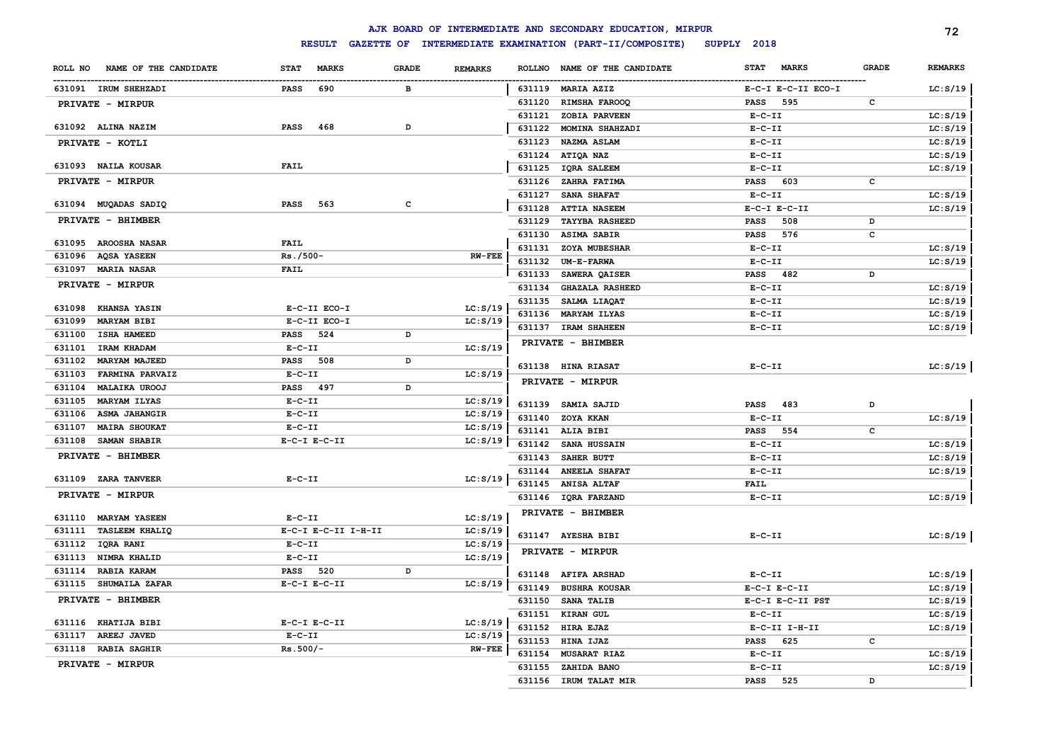|                                          |                             |              |                |        | AJK BOARD OF INTERMEDIATE AND SECONDARY EDUCATION, MIRPUR |                             |              | 72             |
|------------------------------------------|-----------------------------|--------------|----------------|--------|-----------------------------------------------------------|-----------------------------|--------------|----------------|
|                                          | <b>RESULT</b>               |              |                |        | GAZETTE OF INTERMEDIATE EXAMINATION (PART-II/COMPOSITE)   | SUPPLY 2018                 |              |                |
| NAME OF THE CANDIDATE<br>ROLL NO         | <b>MARKS</b><br><b>STAT</b> | <b>GRADE</b> | <b>REMARKS</b> |        | ROLLNO NAME OF THE CANDIDATE                              | <b>MARKS</b><br><b>STAT</b> | GRADE        | <b>REMARKS</b> |
| 631091 IRUM SHEHZADI                     | 690<br><b>PASS</b>          | в            |                |        | 631119 MARIA AZIZ                                         | E-C-I E-C-II ECO-I          |              | LC: S/19       |
| PRIVATE - MIRPUR                         |                             |              |                | 631120 | RIMSHA FAROOQ                                             | PASS<br>595                 | c            |                |
|                                          |                             |              |                | 631121 | ZOBIA PARVEEN                                             | $E-C-II$                    |              | LC: S/19       |
| 631092 ALINA NAZIM                       | <b>PASS</b><br>468          | D            |                | 631122 | MOMINA SHAHZADI                                           | $E-C-II$                    |              | LC: S/19       |
| PRIVATE - KOTLI                          |                             |              |                | 631123 | <b>NAZMA ASLAM</b>                                        | $E-C-II$                    |              | LC: S/19       |
|                                          |                             |              |                | 631124 | ATIQA NAZ                                                 | $E-C-II$                    |              | LC: S/19       |
| 631093 NAILA KOUSAR                      | <b>FAIL</b>                 |              |                | 631125 | <b>IQRA SALEEM</b>                                        | $E-C-II$                    |              | LC: S/19       |
| <b>PRIVATE - MIRPUR</b>                  |                             |              |                | 631126 | ZAHRA FATIMA                                              | <b>PASS</b><br>603          | c            |                |
|                                          |                             |              |                | 631127 | SANA SHAFAT                                               | $E-C-II$                    |              | LC: S/19       |
| 631094 MUQADAS SADIQ                     | <b>PASS</b><br>563          | C            |                | 631128 | <b>ATTIA NASEEM</b>                                       | $E-C-I$ $E-C-II$            |              | LC: S/19       |
| PRIVATE - BHIMBER                        |                             |              |                | 631129 | <b>TAYYBA RASHEED</b>                                     | 508<br><b>PASS</b>          | D            |                |
|                                          |                             |              |                | 631130 | <b>ASIMA SABIR</b>                                        | 576<br><b>PASS</b>          | c            |                |
| 631095 AROOSHA NASAR                     | <b>FAIL</b>                 |              |                | 631131 | ZOYA MUBESHAR                                             | $E-C-II$                    |              | LC: S/19       |
| 631096<br><b>AQSA YASEEN</b>             | Rs./500-                    |              | <b>RW-FEE</b>  | 631132 | UM-E-FARWA                                                | $E-C-II$                    |              | LC: S/19       |
| 631097<br><b>MARIA NASAR</b>             | <b>FAIL</b>                 |              |                | 631133 | SAWERA QAISER                                             | <b>PASS</b><br>482          | D            |                |
| PRIVATE - MIRPUR                         |                             |              |                | 631134 | <b>GHAZALA RASHEED</b>                                    | $E-C-II$                    |              | LC: S/19       |
| 631098 KHANSA YASIN                      | E-C-II ECO-I                |              | LC: S/19       | 631135 | SALMA LIAQAT                                              | $E-C-II$                    |              | LC: S/19       |
| 631099<br><b>MARYAM BIBI</b>             | E-C-II ECO-I                |              | LC: S/19       | 631136 | MARYAM ILYAS                                              | $E-C-II$                    |              | LC: S/19       |
| 631100 ISHA HAMEED                       | <b>PASS</b><br>524          | D            |                |        | 631137 IRAM SHAHEEN                                       | $E-C-II$                    |              | LC: S/19       |
| 631101<br>IRAM KHADAM                    | $E-C-II$                    |              | LC: S/19       |        | PRIVATE - BHIMBER                                         |                             |              |                |
| <b>MARYAM MAJEED</b>                     | PASS 508                    | D            |                |        |                                                           |                             |              |                |
| 631102<br><b>FARMINA PARVAIZ</b>         | $E-C-II$                    |              | LC: S/19       |        | 631138 HINA RIASAT                                        | $E-C-II$                    |              | LC: S/19       |
| 631103<br>631104<br><b>MALAIKA UROOJ</b> | PASS 497                    | D            |                |        | PRIVATE - MIRPUR                                          |                             |              |                |
| 631105<br><b>MARYAM ILYAS</b>            | $E-C-II$                    |              | LC: S/19       |        |                                                           |                             |              |                |
| 631106<br><b>ASMA JAHANGIR</b>           | $E-C-II$                    |              | LC: S/19       |        | 631139 SAMIA SAJID                                        | <b>PASS</b><br>483          | D            |                |
| 631107<br><b>MAIRA SHOUKAT</b>           | $E-C-II$                    |              | LC: S/19       | 631140 | ZOYA KKAN                                                 | $E-C-II$                    |              | LC: S/19       |
| 631108<br>SAMAN SHABIR                   | $E-C-I$ $E-C-II$            |              | LC: S/19       |        | 631141 ALIA BIBI                                          | <b>PASS</b><br>554          | $\mathtt{c}$ |                |
|                                          |                             |              |                | 631142 | SANA HUSSAIN                                              | $E-C-II$                    |              | LC: S/19       |
| PRIVATE - BHIMBER                        |                             |              |                | 631143 | SAHER BUTT                                                | $E-C-II$                    |              | LC: S/19       |
| 631109 ZARA TANVEER                      | $E-C-II$                    |              | LC: S/19       | 631144 | <b>ANEELA SHAFAT</b>                                      | $E-C-II$                    |              | LC: S/19       |
| PRIVATE - MIRPUR                         |                             |              |                | 631145 | <b>ANISA ALTAF</b>                                        | <b>FAIL</b>                 |              |                |
|                                          |                             |              |                |        | 631146 IQRA FARZAND                                       | $E-C-II$                    |              | LC: S/19       |
| 631110 MARYAM YASEEN                     | $E-C-II$                    |              | LC: S/19       |        | PRIVATE - BHIMBER                                         |                             |              |                |
| <b>TASLEEM KHALIQ</b><br>631111          | E-C-I E-C-II I-H-II         |              | LC: S/19       |        | 631147 AYESHA BIBI                                        | $E - C - II$                |              | LC: S/19       |
| 631112<br>IQRA RANI                      | $E - C - II$                |              | LC: S/19       |        |                                                           |                             |              |                |
| NIMRA KHALID<br>631113                   | $E-C-II$                    |              | LC: S/19       |        | PRIVATE - MIRPUR                                          |                             |              |                |
| 631114<br>RABIA KARAM                    | <b>PASS</b><br>520          | D            |                |        | 631148 AFIFA ARSHAD                                       | $E-C-II$                    |              | LC: S/19       |
| 631115 SHUMAILA ZAFAR                    | $E-C-I$ $E-C-II$            |              | LC: S/19       | 631149 | <b>BUSHRA KOUSAR</b>                                      | $E-C-I$ $E-C-II$            |              | LC: S/19       |
| PRIVATE - BHIMBER                        |                             |              |                | 631150 | <b>SANA TALIB</b>                                         | E-C-I E-C-II PST            |              | LC: S/19       |
|                                          |                             |              |                | 631151 | KIRAN GUL                                                 | $E-C-II$                    |              | LC: S/19       |
| 631116 KHATIJA BIBI                      | $E-C-I$ $E-C-II$            |              | LC: S/19       | 631152 | HIRA EJAZ                                                 | E-C-II I-H-II               |              | LC: S/19       |
| 631117<br><b>AREEJ JAVED</b>             | $E-C-II$                    |              | LC: S/19       | 631153 | HINA IJAZ                                                 | 625<br><b>PASS</b>          | $\mathbf c$  |                |
| 631118 RABIA SAGHIR                      | $Rs.500/-$                  |              | <b>RW-FEE</b>  | 631154 | <b>MUSARAT RIAZ</b>                                       | $E-C-II$                    |              | LC: S/19       |
| PRIVATE - MIRPUR                         |                             |              |                | 631155 | ZAHIDA BANO                                               | $E-C-II$                    |              | LC: S/19       |
|                                          |                             |              |                | 631156 | IRUM TALAT MIR                                            | <b>PASS</b><br>525          | <sup>D</sup> |                |
|                                          |                             |              |                |        |                                                           |                             |              |                |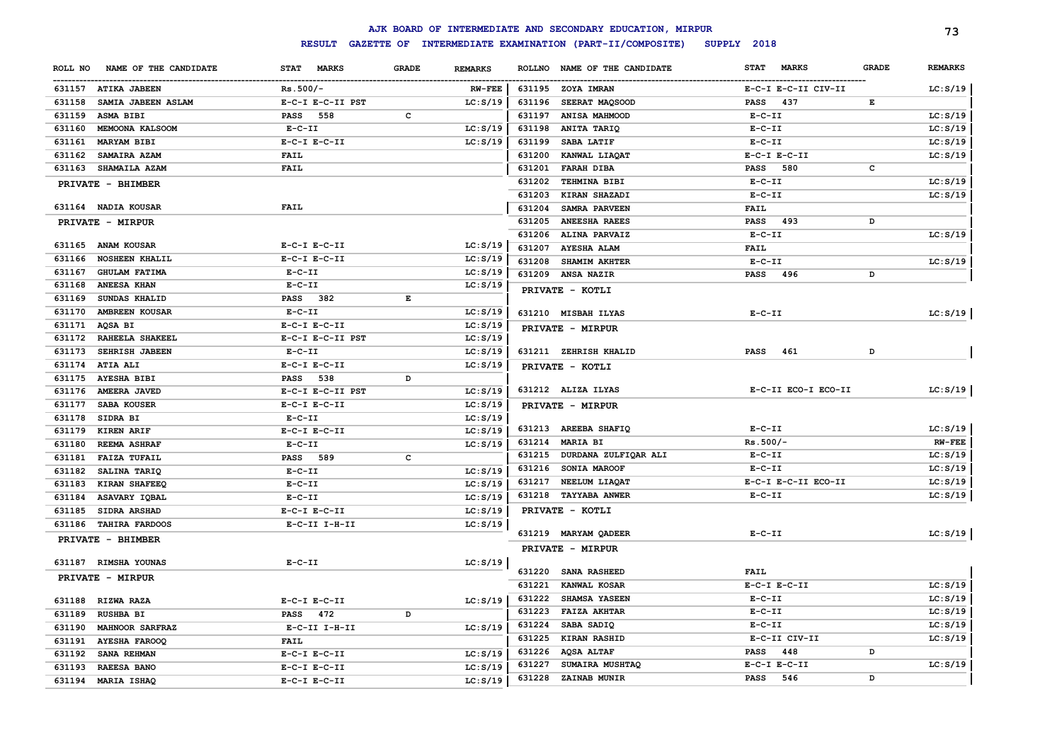|         |                        |                    |              |                |        | AJK BOARD OF INTERMEDIATE AND SECONDARY EDUCATION, MIRPUR |              |                     |              | 73             |
|---------|------------------------|--------------------|--------------|----------------|--------|-----------------------------------------------------------|--------------|---------------------|--------------|----------------|
|         |                        | <b>RESULT</b>      |              |                |        | GAZETTE OF INTERMEDIATE EXAMINATION (PART-II/COMPOSITE)   | SUPPLY 2018  |                     |              |                |
| ROLL NO | NAME OF THE CANDIDATE  | STAT MARKS         | <b>GRADE</b> | <b>REMARKS</b> |        | ROLLNO NAME OF THE CANDIDATE                              | <b>STAT</b>  | <b>MARKS</b>        | <b>GRADE</b> | <b>REMARKS</b> |
|         | 631157 ATIKA JABEEN    | $Rs.500/-$         |              | <b>RW-FEE</b>  | 631195 | <b>ZOYA IMRAN</b>                                         |              | E-C-I E-C-II CIV-II |              | LC: S/19       |
| 631158  | SAMIA JABEEN ASLAM     | E-C-I E-C-II PST   |              | LC: S/19       | 631196 | SEERAT MAQSOOD                                            | PASS         | 437                 | Е            |                |
| 631159  | ASMA BIBI              | 558<br><b>PASS</b> | $\mathbf{C}$ |                | 631197 | <b>ANISA MAHMOOD</b>                                      | $E- C- II$   |                     |              | LC: S/19       |
| 631160  | MEMOONA KALSOOM        | $E-C-II$           |              | LC: S/19       | 631198 | ANITA TARIQ                                               | $E-C-II$     |                     |              | LC: S/19       |
| 631161  | MARYAM BIBI            | $E-C-I$ $E-C-II$   |              | LC: S/19       | 631199 | SABA LATIF                                                | $E-C-II$     |                     |              | LC: S/19       |
| 631162  | SAMAIRA AZAM           | <b>FAIL</b>        |              |                | 631200 | KANWAL LIAQAT                                             |              | $E-C-I$ $E-C-II$    |              | LC: S/19       |
| 631163  | <b>SHAMAILA AZAM</b>   | <b>FAIL</b>        |              |                | 631201 | <b>FARAH DIBA</b>                                         | <b>PASS</b>  | 580                 | c            |                |
|         | PRIVATE - BHIMBER      |                    |              |                | 631202 | TEHMINA BIBI                                              | $E - C - II$ |                     |              | LC: S/19       |
|         |                        |                    |              |                | 631203 | KIRAN SHAZADI                                             | $E-C-II$     |                     |              | LC: S/19       |
|         | 631164 NADIA KOUSAR    | FAIL               |              |                | 631204 | SAMRA PARVEEN                                             | <b>FAIL</b>  |                     |              |                |
|         | PRIVATE - MIRPUR       |                    |              |                | 631205 | <b>ANEESHA RAEES</b>                                      | <b>PASS</b>  | 493                 | D            |                |
|         |                        |                    |              |                | 631206 | ALINA PARVAIZ                                             | $E - C - II$ |                     |              | LC: S/19       |
|         | 631165 ANAM KOUSAR     | $E-C-I$ $E-C-II$   |              | LC: S/19       | 631207 | <b>AYESHA ALAM</b>                                        | <b>FAIL</b>  |                     |              |                |
| 631166  | <b>NOSHEEN KHALIL</b>  | $E-C-I$ $E-C-II$   |              | LC: S/19       | 631208 | <b>SHAMIM AKHTER</b>                                      | $E-C-II$     |                     |              | LC: S/19       |
| 631167  | <b>GHULAM FATIMA</b>   | $E-C-II$           |              | LC: S/19       | 631209 | <b>ANSA NAZIR</b>                                         | <b>PASS</b>  | 496                 | D            |                |
| 631168  | <b>ANEESA KHAN</b>     | $E-C-II$           |              | LC: S/19       |        | PRIVATE - KOTLI                                           |              |                     |              |                |
| 631169  | SUNDAS KHALID          | <b>PASS</b><br>382 | Е            |                |        |                                                           |              |                     |              |                |
| 631170  | <b>AMBREEN KOUSAR</b>  | $E-C-II$           |              | LC: S/19       |        | 631210 MISBAH ILYAS                                       | $E-C-II$     |                     |              | LC: S/19       |
| 631171  | AQSA BI                | $E-C-I$ $E-C-II$   |              | LC: S/19       |        | PRIVATE - MIRPUR                                          |              |                     |              |                |
| 631172  | RAHEELA SHAKEEL        | E-C-I E-C-II PST   |              | LC: S/19       |        |                                                           |              |                     |              |                |
| 631173  | <b>SEHRISH JABEEN</b>  | $E-C-II$           |              | LC: S/19       |        | 631211 ZEHRISH KHALID                                     | <b>PASS</b>  | 461                 | D            |                |
| 631174  | ATIA ALI               | $E-C-I$ $E-C-II$   |              | LC: S/19       |        | PRIVATE - KOTLI                                           |              |                     |              |                |
|         | 631175 AYESHA BIBI     | PASS 538           | D            |                |        |                                                           |              |                     |              |                |
| 631176  | <b>AMEERA JAVED</b>    | E-C-I E-C-II PST   |              | LC: S/19       |        | 631212 ALIZA ILYAS                                        |              | E-C-II ECO-I ECO-II |              | LC: S/19       |
| 631177  | <b>SABA KOUSER</b>     | $E-C-I$ $E-C-II$   |              | LC: S/19       |        | PRIVATE - MIRPUR                                          |              |                     |              |                |
| 631178  | SIDRA BI               | $E-C-II$           |              | LC: S/19       |        |                                                           |              |                     |              |                |
|         | 631179 KIREN ARIF      | $E-C-I$ $E-C-II$   |              | LC: S/19       |        | 631213 AREEBA SHAFIQ                                      | $E-C-II$     |                     |              | LC: S/19       |
| 631180  | <b>REEMA ASHRAF</b>    | $E-C-II$           |              | LC: S/19       | 631214 | <b>MARIA BI</b>                                           | $Rs.500/-$   |                     |              | <b>RW-FEE</b>  |
| 631181  | <b>FAIZA TUFAIL</b>    | PASS 589           | c            |                | 631215 | DURDANA ZULFIQAR ALI                                      | $E-C-II$     |                     |              | LC: S/19       |
| 631182  | SALINA TARIQ           | $E-C-II$           |              | LC: S/19       | 631216 | SONIA MAROOF                                              | $E-C-II$     |                     |              | LC: S/19       |
| 631183  | KIRAN SHAFEEQ          | $E-C-II$           |              | LC: S/19       | 631217 | NEELUM LIAQAT                                             |              | E-C-I E-C-II ECO-II |              | LC: S/19       |
| 631184  | ASAVARY IQBAL          | $E-C-II$           |              | LC: S/19       | 631218 | <b>TAYYABA ANWER</b>                                      | $E - C - II$ |                     |              | LC: S/19       |
| 631185  | <b>SIDRA ARSHAD</b>    | $E-C-I$ $E-C-II$   |              | LC: S/19       |        | PRIVATE - KOTLI                                           |              |                     |              |                |
| 631186  | <b>TAHIRA FARDOOS</b>  | $E-C-II$ I-H-II    |              | LC: S/19       |        |                                                           |              |                     |              |                |
|         | PRIVATE - BHIMBER      |                    |              |                |        | 631219 MARYAM QADEER                                      | $E - C - II$ |                     |              | LC: S/19       |
|         |                        |                    |              |                |        | PRIVATE - MIRPUR                                          |              |                     |              |                |
|         | 631187 RIMSHA YOUNAS   | $E-C-II$           |              | LC: S/19       |        |                                                           |              |                     |              |                |
|         | PRIVATE - MIRPUR       |                    |              |                | 631220 | <b>SANA RASHEED</b>                                       | <b>FAIL</b>  |                     |              |                |
|         |                        |                    |              |                | 631221 | KANWAL KOSAR                                              |              | $E-C-I$ $E-C-II$    |              | LC: S/19       |
|         | 631188 RIZWA RAZA      | $E-C-I$ $E-C-II$   |              | LC: S/19       | 631222 | SHAMSA YASEEN                                             | $E- C- II$   |                     |              | LC: S/19       |
| 631189  | <b>RUSHBA BI</b>       | PASS<br>472        | D            |                | 631223 | <b>FAIZA AKHTAR</b>                                       | $E-C-II$     |                     |              | LC: S/19       |
| 631190  | <b>MAHNOOR SARFRAZ</b> | $E-C-II$ I-H-II    |              | LC: S/19       | 631224 | SABA SADIQ                                                | $E-C-II$     |                     |              | LC: S/19       |
| 631191  | <b>AYESHA FAROOQ</b>   | <b>FAIL</b>        |              |                | 631225 | KIRAN RASHID                                              |              | E-C-II CIV-II       |              | LC: S/19       |
| 631192  | SANA REHMAN            | $E-C-I$ $E-C-II$   |              | LC: S/19       | 631226 | AQSA ALTAF                                                | <b>PASS</b>  | 448                 | D            |                |
| 631193  | <b>RAEESA BANO</b>     | $E-C-I$ $E-C-II$   |              | LC: S/19       | 631227 | SUMAIRA MUSHTAQ                                           |              | $E-C-I$ $E-C-II$    |              | LC: S/19       |
| 631194  | MARIA ISHAQ            | $E-C-I$ $E-C-II$   |              | LC: S/19       | 631228 | ZAINAB MUNIR                                              | <b>PASS</b>  | 546                 | D            |                |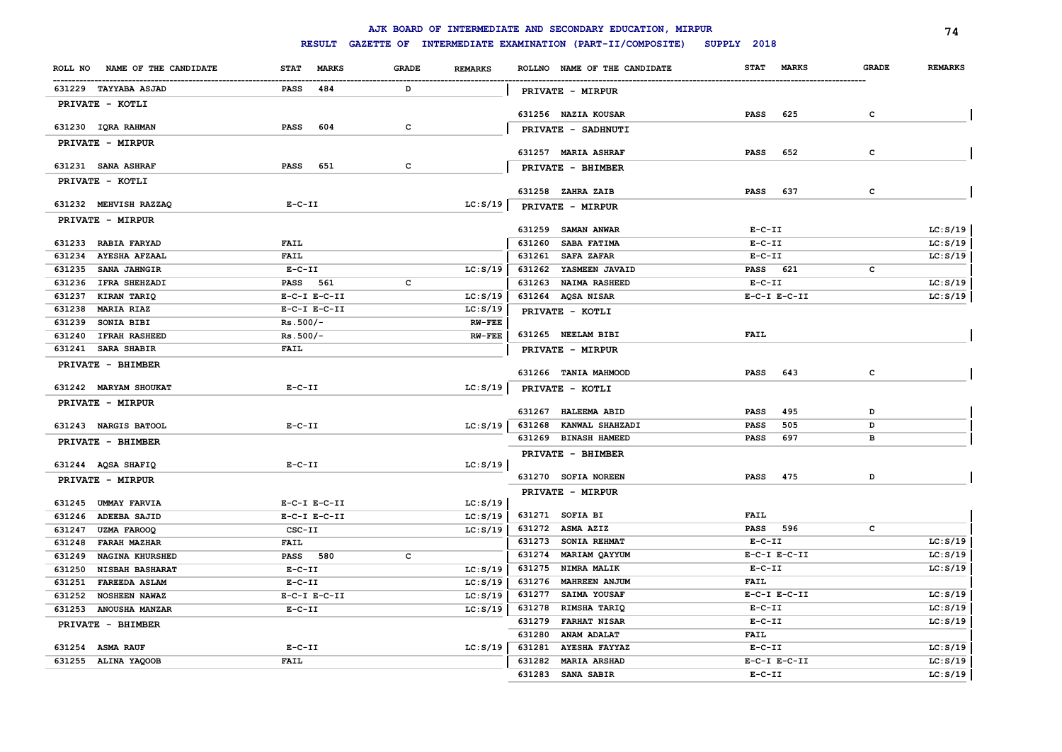|                  |                                            |                                      |               |              |                           |                  | AJK BOARD OF INTERMEDIATE AND SECONDARY EDUCATION, MIRPUR |                          |                  |              | 74             |
|------------------|--------------------------------------------|--------------------------------------|---------------|--------------|---------------------------|------------------|-----------------------------------------------------------|--------------------------|------------------|--------------|----------------|
|                  |                                            |                                      | <b>RESULT</b> |              |                           |                  | GAZETTE OF INTERMEDIATE EXAMINATION (PART-II/COMPOSITE)   | SUPPLY 2018              |                  |              |                |
|                  | ROLL NO NAME OF THE CANDIDATE              | <b>STAT</b>                          | <b>MARKS</b>  | <b>GRADE</b> | <b>REMARKS</b>            |                  | ROLLNO NAME OF THE CANDIDATE                              | <b>STAT</b>              | <b>MARKS</b>     | <b>GRADE</b> | <b>REMARKS</b> |
|                  | 631229 TAYYABA ASJAD                       | <b>PASS</b>                          | 484           | D            |                           |                  | <b>PRIVATE - MIRPUR</b>                                   |                          |                  |              |                |
|                  | PRIVATE - KOTLI                            |                                      |               |              |                           |                  |                                                           |                          |                  |              |                |
|                  | 631230 IQRA RAHMAN                         | <b>PASS</b>                          | 604           | c            |                           |                  | 631256 NAZIA KOUSAR                                       | <b>PASS</b>              | 625              | $\mathbf{C}$ |                |
|                  | PRIVATE - MIRPUR                           |                                      |               |              |                           |                  | PRIVATE - SADHNUTI                                        |                          |                  |              |                |
|                  |                                            |                                      |               |              |                           |                  | 631257 MARIA ASHRAF                                       | <b>PASS</b>              | 652              | c            |                |
|                  | 631231 SANA ASHRAF                         | PASS                                 | 651           | c            |                           |                  | PRIVATE - BHIMBER                                         |                          |                  |              |                |
|                  | PRIVATE - KOTLI                            |                                      |               |              |                           |                  |                                                           |                          |                  |              |                |
|                  |                                            |                                      |               |              |                           |                  | 631258 ZAHRA ZAIB                                         | <b>PASS</b>              | 637              | c            |                |
|                  | 631232 MEHVISH RAZZAQ                      | $E - C - II$                         |               |              | LC: S/19                  |                  | PRIVATE - MIRPUR                                          |                          |                  |              |                |
|                  | PRIVATE - MIRPUR                           |                                      |               |              |                           |                  | 631259 SAMAN ANWAR                                        | $E - C - II$             |                  |              | LC: S/19       |
|                  | 631233 RABIA FARYAD                        | <b>FAIL</b>                          |               |              |                           | 631260           | SABA FATIMA                                               | $E-C-II$                 |                  |              | LC: S/19       |
| 631234           | <b>AYESHA AFZAAL</b>                       | <b>FAIL</b>                          |               |              |                           | 631261           | <b>SAFA ZAFAR</b>                                         | $E - C - II$             |                  |              | LC: S/19       |
| 631235           | <b>SANA JAHNGIR</b>                        | $E-C-II$                             |               |              | LC: S/19                  | 631262           | YASMEEN JAVAID                                            | PASS 621                 |                  | c            |                |
|                  | 631236 IFRA SHEHZADI                       | PASS 561                             |               | с            |                           | 631263           | <b>NAIMA RASHEED</b>                                      | $E-C-II$                 |                  |              | LC: S/19       |
| 631237           | KIRAN TARIQ                                | $E-C-I$ $E-C-II$                     |               |              | LC: S/19                  |                  | 631264 AQSA NISAR                                         |                          | $E-C-I$ $E-C-II$ |              | LC: S/19       |
| 631238<br>631239 | <b>MARIA RIAZ</b><br>SONIA BIBI            | $E-C-I$ $E-C-II$<br>$Rs.500/-$       |               |              | LC: S/19<br><b>RW-FEE</b> |                  | PRIVATE - KOTLI                                           |                          |                  |              |                |
|                  | 631240 IFRAH RASHEED                       | $Rs.500/-$                           |               |              | <b>RW-FEE</b>             |                  | 631265 NEELAM BIBI                                        | <b>FAIL</b>              |                  |              |                |
|                  | 631241 SARA SHABIR                         | <b>FAIL</b>                          |               |              |                           |                  | PRIVATE - MIRPUR                                          |                          |                  |              |                |
|                  | PRIVATE - BHIMBER                          |                                      |               |              |                           |                  |                                                           |                          |                  |              |                |
|                  |                                            |                                      |               |              |                           |                  | 631266 TANIA MAHMOOD                                      | <b>PASS</b>              | 643              | c            |                |
|                  | 631242 MARYAM SHOUKAT                      | $E-C-II$                             |               |              | LC: S/19                  |                  | PRIVATE - KOTLI                                           |                          |                  |              |                |
|                  | PRIVATE - MIRPUR                           |                                      |               |              |                           | 631267           | <b>HALEEMA ABID</b>                                       | <b>PASS</b>              | 495              | D            |                |
|                  | 631243 NARGIS BATOOL                       | $E-C-II$                             |               |              | LC: S/19                  | 631268           | KANWAL SHAHZADI                                           | <b>PASS</b>              | 505              | D            |                |
|                  | PRIVATE - BHIMBER                          |                                      |               |              |                           |                  | 631269 BINASH HAMEED                                      | <b>PASS</b>              | 697              | в            |                |
|                  |                                            |                                      |               |              |                           |                  | PRIVATE - BHIMBER                                         |                          |                  |              |                |
|                  | 631244 AQSA SHAFIQ                         | $E-C-III$                            |               |              | LC: S/19                  |                  |                                                           |                          |                  |              |                |
|                  | PRIVATE - MIRPUR                           |                                      |               |              |                           |                  | 631270 SOFIA NOREEN                                       | <b>PASS</b>              | 475              | D            |                |
|                  |                                            |                                      |               |              |                           |                  | PRIVATE - MIRPUR                                          |                          |                  |              |                |
| 631246           | 631245 UMMAY FARVIA<br><b>ADEEBA SAJID</b> | $E-C-I$ $E-C-II$<br>$E-C-I$ $E-C-II$ |               |              | LC: S/19<br>LC: S/19      |                  | 631271 SOFIA BI                                           | <b>FAIL</b>              |                  |              |                |
| 631247           | <b>UZMA FAROOQ</b>                         | CSC-II                               |               |              | LC: S/19                  |                  | 631272 ASMA AZIZ                                          | PASS 596                 |                  | c            |                |
| 631248           | <b>FARAH MAZHAR</b>                        | <b>FAIL</b>                          |               |              |                           |                  | 631273 SONIA REHMAT                                       | $E-C-II$                 |                  |              | LC: S/19       |
| 631249           | <b>NAGINA KHURSHED</b>                     | PASS 580                             |               | c            |                           | 631274           | MARIAM QAYYUM                                             |                          | $E-C-I$ $E-C-II$ |              | LC: S/19       |
| 631250           | <b>NISBAH BASHARAT</b>                     | $E-C-II$                             |               |              | LC: S/19                  | 631275           | <b>NIMRA MALIK</b>                                        | $E-C-II$                 |                  |              | LC: S/19       |
| 631251           | <b>FAREEDA ASLAM</b>                       | $E-C-II$                             |               |              | LC: S/19                  | 631276           | <b>MAHREEN ANJUM</b>                                      | FAIL                     |                  |              |                |
| 631252           | <b>NOSHEEN NAWAZ</b>                       | $E-C-I$ $E-C-II$                     |               |              | LC: S/19                  | 631277           | SAIMA YOUSAF                                              |                          | $E-C-I$ $E-C-II$ |              | LC: S/19       |
|                  | 631253 ANOUSHA MANZAR                      | $E-C-II$                             |               |              | LC: S/19                  | 631278           | RIMSHA TARIQ                                              | $E - C - II$<br>$E-C-II$ |                  |              | LC: S/19       |
|                  | PRIVATE - BHIMBER                          |                                      |               |              |                           | 631279<br>631280 | <b>FARHAT NISAR</b><br>ANAM ADALAT                        | <b>FAIL</b>              |                  |              | LC: S/19       |
|                  | 631254 ASMA RAUF                           | $E- C- II$                           |               |              | LC: S/19                  | 631281           | <b>AYESHA FAYYAZ</b>                                      | $E-C-II$                 |                  |              | LC: S/19       |
|                  | 631255 ALINA YAQOOB                        | <b>FAIL</b>                          |               |              |                           | 631282           | <b>MARIA ARSHAD</b>                                       |                          | $E-C-I$ $E-C-II$ |              | LC: S/19       |
|                  |                                            |                                      |               |              |                           | 631283           | SANA SABIR                                                | $E-C-II$                 |                  |              | LC: S/19       |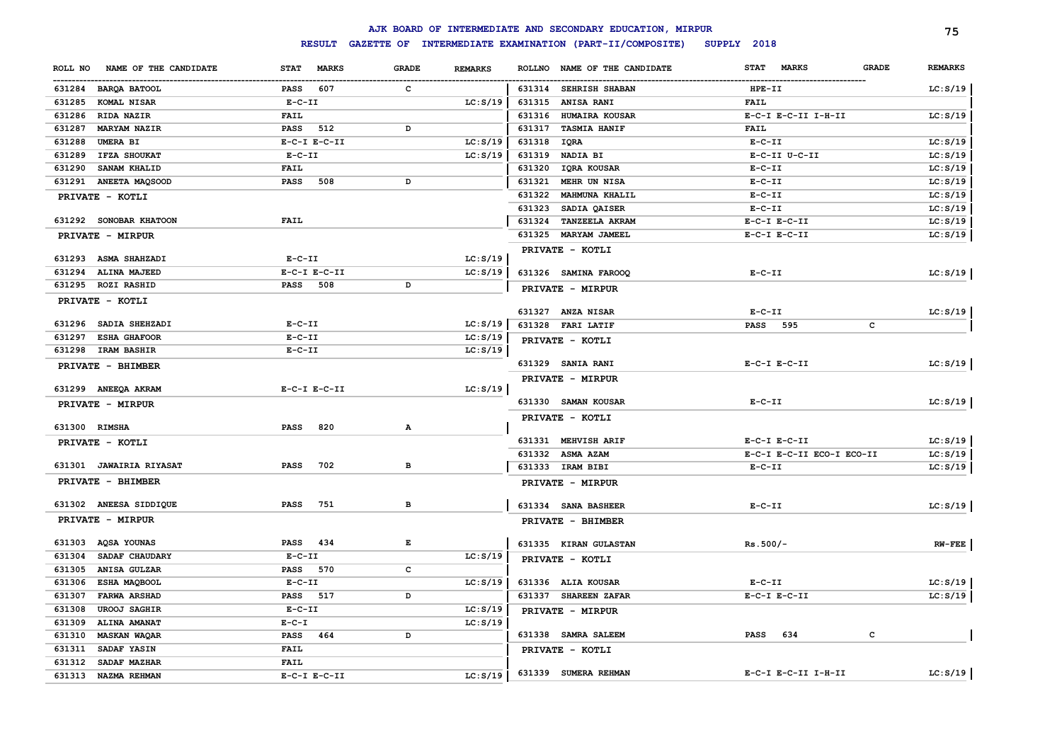|                                  |                    |              |                | AJK BOARD OF INTERMEDIATE AND SECONDARY EDUCATION, MIRPUR |                                      | 75             |
|----------------------------------|--------------------|--------------|----------------|-----------------------------------------------------------|--------------------------------------|----------------|
|                                  | <b>RESULT</b>      |              |                | GAZETTE OF INTERMEDIATE EXAMINATION (PART-II/COMPOSITE)   | SUPPLY 2018                          |                |
| NAME OF THE CANDIDATE<br>ROLL NO | STAT MARKS         | <b>GRADE</b> | <b>REMARKS</b> | ROLLNO NAME OF THE CANDIDATE                              | <b>GRADE</b><br>STAT<br><b>MARKS</b> | <b>REMARKS</b> |
| 631284 BARQA BATOOL              | PASS<br>607        | c            |                | 631314 SEHRISH SHABAN                                     | $HPE-TI$                             | LC: S/19       |
| 631285 KOMAL NISAR               | $E-C-II$           |              | LC: S/19       | 631315<br><b>ANISA RANI</b>                               | <b>FAIL</b>                          |                |
| 631286<br><b>RIDA NAZIR</b>      | <b>FAIL</b>        |              |                | 631316<br>HUMAIRA KOUSAR                                  | E-C-I E-C-II I-H-II                  | LC: S/19       |
| 631287<br><b>MARYAM NAZIR</b>    | <b>PASS</b><br>512 | D            |                | 631317<br><b>TASMIA HANIF</b>                             | <b>FAIL</b>                          |                |
| 631288<br><b>UMERA BI</b>        | $E-C-I$ $E-C-II$   |              | LC: S/19       | 631318<br>IQRA                                            | $E-C-II$                             | LC: S/19       |
| 631289<br><b>IFZA SHOUKAT</b>    | $E-C-II$           |              | LC: S/19       | 631319<br>NADIA BI                                        | E-C-II U-C-II                        | LC: S/19       |
| 631290<br><b>SANAM KHALID</b>    | <b>FAIL</b>        |              |                | 631320<br>IQRA KOUSAR                                     | $E-C-II$                             | LC: S/19       |
| 631291 ANEETA MAQSOOD            | <b>PASS</b><br>508 | D            |                | 631321<br>MEHR UN NISA                                    | $E - C - II$                         | LC: S/19       |
| PRIVATE - KOTLI                  |                    |              |                | 631322<br>MAHMUNA KHALIL                                  | $E-C-II$                             | LC: S/19       |
|                                  |                    |              |                | 631323<br>SADIA QAISER                                    | $E-C-II$                             | LC: S/19       |
| 631292 SONOBAR KHATOON           | <b>FAIL</b>        |              |                | 631324<br><b>TANZEELA AKRAM</b>                           | $E-C-I$ $E-C-II$                     | LC: S/19       |
| PRIVATE - MIRPUR                 |                    |              |                | 631325<br><b>MARYAM JAMEEL</b>                            | $E-C-I$ $E-C-II$                     | LC: S/19       |
|                                  |                    |              |                | PRIVATE - KOTLI                                           |                                      |                |
| 631293 ASMA SHAHZADI             | $E-C-II$           |              | LC: S/19       |                                                           |                                      |                |
| 631294<br><b>ALINA MAJEED</b>    | $E-C-I$ $E-C-II$   |              | LC: S/19       | 631326 SAMINA FAROOQ                                      | $E-C-II$                             | LC: S/19       |
| 631295 ROZI RASHID               | PASS<br>508        | D            |                | PRIVATE - MIRPUR                                          |                                      |                |
| PRIVATE - KOTLI                  |                    |              |                |                                                           |                                      |                |
| 631296 SADIA SHEHZADI            | $E-C-II$           |              | LC: S/19       | 631327 ANZA NISAR                                         | $E-C-II$                             | LC: S/19       |
| 631297<br><b>ESHA GHAFOOR</b>    | $E-C-II$           |              | LC: S/19       | 631328 FARI LATIF                                         | 595<br>c<br><b>PASS</b>              |                |
| 631298 IRAM BASHIR               | $E-C-II$           |              | LC: S/19       | PRIVATE - KOTLI                                           |                                      |                |
|                                  |                    |              |                | 631329 SANIA RANI                                         | $E-C-I$ $E-C-II$                     | LC: S/19       |
| PRIVATE - BHIMBER                |                    |              |                |                                                           |                                      |                |
| 631299 ANEEQA AKRAM              | $E-C-I$ $E-C-II$   |              | LC: S/19       | PRIVATE - MIRPUR                                          |                                      |                |
| PRIVATE - MIRPUR                 |                    |              |                | 631330 SAMAN KOUSAR                                       | $E-C-II$                             | LC: S/19       |
|                                  |                    |              |                | PRIVATE - KOTLI                                           |                                      |                |
| 631300 RIMSHA                    | <b>PASS</b><br>820 | A            |                |                                                           |                                      |                |
| PRIVATE - KOTLI                  |                    |              |                | 631331 MEHVISH ARIF                                       | $E-C-I$ $E-C-II$                     | LC: S/19       |
|                                  |                    |              |                | 631332 ASMA AZAM                                          | E-C-I E-C-II ECO-I ECO-II            | LC: S/19       |
| 631301 JAWAIRIA RIYASAT          | 702<br><b>PASS</b> | в            |                | 631333 IRAM BIBI                                          | $E- C- II$                           | LC: S/19       |
| PRIVATE - BHIMBER                |                    |              |                | PRIVATE - MIRPUR                                          |                                      |                |
| 631302 ANEESA SIDDIQUE           | <b>PASS</b><br>751 | в            |                | 631334 SANA BASHEER                                       | $E-C-II$                             | LC: S/19       |
| PRIVATE - MIRPUR                 |                    |              |                | PRIVATE - BHIMBER                                         |                                      |                |
| 631303 AQSA YOUNAS               | <b>PASS</b><br>434 | E            |                | 631335 KIRAN GULASTAN                                     | $Rs.500/-$                           | $RW$ - $FEE$   |
| 631304<br>SADAF CHAUDARY         | $E-C-II$           |              | LC: S/19       | PRIVATE - KOTLI                                           |                                      |                |
| 631305<br><b>ANISA GULZAR</b>    | PASS 570           | $\mathbf{C}$ |                |                                                           |                                      |                |
| 631306<br>ESHA MAQBOOL           | $E-C-II$           |              | LC: S/19       | 631336 ALIA KOUSAR                                        | $E-C-II$                             | LC: S/19       |
| 631307<br><b>FARWA ARSHAD</b>    | PASS 517           | D            |                | 631337 SHAREEN ZAFAR                                      | $E-C-I$ $E-C-II$                     | LC: S/19       |
| 631308<br><b>UROOJ SAGHIR</b>    | $E-C-II$           |              | LC: S/19       | PRIVATE - MIRPUR                                          |                                      |                |
| 631309<br><b>ALINA AMANAT</b>    | $E - C - I$        |              | LC: S/19       |                                                           |                                      |                |
| 631310<br><b>MASKAN WAQAR</b>    | <b>PASS</b><br>464 | D            |                | 631338 SAMRA SALEEM                                       | PASS<br>634<br>с                     |                |
| 631311<br>SADAF YASIN            | <b>FAIL</b>        |              |                | PRIVATE - KOTLI                                           |                                      |                |
| 631312<br>SADAF MAZHAR           | <b>FAIL</b>        |              |                |                                                           |                                      |                |
| 631313<br>NAZMA REHMAN           | $E-C-I$ $E-C-II$   |              | LC: S/19       | 631339 SUMERA REHMAN                                      | E-C-I E-C-II I-H-II                  | LC: S/19       |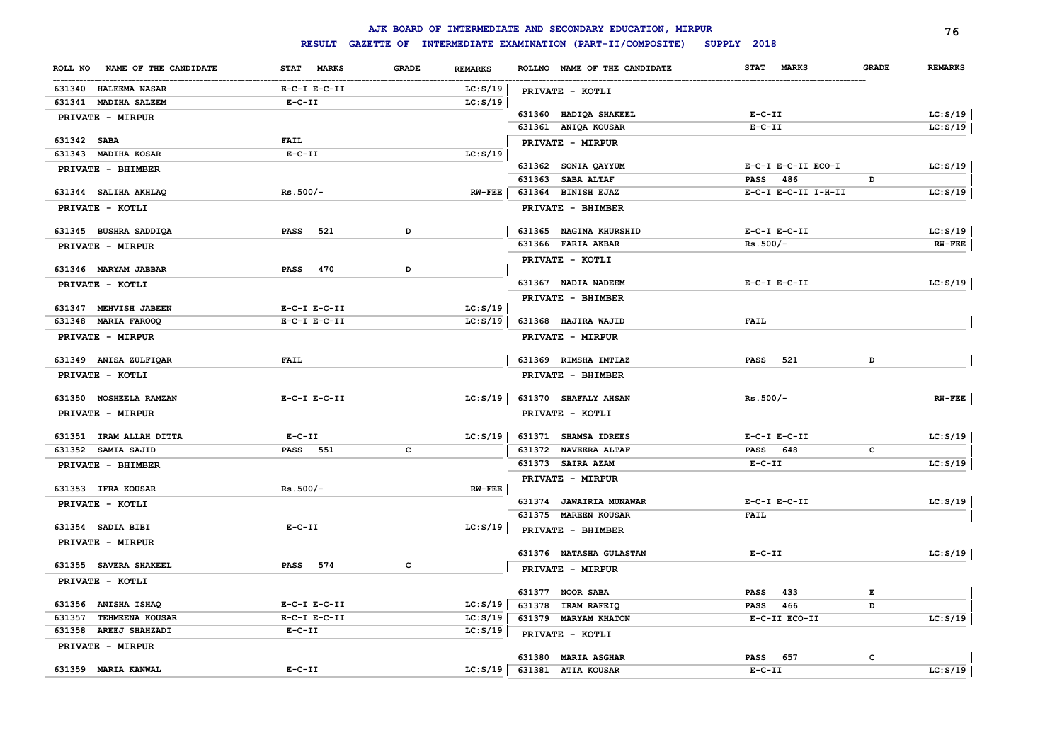|                                  |                    |              |                |        | AJK BOARD OF INTERMEDIATE AND SECONDARY EDUCATION, MIRPUR      |                                          |              | 76             |
|----------------------------------|--------------------|--------------|----------------|--------|----------------------------------------------------------------|------------------------------------------|--------------|----------------|
|                                  |                    |              |                |        | RESULT GAZETTE OF INTERMEDIATE EXAMINATION (PART-II/COMPOSITE) | SUPPLY 2018                              |              |                |
| NAME OF THE CANDIDATE<br>ROLL NO | STAT MARKS         | <b>GRADE</b> | <b>REMARKS</b> |        | ROLLNO NAME OF THE CANDIDATE                                   | <b>MARKS</b><br><b>STAT</b>              | <b>GRADE</b> | <b>REMARKS</b> |
| 631340 HALEEMA NASAR             | $E-C-I$ $E-C-II$   |              | LC: S/19       |        | PRIVATE - KOTLI                                                |                                          |              |                |
| 631341 MADIHA SALEEM             | $E-C-II$           |              | LC: S/19       |        |                                                                |                                          |              |                |
| PRIVATE - MIRPUR                 |                    |              |                |        | 631360 HADIQA SHAKEEL                                          | $E-C-II$                                 |              | LC: S/19       |
|                                  |                    |              |                |        | 631361 ANIQA KOUSAR                                            | $E-C-II$                                 |              | LC: S/19       |
| 631342 SABA                      | <b>FAIL</b>        |              |                |        | PRIVATE - MIRPUR                                               |                                          |              |                |
| 631343 MADIHA KOSAR              | $E-C-II$           |              | LC: S/19       |        |                                                                |                                          |              |                |
| PRIVATE - BHIMBER                |                    |              |                |        | 631362 SONIA QAYYUM<br>631363 SABA ALTAF                       | E-C-I E-C-II ECO-I<br><b>PASS</b><br>486 | D            | LC: S/19       |
| 631344 SALIHA AKHLAQ             | $Rs.500/-$         |              | <b>RW-FEE</b>  |        | 631364 BINISH EJAZ                                             | E-C-I E-C-II I-H-II                      |              | LC: S/19       |
| PRIVATE - KOTLI                  |                    |              |                |        | PRIVATE - BHIMBER                                              |                                          |              |                |
|                                  |                    |              |                |        |                                                                |                                          |              |                |
| 631345 BUSHRA SADDIQA            | PASS 521           | D            |                |        | 631365 NAGINA KHURSHID                                         | $E-C-I$ $E-C-II$                         |              | LC: S/19       |
| <b>PRIVATE - MIRPUR</b>          |                    |              |                |        | 631366 FARIA AKBAR                                             | $Rs.500/-$                               |              | $RW-FEE$       |
|                                  |                    |              |                |        | PRIVATE - KOTLI                                                |                                          |              |                |
| 631346 MARYAM JABBAR             | <b>PASS</b><br>470 | D            |                |        |                                                                |                                          |              |                |
| PRIVATE - KOTLI                  |                    |              |                |        | 631367 NADIA NADEEM                                            | $E-C-I$ $E-C-II$                         |              | LC: S/19       |
| 631347 MEHVISH JABEEN            | $E-C-I$ $E-C-II$   |              | LC: S/19       |        | PRIVATE - BHIMBER                                              |                                          |              |                |
| 631348 MARIA FAROOQ              | $E-C-I$ $E-C-II$   |              | LC: S/19       |        | 631368 HAJIRA WAJID                                            | <b>FAIL</b>                              |              |                |
| PRIVATE - MIRPUR                 |                    |              |                |        | PRIVATE - MIRPUR                                               |                                          |              |                |
|                                  |                    |              |                |        |                                                                |                                          |              |                |
| 631349 ANISA ZULFIQAR            | <b>FAIL</b>        |              |                |        | 631369 RIMSHA IMTIAZ                                           | 521<br><b>PASS</b>                       | D            |                |
| PRIVATE - KOTLI                  |                    |              |                |        | PRIVATE - BHIMBER                                              |                                          |              |                |
| 631350 NOSHEELA RAMZAN           | $E-C-I$ $E-C-II$   |              | LC: S/19       |        | 631370 SHAFALY AHSAN                                           | $Rs.500/-$                               |              | $RW-FEE$       |
| PRIVATE - MIRPUR                 |                    |              |                |        | PRIVATE - KOTLI                                                |                                          |              |                |
|                                  |                    |              |                |        |                                                                |                                          |              |                |
| 631351 IRAM ALLAH DITTA          | $E-C-II$           |              | LC: S/19       |        | 631371 SHAMSA IDREES                                           | $E-C-I$ $E-C-II$                         |              | LC: S/19       |
| 631352 SAMIA SAJID               | <b>PASS</b> 551    | с            |                |        | 631372 NAVEERA ALTAF                                           | PASS 648                                 | c            |                |
| PRIVATE - BHIMBER                |                    |              |                |        | 631373 SAIRA AZAM                                              | $E-C-II$                                 |              | LC: S/19       |
| 631353 IFRA KOUSAR               | $Rs.500/-$         |              | $RW-FEE$       |        | PRIVATE - MIRPUR                                               |                                          |              |                |
| PRIVATE - KOTLI                  |                    |              |                |        | 631374 JAWAIRIA MUNAWAR                                        | $E-C-I$ $E-C-II$                         |              | LC: S/19       |
|                                  |                    |              |                |        | 631375 MAREEN KOUSAR                                           | <b>FAIL</b>                              |              |                |
| 631354 SADIA BIBI                | $E-C-II$           |              | LC: S/19       |        | PRIVATE - BHIMBER                                              |                                          |              |                |
| <b>PRIVATE - MIRPUR</b>          |                    |              |                |        |                                                                |                                          |              |                |
|                                  |                    |              |                |        | 631376 NATASHA GULASTAN                                        | $E-C-II$                                 |              | LC: S/19       |
| 631355 SAVERA SHAKEEL            | PASS 574           | c            |                |        | PRIVATE - MIRPUR                                               |                                          |              |                |
| PRIVATE - KOTLI                  |                    |              |                |        | 631377 NOOR SABA                                               | 433<br>PASS                              | Е            |                |
| 631356 ANISHA ISHAQ              | $E-C-I$ $E-C-II$   |              | LC: S/19       | 631378 | <b>IRAM RAFEIQ</b>                                             | 466<br>PASS                              | D            |                |
| 631357<br><b>TEHMEENA KOUSAR</b> | $E-C-I$ $E-C-II$   |              | LC: S/19       |        | 631379 MARYAM KHATON                                           | E-C-II ECO-II                            |              | LC: S/19       |
| 631358 AREEJ SHAHZADI            | $E-C-II$           |              | LC: S/19       |        | PRIVATE - KOTLI                                                |                                          |              |                |
| PRIVATE - MIRPUR                 |                    |              |                |        |                                                                |                                          |              |                |
|                                  |                    |              |                |        | 631380 MARIA ASGHAR                                            | <b>PASS</b><br>657                       | c            |                |
| 631359 MARIA KANWAL              | $E-C-II$           |              | LC: S/19       |        | 631381 ATIA KOUSAR                                             | $E-C-II$                                 |              | LC: S/19       |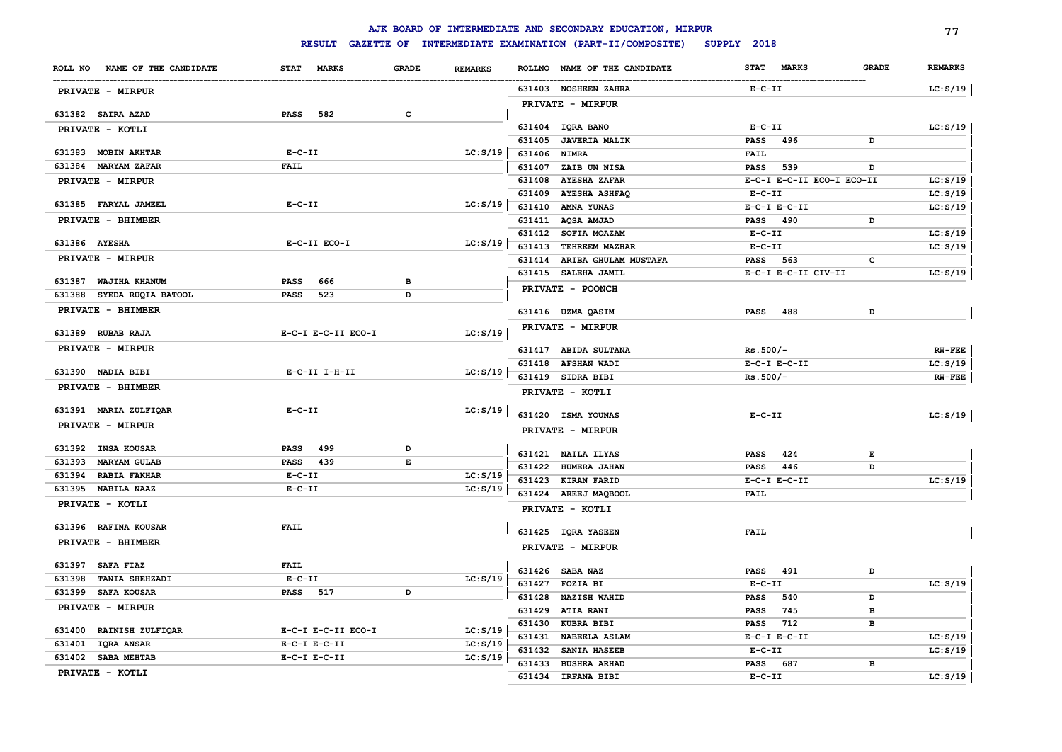|                               |                             |              |                |                  | AJK BOARD OF INTERMEDIATE AND SECONDARY EDUCATION, MIRPUR |                                   |              | 77                   |
|-------------------------------|-----------------------------|--------------|----------------|------------------|-----------------------------------------------------------|-----------------------------------|--------------|----------------------|
|                               | <b>RESULT</b>               |              |                |                  | GAZETTE OF INTERMEDIATE EXAMINATION (PART-II/COMPOSITE)   | SUPPLY 2018                       |              |                      |
| ROLL NO NAME OF THE CANDIDATE | <b>STAT</b><br><b>MARKS</b> | <b>GRADE</b> | <b>REMARKS</b> |                  | ROLLNO NAME OF THE CANDIDATE                              | <b>STAT</b><br><b>MARKS</b>       | <b>GRADE</b> | <b>REMARKS</b>       |
| PRIVATE - MIRPUR              |                             |              |                |                  | 631403 NOSHEEN ZAHRA                                      | $E-C-II$                          |              | LC: S/19             |
|                               |                             |              |                |                  | PRIVATE - MIRPUR                                          |                                   |              |                      |
| 631382 SAIRA AZAD             | PASS<br>582                 | c            |                |                  |                                                           |                                   |              |                      |
| PRIVATE - KOTLI               |                             |              |                |                  | 631404 IQRA BANO                                          | $E - C - II$                      |              | LC: S/19             |
| 631383 MOBIN AKHTAR           | $E- C- II$                  |              | LC: S/19       | 631405           | <b>JAVERIA MALIK</b>                                      | 496<br><b>PASS</b>                | D            |                      |
| 631384<br><b>MARYAM ZAFAR</b> | <b>FAIL</b>                 |              |                | 631406<br>631407 | <b>NIMRA</b><br>ZAIB UN NISA                              | <b>FAIL</b><br><b>PASS</b><br>539 | D            |                      |
| PRIVATE - MIRPUR              |                             |              |                | 631408           | <b>AYESHA ZAFAR</b>                                       | E-C-I E-C-II ECO-I ECO-II         |              | LC: S/19             |
|                               |                             |              |                | 631409           | <b>AYESHA ASHFAQ</b>                                      | $E- C- II$                        |              | LC: S/19             |
| 631385 FARYAL JAMEEL          | $E - C - II$                |              | LC: S/19       | 631410           | AMNA YUNAS                                                | $E-C-I$ $E-C-II$                  |              | LC: S/19             |
| PRIVATE - BHIMBER             |                             |              |                |                  | 631411 AQSA AMJAD                                         | PASS 490                          | D            |                      |
|                               |                             |              |                |                  | 631412 SOFIA MOAZAM                                       | $E-C-II$                          |              | LC: S/19             |
| 631386 AYESHA                 | E-C-II ECO-I                |              | LC: S/19       | 631413           | TEHREEM MAZHAR                                            | $E-C-II$                          |              | LC: S/19             |
| PRIVATE - MIRPUR              |                             |              |                | 631414           | ARIBA GHULAM MUSTAFA                                      | PASS 563                          | c            |                      |
|                               |                             |              |                |                  | 631415 SALEHA JAMIL                                       | E-C-I E-C-II CIV-II               |              | LC: S/19             |
| 631387 WAJIHA KHANUM          | 666<br><b>PASS</b>          | в            |                |                  | PRIVATE - POONCH                                          |                                   |              |                      |
| 631388 SYEDA RUQIA BATOOL     | <b>PASS</b><br>523          | D            |                |                  |                                                           |                                   |              |                      |
| PRIVATE - BHIMBER             |                             |              |                |                  | 631416 UZMA QASIM                                         | <b>PASS</b><br>488                | D            |                      |
| 631389 RUBAB RAJA             | E-C-I E-C-II ECO-I          |              | LC: S/19       |                  | PRIVATE - MIRPUR                                          |                                   |              |                      |
| PRIVATE - MIRPUR              |                             |              |                |                  | 631417 ABIDA SULTANA                                      |                                   |              |                      |
|                               |                             |              |                | 631418           | <b>AFSHAN WADI</b>                                        | $Rs.500/-$<br>$E-C-I$ $E-C-II$    |              | $RW-FEE$<br>LC: S/19 |
| 631390 NADIA BIBI             | E-C-II I-H-II               |              | LC: S/19       |                  | 631419 SIDRA BIBI                                         | $Rs.500/-$                        |              | $RW-FEE$             |
| PRIVATE - BHIMBER             |                             |              |                |                  |                                                           |                                   |              |                      |
|                               |                             |              |                |                  | PRIVATE - KOTLI                                           |                                   |              |                      |
| 631391 MARIA ZULFIQAR         | $E-C-II$                    |              | LC: S/19       |                  | 631420 ISMA YOUNAS                                        | $E - C - II$                      |              | LC: S/19             |
| PRIVATE - MIRPUR              |                             |              |                |                  | PRIVATE - MIRPUR                                          |                                   |              |                      |
| 631392 INSA KOUSAR            | 499<br><b>PASS</b>          | D            |                |                  | 631421 NAILA ILYAS                                        | 424<br><b>PASS</b>                | E            |                      |
| 631393 MARYAM GULAB           | PASS 439                    | E            |                |                  | 631422 HUMERA JAHAN                                       | 446<br><b>PASS</b>                | D            |                      |
| 631394 RABIA FAKHAR           | $E-C-II$                    |              | LC: S/19       |                  | 631423 KIRAN FARID                                        | $E-C-I$ $E-C-II$                  |              | LC: S/19             |
| 631395 NABILA NAAZ            | $E-C-II$                    |              | LC: S/19       |                  | 631424 AREEJ MAQBOOL                                      | <b>FAIL</b>                       |              |                      |
| PRIVATE - KOTLI               |                             |              |                |                  | PRIVATE - KOTLI                                           |                                   |              |                      |
| 631396 RAFINA KOUSAR          | <b>FAIL</b>                 |              |                |                  | 631425 IQRA YASEEN                                        | <b>FAIL</b>                       |              |                      |
| PRIVATE - BHIMBER             |                             |              |                |                  | PRIVATE - MIRPUR                                          |                                   |              |                      |
| 631397 SAFA FIAZ              | <b>FAIL</b>                 |              |                |                  | 631426 SABA NAZ                                           | 491<br>PASS                       | D            |                      |
| TANIA SHEHZADI<br>631398      | $E-C-II$                    |              | LC: S/19       |                  | 631427 FOZIA BI                                           | $E - C - II$                      |              | LC: S/19             |
| 631399 SAFA KOUSAR            | PASS 517                    | D            |                | 631428           | <b>NAZISH WAHID</b>                                       | <b>PASS</b><br>540                | D            |                      |
| PRIVATE - MIRPUR              |                             |              |                | 631429           | <b>ATIA RANI</b>                                          | 745<br>PASS                       | в            |                      |
|                               |                             |              |                | 631430           | KUBRA BIBI                                                | 712<br>PASS                       | в            |                      |
| 631400 RAINISH ZULFIQAR       | E-C-I E-C-II ECO-I          |              | LC: S/19       | 631431           | NABEELA ASLAM                                             | $E-C-I$ $E-C-II$                  |              | LC: S/19             |
| 631401<br><b>IQRA ANSAR</b>   | $E-C-I$ $E-C-II$            |              | LC: S/19       | 631432           | SANIA HASEEB                                              | $E - C - II$                      |              | LC: S/19             |
| 631402 SABA MEHTAB            | $E-C-I$ $E-C-II$            |              | LC: S/19       | 631433           | <b>BUSHRA ARHAD</b>                                       | <b>PASS</b><br>687                | в            |                      |
| PRIVATE - KOTLI               |                             |              |                | 631434           | <b>IRFANA BIBI</b>                                        | $E-C-II$                          |              | LC: S/19             |
|                               |                             |              |                |                  |                                                           |                                   |              |                      |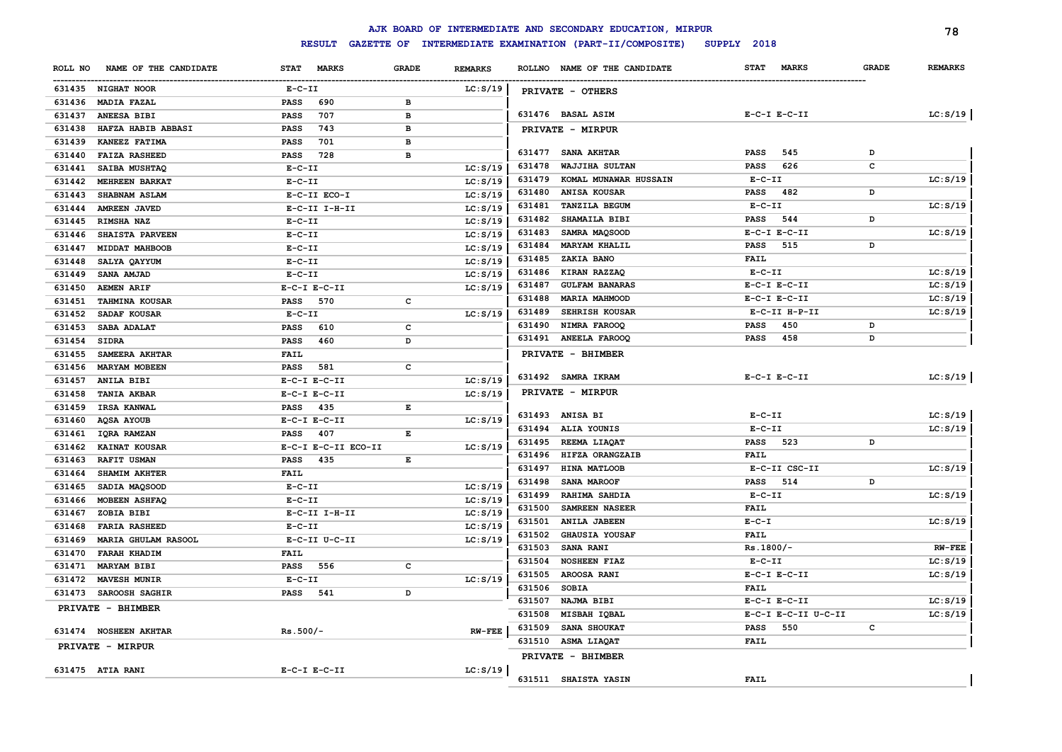|         |                        |                             |              |                |        | AJK BOARD OF INTERMEDIATE AND SECONDARY EDUCATION, MIRPUR |                  |                     |              | 78             |
|---------|------------------------|-----------------------------|--------------|----------------|--------|-----------------------------------------------------------|------------------|---------------------|--------------|----------------|
|         |                        | <b>RESULT</b>               |              |                |        | GAZETTE OF INTERMEDIATE EXAMINATION (PART-II/COMPOSITE)   | SUPPLY 2018      |                     |              |                |
| ROLL NO | NAME OF THE CANDIDATE  | <b>STAT</b><br><b>MARKS</b> | <b>GRADE</b> | <b>REMARKS</b> |        | ROLLNO NAME OF THE CANDIDATE                              | <b>STAT</b>      | <b>MARKS</b>        | <b>GRADE</b> | <b>REMARKS</b> |
|         | 631435 NIGHAT NOOR     | $E- C- II$                  |              | LC: S/19       |        | PRIVATE - OTHERS                                          |                  |                     |              |                |
| 631436  | <b>MADIA FAZAL</b>     | PASS<br>690                 | в            |                |        |                                                           |                  |                     |              |                |
| 631437  | ANEESA BIBI            | PASS<br>707                 | в            |                |        | 631476 BASAL ASIM                                         | $E-C-I$ $E-C-II$ |                     |              | LC: S/19       |
| 631438  | HAFZA HABIB ABBASI     | 743<br><b>PASS</b>          | в            |                |        | PRIVATE - MIRPUR                                          |                  |                     |              |                |
| 631439  | KANEEZ FATIMA          | 701<br><b>PASS</b>          | в            |                |        |                                                           |                  |                     |              |                |
| 631440  | <b>FAIZA RASHEED</b>   | 728<br>PASS                 | в            |                |        | 631477 SANA AKHTAR                                        | <b>PASS</b>      | 545                 | D            |                |
| 631441  | SAIBA MUSHTAQ          | $E-C-II$                    |              | LC: S/19       | 631478 | WAJJIHA SULTAN                                            | <b>PASS</b>      | 626                 | c            |                |
| 631442  | <b>MEHREEN BARKAT</b>  | $E-C-II$                    |              | LC: S/19       | 631479 | KOMAL MUNAWAR HUSSAIN                                     | $E-C-II$         |                     |              | LC: S/19       |
| 631443  | SHABNAM ASLAM          | E-C-II ECO-I                |              | LC: S/19       | 631480 | ANISA KOUSAR                                              | <b>PASS</b>      | 482                 | D            |                |
| 631444  | <b>AMREEN JAVED</b>    | E-C-II I-H-II               |              | LC: S/19       | 631481 | TANZILA BEGUM                                             | $E - C - II$     |                     |              | LC: S/19       |
| 631445  | <b>RIMSHA NAZ</b>      | $E-C-II$                    |              | LC: S/19       | 631482 | SHAMAILA BIBI                                             | <b>PASS</b>      | 544                 | D            |                |
| 631446  | <b>SHAISTA PARVEEN</b> | $E-C-II$                    |              | LC: S/19       | 631483 | SAMRA MAQSOOD                                             | $E-C-I$ $E-C-II$ |                     |              | LC: S/19       |
| 631447  | MIDDAT MAHBOOB         | $E-C-II$                    |              | LC: S/19       | 631484 | <b>MARYAM KHALIL</b>                                      | <b>PASS</b>      | 515                 | D            |                |
| 631448  | SALYA QAYYUM           | $E - C - II$                |              | LC: S/19       | 631485 | ZAKIA BANO                                                | <b>FAIL</b>      |                     |              |                |
| 631449  | <b>SANA AMJAD</b>      | $E-C-II$                    |              | LC: S/19       | 631486 | KIRAN RAZZAQ                                              | $E-C-II$         |                     |              | LC: S/19       |
| 631450  | <b>AEMEN ARIF</b>      | $E-C-I$ $E-C-II$            |              | LC: S/19       | 631487 | <b>GULFAM BANARAS</b>                                     | $E-C-I$ $E-C-II$ |                     |              | LC: S/19       |
| 631451  | <b>TAHMINA KOUSAR</b>  | 570<br>PASS                 | C            |                | 631488 | <b>MARIA MAHMOOD</b>                                      | $E-C-I$ $E-C-II$ |                     |              | LC: S/19       |
| 631452  | SADAF KOUSAR           | $E-C-II$                    |              | LC: S/19       | 631489 | SEHRISH KOUSAR                                            |                  | E-C-II H-P-II       |              | LC: S/19       |
| 631453  | SABA ADALAT            | <b>PASS</b><br>610          | c            |                | 631490 | NIMRA FAROOQ                                              | <b>PASS</b>      | 450                 | D            |                |
| 631454  | <b>SIDRA</b>           | 460<br><b>PASS</b>          | D            |                | 631491 | <b>ANEELA FAROOQ</b>                                      | <b>PASS</b>      | 458                 | D            |                |
| 631455  | SAMEERA AKHTAR         | <b>FAIL</b>                 |              |                |        | PRIVATE - BHIMBER                                         |                  |                     |              |                |
| 631456  | <b>MARYAM MOBEEN</b>   | <b>PASS</b><br>581          | c            |                |        |                                                           |                  |                     |              |                |
| 631457  | ANILA BIBI             | $E-C-I$ $E-C-II$            |              | LC: S/19       |        | 631492 SAMRA IKRAM                                        | $E-C-I$ $E-C-II$ |                     |              | LC: S/19       |
| 631458  | <b>TANIA AKBAR</b>     | $E-C-I$ $E-C-II$            |              | LC: S/19       |        | PRIVATE - MIRPUR                                          |                  |                     |              |                |
| 631459  | IRSA KANWAL            | <b>PASS</b><br>435          | E            |                |        |                                                           |                  |                     |              |                |
| 631460  | <b>AQSA AYOUB</b>      | $E-C-I$ $E-C-II$            |              | LC: S/19       |        | 631493 ANISA BI                                           | $E - C - II$     |                     |              | LC: S/19       |
| 631461  | IQRA RAMZAN            | 407<br><b>PASS</b>          | E            |                | 631494 | ALIA YOUNIS                                               | $E-C-II$         |                     |              | LC: S/19       |
| 631462  | KAINAT KOUSAR          | E-C-I E-C-II ECO-II         |              | LC: S/19       | 631495 | REEMA LIAQAT                                              | <b>PASS</b>      | 523                 | D            |                |
| 631463  | <b>RAFIT USMAN</b>     | 435<br><b>PASS</b>          | E            |                | 631496 | HIFZA ORANGZAIB                                           | <b>FAIL</b>      |                     |              |                |
| 631464  | SHAMIM AKHTER          | <b>FAIL</b>                 |              |                | 631497 | HINA MATLOOB                                              |                  | E-C-II CSC-II       |              | LC: S/19       |
| 631465  | SADIA MAQSOOD          | $E- C- II$                  |              | LC: S/19       | 631498 | SANA MAROOF                                               | <b>PASS</b>      | 514                 | D            |                |
| 631466  | <b>MOBEEN ASHFAQ</b>   | $E-C-II$                    |              | LC: S/19       | 631499 | <b>RAHIMA SAHDIA</b>                                      | $E-C-II$         |                     |              | LC: S/19       |
| 631467  | ZOBIA BIBI             | $E-C-II$ I-H-II             |              | LC: S/19       | 631500 | SAMREEN NASEER                                            | FAIL             |                     |              |                |
| 631468  | <b>FARIA RASHEED</b>   | $E-C-II$                    |              | LC: S/19       | 631501 | <b>ANILA JABEEN</b>                                       | $E - C - I$      |                     |              | LC: S/19       |
| 631469  | MARIA GHULAM RASOOL    | E-C-II U-C-II               |              | LC: S/19       | 631502 | <b>GHAUSIA YOUSAF</b>                                     | <b>FAIL</b>      |                     |              |                |
| 631470  | <b>FARAH KHADIM</b>    | <b>FAIL</b>                 |              |                | 631503 | <b>SANA RANI</b>                                          | $Rs.1800/-$      |                     |              | <b>RW-FEE</b>  |
| 631471  | <b>MARYAM BIBI</b>     | <b>PASS</b><br>556          | c            |                | 631504 | <b>NOSHEEN FIAZ</b>                                       | $E - C - II$     |                     |              | LC: S/19       |
| 631472  | <b>MAVESH MUNIR</b>    | $E - C - II$                |              | LC: S/19       | 631505 | AROOSA RANI                                               | $E-C-I$ $E-C-II$ |                     |              | LC: S/19       |
| 631473  | <b>SAROOSH SAGHIR</b>  | <b>PASS</b><br>541          | D            |                | 631506 | <b>SOBIA</b>                                              | <b>FAIL</b>      |                     |              |                |
|         | PRIVATE - BHIMBER      |                             |              |                | 631507 | NAJMA BIBI                                                | $E-C-I$ $E-C-II$ |                     |              | LC: S/19       |
|         |                        |                             |              |                | 631508 | MISBAH IQBAL                                              |                  | E-C-I E-C-II U-C-II |              | LC: S/19       |
|         | 631474 NOSHEEN AKHTAR  | $Rs.500/-$                  |              | $RW-FEE$       | 631509 | SANA SHOUKAT                                              | <b>PASS</b>      | 550                 | c            |                |
|         | PRIVATE - MIRPUR       |                             |              |                | 631510 | ASMA LIAQAT<br>PRIVATE - BHIMBER                          | <b>FAIL</b>      |                     |              |                |
|         | 631475 ATIA RANI       | $E-C-I$ $E-C-II$            |              | LC: S/19       |        |                                                           |                  |                     |              |                |
|         |                        |                             |              |                |        | 631511 SHAISTA YASIN                                      | FAIL             |                     |              |                |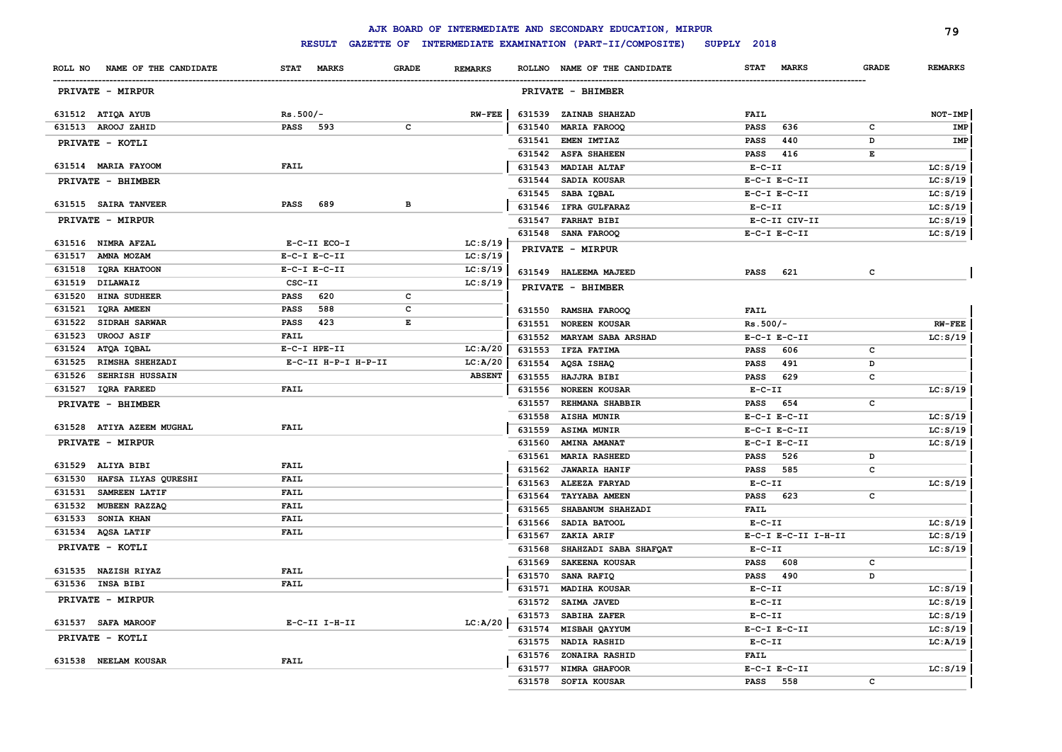|                                  |                         |                |        | AJK BOARD OF INTERMEDIATE AND SECONDARY EDUCATION, MIRPUR |              |                     |              | 79             |
|----------------------------------|-------------------------|----------------|--------|-----------------------------------------------------------|--------------|---------------------|--------------|----------------|
|                                  | <b>RESULT</b>           |                |        | GAZETTE OF INTERMEDIATE EXAMINATION (PART-II/COMPOSITE)   | SUPPLY 2018  |                     |              |                |
| ROLL NO NAME OF THE CANDIDATE    | STAT MARKS<br>GRADE     | <b>REMARKS</b> |        | ROLLNO NAME OF THE CANDIDATE                              | <b>STAT</b>  | <b>MARKS</b>        | <b>GRADE</b> | <b>REMARKS</b> |
| <b>PRIVATE - MIRPUR</b>          |                         |                |        | PRIVATE - BHIMBER                                         |              |                     |              |                |
| 631512 ATIQA AYUB                | $Rs.500/-$              | $RW-FEE$       | 631539 | ZAINAB SHAHZAD                                            | <b>FAIL</b>  |                     |              | NOT-IMP        |
| 631513 AROOJ ZAHID               | PASS 593<br>c           |                | 631540 | <b>MARIA FAROOQ</b>                                       | PASS         | 636                 | c            | IMP            |
| PRIVATE - KOTLI                  |                         |                | 631541 | <b>EMEN IMTIAZ</b>                                        | PASS         | 440                 | D            | IMP            |
|                                  |                         |                | 631542 | <b>ASFA SHAHEEN</b>                                       | PASS         | 416                 | Е            |                |
| 631514 MARIA FAYOOM              | <b>FAIL</b>             |                | 631543 | <b>MADIAH ALTAF</b>                                       | $E-C-II$     |                     |              | LC: S/19       |
| PRIVATE - BHIMBER                |                         |                | 631544 | <b>SADIA KOUSAR</b>                                       |              | $E-C-I$ $E-C-II$    |              | LC: S/19       |
|                                  |                         |                | 631545 | SABA IQBAL                                                |              | $E-C-I$ $E-C-II$    |              | LC: S/19       |
| 631515 SAIRA TANVEER             | <b>PASS</b><br>689<br>в |                |        | 631546 IFRA GULFARAZ                                      | $E- C- II$   |                     |              | LC: S/19       |
| PRIVATE - MIRPUR                 |                         |                |        | 631547 FARHAT BIBI                                        |              | E-C-II CIV-II       |              | LC: S/19       |
|                                  |                         |                |        | 631548 SANA FAROOQ                                        |              | $E-C-I$ $E-C-II$    |              | LC: S/19       |
| 631516 NIMRA AFZAL               | E-C-II ECO-I            | LC: S/19       |        | PRIVATE - MIRPUR                                          |              |                     |              |                |
| 631517<br>AMNA MOZAM             | $E-C-I$ $E-C-II$        | LC: S/19       |        |                                                           |              |                     |              |                |
| 631518 IQRA KHATOON              | $E-C-I$ $E-C-II$        | LC: S/19       |        | 631549 HALEEMA MAJEED                                     |              | PASS 621            | c            |                |
| <b>DILAWAIZ</b><br>631519        | CSC-II                  | LC: S/19       |        | PRIVATE - BHIMBER                                         |              |                     |              |                |
| <b>HINA SUDHEER</b><br>631520    | PASS<br>620<br>c        |                |        |                                                           |              |                     |              |                |
| 631521<br><b>IQRA AMEEN</b>      | 588<br>c<br><b>PASS</b> |                |        | 631550 RAMSHA FAROOQ                                      | FAIL         |                     |              |                |
| 631522<br><b>SIDRAH SARWAR</b>   | E<br>PASS<br>423        |                | 631551 | <b>NOREEN KOUSAR</b>                                      | $Rs.500/-$   |                     |              | <b>RW-FEE</b>  |
| 631523<br><b>UROOJ ASIF</b>      | FAIL                    |                |        | 631552 MARYAM SABA ARSHAD                                 |              | $E-C-I$ $E-C-II$    |              | LC: S/19       |
| 631524<br>ATQA IQBAL             | E-C-I HPE-II            | LC: A/20       | 631553 | <b>IFZA FATIMA</b>                                        | PASS         | 606                 | c            |                |
| 631525<br>RIMSHA SHEHZADI        | E-C-II H-P-I H-P-II     | LC: A/20       |        | 631554 AQSA ISHAQ                                         | PASS         | 491                 | D            |                |
| 631526<br><b>SEHRISH HUSSAIN</b> |                         | <b>ABSENT</b>  | 631555 | <b>HAJJRA BIBI</b>                                        | PASS         | 629                 | c            |                |
| 631527 IQRA FAREED               | <b>FAIL</b>             |                | 631556 | <b>NOREEN KOUSAR</b>                                      | $E- C- II$   |                     |              | LC: S/19       |
| PRIVATE - BHIMBER                |                         |                | 631557 | REHMANA SHABBIR                                           | <b>PASS</b>  | 654                 | c            |                |
|                                  |                         |                | 631558 | <b>AISHA MUNIR</b>                                        |              | $E-C-I$ $E-C-II$    |              | LC: S/19       |
| 631528 ATIYA AZEEM MUGHAL        | <b>FAIL</b>             |                | 631559 | <b>ASIMA MUNIR</b>                                        |              | $E-C-I$ $E-C-II$    |              | LC: S/19       |
| PRIVATE - MIRPUR                 |                         |                | 631560 | <b>AMINA AMANAT</b>                                       |              | $E-C-I$ $E-C-II$    |              | LC: S/19       |
| 631529 ALIYA BIBI                | <b>FAIL</b>             |                | 631561 | <b>MARIA RASHEED</b>                                      | PASS         | 526                 | D            |                |
| 631530 HAFSA ILYAS QURESHI       | FAIL                    |                | 631562 | <b>JAWARIA HANIF</b>                                      | <b>PASS</b>  | 585                 | c            |                |
| 631531<br>SAMREEN LATIF          | <b>FAIL</b>             |                |        | 631563 ALEEZA FARYAD                                      | $E - C - II$ |                     |              | LC: S/19       |
| 631532 MUBEEN RAZZAQ             | FAIL                    |                | 631564 | <b>TAYYABA AMEEN</b>                                      | <b>PASS</b>  | 623                 | c            |                |
| 631533 SONIA KHAN                | <b>FAIL</b>             |                | 631565 | SHABANUM SHAHZADI                                         | FAIL         |                     |              |                |
| 631534 AQSA LATIF                | FAIL                    |                | 631566 | SADIA BATOOL                                              | $E- C- II$   |                     |              | LC: S/19       |
|                                  |                         |                | 631567 | ZAKIA ARIF                                                |              | E-C-I E-C-II I-H-II |              | LC: S/19       |
| PRIVATE - KOTLI                  |                         |                | 631568 | SHAHZADI SABA SHAFQAT                                     | $E- C- II$   |                     |              | LC: S/19       |
| 631535 NAZISH RIYAZ              | <b>FAIL</b>             |                | 631569 | SAKEENA KOUSAR                                            | PASS         | 608                 | c            |                |
| 631536 INSA BIBI                 | <b>FAIL</b>             |                |        | 631570 SANA RAFIQ                                         | <b>PASS</b>  | 490                 | D            |                |
| PRIVATE - MIRPUR                 |                         |                |        | 631571 MADIHA KOUSAR                                      | $E-C-II$     |                     |              | LC: S/19       |
|                                  |                         |                |        | 631572 SAIMA JAVED                                        | $E-C-II$     |                     |              | LC: S/19       |
| 631537 SAFA MAROOF               | $E-C-II$ I-H-II         | LC: A/20       |        | 631573 SABIHA ZAFER                                       | $E- C- II$   |                     |              | LC: S/19       |
| PRIVATE - KOTLI                  |                         |                |        | 631574 MISBAH QAYYUM                                      |              | $E-C-I$ $E-C-II$    |              | LC: S/19       |
|                                  |                         |                |        | 631575 NADIA RASHID                                       | $E-C-II$     |                     |              | LC:A/19        |
| 631538 NEELAM KOUSAR             | <b>FAIL</b>             |                |        | 631576 ZONAIRA RASHID                                     | <b>FAIL</b>  |                     |              |                |
|                                  |                         |                |        | 631577 NIMRA GHAFOOR                                      |              | $E-C-I$ $E-C-II$    |              | LC: S/19       |
|                                  |                         |                |        | 631578 SOFIA KOUSAR                                       | <b>PASS</b>  | 558                 | c            |                |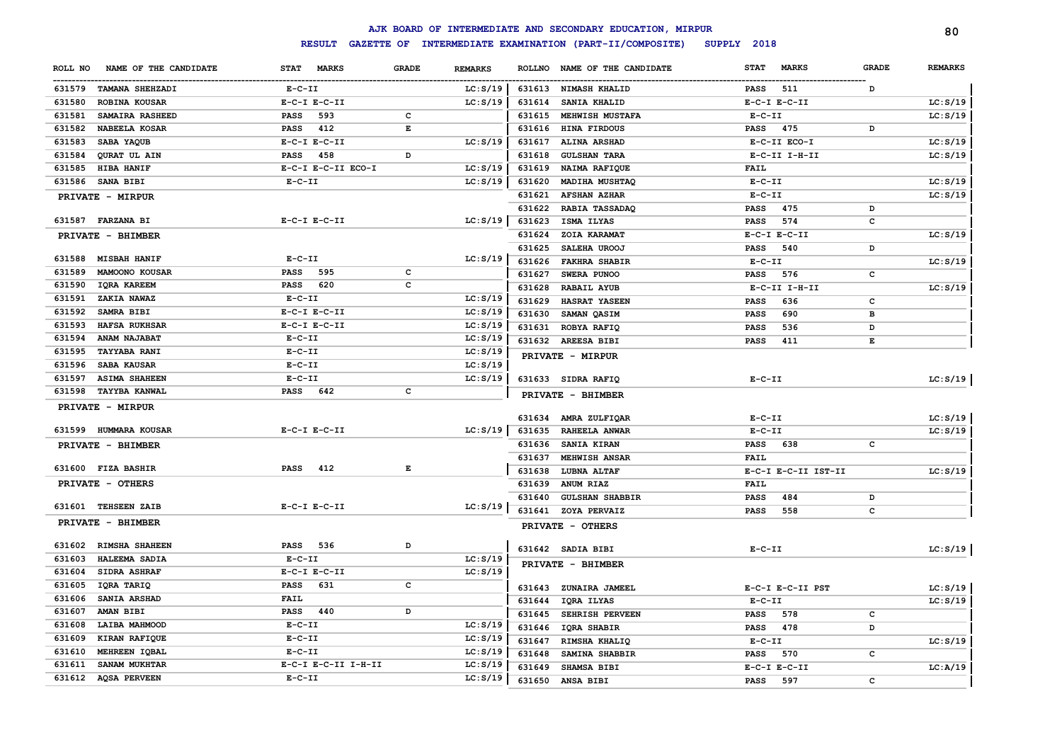|                                  |                     |                                |        | AJK BOARD OF INTERMEDIATE AND SECONDARY EDUCATION, MIRPUR |                             |              | 80             |
|----------------------------------|---------------------|--------------------------------|--------|-----------------------------------------------------------|-----------------------------|--------------|----------------|
|                                  | <b>RESULT</b>       |                                |        | GAZETTE OF INTERMEDIATE EXAMINATION (PART-II/COMPOSITE)   | SUPPLY 2018                 |              |                |
| NAME OF THE CANDIDATE<br>ROLL NO | STAT MARKS          | <b>GRADE</b><br><b>REMARKS</b> |        | ROLLNO NAME OF THE CANDIDATE                              | <b>STAT</b><br><b>MARKS</b> | <b>GRADE</b> | <b>REMARKS</b> |
| 631579 TAMANA SHEHZADI           | $E- C- II$          | LC: S/19                       |        | 631613 NIMASH KHALID                                      | 511<br>PASS                 | D            |                |
| 631580<br>ROBINA KOUSAR          | $E-C-I$ $E-C-II$    | LC: S/19                       | 631614 | SANIA KHALID                                              | $E-C-I$ $E-C-II$            |              | LC: S/19       |
| 631581<br>SAMAIRA RASHEED        | 593<br>PASS         | c                              | 631615 | MEHWISH MUSTAFA                                           | $E-C-II$                    |              | LC: S/19       |
| 631582<br>NABEELA KOSAR          | 412<br>PASS         | $\mathbf E$                    | 631616 | HINA FIRDOUS                                              | 475<br><b>PASS</b>          | D            |                |
| 631583<br>SABA YAQUB             | $E-C-I$ $E-C-II$    | LC: S/19                       | 631617 | ALINA ARSHAD                                              | E-C-II ECO-I                |              | LC: S/19       |
| QURAT UL AIN<br>631584           | 458<br>PASS         | D                              | 631618 | <b>GULSHAN TARA</b>                                       | E-C-II I-H-II               |              | LC: S/19       |
| 631585<br><b>HIBA HANIF</b>      | E-C-I E-C-II ECO-I  | LC: S/19                       | 631619 | NAIMA RAFIQUE                                             | <b>FAIL</b>                 |              |                |
| 631586<br><b>SANA BIBI</b>       | $E-C-II$            | LC: S/19                       | 631620 | MADIHA MUSHTAQ                                            | $E-C-II$                    |              | LC: S/19       |
| <b>PRIVATE - MIRPUR</b>          |                     |                                | 631621 | <b>AFSHAN AZHAR</b>                                       | $E-C-II$                    |              | LC: S/19       |
|                                  |                     |                                | 631622 | RABIA TASSADAQ                                            | <b>PASS</b><br>475          | D            |                |
| 631587 FARZANA BI                | $E-C-I$ $E-C-II$    | LC: S/19                       | 631623 | ISMA ILYAS                                                | 574<br><b>PASS</b>          | с            |                |
| PRIVATE - BHIMBER                |                     |                                | 631624 | ZOIA KARAMAT                                              | $E-C-I$ $E-C-II$            |              | LC: S/19       |
|                                  |                     |                                | 631625 | SALEHA UROOJ                                              | 540<br><b>PASS</b>          | D            |                |
| <b>MISBAH HANIF</b><br>631588    | $E- C- II$          | LC: S/19                       | 631626 | <b>FAKHRA SHABIR</b>                                      | $E-C-II$                    |              | LC: S/19       |
| 631589<br>MAMOONO KOUSAR         | PASS<br>595         | $\mathbf c$                    | 631627 | SWERA PUNOO                                               | <b>PASS</b><br>576          | c            |                |
| 631590<br><b>IQRA KAREEM</b>     | <b>PASS</b><br>620  | C                              | 631628 | <b>RABAIL AYUB</b>                                        | E-C-II I-H-II               |              | LC: S/19       |
| 631591<br>ZAKIA NAWAZ            | $E-C-II$            | LC: S/19                       | 631629 | HASRAT YASEEN                                             | 636<br><b>PASS</b>          | с            |                |
| 631592<br>SAMRA BIBI             | $E-C-I$ $E-C-II$    | LC: S/19                       | 631630 | SAMAN QASIM                                               | 690<br><b>PASS</b>          | в            |                |
| 631593<br><b>HAFSA RUKHSAR</b>   | $E-C-I$ $E-C-II$    | LC: S/19                       | 631631 | ROBYA RAFIQ                                               | 536<br><b>PASS</b>          | D            |                |
| 631594<br>ANAM NAJABAT           | $E-C-II$            | LC: S/19                       |        | 631632 AREESA BIBI                                        | <b>PASS</b><br>411          | E            |                |
| 631595<br><b>TAYYABA RANI</b>    | $E-C-II$            | LC: S/19                       |        | PRIVATE - MIRPUR                                          |                             |              |                |
| SABA KAUSAR<br>631596            | $E-C-II$            | LC: S/19                       |        |                                                           |                             |              |                |
| <b>ASIMA SHAHEEN</b><br>631597   | $E-C-II$            | LC: S/19                       |        | 631633 SIDRA RAFIQ                                        | $E - C - II$                |              | LC: S/19       |
| 631598 TAYYBA KANWAL             | <b>PASS</b><br>642  | $\mathbf{C}$                   |        | PRIVATE - BHIMBER                                         |                             |              |                |
| PRIVATE - MIRPUR                 |                     |                                |        |                                                           |                             |              |                |
|                                  |                     |                                |        | 631634 AMRA ZULFIQAR                                      | $E-C-TI$                    |              | LC: S/19       |
| 631599 HUMMARA KOUSAR            | $E-C-I$ $E-C-II$    | LC: S/19                       | 631635 | RAHEELA ANWAR                                             | $E- C- II$                  |              | LC: S/19       |
| PRIVATE - BHIMBER                |                     |                                | 631636 | SANIA KIRAN                                               | <b>PASS</b><br>638          | с            |                |
| 631600 FIZA BASHIR               | <b>PASS</b><br>412  | Е                              | 631637 | MEHWISH ANSAR                                             | <b>FAIL</b>                 |              |                |
|                                  |                     |                                | 631638 | LUBNA ALTAF                                               | E-C-I E-C-II IST-II         |              | LC: S/19       |
| PRIVATE - OTHERS                 |                     |                                | 631639 | ANUM RIAZ                                                 | <b>FAIL</b>                 |              |                |
| 631601 TEHSEEN ZAIB              | $E-C-I$ $E-C-II$    | LC: S/19                       | 631640 | <b>GULSHAN SHABBIR</b>                                    | <b>PASS</b><br>484          | D            |                |
| PRIVATE - BHIMBER                |                     |                                |        | 631641 ZOYA PERVAIZ                                       | <b>PASS</b><br>558          | c            |                |
|                                  |                     |                                |        | PRIVATE - OTHERS                                          |                             |              |                |
| 631602 RIMSHA SHAHEEN            | 536<br><b>PASS</b>  | D                              |        | 631642 SADIA BIBI                                         | $E- C- II$                  |              | LC: S/19       |
| 631603<br>HALEEMA SADIA          | $E-C-II$            | LC: S/19                       |        |                                                           |                             |              |                |
| <b>SIDRA ASHRAF</b><br>631604    | $E-C-I$ $E-C-II$    | LC: S/19                       |        | PRIVATE - BHIMBER                                         |                             |              |                |
| 631605<br>IQRA TARIQ             | <b>PASS</b><br>631  | c                              | 631643 | ZUNAIRA JAMEEL                                            | E-C-I E-C-II PST            |              | LC: S/19       |
| 631606<br><b>SANIA ARSHAD</b>    | <b>FAIL</b>         |                                | 631644 | IQRA ILYAS                                                | $E - C - II$                |              | LC: S/19       |
| 631607<br>AMAN BIBI              | <b>PASS</b><br>440  | D                              | 631645 | SEHRISH PERVEEN                                           | 578<br><b>PASS</b>          | c            |                |
| 631608<br>LAIBA MAHMOOD          | $E-C-II$            | LC: S/19                       | 631646 | IQRA SHABIR                                               | <b>PASS</b><br>478          | D            |                |
| 631609<br>KIRAN RAFIQUE          | $E-C-II$            | LC: S/19                       | 631647 | RIMSHA KHALIQ                                             | $E-C-II$                    |              | LC: S/19       |
| 631610<br>MEHREEN IQBAL          | $E - C - II$        | LC: S/19                       | 631648 | SAMINA SHABBIR                                            | 570<br><b>PASS</b>          | c            |                |
| 631611<br>SANAM MUKHTAR          | E-C-I E-C-II I-H-II | LC: S/19                       | 631649 | SHAMSA BIBI                                               | $E-C-I$ $E-C-II$            |              | LC: A/19       |
| 631612 AQSA PERVEEN              | $E-C-II$            | LC: S/19                       | 631650 | ANSA BIBI                                                 | 597<br><b>PASS</b>          | $\sim$       |                |
|                                  |                     |                                |        |                                                           |                             |              |                |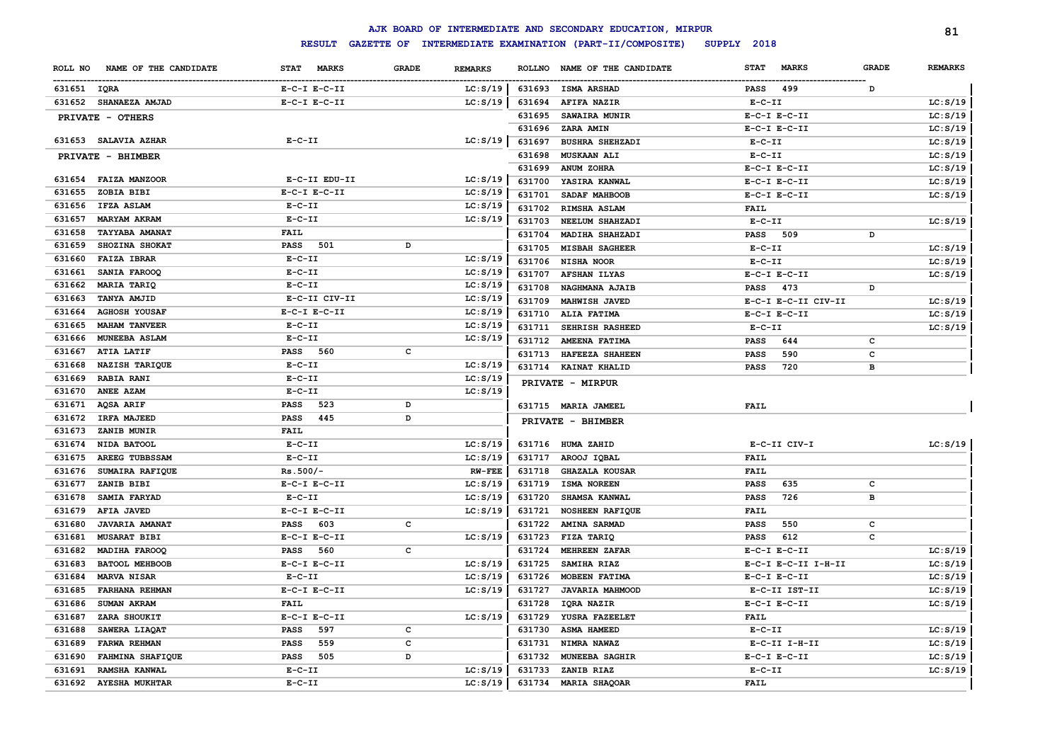|                                  |                    |              |                |        | AJK BOARD OF INTERMEDIATE AND SECONDARY EDUCATION, MIRPUR |                  |                     |              | 81             |
|----------------------------------|--------------------|--------------|----------------|--------|-----------------------------------------------------------|------------------|---------------------|--------------|----------------|
|                                  | <b>RESULT</b>      |              |                |        | GAZETTE OF INTERMEDIATE EXAMINATION (PART-II/COMPOSITE)   | SUPPLY 2018      |                     |              |                |
| NAME OF THE CANDIDATE<br>ROLL NO | STAT MARKS         | <b>GRADE</b> | <b>REMARKS</b> |        | ROLLNO NAME OF THE CANDIDATE                              | <b>STAT</b>      | <b>MARKS</b>        | <b>GRADE</b> | <b>REMARKS</b> |
| 631651 IQRA                      | $E-C-I$ $E-C-II$   |              | LC: S/19       |        | 631693 ISMA ARSHAD                                        | PASS             | 499                 | D            |                |
| 631652 SHANAEZA AMJAD            | $E-C-I$ $E-C-II$   |              | LC: S/19       |        | 631694 AFIFA NAZIR                                        | $E- C- II$       |                     |              | LC: S/19       |
| PRIVATE - OTHERS                 |                    |              |                | 631695 | <b>SAWAIRA MUNIR</b>                                      | $E-C-I$ $E-C-II$ |                     |              | LC: S/19       |
|                                  |                    |              |                |        | 631696 ZARA AMIN                                          | $E-C-I$ $E-C-II$ |                     |              | LC: S/19       |
| 631653 SALAVIA AZHAR             | $E - C - II$       |              | LC: S/19       | 631697 | <b>BUSHRA SHEHZADI</b>                                    | $E- C- II$       |                     |              | LC: S/19       |
| PRIVATE - BHIMBER                |                    |              |                | 631698 | <b>MUSKAAN ALI</b>                                        | $E- C- II$       |                     |              | LC: S/19       |
|                                  |                    |              |                | 631699 | ANUM ZOHRA                                                | $E-C-I$ $E-C-II$ |                     |              | LC: S/19       |
| 631654<br><b>FAIZA MANZOOR</b>   | E-C-II EDU-II      |              | LC: S/19       | 631700 | YASIRA KANWAL                                             | $E-C-I$ $E-C-II$ |                     |              | LC: S/19       |
| 631655<br>ZOBIA BIBI             | $E-C-I$ $E-C-II$   |              | LC: S/19       | 631701 | SADAF MAHBOOB                                             | $E-C-I$ $E-C-II$ |                     |              | LC: S/19       |
| 631656<br><b>IFZA ASLAM</b>      | $E- C- II$         |              | LC: S/19       | 631702 | <b>RIMSHA ASLAM</b>                                       | FAIL             |                     |              |                |
| 631657<br><b>MARYAM AKRAM</b>    | $E-C-II$           |              | LC: S/19       | 631703 | NEELUM SHAHZADI                                           | $E-C-II$         |                     |              | LC: S/19       |
| 631658<br><b>TAYYABA AMANAT</b>  | FAIL               |              |                | 631704 | MADIHA SHAHZADI                                           | <b>PASS</b>      | 509                 | D            |                |
| 631659<br>SHOZINA SHOKAT         | <b>PASS</b> 501    | D            |                | 631705 | <b>MISBAH SAGHEER</b>                                     | $E- C- II$       |                     |              | LC: S/19       |
| 631660<br><b>FAIZA IBRAR</b>     | $E-C-II$           |              | LC: S/19       |        | 631706 NISHA NOOR                                         | $E- C- II$       |                     |              | LC: S/19       |
| 631661<br>SANIA FAROOQ           | $E-C-II$           |              | LC: S/19       | 631707 | <b>AFSHAN ILYAS</b>                                       | $E-C-I$ $E-C-II$ |                     |              | LC: S/19       |
| 631662<br>MARIA TARIQ            | $E-C-II$           |              | LC: S/19       | 631708 | NAGHMANA AJAIB                                            | PASS             | 473                 | D            |                |
| 631663<br>TANYA AMJID            | E-C-II CIV-II      |              | LC: S/19       | 631709 | <b>MAHWISH JAVED</b>                                      |                  | E-C-I E-C-II CIV-II |              | LC: S/19       |
| 631664<br><b>AGHOSH YOUSAF</b>   | $E-C-I$ $E-C-II$   |              | LC: S/19       |        | 631710 ALIA FATIMA                                        | $E-C-I$ $E-C-II$ |                     |              | LC: S/19       |
| 631665<br><b>MAHAM TANVEER</b>   | $E- C- II$         |              | LC: S/19       | 631711 | <b>SEHRISH RASHEED</b>                                    | $E- C- II$       |                     |              | LC: S/19       |
| 631666<br><b>MUNEEBA ASLAM</b>   | $E- C- II$         |              | LC: S/19       |        | 631712 AMEENA FATIMA                                      | PASS             | 644                 | c            |                |
| 631667<br><b>ATIA LATIF</b>      | <b>PASS</b> 560    | c            |                |        | 631713 HAFEEZA SHAHEEN                                    | <b>PASS</b>      | 590                 | c            |                |
| 631668<br><b>NAZISH TARIQUE</b>  | $E-C-II$           |              | LC: S/19       |        | 631714 KAINAT KHALID                                      | <b>PASS</b>      | 720                 | в            |                |
| 631669<br><b>RABIA RANI</b>      | $E-C-II$           |              | LC: S/19       |        | PRIVATE - MIRPUR                                          |                  |                     |              |                |
| 631670<br><b>ANEE AZAM</b>       | $E-C-II$           |              | LC: S/19       |        |                                                           |                  |                     |              |                |
| 631671<br>AQSA ARIF              | PASS<br>523        | D            |                |        | 631715 MARIA JAMEEL                                       | FAIL             |                     |              |                |
| 631672<br>IRFA MAJEED            | PASS 445           | D            |                |        | PRIVATE - BHIMBER                                         |                  |                     |              |                |
| 631673<br>ZANIB MUNIR            | FAIL               |              |                |        |                                                           |                  |                     |              |                |
| 631674<br>NIDA BATOOL            | $E- C- II$         |              | LC: S/19       |        | 631716 HUMA ZAHID                                         | E-C-II CIV-I     |                     |              | LC: S/19       |
| 631675<br>AREEG TUBBSSAM         | $E-C-II$           |              | LC: S/19       | 631717 | AROOJ IQBAL                                               | FAIL             |                     |              |                |
| 631676<br>SUMAIRA RAFIQUE        | $Rs.500/-$         |              | <b>RW-FEE</b>  | 631718 | <b>GHAZALA KOUSAR</b>                                     | FAIL             |                     |              |                |
| 631677<br>ZANIB BIBI             | $E-C-I$ $E-C-II$   |              | LC: S/19       | 631719 | <b>ISMA NOREEN</b>                                        | <b>PASS</b>      | 635                 | c            |                |
| 631678<br>SAMIA FARYAD           | $E- C- II$         |              | LC: S/19       | 631720 | <b>SHAMSA KANWAL</b>                                      | <b>PASS</b>      | 726                 | в            |                |
| 631679<br><b>AFIA JAVED</b>      | $E-C-I$ $E-C-II$   |              | LC: S/19       | 631721 | <b>NOSHEEN RAFIQUE</b>                                    | <b>FAIL</b>      |                     |              |                |
| 631680<br><b>JAVARIA AMANAT</b>  | <b>PASS</b> 603    | c            |                | 631722 | <b>AMINA SARMAD</b>                                       | PASS             | 550                 | c            |                |
| 631681<br><b>MUSARAT BIBI</b>    | $E-C-I$ $E-C-II$   |              | LC: S/19       | 631723 | FIZA TARIQ                                                | PASS             | 612                 | c            |                |
| 631682<br><b>MADIHA FAROOQ</b>   | <b>PASS</b> 560    | с            |                | 631724 | <b>MEHREEN ZAFAR</b>                                      | $E-C-I$ $E-C-II$ |                     |              | LC: S/19       |
| 631683<br><b>BATOOL MEHBOOB</b>  | $E-C-I$ $E-C-II$   |              | LC: S/19       | 631725 | SAMIHA RIAZ                                               |                  | E-C-I E-C-II I-H-II |              | LC: S/19       |
| 631684<br><b>MARVA NISAR</b>     | $E-C-II$           |              | LC: S/19       | 631726 | MOBEEN FATIMA                                             | $E-C-I$ $E-C-II$ |                     |              | LC: S/19       |
| 631685 FARHANA REHMAN            | $E-C-I$ $E-C-II$   |              | LC: S/19       | 631727 | <b>JAVARIA MAHMOOD</b>                                    |                  | E-C-II IST-II       |              | LC: S/19       |
| 631686 SUMAN AKRAM               | <b>FAIL</b>        |              |                |        | 631728 IQRA NAZIR                                         | $E-C-I$ $E-C-II$ |                     |              | LC: S/19       |
| 631687 ZARA SHOUKIT              | $E-C-I$ $E-C-II$   |              | LC: S/19       |        | 631729 YUSRA FAZEELET                                     | <b>FAIL</b>      |                     |              |                |
| 631688 SAWERA LIAQAT             | PASS 597           | с            |                |        | 631730 ASMA HAMEED                                        | $E- C- II$       |                     |              | LC: S/19       |
| 631689 FARWA REHMAN              | <b>PASS</b><br>559 | с            |                |        | 631731 NIMRA NAWAZ                                        |                  | E-C-II I-H-II       |              | LC: S/19       |
| 631690 FAHMINA SHAFIQUE          | PASS 505           | D            |                |        | 631732 MUNEEBA SAGHIR                                     | $E-C-I$ $E-C-II$ |                     |              | LC: S/19       |
| 631691 RAMSHA KANWAL             | $E-C-II$           |              | LC: S/19       |        | 631733 ZANIB RIAZ                                         | $E-C-II$         |                     |              | LC: S/19       |
| 631692 AYESHA MUKHTAR            | $E-C-II$           |              | LC: S/19       |        | 631734 MARIA SHAQOAR                                      | FAIL             |                     |              |                |
|                                  |                    |              |                |        |                                                           |                  |                     |              |                |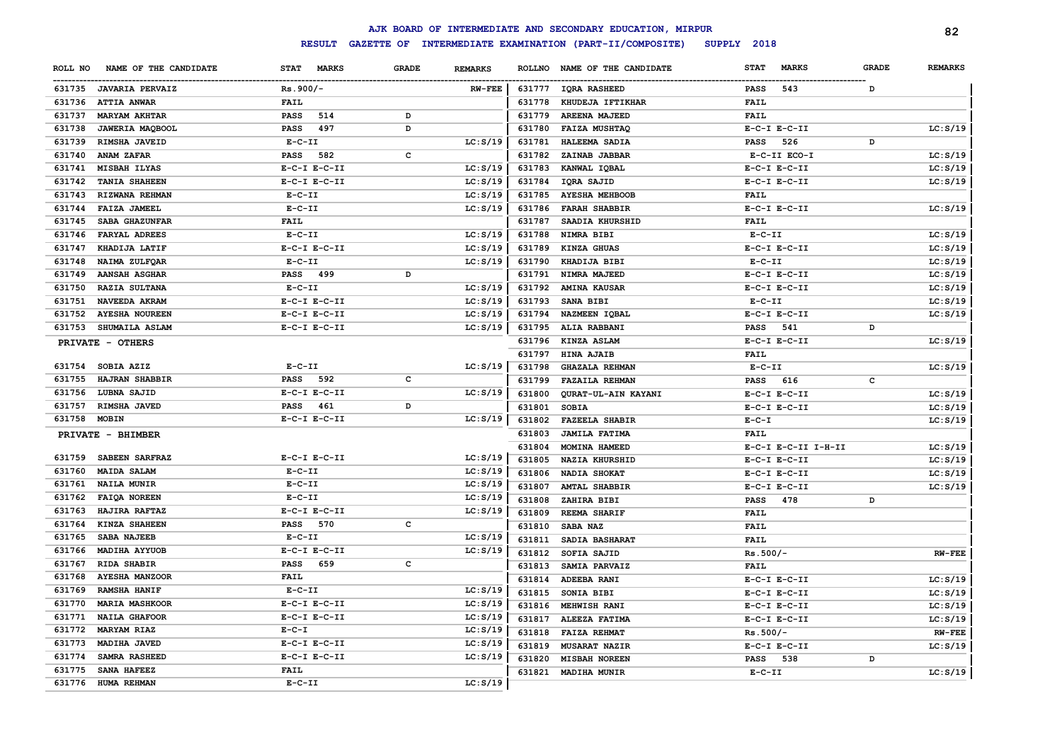|              |                        |                             |                   |                |               | AJK BOARD OF INTERMEDIATE AND SECONDARY EDUCATION, MIRPUR |                             |              | 82             |
|--------------|------------------------|-----------------------------|-------------------|----------------|---------------|-----------------------------------------------------------|-----------------------------|--------------|----------------|
|              |                        | <b>RESULT</b>               | <b>GAZETTE OF</b> |                |               | INTERMEDIATE EXAMINATION (PART-II/COMPOSITE)              | SUPPLY 2018                 |              |                |
| ROLL NO      | NAME OF THE CANDIDATE  | <b>STAT</b><br><b>MARKS</b> | <b>GRADE</b>      | <b>REMARKS</b> | <b>ROLLNO</b> | NAME OF THE CANDIDATE                                     | <b>STAT</b><br><b>MARKS</b> | <b>GRADE</b> | <b>REMARKS</b> |
|              | 631735 JAVARIA PERVAIZ | $Rs.900/-$                  |                   | $RW-FEE$       |               | 631777 IQRA RASHEED                                       | 543<br><b>PASS</b>          | D            |                |
|              | 631736 ATTIA ANWAR     | <b>FAIL</b>                 |                   |                | 631778        | KHUDEJA IFTIKHAR                                          | <b>FAIL</b>                 |              |                |
| 631737       | <b>MARYAM AKHTAR</b>   | <b>PASS</b><br>514          | D                 |                | 631779        | AREENA MAJEED                                             | <b>FAIL</b>                 |              |                |
| 631738       | JAWERIA MAQBOOL        | <b>PASS</b><br>497          | D                 |                | 631780        | <b>FAIZA MUSHTAQ</b>                                      | $E-C-I$ $E-C-II$            |              | LC: S/19       |
| 631739       | RIMSHA JAVEID          | $E-C-II$                    |                   | LC: S/19       | 631781        | HALEEMA SADIA                                             | 526<br><b>PASS</b>          | D            |                |
| 631740       | <b>ANAM ZAFAR</b>      | PASS<br>582                 | c                 |                | 631782        | ZAINAB JABBAR                                             | E-C-II ECO-I                |              | LC: S/19       |
| 631741       | MISBAH ILYAS           | $E-C-I$ $E-C-II$            |                   | LC: S/19       | 631783        | KANWAL IQBAL                                              | $E-C-I$ $E-C-II$            |              | LC: S/19       |
| 631742       | <b>TANIA SHAHEEN</b>   | $E-C-I$ $E-C-II$            |                   | LC: S/19       | 631784        | IQRA SAJID                                                | $E-C-I$ $E-C-II$            |              | LC: S/19       |
| 631743       | RIZWANA REHMAN         | $E-C-II$                    |                   | LC: S/19       | 631785        | <b>AYESHA MEHBOOB</b>                                     | <b>FAIL</b>                 |              |                |
| 631744       | <b>FAIZA JAMEEL</b>    | $E-C-II$                    |                   | LC: S/19       | 631786        | <b>FARAH SHABBIR</b>                                      | $E-C-I$ $E-C-II$            |              | LC: S/19       |
| 631745       | SABA GHAZUNFAR         | <b>FAIL</b>                 |                   |                | 631787        | SAADIA KHURSHID                                           | <b>FAIL</b>                 |              |                |
| 631746       | <b>FARYAL ADREES</b>   | $E-C-II$                    |                   | LC: S/19       | 631788        | NIMRA BIBI                                                | $E-C-II$                    |              | LC: S/19       |
| 631747       | KHADIJA LATIF          | $E-C-I$ $E-C-II$            |                   | LC: S/19       | 631789        | KINZA GHUAS                                               | $E-C-I$ $E-C-II$            |              | LC: S/19       |
| 631748       | NAIMA ZULFQAR          | $E - C - II$                |                   | LC: S/19       | 631790        | KHADIJA BIBI                                              | $E- C- II$                  |              | LC: S/19       |
| 631749       | <b>AANSAH ASGHAR</b>   | PASS 499                    | D                 |                | 631791        | NIMRA MAJEED                                              | $E-C-I$ $E-C-II$            |              | LC: S/19       |
| 631750       | RAZIA SULTANA          | $E-C-II$                    |                   | LC: S/19       | 631792        | <b>AMINA KAUSAR</b>                                       | $E-C-I$ $E-C-II$            |              | LC: S/19       |
| 631751       | NAVEEDA AKRAM          | $E-C-I$ $E-C-II$            |                   | LC: S/19       | 631793        | SANA BIBI                                                 | $E-C-II$                    |              | LC: S/19       |
| 631752       | <b>AYESHA NOUREEN</b>  | $E-C-I$ $E-C-II$            |                   | LC: S/19       | 631794        | NAZMEEN IQBAL                                             | $E-C-I$ $E-C-II$            |              | LC: S/19       |
| 631753       | <b>SHUMAILA ASLAM</b>  | $E-C-I$ $E-C-II$            |                   | LC: S/19       | 631795        | ALIA RABBANI                                              | 541<br>PASS                 | D            |                |
|              | PRIVATE - OTHERS       |                             |                   |                | 631796        | KINZA ASLAM                                               | $E-C-I$ $E-C-II$            |              | LC: S/19       |
|              |                        |                             |                   |                | 631797        | <b>HINA AJAIB</b>                                         | <b>FAIL</b>                 |              |                |
| 631754       | SOBIA AZIZ             | $E - C - II$                |                   | LC: S/19       | 631798        | <b>GHAZALA REHMAN</b>                                     | $E-C-II$                    |              | LC: S/19       |
| 631755       | HAJRAN SHABBIR         | PASS<br>592                 | C                 |                | 631799        | <b>FAZAILA REHMAN</b>                                     | 616<br><b>PASS</b>          | $\mathtt{c}$ |                |
| 631756       | LUBNA SAJID            | $E-C-I$ $E-C-II$            |                   | LC: S/19       | 631800        | QURAT-UL-AIN KAYANI                                       | $E-C-I$ $E-C-II$            |              | LC: S/19       |
| 631757       | RIMSHA JAVED           | PASS 461                    | D                 |                | 631801        | <b>SOBIA</b>                                              | $E-C-I$ $E-C-II$            |              | LC: S/19       |
| 631758 MOBIN |                        | $E-C-I$ $E-C-II$            |                   | LC: S/19       | 631802        | <b>FAZEELA SHABIR</b>                                     | $E-C-I$                     |              | LC: S/19       |
|              | PRIVATE - BHIMBER      |                             |                   |                | 631803        | <b>JAMILA FATIMA</b>                                      | <b>FAIL</b>                 |              |                |
|              |                        |                             |                   |                | 631804        | MOMINA HAMEED                                             | E-C-I E-C-II I-H-II         |              | LC: S/19       |
| 631759       | SABEEN SARFRAZ         | $E-C-I$ $E-C-II$            |                   | LC: S/19       | 631805        | <b>NAZIA KHURSHID</b>                                     | $E-C-I$ $E-C-II$            |              | LC: S/19       |
| 631760       | <b>MAIDA SALAM</b>     | $E- C- II$                  |                   | LC: S/19       | 631806        | NADIA SHOKAT                                              | $E-C-I$ $E-C-II$            |              | LC: S/19       |
| 631761       | <b>NAILA MUNIR</b>     | $E-C-II$                    |                   | LC: S/19       | 631807        | <b>AMTAL SHABBIR</b>                                      | $E-C-I$ $E-C-II$            |              | LC: S/19       |
| 631762       | FAIQA NOREEN           | $E-C-II$                    |                   | LC: S/19       | 631808        | ZAHIRA BIBI                                               | 478<br>PASS                 | D            |                |
| 631763       | HAJIRA RAFTAZ          | $E-C-I$ $E-C-II$            |                   | LC: S/19       | 631809        | <b>REEMA SHARIF</b>                                       | <b>FAIL</b>                 |              |                |
| 631764       | KINZA SHAHEEN          | PASS 570                    | c                 |                | 631810        | SABA NAZ                                                  | <b>FAIL</b>                 |              |                |
| 631765       | SABA NAJEEB            | $E-C-II$                    |                   | LC: S/19       | 631811        | SADIA BASHARAT                                            | <b>FAIL</b>                 |              |                |
| 631766       | MADIHA AYYUOB          | $E-C-I$ $E-C-II$            |                   | LC: S/19       | 631812        | SOFIA SAJID                                               | $Rs.500/-$                  |              | $RW-FEE$       |
| 631767       | RIDA SHABIR            | <b>PASS</b><br>659          | c                 |                | 631813        | SAMIA PARVAIZ                                             | <b>FAIL</b>                 |              |                |
| 631768       | <b>AYESHA MANZOOR</b>  | <b>FAIL</b>                 |                   |                | 631814        | ADEEBA RANI                                               | $E-C-I$ $E-C-II$            |              | LC: S/19       |
| 631769       | <b>RAMSHA HANIF</b>    | $E-C-II$                    |                   | LC: S/19       | 631815        | SONIA BIBI                                                | $E-C-I$ $E-C-II$            |              | LC: S/19       |
| 631770       | <b>MARIA MASHKOOR</b>  | $E-C-I$ $E-C-II$            |                   | LC: S/19       | 631816        | MEHWISH RANI                                              | $E-C-I$ $E-C-II$            |              | LC: S/19       |
| 631771       | <b>NAILA GHAFOOR</b>   | $E-C-I$ $E-C-II$            |                   | LC: S/19       | 631817        | ALEEZA FATIMA                                             | $E-C-I$ $E-C-II$            |              | LC: S/19       |
| 631772       | <b>MARYAM RIAZ</b>     | $E - C - I$                 |                   | LC: S/19       | 631818        | <b>FAIZA REHMAT</b>                                       | $Rs.500/-$                  |              | <b>RW-FEE</b>  |
| 631773       | <b>MADIHA JAVED</b>    | $E-C-I$ $E-C-II$            |                   | LC: S/19       | 631819        | <b>MUSARAT NAZIR</b>                                      | $E-C-I$ $E-C-II$            |              | LC: S/19       |
| 631774       | <b>SAMRA RASHEED</b>   | $E-C-I$ $E-C-II$            |                   | LC: S/19       | 631820        | <b>MISBAH NOREEN</b>                                      | 538<br><b>PASS</b>          | D            |                |
| 631775       | SANA HAFEEZ            | <b>FAIL</b>                 |                   |                |               | 631821 MADIHA MUNIR                                       | $E-C-II$                    |              | LC: S/19       |
|              | 631776 HUMA REHMAN     | $E - C - II$                |                   | LC: S/19       |               |                                                           |                             |              |                |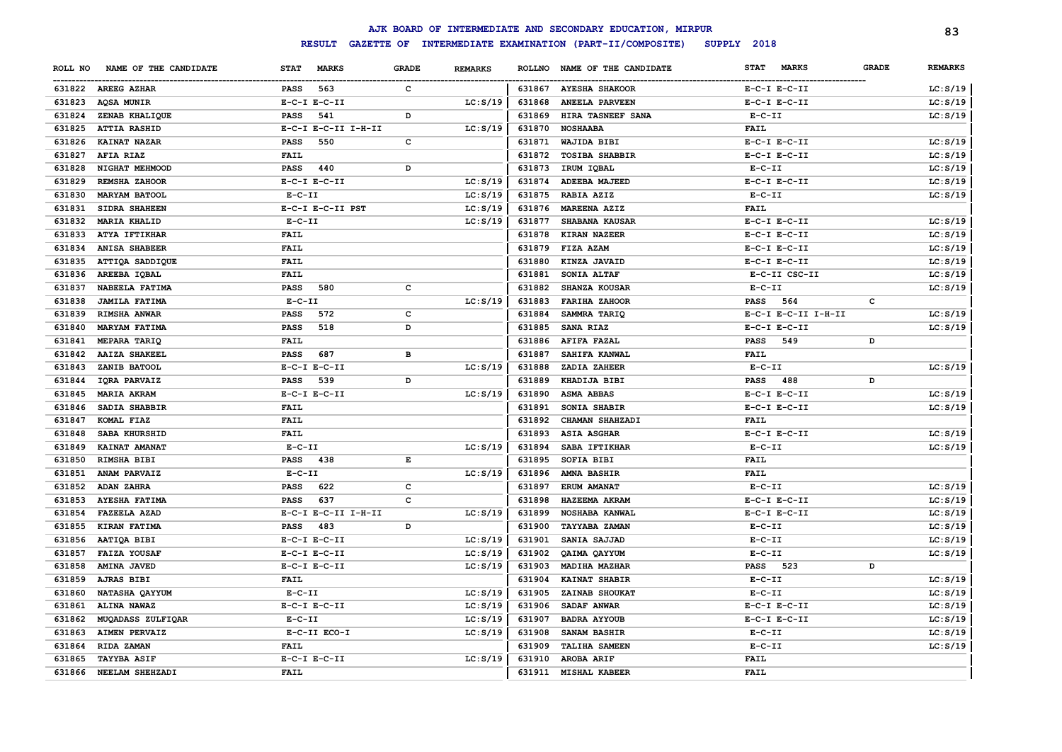|         |                        |                  |                     |              |                |               | AJK BOARD OF INTERMEDIATE AND SECONDARY EDUCATION, MIRPUR |                      |              | 83             |
|---------|------------------------|------------------|---------------------|--------------|----------------|---------------|-----------------------------------------------------------|----------------------|--------------|----------------|
|         |                        |                  | <b>RESULT</b>       |              |                |               | GAZETTE OF INTERMEDIATE EXAMINATION (PART-II/COMPOSITE)   | SUPPLY 2018          |              |                |
| ROLL NO | NAME OF THE CANDIDATE  | <b>STAT</b>      | <b>MARKS</b>        | <b>GRADE</b> | <b>REMARKS</b> | <b>ROLLNO</b> | NAME OF THE CANDIDATE                                     | STAT<br><b>MARKS</b> | <b>GRADE</b> | <b>REMARKS</b> |
|         | 631822 AREEG AZHAR     | <b>PASS</b>      | 563                 | c            |                | 631867        | <b>AYESHA SHAKOOR</b>                                     | $E-C-I$ $E-C-II$     |              | LC: S/19       |
| 631823  | <b>AQSA MUNIR</b>      | $E-C-I$ $E-C-II$ |                     |              | LC: S/19       | 631868        | <b>ANEELA PARVEEN</b>                                     | $E-C-I$ $E-C-II$     |              | LC: S/19       |
| 631824  | ZENAB KHALIQUE         | <b>PASS</b>      | 541                 | D            |                | 631869        | HIRA TASNEEF SANA                                         | $E-C-II$             |              | LC: S/19       |
| 631825  | <b>ATTIA RASHID</b>    |                  | E-C-I E-C-II I-H-II |              | LC: S/19       | 631870        | <b>NOSHAABA</b>                                           | <b>FAIL</b>          |              |                |
| 631826  | <b>KAINAT NAZAR</b>    | PASS             | 550                 | C            |                | 631871        | WAJIDA BIBI                                               | $E-C-I$ $E-C-II$     |              | LC: S/19       |
| 631827  | <b>AFIA RIAZ</b>       | <b>FAIL</b>      |                     |              |                | 631872        | <b>TOSIBA SHABBIR</b>                                     | $E-C-I$ $E-C-II$     |              | LC: S/19       |
| 631828  | NIGHAT MEHMOOD         | <b>PASS</b>      | 440                 | D            |                | 631873        | IRUM IOBAL                                                | $E- C- II$           |              | LC: S/19       |
| 631829  | REMSHA ZAHOOR          | $E-C-I$ $E-C-II$ |                     |              | LC: S/19       | 631874        | ADEEBA MAJEED                                             | $E-C-I$ $E-C-II$     |              | LC: S/19       |
| 631830  | <b>MARYAM BATOOL</b>   | $E - C - II$     |                     |              | LC: S/19       | 631875        | RABIA AZIZ                                                | $E- C- II$           |              | LC: S/19       |
| 631831  | <b>SIDRA SHAHEEN</b>   |                  | E-C-I E-C-II PST    |              | LC: S/19       | 631876        | MAREENA AZIZ                                              | FAIL                 |              |                |
| 631832  | <b>MARIA KHALID</b>    | $E - C - II$     |                     |              | LC: S/19       | 631877        | SHABANA KAUSAR                                            | $E-C-I$ $E-C-II$     |              | LC: S/19       |
| 631833  | ATYA IFTIKHAR          | FAIL             |                     |              |                | 631878        | KIRAN NAZEER                                              | $E-C-I$ $E-C-II$     |              | LC: S/19       |
| 631834  | <b>ANISA SHABEER</b>   | <b>FAIL</b>      |                     |              |                | 631879        | FIZA AZAM                                                 | $E-C-I$ $E-C-II$     |              | LC: S/19       |
| 631835  | ATTIQA SADDIQUE        | <b>FAIL</b>      |                     |              |                | 631880        | KINZA JAVAID                                              | $E-C-I$ $E-C-II$     |              | LC: S/19       |
| 631836  | AREEBA IQBAL           | <b>FAIL</b>      |                     |              |                | 631881        | SONIA ALTAF                                               | E-C-II CSC-II        |              | LC: S/19       |
| 631837  | NABEELA FATIMA         | <b>PASS</b>      | 580                 | $\mathbf c$  |                | 631882        | <b>SHANZA KOUSAR</b>                                      | $E-C-II$             |              | LC: S/19       |
| 631838  | <b>JAMILA FATIMA</b>   | $E-C-II$         |                     |              | LC: S/19       | 631883        | <b>FARIHA ZAHOOR</b>                                      | <b>PASS</b><br>564   | c            |                |
| 631839  | RIMSHA ANWAR           | <b>PASS</b>      | 572                 | $\mathbf c$  |                | 631884        | SAMMRA TARIQ                                              | E-C-I E-C-II I-H-II  |              | LC: S/19       |
| 631840  | <b>MARYAM FATIMA</b>   | PASS             | 518                 | D            |                | 631885        | SANA RIAZ                                                 | $E-C-I$ $E-C-II$     |              | LC: S/19       |
| 631841  | <b>MEPARA TARIQ</b>    | FAIL             |                     |              |                | 631886        | AFIFA FAZAL                                               | 549<br><b>PASS</b>   | D            |                |
| 631842  | <b>AAIZA SHAKEEL</b>   | <b>PASS</b>      | 687                 | в            |                | 631887        | SAHIFA KANWAL                                             | FAIL                 |              |                |
| 631843  | ZANIB BATOOL           | $E-C-I$ $E-C-II$ |                     |              | LC: S/19       | 631888        | ZADIA ZAHEER                                              | $E-C-II$             |              | LC: S/19       |
| 631844  | IQRA PARVAIZ           | <b>PASS</b>      | 539                 | D            |                | 631889        | KHADIJA BIBI                                              | <b>PASS</b><br>488   | D            |                |
| 631845  | <b>MARIA AKRAM</b>     | $E-C-I$ $E-C-II$ |                     |              | LC: S/19       | 631890        | <b>ASMA ABBAS</b>                                         | $E-C-I$ $E-C-II$     |              | LC: S/19       |
| 631846  | SADIA SHABBIR          | FAIL             |                     |              |                | 631891        | SONIA SHABIR                                              | $E-C-I$ $E-C-II$     |              | LC: S/19       |
| 631847  | KOMAL FIAZ             | FAIL             |                     |              |                | 631892        | CHAMAN SHAHZADI                                           | <b>FAIL</b>          |              |                |
| 631848  | SABA KHURSHID          | <b>FAIL</b>      |                     |              |                | 631893        | <b>ASIA ASGHAR</b>                                        | $E-C-I$ $E-C-II$     |              | LC: S/19       |
| 631849  | KAINAT AMANAT          | $E - C - II$     |                     |              | LC: S/19       | 631894        | SABA IFTIKHAR                                             | $E - C - II$         |              | LC: S/19       |
| 631850  | RIMSHA BIBI            | <b>PASS</b>      | 438                 | E            |                | 631895        | <b>SOFIA BIBI</b>                                         | FAIL                 |              |                |
| 631851  | ANAM PARVAIZ           | $E - C - II$     |                     |              | LC: S/19       | 631896        | AMNA BASHIR                                               | FAIL                 |              |                |
| 631852  | ADAN ZAHRA             | <b>PASS</b>      | 622                 | c            |                | 631897        | ERUM AMANAT                                               | $E-C-II$             |              | LC: S/19       |
| 631853  | <b>AYESHA FATIMA</b>   | <b>PASS</b>      | 637                 | $\mathbf c$  |                | 631898        | HAZEEMA AKRAM                                             | $E-C-I$ $E-C-II$     |              | LC: S/19       |
| 631854  | <b>FAZEELA AZAD</b>    |                  | E-C-I E-C-II I-H-II |              | LC: S/19       | 631899        | NOSHABA KANWAL                                            | $E-C-I$ $E-C-II$     |              | LC: S/19       |
| 631855  | KIRAN FATIMA           | PASS             | 483                 | D            |                | 631900        | <b>TAYYABA ZAMAN</b>                                      | $E- C- II$           |              | LC: S/19       |
| 631856  | AATIQA BIBI            | $E-C-I$ $E-C-II$ |                     |              | LC: S/19       | 631901        | SANIA SAJJAD                                              | $E - C - II$         |              | LC: S/19       |
| 631857  | <b>FAIZA YOUSAF</b>    | $E-C-I$ $E-C-II$ |                     |              | LC: S/19       | 631902        | QAIMA QAYYUM                                              | $E-C-II$             |              | LC: S/19       |
| 631858  | <b>AMINA JAVED</b>     | $E-C-I$ $E-C-II$ |                     |              | LC: S/19       | 631903        | MADIHA MAZHAR                                             | 523<br><b>PASS</b>   | D            |                |
| 631859  | AJRAS BIBI             | <b>FAIL</b>      |                     |              |                | 631904        | KAINAT SHABIR                                             | $E-C-II$             |              | LC: S/19       |
| 631860  | NATASHA QAYYUM         | $E-C-II$         |                     |              | LC: S/19       | 631905        | ZAINAB SHOUKAT                                            | $E-C-II$             |              | LC: S/19       |
| 631861  | ALINA NAWAZ            | $E-C-I$ $E-C-II$ |                     |              | LC: S/19       | 631906        | SADAF ANWAR                                               | $E-C-I$ $E-C-II$     |              | LC: S/19       |
| 631862  | MUQADASS ZULFIQAR      | $E-C-II$         |                     |              | LC: S/19       | 631907        | <b>BADRA AYYOUB</b>                                       | $E-C-I$ $E-C-II$     |              | LC: S/19       |
| 631863  | <b>AIMEN PERVAIZ</b>   |                  | E-C-II ECO-I        |              | LC: S/19       | 631908        | SANAM BASHIR                                              | $E-C-II$             |              | LC: S/19       |
| 631864  | RIDA ZAMAN             | <b>FAIL</b>      |                     |              |                | 631909        | <b>TALIHA SAMEEN</b>                                      | $E-C-II$             |              | LC: S/19       |
| 631865  | <b>TAYYBA ASIF</b>     | $E-C-I$ $E-C-II$ |                     |              | LC: S/19       | 631910        | AROBA ARIF                                                | FAIL                 |              |                |
|         | 631866 NEELAM SHEHZADI | <b>FAIL</b>      |                     |              |                |               | 631911 MISHAL KABEER                                      | <b>FAIL</b>          |              |                |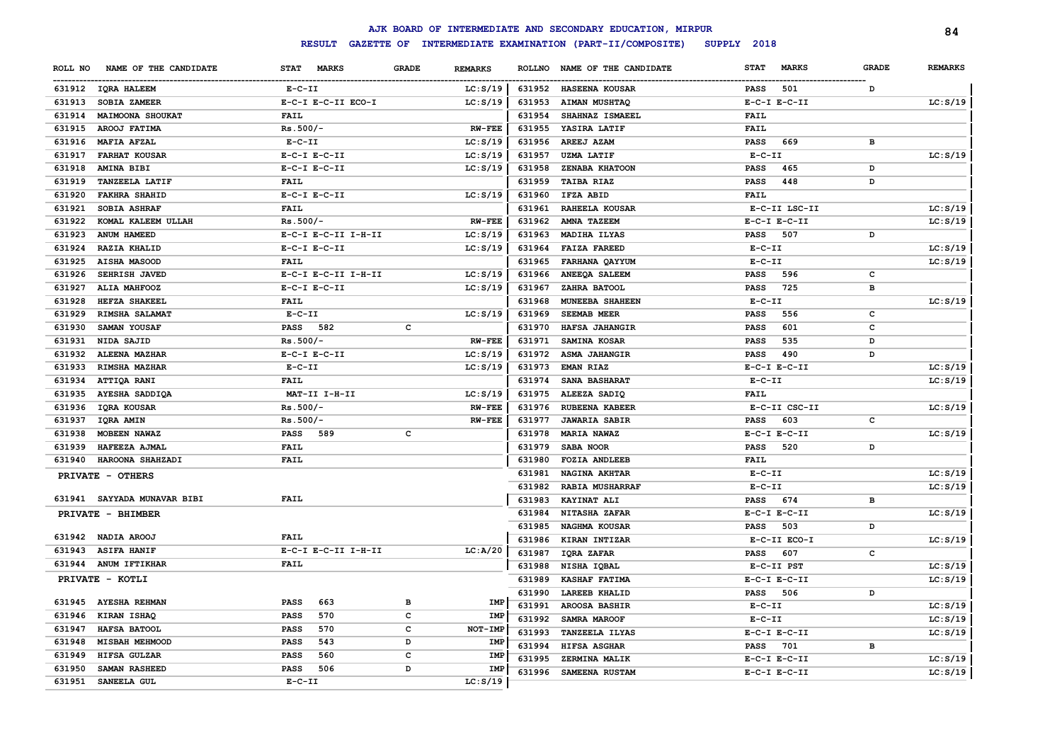|         |                             |                             |              |                |               | AJK BOARD OF INTERMEDIATE AND SECONDARY EDUCATION, MIRPUR |              |                  |              | 84             |
|---------|-----------------------------|-----------------------------|--------------|----------------|---------------|-----------------------------------------------------------|--------------|------------------|--------------|----------------|
|         |                             | <b>RESULT</b>               |              |                |               | GAZETTE OF INTERMEDIATE EXAMINATION (PART-II/COMPOSITE)   | SUPPLY 2018  |                  |              |                |
| ROLL NO | NAME OF THE CANDIDATE       | <b>STAT</b><br><b>MARKS</b> | <b>GRADE</b> | <b>REMARKS</b> | <b>ROLLNO</b> | NAME OF THE CANDIDATE                                     | <b>STAT</b>  | <b>MARKS</b>     | <b>GRADE</b> | <b>REMARKS</b> |
|         | 631912 IQRA HALEEM          | $E- C- II$                  |              | LC: S/19       | 631952        | <b>HASEENA KOUSAR</b>                                     | <b>PASS</b>  | 501              | D            |                |
| 631913  | SOBIA ZAMEER                | E-C-I E-C-II ECO-I          |              | LC: S/19       | 631953        | <b>AIMAN MUSHTAQ</b>                                      |              | $E-C-I$ $E-C-II$ |              | LC: S/19       |
| 631914  | <b>MAIMOONA SHOUKAT</b>     | FAIL                        |              |                | 631954        | SHAHNAZ ISMAEEL                                           | FAIL         |                  |              |                |
| 631915  | AROOJ FATIMA                | $Rs.500/-$                  |              | <b>RW-FEE</b>  | 631955        | YASIRA LATIF                                              | <b>FAIL</b>  |                  |              |                |
| 631916  | MAFIA AFZAL                 | $E-C-II$                    |              | LC: S/19       | 631956        | AREEJ AZAM                                                | <b>PASS</b>  | 669              | в            |                |
| 631917  | <b>FARHAT KOUSAR</b>        | $E-C-I$ $E-C-II$            |              | LC: S/19       | 631957        | <b>UZMA LATIF</b>                                         | $E-C-II$     |                  |              | LC: S/19       |
| 631918  | AMINA BIBI                  | $E-C-I$ $E-C-II$            |              | LC: S/19       | 631958        | ZENABA KHATOON                                            | PASS         | 465              | D            |                |
| 631919  | <b>TANZEELA LATIF</b>       | FAIL                        |              |                | 631959        | <b>TAIBA RIAZ</b>                                         | PASS         | 448              | D            |                |
| 631920  | <b>FAKHRA SHAHID</b>        | $E-C-I$ $E-C-II$            |              | LC: S/19       | 631960        | IFZA ABID                                                 | FAIL         |                  |              |                |
| 631921  | <b>SOBIA ASHRAF</b>         | <b>FAIL</b>                 |              |                | 631961        | RAHEELA KOUSAR                                            |              | E-C-II LSC-II    |              | LC: S/19       |
| 631922  | KOMAL KALEEM ULLAH          | $Rs.500/-$                  |              | $RW-FEE$       | 631962        | AMNA TAZEEM                                               |              | $E-C-I$ $E-C-II$ |              | LC: S/19       |
| 631923  | ANUM HAMEED                 | E-C-I E-C-II I-H-II         |              | LC: S/19       | 631963        | MADIHA ILYAS                                              | <b>PASS</b>  | 507              | D            |                |
| 631924  | <b>RAZIA KHALID</b>         | $E-C-I$ $E-C-II$            |              | LC: S/19       | 631964        | <b>FAIZA FAREED</b>                                       | $E-C-II$     |                  |              | LC: S/19       |
| 631925  | AISHA MASOOD                | FAIL                        |              |                | 631965        | FARHANA QAYYUM                                            | $E-C-II$     |                  |              | LC: S/19       |
| 631926  | SEHRISH JAVED               | E-C-I E-C-II I-H-II         |              | LC: S/19       | 631966        | ANEEQA SALEEM                                             | <b>PASS</b>  | 596              | c            |                |
| 631927  | ALIA MAHFOOZ                | $E-C-I$ $E-C-II$            |              | LC: S/19       | 631967        | ZAHRA BATOOL                                              | <b>PASS</b>  | 725              | в            |                |
| 631928  | <b>HEFZA SHAKEEL</b>        | FAIL                        |              |                | 631968        | MUNEEBA SHAHEEN                                           | $E- C- II$   |                  |              | LC: S/19       |
| 631929  | RIMSHA SALAMAT              | $E-C-II$                    |              | LC: S/19       | 631969        | SEEMAB MEER                                               | <b>PASS</b>  | 556              | c            |                |
| 631930  | SAMAN YOUSAF                | <b>PASS</b> 582             | $\mathbf{C}$ |                | 631970        | HAFSA JAHANGIR                                            | <b>PASS</b>  | 601              | $\mathbf c$  |                |
| 631931  | NIDA SAJID                  | $Rs.500/-$                  |              | <b>RW-FEE</b>  | 631971        | SAMINA KOSAR                                              | <b>PASS</b>  | 535              | D            |                |
| 631932  | ALEENA MAZHAR               | $E-C-I$ $E-C-II$            |              | LC: S/19       | 631972        | ASMA JAHANGIR                                             | <b>PASS</b>  | 490              | D            |                |
| 631933  | RIMSHA MAZHAR               | $E - C - II$                |              | LC: S/19       | 631973        | <b>EMAN RIAZ</b>                                          |              | $E-C-I$ $E-C-II$ |              | LC: S/19       |
| 631934  | ATTIQA RANI                 | <b>FAIL</b>                 |              |                | 631974        | SANA BASHARAT                                             | $E-C-II$     |                  |              | LC: S/19       |
| 631935  | AYESHA SADDIQA              | MAT-II I-H-II               |              | LC: S/19       | 631975        | ALEEZA SADIQ                                              | FAIL         |                  |              |                |
| 631936  | IQRA KOUSAR                 | $Rs.500/-$                  |              | <b>RW-FEE</b>  | 631976        | <b>RUBEENA KABEER</b>                                     |              | E-C-II CSC-II    |              | LC: S/19       |
| 631937  | IQRA AMIN                   | $Rs.500/-$                  |              | <b>RW-FEE</b>  | 631977        | <b>JAWARIA SABIR</b>                                      | <b>PASS</b>  | 603              | c            |                |
| 631938  | MOBEEN NAWAZ                | PASS 589                    | c            |                | 631978        | <b>MARIA NAWAZ</b>                                        |              | $E-C-I$ $E-C-II$ |              | LC: S/19       |
| 631939  | HAFEEZA AJMAL               | <b>FAIL</b>                 |              |                | 631979        | SABA NOOR                                                 | <b>PASS</b>  | 520              | D            |                |
| 631940  | HAROONA SHAHZADI            | FAIL                        |              |                | 631980        | <b>FOZIA ANDLEEB</b>                                      | FAIL         |                  |              |                |
|         | PRIVATE - OTHERS            |                             |              |                | 631981        | <b>NAGINA AKHTAR</b>                                      | $E-C-II$     |                  |              | LC: S/19       |
|         |                             |                             |              |                | 631982        | <b>RABIA MUSHARRAF</b>                                    | $E-C-II$     |                  |              | LC: S/19       |
|         | 631941 SAYYADA MUNAVAR BIBI | FAIL                        |              |                | 631983        | KAYINAT ALI                                               | <b>PASS</b>  | 674              | в            |                |
|         | PRIVATE - BHIMBER           |                             |              |                | 631984        | <b>NITASHA ZAFAR</b>                                      |              | $E-C-I$ $E-C-II$ |              | LC: S/19       |
|         |                             |                             |              |                | 631985        | NAGHMA KOUSAR                                             | <b>PASS</b>  | 503              | D            |                |
|         | 631942 NADIA AROOJ          | <b>FAIL</b>                 |              |                | 631986        | KIRAN INTIZAR                                             |              | E-C-II ECO-I     |              | LC: S/19       |
|         | 631943 ASIFA HANIF          | E-C-I E-C-II I-H-II         |              | LC: A/20       | 631987        | IQRA ZAFAR                                                | <b>PASS</b>  | 607              | c            |                |
|         | 631944 ANUM IFTIKHAR        | FAIL                        |              |                | 631988        | NISHA IQBAL                                               |              | E-C-II PST       |              | LC: S/19       |
|         | PRIVATE - KOTLI             |                             |              |                | 631989        | <b>KASHAF FATIMA</b>                                      |              | $E-C-I$ $E-C-II$ |              | LC: S/19       |
|         |                             |                             |              |                | 631990        | <b>LAREEB KHALID</b>                                      | <b>PASS</b>  | 506              | D            |                |
|         | 631945 AYESHA REHMAN        | 663<br><b>PASS</b>          | в            | IMP            | 631991        | <b>AROOSA BASHIR</b>                                      | $E - C - II$ |                  |              | LC: S/19       |
| 631946  | KIRAN ISHAQ                 | 570<br>PASS                 | $\mathbf{C}$ | IMP            | 631992        | <b>SAMRA MAROOF</b>                                       | $E-C-II$     |                  |              | LC: S/19       |
| 631947  | HAFSA BATOOL                | 570<br><b>PASS</b>          | $\mathbf c$  | NOT-IMP        | 631993        | TANZEELA ILYAS                                            |              | $E-C-I$ $E-C-II$ |              | LC: S/19       |
| 631948  | MISBAH MEHMOOD              | 543<br><b>PASS</b>          | D            | <b>IMP</b>     | 631994        | HIFSA ASGHAR                                              | PASS         | 701              | в            |                |
| 631949  | HIFSA GULZAR                | <b>PASS</b><br>560          | C            | IMP            | 631995        | ZERMINA MALIK                                             |              | $E-C-I$ $E-C-II$ |              | LC: S/19       |
| 631950  | SAMAN RASHEED               | <b>PASS</b><br>506          | D            | <b>IMP</b>     | 631996        | SAMEENA RUSTAM                                            |              | $E-C-I$ $E-C-II$ |              | LC: S/19       |
| 631951  | SANEELA GUL                 | $E - C - II$                |              | LC: S/19       |               |                                                           |              |                  |              |                |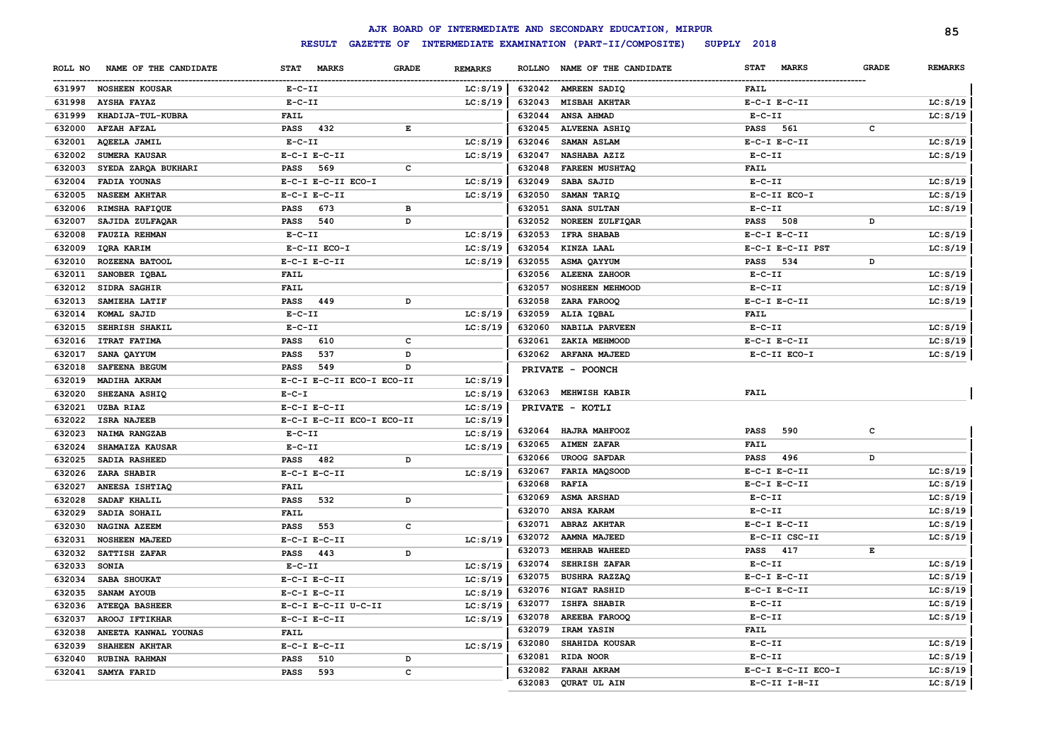|         |                       |                  |                                    |              |                |        | AJK BOARD OF INTERMEDIATE AND SECONDARY EDUCATION, MIRPUR |                  |                    |              | 85             |
|---------|-----------------------|------------------|------------------------------------|--------------|----------------|--------|-----------------------------------------------------------|------------------|--------------------|--------------|----------------|
|         |                       |                  | <b>RESULT</b><br><b>GAZETTE OF</b> |              |                |        | INTERMEDIATE EXAMINATION (PART-II/COMPOSITE)              | SUPPLY 2018      |                    |              |                |
| ROLL NO | NAME OF THE CANDIDATE | <b>STAT</b>      | <b>MARKS</b>                       | <b>GRADE</b> | <b>REMARKS</b> |        | ROLLNO NAME OF THE CANDIDATE                              | <b>STAT</b>      | <b>MARKS</b>       | <b>GRADE</b> | <b>REMARKS</b> |
|         | 631997 NOSHEEN KOUSAR | $E-C-II$         |                                    |              | LC: S/19       |        | 632042 AMREEN SADIQ                                       | <b>FAIL</b>      |                    |              |                |
|         | 631998 AYSHA FAYAZ    | $E-C-II$         |                                    |              | LC: S/19       | 632043 | <b>MISBAH AKHTAR</b>                                      | $E-C-I$ $E-C-II$ |                    |              | LC: S/19       |
| 631999  | KHADIJA-TUL-KUBRA     | <b>FAIL</b>      |                                    |              |                | 632044 | ANSA AHMAD                                                | $E- C- II$       |                    |              | LC: S/19       |
| 632000  | AFZAH AFZAL           | <b>PASS</b>      | 432                                | $\mathbf E$  |                | 632045 | <b>ALVEENA ASHIQ</b>                                      | <b>PASS</b>      | 561                | c            |                |
| 632001  | <b>AQEELA JAMIL</b>   | $E-C-II$         |                                    |              | LC: S/19       | 632046 | SAMAN ASLAM                                               | $E-C-I$ $E-C-II$ |                    |              | LC: S/19       |
| 632002  | SUMERA KAUSAR         | $E-C-I$ $E-C-II$ |                                    |              | LC: S/19       | 632047 | NASHABA AZIZ                                              | $E-C-II$         |                    |              | LC: S/19       |
| 632003  | SYEDA ZARQA BUKHARI   | PASS             | 569                                | $\mathbf c$  |                | 632048 | FAREEN MUSHTAQ                                            | <b>FAIL</b>      |                    |              |                |
| 632004  | FADIA YOUNAS          |                  | E-C-I E-C-II ECO-I                 |              | LC: S/19       | 632049 | SABA SAJID                                                | $E-C-II$         |                    |              | LC: S/19       |
| 632005  | <b>NASEEM AKHTAR</b>  | $E-C-I$ $E-C-II$ |                                    |              | LC: S/19       | 632050 | SAMAN TARIQ                                               |                  | E-C-II ECO-I       |              | LC: S/19       |
| 632006  | RIMSHA RAFIQUE        | <b>PASS</b>      | 673                                | в            |                | 632051 | SANA SULTAN                                               | $E-C-II$         |                    |              | LC: S/19       |
| 632007  | SAJIDA ZULFAQAR       | PASS             | 540                                | D            |                | 632052 | NOREEN ZULFIQAR                                           | <b>PASS</b>      | 508                | D            |                |
| 632008  | <b>FAUZIA REHMAN</b>  | $E-C-II$         |                                    |              | LC: S/19       | 632053 | <b>IFRA SHABAB</b>                                        | $E-C-I$ $E-C-II$ |                    |              | LC: S/19       |
| 632009  | IQRA KARIM            |                  | E-C-II ECO-I                       |              | LC: S/19       | 632054 | KINZA LAAL                                                |                  | E-C-I E-C-II PST   |              | LC: S/19       |
| 632010  | ROZEENA BATOOL        | $E-C-I$ $E-C-II$ |                                    |              | LC: S/19       | 632055 | ASMA QAYYUM                                               | <b>PASS</b>      | 534                | D            |                |
| 632011  | SANOBER IQBAL         | <b>FAIL</b>      |                                    |              |                | 632056 | ALEENA ZAHOOR                                             | $E-C-II$         |                    |              | LC: S/19       |
| 632012  | SIDRA SAGHIR          | <b>FAIL</b>      |                                    |              |                | 632057 | <b>NOSHEEN MEHMOOD</b>                                    | $E - C - II$     |                    |              | LC: S/19       |
| 632013  | SAMIEHA LATIF         | <b>PASS</b>      | 449                                | D            |                | 632058 | ZARA FAROOQ                                               | $E-C-I$ $E-C-II$ |                    |              | LC: S/19       |
| 632014  | KOMAL SAJID           | $E - C - II$     |                                    |              | LC: S/19       | 632059 | ALIA IQBAL                                                | <b>FAIL</b>      |                    |              |                |
| 632015  | SEHRISH SHAKIL        | $E-C-II$         |                                    |              | LC: S/19       | 632060 | <b>NABILA PARVEEN</b>                                     | $E-C-II$         |                    |              | LC: S/19       |
| 632016  | <b>ITRAT FATIMA</b>   | PASS             | 610                                | c            |                | 632061 | ZAKIA MEHMOOD                                             | $E-C-I$ $E-C-II$ |                    |              | LC: S/19       |
| 632017  | SANA QAYYUM           | <b>PASS</b>      | 537                                | D            |                |        | 632062 ARFANA MAJEED                                      |                  | E-C-II ECO-I       |              | LC: S/19       |
| 632018  | SAFEENA BEGUM         | <b>PASS</b>      | 549                                | D            |                |        | PRIVATE - POONCH                                          |                  |                    |              |                |
| 632019  | MADIHA AKRAM          |                  | E-C-I E-C-II ECO-I ECO-II          |              | LC: S/19       |        |                                                           |                  |                    |              |                |
| 632020  | SHEZANA ASHIQ         | $E-C-I$          |                                    |              | LC: S/19       |        | 632063 MEHWISH KABIR                                      | <b>FAIL</b>      |                    |              |                |
| 632021  | <b>UZBA RIAZ</b>      | $E-C-I$ $E-C-II$ |                                    |              | LC: S/19       |        | PRIVATE - KOTLI                                           |                  |                    |              |                |
| 632022  | <b>ISRA NAJEEB</b>    |                  | E-C-I E-C-II ECO-I ECO-II          |              | LC: S/19       |        |                                                           |                  |                    |              |                |
| 632023  | NAIMA RANGZAB         | $E-C-II$         |                                    |              | LC: S/19       | 632064 | HAJRA MAHFOOZ                                             | PASS             | 590                | c            |                |
| 632024  | SHAMAIZA KAUSAR       | $E-C-II$         |                                    |              | LC: S/19       | 632065 | <b>AIMEN ZAFAR</b>                                        | FAIL             |                    |              |                |
| 632025  | SADIA RASHEED         | <b>PASS</b>      | 482                                | D            |                | 632066 | <b>UROOG SAFDAR</b>                                       | PASS             | 496                | D            |                |
| 632026  | ZARA SHABIR           | $E-C-I$ $E-C-II$ |                                    |              | LC: S/19       | 632067 | FARIA MAQSOOD                                             | $E-C-I$ $E-C-II$ |                    |              | LC: S/19       |
| 632027  | ANEESA ISHTIAQ        | <b>FAIL</b>      |                                    |              |                | 632068 | <b>RAFIA</b>                                              | $E-C-I$ $E-C-II$ |                    |              | LC: S/19       |
| 632028  | SADAF KHALIL          | <b>PASS</b>      | 532                                | D            |                | 632069 | <b>ASMA ARSHAD</b>                                        | $E-C-II$         |                    |              | LC: S/19       |
| 632029  | SADIA SOHAIL          | <b>FAIL</b>      |                                    |              |                | 632070 | ANSA KARAM                                                | $E-C-II$         |                    |              | LC: S/19       |
| 632030  | NAGINA AZEEM          | <b>PASS</b>      | 553                                | c            |                | 632071 | <b>ABRAZ AKHTAR</b>                                       | $E-C-I$ $E-C-II$ |                    |              | LC: S/19       |
| 632031  | <b>NOSHEEN MAJEED</b> | $E-C-I$ $E-C-II$ |                                    |              | LC: S/19       | 632072 | AAMNA MAJEED                                              |                  | E-C-II CSC-II      |              | LC: S/19       |
| 632032  | SATTISH ZAFAR         | PASS             | 443                                | D            |                | 632073 | MEHRAB WAHEED                                             | PASS 417         |                    | Е            |                |
| 632033  | <b>SONIA</b>          | $E-C-II$         |                                    |              | LC: S/19       | 632074 | SEHRISH ZAFAR                                             | $E-C-II$         |                    |              | LC: S/19       |
| 632034  | SABA SHOUKAT          | $E-C-I$ $E-C-II$ |                                    |              | LC: S/19       | 632075 | <b>BUSHRA RAZZAQ</b>                                      | $E-C-I$ $E-C-II$ |                    |              | LC: S/19       |
| 632035  | SANAM AYOUB           | $E-C-I$ $E-C-II$ |                                    |              | LC: S/19       | 632076 | NIGAT RASHID                                              | $E-C-I$ $E-C-II$ |                    |              | LC: S/19       |
| 632036  | <b>ATEEQA BASHEER</b> |                  | E-C-I E-C-II U-C-II                |              | LC: S/19       | 632077 | ISHFA SHABIR                                              | $E - C - II$     |                    |              | LC: S/19       |
| 632037  | AROOJ IFTIKHAR        | $E-C-I$ $E-C-II$ |                                    |              | LC: S/19       | 632078 | <b>AREEBA FAROOQ</b>                                      | $E - C - II$     |                    |              | LC: S/19       |
| 632038  | ANEETA KANWAL YOUNAS  | <b>FAIL</b>      |                                    |              |                | 632079 | IRAM YASIN                                                | <b>FAIL</b>      |                    |              |                |
| 632039  | SHAHEEN AKHTAR        | $E-C-I$ $E-C-II$ |                                    |              | LC: S/19       | 632080 | SHAHIDA KOUSAR                                            | $E-C-II$         |                    |              | LC: S/19       |
| 632040  | RUBINA RAHMAN         | <b>PASS</b>      | 510                                | D            |                | 632081 | RIDA NOOR                                                 | $E-C-II$         |                    |              | LC: S/19       |
| 632041  | SAMYA FARID           | <b>PASS</b>      | 593                                | $\mathbf{C}$ |                | 632082 | <b>FARAH AKRAM</b>                                        |                  | E-C-I E-C-II ECO-I |              | LC: S/19       |
|         |                       |                  |                                    |              |                | 632083 | <b>QURAT UL AIN</b>                                       |                  | E-C-II I-H-II      |              | LC: S/19       |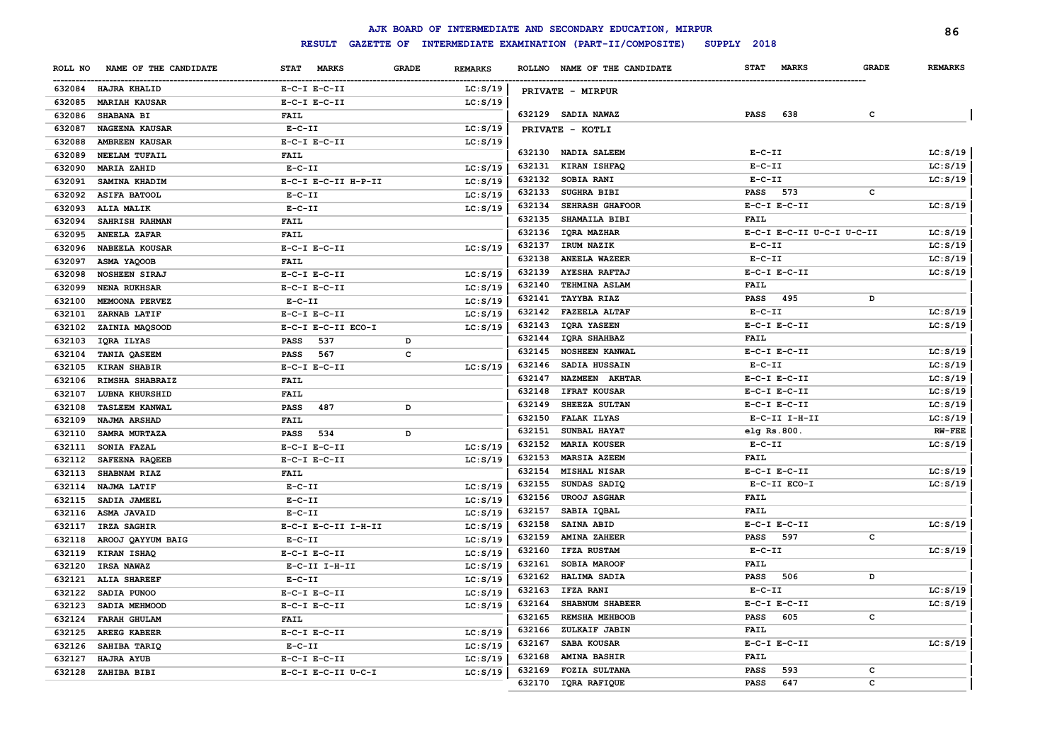|         |                       |                     |              |                |        | AJK BOARD OF INTERMEDIATE AND SECONDARY EDUCATION, MIRPUR |                  |                           |              | 86             |
|---------|-----------------------|---------------------|--------------|----------------|--------|-----------------------------------------------------------|------------------|---------------------------|--------------|----------------|
|         |                       | <b>RESULT</b>       |              |                |        | GAZETTE OF INTERMEDIATE EXAMINATION (PART-II/COMPOSITE)   | SUPPLY 2018      |                           |              |                |
| ROLL NO | NAME OF THE CANDIDATE | STAT MARKS          | <b>GRADE</b> | <b>REMARKS</b> |        | ROLLNO NAME OF THE CANDIDATE                              | <b>STAT</b>      | <b>MARKS</b>              | <b>GRADE</b> | <b>REMARKS</b> |
|         | 632084 HAJRA KHALID   | $E-C-I$ $E-C-II$    |              | LC: S/19       |        | PRIVATE - MIRPUR                                          |                  |                           |              |                |
| 632085  | <b>MARIAH KAUSAR</b>  | $E-C-I$ $E-C-II$    |              | LC: S/19       |        |                                                           |                  |                           |              |                |
| 632086  | SHABANA BI            | <b>FAIL</b>         |              |                |        | 632129 SADIA NAWAZ                                        | <b>PASS</b>      | 638                       | c            |                |
| 632087  | <b>NAGEENA KAUSAR</b> | $E-C-II$            |              | LC: S/19       |        | PRIVATE - KOTLI                                           |                  |                           |              |                |
| 632088  | <b>AMBREEN KAUSAR</b> | $E-C-I$ $E-C-II$    |              | LC: S/19       |        |                                                           |                  |                           |              |                |
| 632089  | NEELAM TUFAIL         | FAIL                |              |                |        | 632130 NADIA SALEEM                                       | $E-C-II$         |                           |              | LC: S/19       |
| 632090  | <b>MARIA ZAHID</b>    | $E-C-II$            |              | LC: S/19       | 632131 | <b>KIRAN ISHFAQ</b>                                       | $E - C - II$     |                           |              | LC: S/19       |
| 632091  | SAMINA KHADIM         | E-C-I E-C-II H-P-II |              | LC: S/19       | 632132 | <b>SOBIA RANI</b>                                         | $E - C - II$     |                           |              | LC: S/19       |
| 632092  | <b>ASIFA BATOOL</b>   | $E-C-II$            |              | LC: S/19       | 632133 | <b>SUGHRA BIBI</b>                                        | <b>PASS</b>      | 573                       | c            |                |
| 632093  | <b>ALIA MALIK</b>     | $E-C-II$            |              | LC: S/19       | 632134 | SEHRASH GHAFOOR                                           | $E-C-I$ $E-C-II$ |                           |              | LC: S/19       |
| 632094  | SAHRISH RAHMAN        | <b>FAIL</b>         |              |                | 632135 | <b>SHAMAILA BIBI</b>                                      | FAIL             |                           |              |                |
| 632095  | <b>ANEELA ZAFAR</b>   | <b>FAIL</b>         |              |                | 632136 | <b>IQRA MAZHAR</b>                                        |                  | E-C-I E-C-II U-C-I U-C-II |              | LC: S/19       |
| 632096  | NABEELA KOUSAR        | $E-C-I$ $E-C-II$    |              | LC: S/19       | 632137 | IRUM NAZIK                                                | $E - C - II$     |                           |              | LC: S/19       |
| 632097  | ASMA YAQOOB           | FAIL                |              |                | 632138 | <b>ANEELA WAZEER</b>                                      | $E-C-II$         |                           |              | LC: S/19       |
| 632098  | <b>NOSHEEN SIRAJ</b>  | $E-C-I$ $E-C-II$    |              | LC: S/19       | 632139 | <b>AYESHA RAFTAJ</b>                                      | $E-C-I$ $E-C-II$ |                           |              | LC: S/19       |
| 632099  | <b>NENA RUKHSAR</b>   | $E-C-I$ $E-C-II$    |              | LC: S/19       | 632140 | TEHMINA ASLAM                                             | <b>FAIL</b>      |                           |              |                |
| 632100  | MEMOONA PERVEZ        | $E-C-II$            |              | LC: S/19       | 632141 | <b>TAYYBA RIAZ</b>                                        | <b>PASS</b>      | 495                       | D            |                |
| 632101  | ZARNAB LATIF          | $E-C-I$ $E-C-II$    |              | LC: S/19       | 632142 | <b>FAZEELA ALTAF</b>                                      | $E - C - II$     |                           |              | LC: S/19       |
| 632102  | ZAINIA MAQSOOD        | E-C-I E-C-II ECO-I  |              | LC: S/19       | 632143 | <b>IQRA YASEEN</b>                                        | $E-C-I$ $E-C-II$ |                           |              | LC: S/19       |
| 632103  | IQRA ILYAS            | 537<br><b>PASS</b>  | D            |                | 632144 | IQRA SHAHBAZ                                              | <b>FAIL</b>      |                           |              |                |
| 632104  | TANIA QASEEM          | 567<br>PASS         | $\mathbf c$  |                | 632145 | <b>NOSHEEN KANWAL</b>                                     | $E-C-I$ $E-C-II$ |                           |              | LC: S/19       |
| 632105  | <b>KIRAN SHABIR</b>   | $E-C-I$ $E-C-II$    |              | LC: S/19       | 632146 | SADIA HUSSAIN                                             | $E - C - II$     |                           |              | LC: S/19       |
| 632106  | RIMSHA SHABRAIZ       | FAIL                |              |                | 632147 | NAZMEEN AKHTAR                                            | $E-C-I$ $E-C-II$ |                           |              | LC: S/19       |
| 632107  | LUBNA KHURSHID        | <b>FAIL</b>         |              |                | 632148 | <b>IFRAT KOUSAR</b>                                       | $E-C-I$ $E-C-II$ |                           |              | LC: S/19       |
| 632108  | <b>TASLEEM KANWAL</b> | 487<br><b>PASS</b>  | D            |                | 632149 | SHEEZA SULTAN                                             | $E-C-I$ $E-C-II$ |                           |              | LC: S/19       |
| 632109  | NAJMA ARSHAD          | FAIL                |              |                | 632150 | <b>FALAK ILYAS</b>                                        |                  | $E-C-II$ I-H-II           |              | LC: S/19       |
| 632110  | SAMRA MURTAZA         | 534<br><b>PASS</b>  | D            |                | 632151 | SUNBAL HAYAT                                              | elg Rs.800.      |                           |              | $RW-FEE$       |
| 632111  | SONIA FAZAL           | $E-C-I$ $E-C-II$    |              | LC: S/19       | 632152 | <b>MARIA KOUSER</b>                                       | $E-C-II$         |                           |              | LC: S/19       |
| 632112  | SAFEENA RAQEEB        | $E-C-I$ $E-C-II$    |              | LC: S/19       | 632153 | MARSIA AZEEM                                              | FAIL             |                           |              |                |
| 632113  | SHABNAM RIAZ          | <b>FAIL</b>         |              |                | 632154 | <b>MISHAL NISAR</b>                                       | $E-C-I$ $E-C-II$ |                           |              | LC: S/19       |
| 632114  | NAJMA LATIF           | $E-C-II$            |              | LC: S/19       | 632155 | SUNDAS SADIQ                                              |                  | E-C-II ECO-I              |              | LC: S/19       |
| 632115  | SADIA JAMEEL          | $E-C-II$            |              | LC: S/19       | 632156 | <b>UROOJ ASGHAR</b>                                       | <b>FAIL</b>      |                           |              |                |
|         | 632116 ASMA JAVAID    | $E-C-II$            |              | LC: S/19       | 632157 | SABIA IQBAL                                               | FAIL             |                           |              |                |
| 632117  | IRZA SAGHIR           | E-C-I E-C-II I-H-II |              | LC: S/19       | 632158 | SAINA ABID                                                | $E-C-I$ $E-C-II$ |                           |              | LC: S/19       |
| 632118  | AROOJ QAYYUM BAIG     | $E - C - II$        |              | LC: S/19       | 632159 | <b>AMINA ZAHEER</b>                                       | <b>PASS</b>      | 597                       | c            |                |
| 632119  | KIRAN ISHAQ           | $E-C-I$ $E-C-II$    |              | LC: S/19       | 632160 | IFZA RUSTAM                                               | $E - C - II$     |                           |              | LC: S/19       |
| 632120  | <b>IRSA NAWAZ</b>     | E-C-II I-H-II       |              | LC: S/19       | 632161 | <b>SOBIA MAROOF</b>                                       | <b>FAIL</b>      |                           |              |                |
| 632121  | <b>ALIA SHAREEF</b>   | $E - C - II$        |              | LC: S/19       | 632162 | HALIMA SADIA                                              | <b>PASS</b>      | 506                       | D            |                |
| 632122  | SADIA PUNOO           | $E-C-I$ $E-C-II$    |              | LC: S/19       | 632163 | IFZA RANI                                                 | $E - C - II$     |                           |              | LC: S/19       |
| 632123  | SADIA MEHMOOD         | $E-C-I$ $E-C-II$    |              | LC: S/19       | 632164 | SHABNUM SHABEER                                           | $E-C-I$ $E-C-II$ |                           |              | LC: S/19       |
| 632124  | <b>FARAH GHULAM</b>   | <b>FAIL</b>         |              |                | 632165 | REMSHA MEHBOOB                                            | <b>PASS</b>      | 605                       | c            |                |
| 632125  | AREEG KABEER          | $E-C-I$ $E-C-II$    |              | LC: S/19       | 632166 | ZULKAIF JABIN                                             | FAIL             |                           |              |                |
| 632126  | SAHIBA TARIQ          | $E - C - II$        |              | LC: S/19       | 632167 | SABA KOUSAR                                               |                  | $E-C-I$ $E-C-II$          |              | LC: S/19       |
| 632127  | <b>HAJRA AYUB</b>     | $E-C-I$ $E-C-II$    |              | LC: S/19       | 632168 | <b>AMINA BASHIR</b>                                       | FAIL             |                           |              |                |
|         | 632128 ZAHIBA BIBI    | E-C-I E-C-II U-C-I  |              | LC: S/19       | 632169 | <b>FOZIA SULTANA</b>                                      | <b>PASS</b>      | 593                       | c            |                |
|         |                       |                     |              |                | 632170 | IQRA RAFIQUE                                              | <b>PASS</b>      | 647                       | C            |                |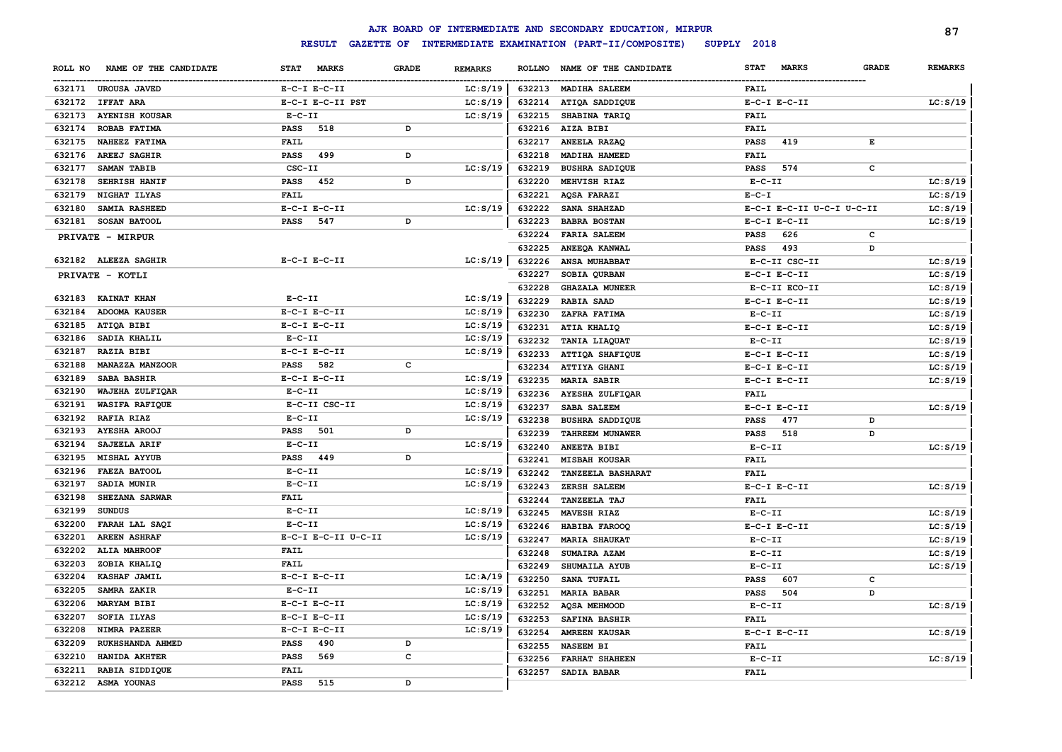| INTERMEDIATE EXAMINATION (PART-II/COMPOSITE)<br><b>RESULT</b><br><b>GAZETTE OF</b><br>SUPPLY 2018<br><b>GRADE</b><br><b>REMARKS</b><br>NAME OF THE CANDIDATE<br><b>STAT</b><br><b>MARKS</b><br><b>GRADE</b><br>ROLL NO<br>NAME OF THE CANDIDATE<br><b>STAT</b><br><b>MARKS</b><br><b>ROLLNO</b><br>LC: S/19<br>632213 MADIHA SALEEM<br>632171 UROUSA JAVED<br>$E-C-I$ $E-C-II$<br><b>FAIL</b><br>632172 IFFAT ARA<br>E-C-I E-C-II PST<br>LC: S/19<br>632214<br>ATIQA SADDIQUE<br>$E-C-I$ $E-C-II$<br>632173 AYENISH KOUSAR<br>LC: S/19<br>632215<br>SHABINA TARIQ<br><b>FAIL</b><br>$E-C-II$<br>632174<br><b>ROBAB FATIMA</b><br><b>PASS</b><br>518<br>D<br>632216<br>AIZA BIBI<br><b>FAIL</b><br>632175<br>NAHEEZ FATIMA<br><b>FAIL</b><br>632217<br>ANEELA RAZAQ<br><b>PASS</b><br>419<br>E<br>632176<br><b>AREEJ SAGHIR</b><br>D<br>632218<br>MADIHA HAMEED<br><b>FAIL</b><br><b>PASS</b><br>499<br>632177<br>SAMAN TABIB<br>CSC-II<br>LC: S/19<br>632219<br><b>BUSHRA SADIQUE</b><br><b>PASS</b><br>574<br>c<br>632178<br><b>SEHRISH HANIF</b><br>D<br>632220<br>MEHVISH RIAZ<br>$E-C-II$<br><b>PASS</b><br>452<br>632179<br>NIGHAT ILYAS<br><b>FAIL</b><br>632221<br>AQSA FARAZI<br>$E-C-T$<br>632180<br>SAMIA RASHEED<br>LC: S/19<br>632222<br>SANA SHAHZAD<br>$E-C-I$ $E-C-II$<br>E-C-I E-C-II U-C-I U-C-II<br>632181<br>D<br>632223<br><b>BABRA BOSTAN</b><br><b>SOSAN BATOOL</b><br><b>PASS</b><br>547<br>$E-C-I$ $E-C-II$<br>632224<br><b>FARIA SALEEM</b><br>$\mathbf c$<br>626<br>PASS<br>PRIVATE - MIRPUR<br>632225<br>ANEEQA KANWAL<br>493<br><b>PASS</b><br>D<br>LC: S/19<br>632182 ALEEZA SAGHIR<br>$E-C-I$ $E-C-II$<br>632226<br>ANSA MUHABBAT<br>E-C-II CSC-II<br>632227<br>SOBIA QURBAN<br>$E-C-I$ $E-C-II$<br>PRIVATE - KOTLI<br>632228<br><b>GHAZALA MUNEER</b><br>E-C-II ECO-II<br>632183 KAINAT KHAN<br>$E-C-II$<br>LC: S/19<br>632229<br><b>RABIA SAAD</b><br>$E-C-I$ $E-C-II$<br>632184<br><b>ADOOMA KAUSER</b><br>$E-C-I$ $E-C-II$<br>LC: S/19<br>632230<br>ZAFRA FATIMA<br>$E-C-II$<br>ATIQA BIBI<br>632185<br>$E-C-I$ $E-C-II$<br>LC: S/19<br>632231<br>ATIA KHALIQ<br>$E-C-I$ $E-C-II$<br>SADIA KHALIL<br>632186<br>$E-C-II$<br>LC: S/19<br>632232<br>TANIA LIAQUAT<br>$E - C - II$<br><b>RAZIA BIBI</b><br>$E-C-I$ $E-C-II$<br>632187<br>LC: S/19<br>632233<br>ATTIQA SHAFIQUE<br>$E-C-I$ $E-C-II$<br>c<br>632188<br>MANAZZA MANZOOR<br><b>PASS</b><br>582<br>632234<br><b>ATTIYA GHANI</b><br>$E-C-I$ $E-C-II$<br>632189<br>SABA BASHIR<br>$E-C-I$ $E-C-II$<br>LC: S/19<br>632235<br><b>MARIA SABIR</b><br>$E-C-I$ $E-C-II$<br>632190<br>WAJEHA ZULFIQAR<br>$E-C-II$<br>LC: S/19<br>632236<br>AYESHA ZULFIQAR<br><b>FAIL</b><br>632191<br><b>WASIFA RAFIQUE</b><br>E-C-II CSC-II<br>LC: S/19<br>632237<br>$E-C-I$ $E-C-II$<br>SABA SALEEM<br>632192<br><b>RAFIA RIAZ</b><br>$E-C-II$<br>LC: S/19<br>632238<br><b>BUSHRA SADDIQUE</b><br>477<br><b>PASS</b><br>D<br>501<br>632193<br><b>AYESHA AROOJ</b><br>PASS<br>D<br>632239<br><b>TAHREEM MUNAWER</b><br>518<br><b>PASS</b><br>D<br>$E-C-II$<br>632194<br>SAJEELA ARIF<br>LC: S/19<br>632240<br>ANEETA BIBI<br>$E-C-II$<br>632195<br><b>MISHAL AYYUB</b><br>PASS<br>449<br>D<br>632241<br><b>MISBAH KOUSAR</b><br><b>FAIL</b> | <b>REMARKS</b><br>LC: S/19<br>LC: S/19<br>LC: S/19 |
|-----------------------------------------------------------------------------------------------------------------------------------------------------------------------------------------------------------------------------------------------------------------------------------------------------------------------------------------------------------------------------------------------------------------------------------------------------------------------------------------------------------------------------------------------------------------------------------------------------------------------------------------------------------------------------------------------------------------------------------------------------------------------------------------------------------------------------------------------------------------------------------------------------------------------------------------------------------------------------------------------------------------------------------------------------------------------------------------------------------------------------------------------------------------------------------------------------------------------------------------------------------------------------------------------------------------------------------------------------------------------------------------------------------------------------------------------------------------------------------------------------------------------------------------------------------------------------------------------------------------------------------------------------------------------------------------------------------------------------------------------------------------------------------------------------------------------------------------------------------------------------------------------------------------------------------------------------------------------------------------------------------------------------------------------------------------------------------------------------------------------------------------------------------------------------------------------------------------------------------------------------------------------------------------------------------------------------------------------------------------------------------------------------------------------------------------------------------------------------------------------------------------------------------------------------------------------------------------------------------------------------------------------------------------------------------------------------------------------------------------------------------------------------------------------------------------------------------------------------------------------------------------------------------------------------------------------------------------------------------------------------------------------------------------------------------------------------------------------------------------------------------------------------------------------------------------------------------------|----------------------------------------------------|
|                                                                                                                                                                                                                                                                                                                                                                                                                                                                                                                                                                                                                                                                                                                                                                                                                                                                                                                                                                                                                                                                                                                                                                                                                                                                                                                                                                                                                                                                                                                                                                                                                                                                                                                                                                                                                                                                                                                                                                                                                                                                                                                                                                                                                                                                                                                                                                                                                                                                                                                                                                                                                                                                                                                                                                                                                                                                                                                                                                                                                                                                                                                                                                                                                 |                                                    |
|                                                                                                                                                                                                                                                                                                                                                                                                                                                                                                                                                                                                                                                                                                                                                                                                                                                                                                                                                                                                                                                                                                                                                                                                                                                                                                                                                                                                                                                                                                                                                                                                                                                                                                                                                                                                                                                                                                                                                                                                                                                                                                                                                                                                                                                                                                                                                                                                                                                                                                                                                                                                                                                                                                                                                                                                                                                                                                                                                                                                                                                                                                                                                                                                                 |                                                    |
|                                                                                                                                                                                                                                                                                                                                                                                                                                                                                                                                                                                                                                                                                                                                                                                                                                                                                                                                                                                                                                                                                                                                                                                                                                                                                                                                                                                                                                                                                                                                                                                                                                                                                                                                                                                                                                                                                                                                                                                                                                                                                                                                                                                                                                                                                                                                                                                                                                                                                                                                                                                                                                                                                                                                                                                                                                                                                                                                                                                                                                                                                                                                                                                                                 |                                                    |
|                                                                                                                                                                                                                                                                                                                                                                                                                                                                                                                                                                                                                                                                                                                                                                                                                                                                                                                                                                                                                                                                                                                                                                                                                                                                                                                                                                                                                                                                                                                                                                                                                                                                                                                                                                                                                                                                                                                                                                                                                                                                                                                                                                                                                                                                                                                                                                                                                                                                                                                                                                                                                                                                                                                                                                                                                                                                                                                                                                                                                                                                                                                                                                                                                 |                                                    |
|                                                                                                                                                                                                                                                                                                                                                                                                                                                                                                                                                                                                                                                                                                                                                                                                                                                                                                                                                                                                                                                                                                                                                                                                                                                                                                                                                                                                                                                                                                                                                                                                                                                                                                                                                                                                                                                                                                                                                                                                                                                                                                                                                                                                                                                                                                                                                                                                                                                                                                                                                                                                                                                                                                                                                                                                                                                                                                                                                                                                                                                                                                                                                                                                                 |                                                    |
|                                                                                                                                                                                                                                                                                                                                                                                                                                                                                                                                                                                                                                                                                                                                                                                                                                                                                                                                                                                                                                                                                                                                                                                                                                                                                                                                                                                                                                                                                                                                                                                                                                                                                                                                                                                                                                                                                                                                                                                                                                                                                                                                                                                                                                                                                                                                                                                                                                                                                                                                                                                                                                                                                                                                                                                                                                                                                                                                                                                                                                                                                                                                                                                                                 |                                                    |
|                                                                                                                                                                                                                                                                                                                                                                                                                                                                                                                                                                                                                                                                                                                                                                                                                                                                                                                                                                                                                                                                                                                                                                                                                                                                                                                                                                                                                                                                                                                                                                                                                                                                                                                                                                                                                                                                                                                                                                                                                                                                                                                                                                                                                                                                                                                                                                                                                                                                                                                                                                                                                                                                                                                                                                                                                                                                                                                                                                                                                                                                                                                                                                                                                 |                                                    |
|                                                                                                                                                                                                                                                                                                                                                                                                                                                                                                                                                                                                                                                                                                                                                                                                                                                                                                                                                                                                                                                                                                                                                                                                                                                                                                                                                                                                                                                                                                                                                                                                                                                                                                                                                                                                                                                                                                                                                                                                                                                                                                                                                                                                                                                                                                                                                                                                                                                                                                                                                                                                                                                                                                                                                                                                                                                                                                                                                                                                                                                                                                                                                                                                                 |                                                    |
|                                                                                                                                                                                                                                                                                                                                                                                                                                                                                                                                                                                                                                                                                                                                                                                                                                                                                                                                                                                                                                                                                                                                                                                                                                                                                                                                                                                                                                                                                                                                                                                                                                                                                                                                                                                                                                                                                                                                                                                                                                                                                                                                                                                                                                                                                                                                                                                                                                                                                                                                                                                                                                                                                                                                                                                                                                                                                                                                                                                                                                                                                                                                                                                                                 |                                                    |
|                                                                                                                                                                                                                                                                                                                                                                                                                                                                                                                                                                                                                                                                                                                                                                                                                                                                                                                                                                                                                                                                                                                                                                                                                                                                                                                                                                                                                                                                                                                                                                                                                                                                                                                                                                                                                                                                                                                                                                                                                                                                                                                                                                                                                                                                                                                                                                                                                                                                                                                                                                                                                                                                                                                                                                                                                                                                                                                                                                                                                                                                                                                                                                                                                 |                                                    |
|                                                                                                                                                                                                                                                                                                                                                                                                                                                                                                                                                                                                                                                                                                                                                                                                                                                                                                                                                                                                                                                                                                                                                                                                                                                                                                                                                                                                                                                                                                                                                                                                                                                                                                                                                                                                                                                                                                                                                                                                                                                                                                                                                                                                                                                                                                                                                                                                                                                                                                                                                                                                                                                                                                                                                                                                                                                                                                                                                                                                                                                                                                                                                                                                                 |                                                    |
|                                                                                                                                                                                                                                                                                                                                                                                                                                                                                                                                                                                                                                                                                                                                                                                                                                                                                                                                                                                                                                                                                                                                                                                                                                                                                                                                                                                                                                                                                                                                                                                                                                                                                                                                                                                                                                                                                                                                                                                                                                                                                                                                                                                                                                                                                                                                                                                                                                                                                                                                                                                                                                                                                                                                                                                                                                                                                                                                                                                                                                                                                                                                                                                                                 | LC: S/19                                           |
|                                                                                                                                                                                                                                                                                                                                                                                                                                                                                                                                                                                                                                                                                                                                                                                                                                                                                                                                                                                                                                                                                                                                                                                                                                                                                                                                                                                                                                                                                                                                                                                                                                                                                                                                                                                                                                                                                                                                                                                                                                                                                                                                                                                                                                                                                                                                                                                                                                                                                                                                                                                                                                                                                                                                                                                                                                                                                                                                                                                                                                                                                                                                                                                                                 | LC: S/19                                           |
|                                                                                                                                                                                                                                                                                                                                                                                                                                                                                                                                                                                                                                                                                                                                                                                                                                                                                                                                                                                                                                                                                                                                                                                                                                                                                                                                                                                                                                                                                                                                                                                                                                                                                                                                                                                                                                                                                                                                                                                                                                                                                                                                                                                                                                                                                                                                                                                                                                                                                                                                                                                                                                                                                                                                                                                                                                                                                                                                                                                                                                                                                                                                                                                                                 |                                                    |
|                                                                                                                                                                                                                                                                                                                                                                                                                                                                                                                                                                                                                                                                                                                                                                                                                                                                                                                                                                                                                                                                                                                                                                                                                                                                                                                                                                                                                                                                                                                                                                                                                                                                                                                                                                                                                                                                                                                                                                                                                                                                                                                                                                                                                                                                                                                                                                                                                                                                                                                                                                                                                                                                                                                                                                                                                                                                                                                                                                                                                                                                                                                                                                                                                 |                                                    |
|                                                                                                                                                                                                                                                                                                                                                                                                                                                                                                                                                                                                                                                                                                                                                                                                                                                                                                                                                                                                                                                                                                                                                                                                                                                                                                                                                                                                                                                                                                                                                                                                                                                                                                                                                                                                                                                                                                                                                                                                                                                                                                                                                                                                                                                                                                                                                                                                                                                                                                                                                                                                                                                                                                                                                                                                                                                                                                                                                                                                                                                                                                                                                                                                                 | LC: S/19                                           |
|                                                                                                                                                                                                                                                                                                                                                                                                                                                                                                                                                                                                                                                                                                                                                                                                                                                                                                                                                                                                                                                                                                                                                                                                                                                                                                                                                                                                                                                                                                                                                                                                                                                                                                                                                                                                                                                                                                                                                                                                                                                                                                                                                                                                                                                                                                                                                                                                                                                                                                                                                                                                                                                                                                                                                                                                                                                                                                                                                                                                                                                                                                                                                                                                                 | LC: S/19                                           |
|                                                                                                                                                                                                                                                                                                                                                                                                                                                                                                                                                                                                                                                                                                                                                                                                                                                                                                                                                                                                                                                                                                                                                                                                                                                                                                                                                                                                                                                                                                                                                                                                                                                                                                                                                                                                                                                                                                                                                                                                                                                                                                                                                                                                                                                                                                                                                                                                                                                                                                                                                                                                                                                                                                                                                                                                                                                                                                                                                                                                                                                                                                                                                                                                                 | LC: S/19                                           |
|                                                                                                                                                                                                                                                                                                                                                                                                                                                                                                                                                                                                                                                                                                                                                                                                                                                                                                                                                                                                                                                                                                                                                                                                                                                                                                                                                                                                                                                                                                                                                                                                                                                                                                                                                                                                                                                                                                                                                                                                                                                                                                                                                                                                                                                                                                                                                                                                                                                                                                                                                                                                                                                                                                                                                                                                                                                                                                                                                                                                                                                                                                                                                                                                                 | LC: S/19                                           |
|                                                                                                                                                                                                                                                                                                                                                                                                                                                                                                                                                                                                                                                                                                                                                                                                                                                                                                                                                                                                                                                                                                                                                                                                                                                                                                                                                                                                                                                                                                                                                                                                                                                                                                                                                                                                                                                                                                                                                                                                                                                                                                                                                                                                                                                                                                                                                                                                                                                                                                                                                                                                                                                                                                                                                                                                                                                                                                                                                                                                                                                                                                                                                                                                                 | LC: S/19                                           |
|                                                                                                                                                                                                                                                                                                                                                                                                                                                                                                                                                                                                                                                                                                                                                                                                                                                                                                                                                                                                                                                                                                                                                                                                                                                                                                                                                                                                                                                                                                                                                                                                                                                                                                                                                                                                                                                                                                                                                                                                                                                                                                                                                                                                                                                                                                                                                                                                                                                                                                                                                                                                                                                                                                                                                                                                                                                                                                                                                                                                                                                                                                                                                                                                                 | LC: S/19                                           |
|                                                                                                                                                                                                                                                                                                                                                                                                                                                                                                                                                                                                                                                                                                                                                                                                                                                                                                                                                                                                                                                                                                                                                                                                                                                                                                                                                                                                                                                                                                                                                                                                                                                                                                                                                                                                                                                                                                                                                                                                                                                                                                                                                                                                                                                                                                                                                                                                                                                                                                                                                                                                                                                                                                                                                                                                                                                                                                                                                                                                                                                                                                                                                                                                                 | LC: S/19                                           |
|                                                                                                                                                                                                                                                                                                                                                                                                                                                                                                                                                                                                                                                                                                                                                                                                                                                                                                                                                                                                                                                                                                                                                                                                                                                                                                                                                                                                                                                                                                                                                                                                                                                                                                                                                                                                                                                                                                                                                                                                                                                                                                                                                                                                                                                                                                                                                                                                                                                                                                                                                                                                                                                                                                                                                                                                                                                                                                                                                                                                                                                                                                                                                                                                                 | LC: S/19                                           |
|                                                                                                                                                                                                                                                                                                                                                                                                                                                                                                                                                                                                                                                                                                                                                                                                                                                                                                                                                                                                                                                                                                                                                                                                                                                                                                                                                                                                                                                                                                                                                                                                                                                                                                                                                                                                                                                                                                                                                                                                                                                                                                                                                                                                                                                                                                                                                                                                                                                                                                                                                                                                                                                                                                                                                                                                                                                                                                                                                                                                                                                                                                                                                                                                                 | LC: S/19                                           |
|                                                                                                                                                                                                                                                                                                                                                                                                                                                                                                                                                                                                                                                                                                                                                                                                                                                                                                                                                                                                                                                                                                                                                                                                                                                                                                                                                                                                                                                                                                                                                                                                                                                                                                                                                                                                                                                                                                                                                                                                                                                                                                                                                                                                                                                                                                                                                                                                                                                                                                                                                                                                                                                                                                                                                                                                                                                                                                                                                                                                                                                                                                                                                                                                                 | LC: S/19                                           |
|                                                                                                                                                                                                                                                                                                                                                                                                                                                                                                                                                                                                                                                                                                                                                                                                                                                                                                                                                                                                                                                                                                                                                                                                                                                                                                                                                                                                                                                                                                                                                                                                                                                                                                                                                                                                                                                                                                                                                                                                                                                                                                                                                                                                                                                                                                                                                                                                                                                                                                                                                                                                                                                                                                                                                                                                                                                                                                                                                                                                                                                                                                                                                                                                                 |                                                    |
|                                                                                                                                                                                                                                                                                                                                                                                                                                                                                                                                                                                                                                                                                                                                                                                                                                                                                                                                                                                                                                                                                                                                                                                                                                                                                                                                                                                                                                                                                                                                                                                                                                                                                                                                                                                                                                                                                                                                                                                                                                                                                                                                                                                                                                                                                                                                                                                                                                                                                                                                                                                                                                                                                                                                                                                                                                                                                                                                                                                                                                                                                                                                                                                                                 | LC: S/19                                           |
|                                                                                                                                                                                                                                                                                                                                                                                                                                                                                                                                                                                                                                                                                                                                                                                                                                                                                                                                                                                                                                                                                                                                                                                                                                                                                                                                                                                                                                                                                                                                                                                                                                                                                                                                                                                                                                                                                                                                                                                                                                                                                                                                                                                                                                                                                                                                                                                                                                                                                                                                                                                                                                                                                                                                                                                                                                                                                                                                                                                                                                                                                                                                                                                                                 |                                                    |
|                                                                                                                                                                                                                                                                                                                                                                                                                                                                                                                                                                                                                                                                                                                                                                                                                                                                                                                                                                                                                                                                                                                                                                                                                                                                                                                                                                                                                                                                                                                                                                                                                                                                                                                                                                                                                                                                                                                                                                                                                                                                                                                                                                                                                                                                                                                                                                                                                                                                                                                                                                                                                                                                                                                                                                                                                                                                                                                                                                                                                                                                                                                                                                                                                 |                                                    |
|                                                                                                                                                                                                                                                                                                                                                                                                                                                                                                                                                                                                                                                                                                                                                                                                                                                                                                                                                                                                                                                                                                                                                                                                                                                                                                                                                                                                                                                                                                                                                                                                                                                                                                                                                                                                                                                                                                                                                                                                                                                                                                                                                                                                                                                                                                                                                                                                                                                                                                                                                                                                                                                                                                                                                                                                                                                                                                                                                                                                                                                                                                                                                                                                                 | LC: S/19                                           |
|                                                                                                                                                                                                                                                                                                                                                                                                                                                                                                                                                                                                                                                                                                                                                                                                                                                                                                                                                                                                                                                                                                                                                                                                                                                                                                                                                                                                                                                                                                                                                                                                                                                                                                                                                                                                                                                                                                                                                                                                                                                                                                                                                                                                                                                                                                                                                                                                                                                                                                                                                                                                                                                                                                                                                                                                                                                                                                                                                                                                                                                                                                                                                                                                                 |                                                    |
| 632196<br><b>FAEZA BATOOL</b><br>$E-C-II$<br>LC: S/19<br>632242<br><b>TANZEELA BASHARAT</b><br><b>FAIL</b>                                                                                                                                                                                                                                                                                                                                                                                                                                                                                                                                                                                                                                                                                                                                                                                                                                                                                                                                                                                                                                                                                                                                                                                                                                                                                                                                                                                                                                                                                                                                                                                                                                                                                                                                                                                                                                                                                                                                                                                                                                                                                                                                                                                                                                                                                                                                                                                                                                                                                                                                                                                                                                                                                                                                                                                                                                                                                                                                                                                                                                                                                                      |                                                    |
| 632197<br>SADIA MUNIR<br>$E-C-II$<br>LC: S/19<br>632243<br>ZERSH SALEEM<br>$E-C-I$ $E-C-II$                                                                                                                                                                                                                                                                                                                                                                                                                                                                                                                                                                                                                                                                                                                                                                                                                                                                                                                                                                                                                                                                                                                                                                                                                                                                                                                                                                                                                                                                                                                                                                                                                                                                                                                                                                                                                                                                                                                                                                                                                                                                                                                                                                                                                                                                                                                                                                                                                                                                                                                                                                                                                                                                                                                                                                                                                                                                                                                                                                                                                                                                                                                     | LC: S/19                                           |
| 632198<br>SHEZANA SARWAR<br><b>FAIL</b><br>632244<br>TANZEELA TAJ<br><b>FAIL</b>                                                                                                                                                                                                                                                                                                                                                                                                                                                                                                                                                                                                                                                                                                                                                                                                                                                                                                                                                                                                                                                                                                                                                                                                                                                                                                                                                                                                                                                                                                                                                                                                                                                                                                                                                                                                                                                                                                                                                                                                                                                                                                                                                                                                                                                                                                                                                                                                                                                                                                                                                                                                                                                                                                                                                                                                                                                                                                                                                                                                                                                                                                                                |                                                    |
| 632199<br><b>SUNDUS</b><br>$E-C-II$<br>LC: S/19<br>632245<br><b>MAVESH RIAZ</b><br>$E-C-II$                                                                                                                                                                                                                                                                                                                                                                                                                                                                                                                                                                                                                                                                                                                                                                                                                                                                                                                                                                                                                                                                                                                                                                                                                                                                                                                                                                                                                                                                                                                                                                                                                                                                                                                                                                                                                                                                                                                                                                                                                                                                                                                                                                                                                                                                                                                                                                                                                                                                                                                                                                                                                                                                                                                                                                                                                                                                                                                                                                                                                                                                                                                     | LC: S/19                                           |
| FARAH LAL SAQI<br>$E-C-II$<br>632200<br>LC: S/19<br>632246<br>$E-C-I$ $E-C-II$<br>HABIBA FAROOQ                                                                                                                                                                                                                                                                                                                                                                                                                                                                                                                                                                                                                                                                                                                                                                                                                                                                                                                                                                                                                                                                                                                                                                                                                                                                                                                                                                                                                                                                                                                                                                                                                                                                                                                                                                                                                                                                                                                                                                                                                                                                                                                                                                                                                                                                                                                                                                                                                                                                                                                                                                                                                                                                                                                                                                                                                                                                                                                                                                                                                                                                                                                 | LC: S/19                                           |
| 632201<br><b>AREEN ASHRAF</b><br>E-C-I E-C-II U-C-II<br>LC: S/19<br>632247<br><b>MARIA SHAUKAT</b><br>$E-C-II$                                                                                                                                                                                                                                                                                                                                                                                                                                                                                                                                                                                                                                                                                                                                                                                                                                                                                                                                                                                                                                                                                                                                                                                                                                                                                                                                                                                                                                                                                                                                                                                                                                                                                                                                                                                                                                                                                                                                                                                                                                                                                                                                                                                                                                                                                                                                                                                                                                                                                                                                                                                                                                                                                                                                                                                                                                                                                                                                                                                                                                                                                                  | LC: S/19                                           |
| <b>FAIL</b><br>632202<br><b>ALIA MAHROOF</b><br>632248<br>SUMAIRA AZAM<br>$E-C-II$                                                                                                                                                                                                                                                                                                                                                                                                                                                                                                                                                                                                                                                                                                                                                                                                                                                                                                                                                                                                                                                                                                                                                                                                                                                                                                                                                                                                                                                                                                                                                                                                                                                                                                                                                                                                                                                                                                                                                                                                                                                                                                                                                                                                                                                                                                                                                                                                                                                                                                                                                                                                                                                                                                                                                                                                                                                                                                                                                                                                                                                                                                                              | LC: S/19                                           |
| <b>FAIL</b><br>632203<br>ZOBIA KHALIQ<br>632249<br>SHUMAILA AYUB<br>$E-C-II$                                                                                                                                                                                                                                                                                                                                                                                                                                                                                                                                                                                                                                                                                                                                                                                                                                                                                                                                                                                                                                                                                                                                                                                                                                                                                                                                                                                                                                                                                                                                                                                                                                                                                                                                                                                                                                                                                                                                                                                                                                                                                                                                                                                                                                                                                                                                                                                                                                                                                                                                                                                                                                                                                                                                                                                                                                                                                                                                                                                                                                                                                                                                    | LC: S/19                                           |
| LC:A/19<br>632204<br>KASHAF JAMIL<br>$E-C-I$ $E-C-II$<br>632250<br>SANA TUFAIL<br>c<br><b>PASS</b><br>607                                                                                                                                                                                                                                                                                                                                                                                                                                                                                                                                                                                                                                                                                                                                                                                                                                                                                                                                                                                                                                                                                                                                                                                                                                                                                                                                                                                                                                                                                                                                                                                                                                                                                                                                                                                                                                                                                                                                                                                                                                                                                                                                                                                                                                                                                                                                                                                                                                                                                                                                                                                                                                                                                                                                                                                                                                                                                                                                                                                                                                                                                                       |                                                    |
| LC: S/19<br>632205<br>SAMRA ZAKIR<br>$E - C - II$<br>632251<br><b>MARIA BABAR</b><br>504<br><b>PASS</b><br>D                                                                                                                                                                                                                                                                                                                                                                                                                                                                                                                                                                                                                                                                                                                                                                                                                                                                                                                                                                                                                                                                                                                                                                                                                                                                                                                                                                                                                                                                                                                                                                                                                                                                                                                                                                                                                                                                                                                                                                                                                                                                                                                                                                                                                                                                                                                                                                                                                                                                                                                                                                                                                                                                                                                                                                                                                                                                                                                                                                                                                                                                                                    |                                                    |
| 632206<br><b>MARYAM BIBI</b><br>$E-C-I$ $E-C-II$<br>LC: S/19<br>632252<br>AQSA MEHMOOD<br>$E-C-II$                                                                                                                                                                                                                                                                                                                                                                                                                                                                                                                                                                                                                                                                                                                                                                                                                                                                                                                                                                                                                                                                                                                                                                                                                                                                                                                                                                                                                                                                                                                                                                                                                                                                                                                                                                                                                                                                                                                                                                                                                                                                                                                                                                                                                                                                                                                                                                                                                                                                                                                                                                                                                                                                                                                                                                                                                                                                                                                                                                                                                                                                                                              | LC: S/19                                           |
| LC: S/19<br>632207<br>SOFIA ILYAS<br>$E-C-I$ $E-C-II$<br>632253<br><b>SAFINA BASHIR</b><br><b>FAIL</b>                                                                                                                                                                                                                                                                                                                                                                                                                                                                                                                                                                                                                                                                                                                                                                                                                                                                                                                                                                                                                                                                                                                                                                                                                                                                                                                                                                                                                                                                                                                                                                                                                                                                                                                                                                                                                                                                                                                                                                                                                                                                                                                                                                                                                                                                                                                                                                                                                                                                                                                                                                                                                                                                                                                                                                                                                                                                                                                                                                                                                                                                                                          |                                                    |
| $E-C-I$ $E-C-II$<br>LC: S/19<br>632208<br>NIMRA PAZEER<br>632254<br><b>AMREEN KAUSAR</b><br>$E-C-I$ $E-C-II$                                                                                                                                                                                                                                                                                                                                                                                                                                                                                                                                                                                                                                                                                                                                                                                                                                                                                                                                                                                                                                                                                                                                                                                                                                                                                                                                                                                                                                                                                                                                                                                                                                                                                                                                                                                                                                                                                                                                                                                                                                                                                                                                                                                                                                                                                                                                                                                                                                                                                                                                                                                                                                                                                                                                                                                                                                                                                                                                                                                                                                                                                                    | LC: S/19                                           |
| 632209<br>RUKHSHANDA AHMED<br><b>PASS</b><br>490<br>D<br>632255<br><b>FAIL</b><br><b>NASEEM BI</b>                                                                                                                                                                                                                                                                                                                                                                                                                                                                                                                                                                                                                                                                                                                                                                                                                                                                                                                                                                                                                                                                                                                                                                                                                                                                                                                                                                                                                                                                                                                                                                                                                                                                                                                                                                                                                                                                                                                                                                                                                                                                                                                                                                                                                                                                                                                                                                                                                                                                                                                                                                                                                                                                                                                                                                                                                                                                                                                                                                                                                                                                                                              |                                                    |
| C<br>632210<br>HANIDA AKHTER<br><b>PASS</b><br>569<br>632256<br><b>FARHAT SHAHEEN</b><br>$E - C - II$                                                                                                                                                                                                                                                                                                                                                                                                                                                                                                                                                                                                                                                                                                                                                                                                                                                                                                                                                                                                                                                                                                                                                                                                                                                                                                                                                                                                                                                                                                                                                                                                                                                                                                                                                                                                                                                                                                                                                                                                                                                                                                                                                                                                                                                                                                                                                                                                                                                                                                                                                                                                                                                                                                                                                                                                                                                                                                                                                                                                                                                                                                           |                                                    |
| 632211<br>RABIA SIDDIQUE<br><b>FAIL</b><br><b>FAIL</b><br>632257<br>SADIA BABAR                                                                                                                                                                                                                                                                                                                                                                                                                                                                                                                                                                                                                                                                                                                                                                                                                                                                                                                                                                                                                                                                                                                                                                                                                                                                                                                                                                                                                                                                                                                                                                                                                                                                                                                                                                                                                                                                                                                                                                                                                                                                                                                                                                                                                                                                                                                                                                                                                                                                                                                                                                                                                                                                                                                                                                                                                                                                                                                                                                                                                                                                                                                                 |                                                    |
| 632212<br>ASMA YOUNAS<br><b>PASS</b><br>515<br>D                                                                                                                                                                                                                                                                                                                                                                                                                                                                                                                                                                                                                                                                                                                                                                                                                                                                                                                                                                                                                                                                                                                                                                                                                                                                                                                                                                                                                                                                                                                                                                                                                                                                                                                                                                                                                                                                                                                                                                                                                                                                                                                                                                                                                                                                                                                                                                                                                                                                                                                                                                                                                                                                                                                                                                                                                                                                                                                                                                                                                                                                                                                                                                | LC: S/19                                           |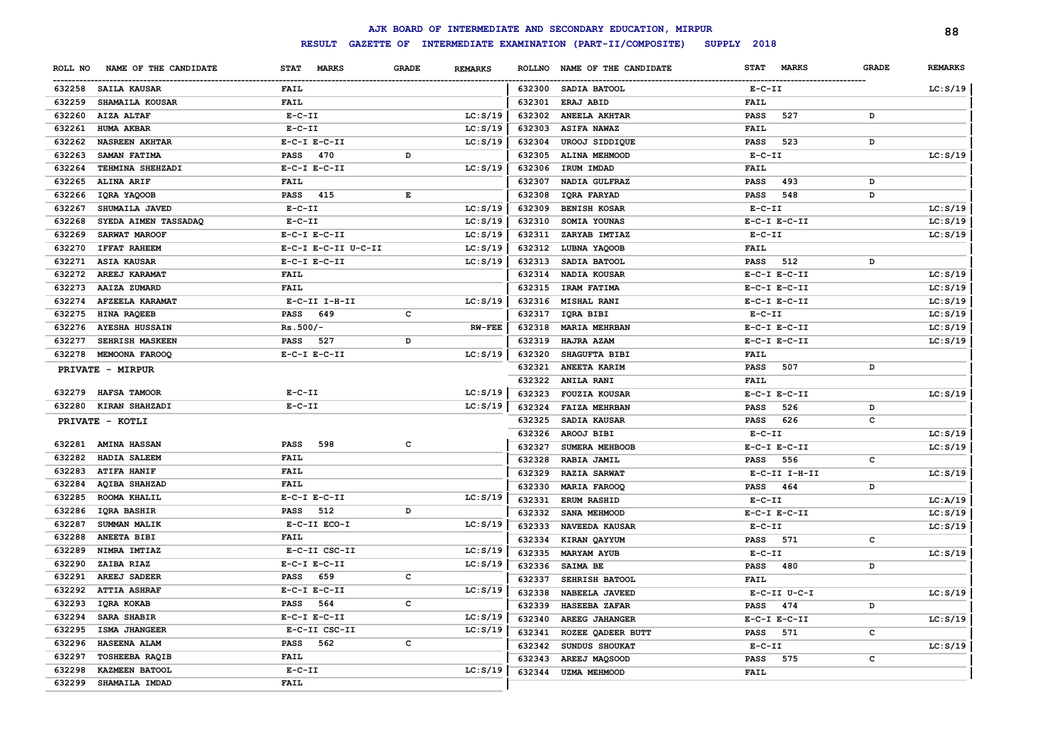|         |                       |                                    |              |                |               | AJK BOARD OF INTERMEDIATE AND SECONDARY EDUCATION, MIRPUR |                  |                  |              | 88             |
|---------|-----------------------|------------------------------------|--------------|----------------|---------------|-----------------------------------------------------------|------------------|------------------|--------------|----------------|
|         |                       | <b>RESULT</b><br><b>GAZETTE OF</b> |              |                |               | INTERMEDIATE EXAMINATION (PART-II/COMPOSITE)              | SUPPLY 2018      |                  |              |                |
| ROLL NO | NAME OF THE CANDIDATE | <b>STAT</b><br><b>MARKS</b>        | <b>GRADE</b> | <b>REMARKS</b> | <b>ROLLNO</b> | NAME OF THE CANDIDATE                                     | <b>STAT</b>      | <b>MARKS</b>     | <b>GRADE</b> | <b>REMARKS</b> |
|         | 632258 SAILA KAUSAR   | <b>FAIL</b>                        |              |                |               | 632300 SADIA BATOOL                                       | $E-C-II$         |                  |              | LC: S/19       |
| 632259  | SHAMAILA KOUSAR       | <b>FAIL</b>                        |              |                | 632301        | ERAJ ABID                                                 | <b>FAIL</b>      |                  |              |                |
| 632260  | AIZA ALTAF            | $E-C-II$                           |              | LC: S/19       | 632302        | <b>ANEELA AKHTAR</b>                                      | <b>PASS</b>      | 527              | D            |                |
| 632261  | <b>HUMA AKBAR</b>     | $E-C-II$                           |              | LC: S/19       | 632303        | ASIFA NAWAZ                                               | <b>FAIL</b>      |                  |              |                |
| 632262  | <b>NASREEN AKHTAR</b> | $E-C-I$ $E-C-II$                   |              | LC: S/19       | 632304        | <b>UROOJ SIDDIQUE</b>                                     | <b>PASS</b>      | 523              | D            |                |
| 632263  | SAMAN FATIMA          | <b>PASS</b><br>470                 | D            |                | 632305        | ALINA MEHMOOD                                             | $E-C-II$         |                  |              | LC: S/19       |
| 632264  | TEHMINA SHEHZADI      | $E-C-I$ $E-C-II$                   |              | LC: S/19       | 632306        | IRUM IMDAD                                                | <b>FAIL</b>      |                  |              |                |
| 632265  | <b>ALINA ARIF</b>     | <b>FAIL</b>                        |              |                | 632307        | NADIA GULFRAZ                                             | <b>PASS</b>      | 493              | D            |                |
| 632266  | IQRA YAQOOB           | <b>PASS</b><br>415                 | $\mathbf E$  |                | 632308        | <b>IQRA FARYAD</b>                                        | <b>PASS</b>      | 548              | D            |                |
| 632267  | SHUMAILA JAVED        | $E-C-II$                           |              | LC: S/19       | 632309        | <b>BENISH KOSAR</b>                                       | $E- C- II$       |                  |              | LC: S/19       |
| 632268  | SYEDA AIMEN TASSADAQ  | $E-C-II$                           |              | LC: S/19       | 632310        | SOMIA YOUNAS                                              | $E-C-I$ $E-C-II$ |                  |              | LC: S/19       |
| 632269  | SARWAT MAROOF         | $E-C-I$ $E-C-II$                   |              | LC: S/19       | 632311        | ZARYAB IMTIAZ                                             | $E-C-II$         |                  |              | LC: S/19       |
| 632270  | <b>IFFAT RAHEEM</b>   | E-C-I E-C-II U-C-II                |              | LC: S/19       | 632312        | LUBNA YAQOOB                                              | <b>FAIL</b>      |                  |              |                |
| 632271  | <b>ASIA KAUSAR</b>    | $E-C-I$ $E-C-II$                   |              | LC: S/19       | 632313        | SADIA BATOOL                                              | <b>PASS</b>      | 512              | D            |                |
| 632272  | AREEJ KARAMAT         | <b>FAIL</b>                        |              |                | 632314        | NADIA KOUSAR                                              | $E-C-I$ $E-C-II$ |                  |              | LC: S/19       |
| 632273  | AAIZA ZUMARD          | <b>FAIL</b>                        |              |                | 632315        | IRAM FATIMA                                               | $E-C-I$ $E-C-II$ |                  |              | LC: S/19       |
| 632274  | AFZEELA KARAMAT       | $E-C-II$ I-H-II                    |              | LC: S/19       | 632316        | MISHAL RANI                                               | $E-C-I$ $E-C-II$ |                  |              | LC: S/19       |
| 632275  | HINA RAQEEB           | <b>PASS</b><br>649                 | $\mathbf c$  |                | 632317        | IQRA BIBI                                                 | $E-C-II$         |                  |              | LC: S/19       |
| 632276  | <b>AYESHA HUSSAIN</b> | $Rs.500/-$                         |              | $RW-FEE$       | 632318        | <b>MARIA MEHRBAN</b>                                      | $E-C-I$ $E-C-II$ |                  |              | LC: S/19       |
| 632277  | SEHRISH MASKEEN       | PASS<br>527                        | D            |                | 632319        | HAJRA AZAM                                                | $E-C-I$ $E-C-II$ |                  |              | LC: S/19       |
| 632278  | <b>MEMOONA FAROOQ</b> | $E-C-I$ $E-C-II$                   |              | LC: S/19       | 632320        | SHAGUFTA BIBI                                             | <b>FAIL</b>      |                  |              |                |
|         | PRIVATE - MIRPUR      |                                    |              |                | 632321        | ANEETA KARIM                                              | <b>PASS</b>      | 507              | $\, {\bf D}$ |                |
|         |                       |                                    |              |                | 632322        | ANILA RANI                                                | <b>FAIL</b>      |                  |              |                |
| 632279  | HAFSA TAMOOR          | $E-C-II$                           |              | LC: S/19       | 632323        | <b>FOUZIA KOUSAR</b>                                      | $E-C-I$ $E-C-II$ |                  |              | LC: S/19       |
| 632280  | KIRAN SHAHZADI        | $E-C-II$                           |              | LC: S/19       | 632324        | <b>FAIZA MEHRBAN</b>                                      | <b>PASS</b>      | 526              | D            |                |
|         | PRIVATE - KOTLI       |                                    |              |                | 632325        | SADIA KAUSAR                                              | <b>PASS</b>      | 626              | c            |                |
|         |                       |                                    |              |                | 632326        | AROOJ BIBI                                                | $E-C-II$         |                  |              | LC: S/19       |
|         | 632281 AMINA HASSAN   | PASS<br>598                        | $\mathbf c$  |                | 632327        | SUMERA MEHBOOB                                            | $E-C-I$ $E-C-II$ |                  |              | LC: S/19       |
| 632282  | HADIA SALEEM          | <b>FAIL</b>                        |              |                | 632328        | RABIA JAMIL                                               | <b>PASS</b>      | 556              | c            |                |
| 632283  | <b>ATIFA HANIF</b>    | <b>FAIL</b>                        |              |                | 632329        | <b>RAZIA SARWAT</b>                                       |                  | $E-C-II$ I-H-II  |              | LC: S/19       |
| 632284  | <b>AQIBA SHAHZAD</b>  | <b>FAIL</b>                        |              |                | 632330        | <b>MARIA FAROOQ</b>                                       | <b>PASS</b>      | 464              | D            |                |
| 632285  | ROOMA KHALIL          | $E-C-I$ $E-C-II$                   |              | LC: S/19       | 632331        | <b>ERUM RASHID</b>                                        | $E-C-II$         |                  |              | LC: A/19       |
| 632286  | IQRA BASHIR           | <b>PASS</b><br>512                 | D            |                | 632332        | SANA MEHMOOD                                              | $E-C-I$ $E-C-II$ |                  |              | LC: S/19       |
| 632287  | SUMMAN MALIK          | E-C-II ECO-I                       |              | LC: S/19       | 632333        | <b>NAVEEDA KAUSAR</b>                                     | $E-C-TI$         |                  |              | LC: S/19       |
| 632288  | ANEETA BIBI           | <b>FAIL</b>                        |              |                | 632334        | KIRAN QAYYUM                                              | <b>PASS</b>      | 571              | $\mathbf c$  |                |
| 632289  | NIMRA IMTIAZ          | E-C-II CSC-II                      |              | LC: S/19       | 632335        | <b>MARYAM AYUB</b>                                        | $E-C-II$         |                  |              | LC: S/19       |
| 632290  | ZAIBA RIAZ            | $E-C-I$ $E-C-II$                   |              | LC: S/19       | 632336        | SAIMA BE                                                  | <b>PASS</b>      | 480              | D            |                |
| 632291  | <b>AREEJ SADEER</b>   | <b>PASS</b><br>659                 | c            |                | 632337        | SEHRISH BATOOL                                            | <b>FAIL</b>      |                  |              |                |
| 632292  | <b>ATTIA ASHRAF</b>   | $E-C-I$ $E-C-II$                   |              | LC: S/19       | 632338        | NABEELA JAVEED                                            |                  | $E-C-II$ $U-C-I$ |              | LC: S/19       |
| 632293  | IQRA KOKAB            | <b>PASS</b><br>564                 | c            |                | 632339        | <b>HASEEBA ZAFAR</b>                                      | <b>PASS</b>      | 474              | D            |                |
| 632294  | SARA SHABIR           | $E-C-I$ $E-C-II$                   |              | LC: S/19       | 632340        | <b>AREEG JAHANGER</b>                                     | $E-C-I$ $E-C-II$ |                  |              | LC: S/19       |
| 632295  | <b>ISMA JHANGEER</b>  | E-C-II CSC-II                      |              | LC: S/19       | 632341        | ROZEE QADEER BUTT                                         | <b>PASS</b>      | 571              | $\mathbf c$  |                |
| 632296  | HASEENA ALAM          | 562<br><b>PASS</b>                 | c            |                | 632342        | SUNDUS SHOUKAT                                            | $E-C-II$         |                  |              | LC: S/19       |
| 632297  | <b>TOSHEEBA RAQIB</b> | <b>FAIL</b>                        |              |                | 632343        | AREEJ MAQSOOD                                             | <b>PASS</b>      | 575              | c            |                |
| 632298  | KAZMEEN BATOOL        | $E-C-II$                           |              | LC: S/19       | 632344        | <b>UZMA MEHMOOD</b>                                       | <b>FAIL</b>      |                  |              |                |
| 632299  | SHAMAILA IMDAD        | <b>FAIL</b>                        |              |                |               |                                                           |                  |                  |              |                |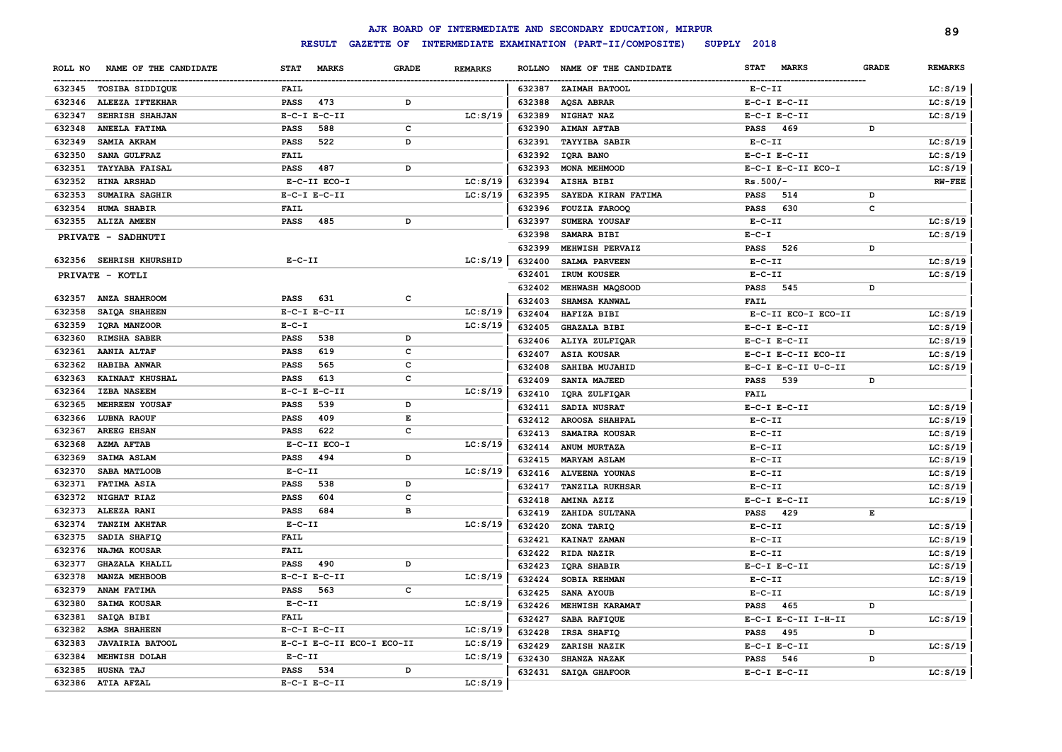|         |                         |                  |                                    |              |                |               | AJK BOARD OF INTERMEDIATE AND SECONDARY EDUCATION, MIRPUR |                             |              | 89             |
|---------|-------------------------|------------------|------------------------------------|--------------|----------------|---------------|-----------------------------------------------------------|-----------------------------|--------------|----------------|
|         |                         |                  | <b>RESULT</b><br><b>GAZETTE OF</b> |              |                |               | INTERMEDIATE EXAMINATION (PART-II/COMPOSITE)              | SUPPLY 2018                 |              |                |
| ROLL NO | NAME OF THE CANDIDATE   | <b>STAT</b>      | <b>MARKS</b>                       | <b>GRADE</b> | <b>REMARKS</b> | <b>ROLLNO</b> | NAME OF THE CANDIDATE                                     | <b>STAT</b><br><b>MARKS</b> | <b>GRADE</b> | <b>REMARKS</b> |
|         | 632345 TOSIBA SIDDIQUE  | FAIL             |                                    |              |                |               | 632387 ZAIMAH BATOOL                                      | $E-C-II$                    |              | LC: S/19       |
| 632346  | ALEEZA IFTEKHAR         | <b>PASS</b>      | 473                                | D            |                | 632388        | <b>AQSA ABRAR</b>                                         | $E-C-I$ $E-C-II$            |              | LC: S/19       |
| 632347  | SEHRISH SHAHJAN         | $E-C-I$ $E-C-II$ |                                    |              | LC: S/19       | 632389        | NIGHAT NAZ                                                | $E-C-I$ $E-C-II$            |              | LC: S/19       |
| 632348  | ANEELA FATIMA           | <b>PASS</b>      | 588                                | c            |                | 632390        | <b>AIMAN AFTAB</b>                                        | <b>PASS</b><br>469          | D            |                |
| 632349  | SAMIA AKRAM             | <b>PASS</b>      | 522                                | D            |                | 632391        | <b>TAYYIBA SABIR</b>                                      | $E-C-TI$                    |              | LC: S/19       |
| 632350  | SANA GULFRAZ            | <b>FAIL</b>      |                                    |              |                | 632392        | IQRA BANO                                                 | $E-C-I$ $E-C-II$            |              | LC: S/19       |
| 632351  | <b>TAYYABA FAISAL</b>   | <b>PASS</b>      | 487                                | D            |                | 632393        | MONA MEHMOOD                                              | E-C-I E-C-II ECO-I          |              | LC: S/19       |
| 632352  | HINA ARSHAD             |                  | E-C-II ECO-I                       |              | LC: S/19       | 632394        | AISHA BIBI                                                | $Rs.500/-$                  |              | <b>RW-FEE</b>  |
| 632353  | SUMAIRA SAGHIR          | $E-C-I$ $E-C-II$ |                                    |              | LC: S/19       | 632395        | SAYEDA KIRAN FATIMA                                       | 514<br><b>PASS</b>          | D            |                |
| 632354  | HUMA SHABIR             | <b>FAIL</b>      |                                    |              |                | 632396        | FOUZIA FAROOQ                                             | 630<br><b>PASS</b>          | c            |                |
|         | 632355 ALIZA AMEEN      | <b>PASS</b>      | 485                                | D            |                | 632397        | SUMERA YOUSAF                                             | $E-C-II$                    |              | LC: S/19       |
|         | PRIVATE - SADHNUTI      |                  |                                    |              |                | 632398        | SAMARA BIBI                                               | $E-C-T$                     |              | LC: S/19       |
|         |                         |                  |                                    |              |                | 632399        | MEHWISH PERVAIZ                                           | 526<br><b>PASS</b>          | D            |                |
|         | 632356 SEHRISH KHURSHID | $E-C-II$         |                                    |              | LC: S/19       | 632400        | SALMA PARVEEN                                             | $E-C-II$                    |              | LC: S/19       |
|         | PRIVATE - KOTLI         |                  |                                    |              |                | 632401        | IRUM KOUSER                                               | $E-C-II$                    |              | LC: S/19       |
|         |                         |                  |                                    |              |                | 632402        | MEHWASH MAQSOOD                                           | <b>PASS</b><br>545          | D            |                |
| 632357  | <b>ANZA SHAHROOM</b>    | <b>PASS</b>      | 631                                | $\mathbf c$  |                | 632403        | SHAMSA KANWAL                                             | FAIL                        |              |                |
| 632358  | SAIQA SHAHEEN           | $E-C-I$ $E-C-II$ |                                    |              | LC: S/19       | 632404        | HAFIZA BIBI                                               | E-C-II ECO-I ECO-II         |              | LC: S/19       |
| 632359  | IQRA MANZOOR            | $E - C - I$      |                                    |              | LC: S/19       | 632405        | <b>GHAZALA BIBI</b>                                       | $E-C-I$ $E-C-II$            |              | LC: S/19       |
| 632360  | RIMSHA SABER            | PASS             | 538                                | D            |                | 632406        | ALIYA ZULFIQAR                                            | $E-C-I$ $E-C-II$            |              | LC: S/19       |
| 632361  | AANIA ALTAF             | PASS             | 619                                | C            |                | 632407        | <b>ASIA KOUSAR</b>                                        | E-C-I E-C-II ECO-II         |              | LC: S/19       |
| 632362  | HABIBA ANWAR            | PASS             | 565                                | c            |                | 632408        | SAHIBA MUJAHID                                            | E-C-I E-C-II U-C-II         |              | LC: S/19       |
| 632363  | KAINAAT KHUSHAL         | PASS             | 613                                | C            |                | 632409        | SANIA MAJEED                                              | 539<br><b>PASS</b>          | D            |                |
| 632364  | <b>IZBA NASEEM</b>      | $E-C-I$ $E-C-II$ |                                    |              | LC: S/19       | 632410        | IQRA ZULFIQAR                                             | <b>FAIL</b>                 |              |                |
| 632365  | <b>MEHREEN YOUSAF</b>   | PASS             | 539                                | D            |                | 632411        | SADIA NUSRAT                                              | $E-C-I$ $E-C-II$            |              | LC: S/19       |
| 632366  | <b>LUBNA RAOUF</b>      | <b>PASS</b>      | 409                                | E            |                | 632412        | <b>AROOSA SHAHPAL</b>                                     | $E-C-TI$                    |              | LC: S/19       |
| 632367  | <b>AREEG EHSAN</b>      | <b>PASS</b>      | 622                                | $\mathbf c$  |                | 632413        | SAMAIRA KOUSAR                                            | $E-C-II$                    |              | LC: S/19       |
| 632368  | <b>AZMA AFTAB</b>       |                  | E-C-II ECO-I                       |              | LC: S/19       | 632414        | ANUM MURTAZA                                              | $E-C-II$                    |              | LC: S/19       |
| 632369  | SAIMA ASLAM             | PASS             | 494                                | D            |                | 632415        | <b>MARYAM ASLAM</b>                                       | $E-C-TI$                    |              | LC: S/19       |
| 632370  | SABA MATLOOB            | $E-C-II$         |                                    |              | LC: S/19       | 632416        | <b>ALVEENA YOUNAS</b>                                     | $E-C-TI$                    |              | LC: S/19       |
| 632371  | FATIMA ASIA             | PASS             | 538                                | D            |                | 632417        | <b>TANZILA RUKHSAR</b>                                    | $E-C-II$                    |              | LC: S/19       |
| 632372  | NIGHAT RIAZ             | <b>PASS</b>      | 604                                | $\mathbf{C}$ |                | 632418        | AMINA AZIZ                                                | $E-C-I$ $E-C-II$            |              | LC: S/19       |
| 632373  | ALEEZA RANI             | <b>PASS</b>      | 684                                | $\mathbf{B}$ |                | 632419        | ZAHIDA SULTANA                                            | 429<br><b>PASS</b>          | E            |                |
| 632374  | <b>TANZIM AKHTAR</b>    | $E-C-II$         |                                    |              | LC: S/19       | 632420        | ZONA TARIQ                                                | $E-C-II$                    |              | LC: S/19       |
| 632375  | SADIA SHAFIQ            | <b>FAIL</b>      |                                    |              |                | 632421        | KAINAT ZAMAN                                              | $E-C-TI$                    |              | LC: S/19       |
| 632376  | NAJMA KOUSAR            | <b>FAIL</b>      |                                    |              |                | 632422        | RIDA NAZIR                                                | $E-C-TI$                    |              | LC: S/19       |
| 632377  | <b>GHAZALA KHALIL</b>   | <b>PASS</b>      | 490                                | D            |                | 632423        | <b>IORA SHABIR</b>                                        | $E-C-I$ $E-C-II$            |              | LC: S/19       |
| 632378  | MANZA MEHBOOB           | $E-C-I$ $E-C-II$ |                                    |              | LC: S/19       | 632424        | SOBIA REHMAN                                              | $E-C-II$                    |              | LC: S/19       |
| 632379  | ANAM FATIMA             | <b>PASS</b>      | 563                                | c            |                | 632425        | SANA AYOUB                                                | $E-C-II$                    |              | LC: S/19       |
| 632380  | SAIMA KOUSAR            | $E-C-II$         |                                    |              | LC: S/19       | 632426        | MEHWISH KARAMAT                                           | 465<br><b>PASS</b>          | D            |                |
| 632381  | SAIOA BIBI              | <b>FAIL</b>      |                                    |              |                | 632427        | SABA RAFIQUE                                              | E-C-I E-C-II I-H-II         |              | LC: S/19       |
| 632382  | <b>ASMA SHAHEEN</b>     | $E-C-I$ $E-C-II$ |                                    |              | LC: S/19       | 632428        | IRSA SHAFIQ                                               | 495<br><b>PASS</b>          | D            |                |
| 632383  | <b>JAVAIRIA BATOOL</b>  |                  | E-C-I E-C-II ECO-I ECO-II          |              | LC: S/19       | 632429        | ZARISH NAZIK                                              | $E-C-I$ $E-C-II$            |              | LC: S/19       |
| 632384  | MEHWISH DOLAH           | $E - C - II$     |                                    |              | LC: S/19       | 632430        | <b>SHANZA NAZAK</b>                                       | 546<br><b>PASS</b>          | D            |                |
| 632385  | HUSNA TAJ               | PASS             | 534                                | D            |                | 632431        | SAIQA GHAFOOR                                             | $E-C-I$ $E-C-II$            |              | LC: S/19       |
|         | 632386 ATIA AFZAL       | $E-C-I$ $E-C-II$ |                                    |              | LC: S/19       |               |                                                           |                             |              |                |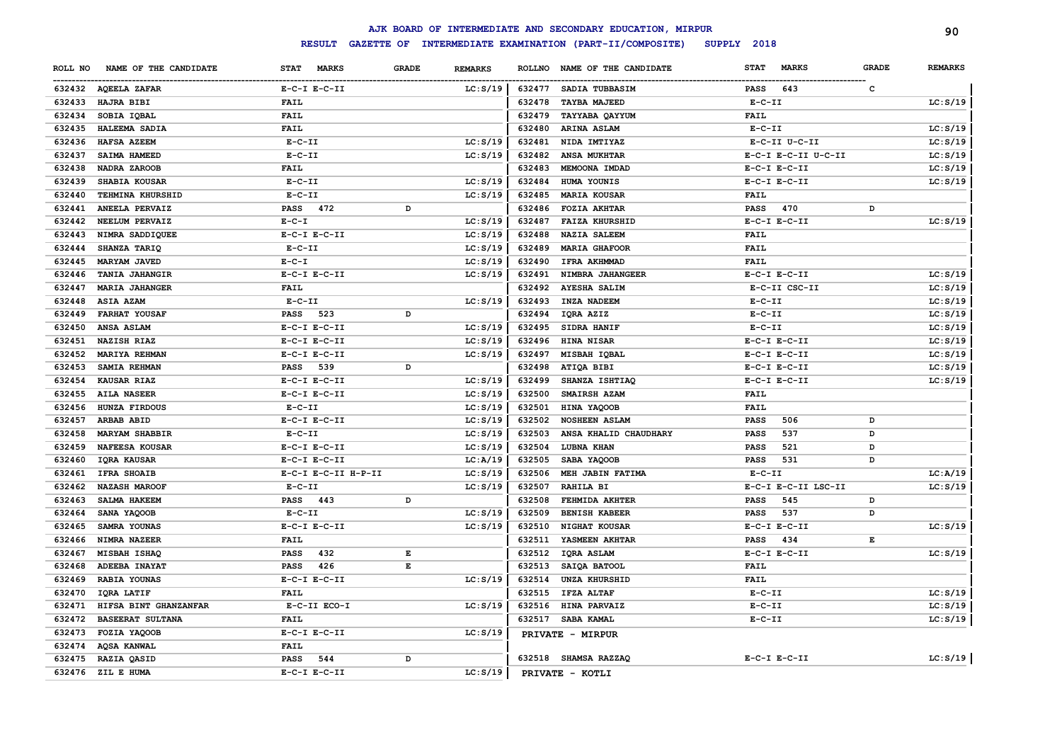|         |                         |                     |              |                |        | AJK BOARD OF INTERMEDIATE AND SECONDARY EDUCATION, MIRPUR |                             |              | 90             |
|---------|-------------------------|---------------------|--------------|----------------|--------|-----------------------------------------------------------|-----------------------------|--------------|----------------|
|         |                         | <b>RESULT</b>       |              |                |        | GAZETTE OF INTERMEDIATE EXAMINATION (PART-II/COMPOSITE)   | SUPPLY 2018                 |              |                |
| ROLL NO | NAME OF THE CANDIDATE   | STAT MARKS          | <b>GRADE</b> | <b>REMARKS</b> |        | ROLLNO NAME OF THE CANDIDATE                              | <b>STAT</b><br><b>MARKS</b> | <b>GRADE</b> | <b>REMARKS</b> |
|         | 632432 AQEELA ZAFAR     | $E-C-I$ $E-C-II$    |              | LC: S/19       |        | 632477 SADIA TUBBASIM                                     | PASS<br>643                 | C            |                |
| 632433  | HAJRA BIBI              | <b>FAIL</b>         |              |                | 632478 | TAYBA MAJEED                                              | $E-C-II$                    |              | LC: S/19       |
| 632434  | SOBIA IQBAL             | <b>FAIL</b>         |              |                | 632479 | TAYYABA QAYYUM                                            | <b>FAIL</b>                 |              |                |
| 632435  | HALEEMA SADIA           | <b>FAIL</b>         |              |                | 632480 | ARINA ASLAM                                               | $E- C- II$                  |              | LC: S/19       |
| 632436  | <b>HAFSA AZEEM</b>      | $E-C-II$            |              | LC: S/19       | 632481 | NIDA IMTIYAZ                                              | E-C-II U-C-II               |              | LC: S/19       |
| 632437  | SAIMA HAMEED            | $E - C - II$        |              | LC: S/19       | 632482 | <b>ANSA MUKHTAR</b>                                       | E-C-I E-C-II U-C-II         |              | LC: S/19       |
| 632438  | NADRA ZAROOB            | <b>FAIL</b>         |              |                | 632483 | MEMOONA IMDAD                                             | $E-C-I$ $E-C-II$            |              | LC: S/19       |
| 632439  | SHABIA KOUSAR           | $E - C - II$        |              | LC: S/19       | 632484 | HUMA YOUNIS                                               | $E-C-I$ $E-C-II$            |              | LC: S/19       |
| 632440  | <b>TEHMINA KHURSHID</b> | $E- C- II$          |              | LC: S/19       | 632485 | <b>MARIA KOUSAR</b>                                       | <b>FAIL</b>                 |              |                |
| 632441  | ANEELA PERVAIZ          | PASS<br>472         | D            |                | 632486 | <b>FOZIA AKHTAR</b>                                       | 470<br><b>PASS</b>          | D            |                |
| 632442  | NEELUM PERVAIZ          | $E - C - I$         |              | LC: S/19       | 632487 | <b>FAIZA KHURSHID</b>                                     | $E-C-I$ $E-C-II$            |              | LC: S/19       |
| 632443  | NIMRA SADDIQUEE         | $E-C-I$ $E-C-II$    |              | LC: S/19       | 632488 | <b>NAZIA SALEEM</b>                                       | <b>FAIL</b>                 |              |                |
| 632444  | SHANZA TARIQ            | $E - C - II$        |              | LC: S/19       | 632489 | <b>MARIA GHAFOOR</b>                                      | <b>FAIL</b>                 |              |                |
| 632445  | <b>MARYAM JAVED</b>     | $E-C-I$             |              | LC: S/19       | 632490 | IFRA AKHMMAD                                              | <b>FAIL</b>                 |              |                |
| 632446  | <b>TANIA JAHANGIR</b>   | $E-C-I$ $E-C-II$    |              | LC: S/19       | 632491 | NIMBRA JAHANGEER                                          | $E-C-I$ $E-C-II$            |              | LC: S/19       |
| 632447  | <b>MARIA JAHANGER</b>   | <b>FAIL</b>         |              |                | 632492 | <b>AYESHA SALIM</b>                                       | E-C-II CSC-II               |              | LC: S/19       |
|         | 632448 ASIA AZAM        | $E - C - II$        |              | LC: S/19       | 632493 | <b>INZA NADEEM</b>                                        | $E - C - II$                |              | LC: S/19       |
|         | 632449 FARHAT YOUSAF    | PASS 523            | D            |                | 632494 | IQRA AZIZ                                                 | $E- C- II$                  |              | LC: S/19       |
| 632450  | ANSA ASLAM              | $E-C-I$ $E-C-II$    |              | LC: S/19       | 632495 | SIDRA HANIF                                               | $E-C-II$                    |              | LC: S/19       |
| 632451  | <b>NAZISH RIAZ</b>      | $E-C-I$ $E-C-II$    |              | LC: S/19       | 632496 | HINA NISAR                                                | $E-C-I$ $E-C-II$            |              | LC: S/19       |
| 632452  | MARIYA REHMAN           | $E-C-I$ $E-C-II$    |              | LC: S/19       | 632497 | MISBAH IQBAL                                              | $E-C-I$ $E-C-II$            |              | LC: S/19       |
| 632453  | <b>SAMIA REHMAN</b>     | PASS 539            | D            |                | 632498 | ATIQA BIBI                                                | $E-C-I$ $E-C-II$            |              | LC: S/19       |
| 632454  | <b>KAUSAR RIAZ</b>      | $E-C-I$ $E-C-II$    |              | LC: S/19       | 632499 | SHANZA ISHTIAQ                                            | $E-C-I$ $E-C-II$            |              | LC: S/19       |
| 632455  | <b>AILA NASEER</b>      | $E-C-I$ $E-C-II$    |              | LC: S/19       | 632500 | SMAIRSH AZAM                                              | <b>FAIL</b>                 |              |                |
| 632456  | <b>HUNZA FIRDOUS</b>    | $E- C- II$          |              | LC: S/19       | 632501 | HINA YAQOOB                                               | FAIL                        |              |                |
| 632457  | <b>ARBAB ABID</b>       | $E-C-I$ $E-C-II$    |              | LC: S/19       | 632502 | <b>NOSHEEN ASLAM</b>                                      | <b>PASS</b><br>506          | D            |                |
| 632458  | <b>MARYAM SHABBIR</b>   | $E - C - II$        |              | LC: S/19       | 632503 | ANSA KHALID CHAUDHARY                                     | <b>PASS</b><br>537          | D            |                |
| 632459  | <b>NAFEESA KOUSAR</b>   | $E-C-I$ $E-C-II$    |              | LC: S/19       | 632504 | <b>LUBNA KHAN</b>                                         | 521<br><b>PASS</b>          | D            |                |
| 632460  | <b>IQRA KAUSAR</b>      | $E-C-I$ $E-C-II$    |              | LC:A/19        | 632505 | SABA YAQOOB                                               | 531<br><b>PASS</b>          | D            |                |
| 632461  | <b>IFRA SHOAIB</b>      | E-C-I E-C-II H-P-II |              | LC: S/19       | 632506 | MEH JABIN FATIMA                                          | $E- C- II$                  |              | LC: A/19       |
| 632462  | <b>NAZASH MAROOF</b>    | $E-C-II$            |              | LC: S/19       | 632507 | <b>RAHILA BI</b>                                          | E-C-I E-C-II LSC-II         |              | LC: S/19       |
| 632463  | <b>SALMA HAKEEM</b>     | <b>PASS</b> 443     | D            |                | 632508 | FEHMIDA AKHTER                                            | <b>PASS</b><br>545          | D            |                |
| 632464  | SANA YAQOOB             | $E- C- II$          |              | LC: S/19       | 632509 | <b>BENISH KABEER</b>                                      | <b>PASS</b><br>537          | D            |                |
| 632465  | SAMRA YOUNAS            | $E-C-I$ $E-C-II$    |              | LC: S/19       | 632510 | NIGHAT KOUSAR                                             | $E-C-I$ $E-C-II$            |              | LC: S/19       |
| 632466  | <b>NIMRA NAZEER</b>     | <b>FAIL</b>         |              |                | 632511 | YASMEEN AKHTAR                                            | <b>PASS</b><br>434          | Е            |                |
| 632467  | <b>MISBAH ISHAO</b>     | <b>PASS</b><br>432  | E            |                | 632512 | IQRA ASLAM                                                | $E-C-I$ $E-C-II$            |              | LC: S/19       |
| 632468  | ADEEBA INAYAT           | 426<br>PASS         | E            |                | 632513 | SAIQA BATOOL                                              | <b>FAIL</b>                 |              |                |
| 632469  | RABIA YOUNAS            | $E-C-I$ $E-C-II$    |              | LC: S/19       | 632514 | <b>UNZA KHURSHID</b>                                      | <b>FAIL</b>                 |              |                |
| 632470  | IQRA LATIF              | <b>FAIL</b>         |              |                | 632515 | <b>IFZA ALTAF</b>                                         | $E- C- II$                  |              | LC: S/19       |
| 632471  | HIFSA BINT GHANZANFAR   | E-C-II ECO-I        |              | LC: S/19       | 632516 | HINA PARVAIZ                                              | $E-C-II$                    |              | LC: S/19       |
| 632472  | <b>BASEERAT SULTANA</b> | <b>FAIL</b>         |              |                | 632517 | <b>SABA KAMAL</b>                                         | $E-C-TI$                    |              | LC: S/19       |
| 632473  | FOZIA YAQOOB            | $E-C-I$ $E-C-II$    |              | LC: S/19       |        | PRIVATE - MIRPUR                                          |                             |              |                |
| 632474  | <b>AQSA KANWAL</b>      | <b>FAIL</b>         |              |                |        |                                                           |                             |              |                |
| 632475  | RAZIA QASID             | <b>PASS</b><br>544  | D            |                |        | 632518 SHAMSA RAZZAQ                                      | $E-C-I$ $E-C-II$            |              | LC: S/19       |
|         | 632476 ZIL E HUMA       | $E-C-I$ $E-C-II$    |              | LC: S/19       |        | PRIVATE - KOTLI                                           |                             |              |                |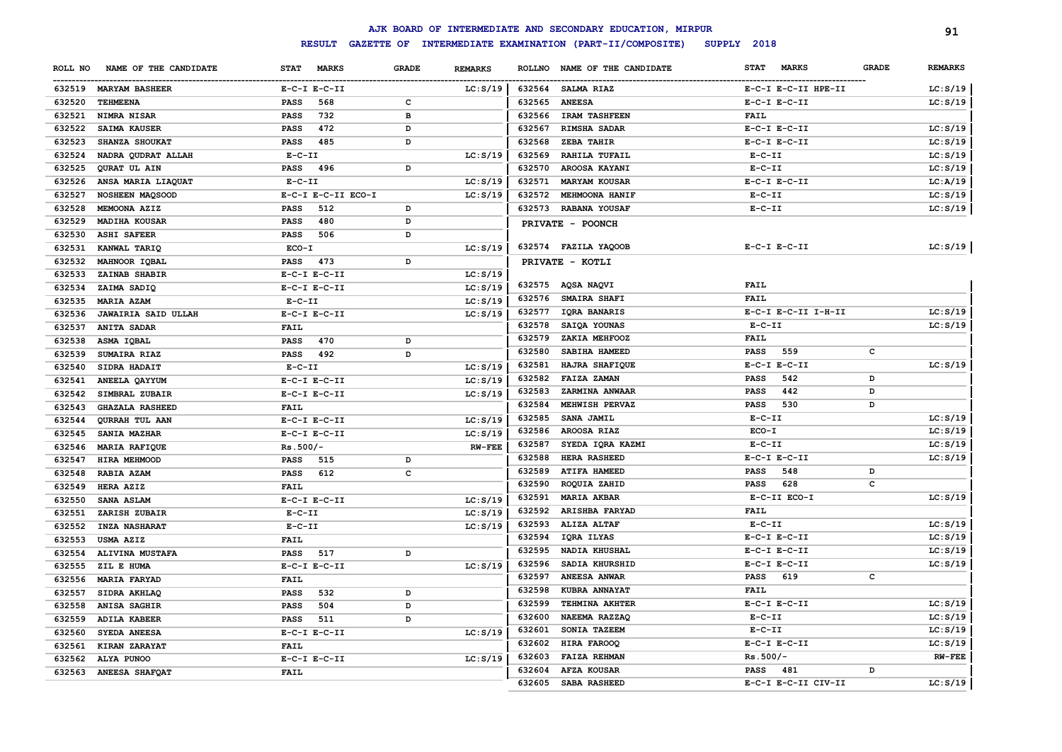|         |                            |                  |                                    |              |                |               | AJK BOARD OF INTERMEDIATE AND SECONDARY EDUCATION, MIRPUR |                             |              | 91             |
|---------|----------------------------|------------------|------------------------------------|--------------|----------------|---------------|-----------------------------------------------------------|-----------------------------|--------------|----------------|
|         |                            |                  | <b>RESULT</b><br><b>GAZETTE OF</b> |              |                |               | INTERMEDIATE EXAMINATION (PART-II/COMPOSITE)              | SUPPLY 2018                 |              |                |
| ROLL NO | NAME OF THE CANDIDATE      | <b>STAT</b>      | <b>MARKS</b>                       | <b>GRADE</b> | <b>REMARKS</b> | <b>ROLLNO</b> | NAME OF THE CANDIDATE                                     | <b>STAT</b><br><b>MARKS</b> | <b>GRADE</b> | <b>REMARKS</b> |
|         | 632519 MARYAM BASHEER      | $E-C-I$ $E-C-II$ |                                    |              | LC: S/19       | 632564        | <b>SALMA RIAZ</b>                                         | E-C-I E-C-II HPE-II         |              | LC: S/19       |
| 632520  | TEHMEENA                   | <b>PASS</b>      | 568                                | $\mathbf c$  |                | 632565        | <b>ANEESA</b>                                             | $E-C-I$ $E-C-II$            |              | LC: S/19       |
| 632521  | NIMRA NISAR                | <b>PASS</b>      | 732                                | $\, {\bf B}$ |                | 632566        | <b>IRAM TASHFEEN</b>                                      | <b>FAIL</b>                 |              |                |
| 632522  | <b>SAIMA KAUSER</b>        | <b>PASS</b>      | 472                                | D            |                | 632567        | <b>RIMSHA SADAR</b>                                       | $E-C-I$ $E-C-II$            |              | LC: S/19       |
| 632523  | SHANZA SHOUKAT             | <b>PASS</b>      | 485                                | D            |                | 632568        | ZEBA TAHIR                                                | $E-C-I$ $E-C-II$            |              | LC: S/19       |
| 632524  | NADRA QUDRAT ALLAH         | $E-C-II$         |                                    |              | LC: S/19       | 632569        | <b>RAHILA TUFAIL</b>                                      | $E-C-II$                    |              | LC: S/19       |
| 632525  | QURAT UL AIN               | <b>PASS</b>      | 496                                | D            |                | 632570        | AROOSA KAYANI                                             | $E-C-II$                    |              | LC: S/19       |
| 632526  | ANSA MARIA LIAQUAT         | $E-C-II$         |                                    |              | LC: S/19       | 632571        | <b>MARYAM KOUSAR</b>                                      | $E-C-I$ $E-C-II$            |              | LC:A/19        |
| 632527  | NOSHEEN MAQSOOD            |                  | E-C-I E-C-II ECO-I                 |              | LC: S/19       | 632572        | MEHMOONA HANIF                                            | $E- C- II$                  |              | LC: S/19       |
| 632528  | MEMOONA AZIZ               | <b>PASS</b>      | 512                                | D            |                | 632573        | RABANA YOUSAF                                             | $E-C-II$                    |              | LC: S/19       |
| 632529  | <b>MADIHA KOUSAR</b>       | <b>PASS</b>      | 480                                | D            |                |               | PRIVATE - POONCH                                          |                             |              |                |
| 632530  | <b>ASHI SAFEER</b>         | <b>PASS</b>      | 506                                | D            |                |               |                                                           |                             |              |                |
| 632531  | KANWAL TARIQ               | ECO-I            |                                    |              | LC: S/19       |               | 632574 FAZILA YAQOOB                                      | $E-C-I$ $E-C-II$            |              | LC: S/19       |
| 632532  | MAHNOOR IQBAL              | <b>PASS</b>      | 473                                | D            |                |               | PRIVATE - KOTLI                                           |                             |              |                |
| 632533  | ZAINAB SHABIR              | $E-C-I$ $E-C-II$ |                                    |              | LC: S/19       |               |                                                           |                             |              |                |
| 632534  | ZAIMA SADIQ                | $E-C-I$ $E-C-II$ |                                    |              | LC: S/19       |               | 632575 AQSA NAQVI                                         | <b>FAIL</b>                 |              |                |
| 632535  | <b>MARIA AZAM</b>          | $E-C-II$         |                                    |              | LC: S/19       | 632576        | SMAIRA SHAFI                                              | <b>FAIL</b>                 |              |                |
| 632536  | <b>JAWAIRIA SAID ULLAH</b> | $E-C-I$ $E-C-II$ |                                    |              | LC: S/19       | 632577        | IQRA BANARIS                                              | E-C-I E-C-II I-H-II         |              | LC: S/19       |
| 632537  | <b>ANITA SADAR</b>         | <b>FAIL</b>      |                                    |              |                | 632578        | SAIQA YOUNAS                                              | $E - C - II$                |              | LC: S/19       |
| 632538  | ASMA IQBAL                 | <b>PASS</b>      | 470                                | D            |                | 632579        | ZAKIA MEHFOOZ                                             | <b>FAIL</b>                 |              |                |
| 632539  | SUMAIRA RIAZ               | PASS             | 492                                | D            |                | 632580        | SABIHA HAMEED                                             | 559<br><b>PASS</b>          | $\mathbf c$  |                |
| 632540  | SIDRA HADAIT               | $E-C-II$         |                                    |              | LC: S/19       | 632581        | HAJRA SHAFIQUE                                            | $E-C-I$ $E-C-II$            |              | LC: S/19       |
| 632541  | ANEELA QAYYUM              | $E-C-I$ $E-C-II$ |                                    |              | LC: S/19       | 632582        | FAIZA ZAMAN                                               | 542<br><b>PASS</b>          | D            |                |
| 632542  | SIMBRAL ZUBAIR             | $E-C-I$ $E-C-II$ |                                    |              | LC: S/19       | 632583        | ZARMINA ANWAAR                                            | 442<br><b>PASS</b>          | D            |                |
| 632543  | <b>GHAZALA RASHEED</b>     | <b>FAIL</b>      |                                    |              |                | 632584        | MEHWISH PERVAZ                                            | 530<br><b>PASS</b>          | D            |                |
| 632544  | <b>QURRAH TUL AAN</b>      | $E-C-I$ $E-C-II$ |                                    |              | LC: S/19       | 632585        | SANA JAMIL                                                | $E-C-II$                    |              | LC: S/19       |
| 632545  | SANIA MAZHAR               | $E-C-I$ $E-C-II$ |                                    |              | LC: S/19       | 632586        | AROOSA RIAZ                                               | $ECO-I$                     |              | LC: S/19       |
| 632546  | MARIA RAFIQUE              | $Rs.500/-$       |                                    |              | $RW-FEE$       | 632587        | SYEDA IQRA KAZMI                                          | $E- C- II$                  |              | LC: S/19       |
| 632547  | HIRA MEHMOOD               | <b>PASS</b>      | 515                                | D            |                | 632588        | HERA RASHEED                                              | $E-C-I$ $E-C-II$            |              | LC: S/19       |
| 632548  | RABIA AZAM                 | <b>PASS</b>      | 612                                | $\mathbf{C}$ |                | 632589        | <b>ATIFA HAMEED</b>                                       | 548<br><b>PASS</b>          | D            |                |
| 632549  | HERA AZIZ                  | <b>FAIL</b>      |                                    |              |                | 632590        | ROQUIA ZAHID                                              | 628<br><b>PASS</b>          | $\mathbf c$  |                |
| 632550  | SANA ASLAM                 | $E-C-I$ $E-C-II$ |                                    |              | LC: S/19       | 632591        | <b>MARIA AKBAR</b>                                        | $E-C-II$ $ECO-I$            |              | LC: S/19       |
| 632551  | ZARISH ZUBAIR              | $E-C-II$         |                                    |              | LC: S/19       | 632592        | ARISHBA FARYAD                                            | FAIL                        |              |                |
| 632552  | <b>INZA NASHARAT</b>       | $E-C-II$         |                                    |              | LC: S/19       | 632593        | ALIZA ALTAF                                               | $E- C- II$                  |              | LC: S/19       |
| 632553  | <b>USMA AZIZ</b>           | <b>FAIL</b>      |                                    |              |                | 632594        | IQRA ILYAS                                                | $E-C-I$ $E-C-II$            |              | LC: S/19       |
| 632554  | ALIVINA MUSTAFA            | <b>PASS</b>      | 517                                | D            |                | 632595        | NADIA KHUSHAL                                             | $E-C-I$ $E-C-II$            |              | LC: S/19       |
| 632555  | ZIL E HUMA                 | $E-C-I$ $E-C-II$ |                                    |              | LC: S/19       | 632596        | SADIA KHURSHID                                            | $E-C-I$ $E-C-II$            |              | LC: S/19       |
| 632556  | <b>MARIA FARYAD</b>        | <b>FAIL</b>      |                                    |              |                | 632597        | <b>ANEESA ANWAR</b>                                       | <b>PASS</b><br>619          | c            |                |
| 632557  | SIDRA AKHLAQ               | <b>PASS</b>      | 532                                | D            |                | 632598        | KUBRA ANNAYAT                                             | <b>FAIL</b>                 |              |                |
| 632558  | ANISA SAGHIR               | <b>PASS</b>      | 504                                | D            |                | 632599        | TEHMINA AKHTER                                            | $E-C-I$ $E-C-II$            |              | LC: S/19       |
| 632559  | ADILA KABEER               | <b>PASS</b>      | 511                                | D            |                | 632600        | NAEEMA RAZZAQ                                             | $E-C-II$                    |              | LC: S/19       |
| 632560  | SYEDA ANEESA               | $E-C-I$ $E-C-II$ |                                    |              | LC: S/19       | 632601        | SONIA TAZEEM                                              | $E-C-II$                    |              | LC: S/19       |
| 632561  | KIRAN ZARAYAT              | <b>FAIL</b>      |                                    |              |                | 632602        | HIRA FAROOQ                                               | $E-C-I$ $E-C-II$            |              | LC: S/19       |
| 632562  | ALYA PUNOO                 | $E-C-I$ $E-C-II$ |                                    |              | LC: S/19       | 632603        | <b>FAIZA REHMAN</b>                                       | $Rs.500/-$                  |              | <b>RW-FEE</b>  |
|         | 632563 ANEESA SHAFQAT      | <b>FAIL</b>      |                                    |              |                | 632604        | <b>AFZA KOUSAR</b>                                        | 481<br><b>PASS</b>          | D            |                |
|         |                            |                  |                                    |              |                | 632605        | SABA RASHEED                                              | E-C-I E-C-II CIV-II         |              | LC: S/19       |
|         |                            |                  |                                    |              |                |               |                                                           |                             |              |                |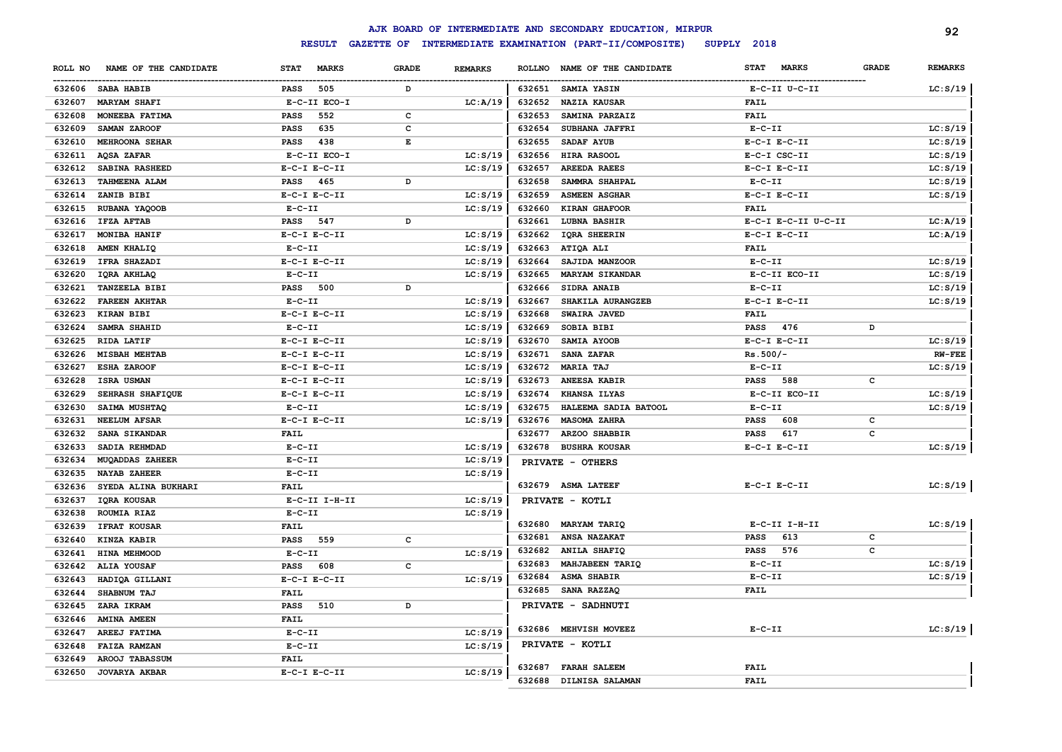|         |                        |                             |                   |                |               | AJK BOARD OF INTERMEDIATE AND SECONDARY EDUCATION, MIRPUR |                             |              | 92             |
|---------|------------------------|-----------------------------|-------------------|----------------|---------------|-----------------------------------------------------------|-----------------------------|--------------|----------------|
|         |                        | <b>RESULT</b>               | <b>GAZETTE OF</b> |                |               | INTERMEDIATE EXAMINATION (PART-II/COMPOSITE)              | SUPPLY 2018                 |              |                |
| ROLL NO | NAME OF THE CANDIDATE  | <b>MARKS</b><br><b>STAT</b> | <b>GRADE</b>      | <b>REMARKS</b> | <b>ROLLNO</b> | NAME OF THE CANDIDATE                                     | <b>MARKS</b><br><b>STAT</b> | <b>GRADE</b> | <b>REMARKS</b> |
| 632606  | <b>SABA HABIB</b>      | 505<br>PASS                 | D                 |                | 632651        | <b>SAMIA YASIN</b>                                        | E-C-II U-C-II               |              | LC: S/19       |
| 632607  | <b>MARYAM SHAFI</b>    | E-C-II ECO-I                |                   | LC:A/19        | 632652        | <b>NAZIA KAUSAR</b>                                       | FAIL                        |              |                |
| 632608  | MONEEBA FATIMA         | 552<br>PASS                 | $\mathbf c$       |                | 632653        | SAMINA PARZAIZ                                            | <b>FAIL</b>                 |              |                |
| 632609  | SAMAN ZAROOF           | 635<br><b>PASS</b>          | c                 |                | 632654        | SUBHANA JAFFRI                                            | $E-C-II$                    |              | LC: S/19       |
| 632610  | <b>MEHROONA SEHAR</b>  | 438<br><b>PASS</b>          | E                 |                | 632655        | SADAF AYUB                                                | $E-C-I$ $E-C-II$            |              | LC: S/19       |
| 632611  | AQSA ZAFAR             | E-C-II ECO-I                |                   | LC: S/19       | 632656        | HIRA RASOOL                                               | E-C-I CSC-II                |              | LC: S/19       |
| 632612  | SABINA RASHEED         | $E-C-I$ $E-C-II$            |                   | LC: S/19       | 632657        | <b>AREEDA RAEES</b>                                       | $E-C-I$ $E-C-II$            |              | LC: S/19       |
| 632613  | TAHMEENA ALAM          | PASS<br>465                 | D                 |                | 632658        | SAMMRA SHAHPAL                                            | $E- C- II$                  |              | LC: S/19       |
| 632614  | ZANIB BIBI             | $E-C-I$ $E-C-II$            |                   | LC: S/19       | 632659        | <b>ASMEEN ASGHAR</b>                                      | $E-C-I$ $E-C-II$            |              | LC: S/19       |
| 632615  | RUBANA YAQOOB          | $E- C- II$                  |                   | LC: S/19       | 632660        | KIRAN GHAFOOR                                             | <b>FAIL</b>                 |              |                |
| 632616  | <b>IFZA AFTAB</b>      | PASS<br>547                 | D                 |                | 632661        | <b>LUBNA BASHIR</b>                                       | E-C-I E-C-II U-C-II         |              | LC: A/19       |
| 632617  | MONIBA HANIF           | $E-C-I$ $E-C-II$            |                   | LC: S/19       | 632662        | <b>IQRA SHEERIN</b>                                       | $E-C-I$ $E-C-II$            |              | LC: A/19       |
| 632618  | AMEN KHALIQ            | $E - C - II$                |                   | LC: S/19       | 632663        | ATIQA ALI                                                 | <b>FAIL</b>                 |              |                |
| 632619  | IFRA SHAZADI           | $E-C-I$ $E-C-II$            |                   | LC: S/19       | 632664        | SAJIDA MANZOOR                                            | $E-C-II$                    |              | LC: S/19       |
| 632620  | IQRA AKHLAQ            | $E-C-II$                    |                   | LC: S/19       | 632665        | <b>MARYAM SIKANDAR</b>                                    | E-C-II ECO-II               |              | LC: S/19       |
| 632621  | <b>TANZEELA BIBI</b>   | 500<br>PASS                 | D                 |                | 632666        | SIDRA ANAIB                                               | $E-C-II$                    |              | LC: S/19       |
| 632622  | <b>FAREEN AKHTAR</b>   | $E- C- II$                  |                   | LC: S/19       | 632667        | SHAKILA AURANGZEB                                         | $E-C-I$ $E-C-II$            |              | LC: S/19       |
| 632623  | <b>KIRAN BIBI</b>      | $E-C-I$ $E-C-II$            |                   | LC: S/19       | 632668        | SWAIRA JAVED                                              | <b>FAIL</b>                 |              |                |
| 632624  | <b>SAMRA SHAHID</b>    | $E-C-II$                    |                   | LC: S/19       | 632669        | <b>SOBIA BIBI</b>                                         | 476<br><b>PASS</b>          | D            |                |
| 632625  | RIDA LATIF             | $E-C-I$ $E-C-II$            |                   | LC: S/19       | 632670        | SAMIA AYOOB                                               | $E-C-I$ $E-C-II$            |              | LC: S/19       |
| 632626  | <b>MISBAH MEHTAB</b>   | $E-C-I$ $E-C-II$            |                   | LC: S/19       | 632671        | SANA ZAFAR                                                | $Rs.500/-$                  |              | <b>RW-FEE</b>  |
| 632627  | ESHA ZAROOF            | $E-C-I$ $E-C-II$            |                   | LC: S/19       | 632672        | <b>MARIA TAJ</b>                                          | $E-C-II$                    |              | LC: S/19       |
| 632628  | ISRA USMAN             | $E-C-I$ $E-C-II$            |                   | LC: S/19       | 632673        | ANEESA KABIR                                              | 588<br><b>PASS</b>          | c            |                |
| 632629  | SEHRASH SHAFIQUE       | $E-C-I$ $E-C-II$            |                   | LC: S/19       | 632674        | KHANSA ILYAS                                              | E-C-II ECO-II               |              | LC: S/19       |
| 632630  | SAIMA MUSHTAQ          | $E- C- II$                  |                   | LC: S/19       | 632675        | HALEEMA SADIA BATOOL                                      | $E-C-II$                    |              | LC: S/19       |
| 632631  | <b>NEELUM AFSAR</b>    | $E-C-I$ $E-C-II$            |                   | LC: S/19       | 632676        | <b>MASOMA ZAHRA</b>                                       | 608<br><b>PASS</b>          | c            |                |
| 632632  | SANA SIKANDAR          | <b>FAIL</b>                 |                   |                | 632677        | ARZOO SHABBIR                                             | 617<br><b>PASS</b>          | c            |                |
| 632633  | SADIA REHMDAD          | $E - C - II$                |                   | LC: S/19       | 632678        | <b>BUSHRA KOUSAR</b>                                      | $E-C-I$ $E-C-II$            |              | LC: S/19       |
| 632634  | <b>MUQADDAS ZAHEER</b> | $E - C - II$                |                   | LC: S/19       |               | PRIVATE - OTHERS                                          |                             |              |                |
| 632635  | <b>NAYAB ZAHEER</b>    | $E - C - II$                |                   | LC: S/19       |               |                                                           |                             |              |                |
| 632636  | SYEDA ALINA BUKHARI    | <b>FAIL</b>                 |                   |                |               | 632679 ASMA LATEEF                                        | $E-C-I$ $E-C-II$            |              | LC: S/19       |
| 632637  | IQRA KOUSAR            | E-C-II I-H-II               |                   | LC: S/19       |               | PRIVATE - KOTLI                                           |                             |              |                |
| 632638  | ROUMIA RIAZ            | $E - C - II$                |                   | LC: S/19       |               |                                                           |                             |              |                |
| 632639  | <b>IFRAT KOUSAR</b>    | <b>FAIL</b>                 |                   |                | 632680        | <b>MARYAM TARIQ</b>                                       | E-C-II I-H-II               |              | LC: S/19       |
| 632640  | KINZA KABIR            | PASS<br>559                 | c                 |                | 632681        | <b>ANSA NAZAKAT</b>                                       | 613<br><b>PASS</b>          | c            |                |
| 632641  | HINA MEHMOOD           | $E - C - II$                |                   | LC: S/19       | 632682        | <b>ANILA SHAFIQ</b>                                       | 576<br>PASS                 | c            |                |
| 632642  | ALIA YOUSAF            | <b>PASS</b><br>608          | c                 |                | 632683        | <b>MAHJABEEN TARIQ</b>                                    | $E- C- II$                  |              | LC: S/19       |
| 632643  | HADIQA GILLANI         | $E-C-I$ $E-C-II$            |                   | LC: S/19       | 632684        | <b>ASMA SHABIR</b>                                        | $E-C-II$                    |              | LC: S/19       |
| 632644  | SHABNUM TAJ            | FAIL                        |                   |                | 632685        | SANA RAZZAQ                                               | <b>FAIL</b>                 |              |                |
| 632645  | ZARA IKRAM             | <b>PASS</b><br>510          | D                 |                |               | PRIVATE - SADHNUTI                                        |                             |              |                |
| 632646  | <b>AMINA AMEEN</b>     | <b>FAIL</b>                 |                   |                |               |                                                           |                             |              |                |
| 632647  | AREEJ FATIMA           | $E - C - II$                |                   | LC: S/19       |               | 632686 MEHVISH MOVEEZ                                     | $E-C-II$                    |              | LC: S/19       |
| 632648  | <b>FAIZA RAMZAN</b>    | $E - C - II$                |                   | LC: S/19       |               | PRIVATE - KOTLI                                           |                             |              |                |
| 632649  | AROOJ TABASSUM         | <b>FAIL</b>                 |                   |                |               |                                                           |                             |              |                |
| 632650  | <b>JOVARYA AKBAR</b>   | $E-C-I$ $E-C-II$            |                   | LC: S/19       | 632687        | <b>FARAH SALEEM</b>                                       | <b>FAIL</b>                 |              |                |
|         |                        |                             |                   |                | 632688        | DILNISA SALAMAN                                           | <b>FAIL</b>                 |              |                |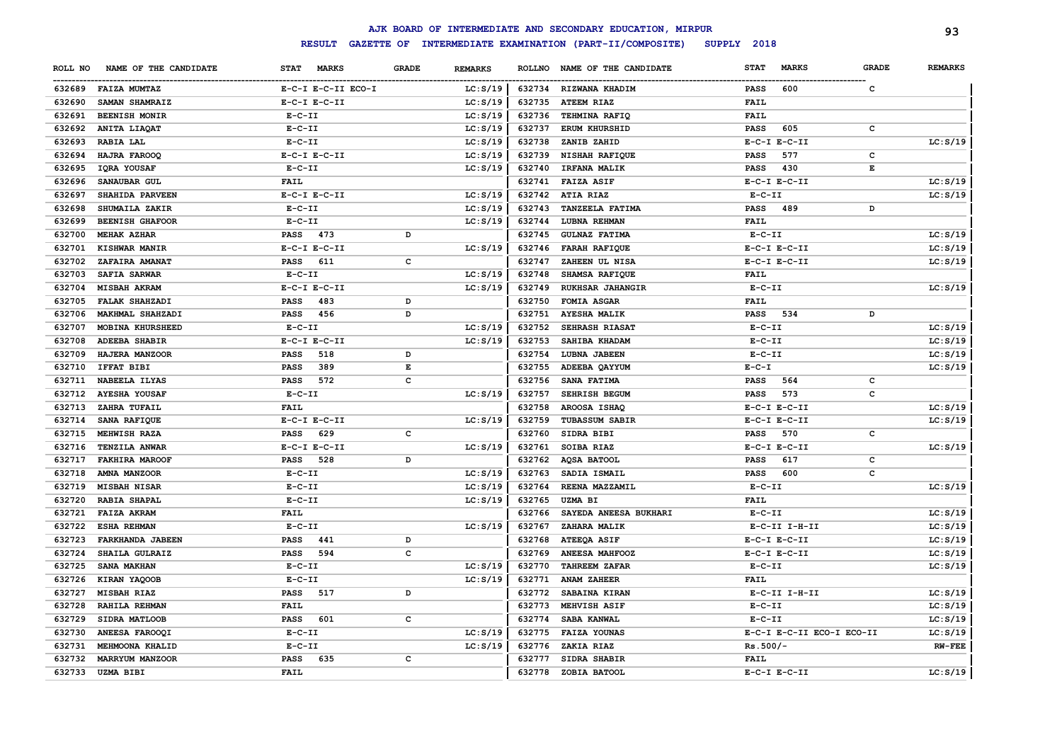|         |                        |                             |              |                |               | AJK BOARD OF INTERMEDIATE AND SECONDARY EDUCATION, MIRPUR |                    |                              | 93             |
|---------|------------------------|-----------------------------|--------------|----------------|---------------|-----------------------------------------------------------|--------------------|------------------------------|----------------|
|         |                        | <b>RESULT</b>               |              |                |               | GAZETTE OF INTERMEDIATE EXAMINATION (PART-II/COMPOSITE)   | SUPPLY 2018        |                              |                |
| ROLL NO | NAME OF THE CANDIDATE  | <b>MARKS</b><br><b>STAT</b> | <b>GRADE</b> | <b>REMARKS</b> | <b>ROLLNO</b> | NAME OF THE CANDIDATE                                     | <b>STAT</b>        | <b>MARKS</b><br><b>GRADE</b> | <b>REMARKS</b> |
| 632689  | <b>FAIZA MUMTAZ</b>    | E-C-I E-C-II ECO-I          |              | LC: S/19       |               | 632734 RIZWANA KHADIM                                     | <b>PASS</b><br>600 | с                            |                |
| 632690  | SAMAN SHAMRAIZ         | $E-C-I$ $E-C-II$            |              | LC: S/19       | 632735        | <b>ATEEM RIAZ</b>                                         | FAIL               |                              |                |
| 632691  | <b>BEENISH MONIR</b>   | $E - C - II$                |              | LC: S/19       | 632736        | TEHMINA RAFIQ                                             | FAIL               |                              |                |
| 632692  | ANITA LIAQAT           | $E-C-II$                    |              | LC: S/19       | 632737        | <b>ERUM KHURSHID</b>                                      | 605<br><b>PASS</b> | с                            |                |
| 632693  | RABIA LAL              | $E- C- II$                  |              | LC: S/19       | 632738        | ZANIB ZAHID                                               | $E-C-I$ $E-C-II$   |                              | LC: S/19       |
| 632694  | HAJRA FAROOQ           | $E-C-I$ $E-C-II$            |              | LC: S/19       | 632739        | NISHAH RAFIQUE                                            | 577<br><b>PASS</b> | c                            |                |
| 632695  | IQRA YOUSAF            | $E- C- II$                  |              | LC: S/19       | 632740        | <b>IRFANA MALIK</b>                                       | 430<br><b>PASS</b> | Е                            |                |
| 632696  | SANAUBAR GUL           | FAIL                        |              |                | 632741        | <b>FAIZA ASIF</b>                                         | $E-C-I$ $E-C-II$   |                              | LC: S/19       |
| 632697  | SHAHIDA PARVEEN        | $E-C-I$ $E-C-II$            |              | LC: S/19       | 632742        | <b>ATIA RIAZ</b>                                          | $E-C-II$           |                              | LC: S/19       |
| 632698  | SHUMAILA ZAKIR         | $E - C - II$                |              | LC: S/19       | 632743        | <b>TANZEELA FATIMA</b>                                    | 489<br><b>PASS</b> | D                            |                |
| 632699  | <b>BEENISH GHAFOOR</b> | $E-C-II$                    |              | LC: S/19       | 632744        | <b>LUBNA REHMAN</b>                                       | FAIL               |                              |                |
| 632700  | MEHAK AZHAR            | 473<br><b>PASS</b>          | D            |                | 632745        | <b>GULNAZ FATIMA</b>                                      | $E- C- II$         |                              | LC: S/19       |
| 632701  | KISHWAR MANIR          | $E-C-I$ $E-C-II$            |              | LC: S/19       | 632746        | <b>FARAH RAFIQUE</b>                                      | $E-C-I$ $E-C-II$   |                              | LC: S/19       |
| 632702  | ZAFAIRA AMANAT         | <b>PASS</b><br>611          | $\mathbf c$  |                | 632747        | ZAHEEN UL NISA                                            | $E-C-I$ $E-C-II$   |                              | LC: S/19       |
| 632703  | <b>SAFIA SARWAR</b>    | $E-C-II$                    |              | LC: S/19       | 632748        | <b>SHAMSA RAFIQUE</b>                                     | FAIL               |                              |                |
| 632704  | <b>MISBAH AKRAM</b>    | $E-C-I$ $E-C-II$            |              | LC: S/19       | 632749        | <b>RUKHSAR JAHANGIR</b>                                   | $E- C- II$         |                              | LC: S/19       |
| 632705  | <b>FALAK SHAHZADI</b>  | <b>PASS</b><br>483          | D            |                | 632750        | FOMIA ASGAR                                               | <b>FAIL</b>        |                              |                |
| 632706  | MAKHMAL SHAHZADI       | <b>PASS</b><br>456          | D            |                | 632751        | <b>AYESHA MALIK</b>                                       | <b>PASS</b><br>534 | D                            |                |
| 632707  | MOBINA KHURSHEED       | $E-C-II$                    |              | LC: S/19       | 632752        | <b>SEHRASH RIASAT</b>                                     | $E- C- II$         |                              | LC: S/19       |
| 632708  | <b>ADEEBA SHABIR</b>   | $E-C-I$ $E-C-II$            |              | LC: S/19       | 632753        | SAHIBA KHADAM                                             | $E-C-II$           |                              | LC: S/19       |
| 632709  | HAJERA MANZOOR         | 518<br><b>PASS</b>          | D            |                | 632754        | LUBNA JABEEN                                              | $E-C-II$           |                              | LC: S/19       |
| 632710  | IFFAT BIBI             | 389<br><b>PASS</b>          | E            |                | 632755        | ADEEBA QAYYUM                                             | $E - C - I$        |                              | LC: S/19       |
| 632711  | NABEELA ILYAS          | 572<br><b>PASS</b>          | $\mathbf c$  |                | 632756        | SANA FATIMA                                               | <b>PASS</b><br>564 | c                            |                |
| 632712  | <b>AYESHA YOUSAF</b>   | $E-C-II$                    |              | LC: S/19       | 632757        | <b>SEHRISH BEGUM</b>                                      | 573<br><b>PASS</b> | c                            |                |
| 632713  | ZAHRA TUFAIL           | FAIL                        |              |                | 632758        | AROOSA ISHAQ                                              | $E-C-I$ $E-C-II$   |                              | LC: S/19       |
| 632714  | <b>SANA RAFIQUE</b>    | $E-C-I$ $E-C-II$            |              | LC: S/19       | 632759        | <b>TUBASSUM SABIR</b>                                     | $E-C-I$ $E-C-II$   |                              | LC: S/19       |
| 632715  | MEHWISH RAZA           | 629<br><b>PASS</b>          | c            |                | 632760        | SIDRA BIBI                                                | 570<br><b>PASS</b> | с                            |                |
| 632716  | TENZILA ANWAR          | $E-C-I$ $E-C-II$            |              | LC: S/19       | 632761        | SOIBA RIAZ                                                | $E-C-I$ $E-C-II$   |                              | LC: S/19       |
| 632717  | <b>FAKHIRA MAROOF</b>  | <b>PASS</b><br>528          | D            |                | 632762        | <b>AQSA BATOOL</b>                                        | <b>PASS</b><br>617 | c                            |                |
| 632718  | AMNA MANZOOR           | $E-C-II$                    |              | LC: S/19       | 632763        | SADIA ISMAIL                                              | <b>PASS</b><br>600 | c                            |                |
| 632719  | <b>MISBAH NISAR</b>    | $E-C-II$                    |              | LC: S/19       | 632764        | REENA MAZZAMIL                                            | $E-C-II$           |                              | LC: S/19       |
| 632720  | <b>RABIA SHAPAL</b>    | $E-C-II$                    |              | LC: S/19       | 632765        | UZMA BI                                                   | FAIL               |                              |                |
| 632721  | <b>FAIZA AKRAM</b>     | FAIL                        |              |                | 632766        | SAYEDA ANEESA BUKHARI                                     | $E- C- II$         |                              | LC: S/19       |
| 632722  | <b>ESHA REHMAN</b>     | $E-C-II$                    |              | LC: S/19       | 632767        | ZAHARA MALIK                                              | E-C-II I-H-II      |                              | LC: S/19       |
| 632723  | FARKHANDA JABEEN       | <b>PASS</b><br>441          | D            |                | 632768        | <b>ATEEQA ASIF</b>                                        | $E-C-I$ $E-C-II$   |                              | LC: S/19       |
| 632724  | SHAILA GULRAIZ         | <b>PASS</b><br>594          | C            |                | 632769        | <b>ANEESA MAHFOOZ</b>                                     | $E-C-I$ $E-C-II$   |                              | LC: S/19       |
| 632725  | SANA MAKHAN            | $E-C-II$                    |              | LC: S/19       | 632770        | <b>TAHREEM ZAFAR</b>                                      | $E-C-II$           |                              | LC: S/19       |
| 632726  | KIRAN YAQOOB           | $E-C-II$                    |              | LC: S/19       | 632771        | <b>ANAM ZAHEER</b>                                        | FAIL               |                              |                |
| 632727  | MISBAH RIAZ            | <b>PASS</b><br>517          | D            |                | 632772        | SABAINA KIRAN                                             | $E-C-II$ I-H-II    |                              | LC: S/19       |
| 632728  | RAHILA REHMAN          | <b>FAIL</b>                 |              |                | 632773        | MEHVISH ASIF                                              | $E-C-II$           |                              | LC: S/19       |
| 632729  | SIDRA MATLOOB          | <b>PASS</b><br>601          | c            |                | 632774        | SABA KANWAL                                               | $E-C-II$           |                              | LC: S/19       |
| 632730  | ANEESA FAROOQI         | $E-C-II$                    |              | LC: S/19       | 632775        | <b>FAIZA YOUNAS</b>                                       |                    | E-C-I E-C-II ECO-I ECO-II    | LC: S/19       |
| 632731  | MEHMOONA KHALID        | $E-C-II$                    |              | LC: S/19       | 632776        | ZAKIA RIAZ                                                | $Rs.500/-$         |                              | <b>RW-FEE</b>  |
| 632732  | <b>MARRYUM MANZOOR</b> | <b>PASS</b><br>635          | $\mathbf{C}$ |                | 632777        | SIDRA SHABIR                                              | FAIL               |                              |                |
|         | 632733  UZMA  BIBI     | FAIL                        |              |                | 632778        | ZOBIA BATOOL                                              | $E-C-I$ $E-C-II$   |                              | LC: S/19       |
|         |                        |                             |              |                |               |                                                           |                    |                              |                |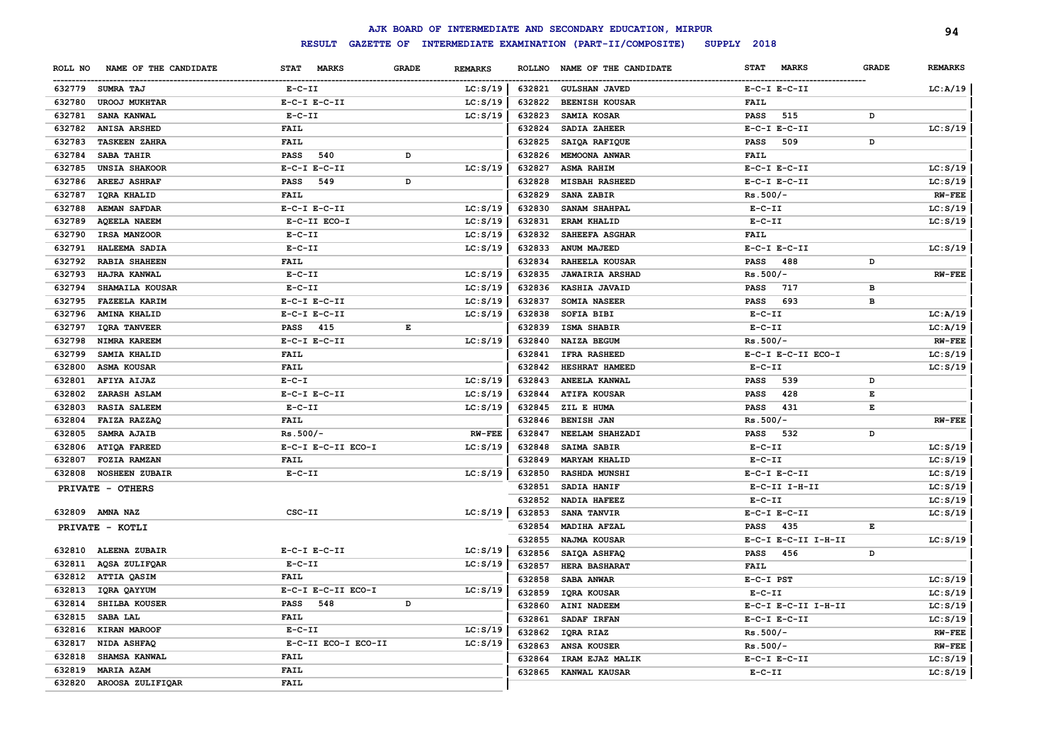|         |                         |                     |       |                |        | AJK BOARD OF INTERMEDIATE AND SECONDARY EDUCATION, MIRPUR |                             |              | 94             |
|---------|-------------------------|---------------------|-------|----------------|--------|-----------------------------------------------------------|-----------------------------|--------------|----------------|
|         |                         | <b>RESULT</b>       |       |                |        | GAZETTE OF INTERMEDIATE EXAMINATION (PART-II/COMPOSITE)   | SUPPLY 2018                 |              |                |
| ROLL NO | NAME OF THE CANDIDATE   | STAT MARKS          | GRADE | <b>REMARKS</b> |        | ROLLNO NAME OF THE CANDIDATE                              | <b>STAT</b><br><b>MARKS</b> | <b>GRADE</b> | <b>REMARKS</b> |
|         | 632779 SUMRA TAJ        | $E- C- II$          |       | LC: S/19       | 632821 | <b>GULSHAN JAVED</b>                                      | $E-C-I$ $E-C-II$            |              | LC: A/19       |
| 632780  | <b>UROOJ MUKHTAR</b>    | $E-C-I$ $E-C-II$    |       | LC: S/19       | 632822 | <b>BEENISH KOUSAR</b>                                     | <b>FAIL</b>                 |              |                |
| 632781  | <b>SANA KANWAL</b>      | $E- C- II$          |       | LC: S/19       | 632823 | SAMIA KOSAR                                               | 515<br>PASS                 | D            |                |
| 632782  | <b>ANISA ARSHED</b>     | FAIL                |       |                | 632824 | SADIA ZAHEER                                              | $E-C-I$ $E-C-II$            |              | LC: S/19       |
| 632783  | <b>TASKEEN ZAHRA</b>    | FAIL                |       |                | 632825 | SAIQA RAFIQUE                                             | 509<br>PASS                 | D            |                |
| 632784  | <b>SABA TAHIR</b>       | PASS<br>540         | D     |                | 632826 | MEMOONA ANWAR                                             | FAIL                        |              |                |
| 632785  | <b>UNSIA SHAKOOR</b>    | $E-C-I$ $E-C-II$    |       | LC: S/19       | 632827 | <b>ASMA RAHIM</b>                                         | $E-C-I$ $E-C-II$            |              | LC: S/19       |
| 632786  | <b>AREEJ ASHRAF</b>     | <b>PASS</b><br>549  | D     |                | 632828 | <b>MISBAH RASHEED</b>                                     | $E-C-I$ $E-C-II$            |              | LC: S/19       |
| 632787  | <b>IORA KHALID</b>      | FAIL                |       |                | 632829 | SANA ZABIR                                                | $Rs.500/-$                  |              | <b>RW-FEE</b>  |
| 632788  | <b>AEMAN SAFDAR</b>     | $E-C-I$ $E-C-II$    |       | LC: S/19       | 632830 | SANAM SHAHPAL                                             | $E- C- II$                  |              | LC: S/19       |
| 632789  | <b>AQEELA NAEEM</b>     | E-C-II ECO-I        |       | LC: S/19       | 632831 | <b>ERAM KHALID</b>                                        | $E- C- II$                  |              | LC: S/19       |
| 632790  | IRSA MANZOOR            | $E- C- II$          |       | LC: S/19       | 632832 | SAHEEFA ASGHAR                                            | <b>FAIL</b>                 |              |                |
| 632791  | HALEEMA SADIA           | $E- C- II$          |       | LC: S/19       | 632833 | <b>ANUM MAJEED</b>                                        | $E-C-I$ $E-C-II$            |              | LC: S/19       |
| 632792  | <b>RABIA SHAHEEN</b>    | FAIL                |       |                | 632834 | RAHEELA KOUSAR                                            | 488<br>PASS                 | D            |                |
| 632793  | <b>HAJRA KANWAL</b>     | $E- C- II$          |       | LC: S/19       | 632835 | <b>JAWAIRIA ARSHAD</b>                                    | $Rs.500/-$                  |              | <b>RW-FEE</b>  |
| 632794  | SHAMAILA KOUSAR         | $E- C- II$          |       | LC: S/19       | 632836 | KASHIA JAVAID                                             | <b>PASS</b><br>717          | в            |                |
| 632795  | <b>FAZEELA KARIM</b>    | $E-C-I$ $E-C-II$    |       | LC: S/19       | 632837 | SOMIA NASEER                                              | PASS<br>693                 | в            |                |
| 632796  | <b>AMINA KHALID</b>     | $E-C-I$ $E-C-II$    |       | LC: S/19       | 632838 | SOFIA BIBI                                                | $E - C - II$                |              | LC: A/19       |
| 632797  | <b>IQRA TANVEER</b>     | PASS 415            | E     |                | 632839 | ISMA SHABIR                                               | $E-C-II$                    |              | LC: A/19       |
| 632798  | NIMRA KAREEM            | $E-C-I$ $E-C-II$    |       | LC: S/19       | 632840 | NAIZA BEGUM                                               | $Rs.500/-$                  |              | <b>RW-FEE</b>  |
| 632799  | <b>SAMIA KHALID</b>     | <b>FAIL</b>         |       |                | 632841 | <b>IFRA RASHEED</b>                                       | E-C-I E-C-II ECO-I          |              | LC: S/19       |
| 632800  | ASMA KOUSAR             | <b>FAIL</b>         |       |                | 632842 | HESHRAT HAMEED                                            | $E- C- II$                  |              | LC: S/19       |
| 632801  | AFIYA AIJAZ             | $E - C - I$         |       | LC: S/19       | 632843 | ANEELA KANWAL                                             | 539<br>PASS                 | D            |                |
| 632802  | ZARASH ASLAM            | $E-C-I$ $E-C-II$    |       | LC: S/19       | 632844 | <b>ATIFA KOUSAR</b>                                       | <b>PASS</b><br>428          | Е            |                |
| 632803  | <b>RASIA SALEEM</b>     | $E- C- II$          |       | LC: S/19       | 632845 | ZIL E HUMA                                                | PASS<br>431                 | Е            |                |
| 632804  | FAIZA RAZZAQ            | FAIL                |       |                | 632846 | <b>BENISH JAN</b>                                         | $Rs.500/-$                  |              | <b>RW-FEE</b>  |
| 632805  | <b>SAMRA AJAIB</b>      | $Rs.500/-$          |       | <b>RW-FEE</b>  | 632847 | NEELAM SHAHZADI                                           | <b>PASS</b><br>532          | D            |                |
| 632806  | ATIQA FAREED            | E-C-I E-C-II ECO-I  |       | LC: S/19       | 632848 | SAIMA SABIR                                               | $E-C-II$                    |              | LC: S/19       |
| 632807  | <b>FOZIA RAMZAN</b>     | FAIL                |       |                | 632849 | <b>MARYAM KHALID</b>                                      | $E-C-II$                    |              | LC: S/19       |
| 632808  | <b>NOSHEEN ZUBAIR</b>   | $E - C - II$        |       | LC: S/19       | 632850 | <b>RASHDA MUNSHI</b>                                      | $E-C-I$ $E-C-II$            |              | LC: S/19       |
|         | PRIVATE - OTHERS        |                     |       |                | 632851 | SADIA HANIF                                               | E-C-II I-H-II               |              | LC: S/19       |
|         |                         |                     |       |                | 632852 | <b>NADIA HAFEEZ</b>                                       | $E-C-II$                    |              | LC: S/19       |
|         | 632809 AMNA NAZ         | CSC-II              |       | LC: S/19       | 632853 | <b>SANA TANVIR</b>                                        | $E-C-I$ $E-C-II$            |              | LC: S/19       |
|         | PRIVATE - KOTLI         |                     |       |                | 632854 | <b>MADIHA AFZAL</b>                                       | PASS<br>435                 | Е            |                |
|         |                         |                     |       |                | 632855 | NAJMA KOUSAR                                              | E-C-I E-C-II I-H-II         |              | LC: S/19       |
|         | 632810 ALEENA ZUBAIR    | $E-C-I$ $E-C-II$    |       | LC: S/19       | 632856 | SAIQA ASHFAQ                                              | PASS<br>456                 | D            |                |
| 632811  | AQSA ZULIFQAR           | $E- C- II$          |       | LC: S/19       | 632857 | <b>HERA BASHARAT</b>                                      | <b>FAIL</b>                 |              |                |
|         | 632812 ATTIA QASIM      | FAIL                |       |                |        | 632858 SABA ANWAR                                         | $E-C-I$ PST                 |              | LC: S/19       |
|         | 632813 IQRA QAYYUM      | E-C-I E-C-II ECO-I  |       | LC: S/19       |        | 632859 IQRA KOUSAR                                        | $E - C - II$                |              | LC: S/19       |
|         | 632814 SHILBA KOUSER    | <b>PASS</b> 548     | D     |                |        | 632860 AINI NADEEM                                        | E-C-I E-C-II I-H-II         |              | LC: S/19       |
|         | 632815 SABA LAL         | <b>FAIL</b>         |       |                |        | 632861 SADAF IRFAN                                        | $E-C-I$ $E-C-II$            |              | LC: S/19       |
|         | 632816 KIRAN MAROOF     | $E- C- II$          |       | LC: S/19       |        | 632862 IQRA RIAZ                                          | $Rs.500/-$                  |              | $RW-FEE$       |
|         | 632817 NIDA ASHFAQ      | E-C-II ECO-I ECO-II |       | LC: S/19       |        | 632863 ANSA KOUSER                                        | Rs.500/-                    |              | $RW-FEE$       |
|         | 632818 SHAMSA KANWAL    | <b>FAIL</b>         |       |                |        | 632864 IRAM EJAZ MALIK                                    | $E-C-I$ $E-C-II$            |              | LC: S/19       |
|         | 632819 MARIA AZAM       | FAIL                |       |                |        | 632865 KANWAL KAUSAR                                      | $E-C-II$                    |              | LC: S/19       |
|         | 632820 AROOSA ZULIFIQAR | FAIL                |       |                |        |                                                           |                             |              |                |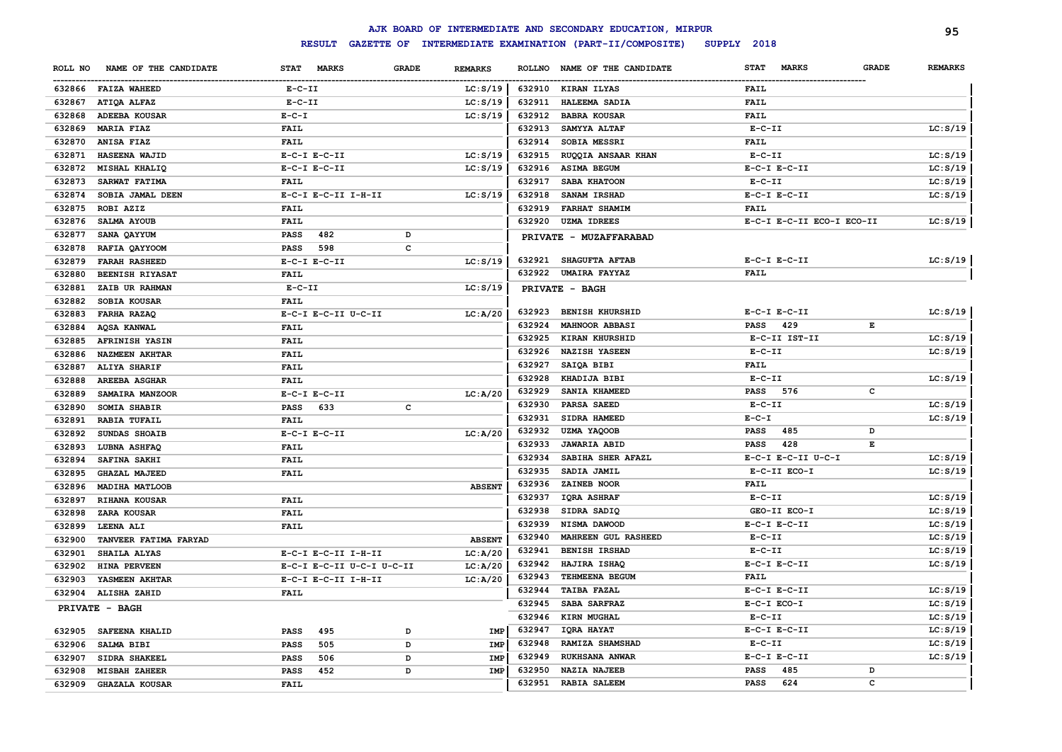|         |                       |                           |       |                |        | AJK BOARD OF INTERMEDIATE AND SECONDARY EDUCATION, MIRPUR |                             |              | 95             |
|---------|-----------------------|---------------------------|-------|----------------|--------|-----------------------------------------------------------|-----------------------------|--------------|----------------|
|         |                       | <b>RESULT</b>             |       |                |        | GAZETTE OF INTERMEDIATE EXAMINATION (PART-II/COMPOSITE)   | SUPPLY 2018                 |              |                |
| ROLL NO | NAME OF THE CANDIDATE | STAT MARKS                | GRADE | <b>REMARKS</b> |        | ROLLNO NAME OF THE CANDIDATE                              | <b>STAT</b><br><b>MARKS</b> | <b>GRADE</b> | <b>REMARKS</b> |
|         | 632866 FAIZA WAHEED   | $E- C- II$                |       | LC: S/19       |        | 632910 KIRAN ILYAS                                        | FAIL                        |              |                |
| 632867  | <b>ATIQA ALFAZ</b>    | $E- C- II$                |       | LC: S/19       | 632911 | <b>HALEEMA SADIA</b>                                      | <b>FAIL</b>                 |              |                |
| 632868  | <b>ADEEBA KOUSAR</b>  | $E - C - I$               |       | LC: S/19       | 632912 | <b>BABRA KOUSAR</b>                                       | FAIL                        |              |                |
| 632869  | <b>MARIA FIAZ</b>     | FAIL                      |       |                | 632913 | SAMYYA ALTAF                                              | $E- C- II$                  |              | LC: S/19       |
| 632870  | <b>ANISA FIAZ</b>     | FAIL                      |       |                | 632914 | <b>SOBIA MESSRI</b>                                       | FAIL                        |              |                |
| 632871  | <b>HASEENA WAJID</b>  | $E-C-I$ $E-C-II$          |       | LC: S/19       | 632915 | RUQQIA ANSAAR KHAN                                        | $E-C-II$                    |              | LC: S/19       |
| 632872  | MISHAL KHALIQ         | $E-C-I$ $E-C-II$          |       | LC: S/19       | 632916 | <b>ASIMA BEGUM</b>                                        | $E-C-I$ $E-C-II$            |              | LC: S/19       |
| 632873  | SARWAT FATIMA         | FAIL                      |       |                | 632917 | <b>SABA KHATOON</b>                                       | $E- C- II$                  |              | LC: S/19       |
| 632874  | SOBIA JAMAL DEEN      | E-C-I E-C-II I-H-II       |       | LC: S/19       | 632918 | <b>SANAM IRSHAD</b>                                       | $E-C-I$ $E-C-II$            |              | LC: S/19       |
| 632875  | ROBI AZIZ             | FAIL                      |       |                | 632919 | <b>FARHAT SHAMIM</b>                                      | <b>FAIL</b>                 |              |                |
| 632876  | SALMA AYOUB           | FAIL                      |       |                | 632920 | <b>UZMA IDREES</b>                                        | E-C-I E-C-II ECO-I ECO-II   |              | LC: S/19       |
| 632877  | SANA QAYYUM           | PASS<br>482               | D     |                |        | PRIVATE - MUZAFFARABAD                                    |                             |              |                |
| 632878  | RAFIA QAYYOOM         | 598<br>PASS               | c     |                |        |                                                           |                             |              |                |
| 632879  | <b>FARAH RASHEED</b>  | $E-C-I$ $E-C-II$          |       | LC: S/19       | 632921 | <b>SHAGUFTA AFTAB</b>                                     | $E-C-I$ $E-C-II$            |              | LC: S/19       |
| 632880  | BEENISH RIYASAT       | FAIL                      |       |                | 632922 | UMAIRA FAYYAZ                                             | FAIL                        |              |                |
| 632881  | <b>ZAIB UR RAHMAN</b> | $E- C- II$                |       | LC: S/19       |        | PRIVATE - BAGH                                            |                             |              |                |
| 632882  | <b>SOBIA KOUSAR</b>   | FAIL                      |       |                |        |                                                           |                             |              |                |
| 632883  | FARHA RAZAQ           | E-C-I E-C-II U-C-II       |       | LC: A/20       | 632923 | <b>BENISH KHURSHID</b>                                    | $E-C-I$ $E-C-II$            |              | LC: S/19       |
| 632884  | AQSA KANWAL           | FAIL                      |       |                | 632924 | <b>MAHNOOR ABBASI</b>                                     | 429<br>PASS                 | Е            |                |
| 632885  | <b>AFRINISH YASIN</b> | <b>FAIL</b>               |       |                | 632925 | <b>KIRAN KHURSHID</b>                                     | E-C-II IST-II               |              | LC: S/19       |
| 632886  | <b>NAZMEEN AKHTAR</b> | <b>FAIL</b>               |       |                | 632926 | <b>NAZISH YASEEN</b>                                      | $E - C - II$                |              | LC: S/19       |
| 632887  | <b>ALIYA SHARIF</b>   | <b>FAIL</b>               |       |                | 632927 | SAIQA BIBI                                                | FAIL                        |              |                |
| 632888  | <b>AREEBA ASGHAR</b>  | FAIL                      |       |                | 632928 | KHADIJA BIBI                                              | $E - C - II$                |              | LC: S/19       |
| 632889  | SAMAIRA MANZOOR       | $E-C-I$ $E-C-II$          |       | LC: A/20       | 632929 | SANIA KHAMEED                                             | 576<br>PASS                 | с            |                |
| 632890  | SOMIA SHABIR          | PASS<br>633               | c     |                | 632930 | PARSA SAEED                                               | $E - C - II$                |              | LC: S/19       |
| 632891  | <b>RABIA TUFAIL</b>   | FAIL                      |       |                | 632931 | SIDRA HAMEED                                              | $E - C - I$                 |              | LC: S/19       |
| 632892  | SUNDAS SHOAIB         | $E-C-I$ $E-C-II$          |       | LC: A/20       | 632932 | UZMA YAQOOB                                               | 485<br>PASS                 | D            |                |
| 632893  | LUBNA ASHFAQ          | FAIL                      |       |                | 632933 | <b>JAWARIA ABID</b>                                       | 428<br>PASS                 | Е            |                |
| 632894  | <b>SAFINA SAKHI</b>   | FAIL                      |       |                | 632934 | SABIHA SHER AFAZL                                         | E-C-I E-C-II U-C-I          |              | LC: S/19       |
| 632895  | <b>GHAZAL MAJEED</b>  | FAIL                      |       |                | 632935 | SADIA JAMIL                                               | E-C-II ECO-I                |              | LC: S/19       |
| 632896  | <b>MADIHA MATLOOB</b> |                           |       | <b>ABSENT</b>  | 632936 | ZAINEB NOOR                                               | FAIL                        |              |                |
| 632897  | RIHANA KOUSAR         | FAIL                      |       |                | 632937 | IQRA ASHRAF                                               | $E- C- II$                  |              | LC: S/19       |
| 632898  | ZARA KOUSAR           | FAIL                      |       |                | 632938 | SIDRA SADIQ                                               | GEO-II ECO-I                |              | LC: S/19       |
| 632899  | LEENA ALI             | FAIL                      |       |                | 632939 | NISMA DAWOOD                                              | $E-C-I$ $E-C-II$            |              | LC: S/19       |
| 632900  | TANVEER FATIMA FARYAD |                           |       | <b>ABSENT</b>  | 632940 | <b>MAHREEN GUL RASHEED</b>                                | $E- C- II$                  |              | LC: S/19       |
| 632901  | <b>SHAILA ALYAS</b>   | E-C-I E-C-II I-H-II       |       | LC: A/20       | 632941 | <b>BENISH IRSHAD</b>                                      | $E- C- II$                  |              | LC: S/19       |
| 632902  | HINA PERVEEN          | E-C-I E-C-II U-C-I U-C-II |       | LC: A/20       | 632942 | HAJIRA ISHAQ                                              | $E-C-I$ $E-C-II$            |              | LC: S/19       |
|         | 632903 YASMEEN AKHTAR | E-C-I E-C-II I-H-II       |       | LC: A/20       | 632943 | TEHMEENA BEGUM                                            | FAIL                        |              |                |
|         | 632904 ALISHA ZAHID   | FAIL                      |       |                | 632944 | <b>TAIBA FAZAL</b>                                        | $E-C-I$ $E-C-II$            |              | LC: S/19       |
|         | PRIVATE - BAGH        |                           |       |                |        | 632945 SABA SARFRAZ                                       | $E-C-I$ $ECO-I$             |              | LC: S/19       |
|         |                       |                           |       |                |        | 632946 KIRN MUGHAL                                        | $E-C-II$                    |              | LC: S/19       |
|         | 632905 SAFEENA KHALID | <b>PASS</b><br>495        | D     | IMP            | 632947 | IQRA HAYAT                                                | $E-C-I$ $E-C-II$            |              | LC: S/19       |
|         | 632906 SALMA BIBI     | <b>PASS</b><br>505        | D     | IMP            | 632948 | RAMIZA SHAMSHAD                                           | $E-C-II$                    |              | LC: S/19       |
|         | 632907 SIDRA SHAKEEL  | <b>PASS</b><br>506        | D     | IMP            | 632949 | <b>RUKHSANA ANWAR</b>                                     | $E-C-I$ $E-C-II$            |              | LC: S/19       |
| 632908  | <b>MISBAH ZAHEER</b>  | PASS<br>452               | D     | IMP            | 632950 | <b>NAZIA NAJEEB</b>                                       | 485<br><b>PASS</b>          | D            |                |
|         | 632909 GHAZALA KOUSAR | <b>FAIL</b>               |       |                | 632951 | <b>RABIA SALEEM</b>                                       | 624<br><b>PASS</b>          | $\mathbf c$  |                |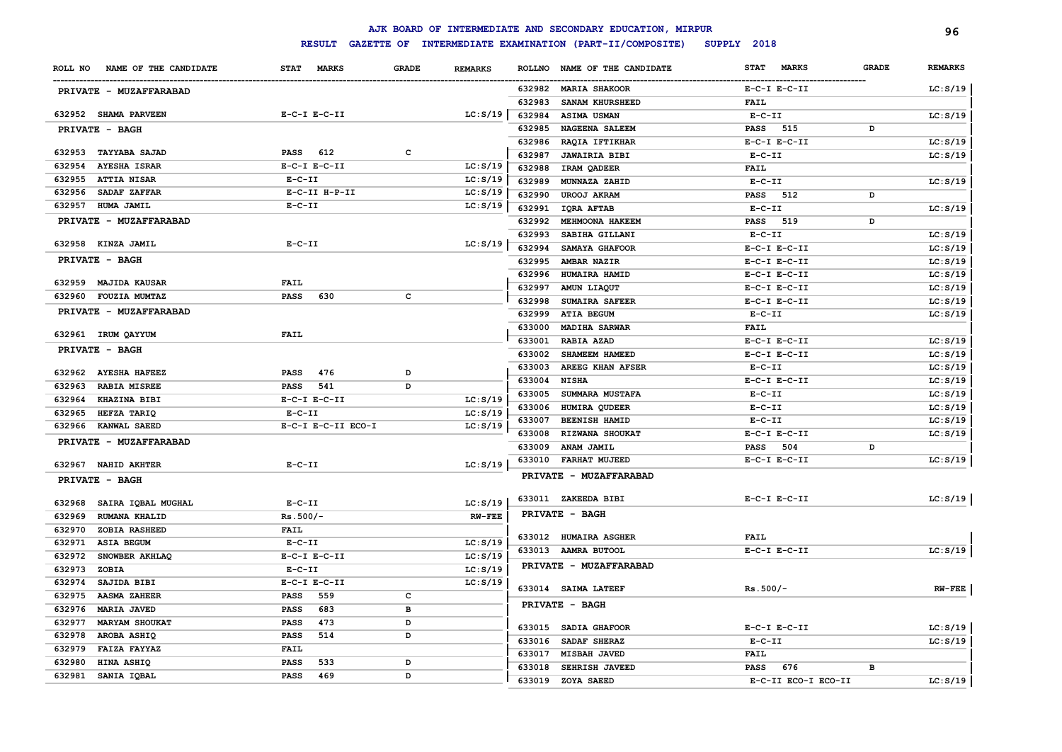|         |                        |              |                    |              |                |               | AJK BOARD OF INTERMEDIATE AND SECONDARY EDUCATION, MIRPUR |                  |                     |              | 96             |
|---------|------------------------|--------------|--------------------|--------------|----------------|---------------|-----------------------------------------------------------|------------------|---------------------|--------------|----------------|
|         |                        |              | <b>RESULT</b>      |              |                |               | GAZETTE OF INTERMEDIATE EXAMINATION (PART-II/COMPOSITE)   | SUPPLY 2018      |                     |              |                |
| ROLL NO | NAME OF THE CANDIDATE  | <b>STAT</b>  | <b>MARKS</b>       | <b>GRADE</b> | <b>REMARKS</b> | <b>ROLLNO</b> | NAME OF THE CANDIDATE                                     | <b>STAT</b>      | <b>MARKS</b>        | <b>GRADE</b> | <b>REMARKS</b> |
|         | PRIVATE - MUZAFFARABAD |              |                    |              |                |               | 632982 MARIA SHAKOOR                                      | $E-C-I$ $E-C-II$ |                     |              | LC: S/19       |
|         |                        |              |                    |              |                | 632983        | SANAM KHURSHEED                                           | <b>FAIL</b>      |                     |              |                |
|         | 632952 SHAMA PARVEEN   |              | $E-C-I$ $E-C-II$   |              | LC: S/19       | 632984        | ASIMA USMAN                                               | $E-C-II$         |                     |              | LC: S/19       |
|         | <b>PRIVATE - BAGH</b>  |              |                    |              |                | 632985        | <b>NAGEENA SALEEM</b>                                     | <b>PASS</b>      | 515                 | D            |                |
|         |                        |              |                    |              |                | 632986        | RAQIA IFTIKHAR                                            | $E-C-I$ $E-C-II$ |                     |              | LC: S/19       |
|         | 632953 TAYYABA SAJAD   | <b>PASS</b>  | 612                | c            |                | 632987        | <b>JAWAIRIA BIBI</b>                                      | $E-C-II$         |                     |              | LC: S/19       |
| 632954  | <b>AYESHA ISRAR</b>    |              | $E-C-I$ $E-C-II$   |              | LC: S/19       | 632988        | IRAM QADEER                                               | <b>FAIL</b>      |                     |              |                |
| 632955  | <b>ATTIA NISAR</b>     | $E - C - II$ |                    |              | LC: S/19       | 632989        | MUNNAZA ZAHID                                             | $E-C-II$         |                     |              | LC: S/19       |
| 632956  | SADAF ZAFFAR           |              | E-C-II H-P-II      |              | LC: S/19       | 632990        | <b>UROOJ AKRAM</b>                                        | <b>PASS</b>      | 512                 | D            |                |
| 632957  | HUMA JAMIL             | $E - C - II$ |                    |              | LC: S/19       | 632991        | <b>IQRA AFTAB</b>                                         | $E-C-II$         |                     |              | LC: S/19       |
|         | PRIVATE - MUZAFFARABAD |              |                    |              |                | 632992        | MEHMOONA HAKEEM                                           | <b>PASS</b>      | 519                 | D            |                |
|         |                        |              |                    |              |                | 632993        | SABIHA GILLANI                                            | $E-C-II$         |                     |              | LC: S/19       |
|         | 632958 KINZA JAMIL     | $E-C-II$     |                    |              | LC: S/19       | 632994        | SAMAYA GHAFOOR                                            | $E-C-I$ $E-C-II$ |                     |              | LC: S/19       |
|         | <b>PRIVATE - BAGH</b>  |              |                    |              |                | 632995        | AMBAR NAZIR                                               | $E-C-I$ $E-C-II$ |                     |              | LC: S/19       |
|         |                        |              |                    |              |                | 632996        | HUMAIRA HAMID                                             | $E-C-I$ $E-C-II$ |                     |              | LC: S/19       |
|         | 632959 MAJIDA KAUSAR   | <b>FAIL</b>  |                    |              |                | 632997        | AMUN LIAQUT                                               | $E-C-I$ $E-C-II$ |                     |              | LC: S/19       |
| 632960  | <b>FOUZIA MUMTAZ</b>   | PASS         | 630                | c            |                | 632998        | SUMAIRA SAFEER                                            | $E-C-I$ $E-C-II$ |                     |              | LC: S/19       |
|         | PRIVATE - MUZAFFARABAD |              |                    |              |                | 632999        | <b>ATIA BEGUM</b>                                         | $E-C-II$         |                     |              | LC: S/19       |
|         |                        |              |                    |              |                | 633000        | <b>MADIHA SARWAR</b>                                      | <b>FAIL</b>      |                     |              |                |
|         | 632961 IRUM QAYYUM     | <b>FAIL</b>  |                    |              |                | 633001        | <b>RABIA AZAD</b>                                         | $E-C-I$ $E-C-II$ |                     |              | LC: S/19       |
|         | PRIVATE - BAGH         |              |                    |              |                | 633002        | SHAMEEM HAMEED                                            | $E-C-I$ $E-C-II$ |                     |              | LC: S/19       |
|         |                        |              |                    |              |                | 633003        | AREEG KHAN AFSER                                          | $E-C-II$         |                     |              | LC: S/19       |
|         | 632962 AYESHA HAFEEZ   | PASS         | 476                | D            |                | 633004        | <b>NISHA</b>                                              | $E-C-I$ $E-C-II$ |                     |              | LC: S/19       |
| 632963  | <b>RABIA MISREE</b>    | PASS         | 541                | D            |                | 633005        | SUMMARA MUSTAFA                                           | $E-C-II$         |                     |              | LC: S/19       |
| 632964  | <b>KHAZINA BIBI</b>    |              | $E- C-I$ $E-C-II$  |              | LC: S/19       | 633006        | HUMIRA QUDEER                                             | $E-C-II$         |                     |              | LC: S/19       |
| 632965  | HEFZA TARIQ            | $E - C - II$ |                    |              | LC: S/19       | 633007        | <b>BEENISH HAMID</b>                                      | $E-C-II$         |                     |              | LC: S/19       |
| 632966  | <b>KANWAL SAEED</b>    |              | E-C-I E-C-II ECO-I |              | LC: S/19       | 633008        | RIZWANA SHOUKAT                                           | $E-C-I$ $E-C-II$ |                     |              | LC: S/19       |
|         | PRIVATE - MUZAFFARABAD |              |                    |              |                | 633009        | <b>ANAM JAMIL</b>                                         | PASS             | 504                 | D            |                |
|         | 632967 NAHID AKHTER    | $E - C - II$ |                    |              | LC: S/19       | 633010        | <b>FARHAT MUJEED</b>                                      | $E-C-I$ $E-C-II$ |                     |              | LC: S/19       |
|         | PRIVATE - BAGH         |              |                    |              |                |               | PRIVATE - MUZAFFARABAD                                    |                  |                     |              |                |
| 632968  | SAIRA IQBAL MUGHAL     | $E - C - II$ |                    |              | LC: S/19       |               | 633011 ZAKEEDA BIBI                                       | $E-C-I$ $E-C-II$ |                     |              | LC: S/19       |
| 632969  | <b>RUMANA KHALID</b>   | $Rs.500/-$   |                    |              | $RW-FEE$       |               | PRIVATE - BAGH                                            |                  |                     |              |                |
| 632970  | ZOBIA RASHEED          | <b>FAIL</b>  |                    |              |                |               |                                                           |                  |                     |              |                |
| 632971  | <b>ASIA BEGUM</b>      | $E - C - II$ |                    |              | LC: S/19       |               | 633012 HUMAIRA ASGHER                                     | <b>FAIL</b>      |                     |              |                |
| 632972  | SNOWBER AKHLAQ         |              | $E-C-I$ $E-C-II$   |              | LC: S/19       |               | 633013 AAMRA BUTOOL                                       | $E-C-I$ $E-C-II$ |                     |              | LC: S/19       |
| 632973  | ZOBIA                  | $E-C-II$     |                    |              | LC: S/19       |               | PRIVATE - MUZAFFARABAD                                    |                  |                     |              |                |
| 632974  | SAJIDA BIBI            |              | $E-C-I$ $E-C-II$   |              | LC: S/19       |               |                                                           |                  |                     |              |                |
| 632975  | <b>AASMA ZAHEER</b>    | <b>PASS</b>  | 559                | с            |                |               | 633014 SAIMA LATEEF                                       | $Rs.500/-$       |                     |              | $RW-FEE$       |
| 632976  | <b>MARIA JAVED</b>     | <b>PASS</b>  | 683                | в            |                |               | PRIVATE - BAGH                                            |                  |                     |              |                |
| 632977  | <b>MARYAM SHOUKAT</b>  | <b>PASS</b>  | 473                | D            |                |               |                                                           |                  |                     |              |                |
| 632978  | AROBA ASHIQ            | <b>PASS</b>  | 514                | D            |                | 633015        | <b>SADIA GHAFOOR</b>                                      | $E-C-I$ $E-C-II$ |                     |              | LC: S/19       |
| 632979  | FAIZA FAYYAZ           | FAIL         |                    |              |                | 633016        | SADAF SHERAZ                                              | $E-C-II$         |                     |              | LC: S/19       |
| 632980  | HINA ASHIQ             | <b>PASS</b>  | 533                | D            |                | 633017        | <b>MISBAH JAVED</b>                                       | <b>FAIL</b>      |                     |              |                |
| 632981  | SANIA IQBAL            | <b>PASS</b>  | 469                | D            |                | 633018        | <b>SEHRISH JAVEED</b>                                     | <b>PASS</b>      | 676                 | в            |                |
|         |                        |              |                    |              |                | 633019        | ZOYA SAEED                                                |                  | E-C-II ECO-I ECO-II |              | LC: S/19       |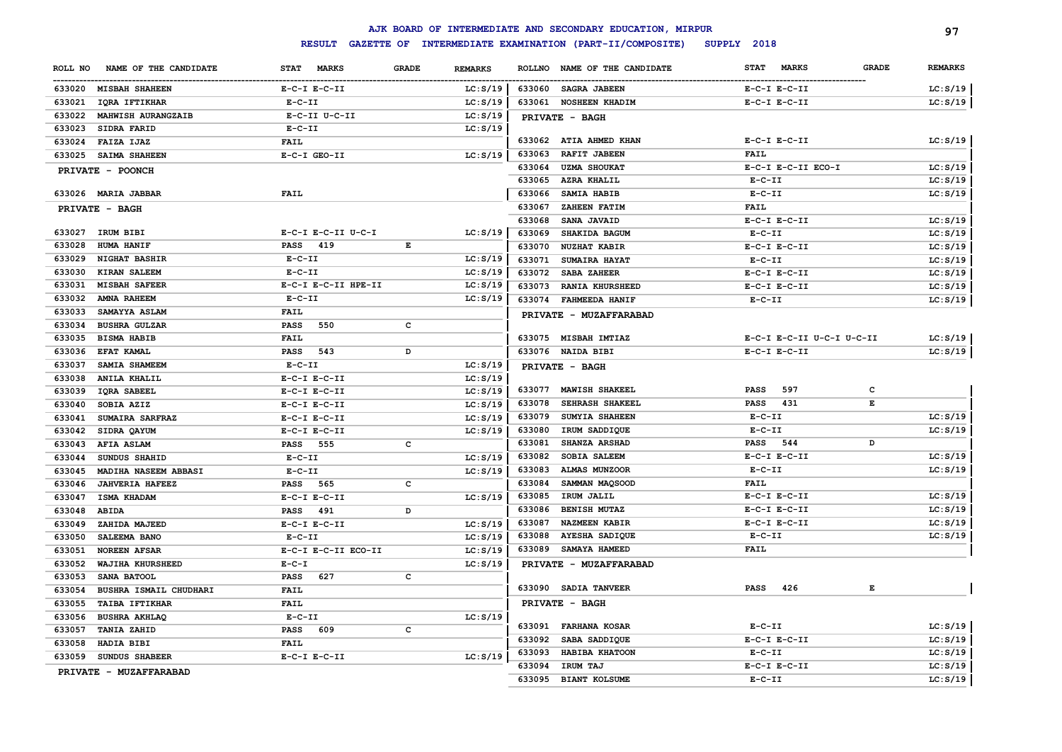|                        |                        |                             |                                                                                                |                |               | AJK BOARD OF INTERMEDIATE AND SECONDARY EDUCATION, MIRPUR |                             |              | 97             |
|------------------------|------------------------|-----------------------------|------------------------------------------------------------------------------------------------|----------------|---------------|-----------------------------------------------------------|-----------------------------|--------------|----------------|
|                        |                        | <b>RESULT</b>               |                                                                                                |                |               | GAZETTE OF INTERMEDIATE EXAMINATION (PART-II/COMPOSITE)   | SUPPLY 2018                 |              |                |
| ROLL NO                | NAME OF THE CANDIDATE  | <b>STAT</b><br><b>MARKS</b> | <b>GRADE</b>                                                                                   | <b>REMARKS</b> | <b>ROLLNO</b> | NAME OF THE CANDIDATE                                     | <b>MARKS</b><br><b>STAT</b> | <b>GRADE</b> | <b>REMARKS</b> |
| 633020 MISBAH SHAHEEN  |                        | $E-C-I$ $E-C-II$            |                                                                                                | LC: S/19       | 633060        | <b>SAGRA JABEEN</b>                                       | $E-C-I$ $E-C-II$            |              | LC: S/19       |
| 633021                 | IQRA IFTIKHAR          | $E- C- II$                  |                                                                                                | LC: S/19       | 633061        | <b>NOSHEEN KHADIM</b>                                     | $E-C-I$ $E-C-II$            |              | LC: S/19       |
| 633022                 | MAHWISH AURANGZAIB     | E-C-II U-C-II               |                                                                                                | LC: S/19       |               | PRIVATE - BAGH                                            |                             |              |                |
| 633023                 | SIDRA FARID            | $E-C-II$                    |                                                                                                | LC: S/19       |               |                                                           |                             |              |                |
| 633024                 | FAIZA IJAZ             | <b>FAIL</b>                 |                                                                                                |                |               | 633062 ATIA AHMED KHAN                                    | $E-C-I$ $E-C-II$            |              | LC: S/19       |
| 633025                 | SAIMA SHAHEEN          | E-C-I GEO-II                |                                                                                                | LC: S/19       | 633063        | RAFIT JABEEN                                              | FAIL                        |              |                |
| PRIVATE - POONCH       |                        |                             |                                                                                                |                | 633064        | <b>UZMA SHOUKAT</b>                                       | E-C-I E-C-II ECO-I          |              | LC: S/19       |
|                        |                        |                             |                                                                                                |                | 633065        | AZRA KHALIL                                               | $E-C-II$                    |              | LC: S/19       |
| 633026 MARIA JABBAR    |                        | FAIL                        |                                                                                                |                | 633066        | SAMIA HABIB                                               | $E-C-II$                    |              | LC: S/19       |
| PRIVATE - BAGH         |                        |                             |                                                                                                |                | 633067        | <b>ZAHEEN FATIM</b>                                       | <b>FAIL</b>                 |              |                |
|                        |                        |                             |                                                                                                |                | 633068        | SANA JAVAID                                               | $E-C-I$ $E-C-II$            |              | LC: S/19       |
| 633027                 | IRUM BIBI              | E-C-I E-C-II U-C-I          |                                                                                                | LC: S/19       | 633069        | <b>SHAKIDA BAGUM</b>                                      | $E - C - II$                |              | LC: S/19       |
| 633028                 | HUMA HANIF             | <b>PASS</b><br>419          | $\mathbf{E}% _{t}\left  \mathbf{1}\right\rangle =\mathbf{1}_{t}\left  \mathbf{1}\right\rangle$ |                | 633070        | <b>NUZHAT KABIR</b>                                       | $E-C-I$ $E-C-II$            |              | LC: S/19       |
| 633029                 | <b>NIGHAT BASHIR</b>   | $E-C-II$                    |                                                                                                | LC: S/19       | 633071        | SUMAIRA HAYAT                                             | $E-C-II$                    |              | LC: S/19       |
| 633030                 | <b>KIRAN SALEEM</b>    | $E- C- II$                  |                                                                                                | LC: S/19       | 633072        | SABA ZAHEER                                               | $E-C-I$ $E-C-II$            |              | LC: S/19       |
| 633031                 | <b>MISBAH SAFEER</b>   | E-C-I E-C-II HPE-II         |                                                                                                | LC: S/19       | 633073        | <b>RANIA KHURSHEED</b>                                    | $E-C-I$ $E-C-II$            |              | LC: S/19       |
| 633032                 | <b>AMNA RAHEEM</b>     | $E-C-II$                    |                                                                                                | LC: S/19       | 633074        | <b>FAHMEEDA HANIF</b>                                     | $E-C-II$                    |              | LC: S/19       |
| 633033                 | SAMAYYA ASLAM          | <b>FAIL</b>                 |                                                                                                |                |               | PRIVATE - MUZAFFARABAD                                    |                             |              |                |
| 633034                 | <b>BUSHRA GULZAR</b>   | <b>PASS</b><br>550          | $\mathbf{C}$                                                                                   |                |               |                                                           |                             |              |                |
| 633035                 | <b>BISMA HABIB</b>     | <b>FAIL</b>                 |                                                                                                |                |               | 633075 MISBAH IMTIAZ                                      | E-C-I E-C-II U-C-I U-C-II   |              | LC: S/19       |
| 633036                 | EFAT KAMAL             | <b>PASS</b><br>543          | D                                                                                              |                |               | 633076 NAIDA BIBI                                         | $E-C-I$ $E-C-II$            |              | LC: S/19       |
| 633037                 | SAMIA SHAMEEM          | $E-C-II$                    |                                                                                                | LC: S/19       |               | PRIVATE - BAGH                                            |                             |              |                |
| 633038                 | <b>ANILA KHALIL</b>    | $E-C-I$ $E-C-II$            |                                                                                                | LC: S/19       |               |                                                           |                             |              |                |
| 633039                 | IQRA SABEEL            | $E-C-I$ $E-C-II$            |                                                                                                | LC: S/19       | 633077        | <b>MAWISH SHAKEEL</b>                                     | <b>PASS</b><br>597          | c            |                |
| 633040                 | SOBIA AZIZ             | $E-C-I$ $E-C-II$            |                                                                                                | LC: S/19       | 633078        | SEHRASH SHAKEEL                                           | <b>PASS</b><br>431          | $\mathbf E$  |                |
| 633041                 | SUMAIRA SARFRAZ        | $E-C-I$ $E-C-II$            |                                                                                                | LC: S/19       | 633079        | SUMYIA SHAHEEN                                            | $E - C - II$                |              | LC: S/19       |
| 633042                 | SIDRA QAYUM            | $E-C-I$ $E-C-II$            |                                                                                                | LC: S/19       | 633080        | IRUM SADDIQUE                                             | $E - C - II$                |              | LC: S/19       |
| 633043                 | <b>AFIA ASLAM</b>      | <b>PASS</b><br>555          | $\mathbf{C}$                                                                                   |                | 633081        | SHANZA ARSHAD                                             | <b>PASS</b><br>544          | D            |                |
| 633044                 | SUNDUS SHAHID          | $E-C-II$                    |                                                                                                | LC: S/19       | 633082        | <b>SOBIA SALEEM</b>                                       | $E-C-I$ $E-C-II$            |              | LC: S/19       |
| 633045                 | MADIHA NASEEM ABBASI   | $E-C-II$                    |                                                                                                | LC: S/19       | 633083        | <b>ALMAS MUNZOOR</b>                                      | $E-C-II$                    |              | LC: S/19       |
| 633046                 | <b>JAHVERIA HAFEEZ</b> | PASS 565                    | c                                                                                              |                | 633084        | SAMMAN MAQSOOD                                            | <b>FAIL</b>                 |              |                |
| 633047                 | ISMA KHADAM            | $E-C-I$ $E-C-II$            |                                                                                                | LC: S/19       | 633085        | IRUM JALIL                                                | $E-C-I$ $E-C-II$            |              | LC: S/19       |
| 633048<br><b>ABIDA</b> |                        | 491<br><b>PASS</b>          | D                                                                                              |                | 633086        | <b>BENISH MUTAZ</b>                                       | $E-C-I$ $E-C-II$            |              | LC: S/19       |
| 633049                 | ZAHIDA MAJEED          | $E-C-I$ $E-C-II$            |                                                                                                | LC: S/19       | 633087        | <b>NAZMEEN KABIR</b>                                      | $E-C-I$ $E-C-II$            |              | LC: S/19       |
| 633050                 | <b>SALEEMA BANO</b>    | $E - C - II$                |                                                                                                | LC: S/19       | 633088        | <b>AYESHA SADIQUE</b>                                     | $E - C - II$                |              | LC: S/19       |
| 633051                 | <b>NOREEN AFSAR</b>    | E-C-I E-C-II ECO-II         |                                                                                                | LC: S/19       | 633089        | SAMAYA HAMEED                                             | FAIL                        |              |                |
| 633052                 | WAJIHA KHURSHEED       | $E - C - I$                 |                                                                                                | LC: S/19       |               | PRIVATE - MUZAFFARABAD                                    |                             |              |                |
| 633053                 | <b>SANA BATOOL</b>     | <b>PASS</b><br>627          | $\mathbf{C}$                                                                                   |                |               |                                                           |                             |              |                |
| 633054                 | BUSHRA ISMAIL CHUDHARI | FAIL                        |                                                                                                |                | 633090        | <b>SADIA TANVEER</b>                                      | <b>PASS</b><br>426          | Е            |                |
| 633055                 | <b>TAIBA IFTIKHAR</b>  | FAIL                        |                                                                                                |                |               | PRIVATE - BAGH                                            |                             |              |                |
| 633056                 | <b>BUSHRA AKHLAQ</b>   | $E-C-II$                    |                                                                                                | LC: S/19       |               |                                                           |                             |              |                |
| 633057                 | <b>TANIA ZAHID</b>     | <b>PASS</b><br>609          | $\mathbf{C}$                                                                                   |                | 633091        | <b>FARHANA KOSAR</b>                                      | $E-C-II$                    |              | LC: S/19       |
| 633058                 | HADIA BIBI             | FAIL                        |                                                                                                |                | 633092        | SABA SADDIQUE                                             | $E-C-I$ $E-C-II$            |              | LC: S/19       |
| 633059                 | SUNDUS SHABEER         | $E-C-I$ $E-C-II$            |                                                                                                | LC: S/19       | 633093        | HABIBA KHATOON                                            | $E- C- II$                  |              | LC: S/19       |
|                        | PRIVATE - MUZAFFARABAD |                             |                                                                                                |                | 633094        | IRUM TAJ                                                  | $E-C-I$ $E-C-II$            |              | LC: S/19       |
|                        |                        |                             |                                                                                                |                | 633095        | <b>BIANT KOLSUME</b>                                      | $E-C-II$                    |              | LC: S/19       |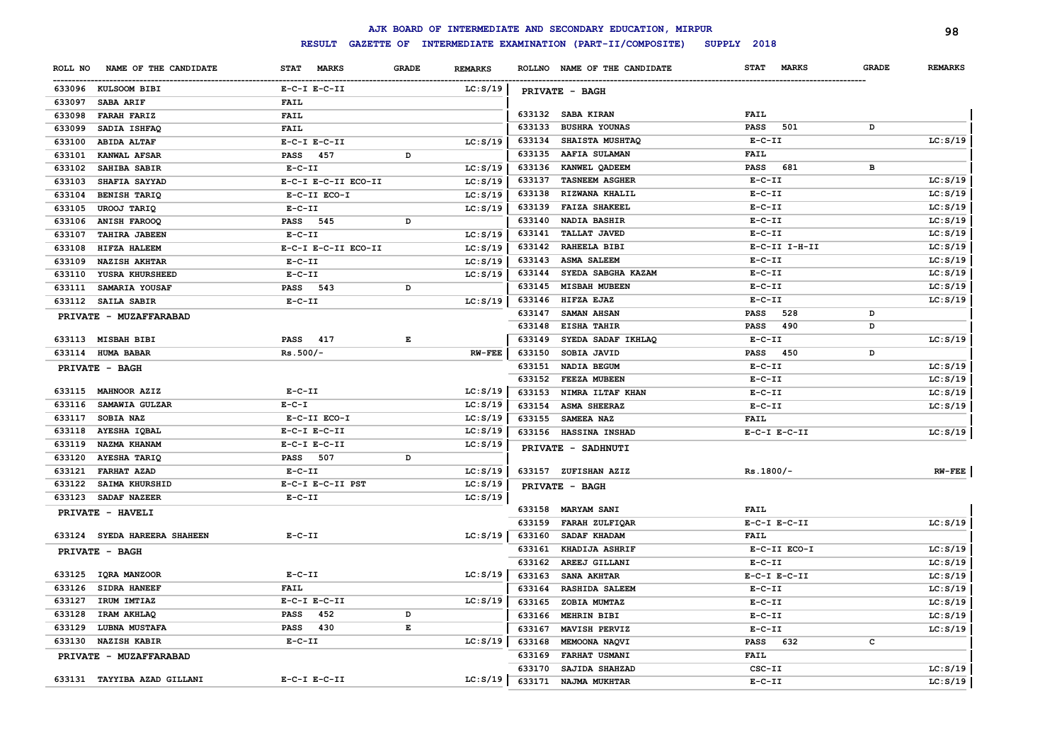|         |                              |                     |              |                |        | AJK BOARD OF INTERMEDIATE AND SECONDARY EDUCATION, MIRPUR |                             |              | 98             |
|---------|------------------------------|---------------------|--------------|----------------|--------|-----------------------------------------------------------|-----------------------------|--------------|----------------|
|         |                              | <b>RESULT</b>       |              |                |        | GAZETTE OF INTERMEDIATE EXAMINATION (PART-II/COMPOSITE)   | SUPPLY 2018                 |              |                |
| ROLL NO | NAME OF THE CANDIDATE        | STAT MARKS          | <b>GRADE</b> | <b>REMARKS</b> |        | ROLLNO NAME OF THE CANDIDATE                              | <b>STAT</b><br><b>MARKS</b> | <b>GRADE</b> | <b>REMARKS</b> |
|         | 633096 KULSOOM BIBI          | $E-C-I$ $E-C-II$    |              | LC: S/19       |        | PRIVATE - BAGH                                            |                             |              |                |
| 633097  | SABA ARIF                    | <b>FAIL</b>         |              |                |        |                                                           |                             |              |                |
| 633098  | <b>FARAH FARIZ</b>           | <b>FAIL</b>         |              |                |        | 633132 SABA KIRAN                                         | FAIL                        |              |                |
| 633099  | SADIA ISHFAQ                 | <b>FAIL</b>         |              |                | 633133 | <b>BUSHRA YOUNAS</b>                                      | <b>PASS</b><br>501          | D            |                |
| 633100  | <b>ABIDA ALTAF</b>           | $E-C-I$ $E-C-II$    |              | LC: S/19       | 633134 | SHAISTA MUSHTAQ                                           | $E-C-II$                    |              | LC: S/19       |
| 633101  | KANWAL AFSAR                 | <b>PASS</b><br>457  | D            |                | 633135 | AAFIA SULAMAN                                             | <b>FAIL</b>                 |              |                |
| 633102  | SAHIBA SABIR                 | $E- C- II$          |              | LC: S/19       | 633136 | KANWEL QADEEM                                             | <b>PASS</b><br>681          | в            |                |
| 633103  | SHAFIA SAYYAD                | E-C-I E-C-II ECO-II |              | LC: S/19       | 633137 | <b>TASNEEM ASGHER</b>                                     | $E - C - II$                |              | LC: S/19       |
| 633104  | <b>BENISH TARIQ</b>          | E-C-II ECO-I        |              | LC: S/19       | 633138 | RIZWANA KHALIL                                            | $E - C - II$                |              | LC: S/19       |
| 633105  | <b>UROOJ TARIQ</b>           | $E-C-II$            |              | LC: S/19       | 633139 | <b>FAIZA SHAKEEL</b>                                      | $E-C-II$                    |              | LC: S/19       |
| 633106  | <b>ANISH FAROOQ</b>          | PASS 545            | D            |                | 633140 | <b>NADIA BASHIR</b>                                       | $E-C-II$                    |              | LC: S/19       |
| 633107  | TAHIRA JABEEN                | $E-C-II$            |              | LC: S/19       | 633141 | <b>TALLAT JAVED</b>                                       | $E-C-II$                    |              | LC: S/19       |
| 633108  | HIFZA HALEEM                 | E-C-I E-C-II ECO-II |              | LC: S/19       | 633142 | RAHEELA BIBI                                              | $E-C-II$ I-H-II             |              | LC: S/19       |
| 633109  | <b>NAZISH AKHTAR</b>         | $E - C - II$        |              | LC: S/19       | 633143 | <b>ASMA SALEEM</b>                                        | $E-C-II$                    |              | LC: S/19       |
| 633110  | YUSRA KHURSHEED              | $E-C-II$            |              | LC: S/19       | 633144 | SYEDA SABGHA KAZAM                                        | $E-C-II$                    |              | LC: S/19       |
| 633111  | SAMARIA YOUSAF               | PASS 543            | D            |                | 633145 | <b>MISBAH MUBEEN</b>                                      | $E-C-II$                    |              | LC: S/19       |
|         | 633112 SAILA SABIR           | $E-C-II$            |              | LC: S/19       | 633146 | HIFZA EJAZ                                                | $E- C- II$                  |              | LC: S/19       |
|         | PRIVATE - MUZAFFARABAD       |                     |              |                | 633147 | <b>SAMAN AHSAN</b>                                        | <b>PASS</b><br>528          | D            |                |
|         |                              |                     |              |                | 633148 | EISHA TAHIR                                               | <b>PASS</b><br>490          | D            |                |
|         | 633113 MISBAH BIBI           | PASS 417            | Е            |                | 633149 | SYEDA SADAF IKHLAQ                                        | $E- C- II$                  |              | LC: S/19       |
|         | 633114 HUMA BABAR            | $Rs.500/-$          |              | $RW-FEE$       | 633150 | SOBIA JAVID                                               | <b>PASS</b><br>450          | D            |                |
|         | PRIVATE - BAGH               |                     |              |                | 633151 | NADIA BEGUM                                               | $E- C- II$                  |              | LC: S/19       |
|         |                              |                     |              |                | 633152 | FEEZA MUBEEN                                              | $E-C-II$                    |              | LC: S/19       |
|         | 633115 MAHNOOR AZIZ          | $E-C-II$            |              | LC: S/19       | 633153 | NIMRA ILTAF KHAN                                          | $E-C-II$                    |              | LC: S/19       |
| 633116  | SAMAWIA GULZAR               | $E - C - I$         |              | LC: S/19       | 633154 | <b>ASMA SHEERAZ</b>                                       | $E-C-II$                    |              | LC: S/19       |
| 633117  | SOBIA NAZ                    | E-C-II ECO-I        |              | LC: S/19       | 633155 | SAMEEA NAZ                                                | <b>FAIL</b>                 |              |                |
|         | 633118 AYESHA IQBAL          | $E-C-I$ $E-C-II$    |              | LC: S/19       |        | 633156 HASSINA INSHAD                                     | $E-C-I$ $E-C-II$            |              | LC: S/19       |
|         | 633119 NAZMA KHANAM          | $E-C-I$ $E-C-II$    |              | LC: S/19       |        | PRIVATE - SADHNUTI                                        |                             |              |                |
| 633120  | AYESHA TARIQ                 | 507<br><b>PASS</b>  | D            |                |        |                                                           |                             |              |                |
| 633121  | <b>FARHAT AZAD</b>           | $E-C-II$            |              | LC: S/19       |        | 633157 ZUFISHAN AZIZ                                      | $Rs.1800/-$                 |              | $RW-FEE$       |
| 633122  | <b>SAIMA KHURSHID</b>        | E-C-I E-C-II PST    |              | LC: S/19       |        | PRIVATE - BAGH                                            |                             |              |                |
|         | 633123 SADAF NAZEER          | $E-C-II$            |              | LC: S/19       |        |                                                           |                             |              |                |
|         | PRIVATE - HAVELI             |                     |              |                |        | 633158 MARYAM SANI                                        | <b>FAIL</b>                 |              |                |
|         |                              |                     |              |                | 633159 | FARAH ZULFIQAR                                            | $E-C-I$ $E-C-II$            |              | LC: S/19       |
|         | 633124 SYEDA HAREERA SHAHEEN | $E-C-II$            |              | LC: S/19       | 633160 | SADAF KHADAM                                              | <b>FAIL</b>                 |              |                |
|         | PRIVATE - BAGH               |                     |              |                | 633161 | KHADIJA ASHRIF                                            | E-C-II ECO-I                |              | LC: S/19       |
|         |                              |                     |              |                | 633162 | AREEJ GILLANI                                             | $E-C-II$                    |              | LC: S/19       |
|         | 633125 IQRA MANZOOR          | $E-C-II$            |              | LC: S/19       | 633163 | SANA AKHTAR                                               | $E-C-I$ $E-C-II$            |              | LC: S/19       |
|         | 633126 SIDRA HANEEF          | <b>FAIL</b>         |              |                | 633164 | <b>RASHIDA SALEEM</b>                                     | $E-C-II$                    |              | LC: S/19       |
| 633127  | IRUM IMTIAZ                  | $E-C-I$ $E-C-II$    |              | LC: S/19       | 633165 | ZOBIA MUMTAZ                                              | $E - C - II$                |              | LC: S/19       |
| 633128  | IRAM AKHLAQ                  | <b>PASS</b><br>452  | D            |                | 633166 | <b>MEHRIN BIBI</b>                                        | $E - C - II$                |              | LC: S/19       |
| 633129  | <b>LUBNA MUSTAFA</b>         | PASS 430            | E            |                | 633167 | MAVISH PERVIZ                                             | $E - C - II$                |              | LC: S/19       |
| 633130  | <b>NAZISH KABIR</b>          | $E - C - II$        |              | LC: S/19       | 633168 | MEMOONA NAQVI                                             | 632<br><b>PASS</b>          | c            |                |
|         | PRIVATE - MUZAFFARABAD       |                     |              |                | 633169 | FARHAT USMANI                                             | <b>FAIL</b>                 |              |                |
|         |                              |                     |              |                | 633170 | SAJIDA SHAHZAD                                            | CSC-II                      |              | LC: S/19       |
|         | 633131 TAYYIBA AZAD GILLANI  | $E-C-I$ $E-C-II$    |              | LC: S/19       | 633171 | NAJMA MUKHTAR                                             | $E-C-II$                    |              | LC: S/19       |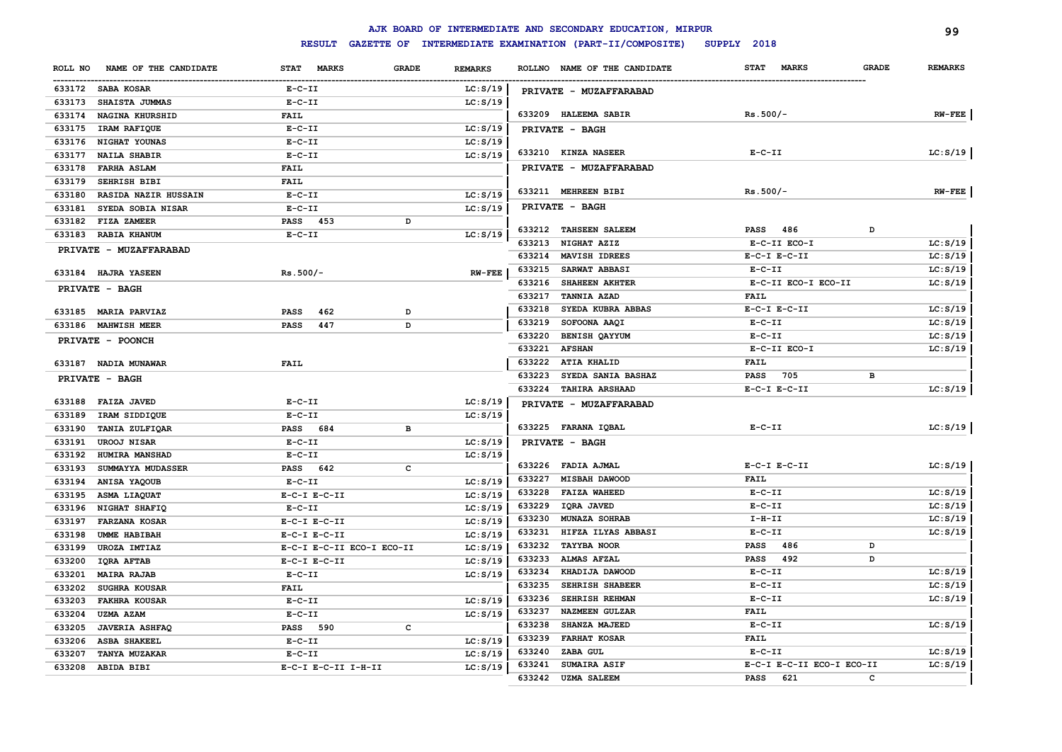|         |                        |                           |              |                |        | AJK BOARD OF INTERMEDIATE AND SECONDARY EDUCATION, MIRPUR |                             |              | 99             |
|---------|------------------------|---------------------------|--------------|----------------|--------|-----------------------------------------------------------|-----------------------------|--------------|----------------|
|         |                        | <b>RESULT</b>             |              |                |        | GAZETTE OF INTERMEDIATE EXAMINATION (PART-II/COMPOSITE)   | SUPPLY 2018                 |              |                |
| ROLL NO | NAME OF THE CANDIDATE  | STAT MARKS                | <b>GRADE</b> | <b>REMARKS</b> |        | ROLLNO NAME OF THE CANDIDATE                              | <b>MARKS</b><br><b>STAT</b> | <b>GRADE</b> | <b>REMARKS</b> |
|         | 633172 SABA KOSAR      | $E-C-II$                  |              | LC: S/19       |        | PRIVATE - MUZAFFARABAD                                    |                             |              |                |
|         | 633173 SHAISTA JUMMAS  | $E-C-II$                  |              | LC: S/19       |        |                                                           |                             |              |                |
| 633174  | NAGINA KHURSHID        | <b>FAIL</b>               |              |                |        | 633209 HALEEMA SABIR                                      | $Rs.500/-$                  |              | $RW-FEE$       |
|         | 633175 IRAM RAFIQUE    | $E - C - II$              |              | LC: S/19       |        | PRIVATE - BAGH                                            |                             |              |                |
|         | 633176 NIGHAT YOUNAS   | $E-C-II$                  |              | LC: S/19       |        |                                                           |                             |              |                |
| 633177  | <b>NAILA SHABIR</b>    | $E-C-II$                  |              | LC: S/19       |        | 633210 KINZA NASEER                                       | $E- C- II$                  |              | LC: S/19       |
| 633178  | <b>FARHA ASLAM</b>     | <b>FAIL</b>               |              |                |        | PRIVATE - MUZAFFARABAD                                    |                             |              |                |
| 633179  | SEHRISH BIBI           | <b>FAIL</b>               |              |                |        |                                                           |                             |              |                |
| 633180  | RASIDA NAZIR HUSSAIN   | $E-C-II$                  |              | LC: S/19       |        | 633211 MEHREEN BIBI                                       | $Rs.500/-$                  |              | $RW-FEE$       |
| 633181  | SYEDA SOBIA NISAR      | $E-C-II$                  |              | LC: S/19       |        | <b>PRIVATE - BAGH</b>                                     |                             |              |                |
| 633182  | FIZA ZAMEER            | PASS 453                  | D            |                |        |                                                           |                             |              |                |
| 633183  | <b>RABIA KHANUM</b>    | $E-C-II$                  |              | LC: S/19       |        | 633212 TAHSEEN SALEEM                                     | <b>PASS</b> 486             | D            |                |
|         | PRIVATE - MUZAFFARABAD |                           |              |                |        | 633213 NIGHAT AZIZ                                        | E-C-II ECO-I                |              | LC: S/19       |
|         |                        |                           |              |                | 633214 | MAVISH IDREES                                             | $E-C-I$ $E-C-II$            |              | LC: S/19       |
|         | 633184 HAJRA YASEEN    | $Rs.500/-$                |              | $RW-FEE$       | 633215 | <b>SARWAT ABBASI</b>                                      | $E-C-II$                    |              | LC: S/19       |
|         | PRIVATE - BAGH         |                           |              |                | 633216 | SHAHEEN AKHTER                                            | E-C-II ECO-I ECO-II         |              | LC: S/19       |
|         |                        |                           |              |                | 633217 | <b>TANNIA AZAD</b>                                        | <b>FAIL</b>                 |              |                |
|         | 633185 MARIA PARVIAZ   | PASS<br>462               | D            |                | 633218 | SYEDA KUBRA ABBAS                                         | $E-C-I$ $E-C-II$            |              | LC: S/19       |
|         | 633186 MAHWISH MEER    | <b>PASS</b><br>447        | D            |                | 633219 | SOFOONA AAQI                                              | $E-C-II$                    |              | LC: S/19       |
|         | PRIVATE - POONCH       |                           |              |                | 633220 | <b>BENISH QAYYUM</b>                                      | $E-C-II$                    |              | LC: S/19       |
|         |                        |                           |              |                | 633221 | <b>AFSHAN</b>                                             | E-C-II ECO-I                |              | LC: S/19       |
|         | 633187 NADIA MUNAWAR   | <b>FAIL</b>               |              |                |        | 633222 ATIA KHALID                                        | <b>FAIL</b>                 |              |                |
|         | PRIVATE - BAGH         |                           |              |                | 633223 | SYEDA SANIA BASHAZ                                        | 705<br><b>PASS</b>          | в            |                |
|         |                        |                           |              |                | 633224 | <b>TAHIRA ARSHAAD</b>                                     | $E-C-I$ $E-C-II$            |              | LC: S/19       |
|         | 633188 FAIZA JAVED     | $E- C- II$                |              | LC: S/19       |        | PRIVATE - MUZAFFARABAD                                    |                             |              |                |
| 633189  | IRAM SIDDIQUE          | $E - C - II$              |              | LC: S/19       |        |                                                           |                             |              |                |
| 633190  | TANIA ZULFIQAR         | PASS 684                  | в            |                |        | 633225 FARANA IQBAL                                       | $E-C-II$                    |              | LC: S/19       |
| 633191  | <b>UROOJ NISAR</b>     | $E-C-II$                  |              | LC: S/19       |        | PRIVATE - BAGH                                            |                             |              |                |
| 633192  | HUMIRA MANSHAD         | $E- C- II$                |              | LC: S/19       |        | 633226 FADIA AJMAL                                        | $E-C-I$ $E-C-II$            |              | LC: S/19       |
| 633193  | SUMMAYYA MUDASSER      | PASS 642                  | C            |                | 633227 | <b>MISBAH DAWOOD</b>                                      | FAIL                        |              |                |
| 633194  | ANISA YAQOUB           | $E-C-II$                  |              | LC: S/19       | 633228 | <b>FAIZA WAHEED</b>                                       | $E-C-II$                    |              | LC: S/19       |
| 633195  | ASMA LIAQUAT           | $E-C-I$ $E-C-II$          |              | LC: S/19       | 633229 | IQRA JAVED                                                | $E-C-II$                    |              | LC: S/19       |
|         | 633196 NIGHAT SHAFIQ   | $E-C-II$                  |              | LC: S/19       | 633230 | MUNAZA SOHRAB                                             | $I-H-II$                    |              | LC: S/19       |
| 633197  | <b>FARZANA KOSAR</b>   | $E-C-I$ $E-C-II$          |              | LC: S/19       | 633231 | HIFZA ILYAS ABBASI                                        | $E-C-II$                    |              | LC: S/19       |
| 633198  | <b>UMME HABIBAH</b>    | $E-C-I$ $E-C-II$          |              | LC: S/19       | 633232 | <b>TAYYBA NOOR</b>                                        | <b>PASS</b><br>486          | D            |                |
| 633199  | UROZA IMTIAZ           | E-C-I E-C-II ECO-I ECO-II |              | LC: S/19       | 633233 | <b>ALMAS AFZAL</b>                                        | 492<br><b>PASS</b>          | D            |                |
|         | 633200 IQRA AFTAB      | $E-C-I$ $E-C-II$          |              | LC: S/19       | 633234 | KHADIJA DAWOOD                                            | $E - C - II$                |              | LC: S/19       |
| 633201  | <b>MAIRA RAJAB</b>     | $E-C-II$                  |              | LC: S/19       | 633235 | SEHRISH SHABEER                                           | $E-C-II$                    |              | LC: S/19       |
| 633202  | <b>SUGHRA KOUSAR</b>   | <b>FAIL</b>               |              |                | 633236 | SEHRISH REHMAN                                            | $E- C- II$                  |              | LC: S/19       |
| 633203  | <b>FAKHRA KOUSAR</b>   | $E-C-II$                  |              | LC: S/19       | 633237 | NAZMEEN GULZAR                                            | <b>FAIL</b>                 |              |                |
| 633204  | <b>UZMA AZAM</b>       | $E-C-II$                  |              | LC: S/19       | 633238 | SHANZA MAJEED                                             | $E - C - II$                |              | LC: S/19       |
| 633205  | <b>JAVERIA ASHFAQ</b>  | PASS 590                  | с            |                | 633239 | <b>FARHAT KOSAR</b>                                       | <b>FAIL</b>                 |              |                |
| 633206  | <b>ASBA SHAKEEL</b>    | $E-C-II$                  |              | LC: S/19       | 633240 | ZABA GUL                                                  | $E-C-II$                    |              | LC: S/19       |
| 633207  | <b>TANYA MUZAKAR</b>   | $E-C-II$                  |              | LC: S/19       | 633241 | <b>SUMAIRA ASIF</b>                                       | E-C-I E-C-II ECO-I ECO-II   |              | LC: S/19       |
|         | 633208 ABIDA BIBI      | E-C-I E-C-II I-H-II       |              | LC: S/19       | 633242 | <b>UZMA SALEEM</b>                                        | 621<br><b>PASS</b>          | C            |                |
|         |                        |                           |              |                |        |                                                           |                             |              |                |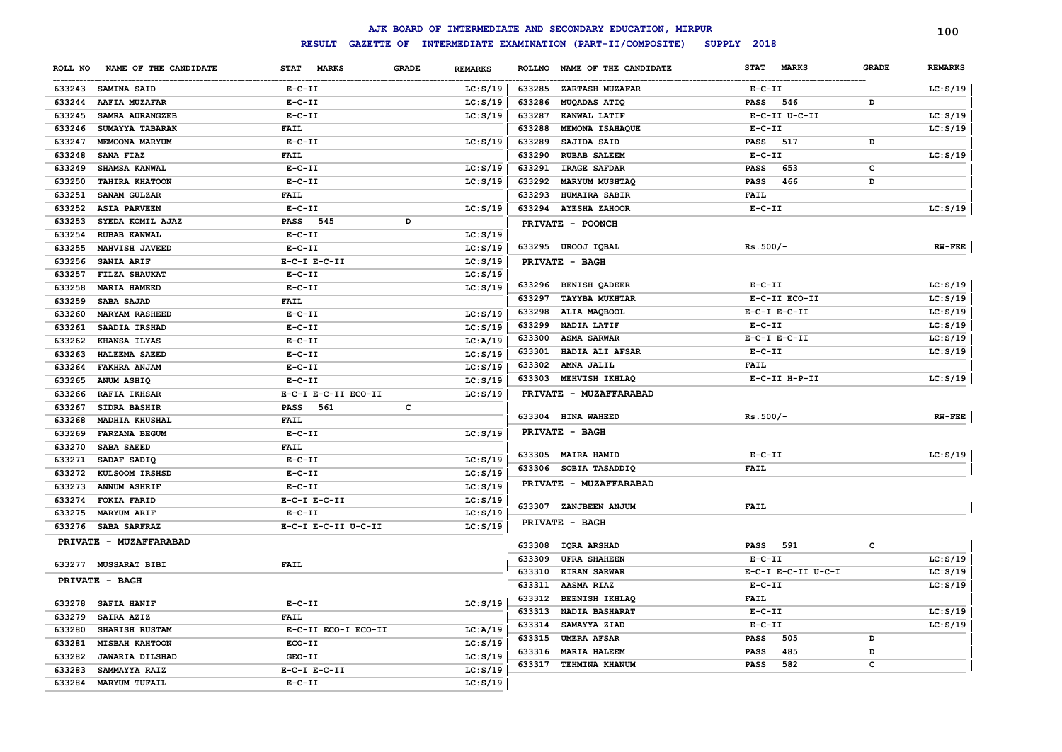|                  |                                                 |                                              |                                |          |               | AJK BOARD OF INTERMEDIATE AND SECONDARY EDUCATION, MIRPUR |              |                    |              | 100            |
|------------------|-------------------------------------------------|----------------------------------------------|--------------------------------|----------|---------------|-----------------------------------------------------------|--------------|--------------------|--------------|----------------|
|                  |                                                 | INTERMEDIATE EXAMINATION (PART-II/COMPOSITE) | SUPPLY 2018                    |          |               |                                                           |              |                    |              |                |
| ROLL NO          | NAME OF THE CANDIDATE                           | STAT MARKS                                   | <b>REMARKS</b><br><b>GRADE</b> |          | <b>ROLLNO</b> | NAME OF THE CANDIDATE                                     | <b>STAT</b>  | <b>MARKS</b>       | <b>GRADE</b> | <b>REMARKS</b> |
|                  | 633243 SAMINA SAID                              | $E-C-II$                                     |                                | LC: S/19 | 633285        | <b>ZARTASH MUZAFAR</b>                                    | $E- C- II$   |                    |              | LC: S/19       |
| 633244           | AAFIA MUZAFAR                                   | $E-C-II$                                     |                                | LC: S/19 | 633286        | MUQADAS ATIQ                                              | <b>PASS</b>  | 546                | D            |                |
| 633245           | SAMRA AURANGZEB                                 | $E-C-II$                                     |                                | LC: S/19 | 633287        | KANWAL LATIF                                              |              | E-C-II U-C-II      |              | LC: S/19       |
| 633246           | SUMAYYA TABARAK                                 | <b>FAIL</b>                                  |                                |          | 633288        | MEMONA ISAHAQUE                                           | $E-C-II$     |                    |              | LC: S/19       |
| 633247           | MEMOONA MARYUM                                  | $E - C - II$                                 |                                | LC: S/19 | 633289        | SAJIDA SAID                                               | <b>PASS</b>  | 517                | D            |                |
| 633248           | SANA FIAZ                                       | <b>FAIL</b>                                  |                                |          | 633290        | <b>RUBAB SALEEM</b>                                       | $E-C-II$     |                    |              | LC: S/19       |
| 633249           | SHAMSA KANWAL                                   | $E-C-II$                                     |                                | LC: S/19 | 633291        | IRAGE SAFDAR                                              | <b>PASS</b>  | 653                | c            |                |
| 633250           | <b>TAHIRA KHATOON</b>                           | $E-C-II$                                     |                                | LC: S/19 | 633292        | <b>MARYUM MUSHTAQ</b>                                     | <b>PASS</b>  | 466                | D            |                |
| 633251           | SANAM GULZAR                                    | <b>FAIL</b>                                  |                                |          | 633293        | HUMAIRA SABIR                                             | <b>FAIL</b>  |                    |              |                |
| 633252           | <b>ASIA PARVEEN</b>                             | $E-C-II$                                     |                                | LC: S/19 |               | 633294 AYESHA ZAHOOR                                      | $E-C-II$     |                    |              | LC: S/19       |
| 633253           | SYEDA KOMIL AJAZ                                | PASS 545                                     | D                              |          |               | PRIVATE - POONCH                                          |              |                    |              |                |
| 633254           | <b>RUBAB KANWAL</b>                             | $E-C-II$                                     |                                | LC: S/19 |               |                                                           |              |                    |              |                |
| 633255           | <b>MAHVISH JAVEED</b>                           | $E-C-II$                                     |                                | LC: S/19 |               | 633295 UROOJ IQBAL                                        | $Rs.500/-$   |                    |              | $RW-FEE$       |
| 633256           | SANIA ARIF                                      | $E-C-I$ $E-C-II$                             |                                | LC: S/19 |               | PRIVATE - BAGH                                            |              |                    |              |                |
| 633257           | FILZA SHAUKAT                                   | $E - C - II$                                 |                                | LC: S/19 |               |                                                           |              |                    |              |                |
| 633258           | MARIA HAMEED                                    | $E-C-II$                                     |                                | LC: S/19 |               | 633296 BENISH QADEER                                      | $E- C- II$   |                    |              | LC: S/19       |
| 633259           | SABA SAJAD                                      | <b>FAIL</b>                                  |                                |          | 633297        | <b>TAYYBA MUKHTAR</b>                                     |              | E-C-II ECO-II      |              | LC: S/19       |
| 633260           | <b>MARYAM RASHEED</b>                           | $E-C-II$                                     |                                | LC: S/19 | 633298        | ALIA MAQBOOL                                              |              | $E-C-I$ $E-C-II$   |              | LC: S/19       |
| 633261           | SAADIA IRSHAD                                   | $E-C-II$                                     |                                | LC: S/19 | 633299        | NADIA LATIF                                               | $E-C-II$     |                    |              | LC: S/19       |
| 633262           | KHANSA ILYAS                                    | $E-C-II$                                     |                                | LC:A/19  | 633300        | <b>ASMA SARWAR</b>                                        |              | $E-C-I$ $E-C-II$   |              | LC: S/19       |
| 633263           | <b>HALEEMA SAEED</b>                            | $E - C - II$                                 |                                | LC: S/19 | 633301        | HADIA ALI AFSAR                                           | $E - C - II$ |                    |              | LC: S/19       |
| 633264           | FAKHRA ANJAM                                    | $E-C-II$                                     |                                | LC: S/19 | 633302        | AMNA JALIL                                                | <b>FAIL</b>  |                    |              |                |
| 633265           | ANUM ASHIQ                                      | $E- C- II$                                   |                                | LC: S/19 | 633303        | MEHVISH IKHLAQ                                            |              | E-C-II H-P-II      |              | LC: S/19       |
| 633266           | <b>RAFIA IKHSAR</b>                             | E-C-I E-C-II ECO-II                          |                                | LC: S/19 |               | PRIVATE - MUZAFFARABAD                                    |              |                    |              |                |
| 633267           | <b>SIDRA BASHIR</b>                             | <b>PASS</b><br>561                           | c                              |          |               |                                                           |              |                    |              |                |
| 633268           | MADHIA KHUSHAL                                  | <b>FAIL</b>                                  |                                |          |               | 633304 HINA WAHEED                                        | $Rs.500/-$   |                    |              | $RW-FEE$       |
| 633269           | <b>FARZANA BEGUM</b>                            | $E-C-II$                                     |                                | LC: S/19 |               | PRIVATE - BAGH                                            |              |                    |              |                |
| 633270           | SABA SAEED                                      | <b>FAIL</b>                                  |                                |          |               | 633305 MAIRA HAMID                                        | $E-C-II$     |                    |              | LC: S/19       |
| 633271           | SADAF SADIQ                                     | $E-C-II$                                     |                                | LC: S/19 |               | 633306 SOBIA TASADDIQ                                     | FAIL         |                    |              |                |
| 633272           | KULSOOM IRSHSD                                  | $E-C-II$                                     |                                | LC: S/19 |               |                                                           |              |                    |              |                |
| 633273           | <b>ANNUM ASHRIF</b>                             | $E-C-II$                                     |                                | LC: S/19 |               | PRIVATE - MUZAFFARABAD                                    |              |                    |              |                |
| 633274           | FOKIA FARID                                     | $E-C-I$ $E-C-II$                             |                                | LC: S/19 |               | 633307 ZANJBEEN ANJUM                                     | <b>FAIL</b>  |                    |              |                |
| 633275           | <b>MARYUM ARIF</b>                              | $E-C-II$                                     |                                | LC: S/19 |               | PRIVATE - BAGH                                            |              |                    |              |                |
|                  | 633276 SABA SARFRAZ                             | E-C-I E-C-II U-C-II                          |                                | LC: S/19 |               |                                                           |              |                    |              |                |
|                  | PRIVATE - MUZAFFARABAD                          |                                              |                                |          | 633308        | <b>IQRA ARSHAD</b>                                        | <b>PASS</b>  | 591                | c            |                |
|                  |                                                 |                                              |                                |          | 633309        | <b>UFRA SHAHEEN</b>                                       | $E-C-II$     |                    |              | LC: S/19       |
|                  | 633277 MUSSARAT BIBI                            | <b>FAIL</b>                                  |                                |          | 633310        | <b>KIRAN SARWAR</b>                                       |              | E-C-I E-C-II U-C-I |              | LC: S/19       |
|                  | PRIVATE - BAGH                                  |                                              |                                |          | 633311        | AASMA RIAZ                                                | $E-C-II$     |                    |              | LC: S/19       |
|                  |                                                 |                                              |                                | LC: S/19 | 633312        | <b>BEENISH IKHLAQ</b>                                     | <b>FAIL</b>  |                    |              |                |
|                  | 633278 SAFIA HANIF<br>SAIRA AZIZ                | $E - C - II$<br><b>FAIL</b>                  |                                |          | 633313        | NADIA BASHARAT                                            | $E - C - II$ |                    |              | LC: S/19       |
| 633279           | SHARISH RUSTAM                                  | E-C-II ECO-I ECO-II                          |                                | LC: A/19 | 633314        | SAMAYYA ZIAD                                              | $E - C - II$ |                    |              | LC: S/19       |
| 633280<br>633281 |                                                 | ECO-II                                       |                                | LC: S/19 | 633315        | <b>UMERA AFSAR</b>                                        | <b>PASS</b>  | 505                | D            |                |
| 633282           | <b>MISBAH KAHTOON</b><br><b>JAWARIA DILSHAD</b> | GEO-II                                       |                                | LC: S/19 | 633316        | <b>MARIA HALEEM</b>                                       | <b>PASS</b>  | 485                | D            |                |
| 633283           | SAMMAYYA RAIZ                                   | $E-C-I$ $E-C-II$                             |                                | LC: S/19 | 633317        | TEHMINA KHANUM                                            | <b>PASS</b>  | 582                | c            |                |
| 633284           | <b>MARYUM TUFAIL</b>                            | $E - C - II$                                 |                                | LC: S/19 |               |                                                           |              |                    |              |                |
|                  |                                                 |                                              |                                |          |               |                                                           |              |                    |              |                |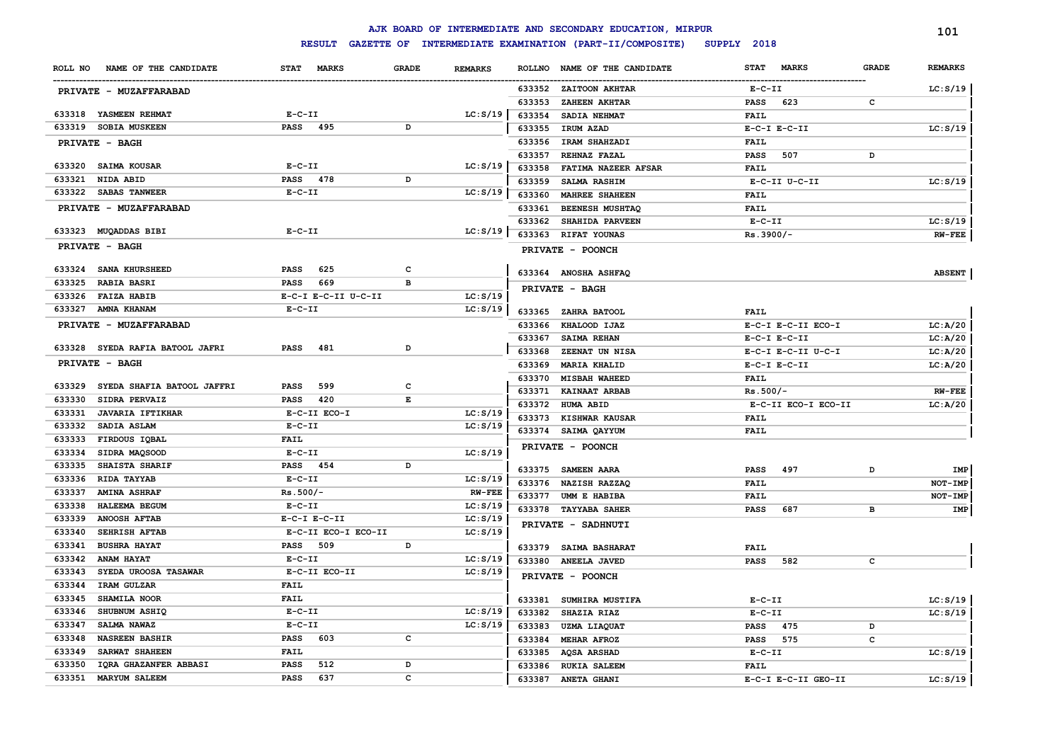|                                   |                             |                |                |               | AJK BOARD OF INTERMEDIATE AND SECONDARY EDUCATION, MIRPUR |                             |              | 101            |
|-----------------------------------|-----------------------------|----------------|----------------|---------------|-----------------------------------------------------------|-----------------------------|--------------|----------------|
|                                   | <b>RESULT</b>               |                |                |               | GAZETTE OF INTERMEDIATE EXAMINATION (PART-II/COMPOSITE)   | SUPPLY 2018                 |              |                |
| NAME OF THE CANDIDATE<br>ROLL NO  | <b>MARKS</b><br><b>STAT</b> | <b>GRADE</b>   | <b>REMARKS</b> | <b>ROLLNO</b> | NAME OF THE CANDIDATE                                     | <b>STAT</b><br><b>MARKS</b> | <b>GRADE</b> | <b>REMARKS</b> |
| PRIVATE - MUZAFFARABAD            |                             |                |                | 633352        | ZAITOON AKHTAR                                            | $E- C- II$                  |              | LC: S/19       |
|                                   |                             |                |                | 633353        | ZAHEEN AKHTAR                                             | 623<br><b>PASS</b>          | $\mathbf c$  |                |
| 633318 YASMEEN REHMAT             | $E-C-II$                    |                | LC: S/19       | 633354        | SADIA NEHMAT                                              | <b>FAIL</b>                 |              |                |
| 633319 SOBIA MUSKEEN              | PASS 495                    | D              |                | 633355        | IRUM AZAD                                                 | $E-C-I$ $E-C-II$            |              | LC: S/19       |
| PRIVATE - BAGH                    |                             |                |                | 633356        | IRAM SHAHZADI                                             | <b>FAIL</b>                 |              |                |
|                                   |                             |                |                | 633357        | REHNAZ FAZAL                                              | 507<br><b>PASS</b>          | D            |                |
| 633320 SAIMA KOUSAR               | $E-C-II$                    |                | LC: S/19       | 633358        | FATIMA NAZEER AFSAR                                       | <b>FAIL</b>                 |              |                |
| 633321<br>NIDA ABID               | PASS 478                    | D              |                | 633359        | SALMA RASHIM                                              | E-C-II U-C-II               |              | LC: S/19       |
| 633322 SABAS TANWEER              | $E - C - II$                |                | LC: S/19       | 633360        | MAHREE SHAHEEN                                            | <b>FAIL</b>                 |              |                |
| PRIVATE - MUZAFFARABAD            |                             |                |                | 633361        | BEENESH MUSHTAQ                                           | <b>FAIL</b>                 |              |                |
|                                   |                             |                |                | 633362        | SHAHIDA PARVEEN                                           | $E-C-II$                    |              | LC: S/19       |
| 633323 MUQADDAS BIBI              | $E - C - II$                |                | LC: S/19       | 633363        | RIFAT YOUNAS                                              | Rs.3900/-                   |              | $RW-FEE$       |
| PRIVATE - BAGH                    |                             |                |                |               | PRIVATE - POONCH                                          |                             |              |                |
| 633324 SANA KHURSHEED             | PASS<br>625                 | c              |                |               |                                                           |                             |              |                |
| 633325<br><b>RABIA BASRI</b>      | 669<br><b>PASS</b>          | $\overline{B}$ |                |               | 633364 ANOSHA ASHFAQ                                      |                             |              | <b>ABSENT</b>  |
| 633326 FAIZA HABIB                | E-C-I E-C-II U-C-II         |                | LC: S/19       |               | PRIVATE - BAGH                                            |                             |              |                |
| 633327 AMNA KHANAM                | $E - C - II$                |                | LC: S/19       | 633365        | ZAHRA BATOOL                                              | <b>FAIL</b>                 |              |                |
| PRIVATE - MUZAFFARABAD            |                             |                |                | 633366        | KHALOOD IJAZ                                              | E-C-I E-C-II ECO-I          |              | LC: A/20       |
|                                   |                             |                |                | 633367        | <b>SAIMA REHAN</b>                                        | $E-C-I$ $E-C-II$            |              | LC: A/20       |
| 633328 SYEDA RAFIA BATOOL JAFRI   | 481<br><b>PASS</b>          | D              |                | 633368        | ZEENAT UN NISA                                            | $E-C-I$ $E-C-II$ $U-C-I$    |              | LC:A/20        |
| PRIVATE - BAGH                    |                             |                |                | 633369        | <b>MARIA KHALID</b>                                       | $E-C-I$ $E-C-II$            |              | LC: A/20       |
|                                   |                             |                |                | 633370        | <b>MISBAH WAHEED</b>                                      | <b>FAIL</b>                 |              |                |
| 633329 SYEDA SHAFIA BATOOL JAFFRI | 599<br><b>PASS</b>          | c              |                | 633371        | KAINAAT ARBAB                                             | $Rs.500/-$                  |              | $RW-FEE$       |
| 633330<br>SIDRA PERVAIZ           | <b>PASS</b><br>420          | Е              |                |               | 633372 HUMA ABID                                          | E-C-II ECO-I ECO-II         |              | LC: A/20       |
| <b>JAVARIA IFTIKHAR</b><br>633331 | E-C-II ECO-I                |                | LC: S/19       | 633373        | KISHWAR KAUSAR                                            | <b>FAIL</b>                 |              |                |
| 633332<br>SADIA ASLAM             | $E-C-II$                    |                | LC: S/19       |               | 633374 SAIMA QAYYUM                                       | <b>FAIL</b>                 |              |                |
| 633333 FIRDOUS IQBAL              | <b>FAIL</b>                 |                |                |               |                                                           |                             |              |                |
| 633334 SIDRA MAQSOOD              | $E-C-II$                    |                | LC: S/19       |               | PRIVATE - POONCH                                          |                             |              |                |
| 633335<br><b>SHAISTA SHARIF</b>   | PASS 454                    | D              |                | 633375        | SAMEEN AARA                                               | 497<br><b>PASS</b>          | D            | IMP            |
| 633336<br><b>RIDA TAYYAB</b>      | $E-C-II$                    |                | LC: S/19       |               | 633376 NAZISH RAZZAQ                                      | <b>FAIL</b>                 |              | NOT-IMP        |
| 633337<br><b>AMINA ASHRAF</b>     | $Rs.500/-$                  |                | <b>RW-FEE</b>  | 633377        | UMM E HABIBA                                              | <b>FAIL</b>                 |              | NOT-IMP        |
| 633338<br>HALEEMA BEGUM           | $E-C-II$                    |                | LC: S/19       |               | 633378 TAYYABA SAHER                                      | 687<br><b>PASS</b>          | в            | IMP            |
| 633339<br><b>ANOOSH AFTAB</b>     | $E-C-I$ $E-C-II$            |                | LC: S/19       |               | PRIVATE - SADHNUTI                                        |                             |              |                |
| 633340<br><b>SEHRISH AFTAB</b>    | E-C-II ECO-I ECO-II         |                | LC: S/19       |               |                                                           |                             |              |                |
| 633341 BUSHRA HAYAT               | 509<br><b>PASS</b>          | D              |                |               | 633379 SAIMA BASHARAT                                     | <b>FAIL</b>                 |              |                |
| 633342<br>ANAM HAYAT              | $E-C-II$                    |                | LC: S/19       |               | 633380 ANEELA JAVED                                       | 582<br><b>PASS</b>          | c            |                |
| 633343<br>SYEDA UROOSA TASAWAR    | E-C-II ECO-II               |                | LC: S/19       |               | PRIVATE - POONCH                                          |                             |              |                |
| 633344<br>IRAM GULZAR             | FAIL                        |                |                |               |                                                           |                             |              |                |
| 633345<br>SHAMILA NOOR            | <b>FAIL</b>                 |                |                |               | 633381 SUMHIRA MUSTIFA                                    | $E - C - II$                |              | LC: S/19       |
| 633346<br>SHUBNUM ASHIQ           | $E-C-TI$                    |                | LC: S/19       | 633382        | SHAZIA RIAZ                                               | $E - C - II$                |              | LC: S/19       |
| 633347<br>SALMA NAWAZ             | $E - C - II$                |                | LC: S/19       | 633383        | <b>UZMA LIAQUAT</b>                                       | 475<br><b>PASS</b>          | D            |                |
| 633348<br><b>NASREEN BASHIR</b>   | <b>PASS</b><br>603          | $\mathbf{C}$   |                | 633384        | <b>MEHAR AFROZ</b>                                        | 575<br><b>PASS</b>          | с            |                |
| 633349<br>SARWAT SHAHEEN          | <b>FAIL</b>                 |                |                | 633385        | AQSA ARSHAD                                               | $E - C - II$                |              | LC: S/19       |
| 633350<br>IQRA GHAZANFER ABBASI   | PASS<br>512                 | D              |                | 633386        | <b>RUKIA SALEEM</b>                                       | <b>FAIL</b>                 |              |                |
| 633351 MARYUM SALEEM              | 637<br>PASS                 | $\mathbf{C}$   |                | 633387        | ANETA GHANI                                               | E-C-I E-C-II GEO-II         |              | LC: S/19       |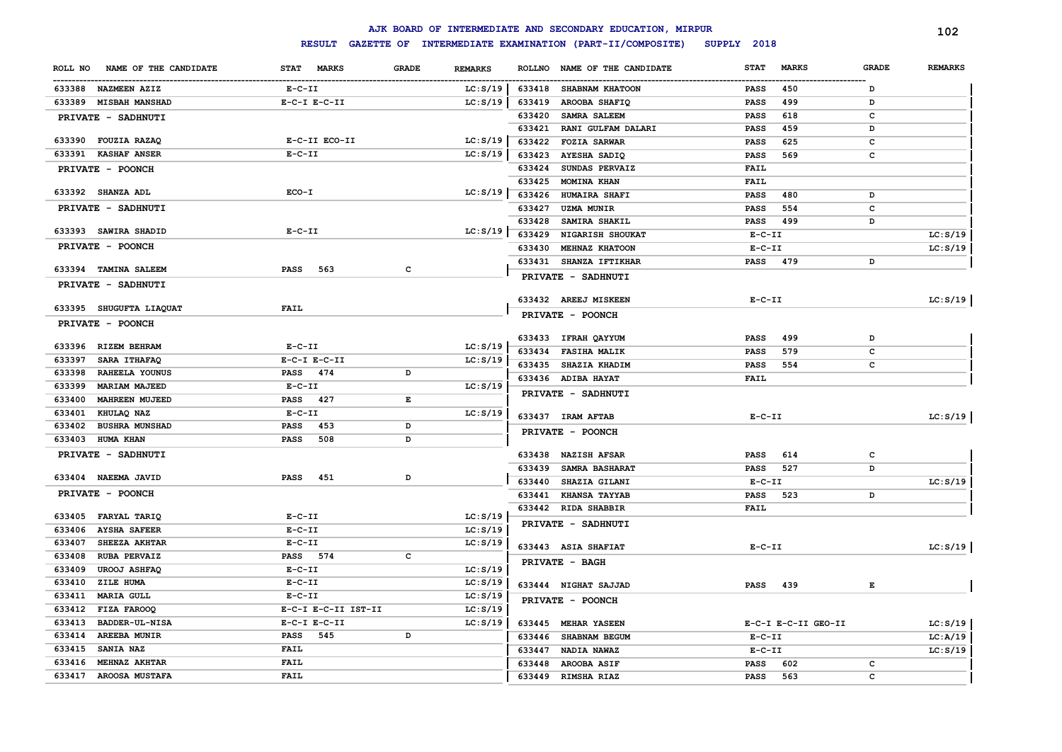|                                  |                     |                                |               | AJK BOARD OF INTERMEDIATE AND SECONDARY EDUCATION, MIRPUR |              |                     |              | 102            |
|----------------------------------|---------------------|--------------------------------|---------------|-----------------------------------------------------------|--------------|---------------------|--------------|----------------|
|                                  | <b>RESULT</b>       |                                |               | GAZETTE OF INTERMEDIATE EXAMINATION (PART-II/COMPOSITE)   | SUPPLY 2018  |                     |              |                |
| NAME OF THE CANDIDATE<br>ROLL NO | STAT MARKS          | <b>GRADE</b><br><b>REMARKS</b> | <b>ROLLNO</b> | NAME OF THE CANDIDATE                                     | <b>STAT</b>  | <b>MARKS</b>        | <b>GRADE</b> | <b>REMARKS</b> |
| 633388 NAZMEEN AZIZ              | $E- C- II$          | LC: S/19                       | 633418        | SHABNAM KHATOON                                           | PASS         | 450                 | D            |                |
| 633389 MISBAH MANSHAD            | $E-C-I$ $E-C-II$    | LC: S/19                       | 633419        | AROOBA SHAFIQ                                             | <b>PASS</b>  | 499                 | D            |                |
| PRIVATE - SADHNUTI               |                     |                                | 633420        | SAMRA SALEEM                                              | <b>PASS</b>  | 618                 | c            |                |
|                                  |                     |                                | 633421        | RANI GULFAM DALARI                                        | <b>PASS</b>  | 459                 | D            |                |
| 633390 FOUZIA RAZAQ              | E-C-II ECO-II       | LC: S/19                       | 633422        | <b>FOZIA SARWAR</b>                                       | <b>PASS</b>  | 625                 | $\mathbf c$  |                |
| 633391 KASHAF ANSER              | $E-C-II$            | LC: S/19                       | 633423        | AYESHA SADIQ                                              | <b>PASS</b>  | 569                 | $\mathbf c$  |                |
| PRIVATE - POONCH                 |                     |                                | 633424        | SUNDAS PERVAIZ                                            | FAIL         |                     |              |                |
|                                  |                     |                                | 633425        | MOMINA KHAN                                               | FAIL         |                     |              |                |
| 633392 SHANZA ADL                | $ECO-I$             | LC: S/19                       | 633426        | HUMAIRA SHAFI                                             | PASS         | 480                 | D            |                |
| PRIVATE - SADHNUTI               |                     |                                | 633427        | <b>UZMA MUNIR</b>                                         | <b>PASS</b>  | 554                 | c            |                |
|                                  |                     |                                | 633428        | SAMIRA SHAKIL                                             | <b>PASS</b>  | 499                 | D            |                |
| 633393 SAWIRA SHADID             | $E - C - II$        | LC: S/19                       | 633429        | NIGARISH SHOUKAT                                          | $E-C-II$     |                     |              | LC: S/19       |
| PRIVATE - POONCH                 |                     |                                | 633430        | MEHNAZ KHATOON                                            | $E-C-II$     |                     |              | LC: S/19       |
| 633394 TAMINA SALEEM             | <b>PASS</b><br>563  | c                              | 633431        | SHANZA IFTIKHAR                                           | <b>PASS</b>  | 479                 | D            |                |
|                                  |                     |                                |               | PRIVATE - SADHNUTI                                        |              |                     |              |                |
| PRIVATE - SADHNUTI               |                     |                                |               |                                                           |              |                     |              |                |
| 633395 SHUGUFTA LIAQUAT          | FAIL                |                                |               | 633432 AREEJ MISKEEN                                      | $E - C - II$ |                     |              | LC: S/19       |
|                                  |                     |                                |               | PRIVATE - POONCH                                          |              |                     |              |                |
| PRIVATE - POONCH                 |                     |                                |               |                                                           |              |                     |              |                |
| 633396 RIZEM BEHRAM              | $E-C-II$            | LC: S/19                       |               | 633433 IFRAH QAYYUM                                       | PASS         | 499                 | D            |                |
| 633397<br><b>SARA ITHAFAQ</b>    | $E-C-I$ $E-C-II$    | LC: S/19                       |               | 633434 FASIHA MALIK                                       | <b>PASS</b>  | 579                 | c            |                |
| 633398<br>RAHEELA YOUNUS         | PASS 474            | D                              | 633435        | <b>SHAZIA KHADIM</b>                                      | <b>PASS</b>  | 554                 | c            |                |
| 633399<br><b>MARIAM MAJEED</b>   | $E-C-II$            | LC: S/19                       |               | 633436 ADIBA HAYAT                                        | FAIL         |                     |              |                |
| 633400<br><b>MAHREEN MUJEED</b>  | <b>PASS</b><br>427  | E                              |               | PRIVATE - SADHNUTI                                        |              |                     |              |                |
| 633401<br>KHULAQ NAZ             | $E-C-II$            | LC: S/19                       |               | 633437 IRAM AFTAB                                         | $E - C - II$ |                     |              |                |
| 633402<br><b>BUSHRA MUNSHAD</b>  | 453<br><b>PASS</b>  | D                              |               |                                                           |              |                     |              | LC: S/19       |
| 633403<br><b>HUMA KHAN</b>       | 508<br><b>PASS</b>  | D                              |               | PRIVATE - POONCH                                          |              |                     |              |                |
| PRIVATE - SADHNUTI               |                     |                                |               | 633438 NAZISH AFSAR                                       | <b>PASS</b>  | 614                 | c            |                |
|                                  |                     |                                | 633439        | SAMRA BASHARAT                                            | <b>PASS</b>  | 527                 | D            |                |
| 633404 NAEEMA JAVID              | <b>PASS</b><br>451  | D                              | 633440        | SHAZIA GILANI                                             | $E-C-II$     |                     |              | LC: S/19       |
| PRIVATE - POONCH                 |                     |                                | 633441        | KHANSA TAYYAB                                             | <b>PASS</b>  | 523                 | D            |                |
|                                  |                     |                                |               | 633442 RIDA SHABBIR                                       | FAIL         |                     |              |                |
| 633405<br><b>FARYAL TARIQ</b>    | $E - C - II$        | LC: S/19                       |               | PRIVATE - SADHNUTI                                        |              |                     |              |                |
| <b>AYSHA SAFEER</b><br>633406    | $E - C - II$        | LC: S/19                       |               |                                                           |              |                     |              |                |
| 633407<br><b>SHEEZA AKHTAR</b>   | $E-C-II$            | LC: S/19                       |               | 633443 ASIA SHAFIAT                                       | $E - C - II$ |                     |              | LC: S/19       |
| 633408<br><b>RUBA PERVAIZ</b>    | PASS 574            | $\mathbf{C}$                   |               | <b>PRIVATE - BAGH</b>                                     |              |                     |              |                |
| 633409<br><b>UROOJ ASHFAQ</b>    | $E-C-II$            | LC: S/19                       |               |                                                           |              |                     |              |                |
| 633410<br>ZILE HUMA              | $E-C-II$            | LC: S/19                       |               | 633444 NIGHAT SAJJAD                                      | <b>PASS</b>  | 439                 | E            |                |
| 633411<br><b>MARIA GULL</b>      | $E-C-II$            | LC: S/19                       |               | PRIVATE - POONCH                                          |              |                     |              |                |
| 633412<br>FIZA FAROOQ            | E-C-I E-C-II IST-II | LC: S/19                       |               |                                                           |              |                     |              |                |
| 633413<br>BADDER-UL-NISA         | $E-C-I$ $E-C-II$    | LC: S/19                       |               | 633445 MEHAR YASEEN                                       |              | E-C-I E-C-II GEO-II |              | LC: S/19       |
| 633414<br><b>AREEBA MUNIR</b>    | 545<br><b>PASS</b>  | D                              | 633446        | SHABNAM BEGUM                                             | $E - C - II$ |                     |              | LC:A/19        |
| 633415<br><b>SANIA NAZ</b>       | <b>FAIL</b>         |                                | 633447        | NADIA NAWAZ                                               | $E - C - II$ |                     |              | LC: S/19       |
| 633416<br><b>MEHNAZ AKHTAR</b>   | <b>FAIL</b>         |                                | 633448        | <b>AROOBA ASIF</b>                                        | <b>PASS</b>  | 602                 | c            |                |
| 633417 AROOSA MUSTAFA            | FAIL                |                                |               | 633449 RIMSHA RIAZ                                        | <b>PASS</b>  | 563                 | C            |                |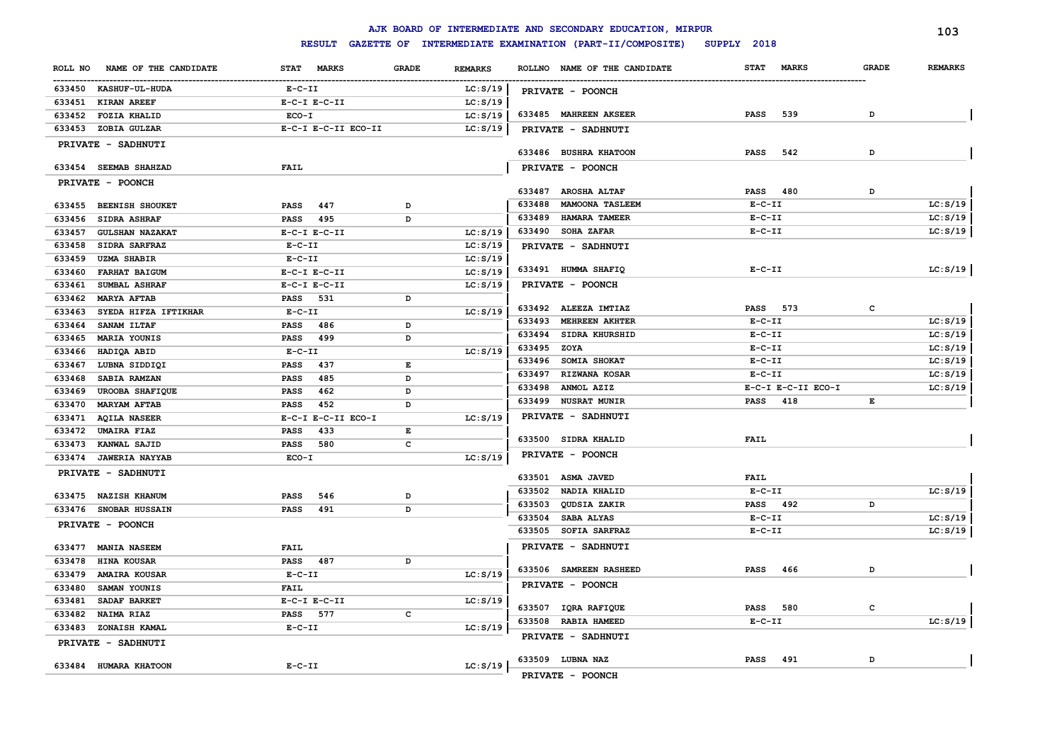#### **ROLL NO NAME OF THE CANDIDATE STAT MARKS GRADE REMARKS** ------------------------------------------------------------------------------------------------------------------------------------------------------------------------------------------------------------------------ **ROLLNO NAME OF THE CANDIDATE REMARKS<sup>103</sup> STAT MARKS GRADE KASHUF-UL-HUDA E-C-II LC:S/19 KIRAN AREEF E-C-I E-C-II LC:S/19 FOZIA KHALID ECO-I LC:S/19 ZOBIA GULZAR E-C-I E-C-II ECO-II LC:S/19 PRIVATE - SADHNUTI PRIVATE - SADHNUTI SEEMAB SHAHZAD FAIL PRIVATE - POONCH BEENISH SHOUKET PASS 447 D SIDRA ASHRAF PASS 495 D GULSHAN NAZAKAT E-C-I E-C-II LC:S/19 SIDRA SARFRAZ E-C-II LC:S/19 UZMA SHABIR E-C-II LC:S/19 FARHAT BAIGUM E-C-I E-C-II LC:S/19 SUMBAL ASHRAF E-C-I E-C-II LC:S/19 MARYA AFTAB PASS 531 D SYEDA HIFZA IFTIKHAR E-C-II LC:S/19 SANAM ILTAF PASS 486 D MARIA YOUNIS PASS 499 D HADIQA ABID E-C-II LC:S/19 LUBNA SIDDIQI PASS 437 E SABIA RAMZAN PASS 485 D UROOBA SHAFIQUE PASS 462 D MARYAM AFTAB PASS 452 D AQILA NASEER E-C-I E-C-II ECO-I LC:S/19 UMAIRA FIAZ PASS 433 E KANWAL SAJID PASS 580 C JAWERIA NAYYAB ECO-I LC:S/19 PRIVATE - SADHNUTI NAZISH KHANUM PASS 546 D SNOBAR HUSSAIN PASS 491 D PRIVATE - POONCH MANIA NASEEM FAIL HINA KOUSAR PASS 487 D AMAIRA KOUSAR E-C-II LC:S/19 SAMAN YOUNIS FAIL SADAF BARKET E-C-I E-C-II LC:S/19 NAIMA RIAZ PASS 577 C ZONAISH KAMAL E-C-II LC:S/19 PRIVATE - SADHNUTI HUMARA KHATOON E-C-II LC:S/19 PRIVATE - POONCH MAHREEN AKSEER PASS 539 D BUSHRA KHATOON PASS 542 D PRIVATE - POONCH AROSHA ALTAF PASS 480 D MAMOONA TASLEEM E-C-II LC:S/19 HAMARA TAMEER E-C-II LC:S/19 SOHA ZAFAR E-C-II LC:S/19 PRIVATE - SADHNUTI HUMMA SHAFIQ E-C-II LC:S/19 PRIVATE - POONCH ALEEZA IMTIAZ PASS 573 C MEHREEN AKHTER E-C-II LC:S/19 SIDRA KHURSHID E-C-II LC:S/19 ZOYA E-C-II LC:S/19 SOMIA SHOKAT E-C-II LC:S/19 RIZWANA KOSAR E-C-II LC:S/19 ANMOL AZIZ E-C-I E-C-II ECO-I LC:S/19 NUSRAT MUNIR PASS 418 E PRIVATE - SADHNUTI SIDRA KHALID FAIL PRIVATE - POONCH ASMA JAVED FAIL NADIA KHALID E-C-II LC:S/19 QUDSIA ZAKIR PASS 492 D SABA ALYAS E-C-II LC:S/19 SOFIA SARFRAZ E-C-II LC:S/19 PRIVATE - SADHNUTI SAMREEN RASHEED PASS 466 D PRIVATE - POONCH IQRA RAFIQUE PASS 580 C RABIA HAMEED E-C-II LC:S/19 PRIVATE - SADHNUTI LUBNA NAZ PASS 491 D**

**PRIVATE - POONCH**

**AJK BOARD OF INTERMEDIATE AND SECONDARY EDUCATION, MIRPUR**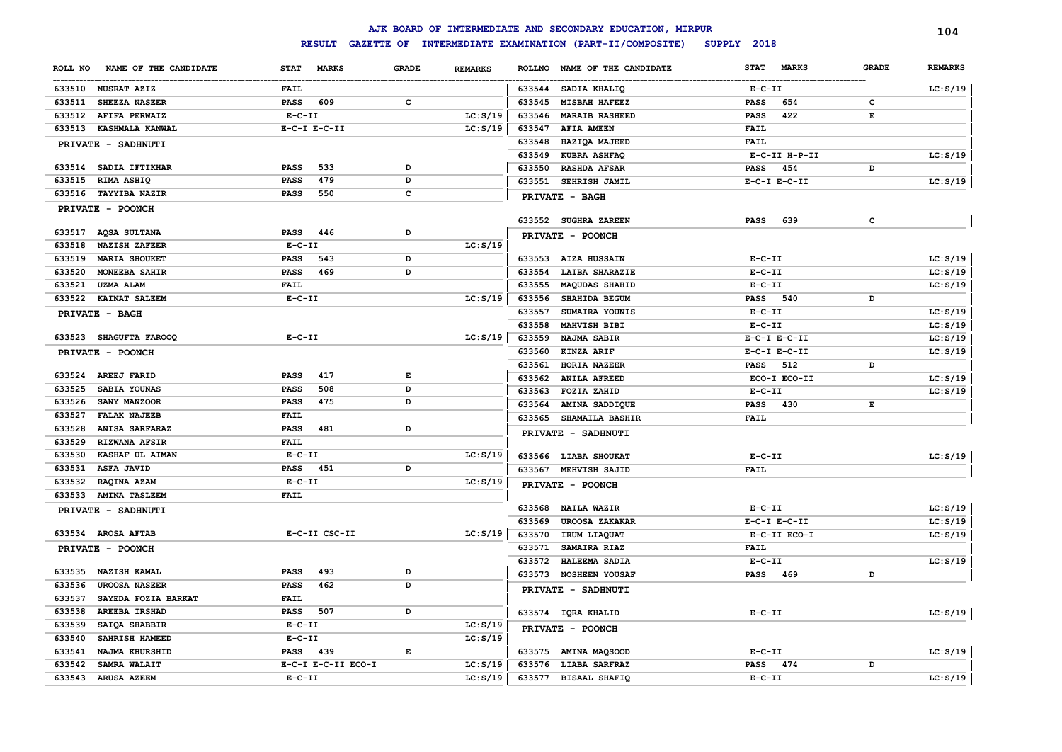|                                  |                             |              |                | AJK BOARD OF INTERMEDIATE AND SECONDARY EDUCATION, MIRPUR      |                                  |              | 104            |
|----------------------------------|-----------------------------|--------------|----------------|----------------------------------------------------------------|----------------------------------|--------------|----------------|
|                                  |                             |              |                | RESULT GAZETTE OF INTERMEDIATE EXAMINATION (PART-II/COMPOSITE) | SUPPLY 2018                      |              |                |
| NAME OF THE CANDIDATE<br>ROLL NO | <b>MARKS</b><br><b>STAT</b> | <b>GRADE</b> | <b>REMARKS</b> | <b>ROLLNO</b><br>NAME OF THE CANDIDATE                         | <b>STAT</b><br><b>MARKS</b>      | <b>GRADE</b> | <b>REMARKS</b> |
| 633510 NUSRAT AZIZ               | <b>FAIL</b>                 |              |                | 633544<br>SADIA KHALIQ                                         | $E- C- II$                       |              | LC: S/19       |
| 633511<br><b>SHEEZA NASEER</b>   | 609<br><b>PASS</b>          | c            |                | 633545<br><b>MISBAH HAFEEZ</b>                                 | 654<br>PASS                      | c            |                |
| 633512<br><b>AFIFA PERWAIZ</b>   | $E - C - II$                |              | LC: S/19       | 633546<br><b>MARAIB RASHEED</b>                                | 422<br>PASS                      | $\mathbf E$  |                |
| 633513<br><b>KASHMALA KANWAL</b> | $E-C-I$ $E-C-II$            |              | LC: S/19       | 633547<br><b>AFIA AMEEN</b>                                    | FAIL                             |              |                |
| PRIVATE - SADHNUTI               |                             |              |                | HAZIQA MAJEED<br>633548                                        | <b>FAIL</b>                      |              |                |
|                                  |                             |              |                | 633549<br><b>KUBRA ASHFAQ</b>                                  | E-C-II H-P-II                    |              | LC: S/19       |
| 633514 SADIA IFTIKHAR            | <b>PASS</b><br>533          | D            |                | 633550<br><b>RASHDA AFSAR</b>                                  | <b>PASS</b><br>454               | D            |                |
| 633515<br>RIMA ASHIQ             | <b>PASS</b><br>479          | D            |                | 633551<br>SEHRISH JAMIL                                        | $E-C-I$ $E-C-II$                 |              | LC: S/19       |
| 633516 TAYYIBA NAZIR             | 550<br><b>PASS</b>          | $\mathbf{C}$ |                | PRIVATE - BAGH                                                 |                                  |              |                |
| PRIVATE - POONCH                 |                             |              |                |                                                                |                                  |              |                |
|                                  |                             |              |                | 633552 SUGHRA ZAREEN                                           | <b>PASS</b><br>639               | c            |                |
| 633517 AQSA SULTANA              | 446<br><b>PASS</b>          | D            |                | PRIVATE - POONCH                                               |                                  |              |                |
| 633518<br><b>NAZISH ZAFEER</b>   | $E-C-II$                    |              | LC: S/19       |                                                                |                                  |              |                |
| 633519<br><b>MARIA SHOUKET</b>   | <b>PASS</b><br>543          | D            |                | 633553 AIZA HUSSAIN                                            | $E - C - II$                     |              | LC: S/19       |
| 633520<br><b>MONEEBA SAHIR</b>   | <b>PASS</b><br>469          | D            |                | 633554<br><b>LAIBA SHARAZIE</b>                                | $E - C - II$                     |              | LC: S/19       |
| 633521<br><b>UZMA ALAM</b>       | FAIL                        |              |                | 633555<br><b>MAQUDAS SHAHID</b>                                | $E - C - II$                     |              | LC: S/19       |
| 633522 KAINAT SALEEM             | $E-C-II$                    |              | LC: S/19       | 633556<br>SHAHIDA BEGUM                                        | PASS 540                         | D            |                |
| PRIVATE - BAGH                   |                             |              |                | 633557<br>SUMAIRA YOUNIS                                       | $E-C-II$                         |              | LC: S/19       |
|                                  |                             |              |                | 633558<br>MAHVISH BIBI                                         | $E - C - II$                     |              | LC: S/19       |
| 633523 SHAGUFTA FAROOQ           | $E - C - II$                |              | LC: S/19       | 633559<br>NAJMA SABIR                                          | $E-C-I$ $E-C-II$                 |              | LC: S/19       |
| PRIVATE - POONCH                 |                             |              |                | 633560<br>KINZA ARIF                                           | $E-C-I$ $E-C-II$                 |              | LC: S/19       |
|                                  |                             |              |                | 633561<br>HORIA NAZEER                                         | <b>PASS</b> 512                  | D            |                |
| AREEJ FARID<br>633524            | <b>PASS</b><br>417          | $\mathbf E$  |                | 633562<br><b>ANILA AFREED</b>                                  | ECO-I ECO-II                     |              | LC: S/19       |
| SABIA YOUNAS<br>633525           | 508<br><b>PASS</b>          | D            |                | 633563<br>FOZIA ZAHID                                          | $E - C - II$                     |              | LC: S/19       |
| 633526<br>SANY MANZOOR           | <b>PASS</b><br>475          | D            |                | 633564<br>AMINA SADDIQUE                                       | 430<br>PASS                      | E            |                |
| 633527<br><b>FALAK NAJEEB</b>    | FAIL                        |              |                | 633565<br><b>SHAMAILA BASHIR</b>                               | FAIL                             |              |                |
| <b>ANISA SARFARAZ</b><br>633528  | 481<br>PASS                 | D            |                | PRIVATE - SADHNUTI                                             |                                  |              |                |
| 633529<br><b>RIZWANA AFSIR</b>   | <b>FAIL</b>                 |              |                |                                                                |                                  |              |                |
| 633530<br>KASHAF UL AIMAN        | $E - C - II$                |              | LC: S/19       | 633566 LIABA SHOUKAT                                           | $E-C-II$                         |              | LC: S/19       |
| ASFA JAVID<br>633531             | 451<br><b>PASS</b>          | D            |                | 633567<br><b>MEHVISH SAJID</b>                                 | <b>FAIL</b>                      |              |                |
| 633532<br>RAQINA AZAM            | $E - C - II$                |              | LC: S/19       | PRIVATE - POONCH                                               |                                  |              |                |
| 633533<br><b>AMINA TASLEEM</b>   | <b>FAIL</b>                 |              |                |                                                                |                                  |              | LC: S/19       |
| PRIVATE - SADHNUTI               |                             |              |                | 633568<br><b>NAILA WAZIR</b>                                   | $E - C - II$                     |              |                |
| 633534 AROSA AFTAB               | E-C-II CSC-II               |              | LC: S/19       | 633569<br><b>UROOSA ZAKAKAR</b>                                | $E-C-I$ $E-C-II$<br>E-C-II ECO-I |              | LC: S/19       |
|                                  |                             |              |                | 633570<br>IRUM LIAQUAT<br>633571<br>SAMAIRA RIAZ               | <b>FAIL</b>                      |              | LC: S/19       |
| PRIVATE - POONCH                 |                             |              |                | 633572<br>HALEEMA SADIA                                        | $E- C- II$                       |              | LC: S/19       |
| 633535<br><b>NAZISH KAMAL</b>    | <b>PASS</b><br>493          | D            |                | 633573<br><b>NOSHEEN YOUSAF</b>                                | <b>PASS</b><br>469               | D            |                |
| 633536<br><b>UROOSA NASEER</b>   | <b>PASS</b><br>462          | D            |                |                                                                |                                  |              |                |
| 633537<br>SAYEDA FOZIA BARKAT    | FAIL                        |              |                | PRIVATE - SADHNUTI                                             |                                  |              |                |
| <b>AREEBA IRSHAD</b><br>633538   | <b>PASS</b><br>507          | D            |                | 633574 IQRA KHALID                                             | $E- C- II$                       |              | LC: S/19       |
| 633539<br>SAIQA SHABBIR          | $E - C - II$                |              | LC: S/19       | PRIVATE - POONCH                                               |                                  |              |                |
| 633540<br>SAHRISH HAMEED         | $E-C-II$                    |              | LC: S/19       |                                                                |                                  |              |                |
| 633541<br>NAJMA KHURSHID         | 439<br><b>PASS</b>          | $\mathbf E$  |                | 633575 AMINA MAQSOOD                                           | $E - C - II$                     |              | LC: S/19       |
| 633542<br><b>SAMRA WALAIT</b>    | E-C-I E-C-II ECO-I          |              | LC: S/19       | 633576 LIABA SARFRAZ                                           | 474<br><b>PASS</b>               | D            |                |
| 633543<br><b>ARUSA AZEEM</b>     | $E - C - II$                |              | LC: S/19       | 633577<br><b>BISAAL SHAFIQ</b>                                 | $E - C - II$                     |              | LC: S/19       |
|                                  |                             |              |                |                                                                |                                  |              |                |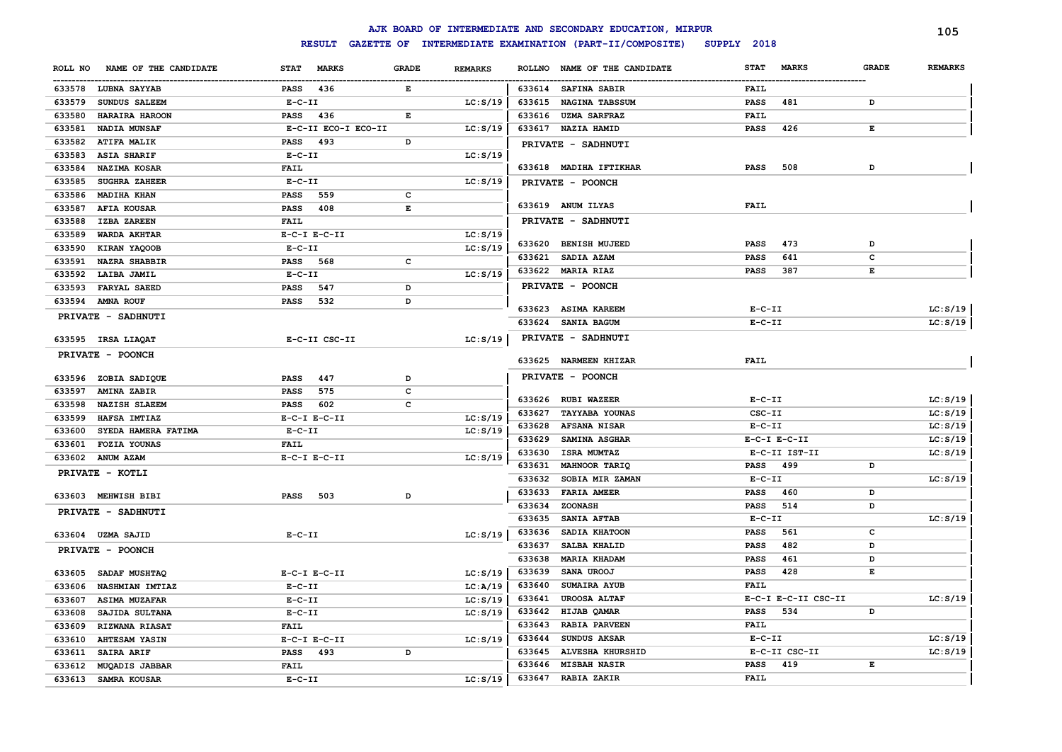|         |                           |                  |                     |              |                |        | AJK BOARD OF INTERMEDIATE AND SECONDARY EDUCATION, MIRPUR              |              |                     |              | 105            |
|---------|---------------------------|------------------|---------------------|--------------|----------------|--------|------------------------------------------------------------------------|--------------|---------------------|--------------|----------------|
|         |                           |                  | <b>RESULT</b>       |              |                |        | GAZETTE OF INTERMEDIATE EXAMINATION (PART-II/COMPOSITE)<br>SUPPLY 2018 |              |                     |              |                |
| ROLL NO | NAME OF THE CANDIDATE     | <b>STAT</b>      | <b>MARKS</b>        | <b>GRADE</b> | <b>REMARKS</b> |        | ROLLNO NAME OF THE CANDIDATE                                           | <b>STAT</b>  | <b>MARKS</b>        | <b>GRADE</b> | <b>REMARKS</b> |
|         | 633578 LUBNA SAYYAB       | PASS             | 436                 | Е            |                |        | 633614 SAFINA SABIR                                                    | <b>FAIL</b>  |                     |              |                |
| 633579  | SUNDUS SALEEM             | $E-C-II$         |                     |              | LC: S/19       | 633615 | NAGINA TABSSUM                                                         | PASS         | 481                 | D            |                |
| 633580  | HARAIRA HAROON            | PASS             | 436                 | E            |                | 633616 | <b>UZMA SARFRAZ</b>                                                    | FAIL         |                     |              |                |
| 633581  | NADIA MUNSAF              |                  | E-C-II ECO-I ECO-II |              | LC: S/19       | 633617 | <b>NAZIA HAMID</b>                                                     | <b>PASS</b>  | 426                 | $\mathbf{E}$ |                |
| 633582  | <b>ATIFA MALIK</b>        | PASS             | 493                 | D            |                |        | PRIVATE - SADHNUTI                                                     |              |                     |              |                |
| 633583  | <b>ASIA SHARIF</b>        | $E - C - II$     |                     |              | LC: S/19       |        |                                                                        |              |                     |              |                |
| 633584  | NAZIMA KOSAR              | <b>FAIL</b>      |                     |              |                |        | 633618 MADIHA IFTIKHAR                                                 | <b>PASS</b>  | 508                 | D            |                |
| 633585  | <b>SUGHRA ZAHEER</b>      | $E-C-II$         |                     |              | LC: S/19       |        | PRIVATE - POONCH                                                       |              |                     |              |                |
| 633586  | <b>MADIHA KHAN</b>        | PASS             | 559                 | c            |                |        |                                                                        |              |                     |              |                |
| 633587  | <b>AFIA KOUSAR</b>        | <b>PASS</b>      | 408                 | E            |                |        | 633619 ANUM ILYAS                                                      | FAIL         |                     |              |                |
| 633588  | <b>IZBA ZAREEN</b>        | <b>FAIL</b>      |                     |              |                |        | PRIVATE - SADHNUTI                                                     |              |                     |              |                |
| 633589  | WARDA AKHTAR              | $E-C-I$ $E-C-II$ |                     |              | LC: S/19       |        |                                                                        |              |                     |              |                |
| 633590  | KIRAN YAQOOB              | $E - C - II$     |                     |              | LC: S/19       |        | 633620 BENISH MUJEED                                                   | <b>PASS</b>  | 473                 | D            |                |
| 633591  | <b>NAZRA SHABBIR</b>      | PASS             | 568                 | c            |                | 633621 | <b>SADIA AZAM</b>                                                      | <b>PASS</b>  | 641                 | c            |                |
| 633592  | LAIBA JAMIL               | $E - C - II$     |                     |              | LC: S/19       |        | 633622 MARIA RIAZ                                                      | PASS         | 387                 | Е            |                |
| 633593  | <b>FARYAL SAEED</b>       | <b>PASS</b>      | 547                 | D            |                |        | PRIVATE - POONCH                                                       |              |                     |              |                |
| 633594  | <b>AMNA ROUF</b>          | <b>PASS</b>      | 532                 | D            |                |        |                                                                        |              |                     |              |                |
|         | PRIVATE - SADHNUTI        |                  |                     |              |                | 633623 | <b>ASIMA KAREEM</b>                                                    | $E-C-II$     |                     |              | LC: S/19       |
|         |                           |                  |                     |              |                | 633624 | <b>SANIA BAGUM</b>                                                     | $E - C - II$ |                     |              | LC: S/19       |
|         | 633595 IRSA LIAQAT        |                  | E-C-II CSC-II       |              | LC: S/19       |        | PRIVATE - SADHNUTI                                                     |              |                     |              |                |
|         | PRIVATE - POONCH          |                  |                     |              |                | 633625 | <b>NARMEEN KHIZAR</b>                                                  | <b>FAIL</b>  |                     |              |                |
|         |                           |                  |                     |              |                |        |                                                                        |              |                     |              |                |
|         | 633596 ZOBIA SADIQUE      | <b>PASS</b>      | 447                 | D            |                |        | PRIVATE - POONCH                                                       |              |                     |              |                |
| 633597  | AMINA ZABIR               | <b>PASS</b>      | 575                 | c            |                |        | 633626 RUBI WAZEER                                                     | $E-C-II$     |                     |              | LC: S/19       |
| 633598  | <b>NAZISH SLAEEM</b>      | PASS             | 602                 | C            |                | 633627 | <b>TAYYABA YOUNAS</b>                                                  | CSC-II       |                     |              | LC: S/19       |
| 633599  | HAFSA IMTIAZ              | $E-C-I$ $E-C-II$ |                     |              | LC: S/19       | 633628 | <b>AFSANA NISAR</b>                                                    | $E-C-II$     |                     |              | LC: S/19       |
| 633600  | SYEDA HAMERA FATIMA       | $E-C-II$         |                     |              | LC: S/19       | 633629 | SAMINA ASGHAR                                                          |              | $E-C-I$ $E-C-II$    |              | LC: S/19       |
| 633601  | <b>FOZIA YOUNAS</b>       | <b>FAIL</b>      |                     |              |                | 633630 | <b>ISRA MUMTAZ</b>                                                     |              | E-C-II IST-II       |              | LC: S/19       |
|         | 633602 ANUM AZAM          | $E-C-I$ $E-C-II$ |                     |              | LC: S/19       | 633631 | MAHNOOR TARIQ                                                          | <b>PASS</b>  | 499                 | D            |                |
|         | PRIVATE - KOTLI           |                  |                     |              |                | 633632 | SOBIA MIR ZAMAN                                                        | $E-C-II$     |                     |              | LC: S/19       |
|         |                           |                  |                     |              |                | 633633 | <b>FARIA AMEER</b>                                                     | <b>PASS</b>  | 460                 | D            |                |
|         | 633603 MEHWISH BIBI       | <b>PASS</b>      | 503                 | D            |                | 633634 | <b>ZOONASH</b>                                                         | <b>PASS</b>  | 514                 | D            |                |
|         | <b>PRIVATE - SADHNUTI</b> |                  |                     |              |                | 633635 | <b>SANIA AFTAB</b>                                                     | $E-C-II$     |                     |              | LC: S/19       |
|         | 633604 UZMA SAJID         | $E-C-II$         |                     |              | LC: S/19       | 633636 | SADIA KHATOON                                                          | <b>PASS</b>  | 561                 | c            |                |
|         |                           |                  |                     |              |                | 633637 | <b>SALBA KHALID</b>                                                    | <b>PASS</b>  | 482                 | D            |                |
|         | PRIVATE - POONCH          |                  |                     |              |                | 633638 | <b>MARIA KHADAM</b>                                                    | <b>PASS</b>  | 461                 | D            |                |
| 633605  | SADAF MUSHTAQ             | $E-C-I$ $E-C-II$ |                     |              | LC: S/19       | 633639 | SANA UROOJ                                                             | <b>PASS</b>  | 428                 | E            |                |
| 633606  | <b>NASHMIAN IMTIAZ</b>    | $E-C-II$         |                     |              | LC: A/19       | 633640 | SUMAIRA AYUB                                                           | <b>FAIL</b>  |                     |              |                |
| 633607  | <b>ASIMA MUZAFAR</b>      | $E-C-II$         |                     |              | LC: S/19       | 633641 | <b>UROOSA ALTAF</b>                                                    |              | E-C-I E-C-II CSC-II |              | LC: S/19       |
| 633608  | SAJIDA SULTANA            | $E-C-II$         |                     |              | LC: S/19       | 633642 | HIJAB QAMAR                                                            | <b>PASS</b>  | 534                 | D            |                |
| 633609  | <b>RIZWANA RIASAT</b>     | <b>FAIL</b>      |                     |              |                | 633643 | <b>RABIA PARVEEN</b>                                                   | <b>FAIL</b>  |                     |              |                |
| 633610  | AHTESAM YASIN             | $E-C-I$ $E-C-II$ |                     |              | LC: S/19       | 633644 | SUNDUS AKSAR                                                           | $E- C- II$   |                     |              | LC: S/19       |
| 633611  | SAIRA ARIF                | PASS 493         |                     | D            |                | 633645 | <b>ALVESHA KHURSHID</b>                                                |              | E-C-II CSC-II       |              | LC: S/19       |
|         | 633612 MUQADIS JABBAR     | <b>FAIL</b>      |                     |              |                | 633646 | <b>MISBAH NASIR</b>                                                    | PASS         | 419                 | E            |                |
|         | 633613 SAMRA KOUSAR       | $E-C-II$         |                     |              | LC: S/19       | 633647 | <b>RABIA ZAKIR</b>                                                     | <b>FAIL</b>  |                     |              |                |
|         |                           |                  |                     |              |                |        |                                                                        |              |                     |              |                |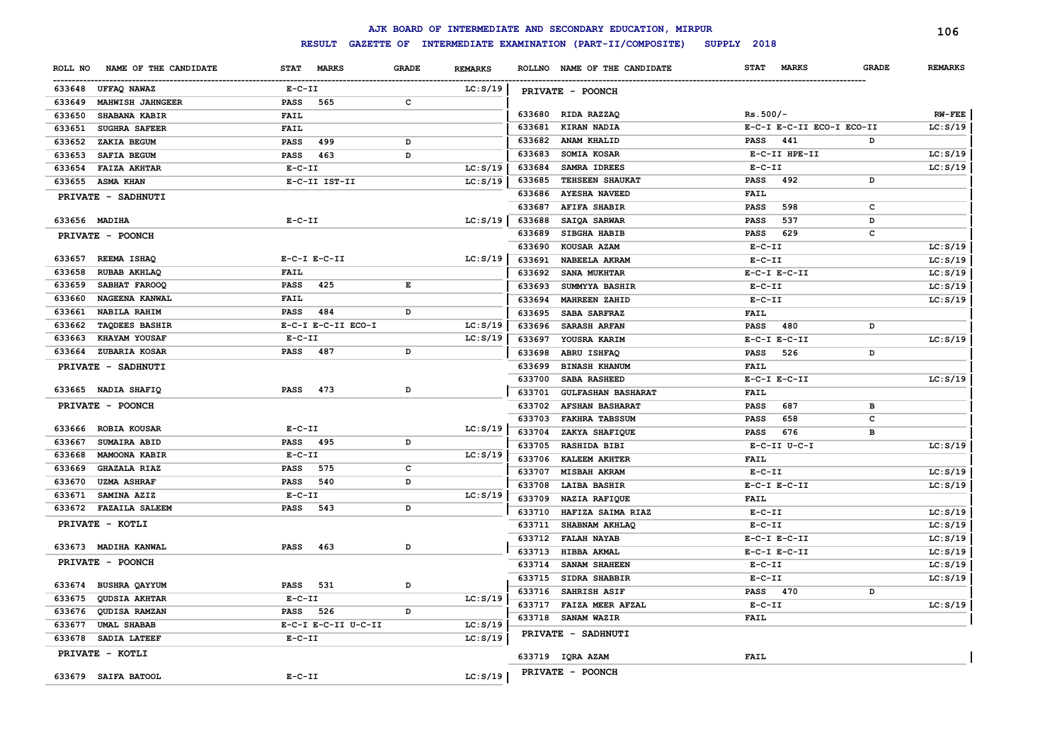|                                  |                     |              |                |                              | AJK BOARD OF INTERMEDIATE AND SECONDARY EDUCATION, MIRPUR |                             |              | 106            |
|----------------------------------|---------------------|--------------|----------------|------------------------------|-----------------------------------------------------------|-----------------------------|--------------|----------------|
|                                  | <b>RESULT</b>       |              |                |                              | GAZETTE OF INTERMEDIATE EXAMINATION (PART-II/COMPOSITE)   | SUPPLY 2018                 |              |                |
| ROLL NO<br>NAME OF THE CANDIDATE | STAT MARKS          | <b>GRADE</b> | <b>REMARKS</b> |                              | ROLLNO NAME OF THE CANDIDATE                              | <b>STAT</b><br><b>MARKS</b> | <b>GRADE</b> | <b>REMARKS</b> |
| 633648<br>UFFAQ NAWAZ            | $E-C-II$            |              | LC: S/19       | PRIVATE - POONCH             |                                                           |                             |              |                |
| 633649<br>MAHWISH JAHNGEER       | <b>PASS</b><br>565  | c            |                |                              |                                                           |                             |              |                |
| 633650<br><b>SHABANA KABIR</b>   | <b>FAIL</b>         |              |                | 633680 RIDA RAZZAQ           |                                                           | $Rs.500/-$                  |              | $RW-FEE$       |
| 633651<br><b>SUGHRA SAFEER</b>   | FAIL                |              |                | 633681<br>KIRAN NADIA        |                                                           | E-C-I E-C-II ECO-I ECO-II   |              | LC: S/19       |
| 633652<br>ZAKIA BEGUM            | 499<br><b>PASS</b>  | D            |                | 633682<br>ANAM KHALID        |                                                           | <b>PASS</b><br>441          | D            |                |
| 633653<br><b>SAFIA BEGUM</b>     | <b>PASS</b><br>463  | D            |                | 633683<br>SOMIA KOSAR        |                                                           | E-C-II HPE-II               |              | LC: S/19       |
| 633654<br><b>FAIZA AKHTAR</b>    | $E- C- II$          |              | LC: S/19       | 633684                       | SAMRA IDREES                                              | $E-C-II$                    |              | LC: S/19       |
| 633655<br><b>ASMA KHAN</b>       | E-C-II IST-II       |              | LC: S/19       | 633685                       | TEHSEEN SHAUKAT                                           | <b>PASS</b><br>492          | D            |                |
| PRIVATE - SADHNUTI               |                     |              |                | 633686                       | <b>AYESHA NAVEED</b>                                      | <b>FAIL</b>                 |              |                |
|                                  |                     |              |                | 633687                       | <b>AFIFA SHABIR</b>                                       | <b>PASS</b><br>598          | $\mathbf{C}$ |                |
| 633656 MADIHA                    | $E-C-II$            |              | LC: S/19       | 633688                       | SAIQA SARWAR                                              | 537<br><b>PASS</b>          | D            |                |
| PRIVATE - POONCH                 |                     |              |                | 633689                       | SIBGHA HABIB                                              | <b>PASS</b><br>629          | c            |                |
|                                  |                     |              |                | 633690<br>KOUSAR AZAM        |                                                           | $E-C-II$                    |              | LC: S/19       |
| 633657<br>REEMA ISHAQ            | $E-C-I$ $E-C-II$    |              | LC: S/19       | 633691                       | NABEELA AKRAM                                             | $E-C-II$                    |              | LC: S/19       |
| 633658<br>RUBAB AKHLAQ           | FAIL                |              |                | 633692                       | SANA MUKHTAR                                              | $E-C-I$ $E-C-II$            |              | LC: S/19       |
| 633659<br>SABHAT FAROOQ          | <b>PASS</b><br>425  | Е            |                | 633693                       | SUMMYYA BASHIR                                            | $E-C-II$                    |              | LC: S/19       |
| 633660<br>NAGEENA KANWAL         | <b>FAIL</b>         |              |                | 633694                       | <b>MAHREEN ZAHID</b>                                      | $E-C-II$                    |              | LC: S/19       |
| 633661<br>NABILA RAHIM           | 484<br>PASS         | D            |                | 633695                       | SABA SARFRAZ                                              | <b>FAIL</b>                 |              |                |
| 633662<br><b>TAQDEES BASHIR</b>  | E-C-I E-C-II ECO-I  |              | LC: S/19       | 633696                       | <b>SARASH ARFAN</b>                                       | 480<br><b>PASS</b>          | D            |                |
| 633663<br>KHAYAM YOUSAF          | $E- C- II$          |              | LC: S/19       | 633697                       | YOUSRA KARIM                                              | $E-C-I$ $E-C-II$            |              | LC: S/19       |
| 633664<br>ZUBARIA KOSAR          | <b>PASS</b><br>487  | D            |                | 633698<br>ABRU ISHFAQ        |                                                           | 526<br><b>PASS</b>          | D            |                |
| PRIVATE - SADHNUTI               |                     |              |                | 633699                       | <b>BINASH KHANUM</b>                                      | <b>FAIL</b>                 |              |                |
|                                  |                     |              |                | 633700                       | <b>SABA RASHEED</b>                                       | $E-C-I$ $E-C-II$            |              | LC: S/19       |
| 633665 NADIA SHAFIQ              | 473<br><b>PASS</b>  | D            |                | 633701                       | <b>GULFASHAN BASHARAT</b>                                 | <b>FAIL</b>                 |              |                |
| PRIVATE - POONCH                 |                     |              |                | 633702                       | <b>AFSHAN BASHARAT</b>                                    | 687<br>PASS                 | в            |                |
|                                  |                     |              |                | 633703                       | <b>FAKHRA TABSSUM</b>                                     | 658<br>PASS                 | c            |                |
| 633666<br><b>ROBIA KOUSAR</b>    | $E-C-II$            |              | LC: S/19       | 633704                       | ZAKYA SHAFIQUE                                            | 676<br><b>PASS</b>          | в            |                |
| 633667<br>SUMAIRA ABID           | <b>PASS</b><br>495  | D            |                | 633705                       | RASHIDA BIBI                                              | $E-C-II$ $U-C-I$            |              | LC: S/19       |
| 633668<br><b>MAMOONA KABIR</b>   | $E-C-II$            |              | LC: S/19       | 633706                       | <b>KALEEM AKHTER</b>                                      | <b>FAIL</b>                 |              |                |
| 633669<br><b>GHAZALA RIAZ</b>    | <b>PASS</b><br>575  | c            |                | 633707                       | MISBAH AKRAM                                              | $E-C-II$                    |              | LC: S/19       |
| 633670<br><b>UZMA ASHRAF</b>     | <b>PASS</b><br>540  | D            |                | 633708                       | LAIBA BASHIR                                              | $E-C-I$ $E-C-II$            |              | LC: S/19       |
| 633671<br>SAMINA AZIZ            | $E-C-II$            |              | LC: S/19       | 633709                       | NAZIA RAFIQUE                                             | <b>FAIL</b>                 |              |                |
| <b>FAZAILA SALEEM</b><br>633672  | <b>PASS</b><br>543  | D            |                | 633710                       | HAFIZA SAIMA RIAZ                                         | $E-C-II$                    |              | LC: S/19       |
| PRIVATE - KOTLI                  |                     |              |                | 633711                       | SHABNAM AKHLAQ                                            | $E- C- II$                  |              | LC: S/19       |
|                                  | 463<br>PASS         | D            |                | 633712<br><b>FALAH NAYAB</b> |                                                           | $E-C-I$ $E-C-II$            |              | LC: S/19       |
| 633673 MADIHA KANWAL             |                     |              |                | 633713<br>HIBBA AKMAL        |                                                           | $E-C-I$ $E-C-II$            |              | LC: S/19       |
| PRIVATE - POONCH                 |                     |              |                | 633714                       | <b>SANAM SHAHEEN</b>                                      | $E-C-II$                    |              | LC: S/19       |
| 633674 BUSHRA QAYYUM             | PASS<br>531         | D            |                | 633715                       | SIDRA SHABBIR                                             | $E - C - II$                |              | LC: S/19       |
| 633675<br>QUDSIA AKHTAR          | $E-C-II$            |              | LC: S/19       | 633716                       | SAHRISH ASIF                                              | <b>PASS</b><br>470          | D            |                |
| 633676<br>QUDISA RAMZAN          | PASS<br>526         | D            |                | 633717                       | <b>FAIZA MEER AFZAL</b>                                   | $E-C-II$                    |              | LC: S/19       |
| 633677<br><b>UMAL SHABAB</b>     | E-C-I E-C-II U-C-II |              | LC: S/19       | 633718<br>SANAM WAZIR        |                                                           | FAIL                        |              |                |
| 633678<br><b>SADIA LATEEF</b>    | $E-C-II$            |              | LC: S/19       | PRIVATE - SADHNUTI           |                                                           |                             |              |                |
|                                  |                     |              |                |                              |                                                           |                             |              |                |
| PRIVATE - KOTLI                  |                     |              |                | 633719 IQRA AZAM             |                                                           | FAIL                        |              |                |
| 633679 SAIFA BATOOL              | $E - C - II$        |              | LC: S/19       | PRIVATE - POONCH             |                                                           |                             |              |                |
|                                  |                     |              |                |                              |                                                           |                             |              |                |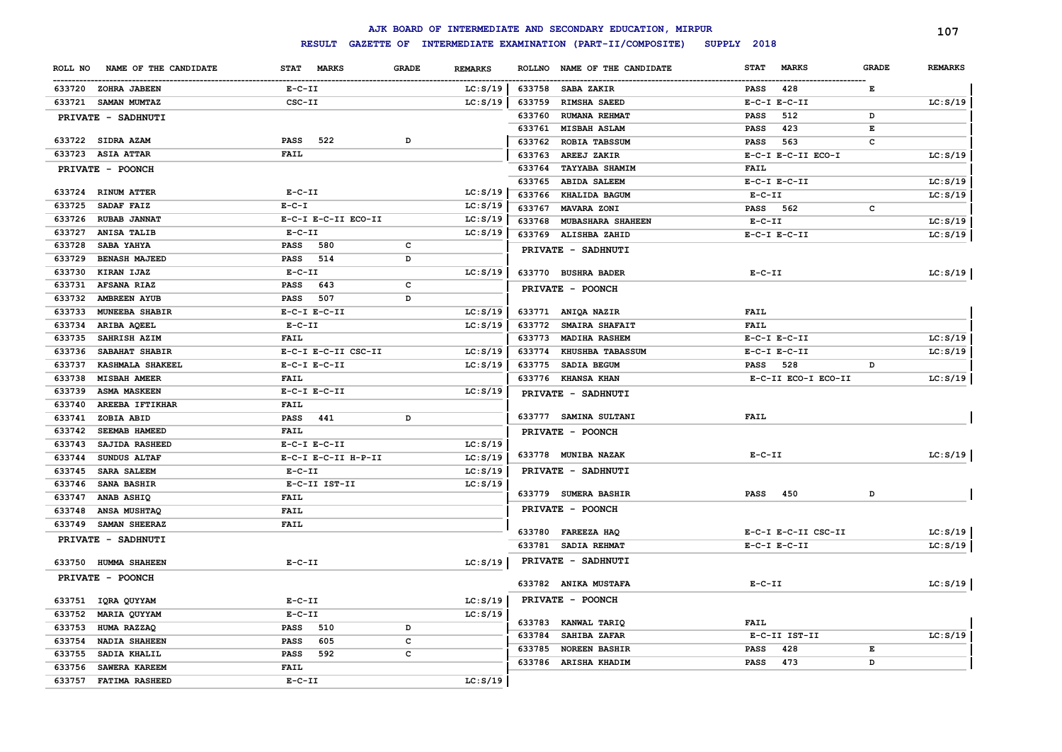|         |                        |                  |                     |              |                |        | AJK BOARD OF INTERMEDIATE AND SECONDARY EDUCATION, MIRPUR |              |                     |              | 107            |
|---------|------------------------|------------------|---------------------|--------------|----------------|--------|-----------------------------------------------------------|--------------|---------------------|--------------|----------------|
|         |                        |                  | <b>RESULT</b>       |              |                |        | GAZETTE OF INTERMEDIATE EXAMINATION (PART-II/COMPOSITE)   | SUPPLY 2018  |                     |              |                |
| ROLL NO | NAME OF THE CANDIDATE  | STAT MARKS       |                     | <b>GRADE</b> | <b>REMARKS</b> |        | ROLLNO NAME OF THE CANDIDATE                              | <b>STAT</b>  | <b>MARKS</b>        | <b>GRADE</b> | <b>REMARKS</b> |
|         | 633720 ZOHRA JABEEN    | $E-C-II$         |                     |              | LC: S/19       | 633758 | <b>SABA ZAKIR</b>                                         | PASS         | 428                 | Е            |                |
|         | 633721 SAMAN MUMTAZ    | CSC-II           |                     |              | LC: S/19       | 633759 | RIMSHA SAEED                                              |              | $E-C-I$ $E-C-II$    |              | LC: S/19       |
|         | PRIVATE - SADHNUTI     |                  |                     |              |                | 633760 | <b>RUMANA REHMAT</b>                                      | PASS         | 512                 | D            |                |
|         |                        |                  |                     |              |                | 633761 | MISBAH ASLAM                                              | <b>PASS</b>  | 423                 | E            |                |
|         | 633722 SIDRA AZAM      | <b>PASS</b>      | 522                 | D            |                | 633762 | ROBIA TABSSUM                                             | <b>PASS</b>  | 563                 | c            |                |
|         | 633723 ASIA ATTAR      | <b>FAIL</b>      |                     |              |                | 633763 | AREEJ ZAKIR                                               |              | E-C-I E-C-II ECO-I  |              | LC: S/19       |
|         | PRIVATE - POONCH       |                  |                     |              |                | 633764 | <b>TAYYABA SHAMIM</b>                                     | FAIL         |                     |              |                |
|         |                        |                  |                     |              |                | 633765 | <b>ABIDA SALEEM</b>                                       |              | $E-C-I$ $E-C-II$    |              | LC: S/19       |
|         | 633724 RINUM ATTER     | $E - C - II$     |                     |              | LC: S/19       | 633766 | KHALIDA BAGUM                                             | $E- C- II$   |                     |              | LC: S/19       |
| 633725  | SADAF FAIZ             | $E - C - I$      |                     |              | LC: S/19       | 633767 | MAVARA ZONI                                               | PASS         | 562                 | с            |                |
| 633726  | <b>RUBAB JANNAT</b>    |                  | E-C-I E-C-II ECO-II |              | LC: S/19       | 633768 | MUBASHARA SHAHEEN                                         | $E- C- II$   |                     |              | LC: S/19       |
| 633727  | ANISA TALIB            | $E- C- II$       |                     |              | LC: S/19       | 633769 | ALISHBA ZAHID                                             |              | $E-C-I$ $E-C-II$    |              | LC: S/19       |
| 633728  | <b>SABA YAHYA</b>      | <b>PASS</b>      | 580                 | $\mathbf c$  |                |        | PRIVATE - SADHNUTI                                        |              |                     |              |                |
| 633729  | <b>BENASH MAJEED</b>   | <b>PASS</b>      | 514                 | D            |                |        |                                                           |              |                     |              |                |
| 633730  | KIRAN IJAZ             | $E-C-II$         |                     |              | LC: S/19       |        | 633770 BUSHRA BADER                                       | $E - C - II$ |                     |              | LC: S/19       |
| 633731  | <b>AFSANA RIAZ</b>     | <b>PASS</b>      | 643                 | c            |                |        | PRIVATE - POONCH                                          |              |                     |              |                |
| 633732  | <b>AMBREEN AYUB</b>    | PASS             | 507                 | D            |                |        |                                                           |              |                     |              |                |
| 633733  | MUNEEBA SHABIR         | $E-C-I$ $E-C-II$ |                     |              | LC: S/19       |        | 633771 ANIQA NAZIR                                        | <b>FAIL</b>  |                     |              |                |
| 633734  | ARIBA AQEEL            | $E-C-II$         |                     |              | LC: S/19       | 633772 | <b>SMAIRA SHAFAIT</b>                                     | FAIL         |                     |              |                |
| 633735  | SAHRISH AZIM           | <b>FAIL</b>      |                     |              |                | 633773 | MADIHA RASHEM                                             |              | $E-C-I$ $E-C-II$    |              | LC: S/19       |
| 633736  | SABAHAT SHABIR         |                  | E-C-I E-C-II CSC-II |              | LC: S/19       | 633774 | <b>KHUSHBA TABASSUM</b>                                   |              | $E-C-I$ $E-C-II$    |              | LC: S/19       |
| 633737  | KASHMALA SHAKEEL       | $E-C-I$ $E-C-II$ |                     |              | LC: S/19       | 633775 | SADIA BEGUM                                               | <b>PASS</b>  | 528                 | D            |                |
| 633738  | <b>MISBAH AMEER</b>    | <b>FAIL</b>      |                     |              |                |        | 633776 KHANSA KHAN                                        |              | E-C-II ECO-I ECO-II |              | LC: S/19       |
| 633739  | <b>ASMA MASKEEN</b>    | $E-C-I$ $E-C-II$ |                     |              | LC: S/19       |        | PRIVATE - SADHNUTI                                        |              |                     |              |                |
|         | 633740 AREEBA IFTIKHAR | <b>FAIL</b>      |                     |              |                |        |                                                           |              |                     |              |                |
| 633741  | ZOBIA ABID             | <b>PASS</b>      | 441                 | D            |                |        | 633777 SAMINA SULTANI                                     | <b>FAIL</b>  |                     |              |                |
| 633742  | <b>SEEMAB HAMEED</b>   | <b>FAIL</b>      |                     |              |                |        | PRIVATE - POONCH                                          |              |                     |              |                |
| 633743  | SAJIDA RASHEED         | $E-C-I$ $E-C-II$ |                     |              | LC: S/19       |        | 633778 MUNIBA NAZAK                                       | $E-C-II$     |                     |              | LC: S/19       |
| 633744  | <b>SUNDUS ALTAF</b>    |                  | E-C-I E-C-II H-P-II |              | LC: S/19       |        |                                                           |              |                     |              |                |
| 633745  | <b>SARA SALEEM</b>     | $E-C-II$         |                     |              | LC: S/19       |        | PRIVATE - SADHNUTI                                        |              |                     |              |                |
| 633746  | <b>SANA BASHIR</b>     |                  | E-C-II IST-II       |              | LC: S/19       |        | 633779 SUMERA BASHIR                                      | <b>PASS</b>  | 450                 | D            |                |
| 633747  | ANAB ASHIQ             | <b>FAIL</b>      |                     |              |                |        |                                                           |              |                     |              |                |
| 633748  | <b>ANSA MUSHTAQ</b>    | <b>FAIL</b>      |                     |              |                |        | PRIVATE - POONCH                                          |              |                     |              |                |
| 633749  | SAMAN SHEERAZ          | <b>FAIL</b>      |                     |              |                |        | 633780 FAREEZA HAQ                                        |              | E-C-I E-C-II CSC-II |              | LC: S/19       |
|         | PRIVATE - SADHNUTI     |                  |                     |              |                |        | 633781 SADIA REHMAT                                       |              | $E-C-I$ $E-C-II$    |              | LC: S/19       |
|         | 633750 HUMMA SHAHEEN   | $E-C-II$         |                     |              | LC: S/19       |        | PRIVATE - SADHNUTI                                        |              |                     |              |                |
|         |                        |                  |                     |              |                |        |                                                           |              |                     |              |                |
|         | PRIVATE - POONCH       |                  |                     |              |                |        | 633782 ANIKA MUSTAFA                                      | $E-C-II$     |                     |              | LC: S/19       |
|         | 633751 IQRA QUYYAM     | $E-C-II$         |                     |              | LC: S/19       |        | PRIVATE - POONCH                                          |              |                     |              |                |
| 633752  | <b>MARIA QUYYAM</b>    | $E-C-II$         |                     |              | LC: S/19       |        |                                                           |              |                     |              |                |
| 633753  | HUMA RAZZAQ            | <b>PASS</b>      | 510                 | D            |                |        | 633783 KANWAL TARIQ                                       | <b>FAIL</b>  |                     |              |                |
| 633754  | <b>NADIA SHAHEEN</b>   | <b>PASS</b>      | 605                 | $\mathbf c$  |                | 633784 | SAHIBA ZAFAR                                              |              | E-C-II IST-II       |              | LC: S/19       |
| 633755  | SADIA KHALIL           | <b>PASS</b>      | 592                 | C            |                | 633785 | <b>NOREEN BASHIR</b>                                      | <b>PASS</b>  | 428                 | Е            |                |
| 633756  | SAWERA KAREEM          | <b>FAIL</b>      |                     |              |                |        | 633786 ARISHA KHADIM                                      | <b>PASS</b>  | 473                 | D            |                |
| 633757  | <b>FATIMA RASHEED</b>  | $E-C-II$         |                     |              | LC: S/19       |        |                                                           |              |                     |              |                |
|         |                        |                  |                     |              |                |        |                                                           |              |                     |              |                |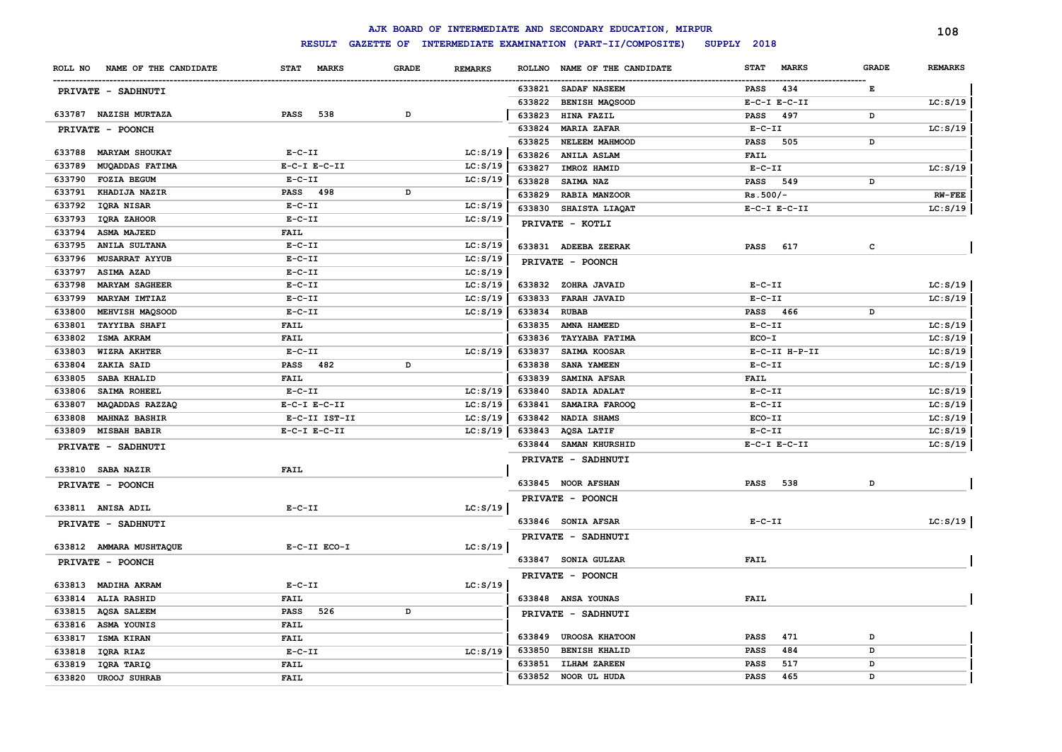|         |                         |                             |              |                |               | AJK BOARD OF INTERMEDIATE AND SECONDARY EDUCATION, MIRPUR |                  |               |              | 108            |
|---------|-------------------------|-----------------------------|--------------|----------------|---------------|-----------------------------------------------------------|------------------|---------------|--------------|----------------|
|         |                         | <b>RESULT</b>               |              |                |               | GAZETTE OF INTERMEDIATE EXAMINATION (PART-II/COMPOSITE)   | SUPPLY 2018      |               |              |                |
| ROLL NO | NAME OF THE CANDIDATE   | <b>STAT</b><br><b>MARKS</b> | <b>GRADE</b> | <b>REMARKS</b> | <b>ROLLNO</b> | NAME OF THE CANDIDATE                                     | <b>STAT</b>      | <b>MARKS</b>  | <b>GRADE</b> | <b>REMARKS</b> |
|         | PRIVATE - SADHNUTI      |                             |              |                |               | 633821 SADAF NASEEM                                       | PASS             | 434           | Е            |                |
|         |                         |                             |              |                | 633822        | BENISH MAQSOOD                                            | $E-C-I$ $E-C-II$ |               |              | LC: S/19       |
|         | 633787 NAZISH MURTAZA   | <b>PASS</b><br>538          | D            |                | 633823        | HINA FAZIL                                                | PASS             | 497           | D            |                |
|         | PRIVATE - POONCH        |                             |              |                | 633824        | <b>MARIA ZAFAR</b>                                        | $E-C-II$         |               |              | LC: S/19       |
|         |                         |                             |              |                | 633825        | NELEEM MAHMOOD                                            | PASS             | 505           | D            |                |
| 633788  | <b>MARYAM SHOUKAT</b>   | $E- C- II$                  |              | LC: S/19       | 633826        | <b>ANILA ASLAM</b>                                        | <b>FAIL</b>      |               |              |                |
| 633789  | MUQADDAS FATIMA         | $E-C-I$ $E-C-II$            |              | LC: S/19       | 633827        | IMROZ HAMID                                               | $E-C-II$         |               |              | LC: S/19       |
| 633790  | <b>FOZIA BEGUM</b>      | $E - C - II$                |              | LC: S/19       | 633828        | <b>SAIMA NAZ</b>                                          | <b>PASS</b>      | 549           | D            |                |
| 633791  | <b>KHADIJA NAZIR</b>    | PASS 498                    | D            |                | 633829        | <b>RABIA MANZOOR</b>                                      | $Rs.500/-$       |               |              | $RW-FEE$       |
| 633792  | IQRA NISAR              | $E - C - II$                |              | LC: S/19       | 633830        | SHAISTA LIAQAT                                            | $E-C-I$ $E-C-II$ |               |              | LC: S/19       |
| 633793  | IQRA ZAHOOR             | $E- C- II$                  |              | LC: S/19       |               | PRIVATE - KOTLI                                           |                  |               |              |                |
| 633794  | <b>ASMA MAJEED</b>      | <b>FAIL</b>                 |              |                |               |                                                           |                  |               |              |                |
| 633795  | <b>ANILA SULTANA</b>    | $E-C-II$                    |              | LC: S/19       |               | 633831 ADEEBA ZEERAK                                      | PASS             | 617           | с            |                |
| 633796  | <b>MUSARRAT AYYUB</b>   | $E - C - II$                |              | LC: S/19       |               | PRIVATE - POONCH                                          |                  |               |              |                |
| 633797  | <b>ASIMA AZAD</b>       | $E - C - II$                |              | LC: S/19       |               |                                                           |                  |               |              |                |
| 633798  | <b>MARYAM SAGHEER</b>   | $E - C - II$                |              | LC: S/19       |               | 633832 ZOHRA JAVAID                                       | $E-C-II$         |               |              | LC: S/19       |
| 633799  | MARYAM IMTIAZ           | $E-C-II$                    |              | LC: S/19       | 633833        | <b>FARAH JAVAID</b>                                       | $E-C-II$         |               |              | LC: S/19       |
| 633800  | MEHVISH MAQSOOD         | $E-C-II$                    |              | LC: S/19       | 633834        | <b>RUBAB</b>                                              | PASS 466         |               | D            |                |
| 633801  | <b>TAYYIBA SHAFI</b>    | <b>FAIL</b>                 |              |                | 633835        | AMNA HAMEED                                               | $E-C-II$         |               |              | LC: S/19       |
| 633802  | ISMA AKRAM              | FAIL                        |              |                | 633836        | <b>TAYYABA FATIMA</b>                                     | ECO-I            |               |              | LC: S/19       |
| 633803  | WIZRA AKHTER            | $E- C- II$                  |              | LC: S/19       | 633837        | SAIMA KOOSAR                                              |                  | E-C-II H-P-II |              | LC: S/19       |
| 633804  | ZAKIA SAID              | <b>PASS</b> 482             | D            |                | 633838        | SANA YAMEEN                                               | $E- C- II$       |               |              | LC: S/19       |
| 633805  | SABA KHALID             | <b>FAIL</b>                 |              |                | 633839        | SAMINA AFSAR                                              | <b>FAIL</b>      |               |              |                |
| 633806  | SAIMA ROHEEL            | $E - C - II$                |              | LC: S/19       | 633840        | SADIA ADALAT                                              | $E-C-II$         |               |              | LC: S/19       |
| 633807  | MAQADDAS RAZZAQ         | $E- C-I$ $E-C-II$           |              | LC: S/19       | 633841        | SAMAIRA FAROOQ                                            | $E - C - II$     |               |              | LC: S/19       |
| 633808  | <b>MAHNAZ BASHIR</b>    | E-C-II IST-II               |              | LC: S/19       | 633842        | <b>NADIA SHAMS</b>                                        | ECO-II           |               |              | LC: S/19       |
| 633809  | <b>MISBAH BABIR</b>     | $E-C-I$ $E-C-II$            |              | LC: S/19       | 633843        | AQSA LATIF                                                | $E-C-II$         |               |              | LC: S/19       |
|         | PRIVATE - SADHNUTI      |                             |              |                | 633844        | SAMAN KHURSHID                                            | $E-C-I$ $E-C-II$ |               |              | LC: S/19       |
|         |                         |                             |              |                |               | PRIVATE - SADHNUTI                                        |                  |               |              |                |
|         | 633810 SABA NAZIR       | <b>FAIL</b>                 |              |                |               |                                                           |                  |               |              |                |
|         | PRIVATE - POONCH        |                             |              |                |               | 633845 NOOR AFSHAN                                        | <b>PASS</b>      | 538           | D            |                |
|         |                         |                             |              |                |               | PRIVATE - POONCH                                          |                  |               |              |                |
|         | 633811 ANISA ADIL       | $E - C - II$                |              | LC: S/19       |               |                                                           |                  |               |              |                |
|         | PRIVATE - SADHNUTI      |                             |              |                |               | 633846 SONIA AFSAR                                        | $E - C - II$     |               |              | LC: S/19       |
|         |                         |                             |              |                |               | PRIVATE - SADHNUTI                                        |                  |               |              |                |
|         | 633812 AMMARA MUSHTAQUE | E-C-II ECO-I                |              | LC: S/19       |               |                                                           |                  |               |              |                |
|         | PRIVATE - POONCH        |                             |              |                |               | 633847 SONIA GULZAR                                       | <b>FAIL</b>      |               |              |                |
| 633813  | MADIHA AKRAM            | $E- C- II$                  |              | LC: S/19       |               | PRIVATE - POONCH                                          |                  |               |              |                |
|         |                         |                             |              |                |               |                                                           | FAIL             |               |              |                |
| 633814  | <b>ALIA RASHID</b>      | <b>FAIL</b>                 |              |                |               | 633848 ANSA YOUNAS                                        |                  |               |              |                |
| 633815  | <b>AQSA SALEEM</b>      | <b>PASS</b><br>526          | D            |                |               | PRIVATE - SADHNUTI                                        |                  |               |              |                |
| 633816  | ASMA YOUNIS             | <b>FAIL</b>                 |              |                | 633849        | <b>UROOSA KHATOON</b>                                     | <b>PASS</b>      | 471           | D            |                |
| 633817  | ISMA KIRAN              | <b>FAIL</b>                 |              |                | 633850        | <b>BENISH KHALID</b>                                      | <b>PASS</b>      | 484           | D            |                |
| 633818  | IQRA RIAZ               | $E-C-II$                    |              | LC: S/19       | 633851        | <b>ILHAM ZAREEN</b>                                       | <b>PASS</b>      | 517           | D            |                |
| 633819  | IQRA TARIQ              | <b>FAIL</b>                 |              |                |               | 633852 NOOR UL HUDA                                       | PASS             | 465           | D            |                |
| 633820  | <b>UROOJ SUHRAB</b>     | <b>FAIL</b>                 |              |                |               |                                                           |                  |               |              |                |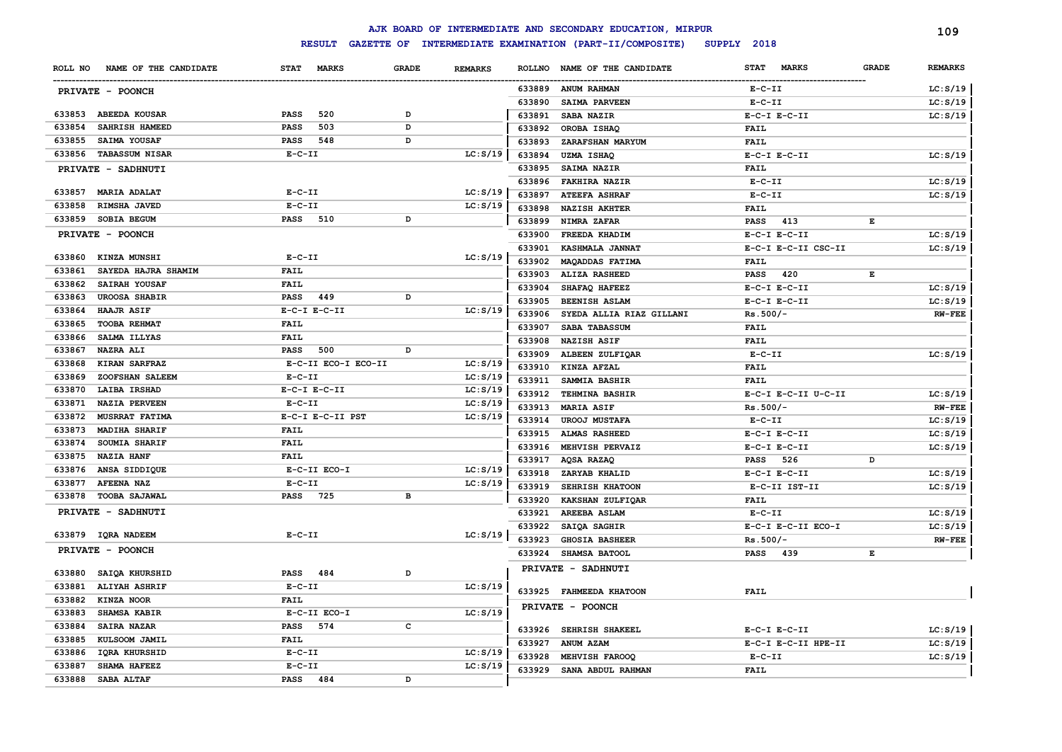|         |                       |              |                     |              |                |               | AJK BOARD OF INTERMEDIATE AND SECONDARY EDUCATION, MIRPUR |                             |              | 109            |
|---------|-----------------------|--------------|---------------------|--------------|----------------|---------------|-----------------------------------------------------------|-----------------------------|--------------|----------------|
|         |                       |              | <b>RESULT</b>       |              |                |               | GAZETTE OF INTERMEDIATE EXAMINATION (PART-II/COMPOSITE)   | SUPPLY 2018                 |              |                |
| ROLL NO | NAME OF THE CANDIDATE | <b>STAT</b>  | <b>MARKS</b>        | <b>GRADE</b> | <b>REMARKS</b> | <b>ROLLNO</b> | NAME OF THE CANDIDATE                                     | <b>STAT</b><br><b>MARKS</b> | <b>GRADE</b> | <b>REMARKS</b> |
|         | PRIVATE - POONCH      |              |                     |              |                | 633889        | <b>ANUM RAHMAN</b>                                        | $E-C-II$                    |              | LC: S/19       |
|         |                       |              |                     |              |                | 633890        | SAIMA PARVEEN                                             | $E - C - II$                |              | LC: S/19       |
| 633853  | <b>ABEEDA KOUSAR</b>  | <b>PASS</b>  | 520                 | D            |                | 633891        | SABA NAZIR                                                | $E-C-I$ $E-C-II$            |              | LC: S/19       |
| 633854  | SAHRISH HAMEED        | <b>PASS</b>  | 503                 | D            |                | 633892        | OROBA ISHAQ                                               | <b>FAIL</b>                 |              |                |
| 633855  | SAIMA YOUSAF          | PASS         | 548                 | D            |                | 633893        | ZARAFSHAN MARYUM                                          | <b>FAIL</b>                 |              |                |
|         | 633856 TABASSUM NISAR | $E-C-II$     |                     |              | LC: S/19       | 633894        | <b>UZMA ISHAQ</b>                                         | $E-C-I$ $E-C-II$            |              | LC: S/19       |
|         | PRIVATE - SADHNUTI    |              |                     |              |                | 633895        | SAIMA NAZIR                                               | <b>FAIL</b>                 |              |                |
|         |                       |              |                     |              |                | 633896        | <b>FAKHIRA NAZIR</b>                                      | $E - C - II$                |              | LC: S/19       |
| 633857  | <b>MARIA ADALAT</b>   | $E-C-II$     |                     |              | LC: S/19       | 633897        | <b>ATEEFA ASHRAF</b>                                      | $E - C - II$                |              | LC: S/19       |
| 633858  | RIMSHA JAVED          | $E - C - II$ |                     |              | LC: S/19       | 633898        | <b>NAZISH AKHTER</b>                                      | <b>FAIL</b>                 |              |                |
| 633859  | SOBIA BEGUM           | <b>PASS</b>  | 510                 | D            |                | 633899        | NIMRA ZAFAR                                               | 413<br><b>PASS</b>          | Е            |                |
|         | PRIVATE - POONCH      |              |                     |              |                | 633900        | FREEDA KHADIM                                             | $E-C-I$ $E-C-II$            |              | LC: S/19       |
|         |                       |              |                     |              |                | 633901        | KASHMALA JANNAT                                           | E-C-I E-C-II CSC-II         |              | LC: S/19       |
| 633860  | KINZA MUNSHI          | $E-C-II$     |                     |              | LC: S/19       | 633902        | MAQADDAS FATIMA                                           | FAIL                        |              |                |
| 633861  | SAYEDA HAJRA SHAMIM   | <b>FAIL</b>  |                     |              |                | 633903        | ALIZA RASHEED                                             | <b>PASS</b><br>420          | Е            |                |
| 633862  | SAIRAH YOUSAF         | <b>FAIL</b>  |                     |              |                | 633904        | SHAFAQ HAFEEZ                                             | $E-C-I$ $E-C-II$            |              | LC: S/19       |
| 633863  | <b>UROOSA SHABIR</b>  | <b>PASS</b>  | 449                 | D            |                | 633905        | <b>BEENISH ASLAM</b>                                      | $E-C-I$ $E-C-II$            |              | LC: S/19       |
| 633864  | HAAJR ASIF            |              | $E-C-I$ $E-C-II$    |              | LC: S/19       | 633906        | SYEDA ALLIA RIAZ GILLANI                                  | $Rs.500/-$                  |              | $RW-FEE$       |
| 633865  | TOOBA REHMAT          | <b>FAIL</b>  |                     |              |                | 633907        | SABA TABASSUM                                             | <b>FAIL</b>                 |              |                |
| 633866  | SALMA ILLYAS          | <b>FAIL</b>  |                     |              |                | 633908        | <b>NAZISH ASIF</b>                                        | <b>FAIL</b>                 |              |                |
| 633867  | <b>NAZRA ALI</b>      | <b>PASS</b>  | 500                 | D            |                | 633909        | ALBEEN ZULFIOAR                                           | $E-C-II$                    |              | LC: S/19       |
| 633868  | KIRAN SARFRAZ         |              | E-C-II ECO-I ECO-II |              | LC: S/19       | 633910        | KINZA AFZAL                                               | <b>FAIL</b>                 |              |                |
| 633869  | ZOOFSHAN SALEEM       | $E - C - II$ |                     |              | LC: S/19       | 633911        | SAMMIA BASHIR                                             | <b>FAIL</b>                 |              |                |
| 633870  | <b>LAIBA IRSHAD</b>   |              | $E-C-I$ $E-C-II$    |              | LC: S/19       | 633912        | <b>TEHMINA BASHIR</b>                                     | E-C-I E-C-II U-C-II         |              | LC: S/19       |
| 633871  | <b>NAZIA PERVEEN</b>  | $E - C - II$ |                     |              | LC: S/19       | 633913        | <b>MARIA ASIF</b>                                         | $Rs.500/-$                  |              | $RW-FEE$       |
| 633872  | <b>MUSRRAT FATIMA</b> |              | E-C-I E-C-II PST    |              | LC: S/19       | 633914        | <b>UROOJ MUSTAFA</b>                                      | $E-C-II$                    |              | LC: S/19       |
| 633873  | <b>MADIHA SHARIF</b>  | <b>FAIL</b>  |                     |              |                | 633915        | <b>ALMAS RASHEED</b>                                      | $E-C-I$ $E-C-II$            |              | LC: S/19       |
| 633874  | SOUMIA SHARIF         | <b>FAIL</b>  |                     |              |                | 633916        | MEHVISH PERVAIZ                                           | $E-C-I$ $E-C-II$            |              | LC: S/19       |
| 633875  | <b>NAZIA HANF</b>     | FAIL         |                     |              |                | 633917        | AQSA RAZAQ                                                | 526<br><b>PASS</b>          | D            |                |
| 633876  | ANSA SIDDIQUE         |              | E-C-II ECO-I        |              | LC: S/19       | 633918        | ZARYAB KHALID                                             | $E-C-I$ $E-C-II$            |              | LC: S/19       |
| 633877  | <b>AFEENA NAZ</b>     | $E- C- II$   |                     |              | LC: S/19       | 633919        | SEHRISH KHATOON                                           | E-C-II IST-II               |              | LC: S/19       |
| 633878  | <b>TOOBA SAJAWAL</b>  | <b>PASS</b>  | 725                 | в            |                | 633920        | KAKSHAN ZULFIQAR                                          | <b>FAIL</b>                 |              |                |
|         | PRIVATE - SADHNUTI    |              |                     |              |                | 633921        | AREEBA ASLAM                                              | $E-C-II$                    |              | LC: S/19       |
|         |                       | $E-C-II$     |                     |              |                | 633922        | SAIQA SAGHIR                                              | E-C-I E-C-II ECO-I          |              | LC: S/19       |
|         | 633879 IQRA NADEEM    |              |                     |              | LC: S/19       | 633923        | <b>GHOSIA BASHEER</b>                                     | $Rs.500/-$                  |              | $RW-FEE$       |
|         | PRIVATE - POONCH      |              |                     |              |                | 633924        | SHAMSA BATOOL                                             | <b>PASS</b><br>439          | Е            |                |
| 633880  | SAIQA KHURSHID        | PASS         | 484                 | D            |                |               | PRIVATE - SADHNUTI                                        |                             |              |                |
| 633881  | <b>ALIYAH ASHRIF</b>  | $E - C - II$ |                     |              | LC: S/19       |               |                                                           |                             |              |                |
| 633882  | KINZA NOOR            | <b>FAIL</b>  |                     |              |                | 633925        | <b>FAHMEEDA KHATOON</b>                                   | <b>FAIL</b>                 |              |                |
| 633883  | SHAMSA KABIR          |              | E-C-II ECO-I        |              | LC: S/19       |               | PRIVATE - POONCH                                          |                             |              |                |
| 633884  | <b>SAIRA NAZAR</b>    | <b>PASS</b>  | 574                 | c            |                |               |                                                           |                             |              |                |
| 633885  | KULSOOM JAMIL         | <b>FAIL</b>  |                     |              |                | 633926        | <b>SEHRISH SHAKEEL</b>                                    | $E-C-I$ $E-C-II$            |              | LC: S/19       |
| 633886  | IQRA KHURSHID         | $E-C-II$     |                     |              | LC: S/19       | 633927        | ANUM AZAM                                                 | E-C-I E-C-II HPE-II         |              | LC: S/19       |
| 633887  | SHAMA HAFEEZ          | $E-C-II$     |                     |              | LC: S/19       | 633928        | MEHVISH FAROOQ                                            | $E - C - II$                |              | LC: S/19       |
| 633888  | SABA ALTAF            | PASS 484     |                     | D            |                | 633929        | SANA ABDUL RAHMAN                                         | <b>FAIL</b>                 |              |                |
|         |                       |              |                     |              |                |               |                                                           |                             |              |                |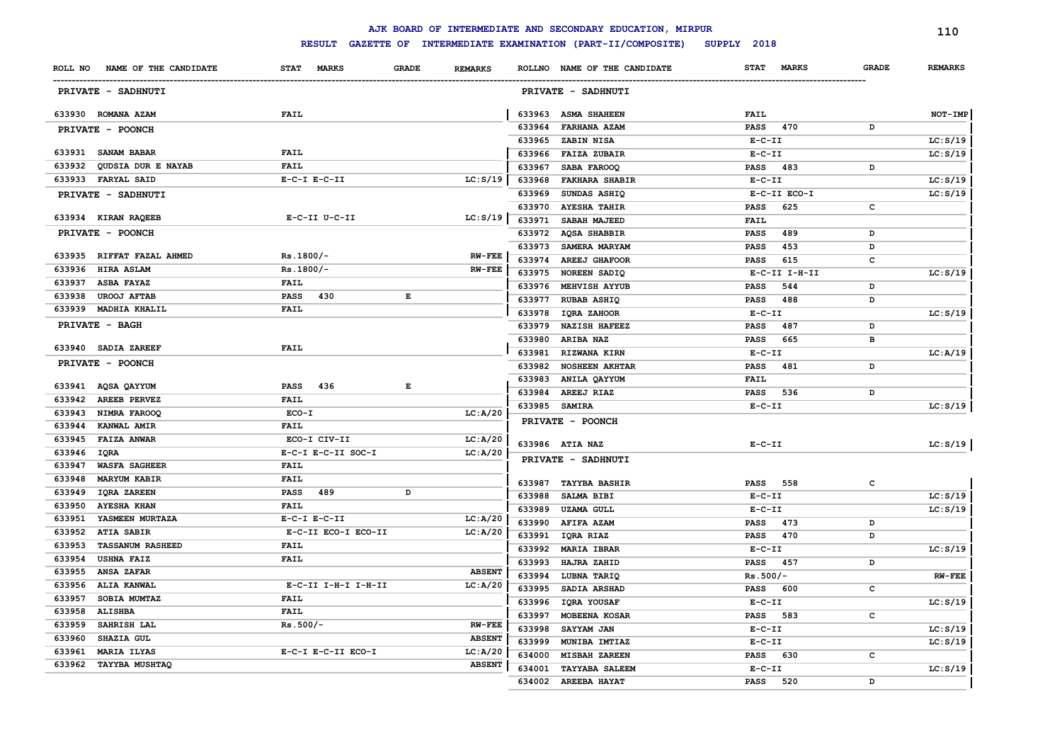|        |                               |                             |                                                                                                |               |        | AJK BOARD OF INTERMEDIATE AND SECONDARY EDUCATION, MIRPUR |              |               |              | 110            |
|--------|-------------------------------|-----------------------------|------------------------------------------------------------------------------------------------|---------------|--------|-----------------------------------------------------------|--------------|---------------|--------------|----------------|
|        |                               | <b>RESULT</b>               |                                                                                                |               |        | GAZETTE OF INTERMEDIATE EXAMINATION (PART-II/COMPOSITE)   | SUPPLY 2018  |               |              |                |
|        | ROLL NO NAME OF THE CANDIDATE | <b>STAT</b><br><b>MARKS</b> | <b>GRADE</b><br><b>REMARKS</b>                                                                 |               |        | ROLLNO NAME OF THE CANDIDATE                              | <b>STAT</b>  | <b>MARKS</b>  | <b>GRADE</b> | <b>REMARKS</b> |
|        | PRIVATE - SADHNUTI            |                             |                                                                                                |               |        | PRIVATE - SADHNUTI                                        |              |               |              |                |
|        | 633930 ROMANA AZAM            | FAIL                        |                                                                                                |               |        | 633963 ASMA SHAHEEN                                       | FAIL         |               |              | NOT-IMP        |
|        | PRIVATE - POONCH              |                             |                                                                                                |               | 633964 | <b>FARHANA AZAM</b>                                       | <b>PASS</b>  | 470           | D            |                |
|        |                               |                             |                                                                                                |               | 633965 | ZABIN NISA                                                | $E-C-II$     |               |              | LC: S/19       |
|        | 633931 SANAM BABAR            | <b>FAIL</b>                 |                                                                                                |               | 633966 | <b>FAIZA ZUBAIR</b>                                       | $E-C-II$     |               |              | LC: S/19       |
|        | 633932 QUDSIA DUR E NAYAB     | <b>FAIL</b>                 |                                                                                                |               | 633967 | SABA FAROOQ                                               | <b>PASS</b>  | 483           | D            |                |
|        | 633933 FARYAL SAID            | $E-C-I$ $E-C-II$            | LC: S/19                                                                                       |               | 633968 | <b>FAKHARA SHABIR</b>                                     | $E-C-II$     |               |              | LC: S/19       |
|        | PRIVATE - SADHNUTI            |                             |                                                                                                |               | 633969 | SUNDAS ASHIQ                                              |              | E-C-II ECO-I  |              | LC: S/19       |
|        |                               |                             |                                                                                                |               | 633970 | <b>AYESHA TAHIR</b>                                       | <b>PASS</b>  | 625           | c            |                |
|        | 633934 KIRAN RAQEEB           | E-C-II U-C-II               | LC: S/19                                                                                       |               | 633971 | SABAH MAJEED                                              | FAIL         |               |              |                |
|        | PRIVATE - POONCH              |                             |                                                                                                |               |        | 633972 AQSA SHABBIR                                       | PASS         | 489           | D            |                |
|        |                               |                             |                                                                                                |               | 633973 | SAMERA MARYAM                                             | PASS         | 453           | D            |                |
|        | 633935 RIFFAT FAZAL AHMED     | Rs.1800/-                   |                                                                                                | <b>RW-FEE</b> | 633974 | <b>AREEJ GHAFOOR</b>                                      | PASS         | 615           | c            |                |
| 633936 | <b>HIRA ASLAM</b>             | $Rs.1800/-$                 |                                                                                                | <b>RW-FEE</b> |        | 633975 NOREEN SADIQ                                       |              | E-C-II I-H-II |              | LC: S/19       |
| 633937 | <b>ASBA FAYAZ</b>             | FAIL                        |                                                                                                |               |        | 633976 MEHVISH AYYUB                                      | <b>PASS</b>  | 544           | D            |                |
| 633938 | <b>UROOJ AFTAB</b>            | PASS 430                    | $\mathbf{E}% _{t}\left  \mathbf{1}\right\rangle =\mathbf{1}_{t}\left  \mathbf{1}\right\rangle$ |               |        | 633977 RUBAB ASHIQ                                        | <b>PASS</b>  | 488           | D            |                |
|        | 633939 MADHIA KHALIL          | <b>FAIL</b>                 |                                                                                                |               | 633978 | IQRA ZAHOOR                                               | $E-C-II$     |               |              | LC: S/19       |
|        | PRIVATE - BAGH                |                             |                                                                                                |               | 633979 | <b>NAZISH HAFEEZ</b>                                      | <b>PASS</b>  | 487           | D            |                |
|        |                               |                             |                                                                                                |               | 633980 | <b>ARIBA NAZ</b>                                          | <b>PASS</b>  | 665           | в            |                |
|        | 633940 SADIA ZAREEF           | <b>FAIL</b>                 |                                                                                                |               | 633981 | RIZWANA KIRN                                              | $E-C-II$     |               |              | LC: A/19       |
|        | PRIVATE - POONCH              |                             |                                                                                                |               | 633982 | <b>NOSHEEN AKHTAR</b>                                     | <b>PASS</b>  | 481           | D            |                |
|        |                               |                             |                                                                                                |               |        | 633983 ANILA QAYYUM                                       | <b>FAIL</b>  |               |              |                |
|        | 633941 AQSA QAYYUM            | PASS 436                    | E                                                                                              |               |        | 633984 AREEJ RIAZ                                         | <b>PASS</b>  | 536           | D            |                |
| 633942 | <b>AREEB PERVEZ</b>           | <b>FAIL</b>                 |                                                                                                |               |        | 633985 SAMIRA                                             | $E-C-II$     |               |              | LC: S/19       |
| 633943 | NIMRA FAROOQ                  | ECO-I                       | LC: A/20                                                                                       |               |        | PRIVATE - POONCH                                          |              |               |              |                |
| 633944 | <b>KANWAL AMIR</b>            | <b>FAIL</b>                 |                                                                                                |               |        |                                                           |              |               |              |                |
| 633945 | <b>FAIZA ANWAR</b>            | ECO-I CIV-II                | LC:A/20                                                                                        |               |        | 633986 ATIA NAZ                                           | $E - C - II$ |               |              | LC: S/19       |
| 633946 | IQRA                          | E-C-I E-C-II SOC-I          | LC: A/20                                                                                       |               |        | PRIVATE - SADHNUTI                                        |              |               |              |                |
| 633947 | <b>WASFA SAGHEER</b>          | FAIL                        |                                                                                                |               |        |                                                           |              |               |              |                |
| 633948 | <b>MARYUM KABIR</b>           | <b>FAIL</b>                 |                                                                                                |               |        | 633987 TAYYBA BASHIR                                      |              | PASS 558      | c            |                |
| 633949 | <b>IQRA ZAREEN</b>            | <b>PASS</b><br>489          | D                                                                                              |               | 633988 | SALMA BIBI                                                | $E-C-II$     |               |              | LC: S/19       |
| 633950 | <b>AYESHA KHAN</b>            | <b>FAIL</b>                 |                                                                                                |               | 633989 | <b>UZAMA GULL</b>                                         | $E-C-II$     |               |              | LC: S/19       |
| 633951 | YASMEEN MURTAZA               | $E-C-I$ $E-C-II$            | LC: A/20                                                                                       |               | 633990 | AFIFA AZAM                                                | PASS         | 473           | D            |                |
| 633952 | <b>ATIA SABIR</b>             | E-C-II ECO-I ECO-II         | LC: A/20                                                                                       |               | 633991 | IQRA RIAZ                                                 | <b>PASS</b>  | 470           | D            |                |
| 633953 | <b>TASSANUM RASHEED</b>       | FAIL                        |                                                                                                |               | 633992 | <b>MARIA IBRAR</b>                                        | $E-C-II$     |               |              | LC: S/19       |
| 633954 | <b>USHNA FAIZ</b>             | <b>FAIL</b>                 |                                                                                                |               | 633993 | HAJRA ZAHID                                               | PASS         | 457           | D            |                |
| 633955 | ANSA ZAFAR                    |                             | <b>ABSENT</b>                                                                                  |               | 633994 | LUBNA TARIQ                                               | $Rs.500/-$   |               |              | <b>RW-FEE</b>  |
| 633956 | ALIA KANWAL                   | E-C-II I-H-I I-H-II         | LC: A/20                                                                                       |               | 633995 | SADIA ARSHAD                                              | PASS         | 600           | c            |                |
| 633957 | SOBIA MUMTAZ                  | <b>FAIL</b>                 |                                                                                                |               | 633996 | IQRA YOUSAF                                               | $E-C-II$     |               |              | LC: S/19       |
| 633958 | <b>ALISHBA</b>                | <b>FAIL</b>                 |                                                                                                |               | 633997 | MOBEENA KOSAR                                             | <b>PASS</b>  | 583           | $\mathtt{c}$ |                |
| 633959 | SAHRISH LAL                   | $Rs.500/-$                  | <b>RW-FEE</b>                                                                                  |               | 633998 | SAYYAM JAN                                                | $E-C-II$     |               |              | LC: S/19       |
| 633960 | SHAZIA GUL                    |                             | <b>ABSENT</b>                                                                                  |               | 633999 | MUNIBA IMTIAZ                                             | $E-C-II$     |               |              | LC: S/19       |
| 633961 | <b>MARIA ILYAS</b>            | E-C-I E-C-II ECO-I          | LC: A/20                                                                                       |               | 634000 | <b>MISBAH ZAREEN</b>                                      | <b>PASS</b>  | 630           | c            |                |
| 633962 | <b>TAYYBA MUSHTAQ</b>         |                             | <b>ABSENT</b>                                                                                  |               | 634001 | <b>TAYYABA SALEEM</b>                                     | $E-C-II$     |               |              | LC: S/19       |
|        |                               |                             |                                                                                                |               | 634002 | AREEBA HAYAT                                              | <b>PASS</b>  | 520           | D            |                |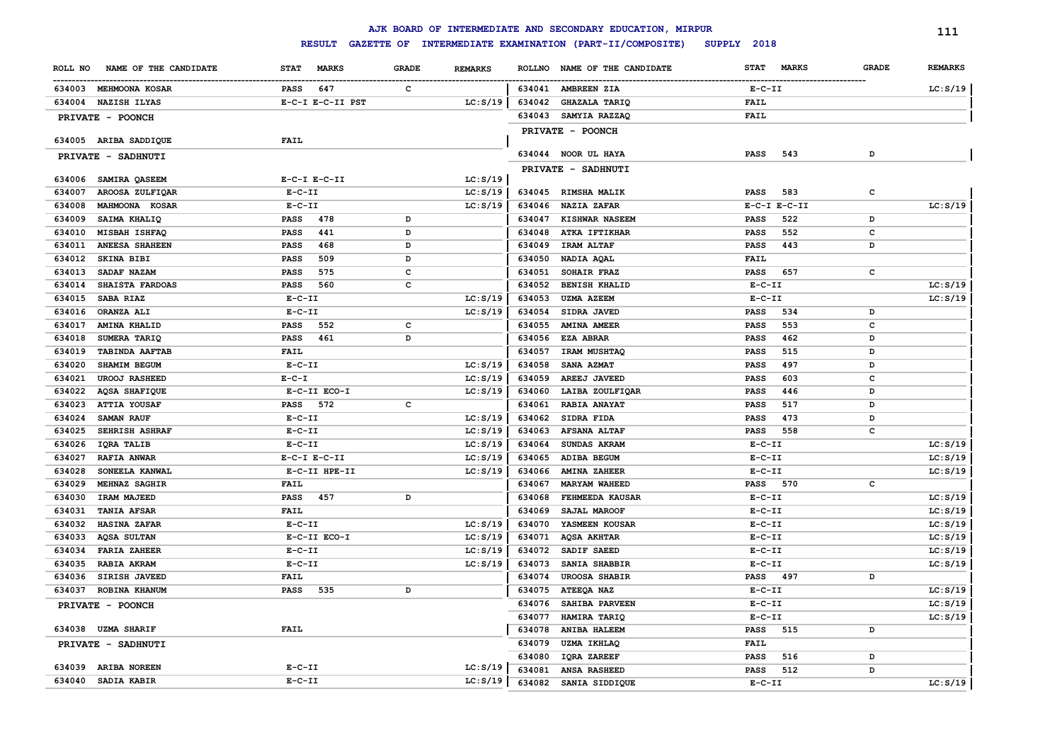|         |                       |                  |                  |              |                |        | AJK BOARD OF INTERMEDIATE AND SECONDARY EDUCATION, MIRPUR |              |                  |              | 111            |
|---------|-----------------------|------------------|------------------|--------------|----------------|--------|-----------------------------------------------------------|--------------|------------------|--------------|----------------|
|         |                       |                  | <b>RESULT</b>    |              |                |        | GAZETTE OF INTERMEDIATE EXAMINATION (PART-II/COMPOSITE)   | SUPPLY 2018  |                  |              |                |
| ROLL NO | NAME OF THE CANDIDATE | <b>STAT</b>      | <b>MARKS</b>     | <b>GRADE</b> | <b>REMARKS</b> |        | ROLLNO NAME OF THE CANDIDATE                              | <b>STAT</b>  | <b>MARKS</b>     | <b>GRADE</b> | <b>REMARKS</b> |
|         | 634003 MEHMOONA KOSAR | <b>PASS</b>      | 647              | $\mathbf{C}$ |                |        | 634041 AMBREEN ZIA                                        | $E- C- II$   |                  |              | LC: S/19       |
|         | 634004 NAZISH ILYAS   |                  | E-C-I E-C-II PST |              | LC: S/19       | 634042 | <b>GHAZALA TARIQ</b>                                      | <b>FAIL</b>  |                  |              |                |
|         | PRIVATE - POONCH      |                  |                  |              |                |        | 634043 SAMYIA RAZZAQ                                      | FAIL         |                  |              |                |
|         |                       |                  |                  |              |                |        | PRIVATE - POONCH                                          |              |                  |              |                |
|         | 634005 ARIBA SADDIQUE | <b>FAIL</b>      |                  |              |                |        |                                                           |              |                  |              |                |
|         | PRIVATE - SADHNUTI    |                  |                  |              |                |        | 634044 NOOR UL HAYA                                       | <b>PASS</b>  | 543              | D            |                |
|         |                       |                  |                  |              |                |        | PRIVATE - SADHNUTI                                        |              |                  |              |                |
|         | 634006 SAMIRA QASEEM  | $E-C-I$ $E-C-II$ |                  |              | LC: S/19       |        |                                                           |              |                  |              |                |
| 634007  | AROOSA ZULFIQAR       | $E-C-II$         |                  |              | LC: S/19       |        | 634045 RIMSHA MALIK                                       | <b>PASS</b>  | 583              | c            |                |
| 634008  | MAHMOONA KOSAR        | $E-C-II$         |                  |              | LC: S/19       | 634046 | <b>NAZIA ZAFAR</b>                                        |              | $E-C-I$ $E-C-II$ |              | LC: S/19       |
| 634009  | SAIMA KHALIQ          | <b>PASS</b>      | 478              | D            |                | 634047 | <b>KISHWAR NASEEM</b>                                     | <b>PASS</b>  | 522              | D            |                |
| 634010  | MISBAH ISHFAQ         | PASS             | 441              | D            |                | 634048 | <b>ATKA IFTIKHAR</b>                                      | <b>PASS</b>  | 552              | $\mathbf c$  |                |
| 634011  | <b>ANEESA SHAHEEN</b> | PASS             | 468              | D            |                | 634049 | IRAM ALTAF                                                | <b>PASS</b>  | 443              | D            |                |
| 634012  | <b>SKINA BIBI</b>     | PASS             | 509              | D            |                | 634050 | NADIA AQAL                                                | <b>FAIL</b>  |                  |              |                |
| 634013  | SADAF NAZAM           | PASS             | 575              | c            |                | 634051 | SOHAIR FRAZ                                               | <b>PASS</b>  | 657              | $\mathbf{C}$ |                |
| 634014  | SHAISTA FARDOAS       | <b>PASS</b>      | 560              | c            |                | 634052 | <b>BENISH KHALID</b>                                      | $E - C - II$ |                  |              | LC: S/19       |
| 634015  | SABA RIAZ             | $E - C - II$     |                  |              | LC: S/19       | 634053 | <b>UZMA AZEEM</b>                                         | $E - C - II$ |                  |              | LC: S/19       |
| 634016  | ORANZA ALI            | $E-C-II$         |                  |              | LC: S/19       | 634054 | SIDRA JAVED                                               | <b>PASS</b>  | 534              | D            |                |
| 634017  | <b>AMINA KHALID</b>   | PASS             | 552              | c            |                | 634055 | <b>AMINA AMEER</b>                                        | <b>PASS</b>  | 553              | c            |                |
| 634018  | SUMERA TARIQ          | <b>PASS</b>      | 461              | D            |                | 634056 | <b>EZA ABRAR</b>                                          | <b>PASS</b>  | 462              | D            |                |
| 634019  | <b>TABINDA AAFTAB</b> | <b>FAIL</b>      |                  |              |                | 634057 | IRAM MUSHTAQ                                              | <b>PASS</b>  | 515              | D            |                |
| 634020  | SHAMIM BEGUM          | $E-C-II$         |                  |              | LC: S/19       | 634058 | SANA AZMAT                                                | <b>PASS</b>  | 497              | D            |                |
| 634021  | <b>UROOJ RASHEED</b>  | $E - C - I$      |                  |              | LC: S/19       | 634059 | AREEJ JAVEED                                              | <b>PASS</b>  | 603              | c            |                |
| 634022  | AQSA SHAFIQUE         |                  | E-C-II ECO-I     |              | LC: S/19       | 634060 | LAIBA ZOULFIQAR                                           | PASS         | 446              | D            |                |
| 634023  | <b>ATTIA YOUSAF</b>   | <b>PASS</b>      | 572              | c            |                | 634061 | RABIA ANAYAT                                              | <b>PASS</b>  | 517              | D            |                |
| 634024  | <b>SAMAN RAUF</b>     | $E-C-II$         |                  |              | LC: S/19       | 634062 | SIDRA FIDA                                                | PASS         | 473              | D            |                |
| 634025  | <b>SEHRISH ASHRAF</b> | $E-C-II$         |                  |              | LC: S/19       | 634063 | <b>AFSANA ALTAF</b>                                       | <b>PASS</b>  | 558              | c            |                |
| 634026  | IQRA TALIB            | $E-C-II$         |                  |              | LC: S/19       | 634064 | SUNDAS AKRAM                                              | $E- C- II$   |                  |              | LC: S/19       |
| 634027  | <b>RAFIA ANWAR</b>    | $E-C-I$ $E-C-II$ |                  |              | LC: S/19       | 634065 | ADIBA BEGUM                                               | $E - C - II$ |                  |              | LC: S/19       |
| 634028  | SONEELA KANWAL        |                  | E-C-II HPE-II    |              | LC: S/19       | 634066 | <b>AMINA ZAHEER</b>                                       | $E - C - II$ |                  |              | LC: S/19       |
| 634029  | MEHNAZ SAGHIR         | FAIL             |                  |              |                | 634067 | <b>MARYAM WAHEED</b>                                      | <b>PASS</b>  | 570              | $\mathbf c$  |                |
| 634030  | IRAM MAJEED           | PASS 457         |                  | D            |                | 634068 | FEHMEEDA KAUSAR                                           | $E - C - II$ |                  |              | LC: S/19       |
| 634031  | <b>TANIA AFSAR</b>    | <b>FAIL</b>      |                  |              |                | 634069 | SAJAL MAROOF                                              | $E - C - II$ |                  |              | LC: S/19       |
| 634032  | <b>HASINA ZAFAR</b>   | $E- C- II$       |                  |              | LC: S/19       | 634070 | YASMEEN KOUSAR                                            | $E - C - II$ |                  |              | LC: S/19       |
| 634033  | AQSA SULTAN           |                  | E-C-II ECO-I     |              | LC: S/19       | 634071 | <b>AQSA AKHTAR</b>                                        | $E - C - II$ |                  |              | LC: S/19       |
| 634034  | <b>FARIA ZAHEER</b>   | $E-C-II$         |                  |              | LC: S/19       | 634072 | SADIF SAEED                                               | $E - C - II$ |                  |              | LC: S/19       |
| 634035  | RABIA AKRAM           | $E-C-II$         |                  |              | LC: S/19       | 634073 | SANIA SHABBIR                                             | $E - C - II$ |                  |              | LC: S/19       |
| 634036  | <b>SIRISH JAVEED</b>  | <b>FAIL</b>      |                  |              |                | 634074 | <b>UROOSA SHABIR</b>                                      | PASS 497     |                  | D            |                |
| 634037  | ROBINA KHANUM         | <b>PASS</b>      | 535              | D            |                | 634075 | ATEEQA NAZ                                                | $E - C - II$ |                  |              | LC: S/19       |
|         | PRIVATE - POONCH      |                  |                  |              |                | 634076 | SAHIBA PARVEEN                                            | $E - C - II$ |                  |              | LC: S/19       |
|         |                       |                  |                  |              |                | 634077 | HAMIRA TARIQ                                              | $E- C- II$   |                  |              | LC: S/19       |
|         | 634038 UZMA SHARIF    | <b>FAIL</b>      |                  |              |                | 634078 | <b>ANIBA HALEEM</b>                                       | PASS         | 515              | D            |                |
|         | PRIVATE - SADHNUTI    |                  |                  |              |                | 634079 | <b>UZMA IKHLAQ</b>                                        | <b>FAIL</b>  |                  |              |                |
|         |                       |                  |                  |              |                | 634080 | IQRA ZAREEF                                               | <b>PASS</b>  | 516              | D            |                |
|         | 634039 ARIBA NOREEN   | $E-C-II$         |                  |              | LC: S/19       | 634081 | <b>ANSA RASHEED</b>                                       | <b>PASS</b>  | 512              | D            |                |
|         | 634040 SADIA KABIR    | $E-C-II$         |                  |              | LC: S/19       | 634082 | SANIA SIDDIQUE                                            | $E - C - II$ |                  |              | LC: S/19       |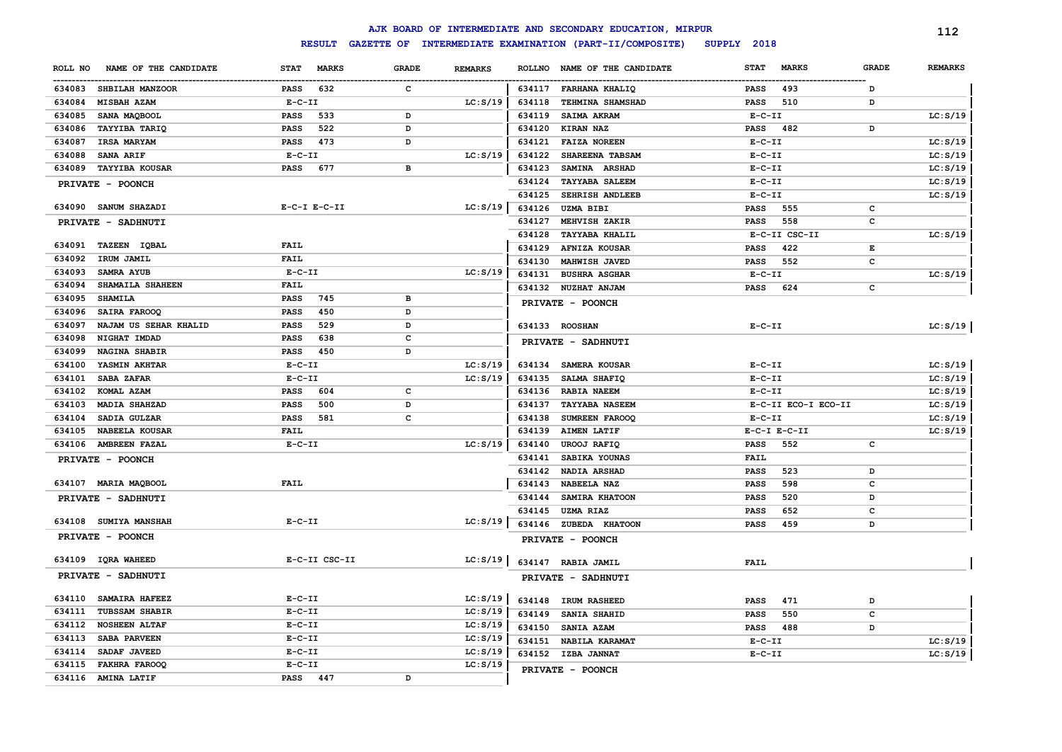|                                  |                             |              |                | AJK BOARD OF INTERMEDIATE AND SECONDARY EDUCATION, MIRPUR |                                    | 112                            |
|----------------------------------|-----------------------------|--------------|----------------|-----------------------------------------------------------|------------------------------------|--------------------------------|
|                                  | <b>RESULT</b>               |              |                | GAZETTE OF INTERMEDIATE EXAMINATION (PART-II/COMPOSITE)   | SUPPLY 2018                        |                                |
| NAME OF THE CANDIDATE<br>ROLL NO | <b>MARKS</b><br><b>STAT</b> | <b>GRADE</b> | <b>REMARKS</b> | <b>ROLLNO</b><br>NAME OF THE CANDIDATE                    | <b>MARKS</b><br><b>STAT</b>        | <b>GRADE</b><br><b>REMARKS</b> |
| 634083<br><b>SHBILAH MANZOOR</b> | 632<br>PASS                 | c            |                | 634117<br>FARHANA KHALIQ                                  | 493<br>PASS<br>D                   |                                |
| 634084<br>MISBAH AZAM            | $E - C - II$                |              | LC: S/19       | 634118<br>TEHMINA SHAMSHAD                                | 510<br><b>PASS</b><br>D            |                                |
| 634085<br>SANA MAQBOOL           | 533<br>PASS                 | D            |                | 634119<br><b>SAIMA AKRAM</b>                              | $E- C- II$                         | LC: S/19                       |
| <b>TAYYIBA TARIQ</b><br>634086   | 522<br>PASS                 | D            |                | KIRAN NAZ<br>634120                                       | 482<br>PASS<br>D                   |                                |
| 634087<br><b>IRSA MARYAM</b>     | 473<br>PASS                 | D            |                | 634121<br><b>FAIZA NOREEN</b>                             | $E-C-II$                           | LC: S/19                       |
| 634088<br><b>SANA ARIF</b>       | $E-C-II$                    |              | LC: S/19       | 634122<br>SHAREENA TABSAM                                 | $E - C - II$                       | LC: S/19                       |
| 634089<br><b>TAYYIBA KOUSAR</b>  | 677<br>PASS                 | в            |                | 634123<br>SAMINA ARSHAD                                   | $E - C - II$                       | LC: S/19                       |
| PRIVATE - POONCH                 |                             |              |                | 634124<br><b>TAYYABA SALEEM</b>                           | $E - C - II$                       | LC: S/19                       |
|                                  |                             |              |                | 634125<br>SEHRISH ANDLEEB                                 | $E- C- II$                         | LC: S/19                       |
| 634090 SANUM SHAZADI             | $E-C-I$ $E-C-II$            |              | LC: S/19       | 634126<br><b>UZMA BIBI</b>                                | 555<br><b>PASS</b><br>$\mathbf{C}$ |                                |
| PRIVATE - SADHNUTI               |                             |              |                | 634127<br>MEHVISH ZAKIR                                   | 558<br><b>PASS</b><br>c            |                                |
|                                  |                             |              |                | 634128<br><b>TAYYABA KHALIL</b>                           | E-C-II CSC-II                      | LC: S/19                       |
| 634091 TAZEEN IQBAL              | <b>FAIL</b>                 |              |                | 634129<br>AFNIZA KOUSAR                                   | 422<br>E<br><b>PASS</b>            |                                |
| 634092<br>IRUM JAMIL             | <b>FAIL</b>                 |              |                | 634130<br>MAHWISH JAVED                                   | 552<br>c<br><b>PASS</b>            |                                |
| 634093<br><b>SAMRA AYUB</b>      | $E-C-II$                    |              | LC: S/19       | 634131<br><b>BUSHRA ASGHAR</b>                            | $E-C-II$                           | LC: S/19                       |
| 634094<br>SHAMAILA SHAHEEN       | <b>FAIL</b>                 |              |                | 634132<br><b>NUZHAT ANJAM</b>                             | 624<br>c<br><b>PASS</b>            |                                |
| 634095<br><b>SHAMILA</b>         | 745<br><b>PASS</b>          | в            |                | PRIVATE - POONCH                                          |                                    |                                |
| 634096<br>SAIRA FAROOQ           | 450<br>PASS                 | D            |                |                                                           |                                    |                                |
| 634097<br>NAJAM US SEHAR KHALID  | 529<br>PASS                 | D            |                | 634133 ROOSHAN                                            | $E - C - II$                       | LC: S/19                       |
| 634098<br>NIGHAT IMDAD           | PASS<br>638                 | $\mathbf c$  |                | PRIVATE - SADHNUTI                                        |                                    |                                |
| 634099<br>NAGINA SHABIR          | 450<br>PASS                 | D            |                |                                                           |                                    |                                |
| 634100<br>YASMIN AKHTAR          | $E-C-II$                    |              | LC: S/19       | 634134<br>SAMERA KOUSAR                                   | $E - C - II$                       | LC: S/19                       |
| 634101<br>SABA ZAFAR             | $E-C-II$                    |              | LC: S/19       | 634135<br>SALMA SHAFIQ                                    | $E - C - II$                       | LC: S/19                       |
| 634102<br>KOMAL AZAM             | 604<br>PASS                 | c            |                | 634136<br><b>RABIA NAEEM</b>                              | $E- C- II$                         | LC: S/19                       |
| 634103<br>MADIA SHAHZAD          | 500<br><b>PASS</b>          | D            |                | 634137<br><b>TAYYABA NASEEM</b>                           | E-C-II ECO-I ECO-II                | LC: S/19                       |
| 634104<br>SADIA GULZAR           | <b>PASS</b><br>581          | c            |                | 634138<br>SUMREEN FAROOQ                                  | $E - C - II$                       | LC: S/19                       |
| 634105<br>NABEELA KOUSAR         | FAIL                        |              |                | 634139<br><b>AIMEN LATIF</b>                              | $E-C-I$ $E-C-II$                   | LC: S/19                       |
| 634106<br><b>AMBREEN FAZAL</b>   | $E - C - II$                |              | LC: S/19       | 634140<br><b>UROOJ RAFIQ</b>                              | 552<br>PASS<br>C                   |                                |
| PRIVATE - POONCH                 |                             |              |                | 634141<br>SABIKA YOUNAS                                   | FAIL                               |                                |
|                                  |                             |              |                | 634142<br>NADIA ARSHAD                                    | 523<br><b>PASS</b><br>D            |                                |
| 634107 MARIA MAQBOOL             | <b>FAIL</b>                 |              |                | 634143<br>NABEELA NAZ                                     | 598<br>c<br><b>PASS</b>            |                                |
| PRIVATE - SADHNUTI               |                             |              |                | 634144<br>SAMIRA KHATOON                                  | 520<br>D<br><b>PASS</b>            |                                |
|                                  |                             |              |                | 634145<br><b>UZMA RIAZ</b>                                | 652<br>$\mathbf c$<br><b>PASS</b>  |                                |
| 634108 SUMIYA MANSHAH            | $E-C-II$                    |              | LC: S/19       | 634146<br>ZUBEDA KHATOON                                  | 459<br><b>PASS</b><br>D            |                                |
| PRIVATE - POONCH                 |                             |              |                | PRIVATE - POONCH                                          |                                    |                                |
| 634109 IQRA WAHEED               | E-C-II CSC-II               |              | LC: S/19       | 634147 RABIA JAMIL                                        | FAIL                               |                                |
| PRIVATE - SADHNUTI               |                             |              |                | PRIVATE - SADHNUTI                                        |                                    |                                |
| 634110<br><b>SAMAIRA HAFEEZ</b>  | $E-C-II$                    |              | LC: S/19       | 634148 IRUM RASHEED                                       | 471<br><b>PASS</b><br>D            |                                |
| 634111<br><b>TUBSSAM SHABIR</b>  | $E - C - II$                |              | LC: S/19       | 634149<br>SANIA SHAHID                                    | 550<br>c<br>PASS                   |                                |
| 634112<br><b>NOSHEEN ALTAF</b>   | $E-C-II$                    |              | LC: S/19       | 634150<br>SANIA AZAM                                      | 488<br>PASS<br>D                   |                                |
| 634113<br>SABA PARVEEN           | $E - C - II$                |              | LC: S/19       | 634151<br>NABILA KARAMAT                                  | $E- C- II$                         | LC: S/19                       |
| 634114<br>SADAF JAVEED           | $E-C-II$                    |              | LC: S/19       | 634152 IZBA JANNAT                                        | $E-C-II$                           | LC: S/19                       |
| 634115<br><b>FAKHRA FAROOQ</b>   | $E - C - II$                |              | LC: S/19       | PRIVATE - POONCH                                          |                                    |                                |
| 634116 AMINA LATIF               | PASS 447                    | D            |                |                                                           |                                    |                                |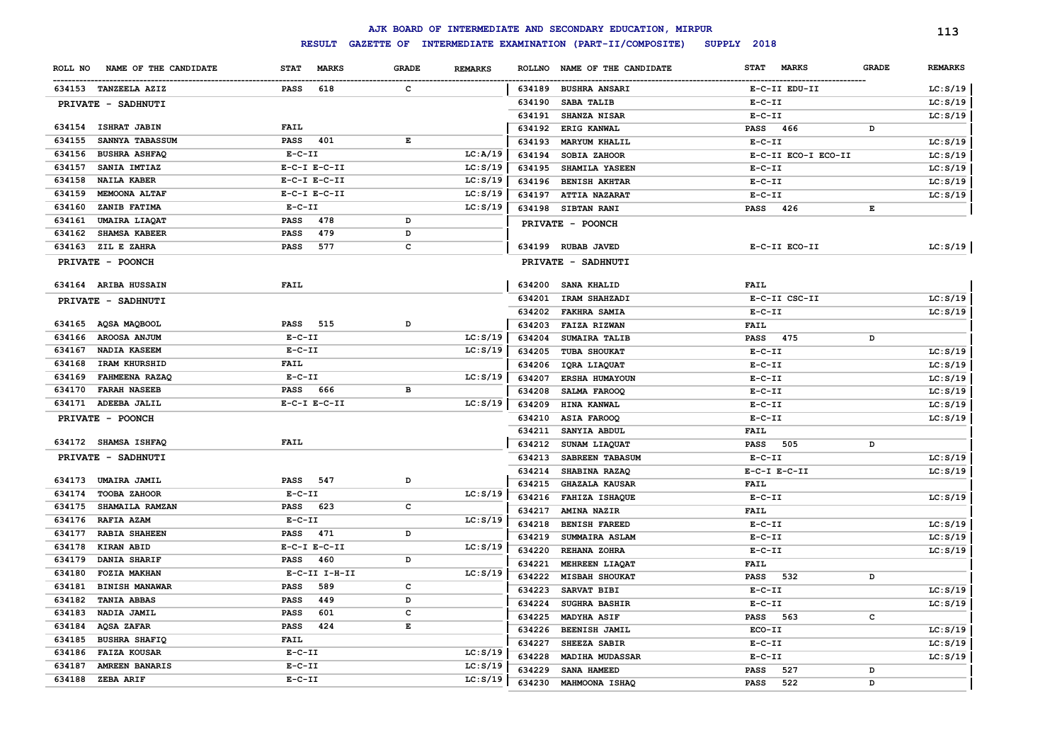|         |                       |              |                   |              |                |               | AJK BOARD OF INTERMEDIATE AND SECONDARY EDUCATION, MIRPUR |                             |              | 113            |
|---------|-----------------------|--------------|-------------------|--------------|----------------|---------------|-----------------------------------------------------------|-----------------------------|--------------|----------------|
|         |                       |              | <b>RESULT</b>     |              |                |               | GAZETTE OF INTERMEDIATE EXAMINATION (PART-II/COMPOSITE)   | SUPPLY 2018                 |              |                |
| ROLL NO | NAME OF THE CANDIDATE | <b>STAT</b>  | <b>MARKS</b>      | <b>GRADE</b> | <b>REMARKS</b> | <b>ROLLNO</b> | NAME OF THE CANDIDATE                                     | <b>STAT</b><br><b>MARKS</b> | <b>GRADE</b> | <b>REMARKS</b> |
|         | 634153 TANZEELA AZIZ  | <b>PASS</b>  | 618               | c            |                |               | 634189 BUSHRA ANSARI                                      | E-C-II EDU-II               |              | LC: S/19       |
|         | PRIVATE - SADHNUTI    |              |                   |              |                | 634190        | SABA TALIB                                                | $E-C-II$                    |              | LC: S/19       |
|         |                       |              |                   |              |                | 634191        | <b>SHANZA NISAR</b>                                       | $E-C-II$                    |              | LC: S/19       |
|         | 634154 ISHRAT JABIN   | <b>FAIL</b>  |                   |              |                | 634192        | ERIG KANWAL                                               | <b>PASS</b><br>466          | D            |                |
| 634155  | SANNYA TABASSUM       | PASS         | 401               | E            |                | 634193        | <b>MARYUM KHALIL</b>                                      | $E-C-II$                    |              | LC: S/19       |
| 634156  | <b>BUSHRA ASHFAQ</b>  | $E- C- II$   |                   |              | LC:A/19        | 634194        | SOBIA ZAHOOR                                              | E-C-II ECO-I ECO-II         |              | LC: S/19       |
| 634157  | SANIA IMTIAZ          |              | $E- C-I$ $E-C-II$ |              | LC: S/19       | 634195        | SHAMILA YASEEN                                            | $E-C-II$                    |              | LC: S/19       |
| 634158  | <b>NAILA KABER</b>    |              | $E-C-I$ $E-C-II$  |              | LC: S/19       | 634196        | <b>BENISH AKHTAR</b>                                      | $E-C-II$                    |              | LC: S/19       |
| 634159  | MEMOONA ALTAF         |              | $E-C-I$ $E-C-II$  |              | LC: S/19       | 634197        | <b>ATTIA NAZARAT</b>                                      | $E-C-II$                    |              | LC: S/19       |
| 634160  | ZANIB FATIMA          | $E-C-II$     |                   |              | LC: S/19       | 634198        | <b>SIBTAN RANI</b>                                        | <b>PASS</b><br>426          | E            |                |
| 634161  | <b>UMAIRA LIAQAT</b>  | <b>PASS</b>  | 478               | D            |                |               | PRIVATE - POONCH                                          |                             |              |                |
| 634162  | SHAMSA KABEER         | <b>PASS</b>  | 479               | D            |                |               |                                                           |                             |              |                |
| 634163  | <b>ZIL E ZAHRA</b>    | <b>PASS</b>  | 577               | c            |                | 634199        | <b>RUBAB JAVED</b>                                        | E-C-II ECO-II               |              | LC: S/19       |
|         | PRIVATE - POONCH      |              |                   |              |                |               | PRIVATE - SADHNUTI                                        |                             |              |                |
|         | 634164 ARIBA HUSSAIN  | FAIL         |                   |              |                | 634200        | <b>SANA KHALID</b>                                        | <b>FAIL</b>                 |              |                |
|         | PRIVATE - SADHNUTI    |              |                   |              |                | 634201        | <b>IRAM SHAHZADI</b>                                      | E-C-II CSC-II               |              | LC: S/19       |
|         |                       |              |                   |              |                | 634202        | <b>FAKHRA SAMIA</b>                                       | $E - C - II$                |              | LC: S/19       |
|         | 634165 AQSA MAQBOOL   | PASS 515     |                   | D            |                | 634203        | FAIZA RIZWAN                                              | <b>FAIL</b>                 |              |                |
| 634166  | AROOSA ANJUM          | $E-C-II$     |                   |              | LC: S/19       | 634204        | SUMAIRA TALIB                                             | <b>PASS</b><br>475          | D            |                |
| 634167  | NADIA KASEEM          | $E-C-II$     |                   |              | LC: S/19       | 634205        | TUBA SHOUKAT                                              | $E-C-II$                    |              | LC: S/19       |
| 634168  | IRAM KHURSHID         | <b>FAIL</b>  |                   |              |                | 634206        | IQRA LIAQUAT                                              | $E-C-II$                    |              | LC: S/19       |
| 634169  | FAHMEENA RAZAQ        | $E - C - II$ |                   |              | LC: S/19       | 634207        | <b>ERSHA HUMAYOUN</b>                                     | $E- C- II$                  |              | LC: S/19       |
| 634170  | <b>FARAH NASEEB</b>   | PASS 666     |                   | в            |                | 634208        | SALMA FAROOQ                                              | $E- C- II$                  |              | LC: S/19       |
| 634171  | ADEEBA JALIL          |              | $E-C-I$ $E-C-II$  |              | LC: S/19       | 634209        | HINA KANWAL                                               | $E-C-II$                    |              | LC: S/19       |
|         | PRIVATE - POONCH      |              |                   |              |                | 634210        | ASIA FAROOQ                                               | $E- C- II$                  |              | LC: S/19       |
|         |                       |              |                   |              |                | 634211        | SANYIA ABDUL                                              | <b>FAIL</b>                 |              |                |
|         | 634172 SHAMSA ISHFAQ  | <b>FAIL</b>  |                   |              |                | 634212        | SUNAM LIAQUAT                                             | PASS<br>505                 | D            |                |
|         | PRIVATE - SADHNUTI    |              |                   |              |                | 634213        | SABREEN TABASUM                                           | $E- C- II$                  |              | LC: S/19       |
|         |                       |              |                   |              |                | 634214        | SHABINA RAZAQ                                             | $E- C-I$ $E-C-II$           |              | LC: S/19       |
| 634173  | UMAIRA JAMIL          | <b>PASS</b>  | 547               | D            |                | 634215        | <b>GHAZALA KAUSAR</b>                                     | <b>FAIL</b>                 |              |                |
| 634174  | TOOBA ZAHOOR          | $E - C - II$ |                   |              | LC: S/19       | 634216        | <b>FAHIZA ISHAQUE</b>                                     | $E-C-II$                    |              | LC: S/19       |
| 634175  | SHAMAILA RAMZAN       | <b>PASS</b>  | 623               | с            |                | 634217        | <b>AMINA NAZIR</b>                                        | <b>FAIL</b>                 |              |                |
| 634176  | <b>RAFIA AZAM</b>     | $E - C - II$ |                   |              | LC: S/19       | 634218        | <b>BENISH FAREED</b>                                      | $E-C-II$                    |              | LC: S/19       |
| 634177  | <b>RABIA SHAHEEN</b>  | <b>PASS</b>  | 471               | D            |                | 634219        | SUMMAIRA ASLAM                                            | $E - C - II$                |              | LC: S/19       |
| 634178  | <b>KIRAN ABID</b>     |              | $E-C-I$ $E-C-II$  |              | LC: S/19       | 634220        | REHANA ZOHRA                                              | $E-C-II$                    |              | LC: S/19       |
| 634179  | DANIA SHARIF          | PASS         | 460               | D            |                | 634221        | MEHREEN LIAQAT                                            | <b>FAIL</b>                 |              |                |
| 634180  | <b>FOZIA MAKHAN</b>   |              | E-C-II I-H-II     |              | LC: S/19       | 634222        | <b>MISBAH SHOUKAT</b>                                     | <b>PASS</b><br>532          | D            |                |
| 634181  | <b>BINISH MANAWAR</b> | <b>PASS</b>  | 589               | с            |                | 634223        | SARVAT BIBI                                               | $E - C - II$                |              | LC: S/19       |
| 634182  | <b>TANIA ABBAS</b>    | <b>PASS</b>  | 449               | D            |                | 634224        | <b>SUGHRA BASHIR</b>                                      | $E- C- II$                  |              | LC: S/19       |
| 634183  | NADIA JAMIL           | <b>PASS</b>  | 601               | с            |                | 634225        | MADYHA ASIF                                               | 563<br>PASS                 | c            |                |
| 634184  | <b>AQSA ZAFAR</b>     | <b>PASS</b>  | 424               | E            |                | 634226        | BEENISH JAMIL                                             | ECO-II                      |              | LC: S/19       |
| 634185  | <b>BUSHRA SHAFIQ</b>  | <b>FAIL</b>  |                   |              |                | 634227        | SHEEZA SABIR                                              | $E - C - II$                |              | LC: S/19       |
| 634186  | <b>FAIZA KOUSAR</b>   | $E - C - II$ |                   |              | LC: S/19       | 634228        | <b>MADIHA MUDASSAR</b>                                    | $E- C- II$                  |              | LC: S/19       |
| 634187  | <b>AMREEN BANARIS</b> | $E - C - II$ |                   |              | LC: S/19       | 634229        | SANA HAMEED                                               | 527<br>PASS                 | D            |                |
|         | 634188 ZEBA ARIF      | $E - C - II$ |                   |              | LC: S/19       | 634230        | MAHMOONA ISHAQ                                            | 522<br><b>PASS</b>          | D            |                |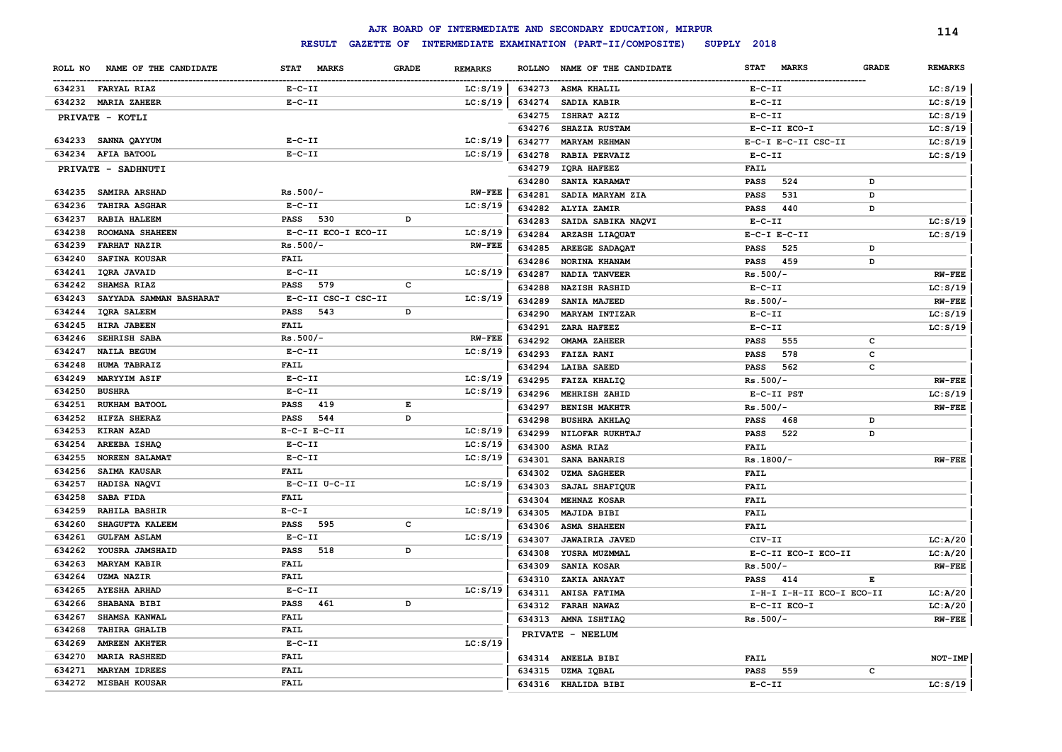|                                   |                     |              |                |        | AJK BOARD OF INTERMEDIATE AND SECONDARY EDUCATION, MIRPUR |                             |              | 114            |
|-----------------------------------|---------------------|--------------|----------------|--------|-----------------------------------------------------------|-----------------------------|--------------|----------------|
|                                   | <b>RESULT</b>       |              |                |        | GAZETTE OF INTERMEDIATE EXAMINATION (PART-II/COMPOSITE)   | SUPPLY 2018                 |              |                |
| NAME OF THE CANDIDATE<br>ROLL NO  | STAT MARKS          | <b>GRADE</b> | <b>REMARKS</b> |        | ROLLNO NAME OF THE CANDIDATE                              | <b>STAT</b><br><b>MARKS</b> | <b>GRADE</b> | <b>REMARKS</b> |
| 634231 FARYAL RIAZ                | $E- C- II$          |              | LC: S/19       | 634273 | <b>ASMA KHALIL</b>                                        | $E- C- II$                  |              | LC: S/19       |
| 634232 MARIA ZAHEER               | $E - C - II$        |              | LC: S/19       | 634274 | SADIA KABIR                                               | $E- C- II$                  |              | LC: S/19       |
| PRIVATE - KOTLI                   |                     |              |                | 634275 | ISHRAT AZIZ                                               | $E- C- II$                  |              | LC: S/19       |
|                                   |                     |              |                | 634276 | <b>SHAZIA RUSTAM</b>                                      | E-C-II ECO-I                |              | LC: S/19       |
| 634233 SANNA QAYYUM               | $E-C-II$            |              | LC: S/19       | 634277 | <b>MARYAM REHMAN</b>                                      | E-C-I E-C-II CSC-II         |              | LC: S/19       |
| 634234 AFIA BATOOL                | $E - C - II$        |              | LC: S/19       | 634278 | RABIA PERVAIZ                                             | $E- C- II$                  |              | LC: S/19       |
| PRIVATE - SADHNUTI                |                     |              |                | 634279 | IQRA HAFEEZ                                               | <b>FAIL</b>                 |              |                |
|                                   |                     |              |                | 634280 | SANIA KARAMAT                                             | <b>PASS</b><br>524          | D            |                |
| 634235<br><b>SAMIRA ARSHAD</b>    | $Rs.500/-$          |              | $RW-FEE$       | 634281 | SADIA MARYAM ZIA                                          | <b>PASS</b><br>531          | D            |                |
| 634236<br><b>TAHIRA ASGHAR</b>    | $E- C- II$          |              | LC: S/19       | 634282 | <b>ALYIA ZAMIR</b>                                        | <b>PASS</b><br>440          | D            |                |
| 634237<br>RABIA HALEEM            | PASS 530            | D            |                | 634283 | SAIDA SABIKA NAQVI                                        | $E- C- II$                  |              | LC: S/19       |
| 634238<br>ROOMANA SHAHEEN         | E-C-II ECO-I ECO-II |              | LC: S/19       | 634284 | <b>ARZASH LIAQUAT</b>                                     | $E-C-I$ $E-C-II$            |              | LC: S/19       |
| 634239<br><b>FARHAT NAZIR</b>     | $Rs.500/-$          |              | <b>RW-FEE</b>  | 634285 | <b>AREEGE SADAQAT</b>                                     | 525<br>PASS                 | D            |                |
| 634240<br>SAFINA KOUSAR           | FAIL                |              |                | 634286 | NORINA KHANAM                                             | 459<br><b>PASS</b>          | D            |                |
| 634241<br>IQRA JAVAID             | $E-C-II$            |              | LC: S/19       | 634287 | <b>NADIA TANVEER</b>                                      | $Rs.500/-$                  |              | <b>RW-FEE</b>  |
| 634242<br><b>SHAMSA RIAZ</b>      | 579<br>PASS         | c            |                | 634288 | <b>NAZISH RASHID</b>                                      | $E- C- II$                  |              | LC: S/19       |
| 634243<br>SAYYADA SAMMAN BASHARAT | E-C-II CSC-I CSC-II |              | LC: S/19       | 634289 | SANIA MAJEED                                              | $Rs.500/-$                  |              | <b>RW-FEE</b>  |
| 634244<br><b>IQRA SALEEM</b>      | 543<br>PASS         | D            |                | 634290 | <b>MARYAM INTIZAR</b>                                     | $E-C-II$                    |              | LC: S/19       |
| 634245<br>HIRA JABEEN             | FAIL                |              |                | 634291 | ZARA HAFEEZ                                               | $E-C-II$                    |              | LC: S/19       |
| 634246<br><b>SEHRISH SABA</b>     | $Rs.500/-$          |              | <b>RW-FEE</b>  | 634292 | <b>OMAMA ZAHEER</b>                                       | 555<br><b>PASS</b>          | c            |                |
| 634247<br><b>NAILA BEGUM</b>      | $E-C-II$            |              | LC: S/19       | 634293 | <b>FAIZA RANI</b>                                         | 578<br>PASS                 | с            |                |
| 634248<br><b>HUMA TABRAIZ</b>     | <b>FAIL</b>         |              |                | 634294 | LAIBA SAEED                                               | PASS<br>562                 | c            |                |
| 634249<br><b>MARYYIM ASIF</b>     | $E - C - II$        |              | LC: S/19       | 634295 | <b>FAIZA KHALIQ</b>                                       | $Rs.500/-$                  |              | <b>RW-FEE</b>  |
| 634250<br><b>BUSHRA</b>           | $E- C- II$          |              | LC: S/19       | 634296 | MEHRISH ZAHID                                             | E-C-II PST                  |              | LC: S/19       |
| 634251<br>RUKHAM BATOOL           | 419<br>PASS         | Е            |                | 634297 | <b>BENISH MAKHTR</b>                                      | $Rs.500/-$                  |              | <b>RW-FEE</b>  |
| 634252<br>HIFZA SHERAZ            | 544<br><b>PASS</b>  | D            |                | 634298 | <b>BUSHRA AKHLAQ</b>                                      | PASS<br>468                 | D            |                |
| 634253<br>KIRAN AZAD              | $E-C-I$ $E-C-II$    |              | LC: S/19       | 634299 | NILOFAR RUKHTAJ                                           | PASS<br>522                 | D            |                |
| 634254<br>AREEBA ISHAQ            | $E-C-II$            |              | LC: S/19       | 634300 | <b>ASMA RIAZ</b>                                          | <b>FAIL</b>                 |              |                |
| 634255<br><b>NOREEN SALAMAT</b>   | $E - C - II$        |              | LC: S/19       | 634301 | SANA BANARIS                                              | $Rs.1800/-$                 |              | <b>RW-FEE</b>  |
| 634256<br><b>SAIMA KAUSAR</b>     | FAIL                |              |                | 634302 | <b>UZMA SAGHEER</b>                                       | <b>FAIL</b>                 |              |                |
| 634257<br>HADISA NAQVI            | E-C-II U-C-II       |              | LC: S/19       | 634303 | SAJAL SHAFIQUE                                            | <b>FAIL</b>                 |              |                |
| 634258<br><b>SABA FIDA</b>        | <b>FAIL</b>         |              |                | 634304 | <b>MEHNAZ KOSAR</b>                                       | <b>FAIL</b>                 |              |                |
| 634259<br><b>RAHILA BASHIR</b>    | $E - C - I$         |              | LC: S/19       | 634305 | MAJIDA BIBI                                               | FAIL                        |              |                |
| 634260<br><b>SHAGUFTA KALEEM</b>  | PASS 595            | c            |                | 634306 | <b>ASMA SHAHEEN</b>                                       | <b>FAIL</b>                 |              |                |
| 634261<br><b>GULFAM ASLAM</b>     | $E-C-II$            |              | LC: S/19       | 634307 | <b>JAWAIRIA JAVED</b>                                     | CIV-II                      |              | LC: A/20       |
| 634262<br>YOUSRA JAMSHAID         | <b>PASS</b> 518     | D            |                | 634308 | YUSRA MUZMMAL                                             | E-C-II ECO-I ECO-II         |              | LC: A/20       |
| 634263<br><b>MARYAM KABIR</b>     | FAIL                |              |                | 634309 | SANIA KOSAR                                               | $Rs.500/-$                  |              | <b>RW-FEE</b>  |
| 634264<br><b>UZMA NAZIR</b>       | FAIL                |              |                |        | 634310 ZAKIA ANAYAT                                       | <b>PASS</b> 414             | Е            |                |
| 634265 AYESHA ARHAD               | $E - C - II$        |              | LC: S/19       |        | 634311 ANISA FATIMA                                       | I-H-I I-H-II ECO-I ECO-II   |              | LC:A/20        |
| 634266 SHABANA BIBI               | PASS 461            | D            |                |        |                                                           | E-C-II ECO-I                |              | LC:A/20        |
| <b>SHAMSA KANWAL</b><br>634267    | <b>FAIL</b>         |              |                |        | 634312 FARAH NAWAZ<br>634313 AMNA ISHTIAQ                 | $Rs.500/-$                  |              | <b>RW-FEE</b>  |
| 634268<br><b>TAHIRA GHALIB</b>    | <b>FAIL</b>         |              |                |        |                                                           |                             |              |                |
| <b>AMREEN AKHTER</b><br>634269    | $E- C- II$          |              | LC: S/19       |        | PRIVATE - NEELUM                                          |                             |              |                |
| 634270<br><b>MARIA RASHEED</b>    | FAIL                |              |                |        | 634314 ANEELA BIBI                                        | <b>FAIL</b>                 |              | NOT-IMP        |
| <b>MARYAM IDREES</b><br>634271    | <b>FAIL</b>         |              |                |        | 634315 UZMA IQBAL                                         | PASS 559                    | c            |                |
| 634272 MISBAH KOUSAR              | <b>FAIL</b>         |              |                |        | 634316 KHALIDA BIBI                                       | $E-C-II$                    |              | LC: S/19       |
|                                   |                     |              |                |        |                                                           |                             |              |                |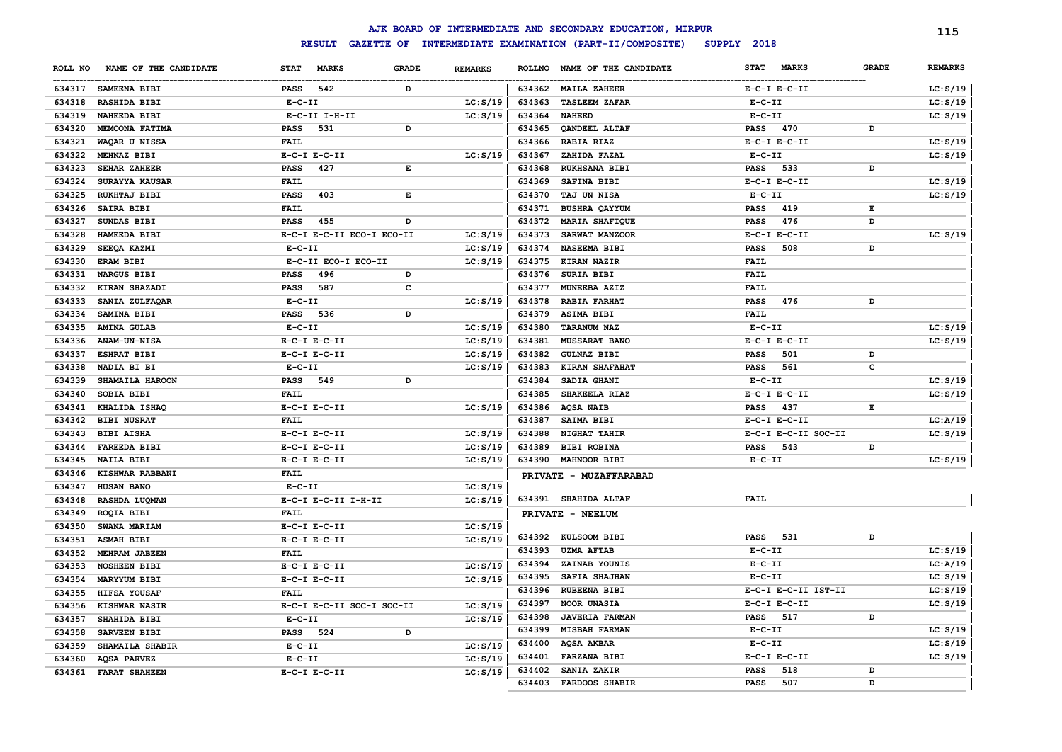|         |                       |                  |                           |                                                                                                |                |               | AJK BOARD OF INTERMEDIATE AND SECONDARY EDUCATION, MIRPUR |                  |                     |              | 115            |
|---------|-----------------------|------------------|---------------------------|------------------------------------------------------------------------------------------------|----------------|---------------|-----------------------------------------------------------|------------------|---------------------|--------------|----------------|
|         |                       |                  | <b>RESULT</b>             |                                                                                                |                |               | GAZETTE OF INTERMEDIATE EXAMINATION (PART-II/COMPOSITE)   | SUPPLY 2018      |                     |              |                |
| ROLL NO | NAME OF THE CANDIDATE | <b>STAT</b>      | <b>MARKS</b>              | <b>GRADE</b>                                                                                   | <b>REMARKS</b> | <b>ROLLNO</b> | NAME OF THE CANDIDATE                                     | <b>STAT</b>      | <b>MARKS</b>        | <b>GRADE</b> | <b>REMARKS</b> |
| 634317  | SAMEENA BIBI          | <b>PASS</b>      | 542                       | D                                                                                              |                |               | 634362 MAILA ZAHEER                                       | $E-C-I$ $E-C-II$ |                     |              | LC: S/19       |
| 634318  | RASHIDA BIBI          | $E-C-II$         |                           |                                                                                                | LC: S/19       | 634363        | <b>TASLEEM ZAFAR</b>                                      | $E-C-II$         |                     |              | LC: S/19       |
| 634319  | <b>NAHEEDA BIBI</b>   |                  | $E-C-II$ I-H-II           |                                                                                                | LC: S/19       | 634364        | <b>NAHEED</b>                                             | $E-C-II$         |                     |              | LC: S/19       |
| 634320  | MEMOONA FATIMA        | <b>PASS</b>      | 531                       | D                                                                                              |                | 634365        | <b>OANDEEL ALTAF</b>                                      | <b>PASS</b>      | 470                 | D            |                |
| 634321  | WAQAR U NISSA         | <b>FAIL</b>      |                           |                                                                                                |                | 634366        | <b>RABIA RIAZ</b>                                         | $E-C-I$ $E-C-II$ |                     |              | LC: S/19       |
| 634322  | MEHNAZ BIBI           |                  | $E-C-I$ $E-C-II$          |                                                                                                | LC: S/19       | 634367        | ZAHIDA FAZAL                                              | $E-C-II$         |                     |              | LC: S/19       |
| 634323  | SEHAR ZAHEER          | <b>PASS</b>      | 427                       | $\mathbf{E}% _{t}\left  \mathbf{1}\right\rangle =\mathbf{1}_{t}\left  \mathbf{1}\right\rangle$ |                | 634368        | RUKHSANA BIBI                                             | <b>PASS</b>      | 533                 | D            |                |
| 634324  | SURAYYA KAUSAR        | <b>FAIL</b>      |                           |                                                                                                |                | 634369        | SAFINA BIBI                                               | $E-C-I$ $E-C-II$ |                     |              | LC: S/19       |
| 634325  | RUKHTAJ BIBI          | <b>PASS</b>      | 403                       | E                                                                                              |                | 634370        | <b>TAJ UN NISA</b>                                        | $E-C-II$         |                     |              | LC: S/19       |
| 634326  | SAIRA BIBI            | FAIL             |                           |                                                                                                |                | 634371        | <b>BUSHRA QAYYUM</b>                                      | <b>PASS</b>      | 419                 | Е            |                |
| 634327  | SUNDAS BIBI           | <b>PASS</b>      | 455                       | D                                                                                              |                | 634372        | <b>MARIA SHAFIQUE</b>                                     | <b>PASS</b>      | 476                 | D            |                |
| 634328  | HAMEEDA BIBI          |                  | E-C-I E-C-II ECO-I ECO-II |                                                                                                | LC: S/19       | 634373        | SARWAT MANZOOR                                            | $E-C-I$ $E-C-II$ |                     |              | LC: S/19       |
| 634329  | SEEQA KAZMI           | $E- C- II$       |                           |                                                                                                | LC: S/19       | 634374        | NASEEMA BIBI                                              | <b>PASS</b>      | 508                 | D            |                |
| 634330  | ERAM BIBI             |                  | E-C-II ECO-I ECO-II       |                                                                                                | LC: S/19       | 634375        | KIRAN NAZIR                                               | FAIL             |                     |              |                |
| 634331  | <b>NARGUS BIBI</b>    | PASS             | 496                       | D                                                                                              |                | 634376        | SURIA BIBI                                                | FAIL             |                     |              |                |
| 634332  | KIRAN SHAZADI         | <b>PASS</b>      | 587                       | $\mathbf c$                                                                                    |                | 634377        | MUNEEBA AZIZ                                              | <b>FAIL</b>      |                     |              |                |
| 634333  | SANIA ZULFAQAR        | $E-C-II$         |                           |                                                                                                | LC: S/19       | 634378        | <b>RABIA FARHAT</b>                                       | <b>PASS</b>      | 476                 | D            |                |
| 634334  | SAMINA BIBI           | PASS 536         |                           | D                                                                                              |                | 634379        | ASIMA BIBI                                                | FAIL             |                     |              |                |
| 634335  | <b>AMINA GULAB</b>    | $E-C-II$         |                           |                                                                                                | LC: S/19       | 634380        | <b>TARANUM NAZ</b>                                        | $E-C-II$         |                     |              | LC: S/19       |
| 634336  | ANAM-UN-NISA          | $E-C-I$ $E-C-II$ |                           |                                                                                                | LC: S/19       | 634381        | <b>MUSSARAT BANO</b>                                      | $E-C-I$ $E-C-II$ |                     |              | LC: S/19       |
| 634337  | <b>ESHRAT BIBI</b>    |                  | $E-C-I$ $E-C-II$          |                                                                                                | LC: S/19       | 634382        | <b>GULNAZ BIBI</b>                                        | PASS             | 501                 | D            |                |
| 634338  | NADIA BI BI           | $E-C-II$         |                           |                                                                                                | LC: S/19       | 634383        | <b>KIRAN SHAFAHAT</b>                                     | PASS             | 561                 | $\mathbf c$  |                |
| 634339  | SHAMAILA HAROON       | PASS 549         |                           | D                                                                                              |                | 634384        | SADIA GHANI                                               | $E-C-II$         |                     |              | LC: S/19       |
| 634340  | SOBIA BIBI            | <b>FAIL</b>      |                           |                                                                                                |                | 634385        | SHAKEELA RIAZ                                             | $E-C-I$ $E-C-II$ |                     |              | LC: S/19       |
| 634341  | KHALIDA ISHAQ         |                  | $E-C-I$ $E-C-II$          |                                                                                                | LC: S/19       | 634386        | <b>AQSA NAIB</b>                                          | <b>PASS</b>      | 437                 | Е            |                |
| 634342  | <b>BIBI NUSRAT</b>    | <b>FAIL</b>      |                           |                                                                                                |                | 634387        | SAIMA BIBI                                                | $E-C-I$ $E-C-II$ |                     |              | LC: A/19       |
| 634343  | <b>BIBI AISHA</b>     |                  | $E-C-I$ $E-C-II$          |                                                                                                | LC: S/19       | 634388        | NIGHAT TAHIR                                              |                  | E-C-I E-C-II SOC-II |              | LC: S/19       |
| 634344  | <b>FAREEDA BIBI</b>   |                  | $E-C-I$ $E-C-II$          |                                                                                                | LC: S/19       | 634389        | <b>BIBI ROBINA</b>                                        | <b>PASS</b>      | 543                 | D            |                |
| 634345  | <b>NAILA BIBI</b>     |                  | $E-C-I$ $E-C-II$          |                                                                                                | LC: S/19       | 634390        | <b>MAHNOOR BIBI</b>                                       | $E-C-II$         |                     |              | LC: S/19       |
| 634346  | KISHWAR RABBANI       | <b>FAIL</b>      |                           |                                                                                                |                |               | PRIVATE - MUZAFFARABAD                                    |                  |                     |              |                |
| 634347  | HUSAN BANO            | $E-C-II$         |                           |                                                                                                | LC: S/19       |               |                                                           |                  |                     |              |                |
| 634348  | RASHDA LUQMAN         |                  | E-C-I E-C-II I-H-II       |                                                                                                | LC: S/19       |               | 634391 SHAHIDA ALTAF                                      | FAIL             |                     |              |                |
| 634349  | ROQIA BIBI            | <b>FAIL</b>      |                           |                                                                                                |                |               | PRIVATE - NEELUM                                          |                  |                     |              |                |
| 634350  | SWANA MARIAM          |                  | $E-C-I$ $E-C-II$          |                                                                                                | LC: S/19       |               |                                                           |                  |                     |              |                |
| 634351  | <b>ASMAH BIBI</b>     |                  | $E-C-I$ $E-C-II$          |                                                                                                | LC: S/19       |               | 634392 KULSOOM BIBI                                       | PASS             | 531                 | D            |                |
| 634352  | MEHRAM JABEEN         | <b>FAIL</b>      |                           |                                                                                                |                | 634393        | <b>UZMA AFTAB</b>                                         | $E - C - II$     |                     |              | LC: S/19       |
| 634353  | <b>NOSHEEN BIBI</b>   |                  | $E-C-I$ $E-C-II$          |                                                                                                | LC: S/19       | 634394        | ZAINAB YOUNIS                                             | $E- C- II$       |                     |              | LC:A/19        |
| 634354  | <b>MARYYUM BIBI</b>   |                  | $E-C-I$ $E-C-II$          |                                                                                                | LC: S/19       | 634395        | SAFIA SHAJHAN                                             | $E - C - II$     |                     |              | LC: S/19       |
| 634355  | HIFSA YOUSAF          | FAIL             |                           |                                                                                                |                | 634396        | <b>RUBEENA BIBI</b>                                       |                  | E-C-I E-C-II IST-II |              | LC: S/19       |
| 634356  | KISHWAR NASIR         |                  | E-C-I E-C-II SOC-I SOC-II |                                                                                                | LC: S/19       | 634397        | NOOR UNASIA                                               | $E-C-I$ $E-C-II$ |                     |              | LC: S/19       |
| 634357  | SHAHIDA BIBI          | $E-C-II$         |                           |                                                                                                | LC: S/19       | 634398        | <b>JAVERIA FARMAN</b>                                     | PASS             | 517                 | D            |                |
| 634358  | SARVEEN BIBI          | <b>PASS</b>      | 524                       | D                                                                                              |                | 634399        | <b>MISBAH FARMAN</b>                                      | $E-C-II$         |                     |              | LC: S/19       |
| 634359  | SHAMAILA SHABIR       | $E-C-II$         |                           |                                                                                                | LC: S/19       | 634400        | <b>AQSA AKBAR</b>                                         | $E-C-II$         |                     |              | LC: S/19       |
| 634360  | AQSA PARVEZ           | $E-C-II$         |                           |                                                                                                | LC: S/19       | 634401        | <b>FARZANA BIBI</b>                                       | $E-C-I$ $E-C-II$ |                     |              | LC: S/19       |
| 634361  | <b>FARAT SHAHEEN</b>  |                  | $E-C-I$ $E-C-II$          |                                                                                                | LC: S/19       | 634402        | SANIA ZAKIR                                               | <b>PASS</b>      | 518                 | D            |                |
|         |                       |                  |                           |                                                                                                |                | 634403        | <b>FARDOOS SHABIR</b>                                     | <b>PASS</b>      | 507                 | D            |                |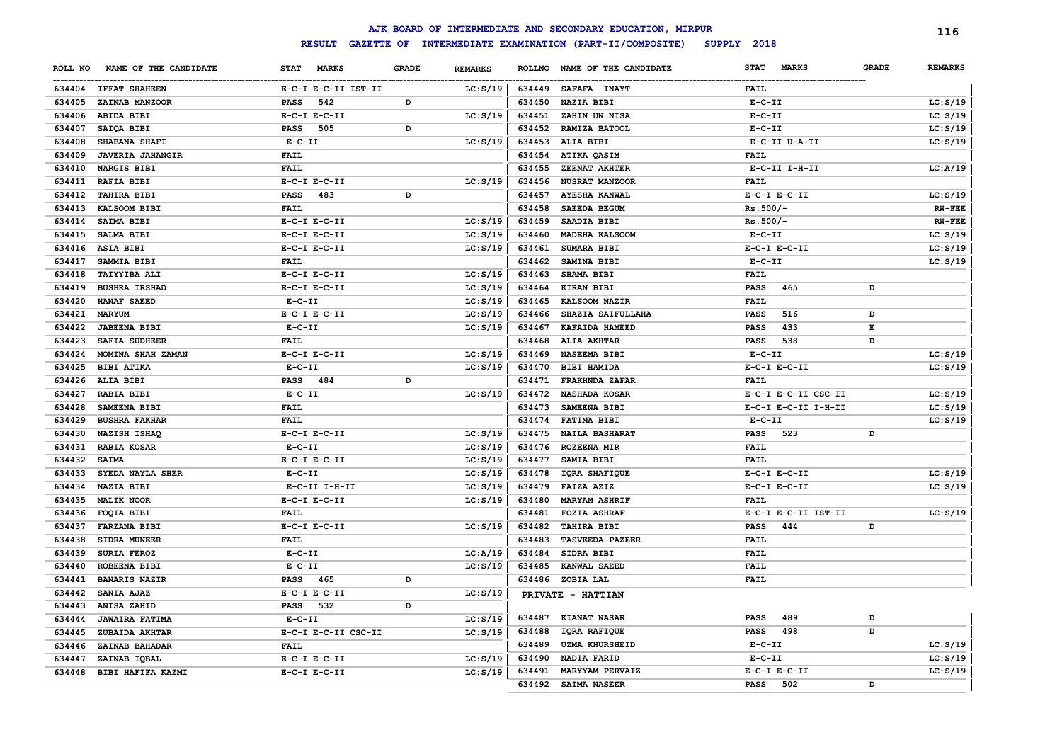|               |                          |                             |              |                |        | AJK BOARD OF INTERMEDIATE AND SECONDARY EDUCATION, MIRPUR |              |                     |              | 116            |
|---------------|--------------------------|-----------------------------|--------------|----------------|--------|-----------------------------------------------------------|--------------|---------------------|--------------|----------------|
|               |                          | <b>RESULT</b>               |              |                |        | GAZETTE OF INTERMEDIATE EXAMINATION (PART-II/COMPOSITE)   | SUPPLY 2018  |                     |              |                |
| ROLL NO       | NAME OF THE CANDIDATE    | <b>STAT</b><br><b>MARKS</b> | <b>GRADE</b> | <b>REMARKS</b> |        | ROLLNO NAME OF THE CANDIDATE                              | <b>STAT</b>  | <b>MARKS</b>        | <b>GRADE</b> | <b>REMARKS</b> |
|               | 634404 IFFAT SHAHEEN     | E-C-I E-C-II IST-II         |              | LC: S/19       |        | 634449 SAFAFA INAYT                                       | <b>FAIL</b>  |                     |              |                |
|               | 634405 ZAINAB MANZOOR    | 542<br><b>PASS</b>          | D            |                | 634450 | <b>NAZIA BIBI</b>                                         | $E - C - II$ |                     |              | LC: S/19       |
|               | 634406 ABIDA BIBI        | $E-C-I$ $E-C-II$            |              | LC: S/19       |        | 634451 ZAHIN UN NISA                                      | $E-C-II$     |                     |              | LC: S/19       |
| 634407        | SAIQA BIBI               | 505<br><b>PASS</b>          | D            |                | 634452 | RAMIZA BATOOL                                             | $E-C-II$     |                     |              | LC: S/19       |
|               | 634408 SHABANA SHAFI     | $E - C - II$                |              | LC: S/19       |        | 634453 ALIA BIBI                                          |              | E-C-II U-A-II       |              | LC: S/19       |
|               | 634409 JAVERIA JAHANGIR  | <b>FAIL</b>                 |              |                | 634454 | ATIKA QASIM                                               | <b>FAIL</b>  |                     |              |                |
|               | 634410 NARGIS BIBI       | <b>FAIL</b>                 |              |                | 634455 | ZEENAT AKHTER                                             |              | E-C-II I-H-II       |              | LC: A/19       |
|               | 634411 RAFIA BIBI        | $E-C-I$ $E-C-II$            |              | LC: S/19       | 634456 | <b>NUSRAT MANZOOR</b>                                     | <b>FAIL</b>  |                     |              |                |
|               | 634412 TAHIRA BIBI       | <b>PASS</b><br>483          | D            |                | 634457 | <b>AYESHA KANWAL</b>                                      |              | $E-C-I$ $E-C-II$    |              | LC: S/19       |
|               | 634413 KALSOOM BIBI      | <b>FAIL</b>                 |              |                | 634458 | <b>SAEEDA BEGUM</b>                                       | $Rs.500/-$   |                     |              | $RW-FEE$       |
|               | 634414 SAIMA BIBI        | $E-C-I$ $E-C-II$            |              | LC: S/19       | 634459 | SAADIA BIBI                                               | $Rs.500/-$   |                     |              | $RW-FEE$       |
|               | 634415 SALMA BIBI        | $E-C-I$ $E-C-II$            |              | LC: S/19       | 634460 | <b>MADEHA KALSOOM</b>                                     | $E - C - II$ |                     |              | LC: S/19       |
|               | 634416 ASIA BIBI         | $E-C-I$ $E-C-II$            |              | LC: S/19       | 634461 | SUMARA BIBI                                               |              | $E-C-I$ $E-C-II$    |              | LC: S/19       |
|               | 634417 SAMMIA BIBI       | <b>FAIL</b>                 |              |                | 634462 | SAMINA BIBI                                               | $E-C-II$     |                     |              | LC: S/19       |
|               | 634418 TAIYYIBA ALI      | $E-C-I$ $E-C-II$            |              | LC: S/19       | 634463 | SHAMA BIBI                                                | <b>FAIL</b>  |                     |              |                |
|               | 634419 BUSHRA IRSHAD     | $E-C-I$ $E-C-II$            |              | LC: S/19       | 634464 | <b>KIRAN BIBI</b>                                         | <b>PASS</b>  | 465                 | D            |                |
|               | 634420 HANAF SAEED       | $E- C- II$                  |              | LC: S/19       | 634465 | KALSOOM NAZIR                                             | <b>FAIL</b>  |                     |              |                |
| 634421 MARYUM |                          | $E-C-I$ $E-C-II$            |              | LC: S/19       | 634466 | SHAZIA SAIFULLAHA                                         | <b>PASS</b>  | 516                 | D            |                |
|               | 634422 JABEENA BIBI      | $E - C - II$                |              | LC: S/19       | 634467 | KAFAIDA HAMEED                                            | <b>PASS</b>  | 433                 | E            |                |
|               | 634423 SAFIA SUDHEER     | <b>FAIL</b>                 |              |                | 634468 | ALIA AKHTAR                                               | <b>PASS</b>  | 538                 | D            |                |
|               | 634424 MOMINA SHAH ZAMAN | $E-C-I$ $E-C-II$            |              | LC: S/19       | 634469 | <b>NASEEMA BIBI</b>                                       | $E-C-II$     |                     |              | LC: S/19       |
|               | 634425 BIBI ATIKA        | $E-C-II$                    |              | LC: S/19       | 634470 | <b>BIBI HAMIDA</b>                                        |              | $E-C-I$ $E-C-II$    |              | LC: S/19       |
|               | 634426 ALIA BIBI         | PASS 484                    | D            |                | 634471 | <b>FRAKHNDA ZAFAR</b>                                     | <b>FAIL</b>  |                     |              |                |
|               | 634427 RABIA BIBI        | $E - C - II$                |              | LC: S/19       | 634472 | <b>NASHADA KOSAR</b>                                      |              | E-C-I E-C-II CSC-II |              | LC: S/19       |
|               | 634428 SAMEENA BIBI      | <b>FAIL</b>                 |              |                | 634473 | SAMEENA BIBI                                              |              | E-C-I E-C-II I-H-II |              | LC: S/19       |
|               | 634429 BUSHRA FAKHAR     | <b>FAIL</b>                 |              |                |        | 634474 FATIMA BIBI                                        | $E-C-II$     |                     |              | LC: S/19       |
|               | 634430 NAZISH ISHAQ      | $E-C-I$ $E-C-II$            |              | LC: S/19       | 634475 | <b>NAILA BASHARAT</b>                                     | <b>PASS</b>  | 523                 | D            |                |
|               | 634431 RABIA KOSAR       | $E - C - II$                |              | LC: S/19       | 634476 | <b>ROZEENA MIR</b>                                        | <b>FAIL</b>  |                     |              |                |
| 634432 SAIMA  |                          | $E-C-I$ $E-C-II$            |              | LC: S/19       | 634477 | SAMIA BIBI                                                | <b>FAIL</b>  |                     |              |                |
|               | 634433 SYEDA NAYLA SHER  | $E - C - II$                |              | LC: S/19       | 634478 | IQRA SHAFIQUE                                             |              | $E-C-I$ $E-C-II$    |              | LC: S/19       |
|               | 634434 NAZIA BIBI        | $E-C-II$ I-H-II             |              | LC: S/19       | 634479 | <b>FAIZA AZIZ</b>                                         |              | $E-C-I$ $E-C-II$    |              | LC: S/19       |
|               | 634435 MALIK NOOR        | $E-C-I$ $E-C-II$            |              | LC: S/19       | 634480 | <b>MARYAM ASHRIF</b>                                      | <b>FAIL</b>  |                     |              |                |
|               | 634436 FOQIA BIBI        | <b>FAIL</b>                 |              |                |        | 634481 FOZIA ASHRAF                                       |              | E-C-I E-C-II IST-II |              | LC: S/19       |
| 634437        | <b>FARZANA BIBI</b>      | $E-C-I$ $E-C-II$            |              | LC: S/19       | 634482 | <b>TAHIRA BIBI</b>                                        | <b>PASS</b>  | 444                 | D            |                |
|               | 634438 SIDRA MUNEER      | <b>FAIL</b>                 |              |                | 634483 | <b>TASVEEDA PAZEER</b>                                    | <b>FAIL</b>  |                     |              |                |
|               | 634439 SURIA FEROZ       | $E - C - II$                |              | LC:A/19        | 634484 | SIDRA BIBI                                                | <b>FAIL</b>  |                     |              |                |
|               | 634440 ROBEENA BIBI      | $E - C - II$                |              | LC: S/19       |        | 634485 KANWAL SAEED                                       | <b>FAIL</b>  |                     |              |                |
|               | 634441 BANARIS NAZIR     | PASS 465                    | D            |                |        | 634486 ZOBIA LAL                                          | <b>FAIL</b>  |                     |              |                |
|               | 634442 SANIA AJAZ        | $E-C-I$ $E-C-II$            |              | LC: S/19       |        | PRIVATE - HATTIAN                                         |              |                     |              |                |
|               | 634443 ANISA ZAHID       | 532<br><b>PASS</b>          | D            |                |        |                                                           |              |                     |              |                |
| 634444        | <b>JAWAIRA FATIMA</b>    | $E - C - II$                |              | LC: S/19       |        | 634487 KIANAT NASAR                                       | <b>PASS</b>  | 489                 | D            |                |
| 634445        | ZUBAIDA AKHTAR           | E-C-I E-C-II CSC-II         |              | LC: S/19       | 634488 | IQRA RAFIQUE                                              | PASS         | 498                 | D            |                |
|               | 634446 ZAINAB BAHADAR    | <b>FAIL</b>                 |              |                | 634489 | <b>UZMA KHURSHEID</b>                                     | $E - C - II$ |                     |              | LC: S/19       |
| 634447        | ZAINAB IQBAL             | $E-C-I$ $E-C-II$            |              | LC: S/19       | 634490 | NADIA FARID                                               | $E-C-II$     |                     |              | LC: S/19       |
|               | 634448 BIBI HAFIFA KAZMI | $E-C-I$ $E-C-II$            |              | LC: S/19       | 634491 | MARYYAM PERVAIZ                                           |              | $E-C-I$ $E-C-II$    |              | LC: S/19       |
|               |                          |                             |              |                | 634492 | <b>SAIMA NASEER</b>                                       | <b>PASS</b>  | 502                 | D            |                |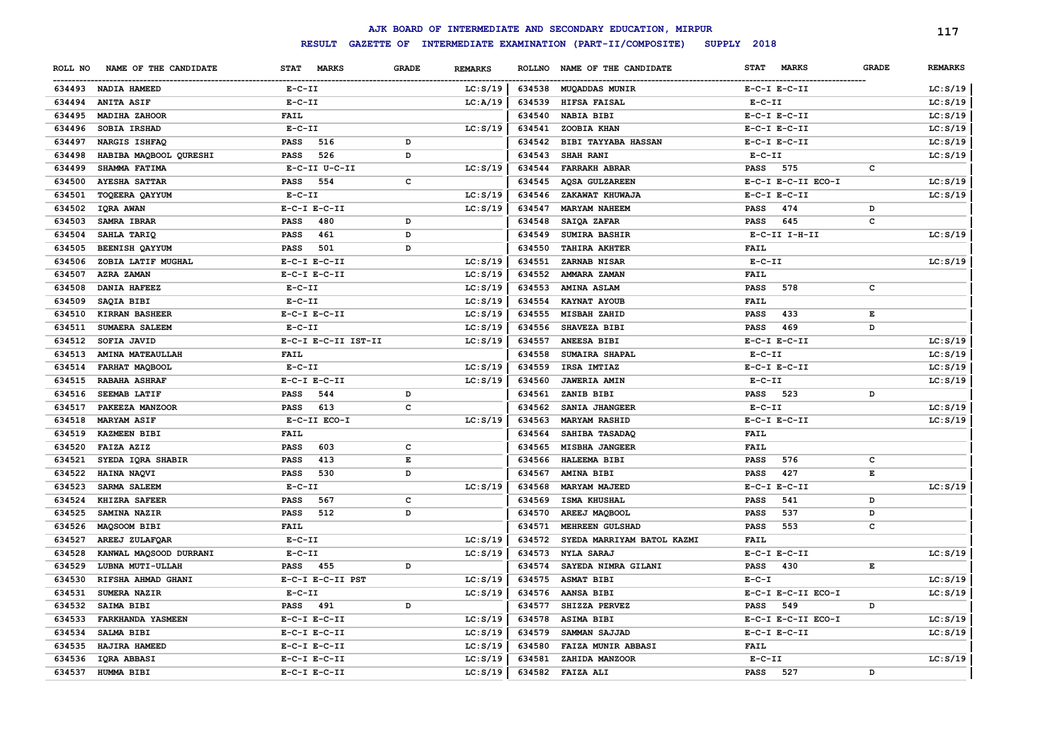|         |                         |                 |                     |              |                |        | AJK BOARD OF INTERMEDIATE AND SECONDARY EDUCATION, MIRPUR |                             |              | 117            |
|---------|-------------------------|-----------------|---------------------|--------------|----------------|--------|-----------------------------------------------------------|-----------------------------|--------------|----------------|
|         |                         |                 | <b>RESULT</b>       |              |                |        | GAZETTE OF INTERMEDIATE EXAMINATION (PART-II/COMPOSITE)   | SUPPLY 2018                 |              |                |
| ROLL NO | NAME OF THE CANDIDATE   | STAT MARKS      |                     | <b>GRADE</b> | <b>REMARKS</b> |        | ROLLNO NAME OF THE CANDIDATE                              | <b>STAT</b><br><b>MARKS</b> | <b>GRADE</b> | <b>REMARKS</b> |
|         | 634493 NADIA HAMEED     | $E- C- II$      |                     |              | LC: S/19       | 634538 | <b>MUQADDAS MUNIR</b>                                     | $E-C-I$ $E-C-II$            |              | LC: S/19       |
| 634494  | <b>ANITA ASIF</b>       | $E - C - II$    |                     |              | LC: A/19       | 634539 | HIFSA FAISAL                                              | $E-C-II$                    |              | LC: S/19       |
| 634495  | MADIHA ZAHOOR           | <b>FAIL</b>     |                     |              |                | 634540 | <b>NABIA BIBI</b>                                         | $E-C-I$ $E-C-II$            |              | LC: S/19       |
| 634496  | SOBIA IRSHAD            | $E-C-II$        |                     |              | LC: S/19       | 634541 | ZOOBIA KHAN                                               | $E-C-I$ $E-C-II$            |              | LC: S/19       |
| 634497  | NARGIS ISHFAQ           | <b>PASS</b>     | 516                 | D            |                | 634542 | <b>BIBI TAYYABA HASSAN</b>                                | $E-C-I$ $E-C-II$            |              | LC: S/19       |
| 634498  | HABIBA MAQBOOL QURESHI  | <b>PASS</b>     | 526                 | D            |                | 634543 | SHAH RANI                                                 | $E - C - II$                |              | LC: S/19       |
| 634499  | SHAMMA FATIMA           |                 | E-C-II U-C-II       |              | LC: S/19       | 634544 | <b>FARRAKH ABRAR</b>                                      | <b>PASS</b><br>575          | $\mathbf c$  |                |
| 634500  | <b>AYESHA SATTAR</b>    | <b>PASS</b>     | 554                 | c            |                | 634545 | <b>AQSA GULZAREEN</b>                                     | E-C-I E-C-II ECO-I          |              | LC: S/19       |
| 634501  | TOQEERA QAYYUM          | $E-C-II$        |                     |              | LC: S/19       | 634546 | ZAKAWAT KHUWAJA                                           | $E-C-I$ $E-C-II$            |              | LC: S/19       |
| 634502  | IQRA AWAN               |                 | $E-C-I$ $E-C-II$    |              | LC: S/19       | 634547 | <b>MARYAM NAHEEM</b>                                      | 474<br><b>PASS</b>          | D            |                |
| 634503  | SAMRA IBRAR             | <b>PASS</b>     | 480                 | D            |                | 634548 | SAIQA ZAFAR                                               | <b>PASS</b><br>645          | C            |                |
| 634504  | SAHLA TARIQ             | <b>PASS</b>     | 461                 | D            |                | 634549 | <b>SUMIRA BASHIR</b>                                      | E-C-II I-H-II               |              | LC: S/19       |
| 634505  | BEENISH QAYYUM          | <b>PASS</b>     | 501                 | D            |                | 634550 | <b>TAHIRA AKHTER</b>                                      | <b>FAIL</b>                 |              |                |
| 634506  | ZOBIA LATIF MUGHAL      |                 | $E-C-I$ $E-C-II$    |              | LC: S/19       | 634551 | ZARNAB NISAR                                              | $E-C-II$                    |              | LC: S/19       |
| 634507  | AZRA ZAMAN              |                 | $E-C-I$ $E-C-II$    |              | LC: S/19       | 634552 | AMMARA ZAMAN                                              | <b>FAIL</b>                 |              |                |
| 634508  | <b>DANIA HAFEEZ</b>     | $E-C-II$        |                     |              | LC: S/19       | 634553 | <b>AMINA ASLAM</b>                                        | <b>PASS</b><br>578          | c            |                |
| 634509  | SAQIA BIBI              | $E - C - II$    |                     |              | LC: S/19       | 634554 | KAYNAT AYOUB                                              | <b>FAIL</b>                 |              |                |
| 634510  | <b>KIRRAN BASHEER</b>   |                 | $E-C-I$ $E-C-II$    |              | LC: S/19       | 634555 | MISBAH ZAHID                                              | 433<br><b>PASS</b>          | Е            |                |
| 634511  | <b>SUMAERA SALEEM</b>   | $E - C - II$    |                     |              | LC: S/19       | 634556 | SHAVEZA BIBI                                              | <b>PASS</b><br>469          | D            |                |
| 634512  | SOFIA JAVID             |                 | E-C-I E-C-II IST-II |              | LC: S/19       | 634557 | ANEESA BIBI                                               | $E-C-I$ $E-C-II$            |              | LC: S/19       |
| 634513  | <b>AMINA MATEAULLAH</b> | <b>FAIL</b>     |                     |              |                | 634558 | SUMAIRA SHAPAL                                            | $E - C - II$                |              | LC: S/19       |
| 634514  | FARHAT MAQBOOL          | $E- C- II$      |                     |              | LC: S/19       | 634559 | IRSA IMTIAZ                                               | $E-C-I$ $E-C-II$            |              | LC: S/19       |
| 634515  | RABAHA ASHRAF           |                 | $E-C-I$ $E-C-II$    |              | LC: S/19       | 634560 | <b>JAWERIA AMIN</b>                                       | $E - C - II$                |              | LC: S/19       |
| 634516  | <b>SEEMAB LATIF</b>     | <b>PASS</b>     | 544                 | D            |                | 634561 | ZANIB BIBI                                                | <b>PASS</b><br>523          | D            |                |
| 634517  | PAKEEZA MANZOOR         | <b>PASS</b>     | 613                 | C            |                | 634562 | SANIA JHANGEER                                            | $E- C- II$                  |              | LC: S/19       |
| 634518  | <b>MARYAM ASIF</b>      |                 | E-C-II ECO-I        |              | LC: S/19       | 634563 | <b>MARYAM RASHID</b>                                      | $E-C-I$ $E-C-II$            |              | LC: S/19       |
| 634519  | <b>KAZMEEN BIBI</b>     | FAIL            |                     |              |                | 634564 | SAHIBA TASADAQ                                            | <b>FAIL</b>                 |              |                |
| 634520  | FAIZA AZIZ              | <b>PASS</b>     | 603                 | c            |                | 634565 | <b>MISBHA JANGEER</b>                                     | FAIL                        |              |                |
| 634521  | SYEDA IQRA SHABIR       | <b>PASS</b>     | 413                 | E            |                | 634566 | HALEEMA BIBI                                              | 576<br><b>PASS</b>          | c            |                |
| 634522  | HAINA NAQVI             | <b>PASS</b>     | 530                 | D            |                | 634567 | <b>AMINA BIBI</b>                                         | 427<br><b>PASS</b>          | Е            |                |
| 634523  | <b>SARMA SALEEM</b>     | $E - C - II$    |                     |              | LC: S/19       | 634568 | <b>MARYAM MAJEED</b>                                      | $E-C-I$ $E-C-II$            |              | LC: S/19       |
| 634524  | KHIZRA SAFEER           | <b>PASS</b>     | 567                 | C            |                | 634569 | ISMA KHUSHAL                                              | <b>PASS</b><br>541          | D            |                |
| 634525  | SAMINA NAZIR            | <b>PASS</b>     | 512                 | D            |                | 634570 | AREEJ MAQBOOL                                             | <b>PASS</b><br>537          | D            |                |
| 634526  | MAQSOOM BIBI            | <b>FAIL</b>     |                     |              |                | 634571 | MEHREEN GULSHAD                                           | 553<br><b>PASS</b>          | c            |                |
| 634527  | AREEJ ZULAFQAR          | $E- C- II$      |                     |              | LC: S/19       | 634572 | SYEDA MARRIYAM BATOL KAZMI                                | <b>FAIL</b>                 |              |                |
| 634528  | KANWAL MAQSOOD DURRANI  | $E-C-II$        |                     |              | LC: S/19       | 634573 | <b>NYLA SARAJ</b>                                         | $E-C-I$ $E-C-II$            |              | LC: S/19       |
| 634529  | LUBNA MUTI-ULLAH        | PASS 455        |                     | D            |                | 634574 | SAYEDA NIMRA GILANI                                       | 430<br><b>PASS</b>          | Е            |                |
| 634530  | RIFSHA AHMAD GHANI      |                 | E-C-I E-C-II PST    |              | LC: S/19       | 634575 | <b>ASMAT BIBI</b>                                         | $E - C - I$                 |              | LC: S/19       |
| 634531  | SUMERA NAZIR            | $E-C-II$        |                     |              | LC: S/19       | 634576 | AANSA BIBI                                                | E-C-I E-C-II ECO-I          |              | LC: S/19       |
| 634532  | SAIMA BIBI              | <b>PASS</b> 491 |                     | D            |                | 634577 | SHIZZA PERVEZ                                             | PASS<br>549                 | D            |                |
| 634533  | FARKHANDA YASMEEN       |                 | $E-C-I$ $E-C-II$    |              | LC: S/19       | 634578 | <b>ASIMA BIBI</b>                                         | E-C-I E-C-II ECO-I          |              | LC: S/19       |
| 634534  | SALMA BIBI              |                 | $E-C-I$ $E-C-II$    |              | LC: S/19       | 634579 | SAMMAN SAJJAD                                             | $E-C-I$ $E-C-II$            |              | LC: S/19       |
| 634535  | HAJIRA HAMEED           |                 | $E-C-I$ $E-C-II$    |              | LC: S/19       | 634580 | FAIZA MUNIR ABBASI                                        | FAIL                        |              |                |
| 634536  | IQRA ABBASI             |                 | $E-C-I$ $E-C-II$    |              | LC: S/19       | 634581 | ZAHIDA MANZOOR                                            | $E-C-II$                    |              | LC: S/19       |
|         | 634537 HUMMA BIBI       |                 | $E-C-I$ $E-C-II$    |              | LC: S/19       | 634582 | <b>FAIZA ALI</b>                                          | <b>PASS</b><br>527          | D            |                |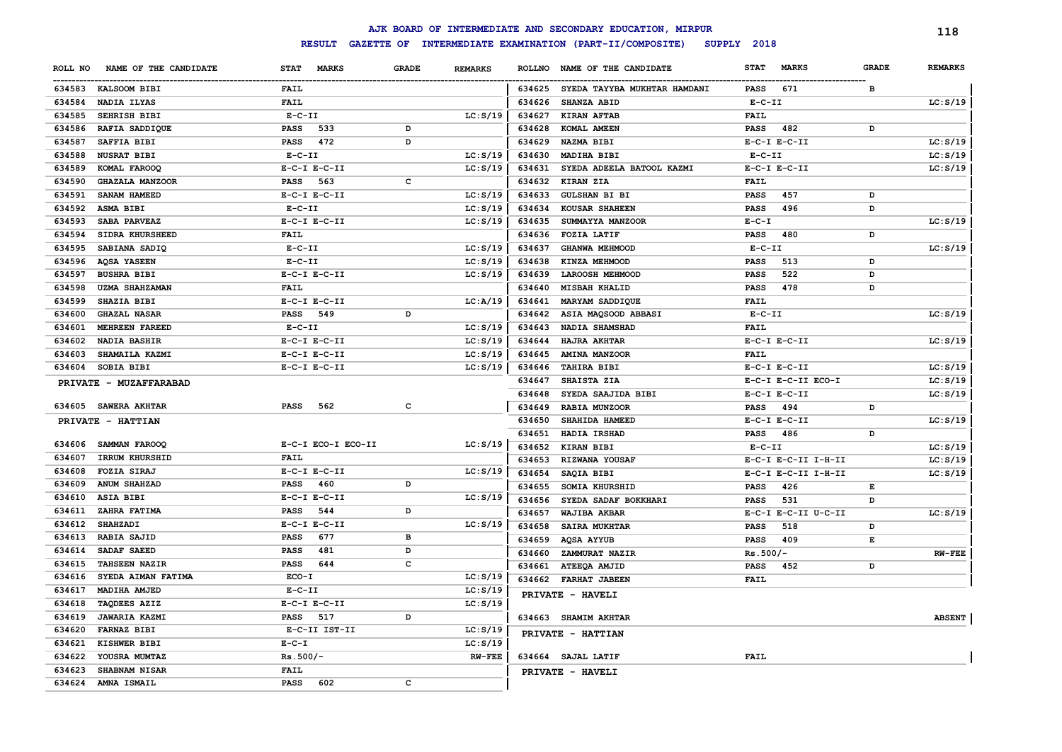|         |                        |                             |              |                |        | AJK BOARD OF INTERMEDIATE AND SECONDARY EDUCATION, MIRPUR |                             |              | 118            |
|---------|------------------------|-----------------------------|--------------|----------------|--------|-----------------------------------------------------------|-----------------------------|--------------|----------------|
|         |                        | <b>RESULT</b>               |              |                |        | GAZETTE OF INTERMEDIATE EXAMINATION (PART-II/COMPOSITE)   | SUPPLY 2018                 |              |                |
| ROLL NO | NAME OF THE CANDIDATE  | <b>STAT</b><br><b>MARKS</b> | <b>GRADE</b> | <b>REMARKS</b> |        | ROLLNO NAME OF THE CANDIDATE                              | <b>STAT</b><br><b>MARKS</b> | <b>GRADE</b> | <b>REMARKS</b> |
|         | 634583 KALSOOM BIBI    | <b>FAIL</b>                 |              |                |        | 634625 SYEDA TAYYBA MUKHTAR HAMDANI                       | 671<br><b>PASS</b>          | в            |                |
| 634584  | NADIA ILYAS            | <b>FAIL</b>                 |              |                | 634626 | SHANZA ABID                                               | $E-C-II$                    |              | LC: S/19       |
| 634585  | <b>SEHRISH BIBI</b>    | $E-C-II$                    |              | LC: S/19       | 634627 | <b>KIRAN AFTAB</b>                                        | <b>FAIL</b>                 |              |                |
| 634586  | RAFIA SADDIQUE         | 533<br><b>PASS</b>          | D            |                | 634628 | KOMAL AMEEN                                               | 482<br><b>PASS</b>          | D            |                |
| 634587  | SAFFIA BIBI            | <b>PASS</b><br>472          | D            |                | 634629 | NAZMA BIBI                                                | $E-C-I$ $E-C-II$            |              | LC: S/19       |
| 634588  | <b>NUSRAT BIBI</b>     | $E-C-II$                    |              | LC: S/19       | 634630 | MADIHA BIBI                                               | $E-C-II$                    |              | LC: S/19       |
| 634589  | KOMAL FAROOQ           | $E-C-I$ $E-C-II$            |              | LC: S/19       | 634631 | SYEDA ADEELA BATOOL KAZMI                                 | $E-C-I$ $E-C-II$            |              | LC: S/19       |
| 634590  | <b>GHAZALA MANZOOR</b> | 563<br><b>PASS</b>          | $\mathbf{C}$ |                | 634632 | KIRAN ZIA                                                 | <b>FAIL</b>                 |              |                |
| 634591  | SANAM HAMEED           | $E-C-I$ $E-C-II$            |              | LC: S/19       | 634633 | <b>GULSHAN BI BI</b>                                      | <b>PASS</b><br>457          | D            |                |
| 634592  | ASMA BIBI              | $E- C- II$                  |              | LC: S/19       | 634634 | <b>KOUSAR SHAHEEN</b>                                     | <b>PASS</b><br>496          | D            |                |
| 634593  | SABA PARVEAZ           | $E-C-I$ $E-C-II$            |              | LC: S/19       | 634635 | SUMMAYYA MANZOOR                                          | $E - C - I$                 |              | LC: S/19       |
| 634594  | SIDRA KHURSHEED        | <b>FAIL</b>                 |              |                | 634636 | FOZIA LATIF                                               | <b>PASS</b><br>480          | $\, {\bf D}$ |                |
| 634595  | SABIANA SADIQ          | $E-C-II$                    |              | LC: S/19       | 634637 | <b>GHANWA MEHMOOD</b>                                     | $E- C- II$                  |              | LC: S/19       |
| 634596  | <b>AQSA YASEEN</b>     | $E-C-II$                    |              | LC: S/19       | 634638 | KINZA MEHMOOD                                             | 513<br><b>PASS</b>          | D            |                |
| 634597  | <b>BUSHRA BIBI</b>     | $E-C-I$ $E-C-II$            |              | LC: S/19       | 634639 | <b>LAROOSH MEHMOOD</b>                                    | 522<br><b>PASS</b>          | D            |                |
| 634598  | <b>UZMA SHAHZAMAN</b>  | <b>FAIL</b>                 |              |                | 634640 | <b>MISBAH KHALID</b>                                      | 478<br><b>PASS</b>          | D            |                |
| 634599  | <b>SHAZIA BIBI</b>     | $E-C-I$ $E-C-II$            |              | LC:A/19        | 634641 | MARYAM SADDIQUE                                           | <b>FAIL</b>                 |              |                |
| 634600  | <b>GHAZAL NASAR</b>    | PASS 549                    | D            |                | 634642 | ASIA MAQSOOD ABBASI                                       | $E-C-II$                    |              | LC: S/19       |
| 634601  | <b>MEHREEN FAREED</b>  | $E-C-II$                    |              | LC: S/19       | 634643 | NADIA SHAMSHAD                                            | <b>FAIL</b>                 |              |                |
| 634602  | <b>NADIA BASHIR</b>    | $E-C-I$ $E-C-II$            |              | LC: S/19       | 634644 | <b>HAJRA AKHTAR</b>                                       | $E-C-I$ $E-C-II$            |              | LC: S/19       |
| 634603  | SHAMAILA KAZMI         | $E-C-I$ $E-C-II$            |              | LC: S/19       | 634645 | <b>AMINA MANZOOR</b>                                      | <b>FAIL</b>                 |              |                |
|         | 634604 SOBIA BIBI      | $E-C-I$ $E-C-II$            |              | LC: S/19       | 634646 | TAHIRA BIBI                                               | $E-C-I$ $E-C-II$            |              | LC: S/19       |
|         | PRIVATE - MUZAFFARABAD |                             |              |                | 634647 | SHAISTA ZIA                                               | E-C-I E-C-II ECO-I          |              | LC: S/19       |
|         |                        |                             |              |                | 634648 | SYEDA SAAJIDA BIBI                                        | $E-C-I$ $E-C-II$            |              | LC: S/19       |
|         | 634605 SAWERA AKHTAR   | 562<br><b>PASS</b>          | c            |                | 634649 | RABIA MUNZOOR                                             | <b>PASS</b><br>494          | D            |                |
|         | PRIVATE - HATTIAN      |                             |              |                | 634650 | SHAHIDA HAMEED                                            | $E-C-I$ $E-C-II$            |              | LC: S/19       |
|         |                        |                             |              |                | 634651 | HADIA IRSHAD                                              | <b>PASS</b><br>486          | D            |                |
|         | 634606 SAMMAN FAROOQ   | E-C-I ECO-I ECO-II          |              | LC: S/19       | 634652 | <b>KIRAN BIBI</b>                                         | $E-C-II$                    |              | LC: S/19       |
| 634607  | IRRUM KHURSHID         | FAIL                        |              |                | 634653 | RIZWANA YOUSAF                                            | E-C-I E-C-II I-H-II         |              | LC: S/19       |
| 634608  | <b>FOZIA SIRAJ</b>     | $E-C-I$ $E-C-II$            |              | LC: S/19       | 634654 | SAQIA BIBI                                                | E-C-I E-C-II I-H-II         |              | LC: S/19       |
| 634609  | <b>ANUM SHAHZAD</b>    | <b>PASS</b><br>460          | D            |                | 634655 | <b>SOMIA KHURSHID</b>                                     | <b>PASS</b><br>426          | Е            |                |
| 634610  | <b>ASIA BIBI</b>       | $E-C-I$ $E-C-II$            |              | LC: S/19       | 634656 | SYEDA SADAF BOKKHARI                                      | <b>PASS</b><br>531          | D            |                |
| 634611  | ZAHRA FATIMA           | 544<br><b>PASS</b>          | D            |                | 634657 | <b>WAJIBA AKBAR</b>                                       | E-C-I E-C-II U-C-II         |              | LC: S/19       |
| 634612  | <b>SHAHZADI</b>        | $E-C-I$ $E-C-II$            |              | LC: S/19       | 634658 | <b>SAIRA MUKHTAR</b>                                      | <b>PASS</b><br>518          | D            |                |
| 634613  | <b>RABIA SAJID</b>     | 677<br><b>PASS</b>          | в            |                | 634659 | AQSA AYYUB                                                | 409<br><b>PASS</b>          | $\mathbf E$  |                |
| 634614  | SADAF SAEED            | 481<br><b>PASS</b>          | D            |                | 634660 | ZAMMURAT NAZIR                                            | $Rs.500/-$                  |              | <b>RW-FEE</b>  |
| 634615  | <b>TAHSEEN NAZIR</b>   | PASS<br>644                 | c            |                |        | 634661 ATEEQA AMJID                                       | <b>PASS</b><br>452          | D            |                |
| 634616  | SYEDA AIMAN FATIMA     | ECO-I                       |              | LC: S/19       |        | 634662 FARHAT JABEEN                                      | <b>FAIL</b>                 |              |                |
| 634617  | MADIHA AMJED           | $E - C - II$                |              | LC: S/19       |        | PRIVATE - HAVELI                                          |                             |              |                |
| 634618  | TAQDEES AZIZ           | $E-C-I$ $E-C-II$            |              | LC: S/19       |        |                                                           |                             |              |                |
| 634619  | <b>JAWARIA KAZMI</b>   | 517<br><b>PASS</b>          | D            |                |        | 634663 SHAMIM AKHTAR                                      |                             |              | <b>ABSENT</b>  |
| 634620  | <b>FARNAZ BIBI</b>     | E-C-II IST-II               |              | LC: S/19       |        | PRIVATE - HATTIAN                                         |                             |              |                |
| 634621  | KISHWER BIBI           | $E - C - I$                 |              | LC: S/19       |        |                                                           |                             |              |                |
| 634622  | YOUSRA MUMTAZ          | $Rs.500/-$                  |              | <b>RW-FEE</b>  |        | 634664 SAJAL LATIF                                        | <b>FAIL</b>                 |              |                |
| 634623  | <b>SHABNAM NISAR</b>   | <b>FAIL</b>                 |              |                |        | PRIVATE - HAVELI                                          |                             |              |                |
|         | 634624 AMNA ISMAIL     | <b>PASS</b><br>602          | c            |                |        |                                                           |                             |              |                |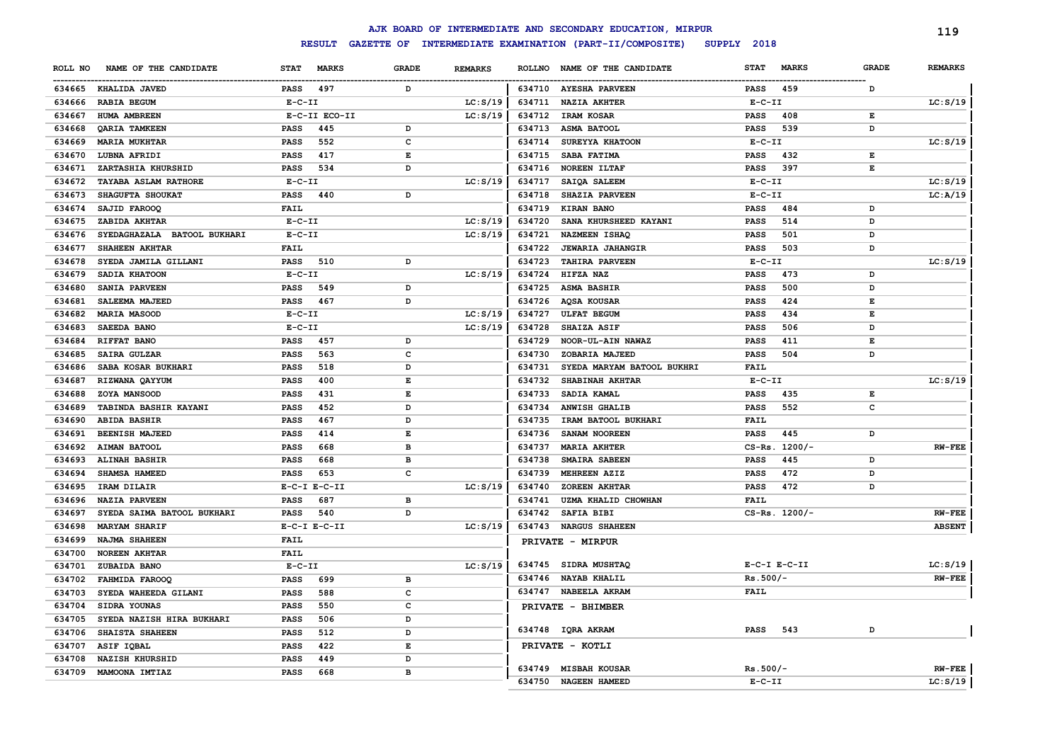|         |                             |              |                  |                    |                |               | AJK BOARD OF INTERMEDIATE AND SECONDARY EDUCATION, MIRPUR |              |                  |              | 119            |
|---------|-----------------------------|--------------|------------------|--------------------|----------------|---------------|-----------------------------------------------------------|--------------|------------------|--------------|----------------|
|         |                             |              | <b>RESULT</b>    |                    |                |               | GAZETTE OF INTERMEDIATE EXAMINATION (PART-II/COMPOSITE)   | SUPPLY 2018  |                  |              |                |
| ROLL NO | NAME OF THE CANDIDATE       | <b>STAT</b>  | <b>MARKS</b>     | <b>GRADE</b>       | <b>REMARKS</b> | <b>ROLLNO</b> | NAME OF THE CANDIDATE                                     | <b>STAT</b>  | <b>MARKS</b>     | <b>GRADE</b> | <b>REMARKS</b> |
|         | 634665 KHALIDA JAVED        | <b>PASS</b>  | 497              | D                  |                |               | 634710 AYESHA PARVEEN                                     | <b>PASS</b>  | 459              | D            |                |
| 634666  | <b>RABIA BEGUM</b>          | $E-C-II$     |                  |                    | LC: S/19       | 634711        | <b>NAZIA AKHTER</b>                                       | $E-C-II$     |                  |              | LC: S/19       |
| 634667  | HUMA AMBREEN                |              | E-C-II ECO-II    |                    | LC: S/19       | 634712        | IRAM KOSAR                                                | <b>PASS</b>  | 408              | Е            |                |
| 634668  | QARIA TAMKEEN               | <b>PASS</b>  | 445              | D                  |                | 634713        | ASMA BATOOL                                               | <b>PASS</b>  | 539              | D            |                |
| 634669  | <b>MARIA MUKHTAR</b>        | PASS         | 552              | c                  |                | 634714        | SUREYYA KHATOON                                           | $E-C-II$     |                  |              | LC: S/19       |
| 634670  | LUBNA AFRIDI                | <b>PASS</b>  | 417              | E                  |                | 634715        | SABA FATIMA                                               | <b>PASS</b>  | 432              | E            |                |
| 634671  | ZARTASHIA KHURSHID          | <b>PASS</b>  | 534              | D                  |                | 634716        | <b>NOREEN ILTAF</b>                                       | <b>PASS</b>  | 397              | $\mathbf E$  |                |
| 634672  | TAYABA ASLAM RATHORE        | $E-C-II$     |                  |                    | LC: S/19       | 634717        | SAIQA SALEEM                                              | $E-C-II$     |                  |              | LC: S/19       |
| 634673  | SHAGUFTA SHOUKAT            | <b>PASS</b>  | 440              | D                  |                | 634718        | SHAZIA PARVEEN                                            | $E-C-II$     |                  |              | LC: A/19       |
| 634674  | SAJID FAROOQ                | <b>FAIL</b>  |                  |                    |                | 634719        | KIRAN BANO                                                | <b>PASS</b>  | 484              | D            |                |
| 634675  | ZABIDA AKHTAR               | $E-C-II$     |                  |                    | LC: S/19       | 634720        | SANA KHURSHEED KAYANI                                     | <b>PASS</b>  | 514              | D            |                |
| 634676  | SYEDAGHAZALA BATOOL BUKHARI | $E - C - II$ |                  |                    | LC: S/19       | 634721        | NAZMEEN ISHAQ                                             | <b>PASS</b>  | 501              | D            |                |
| 634677  | SHAHEEN AKHTAR              | <b>FAIL</b>  |                  |                    |                | 634722        | <b>JEWARIA JAHANGIR</b>                                   | <b>PASS</b>  | 503              | D            |                |
| 634678  | SYEDA JAMILA GILLANI        | <b>PASS</b>  | 510              | D                  |                | 634723        | <b>TAHIRA PARVEEN</b>                                     | $E-C-II$     |                  |              | LC: S/19       |
| 634679  | SADIA KHATOON               | $E- C- II$   |                  |                    | LC: S/19       | 634724        | HIFZA NAZ                                                 | <b>PASS</b>  | 473              | D            |                |
| 634680  | SANIA PARVEEN               | <b>PASS</b>  | 549              | D                  |                | 634725        | <b>ASMA BASHIR</b>                                        | <b>PASS</b>  | 500              | D            |                |
| 634681  | SALEEMA MAJEED              | <b>PASS</b>  | 467              | D                  |                | 634726        | AQSA KOUSAR                                               | <b>PASS</b>  | 424              | Е            |                |
| 634682  | <b>MARIA MASOOD</b>         | $E-C-II$     |                  |                    | LC: S/19       | 634727        | <b>ULFAT BEGUM</b>                                        | <b>PASS</b>  | 434              | E            |                |
| 634683  | SAEEDA BANO                 | $E- C- II$   |                  |                    | LC: S/19       | 634728        | <b>SHAIZA ASIF</b>                                        | <b>PASS</b>  | 506              | D            |                |
| 634684  | RIFFAT BANO                 | <b>PASS</b>  | 457              | D                  |                | 634729        | NOOR-UL-AIN NAWAZ                                         | <b>PASS</b>  | 411              | $\mathbf E$  |                |
| 634685  | SAIRA GULZAR                | PASS         | 563              | C                  |                | 634730        | ZOBARIA MAJEED                                            | <b>PASS</b>  | 504              | D            |                |
| 634686  | SABA KOSAR BUKHARI          | PASS         | 518              | D                  |                | 634731        | SYEDA MARYAM BATOOL BUKHRI                                | FAIL         |                  |              |                |
| 634687  | RIZWANA QAYYUM              | PASS         | 400              | E                  |                | 634732        | SHABINAH AKHTAR                                           | $E - C - II$ |                  |              | LC: S/19       |
| 634688  | ZOYA MANSOOD                | PASS         | 431              | E                  |                | 634733        | SADIA KAMAL                                               | <b>PASS</b>  | 435              | Е            |                |
| 634689  | TABINDA BASHIR KAYANI       | PASS         | 452              | D                  |                | 634734        | <b>ANWISH GHALIB</b>                                      | <b>PASS</b>  | 552              | c            |                |
| 634690  | <b>ABIDA BASHIR</b>         | PASS         | 467              | D                  |                | 634735        | IRAM BATOOL BUKHARI                                       | FAIL         |                  |              |                |
| 634691  | BEENISH MAJEED              | PASS         | 414              | E                  |                | 634736        | SANAM NOOREEN                                             | <b>PASS</b>  | 445              | D            |                |
| 634692  | AIMAN BATOOL                | PASS         | 668              | $\mathbf{B}$       |                | 634737        | <b>MARIA AKHTER</b>                                       |              | CS-Rs. 1200/-    |              | <b>RW-FEE</b>  |
| 634693  | <b>ALINAH BASHIR</b>        | <b>PASS</b>  | 668              | B                  |                | 634738        | SMAIRA SABEEN                                             | <b>PASS</b>  | 445              | D            |                |
| 634694  | SHAMSA HAMEED               | <b>PASS</b>  | 653              | C                  |                | 634739        | MEHREEN AZIZ                                              | <b>PASS</b>  | 472              | D            |                |
| 634695  | IRAM DILAIR                 |              | $E-C-I$ $E-C-II$ |                    | LC: S/19       | 634740        | <b>ZOREEN AKHTAR</b>                                      | <b>PASS</b>  | 472              | D            |                |
| 634696  | <b>NAZIA PARVEEN</b>        | PASS         | 687              | $\mathbf{B}$       |                | 634741        | UZMA KHALID CHOWHAN                                       | <b>FAIL</b>  |                  |              |                |
| 634697  | SYEDA SAIMA BATOOL BUKHARI  | PASS         | 540              | D                  |                | 634742        | <b>SAFIA BIBI</b>                                         |              | $CS-Rs. 1200/-$  |              | <b>RW-FEE</b>  |
| 634698  | <b>MARYAM SHARIF</b>        |              | $E-C-I$ $E-C-II$ |                    | LC: S/19       | 634743        | <b>NARGUS SHAHEEN</b>                                     |              |                  |              | <b>ABSENT</b>  |
| 634699  | NAJMA SHAHEEN               | <b>FAIL</b>  |                  |                    |                |               | PRIVATE - MIRPUR                                          |              |                  |              |                |
| 634700  | <b>NOREEN AKHTAR</b>        | <b>FAIL</b>  |                  |                    |                |               |                                                           |              |                  |              |                |
| 634701  | ZUBAIDA BANO                | $E - C - II$ |                  |                    | LC: S/19       |               | 634745 SIDRA MUSHTAQ                                      |              | $E-C-I$ $E-C-II$ |              | LC: S/19       |
| 634702  | FAHMIDA FAROOQ              | PASS         | 699              | B                  |                | 634746        | <b>NAYAB KHALIL</b>                                       | $Rs.500/-$   |                  |              | $RW-FEE$       |
| 634703  | SYEDA WAHEEDA GILANI        | PASS         | 588              | $\mathbf{C}$       |                | 634747        | NABEELA AKRAM                                             | <b>FAIL</b>  |                  |              |                |
| 634704  | SIDRA YOUNAS                | PASS         | 550              | $\mathbf{C}$       |                |               | PRIVATE - BHIMBER                                         |              |                  |              |                |
| 634705  | SYEDA NAZISH HIRA BUKHARI   | <b>PASS</b>  | 506              | D                  |                |               |                                                           |              |                  |              |                |
| 634706  | SHAISTA SHAHEEN             | <b>PASS</b>  | 512              | $\mathbf{D}$       |                |               | 634748 IQRA AKRAM                                         | <b>PASS</b>  | 543              | D            |                |
| 634707  | ASIF IQBAL                  | <b>PASS</b>  | 422              | $\mathbf{E}% _{0}$ |                |               | PRIVATE - KOTLI                                           |              |                  |              |                |
| 634708  | <b>NAZISH KHURSHID</b>      | PASS         | 449              | $\mathbf{D}$       |                |               |                                                           |              |                  |              |                |
| 634709  | MAMOONA IMTIAZ              | <b>PASS</b>  | 668              | $\mathbf{B}$       |                |               | 634749 MISBAH KOUSAR                                      | $Rs.500/-$   |                  |              | $RW-FEE$       |
|         |                             |              |                  |                    |                | 634750        | <b>NAGEEN HAMEED</b>                                      | $E-C-II$     |                  |              | LC: S/19       |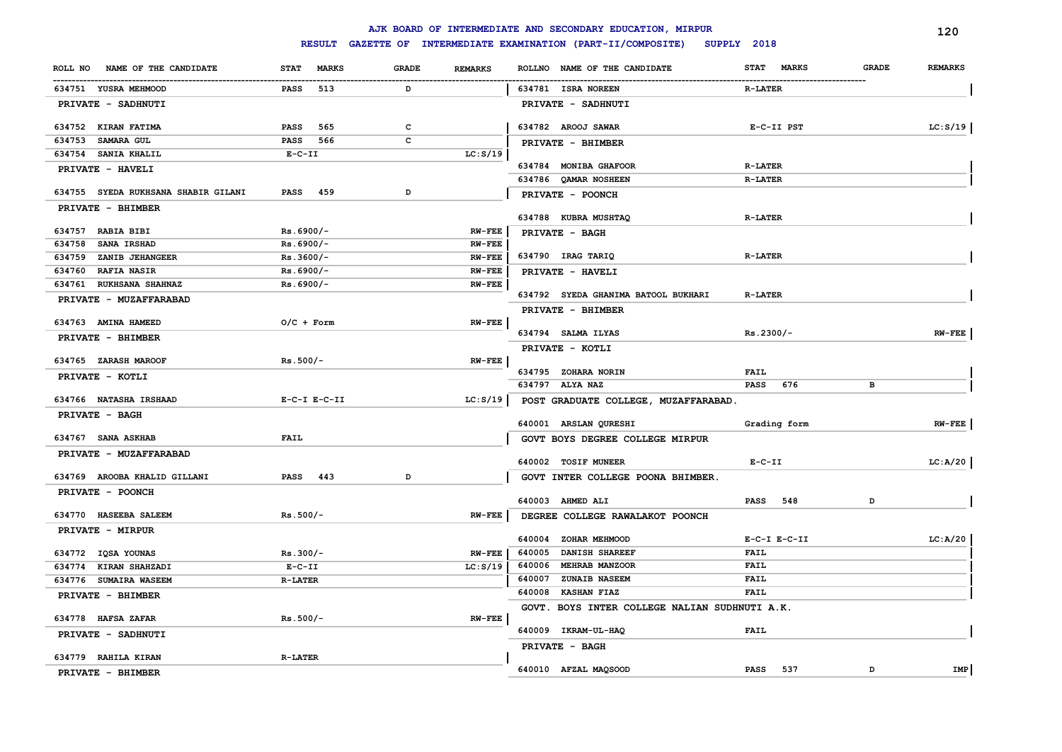|                                     |                             |                         |               | AJK BOARD OF INTERMEDIATE AND SECONDARY EDUCATION, MIRPUR |                             |              | 120            |
|-------------------------------------|-----------------------------|-------------------------|---------------|-----------------------------------------------------------|-----------------------------|--------------|----------------|
|                                     | <b>RESULT</b>               |                         |               | GAZETTE OF INTERMEDIATE EXAMINATION (PART-II/COMPOSITE)   | SUPPLY 2018                 |              |                |
| NAME OF THE CANDIDATE<br>ROLL NO    | <b>MARKS</b><br><b>STAT</b> | GRADE<br><b>REMARKS</b> |               | ROLLNO NAME OF THE CANDIDATE                              | <b>STAT</b><br><b>MARKS</b> | <b>GRADE</b> | <b>REMARKS</b> |
| 634751 YUSRA MEHMOOD                | <b>PASS</b><br>513          | D                       |               | 634781 ISRA NOREEN                                        | <b>R-LATER</b>              |              |                |
| PRIVATE - SADHNUTI                  |                             |                         |               | PRIVATE - SADHNUTI                                        |                             |              |                |
| 634752 KIRAN FATIMA                 | <b>PASS</b><br>565          | c                       |               | 634782 AROOJ SAWAR                                        | E-C-II PST                  |              | LC: S/19       |
| 634753<br><b>SAMARA GUL</b>         | <b>PASS</b><br>566          | $\mathbf{C}$            |               | PRIVATE - BHIMBER                                         |                             |              |                |
| SANIA KHALIL<br>634754              | $E-C-II$                    |                         | LC: S/19      |                                                           |                             |              |                |
| PRIVATE - HAVELI                    |                             |                         |               | 634784 MONIBA GHAFOOR                                     | <b>R-LATER</b>              |              |                |
|                                     |                             |                         |               | 634786 QAMAR NOSHEEN                                      | <b>R-LATER</b>              |              |                |
| 634755 SYEDA RUKHSANA SHABIR GILANI | PASS 459                    | D                       |               | PRIVATE - POONCH                                          |                             |              |                |
| PRIVATE - BHIMBER                   |                             |                         |               | 634788 KUBRA MUSHTAQ                                      | <b>R-LATER</b>              |              |                |
| 634757 RABIA BIBI                   | $Rs.6900/-$                 |                         | <b>RW-FEE</b> | PRIVATE - BAGH                                            |                             |              |                |
| 634758<br>SANA IRSHAD               | $Rs.6900/-$                 |                         | <b>RW-FEE</b> |                                                           |                             |              |                |
| 634759<br>ZANIB JEHANGEER           | Rs.3600/-                   |                         | <b>RW-FEE</b> | 634790 IRAG TARIQ                                         | <b>R-LATER</b>              |              |                |
| 634760<br><b>RAFIA NASIR</b>        | $Rs.6900/-$                 |                         | $RW-FEE$      | PRIVATE - HAVELI                                          |                             |              |                |
| <b>RUKHSANA SHAHNAZ</b><br>634761   | $Rs.6900/-$                 |                         | $RW-FEE$      |                                                           |                             |              |                |
| PRIVATE - MUZAFFARABAD              |                             |                         |               | 634792 SYEDA GHANIMA BATOOL BUKHARI                       | <b>R-LATER</b>              |              |                |
|                                     |                             |                         |               | PRIVATE - BHIMBER                                         |                             |              |                |
| 634763 AMINA HAMEED                 | $O/C$ + Form                |                         | $RW-FEE$      |                                                           |                             |              |                |
| PRIVATE - BHIMBER                   |                             |                         |               | 634794 SALMA ILYAS                                        | $Rs.2300/-$                 |              | $RW-FEE$       |
|                                     |                             |                         |               | PRIVATE - KOTLI                                           |                             |              |                |
| 634765 ZARASH MAROOF                | $Rs.500/-$                  |                         | <b>RW-FEE</b> | 634795 ZOHARA NORIN                                       | FAIL                        |              |                |
| PRIVATE - KOTLI                     |                             |                         |               | 634797 ALYA NAZ                                           | 676<br><b>PASS</b>          | в            |                |
| 634766 NATASHA IRSHAAD              | $E-C-I$ $E-C-II$            |                         | LC: S/19      | POST GRADUATE COLLEGE, MUZAFFARABAD.                      |                             |              |                |
| PRIVATE - BAGH                      |                             |                         |               |                                                           |                             |              |                |
|                                     |                             |                         |               | 640001 ARSLAN QURESHI                                     | Grading form                |              | $RW-FEE$       |
| 634767 SANA ASKHAB                  | FAIL                        |                         |               | GOVT BOYS DEGREE COLLEGE MIRPUR                           |                             |              |                |
| PRIVATE - MUZAFFARABAD              |                             |                         |               |                                                           |                             |              |                |
|                                     |                             |                         |               | 640002 TOSIF MUNEER                                       | $E- C- II$                  |              | LC:A/20        |
| 634769 AROOBA KHALID GILLANI        | PASS 443                    | D                       |               | GOVT INTER COLLEGE POONA BHIMBER.                         |                             |              |                |
| PRIVATE - POONCH                    |                             |                         |               | 640003 AHMED ALI                                          | <b>PASS</b> 548             | D            |                |
| 634770 HASEEBA SALEEM               | $Rs.500/-$                  |                         | <b>RW-FEE</b> | DEGREE COLLEGE RAWALAKOT POONCH                           |                             |              |                |
| PRIVATE - MIRPUR                    |                             |                         |               |                                                           |                             |              |                |
|                                     |                             |                         |               | 640004 ZOHAR MEHMOOD                                      | $E-C-I$ $E-C-II$            |              | LC: A/20       |
| 634772 IQSA YOUNAS                  | $Rs.300/-$                  |                         | <b>RW-FEE</b> | 640005<br><b>DANISH SHAREEF</b>                           | <b>FAIL</b>                 |              |                |
| KIRAN SHAHZADI<br>634774            | $E-C-II$                    |                         | LC: S/19      | <b>MEHRAB MANZOOR</b><br>640006                           | <b>FAIL</b>                 |              |                |
| 634776 SUMAIRA WASEEM               | <b>R-LATER</b>              |                         |               | 640007<br>ZUNAIB NASEEM                                   | <b>FAIL</b>                 |              |                |
| PRIVATE - BHIMBER                   |                             |                         |               | 640008<br><b>KASHAN FIAZ</b>                              | FAIL                        |              |                |
|                                     |                             |                         |               | GOVT. BOYS INTER COLLEGE NALIAN SUDHNUTI A.K.             |                             |              |                |
| 634778 HAFSA ZAFAR                  | $Rs.500/-$                  |                         | $RN$ -FEE     | 640009 IKRAM-UL-HAQ                                       | <b>FAIL</b>                 |              |                |
| PRIVATE - SADHNUTI                  |                             |                         |               | PRIVATE - BAGH                                            |                             |              |                |
| 634779 RAHILA KIRAN                 | $R-LATER$                   |                         |               |                                                           |                             |              |                |
| PRIVATE - BHIMBER                   |                             |                         |               | 640010 AFZAL MAQSOOD                                      | PASS 537                    | D            | <b>IMP</b>     |
|                                     |                             |                         |               |                                                           |                             |              |                |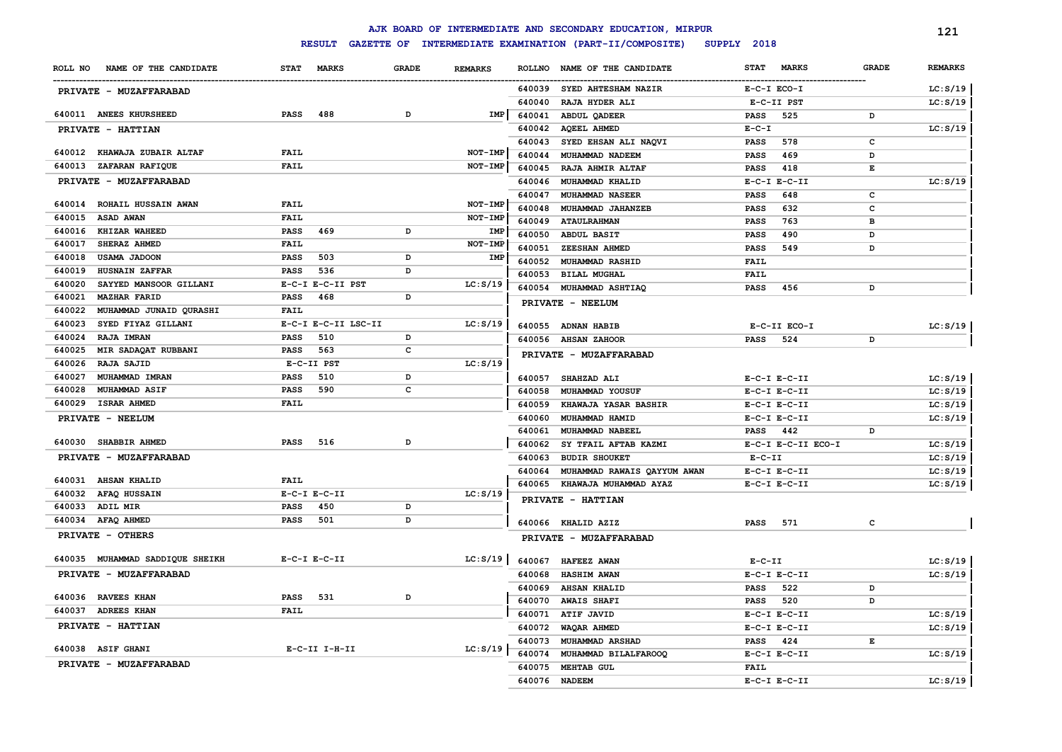|                                   |                             |              |                |               | AJK BOARD OF INTERMEDIATE AND SECONDARY EDUCATION, MIRPUR |             |                    |              | 121            |
|-----------------------------------|-----------------------------|--------------|----------------|---------------|-----------------------------------------------------------|-------------|--------------------|--------------|----------------|
|                                   | <b>RESULT</b>               |              |                |               | GAZETTE OF INTERMEDIATE EXAMINATION (PART-II/COMPOSITE)   | SUPPLY 2018 |                    |              |                |
| NAME OF THE CANDIDATE<br>ROLL NO  | <b>STAT</b><br><b>MARKS</b> | <b>GRADE</b> | <b>REMARKS</b> | <b>ROLLNO</b> | NAME OF THE CANDIDATE                                     | <b>STAT</b> | <b>MARKS</b>       | <b>GRADE</b> | <b>REMARKS</b> |
| PRIVATE - MUZAFFARABAD            |                             |              |                |               | 640039 SYED AHTESHAM NAZIR                                |             | $E-C-I$ $ECO-I$    |              | LC: S/19       |
|                                   |                             |              |                | 640040        | RAJA HYDER ALI                                            |             | E-C-II PST         |              | LC: S/19       |
| 640011 ANEES KHURSHEED            | <b>PASS</b><br>488          | D            | IMP            | 640041        | ABDUL QADEER                                              | <b>PASS</b> | 525                | D            |                |
| PRIVATE - HATTIAN                 |                             |              |                | 640042        | AQEEL AHMED                                               | $E-C-I$     |                    |              | LC: S/19       |
|                                   |                             |              |                | 640043        | SYED EHSAN ALI NAQVI                                      | <b>PASS</b> | 578                | c            |                |
| 640012 KHAWAJA ZUBAIR ALTAF       | <b>FAIL</b>                 |              | NOT-IMP        | 640044        | MUHAMMAD NADEEM                                           | <b>PASS</b> | 469                | D            |                |
| 640013<br><b>ZAFARAN RAFIQUE</b>  | <b>FAIL</b>                 |              | NOT-IMP        | 640045        | RAJA AHMIR ALTAF                                          | <b>PASS</b> | 418                | Е            |                |
| PRIVATE - MUZAFFARABAD            |                             |              |                | 640046        | MUHAMMAD KHALID                                           |             | $E-C-I$ $E-C-II$   |              | LC: S/19       |
|                                   |                             |              |                | 640047        | <b>MUHAMMAD NASEER</b>                                    | <b>PASS</b> | 648                | C            |                |
| ROHAIL HUSSAIN AWAN<br>640014     | <b>FAIL</b>                 |              | NOT-IMP        | 640048        | MUHAMMAD JAHANZEB                                         | <b>PASS</b> | 632                | C            |                |
| <b>ASAD AWAN</b><br>640015        | <b>FAIL</b>                 |              | NOT-IMP        | 640049        | <b>ATAULRAHMAN</b>                                        | <b>PASS</b> | 763                | B            |                |
| 640016<br><b>KHIZAR WAHEED</b>    | <b>PASS</b><br>469          | D            | IMP            | 640050        | <b>ABDUL BASIT</b>                                        | <b>PASS</b> | 490                | D            |                |
| 640017<br>SHERAZ AHMED            | <b>FAIL</b>                 |              | NOT-IMP        | 640051        | ZEESHAN AHMED                                             | <b>PASS</b> | 549                | D            |                |
| 640018<br><b>USAMA JADOON</b>     | PASS<br>503                 | D            | IMP            | 640052        | MUHAMMAD RASHID                                           | <b>FAIL</b> |                    |              |                |
| 640019<br><b>HUSNAIN ZAFFAR</b>   | PASS<br>536                 | D            |                | 640053        | <b>BILAL MUGHAL</b>                                       | <b>FAIL</b> |                    |              |                |
| 640020<br>SAYYED MANSOOR GILLANI  | E-C-I E-C-II PST            |              | LC: S/19       | 640054        | <b>MUHAMMAD ASHTIAQ</b>                                   | <b>PASS</b> | 456                | D            |                |
| 640021<br><b>MAZHAR FARID</b>     | PASS<br>468                 | D            |                |               | PRIVATE - NEELUM                                          |             |                    |              |                |
| MUHAMMAD JUNAID QURASHI<br>640022 | <b>FAIL</b>                 |              |                |               |                                                           |             |                    |              |                |
| SYED FIYAZ GILLANI<br>640023      | E-C-I E-C-II LSC-II         |              | LC: S/19       | 640055        | <b>ADNAN HABIB</b>                                        |             | E-C-II ECO-I       |              | LC: S/19       |
| 640024<br><b>RAJA IMRAN</b>       | 510<br>PASS                 | D            |                | 640056        | <b>AHSAN ZAHOOR</b>                                       | PASS        | 524                | D            |                |
| MIR SADAQAT RUBBANI<br>640025     | 563<br><b>PASS</b>          | c            |                |               | PRIVATE - MUZAFFARABAD                                    |             |                    |              |                |
| 640026<br><b>RAJA SAJID</b>       | E-C-II PST                  |              | LC: S/19       |               |                                                           |             |                    |              |                |
| 640027<br>MUHAMMAD IMRAN          | 510<br><b>PASS</b>          | D            |                | 640057        | SHAHZAD ALI                                               |             | $E-C-I$ $E-C-II$   |              | LC: S/19       |
| 640028<br><b>MUHAMMAD ASIF</b>    | 590<br><b>PASS</b>          | $\mathbf c$  |                | 640058        | MUHAMMAD YOUSUF                                           |             | $E-C-I$ $E-C-II$   |              | LC: S/19       |
| <b>ISRAR AHMED</b><br>640029      | <b>FAIL</b>                 |              |                | 640059        | KHAWAJA YASAR BASHIR                                      |             | $E-C-I$ $E-C-II$   |              | LC: S/19       |
| PRIVATE - NEELUM                  |                             |              |                | 640060        | MUHAMMAD HAMID                                            |             | $E-C-I$ $E-C-II$   |              | LC: S/19       |
| 640030 SHABBIR AHMED              | <b>PASS</b><br>516          | D            |                | 640061        | MUHAMMAD NABEEL                                           | PASS 442    |                    | D            |                |
|                                   |                             |              |                | 640062        | SY TFAIL AFTAB KAZMI                                      |             | E-C-I E-C-II ECO-I |              | LC: S/19       |
| PRIVATE - MUZAFFARABAD            |                             |              |                | 640063        | <b>BUDIR SHOUKET</b>                                      | $E-C-II$    |                    |              | LC: S/19       |
| 640031 AHSAN KHALID               | FAIL                        |              |                | 640064        | MUHAMMAD RAWAIS QAYYUM AWAN                               |             | $E-C-I$ $E-C-II$   |              | LC: S/19       |
| AFAQ HUSSAIN<br>640032            | $E-C-I$ $E-C-II$            |              | LC: S/19       | 640065        | KHAWAJA MUHAMMAD AYAZ                                     |             | $E-C-I$ $E-C-II$   |              | LC: S/19       |
| ADIL MIR<br>640033                | <b>PASS</b><br>450          | D            |                |               | PRIVATE - HATTIAN                                         |             |                    |              |                |
| 640034 AFAQ AHMED                 | 501<br><b>PASS</b>          | D            |                |               |                                                           |             |                    |              |                |
| PRIVATE - OTHERS                  |                             |              |                |               | 640066 KHALID AZIZ                                        | <b>PASS</b> | 571                | c            |                |
|                                   |                             |              |                |               | PRIVATE - MUZAFFARABAD                                    |             |                    |              |                |
| 640035 MUHAMMAD SADDIQUE SHEIKH   | $E-C-I$ $E-C-II$            |              | LC: S/19       | 640067        | <b>HAFEEZ AWAN</b>                                        | $E-C-II$    |                    |              | LC: S/19       |
| PRIVATE - MUZAFFARABAD            |                             |              |                | 640068        | <b>HASHIM AWAN</b>                                        |             | $E-C-I$ $E-C-II$   |              | LC: S/19       |
|                                   |                             |              |                | 640069        | <b>AHSAN KHALID</b>                                       | <b>PASS</b> | 522                | D            |                |
| 640036 RAVEES KHAN                | 531<br><b>PASS</b>          | D            |                | 640070        | <b>AWAIS SHAFI</b>                                        | <b>PASS</b> | 520                | D            |                |
| 640037<br><b>ADREES KHAN</b>      | <b>FAIL</b>                 |              |                | 640071        | ATIF JAVID                                                |             | $E-C-I$ $E-C-II$   |              | LC: S/19       |
| PRIVATE - HATTIAN                 |                             |              |                | 640072        | WAQAR AHMED                                               |             | $E-C-I$ $E-C-II$   |              | LC: S/19       |
|                                   |                             |              |                | 640073        | <b>MUHAMMAD ARSHAD</b>                                    | PASS        | 424                | E            |                |
| 640038 ASIF GHANI                 | E-C-II I-H-II               |              | LC: S/19       | 640074        | MUHAMMAD BILALFAROOQ                                      |             | $E-C-I$ $E-C-II$   |              | LC: S/19       |
| PRIVATE - MUZAFFARABAD            |                             |              |                | 640075        | <b>MEHTAB GUL</b>                                         | <b>FAIL</b> |                    |              |                |
|                                   |                             |              |                |               | 640076 NADEEM                                             |             | $E-C-I$ $E-C-II$   |              | LC: S/19       |
|                                   |                             |              |                |               |                                                           |             |                    |              |                |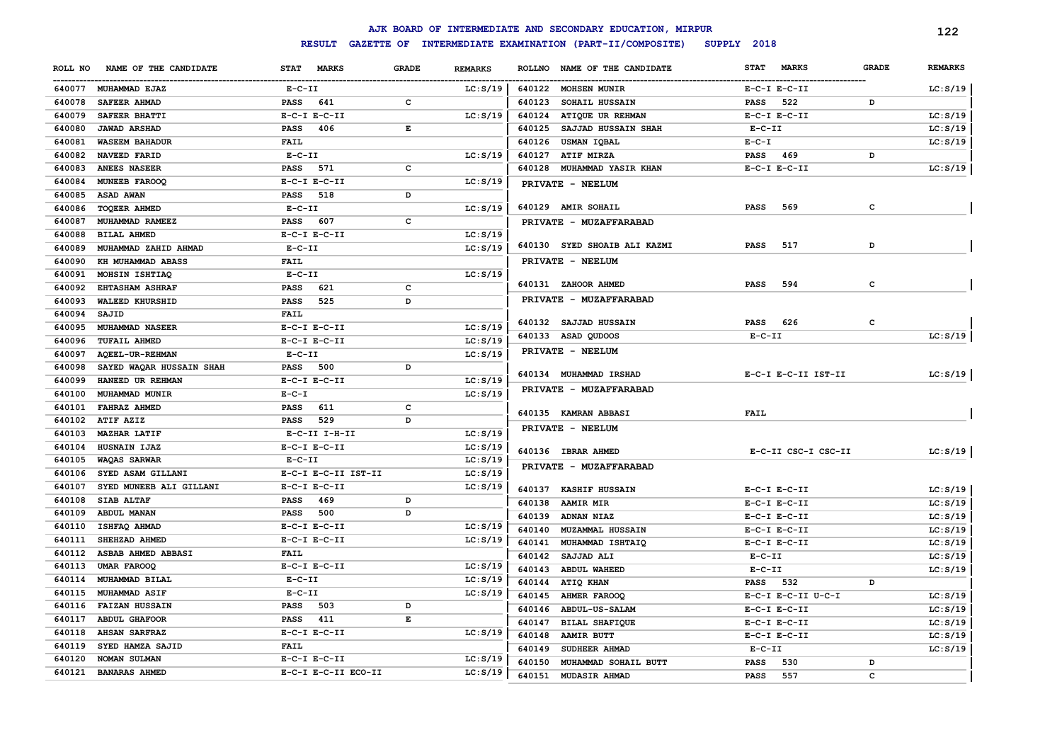|         |                          |                      |              |                |                  | AJK BOARD OF INTERMEDIATE AND SECONDARY EDUCATION, MIRPUR |                  |                     |                   | 122                  |
|---------|--------------------------|----------------------|--------------|----------------|------------------|-----------------------------------------------------------|------------------|---------------------|-------------------|----------------------|
|         |                          | <b>RESULT</b>        |              |                |                  | GAZETTE OF INTERMEDIATE EXAMINATION (PART-II/COMPOSITE)   | SUPPLY 2018      |                     |                   |                      |
| ROLL NO | NAME OF THE CANDIDATE    | <b>MARKS</b><br>STAT | <b>GRADE</b> | <b>REMARKS</b> | <b>ROLLNO</b>    | NAME OF THE CANDIDATE                                     | <b>STAT</b>      | <b>MARKS</b>        | <b>GRADE</b>      | <b>REMARKS</b>       |
| 640077  | MUHAMMAD EJAZ            | $E-C-II$             |              | LC: S/19       |                  | 640122 MOHSEN MUNIR                                       | $E-C-I$ $E-C-II$ |                     |                   | LC: S/19             |
| 640078  | <b>SAFEER AHMAD</b>      | <b>PASS</b><br>641   | C            |                | 640123           | SOHAIL HUSSAIN                                            | <b>PASS</b>      | 522                 | D                 |                      |
| 640079  | SAFEER BHATTI            | $E-C-I$ $E-C-II$     |              | LC: S/19       | 640124           | ATIQUE UR REHMAN                                          | $E-C-I$ $E-C-II$ |                     |                   | LC: S/19             |
| 640080  | <b>JAWAD ARSHAD</b>      | <b>PASS</b><br>406   | Е            |                | 640125           | SAJJAD HUSSAIN SHAH                                       | $E - C - II$     |                     |                   | LC: S/19             |
| 640081  | <b>WASEEM BAHADUR</b>    | <b>FAIL</b>          |              |                | 640126           | <b>USMAN IQBAL</b>                                        | $E - C - I$      |                     |                   | LC: S/19             |
| 640082  | <b>NAVEED FARID</b>      | $E- C- II$           |              | LC: S/19       | 640127           | <b>ATIF MIRZA</b>                                         | <b>PASS</b>      | 469                 | D                 |                      |
| 640083  | <b>ANEES NASEER</b>      | <b>PASS</b><br>571   | C            |                | 640128           | <b>MUHAMMAD YASIR KHAN</b>                                | $E-C-I$ $E-C-II$ |                     |                   | LC: S/19             |
| 640084  | <b>MUNEEB FAROOQ</b>     | $E-C-I$ $E-C-II$     |              | LC: S/19       |                  | PRIVATE - NEELUM                                          |                  |                     |                   |                      |
| 640085  | <b>ASAD AWAN</b>         | 518<br><b>PASS</b>   | D            |                |                  |                                                           |                  |                     |                   |                      |
| 640086  | <b>TOQEER AHMED</b>      | $E - C - II$         |              | LC: S/19       |                  | 640129 AMIR SOHAIL                                        | <b>PASS</b>      | 569                 | c                 |                      |
| 640087  | MUHAMMAD RAMEEZ          | PASS<br>607          | c            |                |                  | PRIVATE - MUZAFFARABAD                                    |                  |                     |                   |                      |
| 640088  | <b>BILAL AHMED</b>       | $E-C-I$ $E-C-II$     |              | LC: S/19       |                  |                                                           |                  |                     |                   |                      |
| 640089  | MUHAMMAD ZAHID AHMAD     | $E - C - II$         |              | LC: S/19       |                  | 640130 SYED SHOAIB ALI KAZMI                              | <b>PASS</b>      | 517                 | D                 |                      |
| 640090  | KH MUHAMMAD ABASS        | FAIL                 |              |                |                  | PRIVATE - NEELUM                                          |                  |                     |                   |                      |
| 640091  | MOHSIN ISHTIAQ           | $E- C- II$           |              | LC: S/19       |                  |                                                           |                  |                     |                   |                      |
| 640092  | <b>EHTASHAM ASHRAF</b>   | <b>PASS</b><br>621   | C            |                |                  | 640131 ZAHOOR AHMED                                       | <b>PASS</b>      | 594                 | c                 |                      |
| 640093  | WALEED KHURSHID          | 525<br><b>PASS</b>   | D            |                |                  | PRIVATE - MUZAFFARABAD                                    |                  |                     |                   |                      |
| 640094  | SAJID                    | <b>FAIL</b>          |              |                |                  |                                                           |                  |                     |                   |                      |
| 640095  | <b>MUHAMMAD NASEER</b>   | $E-C-I$ $E-C-II$     |              | LC: S/19       |                  | 640132 SAJJAD HUSSAIN                                     | <b>PASS</b>      | 626                 | c                 |                      |
| 640096  | TUFAIL AHMED             | $E-C-I$ $E-C-II$     |              | LC: S/19       |                  | 640133 ASAD QUDOOS                                        | $E- C- II$       |                     |                   | LC: S/19             |
| 640097  | AQEEL-UR-REHMAN          | $E - C - II$         |              | LC: S/19       |                  | PRIVATE - NEELUM                                          |                  |                     |                   |                      |
| 640098  | SAYED WAQAR HUSSAIN SHAH | <b>PASS</b> 500      | D            |                |                  |                                                           |                  |                     |                   |                      |
| 640099  | HANEED UR REHMAN         | $E-C-I$ $E-C-II$     |              | LC: S/19       |                  | 640134 MUHAMMAD IRSHAD                                    |                  | E-C-I E-C-II IST-II |                   | LC: S/19             |
| 640100  | MUHAMMAD MUNIR           | $E - C - I$          |              | LC: S/19       |                  | PRIVATE - MUZAFFARABAD                                    |                  |                     |                   |                      |
| 640101  | <b>FAHRAZ AHMED</b>      | <b>PASS</b><br>611   | c            |                |                  |                                                           |                  |                     |                   |                      |
| 640102  | ATIF AZIZ                | 529<br><b>PASS</b>   | D            |                |                  | 640135 KAMRAN ABBASI                                      | <b>FAIL</b>      |                     |                   |                      |
| 640103  | <b>MAZHAR LATIF</b>      | E-C-II I-H-II        |              | LC: S/19       |                  | PRIVATE - NEELUM                                          |                  |                     |                   |                      |
| 640104  | HUSNAIN IJAZ             | $E-C-I$ $E-C-II$     |              | LC: S/19       |                  |                                                           |                  |                     |                   |                      |
| 640105  | WAQAS SARWAR             | $E-C-II$             |              | LC: S/19       |                  | 640136 IBRAR AHMED                                        |                  | E-C-II CSC-I CSC-II |                   | LC: S/19             |
| 640106  | SYED ASAM GILLANI        | E-C-I E-C-II IST-II  |              | LC: S/19       |                  | PRIVATE - MUZAFFARABAD                                    |                  |                     |                   |                      |
| 640107  | SYED MUNEEB ALI GILLANI  | $E-C-I$ $E-C-II$     |              | LC: S/19       |                  | 640137 KASHIF HUSSAIN                                     | $E-C-I$ $E-C-II$ |                     |                   |                      |
| 640108  | <b>SIAB ALTAF</b>        | <b>PASS</b><br>469   | D            |                | 640138           | <b>AAMIR MIR</b>                                          | $E-C-I$ $E-C-II$ |                     |                   | LC: S/19<br>LC: S/19 |
| 640109  | ABDUL MANAN              | <b>PASS</b><br>500   | D            |                | 640139           | <b>ADNAN NIAZ</b>                                         | $E-C-I$ $E-C-II$ |                     |                   | LC: S/19             |
| 640110  | ISHFAQ AHMAD             | $E-C-I$ $E-C-II$     |              | LC: S/19       | 640140           | MUZAMMAL HUSSAIN                                          | $E-C-I$ $E-C-II$ |                     |                   | LC: S/19             |
| 640111  | SHEHZAD AHMED            | $E-C-I$ $E-C-II$     |              | LC: S/19       | 640141           | MUHAMMAD ISHTAIQ                                          | $E-C-I$ $E-C-II$ |                     |                   | LC: S/19             |
| 640112  | ASBAB AHMED ABBASI       | FAIL                 |              |                | 640142           | SAJJAD ALI                                                | $E - C - II$     |                     |                   | LC: S/19             |
| 640113  | UMAR FAROOQ              | $E-C-I$ $E-C-II$     |              | LC: S/19       | 640143           | <b>ABDUL WAHEED</b>                                       | $E-C-II$         |                     |                   | LC: S/19             |
| 640114  | MUHAMMAD BILAL           | $E- C- II$           |              | LC: S/19       | 640144           | ATIQ KHAN                                                 | <b>PASS</b> 532  |                     | D                 |                      |
| 640115  | MUHAMMAD ASIF            | $E- C- II$           |              | LC: S/19       | 640145           | AHMER FAROOO                                              |                  |                     |                   |                      |
| 640116  | <b>FAIZAN HUSSAIN</b>    | <b>PASS</b><br>503   | D            |                |                  |                                                           |                  | E-C-I E-C-II U-C-I  |                   | LC: S/19             |
| 640117  | <b>ABDUL GHAFOOR</b>     | <b>PASS</b><br>411   | E            |                | 640146           | ABDUL-US-SALAM                                            | $E-C-I$ $E-C-II$ |                     |                   | LC: S/19             |
| 640118  | <b>AHSAN SARFRAZ</b>     | $E-C-I$ $E-C-II$     |              | LC: S/19       | 640147           | <b>BILAL SHAFIQUE</b>                                     | $E-C-I$ $E-C-II$ |                     |                   | LC: S/19             |
| 640119  | SYED HAMZA SAJID         | FAIL                 |              |                | 640148           | <b>AAMIR BUTT</b>                                         | $E-C-I$ $E-C-II$ |                     |                   | LC: S/19             |
| 640120  | <b>NOMAN SULMAN</b>      | $E-C-I$ $E-C-II$     |              | LC: S/19       | 640149           | SUDHEER AHMAD                                             | $E- C- II$       |                     |                   | LC: S/19             |
|         | 640121 BANARAS AHMED     | E-C-I E-C-II ECO-II  |              | LC: S/19       | 640150<br>640151 | MUHAMMAD SOHAIL BUTT                                      | <b>PASS</b>      | 530                 | D<br>$\mathbf{C}$ |                      |
|         |                          |                      |              |                |                  | <b>MUDASIR AHMAD</b>                                      | <b>PASS</b>      | 557                 |                   |                      |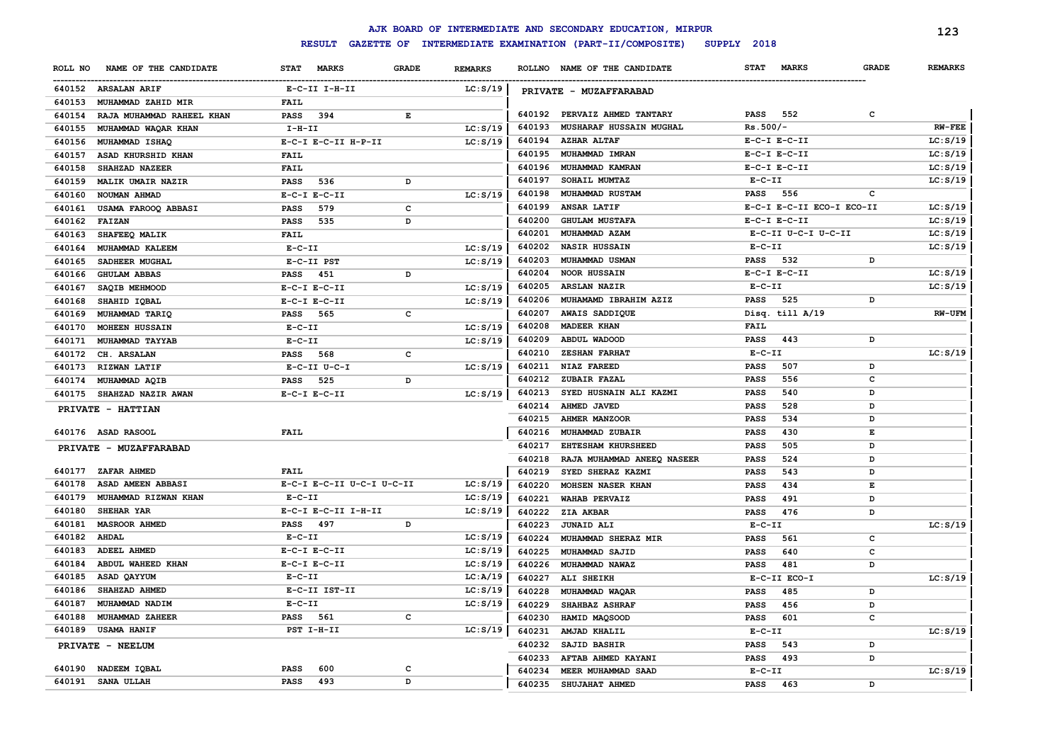|         |                           |                             |              |                |        | AJK BOARD OF INTERMEDIATE AND SECONDARY EDUCATION, MIRPUR |             |                           |              | 123            |
|---------|---------------------------|-----------------------------|--------------|----------------|--------|-----------------------------------------------------------|-------------|---------------------------|--------------|----------------|
|         |                           | <b>RESULT</b>               |              |                |        | GAZETTE OF INTERMEDIATE EXAMINATION (PART-II/COMPOSITE)   | SUPPLY 2018 |                           |              |                |
| ROLL NO | NAME OF THE CANDIDATE     | <b>STAT</b><br><b>MARKS</b> | <b>GRADE</b> | <b>REMARKS</b> |        | ROLLNO NAME OF THE CANDIDATE                              | <b>STAT</b> | <b>MARKS</b>              | <b>GRADE</b> | <b>REMARKS</b> |
|         | 640152 ARSALAN ARIF       | E-C-II I-H-II               |              | LC: S/19       |        | PRIVATE - MUZAFFARABAD                                    |             |                           |              |                |
| 640153  | MUHAMMAD ZAHID MIR        | <b>FAIL</b>                 |              |                |        |                                                           |             |                           |              |                |
| 640154  | RAJA MUHAMMAD RAHEEL KHAN | <b>PASS</b><br>394          | Е            |                | 640192 | PERVAIZ AHMED TANTARY                                     | <b>PASS</b> | 552                       | C            |                |
| 640155  | MUHAMMAD WAQAR KHAN       | $I-H-II$                    |              | LC: S/19       | 640193 | MUSHARAF HUSSAIN MUGHAL                                   | $Rs.500/-$  |                           |              | <b>RW-FEE</b>  |
| 640156  | MUHAMMAD ISHAQ            | E-C-I E-C-II H-P-II         |              | LC: S/19       | 640194 | <b>AZHAR ALTAF</b>                                        |             | $E-C-I$ $E-C-II$          |              | LC: S/19       |
| 640157  | ASAD KHURSHID KHAN        | FAIL                        |              |                | 640195 | MUHAMMAD IMRAN                                            |             | $E-C-I$ $E-C-II$          |              | LC: S/19       |
| 640158  | SHAHZAD NAZEER            | <b>FAIL</b>                 |              |                | 640196 | MUHAMMAD KAMRAN                                           |             | $E-C-I$ $E-C-II$          |              | LC: S/19       |
| 640159  | MALIK UMAIR NAZIR         | <b>PASS</b><br>536          | D            |                | 640197 | SOHAIL MUMTAZ                                             | $E-C-II$    |                           |              | LC: S/19       |
| 640160  | NOUMAN AHMAD              | $E-C-I$ $E-C-II$            |              | LC: S/19       | 640198 | MUHAMMAD RUSTAM                                           | <b>PASS</b> | 556                       | c            |                |
| 640161  | USAMA FAROOQ ABBASI       | 579<br><b>PASS</b>          | $\mathbf{C}$ |                | 640199 | ANSAR LATIF                                               |             | E-C-I E-C-II ECO-I ECO-II |              | LC: S/19       |
| 640162  | <b>FAIZAN</b>             | <b>PASS</b><br>535          | D            |                | 640200 | <b>GHULAM MUSTAFA</b>                                     |             | $E-C-I$ $E-C-II$          |              | LC: S/19       |
| 640163  | SHAFEEQ MALIK             | <b>FAIL</b>                 |              |                | 640201 | MUHAMMAD AZAM                                             |             | E-C-II U-C-I U-C-II       |              | LC: S/19       |
| 640164  | MUHAMMAD KALEEM           | $E-C-II$                    |              | LC: S/19       | 640202 | <b>NASIR HUSSAIN</b>                                      | $E-C-II$    |                           |              | LC: S/19       |
| 640165  | SADHEER MUGHAL            | E-C-II PST                  |              | LC: S/19       | 640203 | MUHAMMAD USMAN                                            | <b>PASS</b> | 532                       | D            |                |
| 640166  | <b>GHULAM ABBAS</b>       | 451<br><b>PASS</b>          | D            |                | 640204 | <b>NOOR HUSSAIN</b>                                       |             | $E-C-I$ $E-C-II$          |              | LC: S/19       |
| 640167  | SAQIB MEHMOOD             | $E-C-I$ $E-C-II$            |              | LC: S/19       | 640205 | <b>ARSLAN NAZIR</b>                                       | $E-C-II$    |                           |              | LC: S/19       |
| 640168  | SHAHID IQBAL              | $E-C-I$ $E-C-II$            |              | LC: S/19       | 640206 | MUHAMAMD IBRAHIM AZIZ                                     | <b>PASS</b> | 525                       | D            |                |
| 640169  | MUHAMMAD TARIQ            | 565<br>PASS                 | $\mathbf{C}$ |                | 640207 | AWAIS SADDIQUE                                            |             | Disq. till A/19           |              | <b>RW-UFM</b>  |
| 640170  | <b>MOHEEN HUSSAIN</b>     | $E-C-II$                    |              | LC: S/19       | 640208 | <b>MADEER KHAN</b>                                        | FAIL        |                           |              |                |
| 640171  | MUHAMMAD TAYYAB           | $E-C-II$                    |              | LC: S/19       | 640209 | ABDUL WADOOD                                              | PASS        | 443                       | D            |                |
| 640172  | CH. ARSALAN               | 568<br><b>PASS</b>          | $\mathbf{C}$ |                | 640210 | <b>ZESHAN FARHAT</b>                                      | $E-C-II$    |                           |              | LC: S/19       |
| 640173  | <b>RIZWAN LATIF</b>       | $E-C-II$ $U-C-I$            |              | LC: S/19       | 640211 | <b>NIAZ FAREED</b>                                        | <b>PASS</b> | 507                       | D            |                |
| 640174  | MUHAMMAD AQIB             | 525<br><b>PASS</b>          | D            |                | 640212 | ZUBAIR FAZAL                                              | <b>PASS</b> | 556                       | c            |                |
|         | 640175 SHAHZAD NAZIR AWAN | $E-C-I$ $E-C-II$            |              | LC: S/19       | 640213 | SYED HUSNAIN ALI KAZMI                                    | <b>PASS</b> | 540                       | D            |                |
|         | PRIVATE - HATTIAN         |                             |              |                | 640214 | AHMED JAVED                                               | <b>PASS</b> | 528                       | D            |                |
|         |                           |                             |              |                | 640215 | <b>AHMER MANZOOR</b>                                      | <b>PASS</b> | 534                       | D            |                |
|         | 640176 ASAD RASOOL        | <b>FAIL</b>                 |              |                | 640216 | MUHAMMAD ZUBAIR                                           | <b>PASS</b> | 430                       | Е            |                |
|         | PRIVATE - MUZAFFARABAD    |                             |              |                | 640217 | <b>EHTESHAM KHURSHEED</b>                                 | <b>PASS</b> | 505                       | D            |                |
|         |                           |                             |              |                | 640218 | RAJA MUHAMMAD ANEEQ NASEER                                | <b>PASS</b> | 524                       | D            |                |
|         | 640177 ZAFAR AHMED        | <b>FAIL</b>                 |              |                | 640219 | SYED SHERAZ KAZMI                                         | <b>PASS</b> | 543                       | D            |                |
| 640178  | ASAD AMEEN ABBASI         | E-C-I E-C-II U-C-I U-C-II   |              | LC: S/19       | 640220 | MOHSEN NASER KHAN                                         | <b>PASS</b> | 434                       | Е            |                |
| 640179  | MUHAMMAD RIZWAN KHAN      | $E-C-II$                    |              | LC: S/19       | 640221 | <b>WAHAB PERVAIZ</b>                                      | <b>PASS</b> | 491                       | D            |                |
| 640180  | SHEHAR YAR                | E-C-I E-C-II I-H-II         |              | LC: S/19       | 640222 | ZIA AKBAR                                                 | <b>PASS</b> | 476                       | D            |                |
| 640181  | <b>MASROOR AHMED</b>      | 497<br>PASS                 | D            |                | 640223 | <b>JUNAID ALI</b>                                         | $E- C- II$  |                           |              | LC: S/19       |
| 640182  | <b>AHDAL</b>              | $E - C - II$                |              | LC: S/19       | 640224 | MUHAMMAD SHERAZ MIR                                       | <b>PASS</b> | 561                       | c            |                |
| 640183  | <b>ADEEL AHMED</b>        | $E-C-I$ $E-C-II$            |              | LC: S/19       | 640225 | MUHAMMAD SAJID                                            | <b>PASS</b> | 640                       | c            |                |
| 640184  | ABDUL WAHEED KHAN         | $E-C-I$ $E-C-II$            |              | LC: S/19       | 640226 | MUHAMMAD NAWAZ                                            | <b>PASS</b> | 481                       | D            |                |
| 640185  | ASAD QAYYUM               | $E-C-II$                    |              | LC:A/19        | 640227 | ALI SHEIKH                                                |             | E-C-II ECO-I              |              | LC: S/19       |
| 640186  | SHAHZAD AHMED             | E-C-II IST-II               |              | LC: S/19       | 640228 | MUHAMMAD WAQAR                                            | <b>PASS</b> | 485                       | D            |                |
| 640187  | MUHAMMAD NADIM            | $E - C - II$                |              | LC: S/19       | 640229 | SHAHBAZ ASHRAF                                            | <b>PASS</b> | 456                       | D            |                |
| 640188  | MUHAMMAD ZAHEER           | PASS<br>561                 | с            |                | 640230 | HAMID MAQSOOD                                             | <b>PASS</b> | 601                       | c            |                |
| 640189  | <b>USAMA HANIF</b>        | PST I-H-II                  |              | LC: S/19       | 640231 | AMJAD KHALIL                                              | $E- C- II$  |                           |              | LC: S/19       |
|         | PRIVATE - NEELUM          |                             |              |                | 640232 | SAJID BASHIR                                              | <b>PASS</b> | 543                       | D            |                |
|         |                           |                             |              |                | 640233 | AFTAB AHMED KAYANI                                        | <b>PASS</b> | 493                       | D            |                |
|         | 640190 NADEEM IQBAL       | 600<br><b>PASS</b>          | C            |                | 640234 | MEER MUHAMMAD SAAD                                        | $E-C-II$    |                           |              | LC: S/19       |
|         | 640191 SANA ULLAH         | 493<br><b>PASS</b>          | D            |                | 640235 | SHUJAHAT AHMED                                            | <b>PASS</b> | 463                       | D            |                |
|         |                           |                             |              |                |        |                                                           |             |                           |              |                |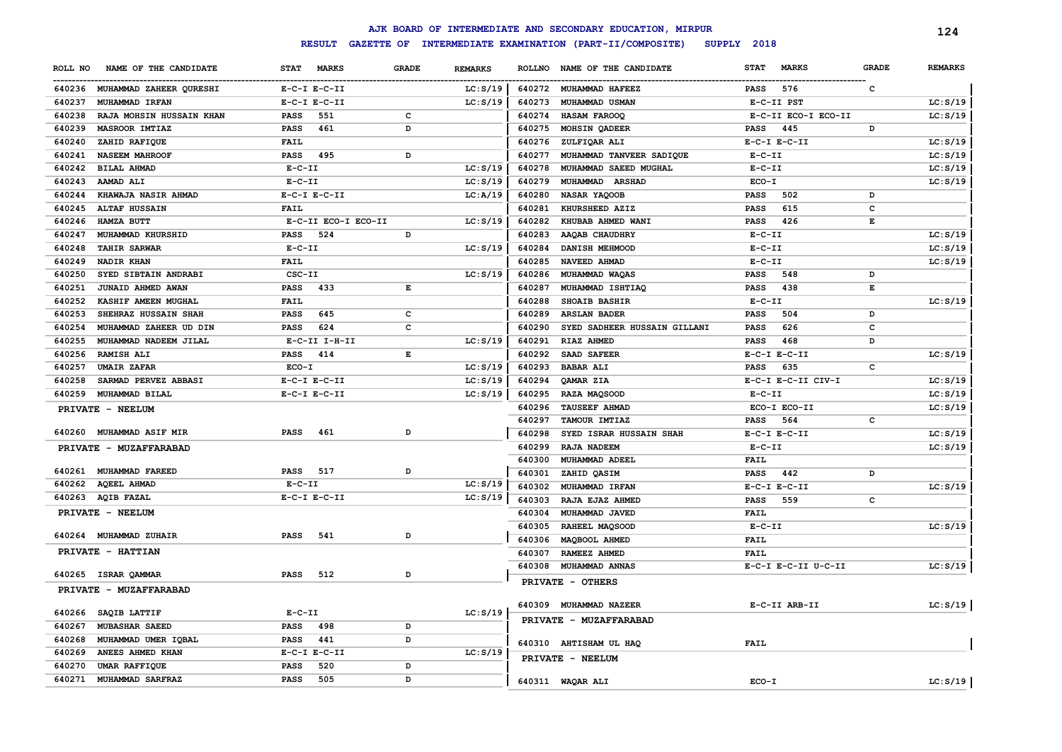|         |                                |              |                     |              |                |               | AJK BOARD OF INTERMEDIATE AND SECONDARY EDUCATION, MIRPUR |              |                     |              | 124            |
|---------|--------------------------------|--------------|---------------------|--------------|----------------|---------------|-----------------------------------------------------------|--------------|---------------------|--------------|----------------|
|         |                                |              | <b>RESULT</b>       |              |                |               | GAZETTE OF INTERMEDIATE EXAMINATION (PART-II/COMPOSITE)   | SUPPLY 2018  |                     |              |                |
| ROLL NO | NAME OF THE CANDIDATE          | <b>STAT</b>  | <b>MARKS</b>        | <b>GRADE</b> | <b>REMARKS</b> | <b>ROLLNO</b> | NAME OF THE CANDIDATE                                     | <b>STAT</b>  | <b>MARKS</b>        | <b>GRADE</b> | <b>REMARKS</b> |
|         | 640236 MUHAMMAD ZAHEER QURESHI |              | $E-C-I$ $E-C-II$    |              | LC: S/19       |               | 640272 MUHAMMAD HAFEEZ                                    | <b>PASS</b>  | 576                 | C            |                |
| 640237  | MUHAMMAD IRFAN                 |              | $E-C-I$ $E-C-II$    |              | LC: S/19       | 640273        | MUHAMMAD USMAN                                            |              | E-C-II PST          |              | LC: S/19       |
| 640238  | RAJA MOHSIN HUSSAIN KHAN       | <b>PASS</b>  | 551                 | c            |                | 640274        | HASAM FAROOQ                                              |              | E-C-II ECO-I ECO-II |              | LC: S/19       |
| 640239  | MASROOR IMTIAZ                 | <b>PASS</b>  | 461                 | D            |                | 640275        | <b>MOHSIN QADEER</b>                                      | <b>PASS</b>  | 445                 | D            |                |
| 640240  | ZAHID RAFIQUE                  | <b>FAIL</b>  |                     |              |                | 640276        | ZULFIQAR ALI                                              |              | $E-C-I$ $E-C-II$    |              | LC: S/19       |
| 640241  | <b>NASEEM MAHROOF</b>          | PASS         | 495                 | D            |                | 640277        | MUHAMMAD TANVEER SADIQUE                                  | $E - C - II$ |                     |              | LC: S/19       |
| 640242  | BILAL AHMAD                    | $E-C-II$     |                     |              | LC: S/19       | 640278        | MUHAMMAD SAEED MUGHAL                                     | $E-C-II$     |                     |              | LC: S/19       |
| 640243  | <b>AAMAD ALI</b>               | $E-C-II$     |                     |              | LC: S/19       | 640279        | MUHAMMAD ARSHAD                                           | $ECO-I$      |                     |              | LC: S/19       |
| 640244  | KHAWAJA NASIR AHMAD            |              | $E-C-I$ $E-C-II$    |              | LC:A/19        | 640280        | NASAR YAQOOB                                              | <b>PASS</b>  | 502                 | D            |                |
| 640245  | <b>ALTAF HUSSAIN</b>           | <b>FAIL</b>  |                     |              |                | 640281        | KHURSHEED AZIZ                                            | <b>PASS</b>  | 615                 | с            |                |
| 640246  | HAMZA BUTT                     |              | E-C-II ECO-I ECO-II |              | LC: S/19       | 640282        | KHUBAB AHMED WANI                                         | <b>PASS</b>  | 426                 | Е            |                |
| 640247  | MUHAMMAD KHURSHID              | <b>PASS</b>  | 524                 | D            |                | 640283        | AAQAB CHAUDHRY                                            | $E-C-II$     |                     |              | LC: S/19       |
| 640248  | <b>TAHIR SARWAR</b>            | $E-C-II$     |                     |              | LC: S/19       | 640284        | DANISH MEHMOOD                                            | $E - C - II$ |                     |              | LC: S/19       |
| 640249  | NADIR KHAN                     | <b>FAIL</b>  |                     |              |                | 640285        | NAVEED AHMAD                                              | $E - C - II$ |                     |              | LC: S/19       |
| 640250  | SYED SIBTAIN ANDRABI           | CSC-II       |                     |              | LC: S/19       | 640286        | MUHAMMAD WAQAS                                            | <b>PASS</b>  | 548                 | D            |                |
| 640251  | JUNAID AHMED AWAN              | PASS         | 433                 | Е            |                | 640287        | MUHAMMAD ISHTIAQ                                          | <b>PASS</b>  | 438                 | Е            |                |
| 640252  | KASHIF AMEEN MUGHAL            | <b>FAIL</b>  |                     |              |                | 640288        | <b>SHOAIB BASHIR</b>                                      | $E- C- II$   |                     |              | LC: S/19       |
| 640253  | SHEHRAZ HUSSAIN SHAH           | PASS         | 645                 | $\mathbf{C}$ |                | 640289        | <b>ARSLAN BADER</b>                                       | <b>PASS</b>  | 504                 | D            |                |
| 640254  | MUHAMMAD ZAHEER UD DIN         | PASS         | 624                 | $\mathbf{C}$ |                | 640290        | SYED SADHEER HUSSAIN GILLANI                              | <b>PASS</b>  | 626                 | C            |                |
| 640255  | MUHAMMAD NADEEM JILAL          |              | $E-C-II$ I-H-II     |              | LC: S/19       | 640291        | RIAZ AHMED                                                | <b>PASS</b>  | 468                 | D            |                |
| 640256  | <b>RAMISH ALI</b>              | PASS         | 414                 | E            |                | 640292        | SAAD SAFEER                                               |              | $E-C-I$ $E-C-II$    |              | LC: S/19       |
| 640257  | <b>UMAIR ZAFAR</b>             | $ECO-I$      |                     |              | LC: S/19       | 640293        | <b>BABAR ALI</b>                                          | <b>PASS</b>  | 635                 | c            |                |
| 640258  | SARMAD PERVEZ ABBASI           |              | $E-C-I$ $E-C-II$    |              | LC: S/19       | 640294        | <b>OAMAR ZIA</b>                                          |              | E-C-I E-C-II CIV-I  |              | LC: S/19       |
| 640259  | MUHAMMAD BILAL                 |              | $E-C-I$ $E-C-II$    |              | LC: S/19       | 640295        | RAZA MAQSOOD                                              | $E - C - II$ |                     |              | LC: S/19       |
|         | PRIVATE - NEELUM               |              |                     |              |                | 640296        | <b>TAUSEEF AHMAD</b>                                      |              | ECO-I ECO-II        |              | LC: S/19       |
|         |                                |              |                     |              |                | 640297        | TAMOUR IMTIAZ                                             | <b>PASS</b>  | 564                 | с            |                |
| 640260  | <b>MUHAMMAD ASIF MIR</b>       | <b>PASS</b>  | 461                 | D            |                | 640298        | SYED ISRAR HUSSAIN SHAH                                   |              | $E-C-I$ $E-C-II$    |              | LC: S/19       |
|         | PRIVATE - MUZAFFARABAD         |              |                     |              |                | 640299        | <b>RAJA NADEEM</b>                                        | $E-C-II$     |                     |              | LC: S/19       |
|         |                                |              |                     |              |                | 640300        | MUHAMMAD ADEEL                                            | FAIL         |                     |              |                |
|         | 640261 MUHAMMAD FAREED         | PASS         | 517                 | D            |                | 640301        | ZAHID QASIM                                               | PASS         | 442                 | D            |                |
| 640262  | <b>AQEEL AHMAD</b>             | $E - C - II$ |                     |              | LC: S/19       | 640302        | MUHAMMAD IRFAN                                            |              | $E-C-I$ $E-C-II$    |              | LC: S/19       |
|         | 640263 AQIB FAZAL              |              | $E-C-I$ $E-C-II$    |              | LC: S/19       | 640303        | RAJA EJAZ AHMED                                           | <b>PASS</b>  | 559                 | c            |                |
|         | PRIVATE - NEELUM               |              |                     |              |                | 640304        | MUHAMMAD JAVED                                            | <b>FAIL</b>  |                     |              |                |
| 640264  | <b>MUHAMMAD ZUHAIR</b>         | <b>PASS</b>  | 541                 | D            |                | 640305        | RAHEEL MAQSOOD                                            | $E - C - II$ |                     |              | LC: S/19       |
|         |                                |              |                     |              |                | 640306        | MAQBOOL AHMED                                             | <b>FAIL</b>  |                     |              |                |
|         | PRIVATE - HATTIAN              |              |                     |              |                | 640307        | RAMEEZ AHMED                                              | <b>FAIL</b>  |                     |              |                |
| 640265  | <b>ISRAR QAMMAR</b>            | PASS         | 512                 | D            |                | 640308        | <b>MUHAMMAD ANNAS</b>                                     |              | E-C-I E-C-II U-C-II |              | LC: S/19       |
|         | PRIVATE - MUZAFFARABAD         |              |                     |              |                |               | PRIVATE - OTHERS                                          |              |                     |              |                |
|         |                                |              |                     |              |                |               |                                                           |              |                     |              |                |
|         | 640266 SAQIB LATTIF            | $E-C-II$     |                     |              | LC: S/19       |               | 640309 MUHAMMAD NAZEER                                    |              | E-C-II ARB-II       |              | LC: S/19       |
| 640267  | <b>MUBASHAR SAEED</b>          | <b>PASS</b>  | 498                 | D            |                |               | PRIVATE - MUZAFFARABAD                                    |              |                     |              |                |
| 640268  | MUHAMMAD UMER IQBAL            | <b>PASS</b>  | 441                 | D            |                |               |                                                           | <b>FAIL</b>  |                     |              |                |
| 640269  | ANEES AHMED KHAN               |              | $E-C-I$ $E-C-II$    |              | LC: S/19       |               | 640310 AHTISHAM UL HAQ                                    |              |                     |              |                |
| 640270  | UMAR RAFFIQUE                  | <b>PASS</b>  | 520                 | D            |                |               | PRIVATE - NEELUM                                          |              |                     |              |                |
| 640271  | <b>MUHAMMAD SARFRAZ</b>        | <b>PASS</b>  | 505                 | D            |                |               | 640311 WAQAR ALI                                          | $ECO-I$      |                     |              | LC: S/19       |
|         |                                |              |                     |              |                |               |                                                           |              |                     |              |                |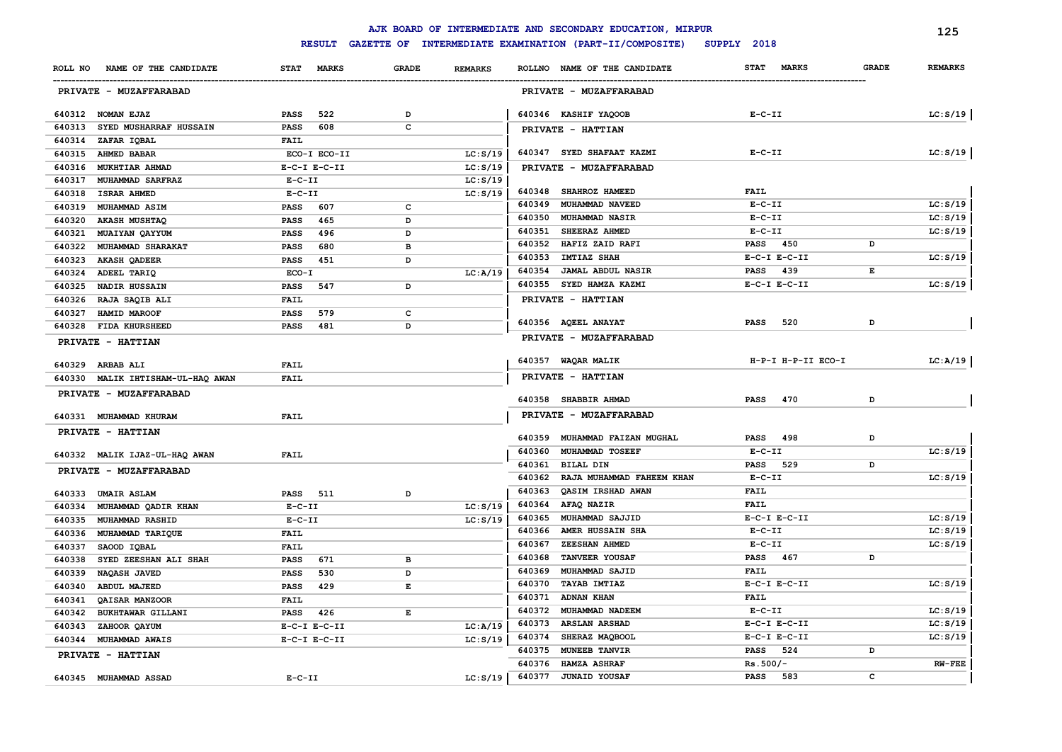|                                         |                             |              |                | AJK BOARD OF INTERMEDIATE AND SECONDARY EDUCATION, MIRPUR |                             |              | 125            |
|-----------------------------------------|-----------------------------|--------------|----------------|-----------------------------------------------------------|-----------------------------|--------------|----------------|
|                                         | <b>RESULT</b>               |              |                | GAZETTE OF INTERMEDIATE EXAMINATION (PART-II/COMPOSITE)   | SUPPLY 2018                 |              |                |
| NAME OF THE CANDIDATE<br>ROLL NO        | <b>MARKS</b><br><b>STAT</b> | GRADE        | <b>REMARKS</b> | ROLLNO NAME OF THE CANDIDATE                              | <b>STAT</b><br><b>MARKS</b> | <b>GRADE</b> | <b>REMARKS</b> |
| PRIVATE - MUZAFFARABAD                  |                             |              |                | PRIVATE - MUZAFFARABAD                                    |                             |              |                |
| 640312 NOMAN EJAZ                       | 522<br>PASS                 | D            |                | 640346 KASHIF YAQOOB                                      | $E- C- II$                  |              | LC: S/19       |
| 640313<br><b>SYED MUSHARRAF HUSSAIN</b> | 608<br><b>PASS</b>          | c            |                | PRIVATE - HATTIAN                                         |                             |              |                |
| 640314 ZAFAR IQBAL                      | <b>FAIL</b>                 |              |                |                                                           |                             |              |                |
| 640315 AHMED BABAR                      | ECO-I ECO-II                |              | LC: S/19       | 640347 SYED SHAFAAT KAZMI                                 | $E- C- II$                  |              | LC: S/19       |
| 640316 MUKHTIAR AHMAD                   | $E-C-I$ $E-C-II$            |              | LC: S/19       | PRIVATE - MUZAFFARABAD                                    |                             |              |                |
| 640317<br>MUHAMMAD SARFRAZ              | $E-C-II$                    |              | LC: S/19       |                                                           |                             |              |                |
| 640318 ISRAR AHMED                      | $E-C-II$                    |              | LC: S/19       | 640348 SHAHROZ HAMEED                                     | <b>FAIL</b>                 |              |                |
| 640319<br><b>MUHAMMAD ASIM</b>          | 607<br><b>PASS</b>          | c            |                | 640349<br>MUHAMMAD NAVEED                                 | $E - C - II$                |              | LC: S/19       |
| 640320 AKASH MUSHTAQ                    | 465<br>PASS                 | D            |                | 640350<br>MUHAMMAD NASIR                                  | $E-C-II$                    |              | LC: S/19       |
| 640321<br>MUAIYAN QAYYUM                | 496<br>PASS                 | D            |                | 640351<br>SHEERAZ AHMED                                   | $E - C - II$                |              | LC: S/19       |
| 640322 MUHAMMAD SHARAKAT                | 680<br>PASS                 | в            |                | HAFIZ ZAID RAFI<br>640352                                 | PASS<br>450                 | D            |                |
| 640323<br><b>AKASH QADEER</b>           | 451<br>PASS                 | D            |                | 640353<br><b>IMTIAZ SHAH</b>                              | $E-C-I$ $E-C-II$            |              | LC: S/19       |
| 640324 ADEEL TARIQ                      | ECO-I                       |              | LC: A/19       | 640354<br><b>JAMAL ABDUL NASIR</b>                        | 439<br><b>PASS</b>          | E            |                |
| 640325<br><b>NADIR HUSSAIN</b>          | 547<br><b>PASS</b>          | D            |                | SYED HAMZA KAZMI<br>640355                                | $E-C-I$ $E-C-II$            |              | LC: S/19       |
| 640326 RAJA SAQIB ALI                   | <b>FAIL</b>                 |              |                | PRIVATE - HATTIAN                                         |                             |              |                |
| 640327<br>HAMID MAROOF                  | <b>PASS</b><br>579          | c            |                |                                                           |                             |              |                |
| 640328 FIDA KHURSHEED                   | 481<br><b>PASS</b>          | D            |                | 640356 AQEEL ANAYAT                                       | <b>PASS</b><br>520          | D            |                |
| PRIVATE - HATTIAN                       |                             |              |                | PRIVATE - MUZAFFARABAD                                    |                             |              |                |
| 640329 ARBAB ALI                        | FAIL                        |              |                | 640357 WAQAR MALIK                                        | H-P-I H-P-II ECO-I          |              | LC:A/19        |
| 640330 MALIK IHTISHAM-UL-HAQ AWAN       | <b>FAIL</b>                 |              |                | PRIVATE - HATTIAN                                         |                             |              |                |
| PRIVATE - MUZAFFARABAD                  |                             |              |                | 640358 SHABBIR AHMAD                                      | 470<br>PASS                 | D            |                |
| 640331 MUHAMMAD KHURAM                  | <b>FAIL</b>                 |              |                | PRIVATE - MUZAFFARABAD                                    |                             |              |                |
| PRIVATE - HATTIAN                       |                             |              |                |                                                           |                             |              |                |
|                                         |                             |              |                | 640359<br>MUHAMMAD FAIZAN MUGHAL                          | <b>PASS</b><br>498          | D            |                |
| 640332 MALIK IJAZ-UL-HAQ AWAN           | <b>FAIL</b>                 |              |                | 640360<br>MUHAMMAD TOSEEF                                 | $E- C- II$                  |              | LC: S/19       |
| PRIVATE - MUZAFFARABAD                  |                             |              |                | 640361<br><b>BILAL DIN</b>                                | 529<br><b>PASS</b>          | D            |                |
|                                         |                             |              |                | 640362<br>RAJA MUHAMMAD FAHEEM KHAN                       | $E-C-II$                    |              | LC: S/19       |
| 640333 UMAIR ASLAM                      | <b>PASS</b> 511             | D            |                | 640363<br>QASIM IRSHAD AWAN                               | <b>FAIL</b>                 |              |                |
| 640334<br>MUHAMMAD QADIR KHAN           | $E - C - II$                |              | LC: S/19       | AFAQ NAZIR<br>640364                                      | <b>FAIL</b>                 |              |                |
| 640335<br><b>MUHAMMAD RASHID</b>        | $E-C-II$                    |              | LC: S/19       | MUHAMMAD SAJJID<br>640365                                 | $E-C-I$ $E-C-II$            |              | LC: S/19       |
| 640336 MUHAMMAD TARIQUE                 | <b>FAIL</b>                 |              |                | 640366<br>AMER HUSSAIN SHA                                | $E-C-II$                    |              | LC: S/19       |
| 640337<br>SAOOD IQBAL                   | <b>FAIL</b>                 |              |                | 640367<br>ZEESHAN AHMED                                   | $E-C-II$                    |              | LC: S/19       |
| 640338<br>SYED ZEESHAN ALI SHAH         | 671<br>PASS                 | $\mathbf{B}$ |                | <b>TANVEER YOUSAF</b><br>640368                           | <b>PASS</b><br>467          | D            |                |
| 640339<br><b>NAQASH JAVED</b>           | <b>PASS</b><br>530          | D            |                | 640369<br>MUHAMMAD SAJID                                  | <b>FAIL</b>                 |              |                |
| 640340<br><b>ABDUL MAJEED</b>           | <b>PASS</b><br>429          | E            |                | 640370<br>TAYAB IMTIAZ                                    | $E-C-I$ $E-C-II$            |              | LC: S/19       |
| 640341<br>QAISAR MANZOOR                | <b>FAIL</b>                 |              |                | 640371<br><b>ADNAN KHAN</b>                               | <b>FAIL</b>                 |              |                |
| 640342<br><b>BUKHTAWAR GILLANI</b>      | 426<br>PASS                 | E            |                | 640372<br>MUHAMMAD NADEEM                                 | $E- C- II$                  |              | LC: S/19       |
| 640343<br>ZAHOOR QAYUM                  | $E-C-I$ $E-C-II$            |              | LC: A/19       | 640373<br><b>ARSLAN ARSHAD</b>                            | $E-C-I$ $E-C-II$            |              | LC: S/19       |
| 640344 MUHAMMAD AWAIS                   | $E-C-I$ $E-C-II$            |              | LC: S/19       | 640374<br>SHERAZ MAQBOOL                                  | $E-C-I$ $E-C-II$            |              | LC: S/19       |
| PRIVATE - HATTIAN                       |                             |              |                | 640375<br>MUNEEB TANVIR                                   | 524<br><b>PASS</b>          | D            |                |
|                                         |                             |              |                | 640376<br><b>HAMZA ASHRAF</b>                             | $Rs.500/-$                  |              | $RW-FEE$       |
| 640345 MUHAMMAD ASSAD                   | $E-C-II$                    |              | LC: S/19       | 640377<br><b>JUNAID YOUSAF</b>                            | PASS 583                    | c            |                |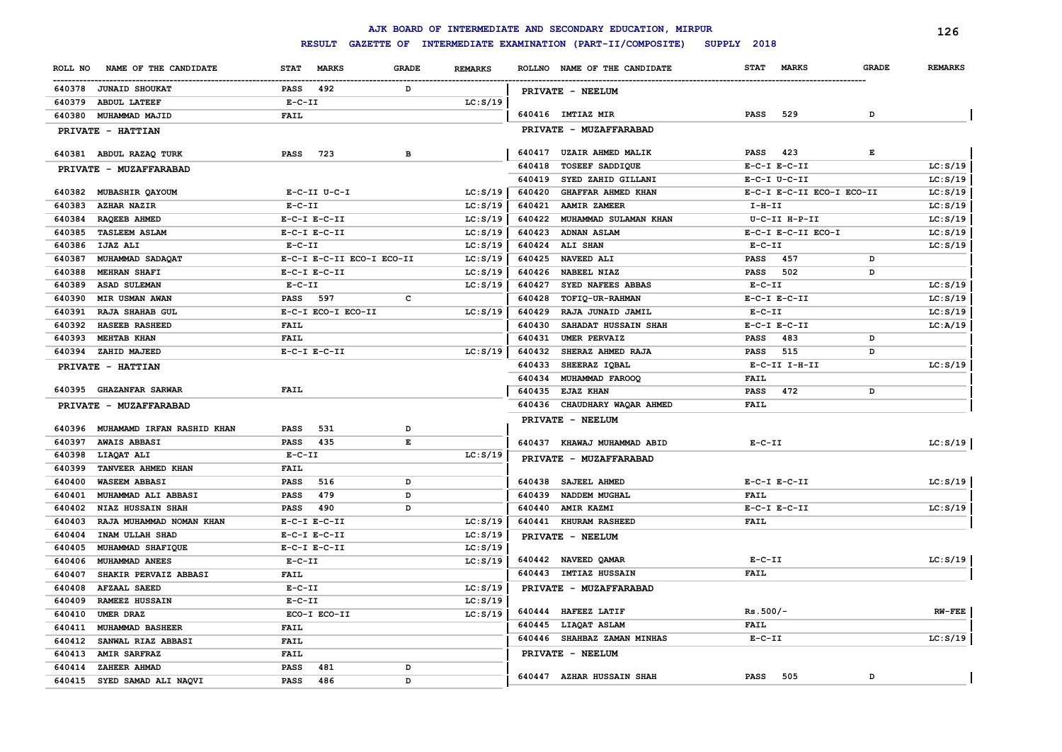**ROLL NO NAME OF THE CANDIDATE STAT MARKS GRADE REMARKS** ------------------------------------------------------------------------------------------------------------------------------------------------------------------------------------------------------------------------ **ROLLNO NAME OF THE CANDIDATE REMARKS<sup>126</sup> STAT MARKS GRADE JUNAID SHOUKAT PASS 492 D ABDUL LATEEF E-C-II LC:S/19 MUHAMMAD MAJID FAIL PRIVATE - HATTIAN ABDUL RAZAQ TURK PASS 723 B PRIVATE - MUZAFFARABAD MUBASHIR QAYOUM E-C-II U-C-I LC:S/19 AZHAR NAZIR E-C-II LC:S/19 RAQEEB AHMED E-C-I E-C-II LC:S/19 TASLEEM ASLAM E-C-I E-C-II LC:S/19 IJAZ ALI E-C-II LC:S/19 MUHAMMAD SADAQAT E-C-I E-C-II ECO-I ECO-II LC:S/19 MEHRAN SHAFI E-C-I E-C-II LC:S/19 ASAD SULEMAN E-C-II LC:S/19 MIR USMAN AWAN PASS 597 C RAJA SHAHAB GUL E-C-I ECO-I ECO-II LC:S/19 HASEEB RASHEED FAIL MEHTAB KHAN FAIL ZAHID MAJEED E-C-I E-C-II LC:S/19 PRIVATE - HATTIAN GHAZANFAR SARWAR FAIL PRIVATE - MUZAFFARABAD MUHAMAMD IRFAN RASHID KHAN PASS 531 D AWAIS ABBASI PASS 435 E LIAQAT ALI E-C-II LC:S/19 TANVEER AHMED KHAN FAIL WASEEM ABBASI PASS 516 D MUHAMMAD ALI ABBASI PASS 479 D NIAZ HUSSAIN SHAH PASS 490 D RAJA MUHAMMAD NOMAN KHAN E-C-I E-C-II LC:S/19 INAM ULLAH SHAD E-C-I E-C-II LC:S/19 MUHAMMAD SHAFIQUE E-C-I E-C-II LC:S/19 MUHAMMAD ANEES E-C-II LC:S/19 640442 NAVEED QAMAR E-C-II LC:S/19 SHAKIR PERVAIZ ABBASI FAIL AFZAAL SAEED E-C-II LC:S/19 PRIVATE - MUZAFFARABAD RAMEEZ HUSSAIN E-C-II LC:S/19 UMER DRAZ ECO-I ECO-II LC:S/19 MUHAMMAD BASHEER FAIL SANWAL RIAZ ABBASI FAIL AMIR SARFRAZ FAIL ZAHEER AHMAD PASS 481 D SYED SAMAD ALI NAQVI PASS 486 D PRIVATE - NEELUM IMTIAZ MIR PASS 529 D PRIVATE - MUZAFFARABAD UZAIR AHMED MALIK PASS 423 E TOSEEF SADDIQUE E-C-I E-C-II LC:S/19 SYED ZAHID GILLANI E-C-I U-C-II LC:S/19 GHAFFAR AHMED KHAN E-C-I E-C-II ECO-I ECO-II LC:S/19 AAMIR ZAMEER I-H-II LC:S/19 MUHAMMAD SULAMAN KHAN U-C-II H-P-II LC:S/19 ADNAN ASLAM E-C-I E-C-II ECO-I LC:S/19 ALI SHAN E-C-II LC:S/19 NAVEED ALI PASS 457 D NABEEL NIAZ PASS 502 D SYED NAFEES ABBAS E-C-II LC:S/19 TOFIQ-UR-RAHMAN E-C-I E-C-II LC:S/19 RAJA JUNAID JAMIL E-C-II LC:S/19 SAHADAT HUSSAIN SHAH E-C-I E-C-II LC:A/19 UMER PERVAIZ PASS 483 D SHERAZ AHMED RAJA PASS 515 D SHEERAZ IQBAL E-C-II I-H-II LC:S/19 MUHAMMAD FAROOQ FAIL EJAZ KHAN PASS 472 D CHAUDHARY WAQAR AHMED FAIL PRIVATE - NEELUM KHAWAJ MUHAMMAD ABID E-C-II LC:S/19 PRIVATE - MUZAFFARABAD SAJEEL AHMED E-C-I E-C-II LC:S/19 NADDEM MUGHAL FAIL AMIR KAZMI E-C-I E-C-II LC:S/19 KHURAM RASHEED FAIL PRIVATE - NEELUM IMTIAZ HUSSAIN FAIL HAFEEZ LATIF Rs.500/- RW-FEE LIAQAT ASLAM FAIL SHAHBAZ ZAMAN MINHAS E-C-II LC:S/19 PRIVATE - NEELUM AZHAR HUSSAIN SHAH PASS 505 D**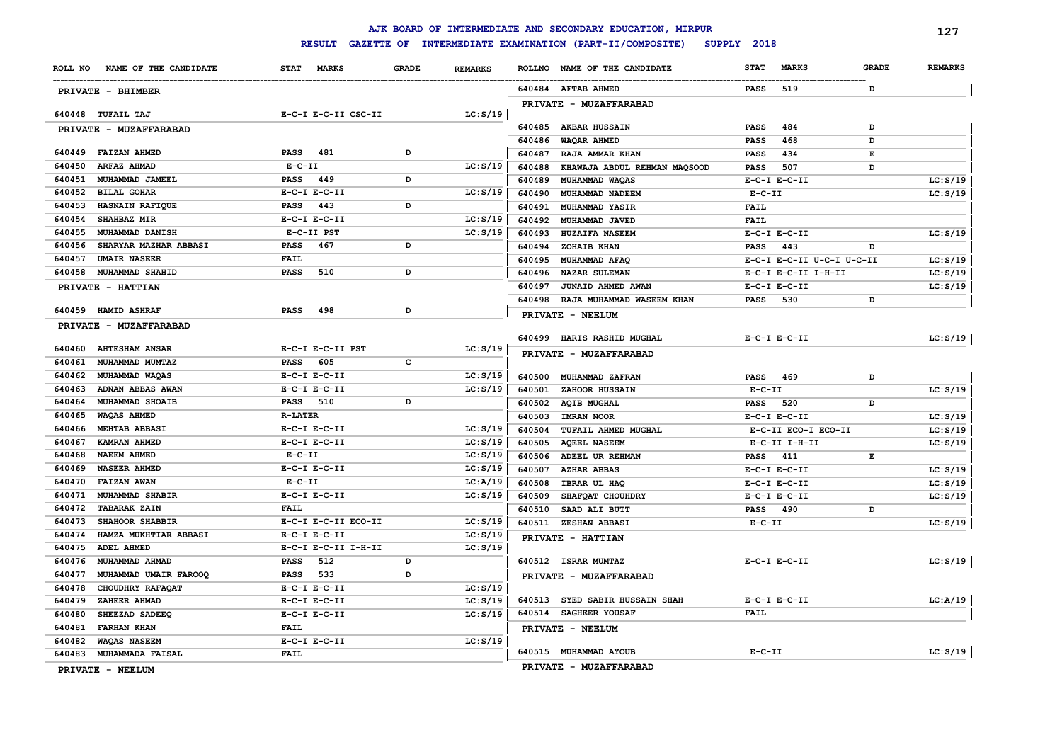## **RESULT GAZETTE OF INTERMEDIATE EXAMINATION (PART-II/COMPOSITE) SUPPLY 2018**

|                                                 |                                      |              |                      |                  | AJK BOARD OF INTERMEDIATE AND SECONDARY EDUCATION, MIRPUR |              |                           |              | 127            |
|-------------------------------------------------|--------------------------------------|--------------|----------------------|------------------|-----------------------------------------------------------|--------------|---------------------------|--------------|----------------|
|                                                 | <b>RESULT</b>                        |              |                      |                  | GAZETTE OF INTERMEDIATE EXAMINATION (PART-II/COMPOSITE)   | SUPPLY 2018  |                           |              |                |
| ROLL NO<br>NAME OF THE CANDIDATE                | <b>STAT</b><br><b>MARKS</b>          | <b>GRADE</b> | <b>REMARKS</b>       | <b>ROLLNO</b>    | NAME OF THE CANDIDATE                                     | <b>STAT</b>  | <b>MARKS</b>              | <b>GRADE</b> | <b>REMARKS</b> |
| PRIVATE - BHIMBER                               |                                      |              |                      |                  | 640484 AFTAB AHMED                                        | <b>PASS</b>  | 519                       | D            |                |
|                                                 |                                      |              |                      |                  | PRIVATE - MUZAFFARABAD                                    |              |                           |              |                |
| 640448 TUFAIL TAJ                               | E-C-I E-C-II CSC-II                  |              | LC: S/19             |                  |                                                           |              |                           |              |                |
| PRIVATE - MUZAFFARABAD                          |                                      |              |                      |                  | 640485 AKBAR HUSSAIN                                      | PASS         | 484                       | D            |                |
|                                                 |                                      |              |                      | 640486           | WAQAR AHMED                                               | <b>PASS</b>  | 468                       | D            |                |
| 640449 FAIZAN AHMED<br>640450                   | <b>PASS</b><br>481<br>$E - C - II$   | D            | LC: S/19             | 640487           | RAJA AMMAR KHAN                                           | <b>PASS</b>  | 434                       | E            |                |
| <b>ARFAZ AHMAD</b><br>640451<br>MUHAMMAD JAMEEL | 449<br>PASS                          | D            |                      | 640488           | KHAWAJA ABDUL REHMAN MAQSOOD                              | <b>PASS</b>  | 507                       | D            |                |
| 640452<br><b>BILAL GOHAR</b>                    | $E-C-I$ $E-C-II$                     |              | LC: S/19             | 640489           | MUHAMMAD WAQAS                                            | $E-C-II$     | $E-C-I$ $E-C-II$          |              | LC: S/19       |
| 640453<br><b>HASNAIN RAFIQUE</b>                | 443<br>PASS                          | D            |                      | 640490<br>640491 | MUHAMMAD NADEEM<br><b>MUHAMMAD YASIR</b>                  | <b>FAIL</b>  |                           |              | LC: S/19       |
| 640454<br><b>SHAHBAZ MIR</b>                    | $E-C-I$ $E-C-II$                     |              | LC: S/19             | 640492           | MUHAMMAD JAVED                                            | <b>FAIL</b>  |                           |              |                |
| 640455<br><b>MUHAMMAD DANISH</b>                | E-C-II PST                           |              | LC: S/19             | 640493           | <b>HUZAIFA NASEEM</b>                                     |              | $E-C-I$ $E-C-II$          |              | LC: S/19       |
| 640456<br>SHARYAR MAZHAR ABBASI                 | 467<br>PASS                          | D            |                      | 640494           | ZOHAIB KHAN                                               | <b>PASS</b>  | 443                       | D            |                |
| 640457<br><b>UMAIR NASEER</b>                   | <b>FAIL</b>                          |              |                      | 640495           | MUHAMMAD AFAQ                                             |              | E-C-I E-C-II U-C-I U-C-II |              | LC: S/19       |
| 640458<br><b>MUHAMMAD SHAHID</b>                | 510<br><b>PASS</b>                   | D            |                      | 640496           | <b>NAZAR SULEMAN</b>                                      |              | E-C-I E-C-II I-H-II       |              | LC: S/19       |
| PRIVATE - HATTIAN                               |                                      |              |                      | 640497           | JUNAID AHMED AWAN                                         |              | $E-C-I$ $E-C-II$          |              | LC: S/19       |
|                                                 |                                      |              |                      | 640498           | RAJA MUHAMMAD WASEEM KHAN                                 | PASS         | 530                       | D            |                |
| 640459 HAMID ASHRAF                             | <b>PASS</b><br>498                   | D            |                      |                  | PRIVATE - NEELUM                                          |              |                           |              |                |
| PRIVATE - MUZAFFARABAD                          |                                      |              |                      |                  |                                                           |              |                           |              |                |
|                                                 |                                      |              |                      |                  | 640499 HARIS RASHID MUGHAL                                |              | $E-C-I$ $E-C-II$          |              | LC: S/19       |
| 640460 AHTESHAM ANSAR                           | E-C-I E-C-II PST                     |              | LC: S/19             |                  | PRIVATE - MUZAFFARABAD                                    |              |                           |              |                |
| 640461<br>MUHAMMAD MUMTAZ                       | 605<br>PASS                          | c            |                      |                  |                                                           |              |                           |              |                |
| 640462<br>MUHAMMAD WAQAS                        | $E-C-I$ $E-C-II$                     |              | LC: S/19             |                  | 640500 MUHAMMAD ZAFRAN                                    | PASS         | 469                       | D            |                |
| 640463<br>ADNAN ABBAS AWAN<br>640464            | $E-C-I$ $E-C-II$                     | D            | LC: S/19             | 640501           | ZAHOOR HUSSAIN                                            | $E - C - II$ |                           |              | LC: S/19       |
| <b>MUHAMMAD SHOAIB</b>                          | <b>PASS</b> 510<br><b>R-LATER</b>    |              |                      | 640502           | <b>AQIB MUGHAL</b>                                        | <b>PASS</b>  | 520                       | D            |                |
| 640465<br>WAQAS AHMED<br>640466                 |                                      |              |                      | 640503           | <b>IMRAN NOOR</b>                                         |              | $E-C-I$ $E-C-II$          |              | LC: S/19       |
| <b>MEHTAB ABBASI</b><br>640467<br>KAMRAN AHMED  | $E-C-I$ $E-C-II$<br>$E-C-I$ $E-C-II$ |              | LC: S/19<br>LC: S/19 | 640504           | TUFAIL AHMED MUGHAL                                       |              | E-C-II ECO-I ECO-II       |              | LC: S/19       |
| 640468<br><b>NAEEM AHMED</b>                    | $E-C-II$                             |              | LC: S/19             | 640505<br>640506 | <b>AQEEL NASEEM</b><br>ADEEL UR REHMAN                    | PASS         | $E-C-II$ I-H-II<br>411    | E            | LC: S/19       |
| 640469<br><b>NASEER AHMED</b>                   | $E-C-I$ $E-C-II$                     |              | LC: S/19             | 640507           | <b>AZHAR ABBAS</b>                                        |              | $E-C-I$ $E-C-II$          |              | LC: S/19       |
| 640470<br><b>FAIZAN AWAN</b>                    | $E - C - II$                         |              | LC: A/19             | 640508           | IBRAR UL HAQ                                              |              | $E-C-I$ $E-C-II$          |              | LC: S/19       |
| 640471<br>MUHAMMAD SHABIR                       | $E-C-I$ $E-C-II$                     |              | LC: S/19             | 640509           | SHAFQAT CHOUHDRY                                          |              | $E-C-I$ $E-C-II$          |              | LC: S/19       |
| 640472 TABARAK ZAIN                             | <b>FAIL</b>                          |              |                      | 640510           | SAAD ALI BUTT                                             | <b>PASS</b>  | 490                       | D            |                |
| 640473<br>SHAHOOR SHABBIR                       | E-C-I E-C-II ECO-II                  |              | LC: S/19             | 640511           | ZESHAN ABBASI                                             | $E-C-II$     |                           |              | LC: S/19       |
| 640474<br>HAMZA MUKHTIAR ABBASI                 | $E-C-I$ $E-C-II$                     |              | LC: S/19             |                  | PRIVATE - HATTIAN                                         |              |                           |              |                |
| 640475<br>ADEL AHMED                            | E-C-I E-C-II I-H-II                  |              | LC: S/19             |                  |                                                           |              |                           |              |                |
| MUHAMMAD AHMAD<br>640476                        | <b>PASS</b><br>512                   | D            |                      |                  | 640512 ISRAR MUMTAZ                                       |              | $E-C-I$ $E-C-II$          |              | LC: S/19       |
| 640477<br>MUHAMMAD UMAIR FAROOQ                 | 533<br>PASS                          | D            |                      |                  | PRIVATE - MUZAFFARABAD                                    |              |                           |              |                |
| 640478<br>CHOUDHRY RAFAQAT                      | $E-C-I$ $E-C-II$                     |              | LC: S/19             |                  |                                                           |              |                           |              |                |
| 640479<br>ZAHEER AHMAD                          | $E-C-I$ $E-C-II$                     |              | LC: S/19             |                  | 640513 SYED SABIR HUSSAIN SHAH                            |              | $E-C-I$ $E-C-II$          |              | LC:A/19        |
| 640480<br>SHEEZAD SADEEQ                        | $E-C-I$ $E-C-II$                     |              | LC: S/19             |                  | 640514 SAGHEER YOUSAF                                     | FAIL         |                           |              |                |
| 640481<br><b>FARHAN KHAN</b>                    | <b>FAIL</b>                          |              |                      |                  | PRIVATE - NEELUM                                          |              |                           |              |                |
| 640482<br><b>WAQAS NASEEM</b>                   | $E-C-I$ $E-C-II$                     |              | LC: S/19             |                  |                                                           |              |                           |              |                |
| 640483 MUHAMMADA FAISAL                         | <b>FAIL</b>                          |              |                      |                  | 640515 MUHAMMAD AYOUB                                     | $E - C - II$ |                           |              | LC: S/19       |
|                                                 |                                      |              |                      |                  |                                                           |              |                           |              |                |

**PRIVATE - NEELUM**

**PRIVATE - MUZAFFARABAD**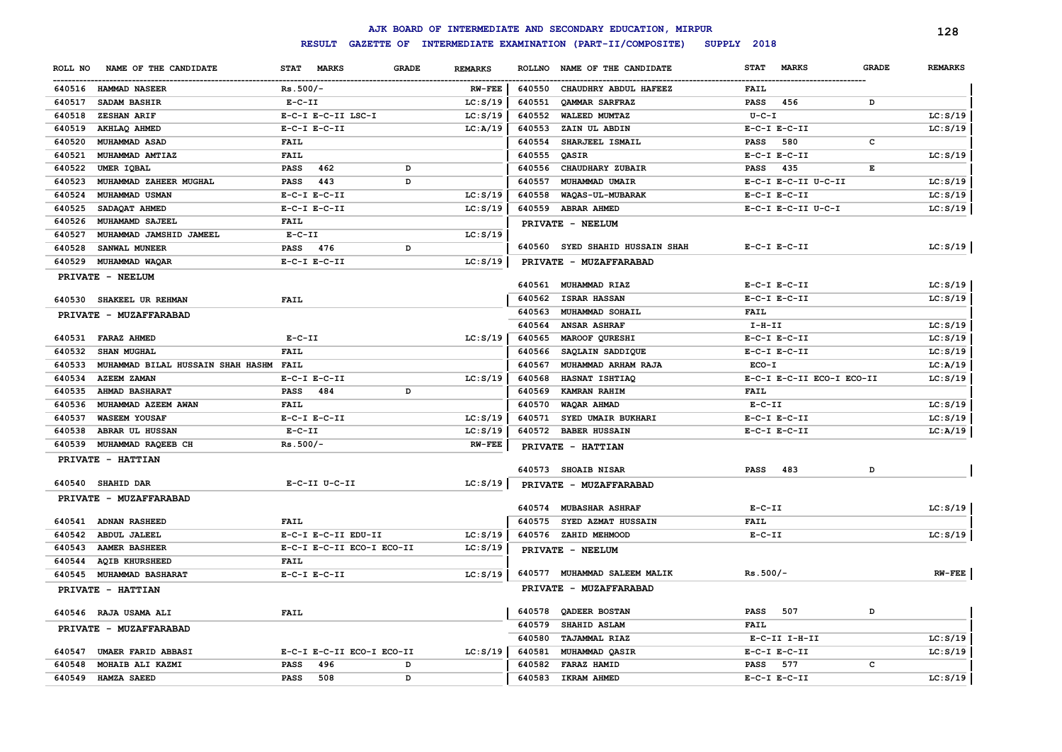|         |                                        |                  |                           |              |                |                | AJK BOARD OF INTERMEDIATE AND SECONDARY EDUCATION, MIRPUR |             |                           |              | 128            |
|---------|----------------------------------------|------------------|---------------------------|--------------|----------------|----------------|-----------------------------------------------------------|-------------|---------------------------|--------------|----------------|
|         |                                        |                  | <b>RESULT</b>             |              |                |                | GAZETTE OF INTERMEDIATE EXAMINATION (PART-II/COMPOSITE)   | SUPPLY 2018 |                           |              |                |
| ROLL NO | NAME OF THE CANDIDATE                  | STAT MARKS       |                           | <b>GRADE</b> | <b>REMARKS</b> | <b>ROLLNO</b>  | NAME OF THE CANDIDATE                                     | <b>STAT</b> | <b>MARKS</b>              | <b>GRADE</b> | <b>REMARKS</b> |
|         | 640516 HAMMAD NASEER                   | $Rs.500/-$       |                           |              | $RW-FEE$       | 640550         | CHAUDHRY ABDUL HAFEEZ                                     | <b>FAIL</b> |                           |              |                |
| 640517  | SADAM BASHIR                           | $E-C-II$         |                           |              | LC: S/19       | 640551         | <b>QAMMAR SARFRAZ</b>                                     | <b>PASS</b> | 456                       | D            |                |
| 640518  | ZESHAN ARIF                            |                  | E-C-I E-C-II LSC-I        |              | LC: S/19       | 640552         | <b>WALEED MUMTAZ</b>                                      | $U - C - I$ |                           |              | LC: S/19       |
| 640519  | AKHLAQ AHMED                           | $E-C-I$ $E-C-II$ |                           |              | LC: A/19       | 640553         | ZAIN UL ABDIN                                             |             | $E-C-I$ $E-C-II$          |              | LC: S/19       |
| 640520  | MUHAMMAD ASAD                          | <b>FAIL</b>      |                           |              |                | 640554         | SHARJEEL ISMAIL                                           | <b>PASS</b> | 580                       | c            |                |
| 640521  | MUHAMMAD AMTIAZ                        | <b>FAIL</b>      |                           |              |                | 640555         | QASIR                                                     |             | $E-C-I$ $E-C-II$          |              | LC: S/19       |
| 640522  | UMER IOBAL                             | <b>PASS</b>      | 462                       | D            |                | 640556         | CHAUDHARY ZUBAIR                                          | <b>PASS</b> | 435                       | Е            |                |
| 640523  | MUHAMMAD ZAHEER MUGHAL                 | <b>PASS</b>      | 443                       | D            |                | 640557         | MUHAMMAD UMAIR                                            |             | E-C-I E-C-II U-C-II       |              | LC: S/19       |
| 640524  | MUHAMMAD USMAN                         | $E-C-I$ $E-C-II$ |                           |              | LC: S/19       | 640558         | WAQAS-UL-MUBARAK                                          |             | $E-C-I$ $E-C-II$          |              | LC: S/19       |
| 640525  | SADAQAT AHMED                          | $E-C-I$ $E-C-II$ |                           |              | LC: S/19       | 640559         | <b>ABRAR AHMED</b>                                        |             | E-C-I E-C-II U-C-I        |              | LC: S/19       |
| 640526  | MUHAMAMD SAJEEL                        | <b>FAIL</b>      |                           |              |                |                | PRIVATE - NEELUM                                          |             |                           |              |                |
| 640527  | MUHAMMAD JAMSHID JAMEEL                | $E-C-II$         |                           |              | LC: S/19       |                |                                                           |             |                           |              |                |
| 640528  | SANWAL MUNEER                          | <b>PASS</b>      | 476                       | D            |                | 640560         | <b>SYED SHAHID HUSSAIN SHAH</b>                           |             | $E-C-I$ $E-C-II$          |              | LC: S/19       |
| 640529  | MUHAMMAD WAQAR                         | $E-C-I$ $E-C-II$ |                           |              | LC: S/19       | <b>PRIVATE</b> | - MUZAFFARABAD                                            |             |                           |              |                |
|         | PRIVATE - NEELUM                       |                  |                           |              |                |                |                                                           |             |                           |              |                |
|         |                                        |                  |                           |              |                | 640561         | <b>MUHAMMAD RIAZ</b>                                      |             | $E-C-I$ $E-C-II$          |              | LC: S/19       |
|         | 640530 SHAKEEL UR REHMAN               | <b>FAIL</b>      |                           |              |                | 640562         | <b>ISRAR HASSAN</b>                                       |             | $E-C-I$ $E-C-II$          |              | LC: S/19       |
|         | PRIVATE - MUZAFFARABAD                 |                  |                           |              |                | 640563         | MUHAMMAD SOHAIL                                           | <b>FAIL</b> |                           |              |                |
|         |                                        |                  |                           |              |                | 640564         | <b>ANSAR ASHRAF</b>                                       | $I-H-II$    |                           |              | LC: S/19       |
|         | 640531 FARAZ AHMED                     | $E-C-II$         |                           |              | LC: S/19       | 640565         | MAROOF QURESHI                                            |             | $E-C-I$ $E-C-II$          |              | LC: S/19       |
| 640532  | SHAN MUGHAL                            | <b>FAIL</b>      |                           |              |                | 640566         | SAQLAIN SADDIQUE                                          |             | $E-C-I$ $E-C-II$          |              | LC: S/19       |
| 640533  | MUHAMMAD BILAL HUSSAIN SHAH HASHM FAIL |                  |                           |              |                | 640567         | MUHAMMAD ARHAM RAJA                                       | $ECO-I$     |                           |              | LC: A/19       |
| 640534  | <b>AZEEM ZAMAN</b>                     | $E-C-I$ $E-C-II$ |                           |              | LC: S/19       | 640568         | HASNAT ISHTIAQ                                            |             | E-C-I E-C-II ECO-I ECO-II |              | LC: S/19       |
| 640535  | <b>AHMAD BASHARAT</b>                  | PASS             | 484                       | D            |                | 640569         | <b>KAMRAN RAHIM</b>                                       | <b>FAIL</b> |                           |              |                |
| 640536  | MUHAMMAD AZEEM AWAN                    | <b>FAIL</b>      |                           |              |                | 640570         | WAQAR AHMAD                                               | $E-C-II$    |                           |              | LC: S/19       |
| 640537  | <b>WASEEM YOUSAF</b>                   | $E-C-I$ $E-C-II$ |                           |              | LC: S/19       | 640571         | SYED UMAIR BUKHARI                                        |             | $E-C-I$ $E-C-II$          |              | LC: S/19       |
| 640538  | ABRAR UL HUSSAN                        | $E-C-II$         |                           |              | LC: S/19       | 640572         | <b>BABER HUSSAIN</b>                                      |             | $E-C-I$ $E-C-II$          |              | LC:A/19        |
| 640539  | MUHAMMAD RAQEEB CH                     | $Rs.500/-$       |                           |              | <b>RW-FEE</b>  |                | PRIVATE - HATTIAN                                         |             |                           |              |                |
|         | PRIVATE - HATTIAN                      |                  |                           |              |                |                |                                                           |             |                           |              |                |
|         |                                        |                  |                           |              |                |                | 640573 SHOAIB NISAR                                       | <b>PASS</b> | 483                       | D            |                |
|         | 640540 SHAHID DAR                      |                  | E-C-II U-C-II             |              | LC: S/19       |                | PRIVATE - MUZAFFARABAD                                    |             |                           |              |                |
|         | PRIVATE - MUZAFFARABAD                 |                  |                           |              |                | 640574         | <b>MUBASHAR ASHRAF</b>                                    | $E-C-II$    |                           |              | LC: S/19       |
|         | 640541 ADNAN RASHEED                   | <b>FAIL</b>      |                           |              |                | 640575         | SYED AZMAT HUSSAIN                                        | FAIL        |                           |              |                |
| 640542  | <b>ABDUL JALEEL</b>                    |                  | E-C-I E-C-II EDU-II       |              | LC: S/19       |                | 640576 ZAHID MEHMOOD                                      | $E- C- II$  |                           |              | LC: S/19       |
| 640543  | <b>AAMER BASHEER</b>                   |                  | E-C-I E-C-II ECO-I ECO-II |              | LC: S/19       |                | PRIVATE - NEELUM                                          |             |                           |              |                |
| 640544  | <b>AQIB KHURSHEED</b>                  | <b>FAIL</b>      |                           |              |                |                |                                                           |             |                           |              |                |
| 640545  | <b>MUHAMMAD BASHARAT</b>               | $E-C-I$ $E-C-II$ |                           |              | LC: S/19       | 640577         | MUHAMMAD SALEEM MALIK                                     | $Rs.500/-$  |                           |              | $RW-FEE$       |
|         | PRIVATE - HATTIAN                      |                  |                           |              |                |                | PRIVATE - MUZAFFARABAD                                    |             |                           |              |                |
|         |                                        |                  |                           |              |                |                |                                                           |             |                           |              |                |
|         | 640546 RAJA USAMA ALI                  | <b>FAIL</b>      |                           |              |                | 640578         | QADEER BOSTAN                                             | <b>PASS</b> | 507                       | D            |                |
|         | PRIVATE - MUZAFFARABAD                 |                  |                           |              |                | 640579         | SHAHID ASLAM                                              | <b>FAIL</b> |                           |              |                |
|         |                                        |                  |                           |              |                | 640580         | <b>TAJAMMAL RIAZ</b>                                      |             | E-C-II I-H-II             |              | LC: S/19       |
| 640547  | <b>UMAER FARID ABBASI</b>              |                  | E-C-I E-C-II ECO-I ECO-II |              | LC: S/19       | 640581         | MUHAMMAD QASIR                                            |             | $E-C-I$ $E-C-II$          |              | LC: S/19       |
| 640548  | MOHAIB ALI KAZMI                       | PASS             | 496                       | D            |                | 640582         | FARAZ HAMID                                               | <b>PASS</b> | 577                       | c            |                |
|         | 640549 HAMZA SAEED                     | <b>PASS</b>      | 508                       | D            |                | 640583         | IKRAM AHMED                                               |             | $E-C-I$ $E-C-II$          |              | LC: S/19       |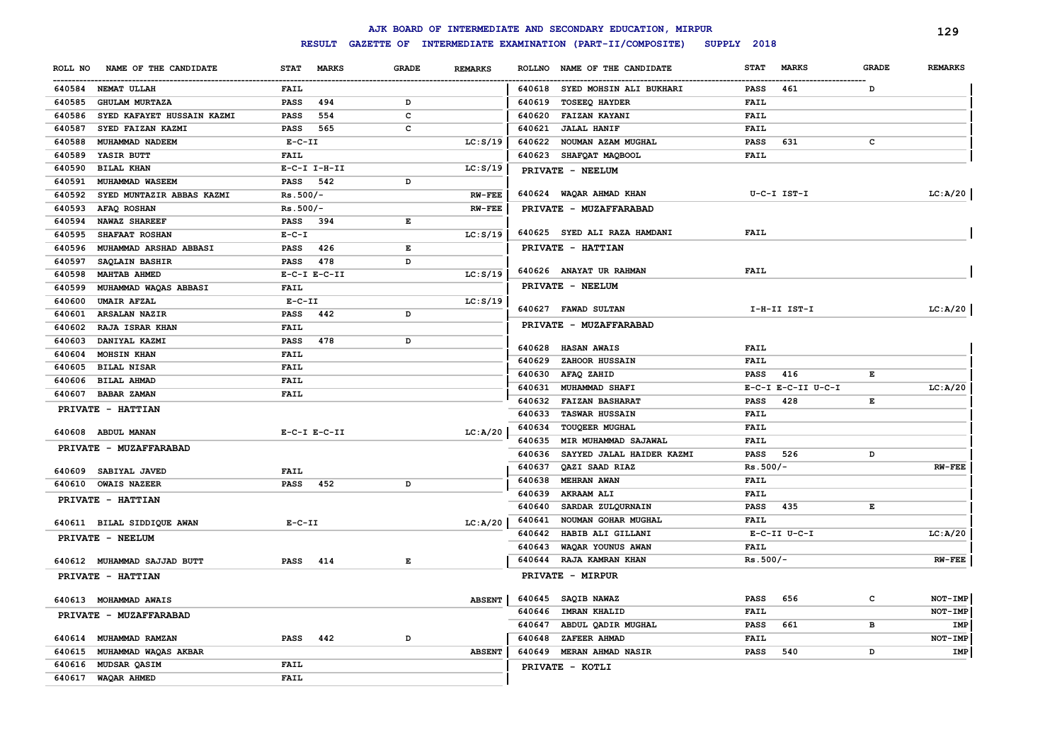|                                      |                             |                                                                                                |                | AJK BOARD OF INTERMEDIATE AND SECONDARY EDUCATION, MIRPUR |                                   |              | 129            |
|--------------------------------------|-----------------------------|------------------------------------------------------------------------------------------------|----------------|-----------------------------------------------------------|-----------------------------------|--------------|----------------|
|                                      | <b>RESULT</b>               |                                                                                                |                | GAZETTE OF INTERMEDIATE EXAMINATION (PART-II/COMPOSITE)   | SUPPLY 2018                       |              |                |
| NAME OF THE CANDIDATE<br>ROLL NO     | <b>STAT</b><br><b>MARKS</b> | <b>GRADE</b>                                                                                   | <b>REMARKS</b> | ROLLNO NAME OF THE CANDIDATE                              | <b>STAT</b><br><b>MARKS</b>       | <b>GRADE</b> | <b>REMARKS</b> |
| 640584 NEMAT ULLAH                   | <b>FAIL</b>                 |                                                                                                |                | 640618 SYED MOHSIN ALI BUKHARI                            | 461<br><b>PASS</b>                | <sup>D</sup> |                |
| <b>GHULAM MURTAZA</b><br>640585      | 494<br><b>PASS</b>          | D                                                                                              |                | 640619<br><b>TOSEEQ HAYDER</b>                            | FAIL                              |              |                |
| SYED KAFAYET HUSSAIN KAZMI<br>640586 | 554<br><b>PASS</b>          | c                                                                                              |                | 640620<br><b>FAIZAN KAYANI</b>                            | FAIL                              |              |                |
| 640587<br>SYED FAIZAN KAZMI          | 565<br><b>PASS</b>          | c                                                                                              |                | 640621<br><b>JALAL HANIF</b>                              | <b>FAIL</b>                       |              |                |
| MUHAMMAD NADEEM<br>640588            | $E-C-II$                    |                                                                                                | LC: S/19       | 640622<br>NOUMAN AZAM MUGHAL                              | <b>PASS</b><br>631                | c            |                |
| 640589<br>YASIR BUTT                 | <b>FAIL</b>                 |                                                                                                |                | 640623<br>SHAFQAT MAQBOOL                                 | <b>FAIL</b>                       |              |                |
| 640590<br><b>BILAL KHAN</b>          | $E- C-I$ I-H-II             |                                                                                                | LC: S/19       | PRIVATE - NEELUM                                          |                                   |              |                |
| 640591<br>MUHAMMAD WASEEM            | 542<br>PASS                 | D                                                                                              |                |                                                           |                                   |              |                |
| 640592<br>SYED MUNTAZIR ABBAS KAZMI  | $Rs.500/-$                  |                                                                                                | <b>RW-FEE</b>  | 640624 WAQAR AHMAD KHAN                                   | U-C-I IST-I                       |              | LC: A/20       |
| AFAQ ROSHAN<br>640593                | $Rs.500/-$                  |                                                                                                | <b>RW-FEE</b>  | PRIVATE - MUZAFFARABAD                                    |                                   |              |                |
| <b>NAWAZ SHAREEF</b><br>640594       | PASS<br>394                 | Е                                                                                              |                |                                                           |                                   |              |                |
| SHAFAAT ROSHAN<br>640595             | $E - C - I$                 |                                                                                                | LC: S/19       | 640625 SYED ALI RAZA HAMDANI                              | <b>FAIL</b>                       |              |                |
| MUHAMMAD ARSHAD ABBASI<br>640596     | 426<br><b>PASS</b>          | $\mathbf{E}% _{t}\left  \mathbf{1}\right\rangle =\mathbf{1}_{t}\left  \mathbf{1}\right\rangle$ |                | <b>PRIVATE - HATTIAN</b>                                  |                                   |              |                |
| 640597<br>SAQLAIN BASHIR             | 478<br><b>PASS</b>          | D                                                                                              |                |                                                           |                                   |              |                |
| 640598<br><b>MAHTAB AHMED</b>        | $E-C-I$ $E-C-II$            |                                                                                                | LC: S/19       | 640626 ANAYAT UR RAHMAN                                   | <b>FAIL</b>                       |              |                |
| MUHAMMAD WAQAS ABBASI<br>640599      | <b>FAIL</b>                 |                                                                                                |                | PRIVATE - NEELUM                                          |                                   |              |                |
| 640600<br><b>UMAIR AFZAL</b>         | $E-C-II$                    |                                                                                                | LC: S/19       |                                                           |                                   |              |                |
| 640601<br><b>ARSALAN NAZIR</b>       | <b>PASS</b><br>442          | D                                                                                              |                | 640627 FAWAD SULTAN                                       | I-H-II IST-I                      |              | LC: A/20       |
| 640602<br>RAJA ISRAR KHAN            | <b>FAIL</b>                 |                                                                                                |                | PRIVATE - MUZAFFARABAD                                    |                                   |              |                |
| 640603<br>DANIYAL KAZMI              | <b>PASS</b><br>478          | D                                                                                              |                |                                                           |                                   |              |                |
| 640604<br>MOHSIN KHAN                | FAIL                        |                                                                                                |                | 640628<br><b>HASAN AWAIS</b><br>ZAHOOR HUSSAIN            | <b>FAIL</b><br><b>FAIL</b>        |              |                |
| <b>BILAL NISAR</b><br>640605         | FAIL                        |                                                                                                |                | 640629                                                    |                                   | E            |                |
| <b>BILAL AHMAD</b><br>640606         | <b>FAIL</b>                 |                                                                                                |                | 640630<br>AFAQ ZAHID                                      | <b>PASS</b><br>416                |              |                |
| <b>BABAR ZAMAN</b><br>640607         | FAIL                        |                                                                                                |                | 640631<br>MUHAMMAD SHAFI<br><b>FAIZAN BASHARAT</b>        | E-C-I E-C-II U-C-I                |              | LC: A/20       |
| PRIVATE - HATTIAN                    |                             |                                                                                                |                | 640632<br>640633<br><b>TASWAR HUSSAIN</b>                 | <b>PASS</b><br>428<br><b>FAIL</b> | E            |                |
|                                      |                             |                                                                                                |                |                                                           | <b>FAIL</b>                       |              |                |
| 640608 ABDUL MANAN                   | $E-C-I$ $E-C-II$            |                                                                                                | LC: A/20       | 640634<br>TOUQEER MUGHAL                                  | <b>FAIL</b>                       |              |                |
| PRIVATE - MUZAFFARABAD               |                             |                                                                                                |                | 640635<br>MIR MUHAMMAD SAJAWAL                            |                                   |              |                |
|                                      |                             |                                                                                                |                | 640636<br>SAYYED JALAL HAIDER KAZMI                       | <b>PASS</b><br>526                | D            |                |
| 640609 SABIYAL JAVED                 | <b>FAIL</b>                 |                                                                                                |                | 640637<br>QAZI SAAD RIAZ<br>640638<br>MEHRAN AWAN         | $Rs.500/-$                        |              | <b>RW-FEE</b>  |
| 640610 OWAIS NAZEER                  | <b>PASS</b><br>452          | D                                                                                              |                | 640639<br><b>AKRAAM ALI</b>                               | FAIL<br><b>FAIL</b>               |              |                |
| PRIVATE - HATTIAN                    |                             |                                                                                                |                | 640640<br>SARDAR ZULQURNAIN                               | 435<br><b>PASS</b>                | E            |                |
|                                      |                             |                                                                                                |                | 640641<br>NOUMAN GOHAR MUGHAL                             | <b>FAIL</b>                       |              |                |
| 640611 BILAL SIDDIQUE AWAN           | $E - C - II$                |                                                                                                | LC:A/20        | 640642<br>HABIB ALI GILLANI                               | E-C-II U-C-I                      |              | LC: A/20       |
| PRIVATE - NEELUM                     |                             |                                                                                                |                | 640643<br>WAQAR YOUNUS AWAN                               | <b>FAIL</b>                       |              |                |
|                                      | <b>PASS</b><br>414          |                                                                                                |                | 640644<br>RAJA KAMRAN KHAN                                | $Rs.500/-$                        |              | $RW-FEE$       |
| 640612 MUHAMMAD SAJJAD BUTT          |                             | Е                                                                                              |                |                                                           |                                   |              |                |
| PRIVATE - HATTIAN                    |                             |                                                                                                |                | PRIVATE - MIRPUR                                          |                                   |              |                |
| 640613 MOHAMMAD AWAIS                |                             |                                                                                                | <b>ABSENT</b>  | 640645<br><b>SAQIB NAWAZ</b>                              | <b>PASS</b><br>656                | c            | <b>NOT-IMP</b> |
| PRIVATE - MUZAFFARABAD               |                             |                                                                                                |                | 640646<br><b>IMRAN KHALID</b>                             | <b>FAIL</b>                       |              | NOT-IMP        |
|                                      |                             |                                                                                                |                | 640647<br>ABDUL QADIR MUGHAL                              | <b>PASS</b><br>661                | в            | IMP            |
| 640614 MUHAMMAD RAMZAN               | <b>PASS</b><br>442          | D                                                                                              |                | 640648<br>ZAFEER AHMAD                                    | <b>FAIL</b>                       |              | $NOT$ -IMP     |
| 640615<br>MUHAMMAD WAQAS AKBAR       |                             |                                                                                                | <b>ABSENT</b>  | 640649<br><b>MERAN AHMAD NASIR</b>                        | <b>PASS</b><br>540                | D            | IMP            |
| 640616 MUDSAR QASIM                  | <b>FAIL</b>                 |                                                                                                |                | PRIVATE - KOTLI                                           |                                   |              |                |
| 640617 WAQAR AHMED                   | <b>FAIL</b>                 |                                                                                                |                |                                                           |                                   |              |                |
|                                      |                             |                                                                                                |                |                                                           |                                   |              |                |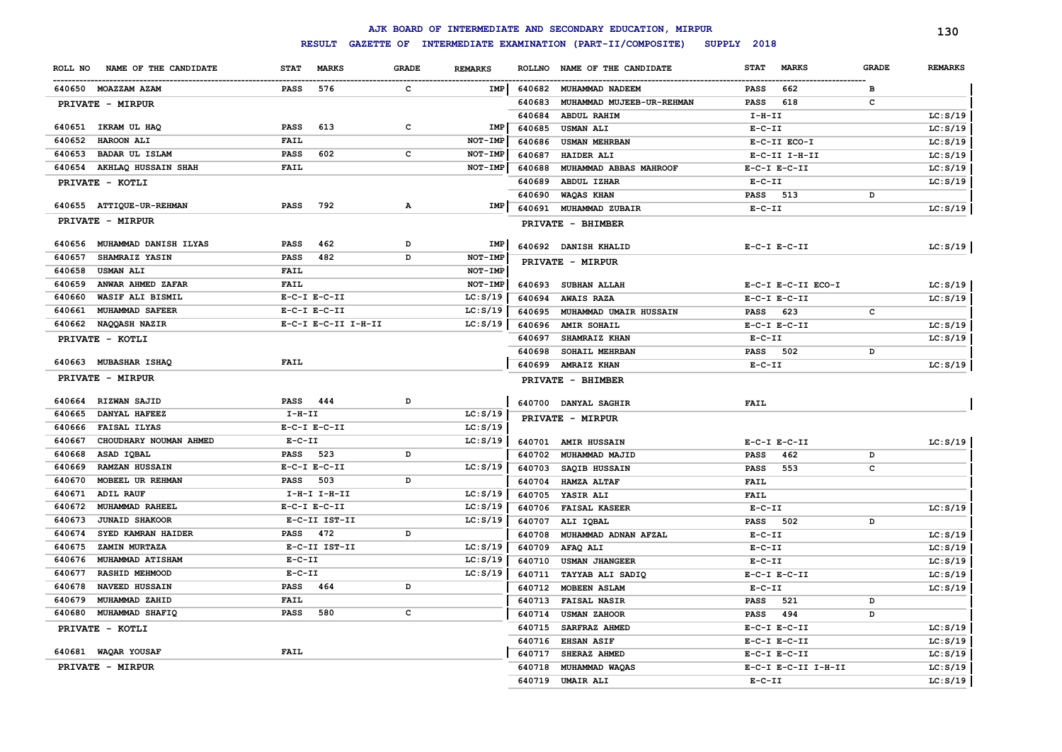|         |                              |              |                                    |              |                |               | AJK BOARD OF INTERMEDIATE AND SECONDARY EDUCATION, MIRPUR |              |                     |              | 130            |
|---------|------------------------------|--------------|------------------------------------|--------------|----------------|---------------|-----------------------------------------------------------|--------------|---------------------|--------------|----------------|
|         |                              |              | <b>RESULT</b><br><b>GAZETTE OF</b> |              |                |               | INTERMEDIATE EXAMINATION (PART-II/COMPOSITE)              | SUPPLY 2018  |                     |              |                |
| ROLL NO | NAME OF THE CANDIDATE        | <b>STAT</b>  | <b>MARKS</b>                       | <b>GRADE</b> | <b>REMARKS</b> | <b>ROLLNO</b> | NAME OF THE CANDIDATE                                     | <b>STAT</b>  | <b>MARKS</b>        | <b>GRADE</b> | <b>REMARKS</b> |
|         | 640650 MOAZZAM AZAM          | <b>PASS</b>  | 576                                | $\mathbf{c}$ | IMP            | 640682        | <b>MUHAMMAD NADEEM</b>                                    | <b>PASS</b>  | 662                 | в            |                |
|         | PRIVATE - MIRPUR             |              |                                    |              |                | 640683        | MUHAMMAD MUJEEB-UR-REHMAN                                 | <b>PASS</b>  | 618                 | c            |                |
|         |                              |              |                                    |              |                | 640684        | ABDUL RAHIM                                               | $I-H-II$     |                     |              | LC: S/19       |
|         | 640651 IKRAM UL HAQ          | PASS         | 613                                | с            | IMP            | 640685        | <b>USMAN ALI</b>                                          | $E-C-II$     |                     |              | LC: S/19       |
| 640652  | HAROON ALI                   | <b>FAIL</b>  |                                    |              | NOT-IMP        | 640686        | <b>USMAN MEHRBAN</b>                                      |              | E-C-II ECO-I        |              | LC: S/19       |
| 640653  | <b>BADAR UL ISLAM</b>        | PASS         | 602                                | с            | NOT-IMP        | 640687        | HAIDER ALI                                                |              | E-C-II I-H-II       |              | LC: S/19       |
|         | 640654 AKHLAQ HUSSAIN SHAH   | <b>FAIL</b>  |                                    |              | NOT-IMP        | 640688        | MUHAMMAD ABBAS MAHROOF                                    |              | $E-C-I$ $E-C-II$    |              | LC: S/19       |
|         | PRIVATE - KOTLI              |              |                                    |              |                | 640689        | <b>ABDUL IZHAR</b>                                        | $E - C - II$ |                     |              | LC: S/19       |
|         |                              |              |                                    |              |                | 640690        | WAQAS KHAN                                                | <b>PASS</b>  | 513                 | D            |                |
|         | 640655 ATTIQUE-UR-REHMAN     | PASS         | 792                                | Α            | IMP            | 640691        | MUHAMMAD ZUBAIR                                           | $E-C-II$     |                     |              | LC: S/19       |
|         | PRIVATE - MIRPUR             |              |                                    |              |                |               | PRIVATE - BHIMBER                                         |              |                     |              |                |
|         | 640656 MUHAMMAD DANISH ILYAS | PASS         | 462                                | D            | IMP            |               | 640692 DANISH KHALID                                      |              | $E-C-I$ $E-C-II$    |              | LC: S/19       |
| 640657  | SHAMRAIZ YASIN               | PASS         | 482                                | D            | NOT-IMP        |               | PRIVATE - MIRPUR                                          |              |                     |              |                |
| 640658  | <b>USMAN ALI</b>             | <b>FAIL</b>  |                                    |              | NOT-IMP        |               |                                                           |              |                     |              |                |
| 640659  | ANWAR AHMED ZAFAR            | FAIL         |                                    |              | NOT-IMP        | 640693        | SUBHAN ALLAH                                              |              | E-C-I E-C-II ECO-I  |              | LC: S/19       |
| 640660  | WASIF ALI BISMIL             |              | $E-C-I$ $E-C-II$                   |              | LC: S/19       | 640694        | <b>AWAIS RAZA</b>                                         |              | $E-C-I$ $E-C-II$    |              | LC: S/19       |
| 640661  | MUHAMMAD SAFEER              |              | $E-C-I$ $E-C-II$                   |              | LC: S/19       | 640695        | MUHAMMAD UMAIR HUSSAIN                                    | <b>PASS</b>  | 623                 | с            |                |
| 640662  | NAQQASH NAZIR                |              | E-C-I E-C-II I-H-II                |              | LC: S/19       | 640696        | <b>AMIR SOHAIL</b>                                        |              | $E-C-I$ $E-C-II$    |              | LC: S/19       |
|         | PRIVATE - KOTLI              |              |                                    |              |                | 640697        | SHAMRAIZ KHAN                                             | $E-C-II$     |                     |              | LC: S/19       |
|         |                              |              |                                    |              |                | 640698        | SOHAIL MEHRBAN                                            | <b>PASS</b>  | 502                 | D            |                |
| 640663  | <b>MUBASHAR ISHAQ</b>        | <b>FAIL</b>  |                                    |              |                | 640699        | <b>AMRAIZ KHAN</b>                                        | $E-C-II$     |                     |              | LC: S/19       |
|         | PRIVATE - MIRPUR             |              |                                    |              |                |               | PRIVATE - BHIMBER                                         |              |                     |              |                |
| 640664  | <b>RIZWAN SAJID</b>          | PASS         | 444                                | D            |                |               | 640700 DANYAL SAGHIR                                      | <b>FAIL</b>  |                     |              |                |
| 640665  | <b>DANYAL HAFEEZ</b>         | $I-H-TI$     |                                    |              | LC: S/19       |               | PRIVATE - MIRPUR                                          |              |                     |              |                |
| 640666  | <b>FAISAL ILYAS</b>          |              | $E-C-I$ $E-C-II$                   |              | LC: S/19       |               |                                                           |              |                     |              |                |
| 640667  | CHOUDHARY NOUMAN AHMED       | $E-C-II$     |                                    |              | LC: S/19       |               | 640701 AMIR HUSSAIN                                       |              | $E-C-I$ $E-C-II$    |              | LC: S/19       |
| 640668  | ASAD IQBAL                   | <b>PASS</b>  | 523                                | D            |                | 640702        | MUHAMMAD MAJID                                            | <b>PASS</b>  | 462                 | D            |                |
| 640669  | <b>RAMZAN HUSSAIN</b>        |              | $E-C-I$ $E-C-II$                   |              | LC: S/19       | 640703        | SAQIB HUSSAIN                                             | <b>PASS</b>  | 553                 | c            |                |
| 640670  | MOBEEL UR REHMAN             | PASS         | 503                                | D            |                | 640704        | HAMZA ALTAF                                               | <b>FAIL</b>  |                     |              |                |
| 640671  | ADIL RAUF                    |              | $I-H-I$ $I-H-II$                   |              | LC: S/19       | 640705        | YASIR ALI                                                 | <b>FAIL</b>  |                     |              |                |
| 640672  | MUHAMMAD RAHEEL              |              | $E-C-I$ $E-C-II$                   |              | LC: S/19       | 640706        | <b>FAISAL KASEER</b>                                      | $E - C - II$ |                     |              | LC: S/19       |
| 640673  | <b>JUNAID SHAKOOR</b>        |              | E-C-II IST-II                      |              | LC: S/19       | 640707        | ALI IQBAL                                                 | <b>PASS</b>  | 502                 | D            |                |
| 640674  | SYED KAMRAN HAIDER           | PASS         | 472                                | D            |                | 640708        | MUHAMMAD ADNAN AFZAL                                      | $E-C-II$     |                     |              | LC: S/19       |
| 640675  | ZAMIN MURTAZA                |              | E-C-II IST-II                      |              | LC: S/19       | 640709        | AFAQ ALI                                                  | $E-C-II$     |                     |              | LC: S/19       |
| 640676  | MUHAMMAD ATISHAM             | $E - C - II$ |                                    |              | LC: S/19       | 640710        | <b>USMAN JHANGEER</b>                                     | $E - C - II$ |                     |              | LC: S/19       |
| 640677  | RASHID MEHMOOD               | $E - C - II$ |                                    |              | LC: S/19       | 640711        | TAYYAB ALI SADIQ                                          |              | $E-C-I$ $E-C-II$    |              | LC: S/19       |
| 640678  | NAVEED HUSSAIN               | <b>PASS</b>  | 464                                | D            |                | 640712        | MOBEEN ASLAM                                              | $E-C-II$     |                     |              | LC: S/19       |
| 640679  | MUHAMMAD ZAHID               | <b>FAIL</b>  |                                    |              |                | 640713        | <b>FAISAL NASIR</b>                                       | <b>PASS</b>  | 521                 | D            |                |
| 640680  | MUHAMMAD SHAFIQ              | PASS         | 580                                | c            |                | 640714        | <b>USMAN ZAHOOR</b>                                       | <b>PASS</b>  | 494                 | D            |                |
|         | PRIVATE - KOTLI              |              |                                    |              |                | 640715        | SARFRAZ AHMED                                             |              | $E-C-I$ $E-C-II$    |              | LC: S/19       |
|         |                              |              |                                    |              |                | 640716        | <b>EHSAN ASIF</b>                                         |              | $E-C-I$ $E-C-II$    |              | LC: S/19       |
|         | 640681 WAQAR YOUSAF          | <b>FAIL</b>  |                                    |              |                | 640717        | SHERAZ AHMED                                              |              | $E-C-I$ $E-C-II$    |              | LC: S/19       |
|         | PRIVATE - MIRPUR             |              |                                    |              |                | 640718        | MUHAMMAD WAQAS                                            |              | E-C-I E-C-II I-H-II |              | LC: S/19       |
|         |                              |              |                                    |              |                | 640719        | <b>UMAIR ALI</b>                                          | $E - C - II$ |                     |              | LC: S/19       |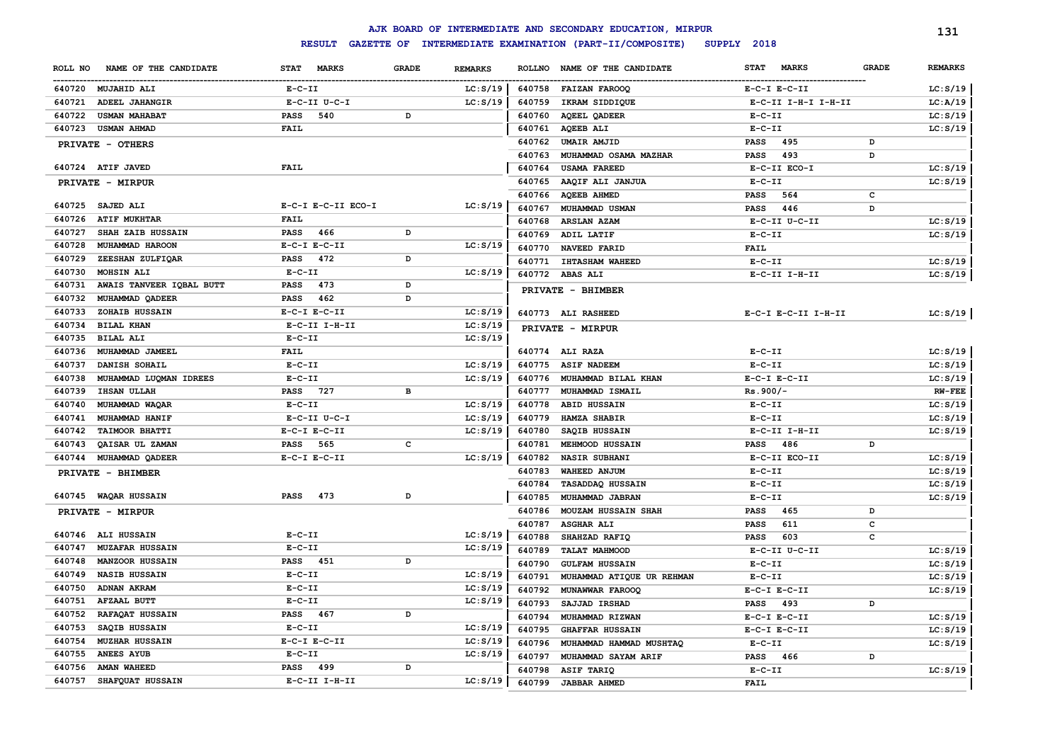|                                    |                             |              |                |               | AJK BOARD OF INTERMEDIATE AND SECONDARY EDUCATION, MIRPUR |                             |              | 131            |
|------------------------------------|-----------------------------|--------------|----------------|---------------|-----------------------------------------------------------|-----------------------------|--------------|----------------|
|                                    | <b>RESULT</b>               |              |                |               | GAZETTE OF INTERMEDIATE EXAMINATION (PART-II/COMPOSITE)   | SUPPLY 2018                 |              |                |
| ROLL NO<br>NAME OF THE CANDIDATE   | <b>STAT</b><br><b>MARKS</b> | <b>GRADE</b> | <b>REMARKS</b> | <b>ROLLNO</b> | NAME OF THE CANDIDATE                                     | <b>STAT</b><br><b>MARKS</b> | <b>GRADE</b> | <b>REMARKS</b> |
| 640720 MUJAHID ALI                 | $E-C-II$                    |              | LC: S/19       |               | 640758 FAIZAN FAROOQ                                      | $E-C-I$ $E-C-II$            |              | LC: S/19       |
| ADEEL JAHANGIR<br>640721           | $E-C-II$ $U-C-I$            |              | LC: S/19       | 640759        | IKRAM SIDDIQUE                                            | E-C-II I-H-I I-H-II         |              | LC: A/19       |
| 640722<br><b>USMAN MAHABAT</b>     | 540<br><b>PASS</b>          | D            |                | 640760        | <b>AQEEL QADEER</b>                                       | $E- C- II$                  |              | LC: S/19       |
| 640723<br><b>USMAN AHMAD</b>       | <b>FAIL</b>                 |              |                | 640761        | <b>AQEEB ALI</b>                                          | $E-C-II$                    |              | LC: S/19       |
| PRIVATE - OTHERS                   |                             |              |                | 640762        | <b>UMAIR AMJID</b>                                        | 495<br><b>PASS</b>          | D            |                |
|                                    |                             |              |                | 640763        | MUHAMMAD OSAMA MAZHAR                                     | 493<br><b>PASS</b>          | D            |                |
| 640724 ATIF JAVED                  | FAIL                        |              |                | 640764        | <b>USAMA FAREED</b>                                       | E-C-II ECO-I                |              | LC: S/19       |
| PRIVATE - MIRPUR                   |                             |              |                | 640765        | AAQIF ALI JANJUA                                          | $E - C - II$                |              | LC: S/19       |
|                                    |                             |              |                | 640766        | <b>AQEEB AHMED</b>                                        | 564<br><b>PASS</b>          | c            |                |
| 640725<br><b>SAJED ALI</b>         | E-C-I E-C-II ECO-I          |              | LC: S/19       | 640767        | MUHAMMAD USMAN                                            | 446<br><b>PASS</b>          | D            |                |
| <b>ATIF MUKHTAR</b><br>640726      | FAIL                        |              |                | 640768        | <b>ARSLAN AZAM</b>                                        | E-C-II U-C-II               |              | LC: S/19       |
| SHAH ZAIB HUSSAIN<br>640727        | <b>PASS</b><br>466          | D            |                | 640769        | ADIL LATIF                                                | $E-C-II$                    |              | LC: S/19       |
| 640728<br>MUHAMMAD HAROON          | $E-C-I$ $E-C-II$            |              | LC: S/19       | 640770        | NAVEED FARID                                              | <b>FAIL</b>                 |              |                |
| ZEESHAN ZULFIQAR<br>640729         | 472<br><b>PASS</b>          | D            |                | 640771        | <b>IHTASHAM WAHEED</b>                                    | $E-C-II$                    |              | LC: S/19       |
| MOHSIN ALI<br>640730               | $E-C-II$                    |              | LC: S/19       |               | 640772 ABAS ALI                                           | E-C-II I-H-II               |              | LC: S/19       |
| 640731<br>AWAIS TANVEER IQBAL BUTT | 473<br><b>PASS</b>          | D            |                |               | PRIVATE - BHIMBER                                         |                             |              |                |
| 640732<br>MUHAMMAD QADEER          | 462<br><b>PASS</b>          | D            |                |               |                                                           |                             |              |                |
| 640733<br>ZOHAIB HUSSAIN           | $E-C-I$ $E-C-II$            |              | LC: S/19       |               | 640773 ALI RASHEED                                        | E-C-I E-C-II I-H-II         |              | LC: S/19       |
| 640734<br><b>BILAL KHAN</b>        | E-C-II I-H-II               |              | LC: S/19       |               | PRIVATE - MIRPUR                                          |                             |              |                |
| 640735<br><b>BILAL ALI</b>         | $E-C-II$                    |              | LC: S/19       |               |                                                           |                             |              |                |
| 640736<br>MUHAMMAD JAMEEL          | FAIL                        |              |                |               | 640774 ALI RAZA                                           | $E - C - II$                |              | LC: S/19       |
| 640737<br>DANISH SOHAIL            | $E-C-II$                    |              | LC: S/19       | 640775        | <b>ASIF NADEEM</b>                                        | $E-C-II$                    |              | LC: S/19       |
| 640738<br>MUHAMMAD LUQMAN IDREES   | $E-C-II$                    |              | LC: S/19       | 640776        | MUHAMMAD BILAL KHAN                                       | $E-C-I$ $E-C-II$            |              | LC: S/19       |
| 640739<br><b>IHSAN ULLAH</b>       | 727<br>PASS                 | в            |                | 640777        | MUHAMMAD ISMAIL                                           | $Rs.900/-$                  |              | <b>RW-FEE</b>  |
| 640740<br>MUHAMMAD WAQAR           | $E-C-II$                    |              | LC: S/19       | 640778        | <b>ABID HUSSAIN</b>                                       | $E-C-II$                    |              | LC: S/19       |
| 640741<br>MUHAMMAD HANIF           | E-C-II U-C-I                |              | LC: S/19       | 640779        | <b>HAMZA SHABIR</b>                                       | $E-C-II$                    |              | LC: S/19       |
| 640742<br><b>TAIMOOR BHATTI</b>    | $E-C-I$ $E-C-II$            |              | LC: S/19       | 640780        | SAQIB HUSSAIN                                             | $E-C-II$ I-H-II             |              | LC: S/19       |
| 640743<br>QAISAR UL ZAMAN          | 565<br><b>PASS</b>          | c            |                | 640781        | <b>MEHMOOD HUSSAIN</b>                                    | 486<br><b>PASS</b>          | D            |                |
| 640744<br>MUHAMMAD QADEER          | $E-C-I$ $E-C-II$            |              | LC: S/19       | 640782        | <b>NASIR SUBHANI</b>                                      | E-C-II ECO-II               |              | LC: S/19       |
| PRIVATE - BHIMBER                  |                             |              |                | 640783        | WAHEED ANJUM                                              | $E- C- II$                  |              | LC: S/19       |
|                                    |                             |              |                | 640784        | TASADDAQ HUSSAIN                                          | $E- C- II$                  |              | LC: S/19       |
| 640745 WAQAR HUSSAIN               | <b>PASS</b><br>473          | D            |                | 640785        | MUHAMMAD JABRAN                                           | $E- C- II$                  |              | LC: S/19       |
| PRIVATE - MIRPUR                   |                             |              |                | 640786        | MOUZAM HUSSAIN SHAH                                       | 465<br>PASS                 | D            |                |
|                                    |                             |              |                | 640787        | <b>ASGHAR ALI</b>                                         | 611<br><b>PASS</b>          | с            |                |
| 640746 ALI HUSSAIN                 | $E-C-II$                    |              | LC: S/19       | 640788        | SHAHZAD RAFIQ                                             | 603<br>PASS                 | c            |                |
| <b>MUZAFAR HUSSAIN</b><br>640747   | $E-C-II$                    |              | LC: S/19       | 640789        | <b>TALAT MAHMOOD</b>                                      | E-C-II U-C-II               |              | LC: S/19       |
| <b>MANZOOR HUSSAIN</b><br>640748   | PASS 451                    | D            |                | 640790        | <b>GULFAM HUSSAIN</b>                                     | $E - C - II$                |              | LC: S/19       |
| 640749<br><b>NASIB HUSSAIN</b>     | $E-C-II$                    |              | LC: S/19       | 640791        | MUHAMMAD ATIQUE UR REHMAN                                 | $E - C - II$                |              | LC: S/19       |
| 640750<br><b>ADNAN AKRAM</b>       | $E-C-II$                    |              | LC: S/19       | 640792        | MUNAWWAR FAROOQ                                           | $E-C-I$ $E-C-II$            |              | LC: S/19       |
| 640751<br>AFZAAL BUTT              | $E-C-II$                    |              | LC: S/19       | 640793        | SAJJAD IRSHAD                                             | 493<br><b>PASS</b>          | D            |                |
| RAFAQAT HUSSAIN<br>640752          | <b>PASS</b><br>467          | D            |                | 640794        | MUHAMMAD RIZWAN                                           | $E-C-I$ $E-C-II$            |              | LC: S/19       |
| SAQIB HUSSAIN<br>640753            | $E-C-II$                    |              | LC: S/19       | 640795        | <b>GHAFFAR HUSSAIN</b>                                    | $E-C-I$ $E-C-II$            |              | LC: S/19       |
| 640754<br><b>MUZHAR HUSSAIN</b>    | $E-C-I$ $E-C-II$            |              | LC: S/19       | 640796        | MUHAMMAD HAMMAD MUSHTAQ                                   | $E-C-II$                    |              | LC: S/19       |
| 640755<br><b>ANEES AYUB</b>        | $E-C-II$                    |              | LC: S/19       | 640797        | MUHAMMAD SAYAM ARIF                                       | <b>PASS</b><br>466          | D            |                |
| 640756<br><b>AMAN WAHEED</b>       | PASS 499                    | <sub>D</sub> |                | 640798        | ASIF TARIQ                                                | $E-C-II$                    |              | LC: S/19       |
| 640757 SHAFQUAT HUSSAIN            | $E-C-II$ I-H-II             |              | LC: S/19       | 640799        | <b>JABBAR AHMED</b>                                       | FAIL                        |              |                |
|                                    |                             |              |                |               |                                                           |                             |              |                |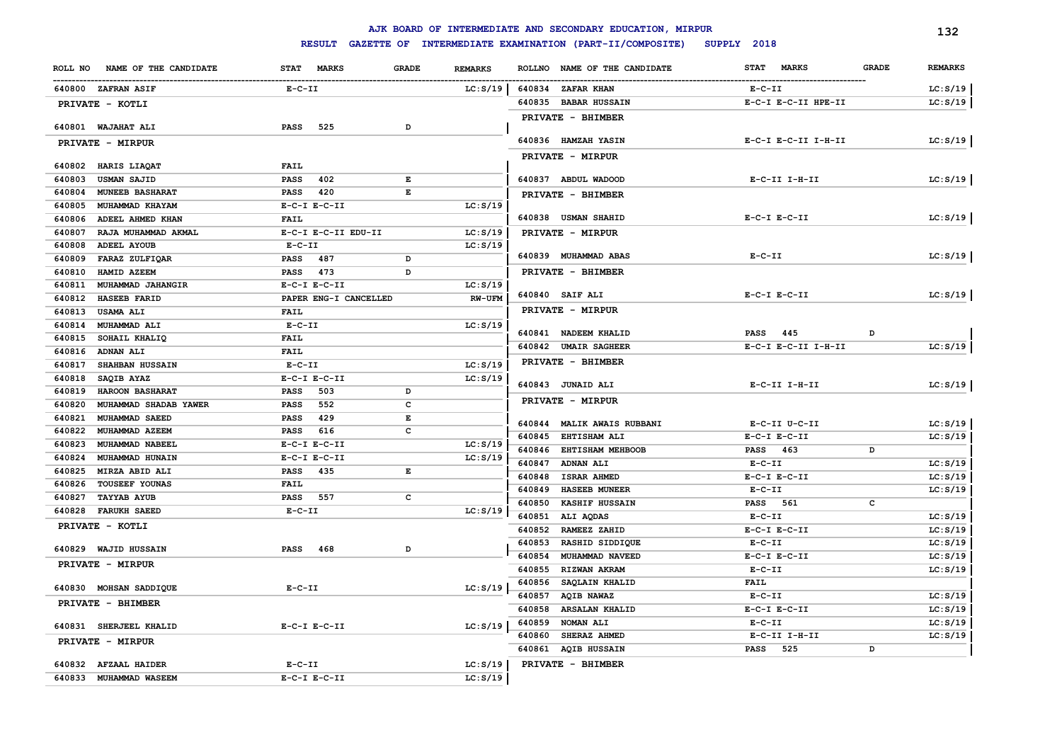|                  |                                     |              |                       |              |                |        | AJK BOARD OF INTERMEDIATE AND SECONDARY EDUCATION, MIRPUR |                             |              | 132            |
|------------------|-------------------------------------|--------------|-----------------------|--------------|----------------|--------|-----------------------------------------------------------|-----------------------------|--------------|----------------|
|                  |                                     |              | <b>RESULT</b>         |              |                |        | GAZETTE OF INTERMEDIATE EXAMINATION (PART-II/COMPOSITE)   | SUPPLY 2018                 |              |                |
|                  | ROLL NO NAME OF THE CANDIDATE       |              | STAT MARKS            | <b>GRADE</b> | <b>REMARKS</b> |        | ROLLNO NAME OF THE CANDIDATE                              | <b>MARKS</b><br><b>STAT</b> | <b>GRADE</b> | <b>REMARKS</b> |
|                  | 640800 ZAFRAN ASIF                  | $E-C-II$     |                       |              | LC: S/19       |        | 640834 ZAFAR KHAN                                         | $E- C- II$                  |              | LC: S/19       |
|                  | PRIVATE - KOTLI                     |              |                       |              |                |        | 640835 BABAR HUSSAIN                                      | E-C-I E-C-II HPE-II         |              | LC: S/19       |
|                  |                                     |              |                       |              |                |        | PRIVATE - BHIMBER                                         |                             |              |                |
|                  | 640801 WAJAHAT ALI                  | <b>PASS</b>  | 525                   | D            |                |        |                                                           |                             |              |                |
|                  | PRIVATE - MIRPUR                    |              |                       |              |                |        | 640836 HAMZAH YASIN                                       | E-C-I E-C-II I-H-II         |              | LC: S/19       |
|                  |                                     |              |                       |              |                |        | PRIVATE - MIRPUR                                          |                             |              |                |
|                  | 640802 HARIS LIAQAT                 | FAIL         |                       |              |                |        |                                                           |                             |              |                |
| 640803           | <b>USMAN SAJID</b>                  | <b>PASS</b>  | 402                   | E<br>E       |                |        | 640837 ABDUL WADOOD                                       | E-C-II I-H-II               |              | LC: S/19       |
| 640804           | <b>MUNEEB BASHARAT</b>              | PASS         | 420                   |              |                |        | PRIVATE - BHIMBER                                         |                             |              |                |
| 640805<br>640806 | MUHAMMAD KHAYAM<br>ADEEL AHMED KHAN | <b>FAIL</b>  | $E-C-I$ $E-C-II$      |              | LC: S/19       |        | 640838 USMAN SHAHID                                       | $E-C-I$ $E-C-II$            |              | LC: S/19       |
| 640807           | RAJA MUHAMMAD AKMAL                 |              | E-C-I E-C-II EDU-II   |              | LC: S/19       |        |                                                           |                             |              |                |
| 640808           | ADEEL AYOUB                         | $E-C-II$     |                       |              | LC: S/19       |        | PRIVATE - MIRPUR                                          |                             |              |                |
| 640809           | FARAZ ZULFIQAR                      | PASS         | 487                   | D            |                |        | 640839 MUHAMMAD ABAS                                      | $E-C-II$                    |              | LC: S/19       |
| 640810           | HAMID AZEEM                         | <b>PASS</b>  | 473                   | D            |                |        | PRIVATE - BHIMBER                                         |                             |              |                |
| 640811           | MUHAMMAD JAHANGIR                   |              | $E-C-I$ $E-C-II$      |              | LC: S/19       |        |                                                           |                             |              |                |
| 640812           | <b>HASEEB FARID</b>                 |              | PAPER ENG-I CANCELLED |              | <b>RW-UFM</b>  |        | 640840 SAIF ALI                                           | $E-C-I$ $E-C-II$            |              | LC: S/19       |
| 640813           | <b>USAMA ALI</b>                    | <b>FAIL</b>  |                       |              |                |        | PRIVATE - MIRPUR                                          |                             |              |                |
| 640814           | MUHAMMAD ALI                        | $E-C-II$     |                       |              | LC: S/19       |        |                                                           |                             |              |                |
| 640815           | SOHAIL KHALIQ                       | <b>FAIL</b>  |                       |              |                |        | 640841 NADEEM KHALID                                      | <b>PASS</b><br>445          | D            |                |
| 640816           | <b>ADNAN ALI</b>                    | <b>FAIL</b>  |                       |              |                |        | 640842 UMAIR SAGHEER                                      | E-C-I E-C-II I-H-II         |              | LC: S/19       |
| 640817           | SHAHBAN HUSSAIN                     | $E-C-II$     |                       |              | LC: S/19       |        | PRIVATE - BHIMBER                                         |                             |              |                |
| 640818           | SAQIB AYAZ                          |              | $E-C-I$ $E-C-II$      |              | LC: S/19       |        |                                                           |                             |              |                |
| 640819           | HAROON BASHARAT                     | <b>PASS</b>  | 503                   | D            |                |        | 640843 JUNAID ALI                                         | E-C-II I-H-II               |              | LC: S/19       |
| 640820           | MUHAMMAD SHADAB YAWER               | <b>PASS</b>  | 552                   | $\mathbf c$  |                |        | PRIVATE - MIRPUR                                          |                             |              |                |
| 640821           | MUHAMMAD SAEED                      | <b>PASS</b>  | 429                   | $\mathbf E$  |                |        | 640844 MALIK AWAIS RUBBANI                                | E-C-II U-C-II               |              | LC: S/19       |
| 640822           | MUHAMMAD AZEEM                      | <b>PASS</b>  | 616                   | c            |                | 640845 | <b>EHTISHAM ALI</b>                                       | $E-C-I$ $E-C-II$            |              | LC: S/19       |
| 640823           | MUHAMMAD NABEEL                     |              | $E-C-I$ $E-C-II$      |              | LC: S/19       | 640846 | <b>EHTISHAM MEHBOOB</b>                                   | PASS 463                    | D            |                |
| 640824           | <b>MUHAMMAD HUNAIN</b>              |              | $E-C-I$ $E-C-II$      |              | LC: S/19       | 640847 | <b>ADNAN ALI</b>                                          | $E-C-II$                    |              | LC: S/19       |
| 640825           | MIRZA ABID ALI                      | <b>PASS</b>  | 435                   | E            |                | 640848 | <b>ISRAR AHMED</b>                                        | $E-C-I$ $E-C-II$            |              | LC: S/19       |
| 640826           | <b>TOUSEEF YOUNAS</b>               | <b>FAIL</b>  |                       |              |                | 640849 | <b>HASEEB MUNEER</b>                                      | $E - C - II$                |              | LC: S/19       |
| 640827           | <b>TAYYAB AYUB</b>                  | <b>PASS</b>  | 557                   | c            |                | 640850 | <b>KASHIF HUSSAIN</b>                                     | <b>PASS</b><br>561          | c            |                |
| 640828           | <b>FARUKH SAEED</b>                 | $E - C - II$ |                       |              | LC: S/19       | 640851 | ALI AQDAS                                                 | $E-C-II$                    |              | LC: S/19       |
|                  | PRIVATE - KOTLI                     |              |                       |              |                | 640852 | RAMEEZ ZAHID                                              | $E-C-I$ $E-C-II$            |              | LC: S/19       |
|                  |                                     |              |                       |              |                | 640853 | RASHID SIDDIQUE                                           | $E- C- II$                  |              | LC: S/19       |
|                  | 640829 WAJID HUSSAIN                | PASS         | 468                   | D            |                | 640854 | MUHAMMAD NAVEED                                           | $E-C-I$ $E-C-II$            |              | LC: S/19       |
|                  | PRIVATE - MIRPUR                    |              |                       |              |                | 640855 | RIZWAN AKRAM                                              | $E-C-II$                    |              | LC: S/19       |
|                  | 640830 MOHSAN SADDIQUE              | $E - C - II$ |                       |              | LC: S/19       | 640856 | SAQLAIN KHALID                                            | FAIL                        |              |                |
|                  |                                     |              |                       |              |                | 640857 | <b>AQIB NAWAZ</b>                                         | $E-C-II$                    |              | LC: S/19       |
|                  | PRIVATE - BHIMBER                   |              |                       |              |                | 640858 | <b>ARSALAN KHALID</b>                                     | $E-C-I$ $E-C-II$            |              | LC: S/19       |
|                  | 640831 SHERJEEL KHALID              |              | $E-C-I$ $E-C-II$      |              | LC: S/19       | 640859 | <b>NOMAN ALI</b>                                          | $E-C-II$                    |              | LC: S/19       |
|                  | PRIVATE - MIRPUR                    |              |                       |              |                | 640860 | SHERAZ AHMED                                              | E-C-II I-H-II               |              | LC: S/19       |
|                  |                                     |              |                       |              |                |        | 640861 AQIB HUSSAIN                                       | PASS 525                    | D            |                |
|                  | 640832 AFZAAL HAIDER                | $E-C-II$     |                       |              | LC: S/19       |        | PRIVATE - BHIMBER                                         |                             |              |                |
|                  | 640833 MUHAMMAD WASEEM              |              | $E-C-I$ $E-C-II$      |              | LC: S/19       |        |                                                           |                             |              |                |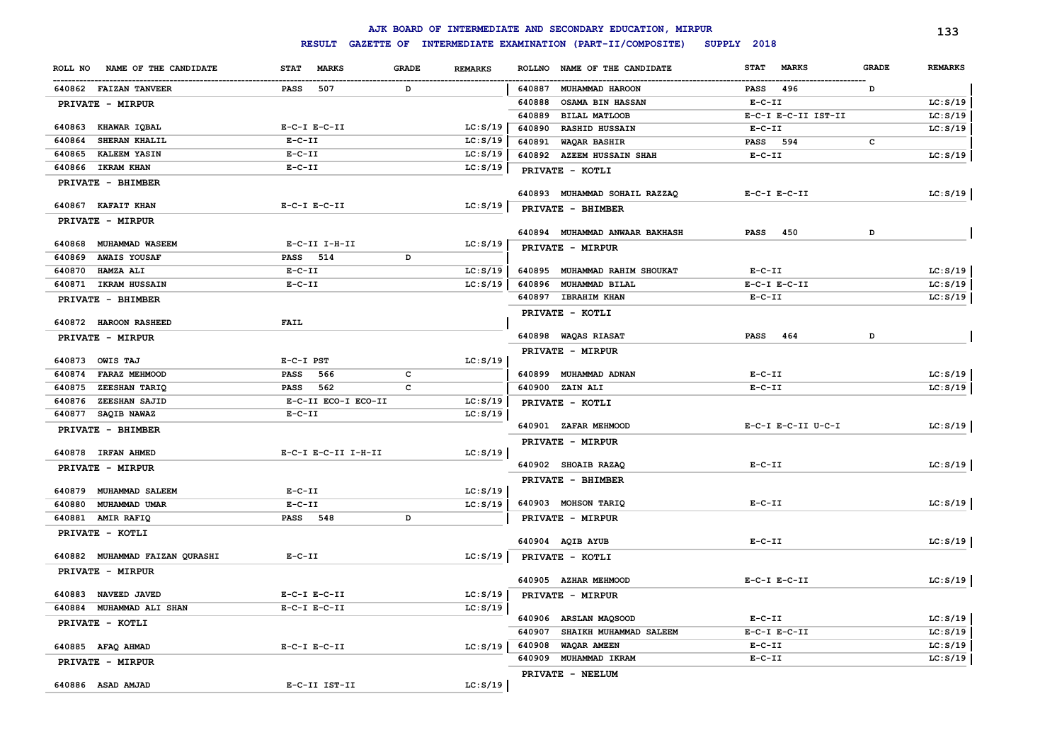|                                |                     |       |                |        | AJK BOARD OF INTERMEDIATE AND SECONDARY EDUCATION, MIRPUR |                             |              | 133            |
|--------------------------------|---------------------|-------|----------------|--------|-----------------------------------------------------------|-----------------------------|--------------|----------------|
|                                | <b>RESULT</b>       |       |                |        | GAZETTE OF INTERMEDIATE EXAMINATION (PART-II/COMPOSITE)   | SUPPLY 2018                 |              |                |
| ROLL NO NAME OF THE CANDIDATE  | STAT MARKS          | GRADE | <b>REMARKS</b> |        | ROLLNO NAME OF THE CANDIDATE                              | <b>MARKS</b><br><b>STAT</b> | <b>GRADE</b> | <b>REMARKS</b> |
| 640862 FAIZAN TANVEER          | 507<br>PASS         | D     |                | 640887 | <b>MUHAMMAD HAROON</b>                                    | 496<br>PASS                 | D            |                |
| PRIVATE - MIRPUR               |                     |       |                | 640888 | <b>OSAMA BIN HASSAN</b>                                   | $E- C- II$                  |              | LC: S/19       |
|                                |                     |       |                | 640889 | <b>BILAL MATLOOB</b>                                      | E-C-I E-C-II IST-II         |              | LC: S/19       |
| 640863 KHAWAR IQBAL            | $E-C-I$ $E-C-II$    |       | LC: S/19       | 640890 | <b>RASHID HUSSAIN</b>                                     | $E- C- II$                  |              | LC: S/19       |
| SHERAN KHALIL<br>640864        | $E-C-II$            |       | LC: S/19       | 640891 | <b>WAQAR BASHIR</b>                                       | <b>PASS</b> 594             | c            |                |
| <b>KALEEM YASIN</b><br>640865  | $E-C-II$            |       | LC: S/19       |        | 640892 AZEEM HUSSAIN SHAH                                 | $E- C- II$                  |              | LC: S/19       |
| 640866 IKRAM KHAN              | $E-C-II$            |       | LC: S/19       |        | PRIVATE - KOTLI                                           |                             |              |                |
| PRIVATE - BHIMBER              |                     |       |                |        |                                                           |                             |              |                |
| 640867 KAFAIT KHAN             | $E-C-I$ $E-C-II$    |       | LC: S/19       |        | 640893 MUHAMMAD SOHAIL RAZZAQ                             | $E-C-I$ $E-C-II$            |              | LC: S/19       |
| PRIVATE - MIRPUR               |                     |       |                |        | PRIVATE - BHIMBER                                         |                             |              |                |
|                                |                     |       |                |        | 640894 MUHAMMAD ANWAAR BAKHASH                            | 450<br>PASS                 | D            |                |
| 640868 MUHAMMAD WASEEM         | E-C-II I-H-II       |       | LC: S/19       |        | PRIVATE - MIRPUR                                          |                             |              |                |
| <b>AWAIS YOUSAF</b><br>640869  | PASS 514            | D     |                |        |                                                           |                             |              |                |
| 640870<br><b>HAMZA ALI</b>     | $E- C- II$          |       | LC: S/19       | 640895 | <b>MUHAMMAD RAHIM SHOUKAT</b>                             | $E- C- II$                  |              | LC: S/19       |
| 640871 IKRAM HUSSAIN           | $E - C - II$        |       | LC: S/19       |        | 640896 MUHAMMAD BILAL                                     | $E-C-I$ $E-C-II$            |              | LC: S/19       |
| PRIVATE - BHIMBER              |                     |       |                |        | 640897 IBRAHIM KHAN                                       | $E-C-II$                    |              | LC: S/19       |
|                                | <b>FAIL</b>         |       |                |        | PRIVATE - KOTLI                                           |                             |              |                |
| 640872 HAROON RASHEED          |                     |       |                |        | 640898 WAQAS RIASAT                                       | PASS 464                    | D            |                |
| PRIVATE - MIRPUR               |                     |       |                |        |                                                           |                             |              |                |
| 640873 OWIS TAJ                | E-C-I PST           |       | LC: S/19       |        | PRIVATE - MIRPUR                                          |                             |              |                |
| 640874 FARAZ MEHMOOD           | PASS 566            | c     |                |        | 640899 MUHAMMAD ADNAN                                     | $E-C-II$                    |              | LC: S/19       |
| 640875 ZEESHAN TARIQ           | PASS 562            | C     |                |        | 640900 ZAIN ALI                                           | $E-C-II$                    |              | LC: S/19       |
| 640876<br><b>ZEESHAN SAJID</b> | E-C-II ECO-I ECO-II |       | LC: S/19       |        | PRIVATE - KOTLI                                           |                             |              |                |
| 640877 SAQIB NAWAZ             | $E- C- II$          |       | LC: S/19       |        |                                                           |                             |              |                |
| PRIVATE - BHIMBER              |                     |       |                |        | 640901 ZAFAR MEHMOOD                                      | E-C-I E-C-II U-C-I          |              | LC: S/19       |
|                                |                     |       |                |        | PRIVATE - MIRPUR                                          |                             |              |                |
| 640878 IRFAN AHMED             | E-C-I E-C-II I-H-II |       | LC: S/19       |        |                                                           |                             |              |                |
| <b>PRIVATE - MIRPUR</b>        |                     |       |                |        | 640902 SHOAIB RAZAQ                                       | $E- C- II$                  |              | LC: S/19       |
| 640879 MUHAMMAD SALEEM         | $E - C - II$        |       | LC: S/19       |        | PRIVATE - BHIMBER                                         |                             |              |                |
| 640880 MUHAMMAD UMAR           | $E- C- II$          |       | LC: S/19       |        | 640903 MOHSON TARIQ                                       | $E - C - II$                |              | LC: S/19       |
| 640881 AMIR RAFIQ              | PASS 548            | D     |                |        | PRIVATE - MIRPUR                                          |                             |              |                |
| PRIVATE - KOTLI                |                     |       |                |        |                                                           |                             |              |                |
|                                |                     |       |                |        | 640904 AQIB AYUB                                          | $E- C- II$                  |              | LC: S/19       |
| 640882 MUHAMMAD FAIZAN QURASHI | $E- C- II$          |       | LC: S/19       |        | PRIVATE - KOTLI                                           |                             |              |                |
| PRIVATE - MIRPUR               |                     |       |                |        |                                                           |                             |              |                |
|                                |                     |       |                |        | 640905 AZHAR MEHMOOD                                      | $E-C-I$ $E-C-II$            |              | LC: S/19       |
| 640883 NAVEED JAVED            | $E-C-I$ $E-C-II$    |       | LC: S/19       |        | PRIVATE - MIRPUR                                          |                             |              |                |
| 640884 MUHAMMAD ALI SHAN       | $E-C-I$ $E-C-II$    |       | LC: S/19       |        |                                                           |                             |              |                |
| PRIVATE - KOTLI                |                     |       |                |        | 640906 ARSLAN MAQSOOD                                     | $E-C-II$                    |              | LC: S/19       |
|                                |                     |       |                |        | 640907 SHAIKH MUHAMMAD SALEEM                             | $E-C-I$ $E-C-II$            |              | LC: S/19       |
| 640885 AFAQ AHMAD              | $E-C-I$ $E-C-II$    |       | LC: S/19       |        | 640908 WAQAR AMEEN                                        | $E-C-II$                    |              | LC: S/19       |
| <b>PRIVATE - MIRPUR</b>        |                     |       |                |        | 640909 MUHAMMAD IKRAM                                     | $E - C - II$                |              | LC: S/19       |
|                                | E-C-II IST-II       |       |                |        | PRIVATE - NEELUM                                          |                             |              |                |
| 640886 ASAD AMJAD              |                     |       | LC: S/19       |        |                                                           |                             |              |                |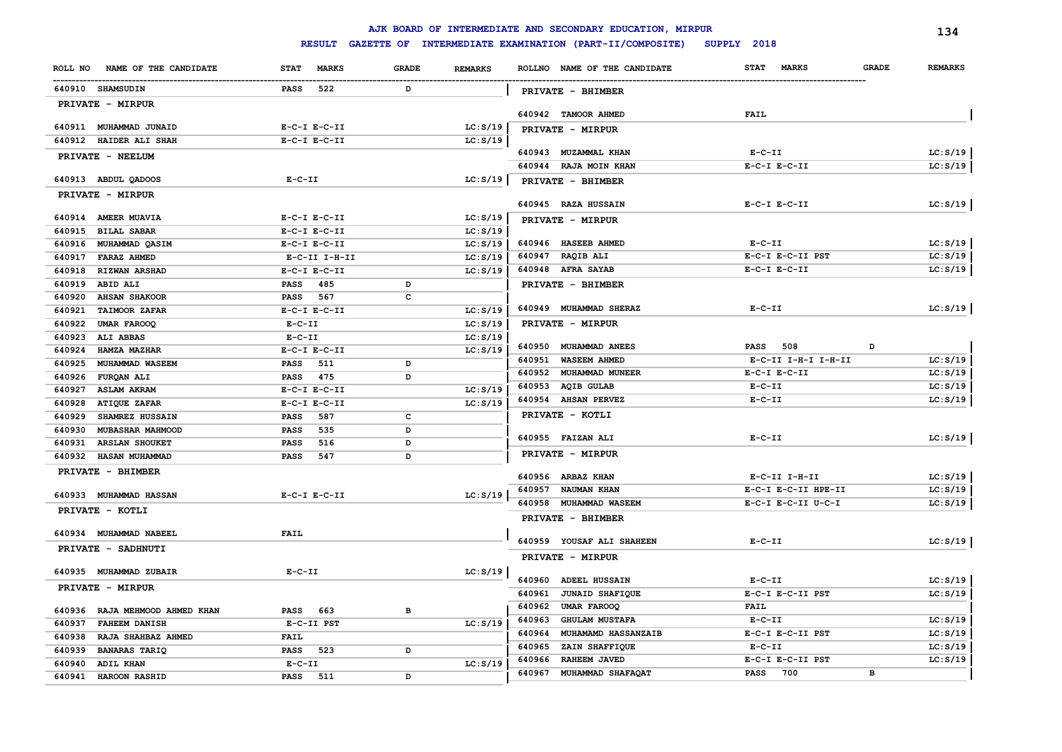|                                  |                             |              |                | AJK BOARD OF INTERMEDIATE AND SECONDARY EDUCATION, MIRPUR |                                             | 134            |
|----------------------------------|-----------------------------|--------------|----------------|-----------------------------------------------------------|---------------------------------------------|----------------|
|                                  | <b>RESULT</b>               |              |                | GAZETTE OF INTERMEDIATE EXAMINATION (PART-II/COMPOSITE)   | SUPPLY 2018                                 |                |
| ROLL NO NAME OF THE CANDIDATE    | <b>MARKS</b><br><b>STAT</b> | <b>GRADE</b> | <b>REMARKS</b> | ROLLNO NAME OF THE CANDIDATE                              | <b>MARKS</b><br><b>GRADE</b><br><b>STAT</b> | <b>REMARKS</b> |
| 640910 SHAMSUDIN                 | 522<br>PASS                 | D            |                | <b>PRIVATE - BHIMBER</b>                                  |                                             |                |
| PRIVATE - MIRPUR                 |                             |              |                |                                                           |                                             |                |
|                                  |                             |              |                | 640942 TAMOOR AHMED                                       | <b>FAIL</b>                                 |                |
| 640911 MUHAMMAD JUNAID           | $E-C-I$ $E-C-II$            |              | LC: S/19       | PRIVATE - MIRPUR                                          |                                             |                |
| 640912 HAIDER ALI SHAH           | $E-C-I$ $E-C-II$            |              | LC: S/19       | 640943 MUZAMMAL KHAN                                      | $E-C-II$                                    | LC: S/19       |
| PRIVATE - NEELUM                 |                             |              |                | 640944 RAJA MOIN KHAN                                     | $E-C-I$ $E-C-II$                            | LC: S/19       |
| 640913 ABDUL QADOOS              | $E- C- II$                  |              | LC: S/19       |                                                           |                                             |                |
| PRIVATE - MIRPUR                 |                             |              |                | PRIVATE - BHIMBER                                         |                                             |                |
|                                  |                             |              |                | 640945 RAZA HUSSAIN                                       | $E-C-I$ $E-C-II$                            | LC: S/19       |
| 640914 AMEER MUAVIA              | $E-C-I$ $E-C-II$            |              | LC: S/19       | PRIVATE - MIRPUR                                          |                                             |                |
| 640915<br><b>BILAL SABAR</b>     | $E-C-I$ $E-C-II$            |              | LC: S/19       |                                                           |                                             |                |
| 640916 MUHAMMAD QASIM            | $E-C-I$ $E-C-II$            |              | LC: S/19       | 640946 HASEEB AHMED                                       | $E-C-II$                                    | LC: S/19       |
| 640917<br><b>FARAZ AHMED</b>     | E-C-II I-H-II               |              | LC: S/19       | 640947 RAQIB ALI                                          | E-C-I E-C-II PST                            | LC: S/19       |
| 640918<br><b>RIZWAN ARSHAD</b>   | $E-C-I$ $E-C-II$            |              | LC: S/19       | 640948 AFRA SAYAB                                         | $E-C-I$ $E-C-II$                            | LC: S/19       |
| 640919<br>ABID ALI               | PASS 485                    | D            |                | PRIVATE - BHIMBER                                         |                                             |                |
| 640920<br><b>AHSAN SHAKOOR</b>   | PASS 567                    | c            |                |                                                           |                                             |                |
| 640921<br><b>TAIMOOR ZAFAR</b>   | $E-C-I$ $E-C-II$            |              | LC: S/19       | 640949 MUHAMMAD SHERAZ                                    | $E-C-II$                                    | LC: S/19       |
| 640922<br><b>UMAR FAROOQ</b>     | $E-C-II$                    |              | LC: S/19       | PRIVATE - MIRPUR                                          |                                             |                |
| 640923<br><b>ALI ABBAS</b>       | $E-C-II$                    |              | LC: S/19       |                                                           |                                             |                |
| 640924<br>HAMZA MAZHAR           | $E-C-I$ $E-C-II$            |              | LC: S/19       | 640950 MUHAMMAD ANEES                                     | <b>PASS</b> 508<br>D                        |                |
| 640925<br><b>MUHAMMAD WASEEM</b> | <b>PASS</b> 511             | D            |                | 640951 WASEEM AHMED                                       | E-C-II I-H-I I-H-II                         | LC: S/19       |
| 640926<br>FURQAN ALI             | PASS 475                    | D            |                | 640952 MUHAMMAD MUNEER                                    | $E-C-I$ $E-C-II$                            | LC: S/19       |
| 640927<br><b>ASLAM AKRAM</b>     | $E-C-I$ $E-C-II$            |              | LC: S/19       | 640953 AQIB GULAB                                         | $E-C-II$                                    | LC: S/19       |
| 640928<br>ATIQUE ZAFAR           | $E-C-I$ $E-C-II$            |              | LC: S/19       | 640954 AHSAN PERVEZ                                       | $E-C-II$                                    | LC: S/19       |
| 640929<br>SHAMREZ HUSSAIN        | 587<br><b>PASS</b>          | $\mathbf c$  |                | PRIVATE - KOTLI                                           |                                             |                |
| 640930<br>MUBASHAR MAHMOOD       | 535<br><b>PASS</b>          | D            |                | 640955 FAIZAN ALI                                         | $E-C-II$                                    | LC: S/19       |
| 640931<br><b>ARSLAN SHOUKET</b>  | 516<br><b>PASS</b>          | D            |                |                                                           |                                             |                |
| 640932<br><b>HASAN MUHAMMAD</b>  | 547<br><b>PASS</b>          | D            |                | <b>PRIVATE - MIRPUR</b>                                   |                                             |                |
| PRIVATE - BHIMBER                |                             |              |                | 640956 ARBAZ KHAN                                         | $E-C-II$ I-H-II                             | LC: S/19       |
|                                  |                             |              |                | 640957 NAUMAN KHAN                                        | E-C-I E-C-II HPE-II                         | LC: S/19       |
| 640933 MUHAMMAD HASSAN           | $E-C-I$ $E-C-II$            |              | LC: S/19       | 640958 MUHAMMAD WASEEM                                    | E-C-I E-C-II U-C-I                          | LC: S/19       |
| PRIVATE - KOTLI                  |                             |              |                | PRIVATE - BHIMBER                                         |                                             |                |
| 640934 MUHAMMAD NABEEL           | <b>FAIL</b>                 |              |                |                                                           |                                             |                |
| PRIVATE - SADHNUTI               |                             |              |                | 640959 YOUSAF ALI SHAHEEN                                 | $E - C - II$                                | LC: S/19       |
|                                  |                             |              |                | <b>PRIVATE - MIRPUR</b>                                   |                                             |                |
| 640935 MUHAMMAD ZUBAIR           | $E-C-II$                    |              | LC: S/19       |                                                           |                                             |                |
| PRIVATE - MIRPUR                 |                             |              |                | 640960 ADEEL HUSSAIN                                      | $E-C-II$                                    | LC: S/19       |
|                                  |                             |              |                | 640961<br><b>JUNAID SHAFIQUE</b>                          | E-C-I E-C-II PST                            | LC: S/19       |
| 640936 RAJA MEHMOOD AHMED KHAN   | 663<br>PASS                 | $\, {\bf B}$ |                | 640962<br>UMAR FAROOQ                                     | FAIL                                        |                |
| 640937<br><b>FAHEEM DANISH</b>   | E-C-II PST                  |              | LC: S/19       | <b>GHULAM MUSTAFA</b><br>640963                           | $E- C- II$                                  | LC: S/19       |
| 640938<br>RAJA SHAHBAZ AHMED     | <b>FAIL</b>                 |              |                | 640964<br><b>MUHAMAMD HASSANZAIB</b>                      | E-C-I E-C-II PST                            | LC: S/19       |
| 640939<br><b>BANARAS TARIQ</b>   | 523<br>PASS                 | D            |                | 640965<br>ZAIN SHAFFIQUE                                  | $E-C-II$                                    | LC: S/19       |
| 640940<br><b>ADIL KHAN</b>       | $E-C-II$                    |              | LC: S/19       | RAHEEM JAVED<br>640966                                    | E-C-I E-C-II PST                            | LC: S/19       |
| 640941<br>HAROON RASHID          | <b>PASS</b><br>511          | D            |                | 640967<br>MUHAMMAD SHAFAQAT                               | <b>PASS</b><br>700<br>в                     |                |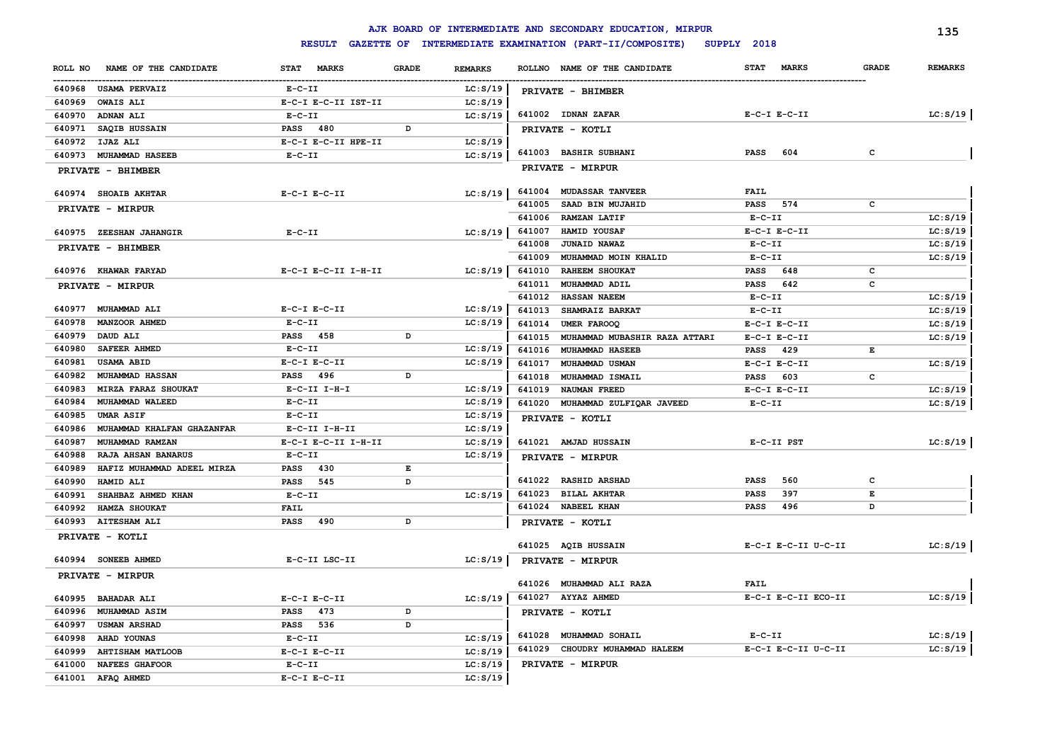|                                      |                     |                    |                | AJK BOARD OF INTERMEDIATE AND SECONDARY EDUCATION, MIRPUR      |                             |              | 135            |
|--------------------------------------|---------------------|--------------------|----------------|----------------------------------------------------------------|-----------------------------|--------------|----------------|
|                                      |                     |                    |                | RESULT GAZETTE OF INTERMEDIATE EXAMINATION (PART-II/COMPOSITE) | SUPPLY 2018                 |              |                |
| NAME OF THE CANDIDATE<br>ROLL NO     | STAT MARKS          | <b>GRADE</b>       | <b>REMARKS</b> | ROLLNO NAME OF THE CANDIDATE                                   | <b>MARKS</b><br><b>STAT</b> | <b>GRADE</b> | <b>REMARKS</b> |
| 640968<br><b>USAMA PERVAIZ</b>       | $E-C-II$            |                    | LC: S/19       | PRIVATE - BHIMBER                                              |                             |              |                |
| 640969<br><b>OWAIS ALI</b>           | E-C-I E-C-II IST-II |                    | LC: S/19       |                                                                |                             |              |                |
| 640970<br><b>ADNAN ALI</b>           | $E - C - II$        |                    | LC: S/19       | 641002 IDNAN ZAFAR                                             | $E-C-I$ $E-C-II$            |              | LC: S/19       |
| SAQIB HUSSAIN<br>640971              | <b>PASS</b> 480     | D                  |                | PRIVATE - KOTLI                                                |                             |              |                |
| 640972<br>IJAZ ALI                   | E-C-I E-C-II HPE-II |                    | LC: S/19       |                                                                |                             |              |                |
| 640973<br><b>MUHAMMAD HASEEB</b>     | $E - C - II$        |                    | LC: S/19       | 641003 BASHIR SUBHANI                                          | 604<br>PASS                 | c            |                |
| PRIVATE - BHIMBER                    |                     |                    |                | PRIVATE - MIRPUR                                               |                             |              |                |
|                                      |                     |                    |                |                                                                |                             |              |                |
| 640974 SHOAIB AKHTAR                 | $E-C-T E-C-TI$      |                    | LC: S/19       | 641004 MUDASSAR TANVEER                                        | <b>FAIL</b>                 |              |                |
| PRIVATE - MIRPUR                     |                     |                    |                | 641005<br>SAAD BIN MUJAHID                                     | 574<br><b>PASS</b>          | $\mathtt{c}$ |                |
|                                      |                     |                    |                | 641006<br><b>RAMZAN LATIF</b>                                  | $E-C-II$                    |              | LC: S/19       |
| 640975 ZEESHAN JAHANGIR              | $E-C-II$            |                    | LC: S/19       | 641007<br>HAMID YOUSAF                                         | $E-C-I$ $E-C-II$            |              | LC: S/19       |
| PRIVATE - BHIMBER                    |                     |                    |                | 641008<br><b>JUNAID NAWAZ</b>                                  | $E- C- II$                  |              | LC: S/19       |
|                                      |                     |                    |                | 641009<br>MUHAMMAD MOIN KHALID                                 | $E- C- II$                  |              | LC: S/19       |
| 640976 KHAWAR FARYAD                 | E-C-I E-C-II I-H-II |                    | LC: S/19       | 641010<br><b>RAHEEM SHOUKAT</b>                                | 648<br>PASS                 | c            |                |
| PRIVATE - MIRPUR                     |                     |                    |                | 641011<br>MUHAMMAD ADIL                                        | 642<br>PASS                 | c            |                |
|                                      |                     |                    |                | 641012<br><b>HASSAN NAEEM</b>                                  | $E-C-II$                    |              | LC: S/19       |
| 640977 MUHAMMAD ALI                  | $E-C-I$ $E-C-II$    |                    | LC: S/19       | 641013<br>SHAMRAIZ BARKAT                                      | $E- C- II$                  |              | LC: S/19       |
| 640978<br>MANZOOR AHMED              | $E-C-II$            |                    | LC: S/19       | 641014<br>UMER FAROOQ                                          | $E-C-I$ $E-C-II$            |              | LC: S/19       |
| 640979<br>DAUD ALI                   | PASS 458            | D                  |                | 641015<br>MUHAMMAD MUBASHIR RAZA ATTARI                        | $E-C-I$ $E-C-II$            |              | LC: S/19       |
| 640980<br>SAFEER AHMED               | $E-C-II$            |                    | LC: S/19       | 641016<br><b>MUHAMMAD HASEEB</b>                               | 429<br><b>PASS</b>          | Е            |                |
| 640981<br><b>USAMA ABID</b>          | E-C-I E-C-II        |                    | LC: S/19       | 641017<br>MUHAMMAD USMAN                                       | $E-C-I$ $E-C-II$            |              | LC: S/19       |
| 640982<br><b>MUHAMMAD HASSAN</b>     | PASS 496            | D                  |                | 641018<br>MUHAMMAD ISMAIL                                      | PASS 603                    | c            |                |
| 640983<br>MIRZA FARAZ SHOUKAT        | $E-C-II$ I-H-I      |                    | LC: S/19       | 641019<br><b>NAUMAN FREED</b>                                  | $E-C-I$ $E-C-II$            |              | LC: S/19       |
| 640984<br>MUHAMMAD WALEED            | $E - C - II$        |                    | LC: S/19       | 641020 MUHAMMAD ZULFIQAR JAVEED                                | $E-C-II$                    |              | LC: S/19       |
| 640985<br><b>UMAR ASIF</b>           | $E- C- II$          |                    | LC: S/19       | PRIVATE - KOTLI                                                |                             |              |                |
| 640986<br>MUHAMMAD KHALFAN GHAZANFAR | $E-C-II$ I-H-II     |                    | LC: S/19       |                                                                |                             |              |                |
| 640987<br>MUHAMMAD RAMZAN            | E-C-I E-C-II I-H-II |                    | LC: S/19       | 641021 AMJAD HUSSAIN                                           | E-C-II PST                  |              | LC: S/19       |
| 640988<br>RAJA AHSAN BANARUS         | $E- C- II$          |                    | LC: S/19       | PRIVATE - MIRPUR                                               |                             |              |                |
| 640989<br>HAFIZ MUHAMMAD ADEEL MIRZA | PASS 430            | $\mathbf{E}% _{t}$ |                |                                                                |                             |              |                |
| 640990<br>HAMID ALI                  | <b>PASS</b><br>545  | D                  |                | 641022 RASHID ARSHAD                                           | 560<br>PASS                 | c            |                |
| 640991<br>SHAHBAZ AHMED KHAN         | $E-C-II$            |                    | LC: S/19       | 641023<br><b>BILAL AKHTAR</b>                                  | 397<br>PASS                 | E            |                |
| 640992<br>HAMZA SHOUKAT              | <b>FAIL</b>         |                    |                | 641024<br><b>NABEEL KHAN</b>                                   | 496<br>PASS                 | D            |                |
| 640993 AITESHAM ALI                  | <b>PASS</b> 490     | D                  |                | PRIVATE - KOTLI                                                |                             |              |                |
| PRIVATE - KOTLI                      |                     |                    |                |                                                                |                             |              |                |
|                                      |                     |                    |                | 641025 AQIB HUSSAIN                                            | E-C-I E-C-II U-C-II         |              | LC: S/19       |
| 640994 SONEEB AHMED                  | E-C-II LSC-II       |                    | LC: S/19       | PRIVATE - MIRPUR                                               |                             |              |                |
| PRIVATE - MIRPUR                     |                     |                    |                | 641026 MUHAMMAD ALI RAZA                                       | <b>FAIL</b>                 |              |                |
| 640995 BAHADAR ALI                   | $E-C-I$ $E-C-II$    |                    | LC: S/19       | 641027 AYYAZ AHMED                                             | E-C-I E-C-II ECO-II         |              | LC: S/19       |
| 640996<br><b>MUHAMMAD ASIM</b>       | 473<br><b>PASS</b>  | D                  |                | PRIVATE - KOTLI                                                |                             |              |                |
| 640997<br><b>USMAN ARSHAD</b>        | PASS 536            | D                  |                |                                                                |                             |              |                |
| 640998<br><b>AHAD YOUNAS</b>         | $E-C-II$            |                    | LC: S/19       | 641028<br>MUHAMMAD SOHAIL                                      | $E- C- II$                  |              | LC: S/19       |
| 640999<br><b>AHTISHAM MATLOOB</b>    | $E-C-I$ $E-C-II$    |                    | LC: S/19       | 641029<br>CHOUDRY MUHAMMAD HALEEM                              | E-C-I E-C-II U-C-II         |              | LC: S/19       |
| 641000<br><b>NAFEES GHAFOOR</b>      | $E-C-II$            |                    | LC: S/19       | PRIVATE - MIRPUR                                               |                             |              |                |
| 641001<br>AFAQ AHMED                 | $E-C-I$ $E-C-II$    |                    | LC: S/19       |                                                                |                             |              |                |
|                                      |                     |                    |                |                                                                |                             |              |                |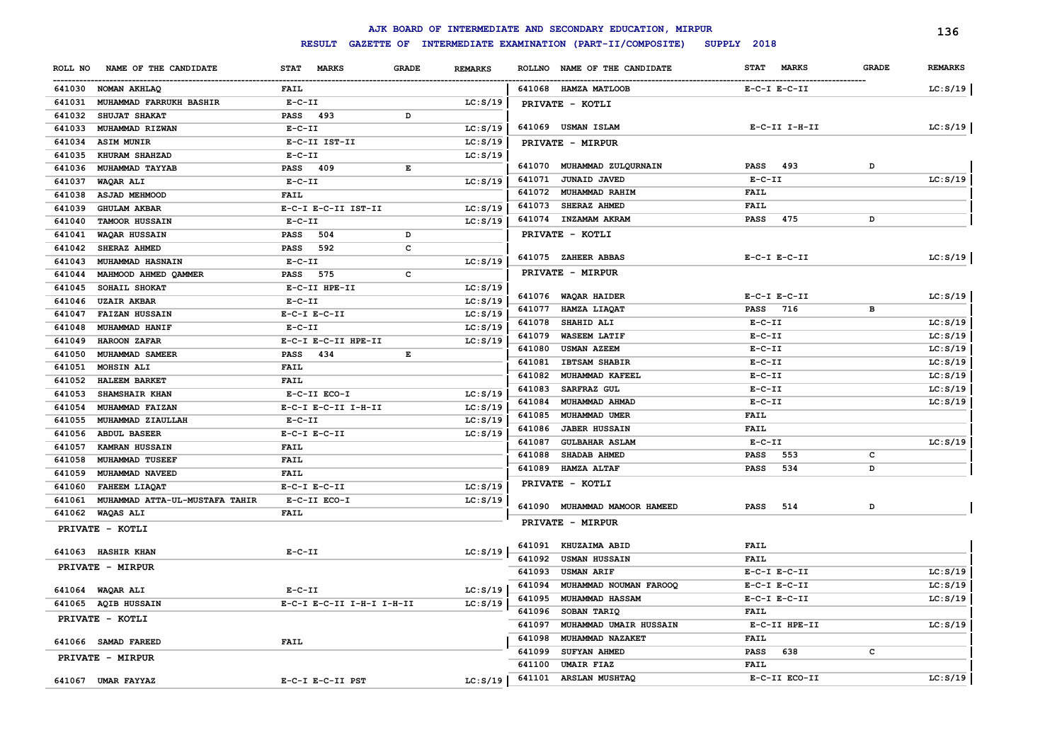|                                          |                             |              |                |        | AJK BOARD OF INTERMEDIATE AND SECONDARY EDUCATION, MIRPUR |                             |              | 136            |
|------------------------------------------|-----------------------------|--------------|----------------|--------|-----------------------------------------------------------|-----------------------------|--------------|----------------|
|                                          | <b>RESULT</b>               |              |                |        | GAZETTE OF INTERMEDIATE EXAMINATION (PART-II/COMPOSITE)   | SUPPLY 2018                 |              |                |
| NAME OF THE CANDIDATE<br>ROLL NO         | <b>MARKS</b><br><b>STAT</b> | <b>GRADE</b> | <b>REMARKS</b> |        | ROLLNO NAME OF THE CANDIDATE                              | <b>MARKS</b><br><b>STAT</b> | <b>GRADE</b> | <b>REMARKS</b> |
| 641030 NOMAN AKHLAQ                      | FAIL                        |              |                |        | 641068 HAMZA MATLOOB                                      | $E-C-I$ $E-C-II$            |              | LC: S/19       |
| MUHAMMAD FARRUKH BASHIR<br>641031        | $E - C - II$                |              | LC: S/19       |        | PRIVATE - KOTLI                                           |                             |              |                |
| 641032<br>SHUJAT SHAKAT                  | PASS 493                    | D            |                |        |                                                           |                             |              |                |
| 641033<br>MUHAMMAD RIZWAN                | $E-C-II$                    |              | LC: S/19       |        | 641069 USMAN ISLAM                                        | E-C-II I-H-II               |              | LC: S/19       |
| 641034<br><b>ASIM MUNIR</b>              | E-C-II IST-II               |              | LC: S/19       |        | PRIVATE - MIRPUR                                          |                             |              |                |
| 641035<br>KHURAM SHAHZAD                 | $E - C - II$                |              | LC: S/19       |        |                                                           |                             |              |                |
| 641036<br>MUHAMMAD TAYYAB                | PASS 409                    | Е            |                |        | 641070 MUHAMMAD ZULQURNAIN                                | 493<br>PASS                 | D            |                |
| 641037<br>WAQAR ALI                      | $E - C - II$                |              | LC: S/19       | 641071 | <b>JUNAID JAVED</b>                                       | $E- C- II$                  |              | LC: S/19       |
| 641038<br><b>ASJAD MEHMOOD</b>           | <b>FAIL</b>                 |              |                | 641072 | MUHAMMAD RAHIM                                            | FAIL                        |              |                |
| 641039<br><b>GHULAM AKBAR</b>            | E-C-I E-C-II IST-II         |              | LC: S/19       | 641073 | SHERAZ AHMED                                              | FAIL                        |              |                |
| 641040<br><b>TAMOOR HUSSAIN</b>          | $E-C-II$                    |              | LC: S/19       | 641074 | <b>INZAMAM AKRAM</b>                                      | 475<br>PASS                 | D            |                |
| 641041<br>WAQAR HUSSAIN                  | <b>PASS</b><br>504          | D            |                |        | PRIVATE - KOTLI                                           |                             |              |                |
| 641042<br>SHERAZ AHMED                   | <b>PASS</b><br>592          | C            |                |        |                                                           |                             |              |                |
| 641043<br>MUHAMMAD HASNAIN               | $E - C - II$                |              | LC: S/19       |        | 641075 ZAHEER ABBAS                                       | $E-C-I$ $E-C-II$            |              | LC: S/19       |
| 641044<br>MAHMOOD AHMED QAMMER           | PASS 575                    | C            |                |        | PRIVATE - MIRPUR                                          |                             |              |                |
| 641045<br>SOHAIL SHOKAT                  | E-C-II HPE-II               |              | LC: S/19       |        |                                                           |                             |              |                |
| 641046<br><b>UZAIR AKBAR</b>             | $E- C- II$                  |              | LC: S/19       |        | 641076 WAQAR HAIDER                                       | $E-C-I$ $E-C-II$            |              | LC: S/19       |
| 641047<br><b>FAIZAN HUSSAIN</b>          | $E-C-I$ $E-C-II$            |              | LC: S/19       | 641077 | HAMZA LIAQAT                                              | 716<br><b>PASS</b>          | в            |                |
| 641048<br>MUHAMMAD HANIF                 | $E - C - II$                |              | LC: S/19       | 641078 | SHAHID ALI                                                | $E-C-II$                    |              | LC: S/19       |
| 641049<br>HAROON ZAFAR                   | E-C-I E-C-II HPE-II         |              | LC: S/19       | 641079 | <b>WASEEM LATIF</b>                                       | $E-C-II$                    |              | LC: S/19       |
| 641050<br>MUHAMMAD SAMEER                | <b>PASS</b><br>434          | E            |                | 641080 | <b>USMAN AZEEM</b>                                        | $E-C-II$                    |              | LC: S/19       |
| 641051<br>MOHSIN ALI                     | <b>FAIL</b>                 |              |                | 641081 | <b>IBTSAM SHABIR</b>                                      | $E-C-II$                    |              | LC: S/19       |
| 641052<br><b>HALEEM BARKET</b>           | <b>FAIL</b>                 |              |                | 641082 | MUHAMMAD KAFEEL                                           | $E - C - II$                |              | LC: S/19       |
| 641053<br>SHAMSHAIR KHAN                 | E-C-II ECO-I                |              | LC: S/19       | 641083 | SARFRAZ GUL                                               | $E-C-II$                    |              | LC: S/19       |
| 641054<br>MUHAMMAD FAIZAN                | E-C-I E-C-II I-H-II         |              | LC: S/19       | 641084 | MUHAMMAD AHMAD                                            | $E-C-II$                    |              | LC: S/19       |
| 641055<br>MUHAMMAD ZIAULLAH              | $E-C-II$                    |              | LC: S/19       | 641085 | MUHAMMAD UMER                                             | <b>FAIL</b>                 |              |                |
| 641056<br><b>ABDUL BASEER</b>            | $E-C-I$ $E-C-II$            |              | LC: S/19       | 641086 | <b>JABER HUSSAIN</b>                                      | FAIL                        |              |                |
| 641057<br><b>KAMRAN HUSSAIN</b>          | <b>FAIL</b>                 |              |                | 641087 | <b>GULBAHAR ASLAM</b>                                     | $E-C-II$                    |              | LC: S/19       |
| 641058<br>MUHAMMAD TUSEEF                | <b>FAIL</b>                 |              |                | 641088 | SHADAB AHMED                                              | <b>PASS</b><br>553          | c            |                |
| 641059<br>MUHAMMAD NAVEED                | <b>FAIL</b>                 |              |                | 641089 | <b>HAMZA ALTAF</b>                                        | 534<br><b>PASS</b>          | D            |                |
| 641060<br>FAHEEM LIAQAT                  | $E-C-I$ $E-C-II$            |              | LC: S/19       |        | PRIVATE - KOTLI                                           |                             |              |                |
| 641061<br>MUHAMMAD ATTA-UL-MUSTAFA TAHIR | E-C-II ECO-I                |              | LC: S/19       |        |                                                           |                             |              |                |
| 641062<br>WAQAS ALI                      | <b>FAIL</b>                 |              |                | 641090 | MUHAMMAD MAMOOR HAMEED                                    | <b>PASS</b><br>514          | D            |                |
| PRIVATE - KOTLI                          |                             |              |                |        | PRIVATE - MIRPUR                                          |                             |              |                |
|                                          |                             |              |                |        |                                                           |                             |              |                |
| 641063 HASHIR KHAN                       | $E-C-II$                    |              | LC: S/19       |        | 641091 KHUZAIMA ABID                                      | <b>FAIL</b>                 |              |                |
| PRIVATE - MIRPUR                         |                             |              |                | 641092 | <b>USMAN HUSSAIN</b>                                      | <b>FAIL</b>                 |              |                |
|                                          |                             |              |                | 641093 | <b>USMAN ARIF</b>                                         | $E-C-I$ $E-C-II$            |              | LC: S/19       |
| 641064 WAQAR ALI                         | $E-C-II$                    |              | LC: S/19       | 641094 | MUHAMMAD NOUMAN FAROOQ                                    | $E-C-I$ $E-C-II$            |              | LC: S/19       |
| 641065 AQIB HUSSAIN                      | E-C-I E-C-II I-H-I I-H-II   |              | LC: S/19       | 641095 | MUHAMMAD HASSAM                                           | $E-C-I$ $E-C-II$            |              | LC: S/19       |
| PRIVATE - KOTLI                          |                             |              |                | 641096 | SOBAN TARIQ                                               | <b>FAIL</b>                 |              |                |
|                                          |                             |              |                | 641097 | MUHAMMAD UMAIR HUSSAIN                                    | E-C-II HPE-II               |              | LC: S/19       |
| 641066 SAMAD FAREED                      | <b>FAIL</b>                 |              |                | 641098 | MUHAMMAD NAZAKET                                          | FAIL                        |              |                |
| PRIVATE - MIRPUR                         |                             |              |                | 641099 | SUFYAN AHMED                                              | 638<br>PASS                 | c            |                |
|                                          |                             |              |                | 641100 | <b>UMAIR FIAZ</b>                                         | FAIL                        |              |                |
| 641067 UMAR FAYYAZ                       | E-C-I E-C-II PST            |              | LC: S/19       |        | 641101 ARSLAN MUSHTAQ                                     | E-C-II ECO-II               |              | LC: S/19       |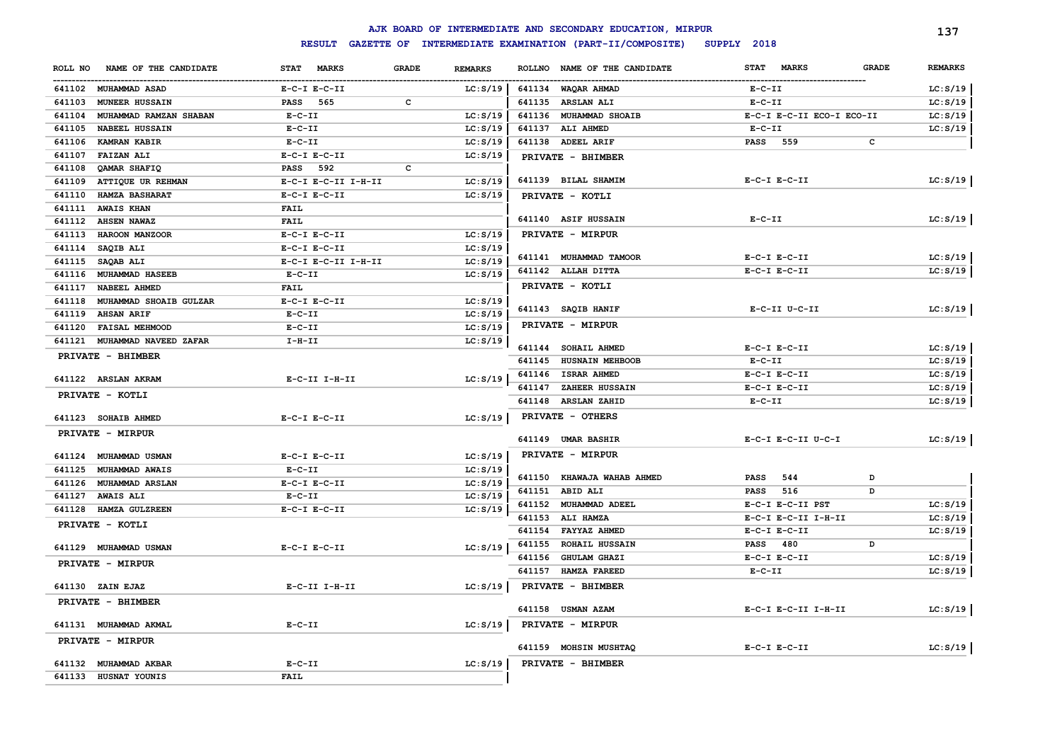|         |                        |                     |                                | AJK BOARD OF INTERMEDIATE AND SECONDARY EDUCATION, MIRPUR |                                      |              | 137            |
|---------|------------------------|---------------------|--------------------------------|-----------------------------------------------------------|--------------------------------------|--------------|----------------|
|         |                        | <b>RESULT</b>       |                                | GAZETTE OF INTERMEDIATE EXAMINATION (PART-II/COMPOSITE)   | SUPPLY 2018                          |              |                |
| ROLL NO | NAME OF THE CANDIDATE  | STAT MARKS          | <b>GRADE</b><br><b>REMARKS</b> | <b>ROLLNO</b><br>NAME OF THE CANDIDATE                    | <b>STAT</b><br><b>MARKS</b>          | <b>GRADE</b> | <b>REMARKS</b> |
|         | 641102 MUHAMMAD ASAD   | $E-C-I$ $E-C-II$    | LC: S/19                       | 641134 WAQAR AHMAD                                        | $E- C- II$                           |              | LC: S/19       |
| 641103  | <b>MUNEER HUSSAIN</b>  | PASS 565            | с                              | 641135 ARSLAN ALI                                         | $E-C-II$                             |              | LC: S/19       |
| 641104  | MUHAMMAD RAMZAN SHABAN | $E-C-II$            | LC: S/19                       | 641136 MUHAMMAD SHOAIB                                    | E-C-I E-C-II ECO-I ECO-II            |              | LC: S/19       |
| 641105  | <b>NABEEL HUSSAIN</b>  | $E-C-II$            | LC: S/19                       | ALI AHMED<br>641137                                       | $E-C-II$                             |              | LC: S/19       |
| 641106  | <b>KAMRAN KABIR</b>    | $E - C - II$        | LC: S/19                       | 641138 ADEEL ARIF                                         | PASS 559                             | c            |                |
| 641107  | <b>FAIZAN ALI</b>      | $E-C-I$ $E-C-II$    | LC: S/19                       | PRIVATE - BHIMBER                                         |                                      |              |                |
| 641108  | QAMAR SHAFIQ           | <b>PASS</b> 592     | с                              |                                                           |                                      |              |                |
| 641109  | ATTIQUE UR REHMAN      | E-C-I E-C-II I-H-II | LC: S/19                       | 641139 BILAL SHAMIM                                       | $E-C-I$ $E-C-II$                     |              | LC: S/19       |
| 641110  | <b>HAMZA BASHARAT</b>  | $E-C-I$ $E-C-II$    | LC: S/19                       | PRIVATE - KOTLI                                           |                                      |              |                |
| 641111  | <b>AWAIS KHAN</b>      | <b>FAIL</b>         |                                |                                                           |                                      |              |                |
| 641112  | <b>AHSEN NAWAZ</b>     | <b>FAIL</b>         |                                | 641140 ASIF HUSSAIN                                       | $E-C-II$                             |              | LC: S/19       |
| 641113  | HAROON MANZOOR         | $E-C-I$ $E-C-II$    | LC: S/19                       | PRIVATE - MIRPUR                                          |                                      |              |                |
| 641114  | SAQIB ALI              | $E-C-I$ $E-C-II$    | LC: S/19                       |                                                           |                                      |              |                |
| 641115  | <b>SAQAB ALI</b>       | E-C-I E-C-II I-H-II | LC: S/19                       | 641141 MUHAMMAD TAMOOR                                    | $E-C-I$ $E-C-II$<br>$E-C-I$ $E-C-II$ |              | LC: S/19       |
| 641116  | MUHAMMAD HASEEB        | $E- C- II$          | LC: S/19                       | 641142 ALLAH DITTA                                        |                                      |              | LC: S/19       |
| 641117  | NABEEL AHMED           | <b>FAIL</b>         |                                | PRIVATE - KOTLI                                           |                                      |              |                |
| 641118  | MUHAMMAD SHOAIB GULZAR | $E-C-I$ $E-C-II$    | LC: S/19                       | 641143 SAQIB HANIF                                        | $E-C-II$ $U-C-II$                    |              | LC: S/19       |
| 641119  | <b>AHSAN ARIF</b>      | $E-C-II$            | LC: S/19                       | PRIVATE - MIRPUR                                          |                                      |              |                |
| 641120  | <b>FAISAL MEHMOOD</b>  | $E - C - II$        | LC: S/19                       |                                                           |                                      |              |                |
| 641121  | MUHAMMAD NAVEED ZAFAR  | $I-H-II$            | LC: S/19                       | 641144 SOHAIL AHMED                                       | $E-C-I$ $E-C-II$                     |              | LC: S/19       |
|         | PRIVATE - BHIMBER      |                     |                                | 641145 HUSNAIN MEHBOOB                                    | $E- C- II$                           |              | LC: S/19       |
|         |                        |                     |                                | 641146<br><b>ISRAR AHMED</b>                              | $E-C-I$ $E-C-II$                     |              | LC: S/19       |
|         | 641122 ARSLAN AKRAM    | $E-C-II$ I-H-II     | LC: S/19                       | 641147<br>ZAHEER HUSSAIN                                  | $E-C-I$ $E-C-II$                     |              | LC: S/19       |
|         | PRIVATE - KOTLI        |                     |                                | 641148<br><b>ARSLAN ZAHID</b>                             | $E-C-II$                             |              | LC: S/19       |
|         | 641123 SOHAIB AHMED    | $E-C-I$ $E-C-II$    | LC: S/19                       | PRIVATE - OTHERS                                          |                                      |              |                |
|         | PRIVATE - MIRPUR       |                     |                                |                                                           |                                      |              |                |
|         |                        |                     |                                | 641149 UMAR BASHIR                                        | E-C-I E-C-II U-C-I                   |              | LC: S/19       |
|         | 641124 MUHAMMAD USMAN  | $E-C-I$ $E-C-II$    | LC: S/19                       | PRIVATE - MIRPUR                                          |                                      |              |                |
| 641125  | <b>MUHAMMAD AWAIS</b>  | $E - C - II$        | LC: S/19                       |                                                           |                                      |              |                |
|         | 641126 MUHAMMAD ARSLAN | $E-C-I$ $E-C-II$    | LC: S/19                       | 641150 KHAWAJA WAHAB AHMED                                | 544<br>PASS                          | D            |                |
|         | 641127 AWAIS ALI       | $E-C-II$            | LC: S/19                       | 641151 ABID ALI                                           | 516<br>PASS                          | D            |                |
|         | 641128 HAMZA GULZREEN  | $E- C-I$ $E-C-II$   | LC: S/19                       | 641152 MUHAMMAD ADEEL                                     | E-C-I E-C-II PST                     |              | LC: S/19       |
|         | PRIVATE - KOTLI        |                     |                                | <b>ALI HAMZA</b><br>641153                                | E-C-I E-C-II I-H-II                  |              | LC: S/19       |
|         |                        |                     |                                | 641154<br>FAYYAZ AHMED                                    | $E-C-I$ $E-C-II$                     |              | LC: S/19       |
|         | 641129 MUHAMMAD USMAN  | $E-C-I$ $E-C-II$    | LC: S/19                       | 641155<br><b>ROHAIL HUSSAIN</b>                           | PASS 480                             | D            |                |
|         | PRIVATE - MIRPUR       |                     |                                | 641156<br><b>GHULAM GHAZI</b>                             | $E- C-I$ $E-C-II$                    |              | LC: S/19       |
|         |                        |                     |                                | 641157<br><b>HAMZA FAREED</b>                             | $E-C-II$                             |              | LC: S/19       |
|         | 641130 ZAIN EJAZ       | $E-C-II$ I-H-II     | LC: S/19                       | PRIVATE - BHIMBER                                         |                                      |              |                |
|         | PRIVATE - BHIMBER      |                     |                                |                                                           |                                      |              |                |
|         |                        |                     |                                | 641158 USMAN AZAM                                         | E-C-I E-C-II I-H-II                  |              | LC: S/19       |
|         | 641131 MUHAMMAD AKMAL  | $E-C-II$            | LC: S/19                       | PRIVATE - MIRPUR                                          |                                      |              |                |
|         | PRIVATE - MIRPUR       |                     |                                | 641159 MOHSIN MUSHTAQ                                     | $E-C-I$ $E-C-II$                     |              | LC: S/19       |
|         | 641132 MUHAMMAD AKBAR  | $E-C-II$            | LC: S/19                       | PRIVATE - BHIMBER                                         |                                      |              |                |
|         | 641133 HUSNAT YOUNIS   | <b>FAIL</b>         |                                |                                                           |                                      |              |                |
|         |                        |                     |                                |                                                           |                                      |              |                |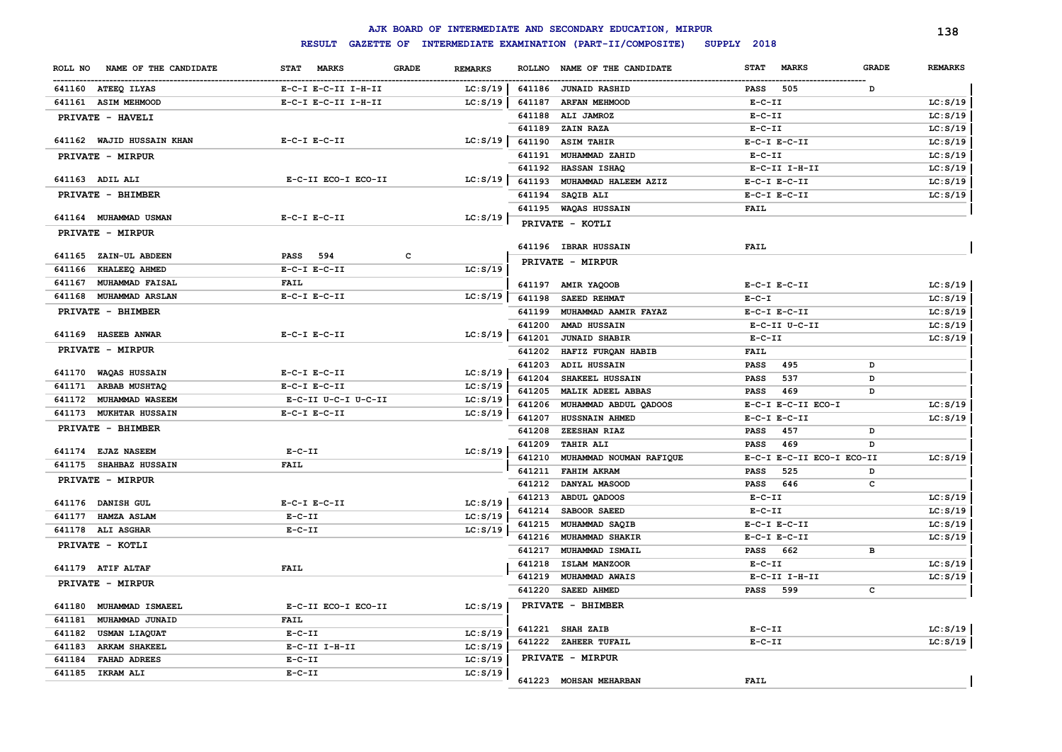|                                  |                                             |                |                  | AJK BOARD OF INTERMEDIATE AND SECONDARY EDUCATION, MIRPUR |                                        |                   | 138                  |
|----------------------------------|---------------------------------------------|----------------|------------------|-----------------------------------------------------------|----------------------------------------|-------------------|----------------------|
|                                  | <b>RESULT</b>                               |                |                  | GAZETTE OF INTERMEDIATE EXAMINATION (PART-II/COMPOSITE)   | SUPPLY 2018                            |                   |                      |
| NAME OF THE CANDIDATE<br>ROLL NO | <b>MARKS</b><br><b>GRADE</b><br><b>STAT</b> | <b>REMARKS</b> | <b>ROLLNO</b>    | NAME OF THE CANDIDATE                                     | <b>STAT</b><br><b>MARKS</b>            | <b>GRADE</b>      | <b>REMARKS</b>       |
| 641160 ATEEQ ILYAS               | E-C-I E-C-II I-H-II                         | LC: S/19       |                  | 641186 JUNAID RASHID                                      | 505<br><b>PASS</b>                     | D                 |                      |
| 641161 ASIM MEHMOOD              | E-C-I E-C-II I-H-II                         | LC: S/19       | 641187           | <b>ARFAN MEHMOOD</b>                                      | $E - C - II$                           |                   | LC: S/19             |
| PRIVATE - HAVELI                 |                                             |                | 641188           | ALI JAMROZ                                                | $E - C - II$                           |                   | LC: S/19             |
|                                  |                                             |                | 641189           | ZAIN RAZA                                                 | $E-C-II$                               |                   | LC: S/19             |
| 641162 WAJID HUSSAIN KHAN        | $E-C-I$ $E-C-II$                            | LC: S/19       | 641190           | <b>ASIM TAHIR</b>                                         | $E-C-I$ $E-C-II$                       |                   | LC: S/19             |
| PRIVATE - MIRPUR                 |                                             |                | 641191           | MUHAMMAD ZAHID                                            | $E-C-II$                               |                   | LC: S/19             |
|                                  |                                             |                | 641192           | <b>HASSAN ISHAQ</b>                                       | E-C-II I-H-II                          |                   | LC: S/19             |
| 641163 ADIL ALI                  | E-C-II ECO-I ECO-II                         | LC: S/19       | 641193           | MUHAMMAD HALEEM AZIZ                                      | $E-C-I$ $E-C-II$                       |                   | LC: S/19             |
| PRIVATE - BHIMBER                |                                             |                | 641194           | SAQIB ALI                                                 | $E-C-I$ $E-C-II$                       |                   | LC: S/19             |
|                                  |                                             |                |                  | 641195 WAQAS HUSSAIN                                      | <b>FAIL</b>                            |                   |                      |
| 641164 MUHAMMAD USMAN            | $E-C-I$ $E-C-II$                            | LC: S/19       |                  | PRIVATE - KOTLI                                           |                                        |                   |                      |
| PRIVATE - MIRPUR                 |                                             |                |                  |                                                           |                                        |                   |                      |
| 641165 ZAIN-UL ABDEEN            | 594<br>c<br>PASS                            |                |                  | 641196 IBRAR HUSSAIN                                      | FAIL                                   |                   |                      |
| 641166<br>KHALEEQ AHMED          | $E-C-I$ $E-C-II$                            | LC: S/19       |                  | PRIVATE - MIRPUR                                          |                                        |                   |                      |
| 641167<br><b>MUHAMMAD FAISAL</b> | <b>FAIL</b>                                 |                |                  |                                                           |                                        |                   |                      |
| 641168<br><b>MUHAMMAD ARSLAN</b> | $E-C-I$ $E-C-II$                            | LC: S/19       |                  | 641197 AMIR YAQOOB                                        | $E-C-I$ $E-C-II$                       |                   | LC: S/19             |
|                                  |                                             |                | 641198           | SAEED REHMAT                                              | $E - C - I$                            |                   | LC: S/19             |
| PRIVATE - BHIMBER                |                                             |                | 641199           | MUHAMMAD AAMIR FAYAZ                                      | $E-C-I$ $E-C-II$                       |                   | LC: S/19             |
| 641169 HASEEB ANWAR              | $E-C-I$ $E-C-II$                            | LC: S/19       | 641200           | AMAD HUSSAIN                                              | E-C-II U-C-II                          |                   | LC: S/19             |
| PRIVATE - MIRPUR                 |                                             |                | 641201           | <b>JUNAID SHABIR</b>                                      | $E-C-II$                               |                   | LC: S/19             |
|                                  |                                             |                | 641202           | HAFIZ FURQAN HABIB                                        | <b>FAIL</b>                            |                   |                      |
| 641170 WAQAS HUSSAIN             | $E-C-I$ $E-C-II$                            | LC: S/19       | 641203           | ADIL HUSSAIN                                              | 495<br><b>PASS</b>                     | D                 |                      |
| 641171<br><b>ARBAB MUSHTAQ</b>   | $E- C-I$ $E-C-II$                           | LC: S/19       | 641204           | SHAKEEL HUSSAIN                                           | 537<br><b>PASS</b>                     | D                 |                      |
| 641172<br>MUHAMMAD WASEEM        | E-C-II U-C-I U-C-II                         | LC: S/19       | 641205           | MALIK ADEEL ABBAS                                         | <b>PASS</b><br>469                     | D                 |                      |
| 641173<br><b>MUKHTAR HUSSAIN</b> | $E-C-I$ $E-C-II$                            | LC: S/19       | 641206<br>641207 | MUHAMMAD ABDUL QADOOS<br>HUSSNAIN AHMED                   | E-C-I E-C-II ECO-I<br>$E-C-I$ $E-C-II$ |                   | LC: S/19<br>LC: S/19 |
| PRIVATE - BHIMBER                |                                             |                | 641208           | ZEESHAN RIAZ                                              | <b>PASS</b><br>457                     | D                 |                      |
|                                  |                                             |                |                  |                                                           |                                        | D                 |                      |
| 641174 EJAZ NASEEM               | $E-C-II$                                    | LC: S/19       | 641209           | <b>TAHIR ALI</b>                                          | <b>PASS</b><br>469                     |                   |                      |
| 641175 SHAHBAZ HUSSAIN           | <b>FAIL</b>                                 |                | 641210<br>641211 | MUHAMMAD NOUMAN RAFIQUE<br><b>FAHIM AKRAM</b>             | E-C-I E-C-II ECO-I ECO-II<br>525       |                   | LC: S/19             |
| PRIVATE - MIRPUR                 |                                             |                | 641212           | DANYAL MASOOD                                             | <b>PASS</b><br><b>PASS</b><br>646      | D<br>$\mathbf{C}$ |                      |
|                                  |                                             |                | 641213           | ABDUL QADOOS                                              | $E-C-II$                               |                   | LC: S/19             |
| 641176 DANISH GUL                | $E-C-I$ $E-C-II$                            | LC: S/19       | 641214           | SABOOR SAEED                                              | $E-C-II$                               |                   | LC: S/19             |
| 641177 HAMZA ASLAM               | $E - C - II$                                | LC: S/19       | 641215           | MUHAMMAD SAQIB                                            | $E-C-I$ $E-C-II$                       |                   | LC: S/19             |
| 641178 ALI ASGHAR                | $E - C - II$                                | LC: S/19       | 641216           | MUHAMMAD SHAKIR                                           | $E-C-I$ $E-C-II$                       |                   | LC: S/19             |
| PRIVATE - KOTLI                  |                                             |                | 641217           | MUHAMMAD ISMAIL                                           | <b>PASS</b><br>662                     | в                 |                      |
|                                  |                                             |                | 641218           | ISLAM MANZOOR                                             | $E-C-II$                               |                   | LC: S/19             |
| 641179 ATIF ALTAF                | <b>FAIL</b>                                 |                | 641219           | MUHAMMAD AWAIS                                            | $E-C-II$ I-H-II                        |                   | LC: S/19             |
| PRIVATE - MIRPUR                 |                                             |                | 641220           | SAEED AHMED                                               | <b>PASS</b><br>599                     | c                 |                      |
|                                  |                                             |                |                  |                                                           |                                        |                   |                      |
| 641180<br>MUHAMMAD ISMAEEL       | E-C-II ECO-I ECO-II                         | LC: S/19       |                  | PRIVATE - BHIMBER                                         |                                        |                   |                      |
| 641181<br>MUHAMMAD JUNAID        | <b>FAIL</b>                                 |                | 641221           | <b>SHAH ZAIB</b>                                          | $E-C-II$                               |                   | LC: S/19             |
| 641182<br><b>USMAN LIAQUAT</b>   | $E-C-II$                                    | LC: S/19       |                  | 641222 ZAHEER TUFAIL                                      | $E - C - II$                           |                   | LC: S/19             |
| <b>ARKAM SHAKEEL</b><br>641183   | E-C-II I-H-II                               | LC: S/19       |                  |                                                           |                                        |                   |                      |
| <b>FAHAD ADREES</b><br>641184    | $E - C - II$                                | LC: S/19       |                  | PRIVATE - MIRPUR                                          |                                        |                   |                      |
| 641185 IKRAM ALI                 | $E-C-II$                                    | LC: S/19       |                  | 641223 MOHSAN MEHARBAN                                    | <b>FAIL</b>                            |                   |                      |
|                                  |                                             |                |                  |                                                           |                                        |                   |                      |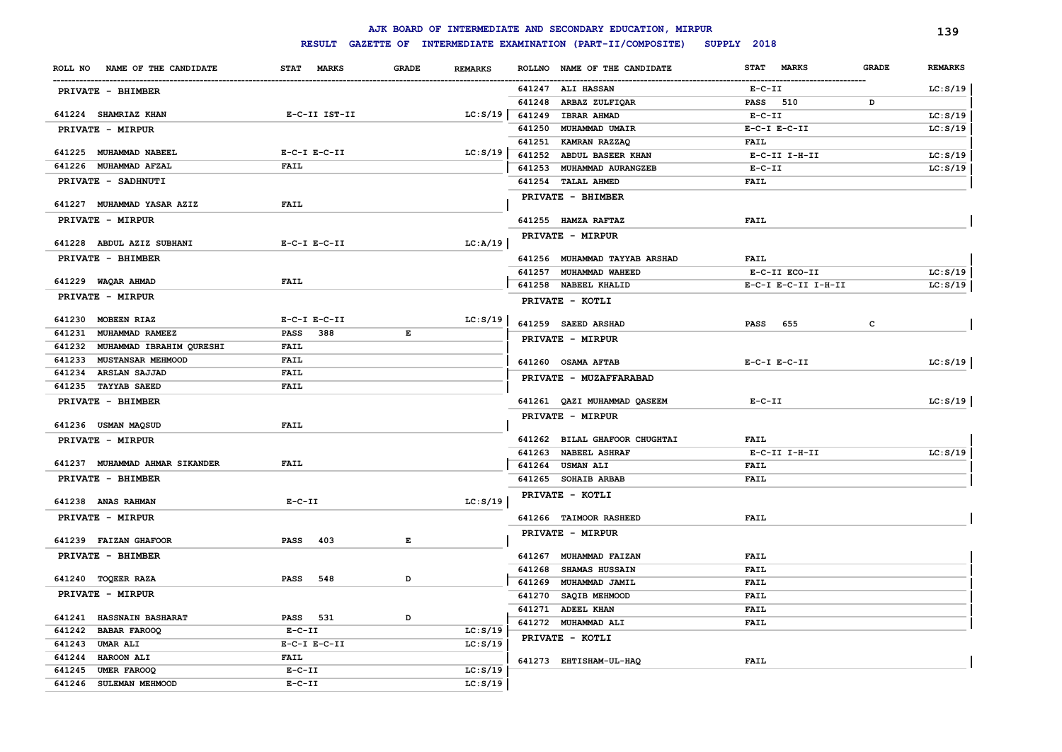|                                    |                    |              |                |        | AJK BOARD OF INTERMEDIATE AND SECONDARY EDUCATION, MIRPUR |                            |              | 139            |
|------------------------------------|--------------------|--------------|----------------|--------|-----------------------------------------------------------|----------------------------|--------------|----------------|
|                                    | <b>RESULT</b>      |              |                |        | GAZETTE OF INTERMEDIATE EXAMINATION (PART-II/COMPOSITE)   | SUPPLY 2018                |              |                |
| ROLL NO NAME OF THE CANDIDATE      | STAT MARKS         | <b>GRADE</b> | <b>REMARKS</b> |        | ROLLNO NAME OF THE CANDIDATE                              | STAT MARKS                 | <b>GRADE</b> | <b>REMARKS</b> |
| PRIVATE - BHIMBER                  |                    |              |                |        | 641247 ALI HASSAN                                         | $E- C- II$                 |              | LC: S/19       |
|                                    |                    |              |                |        | 641248 ARBAZ ZULFIQAR                                     | PASS 510                   | D            |                |
| 641224 SHAMRIAZ KHAN               | E-C-II IST-II      |              | LC: S/19       |        | 641249 IBRAR AHMAD                                        | $E-C-II$                   |              | LC: S/19       |
| <b>PRIVATE - MIRPUR</b>            |                    |              |                | 641250 | MUHAMMAD UMAIR                                            | $E-C-I$ $E-C-II$           |              | LC: S/19       |
|                                    |                    |              |                |        | 641251 KAMRAN RAZZAQ                                      | <b>FAIL</b>                |              |                |
| 641225 MUHAMMAD NABEEL             | $E-C-I$ $E-C-II$   |              | LC: S/19       | 641252 | ABDUL BASEER KHAN                                         | $E-C-II$ I-H-II            |              | LC: S/19       |
| 641226 MUHAMMAD AFZAL              | <b>FAIL</b>        |              |                |        | 641253 MUHAMMAD AURANGZEB                                 | $E-C-II$                   |              | LC: S/19       |
| PRIVATE - SADHNUTI                 |                    |              |                |        | 641254 TALAL AHMED                                        | <b>FAIL</b>                |              |                |
| 641227 MUHAMMAD YASAR AZIZ         | <b>FAIL</b>        |              |                |        | PRIVATE - BHIMBER                                         |                            |              |                |
|                                    |                    |              |                |        |                                                           |                            |              |                |
| PRIVATE - MIRPUR                   |                    |              |                |        | 641255 HAMZA RAFTAZ                                       | <b>FAIL</b>                |              |                |
| 641228 ABDUL AZIZ SUBHANI          | $E-C-I$ $E-C-II$   |              | LC:A/19        |        | PRIVATE - MIRPUR                                          |                            |              |                |
| PRIVATE - BHIMBER                  |                    |              |                |        | 641256 MUHAMMAD TAYYAB ARSHAD                             | <b>FAIL</b>                |              |                |
|                                    |                    |              |                |        | 641257 MUHAMMAD WAHEED                                    | E-C-II ECO-II              |              | LC: S/19       |
| 641229 WAQAR AHMAD                 | <b>FAIL</b>        |              |                |        | 641258 NABEEL KHALID                                      | E-C-I E-C-II I-H-II        |              | LC: S/19       |
| PRIVATE - MIRPUR                   |                    |              |                |        | PRIVATE - KOTLI                                           |                            |              |                |
| 641230 MOBEEN RIAZ                 | $E-C-I$ $E-C-II$   |              | LC: S/19       |        | 641259 SAEED ARSHAD                                       | PASS 655                   | c            |                |
| 641231<br>MUHAMMAD RAMEEZ          | <b>PASS</b><br>388 | E            |                |        |                                                           |                            |              |                |
| 641232 MUHAMMAD IBRAHIM QURESHI    | <b>FAIL</b>        |              |                |        | PRIVATE - MIRPUR                                          |                            |              |                |
| 641233<br><b>MUSTANSAR MEHMOOD</b> | <b>FAIL</b>        |              |                |        | 641260 OSAMA AFTAB                                        | $E-C-I$ $E-C-II$           |              | LC: S/19       |
| 641234 ARSLAN SAJJAD               | <b>FAIL</b>        |              |                |        | PRIVATE - MUZAFFARABAD                                    |                            |              |                |
| 641235 TAYYAB SAEED                | <b>FAIL</b>        |              |                |        |                                                           |                            |              |                |
| PRIVATE - BHIMBER                  |                    |              |                |        | 641261 QAZI MUHAMMAD QASEEM                               | $E-C-II$                   |              | LC: S/19       |
|                                    |                    |              |                |        | PRIVATE - MIRPUR                                          |                            |              |                |
| 641236 USMAN MAQSUD                | <b>FAIL</b>        |              |                |        |                                                           |                            |              |                |
| PRIVATE - MIRPUR                   |                    |              |                |        | 641262 BILAL GHAFOOR CHUGHTAI                             | <b>FAIL</b>                |              |                |
|                                    |                    |              |                |        | 641263 NABEEL ASHRAF                                      | E-C-II I-H-II              |              | LC: S/19       |
| 641237 MUHAMMAD AHMAR SIKANDER     | <b>FAIL</b>        |              |                |        | 641264 USMAN ALI                                          | <b>FAIL</b>                |              |                |
| PRIVATE - BHIMBER                  |                    |              |                |        | 641265 SOHAIB ARBAB                                       | <b>FAIL</b>                |              |                |
| 641238 ANAS RAHMAN                 | $E-C-II$           |              | LC: S/19       |        | PRIVATE - KOTLI                                           |                            |              |                |
| PRIVATE - MIRPUR                   |                    |              |                |        | 641266 TAIMOOR RASHEED                                    | <b>FAIL</b>                |              |                |
|                                    |                    |              |                |        | PRIVATE - MIRPUR                                          |                            |              |                |
| 641239 FAIZAN GHAFOOR              | 403<br>PASS        | Е            |                |        |                                                           |                            |              |                |
| PRIVATE - BHIMBER                  |                    |              |                | 641267 | <b>MUHAMMAD FAIZAN</b>                                    | <b>FAIL</b>                |              |                |
| 641240 TOQEER RAZA                 | <b>PASS</b><br>548 | D            |                | 641268 | <b>SHAMAS HUSSAIN</b>                                     | <b>FAIL</b>                |              |                |
| PRIVATE - MIRPUR                   |                    |              |                | 641269 | MUHAMMAD JAMIL                                            | <b>FAIL</b>                |              |                |
|                                    |                    |              |                |        | 641270 SAQIB MEHMOOD                                      | <b>FAIL</b>                |              |                |
| 641241 HASSNAIN BASHARAT           | <b>PASS</b><br>531 | D            |                |        | 641271 ADEEL KHAN<br>641272 MUHAMMAD ALI                  | <b>FAIL</b><br><b>FAIL</b> |              |                |
| 641242<br><b>BABAR FAROOQ</b>      | $E-C-II$           |              | LC: S/19       |        |                                                           |                            |              |                |
| 641243 UMAR ALI                    | $E-C-I$ $E-C-II$   |              | LC: S/19       |        | PRIVATE - KOTLI                                           |                            |              |                |
| 641244 HAROON ALI                  | <b>FAIL</b>        |              |                |        | 641273 EHTISHAM-UL-HAQ                                    | <b>FAIL</b>                |              |                |
| 641245 UMER FAROOQ                 | $E-C-II$           |              | LC: S/19       |        |                                                           |                            |              |                |
| 641246 SULEMAN MEHMOOD             | $E-C-II$           |              | LC: S/19       |        |                                                           |                            |              |                |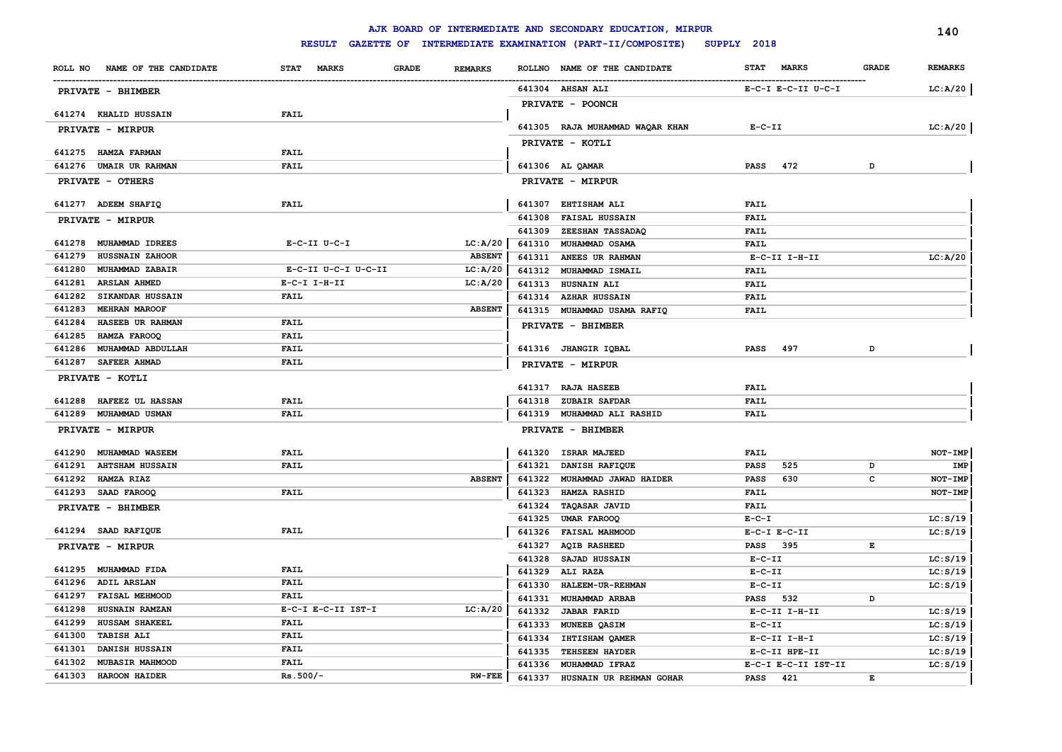|        |                                                  |                           |                                |        | AJK BOARD OF INTERMEDIATE AND SECONDARY EDUCATION, MIRPUR |              |                     |              | 140            |
|--------|--------------------------------------------------|---------------------------|--------------------------------|--------|-----------------------------------------------------------|--------------|---------------------|--------------|----------------|
|        |                                                  | <b>RESULT</b>             |                                |        | GAZETTE OF INTERMEDIATE EXAMINATION (PART-II/COMPOSITE)   | SUPPLY 2018  |                     |              |                |
|        | ROLL NO NAME OF THE CANDIDATE                    | STAT MARKS                | <b>GRADE</b><br><b>REMARKS</b> |        | ROLLNO NAME OF THE CANDIDATE                              | <b>STAT</b>  | <b>MARKS</b>        | <b>GRADE</b> | <b>REMARKS</b> |
|        | PRIVATE - BHIMBER                                |                           |                                |        | 641304 AHSAN ALI                                          |              | E-C-I E-C-II U-C-I  |              | LC:A/20        |
|        |                                                  |                           |                                |        | <b>PRIVATE - POONCH</b>                                   |              |                     |              |                |
|        | 641274 KHALID HUSSAIN                            | FAIL                      |                                |        |                                                           |              |                     |              |                |
|        | PRIVATE - MIRPUR                                 |                           |                                |        | 641305 RAJA MUHAMMAD WAQAR KHAN                           | $E- C- II$   |                     |              | LC:A/20        |
|        |                                                  |                           |                                |        | PRIVATE - KOTLI                                           |              |                     |              |                |
|        | 641275 HAMZA FARMAN                              | <b>FAIL</b>               |                                |        |                                                           |              |                     |              |                |
|        | 641276 UMAIR UR RAHMAN                           | <b>FAIL</b>               |                                |        | 641306 AL QAMAR                                           | <b>PASS</b>  | 472                 | D            |                |
|        | PRIVATE - OTHERS                                 |                           |                                |        | PRIVATE - MIRPUR                                          |              |                     |              |                |
|        | 641277 ADEEM SHAFIQ                              | FAIL                      |                                |        | 641307 EHTISHAM ALI                                       | FAIL         |                     |              |                |
|        | PRIVATE - MIRPUR                                 |                           |                                | 641308 | <b>FAISAL HUSSAIN</b>                                     | FAIL         |                     |              |                |
|        |                                                  |                           |                                | 641309 | <b>ZEESHAN TASSADAQ</b>                                   | FAIL         |                     |              |                |
| 641278 | MUHAMMAD IDREES                                  | E-C-II U-C-I              | LC: A/20                       | 641310 | MUHAMMAD OSAMA                                            | FAIL         |                     |              |                |
| 641279 | HUSSNAIN ZAHOOR                                  |                           | <b>ABSENT</b>                  | 641311 | ANEES UR RAHMAN                                           |              | E-C-II I-H-II       |              | LC: A/20       |
| 641280 | MUHAMMAD ZABAIR                                  | E-C-II U-C-I U-C-II       | LC: A/20                       | 641312 | MUHAMMAD ISMAIL                                           | FAIL         |                     |              |                |
| 641281 | <b>ARSLAN AHMED</b>                              | $E-C-I$ I-H-II            | LC: A/20                       | 641313 | <b>HUSNAIN ALI</b>                                        | <b>FAIL</b>  |                     |              |                |
| 641282 | SIKANDAR HUSSAIN                                 | FAIL                      |                                |        | 641314 AZHAR HUSSAIN                                      | FAIL         |                     |              |                |
| 641283 | <b>MEHRAN MAROOF</b>                             |                           | <b>ABSENT</b>                  |        | 641315 MUHAMMAD USAMA RAFIQ                               | FAIL         |                     |              |                |
| 641284 | <b>HASEEB UR RAHMAN</b>                          | <b>FAIL</b>               |                                |        | PRIVATE - BHIMBER                                         |              |                     |              |                |
| 641285 | HAMZA FAROOQ                                     | <b>FAIL</b>               |                                |        |                                                           |              |                     |              |                |
| 641286 | MUHAMMAD ABDULLAH                                | <b>FAIL</b>               |                                |        | 641316 JHANGIR IQBAL                                      | PASS         | 497                 | D            |                |
| 641287 | <b>SAFEER AHMAD</b>                              | FAIL                      |                                |        | PRIVATE - MIRPUR                                          |              |                     |              |                |
|        | PRIVATE - KOTLI                                  |                           |                                |        |                                                           |              |                     |              |                |
| 641288 |                                                  | <b>FAIL</b>               |                                | 641318 | 641317 RAJA HASEEB<br><b>ZUBAIR SAFDAR</b>                | FAIL<br>FAIL |                     |              |                |
| 641289 | <b>HAFEEZ UL HASSAN</b><br><b>MUHAMMAD USMAN</b> | FAIL                      |                                |        | 641319 MUHAMMAD ALI RASHID                                | FAIL         |                     |              |                |
|        |                                                  |                           |                                |        |                                                           |              |                     |              |                |
|        | PRIVATE - MIRPUR                                 |                           |                                |        | PRIVATE - BHIMBER                                         |              |                     |              |                |
|        | 641290 MUHAMMAD WASEEM                           | FAIL                      |                                |        | 641320 ISRAR MAJEED                                       | FAIL         |                     |              | NOT-IMP        |
| 641291 | <b>AHTSHAM HUSSAIN</b>                           | <b>FAIL</b>               |                                | 641321 | DANISH RAFIQUE                                            | PASS         | 525                 | D            | IMP            |
| 641292 | <b>HAMZA RIAZ</b>                                |                           | <b>ABSENT</b>                  |        | 641322 MUHAMMAD JAWAD HAIDER                              | PASS         | 630                 | C            | $NOT-IMP$      |
|        | 641293 SAAD FAROOQ                               | <b>FAIL</b>               |                                | 641323 | <b>HAMZA RASHID</b>                                       | <b>FAIL</b>  |                     |              | NOT-IMP        |
|        | PRIVATE - BHIMBER                                |                           |                                | 641324 | <b>TAQASAR JAVID</b>                                      | <b>FAIL</b>  |                     |              |                |
|        |                                                  |                           |                                | 641325 | <b>UMAR FAROOQ</b>                                        | $E - C - I$  |                     |              | LC: S/19       |
|        | 641294 SAAD RAFIQUE                              | <b>FAIL</b>               |                                | 641326 | <b>FAISAL MAHMOOD</b>                                     |              | $E-C-I$ $E-C-II$    |              | LC: S/19       |
|        | PRIVATE - MIRPUR                                 |                           |                                | 641327 | <b>AQIB RASHEED</b>                                       | PASS 395     |                     | Е            |                |
|        |                                                  |                           |                                | 641328 | SAJAD HUSSAIN                                             | $E - C - II$ |                     |              | LC: S/19       |
| 641295 | <b>MUHAMMAD FIDA</b>                             | <b>FAIL</b>               |                                |        | 641329 ALI RAZA                                           | $E - C - II$ |                     |              | LC: S/19       |
|        | 641296 ADIL ARSLAN                               | <b>FAIL</b>               |                                | 641330 | HALEEM-UR-REHMAN                                          | $E-C-II$     |                     |              | LC: S/19       |
|        | 641297 FAISAL MEHMOOD                            | <b>FAIL</b>               |                                | 641331 | MUHAMMAD ARBAB                                            | PASS 532     |                     | D            |                |
| 641298 | <b>HUSNAIN RAMZAN</b>                            | E-C-I E-C-II IST-I        | LC: A/20                       | 641332 | <b>JABAR FARID</b>                                        |              | $E-C-II$ I-H-II     |              | LC: S/19       |
| 641299 | <b>HUSSAM SHAKEEL</b>                            | <b>FAIL</b>               |                                | 641333 | MUNEEB QASIM                                              | $E-C-II$     |                     |              | LC: S/19       |
| 641300 | <b>TABISH ALI</b>                                | <b>FAIL</b>               |                                | 641334 | <b>IHTISHAM QAMER</b>                                     |              | $E-C-II$ $I-H-I$    |              | LC: S/19       |
| 641301 | <b>DANISH HUSSAIN</b>                            | <b>FAIL</b>               |                                | 641335 | <b>TEHSEEN HAYDER</b>                                     |              | E-C-II HPE-II       |              | LC: S/19       |
| 641302 | <b>MUBASIR MAHMOOD</b><br>641303 HAROON HAIDER   | <b>FAIL</b><br>$Rs.500/-$ |                                | 641336 | MUHAMMAD IFRAZ                                            |              | E-C-I E-C-II IST-II |              | LC: S/19       |
|        |                                                  |                           | <b>RW-FEE</b>                  | 641337 | HUSNAIN UR REHMAN GOHAR                                   | PASS 421     |                     | Е            |                |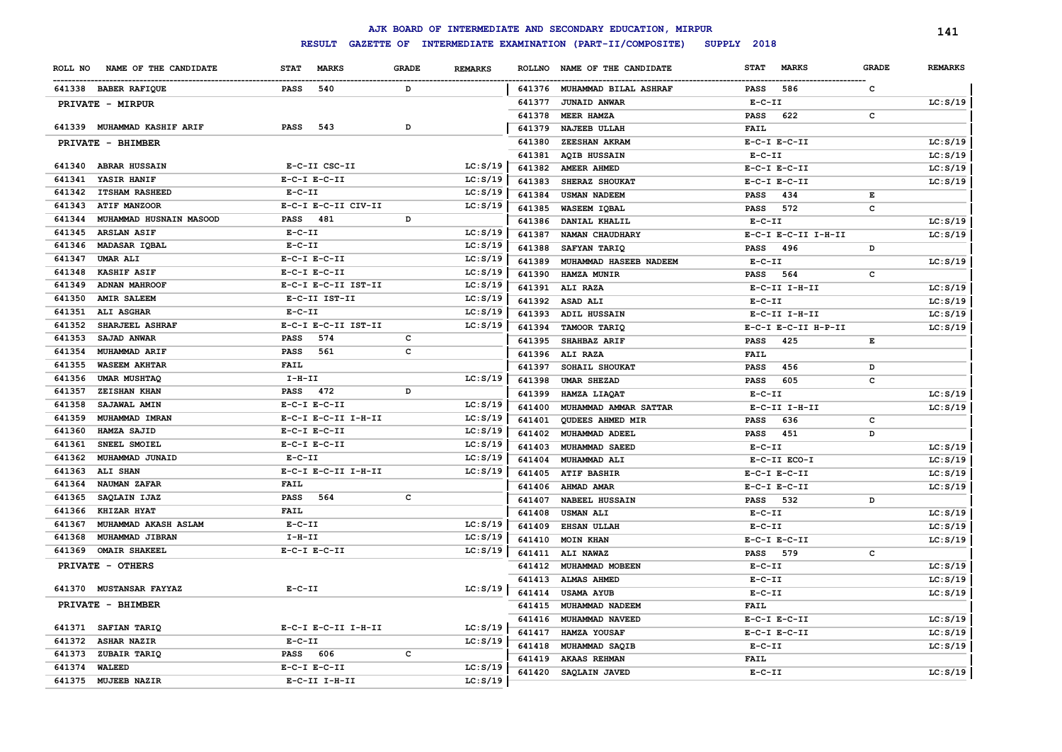|               |                             |                             |              |                |        | AJK BOARD OF INTERMEDIATE AND SECONDARY EDUCATION, MIRPUR |                             |              | 141            |
|---------------|-----------------------------|-----------------------------|--------------|----------------|--------|-----------------------------------------------------------|-----------------------------|--------------|----------------|
|               |                             | <b>RESULT</b>               |              |                |        | GAZETTE OF INTERMEDIATE EXAMINATION (PART-II/COMPOSITE)   | SUPPLY 2018                 |              |                |
| ROLL NO       | NAME OF THE CANDIDATE       | <b>MARKS</b><br><b>STAT</b> | <b>GRADE</b> | <b>REMARKS</b> |        | ROLLNO NAME OF THE CANDIDATE                              | <b>MARKS</b><br><b>STAT</b> | <b>GRADE</b> | <b>REMARKS</b> |
|               | 641338 BABER RAFIQUE        | <b>PASS</b><br>540          | D            |                |        | 641376 MUHAMMAD BILAL ASHRAF                              | 586<br>PASS                 | c            |                |
|               | PRIVATE - MIRPUR            |                             |              |                | 641377 | <b>JUNAID ANWAR</b>                                       | $E- C- II$                  |              | LC: S/19       |
|               |                             |                             |              |                | 641378 | MEER HAMZA                                                | 622<br>PASS                 | $\mathtt{c}$ |                |
|               | 641339 MUHAMMAD KASHIF ARIF | <b>PASS</b><br>543          | D            |                | 641379 | NAJEEB ULLAH                                              | <b>FAIL</b>                 |              |                |
|               | PRIVATE - BHIMBER           |                             |              |                | 641380 | ZEESHAN AKRAM                                             | $E-C-I$ $E-C-II$            |              | LC: S/19       |
|               |                             |                             |              |                | 641381 | <b>AQIB HUSSAIN</b>                                       | $E-C-II$                    |              | LC: S/19       |
|               | 641340 ABRAR HUSSAIN        | E-C-II CSC-II               |              | LC: S/19       | 641382 | AMEER AHMED                                               | $E-C-I$ $E-C-II$            |              | LC: S/19       |
| 641341        | YASIR HANIF                 | $E-C-I$ $E-C-II$            |              | LC: S/19       | 641383 | SHERAZ SHOUKAT                                            | $E-C-I$ $E-C-II$            |              | LC: S/19       |
| 641342        | <b>ITSHAM RASHEED</b>       | $E-C-II$                    |              | LC: S/19       | 641384 | <b>USMAN NADEEM</b>                                       | 434<br><b>PASS</b>          | Е            |                |
| 641343        | <b>ATIF MANZOOR</b>         | E-C-I E-C-II CIV-II         |              | LC: S/19       | 641385 | WASEEM IQBAL                                              | 572<br><b>PASS</b>          | c            |                |
| 641344        | MUHAMMAD HUSNAIN MASOOD     | PASS<br>481                 | D            |                | 641386 | DANIAL KHALIL                                             | $E- C- II$                  |              | LC: S/19       |
| 641345        | <b>ARSLAN ASIF</b>          | $E- C- II$                  |              | LC: S/19       | 641387 | NAMAN CHAUDHARY                                           | E-C-I E-C-II I-H-II         |              | LC: S/19       |
| 641346        | MADASAR IQBAL               | $E- C- II$                  |              | LC: S/19       | 641388 | <b>SAFYAN TARIO</b>                                       | 496<br><b>PASS</b>          | D            |                |
| 641347        | <b>UMAR ALI</b>             | $E-C-I$ $E-C-II$            |              | LC: S/19       | 641389 | MUHAMMAD HASEEB NADEEM                                    | $E-C-II$                    |              | LC: S/19       |
| 641348        | KASHIF ASIF                 | $E-C-I$ $E-C-II$            |              | LC: S/19       | 641390 | HAMZA MUNIR                                               | 564<br><b>PASS</b>          | c            |                |
| 641349        | <b>ADNAN MAHROOF</b>        | E-C-I E-C-II IST-II         |              | LC: S/19       | 641391 | ALI RAZA                                                  | E-C-II I-H-II               |              | LC: S/19       |
| 641350        | <b>AMIR SALEEM</b>          | E-C-II IST-II               |              | LC: S/19       | 641392 | ASAD ALI                                                  | $E- C- II$                  |              | LC: S/19       |
| 641351        | ALI ASGHAR                  | $E- C- II$                  |              | LC: S/19       | 641393 | ADIL HUSSAIN                                              | E-C-II I-H-II               |              | LC: S/19       |
| 641352        | SHARJEEL ASHRAF             | E-C-I E-C-II IST-II         |              | LC: S/19       | 641394 | TAMOOR TARIO                                              | E-C-I E-C-II H-P-II         |              | LC: S/19       |
| 641353        | SAJAD ANWAR                 | <b>PASS</b><br>574          | C            |                | 641395 | <b>SHAHBAZ ARIF</b>                                       | PASS<br>425                 | E            |                |
| 641354        | MUHAMMAD ARIF               | <b>PASS</b><br>561          | C            |                | 641396 | ALI RAZA                                                  | <b>FAIL</b>                 |              |                |
| 641355        | <b>WASEEM AKHTAR</b>        | <b>FAIL</b>                 |              |                | 641397 | SOHAIL SHOUKAT                                            | 456<br><b>PASS</b>          | D            |                |
| 641356        | <b>UMAR MUSHTAQ</b>         | $I-H-II$                    |              | LC: S/19       | 641398 | <b>UMAR SHEZAD</b>                                        | 605<br><b>PASS</b>          | c            |                |
| 641357        | <b>ZEISHAN KHAN</b>         | PASS<br>472                 | D            |                | 641399 | HAMZA LIAQAT                                              | $E-C-II$                    |              | LC: S/19       |
| 641358        | SAJAWAL AMIN                | $E-C-I$ $E-C-II$            |              | LC: S/19       | 641400 | MUHAMMAD AMMAR SATTAR                                     | $E-C-II$ I-H-II             |              | LC: S/19       |
| 641359        | MUHAMMAD IMRAN              | E-C-I E-C-II I-H-II         |              | LC: S/19       | 641401 | <b>QUDEES AHMED MIR</b>                                   | <b>PASS</b><br>636          | c            |                |
| 641360        | HAMZA SAJID                 | $E-C-I$ $E-C-II$            |              | LC: S/19       | 641402 | MUHAMMAD ADEEL                                            | 451<br><b>PASS</b>          | D            |                |
| 641361        | SNEEL SMOIEL                | $E-C-I$ $E-C-II$            |              | LC: S/19       | 641403 | MUHAMMAD SAEED                                            | $E-C-II$                    |              | LC: S/19       |
| 641362        | MUHAMMAD JUNAID             | $E - C - II$                |              | LC: S/19       | 641404 | MUHAMMAD ALI                                              | E-C-II ECO-I                |              | LC: S/19       |
| 641363        | ALI SHAN                    | E-C-I E-C-II I-H-II         |              | LC: S/19       | 641405 | <b>ATIF BASHIR</b>                                        | $E-C-I$ $E-C-II$            |              | LC: S/19       |
| 641364        | NAUMAN ZAFAR                | <b>FAIL</b>                 |              |                | 641406 | AHMAD AMAR                                                | $E-C-I$ $E-C-II$            |              | LC: S/19       |
| 641365        | SAQLAIN IJAZ                | 564<br>PASS                 | c            |                | 641407 | <b>NABEEL HUSSAIN</b>                                     | 532<br>PASS                 | D            |                |
| 641366        | <b>KHIZAR HYAT</b>          | <b>FAIL</b>                 |              |                | 641408 | <b>USMAN ALI</b>                                          | $E-C-II$                    |              | LC: S/19       |
| 641367        | MUHAMMAD AKASH ASLAM        | $E-C-II$                    |              | LC: S/19       | 641409 | <b>EHSAN ULLAH</b>                                        | $E- C- II$                  |              | LC: S/19       |
| 641368        | MUHAMMAD JIBRAN             | $I-H-II$                    |              | LC: S/19       | 641410 | <b>MOIN KHAN</b>                                          | $E-C-I$ $E-C-II$            |              | LC: S/19       |
| 641369        | <b>OMAIR SHAKEEL</b>        | $E-C-I$ $E-C-II$            |              | LC: S/19       | 641411 | <b>ALI NAWAZ</b>                                          | 579<br><b>PASS</b>          | c            |                |
|               | PRIVATE - OTHERS            |                             |              |                | 641412 | MUHAMMAD MOBEEN                                           | $E-C-II$                    |              | LC: S/19       |
|               |                             |                             |              |                | 641413 | <b>ALMAS AHMED</b>                                        | $E - C - II$                |              | LC: S/19       |
|               | 641370 MUSTANSAR FAYYAZ     | $E-C-II$                    |              | LC: S/19       | 641414 | <b>USAMA AYUB</b>                                         | $E- C- II$                  |              | LC: S/19       |
|               | PRIVATE - BHIMBER           |                             |              |                | 641415 | MUHAMMAD NADEEM                                           | <b>FAIL</b>                 |              |                |
|               | 641371 SAFIAN TARIQ         | E-C-I E-C-II I-H-II         |              | LC: S/19       | 641416 | MUHAMMAD NAVEED                                           | $E-C-I$ $E-C-II$            |              | LC: S/19       |
| 641372        | <b>ASHAR NAZIR</b>          | $E - C - II$                |              | LC: S/19       | 641417 | HAMZA YOUSAF                                              | $E-C-I$ $E-C-II$            |              | LC: S/19       |
| 641373        | ZUBAIR TARIQ                | PASS 606                    | C            |                | 641418 | MUHAMMAD SAQIB                                            | $E-C-II$                    |              | LC: S/19       |
| 641374 WALEED |                             | $E-C-I$ $E-C-II$            |              | LC: S/19       | 641419 | <b>AKAAS REHMAN</b>                                       | <b>FAIL</b>                 |              |                |
|               | 641375 MUJEEB NAZIR         | $E-C-II$ I-H-II             |              | LC: S/19       | 641420 | SAQLAIN JAVED                                             | $E-C-II$                    |              | LC: S/19       |
|               |                             |                             |              |                |        |                                                           |                             |              |                |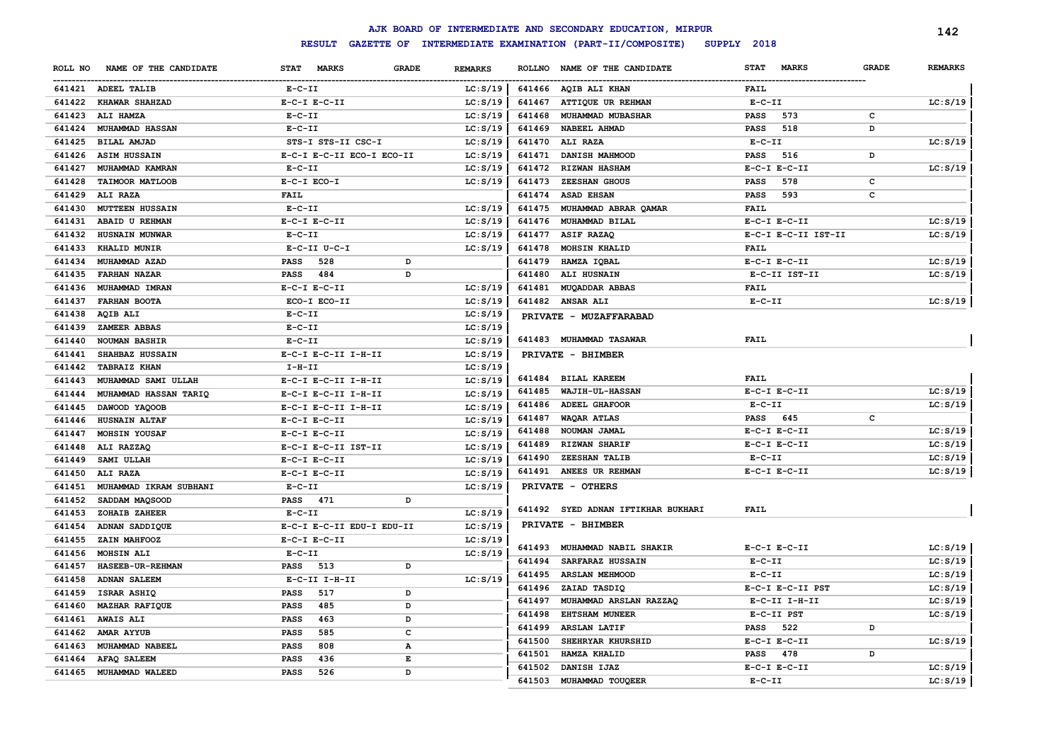|         |                        |                           |                                |               | AJK BOARD OF INTERMEDIATE AND SECONDARY EDUCATION, MIRPUR |                  |                     |              | 142            |
|---------|------------------------|---------------------------|--------------------------------|---------------|-----------------------------------------------------------|------------------|---------------------|--------------|----------------|
|         |                        | <b>RESULT</b>             |                                |               | GAZETTE OF INTERMEDIATE EXAMINATION (PART-II/COMPOSITE)   | SUPPLY 2018      |                     |              |                |
| ROLL NO | NAME OF THE CANDIDATE  | STAT MARKS                | <b>GRADE</b><br><b>REMARKS</b> | <b>ROLLNO</b> | NAME OF THE CANDIDATE                                     | <b>STAT</b>      | <b>MARKS</b>        | <b>GRADE</b> | <b>REMARKS</b> |
|         | 641421 ADEEL TALIB     | $E- C- II$                | LC: S/19                       |               | 641466 AQIB ALI KHAN                                      | FAIL             |                     |              |                |
| 641422  | <b>KHAWAR SHAHZAD</b>  | $E-C-I$ $E-C-II$          | LC: S/19                       | 641467        | ATTIQUE UR REHMAN                                         | $E-C-II$         |                     |              | LC: S/19       |
| 641423  | ALI HAMZA              | $E- C- II$                | LC: S/19                       | 641468        | <b>MUHAMMAD MUBASHAR</b>                                  | <b>PASS</b>      | 573                 | с            |                |
| 641424  | MUHAMMAD HASSAN        | $E-C-II$                  | LC: S/19                       | 641469        | NABEEL AHMAD                                              | <b>PASS</b>      | 518                 | D            |                |
| 641425  | <b>BILAL AMJAD</b>     | STS-I STS-II CSC-I        | LC: S/19                       | 641470        | <b>ALI RAZA</b>                                           | $E-C-II$         |                     |              | LC: S/19       |
| 641426  | <b>ASIM HUSSAIN</b>    | E-C-I E-C-II ECO-I ECO-II | LC: S/19                       | 641471        | DANISH MAHMOOD                                            | <b>PASS</b>      | 516                 | D            |                |
| 641427  | MUHAMMAD KAMRAN        | $E - C - II$              | LC: S/19                       |               | 641472 RIZWAN HASHAM                                      | $E-C-I$ $E-C-II$ |                     |              | LC: S/19       |
| 641428  | <b>TAIMOOR MATLOOB</b> | $E-C-I$ $ECO-I$           | LC: S/19                       | 641473        | ZEESHAN GHOUS                                             | <b>PASS</b>      | 578                 | c            |                |
| 641429  | ALI RAZA               | <b>FAIL</b>               |                                | 641474        | <b>ASAD EHSAN</b>                                         | <b>PASS</b>      | 593                 | c            |                |
| 641430  | <b>MUTTEEN HUSSAIN</b> | $E-C-II$                  | LC: S/19                       | 641475        | MUHAMMAD ABRAR QAMAR                                      | <b>FAIL</b>      |                     |              |                |
| 641431  | ABAID U REHMAN         | $E-C-I$ $E-C-II$          | LC: S/19                       | 641476        | MUHAMMAD BILAL                                            | $E-C-I$ $E-C-II$ |                     |              | LC: S/19       |
| 641432  | HUSNAIN MUNWAR         | $E-C-II$                  | LC: S/19                       | 641477        | ASIF RAZAQ                                                |                  | E-C-I E-C-II IST-II |              | LC: S/19       |
| 641433  | KHALID MUNIR           | E-C-II U-C-I              | LC: S/19                       | 641478        | <b>MOHSIN KHALID</b>                                      | <b>FAIL</b>      |                     |              |                |
| 641434  | MUHAMMAD AZAD          | <b>PASS</b><br>528        | D                              | 641479        | HAMZA IQBAL                                               | $E-C-I$ $E-C-II$ |                     |              | LC: S/19       |
| 641435  | <b>FARHAN NAZAR</b>    | <b>PASS</b><br>484        | D                              | 641480        | ALI HUSNAIN                                               |                  | E-C-II IST-II       |              | LC: S/19       |
| 641436  | MUHAMMAD IMRAN         | $E-C-I$ $E-C-II$          | LC: S/19                       | 641481        | <b>MUQADDAR ABBAS</b>                                     | <b>FAIL</b>      |                     |              |                |
| 641437  | <b>FARHAN BOOTA</b>    | ECO-I ECO-II              | LC: S/19                       |               | 641482 ANSAR ALI                                          | $E - C - II$     |                     |              | LC: S/19       |
| 641438  | AQIB ALI               | $E - C - II$              | LC: S/19                       |               | PRIVATE - MUZAFFARABAD                                    |                  |                     |              |                |
| 641439  | ZAMEER ABBAS           | $E - C - II$              | LC: S/19                       |               |                                                           |                  |                     |              |                |
| 641440  | <b>NOUMAN BASHIR</b>   | $E-C-II$                  | LC: S/19                       |               | 641483 MUHAMMAD TASAWAR                                   | <b>FAIL</b>      |                     |              |                |
| 641441  | SHAHBAZ HUSSAIN        | E-C-I E-C-II I-H-II       | LC: S/19                       |               | PRIVATE - BHIMBER                                         |                  |                     |              |                |
| 641442  | <b>TABRAIZ KHAN</b>    | $I-H-II$                  | LC: S/19                       |               |                                                           |                  |                     |              |                |
| 641443  | MUHAMMAD SAMI ULLAH    | E-C-I E-C-II I-H-II       | LC: S/19                       |               | 641484 BILAL KAREEM                                       | <b>FAIL</b>      |                     |              |                |
| 641444  | MUHAMMAD HASSAN TARIQ  | E-C-I E-C-II I-H-II       | LC: S/19                       | 641485        | <b>WAJIH-UL-HASSAN</b>                                    | $E-C-I$ $E-C-II$ |                     |              | LC: S/19       |
| 641445  | DAWOOD YAQOOB          | E-C-I E-C-II I-H-II       | LC: S/19                       | 641486        | <b>ADEEL GHAFOOR</b>                                      | $E-C-II$         |                     |              | LC: S/19       |
| 641446  | <b>HUSNAIN ALTAF</b>   | $E-C-I$ $E-C-II$          | LC: S/19                       | 641487        | WAQAR ATLAS                                               | <b>PASS</b>      | 645                 | c            |                |
| 641447  | MOHSIN YOUSAF          | $E-C-I$ $E-C-II$          | LC: S/19                       | 641488        | NOUMAN JAMAL                                              | $E-C-I$ $E-C-II$ |                     |              | LC: S/19       |
| 641448  | ALI RAZZAQ             | E-C-I E-C-II IST-II       | LC: S/19                       | 641489        | <b>RIZWAN SHARIF</b>                                      | $E-C-I$ $E-C-II$ |                     |              | LC: S/19       |
| 641449  | SAMI ULLAH             | $E-C-I$ $E-C-II$          | LC: S/19                       | 641490        | ZEESHAN TALIB                                             | $E-C-II$         |                     |              | LC: S/19       |
| 641450  | ALI RAZA               | $E-C-I$ $E-C-II$          | LC: S/19                       | 641491        | ANEES UR REHMAN                                           | $E-C-I$ $E-C-II$ |                     |              | LC: S/19       |
| 641451  | MUHAMMAD IKRAM SUBHANI | $E - C - II$              | LC: S/19                       |               | PRIVATE - OTHERS                                          |                  |                     |              |                |
| 641452  | SADDAM MAQSOOD         | 471<br><b>PASS</b>        | D                              |               |                                                           |                  |                     |              |                |
| 641453  | ZOHAIB ZAHEER          | $E-C-II$                  | LC: S/19                       |               | 641492 SYED ADNAN IFTIKHAR BUKHARI                        | FAIL             |                     |              |                |
| 641454  | ADNAN SADDIQUE         | E-C-I E-C-II EDU-I EDU-II | LC: S/19                       |               | PRIVATE - BHIMBER                                         |                  |                     |              |                |
| 641455  | ZAIN MAHFOOZ           | $E-C-I$ $E-C-II$          | LC: S/19                       |               |                                                           |                  |                     |              |                |
| 641456  | <b>MOHSIN ALI</b>      | $E - C - II$              | LC: S/19                       | 641493        | MUHAMMAD NABIL SHAKIR                                     | $E-C-I$ $E-C-II$ |                     |              | LC: S/19       |
| 641457  | HASEEB-UR-REHMAN       | 513<br>PASS               | D                              | 641494        | SARFARAZ HUSSAIN                                          | $E-C-TI$         |                     |              | LC: S/19       |
| 641458  | <b>ADNAN SALEEM</b>    | E-C-II I-H-II             | LC: S/19                       | 641495        | <b>ARSLAN MEHMOOD</b>                                     | $E-C-II$         |                     |              | LC: S/19       |
| 641459  | ISRAR ASHIQ            | 517<br>PASS               | D                              | 641496        | ZAIAD TASDIQ                                              |                  | E-C-I E-C-II PST    |              | LC: S/19       |
| 641460  | <b>MAZHAR RAFIQUE</b>  | <b>PASS</b><br>485        | D                              | 641497        | MUHAMMAD ARSLAN RAZZAQ                                    |                  | $E-C-II$ I-H-II     |              | LC: S/19       |
| 641461  | <b>AWAIS ALI</b>       | PASS<br>463               | D                              | 641498        | <b>EHTSHAM MUNEER</b>                                     | E-C-II PST       |                     |              | LC: S/19       |
| 641462  | AMAR AYYUB             | PASS<br>585               | c                              | 641499        | <b>ARSLAN LATIF</b>                                       | PASS             | 522                 | D            |                |
| 641463  | MUHAMMAD NABEEL        | <b>PASS</b><br>808        | $\mathbf A$                    | 641500        | SHEHRYAR KHURSHID                                         | $E-C-I$ $E-C-II$ |                     |              | LC: S/19       |
| 641464  | AFAQ SALEEM            | 436<br><b>PASS</b>        | E                              | 641501        | HAMZA KHALID                                              | PASS             | 478                 | D            |                |
| 641465  | <b>MUHAMMAD WALEED</b> | <b>PASS</b><br>526        | D                              | 641502        | DANISH IJAZ                                               | $E-C-I$ $E-C-II$ |                     |              | LC: S/19       |
|         |                        |                           |                                | 641503        | MUHAMMAD TOUQEER                                          | $E-C-II$         |                     |              | LC: S/19       |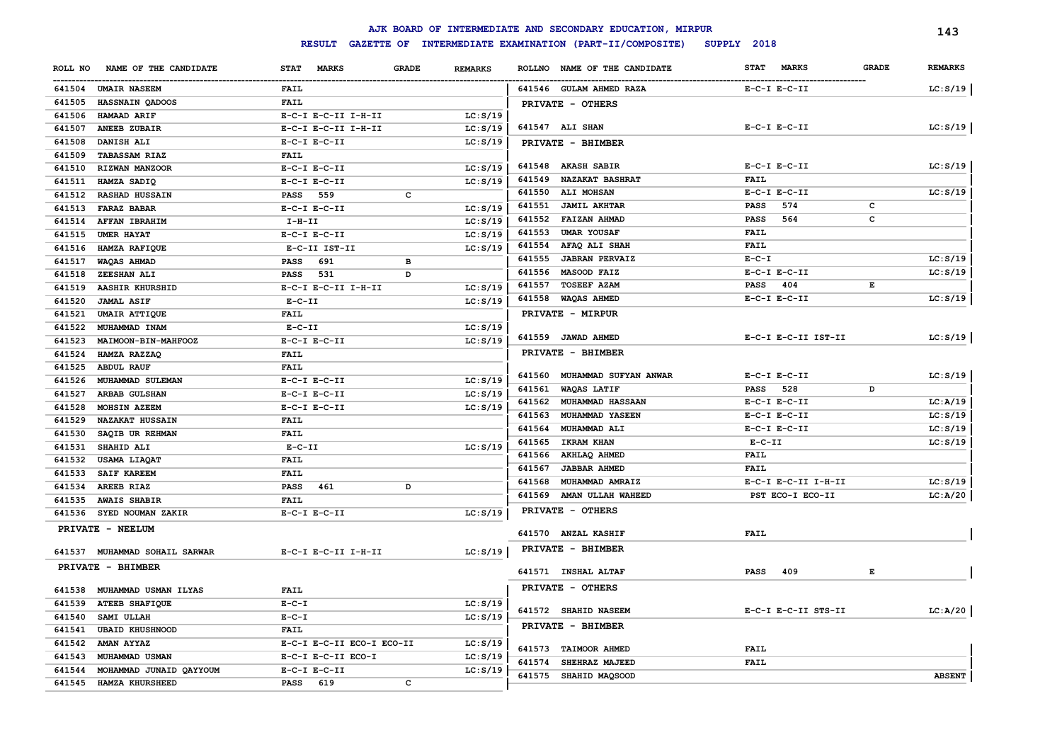|         |                               |                             |                                |        | AJK BOARD OF INTERMEDIATE AND SECONDARY EDUCATION, MIRPUR |                             |              | 143            |
|---------|-------------------------------|-----------------------------|--------------------------------|--------|-----------------------------------------------------------|-----------------------------|--------------|----------------|
|         |                               | <b>RESULT</b>               |                                |        | GAZETTE OF INTERMEDIATE EXAMINATION (PART-II/COMPOSITE)   | SUPPLY 2018                 |              |                |
| ROLL NO | NAME OF THE CANDIDATE         | <b>STAT</b><br><b>MARKS</b> | <b>GRADE</b><br><b>REMARKS</b> |        | ROLLNO NAME OF THE CANDIDATE                              | <b>MARKS</b><br><b>STAT</b> | <b>GRADE</b> | <b>REMARKS</b> |
|         | 641504 UMAIR NASEEM           | FAIL                        |                                |        | 641546 GULAM AHMED RAZA                                   | $E-C-I$ $E-C-II$            |              | LC: S/19       |
| 641505  | HASSNAIN QADOOS               | <b>FAIL</b>                 |                                |        | PRIVATE - OTHERS                                          |                             |              |                |
| 641506  | <b>HAMAAD ARIF</b>            | $E-C-I$ $E-C-II$ $I-H-II$   | LC: S/19                       |        |                                                           |                             |              |                |
| 641507  | <b>ANEEB ZUBAIR</b>           | E-C-I E-C-II I-H-II         | LC: S/19                       |        | 641547 ALI SHAN                                           | $E-C-I$ $E-C-II$            |              | LC: S/19       |
| 641508  | DANISH ALI                    | $E-C-I$ $E-C-II$            | LC: S/19                       |        | PRIVATE - BHIMBER                                         |                             |              |                |
| 641509  | <b>TABASSAM RIAZ</b>          | <b>FAIL</b>                 |                                |        |                                                           |                             |              |                |
| 641510  | RIZWAN MANZOOR                | $E-C-I$ $E-C-II$            | LC: S/19                       |        | 641548 AKASH SABIR                                        | $E-C-I$ $E-C-II$            |              | LC: S/19       |
| 641511  | HAMZA SADIQ                   | $E-C-I$ $E-C-II$            | LC: S/19                       | 641549 | <b>NAZAKAT BASHRAT</b>                                    | <b>FAIL</b>                 |              |                |
| 641512  | <b>RASHAD HUSSAIN</b>         | PASS 559                    | c                              |        | 641550 ALI MOHSAN                                         | $E-C-I$ $E-C-II$            |              | LC: S/19       |
| 641513  | FARAZ BABAR                   | $E-C-I$ $E-C-II$            | LC: S/19                       | 641551 | <b>JAMIL AKHTAR</b>                                       | 574<br><b>PASS</b>          | c            |                |
| 641514  | <b>AFFAN IBRAHIM</b>          | $I-H-II$                    | LC: S/19                       | 641552 | <b>FAIZAN AHMAD</b>                                       | <b>PASS</b><br>564          | c            |                |
| 641515  | <b>UMER HAYAT</b>             | $E-C-I$ $E-C-II$            | LC: S/19                       | 641553 | <b>UMAR YOUSAF</b>                                        | <b>FAIL</b>                 |              |                |
| 641516  | HAMZA RAFIQUE                 | E-C-II IST-II               | LC: S/19                       | 641554 | AFAQ ALI SHAH                                             | <b>FAIL</b>                 |              |                |
| 641517  | WAQAS AHMAD                   | 691<br><b>PASS</b>          | в                              | 641555 | <b>JABRAN PERVAIZ</b>                                     | $E - C - I$                 |              | LC: S/19       |
| 641518  | <b>ZEESHAN ALI</b>            | 531<br>PASS                 | D                              | 641556 | MASOOD FAIZ                                               | $E-C-I$ $E-C-II$            |              | LC: S/19       |
| 641519  | <b>AASHIR KHURSHID</b>        | $E-C-I$ $E-C-II$ $I-H-II$   | LC: S/19                       | 641557 | TOSEEF AZAM                                               | 404<br>PASS                 | Е            |                |
| 641520  | <b>JAMAL ASIF</b>             | $E-C-II$                    | LC: S/19                       | 641558 | <b>WAQAS AHMED</b>                                        | $E-C-I$ $E-C-II$            |              | LC: S/19       |
| 641521  | UMAIR ATTIQUE                 | <b>FAIL</b>                 |                                |        | PRIVATE - MIRPUR                                          |                             |              |                |
| 641522  | MUHAMMAD INAM                 | $E-C-II$                    | LC: S/19                       |        |                                                           |                             |              |                |
| 641523  | MAIMOON-BIN-MAHFOOZ           | $E-C-I$ $E-C-II$            | LC: S/19                       |        | 641559 JAWAD AHMED                                        | E-C-I E-C-II IST-II         |              | LC: S/19       |
| 641524  | HAMZA RAZZAQ                  | <b>FAIL</b>                 |                                |        | PRIVATE - BHIMBER                                         |                             |              |                |
| 641525  | <b>ABDUL RAUF</b>             | <b>FAIL</b>                 |                                |        |                                                           |                             |              |                |
| 641526  | MUHAMMAD SULEMAN              | $E-C-I$ $E-C-II$            | LC: S/19                       |        | 641560 MUHAMMAD SUFYAN ANWAR                              | $E-C-I$ $E-C-II$            |              | LC: S/19       |
| 641527  | ARBAB GULSHAN                 | $E-C-I$ $E-C-II$            | LC: S/19                       | 641561 | <b>WAQAS LATIF</b>                                        | 528<br><b>PASS</b>          | D            |                |
| 641528  | MOHSIN AZEEM                  | $E-C-I$ $E-C-II$            | LC: S/19                       |        | 641562 MUHAMMAD HASSAAN                                   | $E-C-I$ $E-C-II$            |              | LC: A/19       |
| 641529  | <b>NAZAKAT HUSSAIN</b>        | <b>FAIL</b>                 |                                | 641563 | <b>MUHAMMAD YASEEN</b>                                    | $E-C-I$ $E-C-II$            |              | LC: S/19       |
| 641530  | SAQIB UR REHMAN               | <b>FAIL</b>                 |                                | 641564 | <b>MUHAMMAD ALI</b>                                       | $E-C-I$ $E-C-II$            |              | LC: S/19       |
| 641531  | SHAHID ALI                    | $E-C-II$                    | LC: S/19                       |        | 641565 IKRAM KHAN                                         | $E-C-II$                    |              | LC: S/19       |
| 641532  | USAMA LIAQAT                  | <b>FAIL</b>                 |                                | 641566 | AKHLAQ AHMED                                              | <b>FAIL</b>                 |              |                |
| 641533  | <b>SAIF KAREEM</b>            | <b>FAIL</b>                 |                                | 641567 | JABBAR AHMED                                              | <b>FAIL</b>                 |              |                |
| 641534  | AREEB RIAZ                    | PASS 461                    | D                              | 641568 | MUHAMMAD AMRAIZ                                           | E-C-I E-C-II I-H-II         |              | LC: S/19       |
| 641535  | <b>AWAIS SHABIR</b>           | <b>FAIL</b>                 |                                | 641569 | AMAN ULLAH WAHEED                                         | PST ECO-I ECO-II            |              | LC: A/20       |
|         | 641536 SYED NOUMAN ZAKIR      | $E-C-I$ $E-C-II$            | LC: S/19                       |        | PRIVATE - OTHERS                                          |                             |              |                |
|         | PRIVATE - NEELUM              |                             |                                |        | 641570 ANZAL KASHIF                                       | <b>FAIL</b>                 |              |                |
|         |                               |                             |                                |        |                                                           |                             |              |                |
|         | 641537 MUHAMMAD SOHAIL SARWAR | E-C-I E-C-II I-H-II         | LC: S/19                       |        | PRIVATE - BHIMBER                                         |                             |              |                |
|         | PRIVATE - BHIMBER             |                             |                                |        | 641571 INSHAL ALTAF                                       | 409<br><b>PASS</b>          | Е            |                |
| 641538  | MUHAMMAD USMAN ILYAS          | <b>FAIL</b>                 |                                |        | PRIVATE - OTHERS                                          |                             |              |                |
| 641539  | <b>ATEEB SHAFIQUE</b>         | $E-C-T$                     | LC: S/19                       |        |                                                           |                             |              |                |
| 641540  | <b>SAMI ULLAH</b>             | $E - C - I$                 | LC: S/19                       |        | 641572 SHAHID NASEEM                                      | E-C-I E-C-II STS-II         |              | LC: A/20       |
| 641541  | <b>UBAID KHUSHNOOD</b>        | <b>FAIL</b>                 |                                |        | PRIVATE - BHIMBER                                         |                             |              |                |
| 641542  | AMAN AYYAZ                    | E-C-I E-C-II ECO-I ECO-II   | LC: S/19                       |        |                                                           |                             |              |                |
| 641543  | MUHAMMAD USMAN                | E-C-I E-C-II ECO-I          | LC: S/19                       |        | 641573 TAIMOOR AHMED                                      | <b>FAIL</b>                 |              |                |
| 641544  | MOHAMMAD JUNAID QAYYOUM       | $E-C-I$ $E-C-II$            | LC: S/19                       |        | 641574 SHEHRAZ MAJEED                                     | <b>FAIL</b>                 |              |                |
| 641545  | HAMZA KHURSHEED               | 619<br><b>PASS</b>          | C                              |        | 641575 SHAHID MAQSOOD                                     |                             |              | <b>ABSENT</b>  |
|         |                               |                             |                                |        |                                                           |                             |              |                |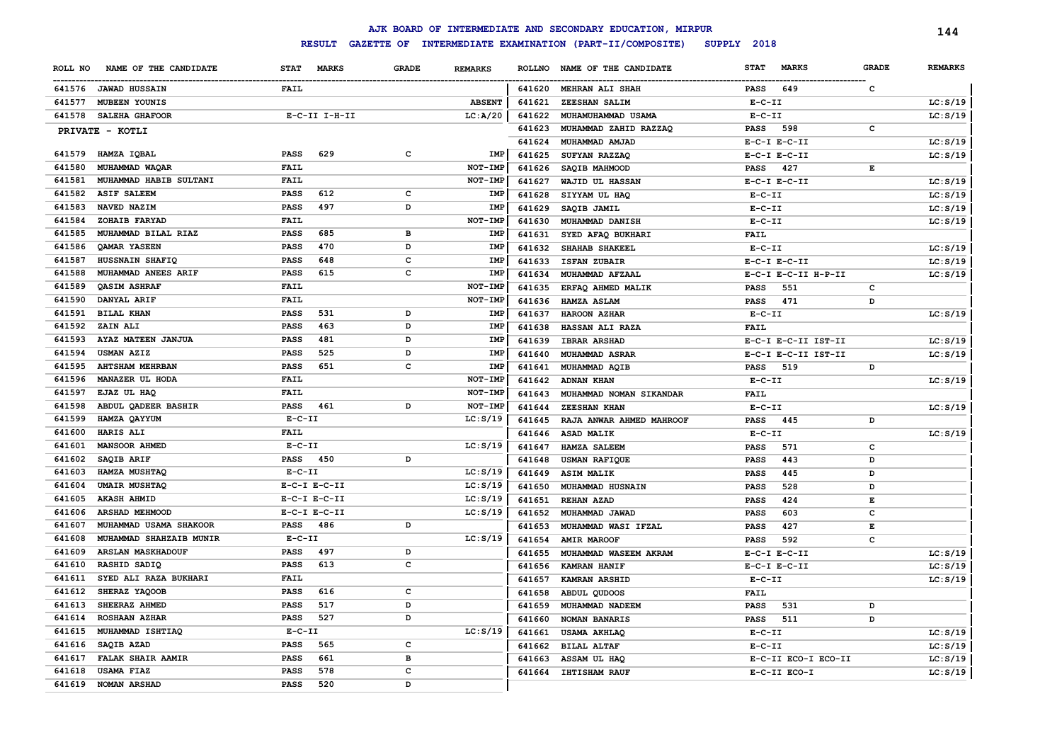|                                    |                             |                                |               | AJK BOARD OF INTERMEDIATE AND SECONDARY EDUCATION, MIRPUR |                             |              | 144            |
|------------------------------------|-----------------------------|--------------------------------|---------------|-----------------------------------------------------------|-----------------------------|--------------|----------------|
|                                    | <b>RESULT</b>               |                                |               | GAZETTE OF INTERMEDIATE EXAMINATION (PART-II/COMPOSITE)   | SUPPLY 2018                 |              |                |
| ROLL NO<br>NAME OF THE CANDIDATE   | <b>STAT</b><br><b>MARKS</b> | <b>GRADE</b><br><b>REMARKS</b> | <b>ROLLNO</b> | NAME OF THE CANDIDATE                                     | <b>STAT</b><br><b>MARKS</b> | <b>GRADE</b> | <b>REMARKS</b> |
| 641576 JAWAD HUSSAIN               | <b>FAIL</b>                 |                                | 641620        | <b>MEHRAN ALI SHAH</b>                                    | 649<br><b>PASS</b>          | $\mathbf{C}$ |                |
| 641577<br><b>MUBEEN YOUNIS</b>     |                             | <b>ABSENT</b>                  | 641621        | ZEESHAN SALIM                                             | $E-C-II$                    |              | LC: S/19       |
| 641578<br>SALEHA GHAFOOR           | $E-C-II$ I-H-II             | LC: A/20                       | 641622        | MUHAMUHAMMAD USAMA                                        | $E-C-II$                    |              | LC: S/19       |
| PRIVATE - KOTLI                    |                             |                                | 641623        | MUHAMMAD ZAHID RAZZAQ                                     | <b>PASS</b><br>598          | $\mathbf c$  |                |
|                                    |                             |                                | 641624        | MUHAMMAD AMJAD                                            | $E-C-I$ $E-C-II$            |              | LC: S/19       |
| HAMZA IQBAL<br>641579              | 629<br><b>PASS</b>          | c<br>IMP                       | 641625        | SUFYAN RAZZAQ                                             | $E-C-I$ $E-C-II$            |              | LC: S/19       |
| MUHAMMAD WAQAR<br>641580           | FAIL                        | NOT-IMP                        | 641626        | SAQIB MAHMOOD                                             | 427<br><b>PASS</b>          | $\mathbf E$  |                |
| MUHAMMAD HABIB SULTANI<br>641581   | FAIL                        | NOT-IMP                        | 641627        | WAJID UL HASSAN                                           | $E-C-I$ $E-C-II$            |              | LC: S/19       |
| <b>ASIF SALEEM</b><br>641582       | 612<br><b>PASS</b>          | $\mathbf c$<br>IMP             | 641628        | SIYYAM UL HAQ                                             | $E-C-II$                    |              | LC: S/19       |
| NAVED NAZIM<br>641583              | 497<br><b>PASS</b>          | D<br>IMP                       | 641629        | SAQIB JAMIL                                               | $E-C-II$                    |              | LC: S/19       |
| ZOHAIB FARYAD<br>641584            | FAIL                        | NOT-IMP                        | 641630        | MUHAMMAD DANISH                                           | $E-C-II$                    |              | LC: S/19       |
| MUHAMMAD BILAL RIAZ<br>641585      | <b>PASS</b><br>685          | в<br>IMP                       | 641631        | SYED AFAQ BUKHARI                                         | <b>FAIL</b>                 |              |                |
| <b>QAMAR YASEEN</b><br>641586      | <b>PASS</b><br>470          | D<br>IMP                       | 641632        | SHAHAB SHAKEEL                                            | $E-C-II$                    |              | LC: S/19       |
| HUSSNAIN SHAFIQ<br>641587          | <b>PASS</b><br>648          | C<br>IMP                       | 641633        | <b>ISFAN ZUBAIR</b>                                       | $E-C-I$ $E-C-II$            |              | LC: S/19       |
| MUHAMMAD ANEES ARIF<br>641588      | 615<br><b>PASS</b>          | $\mathbf c$<br>IMP             | 641634        | MUHAMMAD AFZAAL                                           | E-C-I E-C-II H-P-II         |              | LC: S/19       |
| <b>OASIM ASHRAF</b><br>641589      | FAIL                        | NOT-IMP                        |               |                                                           |                             |              |                |
| DANYAL ARIF<br>641590              | FAIL                        | NOT-IMP                        | 641635        | ERFAQ AHMED MALIK                                         | 551<br><b>PASS</b>          | $\mathtt{c}$ |                |
|                                    | 531                         |                                | 641636        | HAMZA ASLAM                                               | 471<br><b>PASS</b>          | D            |                |
| <b>BILAL KHAN</b><br>641591        | <b>PASS</b>                 | D<br>IMP                       | 641637        | <b>HAROON AZHAR</b>                                       | $E-C-II$                    |              | LC: S/19       |
| 641592<br>ZAIN ALI                 | 463<br><b>PASS</b>          | D<br>IMP                       | 641638        | HASSAN ALI RAZA                                           | FAIL                        |              |                |
| AYAZ MATEEN JANJUA<br>641593       | <b>PASS</b><br>481          | D<br>IMP                       | 641639        | <b>IBRAR ARSHAD</b>                                       | E-C-I E-C-II IST-II         |              | LC: S/19       |
| 641594<br><b>USMAN AZIZ</b>        | 525<br><b>PASS</b>          | D<br>IMP                       | 641640        | <b>MUHAMMAD ASRAR</b>                                     | E-C-I E-C-II IST-II         |              | LC: S/19       |
| 641595<br><b>AHTSHAM MEHRBAN</b>   | <b>PASS</b><br>651          | c<br>IMP                       | 641641        | MUHAMMAD AQIB                                             | <b>PASS</b><br>519          | D            |                |
| MANAZER UL HODA<br>641596          | FAIL                        | NOT-IMP                        | 641642        | <b>ADNAN KHAN</b>                                         | $E-C-II$                    |              | LC: S/19       |
| EJAZ UL HAQ<br>641597              | FAIL                        | NOT-IMP                        | 641643        | MUHAMMAD NOMAN SIKANDAR                                   | FAIL                        |              |                |
| ABDUL QADEER BASHIR<br>641598      | 461<br><b>PASS</b>          | D<br>NOT-IMP                   | 641644        | <b>ZEESHAN KHAN</b>                                       | $E-C-II$                    |              | LC: S/19       |
| 641599<br>HAMZA QAYYUM             | $E - C - II$                | LC: S/19                       | 641645        | RAJA ANWAR AHMED MAHROOF                                  | <b>PASS</b><br>445          | D            |                |
| <b>HARIS ALI</b><br>641600         | FAIL                        |                                | 641646        | ASAD MALIK                                                | $E-C-II$                    |              | LC: S/19       |
| <b>MANSOOR AHMED</b><br>641601     | $E-C-II$                    | LC: S/19                       | 641647        | <b>HAMZA SALEEM</b>                                       | 571<br><b>PASS</b>          | $\mathbf{C}$ |                |
| SAQIB ARIF<br>641602               | 450<br><b>PASS</b>          | D                              | 641648        | <b>USMAN RAFIQUE</b>                                      | 443<br><b>PASS</b>          | D            |                |
| HAMZA MUSHTAQ<br>641603            | $E-C-II$                    | LC: S/19                       | 641649        | <b>ASIM MALIK</b>                                         | 445<br><b>PASS</b>          | D            |                |
| <b>UMAIR MUSHTAQ</b><br>641604     | $E-C-I$ $E-C-II$            | LC: S/19                       | 641650        | MUHAMMAD HUSNAIN                                          | 528<br><b>PASS</b>          | D            |                |
| 641605<br><b>AKASH AHMID</b>       | $E-C-I$ $E-C-II$            | LC: S/19                       | 641651        | <b>REHAN AZAD</b>                                         | 424<br><b>PASS</b>          | $\mathbf E$  |                |
| 641606<br>ARSHAD MEHMOOD           | $E-C-I$ $E-C-II$            | LC: S/19                       | 641652        | MUHAMMAD JAWAD                                            | 603<br><b>PASS</b>          | $\mathbf c$  |                |
| 641607<br>MUHAMMAD USAMA SHAKOOR   | 486<br><b>PASS</b>          | D                              | 641653        | MUHAMMAD WASI IFZAL                                       | 427<br><b>PASS</b>          | $\mathbf E$  |                |
| 641608<br>MUHAMMAD SHAHZAIB MUNIR  | $E-C-II$                    | LC: S/19                       | 641654        | <b>AMIR MAROOF</b>                                        | 592<br><b>PASS</b>          | $\mathbf c$  |                |
| 641609<br><b>ARSLAN MASKHADOUF</b> | 497<br><b>PASS</b>          | D                              | 641655        | MUHAMMAD WASEEM AKRAM                                     | $E-C-I$ $E-C-II$            |              | LC: S/19       |
| 641610<br>RASHID SADIQ             | 613<br><b>PASS</b>          | $\mathbf c$                    | 641656        | <b>KAMRAN HANIF</b>                                       | $E-C-I$ $E-C-II$            |              | LC: S/19       |
| SYED ALI RAZA BUKHARI<br>641611    | FAIL                        |                                | 641657        | KAMRAN ARSHID                                             | $E-C-II$                    |              | LC: S/19       |
| 641612<br>SHERAZ YAQOOB            | 616<br><b>PASS</b>          | $\mathbf c$                    | 641658        | ABDUL QUDOOS                                              | <b>FAIL</b>                 |              |                |
| 641613<br>SHEERAZ AHMED            | 517<br><b>PASS</b>          | D                              | 641659        | MUHAMMAD NADEEM                                           | <b>PASS</b><br>531          | D            |                |
| 641614<br><b>ROSHAAN AZHAR</b>     | 527<br><b>PASS</b>          | D                              | 641660        | <b>NOMAN BANARIS</b>                                      | <b>PASS</b><br>511          | D            |                |
| 641615<br>MUHAMMAD ISHTIAQ         | $E- C- II$                  | LC: S/19                       | 641661        | USAMA AKHLAQ                                              | $E-C-II$                    |              | LC: S/19       |
| SAQIB AZAD<br>641616               | 565<br><b>PASS</b>          | $\mathbf c$                    |               | <b>BILAL ALTAF</b>                                        | $E - C - II$                |              | LC: S/19       |
| 641617<br><b>FALAK SHAIR AAMIR</b> | 661<br><b>PASS</b>          | B                              | 641662        | ASSAM UL HAQ                                              | E-C-II ECO-I ECO-II         |              | LC: S/19       |
| 641618<br><b>USAMA FIAZ</b>        | 578<br><b>PASS</b>          | $\mathbf{C}$                   | 641663        | 641664 IHTISHAM RAUF                                      | $E-C-II$ $ECO-I$            |              |                |
| 641619<br><b>NOMAN ARSHAD</b>      | <b>PASS</b><br>520          | D                              |               |                                                           |                             |              | LC: S/19       |
|                                    |                             |                                |               |                                                           |                             |              |                |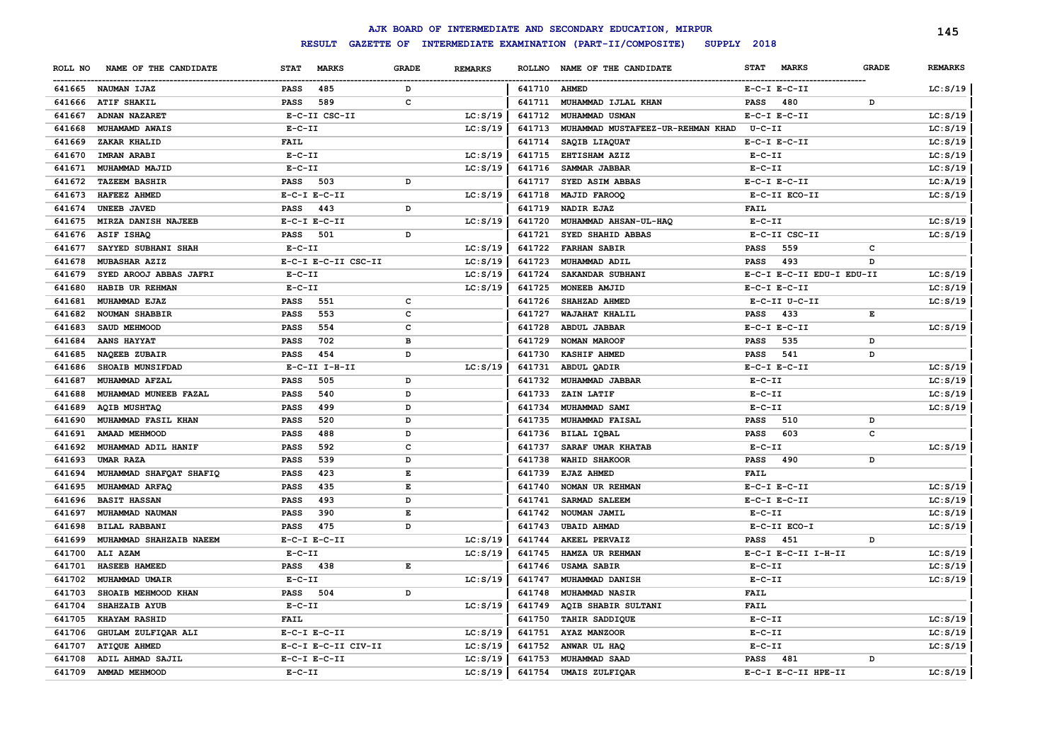|         |                         |                  |                     |              |                |              | AJK BOARD OF INTERMEDIATE AND SECONDARY EDUCATION, MIRPUR |                  |                           |              | 145            |
|---------|-------------------------|------------------|---------------------|--------------|----------------|--------------|-----------------------------------------------------------|------------------|---------------------------|--------------|----------------|
|         |                         |                  | <b>RESULT</b>       |              |                |              | GAZETTE OF INTERMEDIATE EXAMINATION (PART-II/COMPOSITE)   | SUPPLY 2018      |                           |              |                |
| ROLL NO | NAME OF THE CANDIDATE   | <b>STAT</b>      | <b>MARKS</b>        | <b>GRADE</b> | <b>REMARKS</b> |              | ROLLNO NAME OF THE CANDIDATE                              | <b>STAT</b>      | <b>MARKS</b>              | <b>GRADE</b> | <b>REMARKS</b> |
| 641665  | <b>NAUMAN IJAZ</b>      | <b>PASS</b>      | 485                 | D            |                | 641710 AHMED |                                                           | $E-C-I$ $E-C-II$ |                           |              | LC: S/19       |
| 641666  | <b>ATIF SHAKIL</b>      | <b>PASS</b>      | 589                 | C            |                | 641711       | MUHAMMAD IJLAL KHAN                                       | <b>PASS</b>      | 480                       | D            |                |
| 641667  | ADNAN NAZARET           |                  | E-C-II CSC-II       |              | LC: S/19       | 641712       | MUHAMMAD USMAN                                            | $E-C-I$ $E-C-II$ |                           |              | LC: S/19       |
| 641668  | MUHAMAMD AWAIS          | $E-C-II$         |                     |              | LC: S/19       | 641713       | MUHAMMAD MUSTAFEEZ-UR-REHMAN KHAD                         | $U - C - II$     |                           |              | LC: S/19       |
| 641669  | ZAKAR KHALID            | <b>FAIL</b>      |                     |              |                | 641714       | SAQIB LIAQUAT                                             | $E-C-I$ $E-C-II$ |                           |              | LC: S/19       |
| 641670  | <b>IMRAN ARABI</b>      | $E - C - II$     |                     |              | LC: S/19       | 641715       | EHTISHAM AZIZ                                             | $E - C - II$     |                           |              | LC: S/19       |
| 641671  | MUHAMMAD MAJID          | $E-C-II$         |                     |              | LC: S/19       | 641716       | SAMMAR JABBAR                                             | $E-C-II$         |                           |              | LC: S/19       |
| 641672  | <b>TAZEEM BASHIR</b>    | <b>PASS</b>      | 503                 | D            |                | 641717       | SYED ASIM ABBAS                                           | $E-C-I$ $E-C-II$ |                           |              | LC: A/19       |
| 641673  | HAFEEZ AHMED            | $E-C-I$ $E-C-II$ |                     |              | LC: S/19       | 641718       | <b>MAJID FAROOQ</b>                                       | E-C-II ECO-II    |                           |              | LC: S/19       |
| 641674  | UNEEB JAVED             | <b>PASS</b>      | 443                 | D            |                | 641719       | <b>NADIR EJAZ</b>                                         | <b>FAIL</b>      |                           |              |                |
| 641675  | MIRZA DANISH NAJEEB     | $E-C-I$ $E-C-II$ |                     |              | LC: S/19       | 641720       | MUHAMMAD AHSAN-UL-HAQ                                     | $E- C- II$       |                           |              | LC: S/19       |
| 641676  | <b>ASIF ISHAQ</b>       | <b>PASS</b>      | 501                 | D            |                | 641721       | SYED SHAHID ABBAS                                         | E-C-II CSC-II    |                           |              | LC: S/19       |
| 641677  | SAYYED SUBHANI SHAH     | $E - C - II$     |                     |              | LC: S/19       | 641722       | <b>FARHAN SABIR</b>                                       | <b>PASS</b>      | 559                       | C            |                |
| 641678  | MUBASHAR AZIZ           |                  | E-C-I E-C-II CSC-II |              | LC: S/19       | 641723       | MUHAMMAD ADIL                                             | <b>PASS</b>      | 493                       | D            |                |
| 641679  | SYED AROOJ ABBAS JAFRI  | $E-C-II$         |                     |              | LC: S/19       | 641724       | SAKANDAR SUBHANI                                          |                  | E-C-I E-C-II EDU-I EDU-II |              | LC: S/19       |
| 641680  | HABIB UR REHMAN         | $E-C-II$         |                     |              | LC: S/19       | 641725       | MONEEB AMJID                                              | $E-C-I$ $E-C-II$ |                           |              | LC: S/19       |
| 641681  | MUHAMMAD EJAZ           | <b>PASS</b>      | 551                 | $\mathbf{C}$ |                | 641726       | SHAHZAD AHMED                                             | E-C-II U-C-II    |                           |              | LC: S/19       |
| 641682  | NOUMAN SHABBIR          | <b>PASS</b>      | 553                 | $\mathbf c$  |                | 641727       | WAJAHAT KHALIL                                            | <b>PASS</b>      | 433                       | E            |                |
| 641683  | SAUD MEHMOOD            | <b>PASS</b>      | 554                 | C            |                | 641728       | <b>ABDUL JABBAR</b>                                       | $E-C-I$ $E-C-II$ |                           |              | LC: S/19       |
| 641684  | AANS HAYYAT             | <b>PASS</b>      | 702                 | в            |                | 641729       | NOMAN MAROOF                                              | <b>PASS</b>      | 535                       | D            |                |
| 641685  | NAQEEB ZUBAIR           | <b>PASS</b>      | 454                 | D            |                | 641730       | <b>KASHIF AHMED</b>                                       | <b>PASS</b>      | 541                       | D            |                |
| 641686  | SHOAIB MUNSIFDAD        |                  | E-C-II I-H-II       |              | LC: S/19       | 641731       | ABDUL QADIR                                               | $E-C-I$ $E-C-II$ |                           |              | LC: S/19       |
| 641687  | MUHAMMAD AFZAL          | PASS             | 505                 | D            |                | 641732       | MUHAMMAD JABBAR                                           | $E - C - II$     |                           |              | LC: S/19       |
| 641688  | MUHAMMAD MUNEEB FAZAL   | PASS             | 540                 | D            |                | 641733       | ZAIN LATIF                                                | $E-C-II$         |                           |              | LC: S/19       |
| 641689  | <b>AQIB MUSHTAQ</b>     | PASS             | 499                 | D            |                | 641734       | MUHAMMAD SAMI                                             | $E-C-II$         |                           |              | LC: S/19       |
| 641690  | MUHAMMAD FASIL KHAN     | PASS             | 520                 | D            |                | 641735       | MUHAMMAD FAISAL                                           | <b>PASS</b>      | 510                       | D            |                |
| 641691  | AMAAD MEHMOOD           | PASS             | 488                 | D            |                | 641736       | <b>BILAL IQBAL</b>                                        | <b>PASS</b>      | 603                       | c            |                |
| 641692  | MUHAMMAD ADIL HANIF     | PASS             | 592                 | C            |                | 641737       | SARAF UMAR KHATAB                                         | $E-C-II$         |                           |              | LC: S/19       |
| 641693  | UMAR RAZA               | <b>PASS</b>      | 539                 | D            |                | 641738       | <b>WAHID SHAKOOR</b>                                      | <b>PASS</b>      | 490                       | D            |                |
| 641694  | MUHAMMAD SHAFQAT SHAFIQ | <b>PASS</b>      | 423                 | E            |                | 641739       | EJAZ AHMED                                                | <b>FAIL</b>      |                           |              |                |
| 641695  | MUHAMMAD ARFAQ          | <b>PASS</b>      | 435                 | E            |                | 641740       | NOMAN UR REHMAN                                           | $E-C-I$ $E-C-II$ |                           |              | LC: S/19       |
| 641696  | <b>BASIT HASSAN</b>     | <b>PASS</b>      | 493                 | D            |                | 641741       | SARMAD SALEEM                                             | $E-C-I$ $E-C-II$ |                           |              | LC: S/19       |
| 641697  | MUHAMMAD NAUMAN         | <b>PASS</b>      | 390                 | E            |                | 641742       | NOUMAN JAMIL                                              | $E-C-II$         |                           |              | LC: S/19       |
| 641698  | <b>BILAL RABBANI</b>    | <b>PASS</b>      | 475                 | D            |                | 641743       | <b>UBAID AHMAD</b>                                        | E-C-II ECO-I     |                           |              | LC: S/19       |
| 641699  | MUHAMMAD SHAHZAIB NAEEM | $E-C-I$ $E-C-II$ |                     |              | LC: S/19       | 641744       | <b>AKEEL PERVAIZ</b>                                      | <b>PASS</b>      | 451                       | D            |                |
| 641700  | ALI AZAM                | $E-C-II$         |                     |              | LC: S/19       | 641745       | HAMZA UR REHMAN                                           |                  | E-C-I E-C-II I-H-II       |              | LC: S/19       |
| 641701  | HASEEB HAMEED           | PASS             | 438                 | Е            |                | 641746       | <b>USAMA SABIR</b>                                        | $E- C- II$       |                           |              | LC: S/19       |
| 641702  | MUHAMMAD UMAIR          | $E-C-II$         |                     |              | LC: S/19       | 641747       | MUHAMMAD DANISH                                           | $E-C-II$         |                           |              | LC: S/19       |
| 641703  | SHOAIB MEHMOOD KHAN     | <b>PASS</b>      | 504                 | D            |                | 641748       | MUHAMMAD NASIR                                            | <b>FAIL</b>      |                           |              |                |
| 641704  | <b>SHAHZAIB AYUB</b>    | $E - C - II$     |                     |              | LC: S/19       | 641749       | AQIB SHABIR SULTANI                                       | <b>FAIL</b>      |                           |              |                |
| 641705  | KHAYAM RASHID           | <b>FAIL</b>      |                     |              |                | 641750       | TAHIR SADDIQUE                                            | $E- C- II$       |                           |              | LC: S/19       |
| 641706  | GHULAM ZULFIQAR ALI     | $E-C-I$ $E-C-II$ |                     |              | LC: S/19       | 641751       | AYAZ MANZOOR                                              | $E-C-II$         |                           |              | LC: S/19       |
| 641707  | <b>ATIQUE AHMED</b>     |                  | E-C-I E-C-II CIV-II |              | LC: S/19       | 641752       | ANWAR UL HAQ                                              | $E- C- II$       |                           |              | LC: S/19       |
| 641708  | ADIL AHMAD SAJIL        | $E-C-I$ $E-C-II$ |                     |              | LC: S/19       | 641753       | MUHAMMAD SAAD                                             | <b>PASS</b>      | 481                       | D            |                |
|         | 641709 AMMAD MEHMOOD    | $E-C-II$         |                     |              | LC: S/19       | 641754       | <b>UMAIS ZULFIQAR</b>                                     |                  | E-C-I E-C-II HPE-II       |              | LC: S/19       |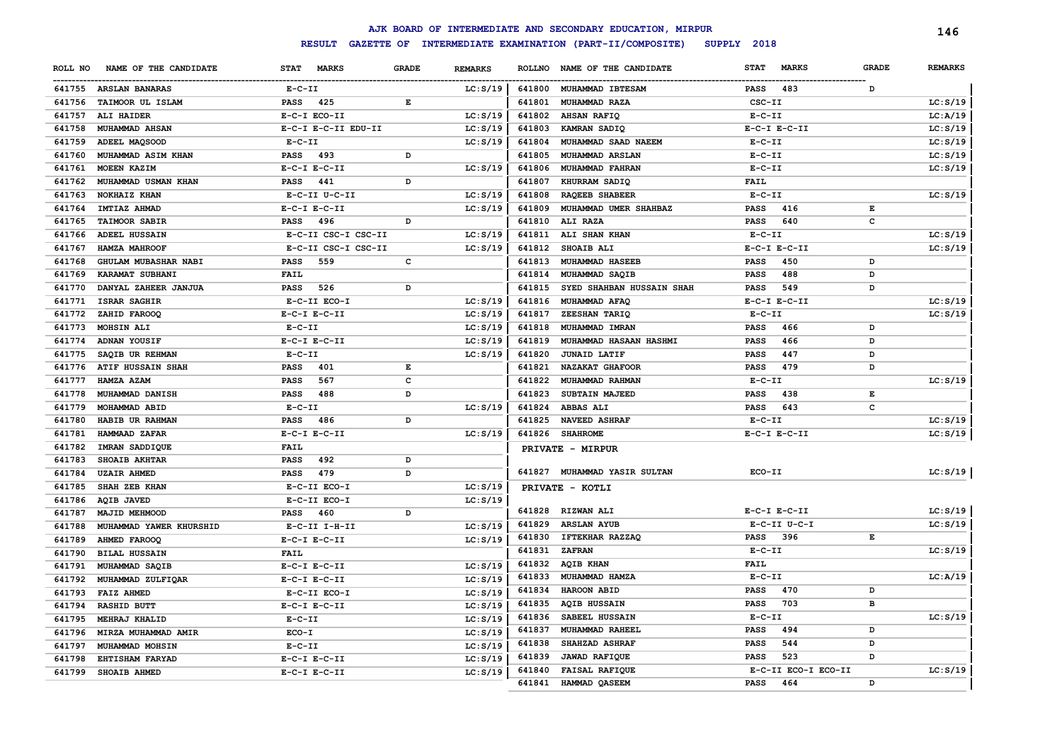|         |                          |                                    |              |                |               | AJK BOARD OF INTERMEDIATE AND SECONDARY EDUCATION, MIRPUR |              |                     |              | 146            |
|---------|--------------------------|------------------------------------|--------------|----------------|---------------|-----------------------------------------------------------|--------------|---------------------|--------------|----------------|
|         |                          | <b>RESULT</b><br><b>GAZETTE OF</b> |              |                |               | INTERMEDIATE EXAMINATION (PART-II/COMPOSITE)              | SUPPLY 2018  |                     |              |                |
| ROLL NO | NAME OF THE CANDIDATE    | <b>STAT</b><br><b>MARKS</b>        | <b>GRADE</b> | <b>REMARKS</b> | <b>ROLLNO</b> | NAME OF THE CANDIDATE                                     | <b>STAT</b>  | <b>MARKS</b>        | <b>GRADE</b> | <b>REMARKS</b> |
|         | 641755 ARSLAN BANARAS    | $E-C-II$                           |              | LC: S/19       | 641800        | MUHAMMAD IBTESAM                                          | <b>PASS</b>  | 483                 | D            |                |
| 641756  | TAIMOOR UL ISLAM         | <b>PASS</b><br>425                 | $\mathbf E$  |                | 641801        | MUHAMMAD RAZA                                             | CSC-II       |                     |              | LC: S/19       |
| 641757  | ALI HAIDER               | E-C-I ECO-II                       |              | LC: S/19       | 641802        | AHSAN RAFIQ                                               | $E-C-II$     |                     |              | LC: A/19       |
| 641758  | MUHAMMAD AHSAN           | E-C-I E-C-II EDU-II                |              | LC: S/19       | 641803        | KAMRAN SADIQ                                              |              | $E-C-I$ $E-C-II$    |              | LC: S/19       |
| 641759  | ADEEL MAQSOOD            | $E-C-II$                           |              | LC: S/19       | 641804        | MUHAMMAD SAAD NAEEM                                       | $E-C-II$     |                     |              | LC: S/19       |
| 641760  | MUHAMMAD ASIM KHAN       | <b>PASS</b><br>493                 | D            |                | 641805        | MUHAMMAD ARSLAN                                           | $E-C-II$     |                     |              | LC: S/19       |
| 641761  | MOEEN KAZIM              | $E-C-I$ $E-C-II$                   |              | LC: S/19       | 641806        | MUHAMMAD FAHRAN                                           | $E-C-II$     |                     |              | LC: S/19       |
| 641762  | MUHAMMAD USMAN KHAN      | 441<br><b>PASS</b>                 | D            |                | 641807        | KHURRAM SADIQ                                             | <b>FAIL</b>  |                     |              |                |
| 641763  | NOKHAIZ KHAN             | E-C-II U-C-II                      |              | LC: S/19       | 641808        | <b>RAQEEB SHABEER</b>                                     | $E-C-II$     |                     |              | LC: S/19       |
| 641764  | IMTIAZ AHMAD             | $E-C-I$ $E-C-II$                   |              | LC: S/19       | 641809        | MUHAMMAD UMER SHAHBAZ                                     | <b>PASS</b>  | 416                 | E            |                |
| 641765  | <b>TAIMOOR SABIR</b>     | 496<br>PASS                        | D            |                | 641810        | ALI RAZA                                                  | <b>PASS</b>  | 640                 | c            |                |
| 641766  | <b>ADEEL HUSSAIN</b>     | E-C-II CSC-I CSC-II                |              | LC: S/19       | 641811        | ALI SHAN KHAN                                             | $E-C-II$     |                     |              | LC: S/19       |
| 641767  | HAMZA MAHROOF            | E-C-II CSC-I CSC-II                |              | LC: S/19       | 641812        | SHOAIB ALI                                                |              | $E-C-I$ $E-C-II$    |              | LC: S/19       |
| 641768  | GHULAM MUBASHAR NABI     | 559<br><b>PASS</b>                 | c            |                | 641813        | MUHAMMAD HASEEB                                           | <b>PASS</b>  | 450                 | D            |                |
| 641769  | KARAMAT SUBHANI          | <b>FAIL</b>                        |              |                | 641814        | MUHAMMAD SAQIB                                            | <b>PASS</b>  | 488                 | D            |                |
| 641770  | DANYAL ZAHEER JANJUA     | PASS<br>526                        | D            |                | 641815        | SYED SHAHBAN HUSSAIN SHAH                                 | <b>PASS</b>  | 549                 | D            |                |
| 641771  | <b>ISRAR SAGHIR</b>      | E-C-II ECO-I                       |              | LC: S/19       | 641816        | MUHAMMAD AFAQ                                             |              | $E-C-I$ $E-C-II$    |              | LC: S/19       |
| 641772  | ZAHID FAROOQ             | $E-C-I$ $E-C-II$                   |              | LC: S/19       | 641817        | ZEESHAN TARIQ                                             | $E - C - II$ |                     |              | LC: S/19       |
| 641773  | MOHSIN ALI               | $E-C-II$                           |              | LC: S/19       | 641818        | MUHAMMAD IMRAN                                            | <b>PASS</b>  | 466                 | D            |                |
| 641774  | ADNAN YOUSIF             | $E-C-I$ $E-C-II$                   |              | LC: S/19       | 641819        | MUHAMMAD HASAAN HASHMI                                    | <b>PASS</b>  | 466                 | D            |                |
| 641775  | SAQIB UR REHMAN          | $E - C - II$                       |              | LC: S/19       | 641820        | <b>JUNAID LATIF</b>                                       | <b>PASS</b>  | 447                 | D            |                |
| 641776  | <b>ATIF HUSSAIN SHAH</b> | PASS<br>401                        | $\mathbf E$  |                | 641821        | NAZAKAT GHAFOOR                                           | <b>PASS</b>  | 479                 | D            |                |
| 641777  | HAMZA AZAM               | 567<br><b>PASS</b>                 | $\mathbf c$  |                | 641822        | MUHAMMAD RAHMAN                                           | $E-C-II$     |                     |              | LC: S/19       |
| 641778  | MUHAMMAD DANISH          | <b>PASS</b><br>488                 | D            |                | 641823        | SUBTAIN MAJEED                                            | <b>PASS</b>  | 438                 | $\mathbf E$  |                |
| 641779  | MOHAMMAD ABID            | $E-C-II$                           |              | LC: S/19       | 641824        | <b>ABBAS ALI</b>                                          | <b>PASS</b>  | 643                 | c            |                |
| 641780  | HABIB UR RAHMAN          | <b>PASS</b><br>486                 | D            |                | 641825        | <b>NAVEED ASHRAF</b>                                      | $E-C-II$     |                     |              | LC: S/19       |
| 641781  | HAMMAAD ZAFAR            | $E-C-I$ $E-C-II$                   |              | LC: S/19       | 641826        | <b>SHAHROME</b>                                           |              | $E-C-I$ $E-C-II$    |              | LC: S/19       |
| 641782  | IMRAN SADDIQUE           | <b>FAIL</b>                        |              |                |               | PRIVATE - MIRPUR                                          |              |                     |              |                |
| 641783  | SHOAIB AKHTAR            | 492<br><b>PASS</b>                 | D            |                |               |                                                           |              |                     |              |                |
| 641784  | <b>UZAIR AHMED</b>       | <b>PASS</b><br>479                 | D            |                | 641827        | MUHAMMAD YASIR SULTAN                                     | ECO-II       |                     |              | LC: S/19       |
| 641785  | SHAH ZEB KHAN            | E-C-II ECO-I                       |              | LC: S/19       |               | PRIVATE - KOTLI                                           |              |                     |              |                |
| 641786  | AQIB JAVED               | E-C-II ECO-I                       |              | LC: S/19       |               |                                                           |              |                     |              |                |
| 641787  | MAJID MEHMOOD            | <b>PASS</b><br>460                 | D            |                | 641828        | <b>RIZWAN ALI</b>                                         |              | $E-C-I$ $E-C-II$    |              | LC: S/19       |
| 641788  | MUHAMMAD YAWER KHURSHID  | E-C-II I-H-II                      |              | LC: S/19       | 641829        | <b>ARSLAN AYUB</b>                                        |              | E-C-II U-C-I        |              | LC: S/19       |
| 641789  | AHMED FAROOQ             | $E-C-I$ $E-C-II$                   |              | LC: S/19       | 641830        | IFTEKHAR RAZZAQ                                           | <b>PASS</b>  | 396                 | E            |                |
| 641790  | <b>BILAL HUSSAIN</b>     | <b>FAIL</b>                        |              |                | 641831        | ZAFRAN                                                    | $E-C-II$     |                     |              | LC: S/19       |
| 641791  | MUHAMMAD SAQIB           | $E-C-I$ $E-C-II$                   |              | LC: S/19       | 641832        | <b>AQIB KHAN</b>                                          | <b>FAIL</b>  |                     |              |                |
| 641792  | MUHAMMAD ZULFIQAR        | $E-C-I$ $E-C-II$                   |              | LC: S/19       | 641833        | MUHAMMAD HAMZA                                            | $E-C-II$     |                     |              | LC: A/19       |
| 641793  | FAIZ AHMED               | E-C-II ECO-I                       |              | LC: S/19       | 641834        | HAROON ABID                                               | <b>PASS</b>  | 470                 | D            |                |
| 641794  | <b>RASHID BUTT</b>       | $E-C-I$ $E-C-II$                   |              | LC: S/19       | 641835        | <b>AQIB HUSSAIN</b>                                       | <b>PASS</b>  | 703                 | в            |                |
| 641795  | MEHRAJ KHALID            | $E - C - II$                       |              | LC: S/19       | 641836        | SABEEL HUSSAIN                                            | $E-C-II$     |                     |              | LC: S/19       |
| 641796  | MIRZA MUHAMMAD AMIR      | ECO-I                              |              | LC: S/19       | 641837        | MUHAMMAD RAHEEI                                           | <b>PASS</b>  | 494                 | D            |                |
| 641797  | MUHAMMAD MOHSIN          | $E - C - II$                       |              | LC: S/19       | 641838        | <b>SHAHZAD ASHRAF</b>                                     | <b>PASS</b>  | 544                 | D            |                |
| 641798  | EHTISHAM FARYAD          | $E-C-I$ $E-C-II$                   |              | LC: S/19       | 641839        | <b>JAWAD RAFIQUE</b>                                      | <b>PASS</b>  | 523                 | D            |                |
|         | 641799 SHOAIB AHMED      | $E-C-I$ $E-C-II$                   |              | LC: S/19       | 641840        | <b>FAISAL RAFIQUE</b>                                     |              | E-C-II ECO-I ECO-II |              | LC: S/19       |
|         |                          |                                    |              |                | 641841        | HAMMAD QASEEM                                             | <b>PASS</b>  | 464                 | D            |                |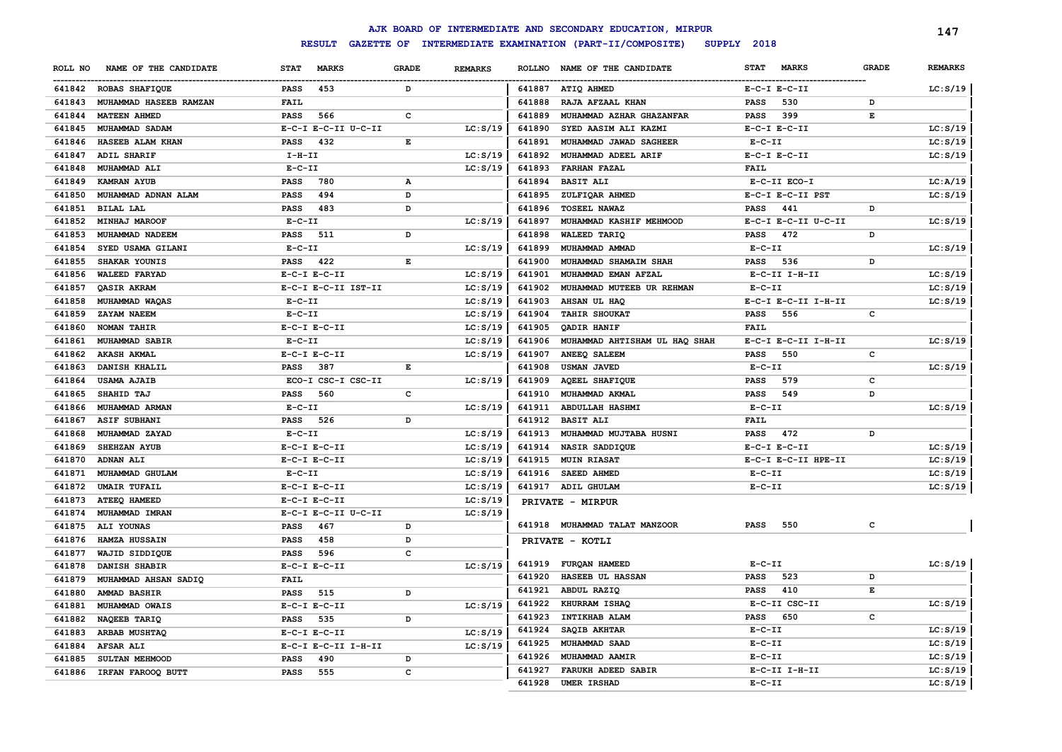|         |                          |                                    |                                                                                                |                |               | AJK BOARD OF INTERMEDIATE AND SECONDARY EDUCATION, MIRPUR |                             |              | 147            |
|---------|--------------------------|------------------------------------|------------------------------------------------------------------------------------------------|----------------|---------------|-----------------------------------------------------------|-----------------------------|--------------|----------------|
|         |                          | <b>RESULT</b><br><b>GAZETTE OF</b> |                                                                                                |                |               | INTERMEDIATE EXAMINATION (PART-II/COMPOSITE)              | SUPPLY 2018                 |              |                |
| ROLL NO | NAME OF THE CANDIDATE    | <b>STAT</b><br><b>MARKS</b>        | <b>GRADE</b>                                                                                   | <b>REMARKS</b> | <b>ROLLNO</b> | NAME OF THE CANDIDATE                                     | <b>STAT</b><br><b>MARKS</b> | <b>GRADE</b> | <b>REMARKS</b> |
|         | 641842 ROBAS SHAFIQUE    | <b>PASS</b><br>453                 | D                                                                                              |                |               | 641887 ATIQ AHMED                                         | $E-C-I$ $E-C-II$            |              | LC: S/19       |
| 641843  | MUHAMMAD HASEEB RAMZAN   | FAIL                               |                                                                                                |                | 641888        | RAJA AFZAAL KHAN                                          | 530<br><b>PASS</b>          | D            |                |
| 641844  | <b>MATEEN AHMED</b>      | 566<br><b>PASS</b>                 | $\mathbf{C}$                                                                                   |                | 641889        | MUHAMMAD AZHAR GHAZANFAR                                  | 399<br><b>PASS</b>          | E            |                |
| 641845  | MUHAMMAD SADAM           | E-C-I E-C-II U-C-II                |                                                                                                | LC: S/19       | 641890        | SYED AASIM ALI KAZMI                                      | $E-C-I$ $E-C-II$            |              | LC: S/19       |
| 641846  | HASEEB ALAM KHAN         | 432<br><b>PASS</b>                 | $\mathbf E$                                                                                    |                | 641891        | MUHAMMAD JAWAD SAGHEER                                    | $E-C-II$                    |              | LC: S/19       |
| 641847  | ADIL SHARIF              | $I-H-II$                           |                                                                                                | LC: S/19       | 641892        | MUHAMMAD ADEEL ARIF                                       | $E-C-I$ $E-C-II$            |              | LC: S/19       |
| 641848  | MUHAMMAD ALI             | $E-C-II$                           |                                                                                                | LC: S/19       | 641893        | <b>FARHAN FAZAL</b>                                       | <b>FAIL</b>                 |              |                |
| 641849  | <b>KAMRAN AYUB</b>       | 780<br><b>PASS</b>                 | $\mathbf A$                                                                                    |                | 641894        | <b>BASIT ALI</b>                                          | E-C-II ECO-I                |              | LC:A/19        |
| 641850  | MUHAMMAD ADNAN ALAM      | 494<br><b>PASS</b>                 | D                                                                                              |                | 641895        | ZULFIQAR AHMED                                            | E-C-I E-C-II PST            |              | LC: S/19       |
| 641851  | <b>BILAL LAL</b>         | <b>PASS</b><br>483                 | D                                                                                              |                | 641896        | <b>TOSEEL NAWAZ</b>                                       | <b>PASS</b><br>441          | D            |                |
| 641852  | MINHAJ MAROOF            | $E-C-II$                           |                                                                                                | LC: S/19       | 641897        | MUHAMMAD KASHIF MEHMOOD                                   | E-C-I E-C-II U-C-II         |              | LC: S/19       |
| 641853  | MUHAMMAD NADEEM          | 511<br><b>PASS</b>                 | D                                                                                              |                | 641898        | <b>WALEED TARIQ</b>                                       | <b>PASS</b><br>472          | D            |                |
| 641854  | SYED USAMA GILANI        | $E-C-II$                           |                                                                                                | LC: S/19       | 641899        | MUHAMMAD AMMAD                                            | $E-C-II$                    |              | LC: S/19       |
| 641855  | SHAKAR YOUNIS            | <b>PASS</b><br>422                 | $\mathbf{E}% _{t}\left  \mathbf{1}\right\rangle =\mathbf{1}_{t}\left  \mathbf{1}\right\rangle$ |                | 641900        | MUHAMMAD SHAMAIM SHAH                                     | <b>PASS</b><br>536          | D            |                |
| 641856  | <b>WALEED FARYAD</b>     | $E-C-I$ $E-C-II$                   |                                                                                                | LC: S/19       | 641901        | MUHAMMAD EMAN AFZAL                                       | E-C-II I-H-II               |              | LC: S/19       |
| 641857  | QASIR AKRAM              | E-C-I E-C-II IST-II                |                                                                                                | LC: S/19       | 641902        | MUHAMMAD MUTEEB UR REHMAN                                 | $E-C-II$                    |              | LC: S/19       |
| 641858  | MUHAMMAD WAQAS           | $E-C-II$                           |                                                                                                | LC: S/19       | 641903        | AHSAN UL HAQ                                              | E-C-I E-C-II I-H-II         |              | LC: S/19       |
| 641859  | ZAYAM NAEEM              | $E-C-II$                           |                                                                                                | LC: S/19       | 641904        | <b>TAHIR SHOUKAT</b>                                      | <b>PASS</b><br>556          | c            |                |
| 641860  | NOMAN TAHIR              | $E-C-I$ $E-C-II$                   |                                                                                                | LC: S/19       | 641905        | QADIR HANIF                                               | <b>FAIL</b>                 |              |                |
| 641861  | MUHAMMAD SABIR           | $E-C-II$                           |                                                                                                | LC: S/19       | 641906        | MUHAMMAD AHTISHAM UL HAQ SHAH                             | E-C-I E-C-II I-H-II         |              | LC: S/19       |
| 641862  | <b>AKASH AKMAL</b>       | $E-C-I$ $E-C-II$                   |                                                                                                | LC: S/19       | 641907        | ANEEQ SALEEM                                              | 550<br><b>PASS</b>          | $\mathbf c$  |                |
| 641863  | DANISH KHALIL            | 387<br>PASS                        | E                                                                                              |                | 641908        | <b>USMAN JAVED</b>                                        | $E - C - II$                |              | LC: S/19       |
| 641864  | <b>USAMA AJAIB</b>       | ECO-I CSC-I CSC-II                 |                                                                                                | LC: S/19       | 641909        | <b>AQEEL SHAFIQUE</b>                                     | <b>PASS</b><br>579          | c            |                |
| 641865  | SHAHID TAJ               | 560<br>PASS                        | $\mathtt{C}$                                                                                   |                | 641910        | MUHAMMAD AKMAL                                            | 549<br>PASS                 | D            |                |
| 641866  | MUHAMMAD ARMAN           | $E-C-II$                           |                                                                                                | LC: S/19       | 641911        | <b>ABDULLAH HASHMI</b>                                    | $E - C - II$                |              | LC: S/19       |
| 641867  | ASIF SUBHANI             | <b>PASS</b><br>526                 | D                                                                                              |                | 641912        | <b>BASIT ALI</b>                                          | <b>FAIL</b>                 |              |                |
| 641868  | MUHAMMAD ZAYAD           | $E - C - II$                       |                                                                                                | LC: S/19       | 641913        | MUHAMMAD MUJTABA HUSNI                                    | 472<br><b>PASS</b>          | D            |                |
| 641869  | <b>SHEHZAN AYUB</b>      | $E-C-I$ $E-C-II$                   |                                                                                                | LC: S/19       | 641914        | NASIR SADDIQUE                                            | $E-C-I$ $E-C-II$            |              | LC: S/19       |
| 641870  | <b>ADNAN ALI</b>         | $E-C-I$ $E-C-II$                   |                                                                                                | LC: S/19       | 641915        | <b>MUIN RIASAT</b>                                        | E-C-I E-C-II HPE-II         |              | LC: S/19       |
| 641871  | MUHAMMAD GHULAM          | $E - C - II$                       |                                                                                                | LC: S/19       | 641916        | SAEED AHMED                                               | $E - C - II$                |              | LC: S/19       |
| 641872  | <b>UMAIR TUFAIL</b>      | $E-C-I$ $E-C-II$                   |                                                                                                | LC: S/19       | 641917        | ADIL GHULAM                                               | $E - C - II$                |              | LC: S/19       |
| 641873  | ATEEQ HAMEED             | $E-C-I$ $E-C-II$                   |                                                                                                | LC: S/19       |               | PRIVATE - MIRPUR                                          |                             |              |                |
| 641874  | MUHAMMAD IMRAN           | E-C-I E-C-II U-C-II                |                                                                                                | LC: S/19       |               |                                                           |                             |              |                |
| 641875  | ALI YOUNAS               | 467<br><b>PASS</b>                 | D                                                                                              |                |               | 641918 MUHAMMAD TALAT MANZOOR                             | <b>PASS</b><br>550          | C            |                |
| 641876  | HAMZA HUSSAIN            | 458<br><b>PASS</b>                 | D                                                                                              |                |               | PRIVATE - KOTLI                                           |                             |              |                |
| 641877  | WAJID SIDDIQUE           | 596<br><b>PASS</b>                 | $\mathbf c$                                                                                    |                |               |                                                           |                             |              |                |
| 641878  | DANISH SHABIR            | $E-C-I$ $E-C-II$                   |                                                                                                | LC: S/19       | 641919        | <b>FURQAN HAMEED</b>                                      | $E-C-II$                    |              | LC: S/19       |
| 641879  | MUHAMMAD AHSAN SADIQ     | FAIL                               |                                                                                                |                | 641920        | HASEEB UL HASSAN                                          | 523<br><b>PASS</b>          | D            |                |
| 641880  | <b>AMMAD BASHIR</b>      | 515<br><b>PASS</b>                 | D                                                                                              |                | 641921        | ABDUL RAZIQ                                               | 410<br><b>PASS</b>          | Е            |                |
| 641881  | MUHAMMAD OWAIS           | $E-C-I$ $E-C-II$                   |                                                                                                | LC: S/19       | 641922        | KHURRAM ISHAQ                                             | E-C-II CSC-II               |              | LC: S/19       |
| 641882  | NAQEEB TARIQ             | 535<br>PASS                        | D                                                                                              |                | 641923        | INTIKHAB ALAM                                             | 650<br><b>PASS</b>          | c            |                |
| 641883  | ARBAB MUSHTAQ            | $E-C-I$ $E-C-II$                   |                                                                                                | LC: S/19       | 641924        | SAQIB AKHTAR                                              | $E - C - II$                |              | LC: S/19       |
| 641884  | <b>AFSAR ALI</b>         | E-C-I E-C-II I-H-II                |                                                                                                | LC: S/19       | 641925        | MUHAMMAD SAAD                                             | $E- C- II$                  |              | LC: S/19       |
| 641885  | SULTAN MEHMOOD           | <b>PASS</b><br>490                 | D                                                                                              |                | 641926        | MUHAMMAD AAMIR                                            | $E - C - II$                |              | LC: S/19       |
|         | 641886 IRFAN FAROOQ BUTT | 555<br><b>PASS</b>                 | $\mathbf c$                                                                                    |                | 641927        | <b>FARUKH ADEED SABIR</b>                                 | E-C-II I-H-II               |              | LC: S/19       |
|         |                          |                                    |                                                                                                |                | 641928        | <b>UMER IRSHAD</b>                                        | $E - C - II$                |              | LC: S/19       |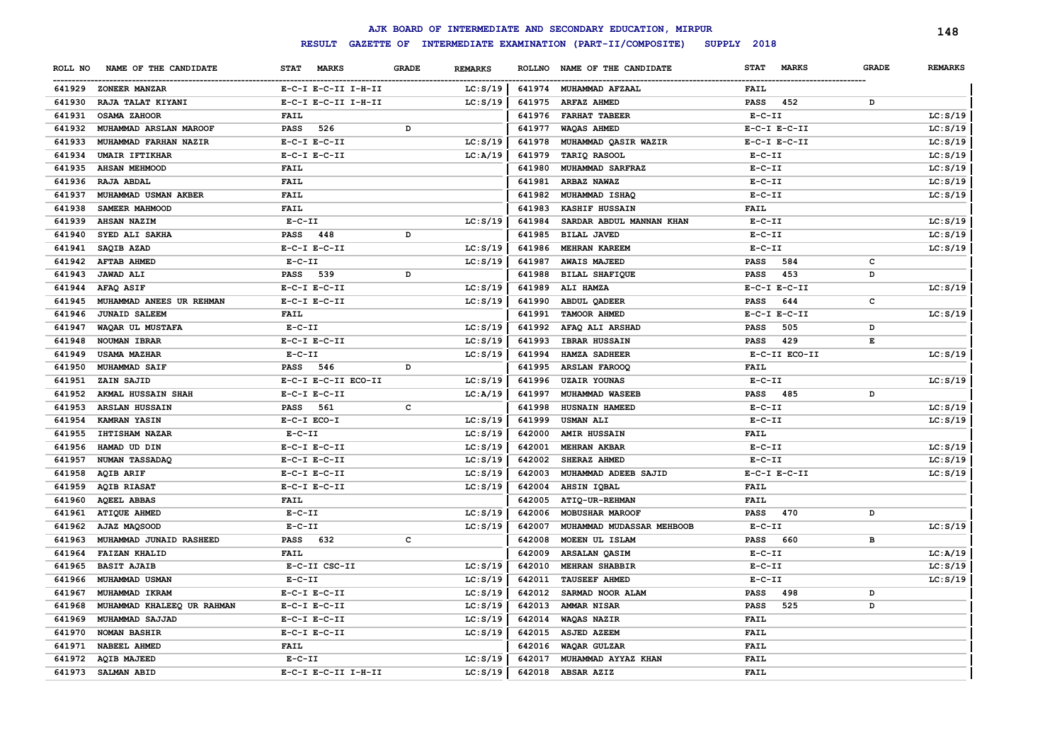|         |                            |                             |              |                |        | AJK BOARD OF INTERMEDIATE AND SECONDARY EDUCATION, MIRPUR |                             |              | 148            |
|---------|----------------------------|-----------------------------|--------------|----------------|--------|-----------------------------------------------------------|-----------------------------|--------------|----------------|
|         |                            | <b>RESULT</b>               |              |                |        | GAZETTE OF INTERMEDIATE EXAMINATION (PART-II/COMPOSITE)   | SUPPLY 2018                 |              |                |
| ROLL NO | NAME OF THE CANDIDATE      | <b>MARKS</b><br><b>STAT</b> | <b>GRADE</b> | <b>REMARKS</b> |        | ROLLNO NAME OF THE CANDIDATE                              | <b>STAT</b><br><b>MARKS</b> | <b>GRADE</b> | <b>REMARKS</b> |
|         | 641929 ZONEER MANZAR       | E-C-I E-C-II I-H-II         |              | LC: S/19       |        | 641974 MUHAMMAD AFZAAL                                    | <b>FAIL</b>                 |              |                |
| 641930  | RAJA TALAT KIYANI          | E-C-I E-C-II I-H-II         |              | LC: S/19       | 641975 | <b>ARFAZ AHMED</b>                                        | <b>PASS</b><br>452          | D            |                |
| 641931  | OSAMA ZAHOOR               | <b>FAIL</b>                 |              |                | 641976 | <b>FARHAT TABEER</b>                                      | $E - C - II$                |              | LC: S/19       |
| 641932  | MUHAMMAD ARSLAN MAROOF     | 526<br><b>PASS</b>          | D            |                | 641977 | <b>WAQAS AHMED</b>                                        | $E-C-I$ $E-C-II$            |              | LC: S/19       |
| 641933  | MUHAMMAD FARHAN NAZIR      | $E-C-I$ $E-C-II$            |              | LC: S/19       | 641978 | MUHAMMAD QASIR WAZIR                                      | $E-C-I$ $E-C-II$            |              | LC: S/19       |
| 641934  | <b>UMAIR IFTIKHAR</b>      | $E-C-I$ $E-C-II$            |              | LC:A/19        | 641979 | TARIQ RASOOL                                              | $E-C-II$                    |              | LC: S/19       |
| 641935  | <b>AHSAN MEHMOOD</b>       | <b>FAIL</b>                 |              |                | 641980 | MUHAMMAD SARFRAZ                                          | $E-C-II$                    |              | LC: S/19       |
| 641936  | <b>RAJA ABDAL</b>          | <b>FAIL</b>                 |              |                | 641981 | ARBAZ NAWAZ                                               | $E-C-II$                    |              | LC: S/19       |
| 641937  | MUHAMMAD USMAN AKBER       | <b>FAIL</b>                 |              |                | 641982 | MUHAMMAD ISHAQ                                            | $E-C-II$                    |              | LC: S/19       |
| 641938  | SAMEER MAHMOOD             | <b>FAIL</b>                 |              |                | 641983 | <b>KASHIF HUSSAIN</b>                                     | <b>FAIL</b>                 |              |                |
| 641939  | <b>AHSAN NAZIM</b>         | $E-C-II$                    |              | LC: S/19       | 641984 | SARDAR ABDUL MANNAN KHAN                                  | $E-C-II$                    |              | LC: S/19       |
| 641940  | SYED ALI SAKHA             | PASS<br>448                 | D            |                | 641985 | <b>BILAL JAVED</b>                                        | $E- C- II$                  |              | LC: S/19       |
| 641941  | SAQIB AZAD                 | $E-C-I$ $E-C-II$            |              | LC: S/19       | 641986 | MEHRAN KAREEM                                             | $E-C-II$                    |              | LC: S/19       |
| 641942  | <b>AFTAB AHMED</b>         | $E- C- II$                  |              | LC: S/19       | 641987 | <b>AWAIS MAJEED</b>                                       | 584<br><b>PASS</b>          | c            |                |
| 641943  | <b>JAWAD ALI</b>           | <b>PASS</b><br>539          | D            |                | 641988 | <b>BILAL SHAFIQUE</b>                                     | <b>PASS</b><br>453          | D            |                |
| 641944  | AFAQ ASIF                  | $E-C-I$ $E-C-II$            |              | LC: S/19       | 641989 | ALI HAMZA                                                 | $E-C-I$ $E-C-II$            |              | LC: S/19       |
| 641945  | MUHAMMAD ANEES UR REHMAN   | $E-C-I$ $E-C-II$            |              | LC: S/19       | 641990 | <b>ABDUL QADEER</b>                                       | 644<br><b>PASS</b>          | $\mathbf{C}$ |                |
| 641946  | <b>JUNAID SALEEM</b>       | <b>FAIL</b>                 |              |                | 641991 | TAMOOR AHMED                                              | $E-C-I$ $E-C-II$            |              | LC: S/19       |
| 641947  | WAQAR UL MUSTAFA           | $E-C-II$                    |              | LC: S/19       | 641992 | AFAQ ALI ARSHAD                                           | 505<br><b>PASS</b>          | D            |                |
| 641948  | NOUMAN IBRAR               | $E-C-I$ $E-C-II$            |              | LC: S/19       | 641993 | <b>IBRAR HUSSAIN</b>                                      | 429<br><b>PASS</b>          | E            |                |
| 641949  | <b>USAMA MAZHAR</b>        | $E-C-II$                    |              | LC: S/19       | 641994 | HAMZA SADHEER                                             | E-C-II ECO-II               |              | LC: S/19       |
| 641950  | <b>MUHAMMAD SAIF</b>       | <b>PASS</b><br>546          | D            |                | 641995 | <b>ARSLAN FAROOQ</b>                                      | <b>FAIL</b>                 |              |                |
| 641951  | ZAIN SAJID                 | E-C-I E-C-II ECO-II         |              | LC: S/19       | 641996 | <b>UZAIR YOUNAS</b>                                       | $E - C - II$                |              | LC: S/19       |
| 641952  | AKMAL HUSSAIN SHAH         | $E-C-I$ $E-C-II$            |              | LC: A/19       | 641997 | MUHAMMAD WASEEB                                           | <b>PASS</b><br>485          | D            |                |
| 641953  | <b>ARSLAN HUSSAIN</b>      | 561<br><b>PASS</b>          | c            |                | 641998 | HUSNAIN HAMEED                                            | $E-C-II$                    |              | LC: S/19       |
| 641954  | <b>KAMRAN YASIN</b>        | $E-C-I$ $ECO-I$             |              | LC: S/19       | 641999 | <b>USMAN ALI</b>                                          | $E-C-II$                    |              | LC: S/19       |
| 641955  | IHTISHAM NAZAR             | $E-C-II$                    |              | LC: S/19       | 642000 | <b>AMIR HUSSAIN</b>                                       | <b>FAIL</b>                 |              |                |
| 641956  | HAMAD UD DIN               | $E-C-I$ $E-C-II$            |              | LC: S/19       | 642001 | <b>MEHRAN AKBAR</b>                                       | $E - C - II$                |              | LC: S/19       |
| 641957  | NUMAN TASSADAQ             | $E-C-I$ $E-C-II$            |              | LC: S/19       | 642002 | SHERAZ AHMED                                              | $E- C- II$                  |              | LC: S/19       |
| 641958  | <b>AQIB ARIF</b>           | $E-C-I$ $E-C-II$            |              | LC: S/19       | 642003 | MUHAMMAD ADEEB SAJID                                      | $E-C-I$ $E-C-II$            |              | LC: S/19       |
| 641959  | <b>AQIB RIASAT</b>         | $E-C-I$ $E-C-II$            |              | LC: S/19       | 642004 | <b>AHSIN IQBAL</b>                                        | FAIL                        |              |                |
| 641960  | <b>AQEEL ABBAS</b>         | <b>FAIL</b>                 |              |                | 642005 | ATIQ-UR-REHMAN                                            | FAIL                        |              |                |
| 641961  | <b>ATIQUE AHMED</b>        | $E-C-II$                    |              | LC: S/19       | 642006 | MOBUSHAR MAROOF                                           | 470<br><b>PASS</b>          | D            |                |
| 641962  | AJAZ MAQSOOD               | $E-C-II$                    |              | LC: S/19       | 642007 | MUHAMMAD MUDASSAR MEHBOOB                                 | $E-C-II$                    |              | LC: S/19       |
| 641963  | MUHAMMAD JUNAID RASHEED    | 632<br><b>PASS</b>          | C            |                | 642008 | MOEEN UL ISLAM                                            | 660<br><b>PASS</b>          | в            |                |
| 641964  | <b>FAIZAN KHALID</b>       | <b>FAIL</b>                 |              |                | 642009 | <b>ARSALAN QASIM</b>                                      | $E-C-II$                    |              | LC: A/19       |
| 641965  | <b>BASIT AJAIB</b>         | E-C-II CSC-II               |              | LC: S/19       | 642010 | <b>MEHRAN SHABBIR</b>                                     | $E-C-II$                    |              | LC: S/19       |
| 641966  | MUHAMMAD USMAN             | $E-C-II$                    |              | LC: S/19       | 642011 | TAUSEEF AHMED                                             | $E-C-II$                    |              | LC: S/19       |
| 641967  | MUHAMMAD IKRAM             | $E-C-I$ $E-C-II$            |              | LC: S/19       | 642012 | SARMAD NOOR ALAM                                          | 498<br><b>PASS</b>          | D            |                |
| 641968  | MUHAMMAD KHALEEQ UR RAHMAN | $E-C-I$ $E-C-II$            |              | LC: S/19       | 642013 | AMMAR NISAR                                               | 525<br>PASS                 | D            |                |
| 641969  | MUHAMMAD SAJJAD            | $E-C-I$ $E-C-II$            |              | LC: S/19       | 642014 | WAQAS NAZIR                                               | <b>FAIL</b>                 |              |                |
| 641970  | <b>NOMAN BASHIR</b>        | $E-C-I$ $E-C-II$            |              | LC: S/19       | 642015 | <b>ASJED AZEEM</b>                                        | FAIL                        |              |                |
| 641971  | <b>NABEEL AHMED</b>        | <b>FAIL</b>                 |              |                | 642016 | WAQAR GULZAR                                              | FAIL                        |              |                |
| 641972  | <b>AQIB MAJEED</b>         | $E-C-II$                    |              | LC: S/19       | 642017 | MUHAMMAD AYYAZ KHAN                                       | <b>FAIL</b>                 |              |                |
|         | 641973 SALMAN ABID         | E-C-I E-C-II I-H-II         |              | LC: S/19       | 642018 | ABSAR AZIZ                                                | FAIL                        |              |                |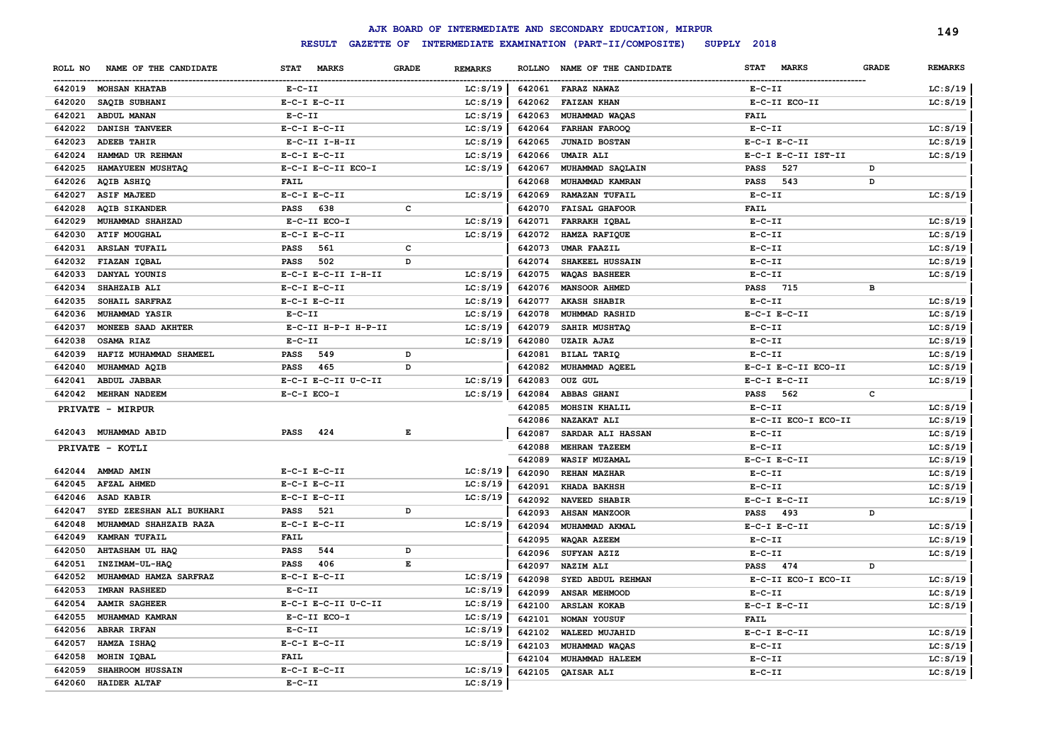|         |                          |                     |              |                |        | AJK BOARD OF INTERMEDIATE AND SECONDARY EDUCATION, MIRPUR |                             |              | 149            |
|---------|--------------------------|---------------------|--------------|----------------|--------|-----------------------------------------------------------|-----------------------------|--------------|----------------|
|         |                          | <b>RESULT</b>       |              |                |        | GAZETTE OF INTERMEDIATE EXAMINATION (PART-II/COMPOSITE)   | SUPPLY 2018                 |              |                |
| ROLL NO | NAME OF THE CANDIDATE    | STAT MARKS          | <b>GRADE</b> | <b>REMARKS</b> |        | ROLLNO NAME OF THE CANDIDATE                              | <b>MARKS</b><br><b>STAT</b> | <b>GRADE</b> | <b>REMARKS</b> |
| 642019  | <b>MOHSAN KHATAB</b>     | $E-C-II$            |              | LC: S/19       | 642061 | <b>FARAZ NAWAZ</b>                                        | $E- C- II$                  |              | LC: S/19       |
| 642020  | SAQIB SUBHANI            | $E-C-I$ $E-C-II$    |              | LC: S/19       |        | 642062 FAIZAN KHAN                                        | E-C-II ECO-II               |              | LC: S/19       |
| 642021  | ABDUL MANAN              | $E- C- II$          |              | LC: S/19       | 642063 | <b>MUHAMMAD WAQAS</b>                                     | <b>FAIL</b>                 |              |                |
| 642022  | <b>DANISH TANVEER</b>    | $E- C-I$ $E-C-II$   |              | LC: S/19       | 642064 | <b>FARHAN FAROOQ</b>                                      | $E- C- II$                  |              | LC: S/19       |
| 642023  | <b>ADEEB TAHIR</b>       | E-C-II I-H-II       |              | LC: S/19       | 642065 | <b>JUNAID BOSTAN</b>                                      | $E-C-I$ $E-C-II$            |              | LC: S/19       |
| 642024  | HAMMAD UR REHMAN         | $E-C-I$ $E-C-II$    |              | LC: S/19       | 642066 | <b>UMAIR ALI</b>                                          | E-C-I E-C-II IST-II         |              | LC: S/19       |
| 642025  | HAMAYUEEN MUSHTAQ        | E-C-I E-C-II ECO-I  |              | LC: S/19       | 642067 | MUHAMMAD SAQLAIN                                          | 527<br><b>PASS</b>          | D            |                |
| 642026  | AQIB ASHIQ               | FAIL                |              |                | 642068 | MUHAMMAD KAMRAN                                           | 543<br><b>PASS</b>          | D            |                |
| 642027  | <b>ASIF MAJEED</b>       | $E-C-I$ $E-C-II$    |              | LC: S/19       | 642069 | <b>RAMAZAN TUFAIL</b>                                     | $E- C- II$                  |              | LC: S/19       |
| 642028  | <b>AQIB SIKANDER</b>     | <b>PASS</b><br>638  | C            |                | 642070 | <b>FAISAL GHAFOOR</b>                                     | <b>FAIL</b>                 |              |                |
| 642029  | MUHAMMAD SHAHZAD         | E-C-II ECO-I        |              | LC: S/19       | 642071 | <b>FARRAKH IQBAL</b>                                      | $E- C- II$                  |              | LC: S/19       |
| 642030  | <b>ATIF MOUGHAL</b>      | $E-C-I$ $E-C-II$    |              | LC: S/19       | 642072 | HAMZA RAFIQUE                                             | $E- C- II$                  |              | LC: S/19       |
| 642031  | <b>ARSLAN TUFAIL</b>     | 561<br><b>PASS</b>  | c            |                | 642073 | UMAR FAAZIL                                               | $E- C- II$                  |              | LC: S/19       |
| 642032  | FIAZAN IQBAL             | <b>PASS</b><br>502  | D            |                | 642074 | SHAKEEL HUSSAIN                                           | $E-C-II$                    |              | LC: S/19       |
| 642033  | DANYAL YOUNIS            | E-C-I E-C-II I-H-II |              | LC: S/19       | 642075 | <b>WAQAS BASHEER</b>                                      | $E-C-II$                    |              | LC: S/19       |
| 642034  | SHAHZAIB ALI             | $E-C-I$ $E-C-II$    |              | LC: S/19       | 642076 | <b>MANSOOR AHMED</b>                                      | <b>PASS</b><br>715          | в            |                |
| 642035  | SOHAIL SARFRAZ           | $E-C-I$ $E-C-II$    |              | LC: S/19       | 642077 | <b>AKASH SHABIR</b>                                       | $E- C- II$                  |              | LC: S/19       |
| 642036  | <b>MUHAMMAD YASIR</b>    | $E- C- II$          |              | LC: S/19       | 642078 | MUHMMAD RASHID                                            | $E-C-I$ $E-C-II$            |              | LC: S/19       |
| 642037  | MONEEB SAAD AKHTER       | E-C-II H-P-I H-P-II |              | LC: S/19       | 642079 | SAHIR MUSHTAQ                                             | $E-C-II$                    |              | LC: S/19       |
| 642038  | OSAMA RIAZ               | $E- C- II$          |              | LC: S/19       | 642080 | <b>UZAIR AJAZ</b>                                         | $E- C- II$                  |              | LC: S/19       |
| 642039  | HAFIZ MUHAMMAD SHAMEEL   | PASS<br>549         | D            |                | 642081 | BILAL TARIQ                                               | $E- C- II$                  |              | LC: S/19       |
| 642040  | MUHAMMAD AQIB            | <b>PASS</b><br>465  | D            |                | 642082 | MUHAMMAD AQEEL                                            | E-C-I E-C-II ECO-II         |              | LC: S/19       |
| 642041  | <b>ABDUL JABBAR</b>      | E-C-I E-C-II U-C-II |              | LC: S/19       | 642083 | OUZ GUL                                                   | $E-C-I$ $E-C-II$            |              | LC: S/19       |
| 642042  | <b>MEHRAN NADEEM</b>     | E-C-I ECO-I         |              | LC: S/19       | 642084 | <b>ABBAS GHANI</b>                                        | <b>PASS</b><br>562          | c            |                |
|         | PRIVATE - MIRPUR         |                     |              |                | 642085 | MOHSIN KHALIL                                             | $E- C- II$                  |              | LC: S/19       |
|         |                          |                     |              |                | 642086 | <b>NAZAKAT ALI</b>                                        | E-C-II ECO-I ECO-II         |              | LC: S/19       |
|         | 642043 MUHAMMAD ABID     | PASS<br>424         | Е            |                | 642087 | SARDAR ALI HASSAN                                         | $E-C-II$                    |              | LC: S/19       |
|         | PRIVATE - KOTLI          |                     |              |                | 642088 | MEHRAN TAZEEM                                             | $E- C- II$                  |              | LC: S/19       |
|         |                          |                     |              |                | 642089 | <b>WASIF MUZAMAL</b>                                      | $E-C-I$ $E-C-II$            |              | LC: S/19       |
| 642044  | AMMAD AMIN               | $E-C-I$ $E-C-II$    |              | LC: S/19       | 642090 | <b>REHAN MAZHAR</b>                                       | $E- C- II$                  |              | LC: S/19       |
| 642045  | <b>AFZAL AHMED</b>       | $E-C-I$ $E-C-II$    |              | LC: S/19       | 642091 | KHADA BAKHSH                                              | $E- C- II$                  |              | LC: S/19       |
| 642046  | <b>ASAD KABIR</b>        | $E-C-I$ $E-C-II$    |              | LC: S/19       | 642092 | <b>NAVEED SHABIR</b>                                      | $E-C-I$ $E-C-II$            |              | LC: S/19       |
| 642047  | SYED ZEESHAN ALI BUKHARI | 521<br>PASS         | D            |                | 642093 | <b>AHSAN MANZOOR</b>                                      | <b>PASS</b><br>493          | D            |                |
| 642048  | MUHAMMAD SHAHZAIB RAZA   | $E-C-I$ $E-C-II$    |              | LC: S/19       | 642094 | MUHAMMAD AKMAL                                            | $E-C-I$ $E-C-II$            |              | LC: S/19       |
| 642049  | KAMRAN TUFAIL            | FAIL                |              |                | 642095 | WAQAR AZEEM                                               | $E-C-II$                    |              | LC: S/19       |
| 642050  | AHTASHAM UL HAQ          | 544<br>PASS         | D            |                |        | 642096 SUFYAN AZIZ                                        | $E- C- II$                  |              | LC: S/19       |
| 642051  | INZIMAM-UL-HAQ           | 406<br>PASS         | E            |                | 642097 | <b>NAZIM ALI</b>                                          | <b>PASS</b><br>474          | D            |                |
| 642052  | MUHAMMAD HAMZA SARFRAZ   | $E-C-I$ $E-C-II$    |              | LC: S/19       |        | 642098 SYED ABDUL REHMAN                                  | E-C-II ECO-I ECO-II         |              | LC: S/19       |
| 642053  | <b>IMRAN RASHEED</b>     | $E-C-II$            |              | LC: S/19       |        | 642099 ANSAR MEHMOOD                                      | $E - C - II$                |              | LC: S/19       |
|         | 642054 AAMIR SAGHEER     | E-C-I E-C-II U-C-II |              | LC: S/19       |        | 642100 ARSLAN KOKAB                                       | $E-C-I$ $E-C-II$            |              | LC: S/19       |
|         | 642055 MUHAMMAD KAMRAN   | E-C-II ECO-I        |              | LC: S/19       | 642101 | NOMAN YOUSUF                                              | <b>FAIL</b>                 |              |                |
|         | 642056 ABRAR IRFAN       | $E-C-II$            |              | LC: S/19       |        |                                                           |                             |              |                |
|         | 642057 HAMZA ISHAQ       | $E- C-I$ $E-C-II$   |              | LC: S/19       |        | 642102 WALEED MUJAHID<br>642103 MUHAMMAD WAQAS            | $E-C-I$ $E-C-II$            |              | LC: S/19       |
|         | 642058 MOHIN IQBAL       | <b>FAIL</b>         |              |                |        |                                                           | $E-C-II$                    |              | LC: S/19       |
|         | 642059 SHAHROOM HUSSAIN  | $E-C-I$ $E-C-II$    |              | LC: S/19       | 642104 | MUHAMMAD HALEEM                                           | $E-C-II$                    |              | LC: S/19       |
|         | 642060 HAIDER ALTAF      | $E-C-II$            |              | LC: S/19       |        | 642105 QAISAR ALI                                         | $E- C- II$                  |              | LC: S/19       |
|         |                          |                     |              |                |        |                                                           |                             |              |                |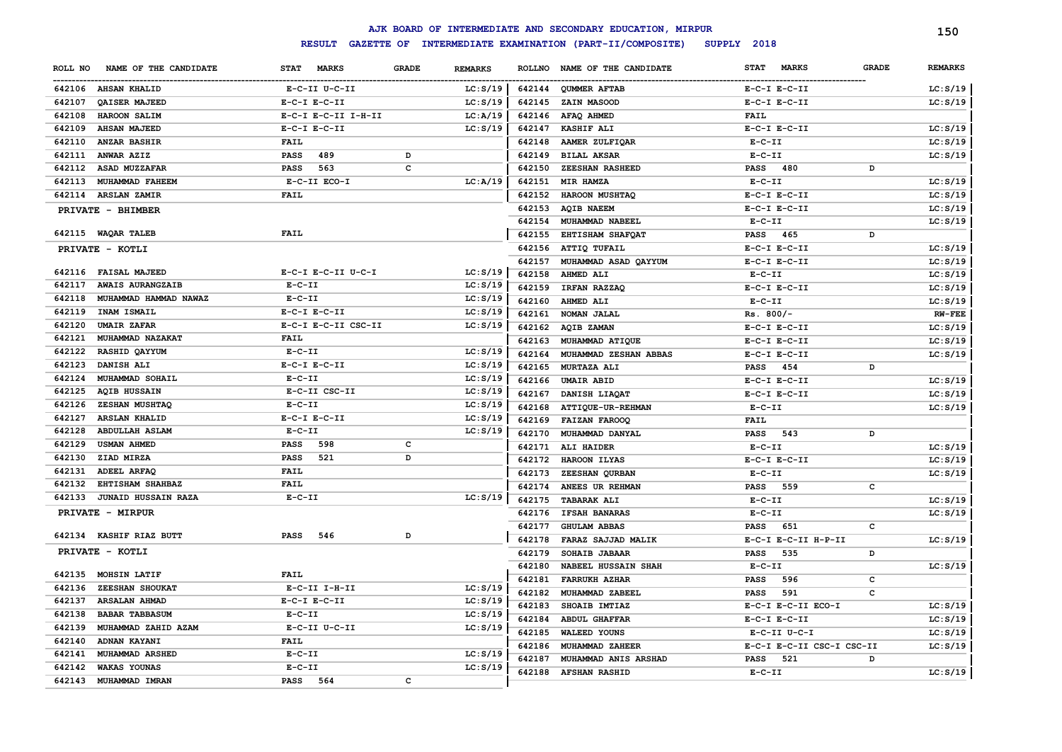|         |                            |                     |                                |          |        | AJK BOARD OF INTERMEDIATE AND SECONDARY EDUCATION, MIRPUR |                             |              | 150            |
|---------|----------------------------|---------------------|--------------------------------|----------|--------|-----------------------------------------------------------|-----------------------------|--------------|----------------|
|         |                            | <b>RESULT</b>       |                                |          |        | GAZETTE OF INTERMEDIATE EXAMINATION (PART-II/COMPOSITE)   | SUPPLY 2018                 |              |                |
| ROLL NO | NAME OF THE CANDIDATE      | STAT MARKS          | <b>GRADE</b><br><b>REMARKS</b> |          |        | ROLLNO NAME OF THE CANDIDATE                              | <b>MARKS</b><br><b>STAT</b> | <b>GRADE</b> | <b>REMARKS</b> |
|         | 642106 AHSAN KHALID        | E-C-II U-C-II       |                                | LC: S/19 |        | 642144 QUMMER AFTAB                                       | $E-C-I$ $E-C-II$            |              | LC: S/19       |
| 642107  | QAISER MAJEED              | $E-C-I$ $E-C-II$    |                                | LC: S/19 | 642145 | <b>ZAIN MASOOD</b>                                        | $E-C-I$ $E-C-II$            |              | LC: S/19       |
| 642108  | HAROON SALIM               | E-C-I E-C-II I-H-II |                                | LC: A/19 |        | 642146 AFAQ AHMED                                         | <b>FAIL</b>                 |              |                |
| 642109  | <b>AHSAN MAJEED</b>        | $E-C-I$ $E-C-II$    |                                | LC: S/19 |        | 642147 KASHIF ALI                                         | $E-C-I$ $E-C-II$            |              | LC: S/19       |
|         | 642110 ANZAR BASHIR        | FAIL                |                                |          | 642148 | <b>AAMER ZULFIQAR</b>                                     | $E-C-II$                    |              | LC: S/19       |
|         | 642111 ANWAR AZIZ          | <b>PASS</b><br>489  | D                              |          | 642149 | <b>BILAL AKSAR</b>                                        | $E- C- II$                  |              | LC: S/19       |
| 642112  | ASAD MUZZAFAR              | PASS<br>563         | C                              |          | 642150 | <b>ZEESHAN RASHEED</b>                                    | <b>PASS</b><br>480          | D            |                |
| 642113  | <b>MUHAMMAD FAHEEM</b>     | E-C-II ECO-I        |                                | LC: A/19 | 642151 | MIR HAMZA                                                 | $E- C- II$                  |              | LC: S/19       |
|         | 642114 ARSLAN ZAMIR        | <b>FAIL</b>         |                                |          | 642152 | HAROON MUSHTAQ                                            | $E-C-I$ $E-C-II$            |              | LC: S/19       |
|         | PRIVATE - BHIMBER          |                     |                                |          |        | 642153 AQIB NAEEM                                         | $E-C-I$ $E-C-II$            |              | LC: S/19       |
|         |                            |                     |                                |          | 642154 | MUHAMMAD NABEEL                                           | $E- C- II$                  |              | LC: S/19       |
|         | 642115 WAQAR TALEB         | <b>FAIL</b>         |                                |          | 642155 | EHTISHAM SHAFQAT                                          | <b>PASS</b><br>465          | D            |                |
|         | PRIVATE - KOTLI            |                     |                                |          |        | 642156 ATTIQ TUFAIL                                       | $E-C-I$ $E-C-II$            |              | LC: S/19       |
|         |                            |                     |                                |          | 642157 | MUHAMMAD ASAD QAYYUM                                      | $E-C-I$ $E-C-II$            |              | LC: S/19       |
| 642116  | <b>FAISAL MAJEED</b>       | E-C-I E-C-II U-C-I  |                                | LC: S/19 | 642158 | AHMED ALI                                                 | $E- C- II$                  |              | LC: S/19       |
| 642117  | <b>AWAIS AURANGZAIB</b>    | $E - C - II$        |                                | LC: S/19 | 642159 | IRFAN RAZZAQ                                              | $E-C-I$ $E-C-II$            |              | LC: S/19       |
| 642118  | MUHAMMAD HAMMAD NAWAZ      | $E-C-II$            |                                | LC: S/19 | 642160 | AHMED ALI                                                 | $E- C- II$                  |              | LC: S/19       |
| 642119  | INAM ISMAIL                | $E-C-I$ $E-C-II$    |                                | LC: S/19 | 642161 | NOMAN JALAL                                               | $Rs. 800/-$                 |              | <b>RW-FEE</b>  |
| 642120  | <b>UMAIR ZAFAR</b>         | E-C-I E-C-II CSC-II |                                | LC: S/19 | 642162 | <b>AQIB ZAMAN</b>                                         | $E-C-I$ $E-C-II$            |              | LC: S/19       |
| 642121  | MUHAMMAD NAZAKAT           | <b>FAIL</b>         |                                |          | 642163 | MUHAMMAD ATIQUE                                           | $E-C-I$ $E-C-II$            |              | LC: S/19       |
| 642122  | RASHID QAYYUM              | $E-C-II$            |                                | LC: S/19 | 642164 | MUHAMMAD ZESHAN ABBAS                                     | $E-C-I$ $E-C-II$            |              | LC: S/19       |
| 642123  | DANISH ALI                 | $E-C-I$ $E-C-II$    |                                | LC: S/19 | 642165 | MURTAZA ALI                                               | <b>PASS</b><br>454          | D            |                |
| 642124  | MUHAMMAD SOHAIL            | $E-C-II$            |                                | LC: S/19 | 642166 | <b>UMAIR ABID</b>                                         | $E-C-I$ $E-C-II$            |              | LC: S/19       |
| 642125  | <b>AQIB HUSSAIN</b>        | E-C-II CSC-II       |                                | LC: S/19 | 642167 | DANISH LIAQAT                                             | $E-C-I$ $E-C-II$            |              | LC: S/19       |
| 642126  | ZESHAN MUSHTAQ             | $E-C-II$            |                                | LC: S/19 | 642168 | <b>ATTIQUE-UR-REHMAN</b>                                  | $E- C- II$                  |              | LC: S/19       |
| 642127  | ARSLAN KHALID              | $E-C-I$ $E-C-II$    |                                | LC: S/19 | 642169 | <b>FAIZAN FAROOQ</b>                                      | FAIL                        |              |                |
| 642128  | <b>ABDULLAH ASLAM</b>      | $E-C-II$            |                                | LC: S/19 | 642170 | MUHAMMAD DANYAL                                           | <b>PASS</b><br>543          | D            |                |
| 642129  | <b>USMAN AHMED</b>         | 598<br>PASS         | с                              |          |        | 642171 ALI HAIDER                                         | $E-C-II$                    |              | LC: S/19       |
| 642130  | ZIAD MIRZA                 | 521<br>PASS         | D                              |          |        | 642172 HAROON ILYAS                                       | $E-C-I$ $E-C-II$            |              | LC: S/19       |
| 642131  | ADEEL ARFAQ                | <b>FAIL</b>         |                                |          | 642173 | ZEESHAN QURBAN                                            | $E- C- II$                  |              | LC: S/19       |
| 642132  | EHTISHAM SHAHBAZ           | <b>FAIL</b>         |                                |          | 642174 | ANEES UR REHMAN                                           | <b>PASS</b><br>559          | c            |                |
| 642133  | <b>JUNAID HUSSAIN RAZA</b> | $E-C-II$            |                                | LC: S/19 | 642175 | <b>TABARAK ALI</b>                                        | $E- C- II$                  |              | LC: S/19       |
|         | <b>PRIVATE - MIRPUR</b>    |                     |                                |          | 642176 | <b>IFSAH BANARAS</b>                                      | $E-C-II$                    |              | LC: S/19       |
|         |                            |                     |                                |          | 642177 | <b>GHULAM ABBAS</b>                                       | <b>PASS</b><br>651          | c            |                |
|         | 642134 KASHIF RIAZ BUTT    | PASS<br>546         | D                              |          | 642178 | FARAZ SAJJAD MALIK                                        | E-C-I E-C-II H-P-II         |              | LC: S/19       |
|         | PRIVATE - KOTLI            |                     |                                |          | 642179 | SOHAIB JABAAR                                             | <b>PASS</b><br>535          | D            |                |
|         |                            |                     |                                |          | 642180 | <b>NABEEL HUSSAIN SHAH</b>                                | $E- C- II$                  |              | LC: S/19       |
| 642135  | <b>MOHSIN LATIF</b>        | <b>FAIL</b>         |                                |          |        | 642181 FARRUKH AZHAR                                      | <b>PASS</b><br>596          | c            |                |
|         | 642136 ZEESHAN SHOUKAT     | $E-C-II$ I-H-II     |                                | LC: S/19 |        | 642182 MUHAMMAD ZABEEL                                    | 591<br><b>PASS</b>          | c            |                |
|         | 642137 ARSALAN AHMAD       | $E- C-I$ $E-C-II$   |                                | LC: S/19 |        | 642183 SHOAIB IMTIAZ                                      | E-C-I E-C-II ECO-I          |              | LC: S/19       |
|         | 642138 BABAR TABBASUM      | $E - C - II$        |                                | LC: S/19 |        | 642184 ABDUL GHAFFAR                                      | $E-C-I$ $E-C-II$            |              | LC: S/19       |
|         | 642139 MUHAMMAD ZAHID AZAM | E-C-II U-C-II       |                                | LC: S/19 |        | 642185 WALEED YOUNS                                       | E-C-II U-C-I                |              | LC: S/19       |
|         | 642140 ADNAN KAYANI        | <b>FAIL</b>         |                                |          |        | 642186 MUHAMMAD ZAHEER                                    | E-C-I E-C-II CSC-I CSC-II   |              | LC: S/19       |
|         | 642141 MUHAMMAD ARSHED     | $E-C-II$            |                                | LC: S/19 | 642187 | MUHAMMAD ANIS ARSHAD                                      | <b>PASS</b><br>521          | D            |                |
|         | 642142 WAKAS YOUNAS        | $E-C-II$            |                                | LC: S/19 |        | 642188 AFSHAN RASHID                                      | $E- C- II$                  |              | LC: S/19       |
|         | 642143 MUHAMMAD IMRAN      | PASS 564            | c                              |          |        |                                                           |                             |              |                |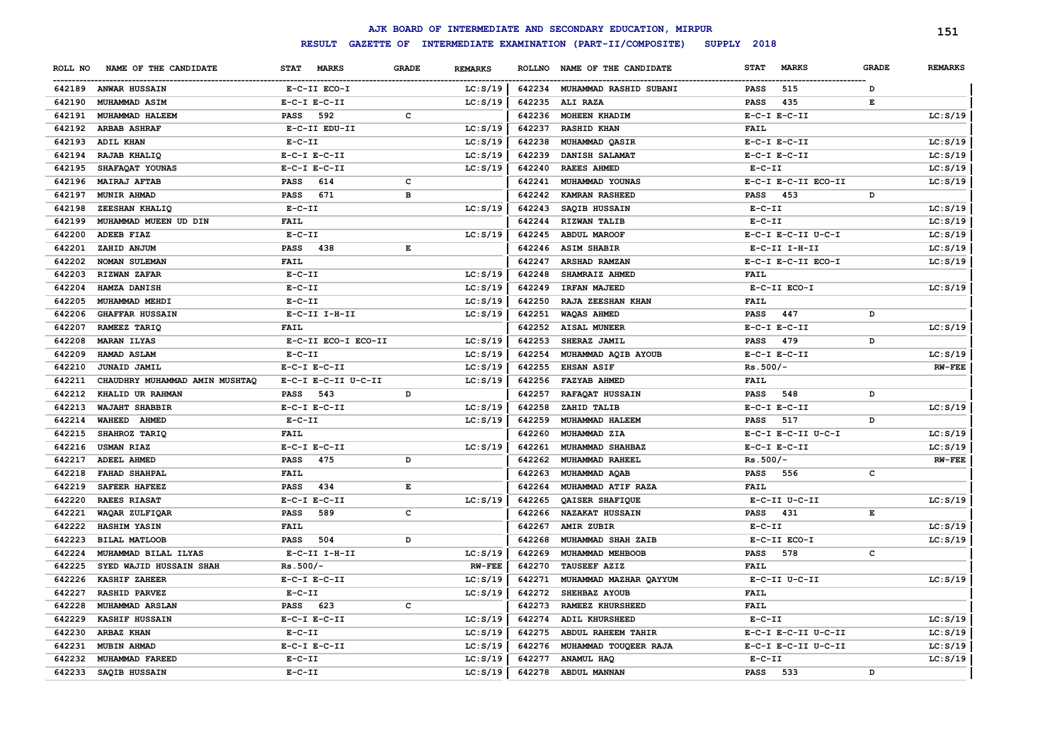|         |                                |                     |              |                |        | AJK BOARD OF INTERMEDIATE AND SECONDARY EDUCATION, MIRPUR |                             |              | 151            |
|---------|--------------------------------|---------------------|--------------|----------------|--------|-----------------------------------------------------------|-----------------------------|--------------|----------------|
|         |                                | <b>RESULT</b>       |              |                |        | GAZETTE OF INTERMEDIATE EXAMINATION (PART-II/COMPOSITE)   | SUPPLY 2018                 |              |                |
| ROLL NO | NAME OF THE CANDIDATE          | STAT MARKS          | <b>GRADE</b> | <b>REMARKS</b> |        | ROLLNO NAME OF THE CANDIDATE                              | <b>STAT</b><br><b>MARKS</b> | <b>GRADE</b> | <b>REMARKS</b> |
|         | 642189 ANWAR HUSSAIN           | E-C-II ECO-I        |              | LC: S/19       |        | 642234 MUHAMMAD RASHID SUBANI                             | 515<br>PASS                 | D            |                |
| 642190  | <b>MUHAMMAD ASIM</b>           | $E-C-I$ $E-C-II$    |              | LC: S/19       | 642235 | <b>ALI RAZA</b>                                           | <b>PASS</b><br>435          | E            |                |
| 642191  | MUHAMMAD HALEEM                | 592<br>PASS         | c            |                | 642236 | MOHEEN KHADIM                                             | $E-C-I$ $E-C-II$            |              | LC: S/19       |
| 642192  | <b>ARBAB ASHRAF</b>            | E-C-II EDU-II       |              | LC: S/19       | 642237 | <b>RASHID KHAN</b>                                        | FAIL                        |              |                |
| 642193  | <b>ADIL KHAN</b>               | $E-C-II$            |              | LC: S/19       | 642238 | MUHAMMAD QASIR                                            | $E-C-I$ $E-C-II$            |              | LC: S/19       |
| 642194  | RAJAB KHALIQ                   | $E-C-I$ $E-C-II$    |              | LC: S/19       | 642239 | DANISH SALAMAT                                            | $E-C-I$ $E-C-II$            |              | LC: S/19       |
| 642195  | SHAFAQAT YOUNAS                | $E-C-I$ $E-C-II$    |              | LC: S/19       | 642240 | <b>RAEES AHMED</b>                                        | $E-C-II$                    |              | LC: S/19       |
| 642196  | <b>MAIRAJ AFTAB</b>            | 614<br><b>PASS</b>  | $\mathbf c$  |                | 642241 | MUHAMMAD YOUNAS                                           | E-C-I E-C-II ECO-II         |              | LC: S/19       |
| 642197  | <b>MUNIR AHMAD</b>             | 671<br><b>PASS</b>  | в            |                | 642242 | <b>KAMRAN RASHEED</b>                                     | 453<br>PASS                 | D            |                |
| 642198  | ZEESHAN KHALIQ                 | $E - C - II$        |              | LC: S/19       | 642243 | SAQIB HUSSAIN                                             | $E - C - II$                |              | LC: S/19       |
| 642199  | MUHAMMAD MUEEN UD DIN          | FAIL                |              |                | 642244 | RIZWAN TALIB                                              | $E- C- II$                  |              | LC: S/19       |
| 642200  | <b>ADEEB FIAZ</b>              | $E- C- II$          |              | LC: S/19       | 642245 | <b>ABDUL MAROOF</b>                                       | E-C-I E-C-II U-C-I          |              | LC: S/19       |
| 642201  | ZAHID ANJUM                    | <b>PASS</b><br>438  | E            |                | 642246 | <b>ASIM SHABIR</b>                                        | $E-C-II$ I-H-II             |              | LC: S/19       |
| 642202  | <b>NOMAN SULEMAN</b>           | <b>FAIL</b>         |              |                | 642247 | ARSHAD RAMZAN                                             | E-C-I E-C-II ECO-I          |              | LC: S/19       |
| 642203  | <b>RIZWAN ZAFAR</b>            | $E-C-II$            |              | LC: S/19       | 642248 | SHAMRAIZ AHMED                                            | <b>FAIL</b>                 |              |                |
| 642204  | HAMZA DANISH                   | $E-C-II$            |              | LC: S/19       | 642249 | IRFAN MAJEED                                              | E-C-II ECO-I                |              | LC: S/19       |
| 642205  | MUHAMMAD MEHDI                 | $E - C - II$        |              | LC: S/19       | 642250 | RAJA ZEESHAN KHAN                                         | FATT.                       |              |                |
| 642206  | <b>GHAFFAR HUSSAIN</b>         | E-C-II I-H-II       |              | LC: S/19       | 642251 | <b>WAQAS AHMED</b>                                        | <b>PASS</b><br>447          | D            |                |
| 642207  | RAMEEZ TARIQ                   | <b>FAIL</b>         |              |                | 642252 | <b>AISAL MUNEER</b>                                       | $E-C-I$ $E-C-II$            |              | LC: S/19       |
| 642208  | <b>MARAN ILYAS</b>             | E-C-II ECO-I ECO-II |              | LC: S/19       | 642253 | SHERAZ JAMIL                                              | 479<br><b>PASS</b>          | D            |                |
| 642209  | HAMAD ASLAM                    | $E - C - II$        |              | LC: S/19       | 642254 | MUHAMMAD AQIB AYOUB                                       | $E-C-I$ $E-C-II$            |              | LC: S/19       |
| 642210  | <b>JUNAID JAMIL</b>            | $E-C-I$ $E-C-II$    |              | LC: S/19       | 642255 | <b>EHSAN ASIF</b>                                         | $Rs.500/-$                  |              | <b>RW-FEE</b>  |
| 642211  | CHAUDHRY MUHAMMAD AMIN MUSHTAQ | E-C-I E-C-II U-C-II |              | LC: S/19       | 642256 | <b>FAZYAB AHMED</b>                                       | <b>FAIL</b>                 |              |                |
| 642212  | KHALID UR RAHMAN               | 543<br>PASS         | D            |                | 642257 | RAFAQAT HUSSAIN                                           | 548<br><b>PASS</b>          | D            |                |
| 642213  | WAJAHT SHABBIR                 | $E-C-I$ $E-C-II$    |              | LC: S/19       | 642258 | ZAHID TALIB                                               | $E-C-I$ $E-C-II$            |              | LC: S/19       |
| 642214  | WAHEED AHMED                   | $E-C-II$            |              | LC: S/19       | 642259 | MUHAMMAD HALEEM                                           | 517<br><b>PASS</b>          | D            |                |
| 642215  | SHAHROZ TARIQ                  | FAIL                |              |                | 642260 | MUHAMMAD ZIA                                              | $E-C-I$ $E-C-II$ $U-C-I$    |              | LC: S/19       |
| 642216  | <b>USMAN RIAZ</b>              | $E-C-I$ $E-C-II$    |              | LC: S/19       | 642261 | MUHAMMAD SHAHBAZ                                          | $E-C-I$ $E-C-II$            |              | LC: S/19       |
| 642217  | ADEEL AHMED                    | 475<br><b>PASS</b>  | D            |                | 642262 | MUHAMMAD RAHEEL                                           | $Rs.500/-$                  |              | <b>RW-FEE</b>  |
| 642218  | <b>FAHAD SHAHPAL</b>           | FAIL                |              |                | 642263 | MUHAMMAD AQAB                                             | <b>PASS</b><br>556          | c            |                |
| 642219  | <b>SAFEER HAFEEZ</b>           | 434<br><b>PASS</b>  | E            |                | 642264 | MUHAMMAD ATIF RAZA                                        | FAIL                        |              |                |
| 642220  | <b>RAEES RIASAT</b>            | $E-C-I$ $E-C-II$    |              | LC: S/19       | 642265 | QAISER SHAFIQUE                                           | E-C-II U-C-II               |              | LC: S/19       |
| 642221  | WAQAR ZULFIQAR                 | <b>PASS</b><br>589  | $\mathbf c$  |                | 642266 | <b>NAZAKAT HUSSAIN</b>                                    | <b>PASS</b><br>431          | Е            |                |
| 642222  | HASHIM YASIN                   | FAIL                |              |                | 642267 | AMIR ZUBIR                                                | $E-C-II$                    |              | LC: S/19       |
| 642223  | <b>BILAL MATLOOB</b>           | 504<br><b>PASS</b>  | D            |                | 642268 | MUHAMMAD SHAH ZAIB                                        | E-C-II ECO-I                |              | LC: S/19       |
| 642224  | MUHAMMAD BILAL ILYAS           | $E-C-II$ I-H-II     |              | LC: S/19       | 642269 | MUHAMMAD MEHBOOB                                          | <b>PASS</b><br>578          | c            |                |
| 642225  | SYED WAJID HUSSAIN SHAH        | $Rs.500/-$          |              | <b>RW-FEE</b>  | 642270 | <b>TAUSEEF AZIZ</b>                                       | <b>FAIL</b>                 |              |                |
| 642226  | <b>KASHIF ZAHEER</b>           | $E-C-I$ $E-C-II$    |              | LC: S/19       | 642271 | MUHAMMAD MAZHAR QAYYUM                                    | E-C-II U-C-II               |              | LC: S/19       |
| 642227  | <b>RASHID PARVEZ</b>           | $E-C-II$            |              | LC: S/19       | 642272 | SHEHBAZ AYOUB                                             | <b>FAIL</b>                 |              |                |
| 642228  | <b>MUHAMMAD ARSLAN</b>         | PASS 623            | c            |                | 642273 | RAMEEZ KHURSHEED                                          | <b>FAIL</b>                 |              |                |
| 642229  | KASHIF HUSSAIN                 | $E-C-I$ $E-C-II$    |              | LC: S/19       | 642274 | ADIL KHURSHEED                                            | $E- C- II$                  |              | LC: S/19       |
| 642230  | ARBAZ KHAN                     | $E - C - II$        |              | LC: S/19       | 642275 | ABDUL RAHEEM TAHIR                                        | E-C-I E-C-II U-C-II         |              | LC: S/19       |
| 642231  | <b>MUBIN AHMAD</b>             | E-C-I E-C-II        |              | LC: S/19       | 642276 | MUHAMMAD TOUQEER RAJA                                     | E-C-I E-C-II U-C-II         |              | LC: S/19       |
| 642232  | MUHAMMAD FAREED                | $E - C - II$        |              | LC: S/19       | 642277 | ANAMUL HAQ                                                | $E-C-II$                    |              | LC: S/19       |
| 642233  | SAQIB HUSSAIN                  | $E - C - II$        |              | LC: S/19       | 642278 | <b>ABDUL MANNAN</b>                                       | <b>PASS</b><br>533          | D            |                |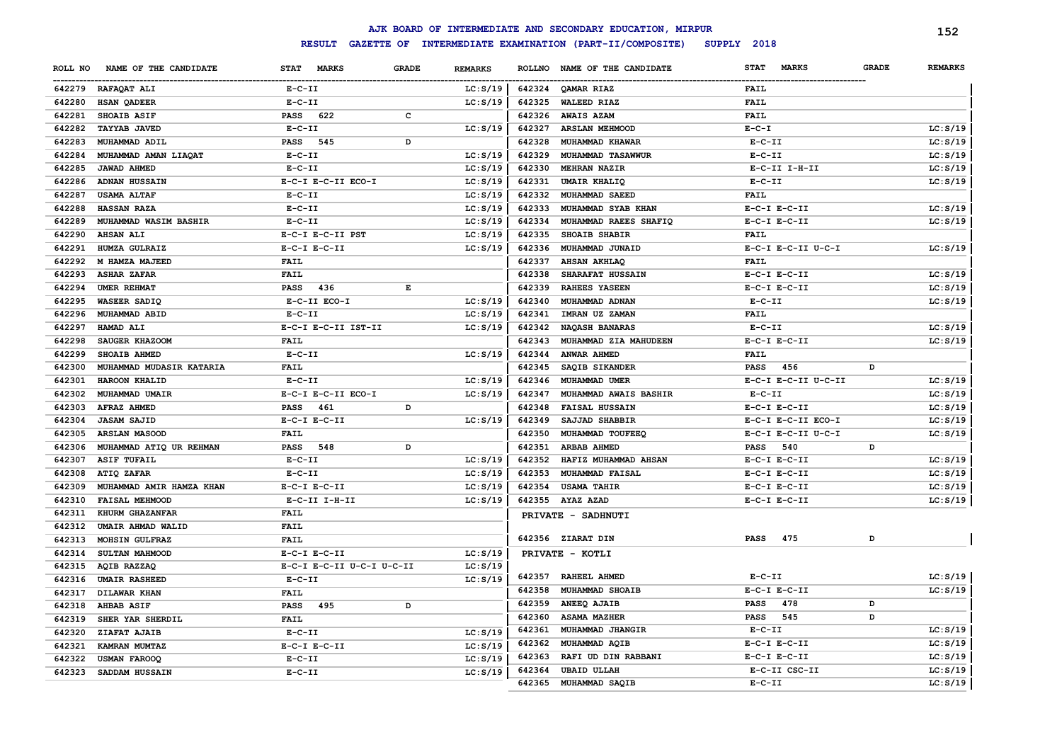|         |                          |                                    |                                                                                                |                |               | AJK BOARD OF INTERMEDIATE AND SECONDARY EDUCATION, MIRPUR |                             |              | 152            |
|---------|--------------------------|------------------------------------|------------------------------------------------------------------------------------------------|----------------|---------------|-----------------------------------------------------------|-----------------------------|--------------|----------------|
|         |                          | <b>RESULT</b><br><b>GAZETTE OF</b> |                                                                                                |                |               | INTERMEDIATE EXAMINATION (PART-II/COMPOSITE)              | SUPPLY 2018                 |              |                |
| ROLL NO | NAME OF THE CANDIDATE    | <b>STAT</b><br><b>MARKS</b>        | <b>GRADE</b>                                                                                   | <b>REMARKS</b> | <b>ROLLNO</b> | NAME OF THE CANDIDATE                                     | <b>STAT</b><br><b>MARKS</b> | <b>GRADE</b> | <b>REMARKS</b> |
|         | 642279 RAFAQAT ALI       | $E-C-II$                           |                                                                                                | LC: S/19       |               | 642324 OAMAR RIAZ                                         | <b>FAIL</b>                 |              |                |
| 642280  | <b>HSAN QADEER</b>       | $E-C-II$                           |                                                                                                | LC: S/19       | 642325        | <b>WALEED RIAZ</b>                                        | <b>FAIL</b>                 |              |                |
| 642281  | SHOAIB ASIF              | 622<br><b>PASS</b>                 | c                                                                                              |                | 642326        | <b>AWAIS AZAM</b>                                         | <b>FAIL</b>                 |              |                |
| 642282  | <b>TAYYAB JAVED</b>      | $E-C-II$                           |                                                                                                | LC: S/19       | 642327        | <b>ARSLAN MEHMOOD</b>                                     | $E-C-T$                     |              | LC: S/19       |
| 642283  | MUHAMMAD ADIL            | <b>PASS</b><br>545                 | D                                                                                              |                | 642328        | MUHAMMAD KHAWAR                                           | $E-C-II$                    |              | LC: S/19       |
| 642284  | MUHAMMAD AMAN LIAQAT     | $E-C-II$                           |                                                                                                | LC: S/19       | 642329        | MUHAMMAD TASAWWUR                                         | $E-C-II$                    |              | LC: S/19       |
| 642285  | <b>JAWAD AHMED</b>       | $E-C-II$                           |                                                                                                | LC: S/19       | 642330        | MEHRAN NAZIR                                              | $E-C-II$ I-H-II             |              | LC: S/19       |
| 642286  | <b>ADNAN HUSSAIN</b>     | E-C-I E-C-II ECO-I                 |                                                                                                | LC: S/19       | 642331        | <b>UMAIR KHALIQ</b>                                       | $E-C-II$                    |              | LC: S/19       |
| 642287  | <b>USAMA ALTAF</b>       | $E-C-II$                           |                                                                                                | LC: S/19       | 642332        | MUHAMMAD SAEED                                            | <b>FAIL</b>                 |              |                |
| 642288  | HASSAN RAZA              | $E-C-II$                           |                                                                                                | LC: S/19       | 642333        | MUHAMMAD SYAB KHAN                                        | $E-C-I$ $E-C-II$            |              | LC: S/19       |
| 642289  | MUHAMMAD WASIM BASHIR    | $E-C-II$                           |                                                                                                | LC: S/19       | 642334        | MUHAMMAD RAEES SHAFIQ                                     | $E-C-I$ $E-C-II$            |              | LC: S/19       |
| 642290  | <b>AHSAN ALI</b>         | E-C-I E-C-II PST                   |                                                                                                | LC: S/19       | 642335        | <b>SHOAIB SHABIR</b>                                      | <b>FAIL</b>                 |              |                |
| 642291  | HUMZA GULRAIZ            | $E-C-I$ $E-C-II$                   |                                                                                                | LC: S/19       | 642336        | MUHAMMAD JUNAID                                           | E-C-I E-C-II U-C-I          |              | LC: S/19       |
| 642292  | M HAMZA MAJEED           | FAIL                               |                                                                                                |                | 642337        | AHSAN AKHLAQ                                              | <b>FAIL</b>                 |              |                |
| 642293  | <b>ASHAR ZAFAR</b>       | <b>FAIL</b>                        |                                                                                                |                | 642338        | SHARAFAT HUSSAIN                                          | $E-C-I$ $E-C-II$            |              | LC: S/19       |
| 642294  | UMER REHMAT              | <b>PASS</b><br>436                 | $\mathbf{E}% _{t}\left  \mathbf{1}\right\rangle =\mathbf{1}_{t}\left  \mathbf{1}\right\rangle$ |                | 642339        | <b>RAHEES YASEEN</b>                                      | $E-C-I$ $E-C-II$            |              | LC: S/19       |
| 642295  | WASEER SADIQ             | E-C-II ECO-I                       |                                                                                                | LC: S/19       | 642340        | MUHAMMAD ADNAN                                            | $E-C-II$                    |              | LC: S/19       |
| 642296  | MUHAMMAD ABID            | $E - C - II$                       |                                                                                                | LC: S/19       | 642341        | IMRAN UZ ZAMAN                                            | <b>FAIL</b>                 |              |                |
| 642297  | HAMAD ALI                | E-C-I E-C-II IST-II                |                                                                                                | LC: S/19       | 642342        | NAQASH BANARAS                                            | $E-C-II$                    |              | LC: S/19       |
| 642298  | SAUGER KHAZOOM           | <b>FAIL</b>                        |                                                                                                |                | 642343        | MUHAMMAD ZIA MAHUDEEN                                     | $E-C-I$ $E-C-II$            |              | LC: S/19       |
| 642299  | SHOAIB AHMED             | $E-C-II$                           |                                                                                                | LC: S/19       | 642344        | ANWAR AHMED                                               | <b>FAIL</b>                 |              |                |
| 642300  | MUHAMMAD MUDASIR KATARIA | <b>FAIL</b>                        |                                                                                                |                | 642345        | SAQIB SIKANDER                                            | <b>PASS</b><br>456          | D            |                |
| 642301  | <b>HAROON KHALID</b>     | $E- C- II$                         |                                                                                                | LC: S/19       | 642346        | MUHAMMAD UMER                                             | E-C-I E-C-II U-C-II         |              | LC: S/19       |
| 642302  | MUHAMMAD UMAIR           | E-C-I E-C-II ECO-I                 |                                                                                                | LC: S/19       | 642347        | MUHAMMAD AWAIS BASHIR                                     | $E-C-II$                    |              | LC: S/19       |
| 642303  | <b>AFRAZ AHMED</b>       | <b>PASS</b><br>461                 | D                                                                                              |                | 642348        | <b>FAISAL HUSSAIN</b>                                     | $E-C-I$ $E-C-II$            |              | LC: S/19       |
| 642304  | <b>JASAM SAJID</b>       | $E-C-I$ $E-C-II$                   |                                                                                                | LC: S/19       | 642349        | SAJJAD SHABBIR                                            | E-C-I E-C-II ECO-I          |              | LC: S/19       |
| 642305  | ARSLAN MASOOD            | <b>FAIL</b>                        |                                                                                                |                | 642350        | MUHAMMAD TOUFEEQ                                          | E-C-I E-C-II U-C-I          |              | LC: S/19       |
| 642306  | MUHAMMAD ATIQ UR REHMAN  | 548<br><b>PASS</b>                 | D                                                                                              |                | 642351        | ARBAB AHMED                                               | <b>PASS</b><br>540          | D            |                |
| 642307  | <b>ASIF TUFAIL</b>       | $E-C-II$                           |                                                                                                | LC: S/19       | 642352        | HAFIZ MUHAMMAD AHSAN                                      | $E-C-I$ $E-C-II$            |              | LC: S/19       |
| 642308  | ATIQ ZAFAR               | $E-C-II$                           |                                                                                                | LC: S/19       | 642353        | MUHAMMAD FAISAL                                           | $E-C-I$ $E-C-II$            |              | LC: S/19       |
| 642309  | MUHAMMAD AMIR HAMZA KHAN | $E-C-I$ $E-C-II$                   |                                                                                                | LC: S/19       | 642354        | <b>USAMA TAHIR</b>                                        | $E-C-I$ $E-C-II$            |              | LC: S/19       |
| 642310  | FAISAL MEHMOOD           | E-C-II I-H-II                      |                                                                                                | LC: S/19       | 642355        | AYAZ AZAD                                                 | $E-C-I$ $E-C-II$            |              | LC: S/19       |
| 642311  | KHURM GHAZANFAR          | <b>FAIL</b>                        |                                                                                                |                |               | PRIVATE - SADHNUTI                                        |                             |              |                |
| 642312  | UMAIR AHMAD WALID        | <b>FAIL</b>                        |                                                                                                |                |               |                                                           |                             |              |                |
| 642313  | MOHSIN GULFRAZ           | <b>FAIL</b>                        |                                                                                                |                |               | 642356 ZIARAT DIN                                         | 475<br><b>PASS</b>          | D            |                |
| 642314  | SULTAN MAHMOOD           | $E-C-I$ $E-C-II$                   |                                                                                                | LC: S/19       |               | PRIVATE - KOTLI                                           |                             |              |                |
| 642315  | AQIB RAZZAQ              | E-C-I E-C-II U-C-I U-C-II          |                                                                                                | LC: S/19       |               |                                                           |                             |              |                |
| 642316  | <b>UMAIR RASHEED</b>     | $E - C - II$                       |                                                                                                | LC: S/19       | 642357        | RAHEEL AHMED                                              | $E-C-II$                    |              | LC: S/19       |
| 642317  | DILAWAR KHAN             | <b>FAIL</b>                        |                                                                                                |                | 642358        | MUHAMMAD SHOAIB                                           | $E-C-I$ $E-C-II$            |              | LC: S/19       |
| 642318  | <b>AHBAB ASIF</b>        | <b>PASS</b><br>495                 | D                                                                                              |                | 642359        | ANEEQ AJAIB                                               | 478<br><b>PASS</b>          | D            |                |
| 642319  | SHER YAR SHERDIL         | <b>FAIL</b>                        |                                                                                                |                | 642360        | <b>ASAMA MAZHER</b>                                       | 545<br><b>PASS</b>          | D            |                |
| 642320  | ZIAFAT AJAIB             | $E - C - II$                       |                                                                                                | LC: S/19       | 642361        | MUHAMMAD JHANGIR                                          | $E-C-II$                    |              | LC: S/19       |
| 642321  | KAMRAN MUMTAZ            | $E-C-I$ $E-C-II$                   |                                                                                                | LC: S/19       | 642362        | MUHAMMAD AQIB                                             | $E-C-I$ $E-C-II$            |              | LC: S/19       |
| 642322  | <b>USMAN FAROOQ</b>      | $E - C - II$                       |                                                                                                | LC: S/19       | 642363        | RAFI UD DIN RABBANI                                       | $E-C-I$ $E-C-II$            |              | LC: S/19       |
|         | 642323 SADDAM HUSSAIN    | $E-C-II$                           |                                                                                                | LC: S/19       | 642364        | <b>UBAID ULLAH</b>                                        | E-C-II CSC-II               |              | LC: S/19       |
|         |                          |                                    |                                                                                                |                | 642365        | MUHAMMAD SAQIB                                            | $E - C - II$                |              | LC: S/19       |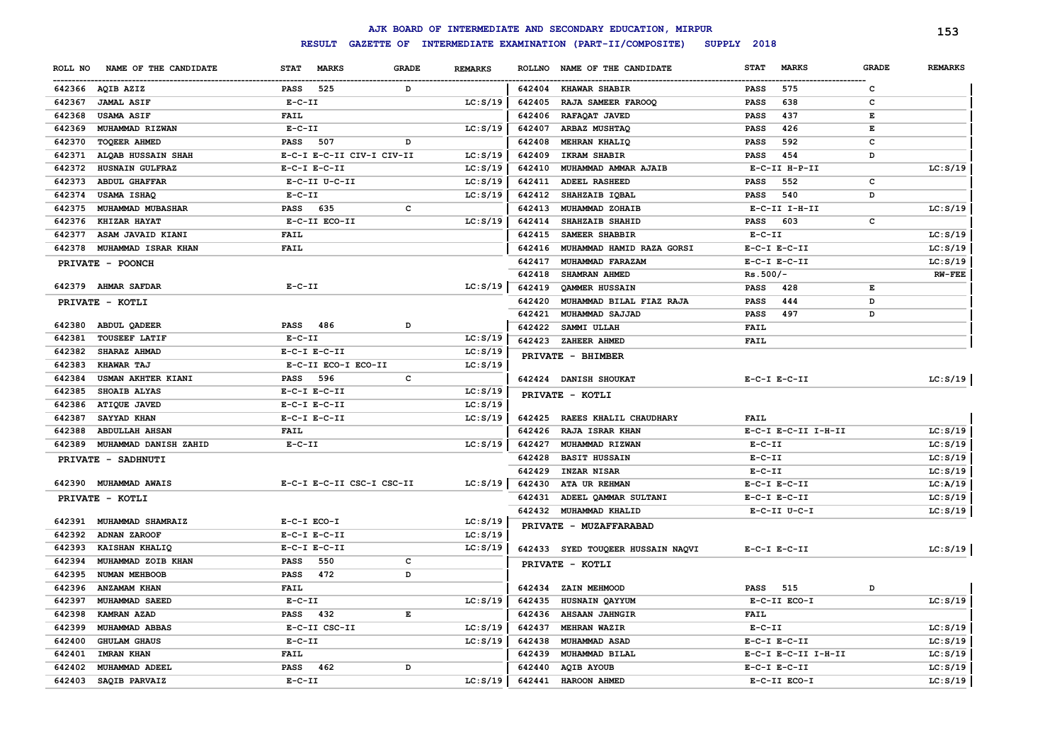|         |                           |                  |                                    |              |                |               | AJK BOARD OF INTERMEDIATE AND SECONDARY EDUCATION, MIRPUR |              |                     |              | 153            |
|---------|---------------------------|------------------|------------------------------------|--------------|----------------|---------------|-----------------------------------------------------------|--------------|---------------------|--------------|----------------|
|         |                           |                  | <b>RESULT</b><br><b>GAZETTE OF</b> |              |                |               | INTERMEDIATE EXAMINATION (PART-II/COMPOSITE)              | SUPPLY 2018  |                     |              |                |
| ROLL NO | NAME OF THE CANDIDATE     | <b>STAT</b>      | <b>MARKS</b>                       | <b>GRADE</b> | <b>REMARKS</b> | <b>ROLLNO</b> | NAME OF THE CANDIDATE                                     | <b>STAT</b>  | <b>MARKS</b>        | <b>GRADE</b> | <b>REMARKS</b> |
|         | 642366 AQIB AZIZ          | PASS             | 525                                | D            |                |               | 642404 KHAWAR SHABIR                                      | <b>PASS</b>  | 575                 | c            |                |
| 642367  | <b>JAMAL ASIF</b>         | $E-C-II$         |                                    |              | LC: S/19       | 642405        | RAJA SAMEER FAROOQ                                        | <b>PASS</b>  | 638                 | c            |                |
| 642368  | <b>USAMA ASIF</b>         | <b>FAIL</b>      |                                    |              |                | 642406        | RAFAQAT JAVED                                             | <b>PASS</b>  | 437                 | Е            |                |
| 642369  | MUHAMMAD RIZWAN           | $E - C - II$     |                                    |              | LC: S/19       | 642407        | ARBAZ MUSHTAQ                                             | PASS         | 426                 | Е            |                |
| 642370  | TOQEER AHMED              | <b>PASS</b>      | 507                                | D            |                | 642408        | MEHRAN KHALIQ                                             | <b>PASS</b>  | 592                 | c            |                |
| 642371  | ALQAB HUSSAIN SHAH        |                  | E-C-I E-C-II CIV-I CIV-II          |              | LC: S/19       | 642409        | IKRAM SHABIR                                              | PASS         | 454                 | D            |                |
| 642372  | HUSNAIN GULFRAZ           | $E-C-I$ $E-C-II$ |                                    |              | LC: S/19       | 642410        | MUHAMMAD AMMAR AJAIB                                      |              | E-C-II H-P-II       |              | LC: S/19       |
| 642373  | <b>ABDUL GHAFFAR</b>      |                  | E-C-II U-C-II                      |              | LC: S/19       | 642411        | ADEEL RASHEED                                             | <b>PASS</b>  | 552                 | c            |                |
| 642374  | USAMA ISHAQ               | $E-C-II$         |                                    |              | LC: S/19       | 642412        | SHAHZAIB IQBAL                                            | <b>PASS</b>  | 540                 | D            |                |
| 642375  | MUHAMMAD MUBASHAR         | PASS             | 635                                | c            |                | 642413        | MUHAMMAD ZOHAIB                                           |              | E-C-II I-H-II       |              | LC: S/19       |
| 642376  | <b>KHIZAR HAYAT</b>       |                  | E-C-II ECO-II                      |              | LC: S/19       | 642414        | SHAHZAIB SHAHID                                           | <b>PASS</b>  | 603                 | c            |                |
| 642377  | ASAM JAVAID KIANI         | <b>FAIL</b>      |                                    |              |                | 642415        | SAMEER SHABBIR                                            | $E-C-II$     |                     |              | LC: S/19       |
| 642378  | MUHAMMAD ISRAR KHAN       | <b>FAIL</b>      |                                    |              |                | 642416        | MUHAMMAD HAMID RAZA GORSI                                 |              | $E-C-I$ $E-C-II$    |              | LC: S/19       |
|         | PRIVATE - POONCH          |                  |                                    |              |                | 642417        | MUHAMMAD FARAZAM                                          |              | $E-C-I$ $E-C-II$    |              | LC: S/19       |
|         |                           |                  |                                    |              |                | 642418        | SHAMRAN AHMED                                             | $Rs.500/-$   |                     |              | <b>RW-FEE</b>  |
|         | 642379 AHMAR SAFDAR       | $E-C-II$         |                                    |              | LC: S/19       | 642419        | QAMMER HUSSAIN                                            | <b>PASS</b>  | 428                 | Е            |                |
|         | PRIVATE - KOTLI           |                  |                                    |              |                | 642420        | MUHAMMAD BILAL FIAZ RAJA                                  | <b>PASS</b>  | 444                 | D            |                |
|         |                           |                  |                                    |              |                | 642421        | MUHAMMAD SAJJAD                                           | <b>PASS</b>  | 497                 | D            |                |
| 642380  | <b>ABDUL QADEER</b>       | <b>PASS</b> 486  |                                    | D            |                | 642422        | <b>SAMMI ULLAH</b>                                        | FAIL         |                     |              |                |
| 642381  | <b>TOUSEEF LATIF</b>      | $E-C-II$         |                                    |              | LC: S/19       | 642423        | ZAHEER AHMED                                              | <b>FAIL</b>  |                     |              |                |
| 642382  | SHARAZ AHMAD              | $E-C-I$ $E-C-II$ |                                    |              | LC: S/19       |               |                                                           |              |                     |              |                |
| 642383  | KHAWAR TAJ                |                  | E-C-II ECO-I ECO-II                |              | LC: S/19       |               | PRIVATE - BHIMBER                                         |              |                     |              |                |
| 642384  | USMAN AKHTER KIANI        | <b>PASS</b>      | 596                                | $\mathbf c$  |                |               | 642424 DANISH SHOUKAT                                     |              | $E-C-I$ $E-C-II$    |              | LC: S/19       |
| 642385  | SHOAIB ALYAS              | $E-C-I$ $E-C-II$ |                                    |              | LC: S/19       |               | PRIVATE - KOTLI                                           |              |                     |              |                |
| 642386  | <b>ATIQUE JAVED</b>       | $E-C-I$ $E-C-II$ |                                    |              | LC: S/19       |               |                                                           |              |                     |              |                |
| 642387  | SAYYAD KHAN               | $E-C-I$ $E-C-II$ |                                    |              | LC: S/19       | 642425        | RAEES KHALIL CHAUDHARY                                    | <b>FAIL</b>  |                     |              |                |
| 642388  | <b>ABDULLAH AHSAN</b>     | <b>FAIL</b>      |                                    |              |                | 642426        | RAJA ISRAR KHAN                                           |              | E-C-I E-C-II I-H-II |              | LC: S/19       |
| 642389  | MUHAMMAD DANISH ZAHID     | $E-C-II$         |                                    |              | LC: S/19       | 642427        | MUHAMMAD RIZWAN                                           | $E - C - II$ |                     |              | LC: S/19       |
|         | <b>PRIVATE - SADHNUTI</b> |                  |                                    |              |                | 642428        | <b>BASIT HUSSAIN</b>                                      | $E-C-II$     |                     |              | LC: S/19       |
|         |                           |                  |                                    |              |                | 642429        | <b>INZAR NISAR</b>                                        | $E-C-II$     |                     |              | LC: S/19       |
|         | 642390 MUHAMMAD AWAIS     |                  | E-C-I E-C-II CSC-I CSC-II          |              | LC: S/19       | 642430        | ATA UR REHMAN                                             |              | $E-C-I$ $E-C-II$    |              | LC: A/19       |
|         | PRIVATE - KOTLI           |                  |                                    |              |                | 642431        | ADEEL QAMMAR SULTANI                                      |              | $E-C-I$ $E-C-II$    |              | LC: S/19       |
|         |                           |                  |                                    |              |                | 642432        | MUHAMMAD KHALID                                           |              | $E-C-II$ $U-C-I$    |              | LC: S/19       |
| 642391  | <b>MUHAMMAD SHAMRAIZ</b>  | E-C-I ECO-I      |                                    |              | LC: S/19       |               | PRIVATE - MUZAFFARABAD                                    |              |                     |              |                |
| 642392  | <b>ADNAN ZAROOF</b>       | $E-C-I$ $E-C-II$ |                                    |              | LC: S/19       |               |                                                           |              |                     |              |                |
| 642393  | <b>KAISHAN KHALIQ</b>     | $E-C-I$ $E-C-II$ |                                    |              | LC: S/19       |               | 642433 SYED TOUQEER HUSSAIN NAQVI                         |              | $E-C-I$ $E-C-II$    |              | LC: S/19       |
| 642394  | MUHAMMAD ZOIB KHAN        | <b>PASS</b>      | 550                                | c            |                |               | PRIVATE - KOTLI                                           |              |                     |              |                |
| 642395  | NUMAN MEHBOOB             | <b>PASS</b>      | 472                                | D            |                |               |                                                           |              |                     |              |                |
| 642396  | <b>ANZAMAM KHAN</b>       | <b>FAIL</b>      |                                    |              |                | 642434        | ZAIN MEHMOOD                                              | <b>PASS</b>  | 515                 | D            |                |
| 642397  | MUHAMMAD SAEED            | $E - C - II$     |                                    |              | LC: S/19       | 642435        | HUSNAIN QAYYUM                                            |              | E-C-II ECO-I        |              | LC: S/19       |
| 642398  | KAMRAN AZAD               | <b>PASS</b>      | 432                                | E            |                | 642436        | <b>AHSAAN JAHNGIR</b>                                     | FAIL         |                     |              |                |
| 642399  | MUHAMMAD ABBAS            |                  | E-C-II CSC-II                      |              | LC: S/19       | 642437        | MEHRAN WAZIR                                              | $E-C-II$     |                     |              | LC: S/19       |
| 642400  | <b>GHULAM GHAUS</b>       | $E - C - II$     |                                    |              | LC: S/19       | 642438        | MUHAMMAD ASAD                                             |              | $E-C-I$ $E-C-II$    |              | LC: S/19       |
| 642401  | <b>IMRAN KHAN</b>         | <b>FAIL</b>      |                                    |              |                | 642439        | MUHAMMAD BILAL                                            |              | E-C-I E-C-II I-H-II |              | LC: S/19       |
| 642402  | MUHAMMAD ADEEL            | <b>PASS</b>      | 462                                | D            |                | 642440        | <b>AQIB AYOUB</b>                                         |              | $E-C-I$ $E-C-II$    |              | LC: S/19       |
| 642403  | SAQIB PARVAIZ             | $E - C - II$     |                                    |              | LC: S/19       | 642441        | <b>HAROON AHMED</b>                                       |              | E-C-II ECO-I        |              | LC: S/19       |
|         |                           |                  |                                    |              |                |               |                                                           |              |                     |              |                |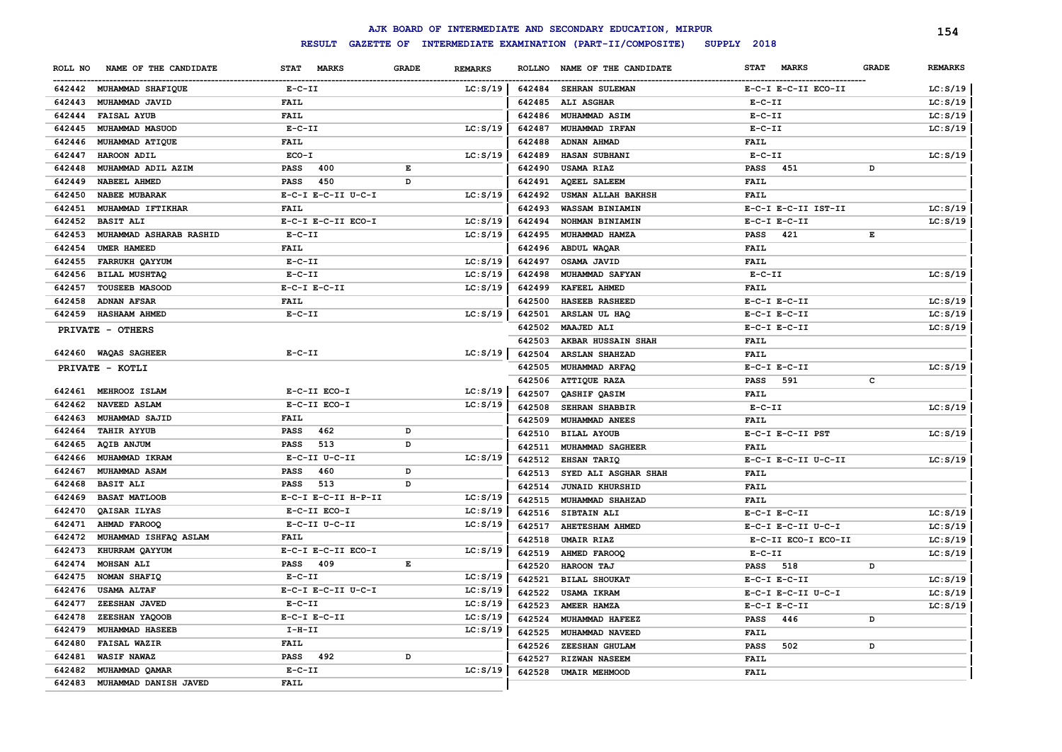|         |                                |                     |              |                |        | AJK BOARD OF INTERMEDIATE AND SECONDARY EDUCATION, MIRPUR |                             |              | 154            |
|---------|--------------------------------|---------------------|--------------|----------------|--------|-----------------------------------------------------------|-----------------------------|--------------|----------------|
|         |                                | <b>RESULT</b>       |              |                |        | GAZETTE OF INTERMEDIATE EXAMINATION (PART-II/COMPOSITE)   | SUPPLY 2018                 |              |                |
| ROLL NO | NAME OF THE CANDIDATE          | STAT MARKS          | <b>GRADE</b> | <b>REMARKS</b> |        | ROLLNO NAME OF THE CANDIDATE                              | <b>MARKS</b><br><b>STAT</b> | <b>GRADE</b> | <b>REMARKS</b> |
|         | 642442 MUHAMMAD SHAFIQUE       | $E- C- II$          |              | LC: S/19       | 642484 | <b>SEHRAN SULEMAN</b>                                     | E-C-I E-C-II ECO-II         |              | LC: S/19       |
| 642443  | MUHAMMAD JAVID                 | <b>FAIL</b>         |              |                |        | 642485 ALI ASGHAR                                         | $E-C-II$                    |              | LC: S/19       |
| 642444  | <b>FAISAL AYUB</b>             | <b>FAIL</b>         |              |                | 642486 | <b>MUHAMMAD ASIM</b>                                      | $E- C- II$                  |              | LC: S/19       |
| 642445  | <b>MUHAMMAD MASUOD</b>         | $E- C- II$          |              | LC: S/19       | 642487 | MUHAMMAD IRFAN                                            | $E- C- II$                  |              | LC: S/19       |
| 642446  | <b>MUHAMMAD ATIQUE</b>         | FAIL                |              |                | 642488 | <b>ADNAN AHMAD</b>                                        | FAIL                        |              |                |
| 642447  | HAROON ADIL                    | ECO-I               |              | LC: S/19       | 642489 | <b>HASAN SUBHANI</b>                                      | $E- C- II$                  |              | LC: S/19       |
| 642448  | MUHAMMAD ADIL AZIM             | <b>PASS</b><br>400  | E            |                | 642490 | <b>USAMA RIAZ</b>                                         | <b>PASS</b><br>451          | D            |                |
| 642449  | <b>NABEEL AHMED</b>            | <b>PASS</b><br>450  | D            |                | 642491 | <b>AQEEL SALEEM</b>                                       | FAIL                        |              |                |
| 642450  | <b>NABEE MUBARAK</b>           | E-C-I E-C-II U-C-I  |              | LC: S/19       | 642492 | <b>USMAN ALLAH BAKHSH</b>                                 | <b>FAIL</b>                 |              |                |
|         | 642451 MUHAMMAD IFTIKHAR       | <b>FAIL</b>         |              |                | 642493 | WASSAM BINIAMIN                                           | E-C-I E-C-II IST-II         |              | LC: S/19       |
| 642452  | <b>BASIT ALI</b>               | E-C-I E-C-II ECO-I  |              | LC: S/19       | 642494 | NOHMAN BINIAMIN                                           | $E-C-I$ $E-C-II$            |              | LC: S/19       |
| 642453  | <b>MUHAMMAD ASHARAB RASHID</b> | $E- C- II$          |              | LC: S/19       | 642495 | MUHAMMAD HAMZA                                            | <b>PASS</b><br>421          | Е            |                |
| 642454  | UMER HAMEED                    | <b>FAIL</b>         |              |                |        | 642496 ABDUL WAQAR                                        | FAIL                        |              |                |
| 642455  | <b>FARRUKH QAYYUM</b>          | $E- C- II$          |              | LC: S/19       | 642497 | OSAMA JAVID                                               | <b>FAIL</b>                 |              |                |
| 642456  | BILAL MUSHTAQ                  | $E- C- II$          |              | LC: S/19       | 642498 | <b>MUHAMMAD SAFYAN</b>                                    | $E-C-II$                    |              | LC: S/19       |
| 642457  | <b>TOUSEEB MASOOD</b>          | $E-C-I$ $E-C-II$    |              | LC: S/19       | 642499 | KAFEEL AHMED                                              | <b>FAIL</b>                 |              |                |
| 642458  | <b>ADNAN AFSAR</b>             | <b>FAIL</b>         |              |                | 642500 | <b>HASEEB RASHEED</b>                                     | $E-C-I$ $E-C-II$            |              | LC: S/19       |
|         | 642459 HASHAAM AHMED           | $E- C- II$          |              | LC: S/19       | 642501 | ARSLAN UL HAQ                                             | $E-C-I$ $E-C-II$            |              | LC: S/19       |
|         | PRIVATE - OTHERS               |                     |              |                | 642502 | <b>MAAJED ALI</b>                                         | $E-C-I$ $E-C-II$            |              | LC: S/19       |
|         |                                |                     |              |                | 642503 | <b>AKBAR HUSSAIN SHAH</b>                                 | <b>FAIL</b>                 |              |                |
|         | 642460 WAQAS SAGHEER           | $E- C- II$          |              | LC: S/19       | 642504 | <b>ARSLAN SHAHZAD</b>                                     | FAIL                        |              |                |
|         | PRIVATE - KOTLI                |                     |              |                | 642505 | MUHAMMAD ARFAO                                            | $E-C-I$ $E-C-II$            |              | LC: S/19       |
|         |                                |                     |              |                |        | 642506 ATTIQUE RAZA                                       | <b>PASS</b><br>591          | c            |                |
| 642461  | MEHROOZ ISLAM                  | E-C-II ECO-I        |              | LC: S/19       | 642507 | QASHIF QASIM                                              | <b>FAIL</b>                 |              |                |
| 642462  | <b>NAVEED ASLAM</b>            | E-C-II ECO-I        |              | LC: S/19       | 642508 | SEHRAN SHABBIR                                            | $E- C- II$                  |              | LC: S/19       |
| 642463  | MUHAMMAD SAJID                 | <b>FAIL</b>         |              |                | 642509 | <b>MUHAMMAD ANEES</b>                                     | <b>FAIL</b>                 |              |                |
| 642464  | <b>TAHIR AYYUB</b>             | PASS<br>462         | D            |                | 642510 | <b>BILAL AYOUB</b>                                        | E-C-I E-C-II PST            |              | LC: S/19       |
| 642465  | <b>AQIB ANJUM</b>              | 513<br>PASS         | D            |                |        | 642511 MUHAMMAD SAGHEER                                   | <b>FAIL</b>                 |              |                |
| 642466  | <b>MUHAMMAD IKRAM</b>          | E-C-II U-C-II       |              | LC: S/19       |        | 642512 EHSAN TARIQ                                        | E-C-I E-C-II U-C-II         |              | LC: S/19       |
| 642467  | <b>MUHAMMAD ASAM</b>           | 460<br><b>PASS</b>  | D            |                | 642513 | SYED ALI ASGHAR SHAH                                      | FAIL                        |              |                |
| 642468  | <b>BASIT ALI</b>               | 513<br>PASS         | D            |                | 642514 | <b>JUNAID KHURSHID</b>                                    | FAIL                        |              |                |
| 642469  | <b>BASAT MATLOOB</b>           | E-C-I E-C-II H-P-II |              | LC: S/19       | 642515 | MUHAMMAD SHAHZAD                                          | <b>FAIL</b>                 |              |                |
| 642470  | QAISAR ILYAS                   | E-C-II ECO-I        |              | LC: S/19       |        | 642516 SIBTAIN ALI                                        | $E-C-I$ $E-C-II$            |              | LC: S/19       |
| 642471  | AHMAD FAROOQ                   | E-C-II U-C-II       |              | LC: S/19       | 642517 | <b>AHETESHAM AHMED</b>                                    | E-C-I E-C-II U-C-I          |              | LC: S/19       |
| 642472  | MUHAMMAD ISHFAQ ASLAM          | FAIL                |              |                | 642518 | <b>UMAIR RIAZ</b>                                         | E-C-II ECO-I ECO-II         |              | LC: S/19       |
| 642473  | KHURRAM QAYYUM                 | E-C-I E-C-II ECO-I  |              | LC: S/19       |        | 642519 AHMED FAROOQ                                       | $E- C- II$                  |              | LC: S/19       |
| 642474  | <b>MOHSAN ALI</b>              | <b>PASS</b> 409     | E            |                | 642520 | HAROON TAJ                                                | <b>PASS</b> 518             | D            |                |
| 642475  | NOMAN SHAFIQ                   | $E- C- II$          |              | LC: S/19       |        | 642521 BILAL SHOUKAT                                      | $E-C-I$ $E-C-II$            |              | LC: S/19       |
|         | 642476 USAMA ALTAF             | E-C-I E-C-II U-C-I  |              | LC: S/19       |        | 642522 USAMA IKRAM                                        | $E-C-I$ $E-C-II$ $U-C-I$    |              | LC: S/19       |
|         | 642477 ZEESHAN JAVED           | $E- C- II$          |              | LC: S/19       |        | 642523 AMEER HAMZA                                        | $E-C-I$ $E-C-II$            |              | LC: S/19       |
|         | 642478 ZEESHAN YAQOOB          | $E- C-I$ $E-C-II$   |              | LC: S/19       | 642524 | <b>MUHAMMAD HAFEEZ</b>                                    | PASS<br>446                 | D            |                |
|         | 642479 MUHAMMAD HASEEB         | $I-H-II$            |              | LC: S/19       |        | 642525 MUHAMMAD NAVEED                                    | <b>FAIL</b>                 |              |                |
|         | 642480 FAISAL WAZIR            | <b>FAIL</b>         |              |                |        | 642526 ZEESHAN GHULAM                                     | PASS<br>502                 | D            |                |
|         | 642481 WASIF NAWAZ             | PASS 492            | D            |                |        | 642527 RIZWAN NASEEM                                      | FAIL                        |              |                |
|         | 642482 MUHAMMAD QAMAR          | $E-C-II$            |              | LC: S/19       |        | 642528 UMAIR MEHMOOD                                      | FAIL                        |              |                |
|         | 642483 MUHAMMAD DANISH JAVED   | <b>FAIL</b>         |              |                |        |                                                           |                             |              |                |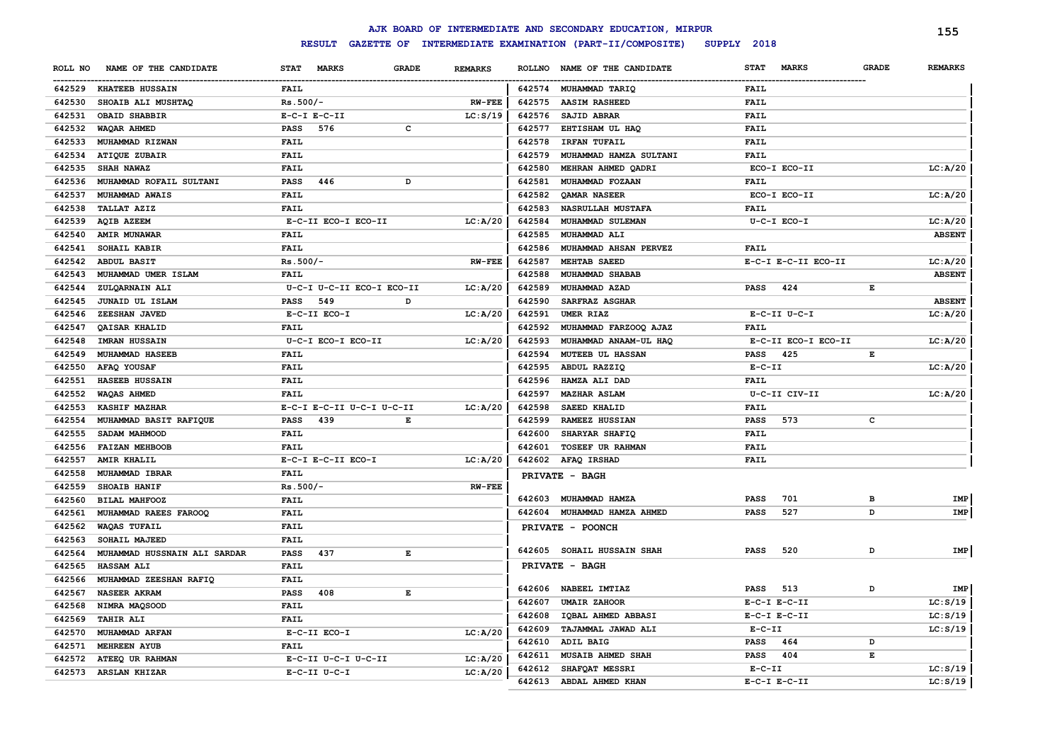|         |                              |                  |                           |              |                |        | AJK BOARD OF INTERMEDIATE AND SECONDARY EDUCATION, MIRPUR |                  |                     |              | 155            |
|---------|------------------------------|------------------|---------------------------|--------------|----------------|--------|-----------------------------------------------------------|------------------|---------------------|--------------|----------------|
|         |                              |                  | <b>RESULT</b>             |              |                |        | GAZETTE OF INTERMEDIATE EXAMINATION (PART-II/COMPOSITE)   | SUPPLY 2018      |                     |              |                |
| ROLL NO | NAME OF THE CANDIDATE        | <b>STAT</b>      | <b>MARKS</b>              | <b>GRADE</b> | <b>REMARKS</b> |        | ROLLNO NAME OF THE CANDIDATE                              | <b>STAT</b>      | <b>MARKS</b>        | <b>GRADE</b> | <b>REMARKS</b> |
|         | 642529 KHATEEB HUSSAIN       | <b>FAIL</b>      |                           |              |                |        | 642574 MUHAMMAD TARIQ                                     | FAIL             |                     |              |                |
| 642530  | SHOAIB ALI MUSHTAQ           | $Rs.500/-$       |                           |              | <b>RW-FEE</b>  | 642575 | <b>AASIM RASHEED</b>                                      | <b>FAIL</b>      |                     |              |                |
| 642531  | OBAID SHABBIR                | $E-C-I$ $E-C-II$ |                           |              | LC: S/19       | 642576 | SAJID ABRAR                                               | <b>FAIL</b>      |                     |              |                |
| 642532  | WAQAR AHMED                  | <b>PASS</b>      | 576                       | c            |                | 642577 | EHTISHAM UL HAQ                                           | <b>FAIL</b>      |                     |              |                |
| 642533  | MUHAMMAD RIZWAN              | <b>FAIL</b>      |                           |              |                | 642578 | <b>IRFAN TUFAIL</b>                                       | FAIL             |                     |              |                |
| 642534  | ATIQUE ZUBAIR                | <b>FAIL</b>      |                           |              |                | 642579 | MUHAMMAD HAMZA SULTANI                                    | <b>FAIL</b>      |                     |              |                |
| 642535  | <b>SHAH NAWAZ</b>            | <b>FAIL</b>      |                           |              |                | 642580 | MEHRAN AHMED QADRI                                        | ECO-I ECO-II     |                     |              | LC: A/20       |
| 642536  | MUHAMMAD ROFAIL SULTANI      | <b>PASS</b>      | 446                       | D            |                | 642581 | MUHAMMAD FOZAAN                                           | <b>FAIL</b>      |                     |              |                |
| 642537  | MUHAMMAD AWAIS               | <b>FAIL</b>      |                           |              |                | 642582 | <b>OAMAR NASEER</b>                                       | ECO-I ECO-II     |                     |              | LC: A/20       |
| 642538  | <b>TALLAT AZIZ</b>           | <b>FAIL</b>      |                           |              |                | 642583 | NASRULLAH MUSTAFA                                         | <b>FAIL</b>      |                     |              |                |
| 642539  | <b>AQIB AZEEM</b>            |                  | E-C-II ECO-I ECO-II       |              | LC: A/20       | 642584 | MUHAMMAD SULEMAN                                          | U-C-I ECO-I      |                     |              | LC: A/20       |
| 642540  | <b>AMIR MUNAWAR</b>          | <b>FAIL</b>      |                           |              |                | 642585 | MUHAMMAD ALI                                              |                  |                     |              | <b>ABSENT</b>  |
| 642541  | SOHAIL KABIR                 | <b>FAIL</b>      |                           |              |                | 642586 | MUHAMMAD AHSAN PERVEZ                                     | <b>FAIL</b>      |                     |              |                |
| 642542  | ABDUL BASIT                  | $Rs.500/-$       |                           |              | $RW$ -FEE      | 642587 | MEHTAB SAEED                                              |                  | E-C-I E-C-II ECO-II |              | LC: A/20       |
| 642543  | MUHAMMAD UMER ISLAM          | <b>FAIL</b>      |                           |              |                | 642588 | MUHAMMAD SHABAB                                           |                  |                     |              | <b>ABSENT</b>  |
| 642544  | ZULQARNAIN ALI               |                  | U-C-I U-C-II ECO-I ECO-II |              | LC: A/20       | 642589 | MUHAMMAD AZAD                                             | <b>PASS</b>      | 424                 | Е            |                |
| 642545  | JUNAID UL ISLAM              | PASS             | 549                       | D            |                | 642590 | SARFRAZ ASGHAR                                            |                  |                     |              | <b>ABSENT</b>  |
| 642546  | ZEESHAN JAVED                |                  | E-C-II ECO-I              |              | LC: A/20       | 642591 | UMER RIAZ                                                 | $E-C-II$ $U-C-I$ |                     |              | LC: A/20       |
| 642547  | QAISAR KHALID                | <b>FAIL</b>      |                           |              |                | 642592 | MUHAMMAD FARZOOQ AJAZ                                     | FAIL             |                     |              |                |
| 642548  | <b>IMRAN HUSSAIN</b>         |                  | U-C-I ECO-I ECO-II        |              | LC: A/20       | 642593 | MUHAMMAD ANAAM-UL HAQ                                     |                  | E-C-II ECO-I ECO-II |              | LC: A/20       |
| 642549  | MUHAMMAD HASEEB              | <b>FAIL</b>      |                           |              |                | 642594 | <b>MUTEEB UL HASSAN</b>                                   | <b>PASS</b>      | 425                 | E            |                |
| 642550  | AFAQ YOUSAF                  | <b>FAIL</b>      |                           |              |                | 642595 | ABDUL RAZZIQ                                              | $E-C-II$         |                     |              | LC: A/20       |
| 642551  | HASEEB HUSSAIN               | <b>FAIL</b>      |                           |              |                | 642596 | HAMZA ALI DAD                                             | <b>FAIL</b>      |                     |              |                |
| 642552  | WAQAS AHMED                  | <b>FAIL</b>      |                           |              |                | 642597 | <b>MAZHAR ASLAM</b>                                       |                  | U-C-II CIV-II       |              | LC: A/20       |
| 642553  | <b>KASHIF MAZHAR</b>         |                  | E-C-I E-C-II U-C-I U-C-II |              | LC: A/20       | 642598 | <b>SAEED KHALID</b>                                       | FAIL             |                     |              |                |
| 642554  | MUHAMMAD BASIT RAFIQUE       | <b>PASS</b>      | 439                       | E            |                | 642599 | <b>RAMEEZ HUSSIAN</b>                                     | <b>PASS</b>      | 573                 | c            |                |
| 642555  | SADAM MAHMOOD                | <b>FAIL</b>      |                           |              |                | 642600 | SHARYAR SHAFIQ                                            | <b>FAIL</b>      |                     |              |                |
| 642556  | <b>FAIZAN MEHBOOB</b>        | <b>FAIL</b>      |                           |              |                | 642601 | <b>TOSEEF UR RAHMAN</b>                                   | <b>FAIL</b>      |                     |              |                |
| 642557  | <b>AMIR KHALIL</b>           |                  | E-C-I E-C-II ECO-I        |              | LC: A/20       |        | 642602 AFAQ IRSHAD                                        | FAIL             |                     |              |                |
| 642558  | MUHAMMAD IBRAR               | <b>FAIL</b>      |                           |              |                |        | PRIVATE - BAGH                                            |                  |                     |              |                |
| 642559  | <b>SHOAIB HANIF</b>          | $Rs.500/-$       |                           |              | $RW$ - $FEE$   |        |                                                           |                  |                     |              |                |
| 642560  | BILAL MAHFOOZ                | <b>FAIL</b>      |                           |              |                | 642603 | MUHAMMAD HAMZA                                            | <b>PASS</b>      | 701                 | в            | IMP            |
| 642561  | MUHAMMAD RAEES FAROOQ        | <b>FAIL</b>      |                           |              |                |        | 642604 MUHAMMAD HAMZA AHMED                               | <b>PASS</b>      | 527                 | D            | IMP            |
| 642562  | <b>WAQAS TUFAIL</b>          | <b>FAIL</b>      |                           |              |                |        | PRIVATE - POONCH                                          |                  |                     |              |                |
| 642563  | SOHAIL MAJEED                | <b>FAIL</b>      |                           |              |                |        |                                                           |                  |                     |              |                |
| 642564  | MUHAMMAD HUSSNAIN ALI SARDAR | <b>PASS</b>      | 437                       | E            |                | 642605 | <b>SOHAIL HUSSAIN SHAH</b>                                | <b>PASS</b>      | 520                 | D            | <b>IMP</b>     |
| 642565  | <b>HASSAM ALI</b>            | FAIL             |                           |              |                |        | PRIVATE - BAGH                                            |                  |                     |              |                |
| 642566  | MUHAMMAD ZEESHAN RAFIQ       | <b>FAIL</b>      |                           |              |                |        |                                                           |                  |                     |              |                |
| 642567  | <b>NASEER AKRAM</b>          | PASS             | 408                       | E            |                |        | 642606 NABEEL IMTIAZ                                      | PASS             | 513                 | D            | IMP            |
| 642568  | NIMRA MAQSOOD                | <b>FAIL</b>      |                           |              |                | 642607 | <b>UMAIR ZAHOOR</b>                                       | $E-C-I$ $E-C-II$ |                     |              | LC: S/19       |
| 642569  | TAHIR ALI                    | <b>FAIL</b>      |                           |              |                | 642608 | IQBAL AHMED ABBASI                                        | $E-C-I$ $E-C-II$ |                     |              | LC: S/19       |
| 642570  | MUHAMMAD ARFAN               |                  | E-C-II ECO-I              |              | LC: A/20       | 642609 | TAJAMMAL JAWAD ALI                                        | $E-C-II$         |                     |              | LC: S/19       |
| 642571  | <b>MEHREEN AYUB</b>          | <b>FAIL</b>      |                           |              |                | 642610 | ADIL BAIG                                                 | <b>PASS</b>      | 464                 | D            |                |
| 642572  | ATEEQ UR RAHMAN              |                  | E-C-II U-C-I U-C-II       |              | LC: A/20       | 642611 | <b>MUSAIB AHMED SHAH</b>                                  | <b>PASS</b>      | 404                 | Е            |                |
|         | 642573 ARSLAN KHIZAR         |                  | E-C-II U-C-I              |              | LC: A/20       | 642612 | SHAFQAT MESSRI                                            | $E-C-II$         |                     |              | LC: S/19       |
|         |                              |                  |                           |              |                | 642613 | ABDAL AHMED KHAN                                          | $E-C-I$ $E-C-II$ |                     |              | LC: S/19       |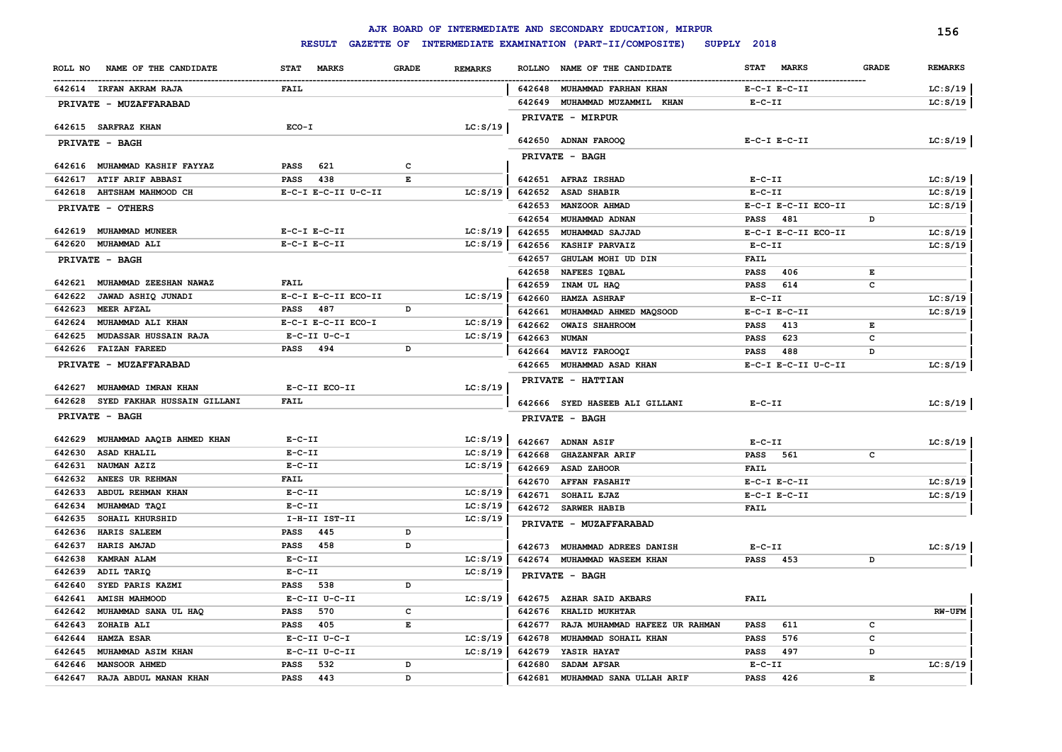|                                       |                             |              |                |                  | AJK BOARD OF INTERMEDIATE AND SECONDARY EDUCATION, MIRPUR |                                    |              | 156            |
|---------------------------------------|-----------------------------|--------------|----------------|------------------|-----------------------------------------------------------|------------------------------------|--------------|----------------|
|                                       | <b>RESULT</b>               |              |                |                  | GAZETTE OF INTERMEDIATE EXAMINATION (PART-II/COMPOSITE)   | SUPPLY 2018                        |              |                |
| NAME OF THE CANDIDATE<br>ROLL NO      | <b>STAT</b><br><b>MARKS</b> | <b>GRADE</b> | <b>REMARKS</b> | <b>ROLLNO</b>    | NAME OF THE CANDIDATE                                     | <b>MARKS</b><br><b>STAT</b>        | <b>GRADE</b> | <b>REMARKS</b> |
| 642614 IRFAN AKRAM RAJA               | FAIL                        |              |                |                  | 642648 MUHAMMAD FARHAN KHAN                               | $E-C-I$ $E-C-II$                   |              | LC: S/19       |
| PRIVATE - MUZAFFARABAD                |                             |              |                | 642649           | MUHAMMAD MUZAMMIL KHAN                                    | $E - C - II$                       |              | LC: S/19       |
|                                       |                             |              |                |                  | <b>PRIVATE - MIRPUR</b>                                   |                                    |              |                |
| 642615 SARFRAZ KHAN                   | $ECO-I$                     |              | LC: S/19       |                  |                                                           |                                    |              |                |
| PRIVATE - BAGH                        |                             |              |                |                  | 642650 ADNAN FAROOQ                                       | $E-C-I$ $E-C-II$                   |              | LC: S/19       |
|                                       |                             |              |                |                  | PRIVATE - BAGH                                            |                                    |              |                |
| 642616 MUHAMMAD KASHIF FAYYAZ         | 621<br><b>PASS</b>          | c            |                |                  |                                                           |                                    |              |                |
| 642617<br>ATIF ARIF ABBASI            | PASS<br>438                 | E            |                |                  | 642651 AFRAZ IRSHAD                                       | $E- C- II$                         |              | LC: S/19       |
| 642618<br><b>AHTSHAM MAHMOOD CH</b>   | E-C-I E-C-II U-C-II         |              | LC: S/19       | 642652           | <b>ASAD SHABIR</b>                                        | $E-C-II$                           |              | LC: S/19       |
| PRIVATE - OTHERS                      |                             |              |                | 642653<br>642654 | MANZOOR AHMAD<br>MUHAMMAD ADNAN                           | E-C-I E-C-II ECO-II<br>481<br>PASS | D            | LC: S/19       |
| 642619 MUHAMMAD MUNEER                | $E-C-I$ $E-C-II$            |              | LC: S/19       | 642655           | MUHAMMAD SAJJAD                                           | E-C-I E-C-II ECO-II                |              | LC: S/19       |
| 642620<br><b>MUHAMMAD ALI</b>         | $E-C-I$ $E-C-II$            |              | LC: S/19       | 642656           | KASHIF PARVAIZ                                            | $E-C-II$                           |              | LC: S/19       |
| PRIVATE - BAGH                        |                             |              |                | 642657           | GHULAM MOHI UD DIN                                        | <b>FAIL</b>                        |              |                |
|                                       |                             |              |                | 642658           | NAFEES IQBAL                                              | <b>PASS</b><br>406                 | E            |                |
| MUHAMMAD ZEESHAN NAWAZ<br>642621      | <b>FAIL</b>                 |              |                | 642659           | INAM UL HAQ                                               | <b>PASS</b><br>614                 | c            |                |
| JAWAD ASHIQ JUNADI<br>642622          | E-C-I E-C-II ECO-II         |              | LC: S/19       | 642660           | <b>HAMZA ASHRAF</b>                                       | $E-C-II$                           |              | LC: S/19       |
| 642623<br><b>MEER AFZAL</b>           | <b>PASS</b><br>487          | D            |                | 642661           | MUHAMMAD AHMED MAQSOOD                                    | $E-C-I$ $E-C-II$                   |              | LC: S/19       |
| 642624<br>MUHAMMAD ALI KHAN           | E-C-I E-C-II ECO-I          |              | LC: S/19       | 642662           | <b>OWAIS SHAHROOM</b>                                     | 413<br>PASS                        | Е            |                |
| MUDASSAR HUSSAIN RAJA<br>642625       | $E-C-II$ $U-C-I$            |              | LC: S/19       | 642663           | <b>NUMAN</b>                                              | 623<br><b>PASS</b>                 | с            |                |
| <b>FAIZAN FAREED</b><br>642626        | PASS<br>494                 | D            |                | 642664           | MAVIZ FAROOQI                                             | 488<br><b>PASS</b>                 | D            |                |
| PRIVATE - MUZAFFARABAD                |                             |              |                | 642665           | MUHAMMAD ASAD KHAN                                        | E-C-I E-C-II U-C-II                |              | LC: S/19       |
|                                       |                             |              |                |                  | PRIVATE - HATTIAN                                         |                                    |              |                |
| 642627<br>MUHAMMAD IMRAN KHAN         | E-C-II ECO-II               |              | LC: S/19       |                  |                                                           |                                    |              |                |
| 642628<br>SYED FAKHAR HUSSAIN GILLANI | <b>FAIL</b>                 |              |                |                  | 642666 SYED HASEEB ALI GILLANI                            | $E-C-II$                           |              | LC: S/19       |
| <b>PRIVATE - BAGH</b>                 |                             |              |                |                  | PRIVATE - BAGH                                            |                                    |              |                |
| MUHAMMAD AAQIB AHMED KHAN<br>642629   | $E-C-II$                    |              | LC: S/19       | 642667           |                                                           |                                    |              |                |
| 642630<br>ASAD KHALIL                 | $E-C-II$                    |              | LC: S/19       | 642668           | <b>ADNAN ASIF</b><br><b>GHAZANFAR ARIF</b>                | $E-C-II$<br><b>PASS</b>            | C            | LC: S/19       |
| 642631<br>NAUMAN AZIZ                 | $E - C - II$                |              | LC: S/19       | 642669           | <b>ASAD ZAHOOR</b>                                        | 561<br><b>FAIL</b>                 |              |                |
| 642632<br>ANEES UR REHMAN             | <b>FAIL</b>                 |              |                | 642670           | <b>AFFAN FASAHIT</b>                                      | $E-C-I$ $E-C-II$                   |              | LC: S/19       |
| 642633<br>ABDUL REHMAN KHAN           | $E-C-II$                    |              | LC: S/19       | 642671           | SOHAIL EJAZ                                               | $E-C-I$ $E-C-II$                   |              | LC: S/19       |
| 642634<br>MUHAMMAD TAQI               | $E-C-II$                    |              | LC: S/19       |                  | 642672 SARWER HABIB                                       | <b>FAIL</b>                        |              |                |
| 642635<br>SOHAIL KHURSHID             | I-H-II IST-II               |              | LC: S/19       |                  | PRIVATE - MUZAFFARABAD                                    |                                    |              |                |
| HARIS SALEEM<br>642636                | <b>PASS</b><br>445          | D            |                |                  |                                                           |                                    |              |                |
| 642637<br>HARIS AMJAD                 | 458<br><b>PASS</b>          | D            |                | 642673           | <b>MUHAMMAD ADREES DANISH</b>                             | $E-C-II$                           |              | LC: S/19       |
| 642638<br>KAMRAN ALAM                 | $E-C-II$                    |              | LC: S/19       |                  | 642674 MUHAMMAD WASEEM KHAN                               | <b>PASS</b><br>453                 | D            |                |
| 642639<br>ADIL TARIQ                  | $E-C-II$                    |              | LC: S/19       |                  | <b>PRIVATE - BAGH</b>                                     |                                    |              |                |
| 642640<br>SYED PARIS KAZMI            | PASS<br>538                 | D            |                |                  |                                                           |                                    |              |                |
| <b>AMISH MAHMOOD</b><br>642641        | E-C-II U-C-II               |              | LC: S/19       |                  | 642675 AZHAR SAID AKBARS                                  | <b>FAIL</b>                        |              |                |
| 642642<br>MUHAMMAD SANA UL HAQ        | 570<br>PASS                 | c            |                | 642676           | <b>KHALID MUKHTAR</b>                                     |                                    |              | RW-UFM         |
| ZOHAIB ALI<br>642643                  | PASS<br>405                 | E            |                | 642677           | RAJA MUHAMMAD HAFEEZ UR RAHMAN                            | 611<br><b>PASS</b>                 | $\mathbf c$  |                |
| 642644<br>HAMZA ESAR                  | $E-C-II$ $U-C-I$            |              | LC: S/19       | 642678           | MUHAMMAD SOHAIL KHAN                                      | 576<br><b>PASS</b>                 | с            |                |
| 642645<br>MUHAMMAD ASIM KHAN          | E-C-II U-C-II               |              | LC: S/19       | 642679           | <b>YASIR HAYAT</b>                                        | 497<br>PASS                        | D            |                |
| <b>MANSOOR AHMED</b><br>642646        | 532<br><b>PASS</b>          | D            |                | 642680           | SADAM AFSAR                                               | $E - C - II$                       |              | LC: S/19       |
| 642647<br>RAJA ABDUL MANAN KHAN       | PASS<br>443                 | D            |                | 642681           | MUHAMMAD SANA ULLAH ARIF                                  | <b>PASS</b><br>426                 | Е            |                |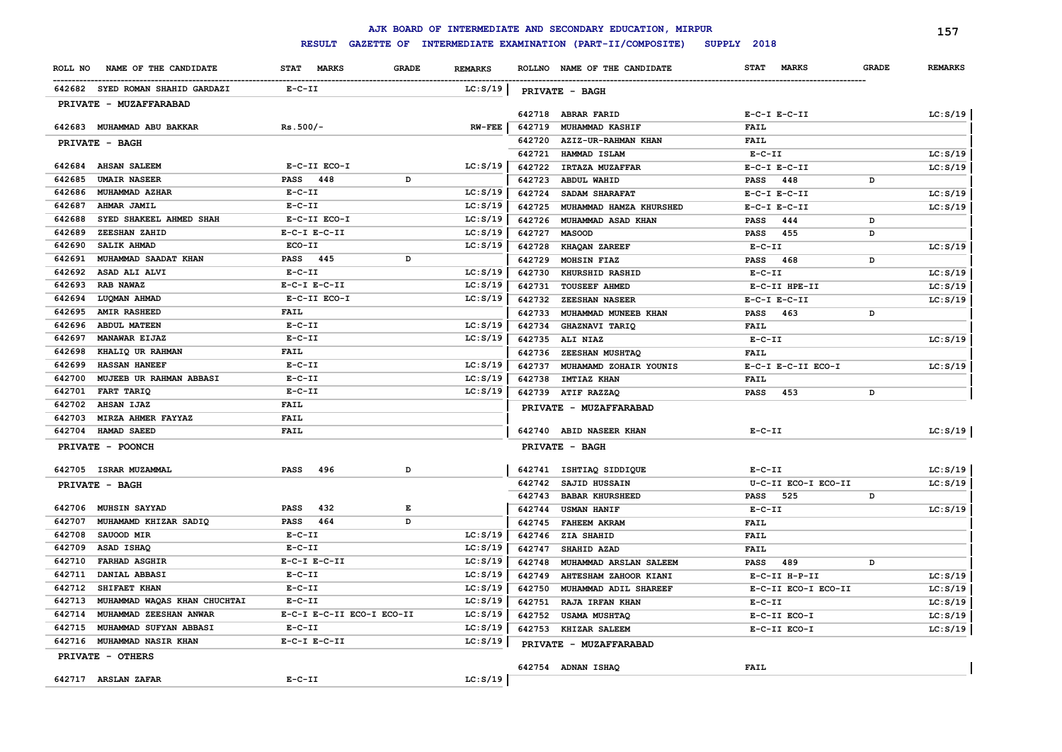|         |                                  |                           |              |                |                  | AJK BOARD OF INTERMEDIATE AND SECONDARY EDUCATION, MIRPUR |                         |                     |              | 157            |
|---------|----------------------------------|---------------------------|--------------|----------------|------------------|-----------------------------------------------------------|-------------------------|---------------------|--------------|----------------|
|         |                                  | <b>RESULT</b>             |              |                |                  | GAZETTE OF INTERMEDIATE EXAMINATION (PART-II/COMPOSITE)   | SUPPLY 2018             |                     |              |                |
| ROLL NO | NAME OF THE CANDIDATE            | STAT MARKS                | <b>GRADE</b> | <b>REMARKS</b> |                  | ROLLNO NAME OF THE CANDIDATE                              | <b>STAT</b>             | <b>MARKS</b>        | <b>GRADE</b> | <b>REMARKS</b> |
|         | 642682 SYED ROMAN SHAHID GARDAZI | $E - C - II$              |              | LC: S/19       |                  | PRIVATE - BAGH                                            |                         |                     |              |                |
|         | PRIVATE - MUZAFFARABAD           |                           |              |                |                  |                                                           |                         |                     |              |                |
|         |                                  |                           |              |                | 642718           | <b>ABRAR FARID</b>                                        | $E-C-I$ $E-C-II$        |                     |              | LC: S/19       |
|         | 642683 MUHAMMAD ABU BAKKAR       | $Rs.500/-$                |              | $RW-FEE$       | 642719<br>642720 | <b>MUHAMMAD KASHIF</b>                                    | <b>FAIL</b>             |                     |              |                |
|         | PRIVATE - BAGH                   |                           |              |                | 642721           | AZIZ-UR-RAHMAN KHAN<br>HAMMAD ISLAM                       | <b>FAIL</b><br>$E-C-II$ |                     |              | LC: S/19       |
| 642684  | <b>AHSAN SALEEM</b>              | E-C-II ECO-I              |              | LC: S/19       | 642722           | <b>IRTAZA MUZAFFAR</b>                                    | $E-C-I$ $E-C-II$        |                     |              | LC: S/19       |
| 642685  | <b>UMAIR NASEER</b>              | PASS 448                  | D            |                | 642723           | ABDUL WAHID                                               | PASS 448                |                     | D            |                |
| 642686  | MUHAMMAD AZHAR                   | $E - C - II$              |              | LC: S/19       | 642724           | SADAM SHARAFAT                                            | $E-C-I$ $E-C-II$        |                     |              | LC: S/19       |
| 642687  | AHMAR JAMIL                      | $E - C - II$              |              | LC: S/19       | 642725           | MUHAMMAD HAMZA KHURSHED                                   | $E-C-I$ $E-C-II$        |                     |              | LC: S/19       |
| 642688  | SYED SHAKEEL AHMED SHAH          | E-C-II ECO-I              |              | LC: S/19       | 642726           | MUHAMMAD ASAD KHAN                                        | <b>PASS</b>             | 444                 | $\mathbf D$  |                |
| 642689  | ZEESHAN ZAHID                    | $E-C-I$ $E-C-II$          |              | LC: S/19       | 642727           | <b>MASOOD</b>                                             | <b>PASS</b>             | 455                 | D            |                |
| 642690  | <b>SALIK AHMAD</b>               | ECO-II                    |              | LC: S/19       | 642728           | <b>KHAQAN ZAREEF</b>                                      | $E-C-II$                |                     |              | LC: S/19       |
| 642691  | MUHAMMAD SAADAT KHAN             | <b>PASS</b> 445           | D            |                | 642729           | MOHSIN FIAZ                                               | <b>PASS</b>             | 468                 | D            |                |
| 642692  | ASAD ALI ALVI                    | $E- C- II$                |              | LC: S/19       | 642730           | KHURSHID RASHID                                           | $E-C-II$                |                     |              | LC: S/19       |
| 642693  | RAB NAWAZ                        | $E-C-I$ $E-C-II$          |              | LC: S/19       | 642731           | <b>TOUSEEF AHMED</b>                                      |                         | E-C-II HPE-II       |              | LC: S/19       |
| 642694  | LUOMAN AHMAD                     | E-C-II ECO-I              |              | LC: S/19       | 642732           | <b>ZEESHAN NASEER</b>                                     | $E-C-I$ $E-C-II$        |                     |              | LC: S/19       |
| 642695  | <b>AMIR RASHEED</b>              | <b>FAIL</b>               |              |                | 642733           | MUHAMMAD MUNEEB KHAN                                      | <b>PASS</b>             | 463                 | D            |                |
| 642696  | <b>ABDUL MATEEN</b>              | $E-C-II$                  |              | LC: S/19       | 642734           | GHAZNAVI TARIQ                                            | <b>FAIL</b>             |                     |              |                |
| 642697  | MANAWAR EIJAZ                    | $E - C - II$              |              | LC: S/19       |                  | 642735 ALI NIAZ                                           | $E-C-II$                |                     |              | LC: S/19       |
| 642698  | KHALIQ UR RAHMAN                 | <b>FAIL</b>               |              |                | 642736           | ZEESHAN MUSHTAQ                                           | <b>FAIL</b>             |                     |              |                |
| 642699  | <b>HASSAN HANEEF</b>             | $E-C-TI$                  |              | LC: S/19       | 642737           | MUHAMAMD ZOHAIR YOUNIS                                    |                         | E-C-I E-C-II ECO-I  |              | LC: S/19       |
| 642700  | <b>MUJEEB UR RAHMAN ABBASI</b>   | $E - C - II$              |              | LC: S/19       | 642738           | <b>IMTIAZ KHAN</b>                                        | <b>FAIL</b>             |                     |              |                |
| 642701  | FART TARIQ                       | $E-C-II$                  |              | LC: S/19       |                  | 642739 ATIF RAZZAQ                                        | <b>PASS</b>             | 453                 | D            |                |
| 642702  | <b>AHSAN IJAZ</b>                | <b>FAIL</b>               |              |                |                  | PRIVATE - MUZAFFARABAD                                    |                         |                     |              |                |
| 642703  | MIRZA AHMER FAYYAZ               | <b>FAIL</b>               |              |                |                  |                                                           |                         |                     |              |                |
| 642704  | <b>HAMAD SAEED</b>               | <b>FAIL</b>               |              |                |                  | 642740 ABID NASEER KHAN                                   | $E- C- II$              |                     |              | LC: S/19       |
|         | PRIVATE - POONCH                 |                           |              |                |                  | PRIVATE - BAGH                                            |                         |                     |              |                |
|         | 642705 ISRAR MUZAMMAL            | 496<br><b>PASS</b>        | D            |                |                  | 642741 ISHTIAQ SIDDIQUE                                   | $E-C-II$                |                     |              | LC: S/19       |
|         | PRIVATE - BAGH                   |                           |              |                |                  | 642742 SAJID HUSSAIN                                      |                         | U-C-II ECO-I ECO-II |              | LC: S/19       |
|         |                                  |                           |              |                | 642743           | <b>BABAR KHURSHEED</b>                                    | <b>PASS</b>             | 525                 | D            |                |
|         | 642706 MUHSIN SAYYAD             | 432<br><b>PASS</b>        | E            |                | 642744           | <b>USMAN HANIF</b>                                        | $E-C-II$                |                     |              | LC: S/19       |
| 642707  | MUHAMAMD KHIZAR SADIO            | 464<br>PASS               | D            |                | 642745           | <b>FAHEEM AKRAM</b>                                       | <b>FAIL</b>             |                     |              |                |
| 642708  | SAUOOD MIR                       | $E - C - II$              |              | LC: S/19       | 642746           | <b>ZIA SHAHID</b>                                         | <b>FAIL</b>             |                     |              |                |
| 642709  | ASAD ISHAQ                       | $E - C - II$              |              | LC: S/19       | 642747           | SHAHID AZAD                                               | <b>FAIL</b>             |                     |              |                |
| 642710  | <b>FARHAD ASGHIR</b>             | $E-C-I$ $E-C-II$          |              | LC: S/19       | 642748           | MUHAMMAD ARSLAN SALEEM                                    | <b>PASS</b>             | 489                 | D            |                |
| 642711  | DANIAL ABBASI                    | $E - C - II$              |              | LC: S/19       | 642749           | AHTESHAM ZAHOOR KIANI                                     |                         | E-C-II H-P-II       |              | LC: S/19       |
| 642712  | SHIFAET KHAN                     | $E- C- II$                |              | LC: S/19       | 642750           | MUHAMMAD ADIL SHAREEF                                     |                         | E-C-II ECO-I ECO-II |              | LC: S/19       |
| 642713  | MUHAMMAD WAQAS KHAN CHUCHTAI     | $E-C-II$                  |              | LC: S/19       | 642751           | <b>RAJA IRFAN KHAN</b>                                    | $E-C-II$                |                     |              | LC: S/19       |
| 642714  | MUHAMMAD ZEESHAN ANWAR           | E-C-I E-C-II ECO-I ECO-II |              | LC: S/19       | 642752           | USAMA MUSHTAQ                                             |                         | E-C-II ECO-I        |              | LC: S/19       |
| 642715  | MUHAMMAD SUFYAN ABBASI           | $E - C - II$              |              | LC: S/19       |                  | 642753 KHIZAR SALEEM                                      |                         | E-C-II ECO-I        |              | LC: S/19       |
|         | 642716 MUHAMMAD NASIR KHAN       | $E-C-I$ $E-C-II$          |              | LC: S/19       |                  | PRIVATE - MUZAFFARABAD                                    |                         |                     |              |                |
|         | PRIVATE - OTHERS                 |                           |              |                |                  |                                                           |                         |                     |              |                |
|         | 642717 ARSLAN ZAFAR              | $E - C - II$              |              | LC: S/19       |                  | 642754 ADNAN ISHAQ                                        | <b>FAIL</b>             |                     |              |                |
|         |                                  |                           |              |                |                  |                                                           |                         |                     |              |                |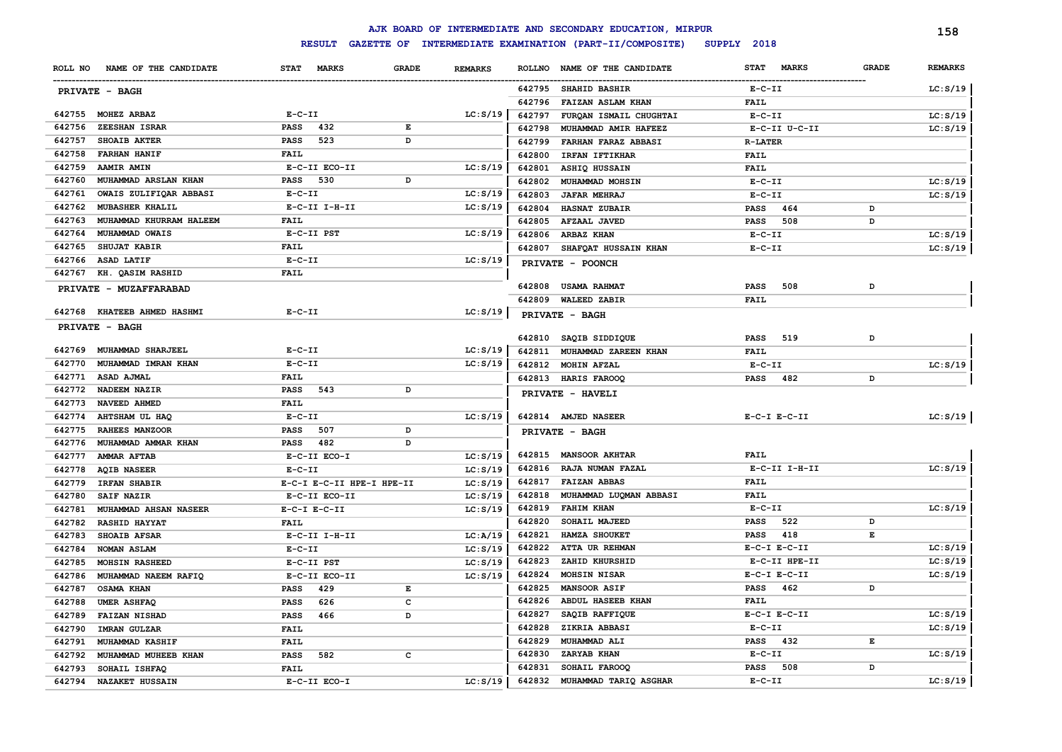|         |                             |                             |              |                |               | AJK BOARD OF INTERMEDIATE AND SECONDARY EDUCATION, MIRPUR |                             |              | 158            |
|---------|-----------------------------|-----------------------------|--------------|----------------|---------------|-----------------------------------------------------------|-----------------------------|--------------|----------------|
|         |                             | <b>RESULT</b>               |              |                |               | GAZETTE OF INTERMEDIATE EXAMINATION (PART-II/COMPOSITE)   | SUPPLY 2018                 |              |                |
| ROLL NO | NAME OF THE CANDIDATE       | <b>STAT</b><br><b>MARKS</b> | <b>GRADE</b> | <b>REMARKS</b> | <b>ROLLNO</b> | NAME OF THE CANDIDATE                                     | <b>STAT</b><br><b>MARKS</b> | <b>GRADE</b> | <b>REMARKS</b> |
|         | PRIVATE - BAGH              |                             |              |                | 642795        | <b>SHAHID BASHIR</b>                                      | $E-C-II$                    |              | LC: S/19       |
|         |                             |                             |              |                | 642796        | FAIZAN ASLAM KHAN                                         | <b>FAIL</b>                 |              |                |
| 642755  | MOHEZ ARBAZ                 | $E- C- II$                  |              | LC: S/19       | 642797        | FURQAN ISMAIL CHUGHTAI                                    | $E-C-II$                    |              | LC: S/19       |
| 642756  | ZEESHAN ISRAR               | <b>PASS</b><br>432          | E            |                | 642798        | MUHAMMAD AMIR HAFEEZ                                      | E-C-II U-C-II               |              | LC: S/19       |
| 642757  | <b>SHOAIB AKTER</b>         | <b>PASS</b><br>523          | D            |                | 642799        | FARHAN FARAZ ABBASI                                       | <b>R-LATER</b>              |              |                |
| 642758  | <b>FARHAN HANIF</b>         | <b>FAIL</b>                 |              |                | 642800        | IRFAN IFTIKHAR                                            | <b>FAIL</b>                 |              |                |
| 642759  | AAMIR AMIN                  | E-C-II ECO-II               |              | LC: S/19       | 642801        | ASHIQ HUSSAIN                                             | <b>FAIL</b>                 |              |                |
| 642760  | MUHAMMAD ARSLAN KHAN        | <b>PASS</b><br>530          | D            |                | 642802        | MUHAMMAD MOHSIN                                           | $E-C-II$                    |              | LC: S/19       |
| 642761  | OWAIS ZULIFIQAR ABBASI      | $E - C - II$                |              | LC: S/19       | 642803        | <b>JAFAR MEHRAJ</b>                                       | $E-C-II$                    |              | LC: S/19       |
| 642762  | <b>MUBASHER KHALIL</b>      | E-C-II I-H-II               |              | LC: S/19       | 642804        | HASNAT ZUBAIR                                             | <b>PASS</b><br>464          | D            |                |
| 642763  | MUHAMMAD KHURRAM HALEEM     | FAIL                        |              |                | 642805        | AFZAAL JAVED                                              | 508<br><b>PASS</b>          | D            |                |
| 642764  | MUHAMMAD OWAIS              | E-C-II PST                  |              | LC: S/19       | 642806        | ARBAZ KHAN                                                | $E-C-II$                    |              | LC: S/19       |
| 642765  | SHUJAT KABIR                | <b>FAIL</b>                 |              |                | 642807        | SHAFQAT HUSSAIN KHAN                                      | $E - C - II$                |              | LC: S/19       |
| 642766  | ASAD LATIF                  | $E-C-TI$                    |              | LC: S/19       |               | PRIVATE - POONCH                                          |                             |              |                |
| 642767  | KH. QASIM RASHID            | <b>FAIL</b>                 |              |                |               |                                                           |                             |              |                |
|         | PRIVATE - MUZAFFARABAD      |                             |              |                | 642808        | <b>USAMA RAHMAT</b>                                       | 508<br><b>PASS</b>          | D            |                |
|         |                             |                             |              |                | 642809        | <b>WALEED ZABIR</b>                                       | <b>FAIL</b>                 |              |                |
|         | 642768 KHATEEB AHMED HASHMI | $E - C - II$                |              | LC: S/19       |               | PRIVATE - BAGH                                            |                             |              |                |
|         | <b>PRIVATE - BAGH</b>       |                             |              |                |               |                                                           |                             |              |                |
|         |                             |                             |              |                | 642810        | SAQIB SIDDIQUE                                            | 519<br>PASS                 | D            |                |
| 642769  | MUHAMMAD SHARJEEL           | $E - C - II$                |              | LC: S/19       | 642811        | MUHAMMAD ZAREEN KHAN                                      | FAIL                        |              |                |
| 642770  | MUHAMMAD IMRAN KHAN         | $E - C - II$                |              | LC: S/19       | 642812        | MOHIN AFZAL                                               | $E - C - II$                |              | LC: S/19       |
| 642771  | ASAD AJMAL                  | <b>FAIL</b>                 |              |                |               | 642813 HARIS FAROOQ                                       | PASS<br>482                 | D            |                |
| 642772  | NADEEM NAZIR                | <b>PASS</b><br>543          | D            |                |               | PRIVATE - HAVELI                                          |                             |              |                |
| 642773  | NAVEED AHMED                | <b>FAIL</b>                 |              |                |               |                                                           |                             |              |                |
| 642774  | AHTSHAM UL HAQ              | $E - C - II$                |              | LC: S/19       |               | 642814 AMJED NASEER                                       | $E-C-I$ $E-C-II$            |              | LC: S/19       |
| 642775  | RAHEES MANZOOR              | <b>PASS</b><br>507          | D            |                |               | PRIVATE - BAGH                                            |                             |              |                |
| 642776  | MUHAMMAD AMMAR KHAN         | <b>PASS</b><br>482          | D            |                |               |                                                           |                             |              |                |
| 642777  | AMMAR AFTAB                 | E-C-II ECO-I                |              | LC: S/19       | 642815        | <b>MANSOOR AKHTAR</b>                                     | FAIL                        |              |                |
| 642778  | <b>AQIB NASEER</b>          | $E- C- II$                  |              | LC: S/19       | 642816        | RAJA NUMAN FAZAL                                          | $E-C-II$ I-H-II             |              | LC: S/19       |
| 642779  | <b>IRFAN SHABIR</b>         | E-C-I E-C-II HPE-I HPE-II   |              | LC: S/19       | 642817        | <b>FAIZAN ABBAS</b>                                       | <b>FAIL</b>                 |              |                |
| 642780  | SAIF NAZIR                  | E-C-II ECO-II               |              | LC: S/19       | 642818        | MUHAMMAD LUQMAN ABBASI                                    | <b>FAIL</b>                 |              |                |
| 642781  | MUHAMMAD AHSAN NASEER       | $E-C-I$ $E-C-II$            |              | LC: S/19       | 642819        | <b>FAHIM KHAN</b>                                         | $E-C-II$                    |              | LC: S/19       |
| 642782  | RASHID HAYYAT               | <b>FAIL</b>                 |              |                | 642820        | SOHAIL MAJEED                                             | 522<br>PASS                 | D            |                |
| 642783  | SHOAIB AFSAR                | $E-C-II$ I-H-II             |              | LC: A/19       | 642821        | HAMZA SHOUKET                                             | 418<br>PASS                 | E            |                |
| 642784  | NOMAN ASLAM                 | $E - C - II$                |              | LC: S/19       | 642822        | ATTA UR REHMAN                                            | $E- C-I$ $E-C-II$           |              | LC: S/19       |
| 642785  | <b>MOHSIN RASHEED</b>       | E-C-II PST                  |              | LC: S/19       | 642823        | ZAHID KHURSHID                                            | E-C-II HPE-II               |              | LC: S/19       |
| 642786  | MUHAMMAD NAEEM RAFIQ        | E-C-II ECO-II               |              | LC: S/19       | 642824        | MOHSIN NISAR                                              | $E-C-I$ $E-C-II$            |              | LC: S/19       |
| 642787  | OSAMA KHAN                  | PASS<br>429                 | E            |                | 642825        | MANSOOR ASIF                                              | <b>PASS</b><br>462          | D            |                |
| 642788  | UMER ASHFAQ                 | 626<br><b>PASS</b>          | с            |                | 642826        | ABDUL HASEEB KHAN                                         | FAIL                        |              |                |
| 642789  | FAIZAN NISHAD               | <b>PASS</b><br>466          | D            |                | 642827        | SAQIB RAFFIQUE                                            | $E-C-I$ $E-C-II$            |              | LC: S/19       |
| 642790  | <b>IMRAN GULZAR</b>         | FAIL                        |              |                | 642828        | ZIKRIA ABBASI                                             | $E - C - II$                |              | LC: S/19       |
| 642791  | <b>MUHAMMAD KASHIF</b>      | <b>FAIL</b>                 |              |                | 642829        | MUHAMMAD ALI                                              | <b>PASS</b><br>432          | Е            |                |
| 642792  | MUHAMMAD MUHEEB KHAN        | <b>PASS</b><br>582          | c            |                | 642830        | ZARYAB KHAN                                               | $E - C - II$                |              | LC: S/19       |
| 642793  | SOHAIL ISHFAQ               | <b>FAIL</b>                 |              |                | 642831        | SOHAIL FAROOQ                                             | 508<br><b>PASS</b>          | D            |                |
| 642794  | <b>NAZAKET HUSSAIN</b>      | E-C-II ECO-I                |              | LC: S/19       | 642832        | MUHAMMAD TARIQ ASGHAR                                     | $E - C - II$                |              | LC: S/19       |
|         |                             |                             |              |                |               |                                                           |                             |              |                |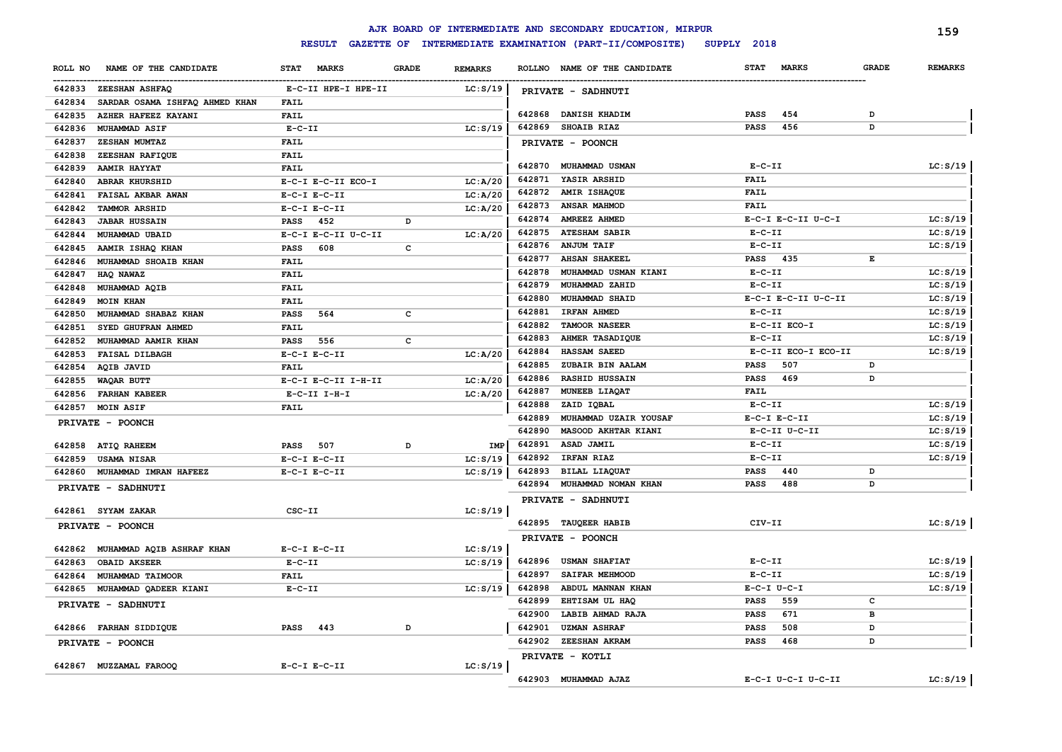|                                          |                             |              |                |                  | AJK BOARD OF INTERMEDIATE AND SECONDARY EDUCATION, MIRPUR |                            |                     |              | 159            |
|------------------------------------------|-----------------------------|--------------|----------------|------------------|-----------------------------------------------------------|----------------------------|---------------------|--------------|----------------|
|                                          | <b>RESULT</b>               |              |                |                  | GAZETTE OF INTERMEDIATE EXAMINATION (PART-II/COMPOSITE)   | SUPPLY 2018                |                     |              |                |
| NAME OF THE CANDIDATE<br>ROLL NO         | <b>MARKS</b><br><b>STAT</b> | <b>GRADE</b> | <b>REMARKS</b> |                  | ROLLNO NAME OF THE CANDIDATE                              | <b>STAT</b>                | <b>MARKS</b>        | <b>GRADE</b> | <b>REMARKS</b> |
| 642833 ZEESHAN ASHFAQ                    | E-C-II HPE-I HPE-II         |              | LC: S/19       |                  | PRIVATE - SADHNUTI                                        |                            |                     |              |                |
| SARDAR OSAMA ISHFAQ AHMED KHAN<br>642834 | FAIL                        |              |                |                  |                                                           |                            |                     |              |                |
| 642835<br>AZHER HAFEEZ KAYANI            | <b>FAIL</b>                 |              |                | 642868           | <b>DANISH KHADIM</b>                                      | PASS                       | 454                 | D            |                |
| 642836<br><b>MUHAMMAD ASIF</b>           | $E-C-II$                    |              | LC: S/19       | 642869           | <b>SHOAIB RIAZ</b>                                        | <b>PASS</b>                | 456                 | D            |                |
| 642837<br>ZESHAN MUMTAZ                  | <b>FAIL</b>                 |              |                |                  | PRIVATE - POONCH                                          |                            |                     |              |                |
| 642838<br>ZEESHAN RAFIQUE                | <b>FAIL</b>                 |              |                |                  |                                                           |                            |                     |              |                |
| 642839<br>AAMIR HAYYAT                   | <b>FAIL</b>                 |              |                |                  | 642870 MUHAMMAD USMAN                                     | $E- C- II$                 |                     |              | LC: S/19       |
| <b>ABRAR KHURSHID</b><br>642840          | E-C-I E-C-II ECO-I          |              | LC: A/20       | 642871           | YASIR ARSHID                                              | <b>FAIL</b>                |                     |              |                |
| 642841<br>FAISAL AKBAR AWAN              | $E-C-I$ $E-C-II$            |              | LC: A/20       | 642872           | <b>AMIR ISHAQUE</b>                                       | <b>FAIL</b>                |                     |              |                |
| 642842<br><b>TAMMOR ARSHID</b>           | $E-C-I$ $E-C-II$            |              | LC: A/20       | 642873           | <b>ANSAR MAHMOD</b>                                       | <b>FAIL</b>                |                     |              |                |
| 642843<br><b>JABAR HUSSAIN</b>           | 452<br>PASS                 | D            |                | 642874           | <b>AMREEZ AHMED</b>                                       |                            | E-C-I E-C-II U-C-I  |              | LC: S/19       |
| 642844<br>MUHAMMAD UBAID                 | E-C-I E-C-II U-C-II         |              | LC: A/20       | 642875           | <b>ATESHAM SABIR</b>                                      | $E- C- II$                 |                     |              | LC: S/19       |
| 642845<br>AAMIR ISHAQ KHAN               | 608<br><b>PASS</b>          | C            |                |                  | 642876 ANJUM TAIF                                         | $E - C - II$               |                     |              | LC: S/19       |
| 642846<br>MUHAMMAD SHOAIB KHAN           | FAIL                        |              |                | 642877           | <b>AHSAN SHAKEEL</b>                                      | <b>PASS</b>                | -435                | Е            |                |
| 642847<br>HAQ NAWAZ                      | FAIL                        |              |                | 642878           | MUHAMMAD USMAN KIANI                                      | $E-C-II$                   |                     |              | LC: S/19       |
| 642848<br>MUHAMMAD AQIB                  | FAIL                        |              |                | 642879           | MUHAMMAD ZAHID                                            | $E-C-II$                   |                     |              | LC: S/19       |
| 642849<br><b>MOIN KHAN</b>               | FAIL                        |              |                | 642880           | MUHAMMAD SHAID                                            |                            | E-C-I E-C-II U-C-II |              | LC: S/19       |
| 642850<br>MUHAMMAD SHABAZ KHAN           | 564<br><b>PASS</b>          | c            |                | 642881           | IRFAN AHMED                                               | $E-C-II$                   |                     |              | LC: S/19       |
| 642851<br>SYED GHUFRAN AHMED             | FAIL                        |              |                | 642882           | TAMOOR NASEER                                             |                            | E-C-II ECO-I        |              | LC: S/19       |
| 642852<br>MUHAMMAD AAMIR KHAN            | 556<br><b>PASS</b>          | $\mathbf{C}$ |                | 642883           | AHMER TASADIQUE                                           | $E-C-II$                   |                     |              | LC: S/19       |
| 642853<br><b>FAISAL DILBAGH</b>          | $E-C-I$ $E-C-II$            |              | LC: A/20       | 642884           | <b>HASSAM SAEED</b>                                       |                            | E-C-II ECO-I ECO-II |              | LC: S/19       |
| AQIB JAVID<br>642854                     | FAIL                        |              |                | 642885           | ZUBAIR BIN AALAM                                          | PASS                       | 507                 | D            |                |
| 642855<br>WAQAR BUTT                     | E-C-I E-C-II I-H-II         |              | LC: A/20       | 642886           | RASHID HUSSAIN                                            | <b>PASS</b>                | 469                 | D            |                |
| 642856<br><b>FARHAN KABEER</b>           | $E-C-II$ I-H-I              |              | LC: A/20       | 642887           | MUNEEB LIAQAT                                             | <b>FAIL</b>                |                     |              |                |
| 642857 MOIN ASIF                         | <b>FAIL</b>                 |              |                | 642888           | ZAID IQBAL                                                | $E-C-II$                   |                     |              | LC: S/19       |
| PRIVATE - POONCH                         |                             |              |                | 642889           | MUHAMMAD UZAIR YOUSAF                                     | $E-C-I$ $E-C-II$           |                     |              | LC: S/19       |
|                                          |                             |              |                | 642890           | MASOOD AKHTAR KIANI                                       |                            | E-C-II U-C-II       |              | LC: S/19       |
| <b>ATIQ RAHEEM</b><br>642858             | <b>PASS</b> 507             | D            | IMP            | 642891           | ASAD JAMIL                                                | $E-C-II$                   |                     |              | LC: S/19       |
| 642859<br><b>USAMA NISAR</b>             | $E-C-I$ $E-C-II$            |              | LC: S/19       |                  | 642892 IRFAN RIAZ                                         | $E-C-II$                   |                     |              | LC: S/19       |
| MUHAMMAD IMRAN HAFEEZ<br>642860          | $E-C-I$ $E-C-II$            |              | LC: S/19       | 642893           | BILAL LIAQUAT                                             | PASS                       | 440                 | D            |                |
| PRIVATE - SADHNUTI                       |                             |              |                |                  | 642894 MUHAMMAD NOMAN KHAN                                | <b>PASS</b>                | 488                 | D            |                |
|                                          |                             |              |                |                  | PRIVATE - SADHNUTI                                        |                            |                     |              |                |
| 642861 SYYAM ZAKAR                       | CSC-II                      |              | LC: S/19       |                  |                                                           |                            |                     |              |                |
| PRIVATE - POONCH                         |                             |              |                |                  | 642895 TAUQEER HABIB                                      | CIV-II                     |                     |              | LC: S/19       |
|                                          |                             |              |                |                  | PRIVATE - POONCH                                          |                            |                     |              |                |
| 642862 MUHAMMAD AQIB ASHRAF KHAN         | $E- C-I$ $E-C-II$           |              | LC: S/19       |                  |                                                           |                            |                     |              |                |
| 642863<br><b>OBAID AKSEER</b>            | $E- C- II$                  |              | LC: S/19       |                  | 642896 USMAN SHAFIAT                                      | $E-C-II$                   |                     |              | LC: S/19       |
| MUHAMMAD TAIMOOR<br>642864               | <b>FAIL</b>                 |              |                | 642897           | <b>SAIFAR MEHMOOD</b>                                     | $E-C-II$                   |                     |              | LC: S/19       |
| MUHAMMAD QADEER KIANI<br>642865          | $E - C - II$                |              | LC: S/19       | 642898           | ABDUL MANNAN KHAN                                         | $E-C-I$ $U-C-I$            |                     |              | LC: S/19       |
| PRIVATE - SADHNUTI                       |                             |              |                | 642899           | EHTISAM UL HAQ                                            | <b>PASS</b>                | 559<br>671          | c            |                |
|                                          | <b>PASS</b><br>443          | D            |                | 642900<br>642901 | LABIB AHMAD RAJA<br><b>UZMAN ASHRAF</b>                   | <b>PASS</b>                | 508                 | в<br>D       |                |
| 642866 FARHAN SIDDIQUE                   |                             |              |                | 642902           | <b>ZEESHAN AKRAM</b>                                      | <b>PASS</b><br><b>PASS</b> | 468                 | D            |                |
| PRIVATE - POONCH                         |                             |              |                |                  |                                                           |                            |                     |              |                |
| 642867 MUZZAMAL FAROOQ                   | $E-C-I$ $E-C-II$            |              | LC: S/19       |                  | PRIVATE - KOTLI                                           |                            |                     |              |                |
|                                          |                             |              |                |                  | 642903 MUHAMMAD AJAZ                                      |                            | E-C-I U-C-I U-C-II  |              | LC: S/19       |
|                                          |                             |              |                |                  |                                                           |                            |                     |              |                |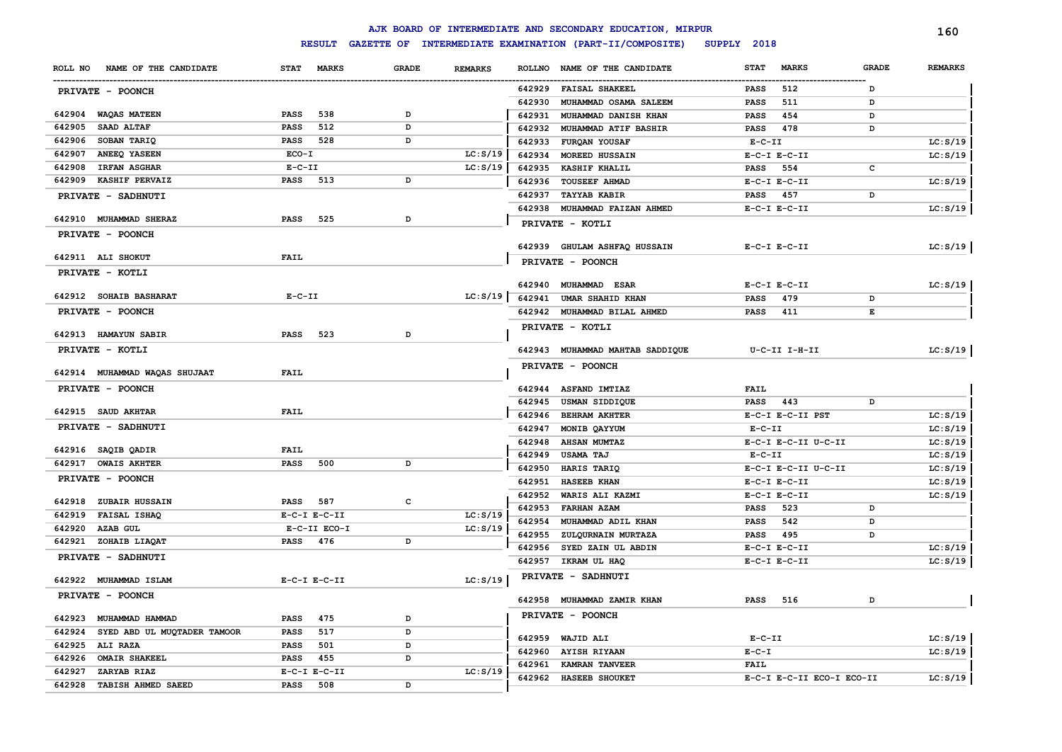|                                                 |                                 |              |                      |               | AJK BOARD OF INTERMEDIATE AND SECONDARY EDUCATION, MIRPUR |                 |                           |              | 160            |
|-------------------------------------------------|---------------------------------|--------------|----------------------|---------------|-----------------------------------------------------------|-----------------|---------------------------|--------------|----------------|
|                                                 | <b>RESULT</b>                   |              |                      |               | GAZETTE OF INTERMEDIATE EXAMINATION (PART-II/COMPOSITE)   | SUPPLY 2018     |                           |              |                |
| NAME OF THE CANDIDATE<br>ROLL NO                | <b>STAT</b><br><b>MARKS</b>     | <b>GRADE</b> | <b>REMARKS</b>       | <b>ROLLNO</b> | NAME OF THE CANDIDATE                                     | <b>STAT</b>     | <b>MARKS</b>              | <b>GRADE</b> | <b>REMARKS</b> |
| PRIVATE - POONCH                                |                                 |              |                      | 642929        | <b>FAISAL SHAKEEL</b>                                     | PASS            | 512                       | D            |                |
|                                                 |                                 |              |                      | 642930        | MUHAMMAD OSAMA SALEEM                                     | PASS            | 511                       | D            |                |
| 642904 WAQAS MATEEN                             | 538<br>PASS                     | D            |                      | 642931        | MUHAMMAD DANISH KHAN                                      | PASS            | 454                       | D            |                |
| SAAD ALTAF<br>642905                            | 512<br><b>PASS</b>              | D            |                      | 642932        | <b>MUHAMMAD ATIF BASHIR</b>                               | <b>PASS</b>     | 478                       | D            |                |
| SOBAN TARIQ<br>642906                           | PASS 528                        | D            |                      | 642933        | <b>FURQAN YOUSAF</b>                                      | $E- C- II$      |                           |              | LC: S/19       |
| ANEEQ YASEEN<br>642907                          | ECO-I                           |              | LC: S/19             | 642934        | <b>MOREED HUSSAIN</b>                                     |                 | $E-C-I$ $E-C-II$          |              | LC: S/19       |
| 642908<br><b>IRFAN ASGHAR</b>                   | $E-C-II$                        |              | LC: S/19             | 642935        | <b>KASHIF KHALIL</b>                                      | PASS            | 554                       | c            |                |
| 642909<br><b>KASHIF PERVAIZ</b>                 | PASS 513                        | D            |                      |               | 642936 TOUSEEF AHMAD                                      |                 | $E-C-I$ $E-C-II$          |              | LC: S/19       |
| PRIVATE - SADHNUTI                              |                                 |              |                      | 642937        | <b>TAYYAB KABIR</b>                                       | PASS            | 457                       | D            |                |
|                                                 |                                 |              |                      |               | 642938 MUHAMMAD FAIZAN AHMED                              |                 | $E- C-I$ $E-C-II$         |              | LC: S/19       |
| 642910 MUHAMMAD SHERAZ                          | 525<br>PASS                     | D            |                      |               | PRIVATE - KOTLI                                           |                 |                           |              |                |
| PRIVATE - POONCH                                |                                 |              |                      |               |                                                           |                 |                           |              |                |
|                                                 |                                 |              |                      |               | 642939 GHULAM ASHFAQ HUSSAIN                              |                 | $E- C-I$ $E-C-II$         |              | LC: S/19       |
| 642911 ALI SHOKUT                               | <b>FAIL</b>                     |              |                      |               | PRIVATE - POONCH                                          |                 |                           |              |                |
| PRIVATE - KOTLI                                 |                                 |              |                      |               |                                                           |                 |                           |              |                |
| 642912 SOHAIB BASHARAT                          | $E - C - II$                    |              | LC: S/19             | 642940        | <b>MUHAMMAD ESAR</b>                                      |                 | $E-C-I$ $E-C-II$          |              | LC: S/19       |
|                                                 |                                 |              |                      | 642941        | <b>UMAR SHAHID KHAN</b>                                   | PASS            | 479                       | D            |                |
| PRIVATE - POONCH                                |                                 |              |                      |               | 642942 MUHAMMAD BILAL AHMED                               | <b>PASS</b>     | 411                       | Е            |                |
| 642913 HAMAYUN SABIR                            | PASS 523                        | D            |                      |               | PRIVATE - KOTLI                                           |                 |                           |              |                |
| PRIVATE - KOTLI                                 |                                 |              |                      |               | 642943 MUHAMMAD MAHTAB SADDIQUE                           |                 | U-C-II I-H-II             |              | LC: S/19       |
|                                                 |                                 |              |                      |               | PRIVATE - POONCH                                          |                 |                           |              |                |
| 642914 MUHAMMAD WAQAS SHUJAAT                   | <b>FAIL</b>                     |              |                      |               |                                                           |                 |                           |              |                |
| PRIVATE - POONCH                                |                                 |              |                      |               | 642944 ASFAND IMTIAZ                                      | <b>FAIL</b>     |                           |              |                |
|                                                 |                                 |              |                      | 642945        | USMAN SIDDIQUE                                            | <b>PASS</b> 443 |                           | D            |                |
| 642915 SAUD AKHTAR                              | <b>FAIL</b>                     |              |                      | 642946        | <b>BEHRAM AKHTER</b>                                      |                 | E-C-I E-C-II PST          |              | LC: S/19       |
| PRIVATE - SADHNUTI                              |                                 |              |                      | 642947        | MONIB QAYYUM                                              | $E- C- II$      |                           |              | LC: S/19       |
|                                                 |                                 |              |                      | 642948        | <b>AHSAN MUMTAZ</b>                                       |                 | E-C-I E-C-II U-C-II       |              | LC: S/19       |
| 642916 SAQIB QADIR                              | <b>FAIL</b>                     |              |                      | 642949        | <b>USAMA TAJ</b>                                          | $E- C- II$      |                           |              | LC: S/19       |
| 642917 OWAIS AKHTER                             | 500<br>PASS                     | D            |                      | 642950        | HARIS TARIQ                                               |                 | E-C-I E-C-II U-C-II       |              | LC: S/19       |
| PRIVATE - POONCH                                |                                 |              |                      | 642951        | <b>HASEEB KHAN</b>                                        |                 | $E-C-I$ $E-C-II$          |              | LC: S/19       |
|                                                 |                                 |              |                      | 642952        | WARIS ALI KAZMI                                           |                 | $E-C-I$ $E-C-II$          |              | LC: S/19       |
| 642918<br><b>ZUBAIR HUSSAIN</b><br>FAISAL ISHAQ | PASS<br>587<br>$E-C-I$ $E-C-II$ | с            |                      | 642953        | <b>FARHAN AZAM</b>                                        | PASS            | 523                       | D            |                |
| 642919<br>642920                                | E-C-II ECO-I                    |              | LC: S/19<br>LC: S/19 | 642954        | MUHAMMAD ADIL KHAN                                        | PASS            | 542                       | D            |                |
| <b>AZAB GUL</b><br>642921 ZOHAIB LIAQAT         | PASS<br>476                     | D            |                      | 642955        | ZULQURNAIN MURTAZA                                        | <b>PASS</b>     | 495                       | D            |                |
|                                                 |                                 |              |                      | 642956        | SYED ZAIN UL ABDIN                                        |                 | $E-C-I$ $E-C-II$          |              | LC: S/19       |
| PRIVATE - SADHNUTI                              |                                 |              |                      |               | 642957 IKRAM UL HAQ                                       |                 | $E-C-I$ $E-C-II$          |              | LC: S/19       |
| 642922 MUHAMMAD ISLAM                           | $E-C-I$ $E-C-II$                |              | LC: S/19             |               | PRIVATE - SADHNUTI                                        |                 |                           |              |                |
| <b>PRIVATE - POONCH</b>                         |                                 |              |                      |               | 642958 MUHAMMAD ZAMIR KHAN                                | <b>PASS</b> 516 |                           | D            |                |
| 642923 MUHAMMAD HAMMAD                          | 475                             |              |                      |               | PRIVATE - POONCH                                          |                 |                           |              |                |
| 642924 SYED ABD UL MUQTADER TAMOOR              | PASS<br>517                     | D            |                      |               |                                                           |                 |                           |              |                |
| 642925 ALI RAZA                                 | PASS<br>PASS 501                | D<br>D       |                      |               | 642959 WAJID ALI                                          | $E-C-II$        |                           |              | LC: S/19       |
| 642926 OMAIR SHAKEEL                            | <b>PASS</b> 455                 | D            |                      |               | 642960 AYISH RIYAAN                                       | $E-C-I$         |                           |              | LC: S/19       |
| 642927 ZARYAB RIAZ                              | $E-C-I$ $E-C-II$                |              | LC: S/19             |               | 642961 KAMRAN TANVEER                                     | <b>FAIL</b>     |                           |              |                |
| 642928 TABISH AHMED SAEED                       | <b>PASS</b> 508                 | D            |                      |               | 642962 HASEEB SHOUKET                                     |                 | E-C-I E-C-II ECO-I ECO-II |              | LC: S/19       |
|                                                 |                                 |              |                      |               |                                                           |                 |                           |              |                |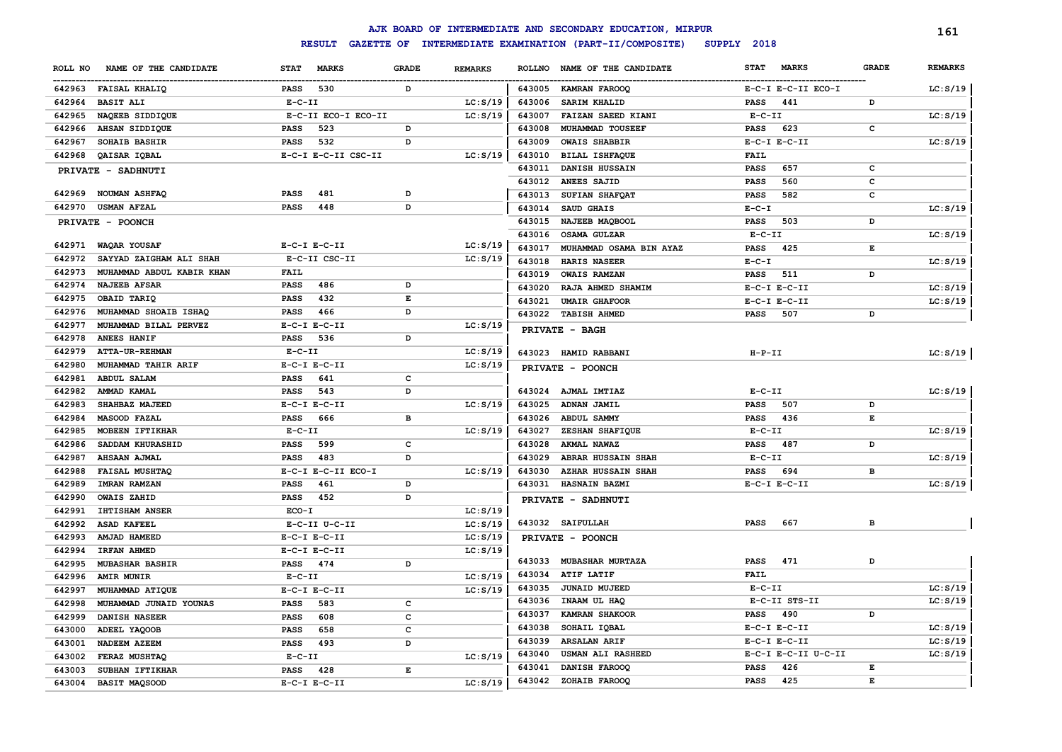|         |                           |              |                     |                                                                                                |                |               | AJK BOARD OF INTERMEDIATE AND SECONDARY EDUCATION, MIRPUR |             |                     |              | 161            |
|---------|---------------------------|--------------|---------------------|------------------------------------------------------------------------------------------------|----------------|---------------|-----------------------------------------------------------|-------------|---------------------|--------------|----------------|
|         |                           |              | <b>RESULT</b>       |                                                                                                |                |               | GAZETTE OF INTERMEDIATE EXAMINATION (PART-II/COMPOSITE)   | SUPPLY 2018 |                     |              |                |
| ROLL NO | NAME OF THE CANDIDATE     | <b>STAT</b>  | <b>MARKS</b>        | <b>GRADE</b>                                                                                   | <b>REMARKS</b> | <b>ROLLNO</b> | NAME OF THE CANDIDATE                                     | <b>STAT</b> | <b>MARKS</b>        | <b>GRADE</b> | <b>REMARKS</b> |
|         | 642963 FAISAL KHALIQ      | PASS         | 530                 | D                                                                                              |                |               | 643005 KAMRAN FAROOQ                                      |             | E-C-I E-C-II ECO-I  |              | LC: S/19       |
| 642964  | <b>BASIT ALI</b>          | $E-C-II$     |                     |                                                                                                | LC: S/19       | 643006        | SARIM KHALID                                              | <b>PASS</b> | 441                 | D            |                |
| 642965  | NAQEEB SIDDIQUE           |              | E-C-II ECO-I ECO-II |                                                                                                | LC: S/19       | 643007        | FAIZAN SAEED KIANI                                        | $E-C-II$    |                     |              | LC: S/19       |
| 642966  | AHSAN SIDDIQUE            | <b>PASS</b>  | 523                 | D                                                                                              |                | 643008        | MUHAMMAD TOUSEEF                                          | <b>PASS</b> | 623                 | $\mathbf c$  |                |
| 642967  | SOHAIB BASHIR             | <b>PASS</b>  | 532                 | D                                                                                              |                | 643009        | <b>OWAIS SHABBIR</b>                                      |             | $E-C-I$ $E-C-II$    |              | LC: S/19       |
| 642968  | QAISAR IQBAL              |              | E-C-I E-C-II CSC-II |                                                                                                | LC: S/19       | 643010        | <b>BILAL ISHFAQUE</b>                                     | <b>FAIL</b> |                     |              |                |
|         | PRIVATE - SADHNUTI        |              |                     |                                                                                                |                | 643011        | DANISH HUSSAIN                                            | <b>PASS</b> | 657                 | c            |                |
|         |                           |              |                     |                                                                                                |                | 643012        | ANEES SAJID                                               | <b>PASS</b> | 560                 | c            |                |
| 642969  | <b>NOUMAN ASHFAQ</b>      | <b>PASS</b>  | 481                 | D                                                                                              |                | 643013        | SUFIAN SHAFOAT                                            | <b>PASS</b> | 582                 | c            |                |
| 642970  | <b>USMAN AFZAL</b>        | <b>PASS</b>  | 448                 | D                                                                                              |                | 643014        | SAUD GHAIS                                                | $E - C - I$ |                     |              | LC: S/19       |
|         | PRIVATE - POONCH          |              |                     |                                                                                                |                | 643015        | NAJEEB MAQBOOL                                            | <b>PASS</b> | 503                 | D            |                |
|         |                           |              |                     |                                                                                                |                | 643016        | <b>OSAMA GULZAR</b>                                       | $E-C-II$    |                     |              | LC: S/19       |
| 642971  | WAQAR YOUSAF              |              | $E-C-I$ $E-C-II$    |                                                                                                | LC: S/19       | 643017        | MUHAMMAD OSAMA BIN AYAZ                                   | <b>PASS</b> | 425                 | E            |                |
| 642972  | SAYYAD ZAIGHAM ALI SHAH   |              | E-C-II CSC-II       |                                                                                                | LC: S/19       | 643018        | HARIS NASEER                                              | $E - C - I$ |                     |              | LC: S/19       |
| 642973  | MUHAMMAD ABDUL KABIR KHAN | <b>FAIL</b>  |                     |                                                                                                |                | 643019        | <b>OWAIS RAMZAN</b>                                       | <b>PASS</b> | 511                 | D            |                |
| 642974  | <b>NAJEEB AFSAR</b>       | PASS         | 486                 | D                                                                                              |                | 643020        | RAJA AHMED SHAMIM                                         |             | $E-C-I$ $E-C-II$    |              | LC: S/19       |
| 642975  | OBAID TARIQ               | PASS         | 432                 | $\mathbf{E}% _{t}$                                                                             |                | 643021        | <b>UMAIR GHAFOOR</b>                                      |             | $E-C-I$ $E-C-II$    |              | LC: S/19       |
| 642976  | MUHAMMAD SHOAIB ISHAQ     | PASS         | 466                 | D                                                                                              |                |               | 643022 TABISH AHMED                                       | <b>PASS</b> | 507                 | D            |                |
| 642977  | MUHAMMAD BILAL PERVEZ     |              | $E-C-I$ $E-C-II$    |                                                                                                | LC: S/19       |               | PRIVATE - BAGH                                            |             |                     |              |                |
| 642978  | ANEES HANIF               | PASS         | 536                 | D                                                                                              |                |               |                                                           |             |                     |              |                |
| 642979  | <b>ATTA-UR-REHMAN</b>     | $E - C - II$ |                     |                                                                                                | LC: S/19       | 643023        | <b>HAMID RABBANI</b>                                      | $H-P-TI$    |                     |              | LC: S/19       |
| 642980  | MUHAMMAD TAHIR ARIF       |              | $E-C-I$ $E-C-II$    |                                                                                                | LC: S/19       |               | PRIVATE - POONCH                                          |             |                     |              |                |
| 642981  | <b>ABDUL SALAM</b>        | PASS         | 641                 | c                                                                                              |                |               |                                                           |             |                     |              |                |
| 642982  | AMMAD KAMAL               | PASS         | 543                 | D                                                                                              |                |               | 643024 AJMAL IMTIAZ                                       | $E-C-II$    |                     |              | LC: S/19       |
| 642983  | SHAHBAZ MAJEED            |              | $E-C-I$ $E-C-II$    |                                                                                                | LC: S/19       | 643025        | ADNAN JAMIL                                               | <b>PASS</b> | 507                 | D            |                |
| 642984  | MASOOD FAZAL              | <b>PASS</b>  | 666                 | в                                                                                              |                | 643026        | <b>ABDUL SAMMY</b>                                        | PASS        | 436                 | Е            |                |
| 642985  | MOBEEN IFTIKHAR           | $E-C-II$     |                     |                                                                                                | LC: S/19       | 643027        | ZESHAN SHAFIQUE                                           | $E-C-II$    |                     |              | LC: S/19       |
| 642986  | SADDAM KHURASHID          | <b>PASS</b>  | 599                 | c                                                                                              |                | 643028        | AKMAL NAWAZ                                               | PASS        | 487                 | D            |                |
| 642987  | <b>AHSAAN AJMAL</b>       | <b>PASS</b>  | 483                 | D                                                                                              |                | 643029        | <b>ABRAR HUSSAIN SHAH</b>                                 | $E-C-II$    |                     |              | LC: S/19       |
| 642988  | FAISAL MUSHTAQ            |              | E-C-I E-C-II ECO-I  |                                                                                                | LC: S/19       | 643030        | <b>AZHAR HUSSAIN SHAH</b>                                 | PASS        | 694                 | в            |                |
| 642989  | <b>IMRAN RAMZAN</b>       | <b>PASS</b>  | 461                 | $\, {\bf D}$                                                                                   |                | 643031        | HASNAIN BAZMI                                             |             | $E-C-I$ $E-C-II$    |              | LC: S/19       |
| 642990  | <b>OWAIS ZAHID</b>        | <b>PASS</b>  | 452                 | D                                                                                              |                |               | PRIVATE - SADHNUTI                                        |             |                     |              |                |
| 642991  | <b>IHTISHAM ANSER</b>     | ECO-I        |                     |                                                                                                | LC: S/19       |               |                                                           |             |                     |              |                |
| 642992  | <b>ASAD KAFEEL</b>        |              | E-C-II U-C-II       |                                                                                                | LC: S/19       |               | 643032 SAIFULLAH                                          | <b>PASS</b> | 667                 | в            |                |
| 642993  | AMJAD HAMEED              |              | $E-C-I$ $E-C-II$    |                                                                                                | LC: S/19       |               | PRIVATE - POONCH                                          |             |                     |              |                |
| 642994  | IRFAN AHMED               |              | $E-C-I$ $E-C-II$    |                                                                                                | LC: S/19       |               |                                                           |             |                     |              |                |
| 642995  | <b>MUBASHAR BASHIR</b>    | PASS         | 474                 | D                                                                                              |                |               | 643033 MUBASHAR MURTAZA                                   | <b>PASS</b> | 471                 | D            |                |
| 642996  | <b>AMIR MUNIR</b>         | $E - C - II$ |                     |                                                                                                | LC: S/19       |               | 643034 ATIF LATIF                                         | <b>FAIL</b> |                     |              |                |
| 642997  | MUHAMMAD ATIQUE           |              | $E-C-I$ $E-C-II$    |                                                                                                | LC: S/19       | 643035        | JUNAID MUJEED                                             | $E-C-II$    |                     |              | LC: S/19       |
| 642998  | MUHAMMAD JUNAID YOUNAS    | <b>PASS</b>  | 583                 | c                                                                                              |                | 643036        | INAAM UL HAQ                                              |             | E-C-II STS-II       |              | LC: S/19       |
| 642999  | DANISH NASEER             | <b>PASS</b>  | 608                 | c                                                                                              |                | 643037        | <b>KAMRAN SHAKOOR</b>                                     | <b>PASS</b> | 490                 | D            |                |
| 643000  | ADEEL YAQOOB              | <b>PASS</b>  | 658                 | C                                                                                              |                | 643038        | SOHAIL IQBAL                                              |             | $E-C-I$ $E-C-II$    |              | LC: S/19       |
| 643001  | NADEEM AZEEM              | <b>PASS</b>  | 493                 | D                                                                                              |                | 643039        | <b>ARSALAN ARIF</b>                                       |             | $E-C-I$ $E-C-II$    |              | LC: S/19       |
| 643002  | FERAZ MUSHTAQ             | $E - C - II$ |                     |                                                                                                | LC: S/19       | 643040        | USMAN ALI RASHEED                                         |             | E-C-I E-C-II U-C-II |              | LC: S/19       |
| 643003  | SUBHAN IFTIKHAR           | <b>PASS</b>  | 428                 | $\mathbf{E}% _{t}\left  \mathbf{1}\right\rangle =\mathbf{1}_{t}\left  \mathbf{1}\right\rangle$ |                | 643041        | DANISH FAROOQ                                             | <b>PASS</b> | 426                 | E            |                |
| 643004  | <b>BASIT MAQSOOD</b>      |              | $E-C-I$ $E-C-II$    |                                                                                                | LC: S/19       | 643042        | ZOHAIB FAROOQ                                             | <b>PASS</b> | 425                 | E            |                |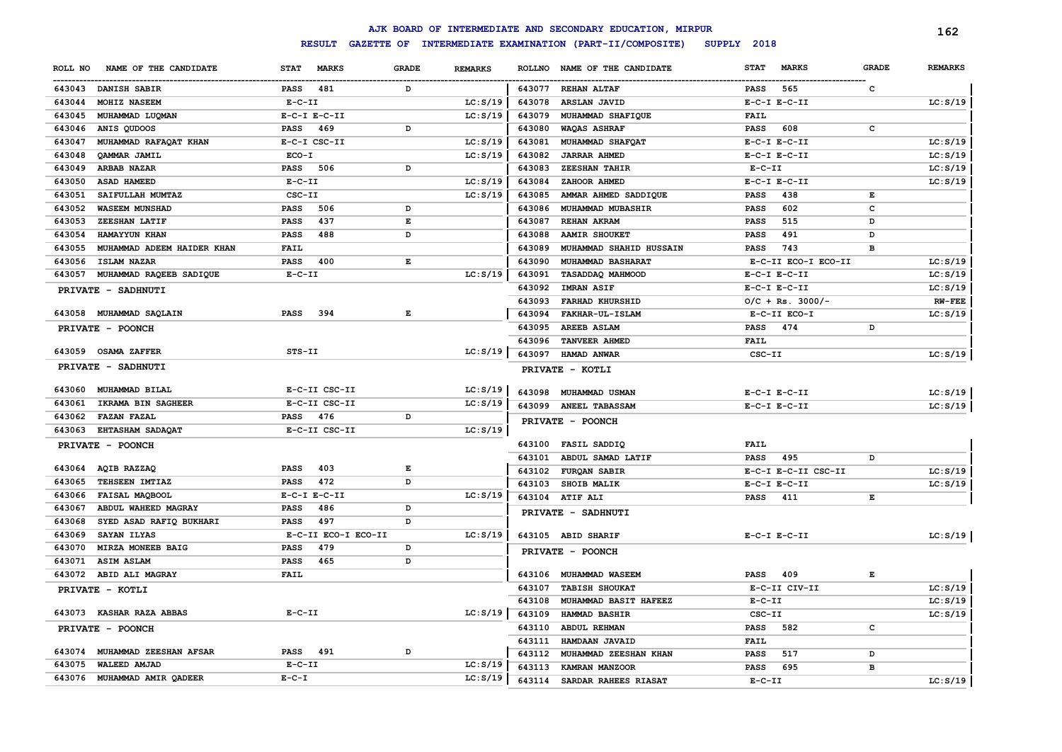|         |                               |                  |                     |                    |                |               | AJK BOARD OF INTERMEDIATE AND SECONDARY EDUCATION, MIRPUR |              |                     |                | 162            |
|---------|-------------------------------|------------------|---------------------|--------------------|----------------|---------------|-----------------------------------------------------------|--------------|---------------------|----------------|----------------|
|         |                               |                  | <b>RESULT</b>       |                    |                |               | GAZETTE OF INTERMEDIATE EXAMINATION (PART-II/COMPOSITE)   | SUPPLY 2018  |                     |                |                |
| ROLL NO | NAME OF THE CANDIDATE         | <b>STAT</b>      | <b>MARKS</b>        | <b>GRADE</b>       | <b>REMARKS</b> | <b>ROLLNO</b> | NAME OF THE CANDIDATE                                     | <b>STAT</b>  | <b>MARKS</b>        | <b>GRADE</b>   | <b>REMARKS</b> |
|         | 643043 DANISH SABIR           | <b>PASS</b>      | 481                 | D                  |                | 643077        | <b>REHAN ALTAF</b>                                        | PASS         | 565                 | с              |                |
| 643044  | MOHIZ NASEEM                  | $E-C-II$         |                     |                    | LC: S/19       | 643078        | ARSLAN JAVID                                              |              | $E-C-I$ $E-C-II$    |                | LC: S/19       |
| 643045  | MUHAMMAD LUQMAN               | $E-C-I$ $E-C-II$ |                     |                    | LC: S/19       | 643079        | MUHAMMAD SHAFIQUE                                         | FAIL         |                     |                |                |
| 643046  | ANIS QUDOOS                   | <b>PASS</b>      | 469                 | D                  |                | 643080        | WAQAS ASHRAF                                              | <b>PASS</b>  | 608                 | $\mathbf c$    |                |
| 643047  | MUHAMMAD RAFAQAT KHAN         |                  | E-C-I CSC-II        |                    | LC: S/19       | 643081        | MUHAMMAD SHAFOAT                                          |              | $E-C-I$ $E-C-II$    |                | LC: S/19       |
| 643048  | <b>OAMMAR JAMIL</b>           | ECO-I            |                     |                    | LC: S/19       | 643082        | <b>JARRAR AHMED</b>                                       |              | $E-C-I$ $E-C-II$    |                | LC: S/19       |
| 643049  | ARBAB NAZAR                   | <b>PASS</b>      | 506                 | D                  |                | 643083        | <b>ZEESHAN TAHIR</b>                                      | $E-C-II$     |                     |                | LC: S/19       |
| 643050  | ASAD HAMEED                   | $E-C-II$         |                     |                    | LC: S/19       | 643084        | ZAHOOR AHMED                                              |              | $E-C-I$ $E-C-II$    |                | LC: S/19       |
| 643051  | SAIFULLAH MUMTAZ              | CSC-II           |                     |                    | LC: S/19       | 643085        | AMMAR AHMED SADDIQUE                                      | <b>PASS</b>  | 438                 | Е              |                |
| 643052  | <b>WASEEM MUNSHAD</b>         | <b>PASS</b>      | 506                 | D                  |                | 643086        | MUHAMMAD MUBASHIR                                         | <b>PASS</b>  | 602                 | c              |                |
| 643053  | ZEESHAN LATIF                 | <b>PASS</b>      | 437                 | $\mathbf{E}% _{0}$ |                | 643087        | REHAN AKRAM                                               | <b>PASS</b>  | 515                 | D              |                |
| 643054  | HAMAYYUN KHAN                 | <b>PASS</b>      | 488                 | D                  |                | 643088        | <b>AAMIR SHOUKET</b>                                      | <b>PASS</b>  | 491                 | D              |                |
| 643055  | MUHAMMAD ADEEM HAIDER KHAN    | <b>FAIL</b>      |                     |                    |                | 643089        | MUHAMMAD SHAHID HUSSAIN                                   | <b>PASS</b>  | 743                 | $\overline{B}$ |                |
| 643056  | ISLAM NAZAR                   | <b>PASS</b>      | 400                 | Е                  |                | 643090        | MUHAMMAD BASHARAT                                         |              | E-C-II ECO-I ECO-II |                | LC: S/19       |
| 643057  | MUHAMMAD RAQEEB SADIQUE       | $E - C - II$     |                     |                    | LC: S/19       | 643091        | TASADDAQ MAHMOOD                                          |              | $E-C-I$ $E-C-II$    |                | LC: S/19       |
|         | PRIVATE - SADHNUTI            |                  |                     |                    |                | 643092        | <b>IMRAN ASIF</b>                                         |              | $E-C-I$ $E-C-II$    |                | LC: S/19       |
|         |                               |                  |                     |                    |                | 643093        | <b>FARHAD KHURSHID</b>                                    |              | $O/C + Rs. 3000/-$  |                | <b>RW-FEE</b>  |
|         | 643058 MUHAMMAD SAQLAIN       | <b>PASS</b>      | 394                 | E                  |                | 643094        | FAKHAR-UL-ISLAM                                           |              | E-C-II ECO-I        |                | LC: S/19       |
|         | PRIVATE - POONCH              |                  |                     |                    |                | 643095        | <b>AREEB ASLAM</b>                                        | <b>PASS</b>  | 474                 | D              |                |
|         |                               |                  |                     |                    |                | 643096        | TANVEER AHMED                                             | <b>FAIL</b>  |                     |                |                |
|         | 643059 OSAMA ZAFFER           | STS-II           |                     |                    | LC: S/19       | 643097        | HAMAD ANWAR                                               | CSC-II       |                     |                | LC: S/19       |
|         | PRIVATE - SADHNUTI            |                  |                     |                    |                |               | PRIVATE - KOTLI                                           |              |                     |                |                |
| 643060  | MUHAMMAD BILAL                |                  | E-C-II CSC-II       |                    | LC: S/19       | 643098        | <b>MUHAMMAD USMAN</b>                                     |              | $E-C-I$ $E-C-II$    |                | LC: S/19       |
| 643061  | IKRAMA BIN SAGHEER            |                  | E-C-II CSC-II       |                    | LC: S/19       |               | 643099 ANEEL TABASSAM                                     |              | $E-C-I$ $E-C-II$    |                | LC: S/19       |
| 643062  | <b>FAZAN FAZAL</b>            | <b>PASS</b>      | 476                 | D                  |                |               | PRIVATE - POONCH                                          |              |                     |                |                |
| 643063  | EHTASHAM SADAQAT              |                  | E-C-II CSC-II       |                    | LC: S/19       |               |                                                           |              |                     |                |                |
|         | PRIVATE - POONCH              |                  |                     |                    |                |               | 643100 FASIL SADDIQ                                       | <b>FAIL</b>  |                     |                |                |
|         |                               |                  |                     |                    |                | 643101        | ABDUL SAMAD LATIF                                         | <b>PASS</b>  | 495                 | D              |                |
| 643064  | AQIB RAZZAQ                   | <b>PASS</b>      | 403                 | Е                  |                | 643102        | FURQAN SABIR                                              |              | E-C-I E-C-II CSC-II |                | LC: S/19       |
| 643065  | TEHSEEN IMTIAZ                | <b>PASS</b>      | 472                 | D                  |                | 643103        | SHOIB MALIK                                               |              | $E-C-I$ $E-C-II$    |                | LC: S/19       |
| 643066  | FAISAL MAQBOOL                | $E-C-I$ $E-C-II$ |                     |                    | LC: S/19       |               | 643104 ATIF ALI                                           | PASS         | 411                 | Е              |                |
| 643067  | ABDUL WAHEED MAGRAY           | PASS             | 486                 | D                  |                |               | PRIVATE - SADHNUTI                                        |              |                     |                |                |
| 643068  | SYED ASAD RAFIQ BUKHARI       | <b>PASS</b>      | 497                 | D                  |                |               |                                                           |              |                     |                |                |
| 643069  | SAYAN ILYAS                   |                  | E-C-II ECO-I ECO-II |                    | LC: S/19       |               | 643105 ABID SHARIF                                        |              | $E-C-I$ $E-C-II$    |                | LC: S/19       |
| 643070  | MIRZA MONEEB BAIG             | PASS             | 479                 | D                  |                |               | PRIVATE - POONCH                                          |              |                     |                |                |
| 643071  | ASIM ASLAM                    | <b>PASS</b>      | 465                 | D                  |                |               |                                                           |              |                     |                |                |
| 643072  | ABID ALI MAGRAY               | <b>FAIL</b>      |                     |                    |                | 643106        | MUHAMMAD WASEEM                                           | <b>PASS</b>  | 409                 | Е              |                |
|         | PRIVATE - KOTLI               |                  |                     |                    |                | 643107        | <b>TABISH SHOUKAT</b>                                     |              | E-C-II CIV-II       |                | LC: S/19       |
|         |                               |                  |                     |                    |                | 643108        | MUHAMMAD BASIT HAFEEZ                                     | $E-C-II$     |                     |                | LC: S/19       |
| 643073  | <b>KASHAR RAZA ABBAS</b>      | $E - C - II$     |                     |                    | LC: S/19       | 643109        | HAMMAD BASHIR                                             | $CSC-TI$     |                     |                | LC: S/19       |
|         | PRIVATE - POONCH              |                  |                     |                    |                | 643110        | <b>ABDUL REHMAN</b>                                       | <b>PASS</b>  | 582                 | c              |                |
|         |                               |                  |                     |                    |                | 643111        | HAMDAAN JAVAID                                            | FAIL         |                     |                |                |
|         | 643074 MUHAMMAD ZEESHAN AFSAR | <b>PASS</b>      | 491                 | D                  |                | 643112        | MUHAMMAD ZEESHAN KHAN                                     | <b>PASS</b>  | 517                 | D              |                |
| 643075  | WALEED AMJAD                  | $E-C-II$         |                     |                    | LC: S/19       | 643113        | KAMRAN MANZOOR                                            | <b>PASS</b>  | 695                 | в              |                |
|         | 643076 MUHAMMAD AMIR OADEER   | $E-C-I$          |                     |                    | LC: S/19       | 643114        | SARDAR RAHEES RIASAT                                      | $E - C - II$ |                     |                | LC: S/19       |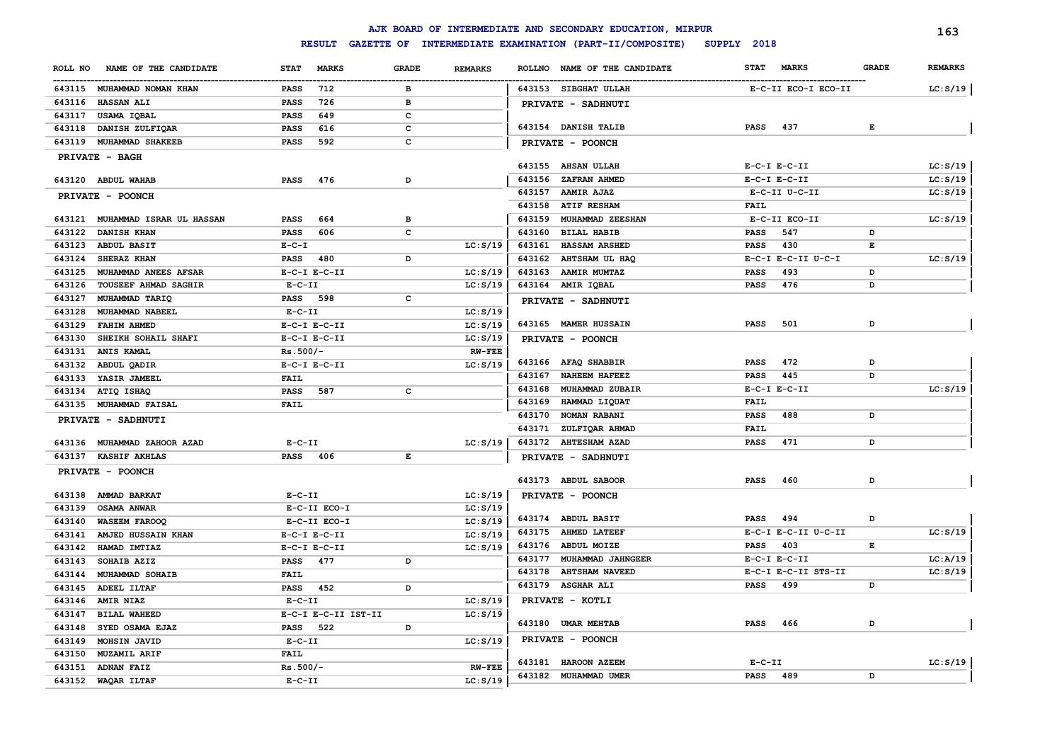|         |                                                     |                               |                     |       |                |        | AJK BOARD OF INTERMEDIATE AND SECONDARY EDUCATION, MIRPUR |                  |                     |              | 163            |
|---------|-----------------------------------------------------|-------------------------------|---------------------|-------|----------------|--------|-----------------------------------------------------------|------------------|---------------------|--------------|----------------|
|         |                                                     |                               | <b>RESULT</b>       |       |                |        | GAZETTE OF INTERMEDIATE EXAMINATION (PART-II/COMPOSITE)   | SUPPLY 2018      |                     |              |                |
| ROLL NO | NAME OF THE CANDIDATE                               |                               | STAT MARKS          | GRADE | <b>REMARKS</b> |        | ROLLNO NAME OF THE CANDIDATE                              | <b>STAT</b>      | <b>MARKS</b>        | <b>GRADE</b> | <b>REMARKS</b> |
|         | 643115 MUHAMMAD NOMAN KHAN                          | PASS                          | 712                 | в     |                |        | 643153 SIBGHAT ULLAH                                      |                  | E-C-II ECO-I ECO-II |              | LC: S/19       |
|         | 643116 HASSAN ALI                                   | <b>PASS</b>                   | 726                 | в     |                |        | PRIVATE - SADHNUTI                                        |                  |                     |              |                |
| 643117  | USAMA IQBAL                                         | <b>PASS</b>                   | 649                 | C     |                |        |                                                           |                  |                     |              |                |
| 643118  | DANISH ZULFIQAR                                     | <b>PASS</b>                   | 616                 | c     |                |        | 643154 DANISH TALIB                                       | PASS             | 437                 | E            |                |
|         | 643119 MUHAMMAD SHAKEEB                             | <b>PASS</b>                   | 592                 | c     |                |        | PRIVATE - POONCH                                          |                  |                     |              |                |
|         | <b>PRIVATE - BAGH</b>                               |                               |                     |       |                |        |                                                           |                  |                     |              |                |
|         |                                                     |                               |                     |       |                | 643155 | <b>AHSAN ULLAH</b>                                        | $E-C-I$ $E-C-II$ |                     |              | LC: S/19       |
|         | 643120 ABDUL WAHAB                                  | PASS                          | 476                 | D     |                | 643156 | <b>ZAFRAN AHMED</b>                                       | $E-C-I$ $E-C-II$ |                     |              | LC: S/19       |
|         | PRIVATE - POONCH                                    |                               |                     |       |                | 643157 | <b>AAMIR AJAZ</b>                                         |                  | E-C-II U-C-II       |              | LC: S/19       |
|         |                                                     |                               |                     |       |                | 643158 | <b>ATIF RESHAM</b>                                        | FAIL             |                     |              |                |
|         | 643121 MUHAMMAD ISRAR UL HASSAN                     | <b>PASS</b>                   | 664                 | в     |                | 643159 | <b>MUHAMMAD ZEESHAN</b>                                   |                  | E-C-II ECO-II       |              | LC: S/19       |
| 643122  | <b>DANISH KHAN</b>                                  | PASS                          | 606                 | c     |                | 643160 | <b>BILAL HABIB</b>                                        | <b>PASS</b>      | 547                 | D            |                |
| 643123  | <b>ABDUL BASIT</b>                                  | $E - C - I$                   |                     |       | LC: S/19       | 643161 | HASSAM ARSHED                                             | PASS             | 430                 | E            |                |
| 643124  | SHERAZ KHAN                                         | PASS                          | 480                 | D     |                | 643162 | AHTSHAM UL HAQ                                            |                  | E-C-I E-C-II U-C-I  |              | LC: S/19       |
| 643125  | MUHAMMAD ANEES AFSAR                                |                               | $E-C-I$ $E-C-II$    |       | LC: S/19       | 643163 | <b>AAMIR MUMTAZ</b>                                       | <b>PASS</b>      | 493                 | D            |                |
| 643126  | <b>TOUSEEF AHMAD SAGHIR</b>                         | $E- C- II$                    |                     |       | LC: S/19       |        | 643164 AMIR IQBAL                                         | PASS             | 476                 | D            |                |
| 643127  | MUHAMMAD TARIQ                                      | PASS 598                      |                     | c     |                |        | PRIVATE - SADHNUTI                                        |                  |                     |              |                |
| 643128  | MUHAMMAD NABEEL                                     | $E- C- II$                    |                     |       | LC: S/19       |        |                                                           |                  |                     |              |                |
| 643129  | <b>FAHIM AHMED</b>                                  |                               | $E- C-I$ $E-C-II$   |       | LC: S/19       |        | 643165 MAMER HUSSAIN                                      | <b>PASS</b>      | 501                 | D            |                |
| 643130  | SHEIKH SOHAIL SHAFI                                 |                               | $E-C-I$ $E-C-II$    |       | LC: S/19       |        | PRIVATE - POONCH                                          |                  |                     |              |                |
| 643131  | ANIS KAMAL                                          | $Rs.500/-$                    |                     |       | <b>RW-FEE</b>  |        |                                                           |                  |                     | D            |                |
| 643132  | ABDUL QADIR                                         |                               | $E-C-I$ $E-C-II$    |       | LC: S/19       |        | 643166 AFAQ SHABBIR                                       | <b>PASS</b>      | 472                 |              |                |
| 643133  | YASIR JAMEEL                                        | FAIL                          |                     |       |                |        | 643167 NAHEEM HAFEEZ                                      | PASS             | 445                 | D            |                |
| 643134  | ATIQ ISHAQ                                          | PASS                          | 587                 | c     |                | 643168 | MUHAMMAD ZUBAIR                                           | $E-C-I$ $E-C-II$ |                     |              | LC: S/19       |
| 643135  | <b>MUHAMMAD FAISAL</b>                              | <b>FAIL</b>                   |                     |       |                | 643169 | HAMMAD LIQUAT                                             | FAIL             |                     |              |                |
|         | PRIVATE - SADHNUTI                                  |                               |                     |       |                | 643170 | <b>NOMAN RABANI</b><br>643171 ZULFIQAR AHMAD              | PASS<br>FAIL     | 488                 | D            |                |
|         |                                                     |                               |                     |       |                |        | 643172 AHTESHAM AZAD                                      | <b>PASS</b>      | 471                 | D            |                |
|         | 643136 MUHAMMAD ZAHOOR AZAD<br>643137 KASHIF AKHLAS | $E- C- II$<br><b>PASS</b> 406 |                     | E     | LC: S/19       |        |                                                           |                  |                     |              |                |
|         |                                                     |                               |                     |       |                |        | PRIVATE - SADHNUTI                                        |                  |                     |              |                |
|         | PRIVATE - POONCH                                    |                               |                     |       |                |        | 643173 ABDUL SABOOR                                       | <b>PASS</b>      | 460                 | D            |                |
| 643138  | AMMAD BARKAT                                        | $E- C- II$                    |                     |       | LC: S/19       |        | PRIVATE - POONCH                                          |                  |                     |              |                |
| 643139  | OSAMA ANWAR                                         |                               | E-C-II ECO-I        |       | LC: S/19       |        |                                                           |                  |                     |              |                |
| 643140  | <b>WASEEM FAROOQ</b>                                |                               | E-C-II ECO-I        |       | LC: S/19       |        | 643174 ABDUL BASIT                                        | PASS             | 494                 | D            |                |
| 643141  | AMJED HUSSAIN KHAN                                  |                               | $E-C-I$ $E-C-II$    |       | LC: S/19       | 643175 | <b>AHMED LATEEF</b>                                       |                  | E-C-I E-C-II U-C-II |              | LC: S/19       |
| 643142  | HAMAD IMTIAZ                                        |                               | $E-C-I$ $E-C-II$    |       | LC: S/19       |        | 643176 ABDUL MOIZE                                        | PASS             | 403                 | Е            |                |
| 643143  | SOHAIB AZIZ                                         | PASS                          | 477                 | D     |                | 643177 | MUHAMMAD JAHNGEER                                         | $E-C-I$ $E-C-II$ |                     |              | LC: A/19       |
| 643144  | <b>MUHAMMAD SOHAIB</b>                              | <b>FAIL</b>                   |                     |       |                | 643178 | <b>AHTSHAM NAVEED</b>                                     |                  | E-C-I E-C-II STS-II |              | LC: S/19       |
|         | 643145 ADEEL ILTAF                                  | PASS                          | 452                 | D     |                |        | 643179 ASGHAR ALI                                         | PASS             | 499                 | D            |                |
|         | 643146 AMIR NIAZ                                    | $E- C- II$                    |                     |       | LC: S/19       |        | PRIVATE - KOTLI                                           |                  |                     |              |                |
|         | 643147 BILAL WAHEED                                 |                               | E-C-I E-C-II IST-II |       | LC: S/19       |        |                                                           |                  |                     |              |                |
|         | 643148 SYED OSAMA EJAZ                              | PASS 522                      |                     | D     |                |        | 643180 UMAR MEHTAB                                        | PASS 466         |                     | D            |                |
|         | 643149 MOHSIN JAVID                                 | $E-C-II$                      |                     |       | LC: S/19       |        | PRIVATE - POONCH                                          |                  |                     |              |                |
|         | 643150 MUZAMIL ARIF                                 | <b>FAIL</b>                   |                     |       |                |        |                                                           |                  |                     |              |                |
|         | 643151 ADNAN FAIZ                                   | $Rs.500/-$                    |                     |       | <b>RW-FEE</b>  |        | 643181 HAROON AZEEM                                       | $E- C- II$       |                     |              | LC: S/19       |
|         | 643152 WAQAR ILTAF                                  | $E-C-II$                      |                     |       | LC: S/19       |        | 643182 MUHAMMAD UMER                                      | PASS 489         |                     | D            |                |
|         |                                                     |                               |                     |       |                |        |                                                           |                  |                     |              |                |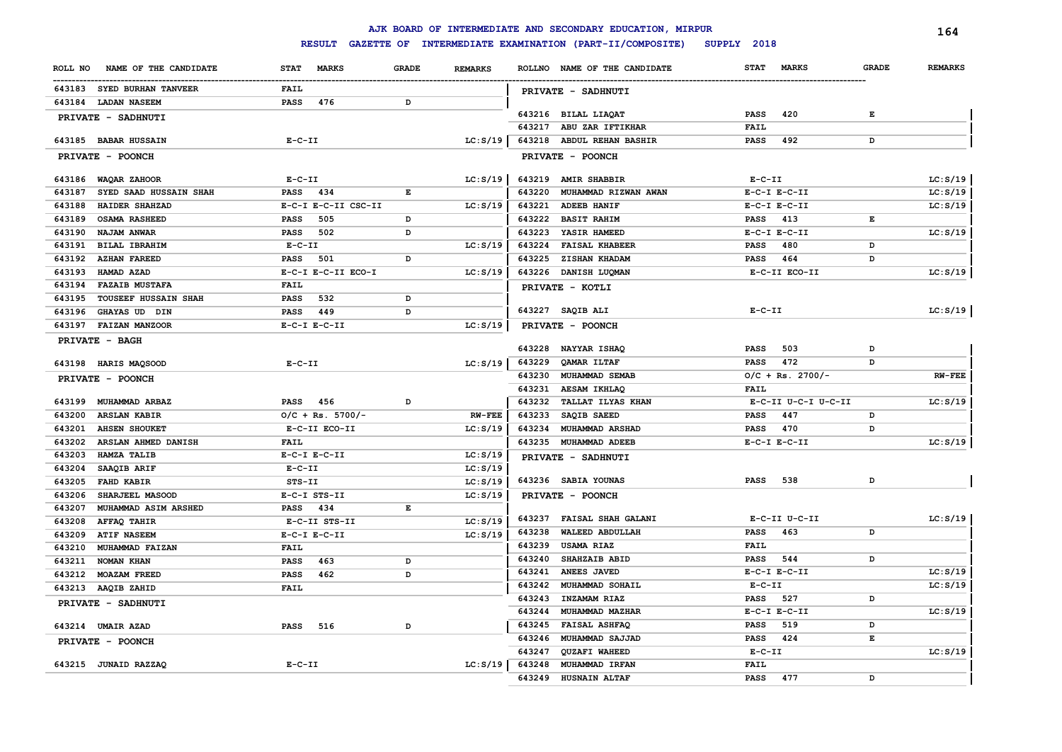|         |                             |             |                     |              |                |                  | AJK BOARD OF INTERMEDIATE AND SECONDARY EDUCATION, MIRPUR |             |                     |              | 164            |
|---------|-----------------------------|-------------|---------------------|--------------|----------------|------------------|-----------------------------------------------------------|-------------|---------------------|--------------|----------------|
|         |                             |             | <b>RESULT</b>       |              |                |                  | GAZETTE OF INTERMEDIATE EXAMINATION (PART-II/COMPOSITE)   | SUPPLY 2018 |                     |              |                |
| ROLL NO | NAME OF THE CANDIDATE       | <b>STAT</b> | <b>MARKS</b>        | <b>GRADE</b> | <b>REMARKS</b> |                  | ROLLNO NAME OF THE CANDIDATE                              | <b>STAT</b> | <b>MARKS</b>        | <b>GRADE</b> | <b>REMARKS</b> |
|         | 643183 SYED BURHAN TANVEER  | <b>FAIL</b> |                     |              |                |                  | PRIVATE - SADHNUTI                                        |             |                     |              |                |
|         | 643184 LADAN NASEEM         | <b>PASS</b> | 476                 | D            |                |                  |                                                           |             |                     |              |                |
|         | PRIVATE - SADHNUTI          |             |                     |              |                |                  | 643216 BILAL LIAQAT                                       | <b>PASS</b> | 420                 | E            |                |
|         |                             |             |                     |              |                |                  | 643217 ABU ZAR IFTIKHAR                                   | FAIL        |                     |              |                |
|         | 643185 BABAR HUSSAIN        | $E-C-II$    |                     |              | LC: S/19       |                  | 643218 ABDUL REHAN BASHIR                                 | <b>PASS</b> | 492                 | D            |                |
|         | PRIVATE - POONCH            |             |                     |              |                |                  | PRIVATE - POONCH                                          |             |                     |              |                |
|         | 643186 WAQAR ZAHOOR         | $E- C- II$  |                     |              | LC: S/19       |                  | 643219 AMIR SHABBIR                                       | $E- C- II$  |                     |              | LC: S/19       |
| 643187  | SYED SAAD HUSSAIN SHAH      | PASS        | 434                 | E            |                | 643220           | MUHAMMAD RIZWAN AWAN                                      |             | $E-C-I$ $E-C-II$    |              | LC: S/19       |
| 643188  | HAIDER SHAHZAD              |             | E-C-I E-C-II CSC-II |              | LC: S/19       | 643221           | <b>ADEEB HANIF</b>                                        |             | $E-C-I$ $E-C-II$    |              | LC: S/19       |
| 643189  | <b>OSAMA RASHEED</b>        | <b>PASS</b> | 505                 | D            |                |                  | 643222 BASIT RAHIM                                        | <b>PASS</b> | 413                 | E            |                |
| 643190  | <b>NAJAM ANWAR</b>          | <b>PASS</b> | 502                 | D            |                | 643223           | YASIR HAMEED                                              |             | $E-C-I$ $E-C-II$    |              | LC: S/19       |
|         | 643191 BILAL IBRAHIM        | $E-C-II$    |                     |              | LC: S/19       |                  | 643224 FAISAL KHABEER                                     | <b>PASS</b> | 480                 | D            |                |
|         | 643192 AZHAN FAREED         | <b>PASS</b> | 501                 | D            |                | 643225           | <b>ZISHAN KHADAM</b>                                      | <b>PASS</b> | 464                 | D            |                |
| 643193  | HAMAD AZAD                  |             | E-C-I E-C-II ECO-I  |              | LC: S/19       |                  | 643226 DANISH LUQMAN                                      |             | E-C-II ECO-II       |              | LC: S/19       |
| 643194  | <b>FAZAIB MUSTAFA</b>       | <b>FAIL</b> |                     |              |                |                  | PRIVATE - KOTLI                                           |             |                     |              |                |
| 643195  | <b>TOUSEEF HUSSAIN SHAH</b> | <b>PASS</b> | 532                 | D            |                |                  |                                                           |             |                     |              |                |
| 643196  | GHAYAS UD DIN               | PASS        | 449                 | D            |                |                  | 643227 SAQIB ALI                                          | $E-C-II$    |                     |              | LC: S/19       |
|         | 643197 FAIZAN MANZOOR       |             | $E-C-I$ $E-C-II$    |              | LC: S/19       |                  | PRIVATE - POONCH                                          |             |                     |              |                |
|         | PRIVATE - BAGH              |             |                     |              |                |                  |                                                           |             |                     | D            |                |
|         |                             |             |                     |              |                |                  | 643228 NAYYAR ISHAQ                                       | PASS        | 503<br>472          | D            |                |
|         | 643198 HARIS MAQSOOD        | $E-C-II$    |                     |              | LC: S/19       | 643229           | QAMAR ILTAF                                               | <b>PASS</b> |                     |              |                |
|         | PRIVATE - POONCH            |             |                     |              |                | 643230           | <b>MUHAMMAD SEMAB</b>                                     | <b>FAIL</b> | $O/C + Rs. 2700/-$  |              | <b>RW-FEE</b>  |
|         | 643199 MUHAMMAD ARBAZ       | PASS 456    |                     | D            |                | 643231<br>643232 | <b>AESAM IKHLAQ</b><br><b>TALLAT ILYAS KHAN</b>           |             | E-C-II U-C-I U-C-II |              | LC: S/19       |
| 643200  | <b>ARSLAN KABIR</b>         |             | $O/C + Rs. 5700/-$  |              | <b>RW-FEE</b>  | 643233           | SAQIB SAEED                                               | <b>PASS</b> | 447                 | D            |                |
| 643201  | <b>AHSEN SHOUKET</b>        |             | E-C-II ECO-II       |              | LC: S/19       | 643234           | <b>MUHAMMAD ARSHAD</b>                                    | <b>PASS</b> | 470                 | D            |                |
| 643202  | ARSLAN AHMED DANISH         | <b>FAIL</b> |                     |              |                | 643235           | <b>MUHAMMAD ADEEB</b>                                     |             | $E-C-I$ $E-C-II$    |              | LC: S/19       |
| 643203  | HAMZA TALIB                 |             | $E- C-I$ $E-C-II$   |              | LC: S/19       |                  |                                                           |             |                     |              |                |
| 643204  | SAAQIB ARIF                 | $E-C-II$    |                     |              | LC: S/19       |                  | PRIVATE - SADHNUTI                                        |             |                     |              |                |
| 643205  | <b>FAHD KABIR</b>           | STS-II      |                     |              | LC: S/19       |                  | 643236 SABIA YOUNAS                                       | <b>PASS</b> | 538                 | D            |                |
| 643206  | SHARJEEL MASOOD             |             | E-C-I STS-II        |              | LC: S/19       |                  | PRIVATE - POONCH                                          |             |                     |              |                |
| 643207  | MUHAMMAD ASIM ARSHED        | PASS 434    |                     | E            |                |                  |                                                           |             |                     |              |                |
| 643208  | <b>AFFAQ TAHIR</b>          |             | E-C-II STS-II       |              | LC: S/19       | 643237           | <b>FAISAL SHAH GALANI</b>                                 |             | E-C-II U-C-II       |              | LC: S/19       |
| 643209  | <b>ATIF NASEEM</b>          |             | $E-C-I$ $E-C-II$    |              | LC: S/19       | 643238           | WALEED ABDULLAH                                           | <b>PASS</b> | 463                 | D            |                |
| 643210  | <b>MUHAMMAD FAIZAN</b>      | <b>FAIL</b> |                     |              |                | 643239           | <b>USAMA RIAZ</b>                                         | FAIL        |                     |              |                |
|         | 643211 NOMAN KHAN           | <b>PASS</b> | 463                 | D            |                | 643240           | <b>SHAHZAIB ABID</b>                                      | <b>PASS</b> | 544                 | D            |                |
|         | 643212 MOAZAM FREED         | <b>PASS</b> | 462                 | D            |                | 643241           | <b>ANEES JAVED</b>                                        |             | $E-C-I$ $E-C-II$    |              | LC: S/19       |
|         | 643213 AAQIB ZAHID          | FAIL        |                     |              |                | 643242           | <b>MUHAMMAD SOHAIL</b>                                    | $E-C-II$    |                     |              | LC: S/19       |
|         | PRIVATE - SADHNUTI          |             |                     |              |                | 643243           | INZAMAM RIAZ                                              | <b>PASS</b> | 527                 | D            |                |
|         |                             |             |                     |              |                | 643244           | MUHAMMAD MAZHAR                                           |             | $E-C-I$ $E-C-II$    |              | LC: S/19       |
|         | 643214 UMAIR AZAD           | <b>PASS</b> | 516                 | D            |                | 643245           | <b>FAISAL ASHFAQ</b>                                      | PASS        | 519                 | D            |                |
|         | PRIVATE - POONCH            |             |                     |              |                | 643246           | MUHAMMAD SAJJAD                                           | PASS        | 424                 | Е            |                |
|         |                             |             |                     |              |                | 643247           | QUZAFI WAHEED                                             | $E-C-II$    |                     |              | LC: S/19       |
|         | 643215 JUNAID RAZZAQ        | $E-C-II$    |                     |              | LC: S/19       | 643248           | MUHAMMAD IRFAN                                            | <b>FAIL</b> |                     |              |                |
|         |                             |             |                     |              |                | 643249           | <b>HUSNAIN ALTAF</b>                                      | <b>PASS</b> | 477                 | D            |                |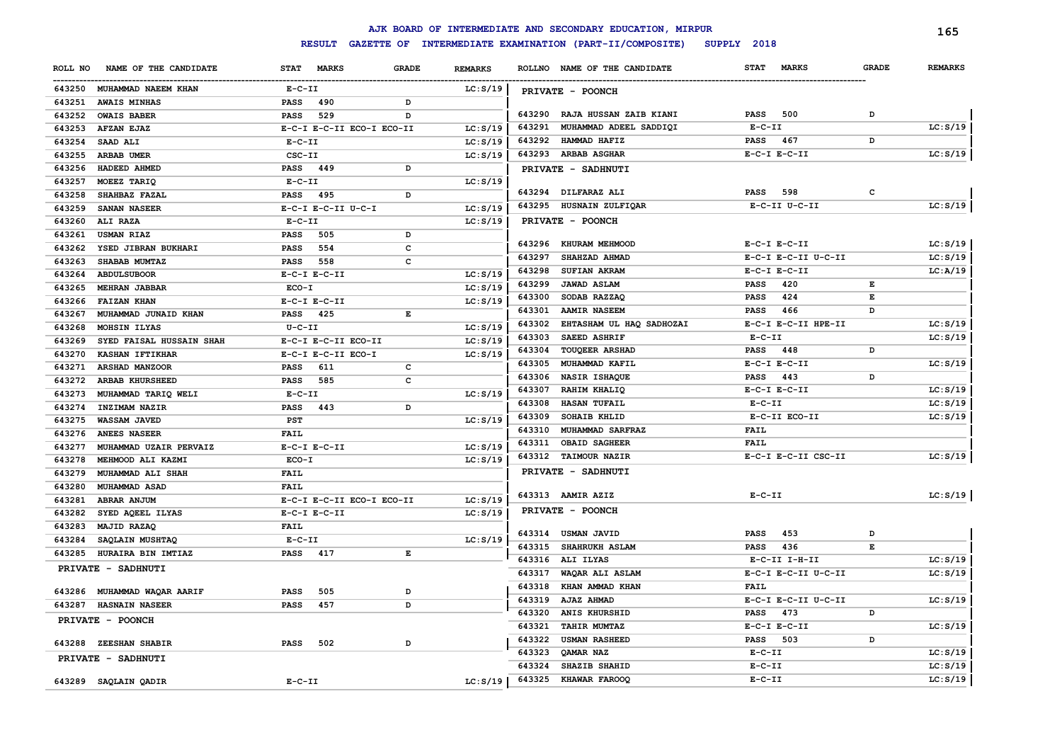|                                    |                                             |                | AJK BOARD OF INTERMEDIATE AND SECONDARY EDUCATION, MIRPUR              |                             |              | 165            |  |  |
|------------------------------------|---------------------------------------------|----------------|------------------------------------------------------------------------|-----------------------------|--------------|----------------|--|--|
|                                    | <b>RESULT</b>                               |                | GAZETTE OF INTERMEDIATE EXAMINATION (PART-II/COMPOSITE)<br>SUPPLY 2018 |                             |              |                |  |  |
| NAME OF THE CANDIDATE<br>ROLL NO   | <b>STAT</b><br><b>MARKS</b><br><b>GRADE</b> | <b>REMARKS</b> | ROLLNO NAME OF THE CANDIDATE                                           | <b>STAT</b><br><b>MARKS</b> | <b>GRADE</b> | <b>REMARKS</b> |  |  |
| 643250 MUHAMMAD NAEEM KHAN         | $E- C- II$                                  | LC: S/19       | PRIVATE - POONCH                                                       |                             |              |                |  |  |
| 643251<br><b>AWAIS MINHAS</b>      | <b>PASS</b><br>490<br>D                     |                |                                                                        |                             |              |                |  |  |
| 643252<br><b>OWAIS BABER</b>       | 529<br><b>PASS</b><br>D                     |                | 643290 RAJA HUSSAN ZAIB KIANI                                          | <b>PASS</b><br>500          | D            |                |  |  |
| 643253<br><b>AFZAN EJAZ</b>        | E-C-I E-C-II ECO-I ECO-II                   | LC: S/19       | 643291<br>MUHAMMAD ADEEL SADDIQI                                       | $E- C- II$                  |              | LC: S/19       |  |  |
| 643254<br>SAAD ALI                 | $E- C- II$                                  | LC: S/19       | 643292<br>HAMMAD HAFIZ                                                 | 467<br>PASS                 | D            |                |  |  |
| 643255<br>ARBAB UMER               | CSC-II                                      | LC: S/19       | 643293 ARBAB ASGHAR                                                    | $E-C-I$ $E-C-II$            |              | LC: S/19       |  |  |
| 643256<br>HADEED AHMED             | PASS 449<br>D                               |                | PRIVATE - SADHNUTI                                                     |                             |              |                |  |  |
| 643257<br>MOEEZ TARIQ              | $E-C-II$                                    | LC: S/19       |                                                                        |                             |              |                |  |  |
| 643258<br>SHAHBAZ FAZAL            | PASS 495<br>D                               |                | 643294 DILFARAZ ALI                                                    | 598<br>PASS                 | $\mathbf c$  |                |  |  |
| 643259<br>SANAN NASEER             | E-C-I E-C-II U-C-I                          | LC: S/19       | 643295 HUSNAIN ZULFIQAR                                                | E-C-II U-C-II               |              | LC: S/19       |  |  |
| 643260<br>ALI RAZA                 | $E-C-II$                                    | LC: S/19       | PRIVATE - POONCH                                                       |                             |              |                |  |  |
| 643261<br><b>USMAN RIAZ</b>        | <b>PASS</b><br>505<br>D                     |                |                                                                        |                             |              |                |  |  |
| 643262<br>YSED JIBRAN BUKHARI      | 554<br>c<br><b>PASS</b>                     |                | 643296 KHURAM MEHMOOD                                                  | $E-C-I$ $E-C-II$            |              | LC: S/19       |  |  |
| 643263<br>SHABAB MUMTAZ            | 558<br>c<br><b>PASS</b>                     |                | 643297<br>SHAHZAD AHMAD                                                | E-C-I E-C-II U-C-II         |              | LC: S/19       |  |  |
| 643264<br><b>ABDULSUBOOR</b>       | $E-C-I$ $E-C-II$                            | LC: S/19       | 643298<br>SUFIAN AKRAM                                                 | $E-C-I$ $E-C-II$            |              | LC:A/19        |  |  |
| 643265<br><b>MEHRAN JABBAR</b>     | ECO-I                                       | LC: S/19       | <b>JAWAD ASLAM</b><br>643299                                           | 420<br><b>PASS</b>          | Е            |                |  |  |
| 643266<br><b>FAIZAN KHAN</b>       | $E-C-I$ $E-C-II$                            | LC: S/19       | 643300<br>SODAB RAZZAQ                                                 | 424<br><b>PASS</b>          | Е            |                |  |  |
| 643267<br>MUHAMMAD JUNAID KHAN     | 425<br>E<br>PASS                            |                | 643301<br><b>AAMIR NASEEM</b>                                          | <b>PASS</b><br>466          | D            |                |  |  |
| 643268<br>MOHSIN ILYAS             | $U - C - II$                                | LC: S/19       | EHTASHAM UL HAQ SADHOZAI<br>643302                                     | E-C-I E-C-II HPE-II         |              | LC: S/19       |  |  |
| 643269<br>SYED FAISAL HUSSAIN SHAH | E-C-I E-C-II ECO-II                         | LC: S/19       | 643303<br><b>SAEED ASHRIF</b>                                          | $E-C-II$                    |              | LC: S/19       |  |  |
| 643270<br>KASHAN IFTIKHAR          | E-C-I E-C-II ECO-I                          | LC: S/19       | 643304 TOUQEER ARSHAD                                                  | <b>PASS</b><br>448          | D            |                |  |  |
| 643271<br>ARSHAD MANZOOR           | <b>PASS</b><br>611<br>c                     |                | 643305<br>MUHAMMAD KAFIL                                               | $E-C-I$ $E-C-II$            |              | LC: S/19       |  |  |
| 643272<br>ARBAB KHURSHEED          | $\mathbf{C}$<br><b>PASS</b><br>585          |                | 643306<br>NASIR ISHAQUE                                                | <b>PASS</b><br>443          | D            |                |  |  |
| 643273<br>MUHAMMAD TARIQ WELI      | $E-C-II$                                    | LC: S/19       | 643307<br>RAHIM KHALIQ                                                 | $E-C-I$ $E-C-II$            |              | LC: S/19       |  |  |
| 643274<br>INZIMAM NAZIR            | <b>PASS</b><br>443<br>D                     |                | 643308<br><b>HASAN TUFAIL</b>                                          | $E-C-II$                    |              | LC: S/19       |  |  |
| 643275<br>WASSAM JAVED             | PST                                         | LC: S/19       | 643309<br>SOHAIB KHLID                                                 | E-C-II ECO-II               |              | LC: S/19       |  |  |
| 643276<br><b>ANEES NASEER</b>      | <b>FAIL</b>                                 |                | 643310<br>MUHAMMAD SARFRAZ                                             | FAIL                        |              |                |  |  |
| 643277<br>MUHAMMAD UZAIR PERVAIZ   | $E-C-I$ $E-C-II$                            | LC: S/19       | 643311<br><b>OBAID SAGHEER</b>                                         | <b>FAIL</b>                 |              |                |  |  |
| 643278<br>MEHMOOD ALI KAZMI        | $ECO-I$                                     | LC: S/19       | 643312 TAIMOUR NAZIR                                                   | E-C-I E-C-II CSC-II         |              | LC: S/19       |  |  |
| 643279<br>MUHAMMAD ALI SHAH        | FAIL                                        |                | PRIVATE - SADHNUTI                                                     |                             |              |                |  |  |
| 643280<br><b>MUHAMMAD ASAD</b>     | FAIL                                        |                |                                                                        |                             |              |                |  |  |
| ABRAR ANJUM<br>643281              | E-C-I E-C-II ECO-I ECO-II                   | LC: S/19       | 643313 AAMIR AZIZ                                                      | $E - C - II$                |              | LC: S/19       |  |  |
| SYED AQEEL ILYAS<br>643282         | $E-C-I$ $E-C-II$                            | LC: S/19       | PRIVATE - POONCH                                                       |                             |              |                |  |  |
| 643283<br>MAJID RAZAQ              | FAIL                                        |                |                                                                        |                             |              |                |  |  |
| 643284<br>SAQLAIN MUSHTAQ          | $E-C-II$                                    | LC: S/19       | 643314 USMAN JAVID                                                     | 453<br><b>PASS</b>          | D            |                |  |  |
| 643285<br>HURAIRA BIN IMTIAZ       | <b>PASS</b><br>417<br>E                     |                | 643315 SHAHRUKH ASLAM                                                  | <b>PASS</b><br>436          | E            |                |  |  |
| PRIVATE - SADHNUTI                 |                                             |                | 643316 ALI ILYAS                                                       | $E-C-II$ I-H-II             |              | LC: S/19       |  |  |
|                                    |                                             |                | 643317<br>WAQAR ALI ASLAM                                              | E-C-I E-C-II U-C-II         |              | LC: S/19       |  |  |
| 643286 MUHAMMAD WAQAR AARIF        | 505<br>PASS<br>D                            |                | 643318<br>KHAN AMMAD KHAN                                              | <b>FAIL</b>                 |              |                |  |  |
| 643287<br><b>HASNAIN NASEER</b>    | <b>PASS</b><br>457<br><sub>D</sub>          |                | 643319<br>AJAZ AHMAD                                                   | E-C-I E-C-II U-C-II         |              | LC: S/19       |  |  |
| PRIVATE - POONCH                   |                                             |                | 643320<br>ANIS KHURSHID                                                | 473<br>PASS                 | D            |                |  |  |
|                                    |                                             |                | 643321<br><b>TAHIR MUMTAZ</b>                                          | $E-C-I$ $E-C-II$            |              | LC: S/19       |  |  |
| 643288 ZEESHAN SHABIR              | <b>PASS</b><br>502<br>D                     |                | 643322<br><b>USMAN RASHEED</b>                                         | 503<br><b>PASS</b>          | D            |                |  |  |
| PRIVATE - SADHNUTI                 |                                             |                | 643323<br>QAMAR NAZ                                                    | $E-C-II$                    |              | LC: S/19       |  |  |
|                                    |                                             |                | 643324<br><b>SHAZIB SHAHID</b>                                         | $E- C- II$                  |              | LC: S/19       |  |  |
| 643289 SAQLAIN QADIR               | $E-C-II$                                    | LC: S/19       | 643325<br>KHAWAR FAROOQ                                                | $E-C-II$                    |              | LC: S/19       |  |  |
|                                    |                                             |                |                                                                        |                             |              |                |  |  |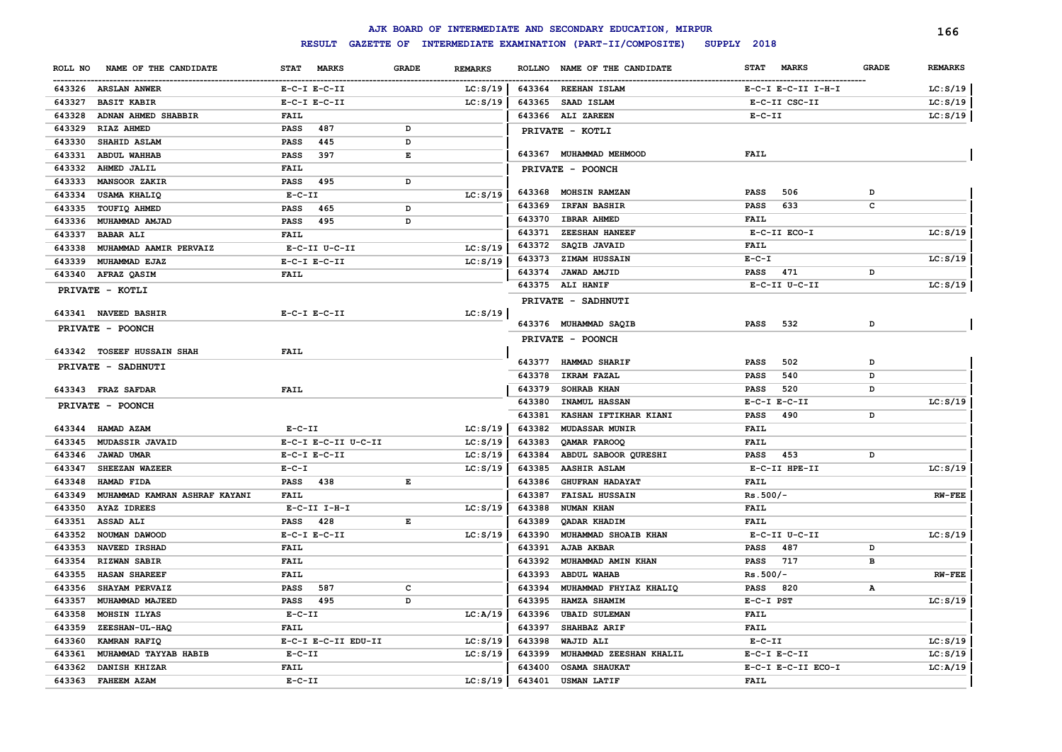|                                         |                                    |              |                |        | AJK BOARD OF INTERMEDIATE AND SECONDARY EDUCATION, MIRPUR |                             |              | 166            |
|-----------------------------------------|------------------------------------|--------------|----------------|--------|-----------------------------------------------------------|-----------------------------|--------------|----------------|
|                                         | <b>RESULT</b><br><b>GAZETTE OF</b> |              |                |        | INTERMEDIATE EXAMINATION (PART-II/COMPOSITE)              | SUPPLY 2018                 |              |                |
| NAME OF THE CANDIDATE<br>ROLL NO        | <b>STAT</b><br><b>MARKS</b>        | <b>GRADE</b> | <b>REMARKS</b> |        | ROLLNO NAME OF THE CANDIDATE                              | <b>MARKS</b><br><b>STAT</b> | <b>GRADE</b> | <b>REMARKS</b> |
| 643326 ARSLAN ANWER                     | $E-C-I$ $E-C-II$                   |              | LC: S/19       |        | 643364 REEHAN ISLAM                                       | E-C-I E-C-II I-H-I          |              | LC: S/19       |
| 643327<br><b>BASIT KABIR</b>            | $E-C-I$ $E-C-II$                   |              | LC: S/19       | 643365 | SAAD ISLAM                                                | E-C-II CSC-II               |              | LC: S/19       |
| ADNAN AHMED SHABBIR<br>643328           | <b>FAIL</b>                        |              |                |        | 643366 ALI ZAREEN                                         | $E-C-II$                    |              | LC: S/19       |
| 643329<br>RIAZ AHMED                    | 487<br><b>PASS</b>                 | D            |                |        | PRIVATE - KOTLI                                           |                             |              |                |
| 643330<br>SHAHID ASLAM                  | 445<br><b>PASS</b>                 | D            |                |        |                                                           |                             |              |                |
| 643331<br><b>ABDUL WAHHAB</b>           | 397<br><b>PASS</b>                 | Е            |                |        | 643367 MUHAMMAD MEHMOOD                                   | <b>FAIL</b>                 |              |                |
| 643332<br>AHMED JALIL                   | <b>FAIL</b>                        |              |                |        | PRIVATE - POONCH                                          |                             |              |                |
| 643333<br><b>MANSOOR ZAKIR</b>          | <b>PASS</b><br>495                 | D            |                |        |                                                           |                             |              |                |
| 643334<br><b>USAMA KHALIQ</b>           | $E-C-II$                           |              | LC: S/19       | 643368 | MOHSIN RAMZAN                                             | 506<br><b>PASS</b>          | D            |                |
| 643335<br>TOUFIQ AHMED                  | <b>PASS</b><br>465                 | D            |                | 643369 | <b>IRFAN BASHIR</b>                                       | 633<br><b>PASS</b>          | c            |                |
| 643336<br>MUHAMMAD AMJAD                | <b>PASS</b><br>495                 | D            |                | 643370 | <b>IBRAR AHMED</b>                                        | <b>FAIL</b>                 |              |                |
| 643337<br><b>BABAR ALI</b>              | <b>FAIL</b>                        |              |                | 643371 | <b>ZEESHAN HANEEF</b>                                     | E-C-II ECO-I                |              | LC: S/19       |
| 643338<br>MUHAMMAD AAMIR PERVAIZ        | E-C-II U-C-II                      |              | LC: S/19       | 643372 | SAQIB JAVAID                                              | <b>FAIL</b>                 |              |                |
| 643339<br>MUHAMMAD EJAZ                 | $E-C-I$ $E-C-II$                   |              | LC: S/19       | 643373 | <b>ZIMAM HUSSAIN</b>                                      | $E - C - I$                 |              | LC: S/19       |
| 643340 AFRAZ QASIM                      | <b>FAIL</b>                        |              |                | 643374 | JAWAD AMJID                                               | 471<br>PASS                 | D            |                |
| PRIVATE - KOTLI                         |                                    |              |                |        | 643375 ALI HANIF                                          | E-C-II U-C-II               |              | LC: S/19       |
|                                         |                                    |              |                |        | PRIVATE - SADHNUTI                                        |                             |              |                |
| 643341 NAVEED BASHIR                    | $E-C-I$ $E-C-II$                   |              | LC: S/19       |        |                                                           |                             |              |                |
| PRIVATE - POONCH                        |                                    |              |                |        | 643376 MUHAMMAD SAQIB                                     | 532<br><b>PASS</b>          | D            |                |
|                                         |                                    |              |                |        | PRIVATE - POONCH                                          |                             |              |                |
| 643342 TOSEEF HUSSAIN SHAH              | <b>FAIL</b>                        |              |                | 643377 | HAMMAD SHARIF                                             | 502<br><b>PASS</b>          | D            |                |
| <b>PRIVATE - SADHNUTI</b>               |                                    |              |                | 643378 | <b>IKRAM FAZAL</b>                                        | 540                         | D            |                |
|                                         |                                    |              |                | 643379 | SOHRAB KHAN                                               | PASS<br>520<br>PASS         | D            |                |
| 643343 FRAZ SAFDAR                      | <b>FAIL</b>                        |              |                | 643380 | INAMUL HASSAN                                             | $E-C-I$ $E-C-II$            |              | LC: S/19       |
| PRIVATE - POONCH                        |                                    |              |                | 643381 | KASHAN IFTIKHAR KIANI                                     | 490<br><b>PASS</b>          | D            |                |
| 643344 HAMAD AZAM                       | $E-C-II$                           |              | LC: S/19       | 643382 | <b>MUDASSAR MUNIR</b>                                     | <b>FAIL</b>                 |              |                |
| 643345<br>MUDASSIR JAVAID               | E-C-I E-C-II U-C-II                |              | LC: S/19       | 643383 | <b>OAMAR FAROOQ</b>                                       | <b>FAIL</b>                 |              |                |
| 643346<br>JAWAD UMAR                    | $E-C-I$ $E-C-II$                   |              | LC: S/19       | 643384 | ABDUL SABOOR QURESHI                                      | 453<br>PASS                 | D            |                |
| 643347<br>SHEEZAN WAZEER                | $E - C - I$                        |              | LC: S/19       | 643385 | <b>AASHIR ASLAM</b>                                       | E-C-II HPE-II               |              | LC: S/19       |
| 643348<br>HAMAD FIDA                    | 438<br>PASS                        | Е            |                | 643386 | <b>GHUFRAN HADAYAT</b>                                    | FAIL                        |              |                |
| 643349<br>MUHAMMAD KAMRAN ASHRAF KAYANI | <b>FAIL</b>                        |              |                | 643387 | <b>FAISAL HUSSAIN</b>                                     | $Rs.500/-$                  |              | $RW-FEE$       |
| 643350<br><b>AYAZ IDREES</b>            | $E-C-II$ $I-H-I$                   |              | LC: S/19       | 643388 | NUMAN KHAN                                                | FAIL                        |              |                |
| 643351<br>ASSAD ALI                     | 428<br><b>PASS</b>                 | Е            |                | 643389 | QADAR KHADIM                                              | FAIL                        |              |                |
| 643352<br>NOUMAN DAWOOD                 | $E-C-I$ $E-C-II$                   |              | LC: S/19       | 643390 | MUHAMMAD SHOAIB KHAN                                      | E-C-II U-C-II               |              | LC: S/19       |
| 643353<br>NAVEED IRSHAD                 | <b>FAIL</b>                        |              |                | 643391 | <b>AJAB AKBAR</b>                                         | 487<br><b>PASS</b>          | D            |                |
| 643354<br><b>RIZWAN SABIR</b>           | <b>FAIL</b>                        |              |                | 643392 | MUHAMMAD AMIN KHAN                                        | 717<br><b>PASS</b>          | в            |                |
| 643355<br><b>HASAN SHAREEF</b>          | <b>FAIL</b>                        |              |                | 643393 | <b>ABDUL WAHAB</b>                                        | $Rs.500/-$                  |              | <b>RW-FEE</b>  |
| 643356<br>SHAYAM PERVAIZ                | <b>PASS</b><br>587                 | C            |                | 643394 | MUHAMMAD FHYIAZ KHALIQ                                    | <b>PASS</b><br>820          | $\mathbf{A}$ |                |
| 643357<br>MUHAMMAD MAJEED               | <b>PASS</b><br>495                 | D            |                | 643395 | HAMZA SHAMIM                                              | E-C-I PST                   |              | LC: S/19       |
| 643358<br>MOHSIN ILYAS                  | $E - C - II$                       |              | LC: A/19       | 643396 | <b>UBAID SULEMAN</b>                                      | <b>FAIL</b>                 |              |                |
| 643359<br>ZEESHAN-UL-HAQ                | <b>FAIL</b>                        |              |                | 643397 | SHAHBAZ ARIF                                              | <b>FAIL</b>                 |              |                |
| 643360<br>KAMRAN RAFIQ                  | E-C-I E-C-II EDU-II                |              | LC: S/19       | 643398 | WAJID ALI                                                 | $E-C-II$                    |              | LC: S/19       |
| 643361<br>MUHAMMAD TAYYAB HABIB         | $E-C-II$                           |              | LC: S/19       | 643399 | MUHAMMAD ZEESHAN KHALIL                                   | $E-C-I$ $E-C-II$            |              | LC: S/19       |
| 643362<br>DANISH KHIZAR                 | <b>FAIL</b>                        |              |                | 643400 | <b>OSAMA SHAUKAT</b>                                      | E-C-I E-C-II ECO-I          |              | LC: A/19       |
| 643363 FAHEEM AZAM                      | $E - C - II$                       |              | LC: S/19       | 643401 | <b>USMAN LATIF</b>                                        | <b>FAIL</b>                 |              |                |
|                                         |                                    |              |                |        |                                                           |                             |              |                |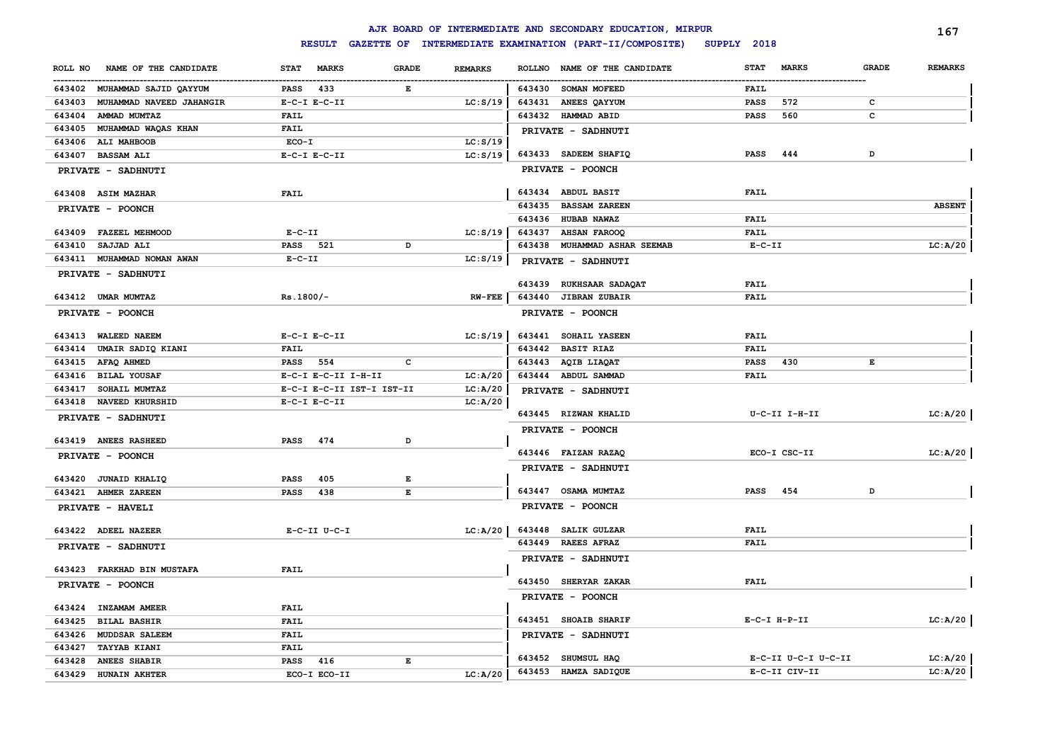|                                    |                                             |                | AJK BOARD OF INTERMEDIATE AND SECONDARY EDUCATION, MIRPUR      |                                             | 167            |
|------------------------------------|---------------------------------------------|----------------|----------------------------------------------------------------|---------------------------------------------|----------------|
|                                    |                                             |                | RESULT GAZETTE OF INTERMEDIATE EXAMINATION (PART-II/COMPOSITE) | SUPPLY 2018                                 |                |
| NAME OF THE CANDIDATE<br>ROLL NO   | <b>MARKS</b><br><b>GRADE</b><br><b>STAT</b> | <b>REMARKS</b> | NAME OF THE CANDIDATE<br><b>ROLLNO</b>                         | <b>STAT</b><br><b>MARKS</b><br><b>GRADE</b> | <b>REMARKS</b> |
| 643402 MUHAMMAD SAJID QAYYUM       | PASS<br>433<br>Е                            |                | 643430<br><b>SOMAN MOFEED</b>                                  | FAIL                                        |                |
| 643403<br>MUHAMMAD NAVEED JAHANGIR | $E-C-I$ $E-C-II$                            | LC: S/19       | 643431<br><b>ANEES QAYYUM</b>                                  | <b>PASS</b><br>572<br>c                     |                |
| 643404<br>AMMAD MUMTAZ             | <b>FAIL</b>                                 |                | 643432 HAMMAD ABID                                             | 560<br><b>PASS</b><br>c                     |                |
| MUHAMMAD WAQAS KHAN<br>643405      | FAIL                                        |                | PRIVATE - SADHNUTI                                             |                                             |                |
| 643406<br>ALI MAHBOOB              | $ECO-I$                                     | LC: S/19       |                                                                |                                             |                |
| 643407<br><b>BASSAM ALI</b>        | $E-C-I$ $E-C-II$                            | LC: S/19       | 643433 SADEEM SHAFIQ                                           | D<br>PASS<br>444                            |                |
| PRIVATE - SADHNUTI                 |                                             |                | PRIVATE - POONCH                                               |                                             |                |
|                                    |                                             |                |                                                                |                                             |                |
| 643408 ASIM MAZHAR                 | <b>FAIL</b>                                 |                | 643434 ABDUL BASIT                                             | <b>FAIL</b>                                 |                |
| PRIVATE - POONCH                   |                                             |                | 643435<br><b>BASSAM ZAREEN</b>                                 |                                             | <b>ABSENT</b>  |
|                                    |                                             |                | 643436 HUBAB NAWAZ                                             | <b>FAIL</b>                                 |                |
| 643409 FAZEEL MEHMOOD              | $E-C-II$                                    | LC: S/19       | 643437<br><b>AHSAN FAROOQ</b>                                  | <b>FAIL</b>                                 |                |
| 643410<br>SAJJAD ALI               | PASS 521<br>D                               |                | 643438<br>MUHAMMAD ASHAR SEEMAB                                | $E-C-II$                                    | LC: A/20       |
| 643411<br>MUHAMMAD NOMAN AWAN      | $E - C - II$                                | LC: S/19       | PRIVATE - SADHNUTI                                             |                                             |                |
| PRIVATE - SADHNUTI                 |                                             |                | 643439 RUKHSAAR SADAQAT                                        | <b>FAIL</b>                                 |                |
| 643412 UMAR MUMTAZ                 | $Rs.1800/-$                                 | $RW-FEE$       | 643440 JIBRAN ZUBAIR                                           | FAIL                                        |                |
| PRIVATE - POONCH                   |                                             |                | PRIVATE - POONCH                                               |                                             |                |
|                                    |                                             |                |                                                                |                                             |                |
| 643413 WALEED NAEEM                | $E-C-I$ $E-C-II$                            | LC: S/19       | 643441 SOHAIL YASEEN                                           | <b>FAIL</b>                                 |                |
| 643414<br>UMAIR SADIQ KIANI        | <b>FAIL</b>                                 |                | 643442 BASIT RIAZ                                              | <b>FAIL</b>                                 |                |
| 643415<br>AFAQ AHMED               | PASS 554<br>$\mathbf{C}$                    |                | 643443 AQIB LIAQAT                                             | <b>PASS</b><br>430<br>E                     |                |
| 643416<br><b>BILAL YOUSAF</b>      | E-C-I E-C-II I-H-II                         | LC: A/20       | 643444 ABDUL SAMMAD                                            | <b>FAIL</b>                                 |                |
| 643417<br>SOHAIL MUMTAZ            | E-C-I E-C-II IST-I IST-II                   | LC: A/20       | PRIVATE - SADHNUTI                                             |                                             |                |
| 643418 NAVEED KHURSHID             | $E-C-I$ $E-C-II$                            | LC:A/20        |                                                                |                                             |                |
| PRIVATE - SADHNUTI                 |                                             |                | 643445 RIZWAN KHALID                                           | U-C-II I-H-II                               | LC: A/20       |
|                                    |                                             |                | PRIVATE - POONCH                                               |                                             |                |
| 643419 ANEES RASHEED               | <b>PASS</b><br>474<br>D                     |                |                                                                |                                             |                |
| PRIVATE - POONCH                   |                                             |                | 643446 FAIZAN RAZAQ                                            | ECO-I CSC-II                                | LC: A/20       |
|                                    |                                             |                | PRIVATE - SADHNUTI                                             |                                             |                |
| 643420 JUNAID KHALIQ               | 405<br>PASS<br>Е                            |                |                                                                |                                             |                |
| 643421 AHMER ZAREEN                | $\mathbf{E}$<br><b>PASS</b><br>438          |                | 643447 OSAMA MUMTAZ                                            | 454<br>D<br>PASS                            |                |
| PRIVATE - HAVELI                   |                                             |                | PRIVATE - POONCH                                               |                                             |                |
| 643422 ADEEL NAZEER                | $E-C-II$ $U-C-I$                            | LC: A/20       | 643448 SALIK GULZAR                                            | FAIL                                        |                |
|                                    |                                             |                | 643449 RAEES AFRAZ                                             | FAIL                                        |                |
| PRIVATE - SADHNUTI                 |                                             |                | PRIVATE - SADHNUTI                                             |                                             |                |
| 643423 FARKHAD BIN MUSTAFA         | <b>FAIL</b>                                 |                |                                                                |                                             |                |
| PRIVATE - POONCH                   |                                             |                | 643450 SHERYAR ZAKAR                                           | <b>FAIL</b>                                 |                |
|                                    |                                             |                | PRIVATE - POONCH                                               |                                             |                |
| 643424 INZAMAM AMEER               | <b>FAIL</b>                                 |                |                                                                |                                             |                |
| 643425<br><b>BILAL BASHIR</b>      | <b>FAIL</b>                                 |                | 643451 SHOAIB SHARIF                                           | $E-C-I$ $H-P-II$                            | LC: A/20       |
| 643426<br><b>MUDDSAR SALEEM</b>    | <b>FAIL</b>                                 |                | PRIVATE - SADHNUTI                                             |                                             |                |
| 643427<br><b>TAYYAB KIANI</b>      | <b>FAIL</b>                                 |                |                                                                |                                             |                |
| 643428<br><b>ANEES SHABIR</b>      | 416<br>PASS<br>Е                            |                | 643452 SHUMSUL HAQ                                             | E-C-II U-C-I U-C-II                         | LC: A/20       |
| 643429<br><b>HUNAIN AKHTER</b>     | ECO-I ECO-II                                | LC: A/20       | 643453 HAMZA SADIQUE                                           | E-C-II CIV-II                               | LC: A/20       |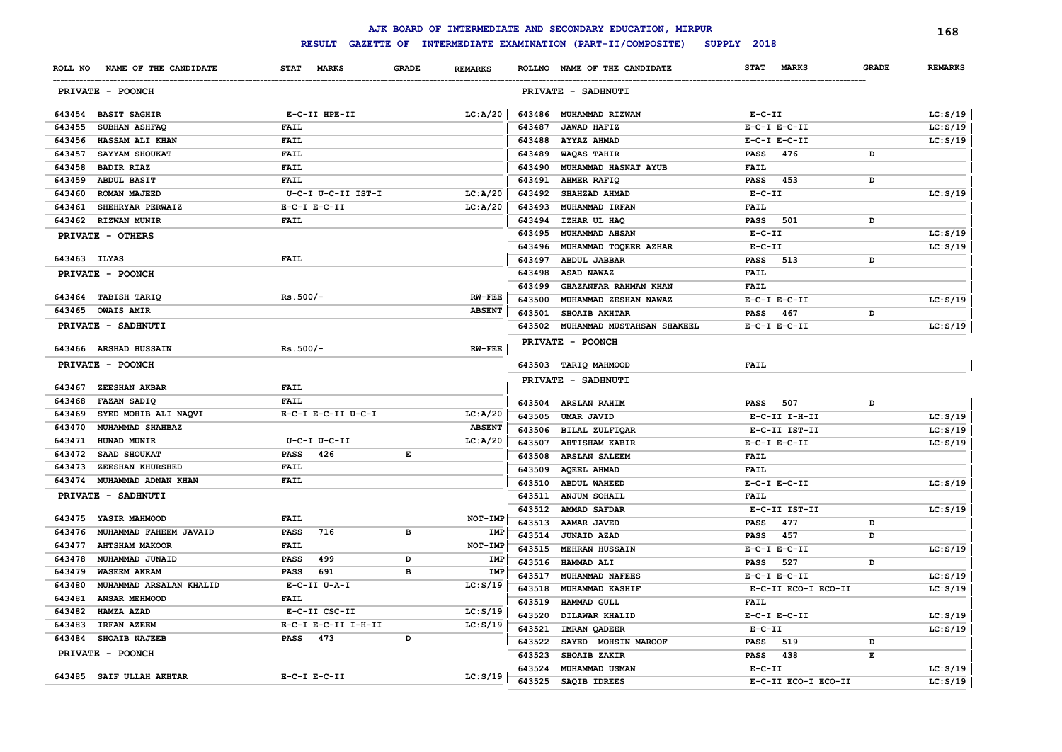|                                            |                            |                                |        | AJK BOARD OF INTERMEDIATE AND SECONDARY EDUCATION, MIRPUR |                             |              | 168            |
|--------------------------------------------|----------------------------|--------------------------------|--------|-----------------------------------------------------------|-----------------------------|--------------|----------------|
|                                            | <b>RESULT</b>              |                                |        | GAZETTE OF INTERMEDIATE EXAMINATION (PART-II/COMPOSITE)   | SUPPLY 2018                 |              |                |
| NAME OF THE CANDIDATE<br>ROLL NO           | STAT MARKS                 | <b>GRADE</b><br><b>REMARKS</b> |        | ROLLNO NAME OF THE CANDIDATE                              | <b>MARKS</b><br><b>STAT</b> | <b>GRADE</b> | <b>REMARKS</b> |
| PRIVATE - POONCH                           |                            |                                |        | PRIVATE - SADHNUTI                                        |                             |              |                |
| 643454 BASIT SAGHIR                        | E-C-II HPE-II              | LC: A/20                       | 643486 | MUHAMMAD RIZWAN                                           | $E-C-II$                    |              | LC: S/19       |
| 643455<br>SUBHAN ASHFAQ                    | FAIL                       |                                | 643487 | <b>JAWAD HAFIZ</b>                                        | $E-C-I$ $E-C-II$            |              | LC: S/19       |
| 643456<br>HASSAM ALI KHAN                  | <b>FAIL</b>                |                                | 643488 | <b>AYYAZ AHMAD</b>                                        | $E-C-I$ $E-C-II$            |              | LC: S/19       |
| 643457<br>SAYYAM SHOUKAT                   | <b>FAIL</b>                |                                | 643489 | <b>WAQAS TAHIR</b>                                        | <b>PASS</b><br>476          | D            |                |
| 643458<br><b>BADIR RIAZ</b>                | <b>FAIL</b>                |                                | 643490 | MUHAMMAD HASNAT AYUB                                      | <b>FAIL</b>                 |              |                |
| 643459<br><b>ABDUL BASIT</b>               | FAIL                       |                                | 643491 | AHMER RAFIQ                                               | 453<br>PASS                 | D            |                |
| 643460<br>ROMAN MAJEED                     | U-C-I U-C-II IST-I         | LC: A/20                       | 643492 | SHAHZAD AHMAD                                             | $E-C-II$                    |              | LC: S/19       |
| 643461<br>SHEHRYAR PERWAIZ                 | $E-C-I$ $E-C-II$           | LC: A/20                       | 643493 | MUHAMMAD IRFAN                                            | <b>FAIL</b>                 |              |                |
| 643462<br><b>RIZWAN MUNIR</b>              | FAIL                       |                                | 643494 | IZHAR UL HAQ                                              | PASS<br>501                 | D            |                |
| PRIVATE - OTHERS                           |                            |                                | 643495 | MUHAMMAD AHSAN                                            | $E- C- II$                  |              | LC: S/19       |
|                                            |                            |                                | 643496 | MUHAMMAD TOQEER AZHAR                                     | $E-C-II$                    |              | LC: S/19       |
| 643463 ILYAS                               | <b>FAIL</b>                |                                | 643497 | <b>ABDUL JABBAR</b>                                       | 513<br>PASS                 | D            |                |
| PRIVATE - POONCH                           |                            |                                | 643498 | ASAD NAWAZ                                                | <b>FAIL</b>                 |              |                |
|                                            |                            |                                | 643499 | GHAZANFAR RAHMAN KHAN                                     | <b>FAIL</b>                 |              |                |
| 643464 TABISH TARIQ                        | $Rs.500/-$                 | <b>RW-FEE</b>                  | 643500 | MUHAMMAD ZESHAN NAWAZ                                     | $E-C-I$ $E-C-II$            |              | LC: S/19       |
| 643465 OWAIS AMIR                          |                            | <b>ABSENT</b>                  | 643501 | SHOAIB AKHTAR                                             | 467<br>PASS                 | D            |                |
| <b>PRIVATE - SADHNUTI</b>                  |                            |                                | 643502 | MUHAMMAD MUSTAHSAN SHAKEEL                                | $E-C-I$ $E-C-II$            |              | LC: S/19       |
|                                            |                            |                                |        | PRIVATE - POONCH                                          |                             |              |                |
| 643466 ARSHAD HUSSAIN                      | $Rs.500/-$                 | $RW-FEE$                       |        |                                                           |                             |              |                |
| PRIVATE - POONCH                           |                            |                                |        | 643503 TARIQ MAHMOOD                                      | <b>FAIL</b>                 |              |                |
|                                            |                            |                                |        | PRIVATE - SADHNUTI                                        |                             |              |                |
| <b>ZEESHAN AKBAR</b><br>643467             | FAIL                       |                                |        |                                                           |                             |              |                |
| FAZAN SADIQ<br>643468                      | FAIL                       |                                | 643504 | <b>ARSLAN RAHIM</b>                                       | 507<br>PASS                 | D            |                |
| SYED MOHIB ALI NAQVI<br>643469             | E-C-I E-C-II U-C-I         | LC: A/20                       | 643505 | <b>UMAR JAVID</b>                                         | $E-C-II$ I-H-II             |              | LC: S/19       |
| MUHAMMAD SHAHBAZ<br>643470                 |                            | <b>ABSENT</b>                  |        | 643506 BILAL ZULFIQAR                                     | E-C-II IST-II               |              | LC: S/19       |
| HUNAD MUNIR<br>643471                      | U-C-I U-C-II               | LC: A/20                       | 643507 | <b>AHTISHAM KABIR</b>                                     | $E-C-I$ $E-C-II$            |              | LC: S/19       |
| SAAD SHOUKAT<br>643472                     | 426<br><b>PASS</b>         | E                              | 643508 | <b>ARSLAN SALEEM</b>                                      | <b>FAIL</b>                 |              |                |
| 643473<br>ZEESHAN KHURSHED                 | FAIL                       |                                | 643509 | <b>AQEEL AHMAD</b>                                        | FAIL                        |              |                |
| MUHAMMAD ADNAN KHAN<br>643474              | <b>FAIL</b>                |                                | 643510 | <b>ABDUL WAHEED</b>                                       | $E-C-I$ $E-C-II$            |              | LC: S/19       |
| PRIVATE - SADHNUTI                         |                            |                                | 643511 | <b>ANJUM SOHAIL</b>                                       | FAIL                        |              |                |
| <b>YASIR MAHMOOD</b>                       |                            |                                | 643512 | <b>AMMAD SAFDAR</b>                                       | E-C-II IST-II               |              | LC: S/19       |
| 643475<br>643476<br>MUHAMMAD FAHEEM JAVAID | FAIL<br>716<br><b>PASS</b> | NOT-IMP<br>в                   |        | 643513 AAMAR JAVED                                        | <b>PASS</b><br>477          | D            |                |
| 643477                                     |                            | <b>IMP</b>                     | 643514 | <b>JUNAID AZAD</b>                                        | 457<br>PASS                 | D            |                |
| <b>AHTSHAM MAKOOR</b><br>643478            | FAIL                       | $NOT-IMP$                      | 643515 | <b>MEHRAN HUSSAIN</b>                                     | $E-C-I$ $E-C-II$            |              | LC: S/19       |
| MUHAMMAD JUNAID<br><b>WASEEM AKRAM</b>     | <b>PASS</b><br>499<br>691  | D<br>IMP<br>в                  | 643516 | HAMMAD ALI                                                | 527<br><b>PASS</b>          | D            |                |
| 643479                                     | PASS                       | IMP                            | 643517 | <b>MUHAMMAD NAFEES</b>                                    | $E-C-I$ $E-C-II$            |              | LC: S/19       |
| 643480<br>MUHAMMAD ARSALAN KHALID          | E-C-II U-A-I               | LC: S/19                       | 643518 | <b>MUHAMMAD KASHIF</b>                                    | E-C-II ECO-I ECO-II         |              | LC: S/19       |
| 643481 ANSAR MEHMOOD                       | FAIL<br>E-C-II CSC-II      |                                |        | 643519 HAMMAD GULL                                        | <b>FAIL</b>                 |              |                |
| 643482 HAMZA AZAD                          |                            | LC: S/19                       | 643520 | <b>DILAWAR KHALID</b>                                     | $E-C-I$ $E-C-II$            |              | LC: S/19       |
| 643483 IRFAN AZEEM                         | E-C-I E-C-II I-H-II        | LC: S/19                       |        | 643521 IMRAN QADEER                                       | $E-C-II$                    |              | LC: S/19       |
| 643484 SHOAIB NAJEEB                       | PASS 473                   | D                              |        | 643522 SAYED MOHSIN MAROOF                                | PASS 519                    | D            |                |
| PRIVATE - POONCH                           |                            |                                |        | 643523 SHOAIB ZAKIR                                       | PASS 438                    | Е            |                |
| 643485 SAIF ULLAH AKHTAR                   | $E- C-I$ $E-C-II$          | LC: S/19                       |        | 643524 MUHAMMAD USMAN                                     | $E-C-II$                    |              | LC: S/19       |
|                                            |                            |                                |        | 643525 SAQIB IDREES                                       | E-C-II ECO-I ECO-II         |              | LC: S/19       |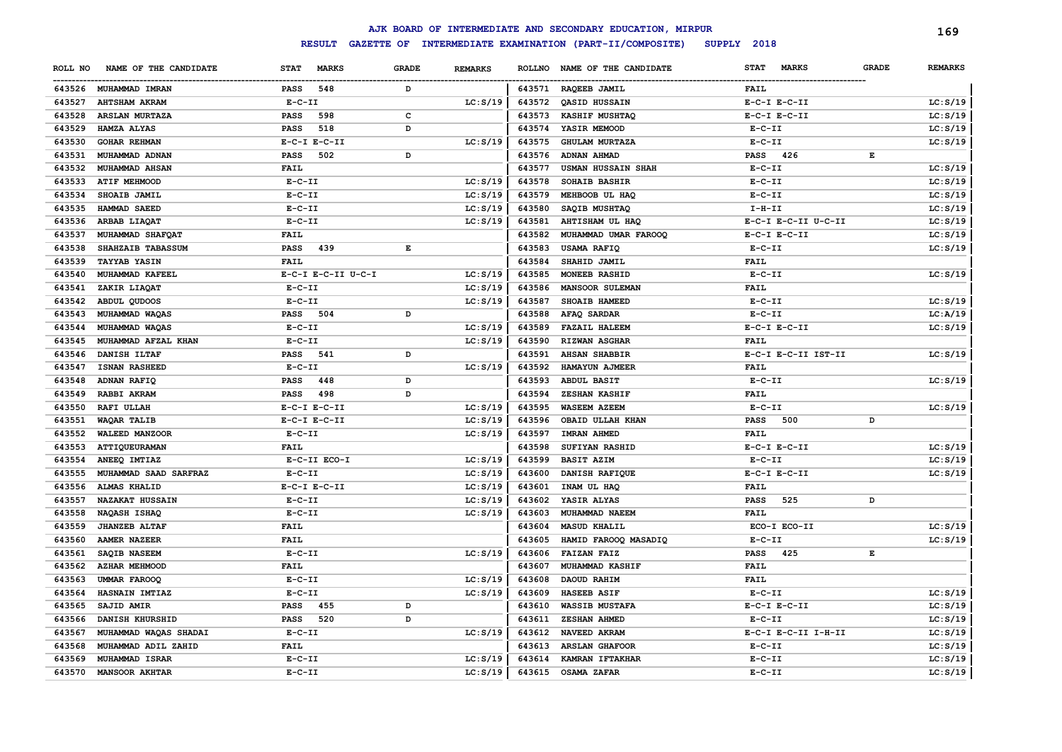|         |                        |                  |                    |              |                |        | AJK BOARD OF INTERMEDIATE AND SECONDARY EDUCATION, MIRPUR |                      |              | 169            |
|---------|------------------------|------------------|--------------------|--------------|----------------|--------|-----------------------------------------------------------|----------------------|--------------|----------------|
|         |                        |                  | <b>RESULT</b>      |              |                |        | GAZETTE OF INTERMEDIATE EXAMINATION (PART-II/COMPOSITE)   | SUPPLY 2018          |              |                |
| ROLL NO | NAME OF THE CANDIDATE  | <b>STAT</b>      | <b>MARKS</b>       | <b>GRADE</b> | <b>REMARKS</b> |        | ROLLNO NAME OF THE CANDIDATE                              | STAT<br><b>MARKS</b> | <b>GRADE</b> | <b>REMARKS</b> |
|         | 643526 MUHAMMAD IMRAN  | PASS             | 548                | D            |                | 643571 | RAQEEB JAMIL                                              | <b>FAIL</b>          |              |                |
| 643527  | <b>AHTSHAM AKRAM</b>   | $E - C - II$     |                    |              | LC: S/19       | 643572 | QASID HUSSAIN                                             | $E-C-I$ $E-C-II$     |              | LC: S/19       |
| 643528  | <b>ARSLAN MURTAZA</b>  | <b>PASS</b>      | 598                | с            |                | 643573 | KASHIF MUSHTAQ                                            | $E-C-I$ $E-C-II$     |              | LC: S/19       |
| 643529  | HAMZA ALYAS            | <b>PASS</b>      | 518                | D            |                | 643574 | YASIR MEMOOD                                              | $E-C-II$             |              | LC: S/19       |
| 643530  | <b>GOHAR REHMAN</b>    | $E-C-I$ $E-C-II$ |                    |              | LC: S/19       | 643575 | <b>GHULAM MURTAZA</b>                                     | $E - C - II$         |              | LC: S/19       |
| 643531  | MUHAMMAD ADNAN         | <b>PASS</b>      | 502                | D            |                | 643576 | ADNAN AHMAD                                               | <b>PASS</b><br>426   | E            |                |
| 643532  | MUHAMMAD AHSAN         | <b>FAIL</b>      |                    |              |                | 643577 | <b>USMAN HUSSAIN SHAH</b>                                 | $E-C-II$             |              | LC: S/19       |
| 643533  | ATIF MEHMOOD           | $E-C-II$         |                    |              | LC: S/19       | 643578 | SOHAIB BASHIR                                             | $E - C - II$         |              | LC: S/19       |
| 643534  | SHOAIB JAMIL           | $E- C- II$       |                    |              | LC: S/19       | 643579 | MEHBOOB UL HAQ                                            | $E - C - II$         |              | LC: S/19       |
| 643535  | HAMMAD SAEED           | $E - C - II$     |                    |              | LC: S/19       | 643580 | SAQIB MUSHTAQ                                             | I-H-II               |              | LC: S/19       |
| 643536  | ARBAB LIAQAT           | $E - C - II$     |                    |              | LC: S/19       | 643581 | AHTISHAM UL HAQ                                           | E-C-I E-C-II U-C-II  |              | LC: S/19       |
| 643537  | MUHAMMAD SHAFQAT       | FAIL             |                    |              |                | 643582 | MUHAMMAD UMAR FAROOQ                                      | $E-C-I$ $E-C-II$     |              | LC: S/19       |
| 643538  | SHAHZAIB TABASSUM      | <b>PASS</b>      | 439                | E            |                | 643583 | USAMA RAFIQ                                               | $E - C - II$         |              | LC: S/19       |
| 643539  | <b>TAYYAB YASIN</b>    | FAIL             |                    |              |                | 643584 | SHAHID JAMIL                                              | <b>FAIL</b>          |              |                |
| 643540  | MUHAMMAD KAFEEL        |                  | E-C-I E-C-II U-C-I |              | LC: S/19       | 643585 | <b>MONEEB RASHID</b>                                      | $E-C-II$             |              | LC: S/19       |
| 643541  | ZAKIR LIAQAT           | $E-C-II$         |                    |              | LC: S/19       | 643586 | <b>MANSOOR SULEMAN</b>                                    | <b>FAIL</b>          |              |                |
| 643542  | ABDUL QUDOOS           | $E-C-II$         |                    |              | LC: S/19       | 643587 | SHOAIB HAMEED                                             | $E-C-II$             |              | LC: S/19       |
| 643543  | MUHAMMAD WAQAS         | PASS 504         |                    | D            |                | 643588 | AFAQ SARDAR                                               | $E- C- II$           |              | LC: A/19       |
| 643544  | MUHAMMAD WAQAS         | $E-C-II$         |                    |              | LC: S/19       | 643589 | <b>FAZAIL HALEEM</b>                                      | $E-C-I$ $E-C-II$     |              | LC: S/19       |
| 643545  | MUHAMMAD AFZAL KHAN    | $E-C-II$         |                    |              | LC: S/19       | 643590 | <b>RIZWAN ASGHAR</b>                                      | FAIL                 |              |                |
| 643546  | DANISH ILTAF           | <b>PASS</b> 541  |                    | D            |                | 643591 | <b>AHSAN SHABBIR</b>                                      | E-C-I E-C-II IST-II  |              | LC: S/19       |
| 643547  | ISNAN RASHEED          | $E-C-II$         |                    |              | LC: S/19       | 643592 | HAMAYUN AJMEER                                            | FAIL                 |              |                |
| 643548  | ADNAN RAFIQ            | <b>PASS</b>      | 448                | D            |                | 643593 | ABDUL BASIT                                               | $E - C - II$         |              | LC: S/19       |
| 643549  | RABBI AKRAM            | <b>PASS</b>      | 498                | D            |                | 643594 | ZESHAN KASHIF                                             | <b>FAIL</b>          |              |                |
| 643550  | <b>RAFI ULLAH</b>      | $E-C-I$ $E-C-II$ |                    |              | LC: S/19       | 643595 | <b>WASEEM AZEEM</b>                                       | $E - C - II$         |              | LC: S/19       |
| 643551  | WAQAR TALIB            | $E-C-I$ $E-C-II$ |                    |              | LC: S/19       | 643596 | OBAID ULLAH KHAN                                          | 500<br>PASS          | D            |                |
| 643552  | WALEED MANZOOR         | $E-C-II$         |                    |              | LC: S/19       | 643597 | IMRAN AHMED                                               | <b>FAIL</b>          |              |                |
| 643553  | ATTIQUEURAMAN          | <b>FAIL</b>      |                    |              |                | 643598 | SUFIYAN RASHID                                            | $E-C-I$ $E-C-II$     |              | LC: S/19       |
| 643554  | ANEEQ IMTIAZ           |                  | E-C-II ECO-I       |              | LC: S/19       | 643599 | <b>BASIT AZIM</b>                                         | $E- C- II$           |              | LC: S/19       |
| 643555  | MUHAMMAD SAAD SARFRAZ  | $E-C-II$         |                    |              | LC: S/19       | 643600 | DANISH RAFIQUE                                            | $E-C-I$ $E-C-II$     |              | LC: S/19       |
| 643556  | <b>ALMAS KHALID</b>    | $E-C-I$ $E-C-II$ |                    |              | LC: S/19       | 643601 | INAM UL HAQ                                               | <b>FAIL</b>          |              |                |
| 643557  | <b>NAZAKAT HUSSAIN</b> | $E - C - II$     |                    |              | LC: S/19       | 643602 | YASIR ALYAS                                               | <b>PASS</b><br>525   | D            |                |
| 643558  | NAQASH ISHAQ           | $E-C-II$         |                    |              | LC: S/19       | 643603 | MUHAMMAD NAEEM                                            | <b>FAIL</b>          |              |                |
| 643559  | <b>JHANZEB ALTAF</b>   | FAIL             |                    |              |                | 643604 | <b>MASUD KHALIL</b>                                       | ECO-I ECO-II         |              | LC: S/19       |
| 643560  | <b>AAMER NAZEER</b>    | <b>FAIL</b>      |                    |              |                | 643605 | HAMID FAROOQ MASADIQ                                      | $E-C-II$             |              | LC: S/19       |
| 643561  | SAQIB NASEEM           | $E - C - II$     |                    |              | LC: S/19       | 643606 | <b>FAIZAN FAIZ</b>                                        | <b>PASS</b><br>425   | Е            |                |
| 643562  | <b>AZHAR MEHMOOD</b>   | <b>FAIL</b>      |                    |              |                | 643607 | <b>MUHAMMAD KASHIF</b>                                    | <b>FAIL</b>          |              |                |
| 643563  | <b>UMMAR FAROOQ</b>    | $E-C-II$         |                    |              | LC: S/19       | 643608 | DAOUD RAHIM                                               | <b>FAIL</b>          |              |                |
| 643564  | HASNAIN IMTIAZ         | $E-C-II$         |                    |              | LC: S/19       | 643609 | HASEEB ASIF                                               | $E-C-II$             |              | LC: S/19       |
| 643565  | SAJID AMIR             | <b>PASS</b>      | 455                | D            |                | 643610 | <b>WASSIB MUSTAFA</b>                                     | $E-C-I$ $E-C-II$     |              | LC: S/19       |
| 643566  | DANISH KHURSHID        | <b>PASS</b>      | 520                | D            |                | 643611 | ZESHAN AHMED                                              | $E-C-II$             |              | LC: S/19       |
| 643567  | MUHAMMAD WAQAS SHADAI  | $E-C-II$         |                    |              | LC: S/19       | 643612 | NAVEED AKRAM                                              | E-C-I E-C-II I-H-II  |              | LC: S/19       |
| 643568  | MUHAMMAD ADIL ZAHID    | FAIL             |                    |              |                | 643613 | <b>ARSLAN GHAFOOR</b>                                     | $E-C-II$             |              | LC: S/19       |
| 643569  | MUHAMMAD ISRAR         | $E-C-II$         |                    |              | LC: S/19       | 643614 | KAMRAN IFTAKHAR                                           | $E - C - II$         |              | LC: S/19       |
|         | 643570 MANSOOR AKHTAR  | $E-C-TI$         |                    |              | LC: S/19       | 643615 | OSAMA ZAFAR                                               | $E-C-TI$             |              | LC: S/19       |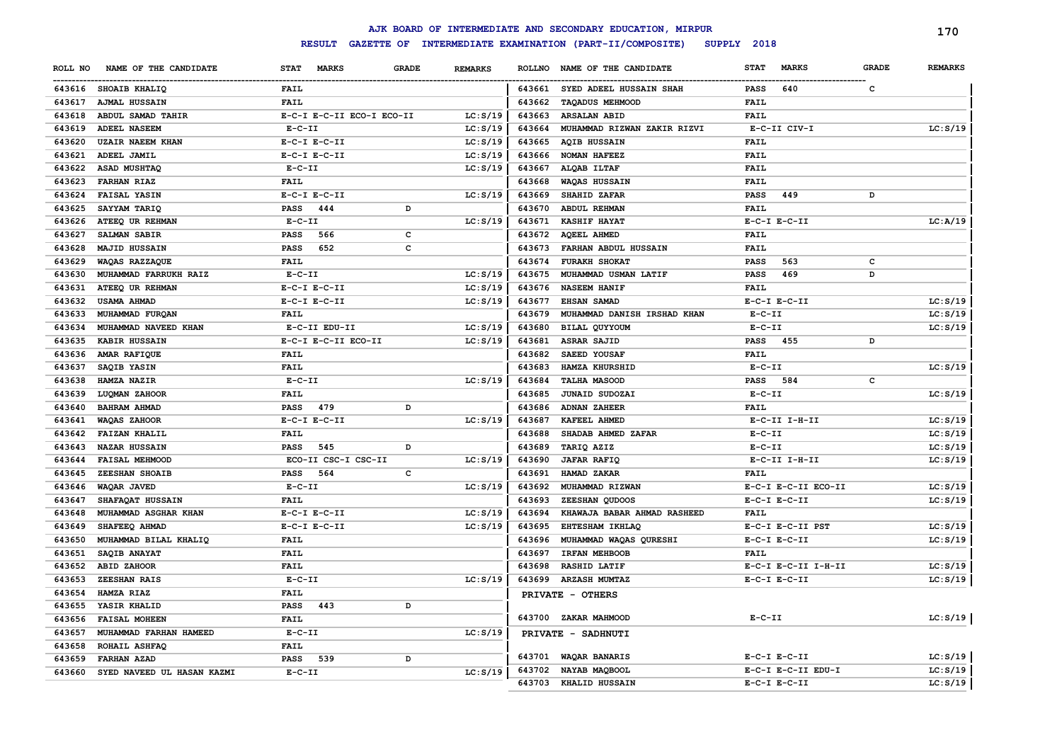|         |                            |                                    |                                |               | AJK BOARD OF INTERMEDIATE AND SECONDARY EDUCATION, MIRPUR |                             |              | 170            |
|---------|----------------------------|------------------------------------|--------------------------------|---------------|-----------------------------------------------------------|-----------------------------|--------------|----------------|
|         |                            | <b>RESULT</b><br><b>GAZETTE OF</b> |                                |               | INTERMEDIATE EXAMINATION (PART-II/COMPOSITE)              | SUPPLY 2018                 |              |                |
| ROLL NO | NAME OF THE CANDIDATE      | <b>STAT</b><br><b>MARKS</b>        | <b>GRADE</b><br><b>REMARKS</b> | <b>ROLLNO</b> | NAME OF THE CANDIDATE                                     | <b>STAT</b><br><b>MARKS</b> | <b>GRADE</b> | <b>REMARKS</b> |
|         | 643616 SHOAIB KHALIQ       | FAIL                               |                                | 643661        | SYED ADEEL HUSSAIN SHAH                                   | <b>PASS</b><br>640          | $\mathbf c$  |                |
| 643617  | <b>AJMAL HUSSAIN</b>       | <b>FAIL</b>                        |                                | 643662        | <b>TAQADUS MEHMOOD</b>                                    | <b>FAIL</b>                 |              |                |
| 643618  | ABDUL SAMAD TAHIR          | E-C-I E-C-II ECO-I ECO-II          | LC: S/19                       | 643663        | <b>ARSALAN ABID</b>                                       | FAIL                        |              |                |
| 643619  | <b>ADEEL NASEEM</b>        | $E-C-II$                           | LC: S/19                       | 643664        | MUHAMMAD RIZWAN ZAKIR RIZVI                               | E-C-II CIV-I                |              | LC: S/19       |
| 643620  | <b>UZAIR NAEEM KHAN</b>    | $E-C-I$ $E-C-II$                   | LC: S/19                       | 643665        | <b>AQIB HUSSAIN</b>                                       | <b>FAIL</b>                 |              |                |
| 643621  | ADEEL JAMIL                | $E-C-I$ $E-C-II$                   | LC: S/19                       | 643666        | NOMAN HAFEEZ                                              | FAIL                        |              |                |
| 643622  | ASAD MUSHTAQ               | $E-C-II$                           | LC: S/19                       | 643667        | ALQAB ILTAF                                               | FAIL                        |              |                |
| 643623  | <b>FARHAN RIAZ</b>         | <b>FAIL</b>                        |                                | 643668        | WAQAS HUSSAIN                                             | <b>FAIL</b>                 |              |                |
| 643624  | <b>FAISAL YASIN</b>        | $E-C-I$ $E-C-II$                   | LC: S/19                       | 643669        | SHAHID ZAFAR                                              | <b>PASS</b><br>449          | D            |                |
| 643625  | SAYYAM TARIQ               | <b>PASS</b><br>444                 | D                              | 643670        | <b>ABDUL REHMAN</b>                                       | FAIL                        |              |                |
| 643626  | ATEEQ UR REHMAN            | $E-C-II$                           | LC: S/19                       | 643671        | <b>KASHIF HAYAT</b>                                       | $E-C-I$ $E-C-II$            |              | LC: A/19       |
| 643627  | SALMAN SABIR               | PASS<br>566                        | c                              | 643672        | <b>AQEEL AHMED</b>                                        | <b>FAIL</b>                 |              |                |
| 643628  | <b>MAJID HUSSAIN</b>       | 652<br><b>PASS</b>                 | c                              | 643673        | FARHAN ABDUL HUSSAIN                                      | FAIL                        |              |                |
| 643629  | WAQAS RAZZAQUE             | <b>FAIL</b>                        |                                | 643674        | <b>FURAKH SHOKAT</b>                                      | 563<br><b>PASS</b>          | c            |                |
| 643630  | MUHAMMAD FARRUKH RAIZ      | $E-C-II$                           | LC: S/19                       | 643675        | MUHAMMAD USMAN LATIF                                      | 469<br><b>PASS</b>          | D            |                |
| 643631  | ATEEQ UR REHMAN            | $E-C-I$ $E-C-II$                   | LC: S/19                       | 643676        | <b>NASEEM HANIF</b>                                       | <b>FAIL</b>                 |              |                |
| 643632  | USAMA AHMAD                | $E-C-I$ $E-C-II$                   | LC: S/19                       | 643677        | EHSAN SAMAD                                               | $E-C-I$ $E-C-II$            |              | LC: S/19       |
| 643633  | MUHAMMAD FURQAN            | <b>FAIL</b>                        |                                | 643679        | MUHAMMAD DANISH IRSHAD KHAN                               | $E-C-II$                    |              | LC: S/19       |
| 643634  | MUHAMMAD NAVEED KHAN       | E-C-II EDU-II                      | LC: S/19                       | 643680        | BILAL QUYYOUM                                             | $E-C-II$                    |              | LC: S/19       |
| 643635  | KABIR HUSSAIN              | E-C-I E-C-II ECO-II                | LC: S/19                       | 643681        | ASRAR SAJID                                               | <b>PASS</b><br>455          | D            |                |
| 643636  | AMAR RAFIQUE               | <b>FAIL</b>                        |                                | 643682        | SAEED YOUSAF                                              | FAIL                        |              |                |
| 643637  | SAQIB YASIN                | <b>FAIL</b>                        |                                | 643683        | HAMZA KHURSHID                                            | $E-C-II$                    |              | LC: S/19       |
| 643638  | HAMZA NAZIR                | $E-C-II$                           | LC: S/19                       | 643684        | <b>TALHA MASOOD</b>                                       | 584<br><b>PASS</b>          | $\mathbf c$  |                |
| 643639  | LUQMAN ZAHOOR              | FAIL                               |                                | 643685        | <b>JUNAID SUDOZAI</b>                                     | $E-C-II$                    |              | LC: S/19       |
| 643640  | <b>BAHRAM AHMAD</b>        | 479<br>PASS                        | D                              | 643686        | <b>ADNAN ZAHEER</b>                                       | <b>FAIL</b>                 |              |                |
| 643641  | WAQAS ZAHOOR               | $E-C-I$ $E-C-II$                   | LC: S/19                       | 643687        | KAFEEL AHMED                                              | $E-C-II$ I-H-II             |              | LC: S/19       |
| 643642  | <b>FAIZAN KHALIL</b>       | <b>FAIL</b>                        |                                | 643688        | SHADAB AHMED ZAFAR                                        | $E-C-II$                    |              | LC: S/19       |
| 643643  | <b>NAZAR HUSSAIN</b>       | <b>PASS</b><br>545                 | D                              | 643689        |                                                           | $E-C-II$                    |              |                |
|         |                            | ECO-II CSC-I CSC-II                |                                |               | TARIQ AZIZ                                                |                             |              | LC: S/19       |
| 643644  | FAISAL MEHMOOD             |                                    | LC: S/19                       | 643690        | <b>JAFAR RAFIQ</b>                                        | $E-C-II$ I-H-II             |              | LC: S/19       |
| 643645  | ZEESHAN SHOAIB             | <b>PASS</b><br>564                 | c                              | 643691        | HAMAD ZAKAR                                               | FAIL                        |              |                |
| 643646  | WAQAR JAVED                | $E-C-II$                           | LC: S/19                       | 643692        | MUHAMMAD RIZWAN                                           | E-C-I E-C-II ECO-II         |              | LC: S/19       |
| 643647  | SHAFAQAT HUSSAIN           | <b>FAIL</b>                        |                                | 643693        | ZEESHAN QUDOOS                                            | $E-C-I$ $E-C-II$            |              | LC: S/19       |
| 643648  | MUHAMMAD ASGHAR KHAN       | $E-C-I$ $E-C-II$                   | LC: S/19                       | 643694        | KHAWAJA BABAR AHMAD RASHEED                               | FAIL                        |              |                |
| 643649  | SHAFEEQ AHMAD              | $E-C-I$ $E-C-II$                   | LC: S/19                       | 643695        | EHTESHAM IKHLAQ                                           | E-C-I E-C-II PST            |              | LC: S/19       |
| 643650  | MUHAMMAD BILAL KHALIQ      | <b>FAIL</b>                        |                                | 643696        | MUHAMMAD WAQAS QURESHI                                    | $E-C-I$ $E-C-II$            |              | LC: S/19       |
| 643651  | SAQIB ANAYAT               | <b>FAIL</b>                        |                                | 643697        | IRFAN MEHBOOB                                             | FAIL                        |              |                |
| 643652  | <b>ABID ZAHOOR</b>         | <b>FAIL</b>                        |                                | 643698        | <b>RASHID LATIF</b>                                       | E-C-I E-C-II I-H-II         |              | LC: S/19       |
| 643653  | ZEESHAN RAIS               | $E - C - II$                       | LC: S/19                       | 643699        | <b>ARZASH MUMTAZ</b>                                      | $E-C-I$ $E-C-II$            |              | LC: S/19       |
| 643654  | HAMZA RIAZ                 | <b>FAIL</b>                        |                                |               | PRIVATE - OTHERS                                          |                             |              |                |
| 643655  | YASIR KHALID               | <b>PASS</b><br>443                 | D                              |               |                                                           |                             |              |                |
| 643656  | <b>FAISAL MOHEEN</b>       | <b>FAIL</b>                        |                                |               | 643700 ZAKAR MAHMOOD                                      | $E- C- II$                  |              | LC: S/19       |
| 643657  | MUHAMMAD FARHAN HAMEED     | $E - C - II$                       | LC: S/19                       |               | PRIVATE - SADHNUTI                                        |                             |              |                |
| 643658  | ROHAIL ASHFAQ              | <b>FAIL</b>                        |                                |               |                                                           |                             |              |                |
| 643659  | FARHAN AZAD                | <b>PASS</b><br>539                 | D                              | 643701        | WAQAR BANARIS                                             | $E-C-I$ $E-C-II$            |              | LC: S/19       |
| 643660  | SYED NAVEED UL HASAN KAZMI | $E-C-II$                           | LC: S/19                       | 643702        | NAYAB MAQBOOL                                             | E-C-I E-C-II EDU-I          |              | LC: S/19       |
|         |                            |                                    |                                | 643703        | KHALID HUSSAIN                                            | $E-C-I$ $E-C-II$            |              | LC: S/19       |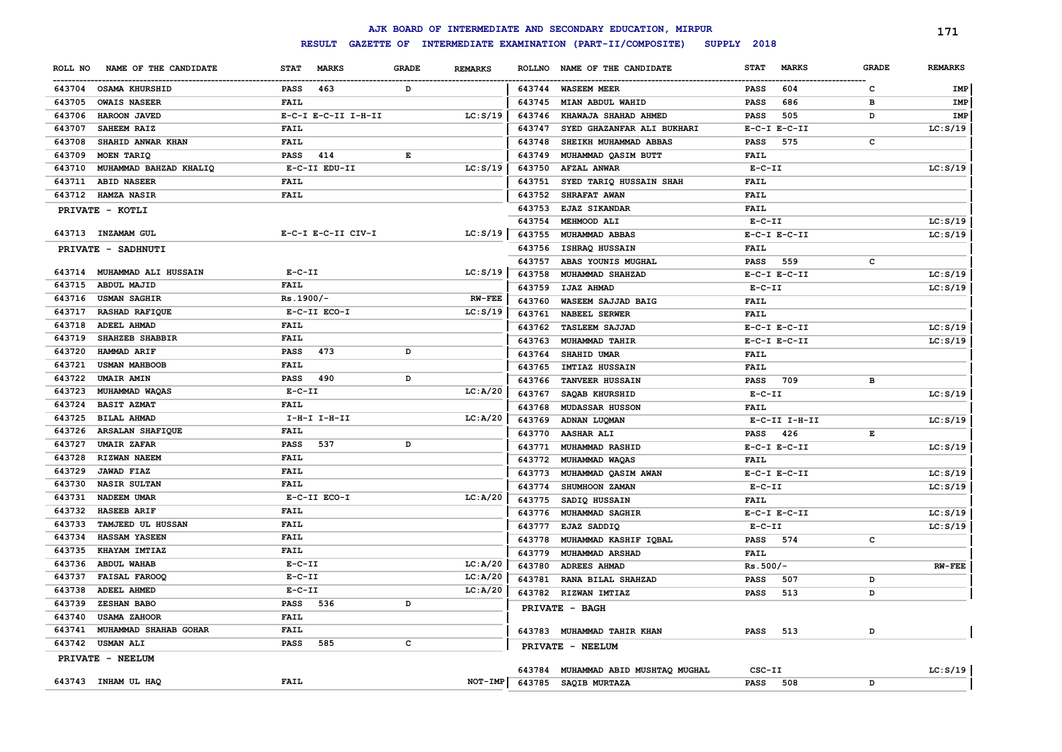|         |                             |                  |                     |                                                                                                |                |               | AJK BOARD OF INTERMEDIATE AND SECONDARY EDUCATION, MIRPUR |             |                  |              | 171            |
|---------|-----------------------------|------------------|---------------------|------------------------------------------------------------------------------------------------|----------------|---------------|-----------------------------------------------------------|-------------|------------------|--------------|----------------|
|         |                             |                  | <b>RESULT</b>       |                                                                                                |                |               | GAZETTE OF INTERMEDIATE EXAMINATION (PART-II/COMPOSITE)   | SUPPLY 2018 |                  |              |                |
| ROLL NO | NAME OF THE CANDIDATE       | <b>STAT</b>      | <b>MARKS</b>        | <b>GRADE</b>                                                                                   | <b>REMARKS</b> | <b>ROLLNO</b> | NAME OF THE CANDIDATE                                     | <b>STAT</b> | <b>MARKS</b>     | <b>GRADE</b> | <b>REMARKS</b> |
| 643704  | <b>OSAMA KHURSHID</b>       | <b>PASS</b>      | 463                 | D                                                                                              |                | 643744        | <b>WASEEM MEER</b>                                        | <b>PASS</b> | 604              | c            | IMP            |
| 643705  | <b>OWAIS NASEER</b>         | <b>FAIL</b>      |                     |                                                                                                |                | 643745        | MIAN ABDUL WAHID                                          | <b>PASS</b> | 686              | в            | IMP            |
| 643706  | <b>HAROON JAVED</b>         |                  | E-C-I E-C-II I-H-II |                                                                                                | LC: S/19       | 643746        | KHAWAJA SHAHAD AHMED                                      | <b>PASS</b> | 505              | D            | IMP            |
| 643707  | SAHEEM RAIZ                 | FAIL             |                     |                                                                                                |                | 643747        | SYED GHAZANFAR ALI BUKHARI                                |             | $E-C-I$ $E-C-II$ |              | LC: S/19       |
| 643708  | SHAHID ANWAR KHAN           | <b>FAIL</b>      |                     |                                                                                                |                | 643748        | SHEIKH MUHAMMAD ABBAS                                     | <b>PASS</b> | 575              | $\mathbf c$  |                |
| 643709  | MOEN TARIQ                  | <b>PASS</b>      | 414                 | $\mathbf{E}% _{t}\left  \mathbf{1}\right\rangle =\mathbf{1}_{t}\left  \mathbf{1}\right\rangle$ |                | 643749        | MUHAMMAD QASIM BUTT                                       | FAIL        |                  |              |                |
| 643710  | MUHAMMAD BAHZAD KHALIQ      |                  | E-C-II EDU-II       |                                                                                                | LC: S/19       | 643750        | <b>AFZAL ANWAR</b>                                        | $E-C-II$    |                  |              | LC: S/19       |
| 643711  | <b>ABID NASEER</b>          | <b>FAIL</b>      |                     |                                                                                                |                | 643751        | SYED TARIQ HUSSAIN SHAH                                   | FAIL        |                  |              |                |
| 643712  | <b>HAMZA NASIR</b>          | FAIL             |                     |                                                                                                |                | 643752        | <b>SHRAFAT AWAN</b>                                       | <b>FAIL</b> |                  |              |                |
|         | PRIVATE - KOTLI             |                  |                     |                                                                                                |                | 643753        | <b>EJAZ SIKANDAR</b>                                      | <b>FAIL</b> |                  |              |                |
|         |                             |                  |                     |                                                                                                |                | 643754        | MEHMOOD ALI                                               | $E-C-II$    |                  |              | LC: S/19       |
|         | 643713 INZAMAM GUL          |                  | E-C-I E-C-II CIV-I  |                                                                                                | LC: S/19       | 643755        | MUHAMMAD ABBAS                                            |             | $E-C-I$ $E-C-II$ |              | LC: S/19       |
|         | PRIVATE - SADHNUTI          |                  |                     |                                                                                                |                | 643756        | ISHRAQ HUSSAIN                                            | <b>FAIL</b> |                  |              |                |
|         |                             |                  |                     |                                                                                                |                | 643757        | ABAS YOUNIS MUGHAL                                        | PASS        | 559              | c            |                |
|         | 643714 MUHAMMAD ALI HUSSAIN | $E-C-II$         |                     |                                                                                                | LC: S/19       | 643758        | MUHAMMAD SHAHZAD                                          |             | $E-C-I$ $E-C-II$ |              | LC: S/19       |
| 643715  | <b>ABDUL MAJID</b>          | <b>FAIL</b>      |                     |                                                                                                |                | 643759        | <b>IJAZ AHMAD</b>                                         | $E-C-II$    |                  |              | LC: S/19       |
| 643716  | <b>USMAN SAGHIR</b>         | $Rs.1900/-$      |                     |                                                                                                | <b>RW-FEE</b>  | 643760        | WASEEM SAJJAD BAIG                                        | <b>FAIL</b> |                  |              |                |
| 643717  | <b>RASHAD RAFIQUE</b>       | E-C-II ECO-I     |                     |                                                                                                | LC: S/19       | 643761        | <b>NABEEL SERWER</b>                                      | <b>FAIL</b> |                  |              |                |
| 643718  | ADEEL AHMAD                 | FAIL             |                     |                                                                                                |                | 643762        | <b>TASLEEM SAJJAD</b>                                     |             | $E-C-I$ $E-C-II$ |              | LC: S/19       |
| 643719  | SHAHZEB SHABBIR             | FAIL             |                     |                                                                                                |                | 643763        | MUHAMMAD TAHIR                                            |             | $E-C-I$ $E-C-II$ |              | LC: S/19       |
| 643720  | HAMMAD ARIF                 | PASS             | 473                 | D                                                                                              |                | 643764        | SHAHID UMAR                                               | <b>FAIL</b> |                  |              |                |
| 643721  | <b>USMAN MAHBOOB</b>        | FAIL             |                     |                                                                                                |                | 643765        | <b>IMTIAZ HUSSAIN</b>                                     | <b>FAIL</b> |                  |              |                |
| 643722  | <b>UMAIR AMIN</b>           | <b>PASS</b>      | 490                 | D                                                                                              |                | 643766        | <b>TANVEER HUSSAIN</b>                                    | <b>PASS</b> | 709              | в            |                |
| 643723  | MUHAMMAD WAQAS              | $E-C-II$         |                     |                                                                                                | LC: A/20       | 643767        | SAQAB KHURSHID                                            | $E-C-II$    |                  |              | LC: S/19       |
| 643724  | <b>BASIT AZMAT</b>          | FAIL             |                     |                                                                                                |                | 643768        | <b>MUDASSAR HUSSON</b>                                    | <b>FAIL</b> |                  |              |                |
| 643725  | <b>BILAL AHMAD</b>          | $I-H-I$ $I-H-II$ |                     |                                                                                                | LC: A/20       | 643769        | ADNAN LUQMAN                                              |             | E-C-II I-H-II    |              | LC: S/19       |
| 643726  | <b>ARSALAN SHAFIQUE</b>     | FAIL             |                     |                                                                                                |                | 643770        | <b>AASHAR ALI</b>                                         | <b>PASS</b> | 426              | $\mathbf E$  |                |
| 643727  | <b>UMAIR ZAFAR</b>          | <b>PASS</b>      | 537                 | D                                                                                              |                | 643771        | MUHAMMAD RASHID                                           |             | $E-C-I$ $E-C-II$ |              | LC: S/19       |
| 643728  | <b>RIZWAN NAEEM</b>         | FAIL             |                     |                                                                                                |                | 643772        | MUHAMMAD WAQAS                                            | <b>FAIL</b> |                  |              |                |
| 643729  | <b>JAWAD FIAZ</b>           | FAIL             |                     |                                                                                                |                | 643773        | MUHAMMAD QASIM AWAN                                       |             | $E-C-I$ $E-C-II$ |              | LC: S/19       |
| 643730  | <b>NASIR SULTAN</b>         | FAIL             |                     |                                                                                                |                | 643774        | SHUMHOON ZAMAN                                            | $E-C-II$    |                  |              | LC: S/19       |
| 643731  | NADEEM UMAR                 | E-C-II ECO-I     |                     |                                                                                                | LC: A/20       | 643775        | SADIQ HUSSAIN                                             | <b>FAIL</b> |                  |              |                |
| 643732  | <b>HASEEB ARIF</b>          | FAIL             |                     |                                                                                                |                | 643776        | MUHAMMAD SAGHIR                                           |             | $E-C-I$ $E-C-II$ |              | LC: S/19       |
| 643733  | TAMJEED UL HUSSAN           | FAIL             |                     |                                                                                                |                | 643777        | EJAZ SADDIQ                                               | $E-C-II$    |                  |              | LC: S/19       |
| 643734  | HASSAM YASEEN               | FAIL             |                     |                                                                                                |                | 643778        | MUHAMMAD KASHIF IQBAL                                     | <b>PASS</b> | 574              | c            |                |
| 643735  | KHAYAM IMTIAZ               | <b>FAIL</b>      |                     |                                                                                                |                | 643779        | MUHAMMAD ARSHAD                                           | FAIL        |                  |              |                |
| 643736  | <b>ABDUL WAHAB</b>          | $E-C-II$         |                     |                                                                                                | LC: A/20       | 643780        | <b>ADREES AHMAD</b>                                       | $Rs.500/-$  |                  |              | $RW-FEE$       |
| 643737  | <b>FAISAL FAROOQ</b>        | $E-C-II$         |                     |                                                                                                | LC: A/20       | 643781        | RANA BILAL SHAHZAD                                        | <b>PASS</b> | 507              | D            |                |
| 643738  | ADEEL AHMED                 | $E-C-II$         |                     |                                                                                                | LC: A/20       |               | 643782 RIZWAN IMTIAZ                                      | <b>PASS</b> | 513              | D            |                |
| 643739  | ZESHAN BABO                 | <b>PASS</b>      | 536                 | D                                                                                              |                |               |                                                           |             |                  |              |                |
| 643740  | <b>USAMA ZAHOOR</b>         | FAIL             |                     |                                                                                                |                |               | <b>PRIVATE - BAGH</b>                                     |             |                  |              |                |
| 643741  | MUHAMMAD SHAHAB GOHAR       | FAIL             |                     |                                                                                                |                |               | 643783 MUHAMMAD TAHIR KHAN                                | <b>PASS</b> | 513              | D            |                |
| 643742  | <b>USMAN ALI</b>            | <b>PASS</b>      | 585                 | c                                                                                              |                |               |                                                           |             |                  |              |                |
|         | PRIVATE - NEELUM            |                  |                     |                                                                                                |                |               | PRIVATE - NEELUM                                          |             |                  |              |                |
|         |                             |                  |                     |                                                                                                |                |               | 643784 MUHAMMAD ABID MUSHTAQ MUGHAL                       | CSC-II      |                  |              | LC: S/19       |
|         | 643743 INHAM UL HAQ         | FAIL             |                     |                                                                                                | NOT-IMP        | 643785        | SAQIB MURTAZA                                             | <b>PASS</b> | 508              | D            |                |
|         |                             |                  |                     |                                                                                                |                |               |                                                           |             |                  |              |                |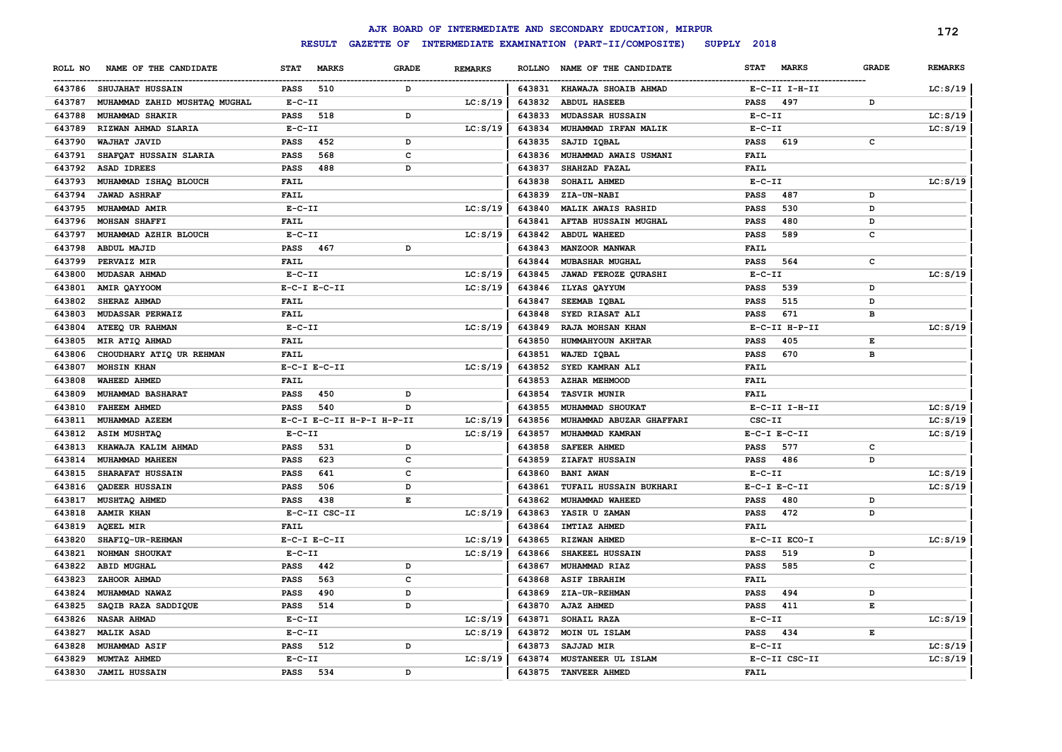|         |                               |                  |                           |                    |                |                  | AJK BOARD OF INTERMEDIATE AND SECONDARY EDUCATION, MIRPUR |                  |               |              | 172            |
|---------|-------------------------------|------------------|---------------------------|--------------------|----------------|------------------|-----------------------------------------------------------|------------------|---------------|--------------|----------------|
|         |                               | SUPPLY 2018      |                           |                    |                |                  |                                                           |                  |               |              |                |
| ROLL NO | NAME OF THE CANDIDATE         | <b>STAT</b>      | <b>MARKS</b>              | <b>GRADE</b>       | <b>REMARKS</b> | <b>ROLLNO</b>    | NAME OF THE CANDIDATE                                     | <b>STAT</b>      | <b>MARKS</b>  | <b>GRADE</b> | <b>REMARKS</b> |
| 643786  | <b>SHUJAHAT HUSSAIN</b>       | PASS             | 510                       | D                  |                | 643831           | <b>KHAWAJA SHOAIB AHMAD</b>                               |                  | E-C-II I-H-II |              | LC: S/19       |
| 643787  | MUHAMMAD ZAHID MUSHTAQ MUGHAL | $E - C - II$     |                           |                    | LC: S/19       | 643832           | <b>ABDUL HASEEB</b>                                       | <b>PASS</b>      | 497           | D            |                |
| 643788  | MUHAMMAD SHAKIR               | <b>PASS</b>      | 518                       | D                  |                | 643833           | MUDASSAR HUSSAIN                                          | $E-C-II$         |               |              | LC: S/19       |
| 643789  | RIZWAN AHMAD SLARIA           | $E-C-II$         |                           |                    | LC: S/19       | 643834           | MUHAMMAD IRFAN MALIK                                      | $E-C-II$         |               |              | LC: S/19       |
| 643790  | WAJHAT JAVID                  | <b>PASS</b>      | 452                       | D                  |                | 643835           | SAJID IQBAL                                               | <b>PASS</b>      | 619           | c            |                |
| 643791  | SHAFQAT HUSSAIN SLARIA        | PASS             | 568                       | $\mathbf{C}$       |                | 643836           | MUHAMMAD AWAIS USMANI                                     | <b>FAIL</b>      |               |              |                |
| 643792  | <b>ASAD IDREES</b>            | <b>PASS</b>      | 488                       | D                  |                | 643837           | SHAHZAD FAZAL                                             | <b>FAIL</b>      |               |              |                |
| 643793  | MUHAMMAD ISHAQ BLOUCH         | <b>FAIL</b>      |                           |                    |                | 643838           | SOHAIL AHMED                                              | $E - C - II$     |               |              | LC: S/19       |
| 643794  | <b>JAWAD ASHRAF</b>           | <b>FAIL</b>      |                           |                    |                | 643839           | ZIA-UN-NABI                                               | <b>PASS</b>      | 487           | D            |                |
| 643795  | MUHAMMAD AMIR                 | $E-C-II$         |                           |                    | LC: S/19       | 643840           | <b>MALIK AWAIS RASHID</b>                                 | <b>PASS</b>      | 530           | D            |                |
| 643796  | <b>MOHSAN SHAFFI</b>          | <b>FAIL</b>      |                           |                    |                | 643841           | AFTAB HUSSAIN MUGHAL                                      | <b>PASS</b>      | 480           | D            |                |
| 643797  | MUHAMMAD AZHIR BLOUCH         | $E-C-II$         |                           |                    | LC: S/19       | 643842           | <b>ABDUL WAHEED</b>                                       | <b>PASS</b>      | 589           | c            |                |
| 643798  | ABDUL MAJID                   | <b>PASS</b>      | 467                       | D                  |                | 643843           | MANZOOR MANWAR                                            | <b>FAIL</b>      |               |              |                |
| 643799  | PERVAIZ MIR                   | <b>FAIL</b>      |                           |                    |                | 643844           | MUBASHAR MUGHAL                                           | <b>PASS</b>      | 564           | c            |                |
| 643800  | <b>MUDASAR AHMAD</b>          | $E- C- II$       |                           |                    | LC: S/19       | 643845           | <b>JAWAD FEROZE QURASHI</b>                               | $E-C-II$         |               |              | LC: S/19       |
| 643801  | AMIR QAYYOOM                  | $E-C-I$ $E-C-II$ |                           |                    | LC: S/19       | 643846           | ILYAS QAYYUM                                              | <b>PASS</b>      | 539           | D            |                |
| 643802  | SHERAZ AHMAD                  | <b>FAIL</b>      |                           |                    |                | 643847           | SEEMAB IQBAL                                              | <b>PASS</b>      | 515           | D            |                |
| 643803  | MUDASSAR PERWAIZ              | <b>FAIL</b>      |                           |                    |                | 643848           | SYED RIASAT ALI                                           | <b>PASS</b>      | 671           | в            |                |
| 643804  | ATEEQ UR RAHMAN               | $E-C-II$         |                           |                    | LC: S/19       | 643849           | RAJA MOHSAN KHAN                                          |                  | E-C-II H-P-II |              | LC: S/19       |
| 643805  | MIR ATIQ AHMAD                | <b>FAIL</b>      |                           |                    |                | 643850           | HUMMAHYOUN AKHTAR                                         | <b>PASS</b>      | 405           | E            |                |
| 643806  | CHOUDHARY ATIQ UR REHMAN      | <b>FAIL</b>      |                           |                    |                | 643851           | WAJED IQBAL                                               | <b>PASS</b>      | 670           | в            |                |
| 643807  | MOHSIN KHAN                   | $E-C-I$ $E-C-II$ |                           |                    | LC: S/19       | 643852           | SYED KAMRAN ALI                                           | <b>FAIL</b>      |               |              |                |
| 643808  | <b>WAHEED AHMED</b>           | FAIL             |                           |                    |                | 643853           | <b>AZHAR MEHMOOD</b>                                      | FAIL             |               |              |                |
| 643809  | MUHAMMAD BASHARAT             | <b>PASS</b>      | 450                       | D                  |                | 643854           | <b>TASVIR MUNIR</b>                                       | <b>FAIL</b>      |               |              |                |
| 643810  | <b>FAHEEM AHMED</b>           | <b>PASS</b>      | 540                       | D                  |                | 643855           | MUHAMMAD SHOUKAT                                          |                  | E-C-II I-H-II |              | LC: S/19       |
| 643811  | MUHAMMAD AZEEM                |                  | E-C-I E-C-II H-P-I H-P-II |                    | LC: S/19       | 643856           | MUHAMMAD ABUZAR GHAFFARI                                  | $CSC-TI$         |               |              | LC: S/19       |
| 643812  | <b>ASIM MUSHTAQ</b>           | $E-C-II$         |                           |                    | LC: S/19       | 643857           | MUHAMMAD KAMRAN                                           | $E-C-I$ $E-C-II$ |               |              | LC: S/19       |
| 643813  | KHAWAJA KALIM AHMAD           | <b>PASS</b>      | 531                       | D                  |                | 643858           | <b>SAFEER AHMED</b>                                       | <b>PASS</b>      | 577           | c            |                |
| 643814  | MUHAMMAD MAHEEN               | <b>PASS</b>      | 623                       | C                  |                | 643859           | ZIAFAT HUSSAIN                                            | <b>PASS</b>      | 486           | D            |                |
| 643815  | SHARAFAT HUSSAIN              | PASS             | 641                       | C                  |                | 643860           | <b>BANI AWAN</b>                                          | $E - C - II$     |               |              | LC: S/19       |
| 643816  | QADEER HUSSAIN                | <b>PASS</b>      | 506                       | D                  |                | 643861           | TUFAIL HUSSAIN BUKHARI                                    | $E-C-I$ $E-C-II$ |               |              | LC: S/19       |
| 643817  | MUSHTAQ AHMED                 | <b>PASS</b>      | 438                       | $\mathbf{E}% _{t}$ |                | 643862           | MUHAMMAD WAHEED                                           | <b>PASS</b>      | 480           | D            |                |
| 643818  | <b>AAMIR KHAN</b>             |                  | E-C-II CSC-II             |                    | LC: S/19       | 643863           | YASIR U ZAMAN                                             | <b>PASS</b>      | 472           | D            |                |
| 643819  | <b>AQEEL MIR</b>              | <b>FAIL</b>      |                           |                    |                | 643864           | IMTIAZ AHMED                                              | <b>FAIL</b>      |               |              |                |
| 643820  | SHAFIQ-UR-REHMAN              | $E-C-I$ $E-C-II$ |                           |                    | LC: S/19       | 643865           | RIZWAN AHMED                                              |                  | E-C-II ECO-I  |              | LC: S/19       |
| 643821  | NOHMAN SHOUKAT                | $E-C-II$         |                           |                    | LC: S/19       | 643866           | SHAKEEL HUSSAIN                                           | <b>PASS</b>      | 519           | D            |                |
| 643822  | <b>ABID MUGHAL</b>            | <b>PASS</b>      | 442                       | D                  |                | 643867           | MUHAMMAD RIAZ                                             | <b>PASS</b>      | 585           | c            |                |
| 643823  | ZAHOOR AHMAD                  | <b>PASS</b>      | 563                       | C                  |                | 643868           | <b>ASIF IBRAHIM</b>                                       | <b>FAIL</b>      |               |              |                |
| 643824  | MUHAMMAD NAWAZ                | <b>PASS</b>      | 490                       | D                  |                | 643869           | <b>ZIA-UR-REHMAN</b>                                      | <b>PASS</b>      | 494           | D            |                |
| 643825  | SAQIB RAZA SADDIQUE           | <b>PASS</b>      | 514                       | D                  |                | 643870           | AJAZ AHMED                                                | <b>PASS</b>      | 411           | E            |                |
| 643826  | NASAR AHMAD                   | $E-C-II$         |                           |                    | LC: S/19       | 643871           | SOHAIL RAZA                                               | $E-C-II$         |               |              | LC: S/19       |
| 643827  | <b>MALIK ASAD</b>             | $E-C-II$         |                           |                    | LC: S/19       | 643872           | MOIN UL ISLAM                                             | <b>PASS</b>      | 434           | E            |                |
| 643828  | <b>MUHAMMAD ASIF</b>          | PASS             | 512                       | D                  |                | 643873           | <b>SAJJAD MIR</b>                                         | $E-C-II$         |               |              | LC: S/19       |
| 643829  | MUMTAZ AHMED                  | $E-C-II$         |                           | D                  | LC: S/19       | 643874<br>643875 | MUSTANEER UL ISLAM                                        | FAIL             | E-C-II CSC-II |              | LC: S/19       |
|         | 643830 JAMIL HUSSAIN          | <b>PASS</b>      | 534                       |                    |                |                  | TANVEER AHMED                                             |                  |               |              |                |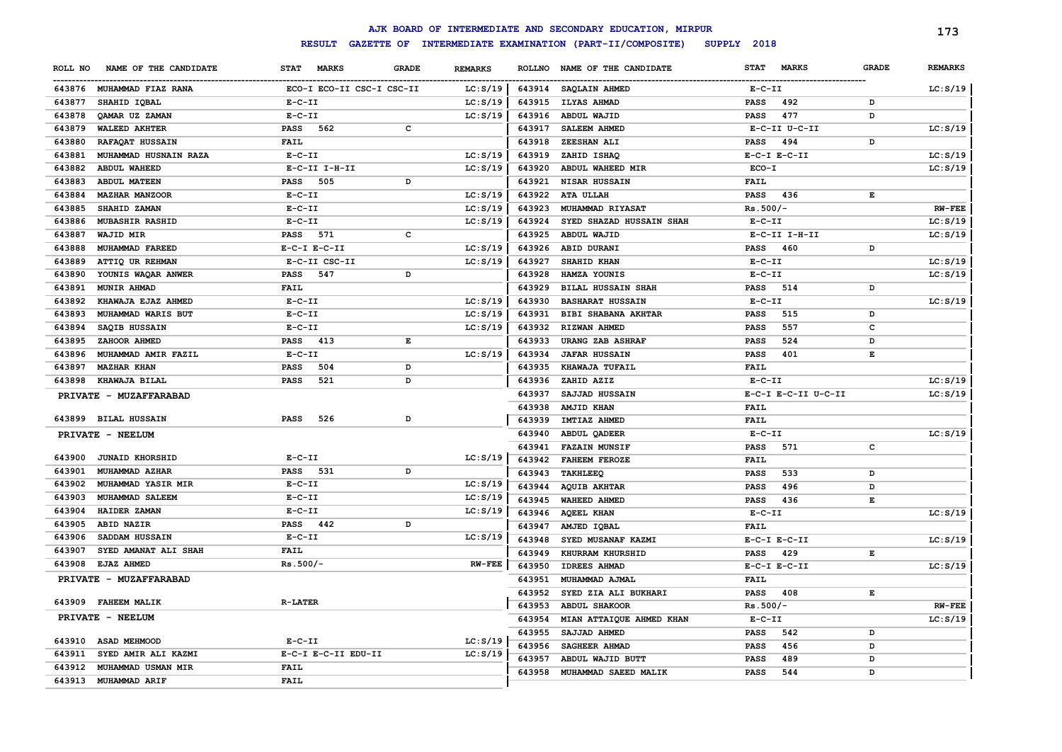|         |                           |                                    |              |                |        | AJK BOARD OF INTERMEDIATE AND SECONDARY EDUCATION, MIRPUR |                             |              | 173            |
|---------|---------------------------|------------------------------------|--------------|----------------|--------|-----------------------------------------------------------|-----------------------------|--------------|----------------|
|         |                           | <b>RESULT</b><br><b>GAZETTE OF</b> |              |                |        | INTERMEDIATE EXAMINATION (PART-II/COMPOSITE)              | SUPPLY 2018                 |              |                |
| ROLL NO | NAME OF THE CANDIDATE     | <b>MARKS</b><br><b>STAT</b>        | <b>GRADE</b> | <b>REMARKS</b> |        | ROLLNO NAME OF THE CANDIDATE                              | <b>MARKS</b><br><b>STAT</b> | <b>GRADE</b> | <b>REMARKS</b> |
|         | 643876 MUHAMMAD FIAZ RANA | ECO-I ECO-II CSC-I CSC-II          |              | LC: S/19       |        | 643914 SAQLAIN AHMED                                      | $E-C-II$                    |              | LC: S/19       |
| 643877  | SHAHID IQBAL              | $E - C - II$                       |              | LC: S/19       | 643915 | <b>ILYAS AHMAD</b>                                        | 492<br>PASS                 | D            |                |
| 643878  | QAMAR UZ ZAMAN            | $E- C- II$                         |              | LC: S/19       | 643916 | <b>ABDUL WAJID</b>                                        | 477<br>PASS                 | D            |                |
| 643879  | <b>WALEED AKHTER</b>      | PASS<br>562                        | c            |                | 643917 | <b>SALEEM AHMED</b>                                       | E-C-II U-C-II               |              | LC: S/19       |
| 643880  | RAFAQAT HUSSAIN           | <b>FAIL</b>                        |              |                | 643918 | ZEESHAN ALI                                               | 494<br><b>PASS</b>          | D            |                |
| 643881  | MUHAMMAD HUSNAIN RAZA     | $E-C-II$                           |              | LC: S/19       | 643919 | ZAHID ISHAQ                                               | $E-C-I$ $E-C-II$            |              | LC: S/19       |
| 643882  | <b>ABDUL WAHEED</b>       | E-C-II I-H-II                      |              | LC: S/19       | 643920 | ABDUL WAHEED MIR                                          | ECO-I                       |              | LC: S/19       |
| 643883  | <b>ABDUL MATEEN</b>       | 505<br><b>PASS</b>                 | D            |                | 643921 | NISAR HUSSAIN                                             | FAIL                        |              |                |
| 643884  | <b>MAZHAR MANZOOR</b>     | $E-C-II$                           |              | LC: S/19       | 643922 | ATA ULLAH                                                 | 436<br>PASS                 | Е            |                |
| 643885  | SHAHID ZAMAN              | $E- C- II$                         |              | LC: S/19       | 643923 | MUHAMMAD RIYASAT                                          | $Rs.500/-$                  |              | <b>RW-FEE</b>  |
| 643886  | <b>MUBASHIR RASHID</b>    | $E-C-II$                           |              | LC: S/19       | 643924 | SYED SHAZAD HUSSAIN SHAH                                  | $E-C-II$                    |              | LC: S/19       |
| 643887  | <b>WAJID MIR</b>          | <b>PASS</b><br>571                 | C            |                | 643925 | ABDUL WAJID                                               | E-C-II I-H-II               |              | LC: S/19       |
| 643888  | MUHAMMAD FAREED           | $E-C-I$ $E-C-II$                   |              | LC: S/19       | 643926 | ABID DURANI                                               | <b>PASS</b><br>460          | D            |                |
| 643889  | ATTIQ UR REHMAN           | E-C-II CSC-II                      |              | LC: S/19       | 643927 | SHAHID KHAN                                               | $E-C-II$                    |              | LC: S/19       |
| 643890  | YOUNIS WAQAR ANWER        | 547<br>PASS                        | D            |                | 643928 | HAMZA YOUNIS                                              | $E-C-II$                    |              | LC: S/19       |
| 643891  | MUNIR AHMAD               | <b>FAIL</b>                        |              |                | 643929 | <b>BILAL HUSSAIN SHAH</b>                                 | 514<br><b>PASS</b>          | D            |                |
| 643892  | KHAWAJA EJAZ AHMED        | $E-C-II$                           |              | LC: S/19       | 643930 | <b>BASHARAT HUSSAIN</b>                                   | $E- C- II$                  |              | LC: S/19       |
| 643893  | MUHAMMAD WARIS BUT        | $E- C- II$                         |              | LC: S/19       | 643931 | <b>BIBI SHABANA AKHTAR</b>                                | 515<br><b>PASS</b>          | D            |                |
| 643894  | SAQIB HUSSAIN             | $E-C-II$                           |              | LC: S/19       | 643932 | RIZWAN AHMED                                              | 557<br><b>PASS</b>          | c            |                |
| 643895  | ZAHOOR AHMED              | <b>PASS</b><br>413                 | Е            |                | 643933 | URANG ZAB ASHRAF                                          | 524<br><b>PASS</b>          | D            |                |
| 643896  | MUHAMMAD AMIR FAZIL       | $E - C - II$                       |              | LC: S/19       | 643934 | <b>JAFAR HUSSAIN</b>                                      | 401<br><b>PASS</b>          | Е            |                |
| 643897  | <b>MAZHAR KHAN</b>        | PASS<br>504                        | D            |                | 643935 | KHAWAJA TUFAIL                                            | FAIL                        |              |                |
| 643898  | KHAWAJA BILAL             | 521<br><b>PASS</b>                 | D            |                | 643936 | ZAHID AZIZ                                                | $E- C- II$                  |              | LC: S/19       |
|         | PRIVATE - MUZAFFARABAD    |                                    |              |                | 643937 | SAJJAD HUSSAIN                                            | E-C-I E-C-II U-C-II         |              | LC: S/19       |
|         |                           |                                    |              |                | 643938 | AMJID KHAN                                                | FAIL                        |              |                |
|         | 643899 BILAL HUSSAIN      | 526<br><b>PASS</b>                 | D            |                | 643939 | IMTIAZ AHMED                                              | <b>FAIL</b>                 |              |                |
|         | PRIVATE - NEELUM          |                                    |              |                | 643940 | ABDUL QADEER                                              | $E - C - II$                |              | LC: S/19       |
|         |                           |                                    |              |                | 643941 | <b>FAZAIN MUNSIF</b>                                      | 571<br><b>PASS</b>          | $\mathbf c$  |                |
|         | 643900 JUNAID KHORSHID    | $E-C-II$                           |              | LC: S/19       | 643942 | <b>FAHEEM FEROZE</b>                                      | FAIL                        |              |                |
| 643901  | MUHAMMAD AZHAR            | <b>PASS</b><br>531                 | D            |                | 643943 | <b>TAKHLEEQ</b>                                           | 533<br><b>PASS</b>          | D            |                |
| 643902  | <b>MUHAMMAD YASIR MIR</b> | $E-C-II$                           |              | LC: S/19       | 643944 | <b>AQUIB AKHTAR</b>                                       | 496<br><b>PASS</b>          | D            |                |
| 643903  | MUHAMMAD SALEEM           | $E-C-II$                           |              | LC: S/19       | 643945 | <b>WAHEED AHMED</b>                                       | 436<br><b>PASS</b>          | Е            |                |
| 643904  | HAIDER ZAMAN              | $E-C-II$                           |              | LC: S/19       | 643946 | <b>AQEEL KHAN</b>                                         | $E - C - II$                |              | LC: S/19       |
| 643905  | ABID NAZIR                | PASS 442                           | D            |                | 643947 | AMJED IQBAL                                               | FAIL                        |              |                |
| 643906  | SADDAM HUSSAIN            | $E-C-II$                           |              | LC: S/19       | 643948 | SYED MUSANAF KAZMI                                        | $E-C-I$ $E-C-II$            |              | LC: S/19       |
| 643907  | SYED AMANAT ALI SHAH      | <b>FAIL</b>                        |              |                | 643949 | KHURRAM KHURSHID                                          | <b>PASS</b><br>429          | Е            |                |
| 643908  | <b>EJAZ AHMED</b>         | $Rs.500/-$                         |              | $RW-FEE$       | 643950 | <b>IDREES AHMAD</b>                                       | $E-C-I$ $E-C-II$            |              | LC: S/19       |
|         | PRIVATE - MUZAFFARABAD    |                                    |              |                | 643951 | MUHAMMAD AJMAL                                            | FAIL                        |              |                |
|         |                           |                                    |              |                | 643952 | SYED ZIA ALI BUKHARI                                      | <b>PASS</b><br>408          | Е            |                |
|         | 643909 FAHEEM MALIK       | <b>R-LATER</b>                     |              |                | 643953 | <b>ABDUL SHAKOOR</b>                                      | $Rs.500/-$                  |              | <b>RW-FEE</b>  |
|         | PRIVATE - NEELUM          |                                    |              |                | 643954 | MIAN ATTAIQUE AHMED KHAN                                  | $E-C-II$                    |              | LC: S/19       |
|         |                           |                                    |              |                | 643955 | SAJJAD AHMED                                              | 542<br><b>PASS</b>          | D            |                |
| 643910  | <b>ASAD MEHMOOD</b>       | $E - C - II$                       |              | LC: S/19       | 643956 | SAGHEER AHMAD                                             | 456<br><b>PASS</b>          | D            |                |
| 643911  | SYED AMIR ALI KAZMI       | E-C-I E-C-II EDU-II                |              | LC: S/19       | 643957 | ABDUL WAJID BUTT                                          | 489<br><b>PASS</b>          | D            |                |
| 643912  | MUHAMMAD USMAN MIR        | <b>FAIL</b>                        |              |                | 643958 | MUHAMMAD SAEED MALIK                                      | 544<br><b>PASS</b>          | D            |                |
| 643913  | MUHAMMAD ARIF             | <b>FAIL</b>                        |              |                |        |                                                           |                             |              |                |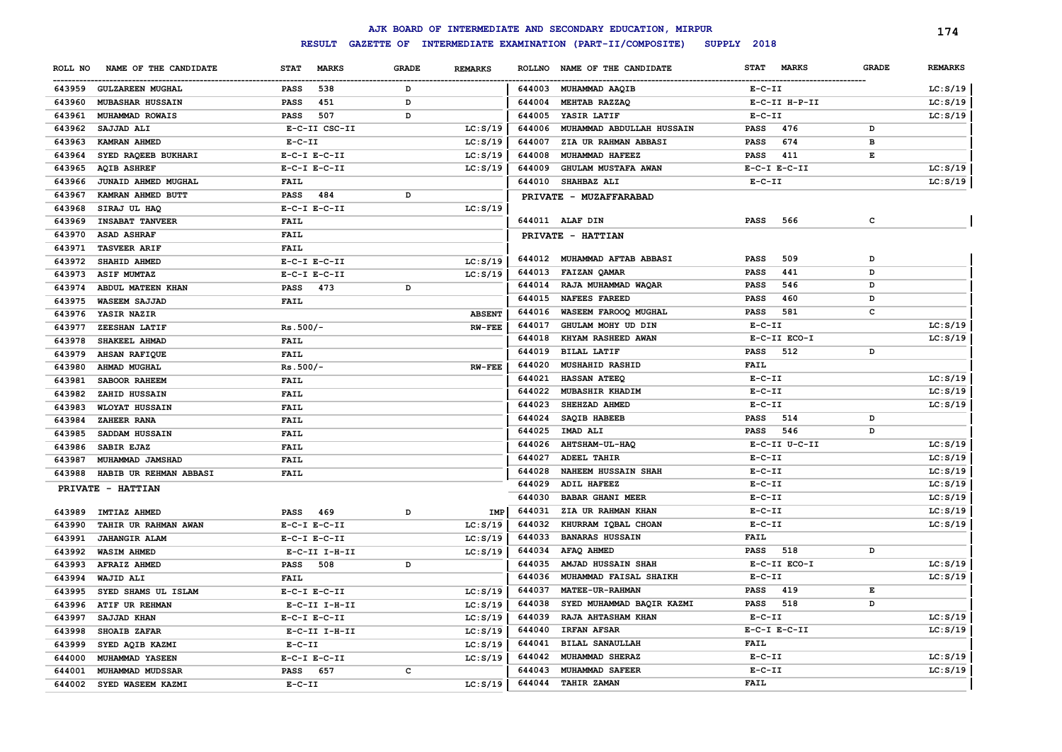|         |                               |                             |              |                |                                                                        | AJK BOARD OF INTERMEDIATE AND SECONDARY EDUCATION, MIRPUR |                 |                  |              | 174            |
|---------|-------------------------------|-----------------------------|--------------|----------------|------------------------------------------------------------------------|-----------------------------------------------------------|-----------------|------------------|--------------|----------------|
|         |                               | <b>RESULT</b>               |              |                | GAZETTE OF INTERMEDIATE EXAMINATION (PART-II/COMPOSITE)<br>SUPPLY 2018 |                                                           |                 |                  |              |                |
| ROLL NO | NAME OF THE CANDIDATE         | <b>STAT</b><br><b>MARKS</b> | <b>GRADE</b> | <b>REMARKS</b> |                                                                        | ROLLNO NAME OF THE CANDIDATE                              | <b>STAT</b>     | <b>MARKS</b>     | <b>GRADE</b> | <b>REMARKS</b> |
| 643959  | <b>GULZAREEN MUGHAL</b>       | 538<br><b>PASS</b>          | D            |                |                                                                        | 644003 MUHAMMAD AAQIB                                     | $E- C- II$      |                  |              | LC: S/19       |
| 643960  | <b>MUBASHAR HUSSAIN</b>       | 451<br><b>PASS</b>          | D            |                |                                                                        | 644004 MEHTAB RAZZAQ                                      |                 | E-C-II H-P-II    |              | LC: S/19       |
| 643961  | MUHAMMAD ROWAIS               | 507<br>PASS                 | D            |                | 644005                                                                 | YASIR LATIF                                               | $E- C- II$      |                  |              | LC: S/19       |
| 643962  | SAJJAD ALI                    | E-C-II CSC-II               |              | LC: S/19       | 644006                                                                 | MUHAMMAD ABDULLAH HUSSAIN                                 | <b>PASS</b>     | 476              | D            |                |
| 643963  | <b>KAMRAN AHMED</b>           | $E-C-II$                    |              | LC: S/19       | 644007                                                                 | <b>ZIA UR RAHMAN ABBASI</b>                               | <b>PASS</b>     | 674              | в            |                |
| 643964  | SYED RAQEEB BUKHARI           | $E-C-I$ $E-C-II$            |              | LC: S/19       | 644008                                                                 | MUHAMMAD HAFEEZ                                           | <b>PASS</b>     | 411              | Е            |                |
| 643965  | <b>AQIB ASHREF</b>            | $E-C-I$ $E-C-II$            |              | LC: S/19       | 644009                                                                 | <b>GHULAM MUSTAFA AWAN</b>                                |                 | $E-C-I$ $E-C-II$ |              | LC: S/19       |
| 643966  | JUNAID AHMED MUGHAL           | <b>FAIL</b>                 |              |                |                                                                        | 644010 SHAHBAZ ALI                                        | $E-C-II$        |                  |              | LC: S/19       |
| 643967  | KAMRAN AHMED BUTT             | PASS<br>484                 | D            |                |                                                                        | PRIVATE - MUZAFFARABAD                                    |                 |                  |              |                |
| 643968  | SIRAJ UL HAQ                  | $E-C-I$ $E-C-II$            |              | LC: S/19       |                                                                        |                                                           |                 |                  |              |                |
| 643969  | <b>INSABAT TANVEER</b>        | <b>FAIL</b>                 |              |                |                                                                        | 644011 ALAF DIN                                           | PASS            | 566              | с            |                |
| 643970  | <b>ASAD ASHRAF</b>            | <b>FAIL</b>                 |              |                |                                                                        | PRIVATE - HATTIAN                                         |                 |                  |              |                |
| 643971  | <b>TASVEER ARIF</b>           | <b>FAIL</b>                 |              |                |                                                                        |                                                           |                 |                  |              |                |
| 643972  | SHAHID AHMED                  | $E-C-I$ $E-C-II$            |              | LC: S/19       | 644012                                                                 | MUHAMMAD AFTAB ABBASI                                     | PASS            | 509              | D            |                |
| 643973  | <b>ASIF MUMTAZ</b>            | $E-C-I$ $E-C-II$            |              | LC: S/19       | 644013                                                                 | <b>FAIZAN QAMAR</b>                                       | <b>PASS</b>     | 441              | D            |                |
| 643974  | ABDUL MATEEN KHAN             | PASS<br>473                 | D            |                | 644014                                                                 | RAJA MUHAMMAD WAQAR                                       | PASS            | 546              | D            |                |
| 643975  | <b>WASEEM SAJJAD</b>          | FAIL                        |              |                | 644015                                                                 | <b>NAFEES FAREED</b>                                      | <b>PASS</b>     | 460              | D            |                |
|         | 643976 YASIR NAZIR            |                             |              | <b>ABSENT</b>  | 644016                                                                 | WASEEM FAROOQ MUGHAL                                      | PASS            | 581              | c            |                |
| 643977  | ZEESHAN LATIF                 | $Rs.500/-$                  |              | <b>RW-FEE</b>  | 644017                                                                 | GHULAM MOHY UD DIN                                        | $E-C-II$        |                  |              | LC: S/19       |
| 643978  | SHAKEEL AHMAD                 | <b>FAIL</b>                 |              |                | 644018                                                                 | <b>KHYAM RASHEED AWAN</b>                                 |                 | E-C-II ECO-I     |              | LC: S/19       |
| 643979  | <b>AHSAN RAFIQUE</b>          | <b>FAIL</b>                 |              |                | 644019                                                                 | <b>BILAL LATIF</b>                                        | PASS            | 512              | D            |                |
| 643980  | <b>AHMAD MUGHAL</b>           | $Rs.500/-$                  |              | <b>RW-FEE</b>  | 644020                                                                 | <b>MUSHAHID RASHID</b>                                    | FAIL            |                  |              |                |
| 643981  | SABOOR RAHEEM                 | FAIL                        |              |                | 644021                                                                 | <b>HASSAN ATEEQ</b>                                       | $E - C - II$    |                  |              | LC: S/19       |
| 643982  | ZAHID HUSSAIN                 | <b>FAIL</b>                 |              |                | 644022                                                                 | <b>MUBASHIR KHADIM</b>                                    | $E- C- II$      |                  |              | LC: S/19       |
| 643983  | <b>WLOYAT HUSSAIN</b>         | <b>FAIL</b>                 |              |                | 644023                                                                 | SHEHZAD AHMED                                             | $E - C - II$    |                  |              | LC: S/19       |
| 643984  | ZAHEER RANA                   | <b>FAIL</b>                 |              |                | 644024                                                                 | <b>SAQIB HABEEB</b>                                       | PASS            | 514              | D            |                |
| 643985  | SADDAM HUSSAIN                | <b>FAIL</b>                 |              |                | 644025                                                                 | IMAD ALI                                                  | PASS            | 546              | D            |                |
| 643986  | SABIR EJAZ                    | <b>FAIL</b>                 |              |                | 644026                                                                 | AHTSHAM-UL-HAQ                                            |                 | E-C-II U-C-II    |              | LC: S/19       |
| 643987  | <b>MUHAMMAD JAMSHAD</b>       | <b>FAIL</b>                 |              |                | 644027                                                                 | <b>ADEEL TAHIR</b>                                        | $E - C - II$    |                  |              | LC: S/19       |
|         | 643988 HABIB UR REHMAN ABBASI | FAIL                        |              |                | 644028                                                                 | <b>NAHEEM HUSSAIN SHAH</b>                                | $E - C - II$    |                  |              | LC: S/19       |
|         | PRIVATE - HATTIAN             |                             |              |                | 644029                                                                 | ADIL HAFEEZ                                               | $E - C - II$    |                  |              | LC: S/19       |
|         |                               |                             |              |                | 644030                                                                 | <b>BABAR GHANI MEER</b>                                   | $E-C-II$        |                  |              | LC: S/19       |
| 643989  | <b>IMTIAZ AHMED</b>           | PASS<br>469                 | D            | IMP            | 644031                                                                 | ZIA UR RAHMAN KHAN                                        | $E- C- II$      |                  |              | LC: S/19       |
| 643990  | TAHIR UR RAHMAN AWAN          | $E-C-I$ $E-C-II$            |              | LC: S/19       | 644032                                                                 | KHURRAM IQBAL CHOAN                                       | $E-C-II$        |                  |              | LC: S/19       |
| 643991  | <b>JAHANGIR ALAM</b>          | $E-C-I$ $E-C-II$            |              | LC: S/19       | 644033                                                                 | <b>BANARAS HUSSAIN</b>                                    | <b>FAIL</b>     |                  |              |                |
| 643992  | <b>WASIM AHMED</b>            | E-C-II I-H-II               |              | LC: S/19       | 644034                                                                 | AFAQ AHMED                                                | <b>PASS</b>     | 518              | D            |                |
| 643993  | <b>AFRAIZ AHMED</b>           | 508<br>PASS                 | D            |                | 644035                                                                 | AMJAD HUSSAIN SHAH                                        |                 | E-C-II ECO-I     |              | LC: S/19       |
| 643994  | WAJID ALI                     | <b>FAIL</b>                 |              |                | 644036                                                                 | MUHAMMAD FAISAL SHAIKH                                    | $E - C - II$    |                  |              | LC: S/19       |
|         | 643995 SYED SHAMS UL ISLAM    | $E-C-I$ $E-C-II$            |              | LC: S/19       | 644037                                                                 | MATEE-UR-RAHMAN                                           | PASS            | 419              | E            |                |
|         | 643996 ATIF UR REHMAN         | $E-C-II$ I-H-II             |              | LC: S/19       |                                                                        | 644038 SYED MUHAMMAD BAQIR KAZMI                          | <b>PASS</b> 518 |                  | D            |                |
|         | 643997 SAJJAD KHAN            | $E- C-I$ $E-C-II$           |              | LC: S/19       | 644039                                                                 | <b>RAJA AHTASHAM KHAN</b>                                 | $E-C-II$        |                  |              | LC: S/19       |
|         | 643998 SHOAIB ZAFAR           | E-C-II I-H-II               |              | LC: S/19       | 644040                                                                 | <b>IRFAN AFSAR</b>                                        |                 | $E-C-I$ $E-C-II$ |              | LC: S/19       |
|         | 643999 SYED AQIB KAZMI        | $E-C-II$                    |              | LC: S/19       | 644041                                                                 | <b>BILAL SANAULLAH</b>                                    | <b>FAIL</b>     |                  |              |                |
|         | 644000 MUHAMMAD YASEEN        | $E-C-I$ $E-C-II$            |              | LC: S/19       | 644042                                                                 | <b>MUHAMMAD SHERAZ</b>                                    | $E- C- II$      |                  |              | LC: S/19       |
| 644001  | <b>MUHAMMAD MUDSSAR</b>       | PASS 657                    | c            |                | 644043                                                                 | <b>MUHAMMAD SAFEER</b>                                    | $E- C- II$      |                  |              | LC: S/19       |
|         | 644002 SYED WASEEM KAZMI      | $E-C-II$                    |              | LC: S/19       |                                                                        | 644044 TAHIR ZAMAN                                        | FAIL            |                  |              |                |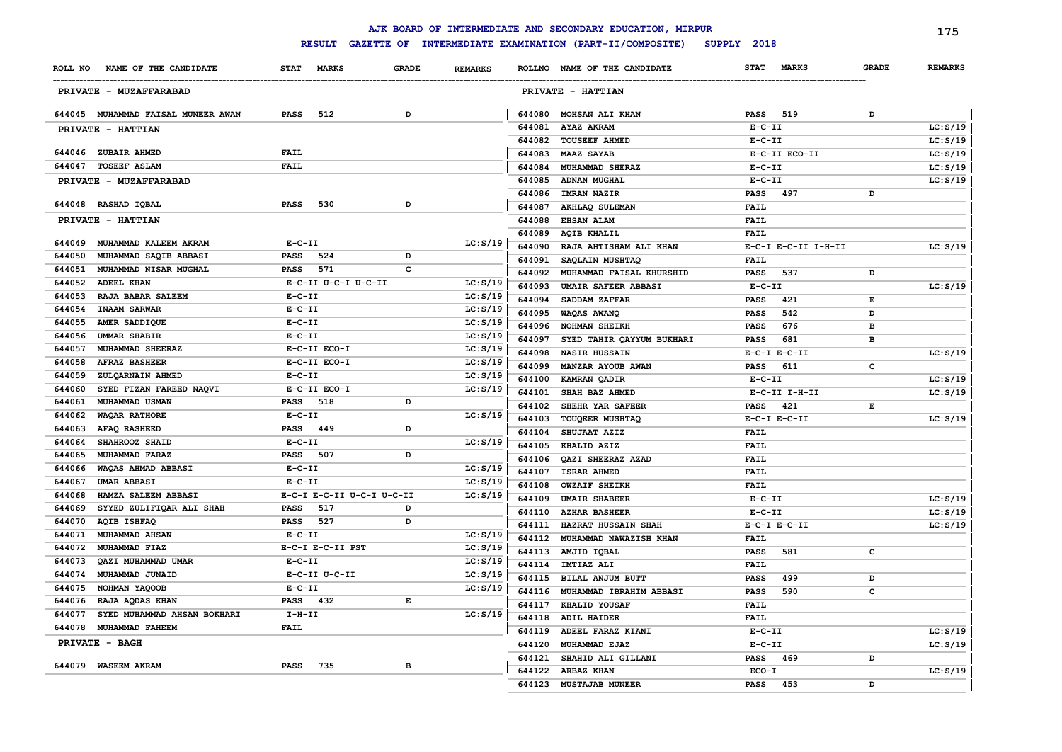|                                                          |                                   |              |                      |        | AJK BOARD OF INTERMEDIATE AND SECONDARY EDUCATION, MIRPUR |                             |              | 175            |
|----------------------------------------------------------|-----------------------------------|--------------|----------------------|--------|-----------------------------------------------------------|-----------------------------|--------------|----------------|
|                                                          | <b>RESULT</b>                     |              |                      |        | GAZETTE OF INTERMEDIATE EXAMINATION (PART-II/COMPOSITE)   | SUPPLY 2018                 |              |                |
| NAME OF THE CANDIDATE<br>ROLL NO                         | <b>STAT</b><br><b>MARKS</b>       | <b>GRADE</b> | <b>REMARKS</b>       |        | ROLLNO NAME OF THE CANDIDATE                              | <b>MARKS</b><br><b>STAT</b> | <b>GRADE</b> | <b>REMARKS</b> |
| PRIVATE - MUZAFFARABAD                                   |                                   |              |                      |        | PRIVATE - HATTIAN                                         |                             |              |                |
| 644045 MUHAMMAD FAISAL MUNEER AWAN                       | <b>PASS</b><br>512                | D            |                      | 644080 | MOHSAN ALI KHAN                                           | 519<br><b>PASS</b>          | D            |                |
| PRIVATE - HATTIAN                                        |                                   |              |                      | 644081 | <b>AYAZ AKRAM</b>                                         | $E - C - II$                |              | LC: S/19       |
|                                                          |                                   |              |                      | 644082 | <b>TOUSEEF AHMED</b>                                      | $E-C-II$                    |              | LC: S/19       |
| 644046 ZUBAIR AHMED                                      | <b>FAIL</b>                       |              |                      | 644083 | <b>MAAZ SAYAB</b>                                         | E-C-II ECO-II               |              | LC: S/19       |
| 644047 TOSEEF ASLAM                                      | <b>FAIL</b>                       |              |                      | 644084 | MUHAMMAD SHERAZ                                           | $E - C - II$                |              | LC: S/19       |
| PRIVATE - MUZAFFARABAD                                   |                                   |              |                      | 644085 | <b>ADNAN MUGHAL</b>                                       | $E- C- II$                  |              | LC: S/19       |
|                                                          |                                   |              |                      | 644086 | <b>IMRAN NAZIR</b>                                        | PASS<br>497                 | D            |                |
| 644048 RASHAD IQBAL                                      | PASS<br>530                       | D            |                      | 644087 | AKHLAQ SULEMAN                                            | <b>FAIL</b>                 |              |                |
| PRIVATE - HATTIAN                                        |                                   |              |                      | 644088 | <b>EHSAN ALAM</b>                                         | <b>FAIL</b>                 |              |                |
|                                                          |                                   |              |                      | 644089 | <b>AQIB KHALIL</b>                                        | FAIL                        |              |                |
| 644049<br>MUHAMMAD KALEEM AKRAM                          | $E-C-II$                          |              | LC: S/19             | 644090 | RAJA AHTISHAM ALI KHAN                                    | E-C-I E-C-II I-H-II         |              | LC: S/19       |
| 644050<br>MUHAMMAD SAQIB ABBASI                          | PASS<br>524                       | D            |                      | 644091 | SAQLAIN MUSHTAQ                                           | <b>FAIL</b>                 |              |                |
| 644051<br>MUHAMMAD NISAR MUGHAL                          | PASS<br>571                       | c            |                      | 644092 | MUHAMMAD FAISAL KHURSHID                                  | 537<br>PASS                 | D            |                |
| ADEEL KHAN<br>644052                                     | E-C-II U-C-I U-C-II               |              | LC: S/19             | 644093 | UMAIR SAFEER ABBASI                                       | $E- C- II$                  |              | LC: S/19       |
| RAJA BABAR SALEEM<br>644053                              | $E - C - II$                      |              | LC: S/19             | 644094 | SADDAM ZAFFAR                                             | PASS<br>421                 | Е            |                |
| 644054<br><b>INAAM SARWAR</b>                            | $E-C-II$                          |              | LC: S/19             | 644095 | WAQAS AWANQ                                               | 542<br><b>PASS</b>          | D            |                |
| 644055<br>AMER SADDIQUE                                  | $E - C - II$                      |              | LC: S/19             | 644096 | <b>NOHMAN SHEIKH</b>                                      | <b>PASS</b><br>676          | в            |                |
| <b>UMMAR SHABIR</b><br>644056                            | $E-C-II$                          |              | LC: S/19             | 644097 | SYED TAHIR QAYYUM BUKHARI                                 | 681<br>PASS                 | в            |                |
| MUHAMMAD SHEERAZ<br>644057                               | E-C-II ECO-I                      |              | LC: S/19             | 644098 | <b>NASIR HUSSAIN</b>                                      | $E-C-I$ $E-C-II$            |              | LC: S/19       |
| 644058<br><b>AFRAZ BASHEER</b>                           | E-C-II ECO-I                      |              | LC: S/19             | 644099 | MANZAR AYOUB AWAN                                         | 611<br>PASS                 | с            |                |
| 644059<br>ZULQARNAIN AHMED                               | $E- C- II$                        |              | LC: S/19             | 644100 | KAMRAN QADIR                                              | $E-C-II$                    |              | LC: S/19       |
| 644060<br>SYED FIZAN FAREED NAQVI                        | E-C-II ECO-I                      |              | LC: S/19             | 644101 | SHAH BAZ AHMED                                            | $E-C-II$ I-H-II             |              | LC: S/19       |
| 644061<br>MUHAMMAD USMAN                                 | PASS<br>518                       | D            |                      | 644102 | SHEHR YAR SAFEER                                          | PASS<br>421                 | Е            |                |
| 644062<br><b>WAQAR RATHORE</b>                           | $E - C - II$                      |              | LC: S/19             | 644103 | TOUQEER MUSHTAQ                                           | $E-C-I$ $E-C-II$            |              | LC: S/19       |
| 644063<br>AFAQ RASHEED                                   | PASS<br>449                       | D            |                      | 644104 | SHUJAAT AZIZ                                              | <b>FAIL</b>                 |              |                |
| SHAHROOZ SHAID<br>644064                                 | $E - C - II$                      |              | LC: S/19             | 644105 | KHALID AZIZ                                               | <b>FAIL</b>                 |              |                |
| 644065<br>MUHAMMAD FARAZ                                 | 507<br>PASS                       | D            |                      | 644106 | QAZI SHEERAZ AZAD                                         | <b>FAIL</b>                 |              |                |
| 644066<br>WAQAS AHMAD ABBASI                             | $E - C - II$                      |              | LC: S/19             | 644107 | <b>ISRAR AHMED</b>                                        | <b>FAIL</b>                 |              |                |
| 644067<br><b>UMAR ABBASI</b>                             | $E-C-II$                          |              | LC: S/19             | 644108 | <b>OWZAIF SHEIKH</b>                                      | <b>FAIL</b>                 |              |                |
| 644068<br>HAMZA SALEEM ABBASI                            | E-C-I E-C-II U-C-I U-C-II         |              | LC: S/19             | 644109 | <b>UMAIR SHABEER</b>                                      | $E- C- II$                  |              | LC: S/19       |
| SYYED ZULIFIQAR ALI SHAH<br>644069                       | <b>PASS</b><br>517<br>527<br>PASS | D<br>D       |                      | 644110 | <b>AZHAR BASHEER</b>                                      | $E - C - II$                |              | LC: S/19       |
| 644070<br>AQIB ISHFAQ<br>644071<br><b>MUHAMMAD AHSAN</b> | $E - C - II$                      |              |                      | 644111 | HAZRAT HUSSAIN SHAH                                       | $E-C-I$ $E-C-II$            |              | LC: S/19       |
| 644072<br>MUHAMMAD FIAZ                                  | E-C-I E-C-II PST                  |              | LC: S/19<br>LC: S/19 | 644112 | MUHAMMAD NAWAZISH KHAN                                    | <b>FAIL</b>                 |              |                |
| 644073<br>QAZI MUHAMMAD UMAR                             | $E - C - II$                      |              |                      | 644113 | AMJID IQBAL                                               | <b>PASS</b><br>581          | c            |                |
| 644074<br>MUHAMMAD JUNAID                                | E-C-II U-C-II                     |              | LC: S/19             | 644114 | <b>IMTIAZ ALI</b>                                         | <b>FAIL</b>                 |              |                |
|                                                          | $E-C-II$                          |              | LC: S/19             | 644115 | BILAL ANJUM BUTT                                          | 499<br><b>PASS</b>          | D            |                |
| 644075 NOHMAN YAQOOB<br>644076 RAJA AQDAS KHAN           | PASS 432                          | Е            | LC: S/19             | 644116 | MUHAMMAD IBRAHIM ABBASI                                   | 590<br><b>PASS</b>          | c            |                |
| 644077 SYED MUHAMMAD AHSAN BOKHARI                       | $I-H-II$                          |              | LC: S/19             |        | 644117 KHALID YOUSAF                                      | <b>FAIL</b>                 |              |                |
| 644078 MUHAMMAD FAHEEM                                   | <b>FAIL</b>                       |              |                      |        | 644118 ADIL HAIDER                                        | <b>FAIL</b>                 |              |                |
|                                                          |                                   |              |                      |        | 644119 ADEEL FARAZ KIANI                                  | $E-C-II$                    |              | LC: S/19       |
| <b>PRIVATE - BAGH</b>                                    |                                   |              |                      |        | 644120 MUHAMMAD EJAZ                                      | $E-C-II$                    |              | LC: S/19       |
| 644079 WASEEM AKRAM                                      | PASS 735                          | в            |                      |        | 644121 SHAHID ALI GILLANI                                 | PASS 469                    | D            |                |
|                                                          |                                   |              |                      |        | 644122 ARBAZ KHAN                                         | ECO-I                       |              | LC: S/19       |
|                                                          |                                   |              |                      |        | 644123 MUSTAJAB MUNEER                                    | <b>PASS</b><br>453          | D            |                |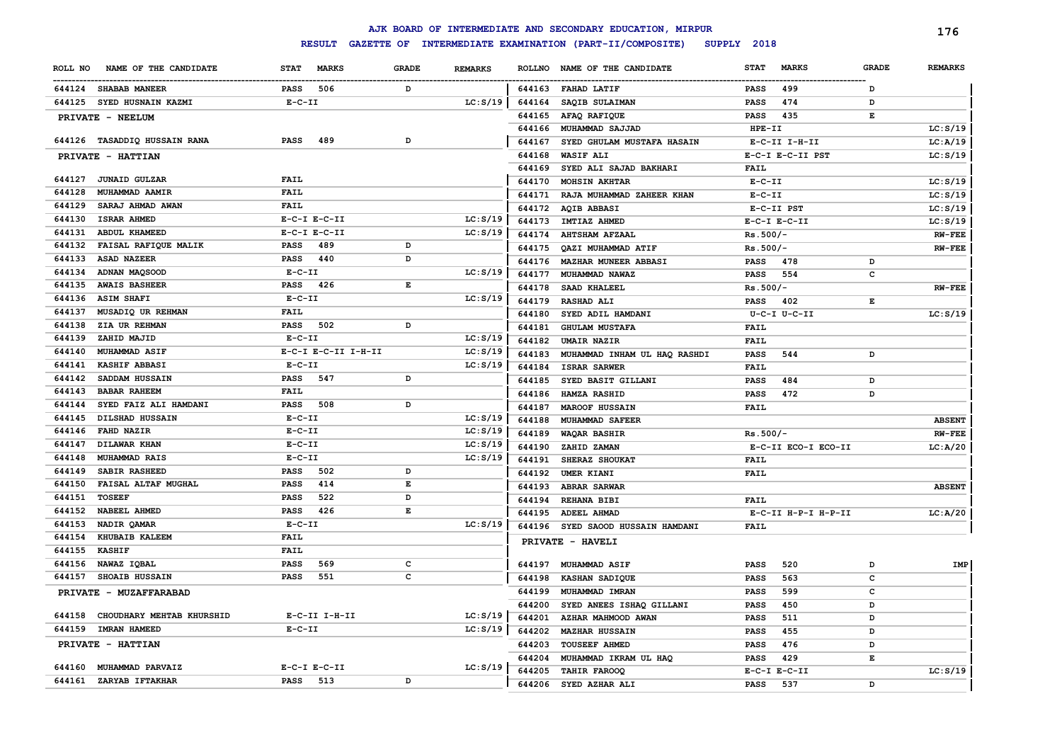|                                  |                             |              |                |        | AJK BOARD OF INTERMEDIATE AND SECONDARY EDUCATION, MIRPUR |                             |              | 176            |
|----------------------------------|-----------------------------|--------------|----------------|--------|-----------------------------------------------------------|-----------------------------|--------------|----------------|
|                                  | <b>RESULT</b>               |              |                |        | GAZETTE OF INTERMEDIATE EXAMINATION (PART-II/COMPOSITE)   | SUPPLY 2018                 |              |                |
| NAME OF THE CANDIDATE<br>ROLL NO | <b>MARKS</b><br><b>STAT</b> | <b>GRADE</b> | <b>REMARKS</b> |        | ROLLNO NAME OF THE CANDIDATE                              | <b>STAT</b><br><b>MARKS</b> | <b>GRADE</b> | <b>REMARKS</b> |
| 644124 SHABAB MANEER             | 506<br>PASS                 | D            |                | 644163 | <b>FAHAD LATIF</b>                                        | 499<br>PASS                 | D            |                |
| 644125 SYED HUSNAIN KAZMI        | $E-C-II$                    |              | LC: S/19       | 644164 | SAQIB SULAIMAN                                            | 474<br>PASS                 | D            |                |
| PRIVATE - NEELUM                 |                             |              |                | 644165 | AFAQ RAFIQUE                                              | 435<br>PASS                 | Е            |                |
|                                  |                             |              |                | 644166 | MUHAMMAD SAJJAD                                           | $HPE-TI$                    |              | LC: S/19       |
| 644126 TASADDIQ HUSSAIN RANA     | PASS<br>489                 | D            |                | 644167 | SYED GHULAM MUSTAFA HASAIN                                | E-C-II I-H-II               |              | LC: A/19       |
| PRIVATE - HATTIAN                |                             |              |                | 644168 | <b>WASIF ALI</b>                                          | E-C-I E-C-II PST            |              | LC: S/19       |
|                                  |                             |              |                | 644169 | SYED ALI SAJAD BAKHARI                                    | <b>FAIL</b>                 |              |                |
| 644127<br><b>JUNAID GULZAR</b>   | FAIL                        |              |                | 644170 | <b>MOHSIN AKHTAR</b>                                      | $E- C- II$                  |              | LC: S/19       |
| 644128<br>MUHAMMAD AAMIR         | <b>FAIL</b>                 |              |                | 644171 | RAJA MUHAMMAD ZAHEER KHAN                                 | $E- C- II$                  |              | LC: S/19       |
| 644129<br>SARAJ AHMAD AWAN       | FAIL                        |              |                | 644172 | <b>AQIB ABBASI</b>                                        | E-C-II PST                  |              | LC: S/19       |
| 644130<br><b>ISRAR AHMED</b>     | $E-C-I$ $E-C-II$            |              | LC: S/19       | 644173 | IMTIAZ AHMED                                              | $E-C-I$ $E-C-II$            |              | LC: S/19       |
| 644131<br>ABDUL KHAMEED          | $E-C-I$ $E-C-II$            |              | LC: S/19       | 644174 | <b>AHTSHAM AFZAAL</b>                                     | $Rs.500/-$                  |              | <b>RW-FEE</b>  |
| FAISAL RAFIQUE MALIK<br>644132   | 489<br><b>PASS</b>          | D            |                | 644175 | QAZI MUHAMMAD ATIF                                        | $Rs.500/-$                  |              | <b>RW-FEE</b>  |
| 644133<br><b>ASAD NAZEER</b>     | PASS<br>440                 | D            |                | 644176 | <b>MAZHAR MUNEER ABBASI</b>                               | <b>PASS</b><br>478          | D            |                |
| 644134<br><b>ADNAN MAQSOOD</b>   | $E- C- II$                  |              | LC: S/19       | 644177 | MUHAMMAD NAWAZ                                            | 554<br>PASS                 | c            |                |
| 644135<br><b>AWAIS BASHEER</b>   | PASS<br>426                 | Е            |                | 644178 | SAAD KHALEEL                                              | $Rs.500/-$                  |              | <b>RW-FEE</b>  |
| 644136<br><b>ASIM SHAFI</b>      | $E-C-II$                    |              | LC: S/19       | 644179 | <b>RASHAD ALI</b>                                         | <b>PASS</b><br>402          | Е            |                |
| 644137<br>MUSADIQ UR REHMAN      | FAIL                        |              |                | 644180 | SYED ADIL HAMDANI                                         | U-C-I U-C-II                |              | LC: S/19       |
| 644138<br>ZIA UR REHMAN          | <b>PASS</b><br>502          | D            |                | 644181 | <b>GHULAM MUSTAFA</b>                                     | <b>FAIL</b>                 |              |                |
| 644139<br>ZAHID MAJID            | $E- C- II$                  |              | LC: S/19       | 644182 | <b>UMAIR NAZIR</b>                                        | <b>FAIL</b>                 |              |                |
| 644140<br><b>MUHAMMAD ASIF</b>   | E-C-I E-C-II I-H-II         |              | LC: S/19       | 644183 | MUHAMMAD INHAM UL HAQ RASHDI                              | <b>PASS</b><br>544          | D            |                |
| 644141<br><b>KASHIF ABBASI</b>   | $E- C- II$                  |              | LC: S/19       | 644184 | <b>ISRAR SARWER</b>                                       | <b>FAIL</b>                 |              |                |
| 644142<br>SADDAM HUSSAIN         | 547<br>PASS                 | D            |                | 644185 | SYED BASIT GILLANI                                        | <b>PASS</b><br>484          | D            |                |
| 644143<br><b>BABAR RAHEEM</b>    | FAIL                        |              |                | 644186 | <b>HAMZA RASHID</b>                                       | <b>PASS</b><br>472          | D            |                |
| 644144<br>SYED FAIZ ALI HAMDANI  | 508<br>PASS                 | D            |                | 644187 | <b>MAROOF HUSSAIN</b>                                     | FAIL                        |              |                |
| 644145<br>DILSHAD HUSSAIN        | $E-C-II$                    |              | LC: S/19       | 644188 | MUHAMMAD SAFEER                                           |                             |              | <b>ABSENT</b>  |
| 644146<br><b>FAHD NAZIR</b>      | $E-C-II$                    |              | LC: S/19       | 644189 | <b>WAQAR BASHIR</b>                                       | $Rs.500/-$                  |              | $RW-FEE$       |
| 644147<br><b>DILAWAR KHAN</b>    | $E-C-II$                    |              | LC: S/19       | 644190 | ZAHID ZAMAN                                               | E-C-II ECO-I ECO-II         |              | LC: A/20       |
| 644148<br>MUHAMMAD RAIS          | $E - C - II$                |              | LC: S/19       | 644191 | SHERAZ SHOUKAT                                            | <b>FAIL</b>                 |              |                |
| 644149<br>SABIR RASHEED          | 502<br>PASS                 | D            |                | 644192 | UMER KIANI                                                | <b>FAIL</b>                 |              |                |
| 644150<br>FAISAL ALTAF MUGHAL    | <b>PASS</b><br>414          | Е            |                | 644193 | <b>ABRAR SARWAR</b>                                       |                             |              | <b>ABSENT</b>  |
| 644151<br><b>TOSEEF</b>          | 522<br>PASS                 | D            |                | 644194 | <b>REHANA BIBI</b>                                        | FAIL                        |              |                |
| 644152<br><b>NABEEL AHMED</b>    | 426<br>PASS                 | Е            |                | 644195 | <b>ADEEL AHMAD</b>                                        | E-C-II H-P-I H-P-II         |              | LC: A/20       |
| 644153<br>NADIR OAMAR            | $E- C- II$                  |              | LC: S/19       | 644196 | SYED SAOOD HUSSAIN HAMDANI                                | FAIL                        |              |                |
| 644154<br>KHUBAIB KALEEM         | FAIL                        |              |                |        | PRIVATE - HAVELI                                          |                             |              |                |
| 644155<br><b>KASHIF</b>          | FAIL                        |              |                |        |                                                           |                             |              |                |
| 644156<br>NAWAZ IQBAL            | 569<br><b>PASS</b>          | c            |                | 644197 | <b>MUHAMMAD ASIF</b>                                      | <b>PASS</b><br>520          | D            | IMP            |
| 644157<br><b>SHOAIB HUSSAIN</b>  | 551<br>PASS                 | c            |                |        | 644198 KASHAN SADIQUE                                     | 563<br><b>PASS</b>          | c            |                |
| PRIVATE - MUZAFFARABAD           |                             |              |                |        | 644199 MUHAMMAD IMRAN                                     | 599<br>PASS                 | c            |                |
|                                  |                             |              |                | 644200 | SYED ANEES ISHAQ GILLANI                                  | 450<br>PASS                 | D            |                |
| 644158 CHOUDHARY MEHTAB KHURSHID | $E-C-II$ I-H-II             |              | LC: S/19       | 644201 | AZHAR MAHMOOD AWAN                                        | 511<br>PASS                 | D            |                |
| 644159 IMRAN HAMEED              | $E - C - II$                |              | LC: S/19       | 644202 | <b>MAZHAR HUSSAIN</b>                                     | 455<br>PASS                 | D            |                |
| PRIVATE - HATTIAN                |                             |              |                | 644203 | <b>TOUSEEF AHMED</b>                                      | PASS<br>476                 | D            |                |
| 644160 MUHAMMAD PARVAIZ          | $E-C-I$ $E-C-II$            |              | LC: S/19       | 644204 | MUHAMMAD IKRAM UL HAQ                                     | PASS<br>429                 | Е            |                |
| 644161 ZARYAB IFTAKHAR           | <b>PASS</b> 513             |              |                | 644205 | TAHIR FAROOQ                                              | $E-C-I$ $E-C-II$            |              | LC: S/19       |
|                                  |                             | D            |                |        | 644206 SYED AZHAR ALI                                     | 537<br><b>PASS</b>          | D            |                |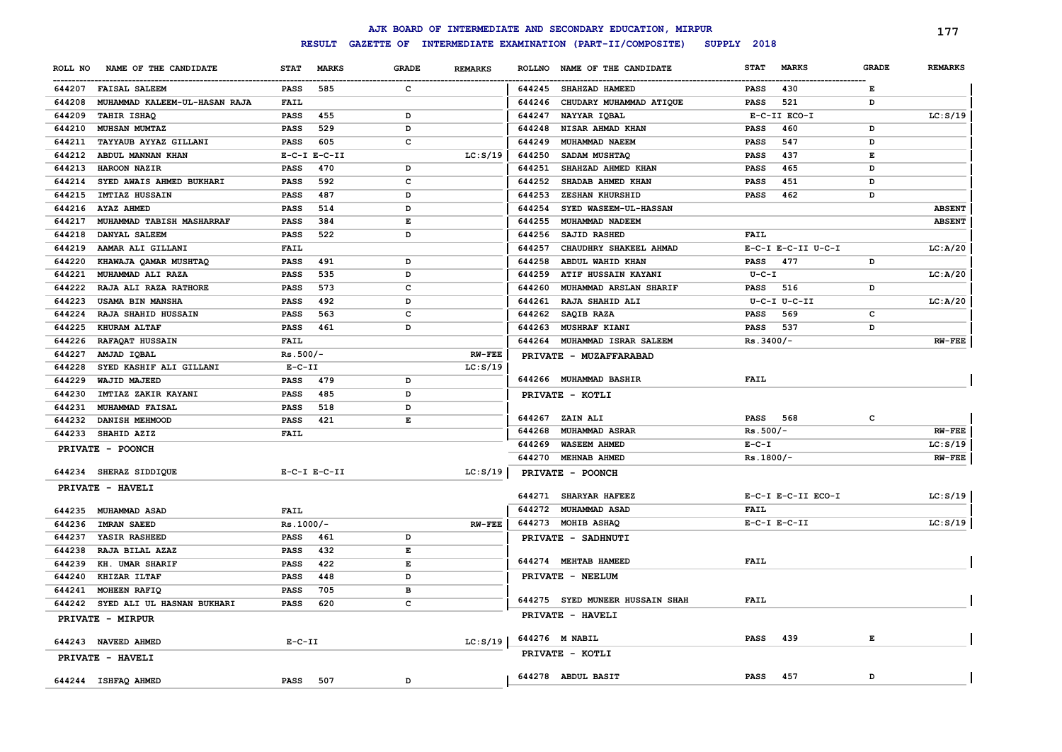|         |                               |              |                  |                                                                                                |                |               | AJK BOARD OF INTERMEDIATE AND SECONDARY EDUCATION, MIRPUR |             |                    |              | 177            |
|---------|-------------------------------|--------------|------------------|------------------------------------------------------------------------------------------------|----------------|---------------|-----------------------------------------------------------|-------------|--------------------|--------------|----------------|
|         |                               |              | <b>RESULT</b>    |                                                                                                |                |               | GAZETTE OF INTERMEDIATE EXAMINATION (PART-II/COMPOSITE)   | SUPPLY 2018 |                    |              |                |
| ROLL NO | NAME OF THE CANDIDATE         | <b>STAT</b>  | <b>MARKS</b>     | <b>GRADE</b>                                                                                   | <b>REMARKS</b> | <b>ROLLNO</b> | NAME OF THE CANDIDATE                                     | <b>STAT</b> | <b>MARKS</b>       | <b>GRADE</b> | <b>REMARKS</b> |
|         | 644207 FAISAL SALEEM          | <b>PASS</b>  | 585              | c                                                                                              |                | 644245        | SHAHZAD HAMEED                                            | <b>PASS</b> | 430                | Е            |                |
| 644208  | MUHAMMAD KALEEM-UL-HASAN RAJA | <b>FAIL</b>  |                  |                                                                                                |                | 644246        | CHUDARY MUHAMMAD ATIQUE                                   | <b>PASS</b> | 521                | D            |                |
| 644209  | TAHIR ISHAQ                   | <b>PASS</b>  | 455              | D                                                                                              |                | 644247        | NAYYAR IQBAL                                              |             | E-C-II ECO-I       |              | LC: S/19       |
| 644210  | MUHSAN MUMTAZ                 | <b>PASS</b>  | 529              | D                                                                                              |                | 644248        | NISAR AHMAD KHAN                                          | <b>PASS</b> | 460                | D            |                |
| 644211  | TAYYAUB AYYAZ GILLANI         | <b>PASS</b>  | 605              | $\mathbf c$                                                                                    |                | 644249        | MUHAMMAD NAEEM                                            | <b>PASS</b> | 547                | D            |                |
| 644212  | ABDUL MANNAN KHAN             |              | $E-C-I$ $E-C-II$ |                                                                                                | LC: S/19       | 644250        | SADAM MUSHTAQ                                             | <b>PASS</b> | 437                | Е            |                |
| 644213  | HAROON NAZIR                  | <b>PASS</b>  | 470              | D                                                                                              |                | 644251        | SHAHZAD AHMED KHAN                                        | <b>PASS</b> | 465                | D            |                |
| 644214  | SYED AWAIS AHMED BUKHARI      | <b>PASS</b>  | 592              | $\mathbf c$                                                                                    |                | 644252        | SHADAB AHMED KHAN                                         | <b>PASS</b> | 451                | D            |                |
| 644215  | <b>IMTIAZ HUSSAIN</b>         | <b>PASS</b>  | 487              | D                                                                                              |                | 644253        | ZESHAN KHURSHID                                           | <b>PASS</b> | 462                | D            |                |
| 644216  | <b>AYAZ AHMED</b>             | PASS         | 514              | D                                                                                              |                | 644254        | SYED WASEEM-UL-HASSAN                                     |             |                    |              | <b>ABSENT</b>  |
| 644217  | MUHAMMAD TABISH MASHARRAF     | PASS         | 384              | $\mathbf{E}% _{t}\left  \mathbf{1}\right\rangle =\mathbf{1}_{t}\left  \mathbf{1}\right\rangle$ |                | 644255        | MUHAMMAD NADEEM                                           |             |                    |              | <b>ABSENT</b>  |
| 644218  | DANYAL SALEEM                 | PASS         | 522              | D                                                                                              |                | 644256        | SAJID RASHED                                              | <b>FAIL</b> |                    |              |                |
| 644219  | AAMAR ALI GILLANI             | FAIL         |                  |                                                                                                |                | 644257        | CHAUDHRY SHAKEEL AHMAD                                    |             | E-C-I E-C-II U-C-I |              | LC: A/20       |
| 644220  | KHAWAJA QAMAR MUSHTAQ         | <b>PASS</b>  | 491              | D                                                                                              |                | 644258        | ABDUL WAHID KHAN                                          | <b>PASS</b> | 477                | D            |                |
| 644221  | MUHAMMAD ALI RAZA             | PASS         | 535              | D                                                                                              |                | 644259        | ATIF HUSSAIN KAYANI                                       | $U - C - I$ |                    |              | LC: A/20       |
| 644222  | RAJA ALI RAZA RATHORE         | PASS         | 573              | $\mathbf{C}$                                                                                   |                | 644260        | MUHAMMAD ARSLAN SHARIF                                    | <b>PASS</b> | 516                | D            |                |
| 644223  | <b>USAMA BIN MANSHA</b>       | PASS         | 492              | D                                                                                              |                | 644261        | RAJA SHAHID ALI                                           |             | $U-C-I$ $U-C-II$   |              | LC: A/20       |
| 644224  | RAJA SHAHID HUSSAIN           | PASS         | 563              | $\mathbf{C}$                                                                                   |                | 644262        | SAQIB RAZA                                                | <b>PASS</b> | 569                | c            |                |
| 644225  | <b>KHURAM ALTAF</b>           | <b>PASS</b>  | 461              | D                                                                                              |                | 644263        | MUSHRAF KIANI                                             | <b>PASS</b> | 537                | D            |                |
| 644226  | <b>RAFAQAT HUSSAIN</b>        | FAIL         |                  |                                                                                                |                | 644264        | MUHAMMAD ISRAR SALEEM                                     | $Rs.3400/-$ |                    |              | $RW-FEE$       |
| 644227  | AMJAD IQBAL                   | $Rs.500/-$   |                  |                                                                                                | <b>RW-FEE</b>  |               | PRIVATE - MUZAFFARABAD                                    |             |                    |              |                |
| 644228  | SYED KASHIF ALI GILLANI       | $E-C-II$     |                  |                                                                                                | LC: S/19       |               |                                                           |             |                    |              |                |
| 644229  | WAJID MAJEED                  | PASS         | 479              | D                                                                                              |                |               | 644266 MUHAMMAD BASHIR                                    | <b>FAIL</b> |                    |              |                |
| 644230  | IMTIAZ ZAKIR KAYANI           | PASS         | 485              | D                                                                                              |                |               | PRIVATE - KOTLI                                           |             |                    |              |                |
| 644231  | MUHAMMAD FAISAL               | <b>PASS</b>  | 518              | D                                                                                              |                |               |                                                           |             |                    |              |                |
| 644232  | DANISH MEHMOOD                | <b>PASS</b>  | 421              | $\mathbf{E}% _{t}\left  \mathbf{1}\right\rangle =\mathbf{1}_{t}\left  \mathbf{1}\right\rangle$ |                |               | 644267 ZAIN ALI                                           | <b>PASS</b> | 568                | c            |                |
| 644233  | SHAHID AZIZ                   | FAIL         |                  |                                                                                                |                | 644268        | MUHAMMAD ASRAR                                            | $Rs.500/-$  |                    |              | $RW-FEE$       |
|         | PRIVATE - POONCH              |              |                  |                                                                                                |                | 644269        | <b>WASEEM AHMED</b>                                       | $E - C - I$ |                    |              | LC: S/19       |
|         |                               |              |                  |                                                                                                |                | 644270        | <b>MEHNAB AHMED</b>                                       | $Rs.1800/-$ |                    |              | $RW-FEE$       |
|         | 644234 SHERAZ SIDDIQUE        |              | $E-C-I$ $E-C-II$ |                                                                                                | LC: S/19       |               | PRIVATE - POONCH                                          |             |                    |              |                |
|         | PRIVATE - HAVELI              |              |                  |                                                                                                |                |               |                                                           |             |                    |              |                |
|         |                               |              |                  |                                                                                                |                | 644271        | <b>SHARYAR HAFEEZ</b>                                     |             | E-C-I E-C-II ECO-I |              | LC: S/19       |
|         | 644235 MUHAMMAD ASAD          | <b>FAIL</b>  |                  |                                                                                                |                |               | 644272 MUHAMMAD ASAD                                      | FAIL        |                    |              |                |
| 644236  | <b>IMRAN SAEED</b>            | $Rs.1000/-$  |                  |                                                                                                | <b>RW-FEE</b>  |               | 644273 MOHIB ASHAQ                                        |             | $E-C-I$ $E-C-II$   |              | LC: S/19       |
| 644237  | YASIR RASHEED                 | <b>PASS</b>  | 461              | D                                                                                              |                |               | PRIVATE - SADHNUTI                                        |             |                    |              |                |
| 644238  | RAJA BILAL AZAZ               | <b>PASS</b>  | 432              | $\mathbf{E}% _{t}$                                                                             |                |               |                                                           |             |                    |              |                |
| 644239  | KH. UMAR SHARIF               | <b>PASS</b>  | 422              | $\mathbf E$                                                                                    |                |               | 644274 MEHTAB HAMEED                                      | FAIL        |                    |              |                |
| 644240  | KHIZAR ILTAF                  | PASS         | 448              | D                                                                                              |                |               | PRIVATE - NEELUM                                          |             |                    |              |                |
| 644241  | MOHEEN RAFIQ                  | PASS         | 705              | $\, {\bf B}$                                                                                   |                |               |                                                           |             |                    |              |                |
| 644242  | SYED ALI UL HASNAN BUKHARI    | PASS         | 620              | C                                                                                              |                |               | 644275 SYED MUNEER HUSSAIN SHAH                           | FAIL        |                    |              |                |
|         | PRIVATE - MIRPUR              |              |                  |                                                                                                |                |               | PRIVATE - HAVELI                                          |             |                    |              |                |
|         | 644243 NAVEED AHMED           | $E - C - II$ |                  |                                                                                                | LC: S/19       |               | 644276 M NABIL                                            | <b>PASS</b> | 439                | Е            |                |
|         | PRIVATE - HAVELI              |              |                  |                                                                                                |                |               | PRIVATE - KOTLI                                           |             |                    |              |                |
|         | 644244 ISHFAQ AHMED           | <b>PASS</b>  | 507              | D                                                                                              |                |               | 644278 ABDUL BASIT                                        | <b>PASS</b> | 457                | D            |                |
|         |                               |              |                  |                                                                                                |                |               |                                                           |             |                    |              |                |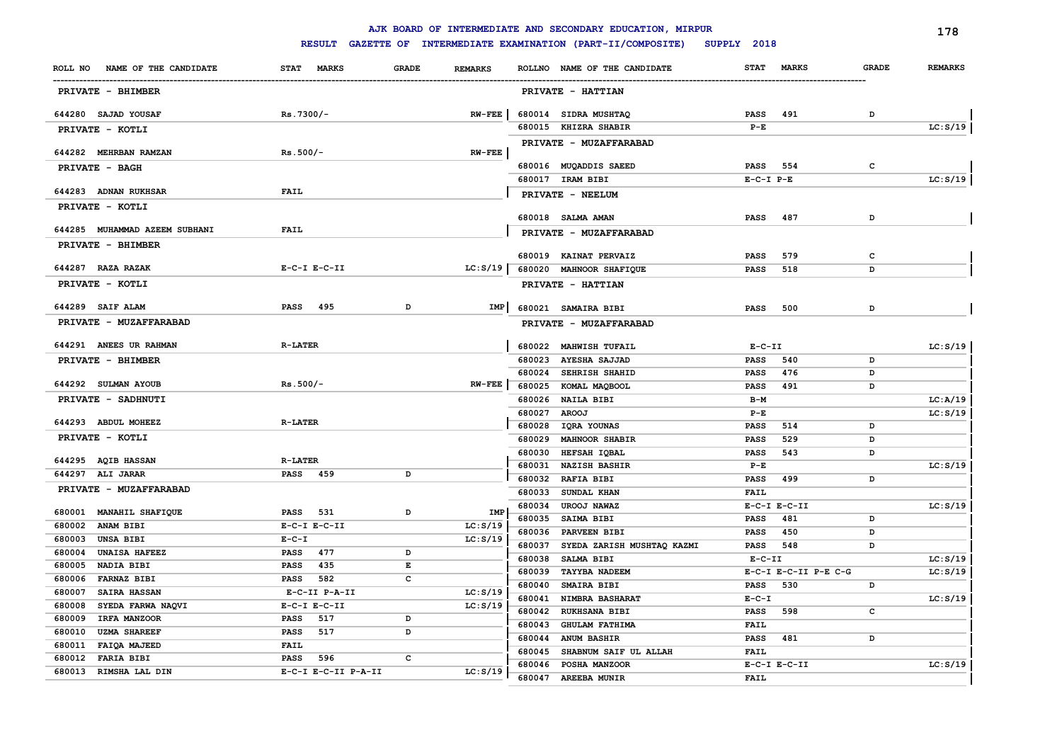| <b>RESULT</b><br>GAZETTE OF INTERMEDIATE EXAMINATION (PART-II/COMPOSITE)<br>SUPPLY 2018<br><b>STAT</b><br><b>MARKS</b><br><b>GRADE</b><br>NAME OF THE CANDIDATE<br>STAT MARKS<br><b>GRADE</b><br><b>REMARKS</b><br>ROLLNO NAME OF THE CANDIDATE<br>ROLL NO<br>PRIVATE - BHIMBER<br>PRIVATE - HATTIAN<br>644280 SAJAD YOUSAF<br>$Rs.7300/-$<br>$RW-FEE$<br>680014 SIDRA MUSHTAQ<br>491<br><b>PASS</b><br>D<br>680015 KHIZRA SHABIR<br>$P-E$<br>PRIVATE - KOTLI<br>PRIVATE - MUZAFFARABAD<br>$Rs.500/-$<br>644282 MEHRBAN RAMZAN<br>$RN$ -FEE | <b>REMARKS</b><br>LC: S/19 |
|---------------------------------------------------------------------------------------------------------------------------------------------------------------------------------------------------------------------------------------------------------------------------------------------------------------------------------------------------------------------------------------------------------------------------------------------------------------------------------------------------------------------------------------------|----------------------------|
|                                                                                                                                                                                                                                                                                                                                                                                                                                                                                                                                             |                            |
|                                                                                                                                                                                                                                                                                                                                                                                                                                                                                                                                             |                            |
|                                                                                                                                                                                                                                                                                                                                                                                                                                                                                                                                             |                            |
|                                                                                                                                                                                                                                                                                                                                                                                                                                                                                                                                             |                            |
|                                                                                                                                                                                                                                                                                                                                                                                                                                                                                                                                             |                            |
|                                                                                                                                                                                                                                                                                                                                                                                                                                                                                                                                             |                            |
|                                                                                                                                                                                                                                                                                                                                                                                                                                                                                                                                             |                            |
| 680016 MUQADDIS SAEED<br>554<br>c<br>PASS<br>PRIVATE - BAGH<br>680017 IRAM BIBI<br>$E-C-I$ $P-E$                                                                                                                                                                                                                                                                                                                                                                                                                                            | LC: S/19                   |
| <b>FAIL</b><br>644283 ADNAN RUKHSAR                                                                                                                                                                                                                                                                                                                                                                                                                                                                                                         |                            |
| PRIVATE - NEELUM<br>PRIVATE - KOTLI                                                                                                                                                                                                                                                                                                                                                                                                                                                                                                         |                            |
| 680018 SALMA AMAN<br>487<br>D<br><b>PASS</b>                                                                                                                                                                                                                                                                                                                                                                                                                                                                                                |                            |
| <b>FAIL</b><br>644285 MUHAMMAD AZEEM SUBHANI<br>PRIVATE - MUZAFFARABAD                                                                                                                                                                                                                                                                                                                                                                                                                                                                      |                            |
| PRIVATE - BHIMBER                                                                                                                                                                                                                                                                                                                                                                                                                                                                                                                           |                            |
| 680019 KAINAT PERVAIZ<br><b>PASS</b><br>579<br>c                                                                                                                                                                                                                                                                                                                                                                                                                                                                                            |                            |
| 644287 RAZA RAZAK<br>LC: S/19<br>$E-C-I$ $E-C-II$<br>680020 MAHNOOR SHAFIQUE<br><b>PASS</b><br>518<br>D                                                                                                                                                                                                                                                                                                                                                                                                                                     |                            |
| PRIVATE - KOTLI<br>PRIVATE - HATTIAN                                                                                                                                                                                                                                                                                                                                                                                                                                                                                                        |                            |
| 644289 SAIF ALAM<br><b>PASS</b><br>495<br>D<br>IMP<br>680021 SAMAIRA BIBI<br>500<br>D<br>PASS                                                                                                                                                                                                                                                                                                                                                                                                                                               |                            |
| PRIVATE - MUZAFFARABAD<br>PRIVATE - MUZAFFARABAD                                                                                                                                                                                                                                                                                                                                                                                                                                                                                            |                            |
| <b>R-LATER</b><br>644291 ANEES UR RAHMAN<br>680022 MAHWISH TUFAIL<br>$E-C-II$                                                                                                                                                                                                                                                                                                                                                                                                                                                               | LC: S/19                   |
| 680023 AYESHA SAJJAD<br>540<br><b>PASS</b><br>D<br>PRIVATE - BHIMBER                                                                                                                                                                                                                                                                                                                                                                                                                                                                        |                            |
| 476<br>680024 SEHRISH SHAHID<br><b>PASS</b><br>D                                                                                                                                                                                                                                                                                                                                                                                                                                                                                            |                            |
| 644292 SULMAN AYOUB<br>$Rs.500/-$<br>$RW-FEE$<br>680025 KOMAL MAQBOOL<br><b>PASS</b><br>491<br>D                                                                                                                                                                                                                                                                                                                                                                                                                                            |                            |
| PRIVATE - SADHNUTI<br>680026<br><b>NAILA BIBI</b><br>$B-M$                                                                                                                                                                                                                                                                                                                                                                                                                                                                                  | LC: A/19                   |
| 680027<br><b>AROOJ</b><br>$P-E$<br>644293 ABDUL MOHEEZ<br><b>R-LATER</b>                                                                                                                                                                                                                                                                                                                                                                                                                                                                    | LC: S/19                   |
| 680028<br>IQRA YOUNAS<br><b>PASS</b><br>514<br>D                                                                                                                                                                                                                                                                                                                                                                                                                                                                                            |                            |
| PRIVATE - KOTLI<br>680029<br><b>MAHNOOR SHABIR</b><br>529<br><b>PASS</b><br>D                                                                                                                                                                                                                                                                                                                                                                                                                                                               |                            |
| 680030<br>HEFSAH IQBAL<br><b>PASS</b><br>543<br>D<br>644295 AQIB HASSAN<br><b>R-LATER</b>                                                                                                                                                                                                                                                                                                                                                                                                                                                   |                            |
| <b>NAZISH BASHIR</b><br>680031<br>$P-E$<br>PASS 459<br>644297 ALI JARAR<br>D                                                                                                                                                                                                                                                                                                                                                                                                                                                                | LC: S/19                   |
| RAFIA BIBI<br>680032<br>499<br>D<br>PASS<br>PRIVATE - MUZAFFARABAD                                                                                                                                                                                                                                                                                                                                                                                                                                                                          |                            |
| 680033<br>SUNDAL KHAN<br><b>FAIL</b>                                                                                                                                                                                                                                                                                                                                                                                                                                                                                                        |                            |
| 680034<br><b>UROOJ NAWAZ</b><br>$E-C-I$ $E-C-II$<br><b>IMP</b><br>680001 MANAHIL SHAFIQUE<br><b>PASS</b><br>531<br>D<br>481<br>680035<br><b>SAIMA BIBI</b><br><b>PASS</b><br>D                                                                                                                                                                                                                                                                                                                                                              | LC: S/19                   |
| LC: S/19<br>680002<br><b>ANAM BIBI</b><br>$E-C-I$ $E-C-II$<br>680036 PARVEEN BIBI<br>450<br><b>PASS</b><br>D                                                                                                                                                                                                                                                                                                                                                                                                                                |                            |
| 680003<br><b>UNSA BIBI</b><br>$E - C - I$<br>LC: S/19<br>680037<br>SYEDA ZARISH MUSHTAQ KAZMI<br>548<br>PASS<br>D                                                                                                                                                                                                                                                                                                                                                                                                                           |                            |
| <b>UNAISA HAFEEZ</b><br><b>PASS</b><br>477<br>D<br>680004<br>680038<br>SALMA BIBI<br>$E-C-II$                                                                                                                                                                                                                                                                                                                                                                                                                                               | LC: S/19                   |
| NADIA BIBI<br>435<br>E<br>680005<br><b>PASS</b><br>TAYYBA NADEEM<br>E-C-I E-C-II P-E C-G<br>680039                                                                                                                                                                                                                                                                                                                                                                                                                                          | LC: S/19                   |
| <b>FARNAZ BIBI</b><br>c<br>680006<br><b>PASS</b><br>582<br>SMAIRA BIBI<br>530<br>680040<br><b>PASS</b><br>D                                                                                                                                                                                                                                                                                                                                                                                                                                 |                            |
| LC: S/19<br>680007<br><b>SAIRA HASSAN</b><br>E-C-II P-A-II<br>680041<br><b>NIMBRA BASHARAT</b><br>$E - C - I$                                                                                                                                                                                                                                                                                                                                                                                                                               | LC: S/19                   |
| LC: S/19<br>680008<br>SYEDA FARWA NAQVI<br>$E-C-I$ $E-C-II$<br>680042<br><b>RUKHSANA BIBI</b><br><b>PASS</b><br>598<br>c                                                                                                                                                                                                                                                                                                                                                                                                                    |                            |
| 680009<br>IRFA MANZOOR<br><b>PASS</b><br>517<br>D<br>680043<br><b>GHULAM FATHIMA</b><br><b>FAIL</b>                                                                                                                                                                                                                                                                                                                                                                                                                                         |                            |
| 680010<br><b>UZMA SHAREEF</b><br><b>PASS</b><br>517<br>D<br><b>ANUM BASHIR</b><br><b>PASS</b><br>481<br>D<br>680044                                                                                                                                                                                                                                                                                                                                                                                                                         |                            |
| FAIQA MAJEED<br><b>FAIL</b><br>680011<br>SHABNUM SAIF UL ALLAH<br>680045<br><b>FAIL</b>                                                                                                                                                                                                                                                                                                                                                                                                                                                     |                            |
| <b>PASS</b><br>c<br>680012<br><b>FARIA BIBI</b><br>596<br>$E-C-I$ $E-C-II$<br>680046<br><b>POSHA MANZOOR</b>                                                                                                                                                                                                                                                                                                                                                                                                                                | LC: S/19                   |
| 680013 RIMSHA LAL DIN<br>E-C-I E-C-II P-A-II<br>LC: S/19<br>680047 AREEBA MUNIR<br><b>FAIL</b>                                                                                                                                                                                                                                                                                                                                                                                                                                              |                            |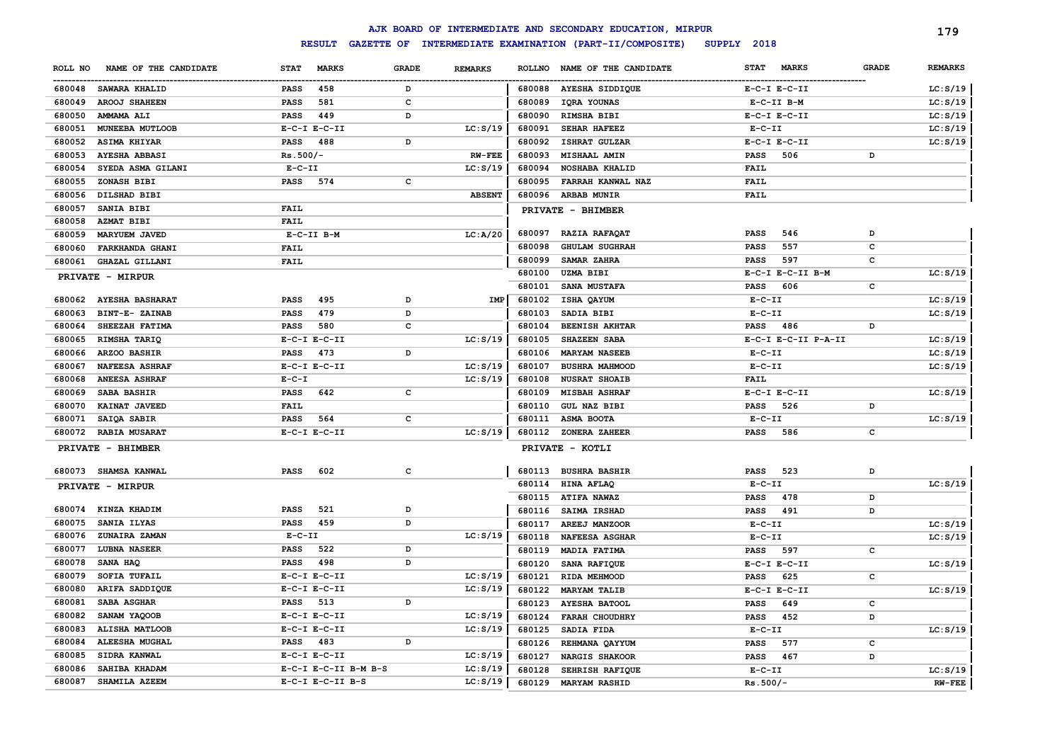|         |                         |                  |                      |              |                |               | AJK BOARD OF INTERMEDIATE AND SECONDARY EDUCATION, MIRPUR |              |                     |              | 179            |
|---------|-------------------------|------------------|----------------------|--------------|----------------|---------------|-----------------------------------------------------------|--------------|---------------------|--------------|----------------|
|         |                         | <b>RESULT</b>    | <b>GAZETTE OF</b>    |              |                |               | INTERMEDIATE EXAMINATION (PART-II/COMPOSITE)              | SUPPLY 2018  |                     |              |                |
| ROLL NO | NAME OF THE CANDIDATE   | <b>STAT</b>      | <b>MARKS</b>         | <b>GRADE</b> | <b>REMARKS</b> | <b>ROLLNO</b> | NAME OF THE CANDIDATE                                     | <b>STAT</b>  | <b>MARKS</b>        | <b>GRADE</b> | <b>REMARKS</b> |
|         | 680048 SAWARA KHALID    | <b>PASS</b>      | 458                  | D            |                |               | 680088 AYESHA SIDDIQUE                                    |              | $E-C-I$ $E-C-II$    |              | LC: S/19       |
| 680049  | <b>AROOJ SHAHEEN</b>    | <b>PASS</b>      | 581                  | $\mathbf c$  |                | 680089        | IQRA YOUNAS                                               |              | $E-C-TI$ $B-M$      |              | LC: S/19       |
| 680050  | AMMAMA ALI              | <b>PASS</b>      | 449                  | D            |                | 680090        | RIMSHA BIBI                                               |              | $E-C-I$ $E-C-II$    |              | LC: S/19       |
| 680051  | MUNEEBA MUTLOOB         | $E-C-I$ $E-C-II$ |                      |              | LC: S/19       | 680091        | <b>SEHAR HAFEEZ</b>                                       | $E-C-II$     |                     |              | LC: S/19       |
| 680052  | <b>ASIMA KHIYAR</b>     | <b>PASS</b>      | 488                  | D            |                | 680092        | ISHRAT GULZAR                                             |              | $E-C-I$ $E-C-II$    |              | LC: S/19       |
| 680053  | <b>AYESHA ABBASI</b>    | $Rs.500/-$       |                      |              | <b>RW-FEE</b>  | 680093        | MISHAAL AMIN                                              | <b>PASS</b>  | 506                 | D            |                |
| 680054  | SYEDA ASMA GILANI       | $E-C-II$         |                      |              | LC: S/19       | 680094        | <b>NOSHABA KHALID</b>                                     | <b>FAIL</b>  |                     |              |                |
| 680055  | ZONASH BIBI             | PASS             | 574                  | c            |                | 680095        | FARRAH KANWAL NAZ                                         | <b>FAIL</b>  |                     |              |                |
| 680056  | DILSHAD BIBI            |                  |                      |              | <b>ABSENT</b>  | 680096        | <b>ARBAB MUNIR</b>                                        | <b>FAIL</b>  |                     |              |                |
| 680057  | SANIA BIBI              | <b>FAIL</b>      |                      |              |                |               | PRIVATE - BHIMBER                                         |              |                     |              |                |
| 680058  | <b>AZMAT BIBI</b>       | <b>FAIL</b>      |                      |              |                |               |                                                           |              |                     |              |                |
| 680059  | <b>MARYUEM JAVED</b>    | $E-C-II$ B-M     |                      |              | LC: A/20       | 680097        | RAZIA RAFAQAT                                             | <b>PASS</b>  | 546                 | D            |                |
| 680060  | FARKHANDA GHANI         | <b>FAIL</b>      |                      |              |                | 680098        | <b>GHULAM SUGHRAH</b>                                     | <b>PASS</b>  | 557                 | C            |                |
| 680061  | GHAZAL GILLANI          | <b>FAIL</b>      |                      |              |                | 680099        | SAMAR ZAHRA                                               | <b>PASS</b>  | 597                 | c            |                |
|         | PRIVATE - MIRPUR        |                  |                      |              |                | 680100        | <b>UZMA BIBI</b>                                          |              | E-C-I E-C-II B-M    |              | LC: S/19       |
|         |                         |                  |                      |              |                | 680101        | SANA MUSTAFA                                              | <b>PASS</b>  | 606                 | c            |                |
| 680062  | <b>AYESHA BASHARAT</b>  | <b>PASS</b>      | 495                  | D            | IMP            | 680102        | ISHA QAYUM                                                | $E-C-II$     |                     |              | LC: S/19       |
| 680063  | BINT-E- ZAINAB          | <b>PASS</b>      | 479                  | D            |                | 680103        | SADIA BIBI                                                | $E - C - II$ |                     |              | LC: S/19       |
| 680064  | SHEEZAH FATIMA          | <b>PASS</b>      | 580                  | C            |                | 680104        | <b>BEENISH AKHTAR</b>                                     | <b>PASS</b>  | 486                 | D            |                |
| 680065  | RIMSHA TARIQ            | $E-C-I$ $E-C-II$ |                      |              | LC: S/19       | 680105        | <b>SHAZEEN SABA</b>                                       |              | E-C-I E-C-II P-A-II |              | LC: S/19       |
| 680066  | ARZOO BASHIR            | <b>PASS</b>      | 473                  | D            |                | 680106        | <b>MARYAM NASEEB</b>                                      | $E-C-II$     |                     |              | LC: S/19       |
| 680067  | <b>NAFEESA ASHRAF</b>   | $E-C-I$ $E-C-II$ |                      |              | LC: S/19       | 680107        | <b>BUSHRA MAHMOOD</b>                                     | $E-C-II$     |                     |              | LC: S/19       |
| 680068  | <b>ANEESA ASHRAF</b>    | $E - C - I$      |                      |              | LC: S/19       | 680108        | <b>NUSRAT SHOAIB</b>                                      | <b>FAIL</b>  |                     |              |                |
| 680069  | SABA BASHIR             | <b>PASS</b>      | 642                  | C            |                | 680109        | <b>MISBAH ASHRAF</b>                                      |              | $E-C-I$ $E-C-II$    |              | LC: S/19       |
| 680070  | KAINAT JAVEED           | <b>FAIL</b>      |                      |              |                | 680110        | <b>GUL NAZ BIBI</b>                                       | <b>PASS</b>  | 526                 | D            |                |
| 680071  | SAIQA SABIR             | <b>PASS</b>      | 564                  | C            |                | 680111        | ASMA BOOTA                                                | $E-C-II$     |                     |              | LC: S/19       |
| 680072  | <b>RABIA MUSARAT</b>    | $E-C-I$ $E-C-II$ |                      |              | LC: S/19       | 680112        | ZONERA ZAHEER                                             | <b>PASS</b>  | 586                 | c            |                |
|         | PRIVATE - BHIMBER       |                  |                      |              |                |               | PRIVATE - KOTLI                                           |              |                     |              |                |
|         | 680073 SHAMSA KANWAL    | PASS             | 602                  | $\mathbf c$  |                | 680113        | <b>BUSHRA BASHIR</b>                                      | PASS         | 523                 | D            |                |
|         |                         |                  |                      |              |                | 680114        | HINA AFLAQ                                                | $E-C-II$     |                     |              | LC: S/19       |
|         | <b>PRIVATE - MIRPUR</b> |                  |                      |              |                | 680115        | <b>ATIFA NAWAZ</b>                                        | PASS         | 478                 | D            |                |
| 680074  | KINZA KHADIM            | <b>PASS</b>      | 521                  | D            |                | 680116        | <b>SAIMA IRSHAD</b>                                       | <b>PASS</b>  | 491                 | D            |                |
| 680075  | SANIA ILYAS             | <b>PASS</b>      | 459                  | D            |                | 680117        | AREEJ MANZOOR                                             | $E- C- II$   |                     |              | LC: S/19       |
| 680076  | ZUNAIRA ZAMAN           | $E - C - II$     |                      |              | LC: S/19       | 680118        | <b>NAFEESA ASGHAR</b>                                     | $E-C-II$     |                     |              | LC: S/19       |
| 680077  | <b>LUBNA NASEER</b>     | <b>PASS</b>      | 522                  | D            |                | 680119        | MADIA FATIMA                                              | PASS         | 597                 | c            |                |
| 680078  | SANA HAQ                | <b>PASS</b>      | 498                  | D            |                | 680120        | SANA RAFIQUE                                              |              | $E-C-I$ $E-C-II$    |              | LC: S/19       |
| 680079  | SOFIA TUFAIL            | $E-C-I$ $E-C-II$ |                      |              | LC: S/19       | 680121        | RIDA MEHMOOD                                              | <b>PASS</b>  | 625                 | c            |                |
| 680080  | ARIFA SADDIQUE          | $E-C-I$ $E-C-II$ |                      |              | LC: S/19       | 680122        | <b>MARYAM TALIB</b>                                       |              | $E-C-I$ $E-C-II$    |              | LC: S/19       |
| 680081  | SABA ASGHAR             | <b>PASS</b>      | 513                  | D            |                | 680123        | <b>AYESHA BATOOL</b>                                      | <b>PASS</b>  | 649                 | c            |                |
| 680082  | SANAM YAQOOB            | $E-C-I$ $E-C-II$ |                      |              | LC: S/19       | 680124        | <b>FARAH CHOUDHRY</b>                                     | <b>PASS</b>  | 452                 | D            |                |
| 680083  | ALISHA MATLOOB          | $E-C-I$ $E-C-II$ |                      |              | LC: S/19       | 680125        | SADIA FIDA                                                | $E - C - II$ |                     |              | LC: S/19       |
| 680084  | <b>ALEESHA MUGHAL</b>   | PASS             | 483                  | D            |                | 680126        | REHMANA QAYYUM                                            | <b>PASS</b>  | 577                 | c            |                |
| 680085  | SIDRA KANWAL            | $E-C-I$ $E-C-II$ |                      |              | LC: S/19       | 680127        | <b>NARGIS SHAKOOR</b>                                     | <b>PASS</b>  | 467                 | D            |                |
| 680086  | SAHIBA KHADAM           |                  | E-C-I E-C-II B-M B-S |              | LC: S/19       | 680128        | SEHRISH RAFIQUE                                           | $E - C - II$ |                     |              | LC: S/19       |
| 680087  | SHAMILA AZEEM           | E-C-I E-C-II B-S |                      |              | LC: S/19       | 680129        | <b>MARYAM RASHID</b>                                      | $Rs.500/-$   |                     |              | $RW-FEE$       |
|         |                         |                  |                      |              |                |               |                                                           |              |                     |              |                |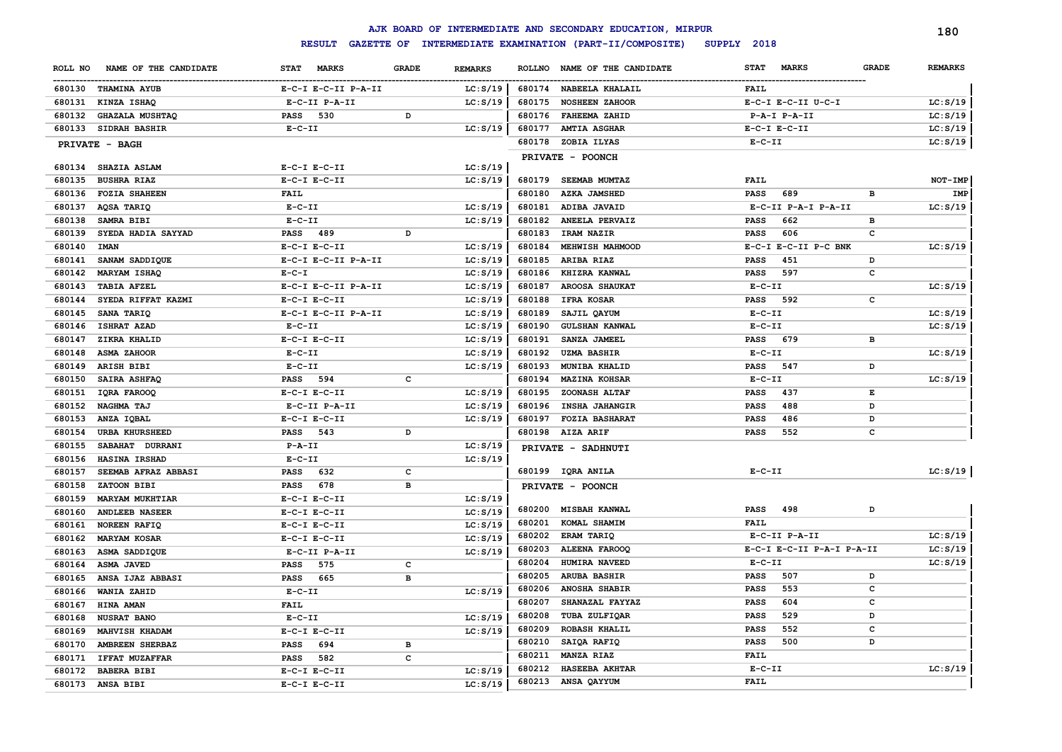|         |                        |                             |              |                |        | AJK BOARD OF INTERMEDIATE AND SECONDARY EDUCATION, MIRPUR |                           |              | 180            |
|---------|------------------------|-----------------------------|--------------|----------------|--------|-----------------------------------------------------------|---------------------------|--------------|----------------|
|         |                        | <b>RESULT</b>               |              |                |        | GAZETTE OF INTERMEDIATE EXAMINATION (PART-II/COMPOSITE)   | SUPPLY 2018               |              |                |
| ROLL NO | NAME OF THE CANDIDATE  | <b>STAT</b><br><b>MARKS</b> | <b>GRADE</b> | <b>REMARKS</b> |        | ROLLNO NAME OF THE CANDIDATE                              | STAT<br><b>MARKS</b>      | <b>GRADE</b> | <b>REMARKS</b> |
|         | 680130 THAMINA AYUB    | E-C-I E-C-II P-A-II         |              | LC: S/19       |        | 680174 NABEELA KHALAIL                                    | <b>FAIL</b>               |              |                |
| 680131  | KINZA ISHAQ            | E-C-II P-A-II               |              | LC: S/19       | 680175 | <b>NOSHEEN ZAHOOR</b>                                     | E-C-I E-C-II U-C-I        |              | LC: S/19       |
| 680132  | <b>GHAZALA MUSHTAQ</b> | PASS 530                    | D            |                |        | 680176 FAHEEMA ZAHID                                      | $P - A - I$ $P - A - II$  |              | LC: S/19       |
|         | 680133 SIDRAH BASHIR   | $E-C-II$                    |              | LC: S/19       | 680177 | <b>AMTIA ASGHAR</b>                                       | $E-C-I$ $E-C-II$          |              | LC: S/19       |
|         | PRIVATE - BAGH         |                             |              |                |        | 680178 ZOBIA ILYAS                                        | $E - C - II$              |              | LC: S/19       |
|         |                        |                             |              |                |        | PRIVATE - POONCH                                          |                           |              |                |
|         | 680134 SHAZIA ASLAM    | $E-C-I$ $E-C-II$            |              | LC: S/19       |        |                                                           |                           |              |                |
| 680135  | <b>BUSHRA RIAZ</b>     | $E-C-I$ $E-C-II$            |              | LC: S/19       |        | 680179 SEEMAB MUMTAZ                                      | <b>FAIL</b>               |              | NOT-IMP        |
| 680136  | <b>FOZIA SHAHEEN</b>   | <b>FAIL</b>                 |              |                | 680180 | <b>AZKA JAMSHED</b>                                       | 689<br><b>PASS</b>        | в            | IMP            |
| 680137  | AQSA TARIQ             | $E-C-II$                    |              | LC: S/19       | 680181 | ADIBA JAVAID                                              | E-C-II P-A-I P-A-II       |              | LC: S/19       |
| 680138  | SAMRA BIBI             | $E-C-II$                    |              | LC: S/19       | 680182 | ANEELA PERVAIZ                                            | <b>PASS</b><br>662        | в            |                |
| 680139  | SYEDA HADIA SAYYAD     | PASS 489                    | D            |                | 680183 | IRAM NAZIR                                                | <b>PASS</b><br>606        | c            |                |
| 680140  | <b>IMAN</b>            | $E-C-I$ $E-C-II$            |              | LC: S/19       | 680184 | MEHWISH MAHMOOD                                           | E-C-I E-C-II P-C BNK      |              | LC: S/19       |
| 680141  | SANAM SADDIQUE         | E-C-I E-C-II P-A-II         |              | LC: S/19       | 680185 | ARIBA RIAZ                                                | <b>PASS</b><br>451        | D            |                |
| 680142  | MARYAM ISHAQ           | $E - C - I$                 |              | LC: S/19       | 680186 | KHIZRA KANWAL                                             | 597<br><b>PASS</b>        | c            |                |
| 680143  | <b>TABIA AFZEL</b>     | E-C-I E-C-II P-A-II         |              | LC: S/19       | 680187 | <b>AROOSA SHAUKAT</b>                                     | $E- C- II$                |              | LC: S/19       |
| 680144  | SYEDA RIFFAT KAZMI     | $E-C-I$ $E-C-II$            |              | LC: S/19       | 680188 | <b>IFRA KOSAR</b>                                         | 592<br><b>PASS</b>        | $\mathbf c$  |                |
| 680145  | SANA TARIQ             | E-C-I E-C-II P-A-II         |              | LC: S/19       | 680189 | SAJIL QAYUM                                               | $E- C- II$                |              | LC: S/19       |
| 680146  | <b>ISHRAT AZAD</b>     | $E- C- II$                  |              | LC: S/19       | 680190 | <b>GULSHAN KANWAL</b>                                     | $E - C - II$              |              | LC: S/19       |
| 680147  | ZIKRA KHALID           | $E-C-I$ $E-C-II$            |              | LC: S/19       | 680191 | SANZA JAMEEL                                              | 679<br><b>PASS</b>        | в            |                |
| 680148  | <b>ASMA ZAHOOR</b>     | $E - C - II$                |              | LC: S/19       | 680192 | <b>UZMA BASHIR</b>                                        | $E - C - II$              |              | LC: S/19       |
| 680149  | <b>ARISH BIBI</b>      | $E- C- II$                  |              | LC: S/19       | 680193 | MUNIBA KHALID                                             | <b>PASS</b><br>547        | D            |                |
| 680150  | SAIRA ASHFAQ           | <b>PASS</b><br>594          | c            |                | 680194 | <b>MAZINA KOHSAR</b>                                      | $E- C- II$                |              | LC: S/19       |
| 680151  | IQRA FAROOQ            | $E-C-I$ $E-C-II$            |              | LC: S/19       | 680195 | ZOONASH ALTAF                                             | 437<br><b>PASS</b>        | Е            |                |
| 680152  | NAGHMA TAJ             | E-C-II P-A-II               |              | LC: S/19       | 680196 | <b>INSHA JAHANGIR</b>                                     | 488<br><b>PASS</b>        | D            |                |
| 680153  | ANZA IQBAL             | $E-C-I$ $E-C-II$            |              | LC: S/19       | 680197 | <b>FOZIA BASHARAT</b>                                     | <b>PASS</b><br>486        | D            |                |
| 680154  | <b>URBA KHURSHEED</b>  | 543<br><b>PASS</b>          | D            |                | 680198 | <b>AIZA ARIF</b>                                          | 552<br><b>PASS</b>        | c            |                |
| 680155  | SABAHAT DURRANI        | $P - A - II$                |              | LC: S/19       |        | PRIVATE - SADHNUTI                                        |                           |              |                |
| 680156  | HASINA IRSHAD          | $E- C- II$                  |              | LC: S/19       |        |                                                           |                           |              |                |
| 680157  | SEEMAB AFRAZ ABBASI    | 632<br><b>PASS</b>          | c            |                |        | 680199 IQRA ANILA                                         | $E-C-II$                  |              | LC: S/19       |
| 680158  | ZATOON BIBI            | 678<br><b>PASS</b>          | B            |                |        | PRIVATE - POONCH                                          |                           |              |                |
| 680159  | <b>MARYAM MUKHTIAR</b> | $E-C-I$ $E-C-II$            |              | LC: S/19       |        |                                                           |                           |              |                |
| 680160  | <b>ANDLEEB NASEER</b>  | $E-C-I$ $E-C-II$            |              | LC: S/19       |        | 680200 MISBAH KANWAL                                      | 498<br>PASS               | D            |                |
| 680161  | <b>NOREEN RAFIQ</b>    | $E-C-I$ $E-C-II$            |              | LC: S/19       | 680201 | KOMAL SHAMIM                                              | <b>FAIL</b>               |              |                |
| 680162  | <b>MARYAM KOSAR</b>    | $E-C-I$ $E-C-II$            |              | LC: S/19       | 680202 | <b>ERAM TARIQ</b>                                         | E-C-II P-A-II             |              | LC: S/19       |
| 680163  | ASMA SADDIQUE          | E-C-II P-A-II               |              | LC: S/19       | 680203 | ALEENA FAROOQ                                             | E-C-I E-C-II P-A-I P-A-II |              | LC: S/19       |
| 680164  | <b>ASMA JAVED</b>      | 575<br><b>PASS</b>          | c            |                | 680204 | HUMIRA NAVEED                                             | $E-C-II$                  |              | LC: S/19       |
| 680165  | ANSA IJAZ ABBASI       | <b>PASS</b><br>665          | B            |                | 680205 | <b>ARUBA BASHIR</b>                                       | 507<br><b>PASS</b>        | D            |                |
| 680166  | WANIA ZAHID            | $E-C-II$                    |              | LC: S/19       | 680206 | ANOSHA SHABIR                                             | 553<br>PASS               | c            |                |
| 680167  | <b>HINA AMAN</b>       | <b>FAIL</b>                 |              |                | 680207 | SHANAZAL FAYYAZ                                           | 604<br>PASS               | c            |                |
| 680168  | <b>NUSRAT BANO</b>     | $E-C-II$                    |              | LC: S/19       | 680208 | TUBA ZULFIQAR                                             | 529<br>PASS               | D            |                |
| 680169  | MAHVISH KHADAM         | $E-C-I$ $E-C-II$            |              | LC: S/19       | 680209 | ROBASH KHALIL                                             | 552<br>PASS               | c            |                |
| 680170  | AMBREEN SHERBAZ        | 694<br><b>PASS</b>          | в            |                | 680210 | SAIQA RAFIQ                                               | 500<br>PASS               | D            |                |
| 680171  | <b>IFFAT MUZAFFAR</b>  | <b>PASS</b><br>582          | $\mathbf c$  |                | 680211 | MANZA RIAZ                                                | <b>FAIL</b>               |              |                |
| 680172  | <b>BABERA BIBI</b>     | $E-C-I$ $E-C-II$            |              | LC: S/19       | 680212 | HASEEBA AKHTAR                                            | $E - C - II$              |              | LC: S/19       |
|         | 680173 ANSA BIBI       | $E-C-I$ $E-C-II$            |              | LC: S/19       | 680213 | ANSA OAYYUM                                               | FAIL                      |              |                |
|         |                        |                             |              |                |        |                                                           |                           |              |                |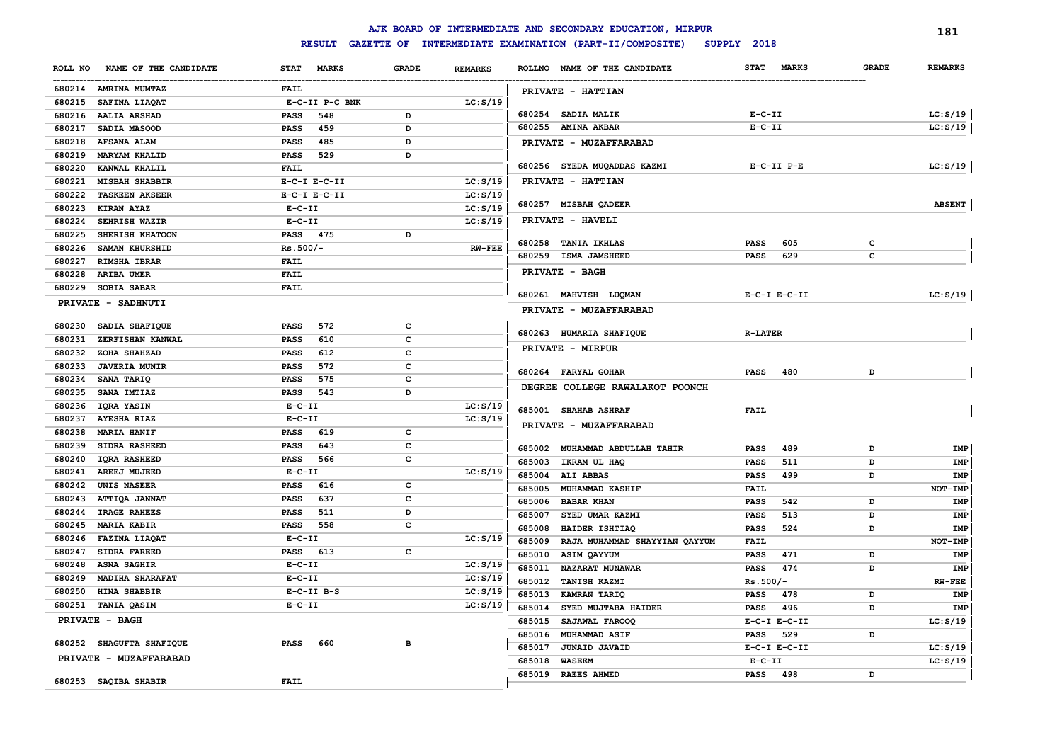|                                  |                    |              |                | AJK BOARD OF INTERMEDIATE AND SECONDARY EDUCATION, MIRPUR |                             |              | 181            |
|----------------------------------|--------------------|--------------|----------------|-----------------------------------------------------------|-----------------------------|--------------|----------------|
|                                  | <b>RESULT</b>      |              |                | GAZETTE OF INTERMEDIATE EXAMINATION (PART-II/COMPOSITE)   | SUPPLY 2018                 |              |                |
| NAME OF THE CANDIDATE<br>ROLL NO | STAT MARKS         | <b>GRADE</b> | <b>REMARKS</b> | ROLLNO NAME OF THE CANDIDATE                              | <b>STAT</b><br><b>MARKS</b> | <b>GRADE</b> | <b>REMARKS</b> |
| 680214 AMRINA MUMTAZ             | FAIL               |              |                | PRIVATE - HATTIAN                                         |                             |              |                |
| 680215 SAFINA LIAQAT             | E-C-II P-C BNK     |              | LC: S/19       |                                                           |                             |              |                |
| 680216 AALIA ARSHAD              | <b>PASS</b><br>548 | D            |                | 680254 SADIA MALIK                                        | $E-C-II$                    |              | LC: S/19       |
| 680217<br>SADIA MASOOD           | <b>PASS</b><br>459 | D            |                | 680255 AMINA AKBAR                                        | $E-C-II$                    |              | LC: S/19       |
| 680218 AFSANA ALAM               | <b>PASS</b><br>485 | D            |                | PRIVATE - MUZAFFARABAD                                    |                             |              |                |
| 680219 MARYAM KHALID             | <b>PASS</b><br>529 | D            |                |                                                           |                             |              |                |
| 680220<br>KANWAL KHALIL          | FAIL               |              |                | 680256 SYEDA MUQADDAS KAZMI                               | $E-C-TI$ $P-E$              |              | LC: S/19       |
| 680221<br><b>MISBAH SHABBIR</b>  | $E-C-I$ $E-C-II$   |              | LC: S/19       | PRIVATE - HATTIAN                                         |                             |              |                |
| 680222 TASKEEN AKSEER            | $E-C-I$ $E-C-II$   |              | LC: S/19       |                                                           |                             |              |                |
| 680223 KIRAN AYAZ                | $E- C- II$         |              | LC: S/19       | 680257 MISBAH QADEER                                      |                             |              | <b>ABSENT</b>  |
| 680224<br>SEHRISH WAZIR          | $E- C- II$         |              | LC: S/19       | PRIVATE - HAVELI                                          |                             |              |                |
| 680225<br>SHERISH KHATOON        | <b>PASS</b> 475    | D            |                |                                                           |                             |              |                |
| 680226<br><b>SAMAN KHURSHID</b>  | $Rs.500/-$         |              | <b>RW-FEE</b>  | 680258<br><b>TANIA IKHLAS</b>                             | <b>PASS</b><br>605          | c            |                |
| 680227<br><b>RIMSHA IBRAR</b>    | <b>FAIL</b>        |              |                | 680259 ISMA JAMSHEED                                      | 629<br>PASS                 | c            |                |
| 680228<br>ARIBA UMER             | <b>FAIL</b>        |              |                | <b>PRIVATE - BAGH</b>                                     |                             |              |                |
| 680229 SOBIA SABAR               | <b>FAIL</b>        |              |                |                                                           |                             |              |                |
| PRIVATE - SADHNUTI               |                    |              |                | 680261 MAHVISH LUQMAN                                     | $E-C-I$ $E-C-II$            |              | LC: S/19       |
|                                  |                    |              |                | PRIVATE - MUZAFFARABAD                                    |                             |              |                |
| 680230<br>SADIA SHAFIQUE         | 572<br><b>PASS</b> | c            |                |                                                           |                             |              |                |
| 680231<br>ZERFISHAN KANWAL       | 610<br><b>PASS</b> | c            |                | 680263 HUMARIA SHAFIQUE                                   | <b>R-LATER</b>              |              |                |
| 680232<br>ZOHA SHAHZAD           | <b>PASS</b><br>612 | c            |                | PRIVATE - MIRPUR                                          |                             |              |                |
| <b>JAVERIA MUNIR</b><br>680233   | 572<br><b>PASS</b> | C            |                | 680264 FARYAL GOHAR                                       |                             | D            |                |
| 680234<br>SANA TARIQ             | 575<br><b>PASS</b> | c            |                |                                                           | PASS<br>480                 |              |                |
| SANA IMTIAZ<br>680235            | 543<br>PASS        | D            |                | DEGREE COLLEGE RAWALAKOT POONCH                           |                             |              |                |
| 680236<br>IQRA YASIN             | $E-C-II$           |              | LC: S/19       | 685001 SHAHAB ASHRAF                                      | <b>FAIL</b>                 |              |                |
| 680237<br><b>AYESHA RIAZ</b>     | $E - C - II$       |              | LC: S/19       |                                                           |                             |              |                |
| 680238<br><b>MARIA HANIF</b>     | 619<br><b>PASS</b> | c            |                | PRIVATE - MUZAFFARABAD                                    |                             |              |                |
| 680239<br>SIDRA RASHEED          | 643<br><b>PASS</b> | с            |                | 685002<br>MUHAMMAD ABDULLAH TAHIR                         | 489<br><b>PASS</b>          | D            | IMP            |
| 680240<br><b>IQRA RASHEED</b>    | PASS<br>566        | с            |                | 685003<br>IKRAM UL HAQ                                    | PASS<br>511                 | D            | IMP            |
| 680241<br>AREEJ MUJEED           | $E-C-II$           |              | LC: S/19       | 685004 ALIABBAS                                           | PASS<br>499                 | D            | IMP            |
| 680242<br>UNIS NASEER            | <b>PASS</b><br>616 | c            |                | 685005<br><b>MUHAMMAD KASHIF</b>                          | FAIL                        |              | NOT-IMP        |
| 680243<br><b>ATTIQA JANNAT</b>   | 637<br><b>PASS</b> | c            |                | 685006<br><b>BABAR KHAN</b>                               | <b>PASS</b><br>542          | D            | IMP            |
| 680244<br>IRAGE RAHEES           | <b>PASS</b><br>511 | D            |                | 685007<br>SYED UMAR KAZMI                                 | PASS<br>513                 | D            | IMP            |
| 680245<br><b>MARIA KABIR</b>     | 558<br>PASS        | c            |                | 685008<br>HAIDER ISHTIAQ                                  | <b>PASS</b><br>524          | D            | IMP            |
| 680246<br>FAZINA LIAQAT          | $E-C-II$           |              | LC: S/19       | RAJA MUHAMMAD SHAYYIAN QAYYUM<br>685009                   | FAIL                        |              | NOT-IMP        |
| 680247<br>SIDRA FAREED           | PASS 613           | c            |                | 685010<br>ASIM QAYYUM                                     | PASS<br>471                 | D            | IMP            |
| 680248<br><b>ASNA SAGHIR</b>     | $E-C-II$           |              | LC: S/19       | 685011<br>NAZARAT MUNAWAR                                 | 474<br><b>PASS</b>          | D            | IMP            |
| 680249 MADIHA SHARAFAT           | $E-C-II$           |              | LC: S/19       | 685012 TANISH KAZMI                                       | $Rs.500/-$                  |              | $RW-FEE$       |
| 680250 HINA SHABBIR              | $E-C-II$ $B-S$     |              | LC: S/19       | 685013 KAMRAN TARIQ                                       | PASS 478                    |              | IMP            |
| 680251 TANIA QASIM               | $E-C-II$           |              | LC: S/19       | 685014 SYED MUJTABA HAIDER                                | <b>PASS</b> 496             | D            | IMP            |
| <b>PRIVATE - BAGH</b>            |                    |              |                | 685015 SAJAWAL FAROOQ                                     | $E-C-I$ $E-C-II$            |              | LC: S/19       |
|                                  |                    |              |                | 685016 MUHAMMAD ASIF                                      | PASS 529                    | D            |                |
| 680252 SHAGUFTA SHAFIQUE         | PASS 660           | в            |                | 685017 JUNAID JAVAID                                      | $E-C-I$ $E-C-II$            |              | LC: S/19       |
| PRIVATE - MUZAFFARABAD           |                    |              |                | 685018<br><b>WASEEM</b>                                   | $E-C-II$                    |              | LC: S/19       |
|                                  |                    |              |                | 685019 RAEES AHMED                                        | PASS 498                    | D            |                |
| 680253 SAQIBA SHABIR             | FAIL               |              |                |                                                           |                             |              |                |
|                                  |                    |              |                |                                                           |                             |              |                |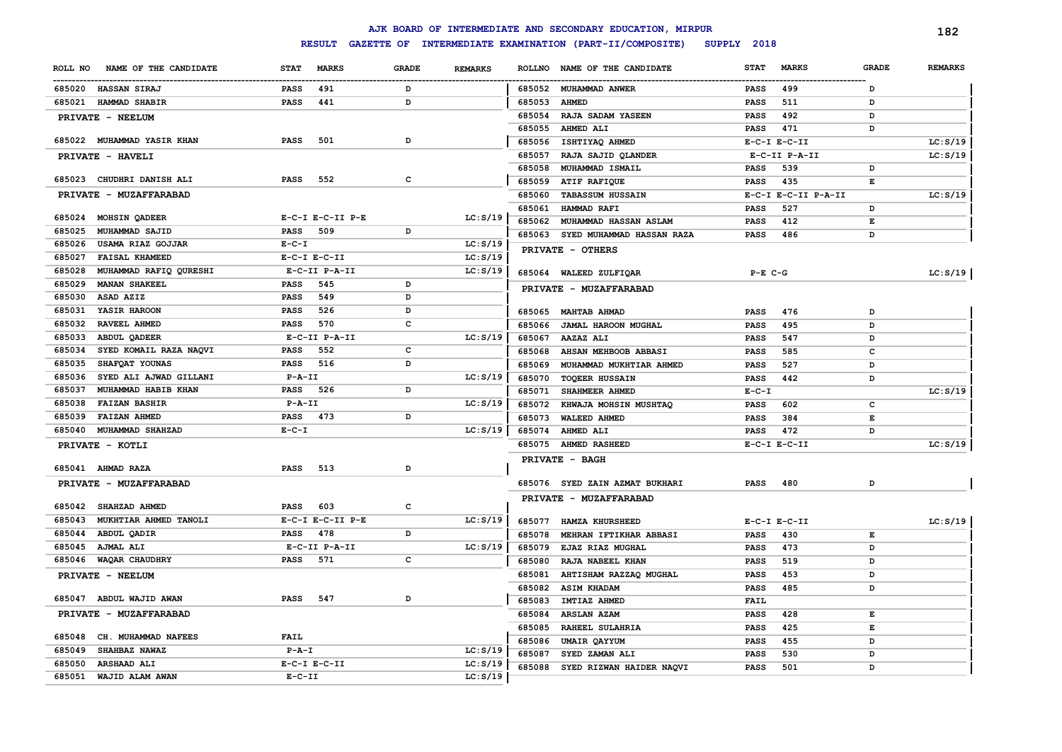|         |                            |              |                        |              |                |        | AJK BOARD OF INTERMEDIATE AND SECONDARY EDUCATION, MIRPUR |             |                     |              | 182            |
|---------|----------------------------|--------------|------------------------|--------------|----------------|--------|-----------------------------------------------------------|-------------|---------------------|--------------|----------------|
|         |                            |              | <b>RESULT</b>          |              |                |        | GAZETTE OF INTERMEDIATE EXAMINATION (PART-II/COMPOSITE)   | SUPPLY 2018 |                     |              |                |
| ROLL NO | NAME OF THE CANDIDATE      | <b>STAT</b>  | <b>MARKS</b>           | <b>GRADE</b> | <b>REMARKS</b> |        | ROLLNO NAME OF THE CANDIDATE                              | <b>STAT</b> | <b>MARKS</b>        | <b>GRADE</b> | <b>REMARKS</b> |
|         | 685020 HASSAN SIRAJ        | <b>PASS</b>  | 491                    | D            |                |        | 685052 MUHAMMAD ANWER                                     | <b>PASS</b> | 499                 | D            |                |
| 685021  | <b>HAMMAD SHABIR</b>       | <b>PASS</b>  | 441                    | D            |                | 685053 | <b>AHMED</b>                                              | <b>PASS</b> | 511                 | D            |                |
|         | PRIVATE - NEELUM           |              |                        |              |                | 685054 | RAJA SADAM YASEEN                                         | <b>PASS</b> | 492                 | D            |                |
|         |                            |              |                        |              |                | 685055 | AHMED ALI                                                 | <b>PASS</b> | 471                 | D            |                |
|         | 685022 MUHAMMAD YASIR KHAN | <b>PASS</b>  | 501                    | D            |                | 685056 | ISHTIYAQ AHMED                                            |             | $E-C-I$ $E-C-II$    |              | LC: S/19       |
|         | PRIVATE - HAVELI           |              |                        |              |                | 685057 | RAJA SAJID QLANDER                                        |             | E-C-II P-A-II       |              | LC: S/19       |
|         |                            |              |                        |              |                | 685058 | MUHAMMAD ISMAIL                                           | <b>PASS</b> | 539                 | D            |                |
|         | 685023 CHUDHRI DANISH ALI  | <b>PASS</b>  | 552                    | c            |                | 685059 | ATIF RAFIQUE                                              | <b>PASS</b> | 435                 | E            |                |
|         | PRIVATE - MUZAFFARABAD     |              |                        |              |                | 685060 | <b>TABASSUM HUSSAIN</b>                                   |             | E-C-I E-C-II P-A-II |              | LC: S/19       |
|         |                            |              |                        |              |                | 685061 | HAMMAD RAFI                                               | <b>PASS</b> | 527                 | D            |                |
| 685024  | MOHSIN QADEER              |              | E-C-I E-C-II P-E       |              | LC: S/19       | 685062 | MUHAMMAD HASSAN ASLAM                                     | <b>PASS</b> | 412                 | E            |                |
| 685025  | MUHAMMAD SAJID             | <b>PASS</b>  | 509                    | D            |                | 685063 | SYED MUHAMMAD HASSAN RAZA                                 | <b>PASS</b> | 486                 | D            |                |
| 685026  | USAMA RIAZ GOJJAR          | $E - C - I$  |                        |              | LC: S/19       |        | PRIVATE - OTHERS                                          |             |                     |              |                |
| 685027  | <b>FAISAL KHAMEED</b>      |              | $E-C-I$ $E-C-II$       |              | LC: S/19       |        |                                                           |             |                     |              |                |
| 685028  | MUHAMMAD RAFIQ QURESHI     |              | E-C-II P-A-II          |              | LC: S/19       | 685064 | WALEED ZULFIQAR                                           | $P-E$ C-G   |                     |              | LC: S/19       |
| 685029  | <b>MANAN SHAKEEL</b>       | <b>PASS</b>  | 545                    | D            |                |        | PRIVATE - MUZAFFARABAD                                    |             |                     |              |                |
| 685030  | ASAD AZIZ                  | <b>PASS</b>  | 549                    | D            |                |        |                                                           |             |                     |              |                |
| 685031  | YASIR HAROON               | <b>PASS</b>  | 526                    | D            |                | 685065 | <b>MAHTAB AHMAD</b>                                       | <b>PASS</b> | 476                 | D            |                |
| 685032  | RAVEEL AHMED               | <b>PASS</b>  | 570                    | C            |                | 685066 | JAMAL HAROON MUGHAL                                       | <b>PASS</b> | 495                 | D            |                |
| 685033  | <b>ABDUL QADEER</b>        |              | E-C-II P-A-II          |              | LC: S/19       | 685067 | AAZAZ ALI                                                 | <b>PASS</b> | 547                 | D            |                |
| 685034  | SYED KOMAIL RAZA NAQVI     | <b>PASS</b>  | 552                    | c            |                | 685068 | AHSAN MEHBOOB ABBASI                                      | <b>PASS</b> | 585                 | c            |                |
| 685035  | SHAFQAT YOUNAS             | <b>PASS</b>  | 516                    | D            |                | 685069 | MUHAMMAD MUKHTIAR AHMED                                   | <b>PASS</b> | 527                 | D            |                |
| 685036  | SYED ALI AJWAD GILLANI     | $P - A - II$ |                        |              | LC: S/19       | 685070 | <b>TOQEER HUSSAIN</b>                                     | <b>PASS</b> | 442                 | D            |                |
| 685037  | MUHAMMAD HABIB KHAN        | PASS         | 526                    | D            |                | 685071 | SHAHMEER AHMED                                            | $E - C - I$ |                     |              | LC: S/19       |
| 685038  | <b>FAIZAN BASHIR</b>       | $P - A - II$ |                        |              | LC: S/19       | 685072 | KHWAJA MOHSIN MUSHTAQ                                     | <b>PASS</b> | 602                 | c            |                |
| 685039  | <b>FAIZAN AHMED</b>        | <b>PASS</b>  | 473                    | D            |                | 685073 | <b>WALEED AHMED</b>                                       | <b>PASS</b> | 384                 | E            |                |
| 685040  | MUHAMMAD SHAHZAD           | $E - C - I$  |                        |              | LC: S/19       | 685074 | AHMED ALI                                                 | <b>PASS</b> | 472                 | D            |                |
|         | PRIVATE - KOTLI            |              |                        |              |                | 685075 | <b>AHMED RASHEED</b>                                      |             | $E-C-I$ $E-C-II$    |              | LC: S/19       |
|         |                            |              |                        |              |                |        | PRIVATE - BAGH                                            |             |                     |              |                |
|         | 685041 AHMAD RAZA          | <b>PASS</b>  | 513                    | D            |                |        |                                                           |             |                     |              |                |
|         | PRIVATE - MUZAFFARABAD     |              |                        |              |                |        | 685076 SYED ZAIN AZMAT BUKHARI                            | <b>PASS</b> | 480                 | D            |                |
|         |                            |              |                        |              |                |        | PRIVATE - MUZAFFARABAD                                    |             |                     |              |                |
|         | 685042 SHAHZAD AHMED       | <b>PASS</b>  | 603                    | c            |                |        |                                                           |             |                     |              |                |
| 685043  | MUKHTIAR AHMED TANOLI      |              | $E-C-I$ $E-C-II$ $P-E$ |              | LC: S/19       | 685077 | HAMZA KHURSHEED                                           |             | $E-C-I$ $E-C-II$    |              | LC: S/19       |
|         | 685044 ABDUL QADIR         | <b>PASS</b>  | 478                    | D            |                | 685078 | MEHRAN IFTIKHAR ABBASI                                    | <b>PASS</b> | 430                 | Е            |                |
|         | 685045 AJMAL ALI           |              | E-C-II P-A-II          |              | LC: S/19       | 685079 | EJAZ RIAZ MUGHAL                                          | <b>PASS</b> | 473                 | D            |                |
|         | 685046 WAQAR CHAUDHRY      | <b>PASS</b>  | 571                    | $\mathbf{C}$ |                | 685080 | RAJA NABEEL KHAN                                          | <b>PASS</b> | 519                 | D            |                |
|         | PRIVATE - NEELUM           |              |                        |              |                | 685081 | AHTISHAM RAZZAQ MUGHAL                                    | <b>PASS</b> | 453                 | D            |                |
|         |                            |              |                        | D            |                | 685082 | <b>ASIM KHADAM</b>                                        | <b>PASS</b> | 485                 | D            |                |
|         | 685047 ABDUL WAJID AWAN    | <b>PASS</b>  | 547                    |              |                | 685083 | IMTIAZ AHMED                                              | FAIL        |                     |              |                |
|         | PRIVATE - MUZAFFARABAD     |              |                        |              |                | 685084 | <b>ARSLAN AZAM</b>                                        | <b>PASS</b> | 428                 | Е            |                |
| 685048  | CH. MUHAMMAD NAFEES        | <b>FAIL</b>  |                        |              |                | 685085 | RAHEEL SULAHRIA                                           | <b>PASS</b> | 425                 | E            |                |
| 685049  | SHAHBAZ NAWAZ              | $P - A - I$  |                        |              | LC: S/19       | 685086 | <b>UMAIR QAYYUM</b>                                       | <b>PASS</b> | 455                 | D            |                |
| 685050  | <b>ARSHAAD ALI</b>         |              | $E-C-I$ $E-C-II$       |              | LC: S/19       | 685087 | SYED ZAMAN ALI                                            | <b>PASS</b> | 530                 | D            |                |
| 685051  | WAJID ALAM AWAN            | $E - C - II$ |                        |              | LC: S/19       | 685088 | SYED RIZWAN HAIDER NAQVI                                  | <b>PASS</b> | 501                 | D            |                |
|         |                            |              |                        |              |                |        |                                                           |             |                     |              |                |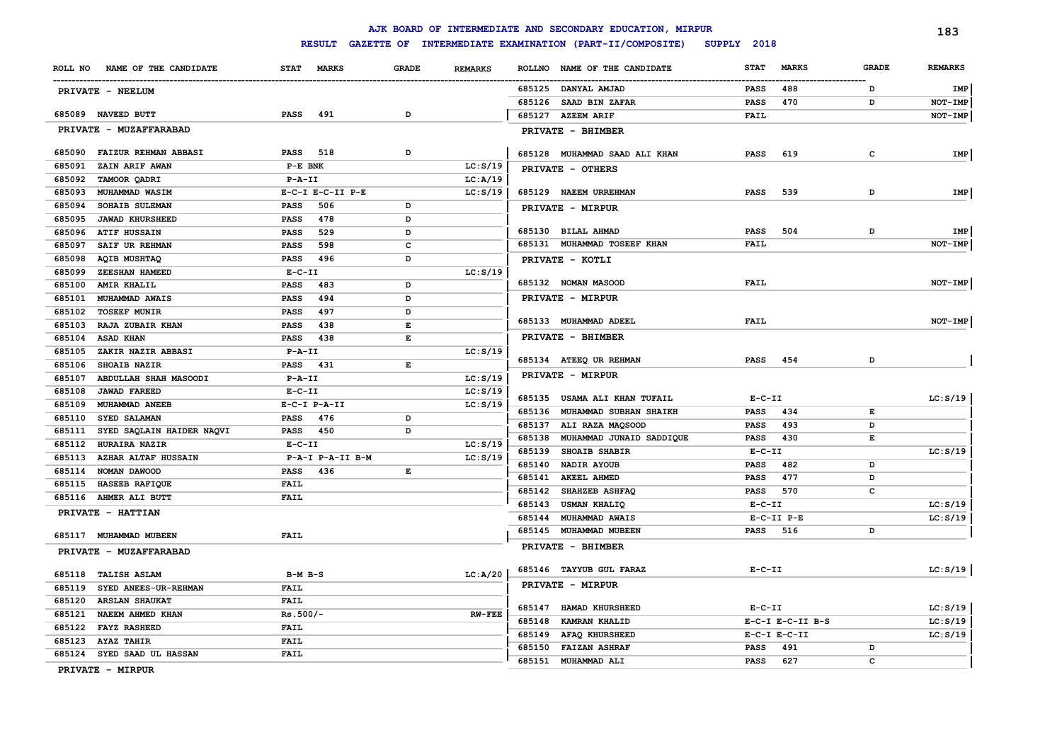# **RESULT GAZETTE OF INTERMEDIATE EXAMINATION (PART-II/COMPOSITE) SUPPLY 2018**

|         |                             |              |                  |              |                |                  | AJK BOARD OF INTERMEDIATE AND SECONDARY EDUCATION, MIRPUR |              |                        |              | 183            |
|---------|-----------------------------|--------------|------------------|--------------|----------------|------------------|-----------------------------------------------------------|--------------|------------------------|--------------|----------------|
|         |                             |              | <b>RESULT</b>    |              |                |                  | GAZETTE OF INTERMEDIATE EXAMINATION (PART-II/COMPOSITE)   | SUPPLY 2018  |                        |              |                |
| ROLL NO | NAME OF THE CANDIDATE       | <b>STAT</b>  | <b>MARKS</b>     | <b>GRADE</b> | <b>REMARKS</b> | <b>ROLLNO</b>    | NAME OF THE CANDIDATE                                     | STAT         | <b>MARKS</b>           | <b>GRADE</b> | <b>REMARKS</b> |
|         | PRIVATE - NEELUM            |              |                  |              |                |                  | 685125 DANYAL AMJAD                                       | PASS         | 488                    | D            | IMP            |
|         |                             |              |                  |              |                | 685126           | <b>SAAD BIN ZAFAR</b>                                     | <b>PASS</b>  | 470                    | D            | NOT-IMP        |
|         | 685089 NAVEED BUTT          | <b>PASS</b>  | 491              | D            |                |                  | 685127 AZEEM ARIF                                         | FAIL         |                        |              | NOT-IMP        |
|         | PRIVATE - MUZAFFARABAD      |              |                  |              |                |                  | PRIVATE - BHIMBER                                         |              |                        |              |                |
| 685090  | <b>FAIZUR REHMAN ABBASI</b> | <b>PASS</b>  | 518              | D            |                |                  | 685128 MUHAMMAD SAAD ALI KHAN                             | <b>PASS</b>  | 619                    | $\mathbf{C}$ | IMP            |
| 685091  | ZAIN ARIF AWAN              | P-E BNK      |                  |              | LC: S/19       |                  | PRIVATE - OTHERS                                          |              |                        |              |                |
| 685092  | TAMOOR QADRI                | $P - A - II$ |                  |              | LC: A/19       |                  |                                                           |              |                        |              |                |
| 685093  | MUHAMMAD WASIM              |              | E-C-I E-C-II P-E |              | LC: S/19       |                  | 685129 NAEEM URREHMAN                                     | <b>PASS</b>  | 539                    | D            | IMP            |
| 685094  | SOHAIB SULEMAN              | PASS         | 506              | D            |                |                  | PRIVATE - MIRPUR                                          |              |                        |              |                |
| 685095  | <b>JAWAD KHURSHEED</b>      | <b>PASS</b>  | 478              | D            |                |                  |                                                           |              |                        |              |                |
| 685096  | <b>ATIF HUSSAIN</b>         | <b>PASS</b>  | 529              | D            |                |                  | 685130 BILAL AHMAD                                        | <b>PASS</b>  | 504                    | D            | IMP            |
| 685097  | SAIF UR REHMAN              | <b>PASS</b>  | 598              | c            |                |                  | 685131 MUHAMMAD TOSEEF KHAN                               | <b>FAIL</b>  |                        |              | NOT-IMP        |
| 685098  | <b>AQIB MUSHTAQ</b>         | <b>PASS</b>  | 496              | D            |                |                  | PRIVATE - KOTLI                                           |              |                        |              |                |
| 685099  | ZEESHAN HAMEED              | $E-C-II$     |                  |              | LC: S/19       |                  |                                                           |              |                        |              |                |
| 685100  | <b>AMIR KHALIL</b>          | <b>PASS</b>  | 483              | D            |                |                  | 685132 NOMAN MASOOD                                       | <b>FAIL</b>  |                        |              | NOT-IMP        |
| 685101  | MUHAMMAD AWAIS              | <b>PASS</b>  | 494              | D            |                |                  | PRIVATE - MIRPUR                                          |              |                        |              |                |
| 685102  | <b>TOSEEF MUNIR</b>         | <b>PASS</b>  | 497              | D            |                |                  |                                                           |              |                        |              |                |
| 685103  | RAJA ZUBAIR KHAN            | <b>PASS</b>  | 438              | E            |                |                  | 685133 MUHAMMAD ADEEL                                     | <b>FAIL</b>  |                        |              | $NOT-IMP$      |
| 685104  | <b>ASAD KHAN</b>            | PASS         | 438              | E            |                |                  | PRIVATE - BHIMBER                                         |              |                        |              |                |
| 685105  | ZAKIR NAZIR ABBASI          | $P - A - II$ |                  |              | LC: S/19       |                  |                                                           |              |                        |              |                |
| 685106  | SHOAIB NAZIR                | PASS         | 431              | E            |                |                  | 685134 ATEEQ UR REHMAN                                    | PASS         | 454                    | D            |                |
| 685107  | ABDULLAH SHAH MASOODI       | $P - A - II$ |                  |              | LC: S/19       |                  | PRIVATE - MIRPUR                                          |              |                        |              |                |
| 685108  | <b>JAWAD FAREED</b>         | $E-C-II$     |                  |              | LC: S/19       |                  | 685135 USAMA ALI KHAN TUFAIL                              | $E-C-II$     |                        |              | LC: S/19       |
| 685109  | MUHAMMAD ANEEB              |              | E-C-I P-A-II     |              | LC: S/19       |                  | 685136 MUHAMMAD SUBHAN SHAIKH                             |              | 434                    |              |                |
| 685110  | SYED SALAMAN                | PASS         | 476              | D            |                |                  |                                                           | <b>PASS</b>  |                        | Е            |                |
| 685111  | SYED SAQLAIN HAIDER NAQVI   | <b>PASS</b>  | 450              | D            |                | 685137<br>685138 | ALI RAZA MAQSOOD                                          | <b>PASS</b>  | 493<br>430             | D<br>E       |                |
| 685112  | HURAIRA NAZIR               | $E-C-II$     |                  |              | LC: S/19       |                  | MUHAMMAD JUNAID SADDIQUE                                  | <b>PASS</b>  |                        |              |                |
| 685113  | <b>AZHAR ALTAF HUSSAIN</b>  |              | P-A-I P-A-II B-M |              | LC: S/19       | 685139           | <b>SHOAIB SHABIR</b>                                      | $E - C - II$ |                        |              | LC: S/19       |
| 685114  | NOMAN DAWOOD                | PASS 436     |                  | E            |                | 685140           | NADIR AYOUB                                               | <b>PASS</b>  | 482                    | D            |                |
| 685115  | HASEEB RAFIQUE              | <b>FAIL</b>  |                  |              |                | 685141           | <b>AKEEL AHMED</b>                                        | <b>PASS</b>  | 477                    | D            |                |
| 685116  | <b>AHMER ALI BUTT</b>       | <b>FAIL</b>  |                  |              |                | 685142           | SHAHZEB ASHFAQ                                            | <b>PASS</b>  | 570                    | c            |                |
|         | PRIVATE - HATTIAN           |              |                  |              |                | 685143           | <b>USMAN KHALIQ</b>                                       | $E- C- II$   |                        |              | LC: S/19       |
|         |                             |              |                  |              |                | 685144           | MUHAMMAD AWAIS                                            |              | $E-C-TI$ $P-E$         |              | LC: S/19       |
| 685117  | MUHAMMAD MUBEEN             | <b>FAIL</b>  |                  |              |                | 685145           | MUHAMMAD MUBEEN                                           | <b>PASS</b>  | 516                    | D            |                |
|         | PRIVATE - MUZAFFARABAD      |              |                  |              |                |                  | PRIVATE - BHIMBER                                         |              |                        |              |                |
| 685118  | <b>TALISH ASLAM</b>         | $B-M$ $B-S$  |                  |              | LC: A/20       |                  | 685146 TAYYUB GUL FARAZ                                   | $E - C - II$ |                        |              | LC: S/19       |
| 685119  | SYED ANEES-UR-REHMAN        | <b>FAIL</b>  |                  |              |                |                  | PRIVATE - MIRPUR                                          |              |                        |              |                |
| 685120  | <b>ARSLAN SHAUKAT</b>       | <b>FAIL</b>  |                  |              |                |                  |                                                           |              |                        |              |                |
| 685121  | NAEEM AHMED KHAN            | $Rs.500/-$   |                  |              | <b>RW-FEE</b>  | 685147           | <b>HAMAD KHURSHEED</b>                                    | $E- C- II$   |                        |              | LC: S/19       |
| 685122  | <b>FAYZ RASHEED</b>         | <b>FAIL</b>  |                  |              |                | 685148           | <b>KAMRAN KHALID</b>                                      |              | $E-C-I$ $E-C-II$ $B-S$ |              | LC: S/19       |
| 685123  | <b>AYAZ TAHIR</b>           | <b>FAIL</b>  |                  |              |                | 685149           | <b>AFAQ KHURSHEED</b>                                     |              | $E-C-I$ $E-C-II$       |              | LC: S/19       |
|         | 685124 SYED SAAD UL HASSAN  | <b>FAIL</b>  |                  |              |                | 685150           | <b>FAIZAN ASHRAF</b>                                      | PASS         | 491                    | D            |                |
|         |                             |              |                  |              |                | 685151           | MUHAMMAD ALI                                              | <b>PASS</b>  | 627                    | c            |                |

**PRIVATE - MIRPUR**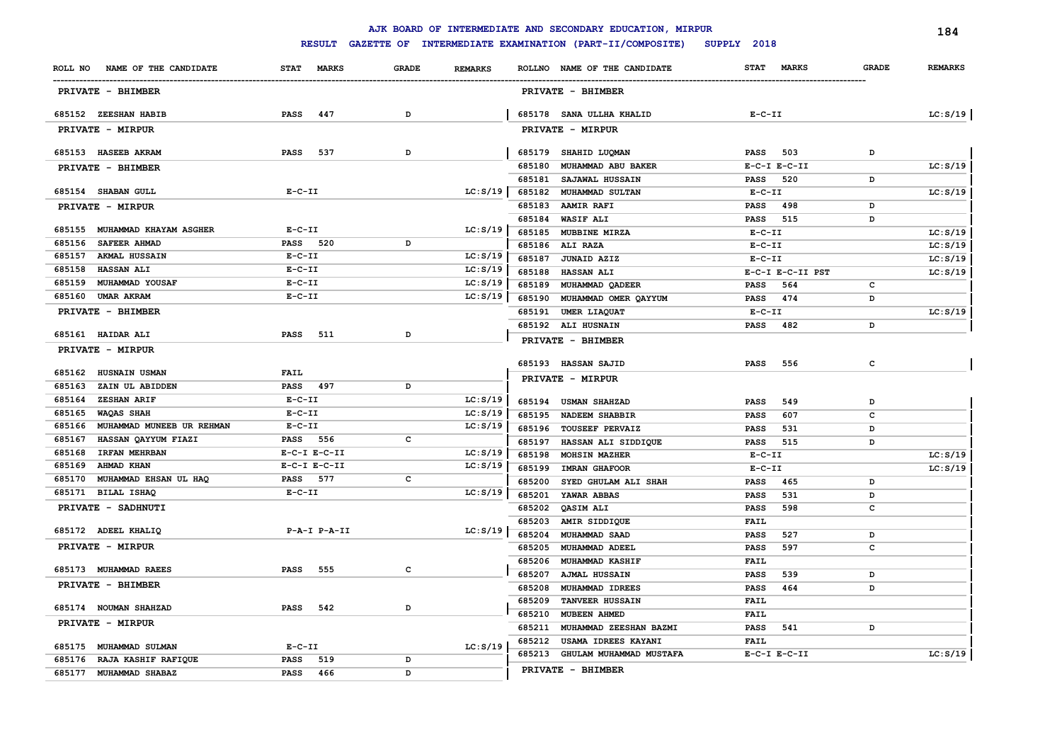|                                                   |                             |              |                |                  | AJK BOARD OF INTERMEDIATE AND SECONDARY EDUCATION, MIRPUR |                                |              | 184            |
|---------------------------------------------------|-----------------------------|--------------|----------------|------------------|-----------------------------------------------------------|--------------------------------|--------------|----------------|
|                                                   | <b>RESULT</b>               |              |                |                  | GAZETTE OF INTERMEDIATE EXAMINATION (PART-II/COMPOSITE)   | SUPPLY 2018                    |              |                |
| NAME OF THE CANDIDATE<br>ROLL NO                  | <b>STAT</b><br><b>MARKS</b> | <b>GRADE</b> | <b>REMARKS</b> |                  | ROLLNO NAME OF THE CANDIDATE                              | <b>MARKS</b><br><b>STAT</b>    | <b>GRADE</b> | <b>REMARKS</b> |
| PRIVATE - BHIMBER                                 |                             |              |                |                  | <b>PRIVATE - BHIMBER</b>                                  |                                |              |                |
| 685152 ZEESHAN HABIB                              | <b>PASS</b><br>447          | D            |                |                  | 685178 SANA ULLHA KHALID                                  | $E-C-II$                       |              | LC: S/19       |
| PRIVATE - MIRPUR                                  |                             |              |                |                  | PRIVATE - MIRPUR                                          |                                |              |                |
| 685153 HASEEB AKRAM                               | 537<br><b>PASS</b>          | D            |                | 685179           | <b>SHAHID LUQMAN</b>                                      | 503<br>PASS                    | D            |                |
| PRIVATE - BHIMBER                                 |                             |              |                | 685180           | MUHAMMAD ABU BAKER                                        | $E-C-I$ $E-C-II$               |              | LC: S/19       |
| 685154 SHABAN GULL                                | $E - C - II$                |              | LC: S/19       | 685181           | SAJAWAL HUSSAIN                                           | <b>PASS</b><br>520             | D            |                |
|                                                   |                             |              |                | 685182<br>685183 | <b>MUHAMMAD SULTAN</b><br><b>AAMIR RAFI</b>               | $E-C-II$<br><b>PASS</b><br>498 | D            | LC: S/19       |
| PRIVATE - MIRPUR                                  |                             |              |                |                  | 685184 WASIF ALI                                          | 515<br><b>PASS</b>             | D            |                |
| 685155 MUHAMMAD KHAYAM ASGHER                     | $E-C-II$                    |              | LC: S/19       | 685185           | MUBBINE MIRZA                                             | $E-C-II$                       |              | LC: S/19       |
| 685156<br><b>SAFEER AHMAD</b>                     | <b>PASS</b> 520             | D            |                |                  | 685186 ALI RAZA                                           | $E - C - II$                   |              | LC: S/19       |
| 685157<br><b>AKMAL HUSSAIN</b>                    | $E - C - II$                |              | LC: S/19       | 685187           | JUNAID AZIZ                                               | $E-C-II$                       |              | LC: S/19       |
| <b>HASSAN ALI</b><br>685158                       | $E - C - II$                |              | LC: S/19       | 685188           | <b>HASSAN ALI</b>                                         | E-C-I E-C-II PST               |              | LC: S/19       |
| 685159<br>MUHAMMAD YOUSAF                         | $E - C - II$                |              | LC: S/19       | 685189           | MUHAMMAD QADEER                                           | 564<br>PASS                    | c            |                |
| 685160<br>UMAR AKRAM                              | $E - C - II$                |              | LC: S/19       | 685190           | MUHAMMAD OMER QAYYUM                                      | 474<br>PASS                    | D            |                |
| PRIVATE - BHIMBER                                 |                             |              |                | 685191           | UMER LIAQUAT                                              | $E - C - II$                   |              | LC: S/19       |
|                                                   |                             |              |                |                  | 685192 ALI HUSNAIN                                        | <b>PASS</b><br>482             | D            |                |
| 685161 HAIDAR ALI                                 | <b>PASS</b><br>511          | D            |                |                  | PRIVATE - BHIMBER                                         |                                |              |                |
| PRIVATE - MIRPUR                                  |                             |              |                |                  |                                                           |                                |              |                |
|                                                   |                             |              |                |                  | 685193 HASSAN SAJID                                       | 556<br><b>PASS</b>             | $\mathtt{c}$ |                |
| 685162 HUSNAIN USMAN<br>685163<br>ZAIN UL ABIDDEN | FAIL<br>PASS 497            | D            |                |                  | PRIVATE - MIRPUR                                          |                                |              |                |
| 685164<br><b>ZESHAN ARIF</b>                      | $E - C - II$                |              | LC: S/19       |                  |                                                           |                                |              |                |
| WAQAS SHAH<br>685165                              | $E-C-II$                    |              | LC: S/19       |                  | 685194 USMAN SHAHZAD                                      | 549<br><b>PASS</b>             | D            |                |
| MUHAMMAD MUNEEB UR REHMAN<br>685166               | $E-C-TI$                    |              | LC: S/19       | 685195<br>685196 | <b>NADEEM SHABBIR</b>                                     | 607<br><b>PASS</b>             | c            |                |
| HASSAN QAYYUM FIAZI<br>685167                     | PASS 556                    | с            |                |                  | <b>TOUSEEF PERVAIZ</b>                                    | <b>PASS</b><br>531<br>515      | D<br>D       |                |
| 685168<br><b>IRFAN MEHRBAN</b>                    | $E-C-I$ $E-C-II$            |              | LC: S/19       | 685197<br>685198 | HASSAN ALI SIDDIQUE<br>MOHSIN MAZHER                      | <b>PASS</b><br>$E-C-II$        |              | LC: S/19       |
| AHMAD KHAN<br>685169                              | $E-C-I$ $E-C-II$            |              | LC: S/19       | 685199           | <b>IMRAN GHAFOOR</b>                                      | $E-C-II$                       |              | LC: S/19       |
| MUHAMMAD EHSAN UL HAQ<br>685170                   | PASS 577                    | $\mathtt{C}$ |                | 685200           | SYED GHULAM ALI SHAH                                      | 465<br>PASS                    | D            |                |
| 685171<br>BILAL ISHAQ                             | $E - C - II$                |              | LC: S/19       | 685201           | YAWAR ABBAS                                               | 531<br><b>PASS</b>             | D            |                |
| PRIVATE - SADHNUTI                                |                             |              |                | 685202           | QASIM ALI                                                 | 598<br><b>PASS</b>             | c            |                |
|                                                   |                             |              |                | 685203           | AMIR SIDDIQUE                                             | FAIL                           |              |                |
| 685172 ADEEL KHALIQ                               | $P-A-I$ $P-A-II$            |              | LC: S/19       | 685204           | MUHAMMAD SAAD                                             | 527<br><b>PASS</b>             | D            |                |
| PRIVATE - MIRPUR                                  |                             |              |                | 685205           | MUHAMMAD ADEEL                                            | <b>PASS</b><br>597             | c            |                |
|                                                   |                             |              |                | 685206           | <b>MUHAMMAD KASHIF</b>                                    | <b>FAIL</b>                    |              |                |
| 685173 MUHAMMAD RAEES                             | <b>PASS</b><br>555          | с            |                | 685207           | <b>AJMAL HUSSAIN</b>                                      | 539<br><b>PASS</b>             | D            |                |
| PRIVATE - BHIMBER                                 |                             |              |                | 685208           | MUHAMMAD IDREES                                           | 464<br><b>PASS</b>             | D            |                |
|                                                   |                             |              |                | 685209           | <b>TANVEER HUSSAIN</b>                                    | <b>FAIL</b>                    |              |                |
| 685174 NOUMAN SHAHZAD                             | <b>PASS</b><br>542          | D            |                | 685210           | MUBEEN AHMED                                              | <b>FAIL</b>                    |              |                |
| PRIVATE - MIRPUR                                  |                             |              |                | 685211           | MUHAMMAD ZEESHAN BAZMI                                    | <b>PASS</b><br>541             | D            |                |
| 685175 MUHAMMAD SULMAN                            | $E - C - II$                |              | LC: S/19       | 685212           | USAMA IDREES KAYANI                                       | FAIL                           |              |                |
| 685176 RAJA KASHIF RAFIQUE                        | PASS<br>519                 | D            |                | 685213           | GHULAM MUHAMMAD MUSTAFA                                   | $E-C-I$ $E-C-II$               |              | LC: S/19       |
| 685177 MUHAMMAD SHABAZ                            | <b>PASS</b><br>466          | D            |                |                  | PRIVATE - BHIMBER                                         |                                |              |                |
|                                                   |                             |              |                |                  |                                                           |                                |              |                |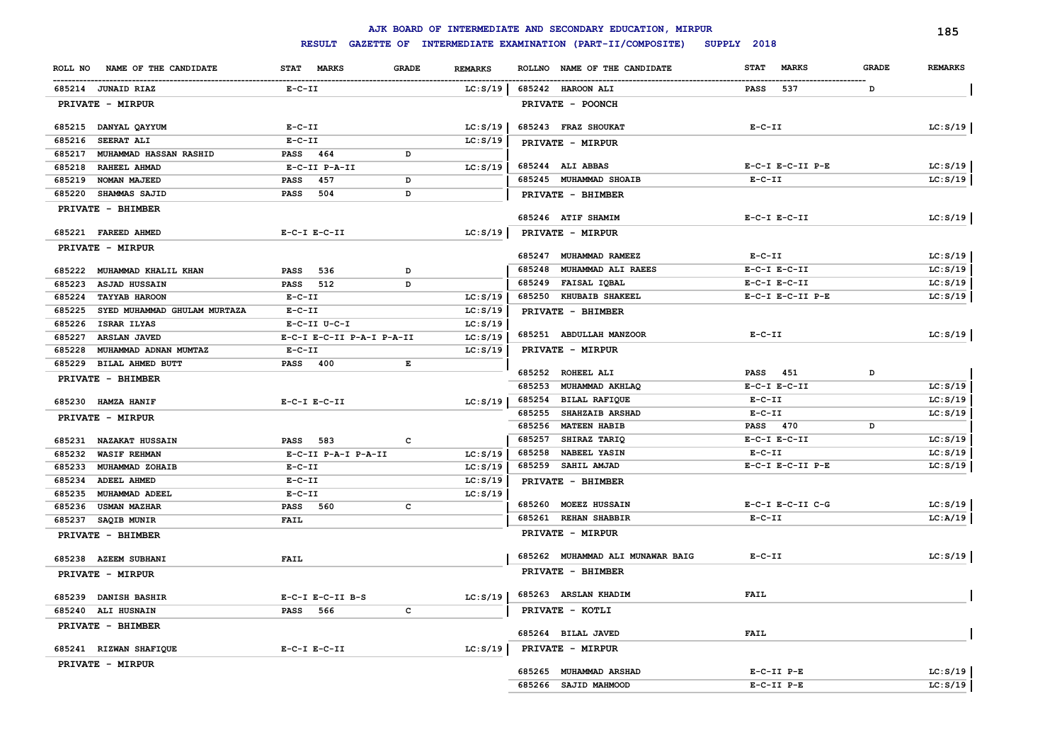|                                                                  |                                  |                                |        | AJK BOARD OF INTERMEDIATE AND SECONDARY EDUCATION, MIRPUR |                                |              | 185            |  |  |
|------------------------------------------------------------------|----------------------------------|--------------------------------|--------|-----------------------------------------------------------|--------------------------------|--------------|----------------|--|--|
|                                                                  | <b>RESULT</b>                    |                                |        | GAZETTE OF INTERMEDIATE EXAMINATION (PART-II/COMPOSITE)   | SUPPLY 2018                    |              |                |  |  |
| NAME OF THE CANDIDATE<br>ROLL NO                                 | STAT MARKS                       | <b>GRADE</b><br><b>REMARKS</b> |        | ROLLNO NAME OF THE CANDIDATE                              | <b>MARKS</b><br><b>STAT</b>    | <b>GRADE</b> | <b>REMARKS</b> |  |  |
| 685214 JUNAID RIAZ                                               | $E- C- II$                       | LC: S/19                       |        | 685242 HAROON ALI                                         | 537<br>PASS                    | D            |                |  |  |
| PRIVATE - MIRPUR                                                 |                                  |                                |        | <b>PRIVATE - POONCH</b>                                   |                                |              |                |  |  |
| 685215 DANYAL QAYYUM                                             | $E-C-II$                         | LC: S/19                       |        | 685243 FRAZ SHOUKAT                                       | $E- C- II$                     |              | LC: S/19       |  |  |
| 685216<br>SEERAT ALI                                             | $E-C-II$                         | LC: S/19                       |        | PRIVATE - MIRPUR                                          |                                |              |                |  |  |
| 685217<br>MUHAMMAD HASSAN RASHID                                 | PASS 464                         | D                              |        |                                                           |                                |              |                |  |  |
| 685218<br>RAHEEL AHMAD                                           | E-C-II P-A-II                    | LC: S/19                       |        | 685244 ALI ABBAS                                          | E-C-I E-C-II P-E               |              | LC: S/19       |  |  |
| 685219<br>NOMAN MAJEED                                           | 457<br><b>PASS</b>               | D                              |        | 685245 MUHAMMAD SHOAIB                                    | $E- C- II$                     |              | LC: S/19       |  |  |
| 685220<br><b>SHAMMAS SAJID</b>                                   | PASS<br>504                      | D                              |        | PRIVATE - BHIMBER                                         |                                |              |                |  |  |
| PRIVATE - BHIMBER                                                |                                  |                                |        | 685246 ATIF SHAMIM                                        | $E-C-I$ $E-C-II$               |              | LC: S/19       |  |  |
| 685221 FAREED AHMED                                              | $E-C-I$ $E-C-II$                 | LC: S/19                       |        | PRIVATE - MIRPUR                                          |                                |              |                |  |  |
| PRIVATE - MIRPUR                                                 |                                  |                                |        |                                                           |                                |              |                |  |  |
|                                                                  |                                  |                                | 685247 | MUHAMMAD RAMEEZ                                           | $E- C- II$                     |              | LC: S/19       |  |  |
| 685222<br>MUHAMMAD KHALIL KHAN                                   | PASS<br>536                      | D                              | 685248 | MUHAMMAD ALI RAEES                                        | $E-C-I$ $E-C-II$               |              | LC: S/19       |  |  |
| 685223 ASJAD HUSSAIN                                             | PASS 512                         | D                              | 685249 | FAISAL IQBAL                                              | $E-C-I$ $E-C-II$               |              | LC: S/19       |  |  |
| 685224<br><b>TAYYAB HAROON</b>                                   | $E- C- II$                       | LC: S/19                       | 685250 | <b>KHUBAIB SHAKEEL</b>                                    | $E-C-I$ $E-C-II$ $P-E$         |              | LC: S/19       |  |  |
| 685225<br>SYED MUHAMMAD GHULAM MURTAZA                           | $E- C- II$                       | LC: S/19                       |        | PRIVATE - BHIMBER                                         |                                |              |                |  |  |
| 685226 ISRAR ILYAS                                               | E-C-II U-C-I                     | LC: S/19                       |        |                                                           |                                |              |                |  |  |
| 685227<br><b>ARSLAN JAVED</b>                                    | E-C-I E-C-II P-A-I P-A-II        | LC: S/19                       |        | 685251 ABDULLAH MANZOOR                                   | $E - C - II$                   |              | LC: S/19       |  |  |
| 685228<br>MUHAMMAD ADNAN MUMTAZ                                  | $E- C- II$                       | LC: S/19                       |        | <b>PRIVATE - MIRPUR</b>                                   |                                |              |                |  |  |
| 685229 BILAL AHMED BUTT                                          | PASS 400                         | Е                              |        |                                                           |                                |              |                |  |  |
| PRIVATE - BHIMBER                                                |                                  |                                | 685252 | <b>ROHEEL ALI</b>                                         | <b>PASS</b> 451                | D            |                |  |  |
|                                                                  |                                  |                                | 685253 | MUHAMMAD AKHLAQ                                           | $E-C-I$ $E-C-II$               |              | LC: S/19       |  |  |
| 685230 HAMZA HANIF                                               | $E-C-I$ $E-C-II$                 | LC: S/19                       | 685254 | BILAL RAFIQUE                                             | $E- C- II$                     |              | LC: S/19       |  |  |
| <b>PRIVATE - MIRPUR</b>                                          |                                  |                                | 685255 | <b>SHAHZAIB ARSHAD</b>                                    | $E- C- II$                     |              | LC: S/19       |  |  |
|                                                                  |                                  |                                | 685256 | <b>MATEEN HABIB</b>                                       | PASS 470                       | D            |                |  |  |
| 685231<br><b>NAZAKAT HUSSAIN</b>                                 | <b>PASS</b> 583                  | c                              | 685257 | SHIRAZ TARIQ                                              | $E-C-I$ $E-C-II$               |              | LC: S/19       |  |  |
| 685232<br><b>WASIF REHMAN</b>                                    | E-C-II P-A-I P-A-II              | LC: S/19                       | 685258 | <b>NABEEL YASIN</b>                                       | $E- C- II$<br>E-C-I E-C-II P-E |              | LC: S/19       |  |  |
| 685233<br>MUHAMMAD ZOHAIB                                        | $E- C- II$                       | LC: S/19                       | 685259 | <b>SAHIL AMJAD</b>                                        |                                |              | LC: S/19       |  |  |
| 685234<br><b>ADEEL AHMED</b>                                     | $E- C- II$                       | LC: S/19                       |        | PRIVATE - BHIMBER                                         |                                |              |                |  |  |
| 685235<br><b>MUHAMMAD ADEEL</b><br>685236<br><b>USMAN MAZHAR</b> | $E- C- II$<br><b>PASS</b><br>560 | LC: S/19<br>c                  |        | 685260 MOEEZ HUSSAIN                                      | $E-C-I$ $E-C-II$ $C-G$         |              | LC: S/19       |  |  |
|                                                                  | <b>FAIL</b>                      |                                |        | 685261 REHAN SHABBIR                                      | $E- C- II$                     |              | LC:A/19        |  |  |
| 685237 SAQIB MUNIR<br>PRIVATE - BHIMBER                          |                                  |                                |        | PRIVATE - MIRPUR                                          |                                |              |                |  |  |
|                                                                  |                                  |                                | 685262 | MUHAMMAD ALI MUNAWAR BAIG                                 | $E- C- II$                     |              | LC: S/19       |  |  |
| 685238 AZEEM SUBHANI                                             | <b>FAIL</b>                      |                                |        | PRIVATE - BHIMBER                                         |                                |              |                |  |  |
| PRIVATE - MIRPUR                                                 |                                  |                                |        |                                                           |                                |              |                |  |  |
| 685239 DANISH BASHIR                                             | $E-C-I$ $E-C-II$ $B-S$           |                                |        | $LC: S/19$   685263 ARSLAN KHADIM                         | FAIL                           |              |                |  |  |
| 685240 ALI HUSNAIN                                               | PASS 566                         | C                              |        | PRIVATE - KOTLI                                           |                                |              |                |  |  |
| PRIVATE - BHIMBER                                                |                                  |                                |        | 685264 BILAL JAVED                                        | <b>FAIL</b>                    |              |                |  |  |
| 685241 RIZWAN SHAFIQUE                                           | $E-C-I$ $E-C-II$                 | LC: S/19                       |        | <b>PRIVATE - MIRPUR</b>                                   |                                |              |                |  |  |
| PRIVATE - MIRPUR                                                 |                                  |                                |        |                                                           |                                |              |                |  |  |
|                                                                  |                                  |                                |        | 685265 MUHAMMAD ARSHAD                                    | $E-C-TI$ $P-E$                 |              | LC: S/19       |  |  |
|                                                                  |                                  |                                |        | 685266 SAJID MAHMOOD                                      | $E-C-II$ $P-E$                 |              | LC: S/19       |  |  |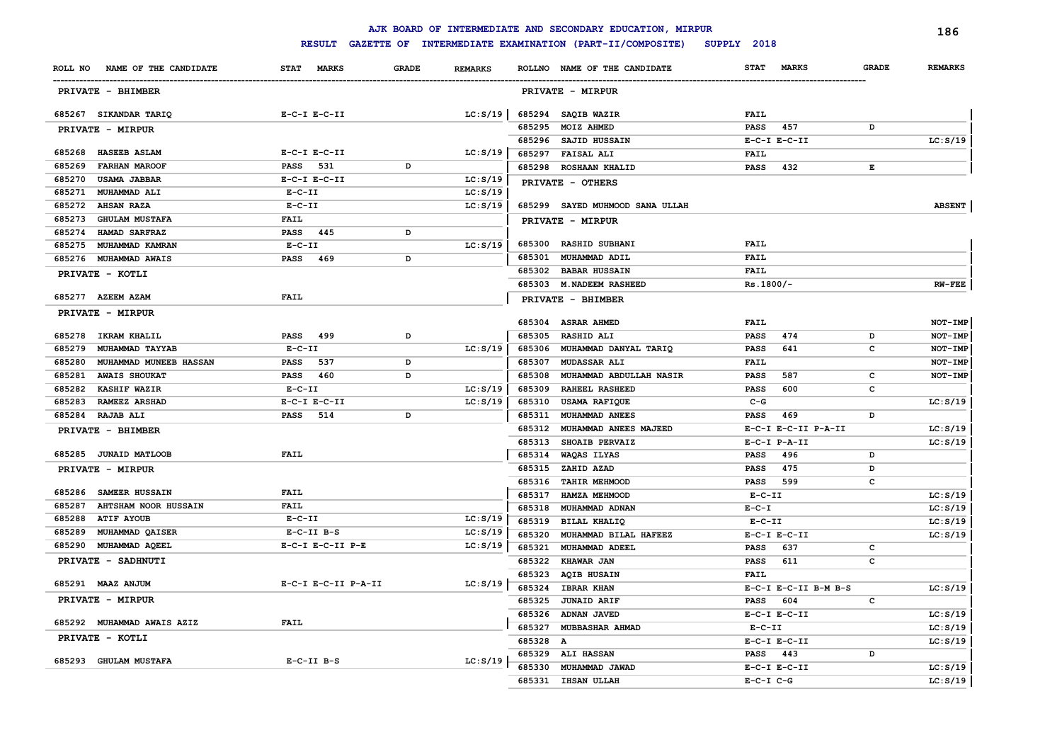|                                                       |                         |              |                |                  | AJK BOARD OF INTERMEDIATE AND SECONDARY EDUCATION, MIRPUR |                            |                      |              | 186                  |
|-------------------------------------------------------|-------------------------|--------------|----------------|------------------|-----------------------------------------------------------|----------------------------|----------------------|--------------|----------------------|
|                                                       | <b>RESULT</b>           |              |                |                  | GAZETTE OF INTERMEDIATE EXAMINATION (PART-II/COMPOSITE)   | SUPPLY 2018                |                      |              |                      |
| NAME OF THE CANDIDATE<br>ROLL NO                      | STAT MARKS              | <b>GRADE</b> | <b>REMARKS</b> |                  | ROLLNO NAME OF THE CANDIDATE                              | <b>STAT</b>                | <b>MARKS</b>         | <b>GRADE</b> | <b>REMARKS</b>       |
| <b>PRIVATE - BHIMBER</b>                              |                         |              |                |                  | <b>PRIVATE - MIRPUR</b>                                   |                            |                      |              |                      |
| 685267 SIKANDAR TARIQ                                 | $E-C-I$ $E-C-II$        |              | LC: S/19       |                  | 685294 SAQIB WAZIR                                        | <b>FAIL</b>                |                      |              |                      |
| PRIVATE - MIRPUR                                      |                         |              |                | 685295           | <b>MOIZ AHMED</b>                                         | <b>PASS</b>                | 457                  | D            |                      |
|                                                       |                         |              |                |                  | 685296 SAJID HUSSAIN                                      |                            | $E-C-I$ $E-C-II$     |              | LC: S/19             |
| 685268<br><b>HASEEB ASLAM</b>                         | $E-C-I$ $E-C-II$        |              | LC: S/19       |                  | 685297 FAISAL ALI                                         | <b>FAIL</b>                |                      |              |                      |
| 685269<br><b>FARHAN MAROOF</b>                        | 531<br>PASS             | D            |                | 685298           | <b>ROSHAAN KHALID</b>                                     | <b>PASS</b>                | 432                  | E            |                      |
| 685270<br><b>USAMA JABBAR</b>                         | $E-C-I$ $E-C-II$        |              | LC: S/19       |                  | PRIVATE - OTHERS                                          |                            |                      |              |                      |
| 685271<br><b>MUHAMMAD ALI</b>                         | $E-C-II$                |              | LC: S/19       |                  |                                                           |                            |                      |              |                      |
| 685272<br><b>AHSAN RAZA</b>                           | $E-C-II$                |              | LC: S/19       |                  | 685299 SAYED MUHMOOD SANA ULLAH                           |                            |                      |              | <b>ABSENT</b>        |
| 685273<br><b>GHULAM MUSTAFA</b>                       | <b>FAIL</b>             |              |                |                  | PRIVATE - MIRPUR                                          |                            |                      |              |                      |
| 685274<br>HAMAD SARFRAZ                               | PASS 445                | D            |                |                  |                                                           |                            |                      |              |                      |
| 685275<br>MUHAMMAD KAMRAN                             | $E-C-II$                |              | LC: S/19       | 685300           | <b>RASHID SUBHANI</b>                                     | <b>FAIL</b>                |                      |              |                      |
| 685276<br><b>MUHAMMAD AWAIS</b>                       | <b>PASS</b><br>469      | D            |                | 685301           | MUHAMMAD ADIL                                             | FAIL                       |                      |              |                      |
| PRIVATE - KOTLI                                       |                         |              |                |                  | 685302 BABAR HUSSAIN                                      | <b>FAIL</b>                |                      |              |                      |
|                                                       |                         |              |                |                  | 685303 M. NADEEM RASHEED                                  | $Rs.1800/-$                |                      |              | <b>RW-FEE</b>        |
| 685277 AZEEM AZAM                                     | FAIL                    |              |                |                  | PRIVATE - BHIMBER                                         |                            |                      |              |                      |
| PRIVATE - MIRPUR                                      |                         |              |                |                  | 685304 ASRAR AHMED                                        | <b>FAIL</b>                |                      |              | NOT-IMP              |
| IKRAM KHALIL<br>685278                                | 499<br>PASS             | D            |                | 685305           | <b>RASHID ALI</b>                                         | <b>PASS</b>                | 474                  | D            | NOT-IMP              |
| 685279<br>MUHAMMAD TAYYAB                             | $E - C - II$            |              | LC: S/19       | 685306           | MUHAMMAD DANYAL TARIQ                                     | <b>PASS</b>                | 641                  | c            | NOT-IMP              |
| MUHAMMAD MUNEEB HASSAN                                | 537                     |              |                |                  |                                                           |                            |                      |              |                      |
| 685280                                                | PASS<br>460             | D<br>D       |                | 685307           | <b>MUDASSAR ALI</b>                                       | <b>FAIL</b>                | 587                  |              | NOT-IMP              |
| 685281<br><b>AWAIS SHOUKAT</b><br><b>KASHIF WAZIR</b> | <b>PASS</b><br>$E-C-II$ |              | LC: S/19       | 685308<br>685309 | MUHAMMAD ABDULLAH NASIR<br><b>RAHEEL RASHEED</b>          | <b>PASS</b><br><b>PASS</b> | 600                  | c<br>с       | NOT-IMP              |
| 685282<br>685283<br>RAMEEZ ARSHAD                     | $E-C-I$ $E-C-II$        |              | LC: S/19       | 685310           |                                                           | $C-G$                      |                      |              | LC: S/19             |
| 685284 RAJAB ALI                                      | 514<br><b>PASS</b>      | D            |                | 685311           | USAMA RAFIQUE<br>MUHAMMAD ANEES                           | <b>PASS</b>                | 469                  | D            |                      |
|                                                       |                         |              |                | 685312           | MUHAMMAD ANEES MAJEED                                     |                            | E-C-I E-C-II P-A-II  |              |                      |
| PRIVATE - BHIMBER                                     |                         |              |                | 685313           | SHOAIB PERVAIZ                                            |                            | $E- C-I$ $P-A-II$    |              | LC: S/19<br>LC: S/19 |
| 685285 JUNAID MATLOOB                                 | <b>FAIL</b>             |              |                | 685314           | WAQAS ILYAS                                               | <b>PASS</b>                | 496                  | D            |                      |
|                                                       |                         |              |                | 685315           | ZAHID AZAD                                                | <b>PASS</b>                | 475                  | D            |                      |
| PRIVATE - MIRPUR                                      |                         |              |                | 685316           | <b>TAHIR MEHMOOD</b>                                      | PASS                       | 599                  | с            |                      |
| 685286 SAMEER HUSSAIN                                 | <b>FAIL</b>             |              |                | 685317           | HAMZA MEHMOOD                                             | $E-C-II$                   |                      |              | LC: S/19             |
| 685287<br><b>AHTSHAM NOOR HUSSAIN</b>                 | FAIL                    |              |                | 685318           | MUHAMMAD ADNAN                                            | $E - C - I$                |                      |              | LC: S/19             |
| 685288<br><b>ATIF AYOUB</b>                           | $E- C- II$              |              | LC: S/19       | 685319           | BILAL KHALIQ                                              | $E-C-II$                   |                      |              | LC: S/19             |
| 685289<br>MUHAMMAD QAISER                             | $E-C-II$ $B-S$          |              | LC: S/19       | 685320           | MUHAMMAD BILAL HAFEEZ                                     |                            | $E-C-I$ $E-C-II$     |              | LC: S/19             |
| 685290<br><b>MUHAMMAD AQEEL</b>                       | E-C-I E-C-II P-E        |              | LC: S/19       | 685321           | MUHAMMAD ADEEL                                            | <b>PASS</b>                | 637                  | c            |                      |
| PRIVATE - SADHNUTI                                    |                         |              |                |                  | 685322 KHAWAR JAN                                         | <b>PASS</b>                | 611                  | с            |                      |
|                                                       |                         |              |                |                  | 685323 AQIB HUSAIN                                        | FAIL                       |                      |              |                      |
| 685291 MAAZ ANJUM                                     | E-C-I E-C-II P-A-II     |              | LC: S/19       |                  | 685324 IBRAR KHAN                                         |                            | E-C-I E-C-II B-M B-S |              | LC: S/19             |
| PRIVATE - MIRPUR                                      |                         |              |                |                  | 685325 JUNAID ARIF                                        | PASS 604                   |                      | c            |                      |
|                                                       |                         |              |                |                  | 685326 ADNAN JAVED                                        |                            | $E-C-I$ $E-C-II$     |              | LC: S/19             |
| 685292 MUHAMMAD AWAIS AZIZ                            | <b>FAIL</b>             |              |                |                  | 685327 MUBBASHAR AHMAD                                    | $E-C-II$                   |                      |              | LC: S/19             |
| PRIVATE - KOTLI                                       |                         |              |                | 685328 A         |                                                           |                            | $E-C-I$ $E-C-II$     |              | LC: S/19             |
|                                                       |                         |              |                |                  |                                                           | PASS 443                   |                      | D            |                      |
| 685293 GHULAM MUSTAFA                                 | $E-C-II$ $B-S$          |              | LC: S/19       |                  | 685329 ALI HASSAN<br>685330 MUHAMMAD JAWAD                |                            | $E-C-I$ $E-C-II$     |              | LC: S/19             |
|                                                       |                         |              |                |                  | 685331 IHSAN ULLAH                                        |                            |                      |              |                      |
|                                                       |                         |              |                |                  |                                                           | $E-C-I$ $C-G$              |                      |              | LC: S/19             |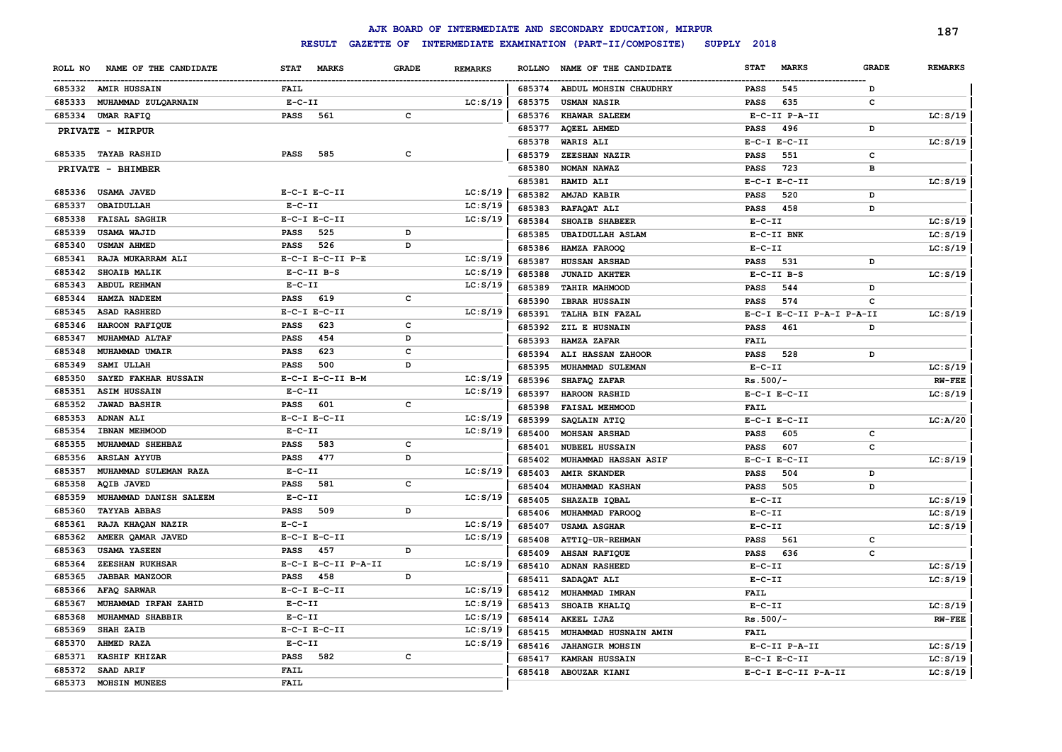|                                  |                             |                   |                |               | AJK BOARD OF INTERMEDIATE AND SECONDARY EDUCATION, MIRPUR |                             |              | 187            |
|----------------------------------|-----------------------------|-------------------|----------------|---------------|-----------------------------------------------------------|-----------------------------|--------------|----------------|
|                                  | <b>RESULT</b>               | <b>GAZETTE OF</b> |                |               | INTERMEDIATE EXAMINATION (PART-II/COMPOSITE)              | SUPPLY 2018                 |              |                |
| ROLL NO<br>NAME OF THE CANDIDATE | <b>STAT</b><br><b>MARKS</b> | <b>GRADE</b>      | <b>REMARKS</b> | <b>ROLLNO</b> | NAME OF THE CANDIDATE                                     | <b>MARKS</b><br><b>STAT</b> | <b>GRADE</b> | <b>REMARKS</b> |
| 685332 AMIR HUSSAIN              | <b>FAIL</b>                 |                   |                | 685374        | ABDUL MOHSIN CHAUDHRY                                     | 545<br><b>PASS</b>          | D            |                |
| 685333<br>MUHAMMAD ZULQARNAIN    | $E-C-II$                    |                   | LC: S/19       | 685375        | <b>USMAN NASIR</b>                                        | 635<br><b>PASS</b>          | $\mathbf c$  |                |
| 685334<br>UMAR RAFIQ             | <b>PASS</b><br>561          | $\mathbf c$       |                | 685376        | <b>KHAWAR SALEEM</b>                                      | E-C-II P-A-II               |              | LC: S/19       |
| PRIVATE - MIRPUR                 |                             |                   |                | 685377        | AQEEL AHMED                                               | <b>PASS</b><br>496          | D            |                |
|                                  |                             |                   |                | 685378        | <b>WARIS ALI</b>                                          | $E-C-I$ $E-C-II$            |              | LC: S/19       |
| 685335 TAYAB RASHID              | 585<br><b>PASS</b>          | c                 |                | 685379        | ZEESHAN NAZIR                                             | 551<br><b>PASS</b>          | c            |                |
| PRIVATE - BHIMBER                |                             |                   |                | 685380        | NOMAN NAWAZ                                               | 723<br><b>PASS</b>          | в            |                |
|                                  |                             |                   |                | 685381        | HAMID ALI                                                 | $E-C-I$ $E-C-II$            |              | LC: S/19       |
| <b>USAMA JAVED</b><br>685336     | $E-C-I$ $E-C-II$            |                   | LC: S/19       | 685382        | AMJAD KABIR                                               | 520<br><b>PASS</b>          | D            |                |
| 685337<br>OBAIDULLAH             | $E-C-II$                    |                   | LC: S/19       | 685383        | RAFAQAT ALI                                               | 458<br><b>PASS</b>          | D            |                |
| <b>FAISAL SAGHIR</b><br>685338   | $E-C-I$ $E-C-II$            |                   | LC: S/19       | 685384        | SHOAIB SHABEER                                            | $E-C-II$                    |              | LC: S/19       |
| 685339<br><b>USAMA WAJID</b>     | PASS<br>525                 | D                 |                | 685385        | <b>UBAIDULLAH ASLAM</b>                                   | E-C-II BNK                  |              | LC: S/19       |
| 685340<br><b>USMAN AHMED</b>     | 526<br><b>PASS</b>          | D                 |                | 685386        | HAMZA FAROOQ                                              | $E-C-II$                    |              | LC: S/19       |
| RAJA MUKARRAM ALI<br>685341      | E-C-I E-C-II P-E            |                   | LC: S/19       | 685387        | HUSSAN ARSHAD                                             | 531<br>PASS                 | D            |                |
| SHOAIB MALIK<br>685342           | $E-C-II$ $B-S$              |                   | LC: S/19       | 685388        | <b>JUNAID AKHTER</b>                                      | $E-C-II$ B-S                |              | LC: S/19       |
| ABDUL REHMAN<br>685343           | $E-C-II$                    |                   | LC: S/19       | 685389        | <b>TAHIR MAHMOOD</b>                                      | 544<br><b>PASS</b>          | D            |                |
| HAMZA NADEEM<br>685344           | 619<br><b>PASS</b>          | $\mathbf c$       |                | 685390        | <b>IBRAR HUSSAIN</b>                                      | 574<br><b>PASS</b>          | c            |                |
| 685345<br><b>ASAD RASHEED</b>    | $E-C-I$ $E-C-II$            |                   | LC: S/19       | 685391        | TALHA BIN FAZAL                                           | E-C-I E-C-II P-A-I P-A-II   |              | LC: S/19       |
| 685346<br>HAROON RAFIQUE         | 623<br><b>PASS</b>          | $\mathbf c$       |                | 685392        | ZIL E HUSNAIN                                             | 461<br><b>PASS</b>          | D            |                |
| 685347<br>MUHAMMAD ALTAF         | 454<br><b>PASS</b>          | D                 |                | 685393        | HAMZA ZAFAR                                               | FAIL                        |              |                |
| 685348<br>MUHAMMAD UMAIR         | 623<br>PASS                 | $\mathbf{C}$      |                | 685394        | ALI HASSAN ZAHOOR                                         | <b>PASS</b><br>528          | D            |                |
| 685349<br>SAMI ULLAH             | 500<br><b>PASS</b>          | D                 |                | 685395        | MUHAMMAD SULEMAN                                          | $E-C-II$                    |              | LC: S/19       |
| 685350<br>SAYED FAKHAR HUSSAIN   | E-C-I E-C-II B-M            |                   | LC: S/19       | 685396        | SHAFAQ ZAFAR                                              | $Rs.500/-$                  |              | $RW-FEE$       |
| 685351<br><b>ASIM HUSSAIN</b>    | $E-C-II$                    |                   | LC: S/19       | 685397        | HAROON RASHID                                             | $E-C-I$ $E-C-II$            |              | LC: S/19       |
| 685352<br><b>JAWAD BASHIR</b>    | PASS<br>601                 | $\mathbf c$       |                | 685398        | FAISAL MEHMOOD                                            | <b>FAIL</b>                 |              |                |
| 685353<br><b>ADNAN ALI</b>       | $E-C-I$ $E-C-II$            |                   | LC: S/19       | 685399        | SAQLAIN ATIQ                                              | $E-C-I$ $E-C-II$            |              | LC: A/20       |
| 685354<br>IBNAN MEHMOOD          | $E-C-II$                    |                   | LC: S/19       | 685400        | MOHSAN ARSHAD                                             | 605<br><b>PASS</b>          | c            |                |
| 685355<br>MUHAMMAD SHEHBAZ       | 583<br>PASS                 | c                 |                | 685401        | <b>NUBEEL HUSSAIN</b>                                     | 607<br><b>PASS</b>          | $\mathbf c$  |                |
| 685356<br><b>ARSLAN AYYUB</b>    | 477<br><b>PASS</b>          | D                 |                | 685402        | MUHAMMAD HASSAN ASIF                                      | $E-C-I$ $E-C-II$            |              | LC: S/19       |
| 685357<br>MUHAMMAD SULEMAN RAZA  | $E-C-II$                    |                   | LC: S/19       | 685403        | AMIR SKANDER                                              | <b>PASS</b><br>504          | D            |                |
| 685358<br><b>AQIB JAVED</b>      | 581<br><b>PASS</b>          | $\mathtt{C}$      |                | 685404        | MUHAMMAD KASHAN                                           | 505<br><b>PASS</b>          | D            |                |
| 685359<br>MUHAMMAD DANISH SALEEM | $E - C - II$                |                   | LC: S/19       | 685405        | SHAZAIB IQBAL                                             | $E-C-II$                    |              | LC: S/19       |
| 685360<br><b>TAYYAB ABBAS</b>    | 509<br><b>PASS</b>          | D                 |                | 685406        | MUHAMMAD FAROOQ                                           | $E-C-II$                    |              | LC: S/19       |
| 685361<br>RAJA KHAQAN NAZIR      | $E - C - I$                 |                   | LC: S/19       | 685407        | <b>USAMA ASGHAR</b>                                       | $E - C - II$                |              | LC: S/19       |
| 685362<br>AMEER QAMAR JAVED      | $E-C-I$ $E-C-II$            |                   | LC: S/19       | 685408        |                                                           |                             | $\mathbf c$  |                |
| 685363<br><b>USAMA YASEEN</b>    | 457<br><b>PASS</b>          | D                 |                |               | ATTIQ-UR-REHMAN                                           | <b>PASS</b><br>561          |              |                |
| 685364<br><b>ZEESHAN RUKHSAR</b> | E-C-I E-C-II P-A-II         |                   | LC: S/19       | 685409        | <b>AHSAN RAFIQUE</b>                                      | 636<br><b>PASS</b>          | $\mathbf c$  |                |
| 685365<br><b>JABBAR MANZOOR</b>  | <b>PASS</b><br>458          | D                 |                | 685410        | <b>ADNAN RASHEED</b>                                      | $E-C-II$                    |              | LC: S/19       |
| 685366<br>AFAQ SARWAR            | $E-C-I$ $E-C-II$            |                   | LC: S/19       | 685411        | SADAQAT ALI                                               | $E-C-II$                    |              | LC: S/19       |
| 685367<br>MUHAMMAD IRFAN ZAHID   | $E-C-II$                    |                   | LC: S/19       | 685412        | MUHAMMAD IMRAN                                            | <b>FAIL</b>                 |              |                |
| MUHAMMAD SHABBIR<br>685368       | $E-C-II$                    |                   | LC: S/19       | 685413        | SHOAIB KHALIQ                                             | $E-C-II$                    |              | LC: S/19       |
|                                  |                             |                   |                | 685414        | AKEEL IJAZ                                                | $Rs.500/-$                  |              | $RW-FEE$       |
| SHAH ZAIB<br>685369              | $E-C-I$ $E-C-II$            |                   | LC: S/19       | 685415        | MUHAMMAD HUSNAIN AMIN                                     | FAIL                        |              |                |
| AHMED RAZA<br>685370             | $E-C-II$                    |                   | LC: S/19       | 685416        | <b>JAHANGIR MOHSIN</b>                                    | E-C-II P-A-II               |              | LC: S/19       |
| 685371<br><b>KASHIF KHIZAR</b>   | 582<br><b>PASS</b>          | c                 |                | 685417        | <b>KAMRAN HUSSAIN</b>                                     | $E-C-I$ $E-C-II$            |              | LC: S/19       |
| 685372<br>SAAD ARIF              | FAIL                        |                   |                |               | 685418 ABOUZAR KIANI                                      | E-C-I E-C-II P-A-II         |              | LC: S/19       |
| 685373<br>MOHSIN MUNEES          | FAIL                        |                   |                |               |                                                           |                             |              |                |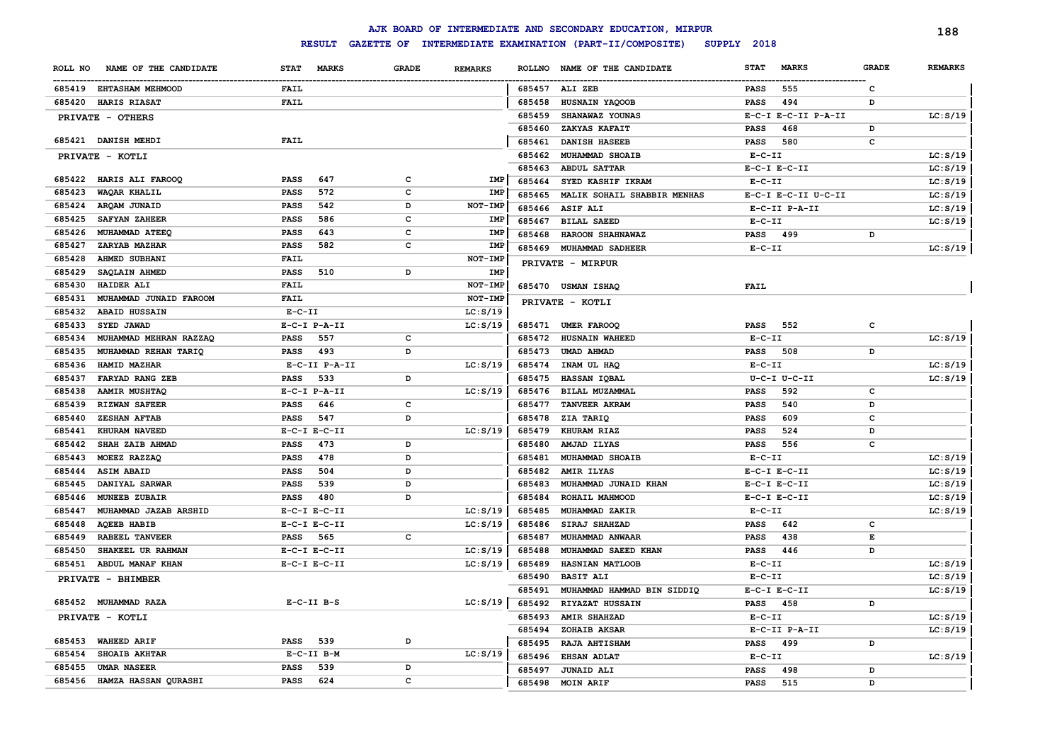|         |                                     |              |                     |              |                |        | AJK BOARD OF INTERMEDIATE AND SECONDARY EDUCATION, MIRPUR |              |                     |              | 188            |
|---------|-------------------------------------|--------------|---------------------|--------------|----------------|--------|-----------------------------------------------------------|--------------|---------------------|--------------|----------------|
|         |                                     |              | <b>RESULT</b>       |              |                |        | GAZETTE OF INTERMEDIATE EXAMINATION (PART-II/COMPOSITE)   | SUPPLY 2018  |                     |              |                |
| ROLL NO | NAME OF THE CANDIDATE               | <b>STAT</b>  | <b>MARKS</b>        | <b>GRADE</b> | <b>REMARKS</b> |        | ROLLNO NAME OF THE CANDIDATE                              | <b>STAT</b>  | <b>MARKS</b>        | <b>GRADE</b> | <b>REMARKS</b> |
|         | 685419 EHTASHAM MEHMOOD             | <b>FAIL</b>  |                     |              |                |        | 685457 ALI ZEB                                            | <b>PASS</b>  | 555                 | c            |                |
|         | 685420 HARIS RIASAT                 | <b>FAIL</b>  |                     |              |                | 685458 | HUSNAIN YAQOOB                                            | <b>PASS</b>  | 494                 | D            |                |
|         | PRIVATE - OTHERS                    |              |                     |              |                | 685459 | SHANAWAZ YOUNAS                                           |              | E-C-I E-C-II P-A-II |              | LC: S/19       |
|         |                                     |              |                     |              |                | 685460 | ZAKYAS KAFAIT                                             | <b>PASS</b>  | 468                 | D            |                |
|         | 685421 DANISH MEHDI                 | <b>FAIL</b>  |                     |              |                | 685461 | <b>DANISH HASEEB</b>                                      | <b>PASS</b>  | 580                 | c            |                |
|         | PRIVATE - KOTLI                     |              |                     |              |                | 685462 | MUHAMMAD SHOAIB                                           | $E-C-II$     |                     |              | LC: S/19       |
|         |                                     |              |                     |              |                | 685463 | <b>ABDUL SATTAR</b>                                       |              | $E-C-I$ $E-C-II$    |              | LC: S/19       |
|         | 685422 HARIS ALI FAROOQ             | <b>PASS</b>  | 647                 | C            | IMP            | 685464 | SYED KASHIF IKRAM                                         | $E-C-II$     |                     |              | LC: S/19       |
| 685423  | WAQAR KHALIL                        | PASS         | 572                 | C            | IMP            | 685465 | MALIK SOHAIL SHABBIR MENHAS                               |              | E-C-I E-C-II U-C-II |              | LC: S/19       |
| 685424  | ARQAM JUNAID                        | PASS         | 542                 | D            | NOT-IMP        | 685466 | <b>ASIF ALI</b>                                           |              | E-C-II P-A-II       |              | LC: S/19       |
| 685425  | <b>SAFYAN ZAHEER</b>                | PASS         | 586                 | C            | IMP            | 685467 | <b>BILAL SAEED</b>                                        | $E-C-II$     |                     |              | LC: S/19       |
| 685426  | MUHAMMAD ATEEQ                      | PASS         | 643                 | c            | IMP            | 685468 | HAROON SHAHNAWAZ                                          | <b>PASS</b>  | 499                 | D            |                |
| 685427  | ZARYAB MAZHAR                       | PASS         | 582                 | c            | IMP            | 685469 | <b>MUHAMMAD SADHEER</b>                                   | $E - C - II$ |                     |              | LC: S/19       |
| 685428  | AHMED SUBHANI                       | <b>FAIL</b>  |                     |              | NOT-IMP        |        | PRIVATE - MIRPUR                                          |              |                     |              |                |
| 685429  | SAQLAIN AHMED                       | PASS         | 510                 | D            | IMP            |        |                                                           |              |                     |              |                |
| 685430  | HAIDER ALI                          | <b>FAIL</b>  |                     |              | NOT-IMP        |        | 685470 USMAN ISHAQ                                        | <b>FAIL</b>  |                     |              |                |
| 685431  | MUHAMMAD JUNAID FAROOM              | <b>FAIL</b>  |                     |              | NOT-IMP        |        | PRIVATE - KOTLI                                           |              |                     |              |                |
| 685432  | <b>ABAID HUSSAIN</b>                | $E - C - II$ |                     |              | LC: S/19       |        |                                                           |              |                     |              |                |
| 685433  | SYED JAWAD                          |              | $E- C-I$ $P-A-II$   |              | LC: S/19       | 685471 | <b>UMER FAROOQ</b>                                        | PASS         | 552                 | c            |                |
| 685434  | MUHAMMAD MEHRAN RAZZAQ              | PASS         | 557                 | c            |                | 685472 | HUSNAIN WAHEED                                            | $E - C - II$ |                     |              | LC: S/19       |
| 685435  | MUHAMMAD REHAN TARIQ                | <b>PASS</b>  | 493                 | D            |                | 685473 | <b>UMAD AHMAD</b>                                         | PASS         | 508                 | D            |                |
| 685436  | HAMID MAZHAR                        |              | E-C-II P-A-II       |              | LC: S/19       | 685474 | INAM UL HAQ                                               | $E-C-II$     |                     |              | LC: S/19       |
| 685437  | FARYAD RANG ZEB                     | PASS         | 533                 | D            |                | 685475 | HASSAN IQBAL                                              |              | U-C-I U-C-II        |              | LC: S/19       |
| 685438  | <b>AAMIR MUSHTAQ</b>                |              | E-C-I P-A-II        |              | LC: S/19       | 685476 | BILAL MUZAMMAL                                            | PASS         | 592                 | c            |                |
| 685439  | <b>RIZWAN SAFEER</b>                | PASS         | 646                 | c            |                | 685477 | TANVEER AKRAM                                             | <b>PASS</b>  | 540                 | D            |                |
| 685440  | <b>ZESHAN AFTAB</b>                 | <b>PASS</b>  | 547                 | D            |                | 685478 | ZIA TARIQ                                                 | <b>PASS</b>  | 609                 | c            |                |
| 685441  | KHURAM NAVEED                       |              | $E-C-I$ $E-C-II$    |              | LC: S/19       | 685479 | KHURAM RIAZ                                               | <b>PASS</b>  | 524                 | D            |                |
| 685442  | SHAH ZAIB AHMAD                     | <b>PASS</b>  | 473                 | D            |                | 685480 | AMJAD ILYAS                                               | <b>PASS</b>  | 556                 | c            |                |
| 685443  | MOEEZ RAZZAQ                        | <b>PASS</b>  | 478                 | D            |                | 685481 | MUHAMMAD SHOAIB                                           | $E-C-II$     |                     |              | LC: S/19       |
| 685444  | <b>ASIM ABAID</b>                   | <b>PASS</b>  | 504                 | D            |                | 685482 | <b>AMIR ILYAS</b>                                         |              | $E-C-I$ $E-C-II$    |              | LC: S/19       |
| 685445  | DANIYAL SARWAR                      | <b>PASS</b>  | 539                 | D            |                | 685483 | MUHAMMAD JUNAID KHAN                                      |              | $E-C-I$ $E-C-II$    |              | LC: S/19       |
| 685446  | <b>MUNEEB ZUBAIR</b>                | <b>PASS</b>  | 480                 | D            |                | 685484 | ROHAIL MAHMOOD                                            |              | $E-C-I$ $E-C-II$    |              | LC: S/19       |
| 685447  | MUHAMMAD JAZAB ARSHID               |              | $E-C-I$ $E-C-II$    |              | LC: S/19       | 685485 | MUHAMMAD ZAKIR                                            | $E-C-II$     |                     |              | LC: S/19       |
| 685448  | <b>AQEEB HABIB</b>                  |              | $E-C-I$ $E-C-II$    |              | LC: S/19       | 685486 | SIRAJ SHAHZAD                                             | <b>PASS</b>  | 642                 | c            |                |
| 685449  | <b>RABEEL TANVEER</b>               | <b>PASS</b>  | 565                 | c            |                | 685487 | MUHAMMAD ANWAAR                                           | <b>PASS</b>  | 438                 | Е            |                |
| 685450  | SHAKEEL UR RAHMAN                   |              | $E-C-I$ $E-C-II$    |              | LC: S/19       | 685488 | MUHAMMAD SAEED KHAN                                       | <b>PASS</b>  | 446                 | D            |                |
| 685451  | ABDUL MANAF KHAN                    |              | $E-C-I$ $E-C-II$    |              | LC: S/19       | 685489 | HASNIAN MATLOOB                                           | $E - C - II$ |                     |              | LC: S/19       |
|         | PRIVATE - BHIMBER                   |              |                     |              |                | 685490 | <b>BASIT ALI</b>                                          | $E - C - II$ |                     |              | LC: S/19       |
|         |                                     |              |                     |              |                | 685491 | MUHAMMAD HAMMAD BIN SIDDIQ                                |              | $E-C-I$ $E-C-II$    |              | LC: S/19       |
|         | 685452 MUHAMMAD RAZA                |              | $E-C-II$ $B-S$      |              | LC: S/19       | 685492 | RIYAZAT HUSSAIN                                           | <b>PASS</b>  | 458                 | D            |                |
|         | PRIVATE - KOTLI                     |              |                     |              |                | 685493 | <b>AMIR SHAHZAD</b>                                       | $E-C-II$     |                     |              | LC: S/19       |
|         |                                     |              | 539                 |              |                | 685494 | ZOHAIB AKSAR                                              |              | E-C-II P-A-II       |              | LC: S/19       |
|         | 685453 WAHEED ARIF<br>SHOAIB AKHTAR | PASS         |                     | D            |                | 685495 | RAJA AHTISHAM                                             | <b>PASS</b>  | 499                 | D            |                |
| 685454  | <b>UMAR NASEER</b>                  |              | $E-C-II$ B-M<br>539 | D            | LC: S/19       | 685496 | <b>EHSAN ADLAT</b>                                        | $E - C - II$ |                     |              | LC: S/19       |
| 685455  |                                     | <b>PASS</b>  | 624                 | C            |                | 685497 | <b>JUNAID ALI</b>                                         | <b>PASS</b>  | 498                 | D            |                |
|         | 685456 HAMZA HASSAN QURASHI         | <b>PASS</b>  |                     |              |                | 685498 | MOIN ARIF                                                 | <b>PASS</b>  | 515                 | D            |                |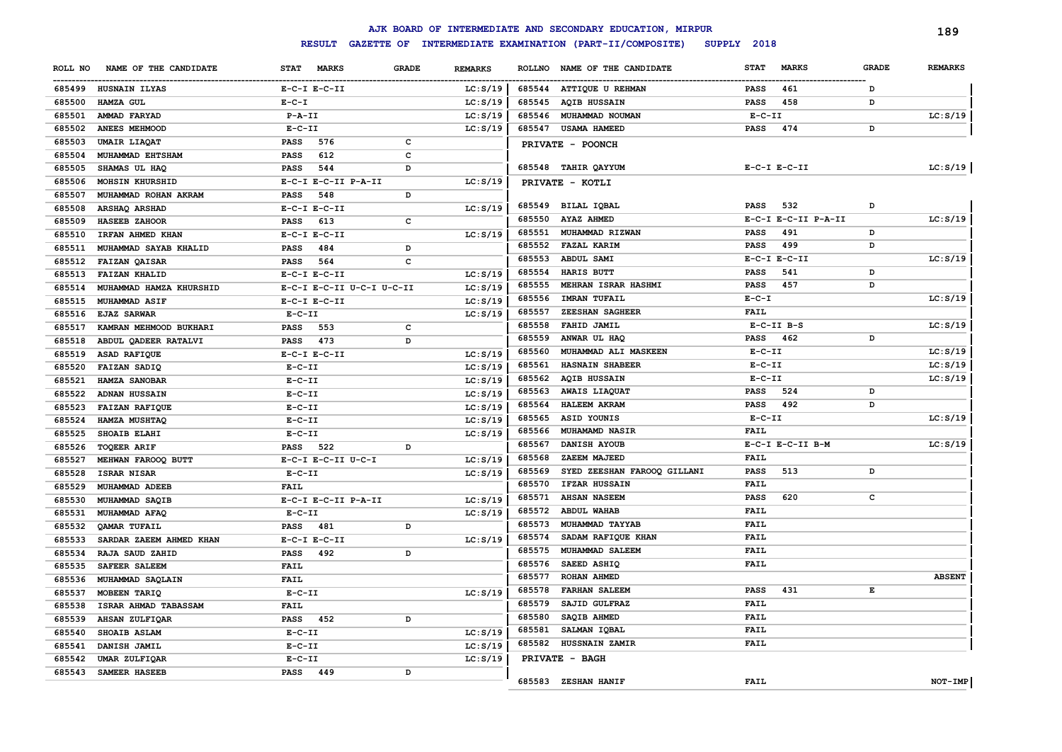|         |                         |                  |                           |              |                |        | AJK BOARD OF INTERMEDIATE AND SECONDARY EDUCATION, MIRPUR |              |                     |              | 189            |
|---------|-------------------------|------------------|---------------------------|--------------|----------------|--------|-----------------------------------------------------------|--------------|---------------------|--------------|----------------|
|         |                         | <b>RESULT</b>    | <b>GAZETTE OF</b>         |              |                |        | INTERMEDIATE EXAMINATION (PART-II/COMPOSITE)              | SUPPLY 2018  |                     |              |                |
| ROLL NO | NAME OF THE CANDIDATE   | <b>STAT</b>      | <b>MARKS</b>              | <b>GRADE</b> | <b>REMARKS</b> |        | ROLLNO NAME OF THE CANDIDATE                              | <b>STAT</b>  | <b>MARKS</b>        | <b>GRADE</b> | <b>REMARKS</b> |
|         | 685499 HUSNAIN ILYAS    | $E-C-I$ $E-C-II$ |                           |              | LC: S/19       |        | 685544 ATTIQUE U REHMAN                                   | <b>PASS</b>  | 461                 | D            |                |
| 685500  | HAMZA GUL               | $E - C - I$      |                           |              | LC: S/19       | 685545 | <b>AQIB HUSSAIN</b>                                       | <b>PASS</b>  | 458                 | D            |                |
| 685501  | AMMAD FARYAD            | $P - A - II$     |                           |              | LC: S/19       | 685546 | MUHAMMAD NOUMAN                                           | $E-C-II$     |                     |              | LC: S/19       |
| 685502  | ANEES MEHMOOD           | $E - C - II$     |                           |              | LC: S/19       | 685547 | <b>USAMA HAMEED</b>                                       | PASS         | 474                 | D            |                |
| 685503  | <b>UMAIR LIAQAT</b>     | <b>PASS</b>      | 576                       | $\mathbf c$  |                |        | PRIVATE - POONCH                                          |              |                     |              |                |
| 685504  | MUHAMMAD EHTSHAM        | <b>PASS</b>      | 612                       | C            |                |        |                                                           |              |                     |              |                |
| 685505  | SHAMAS UL HAQ           | <b>PASS</b>      | 544                       | D            |                | 685548 | <b>TAHIR QAYYUM</b>                                       |              | $E-C-I$ $E-C-II$    |              | LC: S/19       |
| 685506  | MOHSIN KHURSHID         |                  | E-C-I E-C-II P-A-II       |              | LC: S/19       |        | PRIVATE - KOTLI                                           |              |                     |              |                |
| 685507  | MUHAMMAD ROHAN AKRAM    | <b>PASS</b>      | 548                       | D            |                |        |                                                           |              |                     |              |                |
| 685508  | ARSHAQ ARSHAD           | $E-C-I$ $E-C-II$ |                           |              | LC: S/19       | 685549 | BILAL IQBAL                                               | <b>PASS</b>  | 532                 | D            |                |
| 685509  | HASEEB ZAHOOR           | <b>PASS</b>      | 613                       | c            |                | 685550 | AYAZ AHMED                                                |              | E-C-I E-C-II P-A-II |              | LC: S/19       |
| 685510  | IRFAN AHMED KHAN        | $E-C-I$ $E-C-II$ |                           |              | LC: S/19       | 685551 | MUHAMMAD RIZWAN                                           | <b>PASS</b>  | 491                 | D            |                |
| 685511  | MUHAMMAD SAYAB KHALID   | <b>PASS</b>      | 484                       | D            |                | 685552 | <b>FAZAL KARIM</b>                                        | <b>PASS</b>  | 499                 | D            |                |
| 685512  | <b>FAIZAN QAISAR</b>    | <b>PASS</b>      | 564                       | C            |                | 685553 | ABDUL SAMI                                                |              | $E-C-I$ $E-C-II$    |              | LC: S/19       |
| 685513  | <b>FAIZAN KHALID</b>    | $E-C-I$ $E-C-II$ |                           |              | LC: S/19       | 685554 | HARIS BUTT                                                | <b>PASS</b>  | 541                 | D            |                |
| 685514  | MUHAMMAD HAMZA KHURSHID |                  | E-C-I E-C-II U-C-I U-C-II |              | LC: S/19       | 685555 | MEHRAN ISRAR HASHMI                                       | <b>PASS</b>  | 457                 | D            |                |
| 685515  | MUHAMMAD ASIF           | $E-C-I$ $E-C-II$ |                           |              | LC: S/19       | 685556 | <b>IMRAN TUFAIL</b>                                       | $E - C - I$  |                     |              | LC: S/19       |
| 685516  | <b>EJAZ SARWAR</b>      | $E-C-II$         |                           |              | LC: S/19       | 685557 | ZEESHAN SAGHEER                                           | FAIL         |                     |              |                |
| 685517  | KAMRAN MEHMOOD BUKHARI  | <b>PASS</b>      | 553                       | C            |                | 685558 | FAHID JAMIL                                               |              | $E-C-II$ $B-S$      |              | LC: S/19       |
| 685518  | ABDUL QADEER RATALVI    | <b>PASS</b>      | 473                       | D            |                | 685559 | ANWAR UL HAQ                                              | <b>PASS</b>  | 462                 | D            |                |
| 685519  | ASAD RAFIQUE            | $E-C-I$ $E-C-II$ |                           |              | LC: S/19       | 685560 | MUHAMMAD ALI MASKEEN                                      | $E - C - II$ |                     |              | LC: S/19       |
| 685520  | FAIZAN SADIQ            | $E - C - II$     |                           |              | LC: S/19       | 685561 | <b>HASNAIN SHABEER</b>                                    | $E- C- II$   |                     |              | LC: S/19       |
| 685521  | HAMZA SANOBAR           | $E - C - II$     |                           |              | LC: S/19       | 685562 | <b>AQIB HUSSAIN</b>                                       | $E- C- II$   |                     |              | LC: S/19       |
| 685522  | ADNAN HUSSAIN           | $E-C-II$         |                           |              | LC: S/19       | 685563 | <b>AWAIS LIAQUAT</b>                                      | <b>PASS</b>  | 524                 | D            |                |
| 685523  | <b>FAIZAN RAFIQUE</b>   | $E - C - II$     |                           |              | LC: S/19       | 685564 | <b>HALEEM AKRAM</b>                                       | <b>PASS</b>  | 492                 | D            |                |
| 685524  | HAMZA MUSHTAQ           | $E - C - II$     |                           |              | LC: S/19       | 685565 | ASID YOUNIS                                               | $E - C - II$ |                     |              | LC: S/19       |
| 685525  | SHOAIB ELAHI            | $E - C - II$     |                           |              | LC: S/19       | 685566 | MUHAMAMD NASIR                                            | <b>FAIL</b>  |                     |              |                |
| 685526  | <b>TOQEER ARIF</b>      | PASS             | 522                       | D            |                | 685567 | DANISH AYOUB                                              |              | E-C-I E-C-II B-M    |              | LC: S/19       |
| 685527  | MEHWAN FAROOQ BUTT      |                  | E-C-I E-C-II U-C-I        |              | LC: S/19       | 685568 | ZAEEM MAJEED                                              | <b>FAIL</b>  |                     |              |                |
| 685528  | ISRAR NISAR             | $E-C-II$         |                           |              | LC: S/19       | 685569 | SYED ZEESHAN FAROOQ GILLANI                               | <b>PASS</b>  | 513                 | D            |                |
| 685529  | MUHAMMAD ADEEB          | <b>FAIL</b>      |                           |              |                | 685570 | IFZAR HUSSAIN                                             | FAIL         |                     |              |                |
| 685530  | MUHAMMAD SAQIB          |                  | E-C-I E-C-II P-A-II       |              | LC: S/19       | 685571 | <b>AHSAN NASEEM</b>                                       | <b>PASS</b>  | 620                 | c            |                |
| 685531  | MUHAMMAD AFAQ           | $E-C-II$         |                           |              | LC: S/19       | 685572 | <b>ABDUL WAHAB</b>                                        | <b>FAIL</b>  |                     |              |                |
| 685532  | <b>QAMAR TUFAIL</b>     | <b>PASS</b>      | 481                       | D            |                | 685573 | MUHAMMAD TAYYAB                                           | <b>FAIL</b>  |                     |              |                |
| 685533  | SARDAR ZAEEM AHMED KHAN | $E-C-I$ $E-C-II$ |                           |              | LC: S/19       | 685574 | SADAM RAFIQUE KHAN                                        | <b>FAIL</b>  |                     |              |                |
| 685534  | RAJA SAUD ZAHID         | <b>PASS</b>      | 492                       | D            |                | 685575 | MUHAMMAD SALEEM                                           | <b>FAIL</b>  |                     |              |                |
| 685535  | <b>SAFEER SALEEM</b>    | <b>FAIL</b>      |                           |              |                | 685576 | SAEED ASHIQ                                               | <b>FAIL</b>  |                     |              |                |
| 685536  | MUHAMMAD SAQLAIN        | <b>FAIL</b>      |                           |              |                | 685577 | <b>ROHAN AHMED</b>                                        |              |                     |              | <b>ABSENT</b>  |
| 685537  | MOBEEN TARIQ            | $E - C - II$     |                           |              | LC: S/19       | 685578 | <b>FARHAN SALEEM</b>                                      | <b>PASS</b>  | 431                 | Е            |                |
| 685538  | ISRAR AHMAD TABASSAM    | <b>FAIL</b>      |                           |              |                | 685579 | SAJID GULFRAZ                                             | <b>FAIL</b>  |                     |              |                |
| 685539  | AHSAN ZULFIQAR          | <b>PASS</b>      | 452                       | D            |                | 685580 | SAQIB AHMED                                               | <b>FAIL</b>  |                     |              |                |
| 685540  | SHOAIB ASLAM            | $E-C-II$         |                           |              | LC: S/19       | 685581 | SALMAN IQBAL                                              | <b>FAIL</b>  |                     |              |                |
| 685541  | DANISH JAMIL            | $E - C - II$     |                           |              | LC: S/19       | 685582 | HUSSNAIN ZAMIR                                            | <b>FAIL</b>  |                     |              |                |
| 685542  | UMAR ZULFIQAR           | $E-C-II$         |                           |              | LC: S/19       |        | PRIVATE - BAGH                                            |              |                     |              |                |
| 685543  | SAMEER HASEEB           | PASS             | 449                       | D            |                |        |                                                           |              |                     |              |                |
|         |                         |                  |                           |              |                |        | 685583 ZESHAN HANIF                                       | <b>FAIL</b>  |                     |              | NOT-IMP        |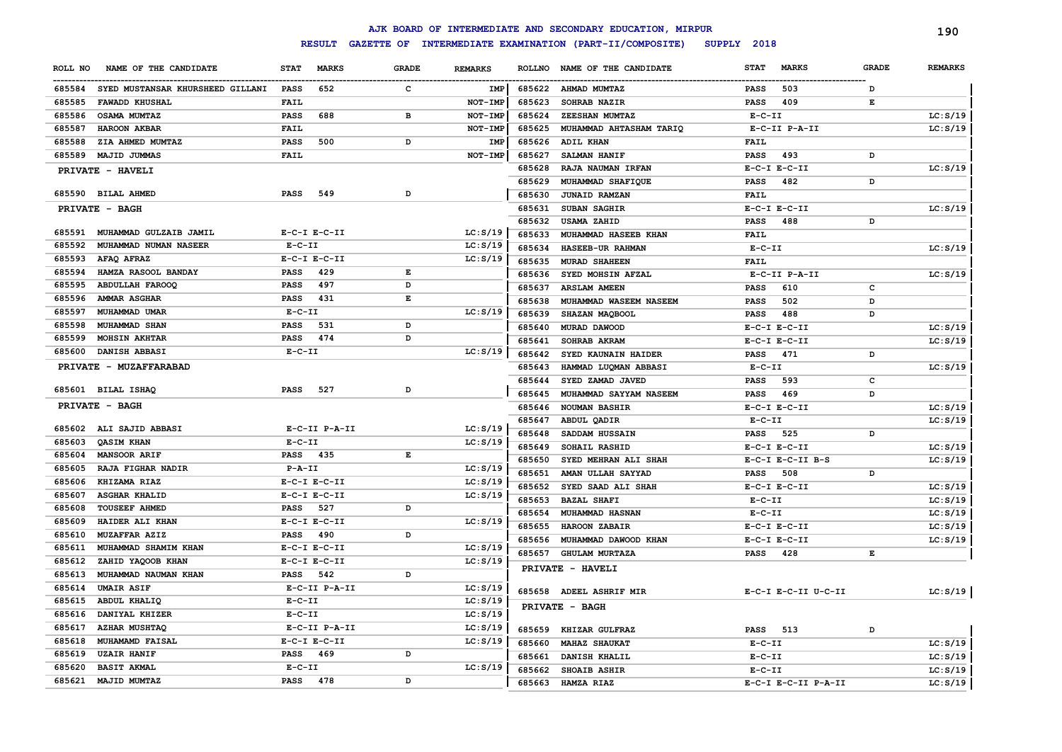|                                            |              |                  |              |                |        | AJK BOARD OF INTERMEDIATE AND SECONDARY EDUCATION, MIRPUR |                 |                     |              | 190            |
|--------------------------------------------|--------------|------------------|--------------|----------------|--------|-----------------------------------------------------------|-----------------|---------------------|--------------|----------------|
|                                            |              | <b>RESULT</b>    |              |                |        | GAZETTE OF INTERMEDIATE EXAMINATION (PART-II/COMPOSITE)   | SUPPLY 2018     |                     |              |                |
| NAME OF THE CANDIDATE<br>ROLL NO           | <b>STAT</b>  | <b>MARKS</b>     | <b>GRADE</b> | <b>REMARKS</b> |        | ROLLNO NAME OF THE CANDIDATE                              | <b>STAT</b>     | <b>MARKS</b>        | <b>GRADE</b> | <b>REMARKS</b> |
| 685584<br>SYED MUSTANSAR KHURSHEED GILLANI | PASS         | 652              | c            | IMP            | 685622 | <b>AHMAD MUMTAZ</b>                                       | PASS            | 503                 | D            |                |
| 685585<br><b>FAWADD KHUSHAL</b>            | FAIL         |                  |              | NOT-IMP        | 685623 | <b>SOHRAB NAZIR</b>                                       | PASS            | 409                 | Е            |                |
| 685586<br><b>OSAMA MUMTAZ</b>              | PASS         | 688              | в            | <b>NOT-IMP</b> | 685624 | ZEESHAN MUMTAZ                                            | $E - C - II$    |                     |              | LC: S/19       |
| 685587<br>HAROON AKBAR                     | FAIL         |                  |              | NOT-IMP        | 685625 | MUHAMMAD AHTASHAM TARIQ                                   |                 | E-C-II P-A-II       |              | LC: S/19       |
| 685588<br>ZIA AHMED MUMTAZ                 | PASS         | 500              | D            | IMP            | 685626 | <b>ADIL KHAN</b>                                          | FAIL            |                     |              |                |
| 685589<br>MAJID JUMMAS                     | FAIL         |                  |              | NOT-IMP        | 685627 | <b>SALMAN HANIF</b>                                       | <b>PASS</b>     | 493                 | D            |                |
| <b>PRIVATE - HAVELI</b>                    |              |                  |              |                | 685628 | RAJA NAUMAN IRFAN                                         |                 | $E-C-I$ $E-C-II$    |              | LC: S/19       |
|                                            |              |                  |              |                | 685629 | MUHAMMAD SHAFIQUE                                         | <b>PASS</b>     | 482                 | D            |                |
| 685590 BILAL AHMED                         | PASS         | 549              | D            |                | 685630 | <b>JUNAID RAMZAN</b>                                      | FAIL            |                     |              |                |
| PRIVATE - BAGH                             |              |                  |              |                | 685631 | <b>SUBAN SAGHIR</b>                                       |                 | $E-C-I$ $E-C-II$    |              | LC: S/19       |
|                                            |              |                  |              |                | 685632 | <b>USAMA ZAHID</b>                                        | PASS            | 488                 | D            |                |
| 685591<br>MUHAMMAD GULZAIB JAMIL           |              | $E-C-I$ $E-C-II$ |              | LC: S/19       | 685633 | MUHAMMAD HASEEB KHAN                                      | <b>FAIL</b>     |                     |              |                |
| 685592<br>MUHAMMAD NUMAN NASEER            | $E- C- II$   |                  |              | LC: S/19       | 685634 | HASEEB-UR RAHMAN                                          | $E - C - II$    |                     |              | LC: S/19       |
| 685593<br>AFAQ AFRAZ                       |              | $E-C-I$ $E-C-II$ |              | LC: S/19       | 685635 | <b>MURAD SHAHEEN</b>                                      | <b>FAIL</b>     |                     |              |                |
| 685594<br>HAMZA RASOOL BANDAY              | <b>PASS</b>  | 429              | Е            |                | 685636 | SYED MOHSIN AFZAL                                         |                 | E-C-II P-A-II       |              | LC: S/19       |
| 685595<br><b>ABDULLAH FAROOQ</b>           | PASS         | 497              | D            |                | 685637 | <b>ARSLAM AMEEN</b>                                       | <b>PASS</b>     | 610                 | c            |                |
| 685596<br><b>AMMAR ASGHAR</b>              | PASS         | 431              | Е            |                | 685638 | MUHAMMAD WASEEM NASEEM                                    | <b>PASS</b>     | 502                 | D            |                |
| 685597<br>MUHAMMAD UMAR                    | $E- C- II$   |                  |              | LC: S/19       | 685639 | SHAZAN MAQBOOL                                            | PASS            | 488                 | D            |                |
| 685598<br><b>MUHAMMAD SHAN</b>             | <b>PASS</b>  | 531              | D            |                | 685640 | MURAD DAWOOD                                              |                 | $E-C-I$ $E-C-II$    |              | LC: S/19       |
| 685599<br><b>MOHSIN AKHTAR</b>             | PASS         | 474              | D            |                | 685641 | SOHRAB AKRAM                                              |                 | $E-C-I$ $E-C-II$    |              | LC: S/19       |
| 685600<br>DANISH ABBASI                    | $E - C - II$ |                  |              | LC: S/19       | 685642 | SYED KAUNAIN HAIDER                                       | PASS            | 471                 | D            |                |
| PRIVATE - MUZAFFARABAD                     |              |                  |              |                | 685643 | HAMMAD LUQMAN ABBASI                                      | $E- C- II$      |                     |              | LC: S/19       |
|                                            |              |                  |              |                | 685644 | SYED ZAMAD JAVED                                          | <b>PASS</b>     | 593                 | c            |                |
| 685601 BILAL ISHAQ                         | <b>PASS</b>  | 527              | D            |                | 685645 | MUHAMMAD SAYYAM NASEEM                                    | <b>PASS</b>     | 469                 | D            |                |
| <b>PRIVATE - BAGH</b>                      |              |                  |              |                | 685646 | <b>NOUMAN BASHIR</b>                                      |                 | $E-C-I$ $E-C-II$    |              | LC: S/19       |
|                                            |              |                  |              |                | 685647 | ABDUL QADIR                                               | $E- C- II$      |                     |              | LC: S/19       |
| 685602<br>ALI SAJID ABBASI                 |              | E-C-II P-A-II    |              | LC: S/19       | 685648 | SADDAM HUSSAIN                                            | PASS            | 525                 | D            |                |
| 685603<br><b>QASIM KHAN</b>                | $E-C-II$     |                  |              | LC: S/19       | 685649 | SOHAIL RASHID                                             |                 | $E-C-I$ $E-C-II$    |              | LC: S/19       |
| 685604<br><b>MANSOOR ARIF</b>              | PASS 435     |                  | Е            |                | 685650 | SYED MEHRAN ALI SHAH                                      |                 | E-C-I E-C-II B-S    |              | LC: S/19       |
| 685605<br>RAJA FIGHAR NADIR                | P-A-II       |                  |              | LC: S/19       | 685651 | AMAN ULLAH SAYYAD                                         | PASS            | 508                 | D            |                |
| 685606<br>KHIZAMA RIAZ                     |              | $E-C-I$ $E-C-II$ |              | LC: S/19       | 685652 | SYED SAAD ALI SHAH                                        |                 | $E-C-I$ $E-C-II$    |              | LC: S/19       |
| 685607<br><b>ASGHAR KHALID</b>             |              | $E-C-I$ $E-C-II$ |              | LC: S/19       | 685653 | <b>BAZAL SHAFI</b>                                        | $E- C- II$      |                     |              | LC: S/19       |
| 685608<br><b>TOUSEEF AHMED</b>             | PASS         | 527              | D            |                | 685654 | MUHAMMAD HASNAN                                           | $E - C - II$    |                     |              | LC: S/19       |
| 685609<br>HAIDER ALI KHAN                  |              | $E-C-I$ $E-C-II$ |              | LC: S/19       | 685655 | HAROON ZABAIR                                             |                 | $E-C-I$ $E-C-II$    |              | LC: S/19       |
| 685610<br>MUZAFFAR AZIZ                    | PASS         | 490              | D            |                | 685656 | MUHAMMAD DAWOOD KHAN                                      |                 | $E-C-I$ $E-C-II$    |              | LC: S/19       |
| 685611<br>MUHAMMAD SHAMIM KHAN             |              | $E-C-I$ $E-C-II$ |              | LC: S/19       | 685657 | <b>GHULAM MURTAZA</b>                                     | PASS            | 428                 | Е            |                |
| 685612<br>ZAHID YAQOOB KHAN                |              | $E-C-I$ $E-C-II$ |              | LC: S/19       |        | PRIVATE - HAVELI                                          |                 |                     |              |                |
| 685613<br>MUHAMMAD NAUMAN KHAN             | PASS         | 542              | D            |                |        |                                                           |                 |                     |              |                |
| 685614 UMAIR ASIF                          |              | E-C-II P-A-II    |              | LC: S/19       |        | 685658 ADEEL ASHRIF MIR                                   |                 | E-C-I E-C-II U-C-II |              | LC: S/19       |
| 685615 ABDUL KHALIQ                        | $E- C- II$   |                  |              | LC: S/19       |        | PRIVATE - BAGH                                            |                 |                     |              |                |
| 685616 DANIYAL KHIZER                      | $E - C - II$ |                  |              | LC: S/19       |        |                                                           |                 |                     |              |                |
| 685617 AZHAR MUSHTAQ                       |              | E-C-II P-A-II    |              | LC: S/19       |        | 685659 KHIZAR GULFRAZ                                     | <b>PASS</b> 513 |                     | D            |                |
| 685618 MUHAMAMD FAISAL                     |              | $E-C-I$ $E-C-II$ |              | LC: S/19       |        | 685660 MAHAZ SHAUKAT                                      | $E- C- II$      |                     |              | LC: S/19       |
| 685619<br><b>UZAIR HANIF</b>               | PASS 469     |                  | D            |                | 685661 | <b>DANISH KHALIL</b>                                      | $E- C- II$      |                     |              | LC: S/19       |
| <b>BASIT AKMAL</b><br>685620               | $E- C- II$   |                  |              | LC: S/19       | 685662 | <b>SHOAIB ASHIR</b>                                       | $E- C- II$      |                     |              | LC: S/19       |
| 685621 MAJID MUMTAZ                        | PASS 478     |                  | D            |                | 685663 | HAMZA RIAZ                                                |                 | E-C-I E-C-II P-A-II |              | LC: S/19       |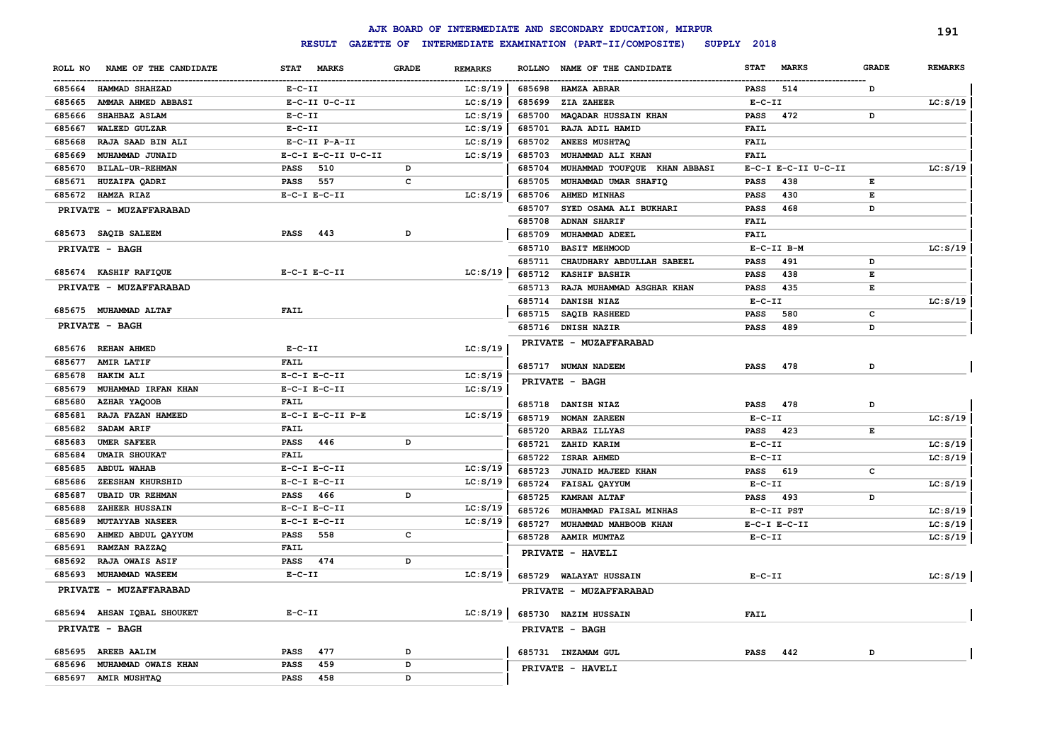|                                  |                                             |                |               | AJK BOARD OF INTERMEDIATE AND SECONDARY EDUCATION, MIRPUR |                             |              | 191            |
|----------------------------------|---------------------------------------------|----------------|---------------|-----------------------------------------------------------|-----------------------------|--------------|----------------|
|                                  | <b>RESULT</b>                               |                |               | GAZETTE OF INTERMEDIATE EXAMINATION (PART-II/COMPOSITE)   | SUPPLY 2018                 |              |                |
| NAME OF THE CANDIDATE<br>ROLL NO | <b>STAT</b><br><b>MARKS</b><br><b>GRADE</b> | <b>REMARKS</b> | <b>ROLLNO</b> | NAME OF THE CANDIDATE                                     | <b>STAT</b><br><b>MARKS</b> | <b>GRADE</b> | <b>REMARKS</b> |
| 685664<br>HAMMAD SHAHZAD         | $E- C- II$                                  | LC: S/19       | 685698        | <b>HAMZA ABRAR</b>                                        | 514<br><b>PASS</b>          | D            |                |
| AMMAR AHMED ABBASI<br>685665     | E-C-II U-C-II                               | LC: S/19       | 685699        | ZIA ZAHEER                                                | $E-C-II$                    |              | LC: S/19       |
| 685666<br>SHAHBAZ ASLAM          | $E- C- II$                                  | LC: S/19       | 685700        | <b>MAQADAR HUSSAIN KHAN</b>                               | 472<br><b>PASS</b>          | D            |                |
| WALEED GULZAR<br>685667          | $E-C-II$                                    | LC: S/19       | 685701        | RAJA ADIL HAMID                                           | FAIL                        |              |                |
| 685668<br>RAJA SAAD BIN ALI      | E-C-II P-A-II                               | LC: S/19       | 685702        | ANEES MUSHTAQ                                             | FAIL                        |              |                |
| 685669<br>MUHAMMAD JUNAID        | E-C-I E-C-II U-C-II                         | LC: S/19       | 685703        | MUHAMMAD ALI KHAN                                         | FAIL                        |              |                |
| 685670<br>BILAL-UR-REHMAN        | PASS<br>510<br>D                            |                | 685704        | MUHAMMAD TOUFQUE KHAN ABBASI                              | E-C-I E-C-II U-C-II         |              | LC: S/19       |
| 685671<br>HUZAIFA QADRI          | 557<br>$\mathbf{C}$<br><b>PASS</b>          |                | 685705        | MUHAMMAD UMAR SHAFIQ                                      | 438<br>PASS                 | Е            |                |
| 685672<br>HAMZA RIAZ             | $E-C-I$ $E-C-II$                            | LC: S/19       | 685706        | AHMED MINHAS                                              | 430<br>PASS                 | Е            |                |
| PRIVATE - MUZAFFARABAD           |                                             |                | 685707        | SYED OSAMA ALI BUKHARI                                    | 468<br><b>PASS</b>          | D            |                |
|                                  |                                             |                | 685708        | <b>ADNAN SHARIF</b>                                       | FAIL                        |              |                |
| 685673 SAQIB SALEEM              | 443<br><b>PASS</b><br>D                     |                | 685709        | MUHAMMAD ADEEL                                            | FAIL                        |              |                |
| PRIVATE - BAGH                   |                                             |                | 685710        | <b>BASIT MEHMOOD</b>                                      | E-C-II B-M                  |              | LC: S/19       |
|                                  |                                             |                | 685711        | CHAUDHARY ABDULLAH SABEEL                                 | <b>PASS</b><br>491          | D            |                |
| 685674 KASHIF RAFIQUE            | $E-C-I$ $E-C-II$                            | LC: S/19       | 685712        | <b>KASHIF BASHIR</b>                                      | 438<br><b>PASS</b>          | Е            |                |
| PRIVATE - MUZAFFARABAD           |                                             |                | 685713        | RAJA MUHAMMAD ASGHAR KHAN                                 | 435<br><b>PASS</b>          | Е            |                |
|                                  |                                             |                | 685714        | DANISH NIAZ                                               | $E- C- II$                  |              | LC: S/19       |
| 685675 MUHAMMAD ALTAF            | FAIL                                        |                | 685715        | SAQIB RASHEED                                             | <b>PASS</b><br>580          | c            |                |
| PRIVATE - BAGH                   |                                             |                | 685716        | <b>DNISH NAZIR</b>                                        | 489<br><b>PASS</b>          | D            |                |
|                                  |                                             |                |               | PRIVATE - MUZAFFARABAD                                    |                             |              |                |
| 685676 REHAN AHMED               | $E-C-II$                                    | LC: S/19       |               |                                                           |                             |              |                |
| 685677<br><b>AMIR LATIF</b>      | <b>FAIL</b>                                 |                |               | 685717 NUMAN NADEEM                                       | 478<br><b>PASS</b>          | D            |                |
| 685678<br><b>HAKIM ALI</b>       | $E-C-I$ $E-C-II$                            | LC: S/19       |               | <b>PRIVATE - BAGH</b>                                     |                             |              |                |
| 685679<br>MUHAMMAD IRFAN KHAN    | $E-C-I$ $E-C-II$                            | LC: S/19       |               |                                                           |                             |              |                |
| 685680<br><b>AZHAR YAQOOB</b>    | FAIL                                        |                |               | 685718 DANISH NIAZ                                        | 478<br><b>PASS</b>          | D            |                |
| 685681<br>RAJA FAZAN HAMEED      | E-C-I E-C-II P-E                            | LC: S/19       | 685719        | <b>NOMAN ZAREEN</b>                                       | $E-C-II$                    |              | LC: S/19       |
| 685682<br>SADAM ARIF             | FAIL                                        |                | 685720        | ARBAZ ILLYAS                                              | <b>PASS</b><br>423          | Е            |                |
| 685683<br><b>UMER SAFEER</b>     | <b>PASS</b><br>446<br>D                     |                | 685721        | ZAHID KARIM                                               | $E - C - II$                |              | LC: S/19       |
| <b>UMAIR SHOUKAT</b><br>685684   | <b>FAIL</b>                                 |                | 685722        | ISRAR AHMED                                               | $E-C-II$                    |              | LC: S/19       |
| <b>ABDUL WAHAB</b><br>685685     | $E-C-I$ $E-C-II$                            | LC: S/19       | 685723        | JUNAID MAJEED KHAN                                        | <b>PASS</b><br>619          | c            |                |
| ZEESHAN KHURSHID<br>685686       | $E-C-I$ $E-C-II$                            | LC: S/19       | 685724        | <b>FAISAL QAYYUM</b>                                      | $E-C-II$                    |              | LC: S/19       |
| <b>UBAID UR REHMAN</b><br>685687 | 466<br>D<br><b>PASS</b>                     |                | 685725        | <b>KAMRAN ALTAF</b>                                       | <b>PASS</b><br>493          | D            |                |
| ZAHEER HUSSAIN<br>685688         | $E-C-I$ $E-C-II$                            | LC: S/19       | 685726        | MUHAMMAD FAISAL MINHAS                                    | E-C-II PST                  |              | LC: S/19       |
| 685689<br><b>MUTAYYAB NASEER</b> | $E-C-I$ $E-C-II$                            | LC: S/19       | 685727        | MUHAMMAD MAHBOOB KHAN                                     | $E-C-I$ $E-C-II$            |              | LC: S/19       |
| AHMED ABDUL QAYYUM<br>685690     | $\mathbf{C}$<br>PASS<br>558                 |                |               | 685728 AAMIR MUMTAZ                                       | $E-C-II$                    |              | LC: S/19       |
| 685691<br>RAMZAN RAZZAQ          | FAIL                                        |                |               | PRIVATE - HAVELI                                          |                             |              |                |
| 685692<br><b>RAJA OWAIS ASIF</b> | <b>PASS</b><br>474<br>D                     |                |               |                                                           |                             |              |                |
| 685693<br>MUHAMMAD WASEEM        | $E-C-II$                                    | LC: S/19       |               | 685729 WALAYAT HUSSAIN                                    | $E-C-TI$                    |              | LC: S/19       |
| PRIVATE - MUZAFFARABAD           |                                             |                |               | PRIVATE - MUZAFFARABAD                                    |                             |              |                |
| 685694 AHSAN IQBAL SHOUKET       | $E-C-II$                                    | LC: S/19       |               | 685730 NAZIM HUSSAIN                                      | FAIL                        |              |                |
| PRIVATE - BAGH                   |                                             |                |               | PRIVATE - BAGH                                            |                             |              |                |
| 685695 AREEB AALIM               | <b>PASS</b><br>477<br>D                     |                |               | 685731 INZAMAM GUL                                        | 442<br><b>PASS</b>          | D            |                |
| MUHAMMAD OWAIS KHAN<br>685696    | PASS<br>459<br>D                            |                |               | PRIVATE - HAVELI                                          |                             |              |                |
| 685697 AMIR MUSHTAQ              | <b>PASS</b><br>458<br>D                     |                |               |                                                           |                             |              |                |
|                                  |                                             |                |               |                                                           |                             |              |                |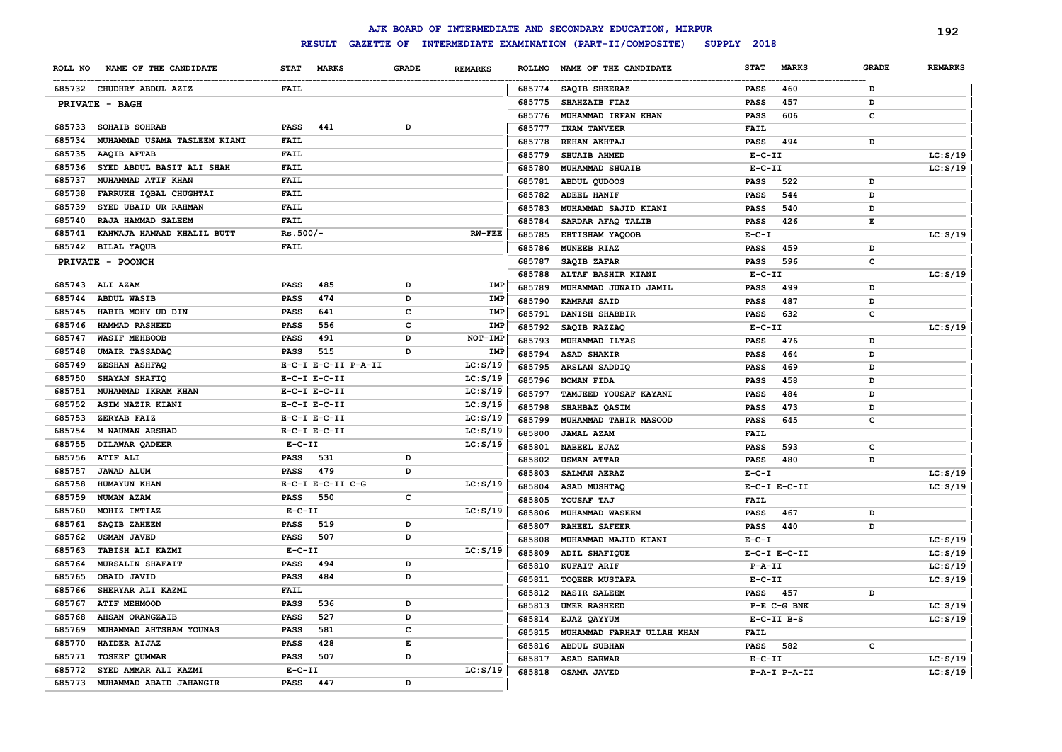|                                        |                                    |              |                |               | AJK BOARD OF INTERMEDIATE AND SECONDARY EDUCATION, MIRPUR |                             |              | 192            |
|----------------------------------------|------------------------------------|--------------|----------------|---------------|-----------------------------------------------------------|-----------------------------|--------------|----------------|
|                                        | <b>RESULT</b><br><b>GAZETTE OF</b> |              |                |               | INTERMEDIATE EXAMINATION (PART-II/COMPOSITE)              | SUPPLY 2018                 |              |                |
| ROLL NO<br>NAME OF THE CANDIDATE       | <b>STAT</b><br><b>MARKS</b>        | <b>GRADE</b> | <b>REMARKS</b> | <b>ROLLNO</b> | NAME OF THE CANDIDATE                                     | <b>MARKS</b><br><b>STAT</b> | <b>GRADE</b> | <b>REMARKS</b> |
| 685732 CHUDHRY ABDUL AZIZ              | <b>FAIL</b>                        |              |                | 685774        | <b>SAQIB SHEERAZ</b>                                      | 460<br><b>PASS</b>          | D            |                |
| PRIVATE - BAGH                         |                                    |              |                | 685775        | <b>SHAHZAIB FIAZ</b>                                      | 457<br><b>PASS</b>          | D            |                |
|                                        |                                    |              |                | 685776        | MUHAMMAD IRFAN KHAN                                       | 606<br><b>PASS</b>          | c            |                |
| 685733 SOHAIB SOHRAB                   | 441<br>PASS                        | D            |                | 685777        | <b>INAM TANVEER</b>                                       | <b>FAIL</b>                 |              |                |
| MUHAMMAD USAMA TASLEEM KIANI<br>685734 | FAIL                               |              |                | 685778        | REHAN AKHTAJ                                              | <b>PASS</b><br>494          | D            |                |
| 685735<br>AAQIB AFTAB                  | <b>FAIL</b>                        |              |                | 685779        | <b>SHUAIB AHMED</b>                                       | $E-C-II$                    |              | LC: S/19       |
| SYED ABDUL BASIT ALI SHAH<br>685736    | <b>FAIL</b>                        |              |                | 685780        | MUHAMMAD SHUAIB                                           | $E-C-II$                    |              | LC: S/19       |
| 685737<br>MUHAMMAD ATIF KHAN           | <b>FAIL</b>                        |              |                | 685781        | ABDUL QUDOOS                                              | 522<br><b>PASS</b>          | D            |                |
| 685738<br>FARRUKH IQBAL CHUGHTAI       | <b>FAIL</b>                        |              |                | 685782        | ADEEL HANIF                                               | 544<br><b>PASS</b>          | D            |                |
| 685739<br>SYED UBAID UR RAHMAN         | <b>FAIL</b>                        |              |                | 685783        | MUHAMMAD SAJID KIANI                                      | <b>PASS</b><br>540          | D            |                |
| 685740<br>RAJA HAMMAD SALEEM           | <b>FAIL</b>                        |              |                | 685784        | SARDAR AFAQ TALIB                                         | 426<br><b>PASS</b>          | Е            |                |
| 685741<br>KAHWAJA HAMAAD KHALIL BUTT   | Rs.500/-                           |              | <b>RW-FEE</b>  | 685785        | EHTISHAM YAQOOB                                           | $E - C - I$                 |              | LC: S/19       |
| 685742<br><b>BILAL YAQUB</b>           | <b>FAIL</b>                        |              |                | 685786        | MUNEEB RIAZ                                               | 459<br><b>PASS</b>          | D            |                |
| PRIVATE - POONCH                       |                                    |              |                | 685787        | SAQIB ZAFAR                                               | <b>PASS</b><br>596          | c            |                |
|                                        |                                    |              |                | 685788        | ALTAF BASHIR KIANI                                        | $E - C - II$                |              | LC: S/19       |
| 685743 ALI AZAM                        | PASS<br>485                        | D            | IMP            | 685789        | MUHAMMAD JUNAID JAMIL                                     | 499<br><b>PASS</b>          | D            |                |
| 685744<br><b>ABDUL WASIB</b>           | 474<br>PASS                        | D            | IMP            | 685790        | KAMRAN SAID                                               | 487<br><b>PASS</b>          | D            |                |
| 685745<br>HABIB MOHY UD DIN            | 641<br>PASS                        | c            | IMP            | 685791        | DANISH SHABBIR                                            | 632<br><b>PASS</b>          | c            |                |
| HAMMAD RASHEED<br>685746               | 556<br>PASS                        | c            | IMP            | 685792        | SAQIB RAZZAQ                                              | $E - C - II$                |              | LC: S/19       |
| <b>WASIF MEHBOOB</b><br>685747         | PASS<br>491                        | D            | NOT-IMP        | 685793        | MUHAMMAD ILYAS                                            | 476<br><b>PASS</b>          | D            |                |
| <b>UMAIR TASSADAQ</b><br>685748        | 515<br>PASS                        | D            | IMP            | 685794        | ASAD SHAKIR                                               | 464<br><b>PASS</b>          | D            |                |
| 685749<br>ZESHAN ASHFAQ                | E-C-I E-C-II P-A-II                |              | LC: S/19       | 685795        | ARSLAN SADDIQ                                             | 469<br><b>PASS</b>          | D            |                |
| 685750<br>SHAYAN SHAFIQ                | $E-C-I$ $E-C-II$                   |              | LC: S/19       | 685796        | NOMAN FIDA                                                | 458<br><b>PASS</b>          | D            |                |
| 685751<br>MUHAMMAD IKRAM KHAN          | $E-C-I$ $E-C-II$                   |              | LC: S/19       | 685797        | TAMJEED YOUSAF KAYANI                                     | 484<br><b>PASS</b>          | D            |                |
| 685752<br>ASIM NAZIR KIANI             | $E-C-I$ $E-C-II$                   |              | LC: S/19       | 685798        | SHAHBAZ QASIM                                             | 473<br><b>PASS</b>          | D            |                |
| 685753<br>ZERYAB FAIZ                  | $E-C-I$ $E-C-II$                   |              | LC: S/19       | 685799        | MUHAMMAD TAHIR MASOOD                                     | 645<br><b>PASS</b>          | c            |                |
| 685754<br><b>M NAUMAN ARSHAD</b>       | $E-C-I$ $E-C-II$                   |              | LC: S/19       | 685800        | JAMAL AZAM                                                | FAIL                        |              |                |
| 685755<br>DILAWAR QADEER               | $E-C-II$                           |              | LC: S/19       | 685801        | NABEEL EJAZ                                               | 593<br><b>PASS</b>          | c            |                |
| 685756<br><b>ATIF ALI</b>              | 531<br>PASS                        | D            |                | 685802        | <b>USMAN ATTAR</b>                                        | 480<br><b>PASS</b>          | D            |                |
| <b>JAWAD ALUM</b><br>685757            | 479<br><b>PASS</b>                 | D            |                | 685803        | SALMAN AERAZ                                              | $E-C-I$                     |              | LC: S/19       |
| HUMAYUN KHAN<br>685758                 | E-C-I E-C-II C-G                   |              | LC: S/19       | 685804        | ASAD MUSHTAQ                                              | $E-C-I$ $E-C-II$            |              | LC: S/19       |
| NUMAN AZAM<br>685759                   | 550<br><b>PASS</b>                 | $\mathbf c$  |                | 685805        | YOUSAF TAJ                                                | <b>FAIL</b>                 |              |                |
| MOHIZ IMTIAZ<br>685760                 | $E-C-II$                           |              | LC: S/19       | 685806        | MUHAMMAD WASEEM                                           | 467<br><b>PASS</b>          | D            |                |
| SAQIB ZAHEEN<br>685761                 | 519<br>PASS                        | D            |                | 685807        | <b>RAHEEL SAFEER</b>                                      | 440<br><b>PASS</b>          | D            |                |
| 685762<br><b>USMAN JAVED</b>           | 507<br><b>PASS</b>                 | D            |                | 685808        | MUHAMMAD MAJID KIANI                                      | $E - C - I$                 |              | LC: S/19       |
| 685763<br>TABISH ALI KAZMI             | $E - C - II$                       |              | LC: S/19       | 685809        | ADIL SHAFIQUE                                             | $E-C-I$ $E-C-II$            |              | LC: S/19       |
| 685764<br>MURSALIN SHAFAIT             | 494<br>PASS                        | D            |                | 685810        | <b>KUFAIT ARIF</b>                                        | $P - A - II$                |              | LC: S/19       |
| 685765<br>OBAID JAVID                  | 484<br>PASS                        | D            |                | 685811        | <b>TOQEER MUSTAFA</b>                                     | $E-C-II$                    |              | LC: S/19       |
| SHERYAR ALI KAZMI<br>685766            | FAIL                               |              |                | 685812        | <b>NASIR SALEEM</b>                                       | <b>PASS</b><br>457          | D            |                |
| 685767<br>ATIF MEHMOOD                 | PASS<br>536                        | D            |                | 685813        | <b>UMER RASHEED</b>                                       | P-E C-G BNK                 |              | LC: S/19       |
| AHSAN ORANGZAIB<br>685768              | 527<br>PASS                        | D            |                | 685814        | EJAZ QAYYUM                                               | $E-C-II$ $B-S$              |              | LC: S/19       |
| MUHAMMAD AHTSHAM YOUNAS<br>685769      | 581<br>PASS                        | c            |                | 685815        | MUHAMMAD FARHAT ULLAH KHAN                                | <b>FAIL</b>                 |              |                |
| HAIDER AIJAZ<br>685770                 | <b>PASS</b><br>428                 | E            |                | 685816        | <b>ABDUL SUBHAN</b>                                       | <b>PASS</b><br>582          | c            |                |
| <b>TOSEEF QUMMAR</b><br>685771         | <b>PASS</b><br>507                 | D            |                | 685817        | <b>ASAD SARWAR</b>                                        | $E-C-II$                    |              | LC: S/19       |
| 685772<br>SYED AMMAR ALI KAZMI         | $E - C - II$                       |              | LC: S/19       |               | 685818 OSAMA JAVED                                        | $P-A-I$ $P-A-II$            |              | LC: S/19       |
| 685773<br>MUHAMMAD ABAID JAHANGIR      | <b>PASS</b><br>447                 | D            |                |               |                                                           |                             |              |                |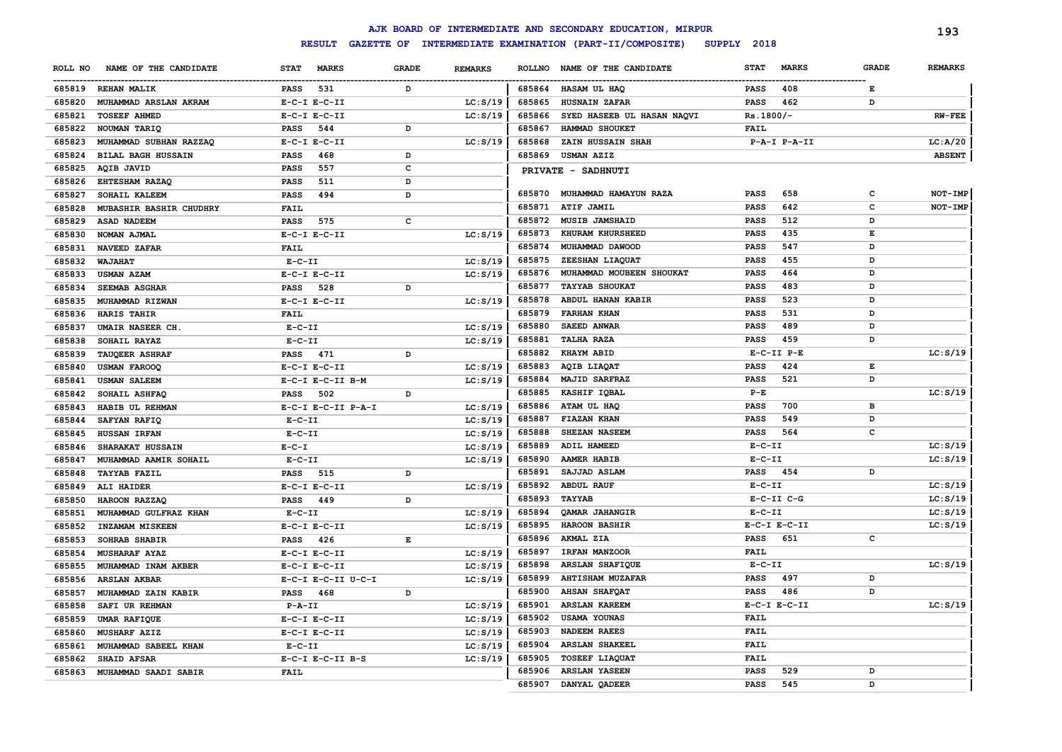|         |                             |                    |              |                |        | AJK BOARD OF INTERMEDIATE AND SECONDARY EDUCATION, MIRPUR |             |                  |              | 193            |
|---------|-----------------------------|--------------------|--------------|----------------|--------|-----------------------------------------------------------|-------------|------------------|--------------|----------------|
|         |                             | <b>RESULT</b>      |              |                |        | GAZETTE OF INTERMEDIATE EXAMINATION (PART-II/COMPOSITE)   | SUPPLY 2018 |                  |              |                |
| ROLL NO | NAME OF THE CANDIDATE       | STAT MARKS         | <b>GRADE</b> | <b>REMARKS</b> |        | ROLLNO NAME OF THE CANDIDATE                              | <b>STAT</b> | <b>MARKS</b>     | <b>GRADE</b> | <b>REMARKS</b> |
|         | 685819 REHAN MALIK          | 531<br>PASS        | D            |                |        | 685864 HASAM UL HAQ                                       | PASS        | 408              | Е            |                |
| 685820  | MUHAMMAD ARSLAN AKRAM       | $E-C-I$ $E-C-II$   |              | LC: S/19       | 685865 | <b>HUSNAIN ZAFAR</b>                                      | PASS        | 462              | D            |                |
| 685821  | <b>TOSEEF AHMED</b>         | $E-C-I$ $E-C-II$   |              | LC: S/19       | 685866 | SYED HASEEB UL HASAN NAQVI                                | Rs.1800/-   |                  |              | <b>RW-FEE</b>  |
| 685822  | NOUMAN TARIQ                | PASS<br>544        | D            |                | 685867 | HAMMAD SHOUKET                                            | <b>FAIL</b> |                  |              |                |
| 685823  | MUHAMMAD SUBHAN RAZZAQ      | $E-C-I$ $E-C-II$   |              | LC: S/19       | 685868 | ZAIN HUSSAIN SHAH                                         |             | P-A-I P-A-II     |              | LC: A/20       |
| 685824  | <b>BILAL BAGH HUSSAIN</b>   | <b>PASS</b><br>468 | D            |                | 685869 | <b>USMAN AZIZ</b>                                         |             |                  |              | <b>ABSENT</b>  |
| 685825  | AQIB JAVID                  | PASS<br>557        | C            |                |        | PRIVATE - SADHNUTI                                        |             |                  |              |                |
| 685826  | <b>EHTESHAM RAZAQ</b>       | <b>PASS</b><br>511 | D            |                |        |                                                           |             |                  |              |                |
| 685827  | SOHAIL KALEEM               | <b>PASS</b><br>494 | D            |                | 685870 | MUHAMMAD HAMAYUN RAZA                                     | <b>PASS</b> | 658              | c            | NOT-IMP        |
| 685828  | MUBASHIR BASHIR CHUDHRY     | <b>FAIL</b>        |              |                | 685871 | <b>ATIF JAMIL</b>                                         | <b>PASS</b> | 642              | c            | NOT-IMP        |
| 685829  | <b>ASAD NADEEM</b>          | PASS<br>575        | c            |                | 685872 | <b>MUSIB JAMSHAID</b>                                     | PASS        | 512              | D            |                |
| 685830  | NOMAN AJMAL                 | $E-C-I$ $E-C-II$   |              | LC: S/19       | 685873 | KHURAM KHURSHEED                                          | <b>PASS</b> | 435              | Е            |                |
| 685831  | <b>NAVEED ZAFAR</b>         | <b>FAIL</b>        |              |                | 685874 | MUHAMMAD DAWOOD                                           | <b>PASS</b> | 547              | D            |                |
|         | 685832 WAJAHAT              | $E- C- II$         |              | LC: S/19       | 685875 | ZEESHAN LIAQUAT                                           | <b>PASS</b> | 455              | D            |                |
| 685833  | <b>USMAN AZAM</b>           | $E-C-I$ $E-C-II$   |              | LC: S/19       | 685876 | MUHAMMAD MOUBEEN SHOUKAT                                  | <b>PASS</b> | 464              | D            |                |
| 685834  | <b>SEEMAB ASGHAR</b>        | 528<br>PASS        | D            |                | 685877 | <b>TAYYAB SHOUKAT</b>                                     | <b>PASS</b> | 483              | D            |                |
| 685835  | <b>MUHAMMAD RIZWAN</b>      | $E-C-I$ $E-C-II$   |              | LC: S/19       | 685878 | ABDUL HANAN KABIR                                         | <b>PASS</b> | 523              | D            |                |
| 685836  | HARIS TAHIR                 | <b>FAIL</b>        |              |                | 685879 | <b>FARHAN KHAN</b>                                        | <b>PASS</b> | 531              | D            |                |
| 685837  | UMAIR NASEER CH.            | $E-C-II$           |              | LC: S/19       | 685880 | <b>SAEED ANWAR</b>                                        | <b>PASS</b> | 489              | D            |                |
| 685838  | SOHAIL RAYAZ                | $E- C- II$         |              | LC: S/19       | 685881 | <b>TALHA RAZA</b>                                         | <b>PASS</b> | 459              | D            |                |
| 685839  | <b>TAUQEER ASHRAF</b>       | <b>PASS</b> 471    | D            |                | 685882 | <b>KHAYM ABID</b>                                         |             | $E-C-II$ $P-E$   |              | LC: S/19       |
| 685840  | <b>USMAN FAROOQ</b>         | $E-C-I$ $E-C-II$   |              | LC: S/19       | 685883 | AQIB LIAQAT                                               | <b>PASS</b> | 424              | Е            |                |
| 685841  | <b>USMAN SALEEM</b>         | E-C-I E-C-II B-M   |              | LC: S/19       | 685884 | <b>MAJID SARFRAZ</b>                                      | <b>PASS</b> | 521              | D            |                |
| 685842  | SOHAIL ASHFAQ               | 502<br>PASS        | D            |                | 685885 | KASHIF IQBAL                                              | $P-E$       |                  |              | LC: S/19       |
| 685843  | HABIB UL REHMAN             | E-C-I E-C-II P-A-I |              | LC: S/19       | 685886 | ATAM UL HAQ                                               | PASS        | 700              | в            |                |
| 685844  | SAFYAN RAFIQ                | $E-C-II$           |              | LC: S/19       | 685887 | <b>FIAZAN KHAN</b>                                        | <b>PASS</b> | 549              | D            |                |
| 685845  | HUSSAN IRFAN                | $E- C- II$         |              | LC: S/19       | 685888 | SHEZAN NASEEM                                             | PASS        | 564              | с            |                |
| 685846  | <b>SHARAKAT HUSSAIN</b>     | $E - C - I$        |              | LC: S/19       | 685889 | ADIL HAMEED                                               | $E-C-II$    |                  |              | LC: S/19       |
| 685847  | MUHAMMAD AAMIR SOHAIL       | $E- C- II$         |              | LC: S/19       | 685890 | <b>AAMER HABIB</b>                                        | $E-C-II$    |                  |              | LC: S/19       |
| 685848  | <b>TAYYAB FAZIL</b>         | PASS<br>515        | D            |                | 685891 | SAJJAD ASLAM                                              | PASS 454    |                  | D            |                |
| 685849  | ALI HAIDER                  | $E-C-I$ $E-C-II$   |              | LC: S/19       | 685892 | <b>ABDUL RAUF</b>                                         | $E-C-II$    |                  |              | LC: S/19       |
| 685850  | HAROON RAZZAQ               | <b>PASS</b><br>449 | D            |                | 685893 | TAYYAB                                                    |             | $E-C-TI$ $C-G$   |              | LC: S/19       |
| 685851  | MUHAMMAD GULFRAZ KHAN       | $E- C- II$         |              | LC: S/19       | 685894 | QAMAR JAHANGIR                                            | $E-C-II$    |                  |              | LC: S/19       |
| 685852  | <b>INZAMAM MISKEEN</b>      | $E-C-I$ $E-C-II$   |              | LC: S/19       | 685895 | <b>HAROON BASHIR</b>                                      |             | $E-C-I$ $E-C-II$ |              | LC: S/19       |
| 685853  | SOHRAB SHABIR               | <b>PASS</b><br>426 | Е            |                | 685896 | AKMAL ZIA                                                 | PASS        | 651              | с            |                |
| 685854  | <b>MUSHARAF AYAZ</b>        | $E-C-I$ $E-C-II$   |              | LC: S/19       | 685897 | <b>IRFAN MANZOOR</b>                                      | FAIL        |                  |              |                |
| 685855  | MUHAMMAD INAM AKBER         | $E-C-I$ $E-C-II$   |              | LC: S/19       | 685898 | <b>ARSLAN SHAFIQUE</b>                                    | $E- C- II$  |                  |              | LC: S/19       |
|         | 685856 ARSLAN AKBAR         | E-C-I E-C-II U-C-I |              | LC: S/19       | 685899 | <b>AHTISHAM MUZAFAR</b>                                   | PASS        | 497              | D            |                |
|         | 685857 MUHAMMAD ZAIN KABIR  | PASS 468           | D            |                | 685900 | <b>AHSAN SHAFOAT</b>                                      | <b>PASS</b> | 486              | D            |                |
|         | 685858 SAFI UR REHMAN       | P-A-II             |              | LC: S/19       |        | 685901 ARSLAN KAREEM                                      |             | $E-C-I$ $E-C-II$ |              | LC: S/19       |
|         | 685859 UMAR RAFIQUE         | $E- C-I$ $E-C-II$  |              | LC: S/19       | 685902 | USAMA YOUNAS                                              | <b>FAIL</b> |                  |              |                |
|         | 685860 MUSHARF AZIZ         | $E-C-I$ $E-C-II$   |              | LC: S/19       | 685903 | <b>NADEEM RAEES</b>                                       | <b>FAIL</b> |                  |              |                |
| 685861  | MUHAMMAD SABEEL KHAN        | $E - C - II$       |              | LC: S/19       | 685904 | <b>ARSLAN SHAKEEL</b>                                     | <b>FAIL</b> |                  |              |                |
| 685862  | <b>SHAID AFSAR</b>          | E-C-I E-C-II B-S   |              | LC: S/19       | 685905 | <b>TOSEEF LIAQUAT</b>                                     | <b>FAIL</b> |                  |              |                |
|         | 685863 MUHAMMAD SAADI SABIR | <b>FAIL</b>        |              |                | 685906 | <b>ARSLAN YASEEN</b>                                      | PASS        | 529              | D            |                |
|         |                             |                    |              |                |        | 685907 DANYAL QADEER                                      | PASS        | 545              | D            |                |
|         |                             |                    |              |                |        |                                                           |             |                  |              |                |